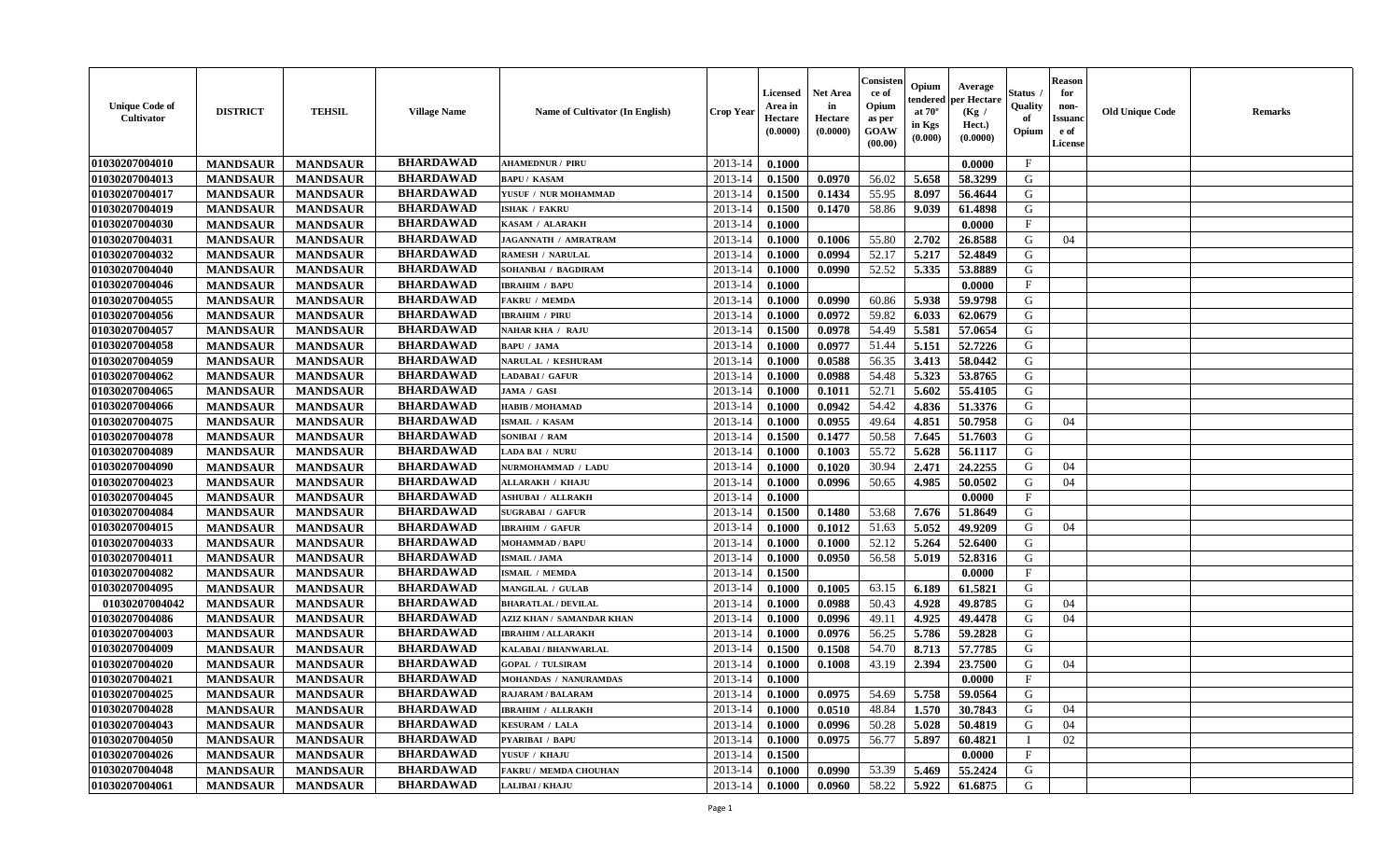| <b>Unique Code of</b><br><b>Cultivator</b> | <b>DISTRICT</b> | <b>TEHSIL</b>   | <b>Village Name</b> | Name of Cultivator (In English)  | <b>Crop Year</b> | <b>Licensed</b><br>Area in<br>Hectare<br>(0.0000) | <b>Net Area</b><br>in<br>Hectare<br>(0.0000) | Consister<br>ce of<br>Opium<br>as per<br><b>GOAW</b><br>(00.00) | Opium<br>endered<br>at $70^\circ$<br>in Kgs<br>$(\mathbf{0.000})$ | Average<br>per Hectare<br>(Kg /<br>Hect.)<br>(0.0000) | Status<br>Quality<br>of<br>Opium | Reason<br>for<br>non-<br>Issuan<br>e of<br>License | <b>Old Unique Code</b> | <b>Remarks</b> |
|--------------------------------------------|-----------------|-----------------|---------------------|----------------------------------|------------------|---------------------------------------------------|----------------------------------------------|-----------------------------------------------------------------|-------------------------------------------------------------------|-------------------------------------------------------|----------------------------------|----------------------------------------------------|------------------------|----------------|
| 01030207004010                             | <b>MANDSAUR</b> | <b>MANDSAUR</b> | <b>BHARDAWAD</b>    | <b>AHAMEDNUR / PIRU</b>          | 2013-14          | 0.1000                                            |                                              |                                                                 |                                                                   | 0.0000                                                | $\mathbf{F}$                     |                                                    |                        |                |
| 01030207004013                             | <b>MANDSAUR</b> | <b>MANDSAUR</b> | <b>BHARDAWAD</b>    | <b>BAPU/KASAM</b>                | 2013-14          | 0.1500                                            | 0.0970                                       | 56.02                                                           | 5.658                                                             | 58.3299                                               | G                                |                                                    |                        |                |
| 01030207004017                             | <b>MANDSAUR</b> | <b>MANDSAUR</b> | <b>BHARDAWAD</b>    | YUSUF / NUR MOHAMMAD             | 2013-14          | 0.1500                                            | 0.1434                                       | 55.95                                                           | 8.097                                                             | 56.4644                                               | G                                |                                                    |                        |                |
| 01030207004019                             | <b>MANDSAUR</b> | <b>MANDSAUR</b> | <b>BHARDAWAD</b>    | <b>ISHAK / FAKRU</b>             | 2013-14          | 0.1500                                            | 0.1470                                       | 58.86                                                           | 9.039                                                             | 61.4898                                               | G                                |                                                    |                        |                |
| 01030207004030                             | <b>MANDSAUR</b> | <b>MANDSAUR</b> | <b>BHARDAWAD</b>    | KASAM / ALARAKH                  | 2013-14          | 0.1000                                            |                                              |                                                                 |                                                                   | 0.0000                                                | F                                |                                                    |                        |                |
| 01030207004031                             | <b>MANDSAUR</b> | <b>MANDSAUR</b> | <b>BHARDAWAD</b>    | JAGANNATH / AMRATRAM             | 2013-14          | 0.1000                                            | 0.1006                                       | 55.80                                                           | 2.702                                                             | 26.8588                                               | G                                | 04                                                 |                        |                |
| 01030207004032                             | <b>MANDSAUR</b> | <b>MANDSAUR</b> | <b>BHARDAWAD</b>    | <b>RAMESH / NARULAL</b>          | 2013-14          | 0.1000                                            | 0.0994                                       | 52.17                                                           | 5.217                                                             | 52.4849                                               | G                                |                                                    |                        |                |
| 01030207004040                             | <b>MANDSAUR</b> | <b>MANDSAUR</b> | <b>BHARDAWAD</b>    | SOHANBAI / BAGDIRAM              | 2013-14          | 0.1000                                            | 0.0990                                       | 52.52                                                           | 5.335                                                             | 53.8889                                               | G                                |                                                    |                        |                |
| 01030207004046                             | <b>MANDSAUR</b> | <b>MANDSAUR</b> | <b>BHARDAWAD</b>    | <b>IBRAHIM / BAPU</b>            | 2013-14          | 0.1000                                            |                                              |                                                                 |                                                                   | 0.0000                                                | $_{\rm F}$                       |                                                    |                        |                |
| 01030207004055                             | <b>MANDSAUR</b> | <b>MANDSAUR</b> | <b>BHARDAWAD</b>    | <b>FAKRU / MEMDA</b>             | 2013-14          | 0.1000                                            | 0.0990                                       | 60.86                                                           | 5.938                                                             | 59.9798                                               | G                                |                                                    |                        |                |
| 01030207004056                             | <b>MANDSAUR</b> | <b>MANDSAUR</b> | <b>BHARDAWAD</b>    | <b>IBRAHIM / PIRU</b>            | 2013-14          | 0.1000                                            | 0.0972                                       | 59.82                                                           | 6.033                                                             | 62.0679                                               | G                                |                                                    |                        |                |
| 01030207004057                             | <b>MANDSAUR</b> | <b>MANDSAUR</b> | <b>BHARDAWAD</b>    | <b>NAHAR KHA / RAJU</b>          | 2013-14          | 0.1500                                            | 0.0978                                       | 54.49                                                           | 5.581                                                             | 57.0654                                               | G                                |                                                    |                        |                |
| 01030207004058                             | <b>MANDSAUR</b> | <b>MANDSAUR</b> | <b>BHARDAWAD</b>    | <b>BAPU / JAMA</b>               | 2013-14          | 0.1000                                            | 0.0977                                       | 51.44                                                           | 5.151                                                             | 52.7226                                               | G                                |                                                    |                        |                |
| 01030207004059                             | <b>MANDSAUR</b> | <b>MANDSAUR</b> | <b>BHARDAWAD</b>    | NARULAL / KESHURAM               | 2013-14          | 0.1000                                            | 0.0588                                       | 56.35                                                           | 3.413                                                             | 58.0442                                               | G                                |                                                    |                        |                |
| 01030207004062                             | <b>MANDSAUR</b> | <b>MANDSAUR</b> | <b>BHARDAWAD</b>    | LADABAI / GAFUR                  | 2013-14          | 0.1000                                            | 0.0988                                       | 54.48                                                           | 5.323                                                             | 53.8765                                               | G                                |                                                    |                        |                |
| 01030207004065                             | <b>MANDSAUR</b> | <b>MANDSAUR</b> | <b>BHARDAWAD</b>    | JAMA / GASI                      | 2013-14          | 0.1000                                            | 0.1011                                       | 52.71                                                           | 5.602                                                             | 55.4105                                               | G                                |                                                    |                        |                |
| 01030207004066                             | <b>MANDSAUR</b> | <b>MANDSAUR</b> | <b>BHARDAWAD</b>    | <b>HABIB / MOHAMAD</b>           | 2013-14          | 0.1000                                            | 0.0942                                       | 54.42                                                           | 4.836                                                             | 51.3376                                               | G                                |                                                    |                        |                |
| 01030207004075                             | <b>MANDSAUR</b> | <b>MANDSAUR</b> | <b>BHARDAWAD</b>    | ISMAIL / KASAM                   | 2013-14          | 0.1000                                            | 0.0955                                       | 49.64                                                           | 4.851                                                             | 50.7958                                               | G                                | 04                                                 |                        |                |
| 01030207004078                             | <b>MANDSAUR</b> | <b>MANDSAUR</b> | <b>BHARDAWAD</b>    | SONIBAI / RAM                    | 2013-14          | 0.1500                                            | 0.1477                                       | 50.58                                                           | 7.645                                                             | 51.7603                                               | G                                |                                                    |                        |                |
| 01030207004089                             | <b>MANDSAUR</b> | <b>MANDSAUR</b> | <b>BHARDAWAD</b>    | <b>LADA BAI / NURU</b>           | 2013-14          | 0.1000                                            | 0.1003                                       | 55.72                                                           | 5.628                                                             | 56.1117                                               | G                                |                                                    |                        |                |
| 01030207004090                             | <b>MANDSAUR</b> | <b>MANDSAUR</b> | <b>BHARDAWAD</b>    | NURMOHAMMAD / LADU               | 2013-14          | 0.1000                                            | 0.1020                                       | 30.94                                                           | 2.471                                                             | 24,2255                                               | G                                | 04                                                 |                        |                |
| 01030207004023                             | <b>MANDSAUR</b> | <b>MANDSAUR</b> | <b>BHARDAWAD</b>    | ALLARAKH / KHAJU                 | 2013-14          | 0.1000                                            | 0.0996                                       | 50.65                                                           | 4.985                                                             | 50.0502                                               | G                                | 04                                                 |                        |                |
| 01030207004045                             | <b>MANDSAUR</b> | <b>MANDSAUR</b> | <b>BHARDAWAD</b>    | <b>ASHUBAI / ALLRAKH</b>         | 2013-14          | 0.1000                                            |                                              |                                                                 |                                                                   | 0.0000                                                | $\mathbf{F}$                     |                                                    |                        |                |
| 01030207004084                             | <b>MANDSAUR</b> | <b>MANDSAUR</b> | <b>BHARDAWAD</b>    | <b>SUGRABAI / GAFUR</b>          | 2013-14          | 0.1500                                            | 0.1480                                       | 53.68                                                           | 7.676                                                             | 51.8649                                               | G                                |                                                    |                        |                |
| 01030207004015                             | <b>MANDSAUR</b> | <b>MANDSAUR</b> | <b>BHARDAWAD</b>    | <b>IBRAHIM / GAFUR</b>           | 2013-14          | 0.1000                                            | 0.1012                                       | 51.63                                                           | 5.052                                                             | 49.9209                                               | G                                | 04                                                 |                        |                |
| 01030207004033                             | <b>MANDSAUR</b> | <b>MANDSAUR</b> | <b>BHARDAWAD</b>    | <b>MOHAMMAD / BAPU</b>           | 2013-14          | 0.1000                                            | 0.1000                                       | 52.12                                                           | 5.264                                                             | 52.6400                                               | G                                |                                                    |                        |                |
| 01030207004011                             | <b>MANDSAUR</b> | <b>MANDSAUR</b> | <b>BHARDAWAD</b>    | <b>ISMAIL / JAMA</b>             | 2013-14          | 0.1000                                            | 0.0950                                       | 56.58                                                           | 5.019                                                             | 52.8316                                               | G                                |                                                    |                        |                |
| 01030207004082                             | <b>MANDSAUR</b> | <b>MANDSAUR</b> | <b>BHARDAWAD</b>    | <b>ISMAIL / MEMDA</b>            | 2013-14          | 0.1500                                            |                                              |                                                                 |                                                                   | 0.0000                                                | $\mathbf{F}$                     |                                                    |                        |                |
| 01030207004095                             | <b>MANDSAUR</b> | <b>MANDSAUR</b> | <b>BHARDAWAD</b>    | <b>MANGILAL / GULAB</b>          | 2013-14          | 0.1000                                            | 0.1005                                       | 63.15                                                           | 6.189                                                             | 61.5821                                               | G                                |                                                    |                        |                |
| 01030207004042                             | <b>MANDSAUR</b> | <b>MANDSAUR</b> | <b>BHARDAWAD</b>    | <b>BHARATLAL / DEVILAL</b>       | 2013-14          | 0.1000                                            | 0.0988                                       | 50.43                                                           | 4.928                                                             | 49.8785                                               | G                                | 04                                                 |                        |                |
| 01030207004086                             | <b>MANDSAUR</b> | <b>MANDSAUR</b> | <b>BHARDAWAD</b>    | <b>AZIZ KHAN / SAMANDAR KHAN</b> | 2013-14          | 0.1000                                            | 0.0996                                       | 49.11                                                           | 4.925                                                             | 49.4478                                               | G                                | 04                                                 |                        |                |
| 01030207004003                             | <b>MANDSAUR</b> | <b>MANDSAUR</b> | <b>BHARDAWAD</b>    | <b>IBRAHIM / ALLARAKH</b>        | 2013-14          | 0.1000                                            | 0.0976                                       | 56.25                                                           | 5.786                                                             | 59.2828                                               | G                                |                                                    |                        |                |
| 01030207004009                             | <b>MANDSAUR</b> | <b>MANDSAUR</b> | <b>BHARDAWAD</b>    | <b>KALABAI/BHANWARLAL</b>        | 2013-14          | 0.1500                                            | 0.1508                                       | 54.70                                                           | 8.713                                                             | 57.7785                                               | G                                |                                                    |                        |                |
| 01030207004020                             | <b>MANDSAUR</b> | <b>MANDSAUR</b> | <b>BHARDAWAD</b>    | <b>GOPAL / TULSIRAM</b>          | 2013-14          | 0.1000                                            | 0.1008                                       | 43.19                                                           | 2.394                                                             | 23.7500                                               | G                                | 04                                                 |                        |                |
| 01030207004021                             | <b>MANDSAUR</b> | <b>MANDSAUR</b> | <b>BHARDAWAD</b>    | MOHANDAS / NANURAMDAS            | 2013-14          | 0.1000                                            |                                              |                                                                 |                                                                   | 0.0000                                                | $\mathbf{F}$                     |                                                    |                        |                |
| 01030207004025                             | <b>MANDSAUR</b> | <b>MANDSAUR</b> | <b>BHARDAWAD</b>    | <b>RAJARAM / BALARAM</b>         | $2013-14$ 0.1000 |                                                   | 0.0975                                       | 54.69                                                           |                                                                   | 5.758 59.0564                                         | G                                |                                                    |                        |                |
| 01030207004028                             | <b>MANDSAUR</b> | <b>MANDSAUR</b> | <b>BHARDAWAD</b>    | <b>IBRAHIM / ALLRAKH</b>         | 2013-14          | 0.1000                                            | 0.0510                                       | 48.84                                                           | 1.570                                                             | 30.7843                                               | G                                | 04                                                 |                        |                |
| 01030207004043                             | <b>MANDSAUR</b> | <b>MANDSAUR</b> | <b>BHARDAWAD</b>    | <b>KESURAM / LALA</b>            | 2013-14          | 0.1000                                            | 0.0996                                       | 50.28                                                           | 5.028                                                             | 50.4819                                               | G                                | 04                                                 |                        |                |
| 01030207004050                             | <b>MANDSAUR</b> | <b>MANDSAUR</b> | <b>BHARDAWAD</b>    | <b>PYARIBAI / BAPU</b>           | 2013-14          | 0.1000                                            | 0.0975                                       | 56.77                                                           | 5.897                                                             | 60.4821                                               |                                  | 02                                                 |                        |                |
| 01030207004026                             | <b>MANDSAUR</b> | <b>MANDSAUR</b> | <b>BHARDAWAD</b>    | YUSUF / KHAJU                    | 2013-14          | 0.1500                                            |                                              |                                                                 |                                                                   | 0.0000                                                | $\mathbf{F}$                     |                                                    |                        |                |
| 01030207004048                             | <b>MANDSAUR</b> | <b>MANDSAUR</b> | <b>BHARDAWAD</b>    | FAKRU / MEMDA CHOUHAN            | 2013-14          | 0.1000                                            | 0.0990                                       | 53.39                                                           | 5.469                                                             | 55.2424                                               | G                                |                                                    |                        |                |
| 01030207004061                             | <b>MANDSAUR</b> | <b>MANDSAUR</b> | <b>BHARDAWAD</b>    | LALIBAI / KHAJU                  | 2013-14          | 0.1000                                            | 0.0960                                       | 58.22                                                           | 5.922                                                             | 61.6875                                               | G                                |                                                    |                        |                |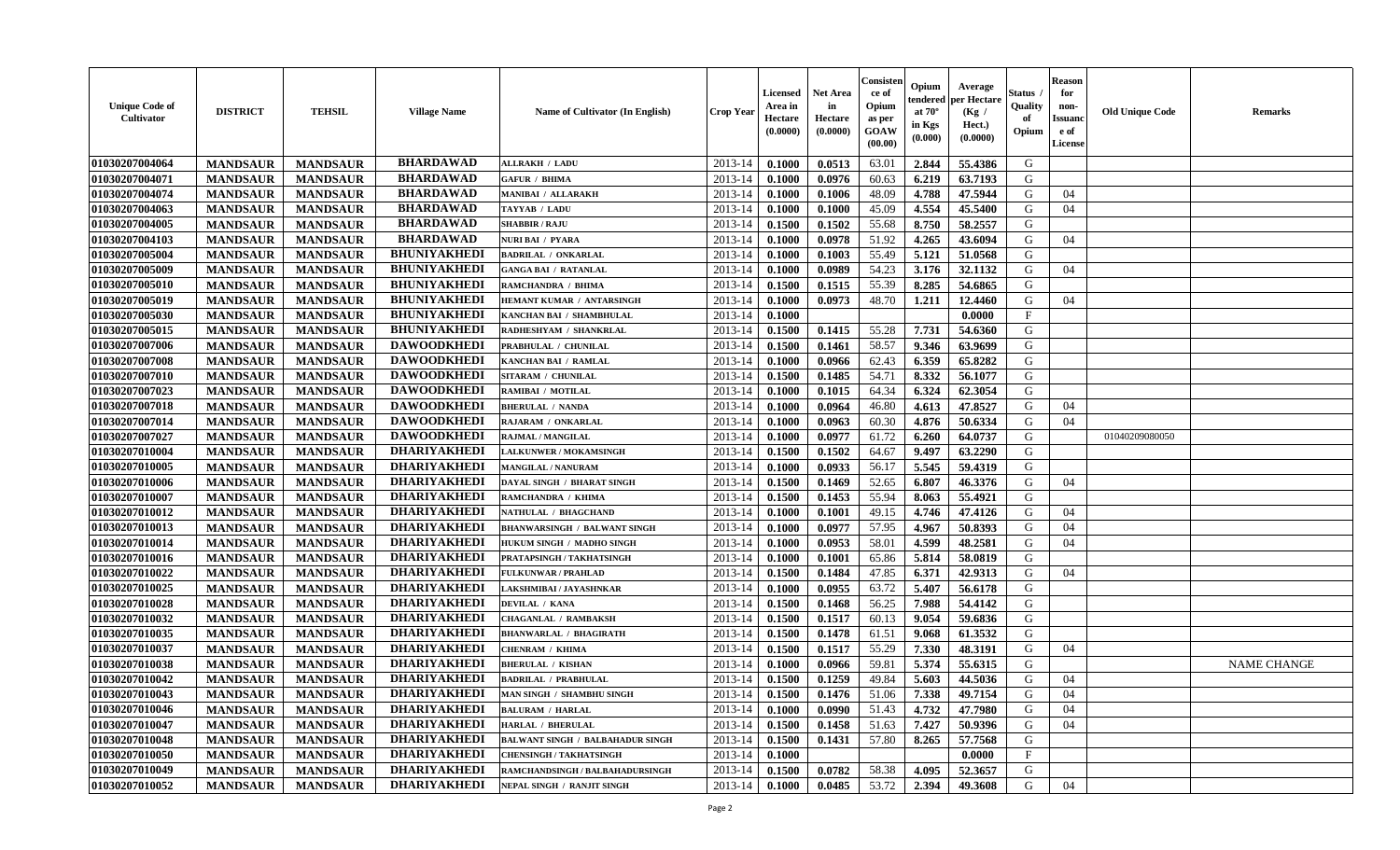| <b>Unique Code of</b><br><b>Cultivator</b> | <b>DISTRICT</b> | <b>TEHSIL</b>   | <b>Village Name</b> | Name of Cultivator (In English)         | <b>Crop Year</b> | <b>Licensed</b><br>Area in<br>Hectare<br>(0.0000) | <b>Net Area</b><br>in<br>Hectare<br>(0.0000) | Consisteı<br>ce of<br>Opium<br>as per<br><b>GOAW</b><br>(00.00) | Opium<br>endered<br>at $70^\circ$<br>in Kgs<br>(0.000) | Average<br>per Hectare<br>(Kg /<br>Hect.)<br>(0.0000) | Status<br>Quality<br>of<br>Opium | <b>Reason</b><br>for<br>non-<br>Issuan<br>e of<br>License | <b>Old Unique Code</b> | <b>Remarks</b>     |
|--------------------------------------------|-----------------|-----------------|---------------------|-----------------------------------------|------------------|---------------------------------------------------|----------------------------------------------|-----------------------------------------------------------------|--------------------------------------------------------|-------------------------------------------------------|----------------------------------|-----------------------------------------------------------|------------------------|--------------------|
| 01030207004064                             | <b>MANDSAUR</b> | <b>MANDSAUR</b> | <b>BHARDAWAD</b>    | <b>ALLRAKH / LADU</b>                   | 2013-14          | 0.1000                                            | 0.0513                                       | 63.01                                                           | 2.844                                                  | 55.4386                                               | G                                |                                                           |                        |                    |
| 01030207004071                             | <b>MANDSAUR</b> | <b>MANDSAUR</b> | <b>BHARDAWAD</b>    | <b>GAFUR / BHIMA</b>                    | 2013-14          | 0.1000                                            | 0.0976                                       | 60.63                                                           | 6.219                                                  | 63.7193                                               | G                                |                                                           |                        |                    |
| 01030207004074                             | <b>MANDSAUR</b> | <b>MANDSAUR</b> | <b>BHARDAWAD</b>    | <b>MANIBAI / ALLARAKH</b>               | 2013-14          | 0.1000                                            | 0.1006                                       | 48.09                                                           | 4.788                                                  | 47.5944                                               | G                                | 04                                                        |                        |                    |
| 01030207004063                             | <b>MANDSAUR</b> | <b>MANDSAUR</b> | <b>BHARDAWAD</b>    | TAYYAB / LADU                           | 2013-14          | 0.1000                                            | 0.1000                                       | 45.09                                                           | 4.554                                                  | 45.5400                                               | G                                | 04                                                        |                        |                    |
| 01030207004005                             | <b>MANDSAUR</b> | <b>MANDSAUR</b> | <b>BHARDAWAD</b>    | <b>SHABBIR / RAJU</b>                   | 2013-14          | 0.1500                                            | 0.1502                                       | 55.68                                                           | 8.750                                                  | 58.2557                                               | G                                |                                                           |                        |                    |
| 01030207004103                             | <b>MANDSAUR</b> | <b>MANDSAUR</b> | <b>BHARDAWAD</b>    | <b>NURI BAI / PYARA</b>                 | 2013-14          | 0.1000                                            | 0.0978                                       | 51.92                                                           | 4.265                                                  | 43.6094                                               | G                                | 04                                                        |                        |                    |
| 01030207005004                             | <b>MANDSAUR</b> | <b>MANDSAUR</b> | <b>BHUNIYAKHEDI</b> | <b>BADRILAL / ONKARLAL</b>              | 2013-14          | 0.1000                                            | 0.1003                                       | 55.49                                                           | 5.121                                                  | 51.0568                                               | G                                |                                                           |                        |                    |
| 01030207005009                             | <b>MANDSAUR</b> | <b>MANDSAUR</b> | <b>BHUNIYAKHEDI</b> | <b>GANGA BAI / RATANLAL</b>             | 2013-14          | 0.1000                                            | 0.0989                                       | 54.23                                                           | 3.176                                                  | 32.1132                                               | G                                | 04                                                        |                        |                    |
| 01030207005010                             | <b>MANDSAUR</b> | <b>MANDSAUR</b> | <b>BHUNIYAKHEDI</b> | RAMCHANDRA / BHIMA                      | 2013-14          | 0.1500                                            | 0.1515                                       | 55.39                                                           | 8.285                                                  | 54.6865                                               | G                                |                                                           |                        |                    |
| 01030207005019                             | <b>MANDSAUR</b> | <b>MANDSAUR</b> | <b>BHUNIYAKHEDI</b> | HEMANT KUMAR / ANTARSINGH               | 2013-14          | 0.1000                                            | 0.0973                                       | 48.70                                                           | 1.211                                                  | 12.4460                                               | G                                | 04                                                        |                        |                    |
| 01030207005030                             | <b>MANDSAUR</b> | <b>MANDSAUR</b> | <b>BHUNIYAKHEDI</b> | KANCHAN BAI / SHAMBHULAL                | 2013-14          | 0.1000                                            |                                              |                                                                 |                                                        | 0.0000                                                | $\mathbf{F}$                     |                                                           |                        |                    |
| 01030207005015                             | <b>MANDSAUR</b> | <b>MANDSAUR</b> | <b>BHUNIYAKHEDI</b> | RADHESHYAM / SHANKRLAL                  | 2013-14          | 0.1500                                            | 0.1415                                       | 55.28                                                           | 7.731                                                  | 54.6360                                               | G                                |                                                           |                        |                    |
| 01030207007006                             | <b>MANDSAUR</b> | <b>MANDSAUR</b> | <b>DAWOODKHEDI</b>  | PRABHULAL / CHUNILAL                    | 2013-14          | 0.1500                                            | 0.1461                                       | 58.57                                                           | 9.346                                                  | 63.9699                                               | G                                |                                                           |                        |                    |
| 01030207007008                             | <b>MANDSAUR</b> | <b>MANDSAUR</b> | <b>DAWOODKHEDI</b>  | <b>KANCHAN BAI / RAMLAL</b>             | 2013-14          | 0.1000                                            | 0.0966                                       | 62.43                                                           | 6.359                                                  | 65.8282                                               | G                                |                                                           |                        |                    |
| 01030207007010                             | <b>MANDSAUR</b> | <b>MANDSAUR</b> | <b>DAWOODKHEDI</b>  | SITARAM / CHUNILAL                      | 2013-14          | 0.1500                                            | 0.1485                                       | 54.71                                                           | 8.332                                                  | 56.1077                                               | G                                |                                                           |                        |                    |
| 01030207007023                             | <b>MANDSAUR</b> | <b>MANDSAUR</b> | <b>DAWOODKHEDI</b>  | RAMIBAI / MOTILAL                       | 2013-14          | 0.1000                                            | 0.1015                                       | 64.34                                                           | 6.324                                                  | 62.3054                                               | G                                |                                                           |                        |                    |
| 01030207007018                             | <b>MANDSAUR</b> | <b>MANDSAUR</b> | <b>DAWOODKHEDI</b>  | <b>BHERULAL / NANDA</b>                 | 2013-14          | 0.1000                                            | 0.0964                                       | 46.80                                                           | 4.613                                                  | 47.8527                                               | G                                | 04                                                        |                        |                    |
| 01030207007014                             | <b>MANDSAUR</b> | <b>MANDSAUR</b> | <b>DAWOODKHEDI</b>  | RAJARAM / ONKARLAL                      | 2013-14          | 0.1000                                            | 0.0963                                       | 60.30                                                           | 4.876                                                  | 50.6334                                               | G                                | 04                                                        |                        |                    |
| 01030207007027                             | <b>MANDSAUR</b> | <b>MANDSAUR</b> | <b>DAWOODKHEDI</b>  | RAJMAL / MANGILAL                       | 2013-14          | 0.1000                                            | 0.0977                                       | 61.72                                                           | 6.260                                                  | 64.0737                                               | G                                |                                                           | 01040209080050         |                    |
| 01030207010004                             | <b>MANDSAUR</b> | <b>MANDSAUR</b> | <b>DHARIYAKHEDI</b> | <b>LALKUNWER / MOKAMSINGH</b>           | 2013-14          | 0.1500                                            | 0.1502                                       | 64.67                                                           | 9.497                                                  | 63.2290                                               | G                                |                                                           |                        |                    |
| 01030207010005                             | <b>MANDSAUR</b> | <b>MANDSAUR</b> | <b>DHARIYAKHEDI</b> | <b>MANGILAL / NANURAM</b>               | 2013-14          | 0.1000                                            | 0.0933                                       | 56.17                                                           | 5.545                                                  | 59.4319                                               | G                                |                                                           |                        |                    |
| 01030207010006                             | <b>MANDSAUR</b> | <b>MANDSAUR</b> | <b>DHARIYAKHEDI</b> | DAYAL SINGH / BHARAT SINGH              | 2013-14          | 0.1500                                            | 0.1469                                       | 52.65                                                           | 6.807                                                  | 46.3376                                               | G                                | 04                                                        |                        |                    |
| 01030207010007                             | <b>MANDSAUR</b> | <b>MANDSAUR</b> | <b>DHARIYAKHEDI</b> | RAMCHANDRA / KHIMA                      | 2013-14          | 0.1500                                            | 0.1453                                       | 55.94                                                           | 8.063                                                  | 55.4921                                               | G                                |                                                           |                        |                    |
| 01030207010012                             | <b>MANDSAUR</b> | <b>MANDSAUR</b> | <b>DHARIYAKHEDI</b> | NATHULAL / BHAGCHAND                    | 2013-14          | 0.1000                                            | 0.1001                                       | 49.15                                                           | 4.746                                                  | 47.4126                                               | G                                | 04                                                        |                        |                    |
| 01030207010013                             | <b>MANDSAUR</b> | <b>MANDSAUR</b> | <b>DHARIYAKHEDI</b> | <b>BHANWARSINGH / BALWANT SINGH</b>     | 2013-14          | 0.1000                                            | 0.0977                                       | 57.95                                                           | 4.967                                                  | 50.8393                                               | G                                | 04                                                        |                        |                    |
| 01030207010014                             | <b>MANDSAUR</b> | <b>MANDSAUR</b> | <b>DHARIYAKHEDI</b> | HUKUM SINGH / MADHO SINGH               | 2013-14          | 0.1000                                            | 0.0953                                       | 58.01                                                           | 4.599                                                  | 48.2581                                               | G                                | 04                                                        |                        |                    |
| 01030207010016                             | <b>MANDSAUR</b> | <b>MANDSAUR</b> | <b>DHARIYAKHEDI</b> | PRATAPSINGH / TAKHATSINGH               | 2013-14          | 0.1000                                            | 0.1001                                       | 65.86                                                           | 5.814                                                  | 58.0819                                               | G                                |                                                           |                        |                    |
| 01030207010022                             | <b>MANDSAUR</b> | <b>MANDSAUR</b> | <b>DHARIYAKHEDI</b> | <b>FULKUNWAR / PRAHLAD</b>              | 2013-14          | 0.1500                                            | 0.1484                                       | 47.85                                                           | 6.371                                                  | 42.9313                                               | G                                | 04                                                        |                        |                    |
| 01030207010025                             | <b>MANDSAUR</b> | <b>MANDSAUR</b> | <b>DHARIYAKHEDI</b> | LAKSHMIBAI / JAYASHNKAR                 | 2013-14          | 0.1000                                            | 0.0955                                       | 63.72                                                           | 5.407                                                  | 56.6178                                               | G                                |                                                           |                        |                    |
| 01030207010028                             | <b>MANDSAUR</b> | <b>MANDSAUR</b> | <b>DHARIYAKHEDI</b> | <b>DEVILAL / KANA</b>                   | 2013-14          | 0.1500                                            | 0.1468                                       | 56.25                                                           | 7.988                                                  | 54.4142                                               | G                                |                                                           |                        |                    |
| 01030207010032                             | <b>MANDSAUR</b> | <b>MANDSAUR</b> | <b>DHARIYAKHEDI</b> | <b>CHAGANLAL / RAMBAKSH</b>             | 2013-14          | 0.1500                                            | 0.1517                                       | 60.13                                                           | 9.054                                                  | 59.6836                                               | G                                |                                                           |                        |                    |
| 01030207010035                             | <b>MANDSAUR</b> | <b>MANDSAUR</b> | <b>DHARIYAKHEDI</b> | <b>BHANWARLAL / BHAGIRATH</b>           | 2013-14          | 0.1500                                            | 0.1478                                       | 61.51                                                           | 9.068                                                  | 61.3532                                               | G                                |                                                           |                        |                    |
| 01030207010037                             | <b>MANDSAUR</b> | <b>MANDSAUR</b> | <b>DHARIYAKHEDI</b> | CHENRAM / KHIMA                         | 2013-14          | 0.1500                                            | 0.1517                                       | 55.29                                                           | 7.330                                                  | 48.3191                                               | G                                | 04                                                        |                        |                    |
| 01030207010038                             | <b>MANDSAUR</b> | <b>MANDSAUR</b> | <b>DHARIYAKHEDI</b> | <b>BHERULAL / KISHAN</b>                | 2013-14          | 0.1000                                            | 0.0966                                       | 59.81                                                           | 5.374                                                  | 55.6315                                               | G                                |                                                           |                        | <b>NAME CHANGE</b> |
| 01030207010042                             | <b>MANDSAUR</b> | <b>MANDSAUR</b> | <b>DHARIYAKHEDI</b> | <b>BADRILAL / PRABHULAL</b>             | 2013-14          | 0.1500                                            | 0.1259                                       | 49.84                                                           | 5.603                                                  | 44.5036                                               | G                                | 04                                                        |                        |                    |
| 01030207010043                             | <b>MANDSAUR</b> | <b>MANDSAUR</b> | DHARIYAKHEDI        | MAN SINGH / SHAMBHU SINGH               | $2013-14$ 0.1500 |                                                   | 0.1476                                       | 51.06                                                           | 7.338                                                  | 49.7154                                               | G                                | 04                                                        |                        |                    |
| 01030207010046                             | <b>MANDSAUR</b> | <b>MANDSAUR</b> | <b>DHARIYAKHEDI</b> | <b>BALURAM / HARLAL</b>                 | 2013-14          | 0.1000                                            | 0.0990                                       | 51.43                                                           | 4.732                                                  | 47.7980                                               | G                                | 04                                                        |                        |                    |
| 01030207010047                             | <b>MANDSAUR</b> | <b>MANDSAUR</b> | <b>DHARIYAKHEDI</b> | <b>HARLAL / BHERULAL</b>                | 2013-14          | 0.1500                                            | 0.1458                                       | 51.63                                                           | 7.427                                                  | 50.9396                                               | G                                | 04                                                        |                        |                    |
| 01030207010048                             | <b>MANDSAUR</b> | <b>MANDSAUR</b> | <b>DHARIYAKHEDI</b> | <b>BALWANT SINGH / BALBAHADUR SINGH</b> | 2013-14          | 0.1500                                            | 0.1431                                       | 57.80                                                           | 8.265                                                  | 57.7568                                               | G                                |                                                           |                        |                    |
| 01030207010050                             | <b>MANDSAUR</b> | <b>MANDSAUR</b> | <b>DHARIYAKHEDI</b> | <b>CHENSINGH / TAKHATSINGH</b>          | 2013-14          | 0.1000                                            |                                              |                                                                 |                                                        | 0.0000                                                | $\mathbf{F}$                     |                                                           |                        |                    |
| 01030207010049                             | <b>MANDSAUR</b> | <b>MANDSAUR</b> | <b>DHARIYAKHEDI</b> | RAMCHANDSINGH / BALBAHADURSINGH         | 2013-14          | 0.1500                                            | 0.0782                                       | 58.38                                                           | 4.095                                                  | 52.3657                                               | G                                |                                                           |                        |                    |
| 01030207010052                             | <b>MANDSAUR</b> | <b>MANDSAUR</b> | <b>DHARIYAKHEDI</b> | NEPAL SINGH / RANJIT SINGH              | 2013-14          | 0.1000                                            | 0.0485                                       | 53.72                                                           | 2.394                                                  | 49.3608                                               | G                                | 04                                                        |                        |                    |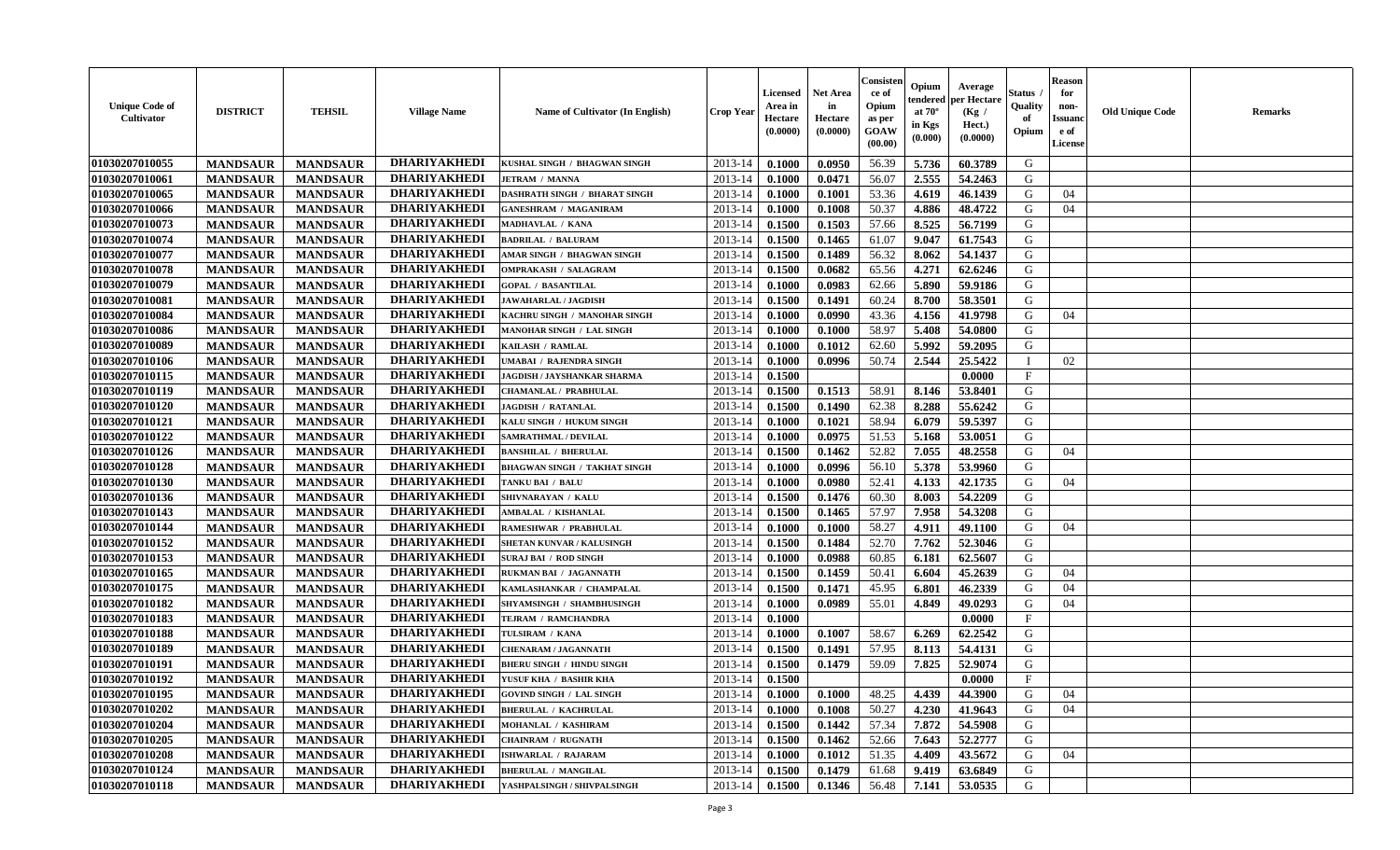| <b>Unique Code of</b><br>Cultivator | <b>DISTRICT</b> | <b>TEHSIL</b>   | <b>Village Name</b>                 | <b>Name of Cultivator (In English)</b>                         | <b>Crop Year</b> | Licensed<br>Area in<br>Hectare<br>(0.0000) | <b>Net Area</b><br>in<br>Hectare<br>(0.0000) | Consister<br>ce of<br>Opium<br>as per<br>GOAW<br>(00.00) | Opium<br>endered<br>at $70^\circ$<br>in Kgs<br>$(\mathbf{0.000})$ | Average<br>per Hectare<br>(Kg /<br>Hect.)<br>(0.0000) | Status<br>Quality<br>of<br>Opium | <b>Reason</b><br>for<br>non-<br><b>Issuano</b><br>e of<br>License | <b>Old Unique Code</b> | <b>Remarks</b> |
|-------------------------------------|-----------------|-----------------|-------------------------------------|----------------------------------------------------------------|------------------|--------------------------------------------|----------------------------------------------|----------------------------------------------------------|-------------------------------------------------------------------|-------------------------------------------------------|----------------------------------|-------------------------------------------------------------------|------------------------|----------------|
| 01030207010055                      | <b>MANDSAUR</b> | <b>MANDSAUR</b> | <b>DHARIYAKHEDI</b>                 | KUSHAL SINGH / BHAGWAN SINGH                                   | 2013-14          | 0.1000                                     | 0.0950                                       | 56.39                                                    | 5.736                                                             | 60.3789                                               | G                                |                                                                   |                        |                |
| 01030207010061                      | <b>MANDSAUR</b> | <b>MANDSAUR</b> | <b>DHARIYAKHEDI</b>                 | <b>JETRAM / MANNA</b>                                          | $2013 - 14$      | 0.1000                                     | 0.0471                                       | 56.07                                                    | 2.555                                                             | 54.2463                                               | G                                |                                                                   |                        |                |
| 01030207010065                      | <b>MANDSAUR</b> | <b>MANDSAUR</b> | <b>DHARIYAKHEDI</b>                 | <b>DASHRATH SINGH / BHARAT SINGH</b>                           | $2013 - 14$      | 0.1000                                     | 0.1001                                       | 53.36                                                    | 4.619                                                             | 46.1439                                               | G                                | 04                                                                |                        |                |
| 01030207010066                      | <b>MANDSAUR</b> | <b>MANDSAUR</b> | <b>DHARIYAKHEDI</b>                 | <b>GANESHRAM / MAGANIRAM</b>                                   | 2013-14          | 0.1000                                     | 0.1008                                       | 50.37                                                    | 4.886                                                             | 48.4722                                               | G                                | 04                                                                |                        |                |
| 01030207010073                      | <b>MANDSAUR</b> | <b>MANDSAUR</b> | <b>DHARIYAKHEDI</b>                 | MADHAVLAL / KANA                                               | 2013-14          | 0.1500                                     | 0.1503                                       | 57.66                                                    | 8.525                                                             | 56.7199                                               | G                                |                                                                   |                        |                |
| 01030207010074                      | <b>MANDSAUR</b> | <b>MANDSAUR</b> | <b>DHARIYAKHEDI</b>                 | <b>BADRILAL / BALURAM</b>                                      | 2013-14          | 0.1500                                     | 0.1465                                       | 61.07                                                    | 9.047                                                             | 61.7543                                               | G                                |                                                                   |                        |                |
| 01030207010077                      | <b>MANDSAUR</b> | <b>MANDSAUR</b> | <b>DHARIYAKHEDI</b>                 | AMAR SINGH / BHAGWAN SINGH                                     | 2013-14          | 0.1500                                     | 0.1489                                       | 56.32                                                    | 8.062                                                             | 54.1437                                               | G                                |                                                                   |                        |                |
| 01030207010078                      | <b>MANDSAUR</b> | <b>MANDSAUR</b> | <b>DHARIYAKHEDI</b>                 | <b>OMPRAKASH / SALAGRAM</b>                                    | $2013 - 14$      | 0.1500                                     | 0.0682                                       | 65.56                                                    | 4.271                                                             | 62.6246                                               | G                                |                                                                   |                        |                |
| 01030207010079                      | <b>MANDSAUR</b> | <b>MANDSAUR</b> | <b>DHARIYAKHEDI</b>                 | <b>GOPAL / BASANTILAL</b>                                      | 2013-14          | 0.1000                                     | 0.0983                                       | 62.66                                                    | 5.890                                                             | 59.9186                                               | G                                |                                                                   |                        |                |
| 01030207010081                      | <b>MANDSAUR</b> | <b>MANDSAUR</b> | <b>DHARIYAKHEDI</b>                 | JAWAHARLAL / JAGDISH                                           | 2013-14          | 0.1500                                     | 0.1491                                       | 60.24                                                    | 8.700                                                             | 58.3501                                               | G                                |                                                                   |                        |                |
| 01030207010084                      | <b>MANDSAUR</b> | <b>MANDSAUR</b> | <b>DHARIYAKHEDI</b>                 | KACHRU SINGH / MANOHAR SINGH                                   | 2013-14          | 0.1000                                     | 0.0990                                       | 43.36                                                    | 4.156                                                             | 41.9798                                               | G                                | 04                                                                |                        |                |
| 01030207010086                      | <b>MANDSAUR</b> | <b>MANDSAUR</b> | <b>DHARIYAKHEDI</b>                 | <b>MANOHAR SINGH / LAL SINGH</b>                               | 2013-14          | 0.1000                                     | 0.1000                                       | 58.97                                                    | 5.408                                                             | 54.0800                                               | G                                |                                                                   |                        |                |
| 01030207010089                      | <b>MANDSAUR</b> | <b>MANDSAUR</b> | <b>DHARIYAKHEDI</b>                 | KAILASH / RAMLAL                                               | 2013-14          | 0.1000                                     | 0.1012                                       | 62.60                                                    | 5.992                                                             | 59.2095                                               | G                                |                                                                   |                        |                |
| 01030207010106                      | <b>MANDSAUR</b> | <b>MANDSAUR</b> | <b>DHARIYAKHEDI</b>                 | JMABAI / RAJENDRA SINGH                                        | 2013-14          | 0.1000                                     | 0.0996                                       | 50.74                                                    | 2.544                                                             | 25.5422                                               |                                  | 02                                                                |                        |                |
| 01030207010115                      | <b>MANDSAUR</b> | <b>MANDSAUR</b> | <b>DHARIYAKHEDI</b>                 | <b>JAGDISH / JAYSHANKAR SHARMA</b>                             | 2013-14          | 0.1500                                     |                                              |                                                          |                                                                   | 0.0000                                                | $\mathbf{F}$                     |                                                                   |                        |                |
| 01030207010119                      | <b>MANDSAUR</b> | <b>MANDSAUR</b> | <b>DHARIYAKHEDI</b>                 | CHAMANLAL / PRABHULAL                                          | 2013-14          | 0.1500                                     | 0.1513                                       | 58.91                                                    | 8.146                                                             | 53.8401                                               | G                                |                                                                   |                        |                |
| 01030207010120                      | <b>MANDSAUR</b> | <b>MANDSAUR</b> | <b>DHARIYAKHEDI</b>                 | <b>JAGDISH / RATANLAL</b>                                      | $2013 - 14$      | 0.1500                                     | 0.1490                                       | 62.38                                                    | 8.288                                                             | 55.6242                                               | G                                |                                                                   |                        |                |
| 01030207010121                      | <b>MANDSAUR</b> | <b>MANDSAUR</b> | <b>DHARIYAKHEDI</b>                 | KALU SINGH / HUKUM SINGH                                       | 2013-14          | 0.1000                                     | 0.1021                                       | 58.94                                                    | 6.079                                                             | 59.5397                                               | G                                |                                                                   |                        |                |
| 01030207010122                      | <b>MANDSAUR</b> | <b>MANDSAUR</b> | <b>DHARIYAKHEDI</b>                 | <b>SAMRATHMAL / DEVILAL</b>                                    | 2013-14          | 0.1000                                     | 0.0975                                       | 51.53                                                    | 5.168                                                             | 53.0051                                               | G                                |                                                                   |                        |                |
| 01030207010126                      | <b>MANDSAUR</b> | <b>MANDSAUR</b> | <b>DHARIYAKHEDI</b>                 | <b>BANSHILAL / BHERULAL</b>                                    | 2013-14          | 0.1500                                     | 0.1462                                       | 52.82                                                    | 7.055                                                             | 48.2558                                               | G                                | 04                                                                |                        |                |
| 01030207010128                      | <b>MANDSAUR</b> | <b>MANDSAUR</b> | <b>DHARIYAKHEDI</b>                 | <b>BHAGWAN SINGH / TAKHAT SINGH</b>                            | 2013-14          | 0.1000                                     | 0.0996                                       | 56.10                                                    | 5.378                                                             | 53.9960                                               | G                                |                                                                   |                        |                |
| 01030207010130                      | <b>MANDSAUR</b> | <b>MANDSAUR</b> | <b>DHARIYAKHEDI</b>                 | TANKU BAI / BALU                                               | 2013-14          | 0.1000                                     | 0.0980                                       | 52.41                                                    | 4.133                                                             | 42.1735                                               | G                                | 04                                                                |                        |                |
| 01030207010136                      | <b>MANDSAUR</b> | <b>MANDSAUR</b> | <b>DHARIYAKHEDI</b>                 | SHIVNARAYAN / KALU                                             | 2013-14          | 0.1500                                     | 0.1476                                       | 60.30                                                    | 8.003                                                             | 54.2209                                               | G                                |                                                                   |                        |                |
| 01030207010143                      | <b>MANDSAUR</b> | <b>MANDSAUR</b> | <b>DHARIYAKHEDI</b>                 | AMBALAL / KISHANLAL                                            | 2013-14          | 0.1500                                     | 0.1465                                       | 57.97                                                    | 7.958                                                             | 54.3208                                               | G                                |                                                                   |                        |                |
| 01030207010144                      | <b>MANDSAUR</b> | <b>MANDSAUR</b> | <b>DHARIYAKHEDI</b>                 | RAMESHWAR / PRABHULAL                                          | $2013 - 14$      | 0.1000                                     | 0.1000                                       | 58.27                                                    | 4.911                                                             | 49.1100                                               | G                                | 04                                                                |                        |                |
| 01030207010152                      | <b>MANDSAUR</b> | <b>MANDSAUR</b> | <b>DHARIYAKHEDI</b>                 | SHETAN KUNVAR / KALUSINGH                                      | 2013-14          | 0.1500                                     | 0.1484                                       | 52.70                                                    | 7.762                                                             | 52.3046                                               | G                                |                                                                   |                        |                |
| 01030207010153                      | <b>MANDSAUR</b> | <b>MANDSAUR</b> | <b>DHARIYAKHEDI</b>                 | <b>SURAJ BAI / ROD SINGH</b>                                   | 2013-14          | 0.1000                                     | 0.0988                                       | 60.85                                                    | 6.181                                                             | 62.5607                                               | G                                |                                                                   |                        |                |
| 01030207010165                      | <b>MANDSAUR</b> | <b>MANDSAUR</b> | <b>DHARIYAKHEDI</b>                 | RUKMAN BAI / JAGANNATH                                         | $2013 - 14$      | 0.1500                                     | 0.1459                                       | 50.41                                                    | 6.604                                                             | 45.2639                                               | G                                | 04                                                                |                        |                |
| 01030207010175                      | <b>MANDSAUR</b> | <b>MANDSAUR</b> | <b>DHARIYAKHEDI</b>                 | KAMLASHANKAR / CHAMPALAL                                       | 2013-14          | 0.1500                                     | 0.1471                                       | 45.95                                                    | 6.801                                                             | 46.2339                                               | G                                | 04                                                                |                        |                |
| 01030207010182                      | <b>MANDSAUR</b> | <b>MANDSAUR</b> | <b>DHARIYAKHEDI</b>                 | SHYAMSINGH / SHAMBHUSINGH                                      | 2013-14          | 0.1000                                     | 0.0989                                       | 55.01                                                    | 4.849                                                             | 49.0293                                               | G                                | 04                                                                |                        |                |
| 01030207010183                      | <b>MANDSAUR</b> | <b>MANDSAUR</b> | <b>DHARIYAKHEDI</b>                 | TEJRAM / RAMCHANDRA                                            | 2013-14          | 0.1000                                     |                                              |                                                          |                                                                   | 0.0000                                                | $\mathbf F$                      |                                                                   |                        |                |
| 01030207010188                      | <b>MANDSAUR</b> | <b>MANDSAUR</b> | <b>DHARIYAKHEDI</b>                 | TULSIRAM / KANA                                                | 2013-14          | 0.1000                                     | 0.1007                                       | 58.67                                                    | 6.269                                                             | 62.2542                                               | G                                |                                                                   |                        |                |
| 01030207010189                      | <b>MANDSAUR</b> | <b>MANDSAUR</b> | <b>DHARIYAKHEDI</b>                 | <b>CHENARAM / JAGANNATH</b>                                    | 2013-14          | 0.1500                                     | 0.1491                                       | 57.95                                                    | 8.113                                                             | 54.4131                                               | G                                |                                                                   |                        |                |
| 01030207010191                      | <b>MANDSAUR</b> | <b>MANDSAUR</b> | <b>DHARIYAKHEDI</b>                 | <b>BHERU SINGH / HINDU SINGH</b>                               | $2013 - 14$      | 0.1500                                     | 0.1479                                       | 59.09                                                    | 7.825                                                             | 52.9074                                               | G                                |                                                                   |                        |                |
| 01030207010192                      | <b>MANDSAUR</b> | <b>MANDSAUR</b> | <b>DHARIYAKHEDI</b>                 | YUSUF KHA / BASHIR KHA                                         | 2013-14          | 0.1500                                     |                                              |                                                          |                                                                   | 0.0000                                                | $\mathbf{F}$                     |                                                                   |                        |                |
|                                     |                 |                 |                                     |                                                                | $2013-14$ 0.1000 |                                            |                                              |                                                          |                                                                   |                                                       |                                  |                                                                   |                        |                |
| 01030207010195<br>01030207010202    | <b>MANDSAUR</b> | <b>MANDSAUR</b> | DHARIYAKHEDI<br><b>DHARIYAKHEDI</b> | <b>GOVIND SINGH / LAL SINGH</b><br><b>BHERULAL / KACHRULAL</b> |                  |                                            | 0.1000                                       | 48.25                                                    | 4.439                                                             | 44.3900                                               | G                                | 04                                                                |                        |                |
| 01030207010204                      | <b>MANDSAUR</b> | <b>MANDSAUR</b> | <b>DHARIYAKHEDI</b>                 | MOHANLAL / KASHIRAM                                            | 2013-14          | 0.1000                                     | 0.1008                                       | 50.27                                                    | 4.230                                                             | 41.9643                                               | G                                | 04                                                                |                        |                |
|                                     | <b>MANDSAUR</b> | <b>MANDSAUR</b> | <b>DHARIYAKHEDI</b>                 |                                                                | 2013-14          | 0.1500                                     | 0.1442                                       | 57.34                                                    | 7.872                                                             | 54.5908                                               | G                                |                                                                   |                        |                |
| 01030207010205                      | <b>MANDSAUR</b> | <b>MANDSAUR</b> | <b>DHARIYAKHEDI</b>                 | <b>CHAINRAM / RUGNATH</b>                                      | 2013-14          | 0.1500                                     | 0.1462                                       | 52.66                                                    | 7.643                                                             | 52,2777                                               | G                                |                                                                   |                        |                |
| 01030207010208                      | <b>MANDSAUR</b> | <b>MANDSAUR</b> |                                     | <b>ISHWARLAL / RAJARAM</b>                                     | 2013-14          | 0.1000                                     | 0.1012                                       | 51.35                                                    | 4.409                                                             | 43.5672                                               | G                                | 04                                                                |                        |                |
| 01030207010124                      | <b>MANDSAUR</b> | <b>MANDSAUR</b> | <b>DHARIYAKHEDI</b>                 | <b>BHERULAL / MANGILAL</b>                                     | 2013-14          | 0.1500                                     | 0.1479                                       | 61.68                                                    | 9.419                                                             | 63.6849                                               | G                                |                                                                   |                        |                |
| 01030207010118                      | <b>MANDSAUR</b> | <b>MANDSAUR</b> | <b>DHARIYAKHEDI</b>                 | YASHPALSINGH / SHIVPALSINGH                                    | 2013-14          | 0.1500                                     | 0.1346                                       | 56.48                                                    | 7.141                                                             | 53.0535                                               | G                                |                                                                   |                        |                |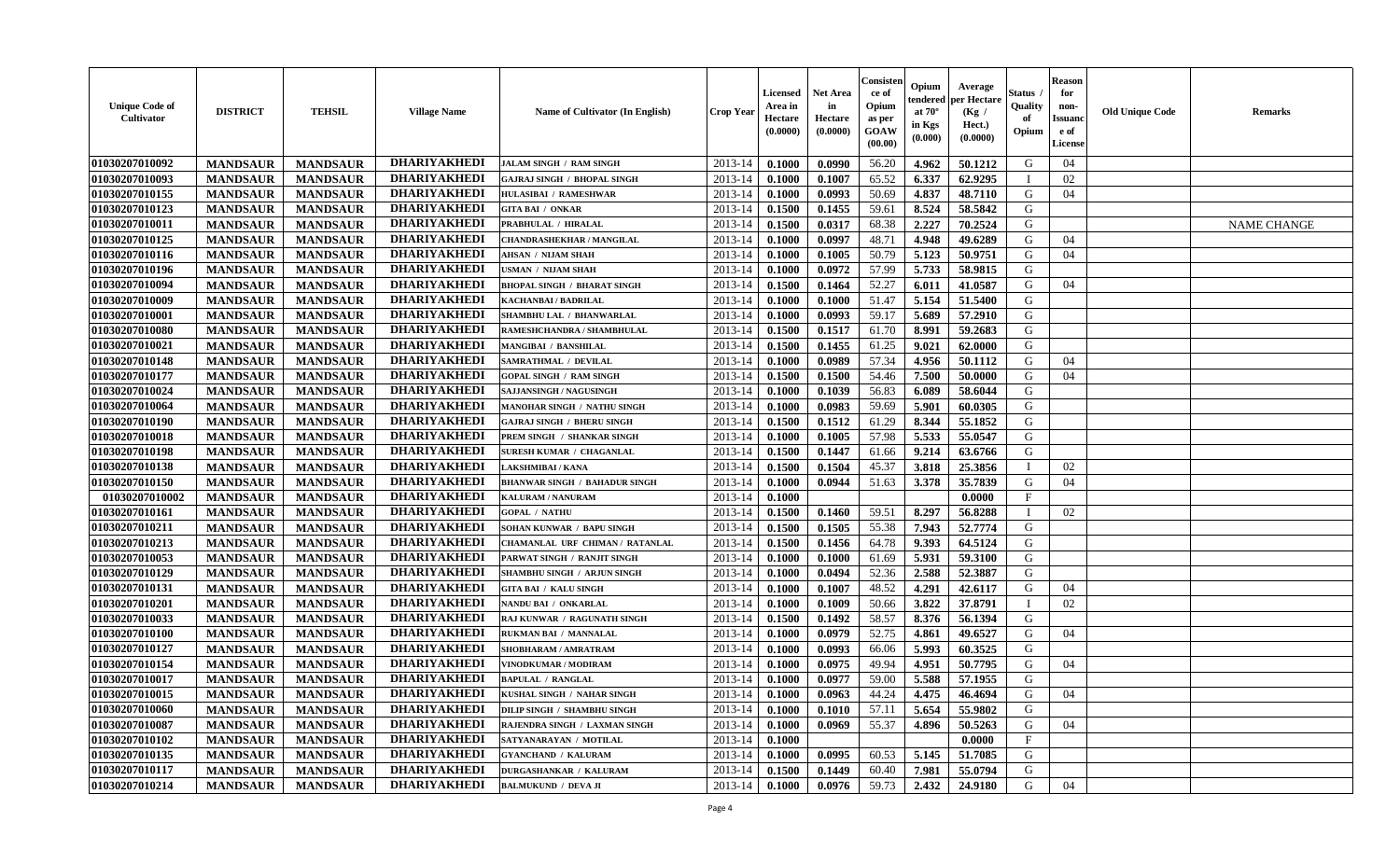| <b>Unique Code of</b><br>Cultivator | <b>DISTRICT</b> | <b>TEHSIL</b>   | <b>Village Name</b> | Name of Cultivator (In English)      | Crop Year   | Licensed<br>Area in<br>Hectare<br>(0.0000) | <b>Net Area</b><br>in<br>Hectare<br>(0.0000) | Consisten<br>ce of<br>Opium<br>as per<br>GOAW<br>(00.00) | Opium<br>tendered<br>at $70^\circ$<br>in Kgs<br>(0.000) | Average<br>per Hectare<br>(Kg /<br>Hect.)<br>(0.0000) | Status<br>Quality<br>of<br>Opium | <b>Reason</b><br>for<br>non-<br><b>Issuand</b><br>e of<br>License | <b>Old Unique Code</b> | <b>Remarks</b>     |
|-------------------------------------|-----------------|-----------------|---------------------|--------------------------------------|-------------|--------------------------------------------|----------------------------------------------|----------------------------------------------------------|---------------------------------------------------------|-------------------------------------------------------|----------------------------------|-------------------------------------------------------------------|------------------------|--------------------|
| 01030207010092                      | <b>MANDSAUR</b> | <b>MANDSAUR</b> | <b>DHARIYAKHEDI</b> | <b>JALAM SINGH / RAM SINGH</b>       | 2013-14     | 0.1000                                     | 0.0990                                       | 56.20                                                    | 4.962                                                   | 50.1212                                               | G                                | 04                                                                |                        |                    |
| 01030207010093                      | <b>MANDSAUR</b> | <b>MANDSAUR</b> | <b>DHARIYAKHEDI</b> | <b>GAJRAJ SINGH / BHOPAL SINGH</b>   | 2013-14     | 0.1000                                     | 0.1007                                       | 65.52                                                    | 6.337                                                   | 62.9295                                               |                                  | 02                                                                |                        |                    |
| 01030207010155                      | <b>MANDSAUR</b> | <b>MANDSAUR</b> | <b>DHARIYAKHEDI</b> | <b>HULASIBAI / RAMESHWAR</b>         | $2013 - 14$ | 0.1000                                     | 0.0993                                       | 50.69                                                    | 4.837                                                   | 48.7110                                               | G                                | 04                                                                |                        |                    |
| 01030207010123                      | <b>MANDSAUR</b> | <b>MANDSAUR</b> | <b>DHARIYAKHEDI</b> | <b>GITA BAI / ONKAR</b>              | 2013-14     | 0.1500                                     | 0.1455                                       | 59.61                                                    | 8.524                                                   | 58.5842                                               | G                                |                                                                   |                        |                    |
| 01030207010011                      | <b>MANDSAUR</b> | <b>MANDSAUR</b> | <b>DHARIYAKHEDI</b> | PRABHULAL / HIRALAL                  | 2013-14     | 0.1500                                     | 0.0317                                       | 68.38                                                    | 2.227                                                   | 70.2524                                               | G                                |                                                                   |                        | <b>NAME CHANGE</b> |
| 01030207010125                      | <b>MANDSAUR</b> | <b>MANDSAUR</b> | <b>DHARIYAKHEDI</b> | CHANDRASHEKHAR / MANGILAL            | 2013-14     | 0.1000                                     | 0.0997                                       | 48.71                                                    | 4.948                                                   | 49.6289                                               | G                                | 04                                                                |                        |                    |
| 01030207010116                      | <b>MANDSAUR</b> | <b>MANDSAUR</b> | <b>DHARIYAKHEDI</b> | AHSAN / NIJAM SHAH                   | 2013-14     | 0.1000                                     | 0.1005                                       | 50.79                                                    | 5.123                                                   | 50.9751                                               | G                                | 04                                                                |                        |                    |
| 01030207010196                      | <b>MANDSAUR</b> | <b>MANDSAUR</b> | <b>DHARIYAKHEDI</b> | <b>JSMAN / NIJAM SHAH</b>            | 2013-14     | 0.1000                                     | 0.0972                                       | 57.99                                                    | 5.733                                                   | 58.9815                                               | G                                |                                                                   |                        |                    |
| 01030207010094                      | <b>MANDSAUR</b> | <b>MANDSAUR</b> | <b>DHARIYAKHEDI</b> | <b>BHOPAL SINGH / BHARAT SINGH</b>   | $2013 - 14$ | 0.1500                                     | 0.1464                                       | 52.27                                                    | 6.011                                                   | 41.0587                                               | G                                | 04                                                                |                        |                    |
| 01030207010009                      | <b>MANDSAUR</b> | <b>MANDSAUR</b> | <b>DHARIYAKHEDI</b> | KACHANBAI / BADRILAL                 | 2013-14     | 0.1000                                     | 0.1000                                       | 51.47                                                    | 5.154                                                   | 51.5400                                               | G                                |                                                                   |                        |                    |
| 01030207010001                      | <b>MANDSAUR</b> | <b>MANDSAUR</b> | <b>DHARIYAKHEDI</b> | SHAMBHU LAL / BHANWARLAL             | 2013-14     | 0.1000                                     | 0.0993                                       | 59.17                                                    | 5.689                                                   | 57.2910                                               | G                                |                                                                   |                        |                    |
| 01030207010080                      | <b>MANDSAUR</b> | <b>MANDSAUR</b> | <b>DHARIYAKHEDI</b> | RAMESHCHANDRA / SHAMBHULAL           | $2013 - 14$ | 0.1500                                     | 0.1517                                       | 61.70                                                    | 8.991                                                   | 59.2683                                               | G                                |                                                                   |                        |                    |
| 01030207010021                      | <b>MANDSAUR</b> | <b>MANDSAUR</b> | <b>DHARIYAKHEDI</b> | <b>MANGIBAI / BANSHILAL</b>          | 2013-14     | 0.1500                                     | 0.1455                                       | 61.25                                                    | 9.021                                                   | 62.0000                                               | G                                |                                                                   |                        |                    |
| 01030207010148                      | <b>MANDSAUR</b> | <b>MANDSAUR</b> | <b>DHARIYAKHEDI</b> | SAMRATHMAL / DEVILAL                 | 2013-14     | 0.1000                                     | 0.0989                                       | 57.34                                                    | 4.956                                                   | 50.1112                                               | G                                | 04                                                                |                        |                    |
| 01030207010177                      | <b>MANDSAUR</b> | <b>MANDSAUR</b> | <b>DHARIYAKHEDI</b> | <b>GOPAL SINGH / RAM SINGH</b>       | $2013 - 14$ | 0.1500                                     | 0.1500                                       | 54.46                                                    | 7.500                                                   | 50.0000                                               | G                                | 04                                                                |                        |                    |
| 01030207010024                      | <b>MANDSAUR</b> | <b>MANDSAUR</b> | <b>DHARIYAKHEDI</b> | SAJJANSINGH / NAGUSINGH              | 2013-14     | 0.1000                                     | 0.1039                                       | 56.83                                                    | 6.089                                                   | 58.6044                                               | G                                |                                                                   |                        |                    |
| 01030207010064                      | <b>MANDSAUR</b> | <b>MANDSAUR</b> | <b>DHARIYAKHEDI</b> | <b>MANOHAR SINGH / NATHU SINGH</b>   | 2013-14     | 0.1000                                     | 0.0983                                       | 59.69                                                    | 5.901                                                   | 60.0305                                               | G                                |                                                                   |                        |                    |
| 01030207010190                      | <b>MANDSAUR</b> | <b>MANDSAUR</b> | <b>DHARIYAKHEDI</b> | <b>GAJRAJ SINGH / BHERU SINGH</b>    | 2013-14     | 0.1500                                     | 0.1512                                       | 61.29                                                    | 8.344                                                   | 55.1852                                               | G                                |                                                                   |                        |                    |
| 01030207010018                      | <b>MANDSAUR</b> | <b>MANDSAUR</b> | <b>DHARIYAKHEDI</b> | PREM SINGH / SHANKAR SINGH           | 2013-14     | 0.1000                                     | 0.1005                                       | 57.98                                                    | 5.533                                                   | 55.0547                                               | G                                |                                                                   |                        |                    |
| 01030207010198                      | <b>MANDSAUR</b> | <b>MANDSAUR</b> | <b>DHARIYAKHEDI</b> | SURESH KUMAR / CHAGANLAL             | 2013-14     | 0.1500                                     | 0.1447                                       | 61.66                                                    | 9.214                                                   | 63.6766                                               | G                                |                                                                   |                        |                    |
| 01030207010138                      | <b>MANDSAUR</b> | <b>MANDSAUR</b> | <b>DHARIYAKHEDI</b> | LAKSHMIBAI / KANA                    | 2013-14     | 0.1500                                     | 0.1504                                       | 45.37                                                    | 3.818                                                   | 25.3856                                               |                                  | 02                                                                |                        |                    |
| <b>01030207010150</b>               | <b>MANDSAUR</b> | <b>MANDSAUR</b> | <b>DHARIYAKHEDI</b> | <b>BHANWAR SINGH / BAHADUR SINGH</b> | 2013-14     | 0.1000                                     | 0.0944                                       | 51.63                                                    | 3.378                                                   | 35.7839                                               | G                                | 04                                                                |                        |                    |
| 01030207010002                      | <b>MANDSAUR</b> | <b>MANDSAUR</b> | <b>DHARIYAKHEDI</b> | KALURAM / NANURAM                    | 2013-14     | 0.1000                                     |                                              |                                                          |                                                         | 0.0000                                                | $\mathbf{F}$                     |                                                                   |                        |                    |
| 01030207010161                      | <b>MANDSAUR</b> | <b>MANDSAUR</b> | <b>DHARIYAKHEDI</b> | <b>GOPAL / NATHU</b>                 | 2013-14     | 0.1500                                     | 0.1460                                       | 59.51                                                    | 8.297                                                   | 56.8288                                               | - 1                              | 02                                                                |                        |                    |
| 01030207010211                      | <b>MANDSAUR</b> | <b>MANDSAUR</b> | <b>DHARIYAKHEDI</b> | SOHAN KUNWAR / BAPU SINGH            | $2013 - 14$ | 0.1500                                     | 0.1505                                       | 55.38                                                    | 7.943                                                   | 52,7774                                               | G                                |                                                                   |                        |                    |
| 01030207010213                      | <b>MANDSAUR</b> | <b>MANDSAUR</b> | <b>DHARIYAKHEDI</b> | CHAMANLAL URF CHIMAN / RATANLAL      | 2013-14     | 0.1500                                     | 0.1456                                       | 64.78                                                    | 9.393                                                   | 64.5124                                               | G                                |                                                                   |                        |                    |
| 01030207010053                      | <b>MANDSAUR</b> | <b>MANDSAUR</b> | <b>DHARIYAKHEDI</b> | PARWAT SINGH / RANJIT SINGH          | 2013-14     | 0.1000                                     | 0.1000                                       | 61.69                                                    | 5.931                                                   | 59.3100                                               | G                                |                                                                   |                        |                    |
| 01030207010129                      | <b>MANDSAUR</b> | <b>MANDSAUR</b> | <b>DHARIYAKHEDI</b> | SHAMBHU SINGH / ARJUN SINGH          | 2013-14     | 0.1000                                     | 0.0494                                       | 52.36                                                    | 2.588                                                   | 52.3887                                               | G                                |                                                                   |                        |                    |
| 01030207010131                      | <b>MANDSAUR</b> | <b>MANDSAUR</b> | <b>DHARIYAKHEDI</b> | <b>GITA BAI / KALU SINGH</b>         | 2013-14     | 0.1000                                     | 0.1007                                       | 48.52                                                    | 4.291                                                   | 42.6117                                               | G                                | 04                                                                |                        |                    |
| 01030207010201                      | <b>MANDSAUR</b> | <b>MANDSAUR</b> | <b>DHARIYAKHEDI</b> | NANDU BAI / ONKARLAL                 | 2013-14     | 0.1000                                     | 0.1009                                       | 50.66                                                    | 3.822                                                   | 37.8791                                               | - 1                              | 02                                                                |                        |                    |
| 01030207010033                      | <b>MANDSAUR</b> | <b>MANDSAUR</b> | <b>DHARIYAKHEDI</b> | RAJ KUNWAR / RAGUNATH SINGH          | 2013-14     | 0.1500                                     | 0.1492                                       | 58.57                                                    | 8.376                                                   | 56.1394                                               | G                                |                                                                   |                        |                    |
| 01030207010100                      | <b>MANDSAUR</b> | <b>MANDSAUR</b> | <b>DHARIYAKHEDI</b> | RUKMAN BAI / MANNALAL                | 2013-14     | 0.1000                                     | 0.0979                                       | 52.75                                                    | 4.861                                                   | 49.6527                                               | G                                | 04                                                                |                        |                    |
| 01030207010127                      | <b>MANDSAUR</b> | <b>MANDSAUR</b> | <b>DHARIYAKHEDI</b> | <b>SHOBHARAM / AMRATRAM</b>          | 2013-14     | 0.1000                                     | 0.0993                                       | 66.06                                                    | 5.993                                                   | 60.3525                                               | G                                |                                                                   |                        |                    |
| 01030207010154                      | <b>MANDSAUR</b> | <b>MANDSAUR</b> | <b>DHARIYAKHEDI</b> | VINODKUMAR / MODIRAM                 | 2013-14     | 0.1000                                     | 0.0975                                       | 49.94                                                    | 4.951                                                   | 50.7795                                               | G                                | 04                                                                |                        |                    |
| 01030207010017                      | <b>MANDSAUR</b> | <b>MANDSAUR</b> | <b>DHARIYAKHEDI</b> | <b>BAPULAL / RANGLAL</b>             | 2013-14     | 0.1000                                     | 0.0977                                       | 59.00                                                    | 5.588                                                   | 57.1955                                               | G                                |                                                                   |                        |                    |
| 01030207010015                      | <b>MANDSAUR</b> | <b>MANDSAUR</b> | <b>DHARIYAKHEDI</b> | KUSHAL SINGH / NAHAR SINGH           | $2013 - 14$ | 0.1000                                     | 0.0963                                       | 44.24                                                    | 4.475                                                   | 46.4694                                               | G                                | 04                                                                |                        |                    |
| 01030207010060                      | <b>MANDSAUR</b> | <b>MANDSAUR</b> | <b>DHARIYAKHEDI</b> | DILIP SINGH / SHAMBHU SINGH          | 2013-14     | 0.1000                                     | 0.1010                                       | 57.11                                                    | 5.654                                                   | 55.9802                                               | G                                |                                                                   |                        |                    |
| 01030207010087                      | <b>MANDSAUR</b> | <b>MANDSAUR</b> | <b>DHARIYAKHEDI</b> | RAJENDRA SINGH / LAXMAN SINGH        | 2013-14     | 0.1000                                     | 0.0969                                       | 55.37                                                    | 4.896                                                   | 50.5263                                               | G                                | 04                                                                |                        |                    |
| 01030207010102                      | <b>MANDSAUR</b> | <b>MANDSAUR</b> | <b>DHARIYAKHEDI</b> | SATYANARAYAN / MOTILAL               | 2013-14     | 0.1000                                     |                                              |                                                          |                                                         | 0.0000                                                | $\mathbf{F}$                     |                                                                   |                        |                    |
| 01030207010135                      | <b>MANDSAUR</b> | <b>MANDSAUR</b> | <b>DHARIYAKHEDI</b> | <b>GYANCHAND / KALURAM</b>           | 2013-14     | 0.1000                                     | 0.0995                                       | 60.53                                                    | 5.145                                                   | 51.7085                                               | G                                |                                                                   |                        |                    |
| 01030207010117                      | <b>MANDSAUR</b> | <b>MANDSAUR</b> | <b>DHARIYAKHEDI</b> | <b>DURGASHANKAR / KALURAM</b>        | 2013-14     | 0.1500                                     | 0.1449                                       | 60.40                                                    | 7.981                                                   | 55.0794                                               | G                                |                                                                   |                        |                    |
| 01030207010214                      | <b>MANDSAUR</b> | <b>MANDSAUR</b> | <b>DHARIYAKHEDI</b> | <b>BALMUKUND / DEVA JI</b>           | 2013-14     | 0.1000                                     | 0.0976                                       | 59.73                                                    | 2.432                                                   | 24.9180                                               | G                                | 04                                                                |                        |                    |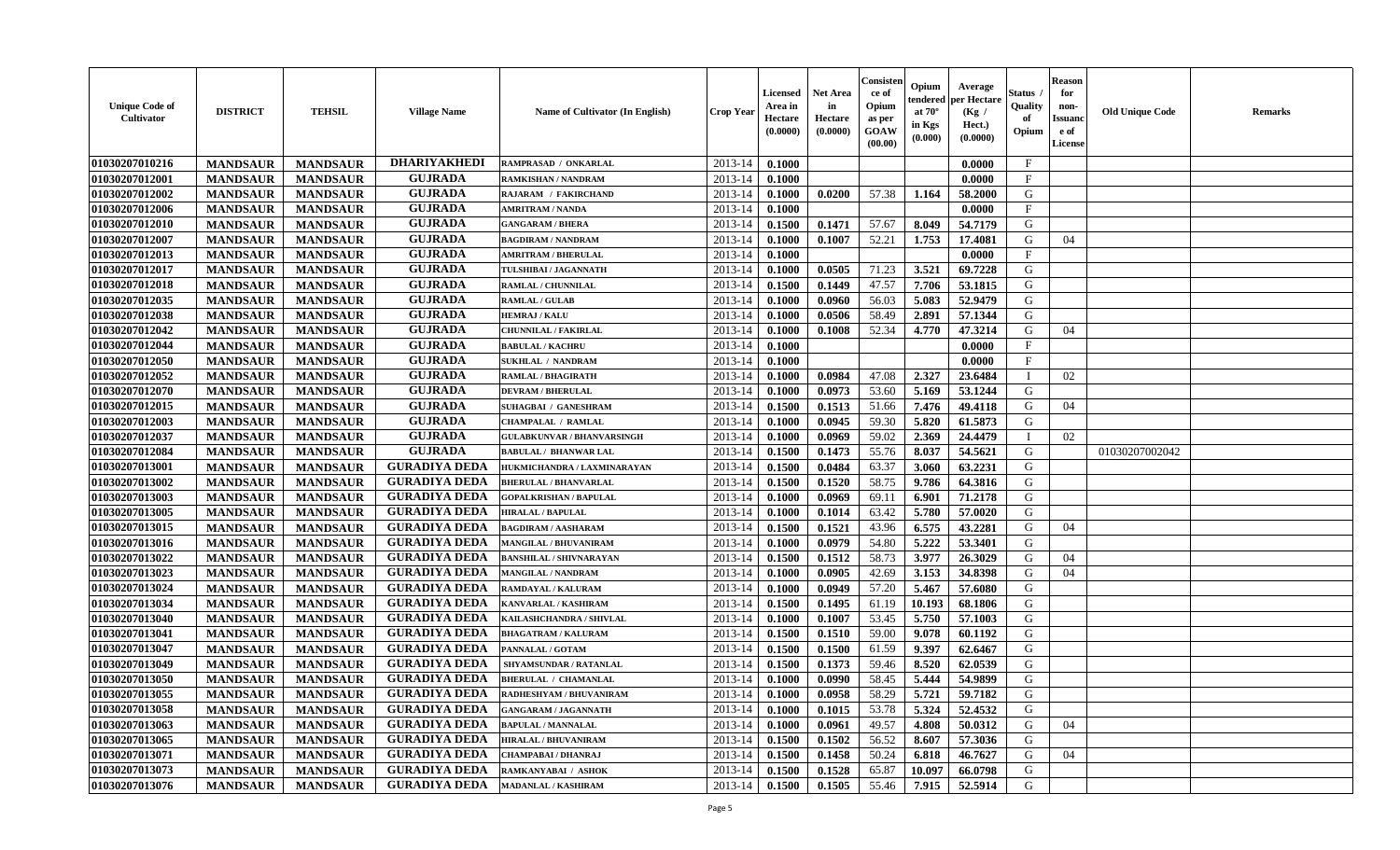| <b>Unique Code of</b><br>Cultivator | <b>DISTRICT</b> | <b>TEHSIL</b>   | <b>Village Name</b>  | <b>Name of Cultivator (In English)</b> | <b>Crop Year</b> | Licensed<br>Area in<br>Hectare<br>(0.0000) | <b>Net Area</b><br>in<br>Hectare<br>(0.0000) | Consister<br>ce of<br>Opium<br>as per<br><b>GOAW</b><br>(00.00) | Opium<br>endered<br>at $70^{\circ}$<br>in Kgs<br>(0.000) | Average<br>per Hectare<br>(Kg /<br>Hect.)<br>(0.0000) | Status<br>Quality<br>of<br>Opium | <b>Reason</b><br>for<br>non-<br><b>Issuano</b><br>e of<br>License | <b>Old Unique Code</b> | <b>Remarks</b> |
|-------------------------------------|-----------------|-----------------|----------------------|----------------------------------------|------------------|--------------------------------------------|----------------------------------------------|-----------------------------------------------------------------|----------------------------------------------------------|-------------------------------------------------------|----------------------------------|-------------------------------------------------------------------|------------------------|----------------|
| 01030207010216                      | <b>MANDSAUR</b> | <b>MANDSAUR</b> | <b>DHARIYAKHEDI</b>  | RAMPRASAD / ONKARLAL                   | 2013-14          | 0.1000                                     |                                              |                                                                 |                                                          | 0.0000                                                | $\mathbf{F}$                     |                                                                   |                        |                |
| 01030207012001                      | <b>MANDSAUR</b> | <b>MANDSAUR</b> | <b>GUJRADA</b>       | RAMKISHAN / NANDRAM                    | $2013 - 14$      | 0.1000                                     |                                              |                                                                 |                                                          | 0.0000                                                | $\mathbf{F}$                     |                                                                   |                        |                |
| 01030207012002                      | <b>MANDSAUR</b> | <b>MANDSAUR</b> | <b>GUJRADA</b>       | RAJARAM / FAKIRCHAND                   | 2013-14          | 0.1000                                     | 0.0200                                       | 57.38                                                           | 1.164                                                    | 58.2000                                               | G                                |                                                                   |                        |                |
| 01030207012006                      | <b>MANDSAUR</b> | <b>MANDSAUR</b> | <b>GUJRADA</b>       | <b>AMRITRAM / NANDA</b>                | 2013-14          | 0.1000                                     |                                              |                                                                 |                                                          | 0.0000                                                | $\mathbf{F}$                     |                                                                   |                        |                |
| 01030207012010                      | <b>MANDSAUR</b> | <b>MANDSAUR</b> | <b>GUJRADA</b>       | <b>GANGARAM / BHERA</b>                | 2013-14          | 0.1500                                     | 0.1471                                       | 57.67                                                           | 8.049                                                    | 54.7179                                               | G                                |                                                                   |                        |                |
| 01030207012007                      | <b>MANDSAUR</b> | <b>MANDSAUR</b> | <b>GUJRADA</b>       | <b>BAGDIRAM / NANDRAM</b>              | 2013-14          | 0.1000                                     | 0.1007                                       | 52.21                                                           | 1.753                                                    | 17.4081                                               | G                                | 04                                                                |                        |                |
| 01030207012013                      | <b>MANDSAUR</b> | <b>MANDSAUR</b> | <b>GUJRADA</b>       | <b>AMRITRAM / BHERULAL</b>             | 2013-14          | 0.1000                                     |                                              |                                                                 |                                                          | 0.0000                                                | $\mathbf{F}$                     |                                                                   |                        |                |
| 01030207012017                      | <b>MANDSAUR</b> | <b>MANDSAUR</b> | <b>GUJRADA</b>       | TULSHIBAI / JAGANNATH                  | 2013-14          | 0.1000                                     | 0.0505                                       | 71.23                                                           | 3.521                                                    | 69.7228                                               | G                                |                                                                   |                        |                |
| 01030207012018                      | <b>MANDSAUR</b> | <b>MANDSAUR</b> | <b>GUJRADA</b>       | RAMLAL / CHUNNILAL                     | 2013-14          | 0.1500                                     | 0.1449                                       | 47.57                                                           | 7.706                                                    | 53.1815                                               | G                                |                                                                   |                        |                |
| 01030207012035                      | <b>MANDSAUR</b> | <b>MANDSAUR</b> | <b>GUJRADA</b>       | <b>RAMLAL / GULAB</b>                  | 2013-14          | 0.1000                                     | 0.0960                                       | 56.03                                                           | 5.083                                                    | 52.9479                                               | G                                |                                                                   |                        |                |
| 01030207012038                      | <b>MANDSAUR</b> | <b>MANDSAUR</b> | <b>GUJRADA</b>       | <b>HEMRAJ / KALU</b>                   | 2013-14          | 0.1000                                     | 0.0506                                       | 58.49                                                           | 2.891                                                    | 57.1344                                               | G                                |                                                                   |                        |                |
| 01030207012042                      | <b>MANDSAUR</b> | <b>MANDSAUR</b> | <b>GUJRADA</b>       | <b>CHUNNILAL / FAKIRLAL</b>            | 2013-14          | 0.1000                                     | 0.1008                                       | 52.34                                                           | 4.770                                                    | 47.3214                                               | G                                | 04                                                                |                        |                |
| 01030207012044                      | <b>MANDSAUR</b> | <b>MANDSAUR</b> | <b>GUJRADA</b>       | <b>BABULAL / KACHRU</b>                | 2013-14          | 0.1000                                     |                                              |                                                                 |                                                          | 0.0000                                                | $\mathbf{F}$                     |                                                                   |                        |                |
| 01030207012050                      | <b>MANDSAUR</b> | <b>MANDSAUR</b> | <b>GUJRADA</b>       | <b>SUKHLAL / NANDRAM</b>               | 2013-14          | 0.1000                                     |                                              |                                                                 |                                                          | 0.0000                                                | $\mathbf{F}$                     |                                                                   |                        |                |
| 01030207012052                      | <b>MANDSAUR</b> | <b>MANDSAUR</b> | <b>GUJRADA</b>       | <b>RAMLAL / BHAGIRATH</b>              | 2013-14          | 0.1000                                     | 0.0984                                       | 47.08                                                           | 2.327                                                    | 23.6484                                               |                                  | 02                                                                |                        |                |
| 01030207012070                      | <b>MANDSAUR</b> | <b>MANDSAUR</b> | <b>GUJRADA</b>       | <b>DEVRAM / BHERULAL</b>               | 2013-14          | 0.1000                                     | 0.0973                                       | 53.60                                                           | 5.169                                                    | 53.1244                                               | G                                |                                                                   |                        |                |
| 01030207012015                      | <b>MANDSAUR</b> | <b>MANDSAUR</b> | <b>GUJRADA</b>       | <b>SUHAGBAI / GANESHRAM</b>            | 2013-14          | 0.1500                                     | 0.1513                                       | 51.66                                                           | 7.476                                                    | 49.4118                                               | G                                | 04                                                                |                        |                |
| 01030207012003                      | <b>MANDSAUR</b> | <b>MANDSAUR</b> | <b>GUJRADA</b>       | <b>CHAMPALAL / RAMLAL</b>              | 2013-14          | 0.1000                                     | 0.0945                                       | 59.30                                                           | 5.820                                                    | 61.5873                                               | G                                |                                                                   |                        |                |
| 01030207012037                      | <b>MANDSAUR</b> | <b>MANDSAUR</b> | <b>GUJRADA</b>       | <b>GULABKUNVAR / BHANVARSINGH</b>      | 2013-14          | 0.1000                                     | 0.0969                                       | 59.02                                                           | 2.369                                                    | 24.4479                                               |                                  | 02                                                                |                        |                |
| 01030207012084                      | <b>MANDSAUR</b> | <b>MANDSAUR</b> | <b>GUJRADA</b>       | <b>BABULAL / BHANWAR LAL</b>           | 2013-14          | 0.1500                                     | 0.1473                                       | 55.76                                                           | 8.037                                                    | 54.5621                                               | G                                |                                                                   | 01030207002042         |                |
| 01030207013001                      | <b>MANDSAUR</b> | <b>MANDSAUR</b> | <b>GURADIYA DEDA</b> | HUKMICHANDRA / LAXMINARAYAN            | 2013-14          | 0.1500                                     | 0.0484                                       | 63.37                                                           | 3.060                                                    | 63.2231                                               | G                                |                                                                   |                        |                |
| 01030207013002                      | <b>MANDSAUR</b> | <b>MANDSAUR</b> | <b>GURADIYA DEDA</b> | <b>BHERULAL / BHANVARLAL</b>           | 2013-14          | 0.1500                                     | 0.1520                                       | 58.75                                                           | 9.786                                                    | 64.3816                                               | G                                |                                                                   |                        |                |
| 01030207013003                      | <b>MANDSAUR</b> | <b>MANDSAUR</b> | <b>GURADIYA DEDA</b> | <b>GOPALKRISHAN / BAPULAL</b>          | 2013-14          | 0.1000                                     | 0.0969                                       | 69.11                                                           | 6.901                                                    | 71.2178                                               | G                                |                                                                   |                        |                |
| 01030207013005                      | <b>MANDSAUR</b> | <b>MANDSAUR</b> | <b>GURADIYA DEDA</b> | HIRALAL / BAPULAL                      | 2013-14          | 0.1000                                     | 0.1014                                       | 63.42                                                           | 5.780                                                    | 57.0020                                               | G                                |                                                                   |                        |                |
| 01030207013015                      | <b>MANDSAUR</b> | <b>MANDSAUR</b> | <b>GURADIYA DEDA</b> | <b>BAGDIRAM / AASHARAM</b>             | 2013-14          | 0.1500                                     | 0.1521                                       | 43.96                                                           | 6.575                                                    | 43.2281                                               | G                                | 04                                                                |                        |                |
| 01030207013016                      | <b>MANDSAUR</b> | <b>MANDSAUR</b> | <b>GURADIYA DEDA</b> | <b>MANGILAL / BHUVANIRAM</b>           | 2013-14          | 0.1000                                     | 0.0979                                       | 54.80                                                           | 5.222                                                    | 53.3401                                               | G                                |                                                                   |                        |                |
| 01030207013022                      | <b>MANDSAUR</b> | <b>MANDSAUR</b> | <b>GURADIYA DEDA</b> | <b>BANSHILAL / SHIVNARAYAN</b>         | 2013-14          | 0.1500                                     | 0.1512                                       | 58.73                                                           | 3.977                                                    | 26.3029                                               | G                                | 04                                                                |                        |                |
| 01030207013023                      | <b>MANDSAUR</b> | <b>MANDSAUR</b> | <b>GURADIYA DEDA</b> | <b>MANGILAL / NANDRAM</b>              | 2013-14          | 0.1000                                     | 0.0905                                       | 42.69                                                           | 3.153                                                    | 34.8398                                               | G                                | 04                                                                |                        |                |
| 01030207013024                      | <b>MANDSAUR</b> | <b>MANDSAUR</b> | <b>GURADIYA DEDA</b> | RAMDAYAL / KALURAM                     | 2013-14          | 0.1000                                     | 0.0949                                       | 57.20                                                           | 5.467                                                    | 57.6080                                               | G                                |                                                                   |                        |                |
| 01030207013034                      | <b>MANDSAUR</b> | <b>MANDSAUR</b> | <b>GURADIYA DEDA</b> | KANVARLAL / KASHIRAM                   | 2013-14          | 0.1500                                     | 0.1495                                       | 61.19                                                           | 10.193                                                   | 68.1806                                               | G                                |                                                                   |                        |                |
| 01030207013040                      | <b>MANDSAUR</b> | <b>MANDSAUR</b> | <b>GURADIYA DEDA</b> | KAILASHCHANDRA / SHIVLAL               | 2013-14          | 0.1000                                     | 0.1007                                       | 53.45                                                           | 5.750                                                    | 57.1003                                               | G                                |                                                                   |                        |                |
| 01030207013041                      | <b>MANDSAUR</b> | <b>MANDSAUR</b> | <b>GURADIYA DEDA</b> | <b>BHAGATRAM / KALURAM</b>             | 2013-14          | 0.1500                                     | 0.1510                                       | 59.00                                                           | 9.078                                                    | 60.1192                                               | G                                |                                                                   |                        |                |
| 01030207013047                      | <b>MANDSAUR</b> | <b>MANDSAUR</b> | <b>GURADIYA DEDA</b> | PANNALAL / GOTAM                       | 2013-14          | 0.1500                                     | 0.1500                                       | 61.59                                                           | 9.397                                                    | 62.6467                                               | G                                |                                                                   |                        |                |
| 01030207013049                      | <b>MANDSAUR</b> | <b>MANDSAUR</b> | <b>GURADIYA DEDA</b> | <b>SHYAMSUNDAR / RATANLAL</b>          | $2013 - 14$      | 0.1500                                     | 0.1373                                       | 59.46                                                           | 8.520                                                    | 62.0539                                               | G                                |                                                                   |                        |                |
| 01030207013050                      | <b>MANDSAUR</b> | <b>MANDSAUR</b> | <b>GURADIYA DEDA</b> | <b>BHERULAL / CHAMANLAL</b>            | 2013-14          | 0.1000                                     | 0.0990                                       | 58.45                                                           | 5.444                                                    | 54.9899                                               | G                                |                                                                   |                        |                |
| 01030207013055                      | <b>MANDSAUR</b> | <b>MANDSAUR</b> | GURADIYA DEDA        | RADHESHYAM / BHUVANIRAM                | $2013-14$ 0.1000 |                                            | 0.0958                                       | 58.29                                                           | $5.721$                                                  | 59.7182                                               | G                                |                                                                   |                        |                |
| 01030207013058                      | <b>MANDSAUR</b> | <b>MANDSAUR</b> | <b>GURADIYA DEDA</b> | <b>GANGARAM / JAGANNATH</b>            | 2013-14          | 0.1000                                     | 0.1015                                       | 53.78                                                           | 5.324                                                    | 52.4532                                               | G                                |                                                                   |                        |                |
| 01030207013063                      | <b>MANDSAUR</b> | <b>MANDSAUR</b> | <b>GURADIYA DEDA</b> | <b>BAPULAL / MANNALAL</b>              | 2013-14          | 0.1000                                     | 0.0961                                       | 49.57                                                           | 4.808                                                    | 50.0312                                               | G                                | 04                                                                |                        |                |
| 01030207013065                      | <b>MANDSAUR</b> | <b>MANDSAUR</b> | <b>GURADIYA DEDA</b> | <b>HIRALAL / BHUVANIRAM</b>            | 2013-14          | 0.1500                                     | 0.1502                                       | 56.52                                                           | 8.607                                                    | 57.3036                                               | G                                |                                                                   |                        |                |
| 01030207013071                      | <b>MANDSAUR</b> | <b>MANDSAUR</b> | <b>GURADIYA DEDA</b> | CHAMPABAI / DHANRAJ                    | 2013-14          | 0.1500                                     | 0.1458                                       | 50.24                                                           | 6.818                                                    | 46.7627                                               | G                                | 04                                                                |                        |                |
| 01030207013073                      | <b>MANDSAUR</b> | <b>MANDSAUR</b> | <b>GURADIYA DEDA</b> | RAMKANYABAI / ASHOK                    | 2013-14          | 0.1500                                     | 0.1528                                       | 65.87                                                           | 10.097                                                   | 66.0798                                               | G                                |                                                                   |                        |                |
| 01030207013076                      | <b>MANDSAUR</b> | <b>MANDSAUR</b> | <b>GURADIYA DEDA</b> | <b>MADANLAL / KASHIRAM</b>             | 2013-14          | 0.1500                                     | 0.1505                                       | 55.46                                                           | 7.915                                                    | 52.5914                                               | G                                |                                                                   |                        |                |
|                                     |                 |                 |                      |                                        |                  |                                            |                                              |                                                                 |                                                          |                                                       |                                  |                                                                   |                        |                |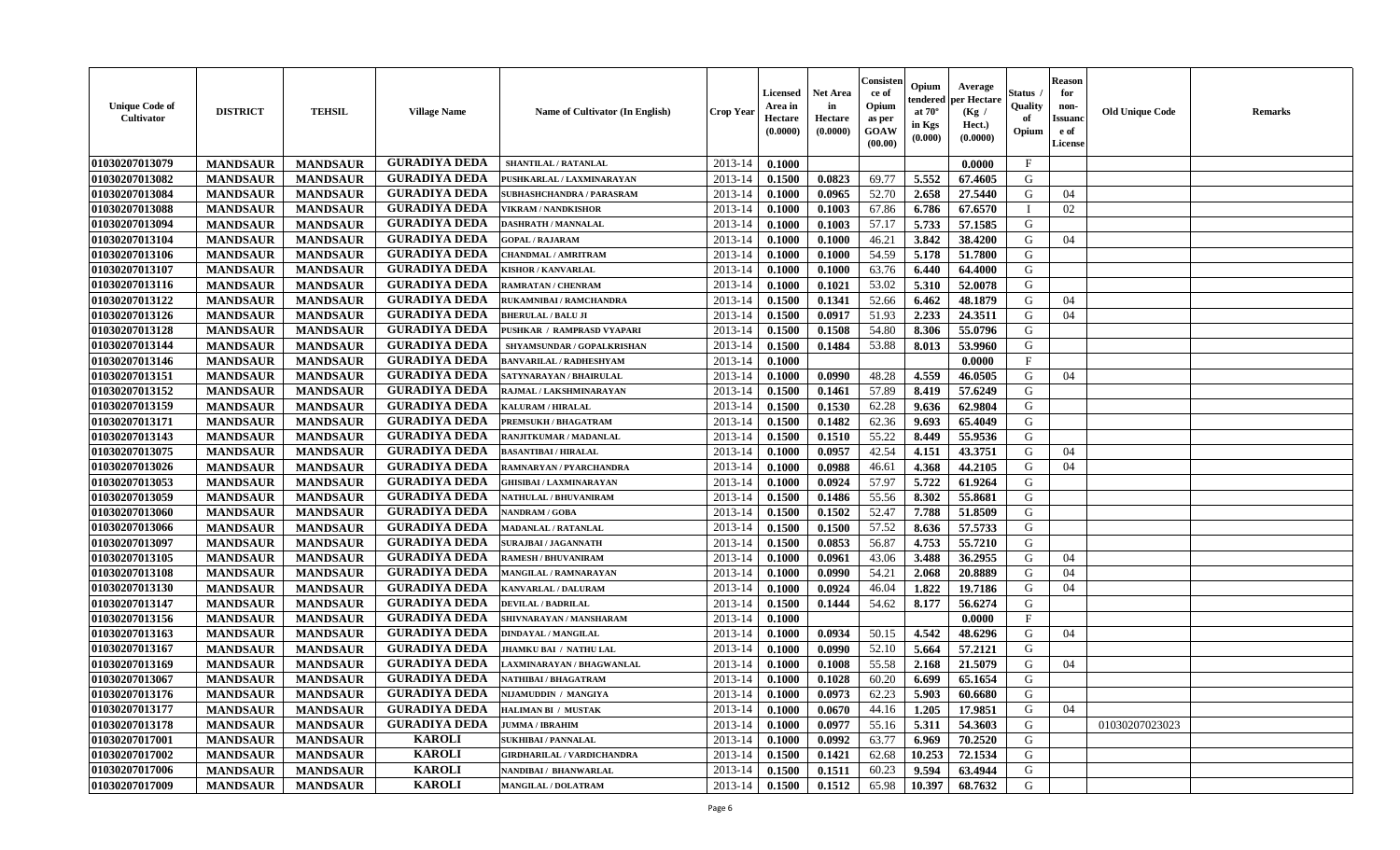| <b>Unique Code of</b><br><b>Cultivator</b> | <b>DISTRICT</b> | <b>TEHSIL</b>   | <b>Village Name</b>  | Name of Cultivator (In English)   | <b>Crop Year</b> | <b>Licensed</b><br>Area in<br>Hectare<br>(0.0000) | <b>Net Area</b><br>in<br>Hectare<br>(0.0000) | Consisteı<br>ce of<br>Opium<br>as per<br><b>GOAW</b><br>(00.00) | Opium<br>endered<br>at $70^\circ$<br>in Kgs<br>$(\mathbf{0.000})$ | Average<br>per Hectare<br>(Kg /<br>Hect.)<br>(0.0000) | Status<br>Quality<br>of<br>Opium | Reason<br>for<br>non-<br>Issuan<br>e of<br><b>License</b> | <b>Old Unique Code</b> | <b>Remarks</b> |
|--------------------------------------------|-----------------|-----------------|----------------------|-----------------------------------|------------------|---------------------------------------------------|----------------------------------------------|-----------------------------------------------------------------|-------------------------------------------------------------------|-------------------------------------------------------|----------------------------------|-----------------------------------------------------------|------------------------|----------------|
| 01030207013079                             | <b>MANDSAUR</b> | <b>MANDSAUR</b> | <b>GURADIYA DEDA</b> | SHANTILAL / RATANLAL              | 2013-14          | 0.1000                                            |                                              |                                                                 |                                                                   | 0.0000                                                | $\mathbf{F}$                     |                                                           |                        |                |
| 01030207013082                             | <b>MANDSAUR</b> | <b>MANDSAUR</b> | <b>GURADIYA DEDA</b> | PUSHKARLAL / LAXMINARAYAN         | 2013-14          | 0.1500                                            | 0.0823                                       | 69.77                                                           | 5.552                                                             | 67.4605                                               | G                                |                                                           |                        |                |
| 01030207013084                             | <b>MANDSAUR</b> | <b>MANDSAUR</b> | <b>GURADIYA DEDA</b> | <b>SUBHASHCHANDRA / PARASRAM</b>  | 2013-14          | 0.1000                                            | 0.0965                                       | 52.70                                                           | 2.658                                                             | 27.5440                                               | G                                | 04                                                        |                        |                |
| 01030207013088                             | <b>MANDSAUR</b> | <b>MANDSAUR</b> | <b>GURADIYA DEDA</b> | <b>VIKRAM / NANDKISHOR</b>        | 2013-14          | 0.1000                                            | 0.1003                                       | 67.86                                                           | 6.786                                                             | 67.6570                                               |                                  | 02                                                        |                        |                |
| 01030207013094                             | <b>MANDSAUR</b> | <b>MANDSAUR</b> | <b>GURADIYA DEDA</b> | <b>DASHRATH / MANNALAL</b>        | 2013-14          | 0.1000                                            | 0.1003                                       | 57.17                                                           | 5.733                                                             | 57.1585                                               | G                                |                                                           |                        |                |
| 01030207013104                             | <b>MANDSAUR</b> | <b>MANDSAUR</b> | <b>GURADIYA DEDA</b> | <b>GOPAL / RAJARAM</b>            | 2013-14          | 0.1000                                            | 0.1000                                       | 46.21                                                           | 3.842                                                             | 38.4200                                               | G                                | 04                                                        |                        |                |
| 01030207013106                             | <b>MANDSAUR</b> | <b>MANDSAUR</b> | <b>GURADIYA DEDA</b> | CHANDMAL / AMRITRAM               | 2013-14          | 0.1000                                            | 0.1000                                       | 54.59                                                           | 5.178                                                             | 51.7800                                               | G                                |                                                           |                        |                |
| 01030207013107                             | <b>MANDSAUR</b> | <b>MANDSAUR</b> | <b>GURADIYA DEDA</b> | <b>KISHOR / KANVARLAL</b>         | 2013-14          | 0.1000                                            | 0.1000                                       | 63.76                                                           | 6.440                                                             | 64.4000                                               | G                                |                                                           |                        |                |
| 01030207013116                             | <b>MANDSAUR</b> | <b>MANDSAUR</b> | <b>GURADIYA DEDA</b> | <b>RAMRATAN / CHENRAM</b>         | 2013-14          | 0.1000                                            | 0.1021                                       | 53.02                                                           | 5.310                                                             | 52.0078                                               | G                                |                                                           |                        |                |
| 01030207013122                             | <b>MANDSAUR</b> | <b>MANDSAUR</b> | <b>GURADIYA DEDA</b> | RUKAMNIBAI / RAMCHANDRA           | 2013-14          | 0.1500                                            | 0.1341                                       | 52.66                                                           | 6.462                                                             | 48.1879                                               | G                                | 04                                                        |                        |                |
| 01030207013126                             | <b>MANDSAUR</b> | <b>MANDSAUR</b> | <b>GURADIYA DEDA</b> | <b>BHERULAL / BALU JI</b>         | 2013-14          | 0.1500                                            | 0.0917                                       | 51.93                                                           | 2.233                                                             | 24.3511                                               | G                                | 04                                                        |                        |                |
| 01030207013128                             | <b>MANDSAUR</b> | <b>MANDSAUR</b> | <b>GURADIYA DEDA</b> | PUSHKAR / RAMPRASD VYAPARI        | 2013-14          | 0.1500                                            | 0.1508                                       | 54.80                                                           | 8.306                                                             | 55.0796                                               | G                                |                                                           |                        |                |
| 01030207013144                             | <b>MANDSAUR</b> | <b>MANDSAUR</b> | <b>GURADIYA DEDA</b> | SHYAMSUNDAR / GOPALKRISHAN        | 2013-14          | 0.1500                                            | 0.1484                                       | 53.88                                                           | 8.013                                                             | 53.9960                                               | G                                |                                                           |                        |                |
| 01030207013146                             | <b>MANDSAUR</b> | <b>MANDSAUR</b> | <b>GURADIYA DEDA</b> | BANVARILAL / RADHESHYAM           | 2013-14          | 0.1000                                            |                                              |                                                                 |                                                                   | 0.0000                                                | $\mathbf{F}$                     |                                                           |                        |                |
| 01030207013151                             | <b>MANDSAUR</b> | <b>MANDSAUR</b> | <b>GURADIYA DEDA</b> | SATYNARAYAN / BHAIRULAL           | 2013-14          | 0.1000                                            | 0.0990                                       | 48.28                                                           | 4.559                                                             | 46.0505                                               | G                                | 04                                                        |                        |                |
| 01030207013152                             | <b>MANDSAUR</b> | <b>MANDSAUR</b> | <b>GURADIYA DEDA</b> | RAJMAL / LAKSHMINARAYAN           | 2013-14          | 0.1500                                            | 0.1461                                       | 57.89                                                           | 8.419                                                             | 57.6249                                               | G                                |                                                           |                        |                |
| 01030207013159                             | <b>MANDSAUR</b> | <b>MANDSAUR</b> | <b>GURADIYA DEDA</b> | <b>KALURAM / HIRALAL</b>          | 2013-14          | 0.1500                                            | 0.1530                                       | 62.28                                                           | 9.636                                                             | 62.9804                                               | G                                |                                                           |                        |                |
| 01030207013171                             | <b>MANDSAUR</b> | <b>MANDSAUR</b> | <b>GURADIYA DEDA</b> | PREMSUKH / BHAGATRAM              | 2013-14          | 0.1500                                            | 0.1482                                       | 62.36                                                           | 9.693                                                             | 65.4049                                               | G                                |                                                           |                        |                |
| 01030207013143                             | <b>MANDSAUR</b> | <b>MANDSAUR</b> | <b>GURADIYA DEDA</b> | RANJITKUMAR / MADANLAL            | 2013-14          | 0.1500                                            | 0.1510                                       | 55.22                                                           | 8.449                                                             | 55.9536                                               | G                                |                                                           |                        |                |
| 01030207013075                             | <b>MANDSAUR</b> | <b>MANDSAUR</b> | <b>GURADIYA DEDA</b> | <b>BASANTIBAI / HIRALAL</b>       | 2013-14          | 0.1000                                            | 0.0957                                       | 42.54                                                           | 4.151                                                             | 43.3751                                               | G                                | 04                                                        |                        |                |
| 01030207013026                             | <b>MANDSAUR</b> | <b>MANDSAUR</b> | <b>GURADIYA DEDA</b> | RAMNARYAN / PYARCHANDRA           | 2013-14          | 0.1000                                            | 0.0988                                       | 46.61                                                           | 4.368                                                             | 44.2105                                               | G                                | 04                                                        |                        |                |
| 01030207013053                             | <b>MANDSAUR</b> | <b>MANDSAUR</b> | <b>GURADIYA DEDA</b> | <b>GHISIBAI / LAXMINARAYAN</b>    | 2013-14          | 0.1000                                            | 0.0924                                       | 57.97                                                           | 5.722                                                             | 61.9264                                               | G                                |                                                           |                        |                |
| 01030207013059                             | <b>MANDSAUR</b> | <b>MANDSAUR</b> | <b>GURADIYA DEDA</b> | <b>NATHULAL / BHUVANIRAM</b>      | 2013-14          | 0.1500                                            | 0.1486                                       | 55.56                                                           | 8.302                                                             | 55.8681                                               | G                                |                                                           |                        |                |
| 01030207013060                             | <b>MANDSAUR</b> | <b>MANDSAUR</b> | <b>GURADIYA DEDA</b> | NANDRAM / GOBA                    | 2013-14          | 0.1500                                            | 0.1502                                       | 52.47                                                           | 7.788                                                             | 51.8509                                               | G                                |                                                           |                        |                |
| 01030207013066                             | <b>MANDSAUR</b> | <b>MANDSAUR</b> | <b>GURADIYA DEDA</b> | <b>MADANLAL / RATANLAL</b>        | 2013-14          | 0.1500                                            | 0.1500                                       | 57.52                                                           | 8.636                                                             | 57.5733                                               | G                                |                                                           |                        |                |
| 01030207013097                             | <b>MANDSAUR</b> | <b>MANDSAUR</b> | <b>GURADIYA DEDA</b> | <b>SURAJBAI / JAGANNATH</b>       | 2013-14          | 0.1500                                            | 0.0853                                       | 56.87                                                           | 4.753                                                             | 55.7210                                               | G                                |                                                           |                        |                |
| 01030207013105                             | <b>MANDSAUR</b> | <b>MANDSAUR</b> | <b>GURADIYA DEDA</b> | <b>RAMESH / BHUVANIRAM</b>        | 2013-14          | 0.1000                                            | 0.0961                                       | 43.06                                                           | 3.488                                                             | 36.2955                                               | G                                | 04                                                        |                        |                |
| 01030207013108                             | <b>MANDSAUR</b> | <b>MANDSAUR</b> | <b>GURADIYA DEDA</b> | MANGILAL / RAMNARAYAN             | 2013-14          | 0.1000                                            | 0.0990                                       | 54.21                                                           | 2.068                                                             | 20.8889                                               | G                                | 04                                                        |                        |                |
| 01030207013130                             | <b>MANDSAUR</b> | <b>MANDSAUR</b> | <b>GURADIYA DEDA</b> | KANVARLAL / DALURAM               | 2013-14          | 0.1000                                            | 0.0924                                       | 46.04                                                           | 1.822                                                             | 19.7186                                               | G                                | 04                                                        |                        |                |
| 01030207013147                             | <b>MANDSAUR</b> | <b>MANDSAUR</b> | <b>GURADIYA DEDA</b> | <b>DEVILAL / BADRILAL</b>         | 2013-14          | 0.1500                                            | 0.1444                                       | 54.62                                                           | 8.177                                                             | 56.6274                                               | G                                |                                                           |                        |                |
| 01030207013156                             | <b>MANDSAUR</b> | <b>MANDSAUR</b> | <b>GURADIYA DEDA</b> | SHIVNARAYAN / MANSHARAM           | 2013-14          | 0.1000                                            |                                              |                                                                 |                                                                   | 0.0000                                                | $_{\rm F}$                       |                                                           |                        |                |
| 01030207013163                             | <b>MANDSAUR</b> | <b>MANDSAUR</b> | <b>GURADIYA DEDA</b> | <b>DINDAYAL / MANGILAL</b>        | 2013-14          | 0.1000                                            | 0.0934                                       | 50.15                                                           | 4.542                                                             | 48.6296                                               | G                                | 04                                                        |                        |                |
| 01030207013167                             | <b>MANDSAUR</b> | <b>MANDSAUR</b> | <b>GURADIYA DEDA</b> | JHAMKU BAI / NATHU LAL            | 2013-14          | 0.1000                                            | 0.0990                                       | 52.10                                                           | 5.664                                                             | 57.2121                                               | G                                |                                                           |                        |                |
| 01030207013169                             | <b>MANDSAUR</b> | <b>MANDSAUR</b> | <b>GURADIYA DEDA</b> | AXMINARAYAN / BHAGWANLAL          | 2013-14          | 0.1000                                            | 0.1008                                       | 55.58                                                           | 2.168                                                             | 21.5079                                               | G                                | 04                                                        |                        |                |
| 01030207013067                             | <b>MANDSAUR</b> | <b>MANDSAUR</b> | <b>GURADIYA DEDA</b> | NATHIBAI / BHAGATRAM              | 2013-14          | 0.1000                                            | 0.1028                                       | 60.20                                                           | 6.699                                                             | 65.1654                                               | G                                |                                                           |                        |                |
| 01030207013176                             | <b>MANDSAUR</b> | <b>MANDSAUR</b> | <b>GURADIYA DEDA</b> | NIJAMUDDIN / MANGIYA              | $2013-14$ 0.1000 |                                                   | 0.0973                                       | 62.23                                                           | 5.903                                                             | 60.6680                                               | G                                |                                                           |                        |                |
| 01030207013177                             | <b>MANDSAUR</b> | <b>MANDSAUR</b> | <b>GURADIYA DEDA</b> | <b>HALIMAN BI / MUSTAK</b>        | 2013-14          | 0.1000                                            | 0.0670                                       | 44.16                                                           | 1.205                                                             | 17.9851                                               | G                                | 04                                                        |                        |                |
| 01030207013178                             | <b>MANDSAUR</b> | <b>MANDSAUR</b> | <b>GURADIYA DEDA</b> | <b>JUMMA / IBRAHIM</b>            | 2013-14          | 0.1000                                            | 0.0977                                       | 55.16                                                           | 5.311                                                             | 54.3603                                               | G                                |                                                           | 01030207023023         |                |
| 01030207017001                             | <b>MANDSAUR</b> | <b>MANDSAUR</b> | <b>KAROLI</b>        | <b>SUKHIBAI / PANNALAL</b>        | 2013-14          | 0.1000                                            | 0.0992                                       | 63.77                                                           | 6.969                                                             | 70.2520                                               | G                                |                                                           |                        |                |
| 01030207017002                             | <b>MANDSAUR</b> | <b>MANDSAUR</b> | <b>KAROLI</b>        | <b>GIRDHARILAL / VARDICHANDRA</b> | 2013-14          | 0.1500                                            | 0.1421                                       | 62.68                                                           | 10.253                                                            | 72.1534                                               | G                                |                                                           |                        |                |
| 01030207017006                             | <b>MANDSAUR</b> | <b>MANDSAUR</b> | <b>KAROLI</b>        | NANDIBAI / BHANWARLAL             | 2013-14          | 0.1500                                            | 0.1511                                       | 60.23                                                           | 9.594                                                             | 63.4944                                               | G                                |                                                           |                        |                |
| 01030207017009                             | <b>MANDSAUR</b> | <b>MANDSAUR</b> | <b>KAROLI</b>        | <b>MANGILAL / DOLATRAM</b>        | 2013-14          | 0.1500                                            | 0.1512                                       | 65.98                                                           | 10.397                                                            | 68.7632                                               | G                                |                                                           |                        |                |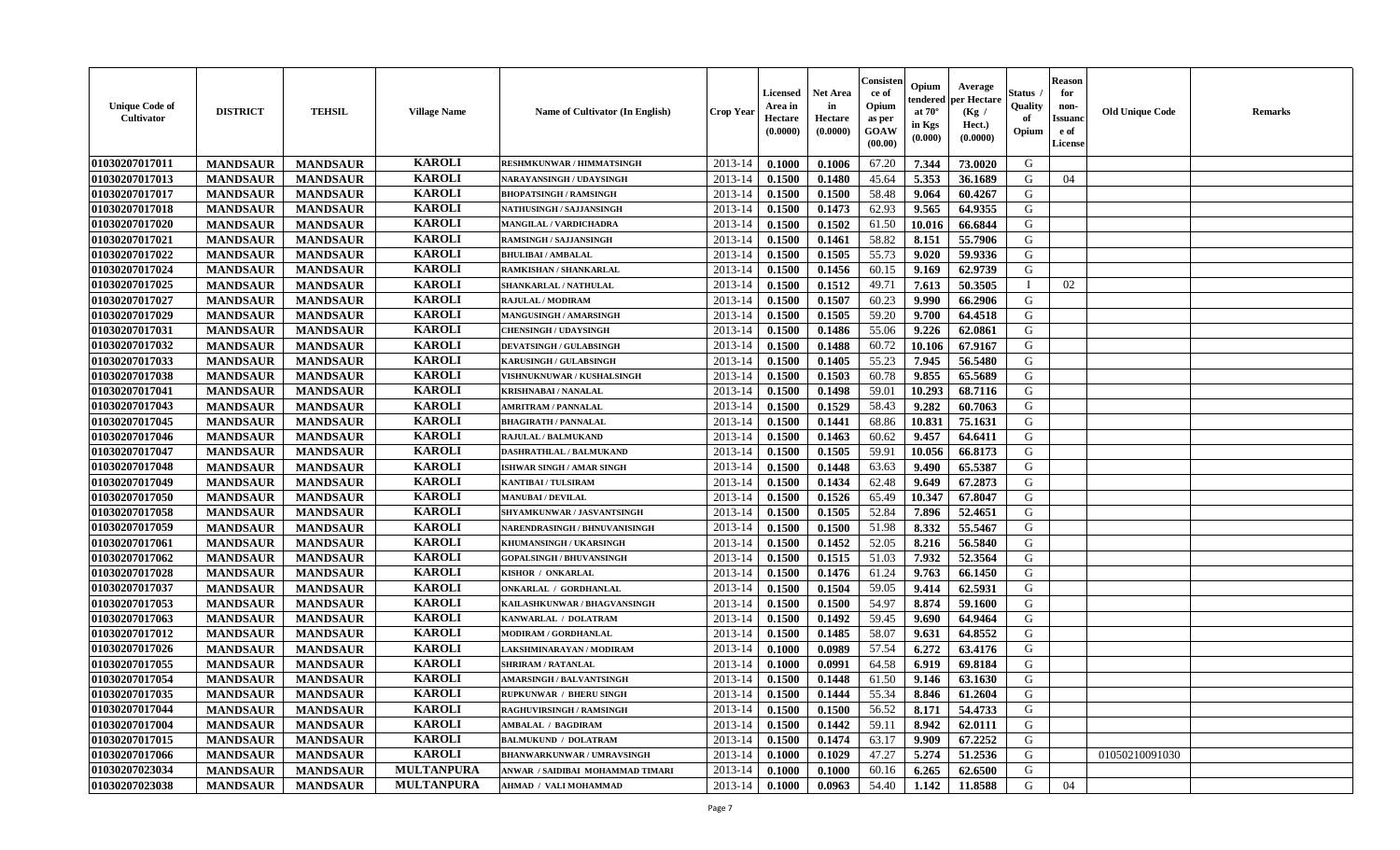| <b>Unique Code of</b><br><b>Cultivator</b> | <b>DISTRICT</b> | <b>TEHSIL</b>   | <b>Village Name</b> | Name of Cultivator (In English)   | <b>Crop Year</b> | <b>Licensed</b><br>Area in<br>Hectare<br>(0.0000) | <b>Net Area</b><br>in<br>Hectare<br>(0.0000) | Consister<br>ce of<br>Opium<br>as per<br>GOAW<br>(00.00) | Opium<br>endered<br>at $70^{\circ}$<br>in Kgs<br>$(\mathbf{0.000})$ | Average<br>per Hectare<br>(Kg)<br>Hect.)<br>(0.0000) | Status<br>Quality<br>of<br>Opium | <b>Reason</b><br>for<br>non-<br><b>Issuano</b><br>e of<br>License | <b>Old Unique Code</b> | <b>Remarks</b> |
|--------------------------------------------|-----------------|-----------------|---------------------|-----------------------------------|------------------|---------------------------------------------------|----------------------------------------------|----------------------------------------------------------|---------------------------------------------------------------------|------------------------------------------------------|----------------------------------|-------------------------------------------------------------------|------------------------|----------------|
| 01030207017011                             | <b>MANDSAUR</b> | <b>MANDSAUR</b> | <b>KAROLI</b>       | <b>RESHMKUNWAR / HIMMATSINGH</b>  | 2013-14          | 0.1000                                            | 0.1006                                       | 67.20                                                    | 7.344                                                               | 73.0020                                              | G                                |                                                                   |                        |                |
| 01030207017013                             | <b>MANDSAUR</b> | <b>MANDSAUR</b> | <b>KAROLI</b>       | NARAYANSINGH / UDAYSINGH          | 2013-14          | 0.1500                                            | 0.1480                                       | 45.64                                                    | 5.353                                                               | 36.1689                                              | G                                | 04                                                                |                        |                |
| 01030207017017                             | <b>MANDSAUR</b> | <b>MANDSAUR</b> | <b>KAROLI</b>       | <b>BHOPATSINGH / RAMSINGH</b>     | 2013-14          | 0.1500                                            | 0.1500                                       | 58.48                                                    | 9.064                                                               | 60.4267                                              | G                                |                                                                   |                        |                |
| 01030207017018                             | <b>MANDSAUR</b> | <b>MANDSAUR</b> | <b>KAROLI</b>       | NATHUSINGH / SAJJANSINGH          | 2013-14          | 0.1500                                            | 0.1473                                       | 62.93                                                    | 9.565                                                               | 64.9355                                              | G                                |                                                                   |                        |                |
| 01030207017020                             | <b>MANDSAUR</b> | <b>MANDSAUR</b> | <b>KAROLI</b>       | MANGILAL / VARDICHADRA            | 2013-14          | 0.1500                                            | 0.1502                                       | 61.50                                                    | 10.016                                                              | 66.6844                                              | G                                |                                                                   |                        |                |
| 01030207017021                             | <b>MANDSAUR</b> | <b>MANDSAUR</b> | <b>KAROLI</b>       | <b>RAMSINGH / SAJJANSINGH</b>     | 2013-14          | 0.1500                                            | 0.1461                                       | 58.82                                                    | 8.151                                                               | 55.7906                                              | G                                |                                                                   |                        |                |
| 01030207017022                             | <b>MANDSAUR</b> | <b>MANDSAUR</b> | <b>KAROLI</b>       | <b>BHULIBAI / AMBALAL</b>         | 2013-14          | 0.1500                                            | 0.1505                                       | 55.73                                                    | 9.020                                                               | 59.9336                                              | G                                |                                                                   |                        |                |
| 01030207017024                             | <b>MANDSAUR</b> | <b>MANDSAUR</b> | <b>KAROLI</b>       | RAMKISHAN / SHANKARLAL            | 2013-14          | 0.1500                                            | 0.1456                                       | 60.15                                                    | 9.169                                                               | 62.9739                                              | G                                |                                                                   |                        |                |
| 01030207017025                             | <b>MANDSAUR</b> | <b>MANDSAUR</b> | <b>KAROLI</b>       | SHANKARLAL / NATHULAL             | 2013-14          | 0.1500                                            | 0.1512                                       | 49.71                                                    | 7.613                                                               | 50.3505                                              | $\blacksquare$                   | 02                                                                |                        |                |
| 01030207017027                             | <b>MANDSAUR</b> | <b>MANDSAUR</b> | <b>KAROLI</b>       | RAJULAL / MODIRAM                 | 2013-14          | 0.1500                                            | 0.1507                                       | 60.23                                                    | 9.990                                                               | 66.2906                                              | G                                |                                                                   |                        |                |
| 01030207017029                             | <b>MANDSAUR</b> | <b>MANDSAUR</b> | <b>KAROLI</b>       | MANGUSINGH / AMARSINGH            | 2013-14          | 0.1500                                            | 0.1505                                       | 59.20                                                    | 9.700                                                               | 64.4518                                              | G                                |                                                                   |                        |                |
| 01030207017031                             | <b>MANDSAUR</b> | <b>MANDSAUR</b> | <b>KAROLI</b>       | <b>CHENSINGH / UDAYSINGH</b>      | 2013-14          | 0.1500                                            | 0.1486                                       | 55.06                                                    | 9.226                                                               | 62.0861                                              | G                                |                                                                   |                        |                |
| 01030207017032                             | <b>MANDSAUR</b> | <b>MANDSAUR</b> | <b>KAROLI</b>       | <b>DEVATSINGH / GULABSINGH</b>    | 2013-14          | 0.1500                                            | 0.1488                                       | 60.72                                                    | 10.106                                                              | 67.9167                                              | G                                |                                                                   |                        |                |
| 01030207017033                             | <b>MANDSAUR</b> | <b>MANDSAUR</b> | <b>KAROLI</b>       | <b>KARUSINGH / GULABSINGH</b>     | 2013-14          | 0.1500                                            | 0.1405                                       | 55.23                                                    | 7.945                                                               | 56.5480                                              | G                                |                                                                   |                        |                |
| 01030207017038                             | <b>MANDSAUR</b> | <b>MANDSAUR</b> | <b>KAROLI</b>       | <b>VISHNUKNUWAR / KUSHALSINGH</b> | 2013-14          | 0.1500                                            | 0.1503                                       | 60.78                                                    | 9.855                                                               | 65.5689                                              | G                                |                                                                   |                        |                |
| 01030207017041                             | <b>MANDSAUR</b> | <b>MANDSAUR</b> | <b>KAROLI</b>       | <b>KRISHNABAI / NANALAL</b>       | 2013-14          | 0.1500                                            | 0.1498                                       | 59.01                                                    | 10.293                                                              | 68.7116                                              | G                                |                                                                   |                        |                |
| 01030207017043                             | <b>MANDSAUR</b> | <b>MANDSAUR</b> | <b>KAROLI</b>       | <b>AMRITRAM / PANNALAL</b>        | 2013-14          | 0.1500                                            | 0.1529                                       | 58.43                                                    | 9.282                                                               | 60.7063                                              | G                                |                                                                   |                        |                |
| 01030207017045                             | <b>MANDSAUR</b> | <b>MANDSAUR</b> | <b>KAROLI</b>       | <b>BHAGIRATH / PANNALAL</b>       | 2013-14          | 0.1500                                            | 0.1441                                       | 68.86                                                    | 10.831                                                              | 75.1631                                              | G                                |                                                                   |                        |                |
| 01030207017046                             | <b>MANDSAUR</b> | <b>MANDSAUR</b> | <b>KAROLI</b>       | RAJULAL / BALMUKAND               | 2013-14          | 0.1500                                            | 0.1463                                       | 60.62                                                    | 9.457                                                               | 64.6411                                              | G                                |                                                                   |                        |                |
| 01030207017047                             | <b>MANDSAUR</b> | <b>MANDSAUR</b> | <b>KAROLI</b>       | DASHRATHLAL / BALMUKAND           | 2013-14          | 0.1500                                            | 0.1505                                       | 59.91                                                    | 10.056                                                              | 66.8173                                              | G                                |                                                                   |                        |                |
| 01030207017048                             | <b>MANDSAUR</b> | <b>MANDSAUR</b> | <b>KAROLI</b>       | ISHWAR SINGH / AMAR SINGH         | 2013-14          | 0.1500                                            | 0.1448                                       | 63.63                                                    | 9.490                                                               | 65.5387                                              | G                                |                                                                   |                        |                |
| 01030207017049                             | <b>MANDSAUR</b> | <b>MANDSAUR</b> | <b>KAROLI</b>       | <b>KANTIBAI / TULSIRAM</b>        | 2013-14          | 0.1500                                            | 0.1434                                       | 62.48                                                    | 9.649                                                               | 67.2873                                              | G                                |                                                                   |                        |                |
| 01030207017050                             | <b>MANDSAUR</b> | <b>MANDSAUR</b> | <b>KAROLI</b>       | <b>MANUBAI/DEVILAL</b>            | 2013-14          | 0.1500                                            | 0.1526                                       | 65.49                                                    | 10.347                                                              | 67.8047                                              | G                                |                                                                   |                        |                |
| 01030207017058                             | <b>MANDSAUR</b> | <b>MANDSAUR</b> | <b>KAROLI</b>       | SHYAMKUNWAR / JASVANTSINGH        | 2013-14          | 0.1500                                            | 0.1505                                       | 52.84                                                    | 7.896                                                               | 52.4651                                              | G                                |                                                                   |                        |                |
| 01030207017059                             | <b>MANDSAUR</b> | <b>MANDSAUR</b> | <b>KAROLI</b>       | NARENDRASINGH / BHNUVANISINGH     | 2013-14          | 0.1500                                            | 0.1500                                       | 51.98                                                    | 8.332                                                               | 55.5467                                              | G                                |                                                                   |                        |                |
| 01030207017061                             | <b>MANDSAUR</b> | <b>MANDSAUR</b> | <b>KAROLI</b>       | KHUMANSINGH / UKARSINGH           | 2013-14          | 0.1500                                            | 0.1452                                       | 52.05                                                    | 8.216                                                               | 56.5840                                              | G                                |                                                                   |                        |                |
| 01030207017062                             | <b>MANDSAUR</b> | <b>MANDSAUR</b> | <b>KAROLI</b>       | <b>GOPALSINGH / BHUVANSINGH</b>   | 2013-14          | 0.1500                                            | 0.1515                                       | 51.03                                                    | 7.932                                                               | 52.3564                                              | G                                |                                                                   |                        |                |
| 01030207017028                             | <b>MANDSAUR</b> | <b>MANDSAUR</b> | <b>KAROLI</b>       | KISHOR / ONKARLAL                 | 2013-14          | 0.1500                                            | 0.1476                                       | 61.24                                                    | 9.763                                                               | 66.1450                                              | G                                |                                                                   |                        |                |
| 01030207017037                             | <b>MANDSAUR</b> | <b>MANDSAUR</b> | <b>KAROLI</b>       | ONKARLAL / GORDHANLAL             | 2013-14          | 0.1500                                            | 0.1504                                       | 59.05                                                    | 9.414                                                               | 62.5931                                              | G                                |                                                                   |                        |                |
| 01030207017053                             | <b>MANDSAUR</b> | <b>MANDSAUR</b> | <b>KAROLI</b>       | KAILASHKUNWAR / BHAGVANSINGH      | 2013-14          | 0.1500                                            | 0.1500                                       | 54.97                                                    | 8.874                                                               | 59.1600                                              | G                                |                                                                   |                        |                |
| 01030207017063                             | <b>MANDSAUR</b> | <b>MANDSAUR</b> | <b>KAROLI</b>       | KANWARLAL / DOLATRAM              | 2013-14          | 0.1500                                            | 0.1492                                       | 59.45                                                    | 9.690                                                               | 64.9464                                              | G                                |                                                                   |                        |                |
| 01030207017012                             | <b>MANDSAUR</b> | <b>MANDSAUR</b> | <b>KAROLI</b>       | <b>MODIRAM / GORDHANLAL</b>       | 2013-14          | 0.1500                                            | 0.1485                                       | 58.07                                                    | 9.631                                                               | 64.8552                                              | G                                |                                                                   |                        |                |
| 01030207017026                             | <b>MANDSAUR</b> | <b>MANDSAUR</b> | <b>KAROLI</b>       | LAKSHMINARAYAN / MODIRAM          | 2013-14          | 0.1000                                            | 0.0989                                       | 57.54                                                    | 6.272                                                               | 63.4176                                              | G                                |                                                                   |                        |                |
| 01030207017055                             | <b>MANDSAUR</b> | <b>MANDSAUR</b> | <b>KAROLI</b>       | <b>SHRIRAM / RATANLAL</b>         | 2013-14          | 0.1000                                            | 0.0991                                       | 64.58                                                    | 6.919                                                               | 69.8184                                              | G                                |                                                                   |                        |                |
| 01030207017054                             | <b>MANDSAUR</b> | <b>MANDSAUR</b> | <b>KAROLI</b>       | <b>AMARSINGH / BALVANTSINGH</b>   | 2013-14          | 0.1500                                            | 0.1448                                       | 61.50                                                    | 9.146                                                               | 63.1630                                              | G                                |                                                                   |                        |                |
| 01030207017035                             | <b>MANDSAUR</b> | <b>MANDSAUR</b> | <b>KAROLI</b>       | <b>RUPKUNWAR / BHERU SINGH</b>    | $2013-14$ 0.1500 |                                                   | 0.1444                                       | 55.34                                                    | 8.846                                                               | 61.2604                                              | G                                |                                                                   |                        |                |
| 01030207017044                             | <b>MANDSAUR</b> | <b>MANDSAUR</b> | <b>KAROLI</b>       | <b>RAGHUVIRSINGH / RAMSINGH</b>   | 2013-14          | 0.1500                                            | 0.1500                                       | 56.52                                                    | 8.171                                                               | 54.4733                                              | G                                |                                                                   |                        |                |
| 01030207017004                             | <b>MANDSAUR</b> | <b>MANDSAUR</b> | <b>KAROLI</b>       | AMBALAL / BAGDIRAM                | 2013-14          | 0.1500                                            | 0.1442                                       | 59.11                                                    | 8.942                                                               | 62.0111                                              | G                                |                                                                   |                        |                |
| 01030207017015                             | <b>MANDSAUR</b> | <b>MANDSAUR</b> | <b>KAROLI</b>       | <b>BALMUKUND / DOLATRAM</b>       | 2013-14          | 0.1500                                            | 0.1474                                       | 63.17                                                    | 9.909                                                               | 67.2252                                              | G                                |                                                                   |                        |                |
| 01030207017066                             | <b>MANDSAUR</b> | <b>MANDSAUR</b> | <b>KAROLI</b>       | <b>BHANWARKUNWAR / UMRAVSINGH</b> | 2013-14          | 0.1000                                            | 0.1029                                       | 47.27                                                    | 5.274                                                               | 51.2536                                              | G                                |                                                                   | 01050210091030         |                |
| 01030207023034                             | <b>MANDSAUR</b> | <b>MANDSAUR</b> | <b>MULTANPURA</b>   | ANWAR / SAIDIBAI MOHAMMAD TIMARI  | 2013-14          | 0.1000                                            | 0.1000                                       | 60.16                                                    | 6.265                                                               | 62.6500                                              | G                                |                                                                   |                        |                |
| 01030207023038                             | <b>MANDSAUR</b> | <b>MANDSAUR</b> | <b>MULTANPURA</b>   | AHMAD / VALI MOHAMMAD             | 2013-14          | $\boldsymbol{0.1000}$                             | 0.0963                                       | 54.40                                                    | 1.142                                                               | 11.8588                                              | G                                | 04                                                                |                        |                |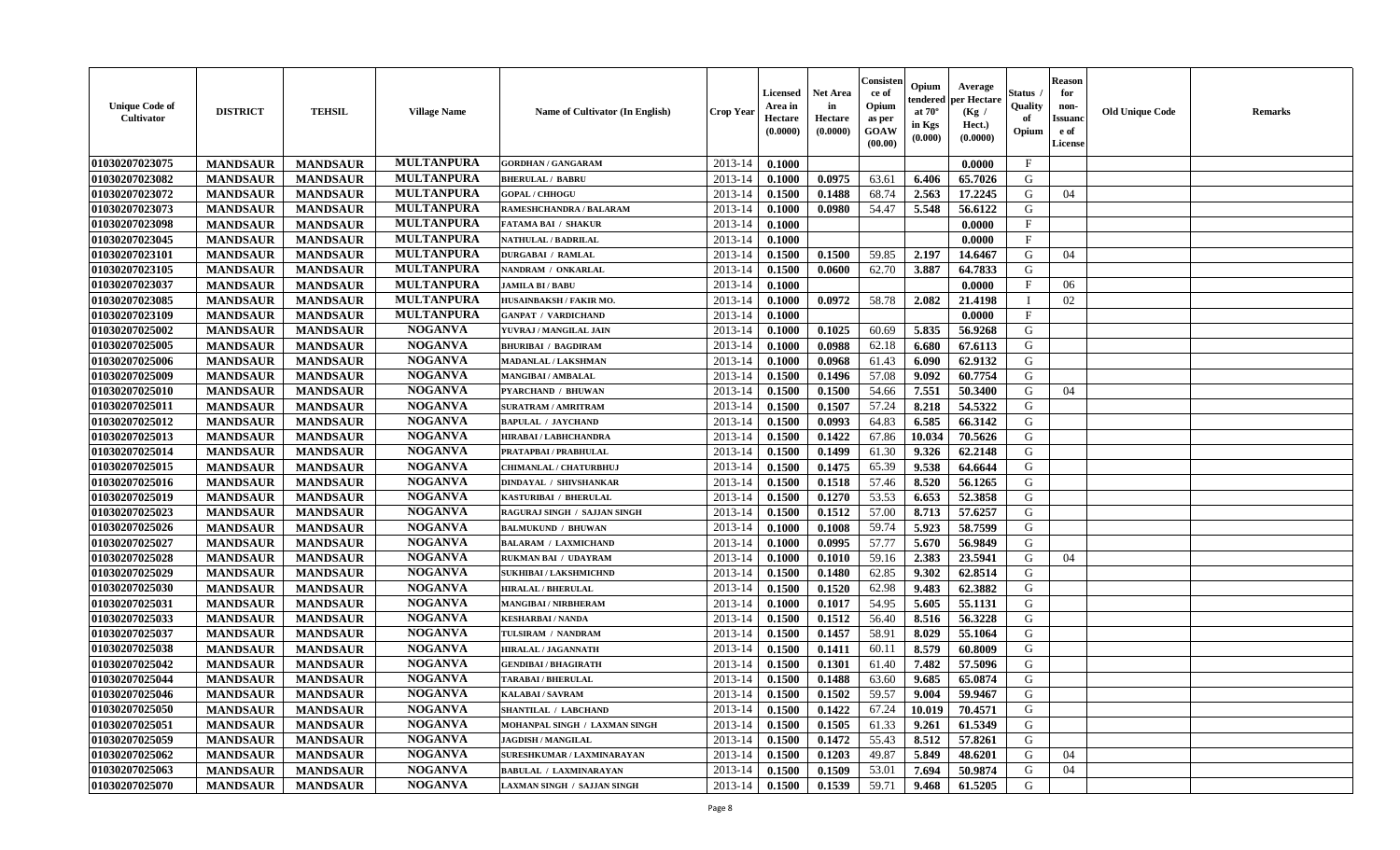| <b>Unique Code of</b><br><b>Cultivator</b> | <b>DISTRICT</b>                    | <b>TEHSIL</b>   | <b>Village Name</b> | Name of Cultivator (In English) | <b>Crop Year</b> | <b>Licensed</b><br>Area in<br>Hectare<br>(0.0000) | <b>Net Area</b><br>in<br>Hectare<br>(0.0000) | Consister<br>ce of<br>Opium<br>as per<br><b>GOAW</b><br>(00.00) | Opium<br>endered<br>at $70^\circ$<br>in Kgs<br>(0.000) | Average<br>per Hectare<br>(Kg /<br>Hect.)<br>(0.0000) | Status<br>Quality<br>of<br>Opium | <b>Reason</b><br>for<br>non-<br><b>Issuand</b><br>e of<br><b>License</b> | <b>Old Unique Code</b> | <b>Remarks</b> |
|--------------------------------------------|------------------------------------|-----------------|---------------------|---------------------------------|------------------|---------------------------------------------------|----------------------------------------------|-----------------------------------------------------------------|--------------------------------------------------------|-------------------------------------------------------|----------------------------------|--------------------------------------------------------------------------|------------------------|----------------|
| 01030207023075                             | <b>MANDSAUR</b>                    | <b>MANDSAUR</b> | <b>MULTANPURA</b>   | <b>GORDHAN / GANGARAM</b>       | 2013-14          | 0.1000                                            |                                              |                                                                 |                                                        | 0.0000                                                | $\mathbf{F}$                     |                                                                          |                        |                |
| 01030207023082                             | <b>MANDSAUR</b>                    | <b>MANDSAUR</b> | <b>MULTANPURA</b>   | <b>BHERULAL / BABRU</b>         | 2013-14          | 0.1000                                            | 0.0975                                       | 63.61                                                           | 6.406                                                  | 65.7026                                               | G                                |                                                                          |                        |                |
| 01030207023072                             | <b>MANDSAUR</b>                    | <b>MANDSAUR</b> | <b>MULTANPURA</b>   | <b>GOPAL / CHHOGU</b>           | 2013-14          | 0.1500                                            | 0.1488                                       | 68.74                                                           | 2.563                                                  | 17.2245                                               | G                                | 04                                                                       |                        |                |
| 01030207023073                             | <b>MANDSAUR</b>                    | <b>MANDSAUR</b> | <b>MULTANPURA</b>   | RAMESHCHANDRA / BALARAM         | 2013-14          | 0.1000                                            | 0.0980                                       | 54.47                                                           | 5.548                                                  | 56.6122                                               | G                                |                                                                          |                        |                |
| 01030207023098                             | <b>MANDSAUR</b>                    | <b>MANDSAUR</b> | <b>MULTANPURA</b>   | <b>FATAMA BAI / SHAKUR</b>      | 2013-14          | 0.1000                                            |                                              |                                                                 |                                                        | 0.0000                                                | $\mathbf{F}$                     |                                                                          |                        |                |
| 01030207023045                             | <b>MANDSAUR</b>                    | <b>MANDSAUR</b> | <b>MULTANPURA</b>   | NATHULAL / BADRILAL             | 2013-14          | 0.1000                                            |                                              |                                                                 |                                                        | 0.0000                                                | $_{\rm F}$                       |                                                                          |                        |                |
| 01030207023101                             | <b>MANDSAUR</b>                    | <b>MANDSAUR</b> | <b>MULTANPURA</b>   | <b>DURGABAI / RAMLAL</b>        | 2013-14          | 0.1500                                            | 0.1500                                       | 59.85                                                           | 2.197                                                  | 14.6467                                               | G                                | 04                                                                       |                        |                |
| 01030207023105                             | <b>MANDSAUR</b>                    | <b>MANDSAUR</b> | <b>MULTANPURA</b>   | NANDRAM / ONKARLAL              | 2013-14          | 0.1500                                            | 0.0600                                       | 62.70                                                           | 3.887                                                  | 64.7833                                               | G                                |                                                                          |                        |                |
| 01030207023037                             | <b>MANDSAUR</b>                    | <b>MANDSAUR</b> | <b>MULTANPURA</b>   | <b>JAMILA BI / BABU</b>         | 2013-14          | 0.1000                                            |                                              |                                                                 |                                                        | 0.0000                                                | $_{\rm F}$                       | 06                                                                       |                        |                |
| 01030207023085                             | <b>MANDSAUR</b>                    | <b>MANDSAUR</b> | <b>MULTANPURA</b>   | HUSAINBAKSH / FAKIR MO.         | 2013-14          | 0.1000                                            | 0.0972                                       | 58.78                                                           | 2.082                                                  | 21.4198                                               | <sup>1</sup>                     | 02                                                                       |                        |                |
| 01030207023109                             | <b>MANDSAUR</b>                    | <b>MANDSAUR</b> | <b>MULTANPURA</b>   | <b>GANPAT / VARDICHAND</b>      | 2013-14          | 0.1000                                            |                                              |                                                                 |                                                        | 0.0000                                                | $\mathbf{F}$                     |                                                                          |                        |                |
| 01030207025002                             | <b>MANDSAUR</b>                    | <b>MANDSAUR</b> | <b>NOGANVA</b>      | YUVRAJ / MANGILAL JAIN          | 2013-14          | 0.1000                                            | 0.1025                                       | 60.69                                                           | 5.835                                                  | 56.9268                                               | G                                |                                                                          |                        |                |
| 01030207025005                             | <b>MANDSAUR</b>                    | <b>MANDSAUR</b> | <b>NOGANVA</b>      | <b>BHURIBAI / BAGDIRAM</b>      | 2013-14          | 0.1000                                            | 0.0988                                       | 62.18                                                           | 6.680                                                  | 67.6113                                               | G                                |                                                                          |                        |                |
| 01030207025006                             | <b>MANDSAUR</b>                    | <b>MANDSAUR</b> | <b>NOGANVA</b>      | <b>MADANLAL / LAKSHMAN</b>      | 2013-14          | 0.1000                                            | 0.0968                                       | 61.43                                                           | 6.090                                                  | 62.9132                                               | G                                |                                                                          |                        |                |
| 01030207025009                             | <b>MANDSAUR</b>                    | <b>MANDSAUR</b> | <b>NOGANVA</b>      | <b>MANGIBAI/AMBALAL</b>         | 2013-14          | 0.1500                                            | 0.1496                                       | 57.08                                                           | 9.092                                                  | 60.7754                                               | G                                |                                                                          |                        |                |
| 01030207025010                             | <b>MANDSAUR</b>                    | <b>MANDSAUR</b> | <b>NOGANVA</b>      | <b>PYARCHAND / BHUWAN</b>       | 2013-14          | 0.1500                                            | 0.1500                                       | 54.66                                                           | 7.551                                                  | 50.3400                                               | G                                | 04                                                                       |                        |                |
| 01030207025011                             | <b>MANDSAUR</b>                    | <b>MANDSAUR</b> | <b>NOGANVA</b>      | <b>SURATRAM / AMRITRAM</b>      | 2013-14          | 0.1500                                            | 0.1507                                       | 57.24                                                           | 8.218                                                  | 54.5322                                               | G                                |                                                                          |                        |                |
| 01030207025012                             | <b>MANDSAUR</b>                    | <b>MANDSAUR</b> | <b>NOGANVA</b>      | <b>BAPULAL / JAYCHAND</b>       | 2013-14          | 0.1500                                            | 0.0993                                       | 64.83                                                           | 6.585                                                  | 66.3142                                               | G                                |                                                                          |                        |                |
| 01030207025013                             | <b>MANDSAUR</b>                    | <b>MANDSAUR</b> | <b>NOGANVA</b>      | HIRABAI / LABHCHANDRA           | 2013-14          | 0.1500                                            | 0.1422                                       | 67.86                                                           | 10.034                                                 | 70.5626                                               | G                                |                                                                          |                        |                |
| 01030207025014                             | <b>MANDSAUR</b>                    | <b>MANDSAUR</b> | <b>NOGANVA</b>      | PRATAPBAI / PRABHULAL           | 2013-14          | 0.1500                                            | 0.1499                                       | 61.30                                                           | 9.326                                                  | 62.2148                                               | G                                |                                                                          |                        |                |
| 01030207025015                             | <b>MANDSAUR</b>                    | <b>MANDSAUR</b> | <b>NOGANVA</b>      | CHIMANLAL / CHATURBHUJ          | 2013-14          | 0.1500                                            | 0.1475                                       | 65.39                                                           | 9.538                                                  | 64.6644                                               | G                                |                                                                          |                        |                |
| 01030207025016                             | <b>MANDSAUR</b>                    | <b>MANDSAUR</b> | <b>NOGANVA</b>      | <b>DINDAYAL / SHIVSHANKAR</b>   | 2013-14          | 0.1500                                            | 0.1518                                       | 57.46                                                           | 8.520                                                  | 56.1265                                               | G                                |                                                                          |                        |                |
| 01030207025019                             | <b>MANDSAUR</b>                    | <b>MANDSAUR</b> | <b>NOGANVA</b>      | KASTURIBAI / BHERULAL           | 2013-14          | 0.1500                                            | 0.1270                                       | 53.53                                                           | 6.653                                                  | 52.3858                                               | G                                |                                                                          |                        |                |
| 01030207025023                             | <b>MANDSAUR</b>                    | <b>MANDSAUR</b> | <b>NOGANVA</b>      | RAGURAJ SINGH / SAJJAN SINGH    | 2013-14          | 0.1500                                            | 0.1512                                       | 57.00                                                           | 8.713                                                  | 57.6257                                               | G                                |                                                                          |                        |                |
| 01030207025026                             | <b>MANDSAUR</b>                    | <b>MANDSAUR</b> | <b>NOGANVA</b>      | <b>BALMUKUND / BHUWAN</b>       | 2013-14          | 0.1000                                            | 0.1008                                       | 59.74                                                           | 5.923                                                  | 58.7599                                               | G                                |                                                                          |                        |                |
| 01030207025027                             | <b>MANDSAUR</b>                    | <b>MANDSAUR</b> | <b>NOGANVA</b>      | <b>BALARAM / LAXMICHAND</b>     | 2013-14          | 0.1000                                            | 0.0995                                       | 57.77                                                           | 5.670                                                  | 56.9849                                               | G                                |                                                                          |                        |                |
| 01030207025028                             | <b>MANDSAUR</b>                    | <b>MANDSAUR</b> | <b>NOGANVA</b>      | RUKMAN BAI / UDAYRAM            | 2013-14          | 0.1000                                            | 0.1010                                       | 59.16                                                           | 2.383                                                  | 23.5941                                               | G                                | 04                                                                       |                        |                |
| 01030207025029                             | <b>MANDSAUR</b>                    | <b>MANDSAUR</b> | <b>NOGANVA</b>      | <b>SUKHIBAI / LAKSHMICHND</b>   | 2013-14          | 0.1500                                            | 0.1480                                       | 62.85                                                           | 9.302                                                  | 62.8514                                               | G                                |                                                                          |                        |                |
| 01030207025030                             | <b>MANDSAUR</b>                    | <b>MANDSAUR</b> | <b>NOGANVA</b>      | <b>HIRALAL / BHERULAL</b>       | 2013-14          | 0.1500                                            | 0.1520                                       | 62.98                                                           | 9.483                                                  | 62.3882                                               | G                                |                                                                          |                        |                |
| 01030207025031                             | <b>MANDSAUR</b>                    | <b>MANDSAUR</b> | <b>NOGANVA</b>      | <b>MANGIBAI/NIRBHERAM</b>       | 2013-14          | 0.1000                                            | 0.1017                                       | 54.95                                                           | 5.605                                                  | 55.1131                                               | G                                |                                                                          |                        |                |
| 01030207025033                             | <b>MANDSAUR</b>                    | <b>MANDSAUR</b> | <b>NOGANVA</b>      | <b>KESHARBAI/NANDA</b>          | 2013-14          | 0.1500                                            | 0.1512                                       | 56.40                                                           | 8.516                                                  | 56.3228                                               | G                                |                                                                          |                        |                |
| 01030207025037                             | <b>MANDSAUR</b>                    | <b>MANDSAUR</b> | <b>NOGANVA</b>      | TULSIRAM / NANDRAM              | 2013-14          | 0.1500                                            | 0.1457                                       | 58.91                                                           | 8.029                                                  | 55.1064                                               | ${\bf G}$                        |                                                                          |                        |                |
| 01030207025038                             |                                    | <b>MANDSAUR</b> | <b>NOGANVA</b>      | <b>HIRALAL / JAGANNATH</b>      | 2013-14          | 0.1500                                            | 0.1411                                       | 60.11                                                           | 8.579                                                  | 60.8009                                               | G                                |                                                                          |                        |                |
| 01030207025042                             | <b>MANDSAUR</b><br><b>MANDSAUR</b> | <b>MANDSAUR</b> | <b>NOGANVA</b>      | <b>GENDIBAI / BHAGIRATH</b>     | 2013-14          | 0.1500                                            | 0.1301                                       | 61.40                                                           | 7.482                                                  | 57.5096                                               | G                                |                                                                          |                        |                |
| 01030207025044                             | <b>MANDSAUR</b>                    | <b>MANDSAUR</b> | <b>NOGANVA</b>      | <b>TARABAI / BHERULAL</b>       | 2013-14          | 0.1500                                            | 0.1488                                       | 63.60                                                           | 9.685                                                  | 65.0874                                               | G                                |                                                                          |                        |                |
|                                            |                                    |                 | <b>NOGANVA</b>      | KALABAI / SAVRAM                |                  | 0.1500                                            |                                              |                                                                 | 9.004                                                  | 59.9467                                               | G                                |                                                                          |                        |                |
| 01030207025046                             | <b>MANDSAUR</b>                    | <b>MANDSAUR</b> | <b>NOGANVA</b>      | <b>SHANTILAL / LABCHAND</b>     | 2013-14          |                                                   | 0.1502<br>0.1422                             | 59.57                                                           |                                                        |                                                       |                                  |                                                                          |                        |                |
| 01030207025050                             | <b>MANDSAUR</b>                    | <b>MANDSAUR</b> | <b>NOGANVA</b>      |                                 | 2013-14          | 0.1500                                            |                                              | 67.24                                                           | 10.019                                                 | 70.4571                                               | G                                |                                                                          |                        |                |
| 01030207025051                             | <b>MANDSAUR</b>                    | <b>MANDSAUR</b> | <b>NOGANVA</b>      | MOHANPAL SINGH / LAXMAN SINGH   | 2013-14          | 0.1500                                            | 0.1505                                       | 61.33                                                           | 9.261                                                  | 61.5349                                               | G                                |                                                                          |                        |                |
| 01030207025059                             | <b>MANDSAUR</b>                    | <b>MANDSAUR</b> | <b>NOGANVA</b>      | <b>JAGDISH / MANGILAL</b>       | 2013-14          | 0.1500                                            | 0.1472                                       | 55.43                                                           | 8.512                                                  | 57.8261                                               | G                                |                                                                          |                        |                |
| 01030207025062                             | <b>MANDSAUR</b>                    | <b>MANDSAUR</b> |                     | SURESHKUMAR / LAXMINARAYAN      | 2013-14          | 0.1500                                            | 0.1203                                       | 49.87                                                           | 5.849                                                  | 48.6201                                               | G                                | 04                                                                       |                        |                |
| 01030207025063                             | <b>MANDSAUR</b>                    | <b>MANDSAUR</b> | <b>NOGANVA</b>      | <b>BABULAL / LAXMINARAYAN</b>   | 2013-14          | 0.1500                                            | 0.1509                                       | 53.01                                                           | 7.694                                                  | 50.9874                                               | G                                | 04                                                                       |                        |                |
| 01030207025070                             | <b>MANDSAUR</b>                    | <b>MANDSAUR</b> | <b>NOGANVA</b>      | LAXMAN SINGH / SAJJAN SINGH     | 2013-14          | 0.1500                                            | 0.1539                                       | 59.71                                                           | 9.468                                                  | 61.5205                                               | G                                |                                                                          |                        |                |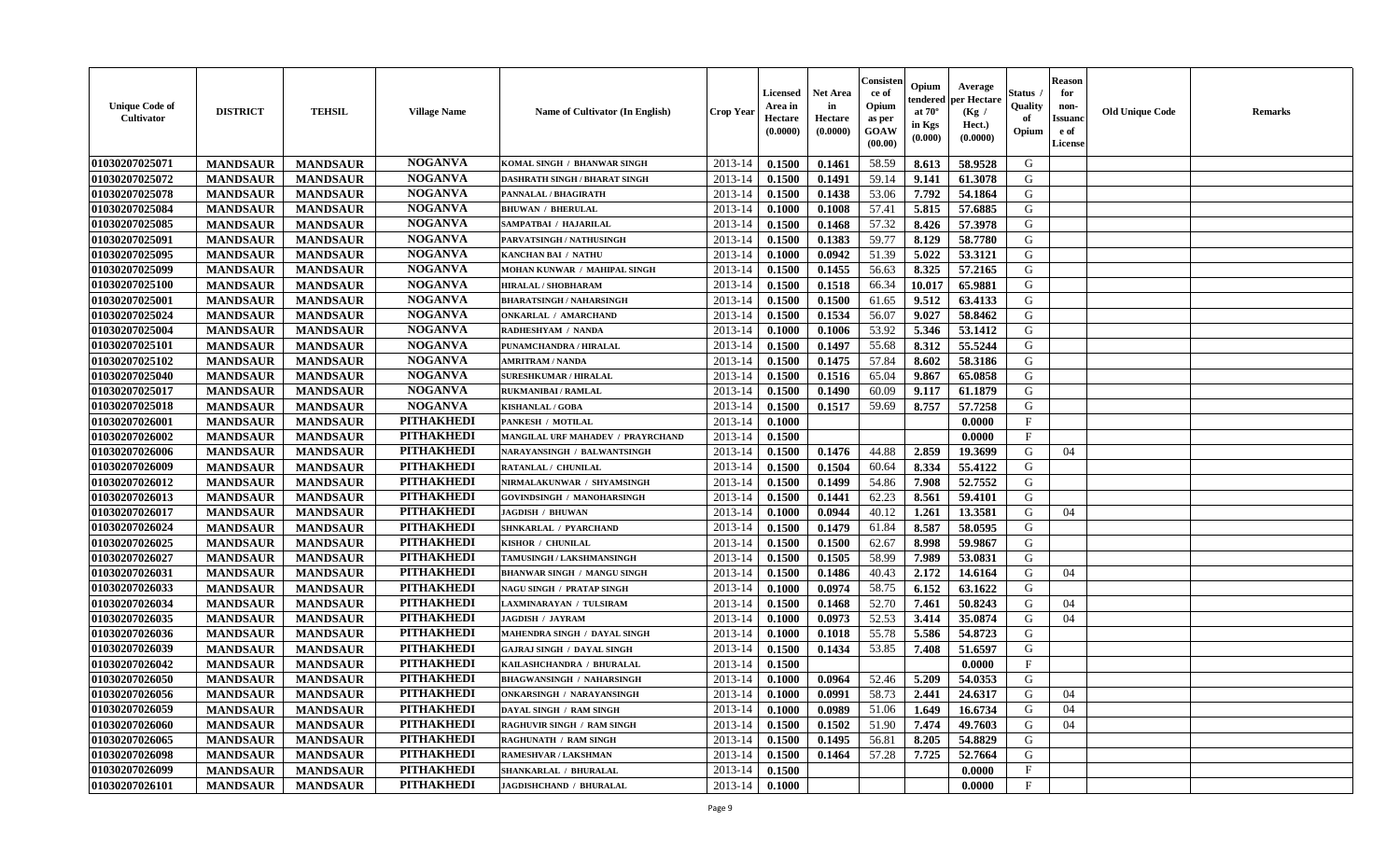| <b>Unique Code of</b><br><b>Cultivator</b> | <b>DISTRICT</b> | <b>TEHSIL</b>   | <b>Village Name</b> | Name of Cultivator (In English)      | <b>Crop Year</b> | <b>Licensed</b><br>Area in<br>Hectare<br>(0.0000) | <b>Net Area</b><br>in<br>Hectare<br>(0.0000) | Consister<br>ce of<br>Opium<br>as per<br><b>GOAW</b><br>(00.00) | Opium<br>endered<br>at $70^\circ$<br>in Kgs<br>$(\mathbf{0.000})$ | Average<br>per Hectare<br>(Kg)<br>Hect.)<br>(0.0000) | Status<br>Quality<br>of<br>Opium | Reason<br>for<br>non-<br>Issuan<br>e of<br><b>License</b> | <b>Old Unique Code</b> | <b>Remarks</b> |
|--------------------------------------------|-----------------|-----------------|---------------------|--------------------------------------|------------------|---------------------------------------------------|----------------------------------------------|-----------------------------------------------------------------|-------------------------------------------------------------------|------------------------------------------------------|----------------------------------|-----------------------------------------------------------|------------------------|----------------|
| 01030207025071                             | <b>MANDSAUR</b> | <b>MANDSAUR</b> | <b>NOGANVA</b>      | KOMAL SINGH / BHANWAR SINGH          | 2013-14          | 0.1500                                            | 0.1461                                       | 58.59                                                           | 8.613                                                             | 58.9528                                              | G                                |                                                           |                        |                |
| 01030207025072                             | <b>MANDSAUR</b> | <b>MANDSAUR</b> | <b>NOGANVA</b>      | <b>DASHRATH SINGH / BHARAT SINGH</b> | 2013-14          | 0.1500                                            | 0.1491                                       | 59.14                                                           | 9.141                                                             | 61.3078                                              | G                                |                                                           |                        |                |
| 01030207025078                             | <b>MANDSAUR</b> | <b>MANDSAUR</b> | <b>NOGANVA</b>      | PANNALAL / BHAGIRATH                 | 2013-14          | 0.1500                                            | 0.1438                                       | 53.06                                                           | 7.792                                                             | 54.1864                                              | G                                |                                                           |                        |                |
| 01030207025084                             | <b>MANDSAUR</b> | <b>MANDSAUR</b> | <b>NOGANVA</b>      | <b>BHUWAN / BHERULAL</b>             | 2013-14          | 0.1000                                            | 0.1008                                       | 57.41                                                           | 5.815                                                             | 57.6885                                              | G                                |                                                           |                        |                |
| 01030207025085                             | <b>MANDSAUR</b> | <b>MANDSAUR</b> | <b>NOGANVA</b>      | SAMPATBAI / HAJARILAL                | 2013-14          | 0.1500                                            | 0.1468                                       | 57.32                                                           | 8.426                                                             | 57.3978                                              | G                                |                                                           |                        |                |
| 01030207025091                             | <b>MANDSAUR</b> | <b>MANDSAUR</b> | <b>NOGANVA</b>      | PARVATSINGH / NATHUSINGH             | 2013-14          | 0.1500                                            | 0.1383                                       | 59.77                                                           | 8.129                                                             | 58.7780                                              | G                                |                                                           |                        |                |
| 01030207025095                             | <b>MANDSAUR</b> | <b>MANDSAUR</b> | <b>NOGANVA</b>      | <b>KANCHAN BAI / NATHU</b>           | 2013-14          | 0.1000                                            | 0.0942                                       | 51.39                                                           | 5.022                                                             | 53.3121                                              | G                                |                                                           |                        |                |
| 01030207025099                             | <b>MANDSAUR</b> | <b>MANDSAUR</b> | <b>NOGANVA</b>      | MOHAN KUNWAR / MAHIPAL SINGH         | 2013-14          | 0.1500                                            | 0.1455                                       | 56.63                                                           | 8.325                                                             | 57.2165                                              | G                                |                                                           |                        |                |
| 01030207025100                             | <b>MANDSAUR</b> | <b>MANDSAUR</b> | <b>NOGANVA</b>      | HIRALAL / SHOBHARAM                  | 2013-14          | 0.1500                                            | 0.1518                                       | 66.34                                                           | 10.017                                                            | 65.9881                                              | G                                |                                                           |                        |                |
| 01030207025001                             | <b>MANDSAUR</b> | <b>MANDSAUR</b> | <b>NOGANVA</b>      | <b>BHARATSINGH / NAHARSINGH</b>      | 2013-14          | 0.1500                                            | 0.1500                                       | 61.65                                                           | 9.512                                                             | 63.4133                                              | G                                |                                                           |                        |                |
| 01030207025024                             | <b>MANDSAUR</b> | <b>MANDSAUR</b> | <b>NOGANVA</b>      | <b>ONKARLAL / AMARCHAND</b>          | 2013-14          | 0.1500                                            | 0.1534                                       | 56.07                                                           | 9.027                                                             | 58.8462                                              | G                                |                                                           |                        |                |
| 01030207025004                             | <b>MANDSAUR</b> | <b>MANDSAUR</b> | <b>NOGANVA</b>      | RADHESHYAM / NANDA                   | 2013-14          | 0.1000                                            | 0.1006                                       | 53.92                                                           | 5.346                                                             | 53.1412                                              | G                                |                                                           |                        |                |
| 01030207025101                             | <b>MANDSAUR</b> | <b>MANDSAUR</b> | <b>NOGANVA</b>      | PUNAMCHANDRA / HIRALAL               | 2013-14          | 0.1500                                            | 0.1497                                       | 55.68                                                           | 8.312                                                             | 55.5244                                              | G                                |                                                           |                        |                |
| 01030207025102                             | <b>MANDSAUR</b> | <b>MANDSAUR</b> | <b>NOGANVA</b>      | <b>AMRITRAM / NANDA</b>              | 2013-14          | 0.1500                                            | 0.1475                                       | 57.84                                                           | 8.602                                                             | 58.3186                                              | G                                |                                                           |                        |                |
| 01030207025040                             | <b>MANDSAUR</b> | <b>MANDSAUR</b> | <b>NOGANVA</b>      | <b>SURESHKUMAR / HIRALAL</b>         | 2013-14          | 0.1500                                            | 0.1516                                       | 65.04                                                           | 9.867                                                             | 65.0858                                              | G                                |                                                           |                        |                |
| 01030207025017                             | <b>MANDSAUR</b> | <b>MANDSAUR</b> | <b>NOGANVA</b>      | <b>RUKMANIBAI / RAMLAL</b>           | 2013-14          | 0.1500                                            | 0.1490                                       | 60.09                                                           | 9.117                                                             | 61.1879                                              | G                                |                                                           |                        |                |
| 01030207025018                             | <b>MANDSAUR</b> | <b>MANDSAUR</b> | <b>NOGANVA</b>      | <b>KISHANLAL / GOBA</b>              | 2013-14          | 0.1500                                            | 0.1517                                       | 59.69                                                           | 8.757                                                             | 57.7258                                              | G                                |                                                           |                        |                |
| 01030207026001                             | <b>MANDSAUR</b> | <b>MANDSAUR</b> | <b>PITHAKHEDI</b>   | PANKESH / MOTILAL                    | 2013-14          | 0.1000                                            |                                              |                                                                 |                                                                   | 0.0000                                               | $\mathbf{F}$                     |                                                           |                        |                |
| 01030207026002                             | <b>MANDSAUR</b> | <b>MANDSAUR</b> | <b>PITHAKHEDI</b>   | MANGILAL URF MAHADEV / PRAYRCHAND    | 2013-14          | 0.1500                                            |                                              |                                                                 |                                                                   | 0.0000                                               | $_{\rm F}$                       |                                                           |                        |                |
| 01030207026006                             | <b>MANDSAUR</b> | <b>MANDSAUR</b> | <b>PITHAKHEDI</b>   | NARAYANSINGH / BALWANTSINGH          | 2013-14          | 0.1500                                            | 0.1476                                       | 44.88                                                           | 2.859                                                             | 19.3699                                              | G                                | 04                                                        |                        |                |
| 01030207026009                             | <b>MANDSAUR</b> | <b>MANDSAUR</b> | <b>PITHAKHEDI</b>   | RATANLAL / CHUNILAL                  | 2013-14          | 0.1500                                            | 0.1504                                       | 60.64                                                           | 8.334                                                             | 55.4122                                              | G                                |                                                           |                        |                |
| 01030207026012                             | <b>MANDSAUR</b> | <b>MANDSAUR</b> | <b>PITHAKHEDI</b>   | NIRMALAKUNWAR / SHYAMSINGH           | 2013-14          | 0.1500                                            | 0.1499                                       | 54.86                                                           | 7.908                                                             | 52.7552                                              | G                                |                                                           |                        |                |
| 01030207026013                             | <b>MANDSAUR</b> | <b>MANDSAUR</b> | <b>PITHAKHEDI</b>   | <b>GOVINDSINGH / MANOHARSINGH</b>    | 2013-14          | 0.1500                                            | 0.1441                                       | 62.23                                                           | 8.561                                                             | 59.4101                                              | G                                |                                                           |                        |                |
| 01030207026017                             | <b>MANDSAUR</b> | <b>MANDSAUR</b> | <b>PITHAKHEDI</b>   | <b>JAGDISH / BHUWAN</b>              | 2013-14          | 0.1000                                            | 0.0944                                       | 40.12                                                           | 1.261                                                             | 13.3581                                              | G                                | 04                                                        |                        |                |
| 01030207026024                             | <b>MANDSAUR</b> | <b>MANDSAUR</b> | <b>PITHAKHEDI</b>   | SHNKARLAL / PYARCHAND                | 2013-14          | 0.1500                                            | 0.1479                                       | 61.84                                                           | 8.587                                                             | 58.0595                                              | G                                |                                                           |                        |                |
| 01030207026025                             | <b>MANDSAUR</b> | <b>MANDSAUR</b> | <b>PITHAKHEDI</b>   | KISHOR / CHUNILAL                    | 2013-14          | 0.1500                                            | 0.1500                                       | 62.67                                                           | 8.998                                                             | 59.9867                                              | G                                |                                                           |                        |                |
| 01030207026027                             | <b>MANDSAUR</b> | <b>MANDSAUR</b> | <b>PITHAKHEDI</b>   | TAMUSINGH / LAKSHMANSINGH            | 2013-14          | 0.1500                                            | 0.1505                                       | 58.99                                                           | 7.989                                                             | 53.0831                                              | G                                |                                                           |                        |                |
| 01030207026031                             | <b>MANDSAUR</b> | <b>MANDSAUR</b> | <b>PITHAKHEDI</b>   | <b>BHANWAR SINGH / MANGU SINGH</b>   | 2013-14          | 0.1500                                            | 0.1486                                       | 40.43                                                           | 2.172                                                             | 14.6164                                              | G                                | 04                                                        |                        |                |
| 01030207026033                             | <b>MANDSAUR</b> | <b>MANDSAUR</b> | <b>PITHAKHEDI</b>   | <b>NAGU SINGH / PRATAP SINGH</b>     | 2013-14          | 0.1000                                            | 0.0974                                       | 58.75                                                           | 6.152                                                             | 63.1622                                              | G                                |                                                           |                        |                |
| 01030207026034                             | <b>MANDSAUR</b> | <b>MANDSAUR</b> | <b>PITHAKHEDI</b>   | LAXMINARAYAN / TULSIRAM              | 2013-14          | 0.1500                                            | 0.1468                                       | 52.70                                                           | 7.461                                                             | 50.8243                                              | G                                | 04                                                        |                        |                |
| 01030207026035                             | <b>MANDSAUR</b> | <b>MANDSAUR</b> | <b>PITHAKHEDI</b>   | <b>JAGDISH / JAYRAM</b>              | 2013-14          | 0.1000                                            | 0.0973                                       | 52.53                                                           | 3.414                                                             | 35.0874                                              | G                                | 04                                                        |                        |                |
| 01030207026036                             | <b>MANDSAUR</b> | <b>MANDSAUR</b> | <b>PITHAKHEDI</b>   | MAHENDRA SINGH / DAYAL SINGH         | 2013-14          | 0.1000                                            | 0.1018                                       | 55.78                                                           | 5.586                                                             | 54.8723                                              | G                                |                                                           |                        |                |
| 01030207026039                             | <b>MANDSAUR</b> | <b>MANDSAUR</b> | <b>PITHAKHEDI</b>   | <b>GAJRAJ SINGH / DAYAL SINGH</b>    | 2013-14          | 0.1500                                            | 0.1434                                       | 53.85                                                           | 7.408                                                             | 51.6597                                              | G                                |                                                           |                        |                |
| 01030207026042                             | <b>MANDSAUR</b> | <b>MANDSAUR</b> | <b>PITHAKHEDI</b>   | KAILASHCHANDRA / BHURALAL            | 2013-14          | 0.1500                                            |                                              |                                                                 |                                                                   | 0.0000                                               | F                                |                                                           |                        |                |
| 01030207026050                             | <b>MANDSAUR</b> | <b>MANDSAUR</b> | <b>PITHAKHEDI</b>   | <b>BHAGWANSINGH / NAHARSINGH</b>     | 2013-14          | 0.1000                                            | 0.0964                                       | 52.46                                                           | 5.209                                                             | 54.0353                                              | G                                |                                                           |                        |                |
| 01030207026056                             | <b>MANDSAUR</b> | <b>MANDSAUR</b> | PITHAKHEDI          | <b>ONKARSINGH / NARAYANSINGH</b>     | $2013-14$ 0.1000 |                                                   | 0.0991                                       | 58.73                                                           | 2.441                                                             | 24.6317                                              | G                                | 04                                                        |                        |                |
| 01030207026059                             | <b>MANDSAUR</b> | <b>MANDSAUR</b> | <b>PITHAKHEDI</b>   | DAYAL SINGH / RAM SINGH              | 2013-14          | 0.1000                                            | 0.0989                                       | 51.06                                                           | 1.649                                                             | 16.6734                                              | G                                | 04                                                        |                        |                |
| 01030207026060                             | <b>MANDSAUR</b> | <b>MANDSAUR</b> | <b>PITHAKHEDI</b>   | <b>RAGHUVIR SINGH / RAM SINGH</b>    | 2013-14          | 0.1500                                            | 0.1502                                       | 51.90                                                           | 7.474                                                             | 49.7603                                              | G                                | 04                                                        |                        |                |
| 01030207026065                             | <b>MANDSAUR</b> | <b>MANDSAUR</b> | <b>PITHAKHEDI</b>   | <b>RAGHUNATH / RAM SINGH</b>         | 2013-14          | 0.1500                                            | 0.1495                                       | 56.81                                                           | 8.205                                                             | 54.8829                                              | G                                |                                                           |                        |                |
| 01030207026098                             | <b>MANDSAUR</b> | <b>MANDSAUR</b> | <b>PITHAKHEDI</b>   | <b>RAMESHVAR / LAKSHMAN</b>          | 2013-14          | 0.1500                                            | 0.1464                                       | 57.28                                                           | 7.725                                                             | 52.7664                                              | G                                |                                                           |                        |                |
| 01030207026099                             | <b>MANDSAUR</b> | <b>MANDSAUR</b> | <b>PITHAKHEDI</b>   | SHANKARLAL / BHURALAL                | 2013-14          | 0.1500                                            |                                              |                                                                 |                                                                   | 0.0000                                               | $\mathbf{F}$                     |                                                           |                        |                |
| 01030207026101                             | <b>MANDSAUR</b> | <b>MANDSAUR</b> | <b>PITHAKHEDI</b>   | JAGDISHCHAND / BHURALAL              | 2013-14          | 0.1000                                            |                                              |                                                                 |                                                                   | 0.0000                                               | $\mathbf{F}$                     |                                                           |                        |                |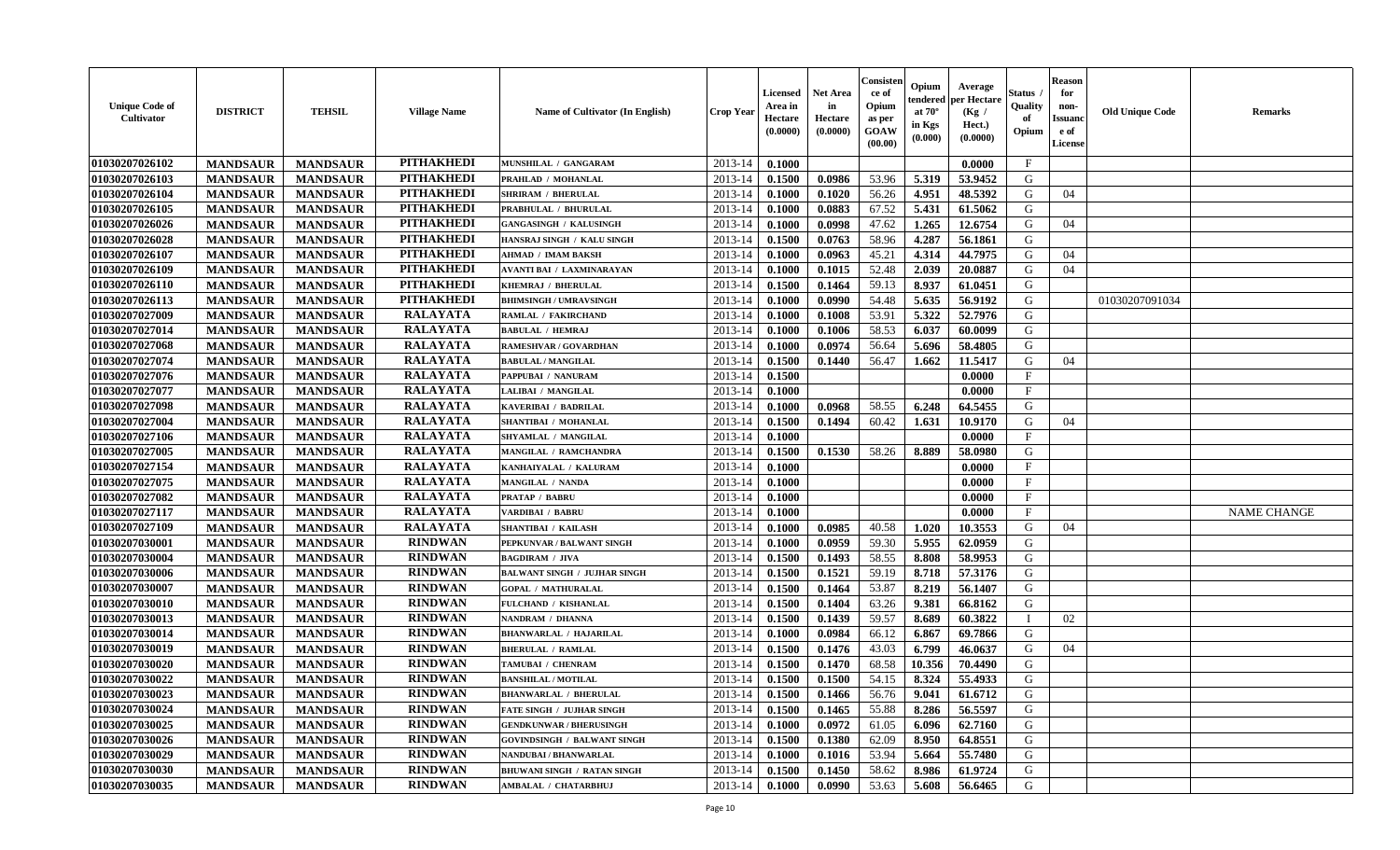| <b>Unique Code of</b><br>Cultivator | <b>DISTRICT</b> | <b>TEHSIL</b>   | <b>Village Name</b> | Name of Cultivator (In English)     | <b>Crop Year</b> | Licensed<br>Area in<br>Hectare<br>(0.0000) | <b>Net Area</b><br>in<br>Hectare<br>(0.0000) | Consister<br>ce of<br>Opium<br>as per<br>GOAW<br>(00.00) | Opium<br>endered<br>at $70^\circ$<br>in Kgs<br>(0.000) | Average<br>per Hectare<br>(Kg /<br>Hect.)<br>(0.0000) | <b>Status</b> .<br>Quality<br>of<br>Opium | <b>Reason</b><br>for<br>non-<br><b>Issuand</b><br>e of<br>License | <b>Old Unique Code</b> | <b>Remarks</b>     |
|-------------------------------------|-----------------|-----------------|---------------------|-------------------------------------|------------------|--------------------------------------------|----------------------------------------------|----------------------------------------------------------|--------------------------------------------------------|-------------------------------------------------------|-------------------------------------------|-------------------------------------------------------------------|------------------------|--------------------|
| 01030207026102                      | <b>MANDSAUR</b> | <b>MANDSAUR</b> | <b>PITHAKHEDI</b>   | MUNSHILAL / GANGARAM                | 2013-14          | 0.1000                                     |                                              |                                                          |                                                        | 0.0000                                                | $\mathbf{F}$                              |                                                                   |                        |                    |
| 01030207026103                      | <b>MANDSAUR</b> | <b>MANDSAUR</b> | <b>PITHAKHEDI</b>   | PRAHLAD / MOHANLAL                  | 2013-14          | 0.1500                                     | 0.0986                                       | 53.96                                                    | 5.319                                                  | 53.9452                                               | G                                         |                                                                   |                        |                    |
| 01030207026104                      | <b>MANDSAUR</b> | <b>MANDSAUR</b> | <b>PITHAKHEDI</b>   | <b>SHRIRAM / BHERULAL</b>           | 2013-14          | 0.1000                                     | 0.1020                                       | 56.26                                                    | 4.951                                                  | 48.5392                                               | G                                         | 04                                                                |                        |                    |
| 01030207026105                      | <b>MANDSAUR</b> | <b>MANDSAUR</b> | <b>PITHAKHEDI</b>   | PRABHULAL / BHURULAL                | 2013-14          | 0.1000                                     | 0.0883                                       | 67.52                                                    | 5.431                                                  | 61.5062                                               | G                                         |                                                                   |                        |                    |
| 01030207026026                      | <b>MANDSAUR</b> | <b>MANDSAUR</b> | <b>PITHAKHEDI</b>   | <b>GANGASINGH / KALUSINGH</b>       | 2013-14          | 0.1000                                     | 0.0998                                       | 47.62                                                    | 1.265                                                  | 12.6754                                               | G                                         | 04                                                                |                        |                    |
| 01030207026028                      | <b>MANDSAUR</b> | <b>MANDSAUR</b> | <b>PITHAKHEDI</b>   | HANSRAJ SINGH / KALU SINGH          | 2013-14          | 0.1500                                     | 0.0763                                       | 58.96                                                    | 4.287                                                  | 56.1861                                               | G                                         |                                                                   |                        |                    |
| 01030207026107                      | <b>MANDSAUR</b> | <b>MANDSAUR</b> | <b>PITHAKHEDI</b>   | AHMAD / IMAM BAKSH                  | 2013-14          | 0.1000                                     | 0.0963                                       | 45.21                                                    | 4.314                                                  | 44.7975                                               | G                                         | 04                                                                |                        |                    |
| 01030207026109                      | <b>MANDSAUR</b> | <b>MANDSAUR</b> | <b>PITHAKHEDI</b>   | <b>AVANTI BAI / LAXMINARAYAN</b>    | 2013-14          | 0.1000                                     | 0.1015                                       | 52.48                                                    | 2.039                                                  | 20.0887                                               | G                                         | 04                                                                |                        |                    |
| 01030207026110                      | <b>MANDSAUR</b> | <b>MANDSAUR</b> | <b>PITHAKHEDI</b>   | KHEMRAJ / BHERULAL                  | 2013-14          | 0.1500                                     | 0.1464                                       | 59.13                                                    | 8.937                                                  | 61.0451                                               | G                                         |                                                                   |                        |                    |
| 01030207026113                      | <b>MANDSAUR</b> | <b>MANDSAUR</b> | <b>PITHAKHEDI</b>   | <b>BHIMSINGH / UMRAVSINGH</b>       | 2013-14          | 0.1000                                     | 0.0990                                       | 54.48                                                    | 5.635                                                  | 56.9192                                               | G                                         |                                                                   | 01030207091034         |                    |
| 01030207027009                      | <b>MANDSAUR</b> | <b>MANDSAUR</b> | <b>RALAYATA</b>     | RAMLAL / FAKIRCHAND                 | 2013-14          | 0.1000                                     | 0.1008                                       | 53.91                                                    | 5.322                                                  | 52.7976                                               | G                                         |                                                                   |                        |                    |
| 01030207027014                      | <b>MANDSAUR</b> | <b>MANDSAUR</b> | <b>RALAYATA</b>     | <b>BABULAL / HEMRAJ</b>             | 2013-14          | 0.1000                                     | 0.1006                                       | 58.53                                                    | 6.037                                                  | 60.0099                                               | G                                         |                                                                   |                        |                    |
| 01030207027068                      | <b>MANDSAUR</b> | <b>MANDSAUR</b> | <b>RALAYATA</b>     | RAMESHVAR / GOVARDHAN               | 2013-14          | 0.1000                                     | 0.0974                                       | 56.64                                                    | 5.696                                                  | 58.4805                                               | G                                         |                                                                   |                        |                    |
| 01030207027074                      | <b>MANDSAUR</b> | <b>MANDSAUR</b> | <b>RALAYATA</b>     | <b>BABULAL / MANGILAL</b>           | 2013-14          | 0.1500                                     | 0.1440                                       | 56.47                                                    | 1.662                                                  | 11.5417                                               | G                                         | 04                                                                |                        |                    |
| 01030207027076                      | <b>MANDSAUR</b> | <b>MANDSAUR</b> | <b>RALAYATA</b>     | PAPPUBAI / NANURAM                  | 2013-14          | 0.1500                                     |                                              |                                                          |                                                        | 0.0000                                                | $\mathbf{F}$                              |                                                                   |                        |                    |
| 01030207027077                      | <b>MANDSAUR</b> | <b>MANDSAUR</b> | <b>RALAYATA</b>     | LALIBAI / MANGILAL                  | 2013-14          | 0.1000                                     |                                              |                                                          |                                                        | 0.0000                                                | $\mathbf{F}$                              |                                                                   |                        |                    |
| 01030207027098                      | <b>MANDSAUR</b> | <b>MANDSAUR</b> | <b>RALAYATA</b>     | KAVERIBAI / BADRILAL                | 2013-14          | 0.1000                                     | 0.0968                                       | 58.55                                                    | 6.248                                                  | 64.5455                                               | G                                         |                                                                   |                        |                    |
| 01030207027004                      | <b>MANDSAUR</b> | <b>MANDSAUR</b> | <b>RALAYATA</b>     | SHANTIBAI / MOHANLAL                | 2013-14          | 0.1500                                     | 0.1494                                       | 60.42                                                    | 1.631                                                  | 10.9170                                               | G                                         | 04                                                                |                        |                    |
| 01030207027106                      | <b>MANDSAUR</b> | <b>MANDSAUR</b> | <b>RALAYATA</b>     | SHYAMLAL / MANGILAL                 | 2013-14          | 0.1000                                     |                                              |                                                          |                                                        | 0.0000                                                | $\mathbf{F}$                              |                                                                   |                        |                    |
| 01030207027005                      | <b>MANDSAUR</b> | <b>MANDSAUR</b> | <b>RALAYATA</b>     | MANGILAL / RAMCHANDRA               | 2013-14          | 0.1500                                     | 0.1530                                       | 58.26                                                    | 8.889                                                  | 58.0980                                               | G                                         |                                                                   |                        |                    |
| 01030207027154                      | <b>MANDSAUR</b> | <b>MANDSAUR</b> | <b>RALAYATA</b>     | KANHAIYALAL / KALURAM               | 2013-14          | 0.1000                                     |                                              |                                                          |                                                        | 0.0000                                                | $\mathbf{F}$                              |                                                                   |                        |                    |
| 01030207027075                      | <b>MANDSAUR</b> | <b>MANDSAUR</b> | <b>RALAYATA</b>     | MANGILAL / NANDA                    | 2013-14          | 0.1000                                     |                                              |                                                          |                                                        | 0.0000                                                | F                                         |                                                                   |                        |                    |
| 01030207027082                      | <b>MANDSAUR</b> | <b>MANDSAUR</b> | <b>RALAYATA</b>     | <b>PRATAP / BABRU</b>               | 2013-14          | 0.1000                                     |                                              |                                                          |                                                        | 0.0000                                                | $\mathbf{F}$                              |                                                                   |                        |                    |
| 01030207027117                      | <b>MANDSAUR</b> | <b>MANDSAUR</b> | <b>RALAYATA</b>     | VARDIBAI / BABRU                    | 2013-14          | 0.1000                                     |                                              |                                                          |                                                        | 0.0000                                                | $\mathbf{F}$                              |                                                                   |                        | <b>NAME CHANGE</b> |
| 01030207027109                      | <b>MANDSAUR</b> | <b>MANDSAUR</b> | <b>RALAYATA</b>     | <b>SHANTIBAI / KAILASH</b>          | 2013-14          | 0.1000                                     | 0.0985                                       | 40.58                                                    | 1.020                                                  | 10.3553                                               | G                                         | 04                                                                |                        |                    |
| 01030207030001                      | <b>MANDSAUR</b> | <b>MANDSAUR</b> | <b>RINDWAN</b>      | PEPKUNVAR / BALWANT SINGH           | 2013-14          | 0.1000                                     | 0.0959                                       | 59.30                                                    | 5.955                                                  | 62.0959                                               | G                                         |                                                                   |                        |                    |
| 01030207030004                      | <b>MANDSAUR</b> | <b>MANDSAUR</b> | <b>RINDWAN</b>      | <b>BAGDIRAM / JIVA</b>              | 2013-14          | 0.1500                                     | 0.1493                                       | 58.55                                                    | 8.808                                                  | 58.9953                                               | G                                         |                                                                   |                        |                    |
| 01030207030006                      | <b>MANDSAUR</b> | <b>MANDSAUR</b> | <b>RINDWAN</b>      | <b>BALWANT SINGH / JUJHAR SINGH</b> | 2013-14          | 0.1500                                     | 0.1521                                       | 59.19                                                    | 8.718                                                  | 57.3176                                               | G                                         |                                                                   |                        |                    |
| 01030207030007                      | <b>MANDSAUR</b> | <b>MANDSAUR</b> | <b>RINDWAN</b>      | <b>GOPAL / MATHURALAL</b>           | 2013-14          | 0.1500                                     | 0.1464                                       | 53.87                                                    | 8.219                                                  | 56.1407                                               | G                                         |                                                                   |                        |                    |
| 01030207030010                      | <b>MANDSAUR</b> | <b>MANDSAUR</b> | <b>RINDWAN</b>      | FULCHAND / KISHANLAL                | 2013-14          | 0.1500                                     | 0.1404                                       | 63.26                                                    | 9.381                                                  | 66.8162                                               | G                                         |                                                                   |                        |                    |
| 01030207030013                      | <b>MANDSAUR</b> | <b>MANDSAUR</b> | <b>RINDWAN</b>      | NANDRAM / DHANNA                    | 2013-14          | 0.1500                                     | 0.1439                                       | 59.57                                                    | 8.689                                                  | 60.3822                                               |                                           | 02                                                                |                        |                    |
| 01030207030014                      | <b>MANDSAUR</b> | <b>MANDSAUR</b> | <b>RINDWAN</b>      | <b>BHANWARLAL / HAJARILAL</b>       | 2013-14          | 0.1000                                     | 0.0984                                       | 66.12                                                    | 6.867                                                  | 69.7866                                               | G                                         |                                                                   |                        |                    |
| 01030207030019                      | <b>MANDSAUR</b> | <b>MANDSAUR</b> | <b>RINDWAN</b>      | <b>BHERULAL / RAMLAL</b>            | 2013-14          | 0.1500                                     | 0.1476                                       | 43.03                                                    | 6.799                                                  | 46.0637                                               | G                                         | 04                                                                |                        |                    |
| 01030207030020                      | <b>MANDSAUR</b> | <b>MANDSAUR</b> | <b>RINDWAN</b>      | TAMUBAI / CHENRAM                   | 2013-14          | 0.1500                                     | 0.1470                                       | 68.58                                                    | 10.356                                                 | 70.4490                                               | G                                         |                                                                   |                        |                    |
| 01030207030022                      | <b>MANDSAUR</b> | <b>MANDSAUR</b> | <b>RINDWAN</b>      | <b>BANSHILAL / MOTILAL</b>          | 2013-14          | 0.1500                                     | 0.1500                                       | 54.15                                                    | 8.324                                                  | 55.4933                                               | G                                         |                                                                   |                        |                    |
| 01030207030023                      | <b>MANDSAUR</b> | <b>MANDSAUR</b> | <b>RINDWAN</b>      | <b>BHANWARLAL / BHERULAL</b>        | 2013-14          | 0.1500                                     | 0.1466                                       | 56.76                                                    | 9.041                                                  | 61.6712                                               | G                                         |                                                                   |                        |                    |
| 01030207030024                      | <b>MANDSAUR</b> | <b>MANDSAUR</b> | <b>RINDWAN</b>      | <b>FATE SINGH / JUJHAR SINGH</b>    | 2013-14          | 0.1500                                     | 0.1465                                       | 55.88                                                    | 8.286                                                  | 56.5597                                               | G                                         |                                                                   |                        |                    |
| 01030207030025                      | <b>MANDSAUR</b> | <b>MANDSAUR</b> | <b>RINDWAN</b>      | <b>GENDKUNWAR / BHERUSINGH</b>      | 2013-14          | 0.1000                                     | 0.0972                                       | 61.05                                                    | 6.096                                                  | 62.7160                                               | G                                         |                                                                   |                        |                    |
| 01030207030026                      | <b>MANDSAUR</b> | <b>MANDSAUR</b> | <b>RINDWAN</b>      | <b>GOVINDSINGH / BALWANT SINGH</b>  | 2013-14          | 0.1500                                     | 0.1380                                       | 62.09                                                    | 8.950                                                  | 64.8551                                               | G                                         |                                                                   |                        |                    |
| 01030207030029                      | <b>MANDSAUR</b> | <b>MANDSAUR</b> | <b>RINDWAN</b>      | <b>NANDUBAI/BHANWARLAL</b>          | 2013-14          | 0.1000                                     | 0.1016                                       | 53.94                                                    | 5.664                                                  | 55.7480                                               | ${\bf G}$                                 |                                                                   |                        |                    |
| 01030207030030                      | <b>MANDSAUR</b> | <b>MANDSAUR</b> | <b>RINDWAN</b>      | BHUWANI SINGH / RATAN SINGH         | 2013-14          | 0.1500                                     | 0.1450                                       | 58.62                                                    | 8.986                                                  | 61.9724                                               | G                                         |                                                                   |                        |                    |
| 01030207030035                      | <b>MANDSAUR</b> | <b>MANDSAUR</b> | <b>RINDWAN</b>      | AMBALAL / CHATARBHUJ                | 2013-14          | 0.1000                                     | 0.0990                                       | 53.63                                                    | 5.608                                                  | 56.6465                                               | G                                         |                                                                   |                        |                    |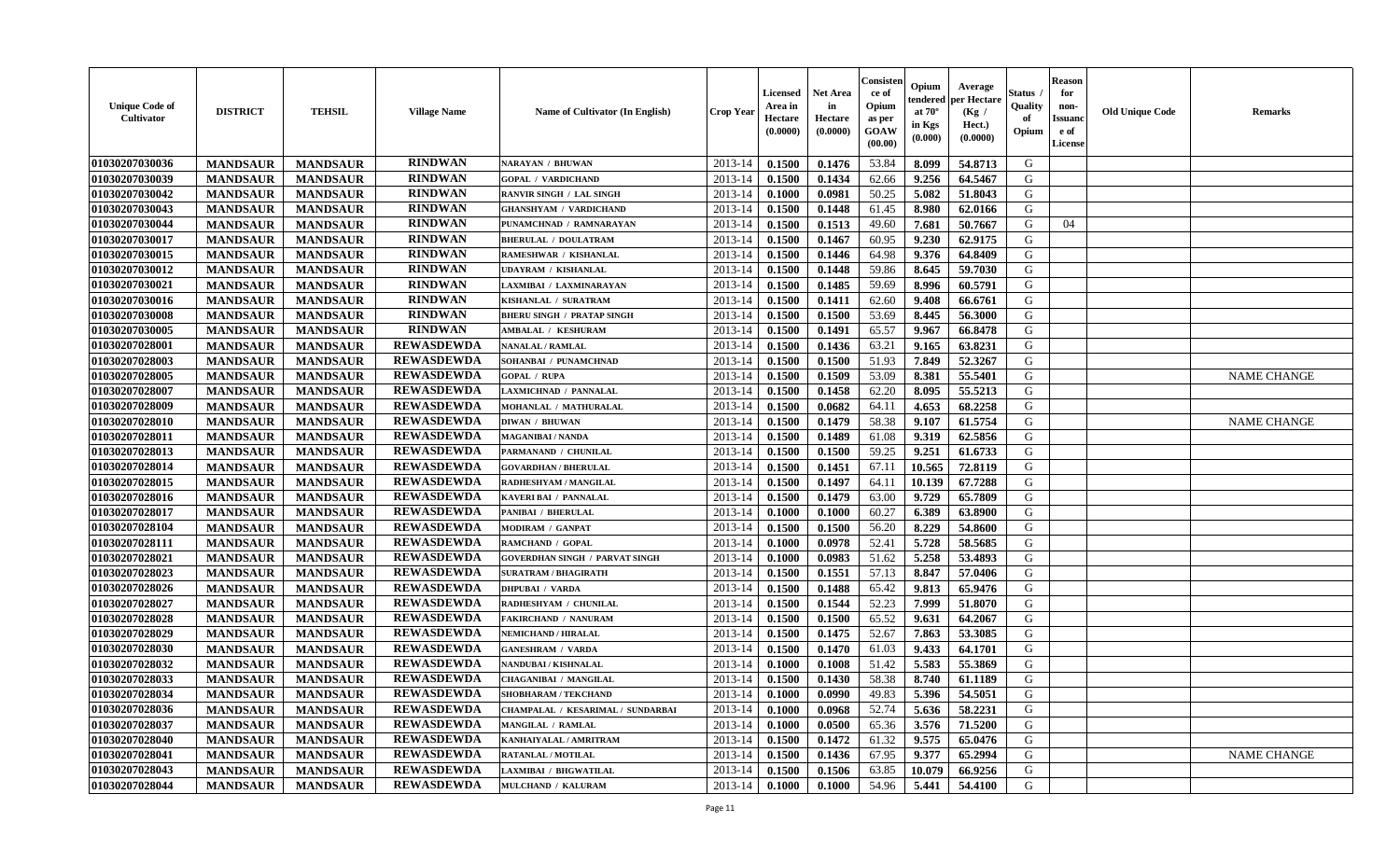| <b>RINDWAN</b><br>01030207030036<br>2013-14<br>53.84<br><b>MANDSAUR</b><br><b>MANDSAUR</b><br>0.1500<br>0.1476<br>8.099<br>54.8713<br>G<br>NARAYAN / BHUWAN<br>01030207030039<br><b>RINDWAN</b><br><b>MANDSAUR</b><br><b>MANDSAUR</b><br>2013-14<br>0.1500<br>0.1434<br>62.66<br>9.256<br>64.5467<br>G<br><b>GOPAL / VARDICHAND</b><br><b>RINDWAN</b><br>01030207030042<br>0.0981<br>50.25<br>5.082<br>51.8043<br>G<br><b>MANDSAUR</b><br><b>MANDSAUR</b><br>2013-14<br>0.1000<br><b>RANVIR SINGH / LAL SINGH</b><br><b>RINDWAN</b><br>01030207030043<br>0.1448<br><b>MANDSAUR</b><br><b>MANDSAUR</b><br><b>GHANSHYAM / VARDICHAND</b><br>2013-14<br>0.1500<br>61.45<br>8.980<br>62.0166<br>G<br><b>RINDWAN</b><br>01030207030044<br><b>MANDSAUR</b><br><b>MANDSAUR</b><br>0.1513<br>50.7667<br>G<br>PUNAMCHNAD / RAMNARAYAN<br>2013-14<br>0.1500<br>49.60<br>7.681<br>04<br><b>RINDWAN</b><br>9.230<br>01030207030017<br><b>MANDSAUR</b><br><b>MANDSAUR</b><br>2013-14<br>0.1500<br>0.1467<br>60.95<br>62.9175<br>G<br><b>BHERULAL / DOULATRAM</b><br><b>RINDWAN</b><br>01030207030015<br><b>MANDSAUR</b><br>9.376<br>64.8409<br>G<br><b>MANDSAUR</b><br>2013-14<br>0.1500<br>0.1446<br>64.98<br>RAMESHWAR / KISHANLAL<br><b>RINDWAN</b><br>G<br>01030207030012<br>59.86<br><b>MANDSAUR</b><br><b>MANDSAUR</b><br>2013-14<br>0.1500<br>0.1448<br>8.645<br>59.7030<br>UDAYRAM / KISHANLAL<br>01030207030021<br><b>RINDWAN</b><br><b>MANDSAUR</b><br><b>MANDSAUR</b><br>2013-14<br>0.1485<br>59.69<br>8.996<br>60.5791<br>G<br>LAXMIBAI / LAXMINARAYAN<br>0.1500<br>01030207030016<br><b>RINDWAN</b><br><b>MANDSAUR</b><br>2013-14<br>0.1500<br>0.1411<br>62.60<br>9.408<br>G<br><b>MANDSAUR</b><br>66.6761<br>KISHANLAL / SURATRAM<br><b>RINDWAN</b><br>$\mathbf G$<br>01030207030008<br><b>MANDSAUR</b><br><b>MANDSAUR</b><br>2013-14<br>0.1500<br>53.69<br>8.445<br>56.3000<br><b>BHERU SINGH / PRATAP SINGH</b><br>0.1500<br><b>RINDWAN</b><br>01030207030005<br><b>MANDSAUR</b><br>0.1491<br>65.57<br>9.967<br><b>MANDSAUR</b><br>AMBALAL / KESHURAM<br>2013-14<br>0.1500<br>66.8478<br>G<br><b>REWASDEWDA</b><br>01030207028001<br><b>MANDSAUR</b><br><b>MANDSAUR</b><br><b>NANALAL / RAMLAL</b><br>2013-14<br>0.1500<br>0.1436<br>63.21<br>9.165<br>63.8231<br>G<br>01030207028003<br><b>REWASDEWDA</b><br><b>MANDSAUR</b><br><b>MANDSAUR</b><br>SOHANBAI / PUNAMCHNAD<br>2013-14<br>0.1500<br>0.1500<br>51.93<br>7.849<br>52.3267<br>G<br><b>REWASDEWDA</b><br>01030207028005<br><b>MANDSAUR</b><br><b>MANDSAUR</b><br>0.1509<br>53.09<br>8.381<br>55.5401<br>G<br>2013-14<br>0.1500<br><b>NAME CHANGE</b><br><b>GOPAL / RUPA</b><br><b>REWASDEWDA</b><br>55.5213<br>01030207028007<br><b>MANDSAUR</b><br><b>MANDSAUR</b><br>62.20<br>G<br>2013-14<br>0.1500<br>0.1458<br>8.095<br>LAXMICHNAD / PANNALAL<br>01030207028009<br><b>REWASDEWDA</b><br><b>MANDSAUR</b><br><b>MANDSAUR</b><br>2013-14<br>0.0682<br>64.11<br>4.653<br>68.2258<br>G<br>0.1500<br>MOHANLAL / MATHURALAL<br><b>REWASDEWDA</b><br>01030207028010<br>58.38<br><b>MANDSAUR</b><br><b>MANDSAUR</b><br>2013-14<br>0.1500<br>0.1479<br>9.107<br>61.5754<br>G<br><b>NAME CHANGE</b><br><b>DIWAN / BHUWAN</b><br><b>REWASDEWDA</b><br>G<br>01030207028011<br><b>MANDSAUR</b><br><b>MANDSAUR</b><br>0.1500<br>0.1489<br>61.08<br>9.319<br>62.5856<br><b>MAGANIBAI / NANDA</b><br>2013-14<br><b>REWASDEWDA</b><br>G<br>01030207028013<br><b>MANDSAUR</b><br>0.1500<br>59.25<br>9.251<br>61.6733<br><b>MANDSAUR</b><br>PARMANAND / CHUNILAL<br>2013-14<br>0.1500<br><b>REWASDEWDA</b><br>01030207028014<br><b>MANDSAUR</b><br><b>MANDSAUR</b><br><b>GOVARDHAN / BHERULAL</b><br>2013-14<br>0.1500<br>0.1451<br>67.11<br>10.565<br>72.8119<br>G<br><b>REWASDEWDA</b><br>01030207028015<br><b>MANDSAUR</b><br><b>MANDSAUR</b><br>2013-14<br>0.1500<br>0.1497<br>64.11<br>10.139<br>67.7288<br>G<br>RADHESHYAM / MANGILAL<br><b>REWASDEWDA</b><br>01030207028016<br><b>MANDSAUR</b><br>0.1479<br>9.729<br>65.7809<br>G<br><b>MANDSAUR</b><br><b>KAVERI BAI / PANNALAL</b><br>2013-14<br>0.1500<br>63.00<br><b>REWASDEWDA</b><br>01030207028017<br>G<br><b>MANDSAUR</b><br><b>MANDSAUR</b><br>2013-14<br>60.27<br>6.389<br>PANIBAI / BHERULAL<br>0.1000<br>0.1000<br>63.8900<br><b>REWASDEWDA</b><br>01030207028104<br>56.20<br>8.229<br>G<br><b>MANDSAUR</b><br><b>MANDSAUR</b><br>2013-14<br>0.1500<br>0.1500<br>54.8600<br>MODIRAM / GANPAT<br>01030207028111<br><b>REWASDEWDA</b><br>52.41<br>G<br><b>MANDSAUR</b><br><b>MANDSAUR</b><br>2013-14<br>0.1000<br>0.0978<br>5.728<br>58.5685<br>RAMCHAND / GOPAL<br><b>REWASDEWDA</b><br>01030207028021<br>G<br><b>MANDSAUR</b><br><b>MANDSAUR</b><br>0.0983<br>51.62<br>5.258<br>53.4893<br><b>GOVERDHAN SINGH / PARVAT SINGH</b><br>2013-14<br>0.1000<br><b>REWASDEWDA</b><br>57.13<br>01030207028023<br><b>MANDSAUR</b><br><b>MANDSAUR</b><br>2013-14<br>0.1551<br>8.847<br>57.0406<br>G<br><b>SURATRAM / BHAGIRATH</b><br>0.1500<br><b>REWASDEWDA</b><br>01030207028026<br>65.9476<br>G<br><b>MANDSAUR</b><br><b>MANDSAUR</b><br><b>DHPUBAI / VARDA</b><br>2013-14<br>0.1500<br>0.1488<br>65.42<br>9.813<br><b>REWASDEWDA</b><br>01030207028027<br><b>MANDSAUR</b><br>7.999<br><b>MANDSAUR</b><br>RADHESHYAM / CHUNILAL<br>2013-14<br>0.1500<br>0.1544<br>52.23<br>51.8070<br>G<br><b>REWASDEWDA</b><br>01030207028028<br><b>MANDSAUR</b><br><b>MANDSAUR</b><br>0.1500<br>0.1500<br>65.52<br>9.631<br>64.2067<br>G<br>2013-14<br><b>FAKIRCHAND / NANURAM</b><br>01030207028029<br><b>REWASDEWDA</b><br>52.67<br>G<br><b>MANDSAUR</b><br><b>MANDSAUR</b><br>2013-14<br>0.1500<br>0.1475<br>7.863<br>53.3085<br><b>NEMICHAND / HIRALAL</b><br><b>REWASDEWDA</b><br>61.03<br>G<br>01030207028030<br><b>MANDSAUR</b><br><b>MANDSAUR</b><br>2013-14<br>0.1500<br>0.1470<br>9.433<br>64.1701<br><b>GANESHRAM / VARDA</b><br>01030207028032<br><b>REWASDEWDA</b><br><b>MANDSAUR</b><br>51.42<br>5.583<br>55.3869<br>G<br><b>MANDSAUR</b><br>2013-14<br>0.1000<br>0.1008<br>NANDUBAI / KISHNALAL<br>01030207028033<br><b>REWASDEWDA</b><br>G<br><b>MANDSAUR</b><br><b>MANDSAUR</b><br>0.1500<br>0.1430<br>58.38<br>8.740<br>61.1189<br><b>CHAGANIBAI / MANGILAL</b><br>2013-14<br><b>REWASDEWDA</b><br>01030207028034<br>5.396<br>G<br><b>MANDSAUR</b><br><b>MANDSAUR</b><br>2013-14<br>0.0990<br>49.83<br>54.5051<br><b>SHOBHARAM / TEKCHAND</b><br>0.1000<br><b>REWASDEWDA</b><br>01030207028036<br><b>MANDSAUR</b><br><b>MANDSAUR</b><br>CHAMPALAL / KESARIMAL / SUNDARBAI<br>2013-14<br>0.1000<br>0.0968<br>52.74<br>5.636<br>58.2231<br>G<br><b>REWASDEWDA</b><br>01030207028037<br><b>MANDSAUR</b><br><b>MANDSAUR</b><br>3.576<br>71.5200<br>G<br>MANGILAL / RAMLAL<br>2013-14<br>0.1000<br>0.0500<br>65.36<br>01030207028040<br><b>REWASDEWDA</b><br><b>MANDSAUR</b><br><b>MANDSAUR</b><br>9.575<br>65.0476<br>G<br>KANHAIYALAL / AMRITRAM<br>2013-14<br>0.1500<br>0.1472<br>61.32<br>01030207028041<br><b>REWASDEWDA</b><br>65.2994<br>$\mathbf G$<br><b>MANDSAUR</b><br><b>MANDSAUR</b><br>0.1500<br>0.1436<br>67.95<br>9.377<br><b>NAME CHANGE</b><br>2013-14<br>RATANLAL / MOTILAL<br>G<br>01030207028043<br><b>REWASDEWDA</b><br><b>MANDSAUR</b><br><b>MANDSAUR</b><br>2013-14<br>0.1500<br>0.1506<br>63.85<br>10.079<br>66.9256<br>LAXMIBAI / BHGWATILAL<br>G<br>01030207028044<br><b>REWASDEWDA</b><br>2013-14<br>0.1000<br>54.96<br>5.441<br>54.4100<br><b>MANDSAUR</b><br><b>MANDSAUR</b><br>MULCHAND / KALURAM<br>0.1000 | <b>Unique Code of</b><br>Cultivator | <b>DISTRICT</b> | <b>TEHSIL</b> | <b>Village Name</b> | <b>Name of Cultivator (In English)</b> | <b>Crop Year</b> | <b>Licensed</b><br>Area in<br>Hectare<br>(0.0000) | <b>Net Area</b><br>in<br>Hectare<br>(0.0000) | Consisteı<br>ce of<br>Opium<br>as per<br><b>GOAW</b><br>(00.00) | Opium<br>endered<br>at $70^\circ$<br>in Kgs<br>(0.000) | Average<br>oer Hectare<br>(Kg /<br>Hect.)<br>(0.0000) | Status<br>Quality<br>of<br>Opium | <b>Reason</b><br>for<br>non-<br><b>Issuano</b><br>e of<br>License | <b>Old Unique Code</b> | <b>Remarks</b> |
|------------------------------------------------------------------------------------------------------------------------------------------------------------------------------------------------------------------------------------------------------------------------------------------------------------------------------------------------------------------------------------------------------------------------------------------------------------------------------------------------------------------------------------------------------------------------------------------------------------------------------------------------------------------------------------------------------------------------------------------------------------------------------------------------------------------------------------------------------------------------------------------------------------------------------------------------------------------------------------------------------------------------------------------------------------------------------------------------------------------------------------------------------------------------------------------------------------------------------------------------------------------------------------------------------------------------------------------------------------------------------------------------------------------------------------------------------------------------------------------------------------------------------------------------------------------------------------------------------------------------------------------------------------------------------------------------------------------------------------------------------------------------------------------------------------------------------------------------------------------------------------------------------------------------------------------------------------------------------------------------------------------------------------------------------------------------------------------------------------------------------------------------------------------------------------------------------------------------------------------------------------------------------------------------------------------------------------------------------------------------------------------------------------------------------------------------------------------------------------------------------------------------------------------------------------------------------------------------------------------------------------------------------------------------------------------------------------------------------------------------------------------------------------------------------------------------------------------------------------------------------------------------------------------------------------------------------------------------------------------------------------------------------------------------------------------------------------------------------------------------------------------------------------------------------------------------------------------------------------------------------------------------------------------------------------------------------------------------------------------------------------------------------------------------------------------------------------------------------------------------------------------------------------------------------------------------------------------------------------------------------------------------------------------------------------------------------------------------------------------------------------------------------------------------------------------------------------------------------------------------------------------------------------------------------------------------------------------------------------------------------------------------------------------------------------------------------------------------------------------------------------------------------------------------------------------------------------------------------------------------------------------------------------------------------------------------------------------------------------------------------------------------------------------------------------------------------------------------------------------------------------------------------------------------------------------------------------------------------------------------------------------------------------------------------------------------------------------------------------------------------------------------------------------------------------------------------------------------------------------------------------------------------------------------------------------------------------------------------------------------------------------------------------------------------------------------------------------------------------------------------------------------------------------------------------------------------------------------------------------------------------------------------------------------------------------------------------------------------------------------------------------------------------------------------------------------------------------------------------------------------------------------------------------------------------------------------------------------------------------------------------------------------------------------------------------------------------------------------------------------------------------------------------------------------------------------------------------------------------------------------------------------------------------------------------------------------------------------------------------------------------------------------------------------------------------------------------------------------------------------------------------------------------------------------------------------------------------------------------------------------------------------------------------------------------------------------------------------------------------------------------------------------------------------------------------------------------------------------------------------------------------------------------------------------------------------------------------------------------------------------------------------------------------------------------------------------------------------------------------------------------------------------------------------------------------------------------------------------------------------------------------------------------------------------------------------------------------------------------------------------------------------------------------------------------------------------------------------------------------------------------------------------------------------------------------------------------------------------------------------------------------------------------------------------------------------------------------------------------------------------------------------------------------------------------------------------|-------------------------------------|-----------------|---------------|---------------------|----------------------------------------|------------------|---------------------------------------------------|----------------------------------------------|-----------------------------------------------------------------|--------------------------------------------------------|-------------------------------------------------------|----------------------------------|-------------------------------------------------------------------|------------------------|----------------|
|                                                                                                                                                                                                                                                                                                                                                                                                                                                                                                                                                                                                                                                                                                                                                                                                                                                                                                                                                                                                                                                                                                                                                                                                                                                                                                                                                                                                                                                                                                                                                                                                                                                                                                                                                                                                                                                                                                                                                                                                                                                                                                                                                                                                                                                                                                                                                                                                                                                                                                                                                                                                                                                                                                                                                                                                                                                                                                                                                                                                                                                                                                                                                                                                                                                                                                                                                                                                                                                                                                                                                                                                                                                                                                                                                                                                                                                                                                                                                                                                                                                                                                                                                                                                                                                                                                                                                                                                                                                                                                                                                                                                                                                                                                                                                                                                                                                                                                                                                                                                                                                                                                                                                                                                                                                                                                                                                                                                                                                                                                                                                                                                                                                                                                                                                                                                                                                                                                                                                                                                                                                                                                                                                                                                                                                                                                                                                                                                                                                                                                                                                                                                                                                                                                                                                                                                                                                                                                                                                                                                                                                                                                                                                                                                                                                                                                                                                                                                                                                      |                                     |                 |               |                     |                                        |                  |                                                   |                                              |                                                                 |                                                        |                                                       |                                  |                                                                   |                        |                |
|                                                                                                                                                                                                                                                                                                                                                                                                                                                                                                                                                                                                                                                                                                                                                                                                                                                                                                                                                                                                                                                                                                                                                                                                                                                                                                                                                                                                                                                                                                                                                                                                                                                                                                                                                                                                                                                                                                                                                                                                                                                                                                                                                                                                                                                                                                                                                                                                                                                                                                                                                                                                                                                                                                                                                                                                                                                                                                                                                                                                                                                                                                                                                                                                                                                                                                                                                                                                                                                                                                                                                                                                                                                                                                                                                                                                                                                                                                                                                                                                                                                                                                                                                                                                                                                                                                                                                                                                                                                                                                                                                                                                                                                                                                                                                                                                                                                                                                                                                                                                                                                                                                                                                                                                                                                                                                                                                                                                                                                                                                                                                                                                                                                                                                                                                                                                                                                                                                                                                                                                                                                                                                                                                                                                                                                                                                                                                                                                                                                                                                                                                                                                                                                                                                                                                                                                                                                                                                                                                                                                                                                                                                                                                                                                                                                                                                                                                                                                                                                      |                                     |                 |               |                     |                                        |                  |                                                   |                                              |                                                                 |                                                        |                                                       |                                  |                                                                   |                        |                |
|                                                                                                                                                                                                                                                                                                                                                                                                                                                                                                                                                                                                                                                                                                                                                                                                                                                                                                                                                                                                                                                                                                                                                                                                                                                                                                                                                                                                                                                                                                                                                                                                                                                                                                                                                                                                                                                                                                                                                                                                                                                                                                                                                                                                                                                                                                                                                                                                                                                                                                                                                                                                                                                                                                                                                                                                                                                                                                                                                                                                                                                                                                                                                                                                                                                                                                                                                                                                                                                                                                                                                                                                                                                                                                                                                                                                                                                                                                                                                                                                                                                                                                                                                                                                                                                                                                                                                                                                                                                                                                                                                                                                                                                                                                                                                                                                                                                                                                                                                                                                                                                                                                                                                                                                                                                                                                                                                                                                                                                                                                                                                                                                                                                                                                                                                                                                                                                                                                                                                                                                                                                                                                                                                                                                                                                                                                                                                                                                                                                                                                                                                                                                                                                                                                                                                                                                                                                                                                                                                                                                                                                                                                                                                                                                                                                                                                                                                                                                                                                      |                                     |                 |               |                     |                                        |                  |                                                   |                                              |                                                                 |                                                        |                                                       |                                  |                                                                   |                        |                |
|                                                                                                                                                                                                                                                                                                                                                                                                                                                                                                                                                                                                                                                                                                                                                                                                                                                                                                                                                                                                                                                                                                                                                                                                                                                                                                                                                                                                                                                                                                                                                                                                                                                                                                                                                                                                                                                                                                                                                                                                                                                                                                                                                                                                                                                                                                                                                                                                                                                                                                                                                                                                                                                                                                                                                                                                                                                                                                                                                                                                                                                                                                                                                                                                                                                                                                                                                                                                                                                                                                                                                                                                                                                                                                                                                                                                                                                                                                                                                                                                                                                                                                                                                                                                                                                                                                                                                                                                                                                                                                                                                                                                                                                                                                                                                                                                                                                                                                                                                                                                                                                                                                                                                                                                                                                                                                                                                                                                                                                                                                                                                                                                                                                                                                                                                                                                                                                                                                                                                                                                                                                                                                                                                                                                                                                                                                                                                                                                                                                                                                                                                                                                                                                                                                                                                                                                                                                                                                                                                                                                                                                                                                                                                                                                                                                                                                                                                                                                                                                      |                                     |                 |               |                     |                                        |                  |                                                   |                                              |                                                                 |                                                        |                                                       |                                  |                                                                   |                        |                |
|                                                                                                                                                                                                                                                                                                                                                                                                                                                                                                                                                                                                                                                                                                                                                                                                                                                                                                                                                                                                                                                                                                                                                                                                                                                                                                                                                                                                                                                                                                                                                                                                                                                                                                                                                                                                                                                                                                                                                                                                                                                                                                                                                                                                                                                                                                                                                                                                                                                                                                                                                                                                                                                                                                                                                                                                                                                                                                                                                                                                                                                                                                                                                                                                                                                                                                                                                                                                                                                                                                                                                                                                                                                                                                                                                                                                                                                                                                                                                                                                                                                                                                                                                                                                                                                                                                                                                                                                                                                                                                                                                                                                                                                                                                                                                                                                                                                                                                                                                                                                                                                                                                                                                                                                                                                                                                                                                                                                                                                                                                                                                                                                                                                                                                                                                                                                                                                                                                                                                                                                                                                                                                                                                                                                                                                                                                                                                                                                                                                                                                                                                                                                                                                                                                                                                                                                                                                                                                                                                                                                                                                                                                                                                                                                                                                                                                                                                                                                                                                      |                                     |                 |               |                     |                                        |                  |                                                   |                                              |                                                                 |                                                        |                                                       |                                  |                                                                   |                        |                |
|                                                                                                                                                                                                                                                                                                                                                                                                                                                                                                                                                                                                                                                                                                                                                                                                                                                                                                                                                                                                                                                                                                                                                                                                                                                                                                                                                                                                                                                                                                                                                                                                                                                                                                                                                                                                                                                                                                                                                                                                                                                                                                                                                                                                                                                                                                                                                                                                                                                                                                                                                                                                                                                                                                                                                                                                                                                                                                                                                                                                                                                                                                                                                                                                                                                                                                                                                                                                                                                                                                                                                                                                                                                                                                                                                                                                                                                                                                                                                                                                                                                                                                                                                                                                                                                                                                                                                                                                                                                                                                                                                                                                                                                                                                                                                                                                                                                                                                                                                                                                                                                                                                                                                                                                                                                                                                                                                                                                                                                                                                                                                                                                                                                                                                                                                                                                                                                                                                                                                                                                                                                                                                                                                                                                                                                                                                                                                                                                                                                                                                                                                                                                                                                                                                                                                                                                                                                                                                                                                                                                                                                                                                                                                                                                                                                                                                                                                                                                                                                      |                                     |                 |               |                     |                                        |                  |                                                   |                                              |                                                                 |                                                        |                                                       |                                  |                                                                   |                        |                |
|                                                                                                                                                                                                                                                                                                                                                                                                                                                                                                                                                                                                                                                                                                                                                                                                                                                                                                                                                                                                                                                                                                                                                                                                                                                                                                                                                                                                                                                                                                                                                                                                                                                                                                                                                                                                                                                                                                                                                                                                                                                                                                                                                                                                                                                                                                                                                                                                                                                                                                                                                                                                                                                                                                                                                                                                                                                                                                                                                                                                                                                                                                                                                                                                                                                                                                                                                                                                                                                                                                                                                                                                                                                                                                                                                                                                                                                                                                                                                                                                                                                                                                                                                                                                                                                                                                                                                                                                                                                                                                                                                                                                                                                                                                                                                                                                                                                                                                                                                                                                                                                                                                                                                                                                                                                                                                                                                                                                                                                                                                                                                                                                                                                                                                                                                                                                                                                                                                                                                                                                                                                                                                                                                                                                                                                                                                                                                                                                                                                                                                                                                                                                                                                                                                                                                                                                                                                                                                                                                                                                                                                                                                                                                                                                                                                                                                                                                                                                                                                      |                                     |                 |               |                     |                                        |                  |                                                   |                                              |                                                                 |                                                        |                                                       |                                  |                                                                   |                        |                |
|                                                                                                                                                                                                                                                                                                                                                                                                                                                                                                                                                                                                                                                                                                                                                                                                                                                                                                                                                                                                                                                                                                                                                                                                                                                                                                                                                                                                                                                                                                                                                                                                                                                                                                                                                                                                                                                                                                                                                                                                                                                                                                                                                                                                                                                                                                                                                                                                                                                                                                                                                                                                                                                                                                                                                                                                                                                                                                                                                                                                                                                                                                                                                                                                                                                                                                                                                                                                                                                                                                                                                                                                                                                                                                                                                                                                                                                                                                                                                                                                                                                                                                                                                                                                                                                                                                                                                                                                                                                                                                                                                                                                                                                                                                                                                                                                                                                                                                                                                                                                                                                                                                                                                                                                                                                                                                                                                                                                                                                                                                                                                                                                                                                                                                                                                                                                                                                                                                                                                                                                                                                                                                                                                                                                                                                                                                                                                                                                                                                                                                                                                                                                                                                                                                                                                                                                                                                                                                                                                                                                                                                                                                                                                                                                                                                                                                                                                                                                                                                      |                                     |                 |               |                     |                                        |                  |                                                   |                                              |                                                                 |                                                        |                                                       |                                  |                                                                   |                        |                |
|                                                                                                                                                                                                                                                                                                                                                                                                                                                                                                                                                                                                                                                                                                                                                                                                                                                                                                                                                                                                                                                                                                                                                                                                                                                                                                                                                                                                                                                                                                                                                                                                                                                                                                                                                                                                                                                                                                                                                                                                                                                                                                                                                                                                                                                                                                                                                                                                                                                                                                                                                                                                                                                                                                                                                                                                                                                                                                                                                                                                                                                                                                                                                                                                                                                                                                                                                                                                                                                                                                                                                                                                                                                                                                                                                                                                                                                                                                                                                                                                                                                                                                                                                                                                                                                                                                                                                                                                                                                                                                                                                                                                                                                                                                                                                                                                                                                                                                                                                                                                                                                                                                                                                                                                                                                                                                                                                                                                                                                                                                                                                                                                                                                                                                                                                                                                                                                                                                                                                                                                                                                                                                                                                                                                                                                                                                                                                                                                                                                                                                                                                                                                                                                                                                                                                                                                                                                                                                                                                                                                                                                                                                                                                                                                                                                                                                                                                                                                                                                      |                                     |                 |               |                     |                                        |                  |                                                   |                                              |                                                                 |                                                        |                                                       |                                  |                                                                   |                        |                |
|                                                                                                                                                                                                                                                                                                                                                                                                                                                                                                                                                                                                                                                                                                                                                                                                                                                                                                                                                                                                                                                                                                                                                                                                                                                                                                                                                                                                                                                                                                                                                                                                                                                                                                                                                                                                                                                                                                                                                                                                                                                                                                                                                                                                                                                                                                                                                                                                                                                                                                                                                                                                                                                                                                                                                                                                                                                                                                                                                                                                                                                                                                                                                                                                                                                                                                                                                                                                                                                                                                                                                                                                                                                                                                                                                                                                                                                                                                                                                                                                                                                                                                                                                                                                                                                                                                                                                                                                                                                                                                                                                                                                                                                                                                                                                                                                                                                                                                                                                                                                                                                                                                                                                                                                                                                                                                                                                                                                                                                                                                                                                                                                                                                                                                                                                                                                                                                                                                                                                                                                                                                                                                                                                                                                                                                                                                                                                                                                                                                                                                                                                                                                                                                                                                                                                                                                                                                                                                                                                                                                                                                                                                                                                                                                                                                                                                                                                                                                                                                      |                                     |                 |               |                     |                                        |                  |                                                   |                                              |                                                                 |                                                        |                                                       |                                  |                                                                   |                        |                |
|                                                                                                                                                                                                                                                                                                                                                                                                                                                                                                                                                                                                                                                                                                                                                                                                                                                                                                                                                                                                                                                                                                                                                                                                                                                                                                                                                                                                                                                                                                                                                                                                                                                                                                                                                                                                                                                                                                                                                                                                                                                                                                                                                                                                                                                                                                                                                                                                                                                                                                                                                                                                                                                                                                                                                                                                                                                                                                                                                                                                                                                                                                                                                                                                                                                                                                                                                                                                                                                                                                                                                                                                                                                                                                                                                                                                                                                                                                                                                                                                                                                                                                                                                                                                                                                                                                                                                                                                                                                                                                                                                                                                                                                                                                                                                                                                                                                                                                                                                                                                                                                                                                                                                                                                                                                                                                                                                                                                                                                                                                                                                                                                                                                                                                                                                                                                                                                                                                                                                                                                                                                                                                                                                                                                                                                                                                                                                                                                                                                                                                                                                                                                                                                                                                                                                                                                                                                                                                                                                                                                                                                                                                                                                                                                                                                                                                                                                                                                                                                      |                                     |                 |               |                     |                                        |                  |                                                   |                                              |                                                                 |                                                        |                                                       |                                  |                                                                   |                        |                |
|                                                                                                                                                                                                                                                                                                                                                                                                                                                                                                                                                                                                                                                                                                                                                                                                                                                                                                                                                                                                                                                                                                                                                                                                                                                                                                                                                                                                                                                                                                                                                                                                                                                                                                                                                                                                                                                                                                                                                                                                                                                                                                                                                                                                                                                                                                                                                                                                                                                                                                                                                                                                                                                                                                                                                                                                                                                                                                                                                                                                                                                                                                                                                                                                                                                                                                                                                                                                                                                                                                                                                                                                                                                                                                                                                                                                                                                                                                                                                                                                                                                                                                                                                                                                                                                                                                                                                                                                                                                                                                                                                                                                                                                                                                                                                                                                                                                                                                                                                                                                                                                                                                                                                                                                                                                                                                                                                                                                                                                                                                                                                                                                                                                                                                                                                                                                                                                                                                                                                                                                                                                                                                                                                                                                                                                                                                                                                                                                                                                                                                                                                                                                                                                                                                                                                                                                                                                                                                                                                                                                                                                                                                                                                                                                                                                                                                                                                                                                                                                      |                                     |                 |               |                     |                                        |                  |                                                   |                                              |                                                                 |                                                        |                                                       |                                  |                                                                   |                        |                |
|                                                                                                                                                                                                                                                                                                                                                                                                                                                                                                                                                                                                                                                                                                                                                                                                                                                                                                                                                                                                                                                                                                                                                                                                                                                                                                                                                                                                                                                                                                                                                                                                                                                                                                                                                                                                                                                                                                                                                                                                                                                                                                                                                                                                                                                                                                                                                                                                                                                                                                                                                                                                                                                                                                                                                                                                                                                                                                                                                                                                                                                                                                                                                                                                                                                                                                                                                                                                                                                                                                                                                                                                                                                                                                                                                                                                                                                                                                                                                                                                                                                                                                                                                                                                                                                                                                                                                                                                                                                                                                                                                                                                                                                                                                                                                                                                                                                                                                                                                                                                                                                                                                                                                                                                                                                                                                                                                                                                                                                                                                                                                                                                                                                                                                                                                                                                                                                                                                                                                                                                                                                                                                                                                                                                                                                                                                                                                                                                                                                                                                                                                                                                                                                                                                                                                                                                                                                                                                                                                                                                                                                                                                                                                                                                                                                                                                                                                                                                                                                      |                                     |                 |               |                     |                                        |                  |                                                   |                                              |                                                                 |                                                        |                                                       |                                  |                                                                   |                        |                |
|                                                                                                                                                                                                                                                                                                                                                                                                                                                                                                                                                                                                                                                                                                                                                                                                                                                                                                                                                                                                                                                                                                                                                                                                                                                                                                                                                                                                                                                                                                                                                                                                                                                                                                                                                                                                                                                                                                                                                                                                                                                                                                                                                                                                                                                                                                                                                                                                                                                                                                                                                                                                                                                                                                                                                                                                                                                                                                                                                                                                                                                                                                                                                                                                                                                                                                                                                                                                                                                                                                                                                                                                                                                                                                                                                                                                                                                                                                                                                                                                                                                                                                                                                                                                                                                                                                                                                                                                                                                                                                                                                                                                                                                                                                                                                                                                                                                                                                                                                                                                                                                                                                                                                                                                                                                                                                                                                                                                                                                                                                                                                                                                                                                                                                                                                                                                                                                                                                                                                                                                                                                                                                                                                                                                                                                                                                                                                                                                                                                                                                                                                                                                                                                                                                                                                                                                                                                                                                                                                                                                                                                                                                                                                                                                                                                                                                                                                                                                                                                      |                                     |                 |               |                     |                                        |                  |                                                   |                                              |                                                                 |                                                        |                                                       |                                  |                                                                   |                        |                |
|                                                                                                                                                                                                                                                                                                                                                                                                                                                                                                                                                                                                                                                                                                                                                                                                                                                                                                                                                                                                                                                                                                                                                                                                                                                                                                                                                                                                                                                                                                                                                                                                                                                                                                                                                                                                                                                                                                                                                                                                                                                                                                                                                                                                                                                                                                                                                                                                                                                                                                                                                                                                                                                                                                                                                                                                                                                                                                                                                                                                                                                                                                                                                                                                                                                                                                                                                                                                                                                                                                                                                                                                                                                                                                                                                                                                                                                                                                                                                                                                                                                                                                                                                                                                                                                                                                                                                                                                                                                                                                                                                                                                                                                                                                                                                                                                                                                                                                                                                                                                                                                                                                                                                                                                                                                                                                                                                                                                                                                                                                                                                                                                                                                                                                                                                                                                                                                                                                                                                                                                                                                                                                                                                                                                                                                                                                                                                                                                                                                                                                                                                                                                                                                                                                                                                                                                                                                                                                                                                                                                                                                                                                                                                                                                                                                                                                                                                                                                                                                      |                                     |                 |               |                     |                                        |                  |                                                   |                                              |                                                                 |                                                        |                                                       |                                  |                                                                   |                        |                |
|                                                                                                                                                                                                                                                                                                                                                                                                                                                                                                                                                                                                                                                                                                                                                                                                                                                                                                                                                                                                                                                                                                                                                                                                                                                                                                                                                                                                                                                                                                                                                                                                                                                                                                                                                                                                                                                                                                                                                                                                                                                                                                                                                                                                                                                                                                                                                                                                                                                                                                                                                                                                                                                                                                                                                                                                                                                                                                                                                                                                                                                                                                                                                                                                                                                                                                                                                                                                                                                                                                                                                                                                                                                                                                                                                                                                                                                                                                                                                                                                                                                                                                                                                                                                                                                                                                                                                                                                                                                                                                                                                                                                                                                                                                                                                                                                                                                                                                                                                                                                                                                                                                                                                                                                                                                                                                                                                                                                                                                                                                                                                                                                                                                                                                                                                                                                                                                                                                                                                                                                                                                                                                                                                                                                                                                                                                                                                                                                                                                                                                                                                                                                                                                                                                                                                                                                                                                                                                                                                                                                                                                                                                                                                                                                                                                                                                                                                                                                                                                      |                                     |                 |               |                     |                                        |                  |                                                   |                                              |                                                                 |                                                        |                                                       |                                  |                                                                   |                        |                |
|                                                                                                                                                                                                                                                                                                                                                                                                                                                                                                                                                                                                                                                                                                                                                                                                                                                                                                                                                                                                                                                                                                                                                                                                                                                                                                                                                                                                                                                                                                                                                                                                                                                                                                                                                                                                                                                                                                                                                                                                                                                                                                                                                                                                                                                                                                                                                                                                                                                                                                                                                                                                                                                                                                                                                                                                                                                                                                                                                                                                                                                                                                                                                                                                                                                                                                                                                                                                                                                                                                                                                                                                                                                                                                                                                                                                                                                                                                                                                                                                                                                                                                                                                                                                                                                                                                                                                                                                                                                                                                                                                                                                                                                                                                                                                                                                                                                                                                                                                                                                                                                                                                                                                                                                                                                                                                                                                                                                                                                                                                                                                                                                                                                                                                                                                                                                                                                                                                                                                                                                                                                                                                                                                                                                                                                                                                                                                                                                                                                                                                                                                                                                                                                                                                                                                                                                                                                                                                                                                                                                                                                                                                                                                                                                                                                                                                                                                                                                                                                      |                                     |                 |               |                     |                                        |                  |                                                   |                                              |                                                                 |                                                        |                                                       |                                  |                                                                   |                        |                |
|                                                                                                                                                                                                                                                                                                                                                                                                                                                                                                                                                                                                                                                                                                                                                                                                                                                                                                                                                                                                                                                                                                                                                                                                                                                                                                                                                                                                                                                                                                                                                                                                                                                                                                                                                                                                                                                                                                                                                                                                                                                                                                                                                                                                                                                                                                                                                                                                                                                                                                                                                                                                                                                                                                                                                                                                                                                                                                                                                                                                                                                                                                                                                                                                                                                                                                                                                                                                                                                                                                                                                                                                                                                                                                                                                                                                                                                                                                                                                                                                                                                                                                                                                                                                                                                                                                                                                                                                                                                                                                                                                                                                                                                                                                                                                                                                                                                                                                                                                                                                                                                                                                                                                                                                                                                                                                                                                                                                                                                                                                                                                                                                                                                                                                                                                                                                                                                                                                                                                                                                                                                                                                                                                                                                                                                                                                                                                                                                                                                                                                                                                                                                                                                                                                                                                                                                                                                                                                                                                                                                                                                                                                                                                                                                                                                                                                                                                                                                                                                      |                                     |                 |               |                     |                                        |                  |                                                   |                                              |                                                                 |                                                        |                                                       |                                  |                                                                   |                        |                |
|                                                                                                                                                                                                                                                                                                                                                                                                                                                                                                                                                                                                                                                                                                                                                                                                                                                                                                                                                                                                                                                                                                                                                                                                                                                                                                                                                                                                                                                                                                                                                                                                                                                                                                                                                                                                                                                                                                                                                                                                                                                                                                                                                                                                                                                                                                                                                                                                                                                                                                                                                                                                                                                                                                                                                                                                                                                                                                                                                                                                                                                                                                                                                                                                                                                                                                                                                                                                                                                                                                                                                                                                                                                                                                                                                                                                                                                                                                                                                                                                                                                                                                                                                                                                                                                                                                                                                                                                                                                                                                                                                                                                                                                                                                                                                                                                                                                                                                                                                                                                                                                                                                                                                                                                                                                                                                                                                                                                                                                                                                                                                                                                                                                                                                                                                                                                                                                                                                                                                                                                                                                                                                                                                                                                                                                                                                                                                                                                                                                                                                                                                                                                                                                                                                                                                                                                                                                                                                                                                                                                                                                                                                                                                                                                                                                                                                                                                                                                                                                      |                                     |                 |               |                     |                                        |                  |                                                   |                                              |                                                                 |                                                        |                                                       |                                  |                                                                   |                        |                |
|                                                                                                                                                                                                                                                                                                                                                                                                                                                                                                                                                                                                                                                                                                                                                                                                                                                                                                                                                                                                                                                                                                                                                                                                                                                                                                                                                                                                                                                                                                                                                                                                                                                                                                                                                                                                                                                                                                                                                                                                                                                                                                                                                                                                                                                                                                                                                                                                                                                                                                                                                                                                                                                                                                                                                                                                                                                                                                                                                                                                                                                                                                                                                                                                                                                                                                                                                                                                                                                                                                                                                                                                                                                                                                                                                                                                                                                                                                                                                                                                                                                                                                                                                                                                                                                                                                                                                                                                                                                                                                                                                                                                                                                                                                                                                                                                                                                                                                                                                                                                                                                                                                                                                                                                                                                                                                                                                                                                                                                                                                                                                                                                                                                                                                                                                                                                                                                                                                                                                                                                                                                                                                                                                                                                                                                                                                                                                                                                                                                                                                                                                                                                                                                                                                                                                                                                                                                                                                                                                                                                                                                                                                                                                                                                                                                                                                                                                                                                                                                      |                                     |                 |               |                     |                                        |                  |                                                   |                                              |                                                                 |                                                        |                                                       |                                  |                                                                   |                        |                |
|                                                                                                                                                                                                                                                                                                                                                                                                                                                                                                                                                                                                                                                                                                                                                                                                                                                                                                                                                                                                                                                                                                                                                                                                                                                                                                                                                                                                                                                                                                                                                                                                                                                                                                                                                                                                                                                                                                                                                                                                                                                                                                                                                                                                                                                                                                                                                                                                                                                                                                                                                                                                                                                                                                                                                                                                                                                                                                                                                                                                                                                                                                                                                                                                                                                                                                                                                                                                                                                                                                                                                                                                                                                                                                                                                                                                                                                                                                                                                                                                                                                                                                                                                                                                                                                                                                                                                                                                                                                                                                                                                                                                                                                                                                                                                                                                                                                                                                                                                                                                                                                                                                                                                                                                                                                                                                                                                                                                                                                                                                                                                                                                                                                                                                                                                                                                                                                                                                                                                                                                                                                                                                                                                                                                                                                                                                                                                                                                                                                                                                                                                                                                                                                                                                                                                                                                                                                                                                                                                                                                                                                                                                                                                                                                                                                                                                                                                                                                                                                      |                                     |                 |               |                     |                                        |                  |                                                   |                                              |                                                                 |                                                        |                                                       |                                  |                                                                   |                        |                |
|                                                                                                                                                                                                                                                                                                                                                                                                                                                                                                                                                                                                                                                                                                                                                                                                                                                                                                                                                                                                                                                                                                                                                                                                                                                                                                                                                                                                                                                                                                                                                                                                                                                                                                                                                                                                                                                                                                                                                                                                                                                                                                                                                                                                                                                                                                                                                                                                                                                                                                                                                                                                                                                                                                                                                                                                                                                                                                                                                                                                                                                                                                                                                                                                                                                                                                                                                                                                                                                                                                                                                                                                                                                                                                                                                                                                                                                                                                                                                                                                                                                                                                                                                                                                                                                                                                                                                                                                                                                                                                                                                                                                                                                                                                                                                                                                                                                                                                                                                                                                                                                                                                                                                                                                                                                                                                                                                                                                                                                                                                                                                                                                                                                                                                                                                                                                                                                                                                                                                                                                                                                                                                                                                                                                                                                                                                                                                                                                                                                                                                                                                                                                                                                                                                                                                                                                                                                                                                                                                                                                                                                                                                                                                                                                                                                                                                                                                                                                                                                      |                                     |                 |               |                     |                                        |                  |                                                   |                                              |                                                                 |                                                        |                                                       |                                  |                                                                   |                        |                |
|                                                                                                                                                                                                                                                                                                                                                                                                                                                                                                                                                                                                                                                                                                                                                                                                                                                                                                                                                                                                                                                                                                                                                                                                                                                                                                                                                                                                                                                                                                                                                                                                                                                                                                                                                                                                                                                                                                                                                                                                                                                                                                                                                                                                                                                                                                                                                                                                                                                                                                                                                                                                                                                                                                                                                                                                                                                                                                                                                                                                                                                                                                                                                                                                                                                                                                                                                                                                                                                                                                                                                                                                                                                                                                                                                                                                                                                                                                                                                                                                                                                                                                                                                                                                                                                                                                                                                                                                                                                                                                                                                                                                                                                                                                                                                                                                                                                                                                                                                                                                                                                                                                                                                                                                                                                                                                                                                                                                                                                                                                                                                                                                                                                                                                                                                                                                                                                                                                                                                                                                                                                                                                                                                                                                                                                                                                                                                                                                                                                                                                                                                                                                                                                                                                                                                                                                                                                                                                                                                                                                                                                                                                                                                                                                                                                                                                                                                                                                                                                      |                                     |                 |               |                     |                                        |                  |                                                   |                                              |                                                                 |                                                        |                                                       |                                  |                                                                   |                        |                |
|                                                                                                                                                                                                                                                                                                                                                                                                                                                                                                                                                                                                                                                                                                                                                                                                                                                                                                                                                                                                                                                                                                                                                                                                                                                                                                                                                                                                                                                                                                                                                                                                                                                                                                                                                                                                                                                                                                                                                                                                                                                                                                                                                                                                                                                                                                                                                                                                                                                                                                                                                                                                                                                                                                                                                                                                                                                                                                                                                                                                                                                                                                                                                                                                                                                                                                                                                                                                                                                                                                                                                                                                                                                                                                                                                                                                                                                                                                                                                                                                                                                                                                                                                                                                                                                                                                                                                                                                                                                                                                                                                                                                                                                                                                                                                                                                                                                                                                                                                                                                                                                                                                                                                                                                                                                                                                                                                                                                                                                                                                                                                                                                                                                                                                                                                                                                                                                                                                                                                                                                                                                                                                                                                                                                                                                                                                                                                                                                                                                                                                                                                                                                                                                                                                                                                                                                                                                                                                                                                                                                                                                                                                                                                                                                                                                                                                                                                                                                                                                      |                                     |                 |               |                     |                                        |                  |                                                   |                                              |                                                                 |                                                        |                                                       |                                  |                                                                   |                        |                |
|                                                                                                                                                                                                                                                                                                                                                                                                                                                                                                                                                                                                                                                                                                                                                                                                                                                                                                                                                                                                                                                                                                                                                                                                                                                                                                                                                                                                                                                                                                                                                                                                                                                                                                                                                                                                                                                                                                                                                                                                                                                                                                                                                                                                                                                                                                                                                                                                                                                                                                                                                                                                                                                                                                                                                                                                                                                                                                                                                                                                                                                                                                                                                                                                                                                                                                                                                                                                                                                                                                                                                                                                                                                                                                                                                                                                                                                                                                                                                                                                                                                                                                                                                                                                                                                                                                                                                                                                                                                                                                                                                                                                                                                                                                                                                                                                                                                                                                                                                                                                                                                                                                                                                                                                                                                                                                                                                                                                                                                                                                                                                                                                                                                                                                                                                                                                                                                                                                                                                                                                                                                                                                                                                                                                                                                                                                                                                                                                                                                                                                                                                                                                                                                                                                                                                                                                                                                                                                                                                                                                                                                                                                                                                                                                                                                                                                                                                                                                                                                      |                                     |                 |               |                     |                                        |                  |                                                   |                                              |                                                                 |                                                        |                                                       |                                  |                                                                   |                        |                |
|                                                                                                                                                                                                                                                                                                                                                                                                                                                                                                                                                                                                                                                                                                                                                                                                                                                                                                                                                                                                                                                                                                                                                                                                                                                                                                                                                                                                                                                                                                                                                                                                                                                                                                                                                                                                                                                                                                                                                                                                                                                                                                                                                                                                                                                                                                                                                                                                                                                                                                                                                                                                                                                                                                                                                                                                                                                                                                                                                                                                                                                                                                                                                                                                                                                                                                                                                                                                                                                                                                                                                                                                                                                                                                                                                                                                                                                                                                                                                                                                                                                                                                                                                                                                                                                                                                                                                                                                                                                                                                                                                                                                                                                                                                                                                                                                                                                                                                                                                                                                                                                                                                                                                                                                                                                                                                                                                                                                                                                                                                                                                                                                                                                                                                                                                                                                                                                                                                                                                                                                                                                                                                                                                                                                                                                                                                                                                                                                                                                                                                                                                                                                                                                                                                                                                                                                                                                                                                                                                                                                                                                                                                                                                                                                                                                                                                                                                                                                                                                      |                                     |                 |               |                     |                                        |                  |                                                   |                                              |                                                                 |                                                        |                                                       |                                  |                                                                   |                        |                |
|                                                                                                                                                                                                                                                                                                                                                                                                                                                                                                                                                                                                                                                                                                                                                                                                                                                                                                                                                                                                                                                                                                                                                                                                                                                                                                                                                                                                                                                                                                                                                                                                                                                                                                                                                                                                                                                                                                                                                                                                                                                                                                                                                                                                                                                                                                                                                                                                                                                                                                                                                                                                                                                                                                                                                                                                                                                                                                                                                                                                                                                                                                                                                                                                                                                                                                                                                                                                                                                                                                                                                                                                                                                                                                                                                                                                                                                                                                                                                                                                                                                                                                                                                                                                                                                                                                                                                                                                                                                                                                                                                                                                                                                                                                                                                                                                                                                                                                                                                                                                                                                                                                                                                                                                                                                                                                                                                                                                                                                                                                                                                                                                                                                                                                                                                                                                                                                                                                                                                                                                                                                                                                                                                                                                                                                                                                                                                                                                                                                                                                                                                                                                                                                                                                                                                                                                                                                                                                                                                                                                                                                                                                                                                                                                                                                                                                                                                                                                                                                      |                                     |                 |               |                     |                                        |                  |                                                   |                                              |                                                                 |                                                        |                                                       |                                  |                                                                   |                        |                |
|                                                                                                                                                                                                                                                                                                                                                                                                                                                                                                                                                                                                                                                                                                                                                                                                                                                                                                                                                                                                                                                                                                                                                                                                                                                                                                                                                                                                                                                                                                                                                                                                                                                                                                                                                                                                                                                                                                                                                                                                                                                                                                                                                                                                                                                                                                                                                                                                                                                                                                                                                                                                                                                                                                                                                                                                                                                                                                                                                                                                                                                                                                                                                                                                                                                                                                                                                                                                                                                                                                                                                                                                                                                                                                                                                                                                                                                                                                                                                                                                                                                                                                                                                                                                                                                                                                                                                                                                                                                                                                                                                                                                                                                                                                                                                                                                                                                                                                                                                                                                                                                                                                                                                                                                                                                                                                                                                                                                                                                                                                                                                                                                                                                                                                                                                                                                                                                                                                                                                                                                                                                                                                                                                                                                                                                                                                                                                                                                                                                                                                                                                                                                                                                                                                                                                                                                                                                                                                                                                                                                                                                                                                                                                                                                                                                                                                                                                                                                                                                      |                                     |                 |               |                     |                                        |                  |                                                   |                                              |                                                                 |                                                        |                                                       |                                  |                                                                   |                        |                |
|                                                                                                                                                                                                                                                                                                                                                                                                                                                                                                                                                                                                                                                                                                                                                                                                                                                                                                                                                                                                                                                                                                                                                                                                                                                                                                                                                                                                                                                                                                                                                                                                                                                                                                                                                                                                                                                                                                                                                                                                                                                                                                                                                                                                                                                                                                                                                                                                                                                                                                                                                                                                                                                                                                                                                                                                                                                                                                                                                                                                                                                                                                                                                                                                                                                                                                                                                                                                                                                                                                                                                                                                                                                                                                                                                                                                                                                                                                                                                                                                                                                                                                                                                                                                                                                                                                                                                                                                                                                                                                                                                                                                                                                                                                                                                                                                                                                                                                                                                                                                                                                                                                                                                                                                                                                                                                                                                                                                                                                                                                                                                                                                                                                                                                                                                                                                                                                                                                                                                                                                                                                                                                                                                                                                                                                                                                                                                                                                                                                                                                                                                                                                                                                                                                                                                                                                                                                                                                                                                                                                                                                                                                                                                                                                                                                                                                                                                                                                                                                      |                                     |                 |               |                     |                                        |                  |                                                   |                                              |                                                                 |                                                        |                                                       |                                  |                                                                   |                        |                |
|                                                                                                                                                                                                                                                                                                                                                                                                                                                                                                                                                                                                                                                                                                                                                                                                                                                                                                                                                                                                                                                                                                                                                                                                                                                                                                                                                                                                                                                                                                                                                                                                                                                                                                                                                                                                                                                                                                                                                                                                                                                                                                                                                                                                                                                                                                                                                                                                                                                                                                                                                                                                                                                                                                                                                                                                                                                                                                                                                                                                                                                                                                                                                                                                                                                                                                                                                                                                                                                                                                                                                                                                                                                                                                                                                                                                                                                                                                                                                                                                                                                                                                                                                                                                                                                                                                                                                                                                                                                                                                                                                                                                                                                                                                                                                                                                                                                                                                                                                                                                                                                                                                                                                                                                                                                                                                                                                                                                                                                                                                                                                                                                                                                                                                                                                                                                                                                                                                                                                                                                                                                                                                                                                                                                                                                                                                                                                                                                                                                                                                                                                                                                                                                                                                                                                                                                                                                                                                                                                                                                                                                                                                                                                                                                                                                                                                                                                                                                                                                      |                                     |                 |               |                     |                                        |                  |                                                   |                                              |                                                                 |                                                        |                                                       |                                  |                                                                   |                        |                |
|                                                                                                                                                                                                                                                                                                                                                                                                                                                                                                                                                                                                                                                                                                                                                                                                                                                                                                                                                                                                                                                                                                                                                                                                                                                                                                                                                                                                                                                                                                                                                                                                                                                                                                                                                                                                                                                                                                                                                                                                                                                                                                                                                                                                                                                                                                                                                                                                                                                                                                                                                                                                                                                                                                                                                                                                                                                                                                                                                                                                                                                                                                                                                                                                                                                                                                                                                                                                                                                                                                                                                                                                                                                                                                                                                                                                                                                                                                                                                                                                                                                                                                                                                                                                                                                                                                                                                                                                                                                                                                                                                                                                                                                                                                                                                                                                                                                                                                                                                                                                                                                                                                                                                                                                                                                                                                                                                                                                                                                                                                                                                                                                                                                                                                                                                                                                                                                                                                                                                                                                                                                                                                                                                                                                                                                                                                                                                                                                                                                                                                                                                                                                                                                                                                                                                                                                                                                                                                                                                                                                                                                                                                                                                                                                                                                                                                                                                                                                                                                      |                                     |                 |               |                     |                                        |                  |                                                   |                                              |                                                                 |                                                        |                                                       |                                  |                                                                   |                        |                |
|                                                                                                                                                                                                                                                                                                                                                                                                                                                                                                                                                                                                                                                                                                                                                                                                                                                                                                                                                                                                                                                                                                                                                                                                                                                                                                                                                                                                                                                                                                                                                                                                                                                                                                                                                                                                                                                                                                                                                                                                                                                                                                                                                                                                                                                                                                                                                                                                                                                                                                                                                                                                                                                                                                                                                                                                                                                                                                                                                                                                                                                                                                                                                                                                                                                                                                                                                                                                                                                                                                                                                                                                                                                                                                                                                                                                                                                                                                                                                                                                                                                                                                                                                                                                                                                                                                                                                                                                                                                                                                                                                                                                                                                                                                                                                                                                                                                                                                                                                                                                                                                                                                                                                                                                                                                                                                                                                                                                                                                                                                                                                                                                                                                                                                                                                                                                                                                                                                                                                                                                                                                                                                                                                                                                                                                                                                                                                                                                                                                                                                                                                                                                                                                                                                                                                                                                                                                                                                                                                                                                                                                                                                                                                                                                                                                                                                                                                                                                                                                      |                                     |                 |               |                     |                                        |                  |                                                   |                                              |                                                                 |                                                        |                                                       |                                  |                                                                   |                        |                |
|                                                                                                                                                                                                                                                                                                                                                                                                                                                                                                                                                                                                                                                                                                                                                                                                                                                                                                                                                                                                                                                                                                                                                                                                                                                                                                                                                                                                                                                                                                                                                                                                                                                                                                                                                                                                                                                                                                                                                                                                                                                                                                                                                                                                                                                                                                                                                                                                                                                                                                                                                                                                                                                                                                                                                                                                                                                                                                                                                                                                                                                                                                                                                                                                                                                                                                                                                                                                                                                                                                                                                                                                                                                                                                                                                                                                                                                                                                                                                                                                                                                                                                                                                                                                                                                                                                                                                                                                                                                                                                                                                                                                                                                                                                                                                                                                                                                                                                                                                                                                                                                                                                                                                                                                                                                                                                                                                                                                                                                                                                                                                                                                                                                                                                                                                                                                                                                                                                                                                                                                                                                                                                                                                                                                                                                                                                                                                                                                                                                                                                                                                                                                                                                                                                                                                                                                                                                                                                                                                                                                                                                                                                                                                                                                                                                                                                                                                                                                                                                      |                                     |                 |               |                     |                                        |                  |                                                   |                                              |                                                                 |                                                        |                                                       |                                  |                                                                   |                        |                |
|                                                                                                                                                                                                                                                                                                                                                                                                                                                                                                                                                                                                                                                                                                                                                                                                                                                                                                                                                                                                                                                                                                                                                                                                                                                                                                                                                                                                                                                                                                                                                                                                                                                                                                                                                                                                                                                                                                                                                                                                                                                                                                                                                                                                                                                                                                                                                                                                                                                                                                                                                                                                                                                                                                                                                                                                                                                                                                                                                                                                                                                                                                                                                                                                                                                                                                                                                                                                                                                                                                                                                                                                                                                                                                                                                                                                                                                                                                                                                                                                                                                                                                                                                                                                                                                                                                                                                                                                                                                                                                                                                                                                                                                                                                                                                                                                                                                                                                                                                                                                                                                                                                                                                                                                                                                                                                                                                                                                                                                                                                                                                                                                                                                                                                                                                                                                                                                                                                                                                                                                                                                                                                                                                                                                                                                                                                                                                                                                                                                                                                                                                                                                                                                                                                                                                                                                                                                                                                                                                                                                                                                                                                                                                                                                                                                                                                                                                                                                                                                      |                                     |                 |               |                     |                                        |                  |                                                   |                                              |                                                                 |                                                        |                                                       |                                  |                                                                   |                        |                |
|                                                                                                                                                                                                                                                                                                                                                                                                                                                                                                                                                                                                                                                                                                                                                                                                                                                                                                                                                                                                                                                                                                                                                                                                                                                                                                                                                                                                                                                                                                                                                                                                                                                                                                                                                                                                                                                                                                                                                                                                                                                                                                                                                                                                                                                                                                                                                                                                                                                                                                                                                                                                                                                                                                                                                                                                                                                                                                                                                                                                                                                                                                                                                                                                                                                                                                                                                                                                                                                                                                                                                                                                                                                                                                                                                                                                                                                                                                                                                                                                                                                                                                                                                                                                                                                                                                                                                                                                                                                                                                                                                                                                                                                                                                                                                                                                                                                                                                                                                                                                                                                                                                                                                                                                                                                                                                                                                                                                                                                                                                                                                                                                                                                                                                                                                                                                                                                                                                                                                                                                                                                                                                                                                                                                                                                                                                                                                                                                                                                                                                                                                                                                                                                                                                                                                                                                                                                                                                                                                                                                                                                                                                                                                                                                                                                                                                                                                                                                                                                      |                                     |                 |               |                     |                                        |                  |                                                   |                                              |                                                                 |                                                        |                                                       |                                  |                                                                   |                        |                |
|                                                                                                                                                                                                                                                                                                                                                                                                                                                                                                                                                                                                                                                                                                                                                                                                                                                                                                                                                                                                                                                                                                                                                                                                                                                                                                                                                                                                                                                                                                                                                                                                                                                                                                                                                                                                                                                                                                                                                                                                                                                                                                                                                                                                                                                                                                                                                                                                                                                                                                                                                                                                                                                                                                                                                                                                                                                                                                                                                                                                                                                                                                                                                                                                                                                                                                                                                                                                                                                                                                                                                                                                                                                                                                                                                                                                                                                                                                                                                                                                                                                                                                                                                                                                                                                                                                                                                                                                                                                                                                                                                                                                                                                                                                                                                                                                                                                                                                                                                                                                                                                                                                                                                                                                                                                                                                                                                                                                                                                                                                                                                                                                                                                                                                                                                                                                                                                                                                                                                                                                                                                                                                                                                                                                                                                                                                                                                                                                                                                                                                                                                                                                                                                                                                                                                                                                                                                                                                                                                                                                                                                                                                                                                                                                                                                                                                                                                                                                                                                      |                                     |                 |               |                     |                                        |                  |                                                   |                                              |                                                                 |                                                        |                                                       |                                  |                                                                   |                        |                |
|                                                                                                                                                                                                                                                                                                                                                                                                                                                                                                                                                                                                                                                                                                                                                                                                                                                                                                                                                                                                                                                                                                                                                                                                                                                                                                                                                                                                                                                                                                                                                                                                                                                                                                                                                                                                                                                                                                                                                                                                                                                                                                                                                                                                                                                                                                                                                                                                                                                                                                                                                                                                                                                                                                                                                                                                                                                                                                                                                                                                                                                                                                                                                                                                                                                                                                                                                                                                                                                                                                                                                                                                                                                                                                                                                                                                                                                                                                                                                                                                                                                                                                                                                                                                                                                                                                                                                                                                                                                                                                                                                                                                                                                                                                                                                                                                                                                                                                                                                                                                                                                                                                                                                                                                                                                                                                                                                                                                                                                                                                                                                                                                                                                                                                                                                                                                                                                                                                                                                                                                                                                                                                                                                                                                                                                                                                                                                                                                                                                                                                                                                                                                                                                                                                                                                                                                                                                                                                                                                                                                                                                                                                                                                                                                                                                                                                                                                                                                                                                      |                                     |                 |               |                     |                                        |                  |                                                   |                                              |                                                                 |                                                        |                                                       |                                  |                                                                   |                        |                |
|                                                                                                                                                                                                                                                                                                                                                                                                                                                                                                                                                                                                                                                                                                                                                                                                                                                                                                                                                                                                                                                                                                                                                                                                                                                                                                                                                                                                                                                                                                                                                                                                                                                                                                                                                                                                                                                                                                                                                                                                                                                                                                                                                                                                                                                                                                                                                                                                                                                                                                                                                                                                                                                                                                                                                                                                                                                                                                                                                                                                                                                                                                                                                                                                                                                                                                                                                                                                                                                                                                                                                                                                                                                                                                                                                                                                                                                                                                                                                                                                                                                                                                                                                                                                                                                                                                                                                                                                                                                                                                                                                                                                                                                                                                                                                                                                                                                                                                                                                                                                                                                                                                                                                                                                                                                                                                                                                                                                                                                                                                                                                                                                                                                                                                                                                                                                                                                                                                                                                                                                                                                                                                                                                                                                                                                                                                                                                                                                                                                                                                                                                                                                                                                                                                                                                                                                                                                                                                                                                                                                                                                                                                                                                                                                                                                                                                                                                                                                                                                      |                                     |                 |               |                     |                                        |                  |                                                   |                                              |                                                                 |                                                        |                                                       |                                  |                                                                   |                        |                |
|                                                                                                                                                                                                                                                                                                                                                                                                                                                                                                                                                                                                                                                                                                                                                                                                                                                                                                                                                                                                                                                                                                                                                                                                                                                                                                                                                                                                                                                                                                                                                                                                                                                                                                                                                                                                                                                                                                                                                                                                                                                                                                                                                                                                                                                                                                                                                                                                                                                                                                                                                                                                                                                                                                                                                                                                                                                                                                                                                                                                                                                                                                                                                                                                                                                                                                                                                                                                                                                                                                                                                                                                                                                                                                                                                                                                                                                                                                                                                                                                                                                                                                                                                                                                                                                                                                                                                                                                                                                                                                                                                                                                                                                                                                                                                                                                                                                                                                                                                                                                                                                                                                                                                                                                                                                                                                                                                                                                                                                                                                                                                                                                                                                                                                                                                                                                                                                                                                                                                                                                                                                                                                                                                                                                                                                                                                                                                                                                                                                                                                                                                                                                                                                                                                                                                                                                                                                                                                                                                                                                                                                                                                                                                                                                                                                                                                                                                                                                                                                      |                                     |                 |               |                     |                                        |                  |                                                   |                                              |                                                                 |                                                        |                                                       |                                  |                                                                   |                        |                |
|                                                                                                                                                                                                                                                                                                                                                                                                                                                                                                                                                                                                                                                                                                                                                                                                                                                                                                                                                                                                                                                                                                                                                                                                                                                                                                                                                                                                                                                                                                                                                                                                                                                                                                                                                                                                                                                                                                                                                                                                                                                                                                                                                                                                                                                                                                                                                                                                                                                                                                                                                                                                                                                                                                                                                                                                                                                                                                                                                                                                                                                                                                                                                                                                                                                                                                                                                                                                                                                                                                                                                                                                                                                                                                                                                                                                                                                                                                                                                                                                                                                                                                                                                                                                                                                                                                                                                                                                                                                                                                                                                                                                                                                                                                                                                                                                                                                                                                                                                                                                                                                                                                                                                                                                                                                                                                                                                                                                                                                                                                                                                                                                                                                                                                                                                                                                                                                                                                                                                                                                                                                                                                                                                                                                                                                                                                                                                                                                                                                                                                                                                                                                                                                                                                                                                                                                                                                                                                                                                                                                                                                                                                                                                                                                                                                                                                                                                                                                                                                      |                                     |                 |               |                     |                                        |                  |                                                   |                                              |                                                                 |                                                        |                                                       |                                  |                                                                   |                        |                |
|                                                                                                                                                                                                                                                                                                                                                                                                                                                                                                                                                                                                                                                                                                                                                                                                                                                                                                                                                                                                                                                                                                                                                                                                                                                                                                                                                                                                                                                                                                                                                                                                                                                                                                                                                                                                                                                                                                                                                                                                                                                                                                                                                                                                                                                                                                                                                                                                                                                                                                                                                                                                                                                                                                                                                                                                                                                                                                                                                                                                                                                                                                                                                                                                                                                                                                                                                                                                                                                                                                                                                                                                                                                                                                                                                                                                                                                                                                                                                                                                                                                                                                                                                                                                                                                                                                                                                                                                                                                                                                                                                                                                                                                                                                                                                                                                                                                                                                                                                                                                                                                                                                                                                                                                                                                                                                                                                                                                                                                                                                                                                                                                                                                                                                                                                                                                                                                                                                                                                                                                                                                                                                                                                                                                                                                                                                                                                                                                                                                                                                                                                                                                                                                                                                                                                                                                                                                                                                                                                                                                                                                                                                                                                                                                                                                                                                                                                                                                                                                      |                                     |                 |               |                     |                                        |                  |                                                   |                                              |                                                                 |                                                        |                                                       |                                  |                                                                   |                        |                |
|                                                                                                                                                                                                                                                                                                                                                                                                                                                                                                                                                                                                                                                                                                                                                                                                                                                                                                                                                                                                                                                                                                                                                                                                                                                                                                                                                                                                                                                                                                                                                                                                                                                                                                                                                                                                                                                                                                                                                                                                                                                                                                                                                                                                                                                                                                                                                                                                                                                                                                                                                                                                                                                                                                                                                                                                                                                                                                                                                                                                                                                                                                                                                                                                                                                                                                                                                                                                                                                                                                                                                                                                                                                                                                                                                                                                                                                                                                                                                                                                                                                                                                                                                                                                                                                                                                                                                                                                                                                                                                                                                                                                                                                                                                                                                                                                                                                                                                                                                                                                                                                                                                                                                                                                                                                                                                                                                                                                                                                                                                                                                                                                                                                                                                                                                                                                                                                                                                                                                                                                                                                                                                                                                                                                                                                                                                                                                                                                                                                                                                                                                                                                                                                                                                                                                                                                                                                                                                                                                                                                                                                                                                                                                                                                                                                                                                                                                                                                                                                      |                                     |                 |               |                     |                                        |                  |                                                   |                                              |                                                                 |                                                        |                                                       |                                  |                                                                   |                        |                |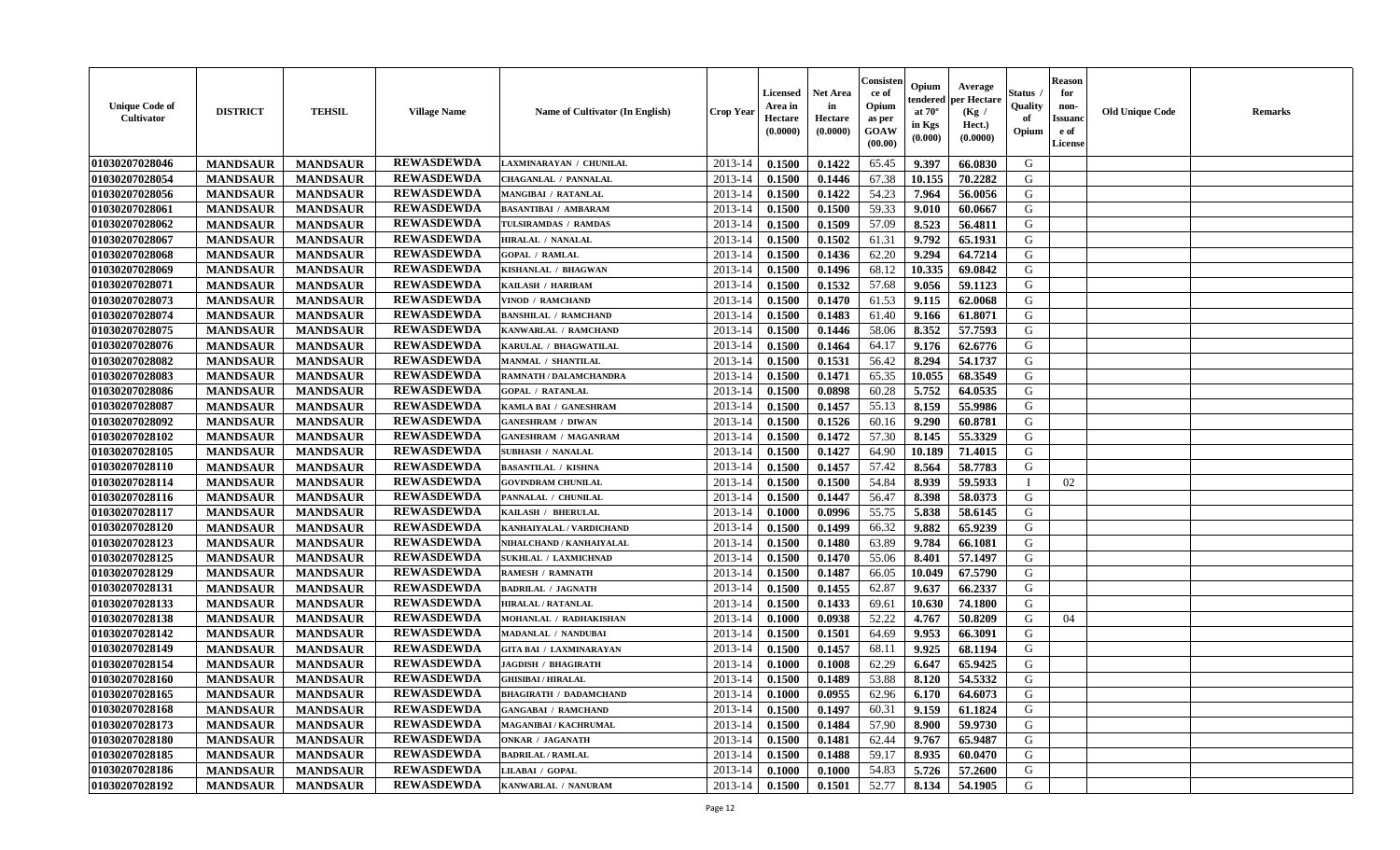| <b>Unique Code of</b><br><b>Cultivator</b> | <b>DISTRICT</b> | <b>TEHSIL</b>   | <b>Village Name</b> | <b>Name of Cultivator (In English)</b> | <b>Crop Year</b> | Licensed<br>Area in<br>Hectare<br>(0.0000) | Net Area<br>in<br>Hectare<br>(0.0000) | Consister<br>ce of<br>Opium<br>as per<br>GOAW<br>(00.00) | Opium<br>endered<br>at $70^\circ$<br>in Kgs<br>(0.000) | Average<br>per Hectare<br>(Kg /<br>Hect.)<br>(0.0000) | Status<br>Quality<br>of<br>Opium | <b>Reason</b><br>for<br>non-<br><b>Issuanc</b><br>e of<br>License | <b>Old Unique Code</b> | Remarks |
|--------------------------------------------|-----------------|-----------------|---------------------|----------------------------------------|------------------|--------------------------------------------|---------------------------------------|----------------------------------------------------------|--------------------------------------------------------|-------------------------------------------------------|----------------------------------|-------------------------------------------------------------------|------------------------|---------|
| 01030207028046                             | <b>MANDSAUR</b> | <b>MANDSAUR</b> | <b>REWASDEWDA</b>   | LAXMINARAYAN / CHUNILAL                | 2013-14          | 0.1500                                     | 0.1422                                | 65.45                                                    | 9.397                                                  | 66.0830                                               | G                                |                                                                   |                        |         |
| 01030207028054                             | <b>MANDSAUR</b> | <b>MANDSAUR</b> | <b>REWASDEWDA</b>   | CHAGANLAL / PANNALAL                   | 2013-14          | 0.1500                                     | 0.1446                                | 67.38                                                    | 10.155                                                 | 70.2282                                               | G                                |                                                                   |                        |         |
| 01030207028056                             | <b>MANDSAUR</b> | <b>MANDSAUR</b> | <b>REWASDEWDA</b>   | MANGIBAI / RATANLAL                    | 2013-14          | 0.1500                                     | 0.1422                                | 54.23                                                    | 7.964                                                  | 56.0056                                               | G                                |                                                                   |                        |         |
| 01030207028061                             | <b>MANDSAUR</b> | <b>MANDSAUR</b> | <b>REWASDEWDA</b>   | <b>BASANTIBAI / AMBARAM</b>            | 2013-14          | 0.1500                                     | 0.1500                                | 59.33                                                    | 9.010                                                  | 60.0667                                               | G                                |                                                                   |                        |         |
| 01030207028062                             | <b>MANDSAUR</b> | <b>MANDSAUR</b> | <b>REWASDEWDA</b>   | TULSIRAMDAS / RAMDAS                   | 2013-14          | 0.1500                                     | 0.1509                                | 57.09                                                    | 8.523                                                  | 56.4811                                               | G                                |                                                                   |                        |         |
| 01030207028067                             | <b>MANDSAUR</b> | <b>MANDSAUR</b> | <b>REWASDEWDA</b>   | <b>HIRALAL / NANALAL</b>               | 2013-14          | 0.1500                                     | 0.1502                                | 61.31                                                    | 9.792                                                  | 65.1931                                               | G                                |                                                                   |                        |         |
| 01030207028068                             | <b>MANDSAUR</b> | <b>MANDSAUR</b> | <b>REWASDEWDA</b>   | <b>GOPAL / RAMLAL</b>                  | 2013-14          | 0.1500                                     | 0.1436                                | 62.20                                                    | 9.294                                                  | 64.7214                                               | G                                |                                                                   |                        |         |
| 01030207028069                             | <b>MANDSAUR</b> | <b>MANDSAUR</b> | <b>REWASDEWDA</b>   | KISHANLAL / BHAGWAN                    | 2013-14          | 0.1500                                     | 0.1496                                | 68.12                                                    | 10.335                                                 | 69.0842                                               | G                                |                                                                   |                        |         |
| 01030207028071                             | <b>MANDSAUR</b> | <b>MANDSAUR</b> | <b>REWASDEWDA</b>   | KAILASH / HARIRAM                      | 2013-14          | 0.1500                                     | 0.1532                                | 57.68                                                    | 9.056                                                  | 59.1123                                               | G                                |                                                                   |                        |         |
| 01030207028073                             | <b>MANDSAUR</b> | <b>MANDSAUR</b> | <b>REWASDEWDA</b>   | <b>VINOD / RAMCHAND</b>                | 2013-14          | 0.1500                                     | 0.1470                                | 61.53                                                    | 9.115                                                  | 62.0068                                               | G                                |                                                                   |                        |         |
| 01030207028074                             | <b>MANDSAUR</b> | <b>MANDSAUR</b> | <b>REWASDEWDA</b>   | <b>BANSHILAL / RAMCHAND</b>            | 2013-14          | 0.1500                                     | 0.1483                                | 61.40                                                    | 9.166                                                  | 61.8071                                               | G                                |                                                                   |                        |         |
| 01030207028075                             | <b>MANDSAUR</b> | <b>MANDSAUR</b> | <b>REWASDEWDA</b>   | KANWARLAL / RAMCHAND                   | 2013-14          | 0.1500                                     | 0.1446                                | 58.06                                                    | 8.352                                                  | 57.7593                                               | G                                |                                                                   |                        |         |
| 01030207028076                             | <b>MANDSAUR</b> | <b>MANDSAUR</b> | <b>REWASDEWDA</b>   | KARULAL / BHAGWATILAL                  | 2013-14          | 0.1500                                     | 0.1464                                | 64.17                                                    | 9.176                                                  | 62.6776                                               | G                                |                                                                   |                        |         |
| 01030207028082                             | <b>MANDSAUR</b> | <b>MANDSAUR</b> | <b>REWASDEWDA</b>   | <b>MANMAL / SHANTILAL</b>              | 2013-14          | 0.1500                                     | 0.1531                                | 56.42                                                    | 8.294                                                  | 54.1737                                               | G                                |                                                                   |                        |         |
| 01030207028083                             | <b>MANDSAUR</b> | <b>MANDSAUR</b> | <b>REWASDEWDA</b>   | RAMNATH / DALAMCHANDRA                 | 2013-14          | 0.1500                                     | 0.1471                                | 65.35                                                    | 10.055                                                 | 68.3549                                               | $\mathbf G$                      |                                                                   |                        |         |
| 01030207028086                             | <b>MANDSAUR</b> | <b>MANDSAUR</b> | <b>REWASDEWDA</b>   | <b>GOPAL / RATANLAL</b>                | 2013-14          | 0.1500                                     | 0.0898                                | 60.28                                                    | 5.752                                                  | 64.0535                                               | G                                |                                                                   |                        |         |
| 01030207028087                             | <b>MANDSAUR</b> | <b>MANDSAUR</b> | <b>REWASDEWDA</b>   | KAMLA BAI / GANESHRAM                  | 2013-14          | 0.1500                                     | 0.1457                                | 55.13                                                    | 8.159                                                  | 55.9986                                               | G                                |                                                                   |                        |         |
| 01030207028092                             | <b>MANDSAUR</b> | <b>MANDSAUR</b> | <b>REWASDEWDA</b>   | <b>GANESHRAM / DIWAN</b>               | 2013-14          | 0.1500                                     | 0.1526                                | 60.16                                                    | 9.290                                                  | 60.8781                                               | G                                |                                                                   |                        |         |
| 01030207028102                             | <b>MANDSAUR</b> | <b>MANDSAUR</b> | <b>REWASDEWDA</b>   | <b>GANESHRAM / MAGANRAM</b>            | 2013-14          | 0.1500                                     | 0.1472                                | 57.30                                                    | 8.145                                                  | 55.3329                                               | G                                |                                                                   |                        |         |
| 01030207028105                             | <b>MANDSAUR</b> | <b>MANDSAUR</b> | <b>REWASDEWDA</b>   | <b>SUBHASH / NANALAL</b>               | 2013-14          | 0.1500                                     | 0.1427                                | 64.90                                                    | 10.189                                                 | 71.4015                                               | G                                |                                                                   |                        |         |
| 01030207028110                             | <b>MANDSAUR</b> | <b>MANDSAUR</b> | <b>REWASDEWDA</b>   | <b>BASANTILAL / KISHNA</b>             | 2013-14          | 0.1500                                     | 0.1457                                | 57.42                                                    | 8.564                                                  | 58.7783                                               | G                                |                                                                   |                        |         |
| 01030207028114                             | <b>MANDSAUR</b> | <b>MANDSAUR</b> | <b>REWASDEWDA</b>   | <b>GOVINDRAM CHUNILAL</b>              | 2013-14          | 0.1500                                     | 0.1500                                | 54.84                                                    | 8.939                                                  | 59.5933                                               | $\mathbf{I}$                     | 02                                                                |                        |         |
| 01030207028116                             | <b>MANDSAUR</b> | <b>MANDSAUR</b> | <b>REWASDEWDA</b>   | PANNALAL / CHUNILAL                    | 2013-14          | 0.1500                                     | 0.1447                                | 56.47                                                    | 8.398                                                  | 58.0373                                               | G                                |                                                                   |                        |         |
| 01030207028117                             | <b>MANDSAUR</b> | <b>MANDSAUR</b> | <b>REWASDEWDA</b>   | KAILASH / BHERULAL                     | 2013-14          | 0.1000                                     | 0.0996                                | 55.75                                                    | 5.838                                                  | 58.6145                                               | G                                |                                                                   |                        |         |
| 01030207028120                             | <b>MANDSAUR</b> | <b>MANDSAUR</b> | <b>REWASDEWDA</b>   | KANHAIYALAL / VARDICHAND               | 2013-14          | 0.1500                                     | 0.1499                                | 66.32                                                    | 9.882                                                  | 65.9239                                               | G                                |                                                                   |                        |         |
| 01030207028123                             | <b>MANDSAUR</b> | <b>MANDSAUR</b> | <b>REWASDEWDA</b>   | NIHALCHAND / KANHAIYALAL               | 2013-14          | 0.1500                                     | 0.1480                                | 63.89                                                    | 9.784                                                  | 66.1081                                               | G                                |                                                                   |                        |         |
| 01030207028125                             | <b>MANDSAUR</b> | <b>MANDSAUR</b> | <b>REWASDEWDA</b>   | <b>SUKHLAL / LAXMICHNAD</b>            | 2013-14          | 0.1500                                     | 0.1470                                | 55.06                                                    | 8.401                                                  | 57.1497                                               | G                                |                                                                   |                        |         |
| 01030207028129                             | <b>MANDSAUR</b> | <b>MANDSAUR</b> | <b>REWASDEWDA</b>   | <b>RAMESH / RAMNATH</b>                | 2013-14          | 0.1500                                     | 0.1487                                | 66.05                                                    | 10.049                                                 | 67.5790                                               | G                                |                                                                   |                        |         |
| 01030207028131                             | <b>MANDSAUR</b> | <b>MANDSAUR</b> | <b>REWASDEWDA</b>   | <b>BADRILAL / JAGNATH</b>              | 2013-14          | 0.1500                                     | 0.1455                                | 62.87                                                    | 9.637                                                  | 66.2337                                               | G                                |                                                                   |                        |         |
| 01030207028133                             | <b>MANDSAUR</b> | <b>MANDSAUR</b> | <b>REWASDEWDA</b>   | <b>HIRALAL / RATANLAL</b>              | 2013-14          | 0.1500                                     | 0.1433                                | 69.61                                                    | 10.630                                                 | 74.1800                                               | G                                |                                                                   |                        |         |
| 01030207028138                             | <b>MANDSAUR</b> | <b>MANDSAUR</b> | <b>REWASDEWDA</b>   | MOHANLAL / RADHAKISHAN                 | 2013-14          | 0.1000                                     | 0.0938                                | 52.22                                                    | 4.767                                                  | 50.8209                                               | G                                | 04                                                                |                        |         |
| 01030207028142                             | <b>MANDSAUR</b> | <b>MANDSAUR</b> | <b>REWASDEWDA</b>   | MADANLAL / NANDUBAI                    | 2013-14          | 0.1500                                     | 0.1501                                | 64.69                                                    | 9.953                                                  | 66.3091                                               | G                                |                                                                   |                        |         |
| 01030207028149                             | <b>MANDSAUR</b> | <b>MANDSAUR</b> | <b>REWASDEWDA</b>   | <b>GITA BAI / LAXMINARAYAN</b>         | 2013-14          | 0.1500                                     | 0.1457                                | 68.11                                                    | 9.925                                                  | 68.1194                                               | G                                |                                                                   |                        |         |
| 01030207028154                             | <b>MANDSAUR</b> | <b>MANDSAUR</b> | <b>REWASDEWDA</b>   | <b>JAGDISH / BHAGIRATH</b>             | 2013-14          | 0.1000                                     | 0.1008                                | 62.29                                                    | 6.647                                                  | 65.9425                                               | G                                |                                                                   |                        |         |
| 01030207028160                             | <b>MANDSAUR</b> | <b>MANDSAUR</b> | <b>REWASDEWDA</b>   | <b>GHISIBAI/HIRALAL</b>                | 2013-14          | 0.1500                                     | 0.1489                                | 53.88                                                    | 8.120                                                  | 54.5332                                               | G                                |                                                                   |                        |         |
| 01030207028165                             | <b>MANDSAUR</b> | <b>MANDSAUR</b> | <b>REWASDEWDA</b>   | <b>BHAGIRATH / DADAMCHAND</b>          | 2013-14          | 0.1000                                     | 0.0955                                | 62.96                                                    | 6.170                                                  | 64.6073                                               | G                                |                                                                   |                        |         |
| 01030207028168                             | <b>MANDSAUR</b> | <b>MANDSAUR</b> | <b>REWASDEWDA</b>   | <b>GANGABAI / RAMCHAND</b>             | 2013-14          | 0.1500                                     | 0.1497                                | 60.31                                                    | 9.159                                                  | 61.1824                                               | G                                |                                                                   |                        |         |
| 01030207028173                             | <b>MANDSAUR</b> | <b>MANDSAUR</b> | <b>REWASDEWDA</b>   | MAGANIBAI / KACHRUMAL                  | 2013-14          | 0.1500                                     | 0.1484                                | 57.90                                                    | 8.900                                                  | 59.9730                                               | G                                |                                                                   |                        |         |
| 01030207028180                             | <b>MANDSAUR</b> | <b>MANDSAUR</b> | <b>REWASDEWDA</b>   | <b>ONKAR / JAGANATH</b>                | 2013-14          | 0.1500                                     | 0.1481                                | 62.44                                                    | 9.767                                                  | 65.9487                                               | G                                |                                                                   |                        |         |
| 01030207028185                             | <b>MANDSAUR</b> | <b>MANDSAUR</b> | <b>REWASDEWDA</b>   | <b>BADRILAL / RAMLAL</b>               | 2013-14          | 0.1500                                     | 0.1488                                | 59.17                                                    | 8.935                                                  | 60.0470                                               | ${\bf G}$                        |                                                                   |                        |         |
| 01030207028186                             | <b>MANDSAUR</b> | <b>MANDSAUR</b> | <b>REWASDEWDA</b>   | LILABAI / GOPAL                        | 2013-14          | 0.1000                                     | 0.1000                                | 54.83                                                    | 5.726                                                  | 57.2600                                               | G                                |                                                                   |                        |         |
| 01030207028192                             | <b>MANDSAUR</b> | <b>MANDSAUR</b> | <b>REWASDEWDA</b>   | KANWARLAL / NANURAM                    | 2013-14          | 0.1500                                     | 0.1501                                | 52.77                                                    | 8.134                                                  | 54.1905                                               | G                                |                                                                   |                        |         |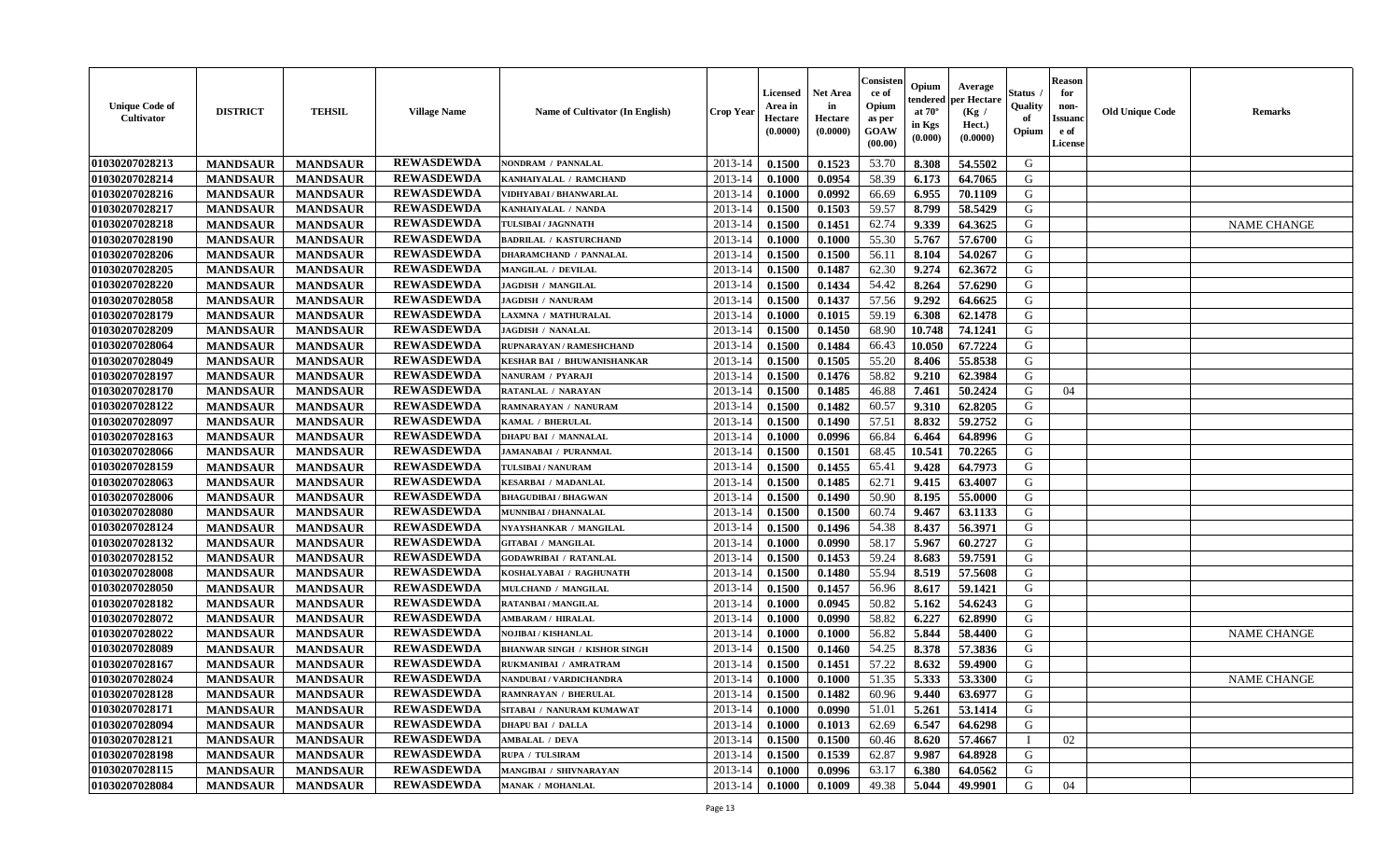| <b>Unique Code of</b><br><b>Cultivator</b> | <b>DISTRICT</b> | <b>TEHSIL</b>   | <b>Village Name</b> | <b>Name of Cultivator (In English)</b> | <b>Crop Year</b> | <b>Licensed</b><br>Area in<br>Hectare<br>(0.0000) | Net Area<br>in<br>Hectare<br>(0.0000) | Consisteı<br>ce of<br>Opium<br>as per<br>GOAW<br>(00.00) | Opium<br>endered<br>at $70^\circ$<br>in Kgs<br>(0.000) | Average<br>per Hectare<br>(Kg /<br>Hect.)<br>(0.0000) | Status<br>Quality<br>of<br>Opium | <b>Reason</b><br>for<br>non-<br>Issuano<br>e of<br>License | <b>Old Unique Code</b> | Remarks            |
|--------------------------------------------|-----------------|-----------------|---------------------|----------------------------------------|------------------|---------------------------------------------------|---------------------------------------|----------------------------------------------------------|--------------------------------------------------------|-------------------------------------------------------|----------------------------------|------------------------------------------------------------|------------------------|--------------------|
| 01030207028213                             | <b>MANDSAUR</b> | <b>MANDSAUR</b> | <b>REWASDEWDA</b>   | NONDRAM / PANNALAL                     | 2013-14          | 0.1500                                            | 0.1523                                | 53.70                                                    | 8.308                                                  | 54.5502                                               | G                                |                                                            |                        |                    |
| 01030207028214                             | <b>MANDSAUR</b> | <b>MANDSAUR</b> | <b>REWASDEWDA</b>   | KANHAIYALAL / RAMCHAND                 | 2013-14          | 0.1000                                            | 0.0954                                | 58.39                                                    | 6.173                                                  | 64.7065                                               | G                                |                                                            |                        |                    |
| 01030207028216                             | <b>MANDSAUR</b> | <b>MANDSAUR</b> | <b>REWASDEWDA</b>   | VIDHYABAI / BHANWARLAL                 | 2013-14          | 0.1000                                            | 0.0992                                | 66.69                                                    | 6.955                                                  | 70.1109                                               | G                                |                                                            |                        |                    |
| 01030207028217                             | <b>MANDSAUR</b> | <b>MANDSAUR</b> | <b>REWASDEWDA</b>   | KANHAIYALAL / NANDA                    | 2013-14          | 0.1500                                            | 0.1503                                | 59.57                                                    | 8.799                                                  | 58.5429                                               | G                                |                                                            |                        |                    |
| 01030207028218                             | <b>MANDSAUR</b> | <b>MANDSAUR</b> | <b>REWASDEWDA</b>   | TULSIBAI / JAGNNATH                    | 2013-14          | 0.1500                                            | 0.1451                                | 62.74                                                    | 9.339                                                  | 64.3625                                               | G                                |                                                            |                        | <b>NAME CHANGE</b> |
| 01030207028190                             | <b>MANDSAUR</b> | <b>MANDSAUR</b> | <b>REWASDEWDA</b>   | <b>BADRILAL / KASTURCHAND</b>          | 2013-14          | 0.1000                                            | 0.1000                                | 55.30                                                    | 5.767                                                  | 57.6700                                               | G                                |                                                            |                        |                    |
| 01030207028206                             | <b>MANDSAUR</b> | <b>MANDSAUR</b> | <b>REWASDEWDA</b>   | DHARAMCHAND / PANNALAL                 | 2013-14          | 0.1500                                            | 0.1500                                | 56.11                                                    | 8.104                                                  | 54.0267                                               | G                                |                                                            |                        |                    |
| 01030207028205                             | <b>MANDSAUR</b> | <b>MANDSAUR</b> | <b>REWASDEWDA</b>   | MANGILAL / DEVILAL                     | 2013-14          | 0.1500                                            | 0.1487                                | 62.30                                                    | 9.274                                                  | 62.3672                                               | G                                |                                                            |                        |                    |
| 01030207028220                             | <b>MANDSAUR</b> | <b>MANDSAUR</b> | <b>REWASDEWDA</b>   | <b>JAGDISH / MANGILAL</b>              | 2013-14          | 0.1500                                            | 0.1434                                | 54.42                                                    | 8.264                                                  | 57.6290                                               | G                                |                                                            |                        |                    |
| 01030207028058                             | <b>MANDSAUR</b> | <b>MANDSAUR</b> | <b>REWASDEWDA</b>   | <b>JAGDISH / NANURAM</b>               | 2013-14          | 0.1500                                            | 0.1437                                | 57.56                                                    | 9.292                                                  | 64.6625                                               | G                                |                                                            |                        |                    |
| 01030207028179                             | <b>MANDSAUR</b> | <b>MANDSAUR</b> | <b>REWASDEWDA</b>   | LAXMNA / MATHURALAL                    | 2013-14          | 0.1000                                            | 0.1015                                | 59.19                                                    | 6.308                                                  | 62.1478                                               | G                                |                                                            |                        |                    |
| 01030207028209                             | <b>MANDSAUR</b> | <b>MANDSAUR</b> | <b>REWASDEWDA</b>   | <b>JAGDISH / NANALAL</b>               | 2013-14          | 0.1500                                            | 0.1450                                | 68.90                                                    | 10.748                                                 | 74.1241                                               | G                                |                                                            |                        |                    |
| 01030207028064                             | <b>MANDSAUR</b> | <b>MANDSAUR</b> | <b>REWASDEWDA</b>   | RUPNARAYAN / RAMESHCHAND               | 2013-14          | 0.1500                                            | 0.1484                                | 66.43                                                    | 10.050                                                 | 67.7224                                               | G                                |                                                            |                        |                    |
| 01030207028049                             | <b>MANDSAUR</b> | <b>MANDSAUR</b> | <b>REWASDEWDA</b>   | KESHAR BAI / BHUWANISHANKAR            | 2013-14          | 0.1500                                            | 0.1505                                | 55.20                                                    | 8.406                                                  | 55.8538                                               | G                                |                                                            |                        |                    |
| 01030207028197                             | <b>MANDSAUR</b> | <b>MANDSAUR</b> | <b>REWASDEWDA</b>   | <b>NANURAM / PYARAJI</b>               | 2013-14          | 0.1500                                            | 0.1476                                | 58.82                                                    | 9.210                                                  | 62.3984                                               | $\mathbf G$                      |                                                            |                        |                    |
| 01030207028170                             | <b>MANDSAUR</b> | <b>MANDSAUR</b> | <b>REWASDEWDA</b>   | RATANLAL / NARAYAN                     | 2013-14          | 0.1500                                            | 0.1485                                | 46.88                                                    | 7.461                                                  | 50.2424                                               | G                                | 04                                                         |                        |                    |
| 01030207028122                             | <b>MANDSAUR</b> | <b>MANDSAUR</b> | <b>REWASDEWDA</b>   | RAMNARAYAN / NANURAM                   | 2013-14          | 0.1500                                            | 0.1482                                | 60.57                                                    | 9.310                                                  | 62.8205                                               | G                                |                                                            |                        |                    |
| 01030207028097                             | <b>MANDSAUR</b> | <b>MANDSAUR</b> | <b>REWASDEWDA</b>   | KAMAL / BHERULAL                       | 2013-14          | 0.1500                                            | 0.1490                                | 57.51                                                    | 8.832                                                  | 59.2752                                               | G                                |                                                            |                        |                    |
| 01030207028163                             | <b>MANDSAUR</b> | <b>MANDSAUR</b> | <b>REWASDEWDA</b>   | <b>DHAPU BAI / MANNALAL</b>            | 2013-14          | 0.1000                                            | 0.0996                                | 66.84                                                    | 6.464                                                  | 64.8996                                               | G                                |                                                            |                        |                    |
| 01030207028066                             | <b>MANDSAUR</b> | <b>MANDSAUR</b> | <b>REWASDEWDA</b>   | <b>JAMANABAI / PURANMAL</b>            | 2013-14          | 0.1500                                            | 0.1501                                | 68.45                                                    | 10.541                                                 | 70.2265                                               | G                                |                                                            |                        |                    |
| 01030207028159                             | <b>MANDSAUR</b> | <b>MANDSAUR</b> | <b>REWASDEWDA</b>   | <b>TULSIBAI / NANURAM</b>              | 2013-14          | 0.1500                                            | 0.1455                                | 65.41                                                    | 9.428                                                  | 64.7973                                               | G                                |                                                            |                        |                    |
| 01030207028063                             | <b>MANDSAUR</b> | <b>MANDSAUR</b> | <b>REWASDEWDA</b>   | <b>KESARBAI / MADANLAL</b>             | 2013-14          | 0.1500                                            | 0.1485                                | 62.71                                                    | 9.415                                                  | 63.4007                                               | G                                |                                                            |                        |                    |
| 01030207028006                             | <b>MANDSAUR</b> | <b>MANDSAUR</b> | <b>REWASDEWDA</b>   | <b>BHAGUDIBAI / BHAGWAN</b>            | 2013-14          | 0.1500                                            | 0.1490                                | 50.90                                                    | 8.195                                                  | 55.0000                                               | G                                |                                                            |                        |                    |
| 01030207028080                             | <b>MANDSAUR</b> | <b>MANDSAUR</b> | <b>REWASDEWDA</b>   | MUNNIBAI / DHANNALAL                   | 2013-14          | 0.1500                                            | 0.1500                                | 60.74                                                    | 9.467                                                  | 63.1133                                               | G                                |                                                            |                        |                    |
| 01030207028124                             | <b>MANDSAUR</b> | <b>MANDSAUR</b> | <b>REWASDEWDA</b>   | NYAYSHANKAR / MANGILAL                 | 2013-14          | 0.1500                                            | 0.1496                                | 54.38                                                    | 8.437                                                  | 56.3971                                               | G                                |                                                            |                        |                    |
| 01030207028132                             | <b>MANDSAUR</b> | <b>MANDSAUR</b> | <b>REWASDEWDA</b>   | <b>GITABAI / MANGILAL</b>              | 2013-14          | 0.1000                                            | 0.0990                                | 58.17                                                    | 5.967                                                  | 60.2727                                               | G                                |                                                            |                        |                    |
| 01030207028152                             | <b>MANDSAUR</b> | <b>MANDSAUR</b> | <b>REWASDEWDA</b>   | <b>GODAWRIBAI / RATANLAL</b>           | 2013-14          | 0.1500                                            | 0.1453                                | 59.24                                                    | 8.683                                                  | 59.7591                                               | G                                |                                                            |                        |                    |
| 01030207028008                             | <b>MANDSAUR</b> | <b>MANDSAUR</b> | <b>REWASDEWDA</b>   | KOSHALYABAI / RAGHUNATH                | 2013-14          | 0.1500                                            | 0.1480                                | 55.94                                                    | 8.519                                                  | 57.5608                                               | G                                |                                                            |                        |                    |
| 01030207028050                             | <b>MANDSAUR</b> | <b>MANDSAUR</b> | <b>REWASDEWDA</b>   | MULCHAND / MANGILAL                    | 2013-14          | 0.1500                                            | 0.1457                                | 56.96                                                    | 8.617                                                  | 59.1421                                               | G                                |                                                            |                        |                    |
| 01030207028182                             | <b>MANDSAUR</b> | <b>MANDSAUR</b> | <b>REWASDEWDA</b>   | <b>RATANBAI/MANGILAL</b>               | 2013-14          | 0.1000                                            | 0.0945                                | 50.82                                                    | 5.162                                                  | 54.6243                                               | G                                |                                                            |                        |                    |
| 01030207028072                             | <b>MANDSAUR</b> | <b>MANDSAUR</b> | <b>REWASDEWDA</b>   | <b>AMBARAM / HIRALAL</b>               | 2013-14          | 0.1000                                            | 0.0990                                | 58.82                                                    | 6.227                                                  | 62.8990                                               | G                                |                                                            |                        |                    |
| 01030207028022                             | <b>MANDSAUR</b> | <b>MANDSAUR</b> | <b>REWASDEWDA</b>   | <b>NOJIBAI / KISHANLAL</b>             | 2013-14          | 0.1000                                            | 0.1000                                | 56.82                                                    | 5.844                                                  | 58.4400                                               | G                                |                                                            |                        | <b>NAME CHANGE</b> |
| 01030207028089                             | <b>MANDSAUR</b> | <b>MANDSAUR</b> | <b>REWASDEWDA</b>   | <b>BHANWAR SINGH / KISHOR SINGH</b>    | 2013-14          | 0.1500                                            | 0.1460                                | 54.25                                                    | 8.378                                                  | 57.3836                                               | G                                |                                                            |                        |                    |
| 01030207028167                             | <b>MANDSAUR</b> | <b>MANDSAUR</b> | <b>REWASDEWDA</b>   | RUKMANIBAI / AMRATRAM                  | 2013-14          | 0.1500                                            | 0.1451                                | 57.22                                                    | 8.632                                                  | 59.4900                                               | G                                |                                                            |                        |                    |
| 01030207028024                             | <b>MANDSAUR</b> | <b>MANDSAUR</b> | <b>REWASDEWDA</b>   | NANDUBAI / VARDICHANDRA                | 2013-14          | 0.1000                                            | 0.1000                                | 51.35                                                    | 5.333                                                  | 53.3300                                               | G                                |                                                            |                        | <b>NAME CHANGE</b> |
| 01030207028128                             | <b>MANDSAUR</b> | <b>MANDSAUR</b> | <b>REWASDEWDA</b>   | <b>RAMNRAYAN / BHERULAL</b>            | 2013-14          | 0.1500                                            | 0.1482                                | 60.96                                                    | 9.440                                                  | 63.6977                                               | G                                |                                                            |                        |                    |
| 01030207028171                             | <b>MANDSAUR</b> | <b>MANDSAUR</b> | <b>REWASDEWDA</b>   | SITABAI / NANURAM KUMAWAT              | 2013-14          | 0.1000                                            | 0.0990                                | 51.01                                                    | 5.261                                                  | 53.1414                                               | G                                |                                                            |                        |                    |
| 01030207028094                             | <b>MANDSAUR</b> | <b>MANDSAUR</b> | <b>REWASDEWDA</b>   | <b>DHAPU BAI / DALLA</b>               | 2013-14          | 0.1000                                            | 0.1013                                | 62.69                                                    | 6.547                                                  | 64.6298                                               | G                                |                                                            |                        |                    |
| 01030207028121                             | <b>MANDSAUR</b> | <b>MANDSAUR</b> | <b>REWASDEWDA</b>   | <b>AMBALAL / DEVA</b>                  | 2013-14          | 0.1500                                            | 0.1500                                | 60.46                                                    | 8.620                                                  | 57.4667                                               | T                                | 02                                                         |                        |                    |
| 01030207028198                             | <b>MANDSAUR</b> | <b>MANDSAUR</b> | <b>REWASDEWDA</b>   | RUPA / TULSIRAM                        | 2013-14          | 0.1500                                            | 0.1539                                | 62.87                                                    | 9.987                                                  | 64.8928                                               | G                                |                                                            |                        |                    |
| 01030207028115                             | <b>MANDSAUR</b> | <b>MANDSAUR</b> | <b>REWASDEWDA</b>   | MANGIBAI / SHIVNARAYAN                 | 2013-14          | 0.1000                                            | 0.0996                                | 63.17                                                    | 6.380                                                  | 64.0562                                               | G                                |                                                            |                        |                    |
| 01030207028084                             | <b>MANDSAUR</b> | <b>MANDSAUR</b> | <b>REWASDEWDA</b>   | <b>MANAK / MOHANLAL</b>                | 2013-14          | 0.1000                                            | 0.1009                                | 49.38                                                    | 5.044                                                  | 49.9901                                               | G                                | 04                                                         |                        |                    |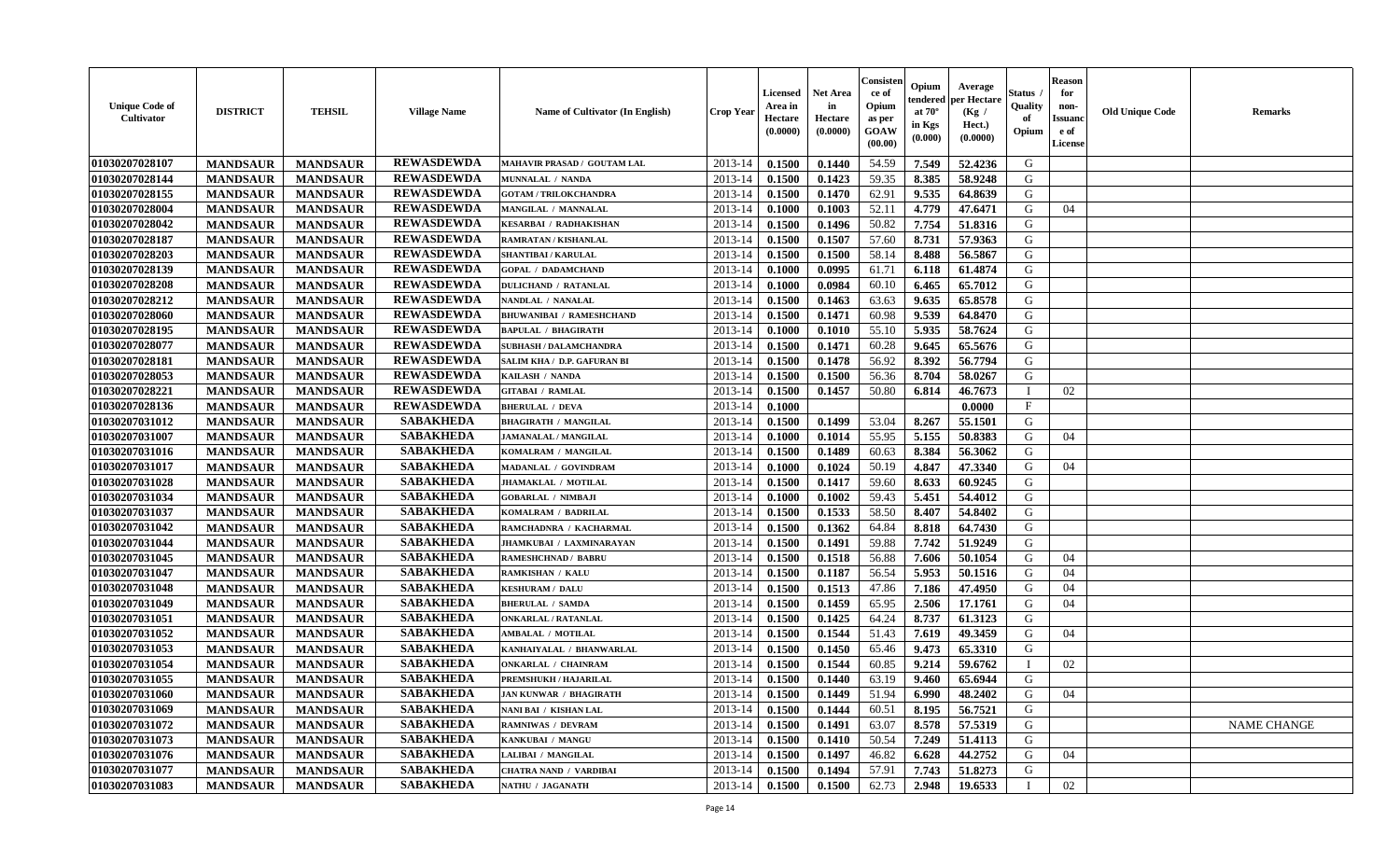| <b>Unique Code of</b><br><b>Cultivator</b> | <b>DISTRICT</b> | <b>TEHSIL</b>   | <b>Village Name</b> | <b>Name of Cultivator (In English)</b> | <b>Crop Year</b> | <b>Licensed</b><br>Area in<br>Hectare<br>(0.0000) | Net Area<br>in<br>Hectare<br>(0.0000) | Consisteı<br>ce of<br>Opium<br>as per<br>GOAW<br>(00.00) | Opium<br>endered<br>at $70^\circ$<br>in Kgs<br>(0.000) | Average<br>per Hectare<br>(Kg /<br>Hect.)<br>(0.0000) | Status<br>Quality<br>of<br>Opium | <b>Reason</b><br>for<br>non-<br><b>Issuand</b><br>e of<br>License | <b>Old Unique Code</b> | Remarks            |
|--------------------------------------------|-----------------|-----------------|---------------------|----------------------------------------|------------------|---------------------------------------------------|---------------------------------------|----------------------------------------------------------|--------------------------------------------------------|-------------------------------------------------------|----------------------------------|-------------------------------------------------------------------|------------------------|--------------------|
| 01030207028107                             | <b>MANDSAUR</b> | <b>MANDSAUR</b> | <b>REWASDEWDA</b>   | MAHAVIR PRASAD / GOUTAM LAL            | 2013-14          | 0.1500                                            | 0.1440                                | 54.59                                                    | 7.549                                                  | 52.4236                                               | G                                |                                                                   |                        |                    |
| 01030207028144                             | <b>MANDSAUR</b> | <b>MANDSAUR</b> | <b>REWASDEWDA</b>   | MUNNALAL / NANDA                       | 2013-14          | 0.1500                                            | 0.1423                                | 59.35                                                    | 8.385                                                  | 58.9248                                               | G                                |                                                                   |                        |                    |
| 01030207028155                             | <b>MANDSAUR</b> | <b>MANDSAUR</b> | <b>REWASDEWDA</b>   | <b>GOTAM / TRILOKCHANDRA</b>           | 2013-14          | 0.1500                                            | 0.1470                                | 62.91                                                    | 9.535                                                  | 64.8639                                               | G                                |                                                                   |                        |                    |
| 01030207028004                             | <b>MANDSAUR</b> | <b>MANDSAUR</b> | <b>REWASDEWDA</b>   | MANGILAL / MANNALAL                    | 2013-14          | 0.1000                                            | 0.1003                                | 52.11                                                    | 4.779                                                  | 47.6471                                               | G                                | 04                                                                |                        |                    |
| 01030207028042                             | <b>MANDSAUR</b> | <b>MANDSAUR</b> | <b>REWASDEWDA</b>   | <b>KESARBAI / RADHAKISHAN</b>          | 2013-14          | 0.1500                                            | 0.1496                                | 50.82                                                    | 7.754                                                  | 51.8316                                               | G                                |                                                                   |                        |                    |
| 01030207028187                             | <b>MANDSAUR</b> | <b>MANDSAUR</b> | <b>REWASDEWDA</b>   | RAMRATAN / KISHANLAL                   | 2013-14          | 0.1500                                            | 0.1507                                | 57.60                                                    | 8.731                                                  | 57.9363                                               | G                                |                                                                   |                        |                    |
| 01030207028203                             | <b>MANDSAUR</b> | <b>MANDSAUR</b> | <b>REWASDEWDA</b>   | <b>SHANTIBAI / KARULAL</b>             | 2013-14          | 0.1500                                            | 0.1500                                | 58.14                                                    | 8.488                                                  | 56.5867                                               | G                                |                                                                   |                        |                    |
| 01030207028139                             | <b>MANDSAUR</b> | <b>MANDSAUR</b> | <b>REWASDEWDA</b>   | <b>GOPAL / DADAMCHAND</b>              | 2013-14          | 0.1000                                            | 0.0995                                | 61.71                                                    | 6.118                                                  | 61.4874                                               | G                                |                                                                   |                        |                    |
| 01030207028208                             | <b>MANDSAUR</b> | <b>MANDSAUR</b> | <b>REWASDEWDA</b>   | <b>DULICHAND / RATANLAL</b>            | 2013-14          | 0.1000                                            | 0.0984                                | 60.10                                                    | 6.465                                                  | 65.7012                                               | G                                |                                                                   |                        |                    |
| 01030207028212                             | <b>MANDSAUR</b> | <b>MANDSAUR</b> | <b>REWASDEWDA</b>   | NANDLAL / NANALAL                      | 2013-14          | 0.1500                                            | 0.1463                                | 63.63                                                    | 9.635                                                  | 65.8578                                               | G                                |                                                                   |                        |                    |
| 01030207028060                             | <b>MANDSAUR</b> | <b>MANDSAUR</b> | <b>REWASDEWDA</b>   | <b>BHUWANIBAI / RAMESHCHAND</b>        | 2013-14          | 0.1500                                            | 0.1471                                | 60.98                                                    | 9.539                                                  | 64.8470                                               | G                                |                                                                   |                        |                    |
| 01030207028195                             | <b>MANDSAUR</b> | <b>MANDSAUR</b> | <b>REWASDEWDA</b>   | <b>BAPULAL / BHAGIRATH</b>             | 2013-14          | 0.1000                                            | 0.1010                                | 55.10                                                    | 5.935                                                  | 58.7624                                               | G                                |                                                                   |                        |                    |
| 01030207028077                             | <b>MANDSAUR</b> | <b>MANDSAUR</b> | <b>REWASDEWDA</b>   | <b>SUBHASH / DALAMCHANDRA</b>          | 2013-14          | 0.1500                                            | 0.1471                                | 60.28                                                    | 9.645                                                  | 65.5676                                               | G                                |                                                                   |                        |                    |
| 01030207028181                             | <b>MANDSAUR</b> | <b>MANDSAUR</b> | <b>REWASDEWDA</b>   | SALIM KHA / D.P. GAFURAN BI            | 2013-14          | 0.1500                                            | 0.1478                                | 56.92                                                    | 8.392                                                  | 56.7794                                               | G                                |                                                                   |                        |                    |
| 01030207028053                             | <b>MANDSAUR</b> | <b>MANDSAUR</b> | <b>REWASDEWDA</b>   | KAILASH / NANDA                        | 2013-14          | 0.1500                                            | 0.1500                                | 56.36                                                    | 8.704                                                  | 58.0267                                               | $\mathbf G$                      |                                                                   |                        |                    |
| 01030207028221                             | <b>MANDSAUR</b> | <b>MANDSAUR</b> | <b>REWASDEWDA</b>   | <b>GITABAI / RAMLAL</b>                | 2013-14          | 0.1500                                            | 0.1457                                | 50.80                                                    | 6.814                                                  | 46.7673                                               |                                  | 02                                                                |                        |                    |
| 01030207028136                             | <b>MANDSAUR</b> | <b>MANDSAUR</b> | <b>REWASDEWDA</b>   | <b>BHERULAL / DEVA</b>                 | 2013-14          | 0.1000                                            |                                       |                                                          |                                                        | 0.0000                                                | $\mathbf{F}$                     |                                                                   |                        |                    |
| 01030207031012                             | <b>MANDSAUR</b> | <b>MANDSAUR</b> | <b>SABAKHEDA</b>    | <b>BHAGIRATH / MANGILAL</b>            | 2013-14          | 0.1500                                            | 0.1499                                | 53.04                                                    | 8.267                                                  | 55.1501                                               | G                                |                                                                   |                        |                    |
| 01030207031007                             | <b>MANDSAUR</b> | <b>MANDSAUR</b> | <b>SABAKHEDA</b>    | <b>JAMANALAL / MANGILAL</b>            | 2013-14          | 0.1000                                            | 0.1014                                | 55.95                                                    | 5.155                                                  | 50.8383                                               | G                                | 04                                                                |                        |                    |
| 01030207031016                             | <b>MANDSAUR</b> | <b>MANDSAUR</b> | <b>SABAKHEDA</b>    | KOMALRAM / MANGILAL                    | 2013-14          | 0.1500                                            | 0.1489                                | 60.63                                                    | 8.384                                                  | 56.3062                                               | G                                |                                                                   |                        |                    |
| 01030207031017                             | <b>MANDSAUR</b> | <b>MANDSAUR</b> | <b>SABAKHEDA</b>    | MADANLAL / GOVINDRAM                   | 2013-14          | 0.1000                                            | 0.1024                                | 50.19                                                    | 4.847                                                  | 47.3340                                               | G                                | 04                                                                |                        |                    |
| 01030207031028                             | <b>MANDSAUR</b> | <b>MANDSAUR</b> | <b>SABAKHEDA</b>    | <b>JHAMAKLAL / MOTILAL</b>             | 2013-14          | 0.1500                                            | 0.1417                                | 59.60                                                    | 8.633                                                  | 60.9245                                               | G                                |                                                                   |                        |                    |
| 01030207031034                             | <b>MANDSAUR</b> | <b>MANDSAUR</b> | <b>SABAKHEDA</b>    | <b>GOBARLAL / NIMBAJI</b>              | 2013-14          | 0.1000                                            | 0.1002                                | 59.43                                                    | 5.451                                                  | 54.4012                                               | G                                |                                                                   |                        |                    |
| 01030207031037                             | <b>MANDSAUR</b> | <b>MANDSAUR</b> | <b>SABAKHEDA</b>    | KOMALRAM / BADRILAL                    | 2013-14          | 0.1500                                            | 0.1533                                | 58.50                                                    | 8.407                                                  | 54.8402                                               | G                                |                                                                   |                        |                    |
| 01030207031042                             | <b>MANDSAUR</b> | <b>MANDSAUR</b> | <b>SABAKHEDA</b>    | RAMCHADNRA / KACHARMAL                 | 2013-14          | 0.1500                                            | 0.1362                                | 64.84                                                    | 8.818                                                  | 64.7430                                               | G                                |                                                                   |                        |                    |
| 01030207031044                             | <b>MANDSAUR</b> | <b>MANDSAUR</b> | <b>SABAKHEDA</b>    | JHAMKUBAI / LAXMINARAYAN               | 2013-14          | 0.1500                                            | 0.1491                                | 59.88                                                    | 7.742                                                  | 51.9249                                               | G                                |                                                                   |                        |                    |
| 01030207031045                             | <b>MANDSAUR</b> | <b>MANDSAUR</b> | <b>SABAKHEDA</b>    | <b>RAMESHCHNAD / BABRU</b>             | 2013-14          | 0.1500                                            | 0.1518                                | 56.88                                                    | 7.606                                                  | 50.1054                                               | G                                | 04                                                                |                        |                    |
| 01030207031047                             | <b>MANDSAUR</b> | <b>MANDSAUR</b> | <b>SABAKHEDA</b>    | <b>RAMKISHAN / KALU</b>                | 2013-14          | 0.1500                                            | 0.1187                                | 56.54                                                    | 5.953                                                  | 50.1516                                               | G                                | 04                                                                |                        |                    |
| 01030207031048                             | <b>MANDSAUR</b> | <b>MANDSAUR</b> | <b>SABAKHEDA</b>    | <b>KESHURAM / DALU</b>                 | 2013-14          | 0.1500                                            | 0.1513                                | 47.86                                                    | 7.186                                                  | 47.4950                                               | G                                | 04                                                                |                        |                    |
| 01030207031049                             | <b>MANDSAUR</b> | <b>MANDSAUR</b> | <b>SABAKHEDA</b>    | <b>BHERULAL / SAMDA</b>                | 2013-14          | 0.1500                                            | 0.1459                                | 65.95                                                    | 2.506                                                  | 17.1761                                               | G                                | 04                                                                |                        |                    |
| 01030207031051                             | <b>MANDSAUR</b> | <b>MANDSAUR</b> | <b>SABAKHEDA</b>    | <b>ONKARLAL / RATANLAL</b>             | 2013-14          | 0.1500                                            | 0.1425                                | 64.24                                                    | 8.737                                                  | 61.3123                                               | G                                |                                                                   |                        |                    |
| 01030207031052                             | <b>MANDSAUR</b> | <b>MANDSAUR</b> | <b>SABAKHEDA</b>    | <b>AMBALAL / MOTILAL</b>               | 2013-14          | 0.1500                                            | 0.1544                                | 51.43                                                    | 7.619                                                  | 49.3459                                               | G                                | 04                                                                |                        |                    |
| 01030207031053                             | <b>MANDSAUR</b> | <b>MANDSAUR</b> | <b>SABAKHEDA</b>    | KANHAIYALAL / BHANWARLAL               | 2013-14          | 0.1500                                            | 0.1450                                | 65.46                                                    | 9.473                                                  | 65.3310                                               | G                                |                                                                   |                        |                    |
| 01030207031054                             | <b>MANDSAUR</b> | <b>MANDSAUR</b> | <b>SABAKHEDA</b>    | <b>ONKARLAL / CHAINRAM</b>             | 2013-14          | 0.1500                                            | 0.1544                                | 60.85                                                    | 9.214                                                  | 59.6762                                               | T                                | 02                                                                |                        |                    |
| 01030207031055                             | <b>MANDSAUR</b> | <b>MANDSAUR</b> | <b>SABAKHEDA</b>    | PREMSHUKH / HAJARILAL                  | 2013-14          | 0.1500                                            | 0.1440                                | 63.19                                                    | 9.460                                                  | 65.6944                                               | G                                |                                                                   |                        |                    |
| 01030207031060                             | <b>MANDSAUR</b> | <b>MANDSAUR</b> | <b>SABAKHEDA</b>    | <b>JAN KUNWAR / BHAGIRATH</b>          | 2013-14          | 0.1500                                            | 0.1449                                | 51.94                                                    | 6.990                                                  | 48.2402                                               | G                                | 04                                                                |                        |                    |
| 01030207031069                             | <b>MANDSAUR</b> | <b>MANDSAUR</b> | <b>SABAKHEDA</b>    | NANI BAI / KISHAN LAL                  | 2013-14          | 0.1500                                            | 0.1444                                | 60.51                                                    | 8.195                                                  | 56.7521                                               | G                                |                                                                   |                        |                    |
| 01030207031072                             | <b>MANDSAUR</b> | <b>MANDSAUR</b> | <b>SABAKHEDA</b>    | <b>RAMNIWAS / DEVRAM</b>               | 2013-14          | 0.1500                                            | 0.1491                                | 63.07                                                    | 8.578                                                  | 57.5319                                               | G                                |                                                                   |                        | <b>NAME CHANGE</b> |
| 01030207031073                             | <b>MANDSAUR</b> | <b>MANDSAUR</b> | <b>SABAKHEDA</b>    | KANKUBAI / MANGU                       | 2013-14          | 0.1500                                            | 0.1410                                | 50.54                                                    | 7.249                                                  | 51.4113                                               | G                                |                                                                   |                        |                    |
| 01030207031076                             | <b>MANDSAUR</b> | <b>MANDSAUR</b> | <b>SABAKHEDA</b>    | LALIBAI / MANGILAL                     | 2013-14          | 0.1500                                            | 0.1497                                | 46.82                                                    | 6.628                                                  | 44.2752                                               | G                                | 04                                                                |                        |                    |
| 01030207031077                             | <b>MANDSAUR</b> | <b>MANDSAUR</b> | <b>SABAKHEDA</b>    | <b>CHATRA NAND / VARDIBAI</b>          | 2013-14          | 0.1500                                            | 0.1494                                | 57.91                                                    | 7.743                                                  | 51.8273                                               | G                                |                                                                   |                        |                    |
| 01030207031083                             | <b>MANDSAUR</b> | <b>MANDSAUR</b> | <b>SABAKHEDA</b>    | NATHU / JAGANATH                       | 2013-14          | 0.1500                                            | 0.1500                                | 62.73                                                    | 2.948                                                  | 19.6533                                               |                                  | 02                                                                |                        |                    |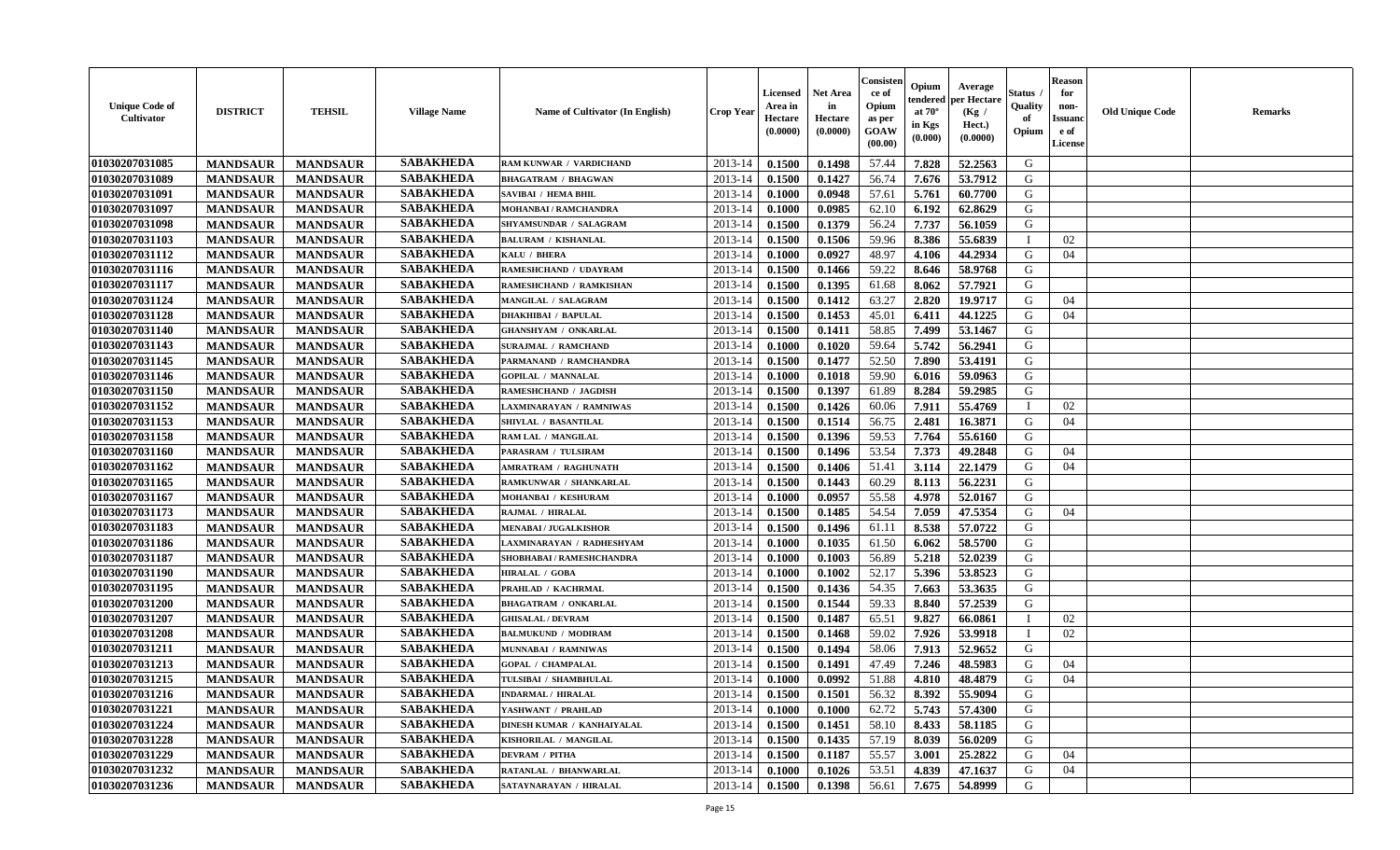| <b>Unique Code of</b><br><b>Cultivator</b> | <b>DISTRICT</b> | <b>TEHSIL</b>   | <b>Village Name</b> | <b>Name of Cultivator (In English)</b> | <b>Crop Year</b> | Licensed<br>Area in<br>Hectare<br>(0.0000) | Net Area<br>in<br>Hectare<br>(0.0000) | Consisteı<br>ce of<br>Opium<br>as per<br>GOAW<br>(00.00) | Opium<br>endered<br>at $70^\circ$<br>in Kgs<br>(0.000) | Average<br>per Hectare<br>(Kg /<br>Hect.)<br>(0.0000) | Status<br>Quality<br>of<br>Opium | <b>Reason</b><br>for<br>non-<br><b>Issuand</b><br>e of<br>License | <b>Old Unique Code</b> | Remarks |
|--------------------------------------------|-----------------|-----------------|---------------------|----------------------------------------|------------------|--------------------------------------------|---------------------------------------|----------------------------------------------------------|--------------------------------------------------------|-------------------------------------------------------|----------------------------------|-------------------------------------------------------------------|------------------------|---------|
| 01030207031085                             | <b>MANDSAUR</b> | <b>MANDSAUR</b> | <b>SABAKHEDA</b>    | RAM KUNWAR / VARDICHAND                | 2013-14          | 0.1500                                     | 0.1498                                | 57.44                                                    | 7.828                                                  | 52.2563                                               | G                                |                                                                   |                        |         |
| 01030207031089                             | <b>MANDSAUR</b> | <b>MANDSAUR</b> | <b>SABAKHEDA</b>    | <b>BHAGATRAM / BHAGWAN</b>             | 2013-14          | 0.1500                                     | 0.1427                                | 56.74                                                    | 7.676                                                  | 53.7912                                               | G                                |                                                                   |                        |         |
| 01030207031091                             | <b>MANDSAUR</b> | <b>MANDSAUR</b> | <b>SABAKHEDA</b>    | SAVIBAI / HEMA BHIL                    | 2013-14          | 0.1000                                     | 0.0948                                | 57.61                                                    | 5.761                                                  | 60.7700                                               | G                                |                                                                   |                        |         |
| 01030207031097                             | <b>MANDSAUR</b> | <b>MANDSAUR</b> | <b>SABAKHEDA</b>    | MOHANBAI / RAMCHANDRA                  | 2013-14          | 0.1000                                     | 0.0985                                | 62.10                                                    | 6.192                                                  | 62.8629                                               | G                                |                                                                   |                        |         |
| 01030207031098                             | <b>MANDSAUR</b> | <b>MANDSAUR</b> | <b>SABAKHEDA</b>    | SHYAMSUNDAR / SALAGRAM                 | 2013-14          | 0.1500                                     | 0.1379                                | 56.24                                                    | 7.737                                                  | 56.1059                                               | G                                |                                                                   |                        |         |
| 01030207031103                             | <b>MANDSAUR</b> | <b>MANDSAUR</b> | <b>SABAKHEDA</b>    | <b>BALURAM / KISHANLAL</b>             | 2013-14          | 0.1500                                     | 0.1506                                | 59.96                                                    | 8.386                                                  | 55.6839                                               | $\mathbf{I}$                     | 02                                                                |                        |         |
| 01030207031112                             | <b>MANDSAUR</b> | <b>MANDSAUR</b> | <b>SABAKHEDA</b>    | KALU / BHERA                           | 2013-14          | 0.1000                                     | 0.0927                                | 48.97                                                    | 4.106                                                  | 44.2934                                               | G                                | 04                                                                |                        |         |
| 01030207031116                             | <b>MANDSAUR</b> | <b>MANDSAUR</b> | <b>SABAKHEDA</b>    | RAMESHCHAND / UDAYRAM                  | 2013-14          | 0.1500                                     | 0.1466                                | 59.22                                                    | 8.646                                                  | 58.9768                                               | G                                |                                                                   |                        |         |
| 01030207031117                             | <b>MANDSAUR</b> | <b>MANDSAUR</b> | <b>SABAKHEDA</b>    | RAMESHCHAND / RAMKISHAN                | 2013-14          | 0.1500                                     | 0.1395                                | 61.68                                                    | 8.062                                                  | 57.7921                                               | G                                |                                                                   |                        |         |
| 01030207031124                             | <b>MANDSAUR</b> | <b>MANDSAUR</b> | <b>SABAKHEDA</b>    | <b>MANGILAL / SALAGRAM</b>             | 2013-14          | 0.1500                                     | 0.1412                                | 63.27                                                    | 2.820                                                  | 19.9717                                               | G                                | 04                                                                |                        |         |
| 01030207031128                             | <b>MANDSAUR</b> | <b>MANDSAUR</b> | <b>SABAKHEDA</b>    | <b>DHAKHIBAI / BAPULAL</b>             | 2013-14          | 0.1500                                     | 0.1453                                | 45.01                                                    | 6.411                                                  | 44.1225                                               | G                                | 04                                                                |                        |         |
| 01030207031140                             | <b>MANDSAUR</b> | <b>MANDSAUR</b> | <b>SABAKHEDA</b>    | <b>GHANSHYAM / ONKARLAL</b>            | 2013-14          | 0.1500                                     | 0.1411                                | 58.85                                                    | 7.499                                                  | 53.1467                                               | G                                |                                                                   |                        |         |
| 01030207031143                             | <b>MANDSAUR</b> | <b>MANDSAUR</b> | <b>SABAKHEDA</b>    | <b>SURAJMAL / RAMCHAND</b>             | 2013-14          | 0.1000                                     | 0.1020                                | 59.64                                                    | 5.742                                                  | 56.2941                                               | G                                |                                                                   |                        |         |
| 01030207031145                             | <b>MANDSAUR</b> | <b>MANDSAUR</b> | <b>SABAKHEDA</b>    | PARMANAND / RAMCHANDRA                 | 2013-14          | 0.1500                                     | 0.1477                                | 52.50                                                    | 7.890                                                  | 53.4191                                               | G                                |                                                                   |                        |         |
| 01030207031146                             | <b>MANDSAUR</b> | <b>MANDSAUR</b> | <b>SABAKHEDA</b>    | <b>GOPILAL / MANNALAL</b>              | 2013-14          | 0.1000                                     | 0.1018                                | 59.90                                                    | 6.016                                                  | 59.0963                                               | $\mathbf G$                      |                                                                   |                        |         |
| 01030207031150                             | <b>MANDSAUR</b> | <b>MANDSAUR</b> | <b>SABAKHEDA</b>    | RAMESHCHAND / JAGDISH                  | 2013-14          | 0.1500                                     | 0.1397                                | 61.89                                                    | 8.284                                                  | 59.2985                                               | G                                |                                                                   |                        |         |
| 01030207031152                             | <b>MANDSAUR</b> | <b>MANDSAUR</b> | <b>SABAKHEDA</b>    | LAXMINARAYAN / RAMNIWAS                | 2013-14          | 0.1500                                     | 0.1426                                | 60.06                                                    | 7.911                                                  | 55.4769                                               | T                                | 02                                                                |                        |         |
| 01030207031153                             | <b>MANDSAUR</b> | <b>MANDSAUR</b> | <b>SABAKHEDA</b>    | SHIVLAL / BASANTILAL                   | 2013-14          | 0.1500                                     | 0.1514                                | 56.75                                                    | 2.481                                                  | 16.3871                                               | G                                | 04                                                                |                        |         |
| 01030207031158                             | <b>MANDSAUR</b> | <b>MANDSAUR</b> | <b>SABAKHEDA</b>    | RAM LAL / MANGILAL                     | 2013-14          | 0.1500                                     | 0.1396                                | 59.53                                                    | 7.764                                                  | 55.6160                                               | G                                |                                                                   |                        |         |
| 01030207031160                             | <b>MANDSAUR</b> | <b>MANDSAUR</b> | <b>SABAKHEDA</b>    | PARASRAM / TULSIRAM                    | 2013-14          | 0.1500                                     | 0.1496                                | 53.54                                                    | 7.373                                                  | 49.2848                                               | G                                | 04                                                                |                        |         |
| 01030207031162                             | <b>MANDSAUR</b> | <b>MANDSAUR</b> | <b>SABAKHEDA</b>    | <b>AMRATRAM / RAGHUNATH</b>            | 2013-14          | 0.1500                                     | 0.1406                                | 51.41                                                    | 3.114                                                  | 22.1479                                               | G                                | 04                                                                |                        |         |
| 01030207031165                             | <b>MANDSAUR</b> | <b>MANDSAUR</b> | <b>SABAKHEDA</b>    | RAMKUNWAR / SHANKARLAL                 | 2013-14          | 0.1500                                     | 0.1443                                | 60.29                                                    | 8.113                                                  | 56.2231                                               | G                                |                                                                   |                        |         |
| 01030207031167                             | <b>MANDSAUR</b> | <b>MANDSAUR</b> | <b>SABAKHEDA</b>    | MOHANBAI / KESHURAM                    | 2013-14          | 0.1000                                     | 0.0957                                | 55.58                                                    | 4.978                                                  | 52.0167                                               | G                                |                                                                   |                        |         |
| 01030207031173                             | <b>MANDSAUR</b> | <b>MANDSAUR</b> | <b>SABAKHEDA</b>    | RAJMAL / HIRALAL                       | 2013-14          | 0.1500                                     | 0.1485                                | 54.54                                                    | 7.059                                                  | 47.5354                                               | G                                | 04                                                                |                        |         |
| 01030207031183                             | <b>MANDSAUR</b> | <b>MANDSAUR</b> | <b>SABAKHEDA</b>    | <b>MENABAI/JUGALKISHOR</b>             | 2013-14          | 0.1500                                     | 0.1496                                | 61.11                                                    | 8.538                                                  | 57.0722                                               | G                                |                                                                   |                        |         |
| 01030207031186                             | <b>MANDSAUR</b> | <b>MANDSAUR</b> | <b>SABAKHEDA</b>    | LAXMINARAYAN / RADHESHYAM              | 2013-14          | 0.1000                                     | 0.1035                                | 61.50                                                    | 6.062                                                  | 58.5700                                               | G                                |                                                                   |                        |         |
| 01030207031187                             | <b>MANDSAUR</b> | <b>MANDSAUR</b> | <b>SABAKHEDA</b>    | SHOBHABAI / RAMESHCHANDRA              | 2013-14          | 0.1000                                     | 0.1003                                | 56.89                                                    | 5.218                                                  | 52.0239                                               | G                                |                                                                   |                        |         |
| 01030207031190                             | <b>MANDSAUR</b> | <b>MANDSAUR</b> | <b>SABAKHEDA</b>    | <b>HIRALAL / GOBA</b>                  | 2013-14          | 0.1000                                     | 0.1002                                | 52.17                                                    | 5.396                                                  | 53.8523                                               | G                                |                                                                   |                        |         |
| 01030207031195                             | <b>MANDSAUR</b> | <b>MANDSAUR</b> | <b>SABAKHEDA</b>    | PRAHLAD / KACHRMAL                     | 2013-14          | 0.1500                                     | 0.1436                                | 54.35                                                    | 7.663                                                  | 53.3635                                               | G                                |                                                                   |                        |         |
| 01030207031200                             | <b>MANDSAUR</b> | <b>MANDSAUR</b> | <b>SABAKHEDA</b>    | <b>BHAGATRAM / ONKARLAL</b>            | 2013-14          | 0.1500                                     | 0.1544                                | 59.33                                                    | 8.840                                                  | 57.2539                                               | G                                |                                                                   |                        |         |
| 01030207031207                             | <b>MANDSAUR</b> | <b>MANDSAUR</b> | <b>SABAKHEDA</b>    | <b>GHISALAL / DEVRAM</b>               | 2013-14          | 0.1500                                     | 0.1487                                | 65.51                                                    | 9.827                                                  | 66.0861                                               | $\mathbf{I}$                     | 02                                                                |                        |         |
| 01030207031208                             | <b>MANDSAUR</b> | <b>MANDSAUR</b> | <b>SABAKHEDA</b>    | <b>BALMUKUND / MODIRAM</b>             | 2013-14          | 0.1500                                     | 0.1468                                | 59.02                                                    | 7.926                                                  | 53.9918                                               |                                  | 02                                                                |                        |         |
| 01030207031211                             | <b>MANDSAUR</b> | <b>MANDSAUR</b> | <b>SABAKHEDA</b>    | MUNNABAI / RAMNIWAS                    | 2013-14          | 0.1500                                     | 0.1494                                | 58.06                                                    | 7.913                                                  | 52.9652                                               | G                                |                                                                   |                        |         |
| 01030207031213                             | <b>MANDSAUR</b> | <b>MANDSAUR</b> | <b>SABAKHEDA</b>    | <b>GOPAL / CHAMPALAL</b>               | 2013-14          | 0.1500                                     | 0.1491                                | 47.49                                                    | 7.246                                                  | 48.5983                                               | G                                | 04                                                                |                        |         |
| 01030207031215                             | <b>MANDSAUR</b> | <b>MANDSAUR</b> | <b>SABAKHEDA</b>    | TULSIBAI / SHAMBHULAL                  | 2013-14          | 0.1000                                     | 0.0992                                | 51.88                                                    | 4.810                                                  | 48.4879                                               | G                                | 04                                                                |                        |         |
| 01030207031216                             | <b>MANDSAUR</b> | <b>MANDSAUR</b> | <b>SABAKHEDA</b>    | <b>INDARMAL / HIRALAL</b>              | 2013-14          | 0.1500                                     | 0.1501                                | 56.32                                                    | 8.392                                                  | 55.9094                                               | G                                |                                                                   |                        |         |
| 01030207031221                             | <b>MANDSAUR</b> | <b>MANDSAUR</b> | <b>SABAKHEDA</b>    | YASHWANT / PRAHLAD                     | 2013-14          | 0.1000                                     | 0.1000                                | 62.72                                                    | 5.743                                                  | 57.4300                                               | G                                |                                                                   |                        |         |
| 01030207031224                             | <b>MANDSAUR</b> | <b>MANDSAUR</b> | <b>SABAKHEDA</b>    | DINESH KUMAR / KANHAIYALAL             | 2013-14          | 0.1500                                     | 0.1451                                | 58.10                                                    | 8.433                                                  | 58.1185                                               | G                                |                                                                   |                        |         |
| 01030207031228                             | <b>MANDSAUR</b> | <b>MANDSAUR</b> | <b>SABAKHEDA</b>    | KISHORILAL / MANGILAL                  | 2013-14          | 0.1500                                     | 0.1435                                | 57.19                                                    | 8.039                                                  | 56.0209                                               | G                                |                                                                   |                        |         |
| 01030207031229                             | <b>MANDSAUR</b> | <b>MANDSAUR</b> | <b>SABAKHEDA</b>    | <b>DEVRAM / PITHA</b>                  | 2013-14          | 0.1500                                     | 0.1187                                | 55.57                                                    | 3.001                                                  | 25.2822                                               | G                                | 04                                                                |                        |         |
| 01030207031232                             |                 |                 | <b>SABAKHEDA</b>    |                                        | 2013-14          |                                            | 0.1026                                |                                                          |                                                        |                                                       | G                                | 04                                                                |                        |         |
|                                            | <b>MANDSAUR</b> | <b>MANDSAUR</b> | <b>SABAKHEDA</b>    | RATANLAL / BHANWARLAL                  |                  | 0.1000                                     |                                       | 53.51                                                    | 4.839                                                  | 47.1637                                               | G                                |                                                                   |                        |         |
| 01030207031236                             | <b>MANDSAUR</b> | <b>MANDSAUR</b> |                     | SATAYNARAYAN / HIRALAL                 | 2013-14          | 0.1500                                     | 0.1398                                | 56.61                                                    | 7.675                                                  | 54.8999                                               |                                  |                                                                   |                        |         |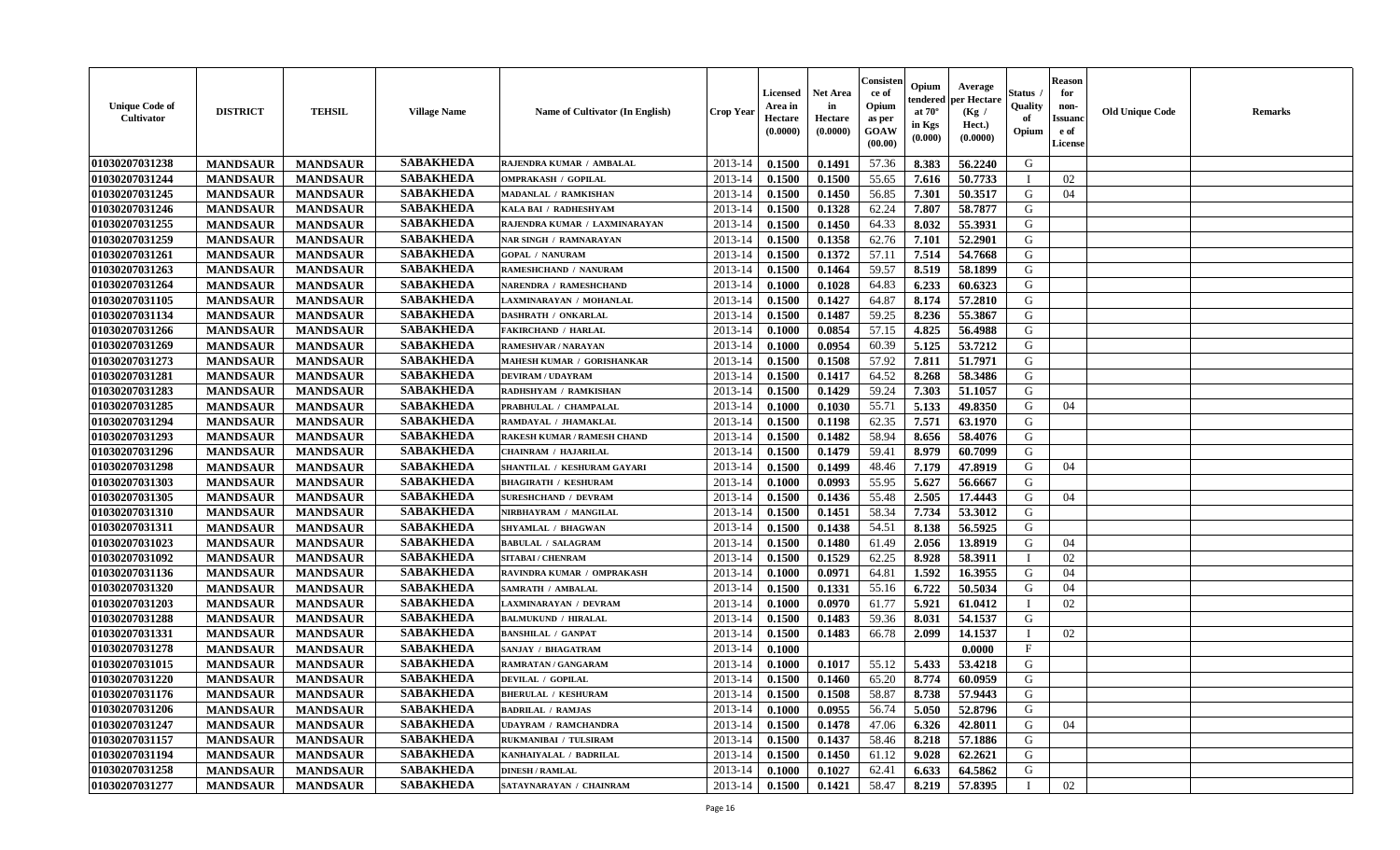| <b>Unique Code of</b><br><b>Cultivator</b> | <b>DISTRICT</b> | <b>TEHSIL</b>   | <b>Village Name</b> | Name of Cultivator (In English)    | <b>Crop Year</b> | <b>Licensed</b><br>Area in<br>Hectare<br>(0.0000) | <b>Net Area</b><br>in<br>Hectare<br>(0.0000) | Consister<br>ce of<br>Opium<br>as per<br><b>GOAW</b><br>(00.00) | Opium<br>endered<br>at $70^\circ$<br>in Kgs<br>$(\mathbf{0.000})$ | Average<br>per Hectare<br>(Kg /<br>Hect.)<br>(0.0000) | Status<br>Quality<br>of<br>Opium | <b>Reason</b><br>for<br>non-<br><b>Issuano</b><br>e of<br>License | <b>Old Unique Code</b> | <b>Remarks</b> |
|--------------------------------------------|-----------------|-----------------|---------------------|------------------------------------|------------------|---------------------------------------------------|----------------------------------------------|-----------------------------------------------------------------|-------------------------------------------------------------------|-------------------------------------------------------|----------------------------------|-------------------------------------------------------------------|------------------------|----------------|
| 01030207031238                             | <b>MANDSAUR</b> | <b>MANDSAUR</b> | <b>SABAKHEDA</b>    | RAJENDRA KUMAR / AMBALAL           | 2013-14          | 0.1500                                            | 0.1491                                       | 57.36                                                           | 8.383                                                             | 56.2240                                               | G                                |                                                                   |                        |                |
| 01030207031244                             | <b>MANDSAUR</b> | <b>MANDSAUR</b> | <b>SABAKHEDA</b>    | <b>OMPRAKASH / GOPILAL</b>         | 2013-14          | 0.1500                                            | 0.1500                                       | 55.65                                                           | 7.616                                                             | 50.7733                                               | - 1                              | 02                                                                |                        |                |
| 01030207031245                             | <b>MANDSAUR</b> | <b>MANDSAUR</b> | <b>SABAKHEDA</b>    | MADANLAL / RAMKISHAN               | 2013-14          | 0.1500                                            | 0.1450                                       | 56.85                                                           | 7.301                                                             | 50.3517                                               | G                                | 04                                                                |                        |                |
| 01030207031246                             | <b>MANDSAUR</b> | <b>MANDSAUR</b> | <b>SABAKHEDA</b>    | KALA BAI / RADHESHYAM              | 2013-14          | 0.1500                                            | 0.1328                                       | 62.24                                                           | 7.807                                                             | 58.7877                                               | G                                |                                                                   |                        |                |
| 01030207031255                             | <b>MANDSAUR</b> | <b>MANDSAUR</b> | <b>SABAKHEDA</b>    | RAJENDRA KUMAR / LAXMINARAYAN      | 2013-14          | 0.1500                                            | 0.1450                                       | 64.33                                                           | 8.032                                                             | 55.3931                                               | G                                |                                                                   |                        |                |
| 01030207031259                             | <b>MANDSAUR</b> | <b>MANDSAUR</b> | <b>SABAKHEDA</b>    | <b>NAR SINGH / RAMNARAYAN</b>      | 2013-14          | 0.1500                                            | 0.1358                                       | 62.76                                                           | 7.101                                                             | 52,2901                                               | G                                |                                                                   |                        |                |
| 01030207031261                             | <b>MANDSAUR</b> | <b>MANDSAUR</b> | <b>SABAKHEDA</b>    | <b>GOPAL / NANURAM</b>             | 2013-14          | 0.1500                                            | 0.1372                                       | 57.11                                                           | 7.514                                                             | 54.7668                                               | G                                |                                                                   |                        |                |
| 01030207031263                             | <b>MANDSAUR</b> | <b>MANDSAUR</b> | <b>SABAKHEDA</b>    | RAMESHCHAND / NANURAM              | 2013-14          | 0.1500                                            | 0.1464                                       | 59.57                                                           | 8.519                                                             | 58.1899                                               | G                                |                                                                   |                        |                |
| 01030207031264                             | <b>MANDSAUR</b> | <b>MANDSAUR</b> | <b>SABAKHEDA</b>    | NARENDRA / RAMESHCHAND             | 2013-14          | 0.1000                                            | 0.1028                                       | 64.83                                                           | 6.233                                                             | 60.6323                                               | G                                |                                                                   |                        |                |
| 01030207031105                             | <b>MANDSAUR</b> | <b>MANDSAUR</b> | <b>SABAKHEDA</b>    | LAXMINARAYAN / MOHANLAL            | 2013-14          | 0.1500                                            | 0.1427                                       | 64.87                                                           | 8.174                                                             | 57.2810                                               | G                                |                                                                   |                        |                |
| 01030207031134                             | <b>MANDSAUR</b> | <b>MANDSAUR</b> | <b>SABAKHEDA</b>    | <b>DASHRATH / ONKARLAL</b>         | 2013-14          | 0.1500                                            | 0.1487                                       | 59.25                                                           | 8.236                                                             | 55.3867                                               | G                                |                                                                   |                        |                |
| 01030207031266                             | <b>MANDSAUR</b> | <b>MANDSAUR</b> | <b>SABAKHEDA</b>    | <b>FAKIRCHAND / HARLAL</b>         | 2013-14          | 0.1000                                            | 0.0854                                       | 57.15                                                           | 4.825                                                             | 56.4988                                               | G                                |                                                                   |                        |                |
| 01030207031269                             | <b>MANDSAUR</b> | <b>MANDSAUR</b> | <b>SABAKHEDA</b>    | <b>RAMESHVAR / NARAYAN</b>         | 2013-14          | 0.1000                                            | 0.0954                                       | 60.39                                                           | 5.125                                                             | 53.7212                                               | G                                |                                                                   |                        |                |
| 01030207031273                             | <b>MANDSAUR</b> | <b>MANDSAUR</b> | <b>SABAKHEDA</b>    | MAHESH KUMAR / GORISHANKAR         | 2013-14          | 0.1500                                            | 0.1508                                       | 57.92                                                           | 7.811                                                             | 51.7971                                               | G                                |                                                                   |                        |                |
| 01030207031281                             | <b>MANDSAUR</b> | <b>MANDSAUR</b> | <b>SABAKHEDA</b>    | <b>DEVIRAM / UDAYRAM</b>           | 2013-14          | 0.1500                                            | 0.1417                                       | 64.52                                                           | 8.268                                                             | 58.3486                                               | G                                |                                                                   |                        |                |
| 01030207031283                             | <b>MANDSAUR</b> | <b>MANDSAUR</b> | <b>SABAKHEDA</b>    | RADHSHYAM / RAMKISHAN              | 2013-14          | 0.1500                                            | 0.1429                                       | 59.24                                                           | 7.303                                                             | 51.1057                                               | G                                |                                                                   |                        |                |
| 01030207031285                             | <b>MANDSAUR</b> | <b>MANDSAUR</b> | <b>SABAKHEDA</b>    | PRABHULAL / CHAMPALAL              | 2013-14          | 0.1000                                            | 0.1030                                       | 55.71                                                           | 5.133                                                             | 49.8350                                               | G                                | 04                                                                |                        |                |
| 01030207031294                             | <b>MANDSAUR</b> | <b>MANDSAUR</b> | <b>SABAKHEDA</b>    | RAMDAYAL / JHAMAKLAL               | 2013-14          | 0.1500                                            | 0.1198                                       | 62.35                                                           | 7.571                                                             | 63.1970                                               | G                                |                                                                   |                        |                |
| 01030207031293                             | <b>MANDSAUR</b> | <b>MANDSAUR</b> | <b>SABAKHEDA</b>    | <b>RAKESH KUMAR / RAMESH CHAND</b> | 2013-14          | 0.1500                                            | 0.1482                                       | 58.94                                                           | 8.656                                                             | 58.4076                                               | G                                |                                                                   |                        |                |
| 01030207031296                             | <b>MANDSAUR</b> | <b>MANDSAUR</b> | <b>SABAKHEDA</b>    | <b>CHAINRAM / HAJARILAL</b>        | 2013-14          | 0.1500                                            | 0.1479                                       | 59.41                                                           | 8.979                                                             | 60.7099                                               | G                                |                                                                   |                        |                |
| 01030207031298                             | <b>MANDSAUR</b> | <b>MANDSAUR</b> | <b>SABAKHEDA</b>    | SHANTILAL / KESHURAM GAYARI        | 2013-14          | 0.1500                                            | 0.1499                                       | 48.46                                                           | 7.179                                                             | 47.8919                                               | G                                | 04                                                                |                        |                |
| 01030207031303                             | <b>MANDSAUR</b> | <b>MANDSAUR</b> | <b>SABAKHEDA</b>    | <b>BHAGIRATH / KESHURAM</b>        | 2013-14          | 0.1000                                            | 0.0993                                       | 55.95                                                           | 5.627                                                             | 56.6667                                               | G                                |                                                                   |                        |                |
| 01030207031305                             | <b>MANDSAUR</b> | <b>MANDSAUR</b> | <b>SABAKHEDA</b>    | <b>SURESHCHAND / DEVRAM</b>        | 2013-14          | 0.1500                                            | 0.1436                                       | 55.48                                                           | 2.505                                                             | 17.4443                                               | G                                | 04                                                                |                        |                |
| 01030207031310                             | <b>MANDSAUR</b> | <b>MANDSAUR</b> | <b>SABAKHEDA</b>    | NIRBHAYRAM / MANGILAL              | 2013-14          | 0.1500                                            | 0.1451                                       | 58.34                                                           | 7.734                                                             | 53.3012                                               | G                                |                                                                   |                        |                |
| 01030207031311                             | <b>MANDSAUR</b> | <b>MANDSAUR</b> | <b>SABAKHEDA</b>    | SHYAMLAL / BHAGWAN                 | 2013-14          | 0.1500                                            | 0.1438                                       | 54.51                                                           | 8.138                                                             | 56.5925                                               | G                                |                                                                   |                        |                |
| 01030207031023                             | <b>MANDSAUR</b> | <b>MANDSAUR</b> | <b>SABAKHEDA</b>    | <b>BABULAL / SALAGRAM</b>          | 2013-14          | 0.1500                                            | 0.1480                                       | 61.49                                                           | 2.056                                                             | 13.8919                                               | G                                | 04                                                                |                        |                |
| 01030207031092                             | <b>MANDSAUR</b> | <b>MANDSAUR</b> | <b>SABAKHEDA</b>    | <b>SITABAI / CHENRAM</b>           | 2013-14          | 0.1500                                            | 0.1529                                       | 62.25                                                           | 8.928                                                             | 58.3911                                               |                                  | 02                                                                |                        |                |
| 01030207031136                             | <b>MANDSAUR</b> | <b>MANDSAUR</b> | <b>SABAKHEDA</b>    | RAVINDRA KUMAR / OMPRAKASH         | 2013-14          | 0.1000                                            | 0.0971                                       | 64.81                                                           | 1.592                                                             | 16.3955                                               | G                                | 04                                                                |                        |                |
| 01030207031320                             | <b>MANDSAUR</b> | <b>MANDSAUR</b> | <b>SABAKHEDA</b>    | SAMRATH / AMBALAL                  | 2013-14          | 0.1500                                            | 0.1331                                       | 55.16                                                           | 6.722                                                             | 50.5034                                               | G                                | 04                                                                |                        |                |
| 01030207031203                             | <b>MANDSAUR</b> | <b>MANDSAUR</b> | <b>SABAKHEDA</b>    | <b>LAXMINARAYAN / DEVRAM</b>       | 2013-14          | 0.1000                                            | 0.0970                                       | 61.77                                                           | 5.921                                                             | 61.0412                                               | $\blacksquare$                   | 02                                                                |                        |                |
| 01030207031288                             | <b>MANDSAUR</b> | <b>MANDSAUR</b> | <b>SABAKHEDA</b>    | <b>BALMUKUND / HIRALAL</b>         | 2013-14          | 0.1500                                            | 0.1483                                       | 59.36                                                           | 8.031                                                             | 54.1537                                               | G                                |                                                                   |                        |                |
| 01030207031331                             | <b>MANDSAUR</b> | <b>MANDSAUR</b> | <b>SABAKHEDA</b>    | <b>BANSHILAL / GANPAT</b>          | 2013-14          | 0.1500                                            | 0.1483                                       | 66.78                                                           | 2.099                                                             | 14.1537                                               |                                  | 02                                                                |                        |                |
| 01030207031278                             | <b>MANDSAUR</b> | <b>MANDSAUR</b> | <b>SABAKHEDA</b>    | SANJAY / BHAGATRAM                 | 2013-14          | 0.1000                                            |                                              |                                                                 |                                                                   | 0.0000                                                | $\mathbf{F}$                     |                                                                   |                        |                |
| 01030207031015                             | <b>MANDSAUR</b> | <b>MANDSAUR</b> | <b>SABAKHEDA</b>    | RAMRATAN / GANGARAM                | 2013-14          | 0.1000                                            | 0.1017                                       | 55.12                                                           | 5.433                                                             | 53.4218                                               | G                                |                                                                   |                        |                |
| 01030207031220                             | <b>MANDSAUR</b> | <b>MANDSAUR</b> | <b>SABAKHEDA</b>    | <b>DEVILAL / GOPILAL</b>           | 2013-14          | 0.1500                                            | 0.1460                                       | 65.20                                                           | 8.774                                                             | 60.0959                                               | G                                |                                                                   |                        |                |
| 01030207031176                             | <b>MANDSAUR</b> | <b>MANDSAUR</b> | <b>SABAKHEDA</b>    | <b>BHERULAL / KESHURAM</b>         | $2013-14$ 0.1500 |                                                   | 0.1508                                       | 58.87                                                           |                                                                   | 8.738 57.9443                                         | G                                |                                                                   |                        |                |
| 01030207031206                             | <b>MANDSAUR</b> | <b>MANDSAUR</b> | <b>SABAKHEDA</b>    | <b>BADRILAL / RAMJAS</b>           | 2013-14          | 0.1000                                            | 0.0955                                       | 56.74                                                           | 5.050                                                             | 52.8796                                               | G                                |                                                                   |                        |                |
| 01030207031247                             | <b>MANDSAUR</b> | <b>MANDSAUR</b> | <b>SABAKHEDA</b>    | <b>UDAYRAM / RAMCHANDRA</b>        | 2013-14          | 0.1500                                            | 0.1478                                       | 47.06                                                           | 6.326                                                             | 42.8011                                               | G                                | 04                                                                |                        |                |
| 01030207031157                             | <b>MANDSAUR</b> | <b>MANDSAUR</b> | <b>SABAKHEDA</b>    | RUKMANIBAI / TULSIRAM              | 2013-14          | 0.1500                                            | 0.1437                                       | 58.46                                                           | 8.218                                                             | 57.1886                                               | G                                |                                                                   |                        |                |
| 01030207031194                             | <b>MANDSAUR</b> | <b>MANDSAUR</b> | <b>SABAKHEDA</b>    | KANHAIYALAL / BADRILAL             | 2013-14          | 0.1500                                            | 0.1450                                       | 61.12                                                           | 9.028                                                             | 62.2621                                               | G                                |                                                                   |                        |                |
| 01030207031258                             | <b>MANDSAUR</b> | <b>MANDSAUR</b> | <b>SABAKHEDA</b>    | <b>DINESH / RAMLAL</b>             | 2013-14          | 0.1000                                            | 0.1027                                       | 62.41                                                           | 6.633                                                             | 64.5862                                               | G                                |                                                                   |                        |                |
| 01030207031277                             | <b>MANDSAUR</b> | <b>MANDSAUR</b> | <b>SABAKHEDA</b>    | SATAYNARAYAN / CHAINRAM            | $2013 - 14$      | 0.1500                                            | 0.1421                                       | 58.47                                                           | 8.219                                                             | 57.8395                                               | $\mathbf{I}$                     | 02                                                                |                        |                |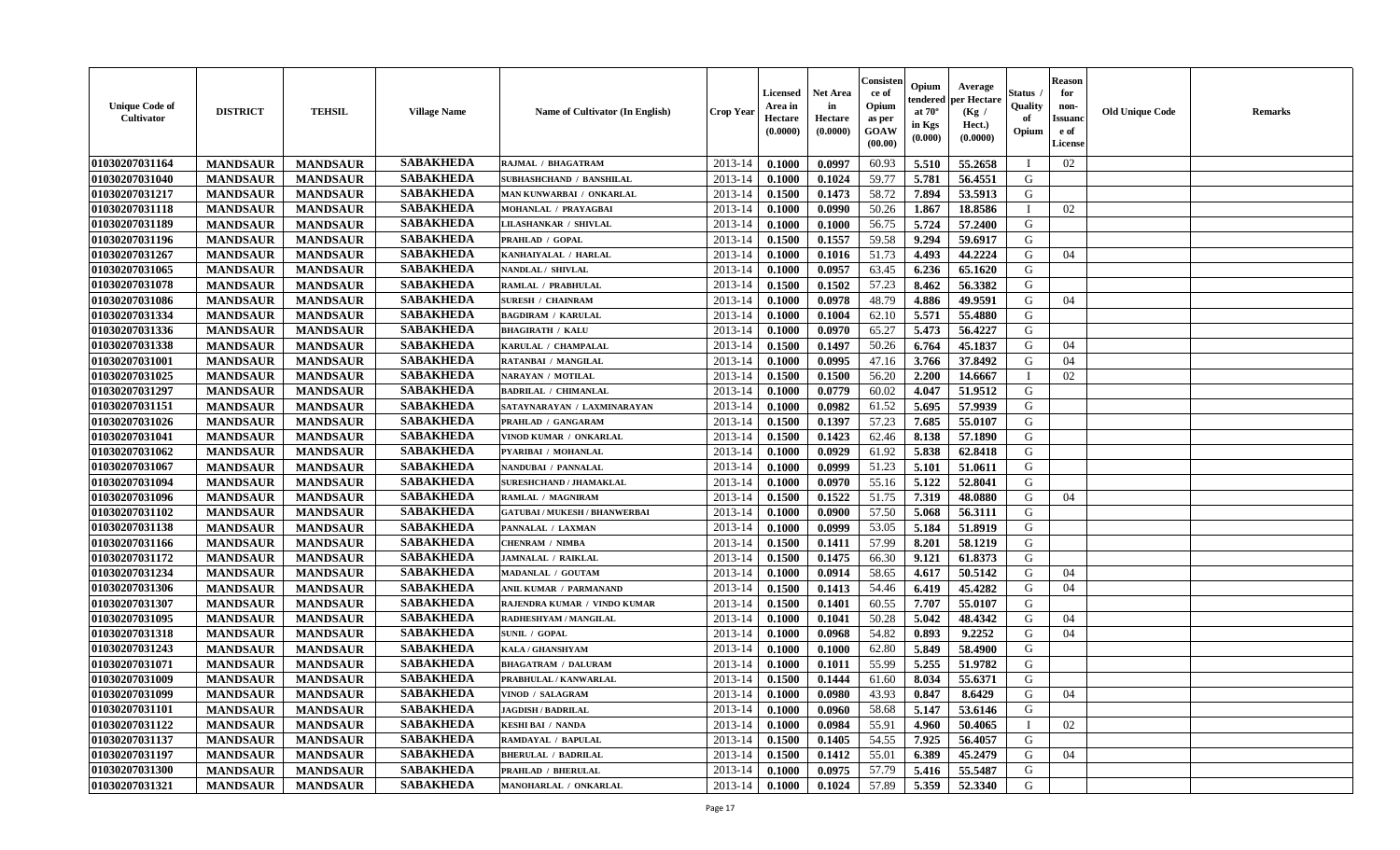| <b>Unique Code of</b><br><b>Cultivator</b> | <b>DISTRICT</b> | <b>TEHSIL</b>   | <b>Village Name</b> | Name of Cultivator (In English)      | <b>Crop Year</b> | <b>Licensed</b><br>Area in<br>Hectare<br>(0.0000) | <b>Net Area</b><br>in<br>Hectare<br>(0.0000) | Consister<br>ce of<br>Opium<br>as per<br><b>GOAW</b><br>(00.00) | Opium<br>endered<br>at $70^\circ$<br>in Kgs<br>(0.000) | Average<br>per Hectare<br>(Kg /<br>Hect.)<br>(0.0000) | Status<br>Quality<br>of<br>Opium | <b>Reason</b><br>for<br>non-<br><b>Issuano</b><br>e of<br>License | <b>Old Unique Code</b> | <b>Remarks</b> |
|--------------------------------------------|-----------------|-----------------|---------------------|--------------------------------------|------------------|---------------------------------------------------|----------------------------------------------|-----------------------------------------------------------------|--------------------------------------------------------|-------------------------------------------------------|----------------------------------|-------------------------------------------------------------------|------------------------|----------------|
| 01030207031164                             | <b>MANDSAUR</b> | <b>MANDSAUR</b> | <b>SABAKHEDA</b>    | RAJMAL / BHAGATRAM                   | 2013-14          | 0.1000                                            | 0.0997                                       | 60.93                                                           | 5.510                                                  | 55.2658                                               |                                  | 02                                                                |                        |                |
| 01030207031040                             | <b>MANDSAUR</b> | <b>MANDSAUR</b> | <b>SABAKHEDA</b>    | SUBHASHCHAND / BANSHILAL             | 2013-14          | 0.1000                                            | 0.1024                                       | 59.77                                                           | 5.781                                                  | 56.4551                                               | G                                |                                                                   |                        |                |
| 01030207031217                             | <b>MANDSAUR</b> | <b>MANDSAUR</b> | <b>SABAKHEDA</b>    | MAN KUNWARBAI / ONKARLAL             | 2013-14          | 0.1500                                            | 0.1473                                       | 58.72                                                           | 7.894                                                  | 53.5913                                               | G                                |                                                                   |                        |                |
| 01030207031118                             | <b>MANDSAUR</b> | <b>MANDSAUR</b> | <b>SABAKHEDA</b>    | MOHANLAL / PRAYAGBAI                 | 2013-14          | 0.1000                                            | 0.0990                                       | 50.26                                                           | 1.867                                                  | 18.8586                                               |                                  | 02                                                                |                        |                |
| 01030207031189                             | <b>MANDSAUR</b> | <b>MANDSAUR</b> | <b>SABAKHEDA</b>    | LILASHANKAR / SHIVLAL                | 2013-14          | 0.1000                                            | 0.1000                                       | 56.75                                                           | 5.724                                                  | 57.2400                                               | G                                |                                                                   |                        |                |
| 01030207031196                             | <b>MANDSAUR</b> | <b>MANDSAUR</b> | <b>SABAKHEDA</b>    | PRAHLAD / GOPAL                      | 2013-14          | 0.1500                                            | 0.1557                                       | 59.58                                                           | 9.294                                                  | 59.6917                                               | G                                |                                                                   |                        |                |
| 01030207031267                             | <b>MANDSAUR</b> | <b>MANDSAUR</b> | <b>SABAKHEDA</b>    | KANHAIYALAL / HARLAL                 | 2013-14          | 0.1000                                            | 0.1016                                       | 51.73                                                           | 4.493                                                  | 44,2224                                               | G                                | 04                                                                |                        |                |
| 01030207031065                             | <b>MANDSAUR</b> | <b>MANDSAUR</b> | <b>SABAKHEDA</b>    | NANDLAL / SHIVLAL                    | 2013-14          | 0.1000                                            | 0.0957                                       | 63.45                                                           | 6.236                                                  | 65.1620                                               | G                                |                                                                   |                        |                |
| 01030207031078                             | <b>MANDSAUR</b> | <b>MANDSAUR</b> | <b>SABAKHEDA</b>    | RAMLAL / PRABHULAL                   | 2013-14          | 0.1500                                            | 0.1502                                       | 57.23                                                           | 8.462                                                  | 56.3382                                               | G                                |                                                                   |                        |                |
| 01030207031086                             | <b>MANDSAUR</b> | <b>MANDSAUR</b> | <b>SABAKHEDA</b>    | <b>SURESH / CHAINRAM</b>             | 2013-14          | 0.1000                                            | 0.0978                                       | 48.79                                                           | 4.886                                                  | 49.9591                                               | G                                | 04                                                                |                        |                |
| 01030207031334                             | <b>MANDSAUR</b> | <b>MANDSAUR</b> | <b>SABAKHEDA</b>    | <b>BAGDIRAM / KARULAL</b>            | 2013-14          | 0.1000                                            | 0.1004                                       | 62.10                                                           | 5.571                                                  | 55.4880                                               | G                                |                                                                   |                        |                |
| 01030207031336                             | <b>MANDSAUR</b> | <b>MANDSAUR</b> | <b>SABAKHEDA</b>    | <b>BHAGIRATH / KALU</b>              | 2013-14          | 0.1000                                            | 0.0970                                       | 65.27                                                           | 5.473                                                  | 56.4227                                               | G                                |                                                                   |                        |                |
| 01030207031338                             | <b>MANDSAUR</b> | <b>MANDSAUR</b> | <b>SABAKHEDA</b>    | KARULAL / CHAMPALAL                  | 2013-14          | 0.1500                                            | 0.1497                                       | 50.26                                                           | 6.764                                                  | 45.1837                                               | G                                | 04                                                                |                        |                |
| 01030207031001                             | <b>MANDSAUR</b> | <b>MANDSAUR</b> | <b>SABAKHEDA</b>    | <b>RATANBAI / MANGILAL</b>           | 2013-14          | 0.1000                                            | 0.0995                                       | 47.16                                                           | 3.766                                                  | 37.8492                                               | G                                | 04                                                                |                        |                |
| 01030207031025                             | <b>MANDSAUR</b> | <b>MANDSAUR</b> | <b>SABAKHEDA</b>    | <b>NARAYAN / MOTILAL</b>             | 2013-14          | 0.1500                                            | 0.1500                                       | 56.20                                                           | 2.200                                                  | 14.6667                                               |                                  | 02                                                                |                        |                |
| 01030207031297                             | <b>MANDSAUR</b> | <b>MANDSAUR</b> | <b>SABAKHEDA</b>    | <b>BADRILAL / CHIMANLAL</b>          | 2013-14          | 0.1000                                            | 0.0779                                       | 60.02                                                           | 4.047                                                  | 51.9512                                               | G                                |                                                                   |                        |                |
| 01030207031151                             | <b>MANDSAUR</b> | <b>MANDSAUR</b> | <b>SABAKHEDA</b>    | SATAYNARAYAN / LAXMINARAYAN          | 2013-14          | 0.1000                                            | 0.0982                                       | 61.52                                                           | 5.695                                                  | 57.9939                                               | G                                |                                                                   |                        |                |
| 01030207031026                             | <b>MANDSAUR</b> | <b>MANDSAUR</b> | <b>SABAKHEDA</b>    | PRAHLAD / GANGARAM                   | 2013-14          | 0.1500                                            | 0.1397                                       | 57.23                                                           | 7.685                                                  | 55.0107                                               | G                                |                                                                   |                        |                |
| 01030207031041                             | <b>MANDSAUR</b> | <b>MANDSAUR</b> | <b>SABAKHEDA</b>    | VINOD KUMAR / ONKARLAL               | 2013-14          | 0.1500                                            | 0.1423                                       | 62.46                                                           | 8.138                                                  | 57.1890                                               | G                                |                                                                   |                        |                |
| 01030207031062                             | <b>MANDSAUR</b> | <b>MANDSAUR</b> | <b>SABAKHEDA</b>    | PYARIBAI / MOHANLAL                  | 2013-14          | 0.1000                                            | 0.0929                                       | 61.92                                                           | 5.838                                                  | 62.8418                                               | G                                |                                                                   |                        |                |
| 01030207031067                             | <b>MANDSAUR</b> | <b>MANDSAUR</b> | <b>SABAKHEDA</b>    | NANDUBAI / PANNALAL                  | 2013-14          | 0.1000                                            | 0.0999                                       | 51.23                                                           | 5.101                                                  | 51.0611                                               | G                                |                                                                   |                        |                |
| 01030207031094                             | <b>MANDSAUR</b> | <b>MANDSAUR</b> | <b>SABAKHEDA</b>    | SURESHCHAND / JHAMAKLAL              | 2013-14          | 0.1000                                            | 0.0970                                       | 55.16                                                           | 5.122                                                  | 52.8041                                               | G                                |                                                                   |                        |                |
| 01030207031096                             | <b>MANDSAUR</b> | <b>MANDSAUR</b> | <b>SABAKHEDA</b>    | RAMLAL / MAGNIRAM                    | 2013-14          | 0.1500                                            | 0.1522                                       | 51.75                                                           | 7.319                                                  | 48.0880                                               | G                                | 04                                                                |                        |                |
| 01030207031102                             | <b>MANDSAUR</b> | <b>MANDSAUR</b> | <b>SABAKHEDA</b>    | <b>GATUBAI / MUKESH / BHANWERBAI</b> | 2013-14          | 0.1000                                            | 0.0900                                       | 57.50                                                           | 5.068                                                  | 56.3111                                               | G                                |                                                                   |                        |                |
| 01030207031138                             | <b>MANDSAUR</b> | <b>MANDSAUR</b> | <b>SABAKHEDA</b>    | PANNALAL / LAXMAN                    | 2013-14          | 0.1000                                            | 0.0999                                       | 53.05                                                           | 5.184                                                  | 51.8919                                               | G                                |                                                                   |                        |                |
| 01030207031166                             | <b>MANDSAUR</b> | <b>MANDSAUR</b> | <b>SABAKHEDA</b>    | <b>CHENRAM / NIMBA</b>               | 2013-14          | 0.1500                                            | 0.1411                                       | 57.99                                                           | 8.201                                                  | 58.1219                                               | G                                |                                                                   |                        |                |
| 01030207031172                             | <b>MANDSAUR</b> | <b>MANDSAUR</b> | <b>SABAKHEDA</b>    | JAMNALAL / RAIKLAL                   | 2013-14          | 0.1500                                            | 0.1475                                       | 66.30                                                           | 9.121                                                  | 61.8373                                               | G                                |                                                                   |                        |                |
| 01030207031234                             | <b>MANDSAUR</b> | <b>MANDSAUR</b> | <b>SABAKHEDA</b>    | MADANLAL / GOUTAM                    | 2013-14          | 0.1000                                            | 0.0914                                       | 58.65                                                           | 4.617                                                  | 50.5142                                               | G                                | 04                                                                |                        |                |
| 01030207031306                             | <b>MANDSAUR</b> | <b>MANDSAUR</b> | <b>SABAKHEDA</b>    | ANIL KUMAR / PARMANAND               | 2013-14          | 0.1500                                            | 0.1413                                       | 54.46                                                           | 6.419                                                  | 45.4282                                               | G                                | 04                                                                |                        |                |
| 01030207031307                             | <b>MANDSAUR</b> | <b>MANDSAUR</b> | <b>SABAKHEDA</b>    | RAJENDRA KUMAR / VINDO KUMAR         | 2013-14          | 0.1500                                            | 0.1401                                       | 60.55                                                           | 7.707                                                  | 55.0107                                               | G                                |                                                                   |                        |                |
| 01030207031095                             | <b>MANDSAUR</b> | <b>MANDSAUR</b> | <b>SABAKHEDA</b>    | RADHESHYAM / MANGILAL                | 2013-14          | 0.1000                                            | 0.1041                                       | 50.28                                                           | 5.042                                                  | 48.4342                                               | G                                | 04                                                                |                        |                |
| 01030207031318                             | <b>MANDSAUR</b> | <b>MANDSAUR</b> | <b>SABAKHEDA</b>    | <b>SUNIL / GOPAL</b>                 | 2013-14          | 0.1000                                            | 0.0968                                       | 54.82                                                           | 0.893                                                  | 9.2252                                                | G                                | 04                                                                |                        |                |
| 01030207031243                             | <b>MANDSAUR</b> | <b>MANDSAUR</b> | <b>SABAKHEDA</b>    | KALA / GHANSHYAM                     | 2013-14          | 0.1000                                            | 0.1000                                       | 62.80                                                           | 5.849                                                  | 58.4900                                               | G                                |                                                                   |                        |                |
| 01030207031071                             | <b>MANDSAUR</b> | <b>MANDSAUR</b> | <b>SABAKHEDA</b>    | <b>BHAGATRAM / DALURAM</b>           | 2013-14          | 0.1000                                            | 0.1011                                       | 55.99                                                           | 5.255                                                  | 51.9782                                               | G                                |                                                                   |                        |                |
| 01030207031009                             | <b>MANDSAUR</b> | <b>MANDSAUR</b> | <b>SABAKHEDA</b>    | PRABHULAL / KANWARLAL                | 2013-14          | 0.1500                                            | 0.1444                                       | 61.60                                                           | 8.034                                                  | 55.6371                                               | G                                |                                                                   |                        |                |
| 01030207031099                             | <b>MANDSAUR</b> | <b>MANDSAUR</b> | <b>SABAKHEDA</b>    | VINOD / SALAGRAM                     | $2013-14$ 0.1000 |                                                   | 0.0980                                       | 43.93                                                           | 0.847                                                  | 8.6429                                                | G                                | 04                                                                |                        |                |
| 01030207031101                             | <b>MANDSAUR</b> | <b>MANDSAUR</b> | <b>SABAKHEDA</b>    | <b>JAGDISH / BADRILAL</b>            | 2013-14          | 0.1000                                            | 0.0960                                       | 58.68                                                           | 5.147                                                  | 53.6146                                               | G                                |                                                                   |                        |                |
| 01030207031122                             | <b>MANDSAUR</b> | <b>MANDSAUR</b> | <b>SABAKHEDA</b>    | <b>KESHI BAI / NANDA</b>             | 2013-14          | 0.1000                                            | 0.0984                                       | 55.91                                                           | 4.960                                                  | 50.4065                                               | $\blacksquare$                   | 02                                                                |                        |                |
| 01030207031137                             | <b>MANDSAUR</b> | <b>MANDSAUR</b> | <b>SABAKHEDA</b>    | RAMDAYAL / BAPULAL                   | 2013-14          | 0.1500                                            | 0.1405                                       | 54.55                                                           | 7.925                                                  | 56.4057                                               | G                                |                                                                   |                        |                |
| 01030207031197                             | <b>MANDSAUR</b> | <b>MANDSAUR</b> | <b>SABAKHEDA</b>    | <b>BHERULAL / BADRILAL</b>           | 2013-14          | 0.1500                                            | 0.1412                                       | 55.01                                                           | 6.389                                                  | 45,2479                                               | G                                | 04                                                                |                        |                |
| 01030207031300                             | <b>MANDSAUR</b> | <b>MANDSAUR</b> | <b>SABAKHEDA</b>    | PRAHLAD / BHERULAL                   | 2013-14          | 0.1000                                            | 0.0975                                       | 57.79                                                           | 5.416                                                  | 55.5487                                               | G                                |                                                                   |                        |                |
| 01030207031321                             | <b>MANDSAUR</b> | <b>MANDSAUR</b> | <b>SABAKHEDA</b>    | MANOHARLAL / ONKARLAL                | $2013 - 14$      | $\boldsymbol{0.1000}$                             | 0.1024                                       | 57.89                                                           | 5.359                                                  | 52.3340                                               | G                                |                                                                   |                        |                |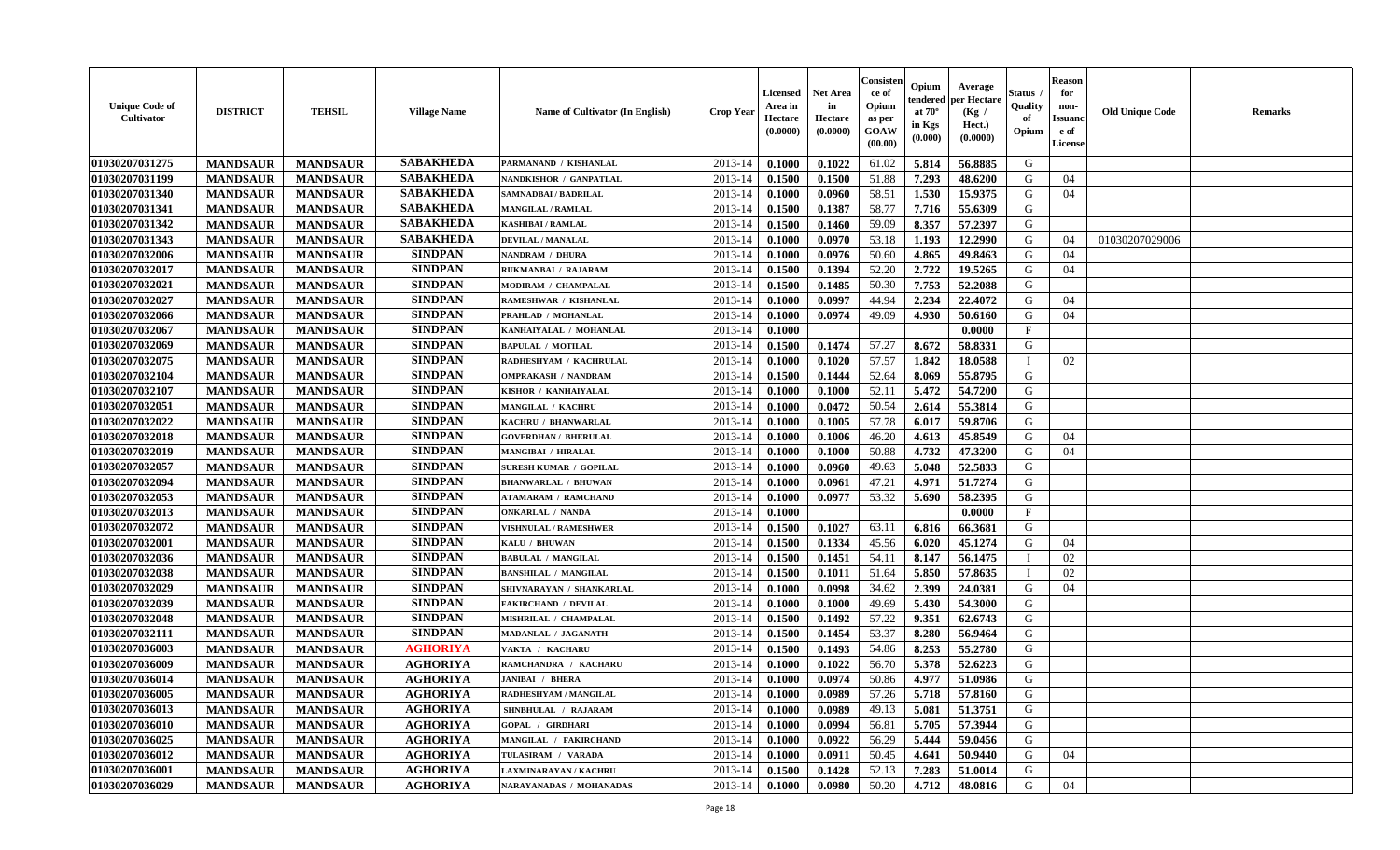| <b>Unique Code of</b><br><b>Cultivator</b> | <b>DISTRICT</b> | <b>TEHSIL</b>   | <b>Village Name</b> | Name of Cultivator (In English) | <b>Crop Year</b> | <b>Licensed</b><br>Area in<br>Hectare<br>(0.0000) | <b>Net Area</b><br>in<br>Hectare<br>(0.0000) | Consister<br>ce of<br>Opium<br>as per<br><b>GOAW</b><br>(00.00) | Opium<br>endered<br>at $70^\circ$<br>in Kgs<br>(0.000) | Average<br>per Hectare<br>(Kg)<br>Hect.)<br>(0.0000) | Status<br>Quality<br>of<br>Opium | <b>Reason</b><br>for<br>non-<br><b>Issuano</b><br>e of<br>License | <b>Old Unique Code</b> | <b>Remarks</b> |
|--------------------------------------------|-----------------|-----------------|---------------------|---------------------------------|------------------|---------------------------------------------------|----------------------------------------------|-----------------------------------------------------------------|--------------------------------------------------------|------------------------------------------------------|----------------------------------|-------------------------------------------------------------------|------------------------|----------------|
| 01030207031275                             | <b>MANDSAUR</b> | <b>MANDSAUR</b> | <b>SABAKHEDA</b>    | PARMANAND / KISHANLAL           | 2013-14          | 0.1000                                            | 0.1022                                       | 61.02                                                           | 5.814                                                  | 56.8885                                              | G                                |                                                                   |                        |                |
| 01030207031199                             | <b>MANDSAUR</b> | <b>MANDSAUR</b> | <b>SABAKHEDA</b>    | NANDKISHOR / GANPATLAL          | 2013-14          | 0.1500                                            | 0.1500                                       | 51.88                                                           | 7.293                                                  | 48.6200                                              | G                                | 04                                                                |                        |                |
| 01030207031340                             | <b>MANDSAUR</b> | <b>MANDSAUR</b> | <b>SABAKHEDA</b>    | SAMNADBAI / BADRILAL            | 2013-14          | 0.1000                                            | 0.0960                                       | 58.51                                                           | 1.530                                                  | 15.9375                                              | G                                | 04                                                                |                        |                |
| 01030207031341                             | <b>MANDSAUR</b> | <b>MANDSAUR</b> | <b>SABAKHEDA</b>    | <b>MANGILAL / RAMLAL</b>        | 2013-14          | 0.1500                                            | 0.1387                                       | 58.77                                                           | 7.716                                                  | 55.6309                                              | G                                |                                                                   |                        |                |
| 01030207031342                             | <b>MANDSAUR</b> | <b>MANDSAUR</b> | <b>SABAKHEDA</b>    | KASHIBAI / RAMLAL               | 2013-14          | 0.1500                                            | 0.1460                                       | 59.09                                                           | 8.357                                                  | 57,2397                                              | G                                |                                                                   |                        |                |
| 01030207031343                             | <b>MANDSAUR</b> | <b>MANDSAUR</b> | <b>SABAKHEDA</b>    | <b>DEVILAL / MANALAL</b>        | 2013-14          | 0.1000                                            | 0.0970                                       | 53.18                                                           | 1.193                                                  | 12.2990                                              | G                                | 04                                                                | 01030207029006         |                |
| 01030207032006                             | <b>MANDSAUR</b> | <b>MANDSAUR</b> | <b>SINDPAN</b>      | NANDRAM / DHURA                 | 2013-14          | 0.1000                                            | 0.0976                                       | 50.60                                                           | 4.865                                                  | 49.8463                                              | G                                | 04                                                                |                        |                |
| 01030207032017                             | <b>MANDSAUR</b> | <b>MANDSAUR</b> | <b>SINDPAN</b>      | RUKMANBAI / RAJARAM             | 2013-14          | 0.1500                                            | 0.1394                                       | 52.20                                                           | 2.722                                                  | 19.5265                                              | G                                | 04                                                                |                        |                |
| 01030207032021                             | <b>MANDSAUR</b> | <b>MANDSAUR</b> | <b>SINDPAN</b>      | MODIRAM / CHAMPALAL             | 2013-14          | 0.1500                                            | 0.1485                                       | 50.30                                                           | 7.753                                                  | 52,2088                                              | G                                |                                                                   |                        |                |
| 01030207032027                             | <b>MANDSAUR</b> | <b>MANDSAUR</b> | <b>SINDPAN</b>      | RAMESHWAR / KISHANLAL           | 2013-14          | 0.1000                                            | 0.0997                                       | 44.94                                                           | 2.234                                                  | 22,4072                                              | G                                | 04                                                                |                        |                |
| 01030207032066                             | <b>MANDSAUR</b> | <b>MANDSAUR</b> | <b>SINDPAN</b>      | PRAHLAD / MOHANLAL              | 2013-14          | 0.1000                                            | 0.0974                                       | 49.09                                                           | 4.930                                                  | 50.6160                                              | G                                | 04                                                                |                        |                |
| 01030207032067                             | <b>MANDSAUR</b> | <b>MANDSAUR</b> | <b>SINDPAN</b>      | KANHAIYALAL / MOHANLAL          | 2013-14          | 0.1000                                            |                                              |                                                                 |                                                        | 0.0000                                               | $\mathbf{F}$                     |                                                                   |                        |                |
| 01030207032069                             | <b>MANDSAUR</b> | <b>MANDSAUR</b> | <b>SINDPAN</b>      | <b>BAPULAL / MOTILAL</b>        | 2013-14          | 0.1500                                            | 0.1474                                       | 57.27                                                           | 8.672                                                  | 58.8331                                              | G                                |                                                                   |                        |                |
| 01030207032075                             | <b>MANDSAUR</b> | <b>MANDSAUR</b> | <b>SINDPAN</b>      | RADHESHYAM / KACHRULAL          | 2013-14          | 0.1000                                            | 0.1020                                       | 57.57                                                           | 1.842                                                  | 18.0588                                              | - 1                              | 02                                                                |                        |                |
| 01030207032104                             | <b>MANDSAUR</b> | <b>MANDSAUR</b> | <b>SINDPAN</b>      | <b>OMPRAKASH / NANDRAM</b>      | 2013-14          | 0.1500                                            | 0.1444                                       | 52.64                                                           | 8.069                                                  | 55.8795                                              | G                                |                                                                   |                        |                |
| 01030207032107                             | <b>MANDSAUR</b> | <b>MANDSAUR</b> | <b>SINDPAN</b>      | KISHOR / KANHAIYALAL            | 2013-14          | 0.1000                                            | 0.1000                                       | 52.11                                                           | 5.472                                                  | 54.7200                                              | G                                |                                                                   |                        |                |
| 01030207032051                             | <b>MANDSAUR</b> | <b>MANDSAUR</b> | <b>SINDPAN</b>      | <b>MANGILAL / KACHRU</b>        | 2013-14          | 0.1000                                            | 0.0472                                       | 50.54                                                           | 2.614                                                  | 55.3814                                              | G                                |                                                                   |                        |                |
| 01030207032022                             | <b>MANDSAUR</b> | <b>MANDSAUR</b> | <b>SINDPAN</b>      | KACHRU / BHANWARLAL             | 2013-14          | 0.1000                                            | 0.1005                                       | 57.78                                                           | 6.017                                                  | 59.8706                                              | G                                |                                                                   |                        |                |
| 01030207032018                             | <b>MANDSAUR</b> | <b>MANDSAUR</b> | <b>SINDPAN</b>      | <b>GOVERDHAN / BHERULAL</b>     | 2013-14          | 0.1000                                            | 0.1006                                       | 46.20                                                           | 4.613                                                  | 45.8549                                              | G                                | 04                                                                |                        |                |
| 01030207032019                             | <b>MANDSAUR</b> | <b>MANDSAUR</b> | <b>SINDPAN</b>      | <b>MANGIBAI / HIRALAL</b>       | 2013-14          | 0.1000                                            | 0.1000                                       | 50.88                                                           | 4.732                                                  | 47.3200                                              | G                                | 04                                                                |                        |                |
| 01030207032057                             | <b>MANDSAUR</b> | <b>MANDSAUR</b> | <b>SINDPAN</b>      | <b>SURESH KUMAR / GOPILAL</b>   | 2013-14          | 0.1000                                            | 0.0960                                       | 49.63                                                           | 5.048                                                  | 52.5833                                              | G                                |                                                                   |                        |                |
| 01030207032094                             | <b>MANDSAUR</b> | <b>MANDSAUR</b> | <b>SINDPAN</b>      | <b>BHANWARLAL / BHUWAN</b>      | 2013-14          | 0.1000                                            | 0.0961                                       | 47.21                                                           | 4.971                                                  | 51.7274                                              | G                                |                                                                   |                        |                |
| 01030207032053                             | <b>MANDSAUR</b> | <b>MANDSAUR</b> | <b>SINDPAN</b>      | <b>ATAMARAM / RAMCHAND</b>      | 2013-14          | 0.1000                                            | 0.0977                                       | 53.32                                                           | 5.690                                                  | 58.2395                                              | G                                |                                                                   |                        |                |
| 01030207032013                             | <b>MANDSAUR</b> | <b>MANDSAUR</b> | <b>SINDPAN</b>      | <b>ONKARLAL / NANDA</b>         | 2013-14          | 0.1000                                            |                                              |                                                                 |                                                        | 0.0000                                               | $\mathbf{F}$                     |                                                                   |                        |                |
| 01030207032072                             | <b>MANDSAUR</b> | <b>MANDSAUR</b> | <b>SINDPAN</b>      | <b>VISHNULAL / RAMESHWER</b>    | 2013-14          | 0.1500                                            | 0.1027                                       | 63.11                                                           | 6.816                                                  | 66.3681                                              | G                                |                                                                   |                        |                |
| 01030207032001                             | <b>MANDSAUR</b> | <b>MANDSAUR</b> | <b>SINDPAN</b>      | KALU / BHUWAN                   | 2013-14          | 0.1500                                            | 0.1334                                       | 45.56                                                           | 6.020                                                  | 45.1274                                              | G                                | 04                                                                |                        |                |
| 01030207032036                             | <b>MANDSAUR</b> | <b>MANDSAUR</b> | <b>SINDPAN</b>      | <b>BABULAL / MANGILAL</b>       | 2013-14          | 0.1500                                            | 0.1451                                       | 54.11                                                           | 8.147                                                  | 56.1475                                              |                                  | 02                                                                |                        |                |
| 01030207032038                             | <b>MANDSAUR</b> | <b>MANDSAUR</b> | <b>SINDPAN</b>      | <b>BANSHILAL / MANGILAL</b>     | 2013-14          | 0.1500                                            | 0.1011                                       | 51.64                                                           | 5.850                                                  | 57.8635                                              | П                                | 02                                                                |                        |                |
| 01030207032029                             | <b>MANDSAUR</b> | <b>MANDSAUR</b> | <b>SINDPAN</b>      | SHIVNARAYAN / SHANKARLAL        | 2013-14          | 0.1000                                            | 0.0998                                       | 34.62                                                           | 2.399                                                  | 24.0381                                              | G                                | 04                                                                |                        |                |
| 01030207032039                             | <b>MANDSAUR</b> | <b>MANDSAUR</b> | <b>SINDPAN</b>      | <b>FAKIRCHAND / DEVILAL</b>     | 2013-14          | 0.1000                                            | 0.1000                                       | 49.69                                                           | 5.430                                                  | 54.3000                                              | G                                |                                                                   |                        |                |
| 01030207032048                             | <b>MANDSAUR</b> | <b>MANDSAUR</b> | <b>SINDPAN</b>      | MISHRILAL / CHAMPALAL           | 2013-14          | 0.1500                                            | 0.1492                                       | 57.22                                                           | 9.351                                                  | 62.6743                                              | G                                |                                                                   |                        |                |
| 01030207032111                             | <b>MANDSAUR</b> | <b>MANDSAUR</b> | <b>SINDPAN</b>      | MADANLAL / JAGANATH             | 2013-14          | 0.1500                                            | 0.1454                                       | 53.37                                                           | 8.280                                                  | 56.9464                                              | G                                |                                                                   |                        |                |
| 01030207036003                             | <b>MANDSAUR</b> | <b>MANDSAUR</b> | <b>AGHORIYA</b>     | VAKTA / KACHARU                 | 2013-14          | 0.1500                                            | 0.1493                                       | 54.86                                                           | 8.253                                                  | 55.2780                                              | G                                |                                                                   |                        |                |
| 01030207036009                             | <b>MANDSAUR</b> | <b>MANDSAUR</b> | <b>AGHORIYA</b>     | RAMCHANDRA / KACHARU            | 2013-14          | 0.1000                                            | 0.1022                                       | 56.70                                                           | 5.378                                                  | 52.6223                                              | G                                |                                                                   |                        |                |
| 01030207036014                             | <b>MANDSAUR</b> | <b>MANDSAUR</b> | <b>AGHORIYA</b>     | <b>JANIBAI / BHERA</b>          | 2013-14          | 0.1000                                            | 0.0974                                       | 50.86                                                           | 4.977                                                  | 51.0986                                              | G                                |                                                                   |                        |                |
| 01030207036005                             | <b>MANDSAUR</b> | <b>MANDSAUR</b> | <b>AGHORIYA</b>     | RADHESHYAM / MANGILAL           | $2013-14$ 0.1000 |                                                   | 0.0989                                       | 57.26                                                           |                                                        | 5.718 57.8160                                        | G                                |                                                                   |                        |                |
| 01030207036013                             | <b>MANDSAUR</b> | <b>MANDSAUR</b> | <b>AGHORIYA</b>     | SHNBHULAL / RAJARAM             | 2013-14          | 0.1000                                            | 0.0989                                       | 49.13                                                           | 5.081                                                  | 51.3751                                              | G                                |                                                                   |                        |                |
| <b>01030207036010</b>                      | <b>MANDSAUR</b> | <b>MANDSAUR</b> | <b>AGHORIYA</b>     | <b>GOPAL / GIRDHARI</b>         | 2013-14          | 0.1000                                            | 0.0994                                       | 56.81                                                           | 5.705                                                  | 57.3944                                              | G                                |                                                                   |                        |                |
| 01030207036025                             | <b>MANDSAUR</b> | <b>MANDSAUR</b> | <b>AGHORIYA</b>     | MANGILAL / FAKIRCHAND           | 2013-14          | 0.1000                                            | 0.0922                                       | 56.29                                                           | 5.444                                                  | 59.0456                                              | G                                |                                                                   |                        |                |
| 01030207036012                             | <b>MANDSAUR</b> | <b>MANDSAUR</b> | <b>AGHORIYA</b>     | TULASIRAM / VARADA              | 2013-14          | 0.1000                                            | 0.0911                                       | 50.45                                                           | 4.641                                                  | 50.9440                                              | G                                | 04                                                                |                        |                |
| 01030207036001                             | <b>MANDSAUR</b> | <b>MANDSAUR</b> | <b>AGHORIYA</b>     | LAXMINARAYAN / KACHRU           | 2013-14          | 0.1500                                            | 0.1428                                       | 52.13                                                           | 7.283                                                  | 51.0014                                              | G                                |                                                                   |                        |                |
| 01030207036029                             | <b>MANDSAUR</b> | <b>MANDSAUR</b> | <b>AGHORIYA</b>     | NARAYANADAS / MOHANADAS         | 2013-14          | $\boldsymbol{0.1000}$                             | 0.0980                                       | 50.20                                                           | 4.712                                                  | 48.0816                                              | G                                | 04                                                                |                        |                |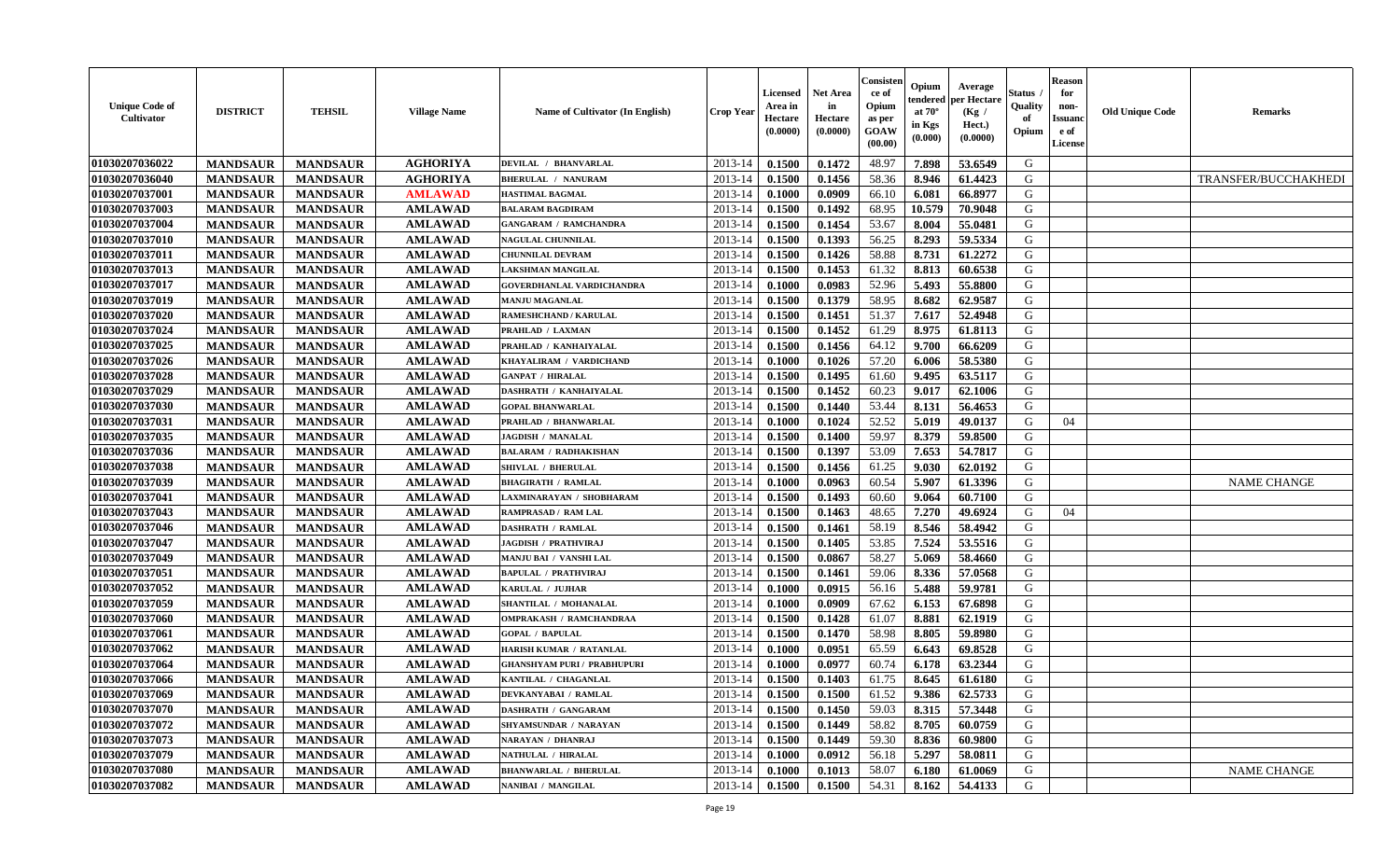| <b>Unique Code of</b><br>Cultivator | <b>DISTRICT</b> | <b>TEHSIL</b>   | <b>Village Name</b> | Name of Cultivator (In English)    | <b>Crop Year</b> | Licensed<br>Area in<br><b>Hectare</b><br>(0.0000) | <b>Net Area</b><br>in<br>Hectare<br>(0.0000) | Consisten<br>ce of<br>Opium<br>as per<br>GOAW<br>(00.00) | Opium<br>tendered<br>at $70^\circ$<br>in Kgs<br>(0.000) | Average<br>per Hectare<br>(Kg /<br>Hect.)<br>(0.0000) | Status<br>Quality<br>of<br>Opium | <b>Reason</b><br>for<br>non-<br><b>Issuanc</b><br>e of<br>License | <b>Old Unique Code</b> | <b>Remarks</b>       |
|-------------------------------------|-----------------|-----------------|---------------------|------------------------------------|------------------|---------------------------------------------------|----------------------------------------------|----------------------------------------------------------|---------------------------------------------------------|-------------------------------------------------------|----------------------------------|-------------------------------------------------------------------|------------------------|----------------------|
| 01030207036022                      | <b>MANDSAUR</b> | <b>MANDSAUR</b> | <b>AGHORIYA</b>     | DEVILAL / BHANVARLAL               | 2013-14          | 0.1500                                            | 0.1472                                       | 48.97                                                    | 7.898                                                   | 53.6549                                               | G                                |                                                                   |                        |                      |
| 01030207036040                      | <b>MANDSAUR</b> | <b>MANDSAUR</b> | <b>AGHORIYA</b>     | <b>BHERULAL / NANURAM</b>          | 2013-14          | 0.1500                                            | 0.1456                                       | 58.36                                                    | 8.946                                                   | 61.4423                                               | G                                |                                                                   |                        | TRANSFER/BUCCHAKHEDI |
| 01030207037001                      | <b>MANDSAUR</b> | <b>MANDSAUR</b> | <b>AMLAWAD</b>      | <b>HASTIMAL BAGMAL</b>             | 2013-14          | 0.1000                                            | 0.0909                                       | 66.10                                                    | 6.081                                                   | 66.8977                                               | G                                |                                                                   |                        |                      |
| 01030207037003                      | <b>MANDSAUR</b> | <b>MANDSAUR</b> | <b>AMLAWAD</b>      | <b>BALARAM BAGDIRAM</b>            | 2013-14          | 0.1500                                            | 0.1492                                       | 68.95                                                    | 10.579                                                  | 70.9048                                               | G                                |                                                                   |                        |                      |
| 01030207037004                      | <b>MANDSAUR</b> | <b>MANDSAUR</b> | <b>AMLAWAD</b>      | <b>GANGARAM / RAMCHANDRA</b>       | 2013-14          | 0.1500                                            | 0.1454                                       | 53.67                                                    | 8.004                                                   | 55.0481                                               | G                                |                                                                   |                        |                      |
| 01030207037010                      | <b>MANDSAUR</b> | <b>MANDSAUR</b> | <b>AMLAWAD</b>      | <b>NAGULAL CHUNNILAL</b>           | 2013-14          | 0.1500                                            | 0.1393                                       | 56.25                                                    | 8.293                                                   | 59.5334                                               | G                                |                                                                   |                        |                      |
| 01030207037011                      | <b>MANDSAUR</b> | <b>MANDSAUR</b> | <b>AMLAWAD</b>      | <b>CHUNNILAL DEVRAM</b>            | 2013-14          | 0.1500                                            | 0.1426                                       | 58.88                                                    | 8.731                                                   | 61.2272                                               | G                                |                                                                   |                        |                      |
| 01030207037013                      | <b>MANDSAUR</b> | <b>MANDSAUR</b> | <b>AMLAWAD</b>      | <b>LAKSHMAN MANGILAL</b>           | 2013-14          | 0.1500                                            | 0.1453                                       | 61.32                                                    | 8.813                                                   | 60.6538                                               | G                                |                                                                   |                        |                      |
| 01030207037017                      | <b>MANDSAUR</b> | <b>MANDSAUR</b> | <b>AMLAWAD</b>      | <b>GOVERDHANLAL VARDICHANDRA</b>   | 2013-14          | 0.1000                                            | 0.0983                                       | 52.96                                                    | 5.493                                                   | 55.8800                                               | G                                |                                                                   |                        |                      |
| 01030207037019                      | <b>MANDSAUR</b> | <b>MANDSAUR</b> | <b>AMLAWAD</b>      | <b>MANJU MAGANLAL</b>              | 2013-14          | 0.1500                                            | 0.1379                                       | 58.95                                                    | 8.682                                                   | 62.9587                                               | G                                |                                                                   |                        |                      |
| 01030207037020                      | <b>MANDSAUR</b> | <b>MANDSAUR</b> | <b>AMLAWAD</b>      | RAMESHCHAND / KARULAL              | 2013-14          | 0.1500                                            | 0.1451                                       | 51.37                                                    | 7.617                                                   | 52.4948                                               | G                                |                                                                   |                        |                      |
| 01030207037024                      | <b>MANDSAUR</b> | <b>MANDSAUR</b> | <b>AMLAWAD</b>      | PRAHLAD / LAXMAN                   | 2013-14          | 0.1500                                            | 0.1452                                       | 61.29                                                    | 8.975                                                   | 61.8113                                               | G                                |                                                                   |                        |                      |
| 01030207037025                      | <b>MANDSAUR</b> | <b>MANDSAUR</b> | <b>AMLAWAD</b>      | PRAHLAD / KANHAIYALAL              | 2013-14          | 0.1500                                            | 0.1456                                       | 64.12                                                    | 9.700                                                   | 66.6209                                               | G                                |                                                                   |                        |                      |
| 01030207037026                      | <b>MANDSAUR</b> | <b>MANDSAUR</b> | <b>AMLAWAD</b>      | KHAYALIRAM / VARDICHAND            | 2013-14          | 0.1000                                            | 0.1026                                       | 57.20                                                    | 6.006                                                   | 58.5380                                               | G                                |                                                                   |                        |                      |
| 01030207037028                      | <b>MANDSAUR</b> | <b>MANDSAUR</b> | <b>AMLAWAD</b>      | <b>GANPAT / HIRALAL</b>            | 2013-14          | 0.1500                                            | 0.1495                                       | 61.60                                                    | 9.495                                                   | 63.5117                                               | G                                |                                                                   |                        |                      |
| 01030207037029                      | <b>MANDSAUR</b> | <b>MANDSAUR</b> | <b>AMLAWAD</b>      | DASHRATH / KANHAIYALAL             | 2013-14          | 0.1500                                            | 0.1452                                       | 60.23                                                    | 9.017                                                   | 62.1006                                               | G                                |                                                                   |                        |                      |
| 01030207037030                      | <b>MANDSAUR</b> | <b>MANDSAUR</b> | <b>AMLAWAD</b>      | <b>GOPAL BHANWARLAL</b>            | 2013-14          | 0.1500                                            | 0.1440                                       | 53.44                                                    | 8.131                                                   | 56.4653                                               | G                                |                                                                   |                        |                      |
| 01030207037031                      | <b>MANDSAUR</b> | <b>MANDSAUR</b> | <b>AMLAWAD</b>      | PRAHLAD / BHANWARLAL               | 2013-14          | 0.1000                                            | 0.1024                                       | 52.52                                                    | 5.019                                                   | 49.0137                                               | G                                | 04                                                                |                        |                      |
| 01030207037035                      |                 |                 |                     | <b>JAGDISH / MANALAL</b>           | 2013-14          | 0.1500                                            | 0.1400                                       | 59.97                                                    | 8.379                                                   | 59.8500                                               | G                                |                                                                   |                        |                      |
|                                     | <b>MANDSAUR</b> | <b>MANDSAUR</b> | <b>AMLAWAD</b>      | <b>BALARAM / RADHAKISHAN</b>       | 2013-14          | 0.1500                                            |                                              |                                                          | 7.653                                                   | 54.7817                                               | G                                |                                                                   |                        |                      |
| 01030207037036                      | <b>MANDSAUR</b> | <b>MANDSAUR</b> | <b>AMLAWAD</b>      |                                    |                  |                                                   | 0.1397                                       | 53.09                                                    |                                                         |                                                       |                                  |                                                                   |                        |                      |
| 01030207037038                      | <b>MANDSAUR</b> | <b>MANDSAUR</b> | <b>AMLAWAD</b>      | SHIVLAL / BHERULAL                 | 2013-14          | 0.1500                                            | 0.1456                                       | 61.25                                                    | 9.030                                                   | 62.0192                                               | G                                |                                                                   |                        |                      |
| 01030207037039                      | <b>MANDSAUR</b> | <b>MANDSAUR</b> | <b>AMLAWAD</b>      | <b>BHAGIRATH / RAMLAL</b>          | 2013-14          | 0.1000                                            | 0.0963                                       | 60.54                                                    | 5.907                                                   | 61.3396                                               | G                                |                                                                   |                        | <b>NAME CHANGE</b>   |
| 01030207037041                      | <b>MANDSAUR</b> | <b>MANDSAUR</b> | <b>AMLAWAD</b>      | LAXMINARAYAN / SHOBHARAM           | 2013-14          | 0.1500                                            | 0.1493                                       | 60.60                                                    | 9.064                                                   | 60.7100                                               | G                                |                                                                   |                        |                      |
| 01030207037043                      | <b>MANDSAUR</b> | <b>MANDSAUR</b> | <b>AMLAWAD</b>      | RAMPRASAD / RAM LAL                | 2013-14          | 0.1500                                            | 0.1463                                       | 48.65                                                    | 7.270                                                   | 49.6924                                               | G                                | 04                                                                |                        |                      |
| 01030207037046                      | <b>MANDSAUR</b> | <b>MANDSAUR</b> | <b>AMLAWAD</b>      | <b>DASHRATH / RAMLAL</b>           | 2013-14          | 0.1500                                            | 0.1461                                       | 58.19                                                    | 8.546                                                   | 58.4942                                               | G                                |                                                                   |                        |                      |
| 01030207037047                      | <b>MANDSAUR</b> | <b>MANDSAUR</b> | <b>AMLAWAD</b>      | <b>JAGDISH / PRATHVIRAJ</b>        | 2013-14          | 0.1500                                            | 0.1405                                       | 53.85                                                    | 7.524                                                   | 53.5516                                               | G                                |                                                                   |                        |                      |
| 01030207037049                      | <b>MANDSAUR</b> | <b>MANDSAUR</b> | <b>AMLAWAD</b>      | MANJU BAI / VANSHI LAL             | 2013-14          | 0.1500                                            | 0.0867                                       | 58.27                                                    | 5.069                                                   | 58.4660                                               | G                                |                                                                   |                        |                      |
| 01030207037051                      | <b>MANDSAUR</b> | <b>MANDSAUR</b> | <b>AMLAWAD</b>      | <b>BAPULAL / PRATHVIRAJ</b>        | 2013-14          | 0.1500                                            | 0.1461                                       | 59.06                                                    | 8.336                                                   | 57.0568                                               | G                                |                                                                   |                        |                      |
| 01030207037052                      | <b>MANDSAUR</b> | <b>MANDSAUR</b> | <b>AMLAWAD</b>      | KARULAL / JUJHAR                   | 2013-14          | 0.1000                                            | 0.0915                                       | 56.16                                                    | 5.488                                                   | 59.9781                                               | G                                |                                                                   |                        |                      |
| 01030207037059                      | <b>MANDSAUR</b> | <b>MANDSAUR</b> | <b>AMLAWAD</b>      | SHANTILAL / MOHANALAL              | 2013-14          | 0.1000                                            | 0.0909                                       | 67.62                                                    | 6.153                                                   | 67.6898                                               | G                                |                                                                   |                        |                      |
| 01030207037060                      | <b>MANDSAUR</b> | <b>MANDSAUR</b> | <b>AMLAWAD</b>      | OMPRAKASH / RAMCHANDRAA            | 2013-14          | 0.1500                                            | 0.1428                                       | 61.07                                                    | 8.881                                                   | 62.1919                                               | G                                |                                                                   |                        |                      |
| 01030207037061                      | <b>MANDSAUR</b> | <b>MANDSAUR</b> | <b>AMLAWAD</b>      | <b>GOPAL / BAPULAL</b>             | 2013-14          | 0.1500                                            | 0.1470                                       | 58.98                                                    | 8.805                                                   | 59.8980                                               | G                                |                                                                   |                        |                      |
| 01030207037062                      | <b>MANDSAUR</b> | <b>MANDSAUR</b> | <b>AMLAWAD</b>      | HARISH KUMAR / RATANLAL            | 2013-14          | 0.1000                                            | 0.0951                                       | 65.59                                                    | 6.643                                                   | 69.8528                                               | G                                |                                                                   |                        |                      |
| 01030207037064                      | <b>MANDSAUR</b> | <b>MANDSAUR</b> | <b>AMLAWAD</b>      | <b>GHANSHYAM PURI / PRABHUPURI</b> | 2013-14          | 0.1000                                            | 0.0977                                       | 60.74                                                    | 6.178                                                   | 63.2344                                               | G                                |                                                                   |                        |                      |
| 01030207037066                      | <b>MANDSAUR</b> | <b>MANDSAUR</b> | <b>AMLAWAD</b>      | KANTILAL / CHAGANLAL               | 2013-14          | 0.1500                                            | 0.1403                                       | 61.75                                                    | 8.645                                                   | 61.6180                                               | G                                |                                                                   |                        |                      |
| 01030207037069                      | <b>MANDSAUR</b> | <b>MANDSAUR</b> | <b>AMLAWAD</b>      | DEVKANYABAI / RAMLAL               | 2013-14          | 0.1500                                            | 0.1500                                       | 61.52                                                    | 9.386                                                   | 62.5733                                               | G                                |                                                                   |                        |                      |
| 01030207037070                      | <b>MANDSAUR</b> | <b>MANDSAUR</b> | <b>AMLAWAD</b>      | <b>DASHRATH / GANGARAM</b>         | 2013-14          | 0.1500                                            | 0.1450                                       | 59.03                                                    | 8.315                                                   | 57.3448                                               | G                                |                                                                   |                        |                      |
| 01030207037072                      | <b>MANDSAUR</b> | <b>MANDSAUR</b> | <b>AMLAWAD</b>      | SHYAMSUNDAR / NARAYAN              | 2013-14          | 0.1500                                            | 0.1449                                       | 58.82                                                    | 8.705                                                   | 60.0759                                               | G                                |                                                                   |                        |                      |
| 01030207037073                      | <b>MANDSAUR</b> | <b>MANDSAUR</b> | <b>AMLAWAD</b>      | <b>NARAYAN / DHANRAJ</b>           | 2013-14          | 0.1500                                            | 0.1449                                       | 59.30                                                    | 8.836                                                   | 60.9800                                               | $\mathbf G$                      |                                                                   |                        |                      |
| 01030207037079                      | <b>MANDSAUR</b> | <b>MANDSAUR</b> | <b>AMLAWAD</b>      | NATHULAL / HIRALAL                 | 2013-14          | 0.1000                                            | 0.0912                                       | 56.18                                                    | 5.297                                                   | 58.0811                                               | G                                |                                                                   |                        |                      |
| 01030207037080                      | <b>MANDSAUR</b> | <b>MANDSAUR</b> | <b>AMLAWAD</b>      | <b>BHANWARLAL / BHERULAL</b>       | 2013-14          | 0.1000                                            | 0.1013                                       | 58.07                                                    | 6.180                                                   | 61.0069                                               | G                                |                                                                   |                        | <b>NAME CHANGE</b>   |
| 01030207037082                      | <b>MANDSAUR</b> | <b>MANDSAUR</b> | <b>AMLAWAD</b>      | <b>NANIBAI / MANGILAL</b>          | 2013-14          | 0.1500                                            | 0.1500                                       | 54.31                                                    | 8.162                                                   | 54.4133                                               | G                                |                                                                   |                        |                      |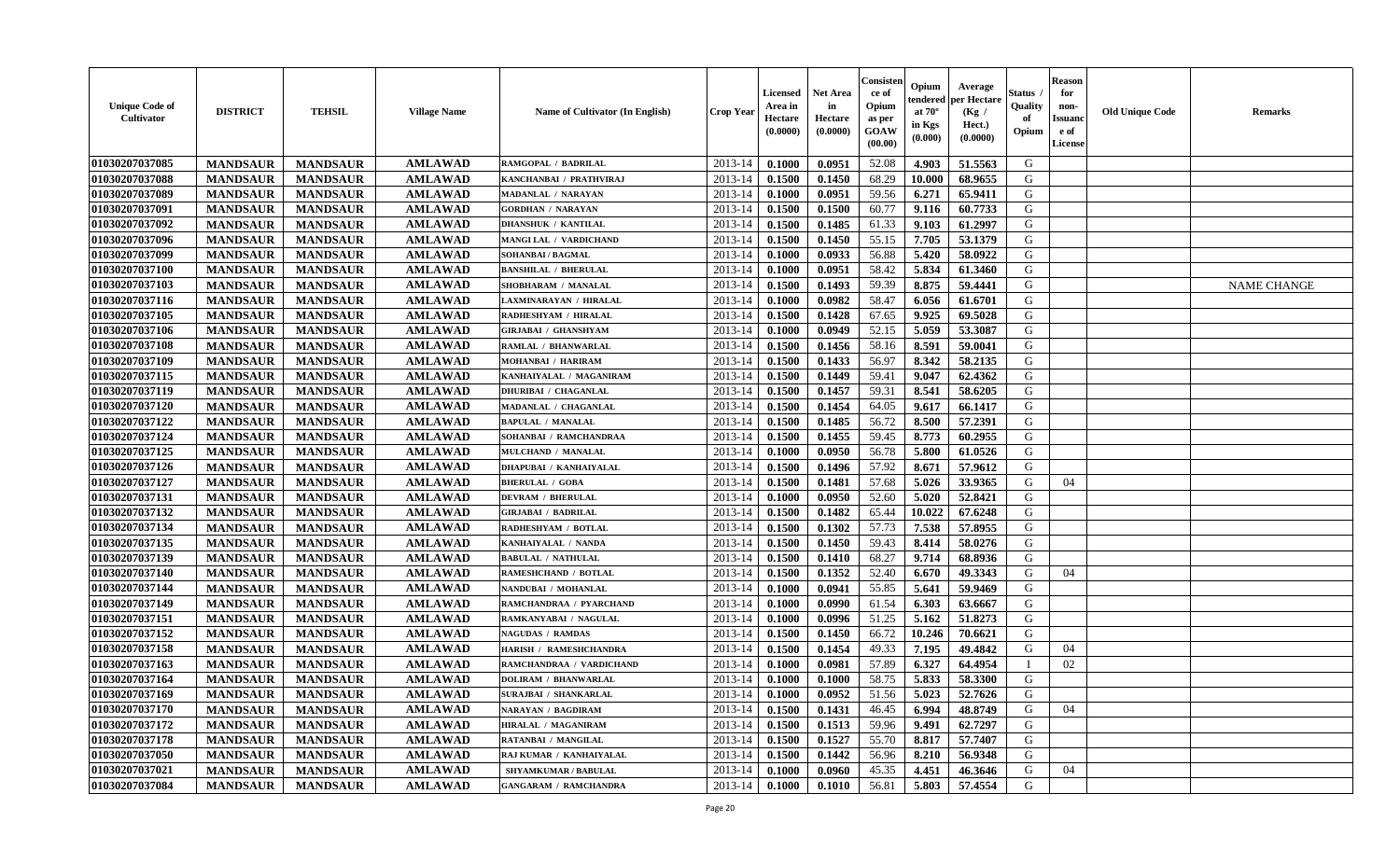| <b>Unique Code of</b><br>Cultivator | <b>DISTRICT</b> | <b>TEHSIL</b>   | <b>Village Name</b> | Name of Cultivator (In English) | <b>Crop Year</b> | <b>Licensed</b><br>Area in<br>Hectare<br>(0.0000) | <b>Net Area</b><br>in<br>Hectare<br>(0.0000) | Consisteı<br>ce of<br>Opium<br>as per<br>GOAW<br>(00.00) | Opium<br>endered<br>at $70^{\circ}$<br>in Kgs<br>(0.000) | Average<br>oer Hectare<br>(Kg /<br>Hect.)<br>(0.0000) | Status<br>Quality<br>of<br>Opium | <b>Reason</b><br>for<br>non-<br><b>Issuand</b><br>e of<br>License | <b>Old Unique Code</b> | <b>Remarks</b>     |
|-------------------------------------|-----------------|-----------------|---------------------|---------------------------------|------------------|---------------------------------------------------|----------------------------------------------|----------------------------------------------------------|----------------------------------------------------------|-------------------------------------------------------|----------------------------------|-------------------------------------------------------------------|------------------------|--------------------|
| 01030207037085                      | <b>MANDSAUR</b> | <b>MANDSAUR</b> | <b>AMLAWAD</b>      | RAMGOPAL / BADRILAL             | 2013-14          | 0.1000                                            | 0.0951                                       | 52.08                                                    | 4.903                                                    | 51.5563                                               | G                                |                                                                   |                        |                    |
| 01030207037088                      | <b>MANDSAUR</b> | <b>MANDSAUR</b> | <b>AMLAWAD</b>      | KANCHANBAI / PRATHVIRAJ         | 2013-14          | 0.1500                                            | 0.1450                                       | 68.29                                                    | 10.000                                                   | 68.9655                                               | G                                |                                                                   |                        |                    |
| 01030207037089                      | <b>MANDSAUR</b> | <b>MANDSAUR</b> | <b>AMLAWAD</b>      | MADANLAL / NARAYAN              | 2013-14          | 0.1000                                            | 0.0951                                       | 59.56                                                    | 6.271                                                    | 65.9411                                               | G                                |                                                                   |                        |                    |
| 01030207037091                      | <b>MANDSAUR</b> | <b>MANDSAUR</b> | <b>AMLAWAD</b>      | <b>GORDHAN / NARAYAN</b>        | 2013-14          | 0.1500                                            | 0.1500                                       | 60.77                                                    | 9.116                                                    | 60.7733                                               | G                                |                                                                   |                        |                    |
| 01030207037092                      | <b>MANDSAUR</b> | <b>MANDSAUR</b> | <b>AMLAWAD</b>      | <b>DHANSHUK / KANTILAL</b>      | 2013-14          | 0.1500                                            | 0.1485                                       | 61.33                                                    | 9.103                                                    | 61.2997                                               | G                                |                                                                   |                        |                    |
| 01030207037096                      | <b>MANDSAUR</b> | <b>MANDSAUR</b> | <b>AMLAWAD</b>      | MANGI LAL / VARDICHAND          | 2013-14          | 0.1500                                            | 0.1450                                       | 55.15                                                    | 7.705                                                    | 53.1379                                               | G                                |                                                                   |                        |                    |
| 01030207037099                      | <b>MANDSAUR</b> | <b>MANDSAUR</b> | <b>AMLAWAD</b>      | SOHANBAI / BAGMAL               | 2013-14          | 0.1000                                            | 0.0933                                       | 56.88                                                    | 5.420                                                    | 58.0922                                               | G                                |                                                                   |                        |                    |
| 01030207037100                      | <b>MANDSAUR</b> | <b>MANDSAUR</b> | <b>AMLAWAD</b>      | <b>BANSHILAL / BHERULAL</b>     | 2013-14          | 0.1000                                            | 0.0951                                       | 58.42                                                    | 5.834                                                    | 61.3460                                               | G                                |                                                                   |                        |                    |
| 01030207037103                      | <b>MANDSAUR</b> | <b>MANDSAUR</b> | <b>AMLAWAD</b>      | SHOBHARAM / MANALAL             | 2013-14          | 0.1500                                            | 0.1493                                       | 59.39                                                    | 8.875                                                    | 59.4441                                               | G                                |                                                                   |                        | <b>NAME CHANGE</b> |
| 01030207037116                      | <b>MANDSAUR</b> | <b>MANDSAUR</b> | <b>AMLAWAD</b>      | LAXMINARAYAN / HIRALAL          | 2013-14          | 0.1000                                            | 0.0982                                       | 58.47                                                    | 6.056                                                    | 61.6701                                               | G                                |                                                                   |                        |                    |
| 01030207037105                      | <b>MANDSAUR</b> | <b>MANDSAUR</b> | <b>AMLAWAD</b>      | RADHESHYAM / HIRALAL            | 2013-14          | 0.1500                                            | 0.1428                                       | 67.65                                                    | 9.925                                                    | 69.5028                                               | G                                |                                                                   |                        |                    |
| 01030207037106                      | <b>MANDSAUR</b> | <b>MANDSAUR</b> | <b>AMLAWAD</b>      | <b>GIRJABAI / GHANSHYAM</b>     | 2013-14          | 0.1000                                            | 0.0949                                       | 52.15                                                    | 5.059                                                    | 53.3087                                               | G                                |                                                                   |                        |                    |
| 01030207037108                      | <b>MANDSAUR</b> | <b>MANDSAUR</b> | <b>AMLAWAD</b>      | RAMLAL / BHANWARLAL             | 2013-14          | 0.1500                                            | 0.1456                                       | 58.16                                                    | 8.591                                                    | 59.0041                                               | G                                |                                                                   |                        |                    |
| 01030207037109                      | <b>MANDSAUR</b> | <b>MANDSAUR</b> | <b>AMLAWAD</b>      | MOHANBAI / HARIRAM              | 2013-14          | 0.1500                                            | 0.1433                                       | 56.97                                                    | 8.342                                                    | 58.2135                                               | G                                |                                                                   |                        |                    |
| 01030207037115                      | <b>MANDSAUR</b> | <b>MANDSAUR</b> | <b>AMLAWAD</b>      | KANHAIYALAL / MAGANIRAM         | 2013-14          | 0.1500                                            | 0.1449                                       | 59.41                                                    | 9.047                                                    | 62.4362                                               | G                                |                                                                   |                        |                    |
| 01030207037119                      | <b>MANDSAUR</b> | <b>MANDSAUR</b> | <b>AMLAWAD</b>      | <b>DHURIBAI / CHAGANLAL</b>     | 2013-14          | 0.1500                                            | 0.1457                                       | 59.31                                                    | 8.541                                                    | 58.6205                                               | G                                |                                                                   |                        |                    |
| 01030207037120                      | <b>MANDSAUR</b> | <b>MANDSAUR</b> | <b>AMLAWAD</b>      | MADANLAL / CHAGANLAL            | 2013-14          | 0.1500                                            | 0.1454                                       | 64.05                                                    | 9.617                                                    | 66.1417                                               | G                                |                                                                   |                        |                    |
| 01030207037122                      | <b>MANDSAUR</b> | <b>MANDSAUR</b> | <b>AMLAWAD</b>      | <b>BAPULAL / MANALAL</b>        | 2013-14          | 0.1500                                            | 0.1485                                       | 56.72                                                    | 8.500                                                    | 57.2391                                               | G                                |                                                                   |                        |                    |
| 01030207037124                      | <b>MANDSAUR</b> | <b>MANDSAUR</b> | <b>AMLAWAD</b>      | SOHANBAI / RAMCHANDRAA          | 2013-14          | 0.1500                                            | 0.1455                                       | 59.45                                                    | 8.773                                                    | 60.2955                                               | G                                |                                                                   |                        |                    |
| 01030207037125                      | <b>MANDSAUR</b> | <b>MANDSAUR</b> | <b>AMLAWAD</b>      | MULCHAND / MANALAL              | 2013-14          | 0.1000                                            | 0.0950                                       | 56.78                                                    | 5.800                                                    | 61.0526                                               | G                                |                                                                   |                        |                    |
| 01030207037126                      | <b>MANDSAUR</b> | <b>MANDSAUR</b> | <b>AMLAWAD</b>      | DHAPUBAI / KANHAIYALAL          | 2013-14          | 0.1500                                            | 0.1496                                       | 57.92                                                    | 8.671                                                    | 57.9612                                               | G                                |                                                                   |                        |                    |
| 01030207037127                      | <b>MANDSAUR</b> | <b>MANDSAUR</b> | <b>AMLAWAD</b>      | <b>BHERULAL / GOBA</b>          | 2013-14          | 0.1500                                            | 0.1481                                       | 57.68                                                    | 5.026                                                    | 33.9365                                               | G                                | 04                                                                |                        |                    |
| 01030207037131                      | <b>MANDSAUR</b> | <b>MANDSAUR</b> | <b>AMLAWAD</b>      | <b>DEVRAM / BHERULAL</b>        | 2013-14          | 0.1000                                            | 0.0950                                       | 52.60                                                    | 5.020                                                    | 52.8421                                               | G                                |                                                                   |                        |                    |
| 01030207037132                      | <b>MANDSAUR</b> | <b>MANDSAUR</b> | <b>AMLAWAD</b>      | <b>GIRJABAI / BADRILAL</b>      | 2013-14          | 0.1500                                            | 0.1482                                       | 65.44                                                    | 10.022                                                   | 67.6248                                               | G                                |                                                                   |                        |                    |
| 01030207037134                      | <b>MANDSAUR</b> | <b>MANDSAUR</b> | <b>AMLAWAD</b>      | RADHESHYAM / BOTLAL             | 2013-14          | 0.1500                                            | 0.1302                                       | 57.73                                                    | 7.538                                                    | 57.8955                                               | G                                |                                                                   |                        |                    |
| 01030207037135                      | <b>MANDSAUR</b> | <b>MANDSAUR</b> | <b>AMLAWAD</b>      | KANHAIYALAL / NANDA             | 2013-14          | 0.1500                                            | 0.1450                                       | 59.43                                                    | 8.414                                                    | 58.0276                                               | G                                |                                                                   |                        |                    |
| 01030207037139                      | <b>MANDSAUR</b> | <b>MANDSAUR</b> | <b>AMLAWAD</b>      | <b>BABULAL / NATHULAL</b>       | 2013-14          | 0.1500                                            | 0.1410                                       | 68.27                                                    | 9.714                                                    | 68.8936                                               | G                                |                                                                   |                        |                    |
| 01030207037140                      | <b>MANDSAUR</b> | <b>MANDSAUR</b> | <b>AMLAWAD</b>      | RAMESHCHAND / BOTLAL            | 2013-14          | 0.1500                                            | 0.1352                                       | 52.40                                                    | 6.670                                                    | 49.3343                                               | G                                | 04                                                                |                        |                    |
| 01030207037144                      | <b>MANDSAUR</b> | <b>MANDSAUR</b> | <b>AMLAWAD</b>      | NANDUBAI / MOHANLAL             | 2013-14          | 0.1000                                            | 0.0941                                       | 55.85                                                    | 5.641                                                    | 59.9469                                               | G                                |                                                                   |                        |                    |
| 01030207037149                      | <b>MANDSAUR</b> | <b>MANDSAUR</b> | <b>AMLAWAD</b>      | RAMCHANDRAA / PYARCHAND         | 2013-14          | 0.1000                                            | 0.0990                                       | 61.54                                                    | 6.303                                                    | 63.6667                                               | G                                |                                                                   |                        |                    |
| 01030207037151                      | <b>MANDSAUR</b> | <b>MANDSAUR</b> | <b>AMLAWAD</b>      | RAMKANYABAI / NAGULAL           | 2013-14          | 0.1000                                            | 0.0996                                       | 51.25                                                    | 5.162                                                    | 51.8273                                               | ${\bf G}$                        |                                                                   |                        |                    |
| 01030207037152                      | <b>MANDSAUR</b> | <b>MANDSAUR</b> | <b>AMLAWAD</b>      | <b>NAGUDAS / RAMDAS</b>         | 2013-14          | 0.1500                                            | 0.1450                                       | 66.72                                                    | 10.246                                                   | 70.6621                                               | G                                |                                                                   |                        |                    |
| 01030207037158                      | <b>MANDSAUR</b> | <b>MANDSAUR</b> | <b>AMLAWAD</b>      | HARISH / RAMESHCHANDRA          | 2013-14          | 0.1500                                            | 0.1454                                       | 49.33                                                    | 7.195                                                    | 49.4842                                               | G                                | 04                                                                |                        |                    |
| 01030207037163                      | <b>MANDSAUR</b> | <b>MANDSAUR</b> | <b>AMLAWAD</b>      | RAMCHANDRAA / VARDICHAND        | 2013-14          | 0.1000                                            | 0.0981                                       | 57.89                                                    | 6.327                                                    | 64.4954                                               | $\mathbf{I}$                     | 02                                                                |                        |                    |
| 01030207037164                      | <b>MANDSAUR</b> | <b>MANDSAUR</b> | <b>AMLAWAD</b>      | <b>DOLIRAM / BHANWARLAL</b>     | 2013-14          | 0.1000                                            | 0.1000                                       | 58.75                                                    | 5.833                                                    | 58.3300                                               | G                                |                                                                   |                        |                    |
| 01030207037169                      | <b>MANDSAUR</b> | <b>MANDSAUR</b> | <b>AMLAWAD</b>      | <b>SURAJBAI / SHANKARLAL</b>    | 2013-14          | 0.1000                                            | 0.0952                                       | 51.56                                                    | 5.023                                                    | 52.7626                                               | G                                |                                                                   |                        |                    |
| 01030207037170                      | <b>MANDSAUR</b> | <b>MANDSAUR</b> | <b>AMLAWAD</b>      | NARAYAN / BAGDIRAM              | 2013-14          | 0.1500                                            | 0.1431                                       | 46.45                                                    | 6.994                                                    | 48.8749                                               | G                                | 04                                                                |                        |                    |
| 01030207037172                      | <b>MANDSAUR</b> | <b>MANDSAUR</b> | <b>AMLAWAD</b>      | <b>HIRALAL / MAGANIRAM</b>      | 2013-14          | 0.1500                                            | 0.1513                                       | 59.96                                                    | 9.491                                                    | 62.7297                                               | G                                |                                                                   |                        |                    |
| 01030207037178                      | <b>MANDSAUR</b> | <b>MANDSAUR</b> | <b>AMLAWAD</b>      | RATANBAI / MANGILAL             | 2013-14          | 0.1500                                            | 0.1527                                       | 55.70                                                    | 8.817                                                    | 57.7407                                               | G                                |                                                                   |                        |                    |
| 01030207037050                      | <b>MANDSAUR</b> | <b>MANDSAUR</b> | <b>AMLAWAD</b>      | RAJ KUMAR / KANHAIYALAL         | 2013-14          | 0.1500                                            | 0.1442                                       | 56.96                                                    | 8.210                                                    | 56.9348                                               | G                                |                                                                   |                        |                    |
| 01030207037021                      | <b>MANDSAUR</b> | <b>MANDSAUR</b> | <b>AMLAWAD</b>      | <b>SHYAMKUMAR / BABULAL</b>     | 2013-14          | 0.1000                                            | 0.0960                                       | 45.35                                                    | 4.451                                                    | 46.3646                                               | G                                | 04                                                                |                        |                    |
| 01030207037084                      | <b>MANDSAUR</b> | <b>MANDSAUR</b> | <b>AMLAWAD</b>      | <b>GANGARAM / RAMCHANDRA</b>    | 2013-14          | 0.1000                                            | 0.1010                                       | 56.81                                                    | 5.803                                                    | 57.4554                                               | G                                |                                                                   |                        |                    |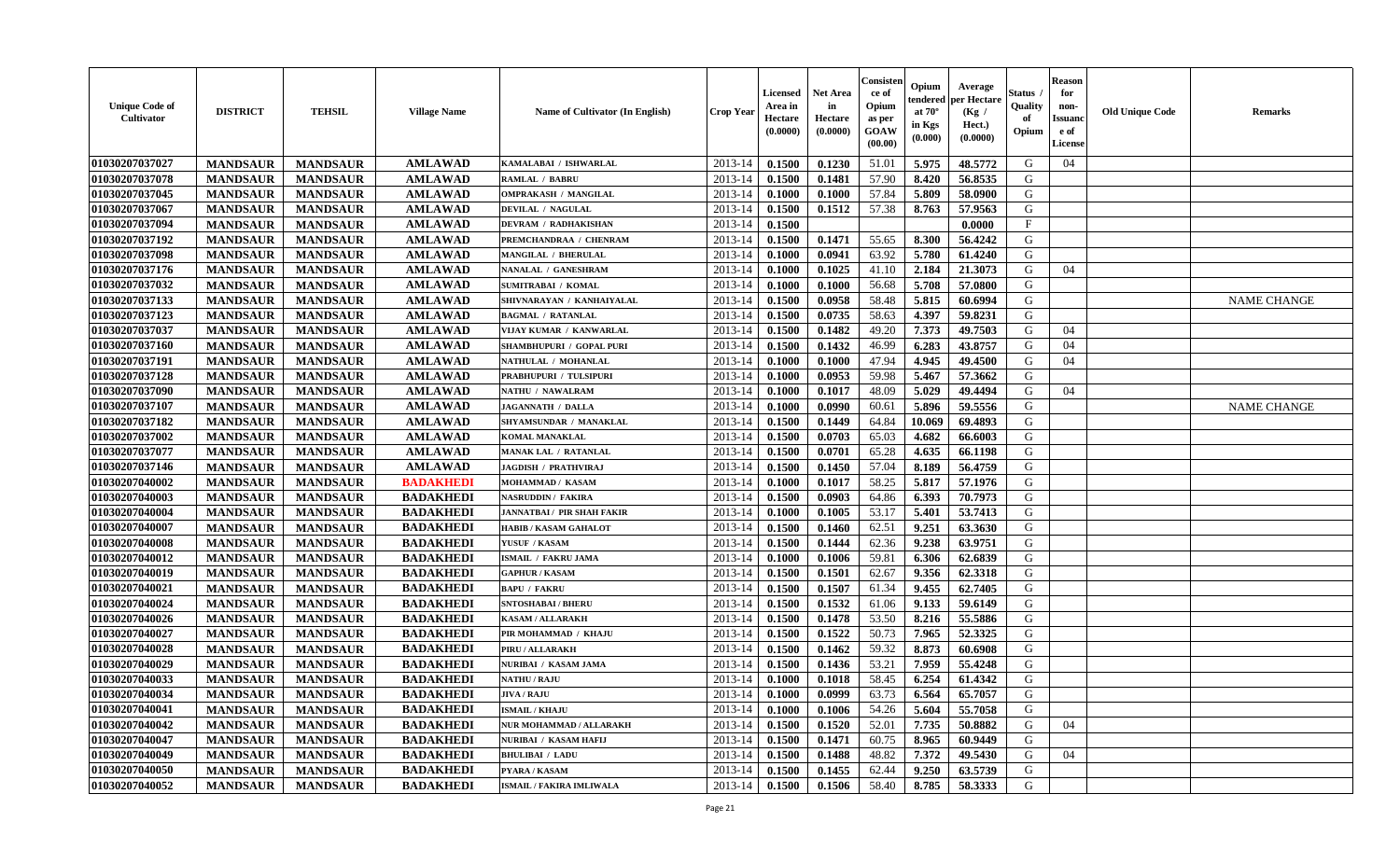| <b>Unique Code of</b><br>Cultivator | <b>DISTRICT</b> | <b>TEHSIL</b>   | <b>Village Name</b> | Name of Cultivator (In English) | <b>Crop Year</b> | <b>Licensed</b><br>Area in<br>Hectare<br>(0.0000) | <b>Net Area</b><br>in<br>Hectare<br>(0.0000) | Consisteı<br>ce of<br>Opium<br>as per<br>GOAW<br>(00.00) | Opium<br>endered<br>at $70^\circ$<br>in Kgs<br>$(\mathbf{0.000})$ | Average<br>oer Hectare<br>(Kg /<br>Hect.)<br>(0.0000) | Status<br>Quality<br>of<br>Opium | Reason<br>for<br>non-<br>Issuan<br>e of<br>License | <b>Old Unique Code</b> | <b>Remarks</b>     |
|-------------------------------------|-----------------|-----------------|---------------------|---------------------------------|------------------|---------------------------------------------------|----------------------------------------------|----------------------------------------------------------|-------------------------------------------------------------------|-------------------------------------------------------|----------------------------------|----------------------------------------------------|------------------------|--------------------|
| 01030207037027                      | <b>MANDSAUR</b> | <b>MANDSAUR</b> | <b>AMLAWAD</b>      | KAMALABAI / ISHWARLAL           | 2013-14          | 0.1500                                            | 0.1230                                       | 51.01                                                    | 5.975                                                             | 48.5772                                               | G                                | 04                                                 |                        |                    |
| 01030207037078                      | <b>MANDSAUR</b> | <b>MANDSAUR</b> | <b>AMLAWAD</b>      | <b>RAMLAL / BABRU</b>           | 2013-14          | 0.1500                                            | 0.1481                                       | 57.90                                                    | 8.420                                                             | 56.8535                                               | G                                |                                                    |                        |                    |
| 01030207037045                      | <b>MANDSAUR</b> | <b>MANDSAUR</b> | <b>AMLAWAD</b>      | <b>OMPRAKASH / MANGILAL</b>     | 2013-14          | 0.1000                                            | 0.1000                                       | 57.84                                                    | 5.809                                                             | 58.0900                                               | G                                |                                                    |                        |                    |
| 01030207037067                      | <b>MANDSAUR</b> | <b>MANDSAUR</b> | <b>AMLAWAD</b>      | DEVILAL / NAGULAL               | 2013-14          | 0.1500                                            | 0.1512                                       | 57.38                                                    | 8.763                                                             | 57.9563                                               | G                                |                                                    |                        |                    |
| 01030207037094                      | <b>MANDSAUR</b> | <b>MANDSAUR</b> | <b>AMLAWAD</b>      | <b>DEVRAM / RADHAKISHAN</b>     | 2013-14          | 0.1500                                            |                                              |                                                          |                                                                   | 0.0000                                                | $\mathbf{F}$                     |                                                    |                        |                    |
| 01030207037192                      | <b>MANDSAUR</b> | <b>MANDSAUR</b> | <b>AMLAWAD</b>      | PREMCHANDRAA / CHENRAM          | 2013-14          | 0.1500                                            | 0.1471                                       | 55.65                                                    | 8.300                                                             | 56.4242                                               | G                                |                                                    |                        |                    |
| 01030207037098                      | <b>MANDSAUR</b> | <b>MANDSAUR</b> | <b>AMLAWAD</b>      | <b>MANGILAL / BHERULAL</b>      | 2013-14          | 0.1000                                            | 0.0941                                       | 63.92                                                    | 5.780                                                             | 61.4240                                               | G                                |                                                    |                        |                    |
| 01030207037176                      | <b>MANDSAUR</b> | <b>MANDSAUR</b> | <b>AMLAWAD</b>      | NANALAL / GANESHRAM             | 2013-14          | 0.1000                                            | 0.1025                                       | 41.10                                                    | 2.184                                                             | 21.3073                                               | G                                | 04                                                 |                        |                    |
| 01030207037032                      | <b>MANDSAUR</b> | <b>MANDSAUR</b> | <b>AMLAWAD</b>      | <b>SUMITRABAI / KOMAL</b>       | 2013-14          | 0.1000                                            | 0.1000                                       | 56.68                                                    | 5.708                                                             | 57.0800                                               | G                                |                                                    |                        |                    |
| 01030207037133                      | <b>MANDSAUR</b> | <b>MANDSAUR</b> | <b>AMLAWAD</b>      | SHIVNARAYAN / KANHAIYALAL       | 2013-14          | 0.1500                                            | 0.0958                                       | 58.48                                                    | 5.815                                                             | 60.6994                                               | G                                |                                                    |                        | <b>NAME CHANGE</b> |
| 01030207037123                      | <b>MANDSAUR</b> | <b>MANDSAUR</b> | <b>AMLAWAD</b>      | <b>BAGMAL / RATANLAL</b>        | 2013-14          | 0.1500                                            | 0.0735                                       | 58.63                                                    | 4.397                                                             | 59.8231                                               | G                                |                                                    |                        |                    |
| 01030207037037                      | <b>MANDSAUR</b> | <b>MANDSAUR</b> | <b>AMLAWAD</b>      | VIJAY KUMAR / KANWARLAL         | 2013-14          | 0.1500                                            | 0.1482                                       | 49.20                                                    | 7.373                                                             | 49.7503                                               | G                                | 04                                                 |                        |                    |
| 01030207037160                      | <b>MANDSAUR</b> | <b>MANDSAUR</b> | <b>AMLAWAD</b>      | SHAMBHUPURI / GOPAL PURI        | 2013-14          | 0.1500                                            | 0.1432                                       | 46.99                                                    | 6.283                                                             | 43.8757                                               | G                                | 04                                                 |                        |                    |
| 01030207037191                      | <b>MANDSAUR</b> | <b>MANDSAUR</b> | <b>AMLAWAD</b>      | NATHULAL / MOHANLAL             | 2013-14          | 0.1000                                            | 0.1000                                       | 47.94                                                    | 4.945                                                             | 49.4500                                               | G                                | 04                                                 |                        |                    |
| 01030207037128                      | <b>MANDSAUR</b> | <b>MANDSAUR</b> | <b>AMLAWAD</b>      | PRABHUPURI / TULSIPURI          | 2013-14          | 0.1000                                            | 0.0953                                       | 59.98                                                    | 5.467                                                             | 57.3662                                               | G                                |                                                    |                        |                    |
| 01030207037090                      | <b>MANDSAUR</b> | <b>MANDSAUR</b> | <b>AMLAWAD</b>      | NATHU / NAWALRAM                | 2013-14          | 0.1000                                            | 0.1017                                       | 48.09                                                    | 5.029                                                             | 49.4494                                               | G                                | 04                                                 |                        |                    |
| 01030207037107                      | <b>MANDSAUR</b> | <b>MANDSAUR</b> | <b>AMLAWAD</b>      | JAGANNATH / DALLA               | 2013-14          | 0.1000                                            | 0.0990                                       | 60.61                                                    | 5.896                                                             | 59.5556                                               | G                                |                                                    |                        | <b>NAME CHANGE</b> |
| 01030207037182                      | <b>MANDSAUR</b> | <b>MANDSAUR</b> | <b>AMLAWAD</b>      | SHYAMSUNDAR / MANAKLAL          | 2013-14          | 0.1500                                            | 0.1449                                       | 64.84                                                    | 10.069                                                            | 69.4893                                               | G                                |                                                    |                        |                    |
| 01030207037002                      | <b>MANDSAUR</b> | <b>MANDSAUR</b> | <b>AMLAWAD</b>      | <b>KOMAL MANAKLAL</b>           | 2013-14          | 0.1500                                            | 0.0703                                       | 65.03                                                    | 4.682                                                             | 66.6003                                               | G                                |                                                    |                        |                    |
| 01030207037077                      | <b>MANDSAUR</b> | <b>MANDSAUR</b> | <b>AMLAWAD</b>      | MANAK LAL / RATANLAL            | 2013-14          | 0.1500                                            | 0.0701                                       | 65.28                                                    | 4.635                                                             | 66.1198                                               | G                                |                                                    |                        |                    |
| 01030207037146                      | <b>MANDSAUR</b> | <b>MANDSAUR</b> | <b>AMLAWAD</b>      | <b>JAGDISH / PRATHVIRAJ</b>     | 2013-14          | 0.1500                                            | 0.1450                                       | 57.04                                                    | 8.189                                                             | 56.4759                                               | G                                |                                                    |                        |                    |
| 01030207040002                      | <b>MANDSAUR</b> | <b>MANDSAUR</b> | <b>BADAKHEDI</b>    | MOHAMMAD / KASAM                | 2013-14          | 0.1000                                            | 0.1017                                       | 58.25                                                    | 5.817                                                             | 57.1976                                               | G                                |                                                    |                        |                    |
| 01030207040003                      | <b>MANDSAUR</b> | <b>MANDSAUR</b> | <b>BADAKHEDI</b>    | NASRUDDIN / FAKIRA              | 2013-14          | 0.1500                                            | 0.0903                                       | 64.86                                                    | 6.393                                                             | 70.7973                                               | G                                |                                                    |                        |                    |
| 01030207040004                      | <b>MANDSAUR</b> | <b>MANDSAUR</b> | <b>BADAKHEDI</b>    | JANNATBAI / PIR SHAH FAKIR      | 2013-14          | 0.1000                                            | 0.1005                                       | 53.17                                                    | 5.401                                                             | 53.7413                                               | G                                |                                                    |                        |                    |
| 01030207040007                      | <b>MANDSAUR</b> | <b>MANDSAUR</b> | <b>BADAKHEDI</b>    | <b>HABIB / KASAM GAHALOT</b>    | 2013-14          | 0.1500                                            | 0.1460                                       | 62.51                                                    | 9.251                                                             | 63.3630                                               | G                                |                                                    |                        |                    |
| 01030207040008                      | <b>MANDSAUR</b> | <b>MANDSAUR</b> | <b>BADAKHEDI</b>    | YUSUF / KASAM                   | 2013-14          | 0.1500                                            | 0.1444                                       | 62.36                                                    | 9.238                                                             | 63.9751                                               | G                                |                                                    |                        |                    |
| 01030207040012                      | <b>MANDSAUR</b> | <b>MANDSAUR</b> | <b>BADAKHEDI</b>    | <b>ISMAIL / FAKRU JAMA</b>      | 2013-14          | 0.1000                                            | 0.1006                                       | 59.81                                                    | 6.306                                                             | 62.6839                                               | G                                |                                                    |                        |                    |
| 01030207040019                      | <b>MANDSAUR</b> | <b>MANDSAUR</b> | <b>BADAKHEDI</b>    | <b>GAPHUR / KASAM</b>           | 2013-14          | 0.1500                                            | 0.1501                                       | 62.67                                                    | 9.356                                                             | 62.3318                                               | G                                |                                                    |                        |                    |
| 01030207040021                      | <b>MANDSAUR</b> | <b>MANDSAUR</b> | <b>BADAKHEDI</b>    | <b>BAPU / FAKRU</b>             | 2013-14          | 0.1500                                            | 0.1507                                       | 61.34                                                    | 9.455                                                             | 62.7405                                               | G                                |                                                    |                        |                    |
| 01030207040024                      | <b>MANDSAUR</b> | <b>MANDSAUR</b> | <b>BADAKHEDI</b>    | <b>SNTOSHABAI / BHERU</b>       | 2013-14          | 0.1500                                            | 0.1532                                       | 61.06                                                    | 9.133                                                             | 59.6149                                               | G                                |                                                    |                        |                    |
| 01030207040026                      | <b>MANDSAUR</b> | <b>MANDSAUR</b> | <b>BADAKHEDI</b>    | <b>KASAM / ALLARAKH</b>         | 2013-14          | 0.1500                                            | 0.1478                                       | 53.50                                                    | 8.216                                                             | 55.5886                                               | G                                |                                                    |                        |                    |
| 01030207040027                      | <b>MANDSAUR</b> | <b>MANDSAUR</b> | <b>BADAKHEDI</b>    | PIR MOHAMMAD / KHAJU            | 2013-14          | 0.1500                                            | 0.1522                                       | 50.73                                                    | 7.965                                                             | 52.3325                                               | G                                |                                                    |                        |                    |
| 01030207040028                      | <b>MANDSAUR</b> | <b>MANDSAUR</b> | <b>BADAKHEDI</b>    | PIRU / ALLARAKH                 | 2013-14          | 0.1500                                            | 0.1462                                       | 59.32                                                    | 8.873                                                             | 60.6908                                               | G                                |                                                    |                        |                    |
| 01030207040029                      | <b>MANDSAUR</b> | <b>MANDSAUR</b> | <b>BADAKHEDI</b>    | NURIBAI / KASAM JAMA            | 2013-14          | 0.1500                                            | 0.1436                                       | 53.21                                                    | 7.959                                                             | 55.4248                                               | G                                |                                                    |                        |                    |
| 01030207040033                      | <b>MANDSAUR</b> | <b>MANDSAUR</b> | <b>BADAKHEDI</b>    | <b>NATHU / RAJU</b>             | 2013-14          | 0.1000                                            | 0.1018                                       | 58.45                                                    | 6.254                                                             | 61.4342                                               | G                                |                                                    |                        |                    |
| 01030207040034                      | <b>MANDSAUR</b> | MANDSAUR        | <b>BADAKHEDI</b>    | <b>JIVA / RAJU</b>              |                  | $2013-14$ 0.1000                                  | 0.0999                                       | 63.73                                                    | 6.564                                                             | 65.7057                                               | G                                |                                                    |                        |                    |
| 01030207040041                      | <b>MANDSAUR</b> | <b>MANDSAUR</b> | <b>BADAKHEDI</b>    | <b>ISMAIL / KHAJU</b>           | 2013-14          | 0.1000                                            | 0.1006                                       | 54.26                                                    | 5.604                                                             | 55.7058                                               | G                                |                                                    |                        |                    |
| 01030207040042                      | <b>MANDSAUR</b> | <b>MANDSAUR</b> | <b>BADAKHEDI</b>    | NUR MOHAMMAD / ALLARAKH         | 2013-14          | 0.1500                                            | 0.1520                                       | 52.01                                                    | 7.735                                                             | 50.8882                                               | G                                | 04                                                 |                        |                    |
| 01030207040047                      | <b>MANDSAUR</b> | <b>MANDSAUR</b> | <b>BADAKHEDI</b>    | NURIBAI / KASAM HAFIJ           | 2013-14          | 0.1500                                            | 0.1471                                       | 60.75                                                    | 8.965                                                             | 60.9449                                               | G                                |                                                    |                        |                    |
| 01030207040049                      | <b>MANDSAUR</b> | <b>MANDSAUR</b> | <b>BADAKHEDI</b>    | <b>BHULIBAI / LADU</b>          | 2013-14          | 0.1500                                            | 0.1488                                       | 48.82                                                    | 7.372                                                             | 49.5430                                               | G                                | 04                                                 |                        |                    |
| 01030207040050                      | <b>MANDSAUR</b> | <b>MANDSAUR</b> | <b>BADAKHEDI</b>    | PYARA / KASAM                   | 2013-14          | 0.1500                                            | 0.1455                                       | 62.44                                                    | 9.250                                                             | 63.5739                                               | G                                |                                                    |                        |                    |
| 01030207040052                      | <b>MANDSAUR</b> | <b>MANDSAUR</b> | <b>BADAKHEDI</b>    | <b>ISMAIL / FAKIRA IMLIWALA</b> | $2013 - 14$      | 0.1500                                            | 0.1506                                       | 58.40                                                    | 8.785                                                             | 58.3333                                               | G                                |                                                    |                        |                    |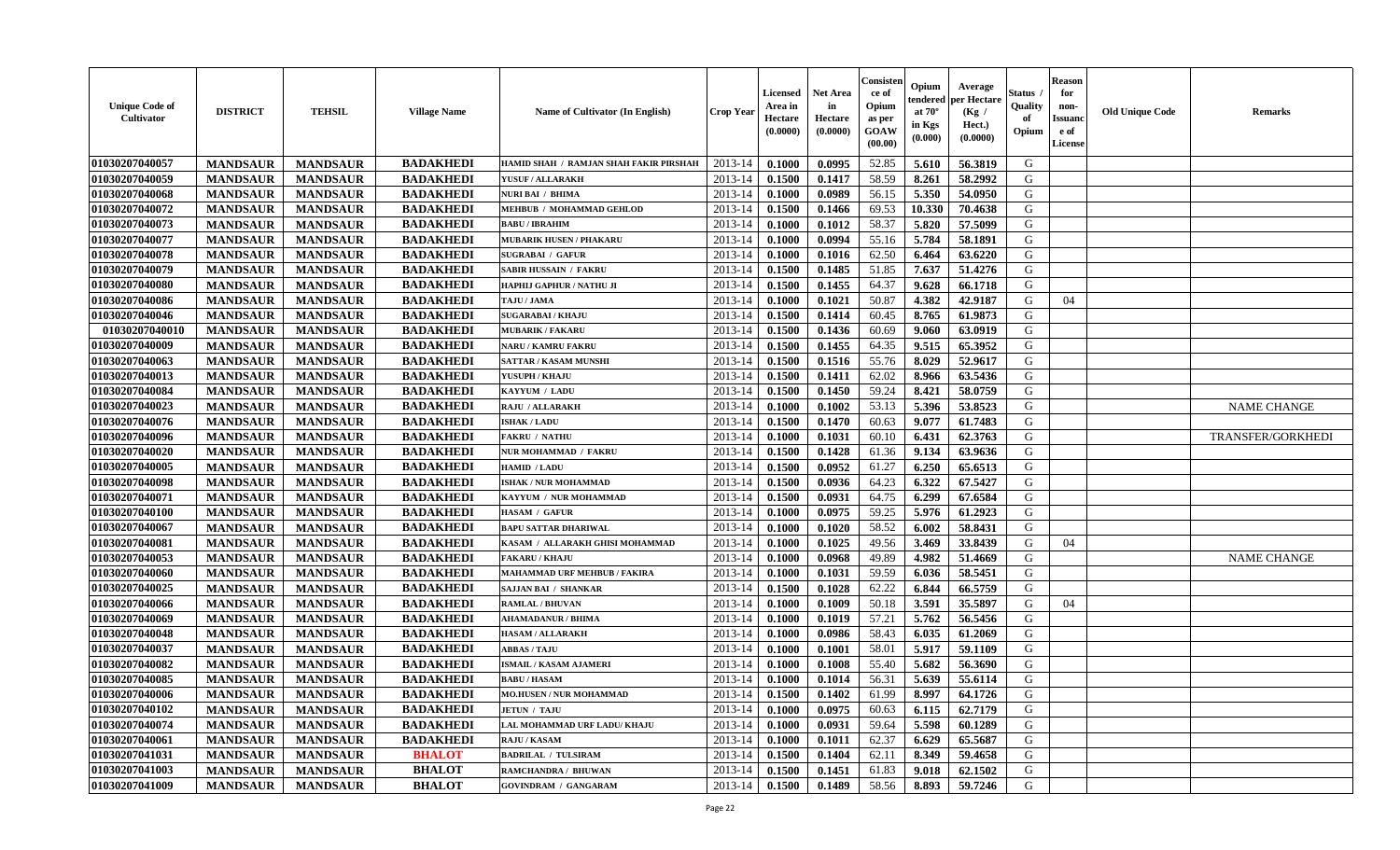| <b>Unique Code of</b><br>Cultivator | <b>DISTRICT</b> | <b>TEHSIL</b>   | <b>Village Name</b> | <b>Name of Cultivator (In English)</b> | <b>Crop Year</b> | Licensed<br>Area in<br>Hectare<br>(0.0000) | <b>Net Area</b><br>in<br>Hectare<br>(0.0000) | Consister<br>ce of<br>Opium<br>as per<br>GOAW<br>(00.00) | Opium<br>endered<br>at $70^{\circ}$<br>in Kgs<br>$(\mathbf{0.000})$ | Average<br>per Hectare<br>(Kg /<br>Hect.)<br>(0.0000) | <b>Status</b> .<br>Quality<br>of<br>Opium | <b>Reason</b><br>for<br>non-<br><b>Issuand</b><br>e of<br>License | <b>Old Unique Code</b> | <b>Remarks</b>     |
|-------------------------------------|-----------------|-----------------|---------------------|----------------------------------------|------------------|--------------------------------------------|----------------------------------------------|----------------------------------------------------------|---------------------------------------------------------------------|-------------------------------------------------------|-------------------------------------------|-------------------------------------------------------------------|------------------------|--------------------|
| 01030207040057                      | <b>MANDSAUR</b> | <b>MANDSAUR</b> | <b>BADAKHEDI</b>    | HAMID SHAH / RAMJAN SHAH FAKIR PIRSHAH | 2013-14          | 0.1000                                     | 0.0995                                       | 52.85                                                    | 5.610                                                               | 56.3819                                               | G                                         |                                                                   |                        |                    |
| 01030207040059                      | <b>MANDSAUR</b> | <b>MANDSAUR</b> | <b>BADAKHEDI</b>    | YUSUF / ALLARAKH                       | 2013-14          | 0.1500                                     | 0.1417                                       | 58.59                                                    | 8.261                                                               | 58.2992                                               | G                                         |                                                                   |                        |                    |
| 01030207040068                      | <b>MANDSAUR</b> | <b>MANDSAUR</b> | <b>BADAKHEDI</b>    | <b>NURI BAI / BHIMA</b>                | 2013-14          | 0.1000                                     | 0.0989                                       | 56.15                                                    | 5.350                                                               | 54.0950                                               | G                                         |                                                                   |                        |                    |
| 01030207040072                      | <b>MANDSAUR</b> | <b>MANDSAUR</b> | <b>BADAKHEDI</b>    | MEHBUB / MOHAMMAD GEHLOD               | 2013-14          | 0.1500                                     | 0.1466                                       | 69.53                                                    | 10.330                                                              | 70.4638                                               | G                                         |                                                                   |                        |                    |
| 01030207040073                      | <b>MANDSAUR</b> | <b>MANDSAUR</b> | <b>BADAKHEDI</b>    | <b>BABU / IBRAHIM</b>                  | 2013-14          | 0.1000                                     | 0.1012                                       | 58.37                                                    | 5.820                                                               | 57.5099                                               | G                                         |                                                                   |                        |                    |
| 01030207040077                      | <b>MANDSAUR</b> | <b>MANDSAUR</b> | <b>BADAKHEDI</b>    | <b>MUBARIK HUSEN / PHAKARU</b>         | 2013-14          | 0.1000                                     | 0.0994                                       | 55.16                                                    | 5.784                                                               | 58.1891                                               | G                                         |                                                                   |                        |                    |
| 01030207040078                      | <b>MANDSAUR</b> | <b>MANDSAUR</b> | <b>BADAKHEDI</b>    | <b>SUGRABAI / GAFUR</b>                | 2013-14          | 0.1000                                     | 0.1016                                       | 62.50                                                    | 6.464                                                               | 63.6220                                               | G                                         |                                                                   |                        |                    |
| 01030207040079                      | <b>MANDSAUR</b> | <b>MANDSAUR</b> | <b>BADAKHEDI</b>    | <b>SABIR HUSSAIN / FAKRU</b>           | 2013-14          | 0.1500                                     | 0.1485                                       | 51.85                                                    | 7.637                                                               | 51.4276                                               | G                                         |                                                                   |                        |                    |
| 01030207040080                      | <b>MANDSAUR</b> | <b>MANDSAUR</b> | <b>BADAKHEDI</b>    | HAPHIJ GAPHUR / NATHU JI               | 2013-14          | 0.1500                                     | 0.1455                                       | 64.37                                                    | 9.628                                                               | 66.1718                                               | G                                         |                                                                   |                        |                    |
| 01030207040086                      | <b>MANDSAUR</b> | <b>MANDSAUR</b> | <b>BADAKHEDI</b>    | TAJU / JAMA                            | 2013-14          | 0.1000                                     | 0.1021                                       | 50.87                                                    | 4.382                                                               | 42.9187                                               | G                                         | 04                                                                |                        |                    |
| 01030207040046                      | <b>MANDSAUR</b> | <b>MANDSAUR</b> | <b>BADAKHEDI</b>    | <b>SUGARABAI/KHAJU</b>                 | 2013-14          | 0.1500                                     | 0.1414                                       | 60.45                                                    | 8.765                                                               | 61.9873                                               | G                                         |                                                                   |                        |                    |
| 01030207040010                      | <b>MANDSAUR</b> | <b>MANDSAUR</b> | <b>BADAKHEDI</b>    | <b>MUBARIK / FAKARU</b>                | 2013-14          | 0.1500                                     | 0.1436                                       | 60.69                                                    | 9.060                                                               | 63.0919                                               | G                                         |                                                                   |                        |                    |
| 01030207040009                      | <b>MANDSAUR</b> | <b>MANDSAUR</b> | <b>BADAKHEDI</b>    | NARU / KAMRU FAKRU                     | 2013-14          | 0.1500                                     | 0.1455                                       | 64.35                                                    | 9.515                                                               | 65.3952                                               | G                                         |                                                                   |                        |                    |
| 01030207040063                      | <b>MANDSAUR</b> | <b>MANDSAUR</b> | <b>BADAKHEDI</b>    | SATTAR / KASAM MUNSHI                  | 2013-14          | 0.1500                                     | 0.1516                                       | 55.76                                                    | 8.029                                                               | 52.9617                                               | G                                         |                                                                   |                        |                    |
| 01030207040013                      | <b>MANDSAUR</b> | <b>MANDSAUR</b> | <b>BADAKHEDI</b>    | YUSUPH / KHAJU                         | 2013-14          | 0.1500                                     | 0.1411                                       | 62.02                                                    | 8.966                                                               | 63.5436                                               | ${\bf G}$                                 |                                                                   |                        |                    |
| 01030207040084                      | <b>MANDSAUR</b> | <b>MANDSAUR</b> | <b>BADAKHEDI</b>    | KAYYUM / LADU                          | 2013-14          | 0.1500                                     | 0.1450                                       | 59.24                                                    | 8.421                                                               | 58.0759                                               | G                                         |                                                                   |                        |                    |
| 01030207040023                      | <b>MANDSAUR</b> | <b>MANDSAUR</b> | <b>BADAKHEDI</b>    | <b>RAJU / ALLARAKH</b>                 | 2013-14          | 0.1000                                     | 0.1002                                       | 53.13                                                    | 5.396                                                               | 53.8523                                               | G                                         |                                                                   |                        | <b>NAME CHANGE</b> |
| 01030207040076                      | <b>MANDSAUR</b> | <b>MANDSAUR</b> | <b>BADAKHEDI</b>    | <b>ISHAK / LADU</b>                    | 2013-14          | 0.1500                                     | 0.1470                                       | 60.63                                                    | 9.077                                                               | 61.7483                                               | G                                         |                                                                   |                        |                    |
| 01030207040096                      | <b>MANDSAUR</b> | <b>MANDSAUR</b> | <b>BADAKHEDI</b>    | <b>FAKRU / NATHU</b>                   | 2013-14          | 0.1000                                     | 0.1031                                       | 60.10                                                    | 6.431                                                               | 62.3763                                               | G                                         |                                                                   |                        | TRANSFER/GORKHEDI  |
| 01030207040020                      | <b>MANDSAUR</b> | <b>MANDSAUR</b> | <b>BADAKHEDI</b>    | NUR MOHAMMAD / FAKRU                   | 2013-14          | 0.1500                                     | 0.1428                                       | 61.36                                                    | 9.134                                                               | 63.9636                                               | G                                         |                                                                   |                        |                    |
| 01030207040005                      | <b>MANDSAUR</b> | <b>MANDSAUR</b> | <b>BADAKHEDI</b>    | HAMID / LADU                           | 2013-14          | 0.1500                                     | 0.0952                                       | 61.27                                                    | 6.250                                                               | 65.6513                                               | G                                         |                                                                   |                        |                    |
| 01030207040098                      | <b>MANDSAUR</b> | <b>MANDSAUR</b> | <b>BADAKHEDI</b>    | <b>ISHAK / NUR MOHAMMAD</b>            | 2013-14          | 0.1500                                     | 0.0936                                       | 64.23                                                    | 6.322                                                               | 67.5427                                               | G                                         |                                                                   |                        |                    |
| 01030207040071                      | <b>MANDSAUR</b> | <b>MANDSAUR</b> | <b>BADAKHEDI</b>    | KAYYUM / NUR MOHAMMAD                  | 2013-14          | 0.1500                                     | 0.0931                                       | 64.75                                                    | 6.299                                                               | 67.6584                                               | ${\bf G}$                                 |                                                                   |                        |                    |
| 01030207040100                      | <b>MANDSAUR</b> | <b>MANDSAUR</b> | <b>BADAKHEDI</b>    | HASAM / GAFUR                          | 2013-14          | 0.1000                                     | 0.0975                                       | 59.25                                                    | 5.976                                                               | 61.2923                                               | ${\bf G}$                                 |                                                                   |                        |                    |
| 01030207040067                      | <b>MANDSAUR</b> | <b>MANDSAUR</b> | <b>BADAKHEDI</b>    | <b>BAPU SATTAR DHARIWAL</b>            | 2013-14          | 0.1000                                     | 0.1020                                       | 58.52                                                    | 6.002                                                               | 58.8431                                               | G                                         |                                                                   |                        |                    |
| 01030207040081                      | <b>MANDSAUR</b> | <b>MANDSAUR</b> | <b>BADAKHEDI</b>    | KASAM / ALLARAKH GHISI MOHAMMAD        | 2013-14          | 0.1000                                     | 0.1025                                       | 49.56                                                    | 3.469                                                               | 33.8439                                               | G                                         | 04                                                                |                        |                    |
| 01030207040053                      | <b>MANDSAUR</b> | <b>MANDSAUR</b> | <b>BADAKHEDI</b>    | <b>FAKARU / KHAJU</b>                  | 2013-14          | 0.1000                                     | 0.0968                                       | 49.89                                                    | 4.982                                                               | 51.4669                                               | G                                         |                                                                   |                        | <b>NAME CHANGE</b> |
| 01030207040060                      | <b>MANDSAUR</b> | <b>MANDSAUR</b> | <b>BADAKHEDI</b>    | <b>MAHAMMAD URF MEHBUB / FAKIRA</b>    | 2013-14          | 0.1000                                     | 0.1031                                       | 59.59                                                    | 6.036                                                               | 58.5451                                               | G                                         |                                                                   |                        |                    |
| 01030207040025                      | <b>MANDSAUR</b> | <b>MANDSAUR</b> | <b>BADAKHEDI</b>    | <b>SAJJAN BAI / SHANKAR</b>            | 2013-14          | 0.1500                                     | 0.1028                                       | 62.22                                                    | 6.844                                                               | 66.5759                                               | G                                         |                                                                   |                        |                    |
| 01030207040066                      | <b>MANDSAUR</b> | <b>MANDSAUR</b> | <b>BADAKHEDI</b>    | <b>RAMLAL / BHUVAN</b>                 | 2013-14          | 0.1000                                     | 0.1009                                       | 50.18                                                    | 3.591                                                               | 35.5897                                               | G                                         | 04                                                                |                        |                    |
| 01030207040069                      | <b>MANDSAUR</b> | <b>MANDSAUR</b> | <b>BADAKHEDI</b>    | <b>AHAMADANUR / BHIMA</b>              | 2013-14          | 0.1000                                     | 0.1019                                       | 57.21                                                    | 5.762                                                               | 56.5456                                               | G                                         |                                                                   |                        |                    |
| 01030207040048                      | <b>MANDSAUR</b> | <b>MANDSAUR</b> | <b>BADAKHEDI</b>    | <b>HASAM / ALLARAKH</b>                | 2013-14          | 0.1000                                     | 0.0986                                       | 58.43                                                    | 6.035                                                               | 61.2069                                               | G                                         |                                                                   |                        |                    |
| 01030207040037                      | <b>MANDSAUR</b> | <b>MANDSAUR</b> | <b>BADAKHEDI</b>    | <b>ABBAS / TAJU</b>                    | 2013-14          | 0.1000                                     | 0.1001                                       | 58.01                                                    | 5.917                                                               | 59.1109                                               | G                                         |                                                                   |                        |                    |
| 01030207040082                      | <b>MANDSAUR</b> | <b>MANDSAUR</b> | <b>BADAKHEDI</b>    | <b>ISMAIL / KASAM AJAMERI</b>          | 2013-14          | 0.1000                                     | 0.1008                                       | 55.40                                                    | 5.682                                                               | 56.3690                                               | G                                         |                                                                   |                        |                    |
| 01030207040085                      | <b>MANDSAUR</b> | <b>MANDSAUR</b> | <b>BADAKHEDI</b>    | <b>BABU/HASAM</b>                      | 2013-14          | 0.1000                                     | 0.1014                                       | 56.31                                                    | 5.639                                                               | 55.6114                                               | ${\bf G}$                                 |                                                                   |                        |                    |
| 01030207040006                      | <b>MANDSAUR</b> | <b>MANDSAUR</b> | <b>BADAKHEDI</b>    | <b>MO.HUSEN / NUR MOHAMMAD</b>         | 2013-14          | 0.1500                                     | 0.1402                                       | 61.99                                                    | 8.997                                                               | 64.1726                                               | G                                         |                                                                   |                        |                    |
| 01030207040102                      | <b>MANDSAUR</b> | <b>MANDSAUR</b> | <b>BADAKHEDI</b>    | <b>JETUN / TAJU</b>                    | 2013-14          | 0.1000                                     | 0.0975                                       | 60.63                                                    | 6.115                                                               | 62.7179                                               | G                                         |                                                                   |                        |                    |
| 01030207040074                      | <b>MANDSAUR</b> | <b>MANDSAUR</b> | <b>BADAKHEDI</b>    | LAL MOHAMMAD URF LADU/ KHAJU           | 2013-14          | 0.1000                                     | 0.0931                                       | 59.64                                                    | 5.598                                                               | 60.1289                                               | G                                         |                                                                   |                        |                    |
| 01030207040061                      | <b>MANDSAUR</b> | <b>MANDSAUR</b> | <b>BADAKHEDI</b>    | RAJU / KASAM                           | 2013-14          | 0.1000                                     | 0.1011                                       | 62.37                                                    | 6.629                                                               | 65.5687                                               | G                                         |                                                                   |                        |                    |
| 01030207041031                      | <b>MANDSAUR</b> | <b>MANDSAUR</b> | <b>BHALOT</b>       | <b>BADRILAL / TULSIRAM</b>             | 2013-14          | 0.1500                                     | 0.1404                                       | 62.11                                                    | 8.349                                                               | 59.4658                                               | ${\bf G}$                                 |                                                                   |                        |                    |
| 01030207041003                      | <b>MANDSAUR</b> | <b>MANDSAUR</b> | <b>BHALOT</b>       | RAMCHANDRA / BHUWAN                    | 2013-14          | 0.1500                                     | 0.1451                                       | 61.83                                                    | 9.018                                                               | 62.1502                                               | G                                         |                                                                   |                        |                    |
| 01030207041009                      | <b>MANDSAUR</b> | <b>MANDSAUR</b> | <b>BHALOT</b>       | <b>GOVINDRAM / GANGARAM</b>            | 2013-14          | 0.1500                                     | 0.1489                                       | 58.56                                                    | 8.893                                                               | 59.7246                                               | G                                         |                                                                   |                        |                    |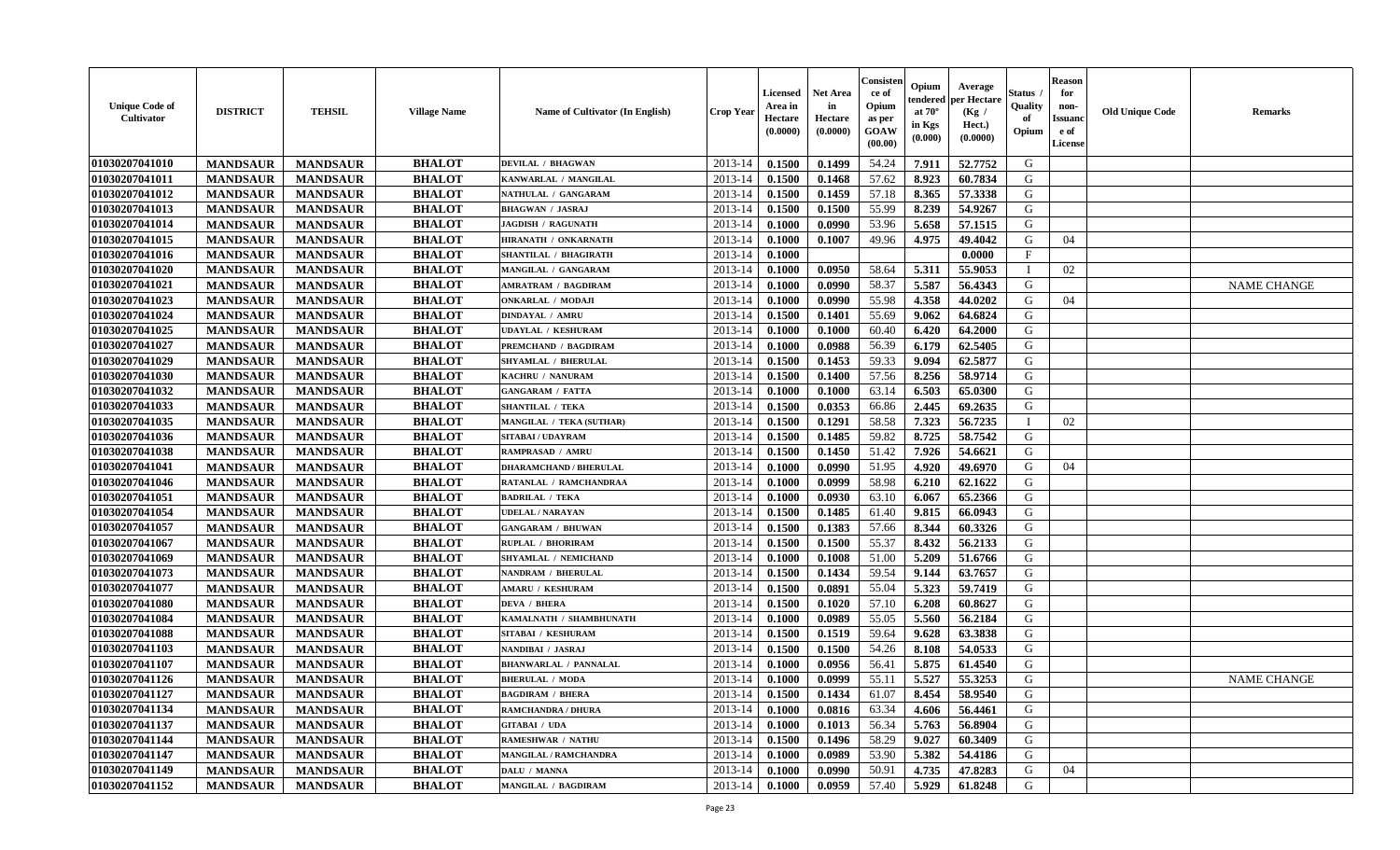| <b>Unique Code of</b><br><b>Cultivator</b> | <b>DISTRICT</b> | <b>TEHSIL</b>   | <b>Village Name</b> | <b>Name of Cultivator (In English)</b> | <b>Crop Year</b> | <b>Licensed</b><br>Area in<br>Hectare<br>(0.0000) | <b>Net Area</b><br>in<br>Hectare<br>(0.0000) | Consister<br>ce of<br>Opium<br>as per<br><b>GOAW</b><br>(00.00) | Opium<br>endered<br>at $70^\circ$<br>in Kgs<br>(0.000) | Average<br>per Hectare<br>(Kg /<br>Hect.)<br>(0.0000) | Status<br>Quality<br>of<br>Opium | <b>Reason</b><br>for<br>non-<br><b>Issuand</b><br>e of<br><b>License</b> | <b>Old Unique Code</b> | <b>Remarks</b>     |
|--------------------------------------------|-----------------|-----------------|---------------------|----------------------------------------|------------------|---------------------------------------------------|----------------------------------------------|-----------------------------------------------------------------|--------------------------------------------------------|-------------------------------------------------------|----------------------------------|--------------------------------------------------------------------------|------------------------|--------------------|
| 01030207041010                             | <b>MANDSAUR</b> | <b>MANDSAUR</b> | <b>BHALOT</b>       | <b>DEVILAL / BHAGWAN</b>               | 2013-14          | 0.1500                                            | 0.1499                                       | 54.24                                                           | 7.911                                                  | 52.7752                                               | G                                |                                                                          |                        |                    |
| 01030207041011                             | <b>MANDSAUR</b> | <b>MANDSAUR</b> | <b>BHALOT</b>       | KANWARLAL / MANGILAL                   | 2013-14          | 0.1500                                            | 0.1468                                       | 57.62                                                           | 8.923                                                  | 60.7834                                               | G                                |                                                                          |                        |                    |
| 01030207041012                             | <b>MANDSAUR</b> | <b>MANDSAUR</b> | <b>BHALOT</b>       | NATHULAL / GANGARAM                    | 2013-14          | 0.1500                                            | 0.1459                                       | 57.18                                                           | 8.365                                                  | 57.3338                                               | G                                |                                                                          |                        |                    |
| 01030207041013                             | <b>MANDSAUR</b> | <b>MANDSAUR</b> | <b>BHALOT</b>       | <b>BHAGWAN / JASRAJ</b>                | 2013-14          | 0.1500                                            | 0.1500                                       | 55.99                                                           | 8.239                                                  | 54.9267                                               | G                                |                                                                          |                        |                    |
| 01030207041014                             | <b>MANDSAUR</b> | <b>MANDSAUR</b> | <b>BHALOT</b>       | <b>JAGDISH / RAGUNATH</b>              | 2013-14          | 0.1000                                            | 0.0990                                       | 53.96                                                           | 5.658                                                  | 57.1515                                               | G                                |                                                                          |                        |                    |
| 01030207041015                             | <b>MANDSAUR</b> | <b>MANDSAUR</b> | <b>BHALOT</b>       | HIRANATH / ONKARNATH                   | 2013-14          | 0.1000                                            | 0.1007                                       | 49.96                                                           | 4.975                                                  | 49.4042                                               | G                                | 04                                                                       |                        |                    |
| 01030207041016                             | <b>MANDSAUR</b> | <b>MANDSAUR</b> | <b>BHALOT</b>       | <b>SHANTILAL / BHAGIRATH</b>           | 2013-14          | 0.1000                                            |                                              |                                                                 |                                                        | 0.0000                                                | F                                |                                                                          |                        |                    |
| 01030207041020                             | <b>MANDSAUR</b> | <b>MANDSAUR</b> | <b>BHALOT</b>       | MANGILAL / GANGARAM                    | 2013-14          | 0.1000                                            | 0.0950                                       | 58.64                                                           | 5.311                                                  | 55.9053                                               | $\blacksquare$                   | 02                                                                       |                        |                    |
| 01030207041021                             | <b>MANDSAUR</b> | <b>MANDSAUR</b> | <b>BHALOT</b>       | <b>AMRATRAM / BAGDIRAM</b>             | 2013-14          | 0.1000                                            | 0.0990                                       | 58.37                                                           | 5.587                                                  | 56.4343                                               | G                                |                                                                          |                        | <b>NAME CHANGE</b> |
| 01030207041023                             | <b>MANDSAUR</b> | <b>MANDSAUR</b> | <b>BHALOT</b>       | <b>ONKARLAL / MODAJI</b>               | 2013-14          | 0.1000                                            | 0.0990                                       | 55.98                                                           | 4.358                                                  | 44.0202                                               | G                                | 04                                                                       |                        |                    |
| 01030207041024                             | <b>MANDSAUR</b> | <b>MANDSAUR</b> | <b>BHALOT</b>       | <b>DINDAYAL / AMRU</b>                 | 2013-14          | 0.1500                                            | 0.1401                                       | 55.69                                                           | 9.062                                                  | 64.6824                                               | G                                |                                                                          |                        |                    |
| 01030207041025                             | <b>MANDSAUR</b> | <b>MANDSAUR</b> | <b>BHALOT</b>       | <b>UDAYLAL / KESHURAM</b>              | 2013-14          | 0.1000                                            | 0.1000                                       | 60.40                                                           | 6.420                                                  | 64.2000                                               | G                                |                                                                          |                        |                    |
| 01030207041027                             | <b>MANDSAUR</b> | <b>MANDSAUR</b> | <b>BHALOT</b>       | PREMCHAND / BAGDIRAM                   | 2013-14          | 0.1000                                            | 0.0988                                       | 56.39                                                           | 6.179                                                  | 62.5405                                               | G                                |                                                                          |                        |                    |
| 01030207041029                             | <b>MANDSAUR</b> | <b>MANDSAUR</b> | <b>BHALOT</b>       | <b>SHYAMLAL / BHERULAL</b>             | 2013-14          | 0.1500                                            | 0.1453                                       | 59.33                                                           | 9.094                                                  | 62.5877                                               | G                                |                                                                          |                        |                    |
| 01030207041030                             | <b>MANDSAUR</b> | <b>MANDSAUR</b> | <b>BHALOT</b>       | KACHRU / NANURAM                       | 2013-14          | 0.1500                                            | 0.1400                                       | 57.56                                                           | 8.256                                                  | 58.9714                                               | G                                |                                                                          |                        |                    |
| 01030207041032                             | <b>MANDSAUR</b> | <b>MANDSAUR</b> | <b>BHALOT</b>       | <b>GANGARAM / FATTA</b>                | 2013-14          | 0.1000                                            | 0.1000                                       | 63.14                                                           | 6.503                                                  | 65.0300                                               | G                                |                                                                          |                        |                    |
| 01030207041033                             | <b>MANDSAUR</b> | <b>MANDSAUR</b> | <b>BHALOT</b>       | <b>SHANTILAL / TEKA</b>                | 2013-14          | 0.1500                                            | 0.0353                                       | 66.86                                                           | 2.445                                                  | 69.2635                                               | G                                |                                                                          |                        |                    |
| 01030207041035                             | <b>MANDSAUR</b> | <b>MANDSAUR</b> | <b>BHALOT</b>       | <b>MANGILAL / TEKA (SUTHAR)</b>        | 2013-14          | 0.1500                                            | 0.1291                                       | 58.58                                                           | 7.323                                                  | 56.7235                                               | $\mathbf{I}$                     | 02                                                                       |                        |                    |
| 01030207041036                             | <b>MANDSAUR</b> | <b>MANDSAUR</b> | <b>BHALOT</b>       | <b>SITABAI/UDAYRAM</b>                 | 2013-14          | 0.1500                                            | 0.1485                                       | 59.82                                                           | 8.725                                                  | 58.7542                                               | G                                |                                                                          |                        |                    |
| 01030207041038                             | <b>MANDSAUR</b> | <b>MANDSAUR</b> | <b>BHALOT</b>       | <b>RAMPRASAD / AMRU</b>                | 2013-14          | 0.1500                                            | 0.1450                                       | 51.42                                                           | 7.926                                                  | 54.6621                                               | G                                |                                                                          |                        |                    |
| 01030207041041                             | <b>MANDSAUR</b> | <b>MANDSAUR</b> | <b>BHALOT</b>       | <b>DHARAMCHAND / BHERULAL</b>          | 2013-14          | 0.1000                                            | 0.0990                                       | 51.95                                                           | 4.920                                                  | 49.6970                                               | G                                | 04                                                                       |                        |                    |
| 01030207041046                             | <b>MANDSAUR</b> | <b>MANDSAUR</b> | <b>BHALOT</b>       | RATANLAL / RAMCHANDRAA                 | 2013-14          | 0.1000                                            | 0.0999                                       | 58.98                                                           | 6.210                                                  | 62.1622                                               | G                                |                                                                          |                        |                    |
| 01030207041051                             | <b>MANDSAUR</b> | <b>MANDSAUR</b> | <b>BHALOT</b>       | <b>BADRILAL / TEKA</b>                 | 2013-14          | 0.1000                                            | 0.0930                                       | 63.10                                                           | 6.067                                                  | 65.2366                                               | G                                |                                                                          |                        |                    |
| 01030207041054                             | <b>MANDSAUR</b> | <b>MANDSAUR</b> | <b>BHALOT</b>       | <b>UDELAL / NARAYAN</b>                | 2013-14          | 0.1500                                            | 0.1485                                       | 61.40                                                           | 9.815                                                  | 66.0943                                               | G                                |                                                                          |                        |                    |
| 01030207041057                             | <b>MANDSAUR</b> | <b>MANDSAUR</b> | <b>BHALOT</b>       | <b>GANGARAM / BHUWAN</b>               | 2013-14          | 0.1500                                            | 0.1383                                       | 57.66                                                           | 8.344                                                  | 60.3326                                               | G                                |                                                                          |                        |                    |
| 01030207041067                             | <b>MANDSAUR</b> | <b>MANDSAUR</b> | <b>BHALOT</b>       | <b>RUPLAL / BHORIRAM</b>               | 2013-14          | 0.1500                                            | 0.1500                                       | 55.37                                                           | 8.432                                                  | 56.2133                                               | G                                |                                                                          |                        |                    |
| 01030207041069                             | <b>MANDSAUR</b> | <b>MANDSAUR</b> | <b>BHALOT</b>       | SHYAMLAL / NEMICHAND                   | 2013-14          | 0.1000                                            | 0.1008                                       | 51.00                                                           | 5.209                                                  | 51.6766                                               | G                                |                                                                          |                        |                    |
| 01030207041073                             | <b>MANDSAUR</b> | <b>MANDSAUR</b> | <b>BHALOT</b>       | <b>NANDRAM / BHERULAL</b>              | 2013-14          | 0.1500                                            | 0.1434                                       | 59.54                                                           | 9.144                                                  | 63.7657                                               | G                                |                                                                          |                        |                    |
| 01030207041077                             | <b>MANDSAUR</b> | <b>MANDSAUR</b> | <b>BHALOT</b>       | <b>AMARU / KESHURAM</b>                | 2013-14          | 0.1500                                            | 0.0891                                       | 55.04                                                           | 5.323                                                  | 59.7419                                               | G                                |                                                                          |                        |                    |
| 01030207041080                             | <b>MANDSAUR</b> | <b>MANDSAUR</b> | <b>BHALOT</b>       | <b>DEVA / BHERA</b>                    | 2013-14          | 0.1500                                            | 0.1020                                       | 57.10                                                           | 6.208                                                  | 60.8627                                               | G                                |                                                                          |                        |                    |
| 01030207041084                             | <b>MANDSAUR</b> | <b>MANDSAUR</b> | <b>BHALOT</b>       | KAMALNATH / SHAMBHUNATH                | 2013-14          | 0.1000                                            | 0.0989                                       | 55.05                                                           | 5.560                                                  | 56.2184                                               | G                                |                                                                          |                        |                    |
| 01030207041088                             | <b>MANDSAUR</b> | <b>MANDSAUR</b> | <b>BHALOT</b>       | SITABAI / KESHURAM                     | 2013-14          | 0.1500                                            | 0.1519                                       | 59.64                                                           | 9.628                                                  | 63.3838                                               | ${\bf G}$                        |                                                                          |                        |                    |
| 01030207041103                             | <b>MANDSAUR</b> | <b>MANDSAUR</b> | <b>BHALOT</b>       | NANDIBAI / JASRAJ                      | 2013-14          | 0.1500                                            | 0.1500                                       | 54.26                                                           | 8.108                                                  | 54.0533                                               | G                                |                                                                          |                        |                    |
| 01030207041107                             | <b>MANDSAUR</b> | <b>MANDSAUR</b> | <b>BHALOT</b>       | <b>BHANWARLAL / PANNALAL</b>           | 2013-14          | 0.1000                                            | 0.0956                                       | 56.41                                                           | 5.875                                                  | 61.4540                                               | G                                |                                                                          |                        |                    |
| 01030207041126                             | <b>MANDSAUR</b> | <b>MANDSAUR</b> | <b>BHALOT</b>       | <b>BHERULAL / MODA</b>                 | 2013-14          | 0.1000                                            | 0.0999                                       | 55.11                                                           | 5.527                                                  | 55.3253                                               | G                                |                                                                          |                        | <b>NAME CHANGE</b> |
| 01030207041127                             | <b>MANDSAUR</b> | <b>MANDSAUR</b> | <b>BHALOT</b>       | <b>BAGDIRAM / BHERA</b>                | 2013-14          | 0.1500                                            | 0.1434                                       | 61.07                                                           | 8.454                                                  | 58.9540                                               | G                                |                                                                          |                        |                    |
| 01030207041134                             | <b>MANDSAUR</b> | <b>MANDSAUR</b> | <b>BHALOT</b>       | <b>RAMCHANDRA / DHURA</b>              | 2013-14          | 0.1000                                            | 0.0816                                       | 63.34                                                           | 4.606                                                  | 56.4461                                               | G                                |                                                                          |                        |                    |
| 01030207041137                             | <b>MANDSAUR</b> | <b>MANDSAUR</b> | <b>BHALOT</b>       | <b>GITABAI / UDA</b>                   | 2013-14          | 0.1000                                            | 0.1013                                       | 56.34                                                           | 5.763                                                  | 56.8904                                               | G                                |                                                                          |                        |                    |
| 01030207041144                             | <b>MANDSAUR</b> | <b>MANDSAUR</b> | <b>BHALOT</b>       | <b>RAMESHWAR / NATHU</b>               | 2013-14          | 0.1500                                            | 0.1496                                       | 58.29                                                           | 9.027                                                  | 60.3409                                               | G                                |                                                                          |                        |                    |
| 01030207041147                             | <b>MANDSAUR</b> | <b>MANDSAUR</b> | <b>BHALOT</b>       | <b>MANGILAL / RAMCHANDRA</b>           | 2013-14          | 0.1000                                            | 0.0989                                       | 53.90                                                           | 5.382                                                  | 54.4186                                               | G                                |                                                                          |                        |                    |
| 01030207041149                             | <b>MANDSAUR</b> | <b>MANDSAUR</b> | <b>BHALOT</b>       | DALU / MANNA                           | 2013-14          | 0.1000                                            | 0.0990                                       | 50.91                                                           | 4.735                                                  | 47.8283                                               | G                                | 04                                                                       |                        |                    |
| 01030207041152                             | <b>MANDSAUR</b> | <b>MANDSAUR</b> | <b>BHALOT</b>       | <b>MANGILAL / BAGDIRAM</b>             | 2013-14          | 0.1000                                            | 0.0959                                       | 57.40                                                           | 5.929                                                  | 61.8248                                               | G                                |                                                                          |                        |                    |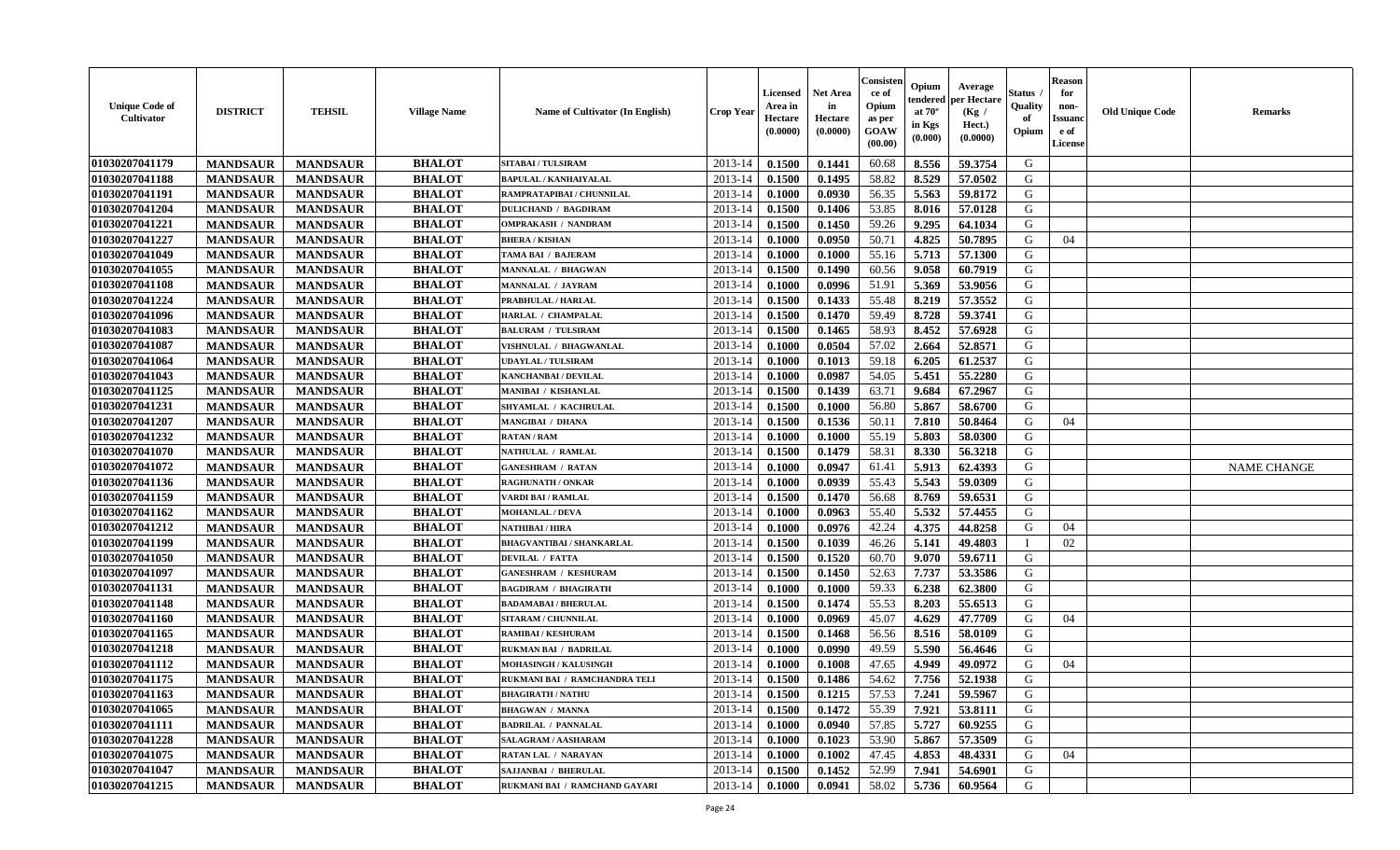| <b>Unique Code of</b><br><b>Cultivator</b> | <b>DISTRICT</b> | <b>TEHSIL</b>   | <b>Village Name</b> | <b>Name of Cultivator (In English)</b> | <b>Crop Year</b> | Licensed<br>Area in<br>Hectare<br>(0.0000) | <b>Net Area</b><br>in<br>Hectare<br>(0.0000) | Consisteı<br>ce of<br>Opium<br>as per<br>GOAW<br>(00.00) | Opium<br>endered<br>at $70^\circ$<br>in Kgs<br>(0.000) | Average<br>per Hectare<br>(Kg /<br>Hect.)<br>(0.0000) | Status<br>Quality<br>of<br>Opium | <b>Reason</b><br>for<br>non-<br><b>Issuanc</b><br>e of<br>License | <b>Old Unique Code</b> | Remarks            |
|--------------------------------------------|-----------------|-----------------|---------------------|----------------------------------------|------------------|--------------------------------------------|----------------------------------------------|----------------------------------------------------------|--------------------------------------------------------|-------------------------------------------------------|----------------------------------|-------------------------------------------------------------------|------------------------|--------------------|
| 01030207041179                             | <b>MANDSAUR</b> | <b>MANDSAUR</b> | <b>BHALOT</b>       | <b>SITABAI / TULSIRAM</b>              | 2013-14          | 0.1500                                     | 0.1441                                       | 60.68                                                    | 8.556                                                  | 59.3754                                               | G                                |                                                                   |                        |                    |
| 01030207041188                             | <b>MANDSAUR</b> | <b>MANDSAUR</b> | <b>BHALOT</b>       | <b>BAPULAL / KANHAIYALAL</b>           | 2013-14          | 0.1500                                     | 0.1495                                       | 58.82                                                    | 8.529                                                  | 57.0502                                               | G                                |                                                                   |                        |                    |
| 01030207041191                             | <b>MANDSAUR</b> | <b>MANDSAUR</b> | <b>BHALOT</b>       | RAMPRATAPIBAI / CHUNNILAL              | 2013-14          | 0.1000                                     | 0.0930                                       | 56.35                                                    | 5.563                                                  | 59.8172                                               | G                                |                                                                   |                        |                    |
| 01030207041204                             | <b>MANDSAUR</b> | <b>MANDSAUR</b> | <b>BHALOT</b>       | <b>DULICHAND / BAGDIRAM</b>            | 2013-14          | 0.1500                                     | 0.1406                                       | 53.85                                                    | 8.016                                                  | 57.0128                                               | G                                |                                                                   |                        |                    |
| 01030207041221                             | <b>MANDSAUR</b> | <b>MANDSAUR</b> | <b>BHALOT</b>       | <b>OMPRAKASH / NANDRAM</b>             | 2013-14          | 0.1500                                     | 0.1450                                       | 59.26                                                    | 9.295                                                  | 64.1034                                               | G                                |                                                                   |                        |                    |
| 01030207041227                             | <b>MANDSAUR</b> | <b>MANDSAUR</b> | <b>BHALOT</b>       | <b>BHERA / KISHAN</b>                  | 2013-14          | 0.1000                                     | 0.0950                                       | 50.71                                                    | 4.825                                                  | 50.7895                                               | G                                | 04                                                                |                        |                    |
| 01030207041049                             | <b>MANDSAUR</b> | <b>MANDSAUR</b> | <b>BHALOT</b>       | TAMA BAI / BAJERAM                     | 2013-14          | 0.1000                                     | 0.1000                                       | 55.16                                                    | 5.713                                                  | 57.1300                                               | G                                |                                                                   |                        |                    |
| 01030207041055                             | <b>MANDSAUR</b> | <b>MANDSAUR</b> | <b>BHALOT</b>       | MANNALAL / BHAGWAN                     | 2013-14          | 0.1500                                     | 0.1490                                       | 60.56                                                    | 9.058                                                  | 60.7919                                               | G                                |                                                                   |                        |                    |
| 01030207041108                             | <b>MANDSAUR</b> | <b>MANDSAUR</b> | <b>BHALOT</b>       | MANNALAL / JAYRAM                      | 2013-14          | 0.1000                                     | 0.0996                                       | 51.91                                                    | 5.369                                                  | 53.9056                                               | G                                |                                                                   |                        |                    |
| 01030207041224                             | <b>MANDSAUR</b> | <b>MANDSAUR</b> | <b>BHALOT</b>       | PRABHULAL / HARLAL                     | 2013-14          | 0.1500                                     | 0.1433                                       | 55.48                                                    | 8.219                                                  | 57.3552                                               | G                                |                                                                   |                        |                    |
| 01030207041096                             | <b>MANDSAUR</b> | <b>MANDSAUR</b> | <b>BHALOT</b>       | HARLAL / CHAMPALAL                     | 2013-14          | 0.1500                                     | 0.1470                                       | 59.49                                                    | 8.728                                                  | 59.3741                                               | G                                |                                                                   |                        |                    |
| 01030207041083                             | <b>MANDSAUR</b> | <b>MANDSAUR</b> | <b>BHALOT</b>       | <b>BALURAM / TULSIRAM</b>              | 2013-14          | 0.1500                                     | 0.1465                                       | 58.93                                                    | 8.452                                                  | 57.6928                                               | G                                |                                                                   |                        |                    |
| 01030207041087                             | <b>MANDSAUR</b> | <b>MANDSAUR</b> | <b>BHALOT</b>       | VISHNULAL / BHAGWANLAL                 | 2013-14          | 0.1000                                     | 0.0504                                       | 57.02                                                    | 2.664                                                  | 52.8571                                               | G                                |                                                                   |                        |                    |
| 01030207041064                             | <b>MANDSAUR</b> | <b>MANDSAUR</b> | <b>BHALOT</b>       | <b>UDAYLAL / TULSIRAM</b>              | 2013-14          | 0.1000                                     | 0.1013                                       | 59.18                                                    | 6.205                                                  | 61.2537                                               | G                                |                                                                   |                        |                    |
| 01030207041043                             | <b>MANDSAUR</b> | <b>MANDSAUR</b> | <b>BHALOT</b>       | KANCHANBAI / DEVILAL                   | 2013-14          | 0.1000                                     | 0.0987                                       | 54.05                                                    | 5.451                                                  | 55.2280                                               | $\mathbf G$                      |                                                                   |                        |                    |
| 01030207041125                             | <b>MANDSAUR</b> | <b>MANDSAUR</b> | <b>BHALOT</b>       | <b>MANIBAI / KISHANLAL</b>             | 2013-14          | 0.1500                                     | 0.1439                                       | 63.71                                                    | 9.684                                                  | 67.2967                                               | G                                |                                                                   |                        |                    |
| 01030207041231                             | <b>MANDSAUR</b> | <b>MANDSAUR</b> | <b>BHALOT</b>       | SHYAMLAL / KACHRULAL                   | 2013-14          | 0.1500                                     | 0.1000                                       | 56.80                                                    | 5.867                                                  | 58.6700                                               | G                                |                                                                   |                        |                    |
| 01030207041207                             | <b>MANDSAUR</b> | <b>MANDSAUR</b> | <b>BHALOT</b>       | <b>MANGIBAI / DHANA</b>                | 2013-14          | 0.1500                                     | 0.1536                                       | 50.11                                                    | 7.810                                                  | 50.8464                                               | G                                | 04                                                                |                        |                    |
| 01030207041232                             | <b>MANDSAUR</b> | <b>MANDSAUR</b> | <b>BHALOT</b>       | <b>RATAN / RAM</b>                     | 2013-14          | 0.1000                                     | 0.1000                                       | 55.19                                                    | 5.803                                                  | 58.0300                                               | G                                |                                                                   |                        |                    |
| 01030207041070                             | <b>MANDSAUR</b> | <b>MANDSAUR</b> | <b>BHALOT</b>       | NATHULAL / RAMLAL                      | 2013-14          | 0.1500                                     | 0.1479                                       | 58.31                                                    | 8.330                                                  | 56.3218                                               | G                                |                                                                   |                        |                    |
| 01030207041072                             | <b>MANDSAUR</b> | <b>MANDSAUR</b> | <b>BHALOT</b>       | <b>GANESHRAM / RATAN</b>               | 2013-14          | 0.1000                                     | 0.0947                                       | 61.41                                                    | 5.913                                                  | 62.4393                                               | G                                |                                                                   |                        | <b>NAME CHANGE</b> |
| 01030207041136                             | <b>MANDSAUR</b> | <b>MANDSAUR</b> | <b>BHALOT</b>       | <b>RAGHUNATH / ONKAR</b>               | 2013-14          | 0.1000                                     | 0.0939                                       | 55.43                                                    | 5.543                                                  | 59.0309                                               | G                                |                                                                   |                        |                    |
| 01030207041159                             | <b>MANDSAUR</b> | <b>MANDSAUR</b> | <b>BHALOT</b>       | VARDI BAI / RAMLAL                     | 2013-14          | 0.1500                                     | 0.1470                                       | 56.68                                                    | 8.769                                                  | 59.6531                                               | G                                |                                                                   |                        |                    |
| 01030207041162                             | <b>MANDSAUR</b> | <b>MANDSAUR</b> | <b>BHALOT</b>       | <b>MOHANLAL / DEVA</b>                 | 2013-14          | 0.1000                                     | 0.0963                                       | 55.40                                                    | 5.532                                                  | 57.4455                                               | G                                |                                                                   |                        |                    |
| 01030207041212                             | <b>MANDSAUR</b> | <b>MANDSAUR</b> | <b>BHALOT</b>       | <b>NATHIBAI / HIRA</b>                 | 2013-14          | 0.1000                                     | 0.0976                                       | 42.24                                                    | 4.375                                                  | 44.8258                                               | G                                | 04                                                                |                        |                    |
| 01030207041199                             | <b>MANDSAUR</b> | <b>MANDSAUR</b> | <b>BHALOT</b>       | BHAGVANTIBAI / SHANKARLAL              | 2013-14          | 0.1500                                     | 0.1039                                       | 46.26                                                    | 5.141                                                  | 49.4803                                               | $\mathbf I$                      | 02                                                                |                        |                    |
| 01030207041050                             | <b>MANDSAUR</b> | <b>MANDSAUR</b> | <b>BHALOT</b>       | <b>DEVILAL / FATTA</b>                 | 2013-14          | 0.1500                                     | 0.1520                                       | 60.70                                                    | 9.070                                                  | 59.6711                                               | G                                |                                                                   |                        |                    |
| 01030207041097                             | <b>MANDSAUR</b> | <b>MANDSAUR</b> | <b>BHALOT</b>       | <b>GANESHRAM / KESHURAM</b>            | 2013-14          | 0.1500                                     | 0.1450                                       | 52.63                                                    | 7.737                                                  | 53.3586                                               | G                                |                                                                   |                        |                    |
| 01030207041131                             | <b>MANDSAUR</b> | <b>MANDSAUR</b> | <b>BHALOT</b>       | <b>BAGDIRAM / BHAGIRATH</b>            | 2013-14          | 0.1000                                     | 0.1000                                       | 59.33                                                    | 6.238                                                  | 62.3800                                               | G                                |                                                                   |                        |                    |
| 01030207041148                             | <b>MANDSAUR</b> | <b>MANDSAUR</b> | <b>BHALOT</b>       | <b>BADAMABAI/BHERULAL</b>              | 2013-14          | 0.1500                                     | 0.1474                                       | 55.53                                                    | 8.203                                                  | 55.6513                                               | G                                |                                                                   |                        |                    |
| 01030207041160                             | <b>MANDSAUR</b> | <b>MANDSAUR</b> | <b>BHALOT</b>       | SITARAM / CHUNNILAL                    | 2013-14          | 0.1000                                     | 0.0969                                       | 45.07                                                    | 4.629                                                  | 47.7709                                               | G                                | 04                                                                |                        |                    |
| 01030207041165                             | <b>MANDSAUR</b> | <b>MANDSAUR</b> | <b>BHALOT</b>       | <b>RAMIBAI / KESHURAM</b>              | 2013-14          | 0.1500                                     | 0.1468                                       | 56.56                                                    | 8.516                                                  | 58.0109                                               | G                                |                                                                   |                        |                    |
| 01030207041218                             | <b>MANDSAUR</b> | <b>MANDSAUR</b> | <b>BHALOT</b>       | <b>RUKMAN BAI / BADRILAL</b>           | 2013-14          | 0.1000                                     | 0.0990                                       | 49.59                                                    | 5.590                                                  | 56.4646                                               | G                                |                                                                   |                        |                    |
| 01030207041112                             | <b>MANDSAUR</b> | <b>MANDSAUR</b> | <b>BHALOT</b>       | <b>MOHASINGH / KALUSINGH</b>           | 2013-14          | 0.1000                                     | 0.1008                                       | 47.65                                                    | 4.949                                                  | 49.0972                                               | G                                | 04                                                                |                        |                    |
| 01030207041175                             | <b>MANDSAUR</b> | <b>MANDSAUR</b> | <b>BHALOT</b>       | RUKMANI BAI / RAMCHANDRA TELI          | 2013-14          | 0.1500                                     | 0.1486                                       | 54.62                                                    | 7.756                                                  | 52.1938                                               | G                                |                                                                   |                        |                    |
| 01030207041163                             | <b>MANDSAUR</b> | <b>MANDSAUR</b> | <b>BHALOT</b>       | <b>BHAGIRATH / NATHU</b>               | 2013-14          | 0.1500                                     | 0.1215                                       | 57.53                                                    | 7.241                                                  | 59.5967                                               | G                                |                                                                   |                        |                    |
| 01030207041065                             | <b>MANDSAUR</b> | <b>MANDSAUR</b> | <b>BHALOT</b>       | <b>BHAGWAN / MANNA</b>                 | 2013-14          | 0.1500                                     | 0.1472                                       | 55.39                                                    | 7.921                                                  | 53.8111                                               | G                                |                                                                   |                        |                    |
| 01030207041111                             | <b>MANDSAUR</b> | <b>MANDSAUR</b> | <b>BHALOT</b>       | <b>BADRILAL / PANNALAL</b>             | 2013-14          | 0.1000                                     | 0.0940                                       | 57.85                                                    | 5.727                                                  | 60.9255                                               | G                                |                                                                   |                        |                    |
| 01030207041228                             | <b>MANDSAUR</b> | <b>MANDSAUR</b> | <b>BHALOT</b>       | SALAGRAM / AASHARAM                    | 2013-14          | 0.1000                                     | 0.1023                                       | 53.90                                                    | 5.867                                                  | 57.3509                                               | G                                |                                                                   |                        |                    |
| 01030207041075                             | <b>MANDSAUR</b> | <b>MANDSAUR</b> | <b>BHALOT</b>       | RATAN LAL / NARAYAN                    | 2013-14          | 0.1000                                     | 0.1002                                       | 47.45                                                    | 4.853                                                  | 48.4331                                               | G                                | 04                                                                |                        |                    |
| 01030207041047                             | <b>MANDSAUR</b> | <b>MANDSAUR</b> | <b>BHALOT</b>       | <b>SAJJANBAI / BHERULAL</b>            | 2013-14          | 0.1500                                     | 0.1452                                       | 52.99                                                    | 7.941                                                  | 54.6901                                               | G                                |                                                                   |                        |                    |
| 01030207041215                             | <b>MANDSAUR</b> | <b>MANDSAUR</b> | <b>BHALOT</b>       | RUKMANI BAI / RAMCHAND GAYARI          | 2013-14          | 0.1000                                     | 0.0941                                       | 58.02                                                    | 5.736                                                  | 60.9564                                               | G                                |                                                                   |                        |                    |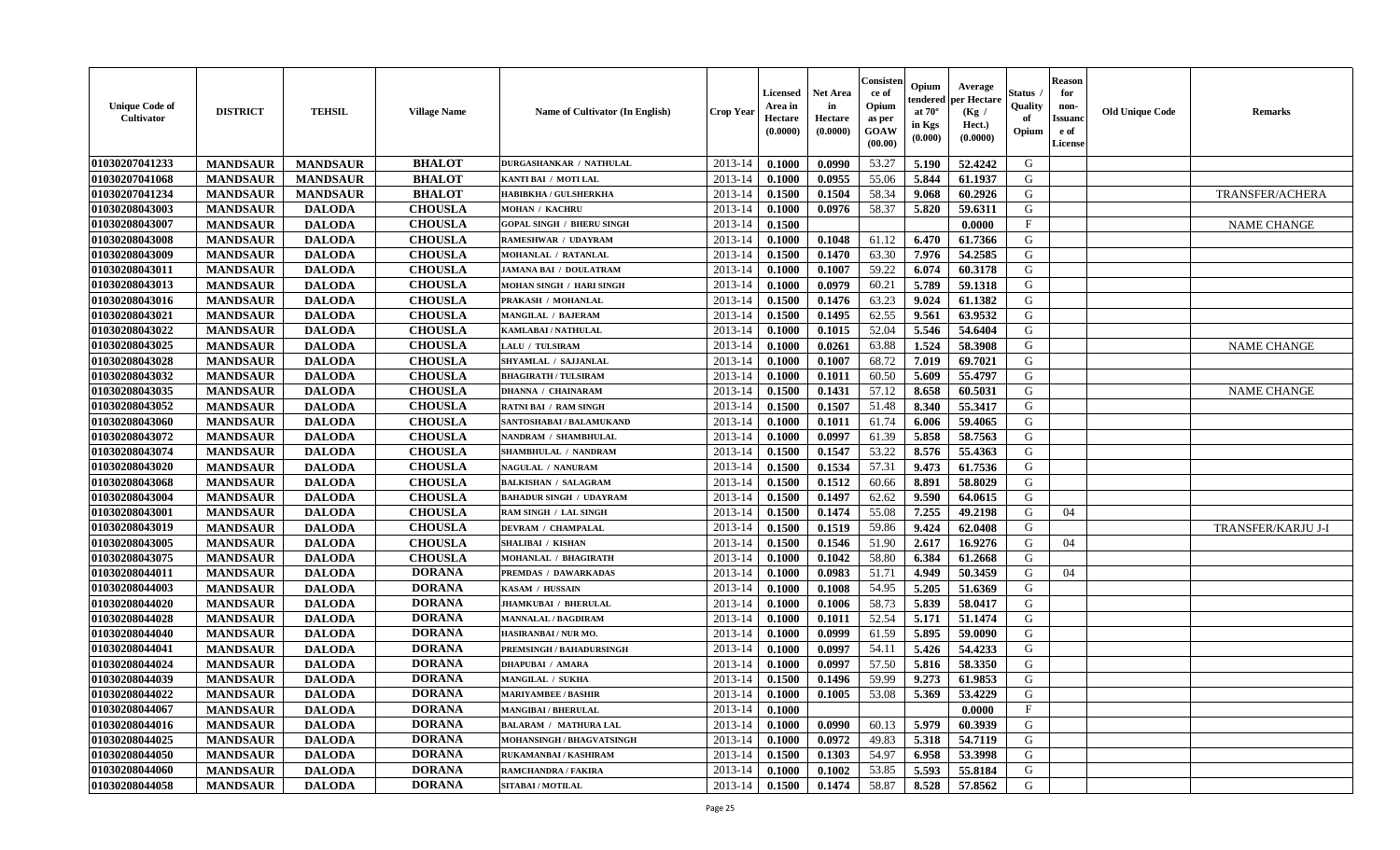| <b>Unique Code of</b><br><b>Cultivator</b> | <b>DISTRICT</b> | <b>TEHSIL</b>   | <b>Village Name</b> | <b>Name of Cultivator (In English)</b> | <b>Crop Year</b> | <b>Licensed</b><br>Area in<br>Hectare<br>(0.0000) | <b>Net Area</b><br>in<br>Hectare<br>(0.0000) | Consister<br>ce of<br>Opium<br>as per<br><b>GOAW</b><br>(00.00) | Opium<br>endered<br>at $70^\circ$<br>in Kgs<br>$(\mathbf{0.000})$ | Average<br>per Hectare<br>(Kg)<br>Hect.)<br>(0.0000) | Status<br>Quality<br>of<br>Opium | <b>Reason</b><br>for<br>non-<br><b>Issuano</b><br>e of<br>License | <b>Old Unique Code</b> | <b>Remarks</b>         |
|--------------------------------------------|-----------------|-----------------|---------------------|----------------------------------------|------------------|---------------------------------------------------|----------------------------------------------|-----------------------------------------------------------------|-------------------------------------------------------------------|------------------------------------------------------|----------------------------------|-------------------------------------------------------------------|------------------------|------------------------|
| 01030207041233                             | <b>MANDSAUR</b> | <b>MANDSAUR</b> | <b>BHALOT</b>       | <b>DURGASHANKAR / NATHULAL</b>         | 2013-14          | 0.1000                                            | 0.0990                                       | 53.27                                                           | 5.190                                                             | 52.4242                                              | G                                |                                                                   |                        |                        |
| 01030207041068                             | <b>MANDSAUR</b> | <b>MANDSAUR</b> | <b>BHALOT</b>       | KANTI BAI / MOTI LAL                   | 2013-14          | 0.1000                                            | 0.0955                                       | 55.06                                                           | 5.844                                                             | 61.1937                                              | G                                |                                                                   |                        |                        |
| 01030207041234                             | <b>MANDSAUR</b> | <b>MANDSAUR</b> | <b>BHALOT</b>       | <b>HABIBKHA / GULSHERKHA</b>           | 2013-14          | 0.1500                                            | 0.1504                                       | 58.34                                                           | 9.068                                                             | 60.2926                                              | G                                |                                                                   |                        | <b>TRANSFER/ACHERA</b> |
| 01030208043003                             | <b>MANDSAUR</b> | <b>DALODA</b>   | <b>CHOUSLA</b>      | <b>MOHAN / KACHRU</b>                  | 2013-14          | 0.1000                                            | 0.0976                                       | 58.37                                                           | 5.820                                                             | 59.6311                                              | G                                |                                                                   |                        |                        |
| 01030208043007                             | <b>MANDSAUR</b> | <b>DALODA</b>   | <b>CHOUSLA</b>      | <b>GOPAL SINGH / BHERU SINGH</b>       | 2013-14          | 0.1500                                            |                                              |                                                                 |                                                                   | 0.0000                                               | F                                |                                                                   |                        | <b>NAME CHANGE</b>     |
| 01030208043008                             | <b>MANDSAUR</b> | <b>DALODA</b>   | <b>CHOUSLA</b>      | RAMESHWAR / UDAYRAM                    | 2013-14          | 0.1000                                            | 0.1048                                       | 61.12                                                           | 6.470                                                             | 61.7366                                              | G                                |                                                                   |                        |                        |
| 01030208043009                             | <b>MANDSAUR</b> | <b>DALODA</b>   | <b>CHOUSLA</b>      | <b>MOHANLAL / RATANLAL</b>             | 2013-14          | 0.1500                                            | 0.1470                                       | 63.30                                                           | 7.976                                                             | 54.2585                                              | G                                |                                                                   |                        |                        |
| 01030208043011                             | <b>MANDSAUR</b> | <b>DALODA</b>   | <b>CHOUSLA</b>      | JAMANA BAI / DOULATRAM                 | 2013-14          | 0.1000                                            | 0.1007                                       | 59.22                                                           | 6.074                                                             | 60.3178                                              | G                                |                                                                   |                        |                        |
| 01030208043013                             | <b>MANDSAUR</b> | <b>DALODA</b>   | <b>CHOUSLA</b>      | <b>MOHAN SINGH / HARI SINGH</b>        | 2013-14          | 0.1000                                            | 0.0979                                       | 60.21                                                           | 5.789                                                             | 59.1318                                              | G                                |                                                                   |                        |                        |
| 01030208043016                             | <b>MANDSAUR</b> | <b>DALODA</b>   | <b>CHOUSLA</b>      | PRAKASH / MOHANLAL                     | 2013-14          | 0.1500                                            | 0.1476                                       | 63.23                                                           | 9.024                                                             | 61.1382                                              | G                                |                                                                   |                        |                        |
| 01030208043021                             | <b>MANDSAUR</b> | <b>DALODA</b>   | <b>CHOUSLA</b>      | MANGILAL / BAJERAM                     | 2013-14          | 0.1500                                            | 0.1495                                       | 62.55                                                           | 9.561                                                             | 63.9532                                              | G                                |                                                                   |                        |                        |
| 01030208043022                             | <b>MANDSAUR</b> | <b>DALODA</b>   | <b>CHOUSLA</b>      | <b>KAMLABAI/NATHULAL</b>               | 2013-14          | 0.1000                                            | 0.1015                                       | 52.04                                                           | 5.546                                                             | 54.6404                                              | G                                |                                                                   |                        |                        |
| 01030208043025                             | <b>MANDSAUR</b> | <b>DALODA</b>   | <b>CHOUSLA</b>      | <b>LALU / TULSIRAM</b>                 | 2013-14          | 0.1000                                            | 0.0261                                       | 63.88                                                           | 1.524                                                             | 58.3908                                              | G                                |                                                                   |                        | <b>NAME CHANGE</b>     |
| 01030208043028                             | <b>MANDSAUR</b> | <b>DALODA</b>   | <b>CHOUSLA</b>      | SHYAMLAL / SAJJANLAL                   | 2013-14          | 0.1000                                            | 0.1007                                       | 68.72                                                           | 7.019                                                             | 69.7021                                              | G                                |                                                                   |                        |                        |
| 01030208043032                             | <b>MANDSAUR</b> | <b>DALODA</b>   | <b>CHOUSLA</b>      | <b>BHAGIRATH / TULSIRAM</b>            | 2013-14          | 0.1000                                            | 0.1011                                       | 60.50                                                           | 5.609                                                             | 55.4797                                              | G                                |                                                                   |                        |                        |
| 01030208043035                             | <b>MANDSAUR</b> | <b>DALODA</b>   | <b>CHOUSLA</b>      | <b>DHANNA / CHAINARAM</b>              | 2013-14          | 0.1500                                            | 0.1431                                       | 57.12                                                           | 8.658                                                             | 60.5031                                              | G                                |                                                                   |                        | <b>NAME CHANGE</b>     |
| 01030208043052                             | <b>MANDSAUR</b> | <b>DALODA</b>   | <b>CHOUSLA</b>      | <b>RATNI BAI / RAM SINGH</b>           | 2013-14          | 0.1500                                            | 0.1507                                       | 51.48                                                           | 8.340                                                             | 55.3417                                              | G                                |                                                                   |                        |                        |
| 01030208043060                             | <b>MANDSAUR</b> | <b>DALODA</b>   | <b>CHOUSLA</b>      | SANTOSHABAI / BALAMUKAND               | 2013-14          | 0.1000                                            | 0.1011                                       | 61.74                                                           | 6.006                                                             | 59.4065                                              | G                                |                                                                   |                        |                        |
| 01030208043072                             | <b>MANDSAUR</b> | <b>DALODA</b>   | <b>CHOUSLA</b>      | NANDRAM / SHAMBHULAL                   | 2013-14          | 0.1000                                            | 0.0997                                       | 61.39                                                           | 5.858                                                             | 58.7563                                              | G                                |                                                                   |                        |                        |
| 01030208043074                             | <b>MANDSAUR</b> | <b>DALODA</b>   | <b>CHOUSLA</b>      | SHAMBHULAL / NANDRAM                   | 2013-14          | 0.1500                                            | 0.1547                                       | 53.22                                                           | 8.576                                                             | 55.4363                                              | G                                |                                                                   |                        |                        |
| 01030208043020                             | <b>MANDSAUR</b> | <b>DALODA</b>   | <b>CHOUSLA</b>      | NAGULAL / NANURAM                      | 2013-14          | 0.1500                                            | 0.1534                                       | 57.31                                                           | 9.473                                                             | 61.7536                                              | G                                |                                                                   |                        |                        |
| 01030208043068                             | <b>MANDSAUR</b> | <b>DALODA</b>   | <b>CHOUSLA</b>      | <b>BALKISHAN / SALAGRAM</b>            | 2013-14          | 0.1500                                            | 0.1512                                       | 60.66                                                           | 8.891                                                             | 58.8029                                              | G                                |                                                                   |                        |                        |
| 01030208043004                             | <b>MANDSAUR</b> | <b>DALODA</b>   | <b>CHOUSLA</b>      | <b>BAHADUR SINGH / UDAYRAM</b>         | 2013-14          | 0.1500                                            | 0.1497                                       | 62.62                                                           | 9.590                                                             | 64.0615                                              | G                                |                                                                   |                        |                        |
| 01030208043001                             | <b>MANDSAUR</b> | <b>DALODA</b>   | <b>CHOUSLA</b>      | RAM SINGH / LAL SINGH                  | 2013-14          | 0.1500                                            | 0.1474                                       | 55.08                                                           | 7.255                                                             | 49.2198                                              | G                                | 04                                                                |                        |                        |
| 01030208043019                             | <b>MANDSAUR</b> | <b>DALODA</b>   | <b>CHOUSLA</b>      | DEVRAM / CHAMPALAL                     | 2013-14          | 0.1500                                            | 0.1519                                       | 59.86                                                           | 9.424                                                             | 62.0408                                              | G                                |                                                                   |                        | TRANSFER/KARJU J-I     |
| 01030208043005                             | <b>MANDSAUR</b> | <b>DALODA</b>   | <b>CHOUSLA</b>      | <b>SHALIBAI / KISHAN</b>               | 2013-14          | 0.1500                                            | 0.1546                                       | 51.90                                                           | 2.617                                                             | 16.9276                                              | G                                | 04                                                                |                        |                        |
| 01030208043075                             | <b>MANDSAUR</b> | <b>DALODA</b>   | <b>CHOUSLA</b>      | MOHANLAL / BHAGIRATH                   | 2013-14          | 0.1000                                            | 0.1042                                       | 58.80                                                           | 6.384                                                             | 61.2668                                              | G                                |                                                                   |                        |                        |
| 01030208044011                             | <b>MANDSAUR</b> | <b>DALODA</b>   | <b>DORANA</b>       | PREMDAS / DAWARKADAS                   | 2013-14          | 0.1000                                            | 0.0983                                       | 51.71                                                           | 4.949                                                             | 50.3459                                              | G                                | 04                                                                |                        |                        |
| 01030208044003                             | <b>MANDSAUR</b> | <b>DALODA</b>   | <b>DORANA</b>       | KASAM / HUSSAIN                        | 2013-14          | 0.1000                                            | 0.1008                                       | 54.95                                                           | 5.205                                                             | 51.6369                                              | G                                |                                                                   |                        |                        |
| 01030208044020                             | <b>MANDSAUR</b> | <b>DALODA</b>   | <b>DORANA</b>       | <b>JHAMKUBAI / BHERULAL</b>            | 2013-14          | 0.1000                                            | 0.1006                                       | 58.73                                                           | 5.839                                                             | 58.0417                                              | G                                |                                                                   |                        |                        |
| 01030208044028                             | <b>MANDSAUR</b> | <b>DALODA</b>   | <b>DORANA</b>       | <b>MANNALAL / BAGDIRAM</b>             | 2013-14          | 0.1000                                            | 0.1011                                       | 52.54                                                           | 5.171                                                             | 51.1474                                              | G                                |                                                                   |                        |                        |
| 01030208044040                             | <b>MANDSAUR</b> | <b>DALODA</b>   | <b>DORANA</b>       | HASIRANBAI / NUR MO.                   | 2013-14          | 0.1000                                            | 0.0999                                       | 61.59                                                           | 5.895                                                             | 59.0090                                              | G                                |                                                                   |                        |                        |
| 01030208044041                             | <b>MANDSAUR</b> | <b>DALODA</b>   | <b>DORANA</b>       | PREMSINGH / BAHADURSINGH               | 2013-14          | 0.1000                                            | 0.0997                                       | 54.11                                                           | 5.426                                                             | 54.4233                                              | G                                |                                                                   |                        |                        |
| 01030208044024                             | <b>MANDSAUR</b> | <b>DALODA</b>   | <b>DORANA</b>       | <b>DHAPUBAI / AMARA</b>                | 2013-14          | 0.1000                                            | 0.0997                                       | 57.50                                                           | 5.816                                                             | 58.3350                                              | G                                |                                                                   |                        |                        |
| 01030208044039                             | <b>MANDSAUR</b> | <b>DALODA</b>   | <b>DORANA</b>       | <b>MANGILAL / SUKHA</b>                | 2013-14          | 0.1500                                            | 0.1496                                       | 59.99                                                           | 9.273                                                             | 61.9853                                              | G                                |                                                                   |                        |                        |
| 01030208044022                             | <b>MANDSAUR</b> | <b>DALODA</b>   | <b>DORANA</b>       | <b>MARIYAMBEE / BASHIR</b>             | $2013-14$ 0.1000 |                                                   | 0.1005                                       | 53.08                                                           | 5.369                                                             | 53.4229                                              | G                                |                                                                   |                        |                        |
| 01030208044067                             | <b>MANDSAUR</b> | <b>DALODA</b>   | <b>DORANA</b>       | <b>MANGIBAI / BHERULAL</b>             | 2013-14          | 0.1000                                            |                                              |                                                                 |                                                                   | 0.0000                                               | $\mathbf{F}$                     |                                                                   |                        |                        |
| 01030208044016                             | <b>MANDSAUR</b> | <b>DALODA</b>   | <b>DORANA</b>       | <b>BALARAM / MATHURA LAL</b>           | 2013-14          | 0.1000                                            | 0.0990                                       | 60.13                                                           | 5.979                                                             | 60.3939                                              | G                                |                                                                   |                        |                        |
| 01030208044025                             | <b>MANDSAUR</b> | <b>DALODA</b>   | <b>DORANA</b>       | MOHANSINGH / BHAGVATSINGH              | 2013-14          | 0.1000                                            | 0.0972                                       | 49.83                                                           | 5.318                                                             | 54.7119                                              | G                                |                                                                   |                        |                        |
| 01030208044050                             | <b>MANDSAUR</b> | <b>DALODA</b>   | <b>DORANA</b>       | RUKAMANBAI / KASHIRAM                  | 2013-14          | 0.1500                                            | 0.1303                                       | 54.97                                                           | 6.958                                                             | 53.3998                                              | G                                |                                                                   |                        |                        |
| 01030208044060                             | <b>MANDSAUR</b> | <b>DALODA</b>   | <b>DORANA</b>       | RAMCHANDRA / FAKIRA                    | 2013-14          | 0.1000                                            | 0.1002                                       | 53.85                                                           | 5.593                                                             | 55.8184                                              | G                                |                                                                   |                        |                        |
| 01030208044058                             | <b>MANDSAUR</b> | <b>DALODA</b>   | <b>DORANA</b>       | SITABAI / MOTILAL                      | $2013 - 14$      | 0.1500                                            | 0.1474                                       | 58.87                                                           | 8.528                                                             | 57.8562                                              | G                                |                                                                   |                        |                        |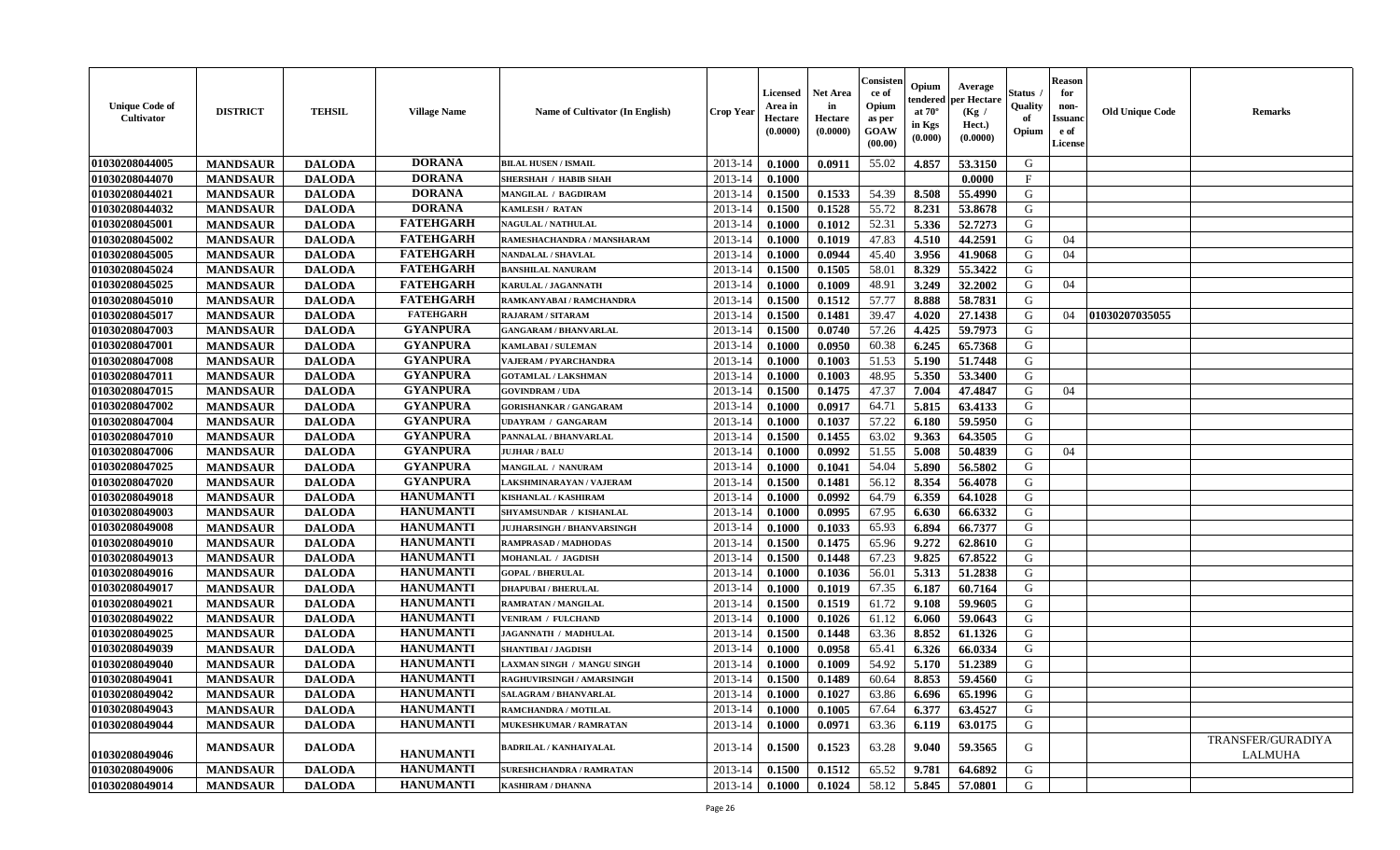| <b>Unique Code of</b><br>Cultivator | <b>DISTRICT</b> | <b>TEHSIL</b> | <b>Village Name</b> | <b>Name of Cultivator (In English)</b> | <b>Crop Year</b> | <b>Licensed</b><br>Area in<br>Hectare<br>(0.0000) | Net Area<br>in<br>Hectare<br>(0.0000) | Consiste<br>ce of<br>Opium<br>as per<br>GOAW<br>(00.00) | Opium<br>endereo<br>at 70°<br>in Kgs<br>(0.000) | Average<br>er Hectare<br>(Kg /<br>Hect.)<br>(0.0000) | Status<br>Quality<br>of<br>Opium | <b>Reason</b><br>for<br>non-<br><b>Issuand</b><br>e of<br><b>License</b> | <b>Old Unique Code</b> | Remarks                      |
|-------------------------------------|-----------------|---------------|---------------------|----------------------------------------|------------------|---------------------------------------------------|---------------------------------------|---------------------------------------------------------|-------------------------------------------------|------------------------------------------------------|----------------------------------|--------------------------------------------------------------------------|------------------------|------------------------------|
| 01030208044005                      | <b>MANDSAUR</b> | <b>DALODA</b> | <b>DORANA</b>       | <b>BILAL HUSEN / ISMAIL</b>            | 2013-14          | 0.1000                                            | 0.0911                                | 55.02                                                   | 4.857                                           | 53.3150                                              | G                                |                                                                          |                        |                              |
| 01030208044070                      | <b>MANDSAUR</b> | <b>DALODA</b> | <b>DORANA</b>       | <b>SHERSHAH / HABIB SHAH</b>           | 2013-14          | 0.1000                                            |                                       |                                                         |                                                 | 0.0000                                               | F                                |                                                                          |                        |                              |
| 01030208044021                      | <b>MANDSAUR</b> | <b>DALODA</b> | <b>DORANA</b>       | MANGILAL / BAGDIRAM                    | 2013-14          | 0.1500                                            | 0.1533                                | 54.39                                                   | 8.508                                           | 55.4990                                              | G                                |                                                                          |                        |                              |
| 01030208044032                      | <b>MANDSAUR</b> | <b>DALODA</b> | <b>DORANA</b>       | <b>KAMLESH / RATAN</b>                 | 2013-14          | 0.1500                                            | 0.1528                                | 55.72                                                   | 8.231                                           | 53.8678                                              | G                                |                                                                          |                        |                              |
| 01030208045001                      | <b>MANDSAUR</b> | <b>DALODA</b> | <b>FATEHGARH</b>    | <b>NAGULAL / NATHULAL</b>              | 2013-14          | 0.1000                                            | 0.1012                                | 52.31                                                   | 5.336                                           | 52.7273                                              | G                                |                                                                          |                        |                              |
| 01030208045002                      | <b>MANDSAUR</b> | <b>DALODA</b> | <b>FATEHGARH</b>    | RAMESHACHANDRA / MANSHARAM             | 2013-14          | 0.1000                                            | 0.1019                                | 47.83                                                   | 4.510                                           | 44.2591                                              | G                                | 04                                                                       |                        |                              |
| 01030208045005                      | <b>MANDSAUR</b> | <b>DALODA</b> | <b>FATEHGARH</b>    | NANDALAL / SHAVLAL                     | 2013-14          | 0.1000                                            | 0.0944                                | 45.40                                                   | 3.956                                           | 41.9068                                              | G                                | 04                                                                       |                        |                              |
| 01030208045024                      | <b>MANDSAUR</b> | <b>DALODA</b> | <b>FATEHGARH</b>    | <b>BANSHILAL NANURAM</b>               | 2013-14          | 0.1500                                            | 0.1505                                | 58.01                                                   | 8.329                                           | 55.3422                                              | G                                |                                                                          |                        |                              |
| 01030208045025                      | <b>MANDSAUR</b> | <b>DALODA</b> | <b>FATEHGARH</b>    | KARULAL / JAGANNATH                    | 2013-14          | 0.1000                                            | 0.1009                                | 48.91                                                   | 3.249                                           | 32.2002                                              | G                                | 04                                                                       |                        |                              |
| 01030208045010                      | <b>MANDSAUR</b> | <b>DALODA</b> | <b>FATEHGARH</b>    | RAMKANYABAI / RAMCHANDRA               | 2013-14          | 0.1500                                            | 0.1512                                | 57.77                                                   | 8.888                                           | 58.7831                                              | G                                |                                                                          |                        |                              |
| 01030208045017                      | <b>MANDSAUR</b> | <b>DALODA</b> | <b>FATEHGARH</b>    | RAJARAM / SITARAM                      | 2013-14          | 0.1500                                            | 0.1481                                | 39.47                                                   | 4.020                                           | 27.1438                                              | G                                | 04                                                                       | 01030207035055         |                              |
| 01030208047003                      | <b>MANDSAUR</b> | <b>DALODA</b> | <b>GYANPURA</b>     | <b>GANGARAM / BHANVARLAL</b>           | 2013-14          | 0.1500                                            | 0.0740                                | 57.26                                                   | 4.425                                           | 59.7973                                              | G                                |                                                                          |                        |                              |
| 01030208047001                      | <b>MANDSAUR</b> | <b>DALODA</b> | <b>GYANPURA</b>     | <b>KAMLABAI/SULEMAN</b>                | 2013-14          | 0.1000                                            | 0.0950                                | 60.38                                                   | 6.245                                           | 65.7368                                              | G                                |                                                                          |                        |                              |
| 01030208047008                      | <b>MANDSAUR</b> | <b>DALODA</b> | <b>GYANPURA</b>     | VAJERAM / PYARCHANDRA                  | 2013-14          | 0.1000                                            | 0.1003                                | 51.53                                                   | 5.190                                           | 51.7448                                              | ${\bf G}$                        |                                                                          |                        |                              |
| 01030208047011                      | <b>MANDSAUR</b> | <b>DALODA</b> | <b>GYANPURA</b>     | <b>GOTAMLAL / LAKSHMAN</b>             | 2013-14          | 0.1000                                            | 0.1003                                | 48.95                                                   | 5.350                                           | 53.3400                                              | G                                |                                                                          |                        |                              |
| 01030208047015                      | <b>MANDSAUR</b> | <b>DALODA</b> | <b>GYANPURA</b>     | <b>GOVINDRAM / UDA</b>                 | 2013-14          | 0.1500                                            | 0.1475                                | 47.37                                                   | 7.004                                           | 47.4847                                              | G                                | 04                                                                       |                        |                              |
| 01030208047002                      | <b>MANDSAUR</b> | <b>DALODA</b> | <b>GYANPURA</b>     | <b>GORISHANKAR / GANGARAM</b>          | 2013-14          | 0.1000                                            | 0.0917                                | 64.71                                                   | 5.815                                           | 63.4133                                              | G                                |                                                                          |                        |                              |
| 01030208047004                      | <b>MANDSAUR</b> | <b>DALODA</b> | <b>GYANPURA</b>     | <b>UDAYRAM / GANGARAM</b>              | 2013-14          | 0.1000                                            | 0.1037                                | 57.22                                                   | 6.180                                           | 59.5950                                              | G                                |                                                                          |                        |                              |
| 01030208047010                      | <b>MANDSAUR</b> | <b>DALODA</b> | <b>GYANPURA</b>     | PANNALAL / BHANVARLAL                  | 2013-14          | 0.1500                                            | 0.1455                                | 63.02                                                   | 9.363                                           | 64.3505                                              | G                                |                                                                          |                        |                              |
| 01030208047006                      | <b>MANDSAUR</b> | <b>DALODA</b> | <b>GYANPURA</b>     | <b>JUJHAR / BALU</b>                   | 2013-14          | 0.1000                                            | 0.0992                                | 51.55                                                   | 5.008                                           | 50.4839                                              | G                                | 04                                                                       |                        |                              |
| 01030208047025                      | <b>MANDSAUR</b> | <b>DALODA</b> | <b>GYANPURA</b>     | MANGILAL / NANURAM                     | 2013-14          | 0.1000                                            | 0.1041                                | 54.04                                                   | 5.890                                           | 56.5802                                              | G                                |                                                                          |                        |                              |
| 01030208047020                      | <b>MANDSAUR</b> | <b>DALODA</b> | <b>GYANPURA</b>     | AKSHMINARAYAN / VAJERAM                | 2013-14          | 0.1500                                            | 0.1481                                | 56.12                                                   | 8.354                                           | 56.4078                                              | G                                |                                                                          |                        |                              |
| 01030208049018                      | <b>MANDSAUR</b> | <b>DALODA</b> | <b>HANUMANTI</b>    | KISHANLAL / KASHIRAM                   | 2013-14          | 0.1000                                            | 0.0992                                | 64.79                                                   | 6.359                                           | 64.1028                                              | G                                |                                                                          |                        |                              |
| 01030208049003                      | <b>MANDSAUR</b> | <b>DALODA</b> | <b>HANUMANTI</b>    | SHYAMSUNDAR / KISHANLAL                | 2013-14          | 0.1000                                            | 0.0995                                | 67.95                                                   | 6.630                                           | 66.6332                                              | G                                |                                                                          |                        |                              |
| 01030208049008                      | <b>MANDSAUR</b> | <b>DALODA</b> | <b>HANUMANTI</b>    | <b>JUJHARSINGH / BHANVARSINGH</b>      | 2013-14          | 0.1000                                            | 0.1033                                | 65.93                                                   | 6.894                                           | 66.7377                                              | G                                |                                                                          |                        |                              |
| 01030208049010                      | <b>MANDSAUR</b> | <b>DALODA</b> | <b>HANUMANTI</b>    | RAMPRASAD / MADHODAS                   | 2013-14          | 0.1500                                            | 0.1475                                | 65.96                                                   | 9.272                                           | 62.8610                                              | G                                |                                                                          |                        |                              |
| 01030208049013                      | <b>MANDSAUR</b> | <b>DALODA</b> | <b>HANUMANTI</b>    | MOHANLAL / JAGDISH                     | 2013-14          | 0.1500                                            | 0.1448                                | 67.23                                                   | 9.825                                           | 67.8522                                              | G                                |                                                                          |                        |                              |
| 01030208049016                      | <b>MANDSAUR</b> | <b>DALODA</b> | <b>HANUMANTI</b>    | <b>GOPAL / BHERULAL</b>                | 2013-14          | 0.1000                                            | 0.1036                                | 56.01                                                   | 5.313                                           | 51.2838                                              | G                                |                                                                          |                        |                              |
| 01030208049017                      | <b>MANDSAUR</b> | <b>DALODA</b> | <b>HANUMANTI</b>    | <b>DHAPUBAI/BHERULAL</b>               | 2013-14          | 0.1000                                            | 0.1019                                | 67.35                                                   | 6.187                                           | 60.7164                                              | G                                |                                                                          |                        |                              |
| 01030208049021                      | <b>MANDSAUR</b> | <b>DALODA</b> | <b>HANUMANTI</b>    | RAMRATAN / MANGILAL                    | 2013-14          | 0.1500                                            | 0.1519                                | 61.72                                                   | 9.108                                           | 59.9605                                              | G                                |                                                                          |                        |                              |
| 01030208049022                      | <b>MANDSAUR</b> | <b>DALODA</b> | <b>HANUMANTI</b>    | <b>VENIRAM / FULCHAND</b>              | 2013-14          | 0.1000                                            | 0.1026                                | 61.12                                                   | 6.060                                           | 59.0643                                              | G                                |                                                                          |                        |                              |
| 01030208049025                      | <b>MANDSAUR</b> | <b>DALODA</b> | <b>HANUMANTI</b>    | JAGANNATH / MADHULAL                   | 2013-14          | 0.1500                                            | 0.1448                                | 63.36                                                   | 8.852                                           | 61.1326                                              | G                                |                                                                          |                        |                              |
| 01030208049039                      | <b>MANDSAUR</b> | <b>DALODA</b> | <b>HANUMANTI</b>    | <b>SHANTIBAI / JAGDISH</b>             | 2013-14          | 0.1000                                            | 0.0958                                | 65.41                                                   | 6.326                                           | 66.0334                                              | G                                |                                                                          |                        |                              |
| 01030208049040                      | <b>MANDSAUR</b> | <b>DALODA</b> | <b>HANUMANTI</b>    | LAXMAN SINGH / MANGU SINGH             | 2013-14          | 0.1000                                            | 0.1009                                | 54.92                                                   | 5.170                                           | 51.2389                                              | G                                |                                                                          |                        |                              |
| 01030208049041                      | <b>MANDSAUR</b> | <b>DALODA</b> | <b>HANUMANTI</b>    | RAGHUVIRSINGH / AMARSINGH              | 2013-14          | 0.1500                                            | 0.1489                                | 60.64                                                   | 8.853                                           | 59.4560                                              | G                                |                                                                          |                        |                              |
| 01030208049042                      | <b>MANDSAUR</b> | <b>DALODA</b> | <b>HANUMANTI</b>    | SALAGRAM / BHANVARLAL                  | 2013-14          | 0.1000                                            | 0.1027                                | 63.86                                                   | 6.696                                           | 65.1996                                              | G                                |                                                                          |                        |                              |
| 01030208049043                      | <b>MANDSAUR</b> | <b>DALODA</b> | <b>HANUMANTI</b>    | RAMCHANDRA / MOTILAL                   | 2013-14          | 0.1000                                            | 0.1005                                | 67.64                                                   | 6.377                                           | 63.4527                                              | G                                |                                                                          |                        |                              |
| 01030208049044                      | <b>MANDSAUR</b> | <b>DALODA</b> | <b>HANUMANTI</b>    | MUKESHKUMAR / RAMRATAN                 | 2013-14          | 0.1000                                            | 0.0971                                | 63.36                                                   | 6.119                                           | 63.0175                                              | G                                |                                                                          |                        |                              |
| 01030208049046                      | <b>MANDSAUR</b> | <b>DALODA</b> | <b>HANUMANTI</b>    | BADRILAL / KANHAIYALAL                 | 2013-14          | 0.1500                                            | 0.1523                                | 63.28                                                   | 9.040                                           | 59.3565                                              | G                                |                                                                          |                        | TRANSFER/GURADIYA<br>LALMUHA |
| 01030208049006                      | <b>MANDSAUR</b> | <b>DALODA</b> | <b>HANUMANTI</b>    | <b>SURESHCHANDRA / RAMRATAN</b>        | 2013-14          | 0.1500                                            | 0.1512                                | 65.52                                                   | 9.781                                           | 64.6892                                              | G                                |                                                                          |                        |                              |
| 01030208049014                      | <b>MANDSAUR</b> | <b>DALODA</b> | <b>HANUMANTI</b>    | <b>KASHIRAM / DHANNA</b>               | 2013-14          | 0.1000                                            | 0.1024                                | 58.12                                                   | 5.845                                           | 57.0801                                              | G                                |                                                                          |                        |                              |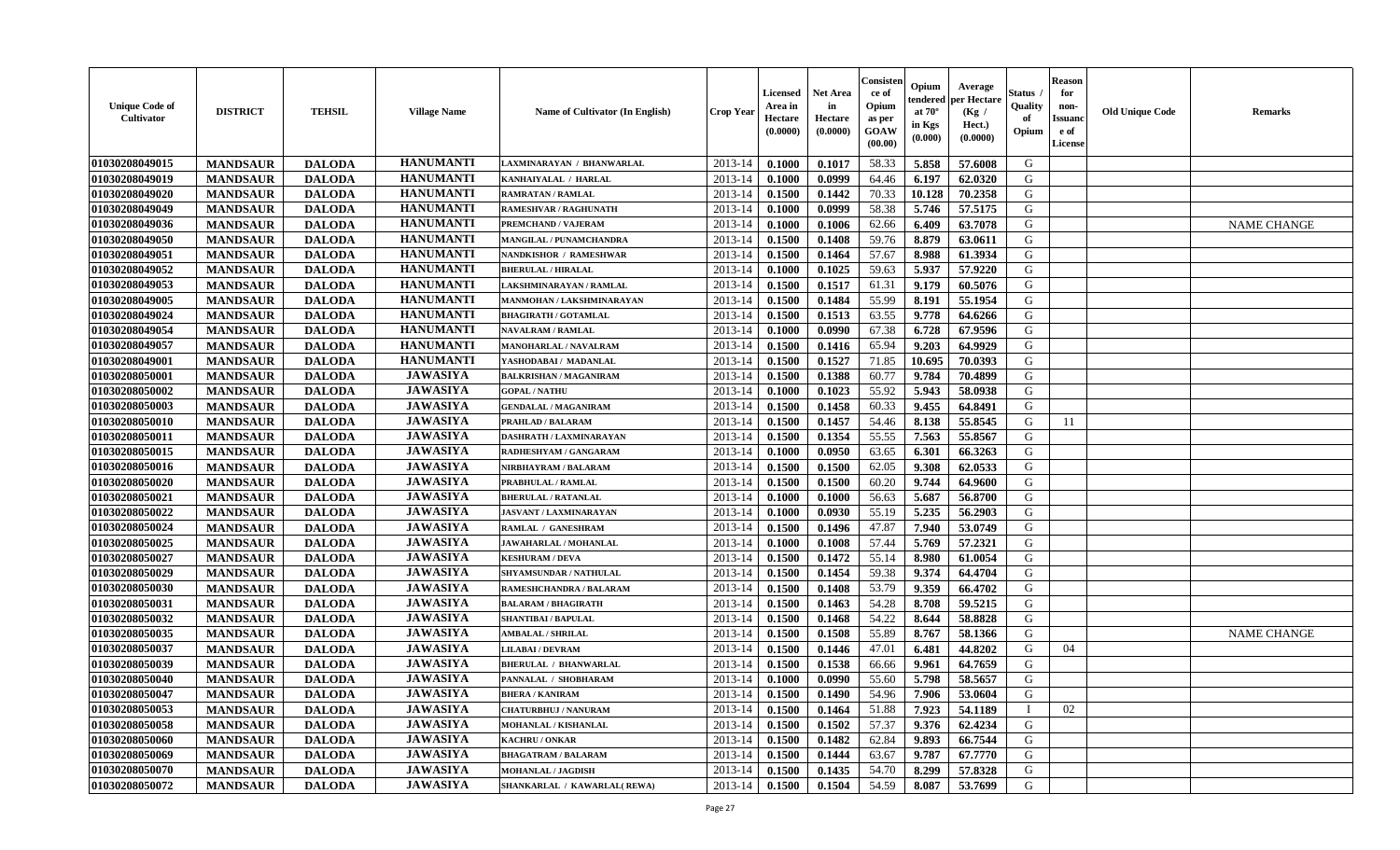| <b>Unique Code of</b><br><b>Cultivator</b> | <b>DISTRICT</b> | <b>TEHSIL</b> | <b>Village Name</b> | Name of Cultivator (In English) | <b>Crop Year</b> | <b>Licensed</b><br>Area in<br>Hectare<br>(0.0000) | <b>Net Area</b><br>in<br>Hectare<br>(0.0000) | Consister<br>ce of<br>Opium<br>as per<br><b>GOAW</b><br>(00.00) | Opium<br>endered<br>at $70^\circ$<br>in Kgs<br>$(\mathbf{0.000})$ | Average<br>per Hectare<br>(Kg /<br>Hect.)<br>(0.0000) | Status<br>Quality<br>of<br>Opium | <b>Reason</b><br>for<br>non-<br><b>Issuano</b><br>e of<br>License | <b>Old Unique Code</b> | <b>Remarks</b>     |
|--------------------------------------------|-----------------|---------------|---------------------|---------------------------------|------------------|---------------------------------------------------|----------------------------------------------|-----------------------------------------------------------------|-------------------------------------------------------------------|-------------------------------------------------------|----------------------------------|-------------------------------------------------------------------|------------------------|--------------------|
| 01030208049015                             | <b>MANDSAUR</b> | <b>DALODA</b> | <b>HANUMANTI</b>    | LAXMINARAYAN / BHANWARLAL       | 2013-14          | 0.1000                                            | 0.1017                                       | 58.33                                                           | 5.858                                                             | 57.6008                                               | G                                |                                                                   |                        |                    |
| 01030208049019                             | <b>MANDSAUR</b> | <b>DALODA</b> | <b>HANUMANTI</b>    | KANHAIYALAL / HARLAL            | 2013-14          | 0.1000                                            | 0.0999                                       | 64.46                                                           | 6.197                                                             | 62.0320                                               | G                                |                                                                   |                        |                    |
| 01030208049020                             | <b>MANDSAUR</b> | <b>DALODA</b> | <b>HANUMANTI</b>    | RAMRATAN / RAMLAL               | 2013-14          | 0.1500                                            | 0.1442                                       | 70.33                                                           | 10.128                                                            | 70.2358                                               | G                                |                                                                   |                        |                    |
| 01030208049049                             | <b>MANDSAUR</b> | <b>DALODA</b> | <b>HANUMANTI</b>    | <b>RAMESHVAR / RAGHUNATH</b>    | 2013-14          | 0.1000                                            | 0.0999                                       | 58.38                                                           | 5.746                                                             | 57.5175                                               | G                                |                                                                   |                        |                    |
| 01030208049036                             | <b>MANDSAUR</b> | <b>DALODA</b> | <b>HANUMANTI</b>    | PREMCHAND / VAJERAM             | 2013-14          | 0.1000                                            | 0.1006                                       | 62.66                                                           | 6.409                                                             | 63.7078                                               | G                                |                                                                   |                        | <b>NAME CHANGE</b> |
| 01030208049050                             | <b>MANDSAUR</b> | <b>DALODA</b> | <b>HANUMANTI</b>    | MANGILAL / PUNAMCHANDRA         | 2013-14          | 0.1500                                            | 0.1408                                       | 59.76                                                           | 8.879                                                             | 63.0611                                               | G                                |                                                                   |                        |                    |
| 01030208049051                             | <b>MANDSAUR</b> | <b>DALODA</b> | <b>HANUMANTI</b>    | NANDKISHOR / RAMESHWAR          | 2013-14          | 0.1500                                            | 0.1464                                       | 57.67                                                           | 8.988                                                             | 61.3934                                               | G                                |                                                                   |                        |                    |
| 01030208049052                             | <b>MANDSAUR</b> | <b>DALODA</b> | <b>HANUMANTI</b>    | <b>BHERULAL / HIRALAL</b>       | 2013-14          | 0.1000                                            | 0.1025                                       | 59.63                                                           | 5.937                                                             | 57.9220                                               | G                                |                                                                   |                        |                    |
| 01030208049053                             | <b>MANDSAUR</b> | <b>DALODA</b> | <b>HANUMANTI</b>    | LAKSHMINARAYAN / RAMLAL         | 2013-14          | 0.1500                                            | 0.1517                                       | 61.31                                                           | 9.179                                                             | 60.5076                                               | G                                |                                                                   |                        |                    |
| 01030208049005                             | <b>MANDSAUR</b> | <b>DALODA</b> | <b>HANUMANTI</b>    | MANMOHAN / LAKSHMINARAYAN       | 2013-14          | 0.1500                                            | 0.1484                                       | 55.99                                                           | 8.191                                                             | 55.1954                                               | G                                |                                                                   |                        |                    |
| 01030208049024                             | <b>MANDSAUR</b> | <b>DALODA</b> | <b>HANUMANTI</b>    | <b>BHAGIRATH / GOTAMLAL</b>     | 2013-14          | 0.1500                                            | 0.1513                                       | 63.55                                                           | 9.778                                                             | 64.6266                                               | G                                |                                                                   |                        |                    |
| 01030208049054                             | <b>MANDSAUR</b> | <b>DALODA</b> | <b>HANUMANTI</b>    | <b>NAVALRAM / RAMLAL</b>        | 2013-14          | 0.1000                                            | 0.0990                                       | 67.38                                                           | 6.728                                                             | 67.9596                                               | G                                |                                                                   |                        |                    |
| 01030208049057                             | <b>MANDSAUR</b> | <b>DALODA</b> | <b>HANUMANTI</b>    | <b>MANOHARLAL / NAVALRAM</b>    | 2013-14          | 0.1500                                            | 0.1416                                       | 65.94                                                           | 9.203                                                             | 64.9929                                               | G                                |                                                                   |                        |                    |
| 01030208049001                             | <b>MANDSAUR</b> | <b>DALODA</b> | <b>HANUMANTI</b>    | YASHODABAI / MADANLAL           | 2013-14          | 0.1500                                            | 0.1527                                       | 71.85                                                           | 10.695                                                            | 70.0393                                               | G                                |                                                                   |                        |                    |
| 01030208050001                             | <b>MANDSAUR</b> | <b>DALODA</b> | <b>JAWASIYA</b>     | <b>BALKRISHAN / MAGANIRAM</b>   | 2013-14          | 0.1500                                            | 0.1388                                       | 60.77                                                           | 9.784                                                             | 70.4899                                               | G                                |                                                                   |                        |                    |
| 01030208050002                             | <b>MANDSAUR</b> | <b>DALODA</b> | <b>JAWASIYA</b>     | <b>GOPAL / NATHU</b>            | 2013-14          | 0.1000                                            | 0.1023                                       | 55.92                                                           | 5.943                                                             | 58.0938                                               | G                                |                                                                   |                        |                    |
| 01030208050003                             | <b>MANDSAUR</b> | <b>DALODA</b> | <b>JAWASIYA</b>     | <b>GENDALAL / MAGANIRAM</b>     | 2013-14          | 0.1500                                            | 0.1458                                       | 60.33                                                           | 9.455                                                             | 64.8491                                               | G                                |                                                                   |                        |                    |
| 01030208050010                             | <b>MANDSAUR</b> | <b>DALODA</b> | <b>JAWASIYA</b>     | PRAHLAD / BALARAM               | 2013-14          | 0.1500                                            | 0.1457                                       | 54.46                                                           | 8.138                                                             | 55.8545                                               | G                                | 11                                                                |                        |                    |
| 01030208050011                             | <b>MANDSAUR</b> | <b>DALODA</b> | <b>JAWASIYA</b>     | DASHRATH / LAXMINARAYAN         | 2013-14          | 0.1500                                            | 0.1354                                       | 55.55                                                           | 7.563                                                             | 55.8567                                               | G                                |                                                                   |                        |                    |
| 01030208050015                             | <b>MANDSAUR</b> | <b>DALODA</b> | <b>JAWASIYA</b>     | RADHESHYAM / GANGARAM           | 2013-14          | 0.1000                                            | 0.0950                                       | 63.65                                                           | 6.301                                                             | 66.3263                                               | G                                |                                                                   |                        |                    |
| 01030208050016                             | <b>MANDSAUR</b> | <b>DALODA</b> | <b>JAWASIYA</b>     | NIRBHAYRAM / BALARAM            | 2013-14          | 0.1500                                            | 0.1500                                       | 62.05                                                           | 9.308                                                             | 62.0533                                               | G                                |                                                                   |                        |                    |
| 01030208050020                             | <b>MANDSAUR</b> | <b>DALODA</b> | <b>JAWASIYA</b>     | PRABHULAL / RAMLAL              | 2013-14          | 0.1500                                            | 0.1500                                       | 60.20                                                           | 9.744                                                             | 64.9600                                               | G                                |                                                                   |                        |                    |
| 01030208050021                             | <b>MANDSAUR</b> | <b>DALODA</b> | <b>JAWASIYA</b>     | <b>BHERULAL / RATANLAL</b>      | 2013-14          | 0.1000                                            | 0.1000                                       | 56.63                                                           | 5.687                                                             | 56.8700                                               | G                                |                                                                   |                        |                    |
| 01030208050022                             | <b>MANDSAUR</b> | <b>DALODA</b> | <b>JAWASIYA</b>     | JASVANT / LAXMINARAYAN          | 2013-14          | 0.1000                                            | 0.0930                                       | 55.19                                                           | 5.235                                                             | 56.2903                                               | G                                |                                                                   |                        |                    |
| 01030208050024                             | <b>MANDSAUR</b> | <b>DALODA</b> | <b>JAWASIYA</b>     | RAMLAL / GANESHRAM              | 2013-14          | 0.1500                                            | 0.1496                                       | 47.87                                                           | 7.940                                                             | 53.0749                                               | G                                |                                                                   |                        |                    |
| 01030208050025                             | <b>MANDSAUR</b> | <b>DALODA</b> | <b>JAWASIYA</b>     | JAWAHARLAL / MOHANLAL           | 2013-14          | 0.1000                                            | 0.1008                                       | 57.44                                                           | 5.769                                                             | 57.2321                                               | G                                |                                                                   |                        |                    |
| 01030208050027                             | <b>MANDSAUR</b> | <b>DALODA</b> | <b>JAWASIYA</b>     | <b>KESHURAM / DEVA</b>          | 2013-14          | 0.1500                                            | 0.1472                                       | 55.14                                                           | 8.980                                                             | 61.0054                                               | G                                |                                                                   |                        |                    |
| 01030208050029                             | <b>MANDSAUR</b> | <b>DALODA</b> | <b>JAWASIYA</b>     | SHYAMSUNDAR / NATHULAL          | 2013-14          | 0.1500                                            | 0.1454                                       | 59.38                                                           | 9.374                                                             | 64.4704                                               | G                                |                                                                   |                        |                    |
| 01030208050030                             | <b>MANDSAUR</b> | <b>DALODA</b> | <b>JAWASIYA</b>     | RAMESHCHANDRA / BALARAM         | 2013-14          | 0.1500                                            | 0.1408                                       | 53.79                                                           | 9.359                                                             | 66.4702                                               | G                                |                                                                   |                        |                    |
| 01030208050031                             | <b>MANDSAUR</b> | <b>DALODA</b> | <b>JAWASIYA</b>     | <b>BALARAM / BHAGIRATH</b>      | 2013-14          | 0.1500                                            | 0.1463                                       | 54.28                                                           | 8.708                                                             | 59.5215                                               | G                                |                                                                   |                        |                    |
| 01030208050032                             | <b>MANDSAUR</b> | <b>DALODA</b> | <b>JAWASIYA</b>     | <b>SHANTIBAI / BAPULAL</b>      | 2013-14          | 0.1500                                            | 0.1468                                       | 54.22                                                           | 8.644                                                             | 58.8828                                               | G                                |                                                                   |                        |                    |
| 01030208050035                             | <b>MANDSAUR</b> | <b>DALODA</b> | <b>JAWASIYA</b>     | <b>AMBALAL / SHRILAL</b>        | 2013-14          | 0.1500                                            | 0.1508                                       | 55.89                                                           | 8.767                                                             | 58.1366                                               | G                                |                                                                   |                        | <b>NAME CHANGE</b> |
| 01030208050037                             | <b>MANDSAUR</b> | <b>DALODA</b> | <b>JAWASIYA</b>     | <b>LILABAI / DEVRAM</b>         | 2013-14          | 0.1500                                            | 0.1446                                       | 47.01                                                           | 6.481                                                             | 44.8202                                               | G                                | 04                                                                |                        |                    |
| 01030208050039                             | <b>MANDSAUR</b> | <b>DALODA</b> | <b>JAWASIYA</b>     | <b>BHERULAL / BHANWARLAL</b>    | 2013-14          | 0.1500                                            | 0.1538                                       | 66.66                                                           | 9.961                                                             | 64.7659                                               | G                                |                                                                   |                        |                    |
| 01030208050040                             | <b>MANDSAUR</b> | <b>DALODA</b> | <b>JAWASIYA</b>     | PANNALAL / SHOBHARAM            | 2013-14          | 0.1000                                            | 0.0990                                       | 55.60                                                           | 5.798                                                             | 58.5657                                               | G                                |                                                                   |                        |                    |
| 01030208050047                             | <b>MANDSAUR</b> | <b>DALODA</b> | <b>JAWASIYA</b>     | <b>BHERA / KANIRAM</b>          | $2013-14$ 0.1500 |                                                   | 0.1490                                       | 54.96                                                           | 7.906                                                             | 53.0604                                               | G                                |                                                                   |                        |                    |
| 01030208050053                             | <b>MANDSAUR</b> | <b>DALODA</b> | <b>JAWASIYA</b>     | <b>CHATURBHUJ / NANURAM</b>     | 2013-14          | 0.1500                                            | 0.1464                                       | 51.88                                                           | 7.923                                                             | 54.1189                                               | $\blacksquare$                   | 02                                                                |                        |                    |
| 01030208050058                             | <b>MANDSAUR</b> | <b>DALODA</b> | <b>JAWASIYA</b>     | MOHANLAL / KISHANLAL            | 2013-14          | 0.1500                                            | 0.1502                                       | 57.37                                                           | 9.376                                                             | 62.4234                                               | G                                |                                                                   |                        |                    |
| 01030208050060                             | <b>MANDSAUR</b> | <b>DALODA</b> | <b>JAWASIYA</b>     | <b>KACHRU / ONKAR</b>           | 2013-14          | 0.1500                                            | 0.1482                                       | 62.84                                                           | 9.893                                                             | 66.7544                                               | G                                |                                                                   |                        |                    |
| 01030208050069                             | <b>MANDSAUR</b> | <b>DALODA</b> | <b>JAWASIYA</b>     | <b>BHAGATRAM / BALARAM</b>      | 2013-14          | 0.1500                                            | 0.1444                                       | 63.67                                                           | 9.787                                                             | 67,7770                                               | G                                |                                                                   |                        |                    |
| 01030208050070                             | <b>MANDSAUR</b> | <b>DALODA</b> | <b>JAWASIYA</b>     | MOHANLAL / JAGDISH              | 2013-14          | 0.1500                                            | 0.1435                                       | 54.70                                                           | 8.299                                                             | 57.8328                                               | G                                |                                                                   |                        |                    |
| 01030208050072                             | <b>MANDSAUR</b> | <b>DALODA</b> | <b>JAWASIYA</b>     | SHANKARLAL / KAWARLAL(REWA)     | 2013-14          | 0.1500                                            | 0.1504                                       | 54.59                                                           | 8.087                                                             | 53.7699                                               | G                                |                                                                   |                        |                    |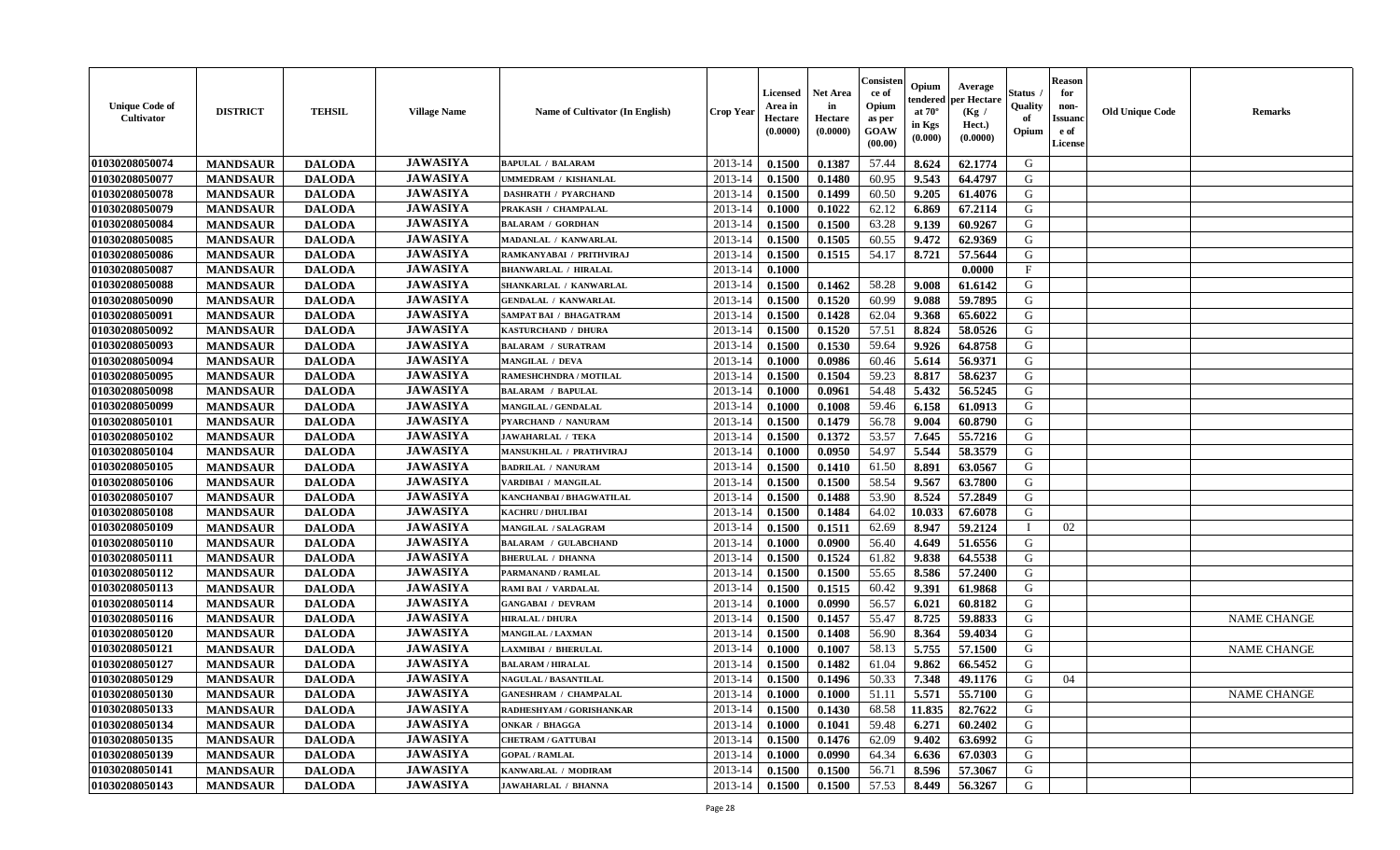| <b>Unique Code of</b><br>Cultivator | <b>DISTRICT</b> | <b>TEHSIL</b> | <b>Village Name</b> | Name of Cultivator (In English) | <b>Crop Year</b> | <b>Licensed</b><br>Area in<br>Hectare<br>(0.0000) | <b>Net Area</b><br>in<br>Hectare<br>(0.0000) | Consister<br>ce of<br>Opium<br>as per<br>GOAW<br>(00.00) | Opium<br>endered<br>at $70^\circ$<br>in Kgs<br>(0.000) | Average<br>per Hectare<br>(Kg /<br>Hect.)<br>(0.0000) | <b>Status</b><br>Quality<br>of<br>Opium | <b>Reason</b><br>for<br>non-<br><b>Issuand</b><br>e of<br>License | <b>Old Unique Code</b> | <b>Remarks</b>     |
|-------------------------------------|-----------------|---------------|---------------------|---------------------------------|------------------|---------------------------------------------------|----------------------------------------------|----------------------------------------------------------|--------------------------------------------------------|-------------------------------------------------------|-----------------------------------------|-------------------------------------------------------------------|------------------------|--------------------|
| 01030208050074                      | <b>MANDSAUR</b> | <b>DALODA</b> | <b>JAWASIYA</b>     | <b>BAPULAL / BALARAM</b>        | 2013-14          | 0.1500                                            | 0.1387                                       | 57.44                                                    | 8.624                                                  | 62.1774                                               | G                                       |                                                                   |                        |                    |
| 01030208050077                      | <b>MANDSAUR</b> | <b>DALODA</b> | <b>JAWASIYA</b>     | <b>JMMEDRAM / KISHANLAL</b>     | 2013-14          | 0.1500                                            | 0.1480                                       | 60.95                                                    | 9.543                                                  | 64.4797                                               | G                                       |                                                                   |                        |                    |
| 01030208050078                      | <b>MANDSAUR</b> | <b>DALODA</b> | <b>JAWASIYA</b>     | <b>DASHRATH / PYARCHAND</b>     | 2013-14          | 0.1500                                            | 0.1499                                       | 60.50                                                    | 9.205                                                  | 61.4076                                               | G                                       |                                                                   |                        |                    |
| 01030208050079                      | <b>MANDSAUR</b> | <b>DALODA</b> | <b>JAWASIYA</b>     | PRAKASH / CHAMPALAL             | 2013-14          | 0.1000                                            | 0.1022                                       | 62.12                                                    | 6.869                                                  | 67.2114                                               | G                                       |                                                                   |                        |                    |
| 01030208050084                      | <b>MANDSAUR</b> | <b>DALODA</b> | <b>JAWASIYA</b>     | <b>BALARAM / GORDHAN</b>        | 2013-14          | 0.1500                                            | 0.1500                                       | 63.28                                                    | 9.139                                                  | 60.9267                                               | G                                       |                                                                   |                        |                    |
| 01030208050085                      | <b>MANDSAUR</b> | <b>DALODA</b> | <b>JAWASIYA</b>     | MADANLAL / KANWARLAL            | 2013-14          | 0.1500                                            | 0.1505                                       | 60.55                                                    | 9.472                                                  | 62.9369                                               | G                                       |                                                                   |                        |                    |
| 01030208050086                      | <b>MANDSAUR</b> | <b>DALODA</b> | <b>JAWASIYA</b>     | RAMKANYABAI / PRITHVIRAJ        | 2013-14          | 0.1500                                            | 0.1515                                       | 54.17                                                    | 8.721                                                  | 57.5644                                               | ${\bf G}$                               |                                                                   |                        |                    |
| 01030208050087                      | <b>MANDSAUR</b> | <b>DALODA</b> | <b>JAWASIYA</b>     | <b>BHANWARLAL / HIRALAL</b>     | 2013-14          | 0.1000                                            |                                              |                                                          |                                                        | 0.0000                                                | $\mathbf F$                             |                                                                   |                        |                    |
| 01030208050088                      | <b>MANDSAUR</b> | <b>DALODA</b> | <b>JAWASIYA</b>     | SHANKARLAL / KANWARLAL          | 2013-14          | 0.1500                                            | 0.1462                                       | 58.28                                                    | 9.008                                                  | 61.6142                                               | G                                       |                                                                   |                        |                    |
| 01030208050090                      | <b>MANDSAUR</b> | <b>DALODA</b> | <b>JAWASIYA</b>     | <b>GENDALAL / KANWARLAL</b>     | 2013-14          | 0.1500                                            | 0.1520                                       | 60.99                                                    | 9.088                                                  | 59.7895                                               | G                                       |                                                                   |                        |                    |
| 01030208050091                      | <b>MANDSAUR</b> | <b>DALODA</b> | <b>JAWASIYA</b>     | <b>SAMPAT BAI / BHAGATRAM</b>   | 2013-14          | 0.1500                                            | 0.1428                                       | 62.04                                                    | 9.368                                                  | 65.6022                                               | $\mathbf G$                             |                                                                   |                        |                    |
| 01030208050092                      | <b>MANDSAUR</b> | <b>DALODA</b> | <b>JAWASIYA</b>     | KASTURCHAND / DHURA             | 2013-14          | 0.1500                                            | 0.1520                                       | 57.51                                                    | 8.824                                                  | 58.0526                                               | G                                       |                                                                   |                        |                    |
| 01030208050093                      | <b>MANDSAUR</b> | <b>DALODA</b> | <b>JAWASIYA</b>     | <b>BALARAM / SURATRAM</b>       | 2013-14          | 0.1500                                            | 0.1530                                       | 59.64                                                    | 9.926                                                  | 64.8758                                               | G                                       |                                                                   |                        |                    |
| 01030208050094                      | <b>MANDSAUR</b> | <b>DALODA</b> | <b>JAWASIYA</b>     | <b>MANGILAL / DEVA</b>          | 2013-14          | 0.1000                                            | 0.0986                                       | 60.46                                                    | 5.614                                                  | 56.9371                                               | G                                       |                                                                   |                        |                    |
| 01030208050095                      | <b>MANDSAUR</b> | <b>DALODA</b> | <b>JAWASIYA</b>     | RAMESHCHNDRA / MOTILAL          | 2013-14          | 0.1500                                            | 0.1504                                       | 59.23                                                    | 8.817                                                  | 58.6237                                               | G                                       |                                                                   |                        |                    |
| 01030208050098                      | <b>MANDSAUR</b> | <b>DALODA</b> | <b>JAWASIYA</b>     | <b>BALARAM / BAPULAL</b>        | 2013-14          | 0.1000                                            | 0.0961                                       | 54.48                                                    | 5.432                                                  | 56.5245                                               | G                                       |                                                                   |                        |                    |
| 01030208050099                      | <b>MANDSAUR</b> | <b>DALODA</b> | <b>JAWASIYA</b>     | MANGILAL / GENDALAL             | 2013-14          | 0.1000                                            | 0.1008                                       | 59.46                                                    | 6.158                                                  | 61.0913                                               | G                                       |                                                                   |                        |                    |
| 01030208050101                      | <b>MANDSAUR</b> | <b>DALODA</b> | <b>JAWASIYA</b>     | PYARCHAND / NANURAM             | 2013-14          | 0.1500                                            | 0.1479                                       | 56.78                                                    | 9.004                                                  | 60.8790                                               | G                                       |                                                                   |                        |                    |
| 01030208050102                      | <b>MANDSAUR</b> | <b>DALODA</b> | <b>JAWASIYA</b>     | <b>JAWAHARLAL / TEKA</b>        | 2013-14          | 0.1500                                            | 0.1372                                       | 53.57                                                    | 7.645                                                  | 55.7216                                               | G                                       |                                                                   |                        |                    |
| 01030208050104                      | <b>MANDSAUR</b> | <b>DALODA</b> | <b>JAWASIYA</b>     | MANSUKHLAL / PRATHVIRAJ         | 2013-14          | 0.1000                                            | 0.0950                                       | 54.97                                                    | 5.544                                                  | 58.3579                                               | G                                       |                                                                   |                        |                    |
|                                     |                 |               | <b>JAWASIYA</b>     | <b>BADRILAL / NANURAM</b>       |                  |                                                   |                                              |                                                          |                                                        | 63.0567                                               | G                                       |                                                                   |                        |                    |
| 01030208050105                      | <b>MANDSAUR</b> | <b>DALODA</b> | <b>JAWASIYA</b>     |                                 | 2013-14          | 0.1500                                            | 0.1410                                       | 61.50                                                    | 8.891                                                  |                                                       | G                                       |                                                                   |                        |                    |
| 01030208050106                      | <b>MANDSAUR</b> | <b>DALODA</b> | <b>JAWASIYA</b>     | VARDIBAI / MANGILAL             | 2013-14          | 0.1500                                            | 0.1500                                       | 58.54                                                    | 9.567                                                  | 63.7800                                               |                                         |                                                                   |                        |                    |
| 01030208050107                      | <b>MANDSAUR</b> | <b>DALODA</b> |                     | KANCHANBAI / BHAGWATILAL        | 2013-14          | 0.1500                                            | 0.1488                                       | 53.90                                                    | 8.524                                                  | 57.2849                                               | ${\bf G}$                               |                                                                   |                        |                    |
| 01030208050108                      | <b>MANDSAUR</b> | <b>DALODA</b> | <b>JAWASIYA</b>     | KACHRU / DHULIBAI               | 2013-14          | 0.1500                                            | 0.1484                                       | 64.02                                                    | 10.033                                                 | 67.6078                                               | G                                       |                                                                   |                        |                    |
| 01030208050109                      | <b>MANDSAUR</b> | <b>DALODA</b> | <b>JAWASIYA</b>     | <b>MANGILAL / SALAGRAM</b>      | 2013-14          | 0.1500                                            | 0.1511                                       | 62.69                                                    | 8.947                                                  | 59.2124                                               | $\mathbf I$                             | 02                                                                |                        |                    |
| 01030208050110                      | <b>MANDSAUR</b> | <b>DALODA</b> | <b>JAWASIYA</b>     | <b>BALARAM / GULABCHAND</b>     | 2013-14          | 0.1000                                            | 0.0900                                       | 56.40                                                    | 4.649                                                  | 51.6556                                               | G                                       |                                                                   |                        |                    |
| 01030208050111                      | <b>MANDSAUR</b> | <b>DALODA</b> | <b>JAWASIYA</b>     | <b>BHERULAL / DHANNA</b>        | 2013-14          | 0.1500                                            | 0.1524                                       | 61.82                                                    | 9.838                                                  | 64.5538                                               | G                                       |                                                                   |                        |                    |
| 01030208050112                      | <b>MANDSAUR</b> | <b>DALODA</b> | <b>JAWASIYA</b>     | PARMANAND / RAMLAL              | 2013-14          | 0.1500                                            | 0.1500                                       | 55.65                                                    | 8.586                                                  | 57.2400                                               | G                                       |                                                                   |                        |                    |
| 01030208050113                      | <b>MANDSAUR</b> | <b>DALODA</b> | <b>JAWASIYA</b>     | RAMI BAI / VARDALAL             | 2013-14          | 0.1500                                            | 0.1515                                       | 60.42                                                    | 9.391                                                  | 61.9868                                               | G                                       |                                                                   |                        |                    |
| 01030208050114                      | <b>MANDSAUR</b> | <b>DALODA</b> | <b>JAWASIYA</b>     | <b>GANGABAI / DEVRAM</b>        | 2013-14          | 0.1000                                            | 0.0990                                       | 56.57                                                    | 6.021                                                  | 60.8182                                               | G                                       |                                                                   |                        |                    |
| 01030208050116                      | <b>MANDSAUR</b> | <b>DALODA</b> | <b>JAWASIYA</b>     | <b>HIRALAL / DHURA</b>          | 2013-14          | 0.1500                                            | 0.1457                                       | 55.47                                                    | 8.725                                                  | 59.8833                                               | ${\bf G}$                               |                                                                   |                        | <b>NAME CHANGE</b> |
| 01030208050120                      | <b>MANDSAUR</b> | <b>DALODA</b> | <b>JAWASIYA</b>     | <b>MANGILAL / LAXMAN</b>        | 2013-14          | 0.1500                                            | 0.1408                                       | 56.90                                                    | 8.364                                                  | 59.4034                                               | G                                       |                                                                   |                        |                    |
| 01030208050121                      | <b>MANDSAUR</b> | <b>DALODA</b> | <b>JAWASIYA</b>     | <b>AXMIBAI / BHERULAL</b>       | 2013-14          | 0.1000                                            | 0.1007                                       | 58.13                                                    | 5.755                                                  | 57.1500                                               | G                                       |                                                                   |                        | <b>NAME CHANGE</b> |
| 01030208050127                      | <b>MANDSAUR</b> | <b>DALODA</b> | <b>JAWASIYA</b>     | <b>BALARAM / HIRALAL</b>        | 2013-14          | 0.1500                                            | 0.1482                                       | 61.04                                                    | 9.862                                                  | 66.5452                                               | G                                       |                                                                   |                        |                    |
| 01030208050129                      | <b>MANDSAUR</b> | <b>DALODA</b> | <b>JAWASIYA</b>     | <b>NAGULAL / BASANTILAL</b>     | 2013-14          | 0.1500                                            | 0.1496                                       | 50.33                                                    | 7.348                                                  | 49.1176                                               | G                                       | 04                                                                |                        |                    |
| 01030208050130                      | <b>MANDSAUR</b> | <b>DALODA</b> | <b>JAWASIYA</b>     | <b>GANESHRAM / CHAMPALAL</b>    | 2013-14          | 0.1000                                            | 0.1000                                       | 51.11                                                    | 5.571                                                  | 55.7100                                               | G                                       |                                                                   |                        | <b>NAME CHANGE</b> |
| 01030208050133                      | <b>MANDSAUR</b> | <b>DALODA</b> | <b>JAWASIYA</b>     | RADHESHYAM / GORISHANKAR        | 2013-14          | 0.1500                                            | 0.1430                                       | 68.58                                                    | 11.835                                                 | 82.7622                                               | G                                       |                                                                   |                        |                    |
| 01030208050134                      | <b>MANDSAUR</b> | <b>DALODA</b> | <b>JAWASIYA</b>     | ONKAR / BHAGGA                  | 2013-14          | 0.1000                                            | 0.1041                                       | 59.48                                                    | 6.271                                                  | 60.2402                                               | G                                       |                                                                   |                        |                    |
| 01030208050135                      | <b>MANDSAUR</b> | <b>DALODA</b> | <b>JAWASIYA</b>     | <b>CHETRAM / GATTUBAI</b>       | 2013-14          | 0.1500                                            | 0.1476                                       | 62.09                                                    | 9.402                                                  | 63.6992                                               | ${\bf G}$                               |                                                                   |                        |                    |
| 01030208050139                      | <b>MANDSAUR</b> | <b>DALODA</b> | <b>JAWASIYA</b>     | <b>GOPAL / RAMLAL</b>           | 2013-14          | 0.1000                                            | 0.0990                                       | 64.34                                                    | 6.636                                                  | 67.0303                                               | G                                       |                                                                   |                        |                    |
| 01030208050141                      | <b>MANDSAUR</b> | <b>DALODA</b> | <b>JAWASIYA</b>     | KANWARLAL / MODIRAM             | 2013-14          | 0.1500                                            | 0.1500                                       | 56.71                                                    | 8.596                                                  | 57.3067                                               | G                                       |                                                                   |                        |                    |
| 01030208050143                      | <b>MANDSAUR</b> | <b>DALODA</b> | <b>JAWASIYA</b>     | <b>JAWAHARLAL / BHANNA</b>      | 2013-14          | 0.1500                                            | 0.1500                                       | 57.53                                                    | 8.449                                                  | 56.3267                                               | G                                       |                                                                   |                        |                    |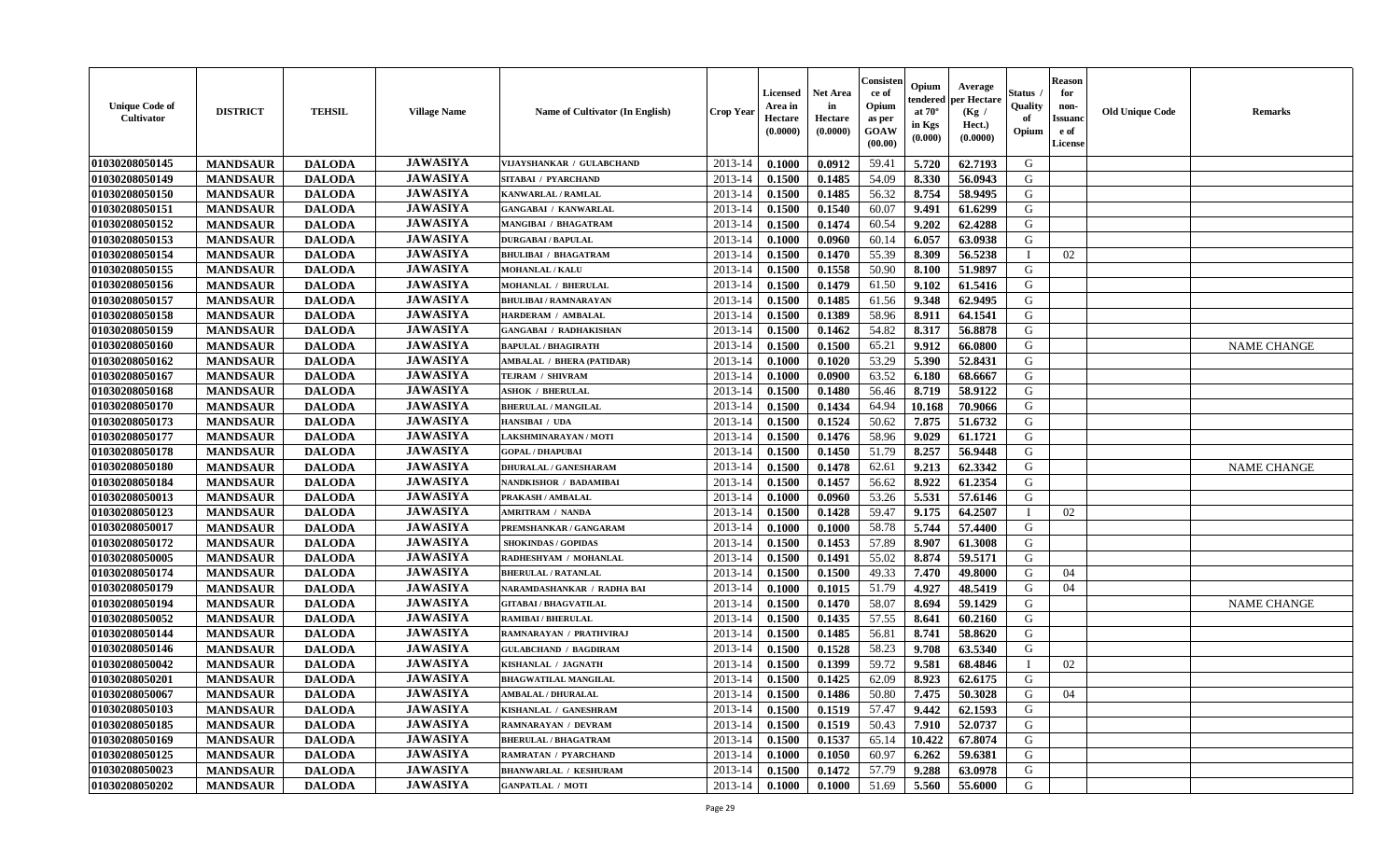| <b>Unique Code of</b><br><b>Cultivator</b> | <b>DISTRICT</b> | <b>TEHSIL</b> | <b>Village Name</b> | Name of Cultivator (In English)  | <b>Crop Year</b> | Licensed<br>Area in<br>Hectare<br>(0.0000) | <b>Net Area</b><br>in<br>Hectare<br>(0.0000) | Consisteı<br>ce of<br>Opium<br>as per<br>GOAW<br>(00.00) | Opium<br>endered<br>at $70^\circ$<br>in Kgs<br>(0.000) | Average<br>per Hectare<br>(Kg /<br>Hect.)<br>(0.0000) | Status<br>Quality<br>of<br>Opium | <b>Reason</b><br>for<br>non-<br>Issuano<br>e of<br>License | <b>Old Unique Code</b> | <b>Remarks</b>     |
|--------------------------------------------|-----------------|---------------|---------------------|----------------------------------|------------------|--------------------------------------------|----------------------------------------------|----------------------------------------------------------|--------------------------------------------------------|-------------------------------------------------------|----------------------------------|------------------------------------------------------------|------------------------|--------------------|
| 01030208050145                             | <b>MANDSAUR</b> | <b>DALODA</b> | <b>JAWASIYA</b>     | VIJAYSHANKAR / GULABCHAND        | 2013-14          | 0.1000                                     | 0.0912                                       | 59.41                                                    | 5.720                                                  | 62.7193                                               | G                                |                                                            |                        |                    |
| 01030208050149                             | <b>MANDSAUR</b> | <b>DALODA</b> | <b>JAWASIYA</b>     | SITABAI / PYARCHAND              | 2013-14          | 0.1500                                     | 0.1485                                       | 54.09                                                    | 8.330                                                  | 56.0943                                               | G                                |                                                            |                        |                    |
| 01030208050150                             | <b>MANDSAUR</b> | <b>DALODA</b> | <b>JAWASIYA</b>     | <b>KANWARLAL / RAMLAL</b>        | 2013-14          | 0.1500                                     | 0.1485                                       | 56.32                                                    | 8.754                                                  | 58.9495                                               | G                                |                                                            |                        |                    |
| 01030208050151                             | <b>MANDSAUR</b> | <b>DALODA</b> | <b>JAWASIYA</b>     | <b>GANGABAI / KANWARLAL</b>      | 2013-14          | 0.1500                                     | 0.1540                                       | 60.07                                                    | 9.491                                                  | 61.6299                                               | G                                |                                                            |                        |                    |
| 01030208050152                             | <b>MANDSAUR</b> | <b>DALODA</b> | <b>JAWASIYA</b>     | <b>MANGIBAI / BHAGATRAM</b>      | 2013-14          | 0.1500                                     | 0.1474                                       | 60.54                                                    | 9.202                                                  | 62.4288                                               | G                                |                                                            |                        |                    |
| 01030208050153                             | <b>MANDSAUR</b> | <b>DALODA</b> | <b>JAWASIYA</b>     | <b>DURGABAI/BAPULAL</b>          | 2013-14          | 0.1000                                     | 0.0960                                       | 60.14                                                    | 6.057                                                  | 63.0938                                               | G                                |                                                            |                        |                    |
| 01030208050154                             | <b>MANDSAUR</b> | <b>DALODA</b> | <b>JAWASIYA</b>     | <b>BHULIBAI / BHAGATRAM</b>      | 2013-14          | 0.1500                                     | 0.1470                                       | 55.39                                                    | 8.309                                                  | 56.5238                                               |                                  | 02                                                         |                        |                    |
| 01030208050155                             | <b>MANDSAUR</b> | <b>DALODA</b> | <b>JAWASIYA</b>     | <b>MOHANLAL / KALU</b>           | 2013-14          | 0.1500                                     | 0.1558                                       | 50.90                                                    | 8.100                                                  | 51.9897                                               | G                                |                                                            |                        |                    |
| 01030208050156                             | <b>MANDSAUR</b> | <b>DALODA</b> | <b>JAWASIYA</b>     | <b>MOHANLAL / BHERULAL</b>       | 2013-14          | 0.1500                                     | 0.1479                                       | 61.50                                                    | 9.102                                                  | 61.5416                                               | G                                |                                                            |                        |                    |
| 01030208050157                             | <b>MANDSAUR</b> | <b>DALODA</b> | <b>JAWASIYA</b>     | <b>BHULIBAI / RAMNARAYAN</b>     | 2013-14          | 0.1500                                     | 0.1485                                       | 61.56                                                    | 9.348                                                  | 62.9495                                               | G                                |                                                            |                        |                    |
| 01030208050158                             | <b>MANDSAUR</b> | <b>DALODA</b> | <b>JAWASIYA</b>     | HARDERAM / AMBALAL               | 2013-14          | 0.1500                                     | 0.1389                                       | 58.96                                                    | 8.911                                                  | 64.1541                                               | $\mathbf G$                      |                                                            |                        |                    |
| 01030208050159                             | <b>MANDSAUR</b> | <b>DALODA</b> | <b>JAWASIYA</b>     | <b>GANGABAI / RADHAKISHAN</b>    | 2013-14          | 0.1500                                     | 0.1462                                       | 54.82                                                    | 8.317                                                  | 56.8878                                               | G                                |                                                            |                        |                    |
| 01030208050160                             | <b>MANDSAUR</b> | <b>DALODA</b> | <b>JAWASIYA</b>     | <b>BAPULAL / BHAGIRATH</b>       | 2013-14          | 0.1500                                     | 0.1500                                       | 65.21                                                    | 9.912                                                  | 66.0800                                               | G                                |                                                            |                        | <b>NAME CHANGE</b> |
| 01030208050162                             | <b>MANDSAUR</b> | <b>DALODA</b> | <b>JAWASIYA</b>     | <b>AMBALAL / BHERA (PATIDAR)</b> | 2013-14          | 0.1000                                     | 0.1020                                       | 53.29                                                    | 5.390                                                  | 52.8431                                               | G                                |                                                            |                        |                    |
| 01030208050167                             | <b>MANDSAUR</b> | <b>DALODA</b> | <b>JAWASIYA</b>     | TEJRAM / SHIVRAM                 | 2013-14          | 0.1000                                     | 0.0900                                       | 63.52                                                    | 6.180                                                  | 68.6667                                               | G                                |                                                            |                        |                    |
| 01030208050168                             | <b>MANDSAUR</b> | <b>DALODA</b> | <b>JAWASIYA</b>     | <b>ASHOK / BHERULAL</b>          | 2013-14          | 0.1500                                     | 0.1480                                       | 56.46                                                    | 8.719                                                  | 58.9122                                               | G                                |                                                            |                        |                    |
| 01030208050170                             | <b>MANDSAUR</b> | <b>DALODA</b> | <b>JAWASIYA</b>     | <b>BHERULAL / MANGILAL</b>       | 2013-14          | 0.1500                                     | 0.1434                                       | 64.94                                                    | 10.168                                                 | 70.9066                                               | G                                |                                                            |                        |                    |
| 01030208050173                             | <b>MANDSAUR</b> | <b>DALODA</b> | <b>JAWASIYA</b>     | HANSIBAI / UDA                   | 2013-14          | 0.1500                                     | 0.1524                                       | 50.62                                                    | 7.875                                                  | 51.6732                                               | G                                |                                                            |                        |                    |
| 01030208050177                             | <b>MANDSAUR</b> | <b>DALODA</b> | <b>JAWASIYA</b>     | LAKSHMINARAYAN / MOTI            | 2013-14          | 0.1500                                     | 0.1476                                       | 58.96                                                    | 9.029                                                  | 61.1721                                               | G                                |                                                            |                        |                    |
| 01030208050178                             | <b>MANDSAUR</b> | <b>DALODA</b> | <b>JAWASIYA</b>     | <b>GOPAL / DHAPUBAI</b>          | 2013-14          | 0.1500                                     | 0.1450                                       | 51.79                                                    | 8.257                                                  | 56.9448                                               | G                                |                                                            |                        |                    |
| 01030208050180                             | <b>MANDSAUR</b> | <b>DALODA</b> | <b>JAWASIYA</b>     | <b>DHURALAL / GANESHARAM</b>     | 2013-14          | 0.1500                                     | 0.1478                                       | 62.61                                                    | 9.213                                                  | 62.3342                                               | G                                |                                                            |                        | <b>NAME CHANGE</b> |
| 01030208050184                             | <b>MANDSAUR</b> | <b>DALODA</b> | <b>JAWASIYA</b>     | NANDKISHOR / BADAMIBAI           | 2013-14          | 0.1500                                     | 0.1457                                       | 56.62                                                    | 8.922                                                  | 61.2354                                               | G                                |                                                            |                        |                    |
| 01030208050013                             | <b>MANDSAUR</b> | <b>DALODA</b> | <b>JAWASIYA</b>     | PRAKASH / AMBALAL                | 2013-14          | 0.1000                                     | 0.0960                                       | 53.26                                                    | 5.531                                                  | 57.6146                                               | G                                |                                                            |                        |                    |
| 01030208050123                             | <b>MANDSAUR</b> | <b>DALODA</b> | <b>JAWASIYA</b>     | <b>AMRITRAM / NANDA</b>          | 2013-14          | 0.1500                                     | 0.1428                                       | 59.47                                                    | 9.175                                                  | 64.2507                                               | <sup>1</sup>                     | 02                                                         |                        |                    |
| 01030208050017                             | <b>MANDSAUR</b> | <b>DALODA</b> | <b>JAWASIYA</b>     | PREMSHANKAR / GANGARAM           | 2013-14          | 0.1000                                     | 0.1000                                       | 58.78                                                    | 5.744                                                  | 57.4400                                               | G                                |                                                            |                        |                    |
| 01030208050172                             | <b>MANDSAUR</b> | <b>DALODA</b> | <b>JAWASIYA</b>     | <b>SHOKINDAS / GOPIDAS</b>       | 2013-14          | 0.1500                                     | 0.1453                                       | 57.89                                                    | 8.907                                                  | 61.3008                                               | G                                |                                                            |                        |                    |
| 01030208050005                             | <b>MANDSAUR</b> | <b>DALODA</b> | <b>JAWASIYA</b>     | RADHESHYAM / MOHANLAL            | 2013-14          | 0.1500                                     | 0.1491                                       | 55.02                                                    | 8.874                                                  | 59.5171                                               | G                                |                                                            |                        |                    |
| 01030208050174                             | <b>MANDSAUR</b> | <b>DALODA</b> | <b>JAWASIYA</b>     | <b>BHERULAL / RATANLAL</b>       | 2013-14          | 0.1500                                     | 0.1500                                       | 49.33                                                    | 7.470                                                  | 49.8000                                               | G                                | 04                                                         |                        |                    |
| 01030208050179                             | <b>MANDSAUR</b> | <b>DALODA</b> | <b>JAWASIYA</b>     | NARAMDASHANKAR / RADHA BAI       | 2013-14          | 0.1000                                     | 0.1015                                       | 51.79                                                    | 4.927                                                  | 48.5419                                               | G                                | 04                                                         |                        |                    |
| 01030208050194                             | <b>MANDSAUR</b> | <b>DALODA</b> | <b>JAWASIYA</b>     | <b>GITABAI/BHAGVATILAL</b>       | 2013-14          | 0.1500                                     | 0.1470                                       | 58.07                                                    | 8.694                                                  | 59.1429                                               | G                                |                                                            |                        | <b>NAME CHANGE</b> |
| 01030208050052                             | <b>MANDSAUR</b> | <b>DALODA</b> | <b>JAWASIYA</b>     | <b>RAMIBAI / BHERULAL</b>        | 2013-14          | 0.1500                                     | 0.1435                                       | 57.55                                                    | 8.641                                                  | 60.2160                                               | G                                |                                                            |                        |                    |
| 01030208050144                             | <b>MANDSAUR</b> | <b>DALODA</b> | <b>JAWASIYA</b>     | RAMNARAYAN / PRATHVIRAJ          | 2013-14          | 0.1500                                     | 0.1485                                       | 56.81                                                    | 8.741                                                  | 58.8620                                               | G                                |                                                            |                        |                    |
| 01030208050146                             | <b>MANDSAUR</b> | <b>DALODA</b> | <b>JAWASIYA</b>     | <b>GULABCHAND / BAGDIRAM</b>     | 2013-14          | 0.1500                                     | 0.1528                                       | 58.23                                                    | 9.708                                                  | 63.5340                                               | G                                |                                                            |                        |                    |
| 01030208050042                             | <b>MANDSAUR</b> | <b>DALODA</b> | <b>JAWASIYA</b>     | KISHANLAL / JAGNATH              | 2013-14          | 0.1500                                     | 0.1399                                       | 59.72                                                    | 9.581                                                  | 68.4846                                               | $\mathbf{I}$                     | 02                                                         |                        |                    |
| 01030208050201                             | <b>MANDSAUR</b> | <b>DALODA</b> | <b>JAWASIYA</b>     | <b>BHAGWATILAL MANGILAL</b>      | 2013-14          | 0.1500                                     | 0.1425                                       | 62.09                                                    | 8.923                                                  | 62.6175                                               | G                                |                                                            |                        |                    |
| 01030208050067                             | <b>MANDSAUR</b> | <b>DALODA</b> | <b>JAWASIYA</b>     | <b>AMBALAL / DHURALAL</b>        | 2013-14          | 0.1500                                     | 0.1486                                       | 50.80                                                    | 7.475                                                  | 50.3028                                               | G                                | 04                                                         |                        |                    |
| 01030208050103                             | <b>MANDSAUR</b> | <b>DALODA</b> | <b>JAWASIYA</b>     | KISHANLAL / GANESHRAM            | 2013-14          | 0.1500                                     | 0.1519                                       | 57.47                                                    | 9.442                                                  | 62.1593                                               | G                                |                                                            |                        |                    |
| 01030208050185                             | <b>MANDSAUR</b> | <b>DALODA</b> | <b>JAWASIYA</b>     | RAMNARAYAN / DEVRAM              | 2013-14          | 0.1500                                     | 0.1519                                       | 50.43                                                    | 7.910                                                  | 52.0737                                               | G                                |                                                            |                        |                    |
| 01030208050169                             | <b>MANDSAUR</b> | <b>DALODA</b> | <b>JAWASIYA</b>     | <b>BHERULAL / BHAGATRAM</b>      | 2013-14          | 0.1500                                     | 0.1537                                       | 65.14                                                    | 10.422                                                 | 67.8074                                               | G                                |                                                            |                        |                    |
| 01030208050125                             | <b>MANDSAUR</b> | <b>DALODA</b> | <b>JAWASIYA</b>     | <b>RAMRATAN / PYARCHAND</b>      | 2013-14          | 0.1000                                     | 0.1050                                       | 60.97                                                    | 6.262                                                  | 59.6381                                               | G                                |                                                            |                        |                    |
| 01030208050023                             | <b>MANDSAUR</b> | <b>DALODA</b> | <b>JAWASIYA</b>     | <b>BHANWARLAL / KESHURAM</b>     | 2013-14          | 0.1500                                     | 0.1472                                       | 57.79                                                    | 9.288                                                  | 63.0978                                               | G                                |                                                            |                        |                    |
| 01030208050202                             | <b>MANDSAUR</b> | <b>DALODA</b> | <b>JAWASIYA</b>     | <b>GANPATLAL / MOTI</b>          | 2013-14          | 0.1000                                     | 0.1000                                       | 51.69                                                    | 5.560                                                  | 55.6000                                               | G                                |                                                            |                        |                    |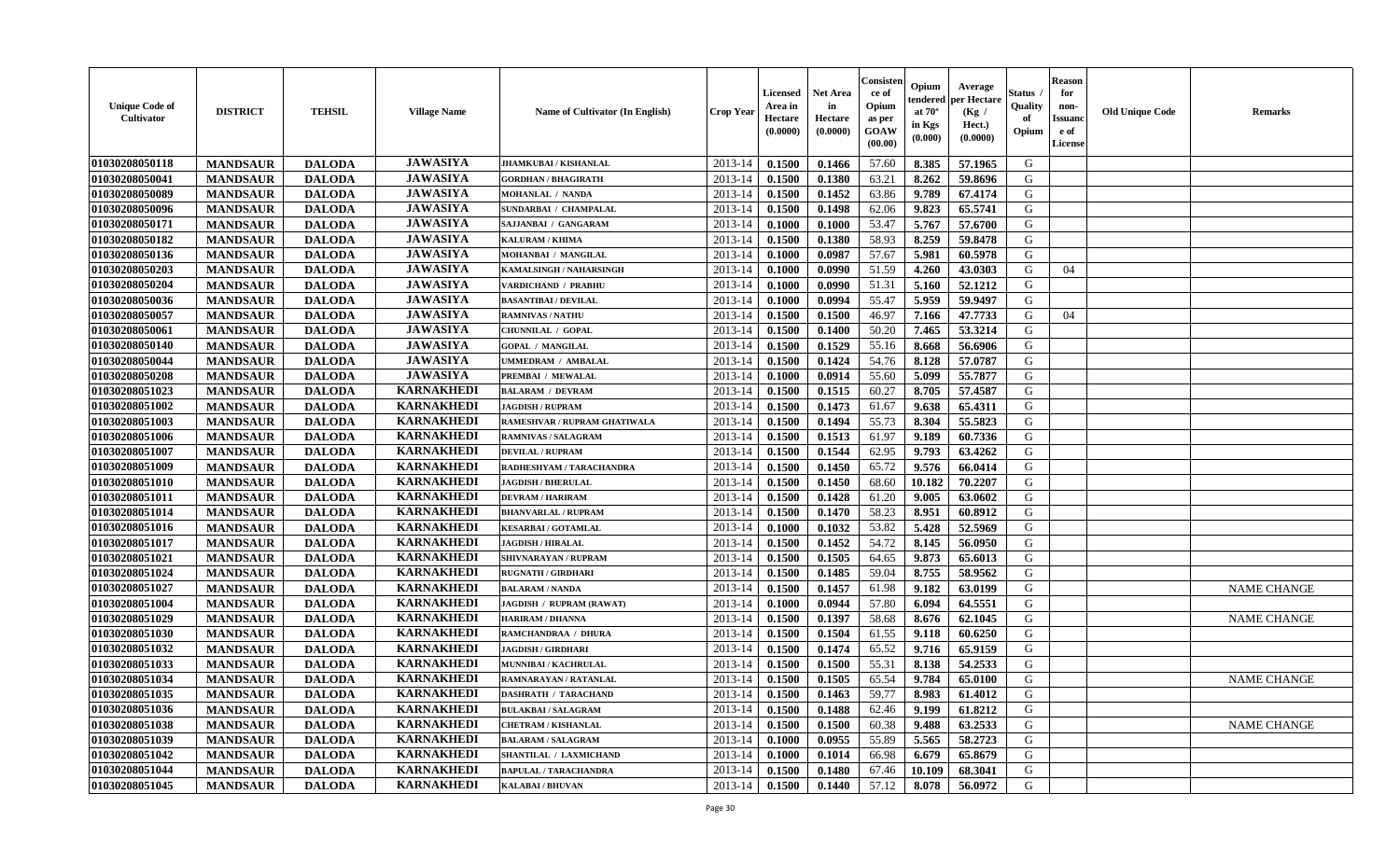| <b>Unique Code of</b><br>Cultivator | <b>DISTRICT</b> | <b>TEHSIL</b> | <b>Village Name</b> | <b>Name of Cultivator (In English)</b> | <b>Crop Year</b> | <b>Licensed</b><br>Area in<br>Hectare<br>(0.0000) | <b>Net Area</b><br>in<br>Hectare<br>(0.0000) | Consister<br>ce of<br>Opium<br>as per<br>GOAW<br>(00.00) | Opium<br>endered<br>at $70^\circ$<br>in Kgs<br>$(\mathbf{0.000})$ | Average<br>per Hectare<br>(Kg /<br>Hect.)<br>(0.0000) | Status<br>Quality<br>of<br>Opium | <b>Reason</b><br>for<br>non-<br><b>Issuanc</b><br>e of<br><b>License</b> | <b>Old Unique Code</b> | <b>Remarks</b>     |
|-------------------------------------|-----------------|---------------|---------------------|----------------------------------------|------------------|---------------------------------------------------|----------------------------------------------|----------------------------------------------------------|-------------------------------------------------------------------|-------------------------------------------------------|----------------------------------|--------------------------------------------------------------------------|------------------------|--------------------|
| 01030208050118                      | <b>MANDSAUR</b> | <b>DALODA</b> | <b>JAWASIYA</b>     | JHAMKUBAI / KISHANLAL                  | 2013-14          | 0.1500                                            | 0.1466                                       | 57.60                                                    | 8.385                                                             | 57.1965                                               | G                                |                                                                          |                        |                    |
| 01030208050041                      | <b>MANDSAUR</b> | <b>DALODA</b> | <b>JAWASIYA</b>     | <b>GORDHAN / BHAGIRATH</b>             | 2013-14          | 0.1500                                            | 0.1380                                       | 63.21                                                    | 8.262                                                             | 59.8696                                               | G                                |                                                                          |                        |                    |
| 01030208050089                      | <b>MANDSAUR</b> | <b>DALODA</b> | <b>JAWASIYA</b>     | MOHANLAL / NANDA                       | 2013-14          | 0.1500                                            | 0.1452                                       | 63.86                                                    | 9.789                                                             | 67.4174                                               | G                                |                                                                          |                        |                    |
| 01030208050096                      | <b>MANDSAUR</b> | <b>DALODA</b> | <b>JAWASIYA</b>     | <b>SUNDARBAI / CHAMPALAL</b>           | 2013-14          | 0.1500                                            | 0.1498                                       | 62.06                                                    | 9.823                                                             | 65.5741                                               | G                                |                                                                          |                        |                    |
| 01030208050171                      | <b>MANDSAUR</b> | <b>DALODA</b> | <b>JAWASIYA</b>     | SAJJANBAI / GANGARAM                   | 2013-14          | 0.1000                                            | 0.1000                                       | 53.47                                                    | 5.767                                                             | 57.6700                                               | G                                |                                                                          |                        |                    |
| 01030208050182                      | <b>MANDSAUR</b> | <b>DALODA</b> | <b>JAWASIYA</b>     | KALURAM / KHIMA                        | 2013-14          | 0.1500                                            | 0.1380                                       | 58.93                                                    | 8.259                                                             | 59.8478                                               | G                                |                                                                          |                        |                    |
| 01030208050136                      | <b>MANDSAUR</b> | <b>DALODA</b> | <b>JAWASIYA</b>     | MOHANBAI / MANGILAL                    | 2013-14          | 0.1000                                            | 0.0987                                       | 57.67                                                    | 5.981                                                             | 60.5978                                               | G                                |                                                                          |                        |                    |
| 01030208050203                      | <b>MANDSAUR</b> | <b>DALODA</b> | <b>JAWASIYA</b>     | KAMALSINGH / NAHARSINGH                | 2013-14          | 0.1000                                            | 0.0990                                       | 51.59                                                    | 4.260                                                             | 43.0303                                               | G                                | 04                                                                       |                        |                    |
| 01030208050204                      | <b>MANDSAUR</b> | <b>DALODA</b> | <b>JAWASIYA</b>     | <b>VARDICHAND / PRABHU</b>             | 2013-14          | 0.1000                                            | 0.0990                                       | 51.31                                                    | 5.160                                                             | 52.1212                                               | G                                |                                                                          |                        |                    |
| 01030208050036                      | <b>MANDSAUR</b> | <b>DALODA</b> | <b>JAWASIYA</b>     | <b>BASANTIBAI / DEVILAL</b>            | 2013-14          | 0.1000                                            | 0.0994                                       | 55.47                                                    | 5.959                                                             | 59.9497                                               | G                                |                                                                          |                        |                    |
| 01030208050057                      | <b>MANDSAUR</b> | <b>DALODA</b> | <b>JAWASIYA</b>     | <b>RAMNIVAS / NATHU</b>                | 2013-14          | 0.1500                                            | 0.1500                                       | 46.97                                                    | 7.166                                                             | 47.7733                                               | G                                | 04                                                                       |                        |                    |
| 01030208050061                      | <b>MANDSAUR</b> | <b>DALODA</b> | <b>JAWASIYA</b>     | CHUNNILAL / GOPAL                      | 2013-14          | 0.1500                                            | 0.1400                                       | 50.20                                                    | 7.465                                                             | 53.3214                                               | G                                |                                                                          |                        |                    |
| 01030208050140                      | <b>MANDSAUR</b> | <b>DALODA</b> | <b>JAWASIYA</b>     | <b>GOPAL / MANGILAL</b>                | 2013-14          | 0.1500                                            | 0.1529                                       | 55.16                                                    | 8.668                                                             | 56.6906                                               | G                                |                                                                          |                        |                    |
| 01030208050044                      | <b>MANDSAUR</b> | <b>DALODA</b> | <b>JAWASIYA</b>     | JMMEDRAM / AMBALAL                     | 2013-14          | 0.1500                                            | 0.1424                                       | 54.76                                                    | 8.128                                                             | 57.0787                                               | ${\bf G}$                        |                                                                          |                        |                    |
| 01030208050208                      | <b>MANDSAUR</b> | <b>DALODA</b> | <b>JAWASIYA</b>     | PREMBAI / MEWALAL                      | 2013-14          | 0.1000                                            | 0.0914                                       | 55.60                                                    | 5.099                                                             | 55.7877                                               | G                                |                                                                          |                        |                    |
| 01030208051023                      | <b>MANDSAUR</b> | <b>DALODA</b> | <b>KARNAKHEDI</b>   | <b>BALARAM / DEVRAM</b>                | 2013-14          | 0.1500                                            | 0.1515                                       | 60.27                                                    | 8.705                                                             | 57.4587                                               | G                                |                                                                          |                        |                    |
| 01030208051002                      | <b>MANDSAUR</b> | <b>DALODA</b> | <b>KARNAKHEDI</b>   | <b>JAGDISH / RUPRAM</b>                | 2013-14          | 0.1500                                            | 0.1473                                       | 61.67                                                    | 9.638                                                             | 65.4311                                               | G                                |                                                                          |                        |                    |
| 01030208051003                      | <b>MANDSAUR</b> | <b>DALODA</b> | <b>KARNAKHEDI</b>   | RAMESHVAR / RUPRAM GHATIWALA           | 2013-14          | 0.1500                                            | 0.1494                                       | 55.73                                                    | 8.304                                                             | 55.5823                                               | G                                |                                                                          |                        |                    |
| 01030208051006                      | <b>MANDSAUR</b> | <b>DALODA</b> | <b>KARNAKHEDI</b>   | <b>RAMNIVAS / SALAGRAM</b>             | 2013-14          | 0.1500                                            | 0.1513                                       | 61.97                                                    | 9.189                                                             | 60.7336                                               | G                                |                                                                          |                        |                    |
| 01030208051007                      | <b>MANDSAUR</b> | <b>DALODA</b> | <b>KARNAKHEDI</b>   | <b>DEVILAL / RUPRAM</b>                | 2013-14          | 0.1500                                            | 0.1544                                       | 62.95                                                    | 9.793                                                             | 63.4262                                               | G                                |                                                                          |                        |                    |
| 01030208051009                      | <b>MANDSAUR</b> | <b>DALODA</b> | <b>KARNAKHEDI</b>   | RADHESHYAM / TARACHANDRA               | 2013-14          | 0.1500                                            | 0.1450                                       | 65.72                                                    | 9.576                                                             | 66.0414                                               | G                                |                                                                          |                        |                    |
| 01030208051010                      | <b>MANDSAUR</b> | <b>DALODA</b> | <b>KARNAKHEDI</b>   | <b>JAGDISH / BHERULAL</b>              | 2013-14          | 0.1500                                            | 0.1450                                       | 68.60                                                    | 10.182                                                            | 70.2207                                               | G                                |                                                                          |                        |                    |
| 01030208051011                      | <b>MANDSAUR</b> | <b>DALODA</b> | <b>KARNAKHEDI</b>   | <b>DEVRAM / HARIRAM</b>                | 2013-14          | 0.1500                                            | 0.1428                                       | 61.20                                                    | 9.005                                                             | 63.0602                                               | G                                |                                                                          |                        |                    |
| 01030208051014                      | <b>MANDSAUR</b> | <b>DALODA</b> | <b>KARNAKHEDI</b>   | <b>BHANVARLAL / RUPRAM</b>             | 2013-14          | 0.1500                                            | 0.1470                                       | 58.23                                                    | 8.951                                                             | 60.8912                                               | G                                |                                                                          |                        |                    |
| 01030208051016                      | <b>MANDSAUR</b> | <b>DALODA</b> | <b>KARNAKHEDI</b>   | <b>KESARBAI/GOTAMLAL</b>               | 2013-14          | 0.1000                                            | 0.1032                                       | 53.82                                                    | 5.428                                                             | 52.5969                                               | G                                |                                                                          |                        |                    |
| 01030208051017                      | <b>MANDSAUR</b> | <b>DALODA</b> | <b>KARNAKHEDI</b>   | <b>JAGDISH / HIRALAL</b>               | 2013-14          | 0.1500                                            | 0.1452                                       | 54.72                                                    | 8.145                                                             | 56.0950                                               | G                                |                                                                          |                        |                    |
| 01030208051021                      | <b>MANDSAUR</b> | <b>DALODA</b> | <b>KARNAKHEDI</b>   | SHIVNARAYAN / RUPRAM                   | 2013-14          | 0.1500                                            | 0.1505                                       | 64.65                                                    | 9.873                                                             | 65.6013                                               | G                                |                                                                          |                        |                    |
| 01030208051024                      | <b>MANDSAUR</b> | <b>DALODA</b> | <b>KARNAKHEDI</b>   | <b>RUGNATH / GIRDHARI</b>              | 2013-14          | 0.1500                                            | 0.1485                                       | 59.04                                                    | 8.755                                                             | 58.9562                                               | G                                |                                                                          |                        |                    |
| 01030208051027                      | <b>MANDSAUR</b> | <b>DALODA</b> | <b>KARNAKHEDI</b>   | <b>BALARAM / NANDA</b>                 | 2013-14          | 0.1500                                            | 0.1457                                       | 61.98                                                    | 9.182                                                             | 63.0199                                               | G                                |                                                                          |                        | <b>NAME CHANGE</b> |
| 01030208051004                      | <b>MANDSAUR</b> | <b>DALODA</b> | <b>KARNAKHEDI</b>   | JAGDISH / RUPRAM (RAWAT)               | 2013-14          | 0.1000                                            | 0.0944                                       | 57.80                                                    | 6.094                                                             | 64.5551                                               | G                                |                                                                          |                        |                    |
| 01030208051029                      | <b>MANDSAUR</b> | <b>DALODA</b> | <b>KARNAKHEDI</b>   | <b>HARIRAM / DHANNA</b>                | 2013-14          | 0.1500                                            | 0.1397                                       | 58.68                                                    | 8.676                                                             | 62.1045                                               | G                                |                                                                          |                        | NAME CHANGE        |
| 01030208051030                      | <b>MANDSAUR</b> | <b>DALODA</b> | <b>KARNAKHEDI</b>   | RAMCHANDRAA / DHURA                    | 2013-14          | 0.1500                                            | 0.1504                                       | 61.55                                                    | 9.118                                                             | 60.6250                                               | G                                |                                                                          |                        |                    |
| 01030208051032                      | <b>MANDSAUR</b> | <b>DALODA</b> | <b>KARNAKHEDI</b>   | <b>JAGDISH / GIRDHARI</b>              | 2013-14          | 0.1500                                            | 0.1474                                       | 65.52                                                    | 9.716                                                             | 65.9159                                               | G                                |                                                                          |                        |                    |
| 01030208051033                      | <b>MANDSAUR</b> | <b>DALODA</b> | <b>KARNAKHEDI</b>   | MUNNIBAI / KACHRULAL                   | 2013-14          | 0.1500                                            | 0.1500                                       | 55.31                                                    | 8.138                                                             | 54.2533                                               | G                                |                                                                          |                        |                    |
| 01030208051034                      | <b>MANDSAUR</b> | <b>DALODA</b> | <b>KARNAKHEDI</b>   | RAMNARAYAN / RATANLAL                  | 2013-14          | 0.1500                                            | 0.1505                                       | 65.54                                                    | 9.784                                                             | 65.0100                                               | G                                |                                                                          |                        | <b>NAME CHANGE</b> |
| 01030208051035                      | <b>MANDSAUR</b> | <b>DALODA</b> | <b>KARNAKHEDI</b>   | <b>DASHRATH / TARACHAND</b>            | 2013-14          | 0.1500                                            | 0.1463                                       | 59.77                                                    | 8.983                                                             | 61.4012                                               | G                                |                                                                          |                        |                    |
| 01030208051036                      | <b>MANDSAUR</b> | <b>DALODA</b> | <b>KARNAKHEDI</b>   | <b>BULAKBAI/SALAGRAM</b>               | 2013-14          | 0.1500                                            | 0.1488                                       | 62.46                                                    | 9.199                                                             | 61.8212                                               | G                                |                                                                          |                        |                    |
| 01030208051038                      | <b>MANDSAUR</b> | <b>DALODA</b> | <b>KARNAKHEDI</b>   | <b>CHETRAM / KISHANLAL</b>             | 2013-14          | 0.1500                                            | 0.1500                                       | 60.38                                                    | 9.488                                                             | 63.2533                                               | G                                |                                                                          |                        | <b>NAME CHANGE</b> |
| 01030208051039                      | <b>MANDSAUR</b> | <b>DALODA</b> | <b>KARNAKHEDI</b>   | <b>BALARAM / SALAGRAM</b>              | 2013-14          | 0.1000                                            | 0.0955                                       | 55.89                                                    | 5.565                                                             | 58.2723                                               | ${\bf G}$                        |                                                                          |                        |                    |
| 01030208051042                      | <b>MANDSAUR</b> | <b>DALODA</b> | <b>KARNAKHEDI</b>   | SHANTILAL / LAXMICHAND                 | 2013-14          | 0.1000                                            | 0.1014                                       | 66.98                                                    | 6.679                                                             | 65.8679                                               | G                                |                                                                          |                        |                    |
| 01030208051044                      | <b>MANDSAUR</b> | <b>DALODA</b> | <b>KARNAKHEDI</b>   | <b>BAPULAL / TARACHANDRA</b>           | 2013-14          | 0.1500                                            | 0.1480                                       | 67.46                                                    | 10.109                                                            | 68.3041                                               | G                                |                                                                          |                        |                    |
| 01030208051045                      | <b>MANDSAUR</b> | <b>DALODA</b> | <b>KARNAKHEDI</b>   | <b>KALABAI/BHUVAN</b>                  | 2013-14          | 0.1500                                            | 0.1440                                       | 57.12                                                    | 8.078                                                             | 56.0972                                               | G                                |                                                                          |                        |                    |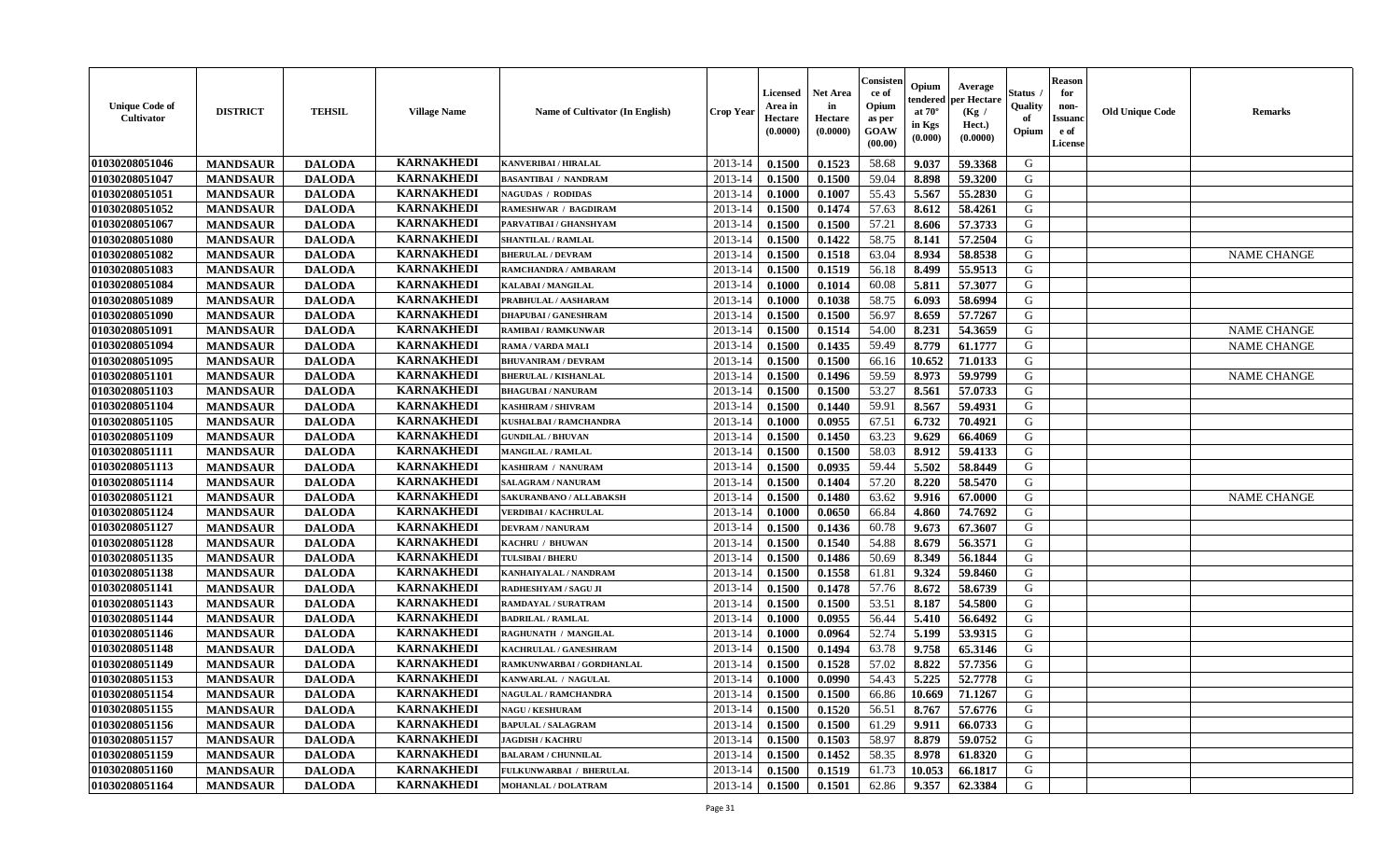| <b>Unique Code of</b><br>Cultivator | <b>DISTRICT</b> | <b>TEHSIL</b> | <b>Village Name</b> | Name of Cultivator (In English) | Crop Year   | Licensed<br>Area in<br>Hectare<br>(0.0000) | <b>Net Area</b><br>in<br>Hectare<br>(0.0000) | Consister<br>ce of<br>Opium<br>as per<br>GOAW<br>(00.00) | Opium<br>endered<br>at $70^\circ$<br>in Kgs<br>$(\mathbf{0.000})$ | Average<br>per Hectare<br>(Kg /<br>Hect.)<br>(0.0000) | Status<br>Quality<br>of<br>Opium | <b>Reason</b><br>for<br>non-<br><b>Issuanc</b><br>e of<br>License | <b>Old Unique Code</b> | Remarks            |
|-------------------------------------|-----------------|---------------|---------------------|---------------------------------|-------------|--------------------------------------------|----------------------------------------------|----------------------------------------------------------|-------------------------------------------------------------------|-------------------------------------------------------|----------------------------------|-------------------------------------------------------------------|------------------------|--------------------|
| 01030208051046                      | <b>MANDSAUR</b> | <b>DALODA</b> | <b>KARNAKHEDI</b>   | <b>KANVERIBAI / HIRALAL</b>     | 2013-14     | 0.1500                                     | 0.1523                                       | 58.68                                                    | 9.037                                                             | 59.3368                                               | G                                |                                                                   |                        |                    |
| 01030208051047                      | <b>MANDSAUR</b> | <b>DALODA</b> | <b>KARNAKHEDI</b>   | <b>BASANTIBAI / NANDRAM</b>     | 2013-14     | 0.1500                                     | 0.1500                                       | 59.04                                                    | 8.898                                                             | 59.3200                                               | G                                |                                                                   |                        |                    |
| 01030208051051                      | <b>MANDSAUR</b> | <b>DALODA</b> | <b>KARNAKHEDI</b>   | <b>NAGUDAS / RODIDAS</b>        | 2013-14     | 0.1000                                     | 0.1007                                       | 55.43                                                    | 5.567                                                             | 55.2830                                               | G                                |                                                                   |                        |                    |
| 01030208051052                      | <b>MANDSAUR</b> | <b>DALODA</b> | <b>KARNAKHEDI</b>   | <b>RAMESHWAR / BAGDIRAM</b>     | 2013-14     | 0.1500                                     | 0.1474                                       | 57.63                                                    | 8.612                                                             | 58.4261                                               | G                                |                                                                   |                        |                    |
| 01030208051067                      | <b>MANDSAUR</b> | <b>DALODA</b> | <b>KARNAKHEDI</b>   | PARVATIBAI / GHANSHYAM          | 2013-14     | 0.1500                                     | 0.1500                                       | 57.21                                                    | 8.606                                                             | 57.3733                                               | G                                |                                                                   |                        |                    |
| 01030208051080                      | <b>MANDSAUR</b> | <b>DALODA</b> | <b>KARNAKHEDI</b>   | <b>SHANTILAL / RAMLAL</b>       | 2013-14     | 0.1500                                     | 0.1422                                       | 58.75                                                    | 8.141                                                             | 57.2504                                               | G                                |                                                                   |                        |                    |
| 01030208051082                      | <b>MANDSAUR</b> | <b>DALODA</b> | <b>KARNAKHEDI</b>   | <b>BHERULAL / DEVRAM</b>        | $2013 - 14$ | 0.1500                                     | 0.1518                                       | 63.04                                                    | 8.934                                                             | 58.8538                                               | G                                |                                                                   |                        | <b>NAME CHANGE</b> |
| 01030208051083                      | <b>MANDSAUR</b> | <b>DALODA</b> | <b>KARNAKHEDI</b>   | RAMCHANDRA / AMBARAM            | 2013-14     | 0.1500                                     | 0.1519                                       | 56.18                                                    | 8.499                                                             | 55.9513                                               | G                                |                                                                   |                        |                    |
| 01030208051084                      | <b>MANDSAUR</b> | <b>DALODA</b> | <b>KARNAKHEDI</b>   | KALABAI / MANGILAL              | 2013-14     | 0.1000                                     | 0.1014                                       | 60.08                                                    | 5.811                                                             | 57.3077                                               | G                                |                                                                   |                        |                    |
| 01030208051089                      | <b>MANDSAUR</b> | <b>DALODA</b> | <b>KARNAKHEDI</b>   | PRABHULAL / AASHARAM            | 2013-14     | 0.1000                                     | 0.1038                                       | 58.75                                                    | 6.093                                                             | 58.6994                                               | G                                |                                                                   |                        |                    |
| 01030208051090                      | <b>MANDSAUR</b> | <b>DALODA</b> | <b>KARNAKHEDI</b>   | <b>DHAPUBAI/GANESHRAM</b>       | 2013-14     | 0.1500                                     | 0.1500                                       | 56.97                                                    | 8.659                                                             | 57.7267                                               | G                                |                                                                   |                        |                    |
| 01030208051091                      | <b>MANDSAUR</b> | <b>DALODA</b> | <b>KARNAKHEDI</b>   | <b>RAMIBAI / RAMKUNWAR</b>      | 2013-14     | 0.1500                                     | 0.1514                                       | 54.00                                                    | 8.231                                                             | 54.3659                                               | G                                |                                                                   |                        | <b>NAME CHANGE</b> |
| 01030208051094                      | <b>MANDSAUR</b> | <b>DALODA</b> | <b>KARNAKHEDI</b>   | RAMA / VARDA MALI               | 2013-14     | 0.1500                                     | 0.1435                                       | 59.49                                                    | 8.779                                                             | 61.1777                                               | G                                |                                                                   |                        | <b>NAME CHANGE</b> |
| 01030208051095                      | <b>MANDSAUR</b> | <b>DALODA</b> | <b>KARNAKHEDI</b>   | <b>BHUVANIRAM / DEVRAM</b>      | 2013-14     | 0.1500                                     | 0.1500                                       | 66.16                                                    | 10.652                                                            | 71.0133                                               | G                                |                                                                   |                        |                    |
| 01030208051101                      | <b>MANDSAUR</b> | <b>DALODA</b> | <b>KARNAKHEDI</b>   | <b>BHERULAL / KISHANLAL</b>     | $2013 - 14$ | 0.1500                                     | 0.1496                                       | 59.59                                                    | 8.973                                                             | 59.9799                                               | G                                |                                                                   |                        | <b>NAME CHANGE</b> |
| 01030208051103                      | <b>MANDSAUR</b> | <b>DALODA</b> | <b>KARNAKHEDI</b>   | <b>BHAGUBAI / NANURAM</b>       | $2013 - 14$ | 0.1500                                     | 0.1500                                       | 53.27                                                    | 8.561                                                             | 57.0733                                               | G                                |                                                                   |                        |                    |
| 01030208051104                      | <b>MANDSAUR</b> | <b>DALODA</b> | <b>KARNAKHEDI</b>   | KASHIRAM / SHIVRAM              | 2013-14     | 0.1500                                     | 0.1440                                       | 59.91                                                    | 8.567                                                             | 59.4931                                               | G                                |                                                                   |                        |                    |
| 01030208051105                      | <b>MANDSAUR</b> | <b>DALODA</b> | <b>KARNAKHEDI</b>   | KUSHALBAI / RAMCHANDRA          | 2013-14     | 0.1000                                     | 0.0955                                       | 67.51                                                    | 6.732                                                             | 70.4921                                               | G                                |                                                                   |                        |                    |
| 01030208051109                      | <b>MANDSAUR</b> | <b>DALODA</b> | <b>KARNAKHEDI</b>   | <b>GUNDILAL / BHUVAN</b>        | 2013-14     | 0.1500                                     | 0.1450                                       | 63.23                                                    | 9.629                                                             | 66.4069                                               | G                                |                                                                   |                        |                    |
| 01030208051111                      | <b>MANDSAUR</b> | <b>DALODA</b> | <b>KARNAKHEDI</b>   | <b>MANGILAL / RAMLAL</b>        | 2013-14     | 0.1500                                     | 0.1500                                       | 58.03                                                    | 8.912                                                             | 59.4133                                               | G                                |                                                                   |                        |                    |
| 01030208051113                      | <b>MANDSAUR</b> | <b>DALODA</b> | <b>KARNAKHEDI</b>   | KASHIRAM / NANURAM              | 2013-14     | 0.1500                                     | 0.0935                                       | 59.44                                                    | 5.502                                                             | 58.8449                                               | G                                |                                                                   |                        |                    |
| 01030208051114                      | <b>MANDSAUR</b> | <b>DALODA</b> | <b>KARNAKHEDI</b>   | <b>SALAGRAM / NANURAM</b>       | 2013-14     | 0.1500                                     | 0.1404                                       | 57.20                                                    | 8.220                                                             | 58.5470                                               | G                                |                                                                   |                        |                    |
| 01030208051121                      | <b>MANDSAUR</b> | <b>DALODA</b> | <b>KARNAKHEDI</b>   | SAKURANBANO / ALLABAKSH         | 2013-14     | 0.1500                                     | 0.1480                                       | 63.62                                                    | 9.916                                                             | 67.0000                                               | G                                |                                                                   |                        | <b>NAME CHANGE</b> |
| 01030208051124                      | <b>MANDSAUR</b> | <b>DALODA</b> | <b>KARNAKHEDI</b>   | VERDIBAI / KACHRULAL            | 2013-14     | 0.1000                                     | 0.0650                                       | 66.84                                                    | 4.860                                                             | 74.7692                                               | G                                |                                                                   |                        |                    |
| 01030208051127                      | <b>MANDSAUR</b> | <b>DALODA</b> | <b>KARNAKHEDI</b>   | <b>DEVRAM / NANURAM</b>         | 2013-14     | 0.1500                                     | 0.1436                                       | 60.78                                                    | 9.673                                                             | 67.3607                                               | G                                |                                                                   |                        |                    |
| 01030208051128                      | <b>MANDSAUR</b> | <b>DALODA</b> | <b>KARNAKHEDI</b>   | KACHRU / BHUWAN                 | 2013-14     | 0.1500                                     | 0.1540                                       | 54.88                                                    | 8.679                                                             | 56.3571                                               | G                                |                                                                   |                        |                    |
| 01030208051135                      | <b>MANDSAUR</b> | <b>DALODA</b> | <b>KARNAKHEDI</b>   | <b>TULSIBAI / BHERU</b>         | 2013-14     | 0.1500                                     | 0.1486                                       | 50.69                                                    | 8.349                                                             | 56.1844                                               | G                                |                                                                   |                        |                    |
| 01030208051138                      | <b>MANDSAUR</b> | <b>DALODA</b> | <b>KARNAKHEDI</b>   | KANHAIYALAL / NANDRAM           | $2013 - 14$ | 0.1500                                     | 0.1558                                       | 61.81                                                    | 9.324                                                             | 59.8460                                               | G                                |                                                                   |                        |                    |
| 01030208051141                      | <b>MANDSAUR</b> | <b>DALODA</b> | <b>KARNAKHEDI</b>   | RADHESHYAM / SAGU JI            | 2013-14     | 0.1500                                     | 0.1478                                       | 57.76                                                    | 8.672                                                             | 58.6739                                               | G                                |                                                                   |                        |                    |
| 01030208051143                      | <b>MANDSAUR</b> | <b>DALODA</b> | <b>KARNAKHEDI</b>   | <b>RAMDAYAL / SURATRAM</b>      | $2013 - 14$ | 0.1500                                     | 0.1500                                       | 53.51                                                    | 8.187                                                             | 54.5800                                               | G                                |                                                                   |                        |                    |
| 01030208051144                      | <b>MANDSAUR</b> | <b>DALODA</b> | <b>KARNAKHEDI</b>   | <b>BADRILAL / RAMLAL</b>        | 2013-14     | 0.1000                                     | 0.0955                                       | 56.44                                                    | 5.410                                                             | 56.6492                                               | G                                |                                                                   |                        |                    |
| 01030208051146                      | <b>MANDSAUR</b> | <b>DALODA</b> | <b>KARNAKHEDI</b>   | RAGHUNATH / MANGILAL            | 2013-14     | 0.1000                                     | 0.0964                                       | 52.74                                                    | 5.199                                                             | 53.9315                                               | G                                |                                                                   |                        |                    |
| 01030208051148                      | <b>MANDSAUR</b> | <b>DALODA</b> | <b>KARNAKHEDI</b>   | KACHRULAL / GANESHRAM           | 2013-14     | 0.1500                                     | 0.1494                                       | 63.78                                                    | 9.758                                                             | 65.3146                                               | G                                |                                                                   |                        |                    |
| 01030208051149                      | <b>MANDSAUR</b> | <b>DALODA</b> | <b>KARNAKHEDI</b>   | RAMKUNWARBAI / GORDHANLAL       | 2013-14     | 0.1500                                     | 0.1528                                       | 57.02                                                    | 8.822                                                             | 57.7356                                               | G                                |                                                                   |                        |                    |
| 01030208051153                      | <b>MANDSAUR</b> | <b>DALODA</b> | <b>KARNAKHEDI</b>   | KANWARLAL / NAGULAL             | 2013-14     | 0.1000                                     | 0.0990                                       | 54.43                                                    | 5.225                                                             | 52.7778                                               | G                                |                                                                   |                        |                    |
| 01030208051154                      | <b>MANDSAUR</b> | <b>DALODA</b> | <b>KARNAKHEDI</b>   | <b>NAGULAL / RAMCHANDRA</b>     | 2013-14     | 0.1500                                     | 0.1500                                       | 66.86                                                    | 10.669                                                            | 71.1267                                               | G                                |                                                                   |                        |                    |
| 01030208051155                      | <b>MANDSAUR</b> | <b>DALODA</b> | <b>KARNAKHEDI</b>   | <b>NAGU / KESHURAM</b>          | 2013-14     | 0.1500                                     | 0.1520                                       | 56.51                                                    | 8.767                                                             | 57.6776                                               | G                                |                                                                   |                        |                    |
| 01030208051156                      | <b>MANDSAUR</b> | <b>DALODA</b> | <b>KARNAKHEDI</b>   | <b>BAPULAL / SALAGRAM</b>       | 2013-14     | 0.1500                                     | 0.1500                                       | 61.29                                                    | 9.911                                                             | 66.0733                                               | G                                |                                                                   |                        |                    |
| 01030208051157                      | <b>MANDSAUR</b> | <b>DALODA</b> | <b>KARNAKHEDI</b>   | <b>JAGDISH / KACHRU</b>         | $2013 - 14$ | 0.1500                                     | 0.1503                                       | 58.97                                                    | 8.879                                                             | 59.0752                                               | G                                |                                                                   |                        |                    |
| 01030208051159                      | <b>MANDSAUR</b> | <b>DALODA</b> | <b>KARNAKHEDI</b>   | <b>BALARAM / CHUNNILAL</b>      | $2013 - 14$ | 0.1500                                     | 0.1452                                       | 58.35                                                    | 8.978                                                             | 61.8320                                               | ${\bf G}$                        |                                                                   |                        |                    |
| 01030208051160                      | <b>MANDSAUR</b> | <b>DALODA</b> | <b>KARNAKHEDI</b>   | FULKUNWARBAI / BHERULAL         | 2013-14     | 0.1500                                     | 0.1519                                       | 61.73                                                    | 10.053                                                            | 66.1817                                               | G                                |                                                                   |                        |                    |
| 01030208051164                      | <b>MANDSAUR</b> | <b>DALODA</b> | <b>KARNAKHEDI</b>   | <b>MOHANLAL / DOLATRAM</b>      | 2013-14     | 0.1500                                     | 0.1501                                       | 62.86                                                    | 9.357                                                             | 62.3384                                               | G                                |                                                                   |                        |                    |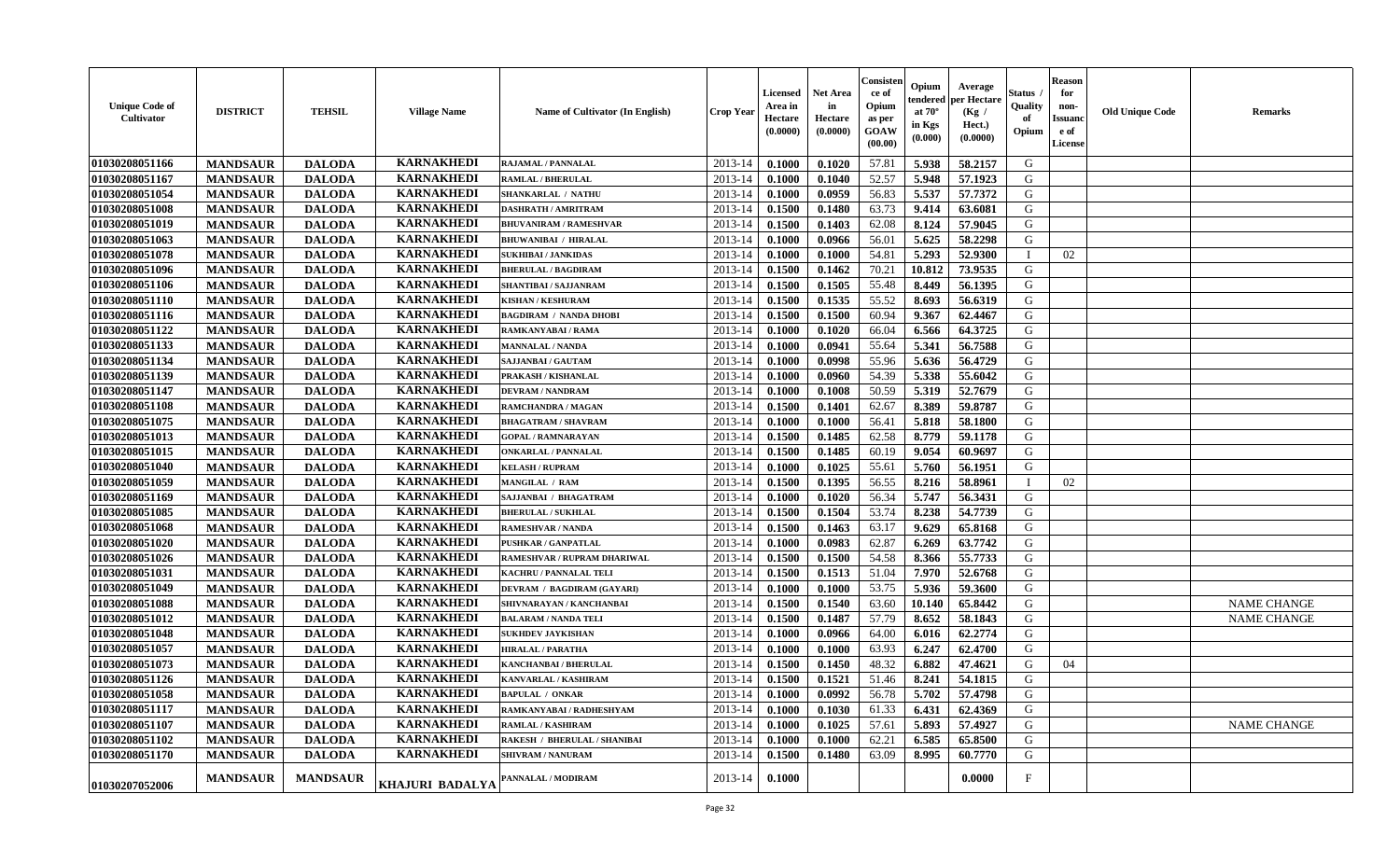| <b>Unique Code of</b><br><b>Cultivator</b> | <b>DISTRICT</b> | <b>TEHSIL</b>   | <b>Village Name</b> | <b>Name of Cultivator (In English)</b> | <b>Crop Year</b> | <b>Licensed</b><br>Area in<br>Hectare<br>(0.0000) | <b>Net Area</b><br>in<br>Hectare<br>(0.0000) | Consisteı<br>ce of<br>Opium<br>as per<br><b>GOAW</b><br>(00.00) | Opium<br>endered<br>at $70^\circ$<br>in Kgs<br>$(\mathbf{0.000})$ | Average<br>per Hectare<br>(Kg /<br>Hect.)<br>(0.0000) | Status<br>Quality<br>of<br>Opium | <b>Reason</b><br>for<br>non-<br>Issuan<br>e of<br>License | <b>Old Unique Code</b> | <b>Remarks</b>     |
|--------------------------------------------|-----------------|-----------------|---------------------|----------------------------------------|------------------|---------------------------------------------------|----------------------------------------------|-----------------------------------------------------------------|-------------------------------------------------------------------|-------------------------------------------------------|----------------------------------|-----------------------------------------------------------|------------------------|--------------------|
| 01030208051166                             | <b>MANDSAUR</b> | <b>DALODA</b>   | <b>KARNAKHEDI</b>   | <b>RAJAMAL / PANNALAL</b>              | 2013-14          | 0.1000                                            | 0.1020                                       | 57.81                                                           | 5.938                                                             | 58,2157                                               | G                                |                                                           |                        |                    |
| 01030208051167                             | <b>MANDSAUR</b> | <b>DALODA</b>   | <b>KARNAKHEDI</b>   | <b>RAMLAL / BHERULAL</b>               | 2013-14          | 0.1000                                            | 0.1040                                       | 52.57                                                           | 5.948                                                             | 57.1923                                               | G                                |                                                           |                        |                    |
| 01030208051054                             | <b>MANDSAUR</b> | <b>DALODA</b>   | <b>KARNAKHEDI</b>   | <b>SHANKARLAL / NATHU</b>              | 2013-14          | 0.1000                                            | 0.0959                                       | 56.83                                                           | 5.537                                                             | 57.7372                                               | G                                |                                                           |                        |                    |
| 01030208051008                             | <b>MANDSAUR</b> | <b>DALODA</b>   | <b>KARNAKHEDI</b>   | <b>DASHRATH / AMRITRAM</b>             | 2013-14          | 0.1500                                            | 0.1480                                       | 63.73                                                           | 9.414                                                             | 63.6081                                               | G                                |                                                           |                        |                    |
| 01030208051019                             | <b>MANDSAUR</b> | <b>DALODA</b>   | <b>KARNAKHEDI</b>   | <b>BHUVANIRAM / RAMESHVAR</b>          | 2013-14          | 0.1500                                            | 0.1403                                       | 62.08                                                           | 8.124                                                             | 57.9045                                               | G                                |                                                           |                        |                    |
| 01030208051063                             | <b>MANDSAUR</b> | <b>DALODA</b>   | <b>KARNAKHEDI</b>   | <b>BHUWANIBAI / HIRALAL</b>            | 2013-14          | 0.1000                                            | 0.0966                                       | 56.01                                                           | 5.625                                                             | 58.2298                                               | G                                |                                                           |                        |                    |
| 01030208051078                             | <b>MANDSAUR</b> | <b>DALODA</b>   | <b>KARNAKHEDI</b>   | <b>SUKHIBAI / JANKIDAS</b>             | 2013-14          | 0.1000                                            | 0.1000                                       | 54.81                                                           | 5.293                                                             | 52.9300                                               | $\blacksquare$                   | 02                                                        |                        |                    |
| 01030208051096                             | <b>MANDSAUR</b> | <b>DALODA</b>   | <b>KARNAKHEDI</b>   | <b>BHERULAL / BAGDIRAM</b>             | 2013-14          | 0.1500                                            | 0.1462                                       | 70.21                                                           | 10.812                                                            | 73.9535                                               | G                                |                                                           |                        |                    |
| 01030208051106                             | <b>MANDSAUR</b> | <b>DALODA</b>   | <b>KARNAKHEDI</b>   | SHANTIBAI / SAJJANRAM                  | 2013-14          | 0.1500                                            | 0.1505                                       | 55.48                                                           | 8.449                                                             | 56.1395                                               | G                                |                                                           |                        |                    |
| 01030208051110                             | <b>MANDSAUR</b> | <b>DALODA</b>   | <b>KARNAKHEDI</b>   | <b>KISHAN / KESHURAM</b>               | 2013-14          | 0.1500                                            | 0.1535                                       | 55.52                                                           | 8.693                                                             | 56.6319                                               | G                                |                                                           |                        |                    |
| 01030208051116                             | <b>MANDSAUR</b> | <b>DALODA</b>   | <b>KARNAKHEDI</b>   | <b>BAGDIRAM / NANDA DHOBI</b>          | 2013-14          | 0.1500                                            | 0.1500                                       | 60.94                                                           | 9.367                                                             | 62,4467                                               | G                                |                                                           |                        |                    |
| 01030208051122                             | <b>MANDSAUR</b> | <b>DALODA</b>   | <b>KARNAKHEDI</b>   | RAMKANYABAI / RAMA                     | 2013-14          | 0.1000                                            | 0.1020                                       | 66.04                                                           | 6.566                                                             | 64.3725                                               | G                                |                                                           |                        |                    |
| 01030208051133                             | <b>MANDSAUR</b> | <b>DALODA</b>   | <b>KARNAKHEDI</b>   | <b>MANNALAL / NANDA</b>                | 2013-14          | 0.1000                                            | 0.0941                                       | 55.64                                                           | 5.341                                                             | 56.7588                                               | G                                |                                                           |                        |                    |
| 01030208051134                             | <b>MANDSAUR</b> | <b>DALODA</b>   | <b>KARNAKHEDI</b>   | <b>SAJJANBAI / GAUTAM</b>              | 2013-14          | 0.1000                                            | 0.0998                                       | 55.96                                                           | 5.636                                                             | 56.4729                                               | G                                |                                                           |                        |                    |
| 01030208051139                             | <b>MANDSAUR</b> | <b>DALODA</b>   | <b>KARNAKHEDI</b>   | PRAKASH / KISHANLAL                    | 2013-14          | 0.1000                                            | 0.0960                                       | 54.39                                                           | 5.338                                                             | 55.6042                                               | G                                |                                                           |                        |                    |
| 01030208051147                             | <b>MANDSAUR</b> | <b>DALODA</b>   | <b>KARNAKHEDI</b>   | <b>DEVRAM / NANDRAM</b>                | 2013-14          | 0.1000                                            | 0.1008                                       | 50.59                                                           | 5.319                                                             | 52.7679                                               | G                                |                                                           |                        |                    |
| 01030208051108                             | <b>MANDSAUR</b> | <b>DALODA</b>   | <b>KARNAKHEDI</b>   | RAMCHANDRA / MAGAN                     | 2013-14          | 0.1500                                            | 0.1401                                       | 62.67                                                           | 8.389                                                             | 59.8787                                               | G                                |                                                           |                        |                    |
| 01030208051075                             | <b>MANDSAUR</b> | <b>DALODA</b>   | <b>KARNAKHEDI</b>   | <b>BHAGATRAM / SHAVRAM</b>             | 2013-14          | 0.1000                                            | 0.1000                                       | 56.41                                                           | 5.818                                                             | 58.1800                                               | G                                |                                                           |                        |                    |
| 01030208051013                             | <b>MANDSAUR</b> | <b>DALODA</b>   | <b>KARNAKHEDI</b>   | <b>GOPAL / RAMNARAYAN</b>              | 2013-14          | 0.1500                                            | 0.1485                                       | 62.58                                                           | 8.779                                                             | 59.1178                                               | G                                |                                                           |                        |                    |
| 01030208051015                             | <b>MANDSAUR</b> | <b>DALODA</b>   | <b>KARNAKHEDI</b>   | <b>ONKARLAL / PANNALAL</b>             | 2013-14          | 0.1500                                            | 0.1485                                       | 60.19                                                           | 9.054                                                             | 60.9697                                               | G                                |                                                           |                        |                    |
| 01030208051040                             | <b>MANDSAUR</b> | <b>DALODA</b>   | <b>KARNAKHEDI</b>   | <b>KELASH / RUPRAM</b>                 | 2013-14          | 0.1000                                            | 0.1025                                       | 55.61                                                           | 5.760                                                             | 56.1951                                               | G                                |                                                           |                        |                    |
| 01030208051059                             | <b>MANDSAUR</b> | <b>DALODA</b>   | <b>KARNAKHEDI</b>   | MANGILAL / RAM                         | 2013-14          | 0.1500                                            | 0.1395                                       | 56.55                                                           | 8.216                                                             | 58.8961                                               | - 1                              | 02                                                        |                        |                    |
| 01030208051169                             | <b>MANDSAUR</b> | <b>DALODA</b>   | <b>KARNAKHEDI</b>   | SAJJANBAI / BHAGATRAM                  | 2013-14          | 0.1000                                            | 0.1020                                       | 56.34                                                           | 5.747                                                             | 56.3431                                               | G                                |                                                           |                        |                    |
| 01030208051085                             | <b>MANDSAUR</b> | <b>DALODA</b>   | <b>KARNAKHEDI</b>   | <b>BHERULAL / SUKHLAL</b>              | 2013-14          | 0.1500                                            | 0.1504                                       | 53.74                                                           | 8.238                                                             | 54.7739                                               | G                                |                                                           |                        |                    |
| 01030208051068                             | <b>MANDSAUR</b> | <b>DALODA</b>   | <b>KARNAKHEDI</b>   | <b>RAMESHVAR / NANDA</b>               | 2013-14          | 0.1500                                            | 0.1463                                       | 63.17                                                           | 9.629                                                             | 65.8168                                               | G                                |                                                           |                        |                    |
| 01030208051020                             | <b>MANDSAUR</b> | <b>DALODA</b>   | <b>KARNAKHEDI</b>   | <b>PUSHKAR / GANPATLAL</b>             | 2013-14          | 0.1000                                            | 0.0983                                       | 62.87                                                           | 6.269                                                             | 63.7742                                               | G                                |                                                           |                        |                    |
| 01030208051026                             | <b>MANDSAUR</b> | <b>DALODA</b>   | <b>KARNAKHEDI</b>   | RAMESHVAR / RUPRAM DHARIWAL            | 2013-14          | 0.1500                                            | 0.1500                                       | 54.58                                                           | 8.366                                                             | 55.7733                                               | G                                |                                                           |                        |                    |
| 01030208051031                             | <b>MANDSAUR</b> | <b>DALODA</b>   | <b>KARNAKHEDI</b>   | <b>KACHRU / PANNALAL TELI</b>          | 2013-14          | 0.1500                                            | 0.1513                                       | 51.04                                                           | 7.970                                                             | 52.6768                                               | G                                |                                                           |                        |                    |
| 01030208051049                             | <b>MANDSAUR</b> | <b>DALODA</b>   | <b>KARNAKHEDI</b>   | DEVRAM / BAGDIRAM (GAYARI)             | 2013-14          | 0.1000                                            | 0.1000                                       | 53.75                                                           | 5.936                                                             | 59.3600                                               | G                                |                                                           |                        |                    |
| 01030208051088                             | <b>MANDSAUR</b> | <b>DALODA</b>   | <b>KARNAKHEDI</b>   | SHIVNARAYAN / KANCHANBAI               | 2013-14          | 0.1500                                            | 0.1540                                       | 63.60                                                           | 10.140                                                            | 65.8442                                               | G                                |                                                           |                        | <b>NAME CHANGE</b> |
| 01030208051012                             | <b>MANDSAUR</b> | <b>DALODA</b>   | <b>KARNAKHEDI</b>   | <b>BALARAM / NANDA TELI</b>            | 2013-14          | 0.1500                                            | 0.1487                                       | 57.79                                                           | 8.652                                                             | 58.1843                                               | G                                |                                                           |                        | <b>NAME CHANGE</b> |
| 01030208051048                             | <b>MANDSAUR</b> | <b>DALODA</b>   | <b>KARNAKHEDI</b>   | <b>SUKHDEV JAYKISHAN</b>               | 2013-14          | 0.1000                                            | 0.0966                                       | 64.00                                                           | 6.016                                                             | 62,2774                                               | G                                |                                                           |                        |                    |
| 01030208051057                             | <b>MANDSAUR</b> | <b>DALODA</b>   | <b>KARNAKHEDI</b>   | <b>HIRALAL / PARATHA</b>               | 2013-14          | 0.1000                                            | 0.1000                                       | 63.93                                                           | 6.247                                                             | 62.4700                                               | G                                |                                                           |                        |                    |
| 01030208051073                             | <b>MANDSAUR</b> | <b>DALODA</b>   | <b>KARNAKHEDI</b>   | KANCHANBAI / BHERULAL                  | 2013-14          | 0.1500                                            | 0.1450                                       | 48.32                                                           | 6.882                                                             | 47.4621                                               | G                                | 04                                                        |                        |                    |
| 01030208051126                             | <b>MANDSAUR</b> | <b>DALODA</b>   | <b>KARNAKHEDI</b>   | KANVARLAL / KASHIRAM                   | 2013-14          | 0.1500                                            | 0.1521                                       | 51.46                                                           | 8.241                                                             | 54.1815                                               | G                                |                                                           |                        |                    |
| 01030208051058                             | <b>MANDSAUR</b> | <b>DALODA</b>   | <b>KARNAKHEDI</b>   | <b>BAPULAL / ONKAR</b>                 | $2013-14$ 0.1000 |                                                   | 0.0992                                       | 56.78                                                           | $5.702$                                                           | 57.4798                                               | G                                |                                                           |                        |                    |
| 01030208051117                             | <b>MANDSAUR</b> | <b>DALODA</b>   | <b>KARNAKHEDI</b>   | RAMKANYABAI / RADHESHYAM               | 2013-14          | 0.1000                                            | 0.1030                                       | 61.33                                                           | 6.431                                                             | 62.4369                                               | G                                |                                                           |                        |                    |
| 01030208051107                             | <b>MANDSAUR</b> | <b>DALODA</b>   | <b>KARNAKHEDI</b>   | <b>RAMLAL / KASHIRAM</b>               | 2013-14          | 0.1000                                            | 0.1025                                       | 57.61                                                           | 5.893                                                             | 57.4927                                               | G                                |                                                           |                        | <b>NAME CHANGE</b> |
| 01030208051102                             | <b>MANDSAUR</b> | <b>DALODA</b>   | <b>KARNAKHEDI</b>   | <b>RAKESH / BHERULAL / SHANIBAI</b>    | 2013-14          | 0.1000                                            | 0.1000                                       | 62.21                                                           | 6.585                                                             | 65.8500                                               | G                                |                                                           |                        |                    |
| 01030208051170                             | <b>MANDSAUR</b> | <b>DALODA</b>   | <b>KARNAKHEDI</b>   | <b>SHIVRAM / NANURAM</b>               | 2013-14          | 0.1500                                            | 0.1480                                       | 63.09                                                           | 8.995                                                             | 60.7770                                               | G                                |                                                           |                        |                    |
| 01030207052006                             | <b>MANDSAUR</b> | <b>MANDSAUR</b> | KHAJURI BADALYA     | PANNALAL / MODIRAM                     | 2013-14          | 0.1000                                            |                                              |                                                                 |                                                                   | 0.0000                                                | $_{\rm F}$                       |                                                           |                        |                    |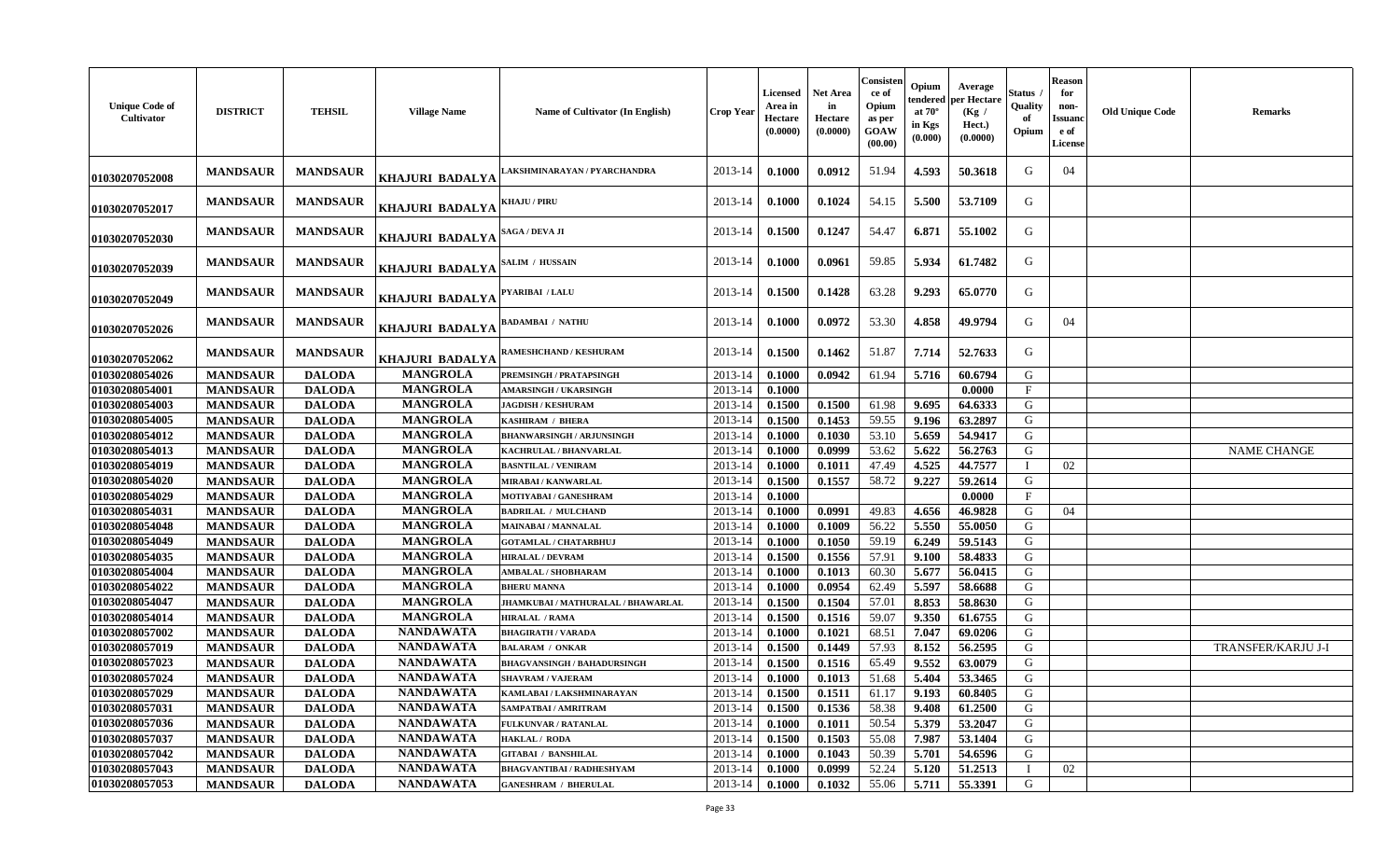| <b>Unique Code of</b><br>Cultivator | <b>DISTRICT</b> | <b>TEHSIL</b>   | <b>Village Name</b>    | Name of Cultivator (In English)    | <b>Crop Year</b> | <b>Licensed</b><br>Area in<br>Hectare<br>(0.0000) | <b>Net Area</b><br>in<br>Hectare<br>(0.0000) | Consisten<br>ce of<br>Opium<br>as per<br>GOAW<br>(00.00) | Opium<br>tendered<br>at $70^\circ$<br>in Kgs<br>(0.000) | Average<br>per Hectare<br>(Kg)<br>Hect.)<br>(0.0000) | Status<br>Quality<br>of<br>Opium | <b>Reason</b><br>for<br>non-<br>Issuanc<br>e of<br><b>License</b> | <b>Old Unique Code</b> | <b>Remarks</b>     |
|-------------------------------------|-----------------|-----------------|------------------------|------------------------------------|------------------|---------------------------------------------------|----------------------------------------------|----------------------------------------------------------|---------------------------------------------------------|------------------------------------------------------|----------------------------------|-------------------------------------------------------------------|------------------------|--------------------|
| 01030207052008                      | <b>MANDSAUR</b> | <b>MANDSAUR</b> | KHAJURI BADALYA        | AKSHMINARAYAN / PYARCHANDRA        | 2013-14          | 0.1000                                            | 0.0912                                       | 51.94                                                    | 4.593                                                   | 50.3618                                              | G                                | 04                                                                |                        |                    |
| 01030207052017                      | <b>MANDSAUR</b> | <b>MANDSAUR</b> | KHAJURI BADALYA        | KHAJU / PIRU                       | 2013-14          | 0.1000                                            | 0.1024                                       | 54.15                                                    | 5.500                                                   | 53.7109                                              | G                                |                                                                   |                        |                    |
| 01030207052030                      | <b>MANDSAUR</b> | <b>MANDSAUR</b> | <b>KHAJURI BADALYA</b> | <b>SAGA / DEVA JI</b>              | 2013-14          | 0.1500                                            | 0.1247                                       | 54.47                                                    | 6.871                                                   | 55.1002                                              | G                                |                                                                   |                        |                    |
| 01030207052039                      | <b>MANDSAUR</b> | <b>MANDSAUR</b> | KHAJURI BADALYA        | SALIM / HUSSAIN                    | 2013-14          | 0.1000                                            | 0.0961                                       | 59.85                                                    | 5.934                                                   | 61.7482                                              | G                                |                                                                   |                        |                    |
| 01030207052049                      | <b>MANDSAUR</b> | <b>MANDSAUR</b> | KHAJURI BADALYA        | PYARIBAI / LALU                    | 2013-14          | 0.1500                                            | 0.1428                                       | 63.28                                                    | 9.293                                                   | 65.0770                                              | G                                |                                                                   |                        |                    |
| 01030207052026                      | <b>MANDSAUR</b> | <b>MANDSAUR</b> | KHAJURI BADALYA        | <b>BADAMBAI / NATHU</b>            | 2013-14          | 0.1000                                            | 0.0972                                       | 53.30                                                    | 4.858                                                   | 49.9794                                              | G                                | 04                                                                |                        |                    |
| 01030207052062                      | <b>MANDSAUR</b> | <b>MANDSAUR</b> | KHAJURI BADALYA        | RAMESHCHAND / KESHURAM             | 2013-14          | 0.1500                                            | 0.1462                                       | 51.87                                                    | 7.714                                                   | 52.7633                                              | G                                |                                                                   |                        |                    |
| 01030208054026                      | <b>MANDSAUR</b> | <b>DALODA</b>   | <b>MANGROLA</b>        | PREMSINGH / PRATAPSINGH            | 2013-14          | 0.1000                                            | 0.0942                                       | 61.94                                                    | 5.716                                                   | 60.6794                                              | G                                |                                                                   |                        |                    |
| 01030208054001                      | <b>MANDSAUR</b> | <b>DALODA</b>   | <b>MANGROLA</b>        | <b>AMARSINGH / UKARSINGH</b>       | 2013-14          | 0.1000                                            |                                              |                                                          |                                                         | 0.0000                                               | $\mathbf{F}$                     |                                                                   |                        |                    |
| 01030208054003                      | <b>MANDSAUR</b> | <b>DALODA</b>   | <b>MANGROLA</b>        | <b>JAGDISH / KESHURAM</b>          | 2013-14          | 0.1500                                            | 0.1500                                       | 61.98                                                    | 9.695                                                   | 64.6333                                              | G                                |                                                                   |                        |                    |
| 01030208054005                      | <b>MANDSAUR</b> | <b>DALODA</b>   | <b>MANGROLA</b>        | <b>KASHIRAM / BHERA</b>            | 2013-14          | 0.1500                                            | 0.1453                                       | 59.55                                                    | 9.196                                                   | 63.2897                                              | G                                |                                                                   |                        |                    |
| 01030208054012                      | <b>MANDSAUR</b> | <b>DALODA</b>   | <b>MANGROLA</b>        | <b>BHANWARSINGH / ARJUNSINGH</b>   | 2013-14          | 0.1000                                            | 0.1030                                       | 53.10                                                    | 5.659                                                   | 54.9417                                              | G                                |                                                                   |                        |                    |
| 01030208054013                      | <b>MANDSAUR</b> | <b>DALODA</b>   | <b>MANGROLA</b>        | KACHRULAL / BHANVARLAL             | 2013-14          | 0.1000                                            | 0.0999                                       | 53.62                                                    | 5.622                                                   | 56.2763                                              | G                                |                                                                   |                        | <b>NAME CHANGE</b> |
| 01030208054019                      | <b>MANDSAUR</b> | <b>DALODA</b>   | <b>MANGROLA</b>        | <b>BASNTILAL / VENIRAM</b>         | 2013-14          | 0.1000                                            | 0.1011                                       | 47.49                                                    | 4.525                                                   | 44.7577                                              |                                  | 02                                                                |                        |                    |
| 01030208054020                      | <b>MANDSAUR</b> | <b>DALODA</b>   | <b>MANGROLA</b>        | <b>MIRABAI/KANWARLAL</b>           | 2013-14          | 0.1500                                            | 0.1557                                       | 58.72                                                    | 9.227                                                   | 59.2614                                              | G                                |                                                                   |                        |                    |
| 01030208054029                      | <b>MANDSAUR</b> | <b>DALODA</b>   | <b>MANGROLA</b>        | <b>MOTIYABAI / GANESHRAM</b>       | 2013-14          | 0.1000                                            |                                              |                                                          |                                                         | 0.0000                                               | $\mathbf{F}$                     |                                                                   |                        |                    |
| 01030208054031                      | <b>MANDSAUR</b> | <b>DALODA</b>   | <b>MANGROLA</b>        | <b>BADRILAL / MULCHAND</b>         | 2013-14          | 0.1000                                            | 0.0991                                       | 49.83                                                    | 4.656                                                   | 46.9828                                              | G                                | 04                                                                |                        |                    |
| 01030208054048                      | <b>MANDSAUR</b> | <b>DALODA</b>   | <b>MANGROLA</b>        | <b>MAINABAI/MANNALAL</b>           | 2013-14          | 0.1000                                            | 0.1009                                       | 56.22                                                    | 5.550                                                   | 55.0050                                              | G                                |                                                                   |                        |                    |
| 01030208054049                      | <b>MANDSAUR</b> | <b>DALODA</b>   | <b>MANGROLA</b>        | <b>GOTAMLAL / CHATARBHUJ</b>       | 2013-14          | 0.1000                                            | 0.1050                                       | 59.19                                                    | 6.249                                                   | 59.5143                                              | G                                |                                                                   |                        |                    |
| 01030208054035                      | <b>MANDSAUR</b> | <b>DALODA</b>   | <b>MANGROLA</b>        | <b>HIRALAL / DEVRAM</b>            | 2013-14          | 0.1500                                            | 0.1556                                       | 57.91                                                    | 9.100                                                   | 58.4833                                              | G                                |                                                                   |                        |                    |
| 01030208054004                      | <b>MANDSAUR</b> | <b>DALODA</b>   | <b>MANGROLA</b>        | AMBALAL / SHOBHARAM                | 2013-14          | 0.1000                                            | 0.1013                                       | 60.30                                                    | 5.677                                                   | 56.0415                                              | G                                |                                                                   |                        |                    |
| 01030208054022                      | <b>MANDSAUR</b> | <b>DALODA</b>   | <b>MANGROLA</b>        | <b>BHERU MANNA</b>                 | 2013-14          | 0.1000                                            | 0.0954                                       | 62.49                                                    | 5.597                                                   | 58.6688                                              | G                                |                                                                   |                        |                    |
| 01030208054047                      | <b>MANDSAUR</b> | <b>DALODA</b>   | <b>MANGROLA</b>        | JHAMKUBAI / MATHURALAL / BHAWARLAL | 2013-14          | 0.1500                                            | 0.1504                                       | 57.01                                                    | 8.853                                                   | 58.8630                                              | G                                |                                                                   |                        |                    |
| 01030208054014                      | <b>MANDSAUR</b> | <b>DALODA</b>   | <b>MANGROLA</b>        | <b>HIRALAL / RAMA</b>              | 2013-14          | 0.1500                                            | 0.1516                                       | 59.07                                                    | 9.350                                                   | 61.6755                                              | G                                |                                                                   |                        |                    |
| 01030208057002                      | <b>MANDSAUR</b> | <b>DALODA</b>   | <b>NANDAWATA</b>       | <b>BHAGIRATH / VARADA</b>          | 2013-14          | 0.1000                                            | 0.1021                                       | 68.51                                                    | 7.047                                                   | 69.0206                                              | G                                |                                                                   |                        |                    |
| 01030208057019                      | <b>MANDSAUR</b> | <b>DALODA</b>   | <b>NANDAWATA</b>       | <b>BALARAM / ONKAR</b>             | 2013-14          | 0.1500                                            | 0.1449                                       | 57.93                                                    | 8.152                                                   | 56.2595                                              | G                                |                                                                   |                        | TRANSFER/KARJU J-I |
| 01030208057023                      | <b>MANDSAUR</b> | <b>DALODA</b>   | <b>NANDAWATA</b>       | <b>BHAGVANSINGH / BAHADURSINGH</b> | 2013-14          | 0.1500                                            | 0.1516                                       | 65.49                                                    | 9.552                                                   | 63.0079                                              | G                                |                                                                   |                        |                    |
| 01030208057024                      | <b>MANDSAUR</b> | <b>DALODA</b>   | <b>NANDAWATA</b>       | <b>SHAVRAM / VAJERAM</b>           | 2013-14          | 0.1000                                            | 0.1013                                       | 51.68                                                    | 5.404                                                   | 53.3465                                              | G                                |                                                                   |                        |                    |
| 01030208057029                      | <b>MANDSAUR</b> | <b>DALODA</b>   | <b>NANDAWATA</b>       | KAMLABAI / LAKSHMINARAYAN          | 2013-14          | 0.1500                                            | 0.1511                                       | 61.17                                                    | 9.193                                                   | 60.8405                                              | G                                |                                                                   |                        |                    |
| 01030208057031                      | <b>MANDSAUR</b> | <b>DALODA</b>   | <b>NANDAWATA</b>       | SAMPATBAI / AMRITRAM               | 2013-14          | 0.1500                                            | 0.1536                                       | 58.38                                                    | 9.408                                                   | 61.2500                                              | G                                |                                                                   |                        |                    |
| 01030208057036                      | <b>MANDSAUR</b> | <b>DALODA</b>   | <b>NANDAWATA</b>       | <b>FULKUNVAR / RATANLAL</b>        | 2013-14          | 0.1000                                            | 0.1011                                       | 50.54                                                    | 5.379                                                   | 53.2047                                              | G                                |                                                                   |                        |                    |
| 01030208057037                      | <b>MANDSAUR</b> | <b>DALODA</b>   | <b>NANDAWATA</b>       | HAKLAL / RODA                      | 2013-14          | 0.1500                                            | 0.1503                                       | 55.08                                                    | 7.987                                                   | 53.1404                                              | G                                |                                                                   |                        |                    |
| 01030208057042                      | <b>MANDSAUR</b> | <b>DALODA</b>   | <b>NANDAWATA</b>       | <b>GITABAI / BANSHILAL</b>         | 2013-14          | 0.1000                                            | 0.1043                                       | 50.39                                                    | 5.701                                                   | 54.6596                                              | G                                |                                                                   |                        |                    |
| 01030208057043                      | <b>MANDSAUR</b> | <b>DALODA</b>   | <b>NANDAWATA</b>       | <b>BHAGVANTIBAI / RADHESHYAM</b>   | 2013-14          | 0.1000                                            | 0.0999                                       | 52.24                                                    | 5.120                                                   | 51.2513                                              |                                  | 02                                                                |                        |                    |
| 01030208057053                      | <b>MANDSAUR</b> | <b>DALODA</b>   | <b>NANDAWATA</b>       | <b>GANESHRAM / BHERULAL</b>        | 2013-14          | 0.1000                                            | 0.1032                                       | 55.06                                                    | 5.711                                                   | 55.3391                                              | G                                |                                                                   |                        |                    |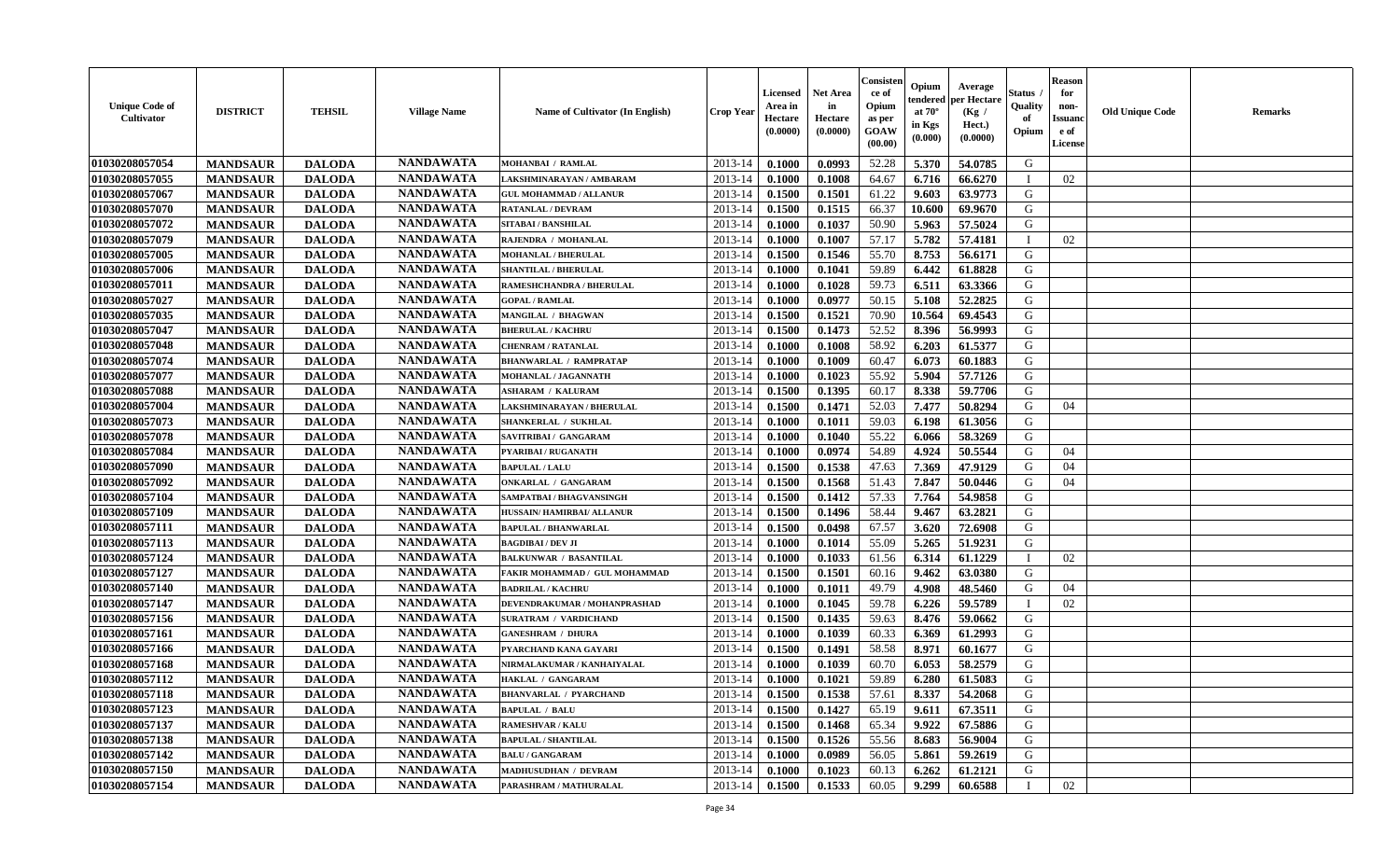| <b>Unique Code of</b><br><b>Cultivator</b> | <b>DISTRICT</b> | <b>TEHSIL</b> | <b>Village Name</b> | Name of Cultivator (In English) | <b>Crop Year</b> | <b>Licensed</b><br>Area in<br>Hectare<br>(0.0000) | <b>Net Area</b><br>in<br>Hectare<br>(0.0000) | Consister<br>ce of<br>Opium<br>as per<br><b>GOAW</b><br>(00.00) | Opium<br>endered<br>at $70^\circ$<br>in Kgs<br>(0.000) | Average<br>per Hectare<br>(Kg /<br>Hect.)<br>(0.0000) | Status<br>Quality<br>of<br>Opium | <b>Reason</b><br>for<br>non-<br><b>Issuano</b><br>e of<br>License | <b>Old Unique Code</b> | <b>Remarks</b> |
|--------------------------------------------|-----------------|---------------|---------------------|---------------------------------|------------------|---------------------------------------------------|----------------------------------------------|-----------------------------------------------------------------|--------------------------------------------------------|-------------------------------------------------------|----------------------------------|-------------------------------------------------------------------|------------------------|----------------|
| 01030208057054                             | <b>MANDSAUR</b> | <b>DALODA</b> | <b>NANDAWATA</b>    | <b>MOHANBAI / RAMLAL</b>        | 2013-14          | 0.1000                                            | 0.0993                                       | 52.28                                                           | 5.370                                                  | 54.0785                                               | G                                |                                                                   |                        |                |
| 01030208057055                             | <b>MANDSAUR</b> | <b>DALODA</b> | <b>NANDAWATA</b>    | LAKSHMINARAYAN / AMBARAM        | 2013-14          | 0.1000                                            | 0.1008                                       | 64.67                                                           | 6.716                                                  | 66.6270                                               | - 1                              | 02                                                                |                        |                |
| 01030208057067                             | <b>MANDSAUR</b> | <b>DALODA</b> | <b>NANDAWATA</b>    | <b>GUL MOHAMMAD / ALLANUR</b>   | 2013-14          | 0.1500                                            | 0.1501                                       | 61.22                                                           | 9.603                                                  | 63.9773                                               | G                                |                                                                   |                        |                |
| 01030208057070                             | <b>MANDSAUR</b> | <b>DALODA</b> | <b>NANDAWATA</b>    | <b>RATANLAL / DEVRAM</b>        | 2013-14          | 0.1500                                            | 0.1515                                       | 66.37                                                           | 10.600                                                 | 69.9670                                               | G                                |                                                                   |                        |                |
| 01030208057072                             | <b>MANDSAUR</b> | <b>DALODA</b> | <b>NANDAWATA</b>    | <b>SITABAI/BANSHILAL</b>        | 2013-14          | 0.1000                                            | 0.1037                                       | 50.90                                                           | 5.963                                                  | 57.5024                                               | G                                |                                                                   |                        |                |
| 01030208057079                             | <b>MANDSAUR</b> | <b>DALODA</b> | <b>NANDAWATA</b>    | RAJENDRA / MOHANLAL             | 2013-14          | 0.1000                                            | 0.1007                                       | 57.17                                                           | 5.782                                                  | 57.4181                                               | - 1                              | 02                                                                |                        |                |
| 01030208057005                             | <b>MANDSAUR</b> | <b>DALODA</b> | <b>NANDAWATA</b>    | <b>MOHANLAL / BHERULAL</b>      | 2013-14          | 0.1500                                            | 0.1546                                       | 55.70                                                           | 8.753                                                  | 56.6171                                               | G                                |                                                                   |                        |                |
| 01030208057006                             | <b>MANDSAUR</b> | <b>DALODA</b> | <b>NANDAWATA</b>    | <b>SHANTILAL / BHERULAL</b>     | 2013-14          | 0.1000                                            | 0.1041                                       | 59.89                                                           | 6.442                                                  | 61.8828                                               | G                                |                                                                   |                        |                |
| 01030208057011                             | <b>MANDSAUR</b> | <b>DALODA</b> | <b>NANDAWATA</b>    | RAMESHCHANDRA / BHERULAL        | 2013-14          | 0.1000                                            | 0.1028                                       | 59.73                                                           | 6.511                                                  | 63.3366                                               | G                                |                                                                   |                        |                |
| 01030208057027                             | <b>MANDSAUR</b> | <b>DALODA</b> | <b>NANDAWATA</b>    | <b>GOPAL / RAMLAL</b>           | 2013-14          | 0.1000                                            | 0.0977                                       | 50.15                                                           | 5.108                                                  | 52,2825                                               | G                                |                                                                   |                        |                |
| 01030208057035                             | <b>MANDSAUR</b> | <b>DALODA</b> | <b>NANDAWATA</b>    | MANGILAL / BHAGWAN              | 2013-14          | 0.1500                                            | 0.1521                                       | 70.90                                                           | 10.564                                                 | 69.4543                                               | G                                |                                                                   |                        |                |
| 01030208057047                             | <b>MANDSAUR</b> | <b>DALODA</b> | <b>NANDAWATA</b>    | <b>BHERULAL / KACHRU</b>        | 2013-14          | 0.1500                                            | 0.1473                                       | 52.52                                                           | 8.396                                                  | 56.9993                                               | G                                |                                                                   |                        |                |
| 01030208057048                             | <b>MANDSAUR</b> | <b>DALODA</b> | <b>NANDAWATA</b>    | <b>CHENRAM / RATANLAL</b>       | 2013-14          | 0.1000                                            | 0.1008                                       | 58.92                                                           | 6.203                                                  | 61.5377                                               | G                                |                                                                   |                        |                |
| 01030208057074                             | <b>MANDSAUR</b> | <b>DALODA</b> | <b>NANDAWATA</b>    | <b>BHANWARLAL / RAMPRATAP</b>   | 2013-14          | 0.1000                                            | 0.1009                                       | 60.47                                                           | 6.073                                                  | 60.1883                                               | G                                |                                                                   |                        |                |
| 01030208057077                             | <b>MANDSAUR</b> | <b>DALODA</b> | <b>NANDAWATA</b>    | MOHANLAL / JAGANNATH            | 2013-14          | 0.1000                                            | 0.1023                                       | 55.92                                                           | 5.904                                                  | 57.7126                                               | G                                |                                                                   |                        |                |
| 01030208057088                             | <b>MANDSAUR</b> | <b>DALODA</b> | <b>NANDAWATA</b>    | <b>ASHARAM / KALURAM</b>        | 2013-14          | 0.1500                                            | 0.1395                                       | 60.17                                                           | 8.338                                                  | 59.7706                                               | G                                |                                                                   |                        |                |
| 01030208057004                             | <b>MANDSAUR</b> | <b>DALODA</b> | <b>NANDAWATA</b>    | LAKSHMINARAYAN / BHERULAL       | 2013-14          | 0.1500                                            | 0.1471                                       | 52.03                                                           | 7.477                                                  | 50.8294                                               | G                                | 04                                                                |                        |                |
| 01030208057073                             | <b>MANDSAUR</b> | <b>DALODA</b> | <b>NANDAWATA</b>    | SHANKERLAL / SUKHLAL            | 2013-14          | 0.1000                                            | 0.1011                                       | 59.03                                                           | 6.198                                                  | 61.3056                                               | G                                |                                                                   |                        |                |
| 01030208057078                             | <b>MANDSAUR</b> | <b>DALODA</b> | <b>NANDAWATA</b>    | SAVITRIBAI / GANGARAM           | 2013-14          | 0.1000                                            | 0.1040                                       | 55.22                                                           | 6.066                                                  | 58.3269                                               | G                                |                                                                   |                        |                |
| 01030208057084                             | <b>MANDSAUR</b> | <b>DALODA</b> | <b>NANDAWATA</b>    | PYARIBAI / RUGANATH             | 2013-14          | 0.1000                                            | 0.0974                                       | 54.89                                                           | 4.924                                                  | 50.5544                                               | G                                | 04                                                                |                        |                |
| 01030208057090                             | <b>MANDSAUR</b> | <b>DALODA</b> | <b>NANDAWATA</b>    | <b>BAPULAL / LALU</b>           | 2013-14          | 0.1500                                            | 0.1538                                       | 47.63                                                           | 7.369                                                  | 47.9129                                               | G                                | 04                                                                |                        |                |
| 01030208057092                             | <b>MANDSAUR</b> | <b>DALODA</b> | <b>NANDAWATA</b>    | <b>ONKARLAL / GANGARAM</b>      | 2013-14          | 0.1500                                            | 0.1568                                       | 51.43                                                           | 7.847                                                  | 50.0446                                               | G                                | 04                                                                |                        |                |
| 01030208057104                             | <b>MANDSAUR</b> | <b>DALODA</b> | <b>NANDAWATA</b>    | SAMPATBAI / BHAGVANSINGH        | 2013-14          | 0.1500                                            | 0.1412                                       | 57.33                                                           | 7.764                                                  | 54.9858                                               | G                                |                                                                   |                        |                |
| 01030208057109                             | <b>MANDSAUR</b> | <b>DALODA</b> | <b>NANDAWATA</b>    | HUSSAIN/HAMIRBAI/ ALLANUR       | 2013-14          | 0.1500                                            | 0.1496                                       | 58.44                                                           | 9.467                                                  | 63.2821                                               | G                                |                                                                   |                        |                |
| 01030208057111                             | <b>MANDSAUR</b> | <b>DALODA</b> | <b>NANDAWATA</b>    | <b>BAPULAL / BHANWARLAL</b>     | 2013-14          | 0.1500                                            | 0.0498                                       | 67.57                                                           | 3.620                                                  | 72.6908                                               | G                                |                                                                   |                        |                |
| 01030208057113                             | <b>MANDSAUR</b> | <b>DALODA</b> | <b>NANDAWATA</b>    | <b>BAGDIBAI / DEV JI</b>        | 2013-14          | 0.1000                                            | 0.1014                                       | 55.09                                                           | 5.265                                                  | 51.9231                                               | G                                |                                                                   |                        |                |
| 01030208057124                             | <b>MANDSAUR</b> | <b>DALODA</b> | <b>NANDAWATA</b>    | <b>BALKUNWAR / BASANTILAL</b>   | 2013-14          | 0.1000                                            | 0.1033                                       | 61.56                                                           | 6.314                                                  | 61.1229                                               |                                  | 02                                                                |                        |                |
| 01030208057127                             | <b>MANDSAUR</b> | <b>DALODA</b> | <b>NANDAWATA</b>    | FAKIR MOHAMMAD / GUL MOHAMMAD   | 2013-14          | 0.1500                                            | 0.1501                                       | 60.16                                                           | 9.462                                                  | 63.0380                                               | G                                |                                                                   |                        |                |
| 01030208057140                             | <b>MANDSAUR</b> | <b>DALODA</b> | <b>NANDAWATA</b>    | <b>BADRILAL / KACHRU</b>        | 2013-14          | 0.1000                                            | 0.1011                                       | 49.79                                                           | 4.908                                                  | 48.5460                                               | G                                | 04                                                                |                        |                |
| 01030208057147                             | <b>MANDSAUR</b> | <b>DALODA</b> | <b>NANDAWATA</b>    | DEVENDRAKUMAR / MOHANPRASHAD    | 2013-14          | 0.1000                                            | 0.1045                                       | 59.78                                                           | 6.226                                                  | 59.5789                                               | $\blacksquare$                   | 02                                                                |                        |                |
| 01030208057156                             | <b>MANDSAUR</b> | <b>DALODA</b> | <b>NANDAWATA</b>    | <b>SURATRAM / VARDICHAND</b>    | 2013-14          | 0.1500                                            | 0.1435                                       | 59.63                                                           | 8.476                                                  | 59.0662                                               | G                                |                                                                   |                        |                |
| 01030208057161                             | <b>MANDSAUR</b> | <b>DALODA</b> | <b>NANDAWATA</b>    | <b>GANESHRAM / DHURA</b>        | 2013-14          | 0.1000                                            | 0.1039                                       | 60.33                                                           | 6.369                                                  | 61.2993                                               | G                                |                                                                   |                        |                |
| 01030208057166                             | <b>MANDSAUR</b> | <b>DALODA</b> | <b>NANDAWATA</b>    | PYARCHAND KANA GAYARI           | 2013-14          | 0.1500                                            | 0.1491                                       | 58.58                                                           | 8.971                                                  | 60.1677                                               | G                                |                                                                   |                        |                |
| 01030208057168                             | <b>MANDSAUR</b> | <b>DALODA</b> | <b>NANDAWATA</b>    | NIRMALAKUMAR / KANHAIYALAL      | 2013-14          | 0.1000                                            | 0.1039                                       | 60.70                                                           | 6.053                                                  | 58.2579                                               | G                                |                                                                   |                        |                |
| 01030208057112                             | <b>MANDSAUR</b> | <b>DALODA</b> | <b>NANDAWATA</b>    | HAKLAL / GANGARAM               | 2013-14          | 0.1000                                            | 0.1021                                       | 59.89                                                           | 6.280                                                  | 61.5083                                               | G                                |                                                                   |                        |                |
| 01030208057118                             | <b>MANDSAUR</b> | <b>DALODA</b> | <b>NANDAWATA</b>    | <b>BHANVARLAL / PYARCHAND</b>   | $2013-14$ 0.1500 |                                                   | 0.1538                                       | 57.61                                                           | 8.337                                                  | 54.2068                                               | G                                |                                                                   |                        |                |
| 01030208057123                             | <b>MANDSAUR</b> | <b>DALODA</b> | <b>NANDAWATA</b>    | <b>BAPULAL / BALU</b>           | 2013-14          | 0.1500                                            | 0.1427                                       | 65.19                                                           | 9.611                                                  | 67.3511                                               | G                                |                                                                   |                        |                |
| 01030208057137                             | <b>MANDSAUR</b> | <b>DALODA</b> | <b>NANDAWATA</b>    | <b>RAMESHVAR / KALU</b>         | 2013-14          | 0.1500                                            | 0.1468                                       | 65.34                                                           | 9.922                                                  | 67.5886                                               | G                                |                                                                   |                        |                |
| 01030208057138                             | <b>MANDSAUR</b> | <b>DALODA</b> | <b>NANDAWATA</b>    | <b>BAPULAL / SHANTILAL</b>      | 2013-14          | 0.1500                                            | 0.1526                                       | 55.56                                                           | 8.683                                                  | 56.9004                                               | G                                |                                                                   |                        |                |
| 01030208057142                             | <b>MANDSAUR</b> | <b>DALODA</b> | <b>NANDAWATA</b>    | <b>BALU / GANGARAM</b>          | 2013-14          | 0.1000                                            | 0.0989                                       | 56.05                                                           | 5.861                                                  | 59.2619                                               | G                                |                                                                   |                        |                |
| 01030208057150                             | <b>MANDSAUR</b> | <b>DALODA</b> | <b>NANDAWATA</b>    | MADHUSUDHAN / DEVRAM            | 2013-14          | 0.1000                                            | 0.1023                                       | 60.13                                                           | 6.262                                                  | 61.2121                                               | G                                |                                                                   |                        |                |
| 01030208057154                             | <b>MANDSAUR</b> | <b>DALODA</b> | <b>NANDAWATA</b>    | PARASHRAM / MATHURALAL          | 2013-14          | 0.1500                                            | 0.1533                                       | 60.05                                                           | 9.299                                                  | 60.6588                                               | $\mathbf{I}$                     | 02                                                                |                        |                |
|                                            |                 |               |                     |                                 |                  |                                                   |                                              |                                                                 |                                                        |                                                       |                                  |                                                                   |                        |                |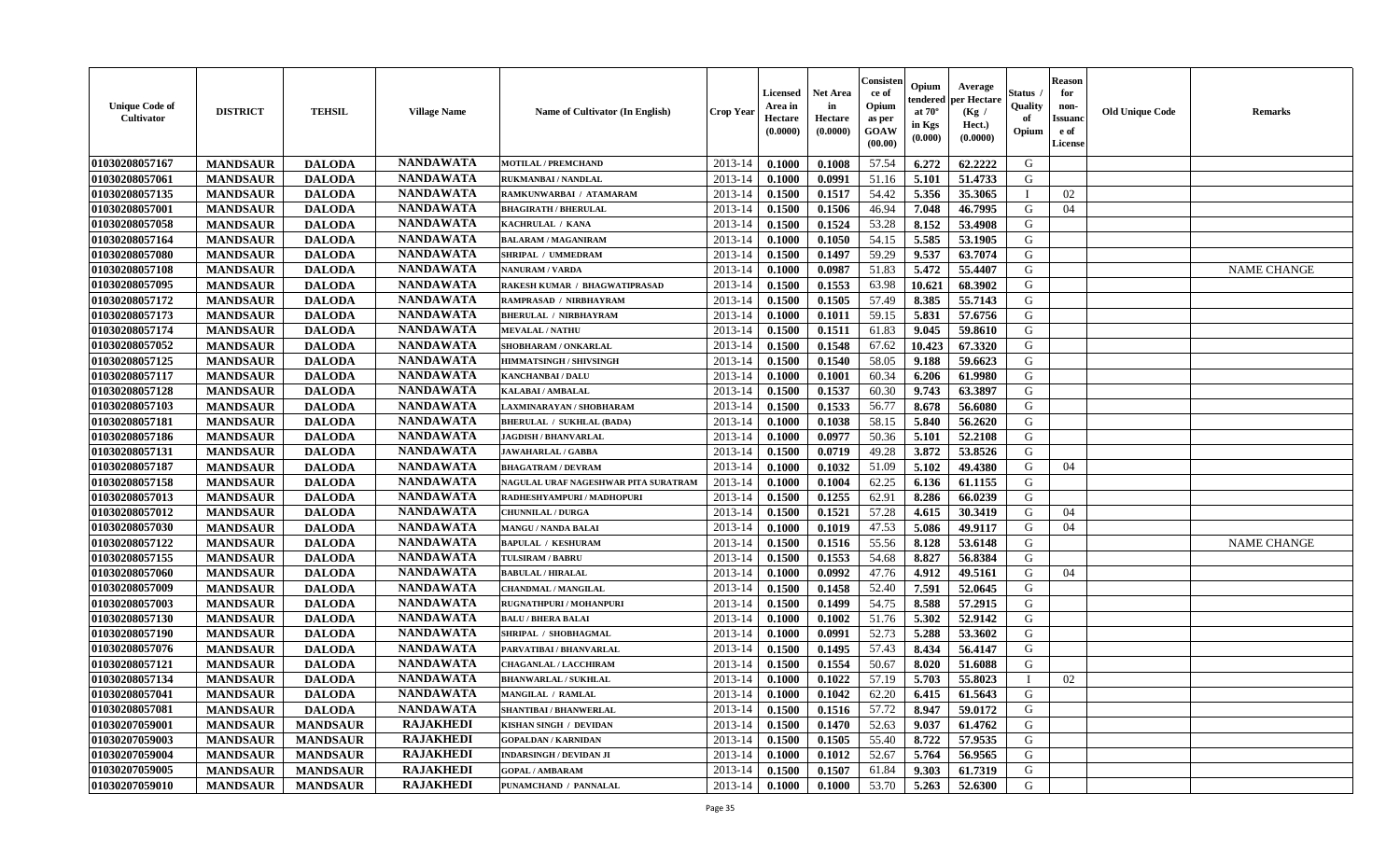| <b>Unique Code of</b><br>Cultivator | <b>DISTRICT</b> | <b>TEHSIL</b>   | <b>Village Name</b> | <b>Name of Cultivator (In English)</b> | <b>Crop Year</b> | <b>Licensed</b><br>Area in<br>Hectare<br>(0.0000) | <b>Net Area</b><br>in<br>Hectare<br>(0.0000) | Consisten<br>ce of<br>Opium<br>as per<br>GOAW<br>(00.00) | Opium<br>tendered<br>at $70^\circ$<br>in Kgs<br>(0.000) | Average<br>per Hectare<br>(Kg)<br>Hect.)<br>(0.0000) | Status<br>Quality<br>of<br>Opium | <b>Reason</b><br>for<br>non-<br><b>Issuanc</b><br>e of<br><b>License</b> | <b>Old Unique Code</b> | <b>Remarks</b>     |
|-------------------------------------|-----------------|-----------------|---------------------|----------------------------------------|------------------|---------------------------------------------------|----------------------------------------------|----------------------------------------------------------|---------------------------------------------------------|------------------------------------------------------|----------------------------------|--------------------------------------------------------------------------|------------------------|--------------------|
| 01030208057167                      | <b>MANDSAUR</b> | <b>DALODA</b>   | <b>NANDAWATA</b>    | <b>MOTILAL / PREMCHAND</b>             | 2013-14          | 0.1000                                            | 0.1008                                       | 57.54                                                    | 6.272                                                   | 62.2222                                              | G                                |                                                                          |                        |                    |
| 01030208057061                      | <b>MANDSAUR</b> | <b>DALODA</b>   | <b>NANDAWATA</b>    | <b>RUKMANBAI / NANDLAL</b>             | 2013-14          | 0.1000                                            | 0.0991                                       | 51.16                                                    | 5.101                                                   | 51.4733                                              | G                                |                                                                          |                        |                    |
| 01030208057135                      | <b>MANDSAUR</b> | <b>DALODA</b>   | <b>NANDAWATA</b>    | RAMKUNWARBAI / ATAMARAM                | 2013-14          | 0.1500                                            | 0.1517                                       | 54.42                                                    | 5.356                                                   | 35.3065                                              |                                  | 02                                                                       |                        |                    |
| 01030208057001                      | <b>MANDSAUR</b> | <b>DALODA</b>   | <b>NANDAWATA</b>    | <b>BHAGIRATH / BHERULAL</b>            | 2013-14          | 0.1500                                            | 0.1506                                       | 46.94                                                    | 7.048                                                   | 46.7995                                              | G                                | 04                                                                       |                        |                    |
| 01030208057058                      | <b>MANDSAUR</b> | <b>DALODA</b>   | <b>NANDAWATA</b>    | KACHRULAL / KANA                       | 2013-14          | 0.1500                                            | 0.1524                                       | 53.28                                                    | 8.152                                                   | 53.4908                                              | G                                |                                                                          |                        |                    |
| 01030208057164                      | <b>MANDSAUR</b> | <b>DALODA</b>   | <b>NANDAWATA</b>    | <b>BALARAM / MAGANIRAM</b>             | 2013-14          | 0.1000                                            | 0.1050                                       | 54.15                                                    | 5.585                                                   | 53.1905                                              | G                                |                                                                          |                        |                    |
| 01030208057080                      | <b>MANDSAUR</b> | <b>DALODA</b>   | <b>NANDAWATA</b>    | SHRIPAL / UMMEDRAM                     | 2013-14          | 0.1500                                            | 0.1497                                       | 59.29                                                    | 9.537                                                   | 63.7074                                              | G                                |                                                                          |                        |                    |
| 01030208057108                      | <b>MANDSAUR</b> | <b>DALODA</b>   | <b>NANDAWATA</b>    | <b>NANURAM / VARDA</b>                 | 2013-14          | 0.1000                                            | 0.0987                                       | 51.83                                                    | 5.472                                                   | 55.4407                                              | G                                |                                                                          |                        | <b>NAME CHANGE</b> |
| 01030208057095                      | <b>MANDSAUR</b> | <b>DALODA</b>   | <b>NANDAWATA</b>    | RAKESH KUMAR / BHAGWATIPRASAD          | 2013-14          | 0.1500                                            | 0.1553                                       | 63.98                                                    | 10.621                                                  | 68.3902                                              | G                                |                                                                          |                        |                    |
| 01030208057172                      | <b>MANDSAUR</b> | <b>DALODA</b>   | <b>NANDAWATA</b>    | RAMPRASAD / NIRBHAYRAM                 | 2013-14          | 0.1500                                            | 0.1505                                       | 57.49                                                    | 8.385                                                   | 55.7143                                              | G                                |                                                                          |                        |                    |
| 01030208057173                      | <b>MANDSAUR</b> | <b>DALODA</b>   | <b>NANDAWATA</b>    | <b>BHERULAL / NIRBHAYRAM</b>           | 2013-14          | 0.1000                                            | 0.1011                                       | 59.15                                                    | 5.831                                                   | 57.6756                                              | G                                |                                                                          |                        |                    |
| 01030208057174                      | <b>MANDSAUR</b> | <b>DALODA</b>   | <b>NANDAWATA</b>    | <b>MEVALAL / NATHU</b>                 | 2013-14          | 0.1500                                            | 0.1511                                       | 61.83                                                    | 9.045                                                   | 59.8610                                              | G                                |                                                                          |                        |                    |
| 01030208057052                      | <b>MANDSAUR</b> | <b>DALODA</b>   | <b>NANDAWATA</b>    | SHOBHARAM / ONKARLAL                   | 2013-14          | 0.1500                                            | 0.1548                                       | 67.62                                                    | 10.423                                                  | 67.3320                                              | G                                |                                                                          |                        |                    |
| 01030208057125                      | <b>MANDSAUR</b> | <b>DALODA</b>   | <b>NANDAWATA</b>    | <b>HIMMATSINGH / SHIVSINGH</b>         | 2013-14          | 0.1500                                            | 0.1540                                       | 58.05                                                    | 9.188                                                   | 59.6623                                              | G                                |                                                                          |                        |                    |
| 01030208057117                      | <b>MANDSAUR</b> | <b>DALODA</b>   | <b>NANDAWATA</b>    | <b>KANCHANBAI / DALU</b>               | 2013-14          | 0.1000                                            | 0.1001                                       | 60.34                                                    | 6.206                                                   | 61.9980                                              | G                                |                                                                          |                        |                    |
| 01030208057128                      | <b>MANDSAUR</b> | <b>DALODA</b>   | <b>NANDAWATA</b>    | KALABAI / AMBALAL                      | 2013-14          | 0.1500                                            | 0.1537                                       | 60.30                                                    | 9.743                                                   | 63.3897                                              | G                                |                                                                          |                        |                    |
| 01030208057103                      | <b>MANDSAUR</b> | <b>DALODA</b>   | <b>NANDAWATA</b>    | LAXMINARAYAN / SHOBHARAM               | 2013-14          | 0.1500                                            | 0.1533                                       | 56.77                                                    | 8.678                                                   | 56.6080                                              | G                                |                                                                          |                        |                    |
| 01030208057181                      | <b>MANDSAUR</b> | <b>DALODA</b>   | <b>NANDAWATA</b>    | <b>BHERULAL / SUKHLAL (BADA)</b>       | 2013-14          | 0.1000                                            | 0.1038                                       | 58.15                                                    | 5.840                                                   | 56.2620                                              | G                                |                                                                          |                        |                    |
| 01030208057186                      | <b>MANDSAUR</b> | <b>DALODA</b>   | <b>NANDAWATA</b>    | <b>JAGDISH / BHANVARLAL</b>            | 2013-14          | 0.1000                                            | 0.0977                                       | 50.36                                                    | 5.101                                                   | 52.2108                                              | G                                |                                                                          |                        |                    |
| 01030208057131                      | <b>MANDSAUR</b> | <b>DALODA</b>   | <b>NANDAWATA</b>    | <b>JAWAHARLAL / GABBA</b>              | 2013-14          | 0.1500                                            | 0.0719                                       | 49.28                                                    | 3.872                                                   | 53.8526                                              | G                                |                                                                          |                        |                    |
| 01030208057187                      | <b>MANDSAUR</b> | <b>DALODA</b>   | <b>NANDAWATA</b>    | <b>BHAGATRAM / DEVRAM</b>              | 2013-14          | 0.1000                                            | 0.1032                                       | 51.09                                                    | 5.102                                                   | 49.4380                                              | G                                | 04                                                                       |                        |                    |
| 01030208057158                      | <b>MANDSAUR</b> | <b>DALODA</b>   | <b>NANDAWATA</b>    | NAGULAL URAF NAGESHWAR PITA SURATRAM   | 2013-14          | 0.1000                                            | 0.1004                                       | 62.25                                                    | 6.136                                                   | 61.1155                                              | G                                |                                                                          |                        |                    |
| 01030208057013                      | <b>MANDSAUR</b> | <b>DALODA</b>   | <b>NANDAWATA</b>    | RADHESHYAMPURI / MADHOPURI             | 2013-14          | 0.1500                                            | 0.1255                                       | 62.91                                                    | 8.286                                                   | 66.0239                                              | G                                |                                                                          |                        |                    |
| 01030208057012                      | <b>MANDSAUR</b> | <b>DALODA</b>   | <b>NANDAWATA</b>    | <b>CHUNNILAL / DURGA</b>               | 2013-14          | 0.1500                                            | 0.1521                                       | 57.28                                                    | 4.615                                                   | 30.3419                                              | G                                | 04                                                                       |                        |                    |
| 01030208057030                      | <b>MANDSAUR</b> | <b>DALODA</b>   | <b>NANDAWATA</b>    | <b>MANGU / NANDA BALAI</b>             | 2013-14          | 0.1000                                            | 0.1019                                       | 47.53                                                    | 5.086                                                   | 49.9117                                              | G                                | 04                                                                       |                        |                    |
| 01030208057122                      | <b>MANDSAUR</b> | <b>DALODA</b>   | <b>NANDAWATA</b>    | <b>BAPULAL / KESHURAM</b>              | 2013-14          | 0.1500                                            | 0.1516                                       | 55.56                                                    | 8.128                                                   | 53.6148                                              | G                                |                                                                          |                        | <b>NAME CHANGE</b> |
| 01030208057155                      | <b>MANDSAUR</b> | <b>DALODA</b>   | <b>NANDAWATA</b>    | <b>TULSIRAM / BABRU</b>                | 2013-14          | 0.1500                                            | 0.1553                                       | 54.68                                                    | 8.827                                                   | 56.8384                                              | G                                |                                                                          |                        |                    |
| 01030208057060                      | <b>MANDSAUR</b> | <b>DALODA</b>   | <b>NANDAWATA</b>    | <b>BABULAL / HIRALAL</b>               | 2013-14          | 0.1000                                            | 0.0992                                       | 47.76                                                    | 4.912                                                   | 49.5161                                              | G                                | 04                                                                       |                        |                    |
| 01030208057009                      | <b>MANDSAUR</b> | <b>DALODA</b>   | <b>NANDAWATA</b>    | <b>CHANDMAL / MANGILAL</b>             | 2013-14          | 0.1500                                            | 0.1458                                       | 52.40                                                    | 7.591                                                   | 52.0645                                              | G                                |                                                                          |                        |                    |
| 01030208057003                      | <b>MANDSAUR</b> | <b>DALODA</b>   | <b>NANDAWATA</b>    | RUGNATHPURI / MOHANPURI                | 2013-14          | 0.1500                                            | 0.1499                                       | 54.75                                                    | 8.588                                                   | 57.2915                                              | G                                |                                                                          |                        |                    |
| 01030208057130                      | <b>MANDSAUR</b> | <b>DALODA</b>   | <b>NANDAWATA</b>    | <b>BALU / BHERA BALAI</b>              | 2013-14          | 0.1000                                            | 0.1002                                       | 51.76                                                    | 5.302                                                   | 52.9142                                              | G                                |                                                                          |                        |                    |
| 01030208057190                      | <b>MANDSAUR</b> | <b>DALODA</b>   | <b>NANDAWATA</b>    | SHRIPAL / SHOBHAGMAL                   | 2013-14          | 0.1000                                            | 0.0991                                       | 52.73                                                    | 5.288                                                   | 53.3602                                              | G                                |                                                                          |                        |                    |
| 01030208057076                      | <b>MANDSAUR</b> | <b>DALODA</b>   | <b>NANDAWATA</b>    | PARVATIBAI / BHANVARLAL                | 2013-14          | 0.1500                                            | 0.1495                                       | 57.43                                                    | 8.434                                                   | 56.4147                                              | G                                |                                                                          |                        |                    |
| 01030208057121                      | <b>MANDSAUR</b> | <b>DALODA</b>   | <b>NANDAWATA</b>    | <b>CHAGANLAL / LACCHIRAM</b>           | 2013-14          | 0.1500                                            | 0.1554                                       | 50.67                                                    | 8.020                                                   | 51.6088                                              | G                                |                                                                          |                        |                    |
| 01030208057134                      | <b>MANDSAUR</b> | <b>DALODA</b>   | <b>NANDAWATA</b>    | <b>BHANWARLAL / SUKHLAL</b>            | 2013-14          | 0.1000                                            | 0.1022                                       | 57.19                                                    | 5.703                                                   | 55.8023                                              |                                  | 02                                                                       |                        |                    |
| 01030208057041                      | <b>MANDSAUR</b> | <b>DALODA</b>   | <b>NANDAWATA</b>    | <b>MANGILAL / RAMLAL</b>               | $2013-14$ 0.1000 |                                                   | 0.1042                                       | 62.20                                                    | 6.415                                                   | 61.5643                                              | G                                |                                                                          |                        |                    |
| 01030208057081                      | <b>MANDSAUR</b> | <b>DALODA</b>   | <b>NANDAWATA</b>    | <b>SHANTIBAI / BHANWERLAL</b>          | 2013-14          | 0.1500                                            | 0.1516                                       | 57.72                                                    | 8.947                                                   | 59.0172                                              | G                                |                                                                          |                        |                    |
| 01030207059001                      | <b>MANDSAUR</b> | <b>MANDSAUR</b> | <b>RAJAKHEDI</b>    | KISHAN SINGH / DEVIDAN                 | 2013-14          | 0.1500                                            | 0.1470                                       | 52.63                                                    | 9.037                                                   | 61.4762                                              | G                                |                                                                          |                        |                    |
| 01030207059003                      | <b>MANDSAUR</b> | <b>MANDSAUR</b> | <b>RAJAKHEDI</b>    | <b>GOPALDAN / KARNIDAN</b>             | 2013-14          | 0.1500                                            | 0.1505                                       | 55.40                                                    | 8.722                                                   | 57.9535                                              | G                                |                                                                          |                        |                    |
| 01030207059004                      | <b>MANDSAUR</b> | <b>MANDSAUR</b> | <b>RAJAKHEDI</b>    | <b>INDARSINGH / DEVIDAN JI</b>         | 2013-14          | 0.1000                                            | 0.1012                                       | 52.67                                                    | 5.764                                                   | 56.9565                                              | G                                |                                                                          |                        |                    |
| 01030207059005                      | <b>MANDSAUR</b> | <b>MANDSAUR</b> | <b>RAJAKHEDI</b>    | <b>GOPAL / AMBARAM</b>                 | 2013-14          | 0.1500                                            | 0.1507                                       | 61.84                                                    | 9.303                                                   | 61.7319                                              | G                                |                                                                          |                        |                    |
| 01030207059010                      | <b>MANDSAUR</b> | <b>MANDSAUR</b> | <b>RAJAKHEDI</b>    | PUNAMCHAND / PANNALAL                  |                  | $2013-14$ 0.1000                                  | 0.1000                                       | 53.70                                                    | 5.263                                                   | 52.6300                                              | G                                |                                                                          |                        |                    |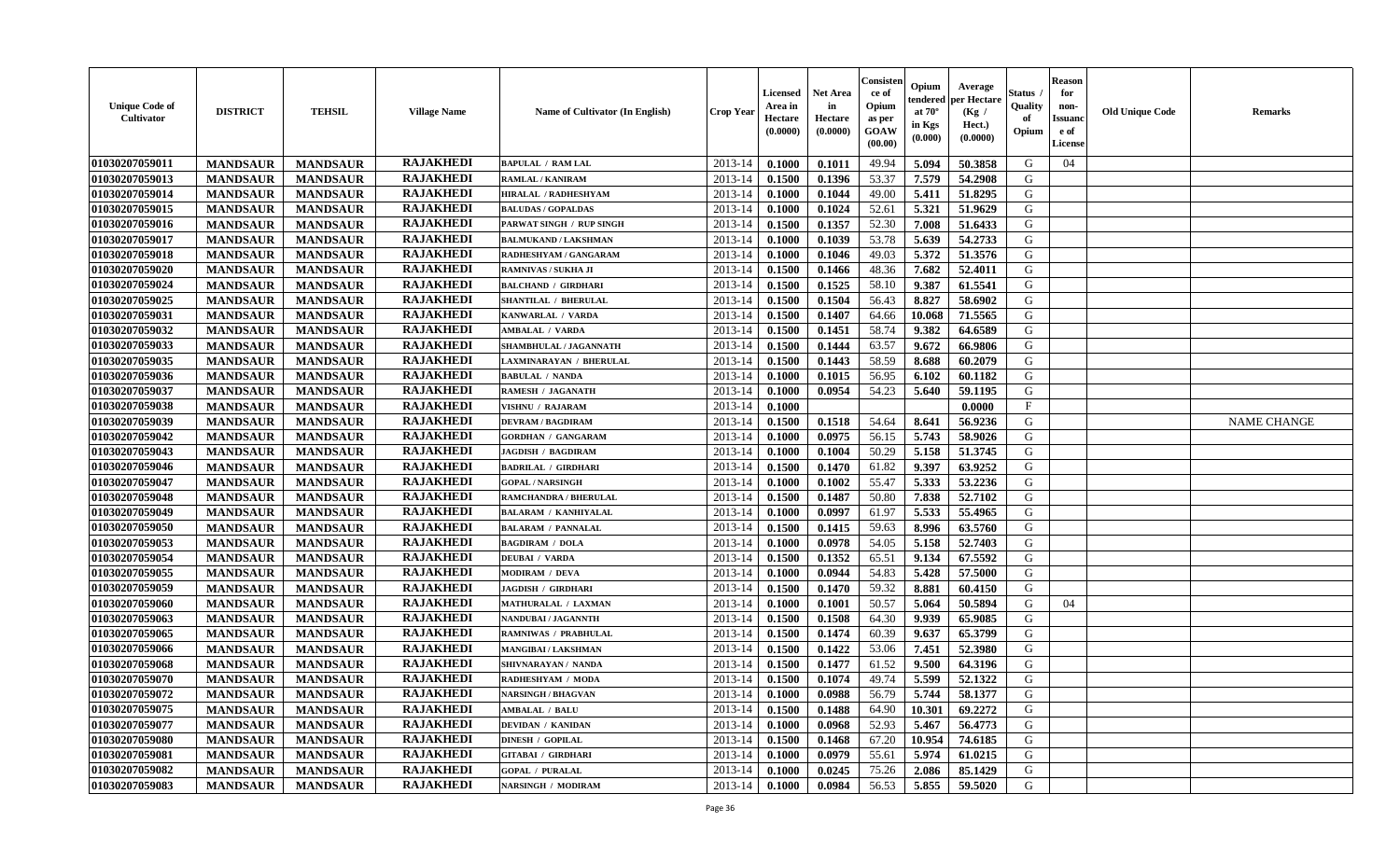| <b>Unique Code of</b><br><b>Cultivator</b> | <b>DISTRICT</b> | <b>TEHSIL</b>   | <b>Village Name</b> | Name of Cultivator (In English) | <b>Crop Year</b> | <b>Licensed</b><br>Area in<br>Hectare<br>(0.0000) | Net Area<br>in<br>Hectare<br>(0.0000) | Consister<br>ce of<br>Opium<br>as per<br>GOAW<br>(00.00) | Opium<br>endered<br>at $70^\circ$<br>in Kgs<br>(0.000) | Average<br>per Hectare<br>(Kg /<br>Hect.)<br>(0.0000) | Status<br>Quality<br>of<br>Opium | <b>Reason</b><br>for<br>non-<br><b>Issuand</b><br>e of<br>License | <b>Old Unique Code</b> | Remarks            |
|--------------------------------------------|-----------------|-----------------|---------------------|---------------------------------|------------------|---------------------------------------------------|---------------------------------------|----------------------------------------------------------|--------------------------------------------------------|-------------------------------------------------------|----------------------------------|-------------------------------------------------------------------|------------------------|--------------------|
| 01030207059011                             | <b>MANDSAUR</b> | <b>MANDSAUR</b> | <b>RAJAKHEDI</b>    | <b>BAPULAL / RAM LAL</b>        | 2013-14          | 0.1000                                            | 0.1011                                | 49.94                                                    | 5.094                                                  | 50.3858                                               | G                                | 04                                                                |                        |                    |
| 01030207059013                             | <b>MANDSAUR</b> | <b>MANDSAUR</b> | <b>RAJAKHEDI</b>    | RAMLAL / KANIRAM                | 2013-14          | 0.1500                                            | 0.1396                                | 53.37                                                    | 7.579                                                  | 54.2908                                               | G                                |                                                                   |                        |                    |
| 01030207059014                             | <b>MANDSAUR</b> | <b>MANDSAUR</b> | <b>RAJAKHEDI</b>    | HIRALAL / RADHESHYAM            | 2013-14          | 0.1000                                            | 0.1044                                | 49.00                                                    | 5.411                                                  | 51.8295                                               | G                                |                                                                   |                        |                    |
| 01030207059015                             | <b>MANDSAUR</b> | <b>MANDSAUR</b> | <b>RAJAKHEDI</b>    | <b>BALUDAS / GOPALDAS</b>       | 2013-14          | 0.1000                                            | 0.1024                                | 52.61                                                    | 5.321                                                  | 51.9629                                               | G                                |                                                                   |                        |                    |
| 01030207059016                             | <b>MANDSAUR</b> | <b>MANDSAUR</b> | <b>RAJAKHEDI</b>    | PARWAT SINGH / RUP SINGH        | 2013-14          | 0.1500                                            | 0.1357                                | 52.30                                                    | 7.008                                                  | 51.6433                                               | G                                |                                                                   |                        |                    |
| 01030207059017                             | <b>MANDSAUR</b> | <b>MANDSAUR</b> | <b>RAJAKHEDI</b>    | <b>BALMUKAND / LAKSHMAN</b>     | 2013-14          | 0.1000                                            | 0.1039                                | 53.78                                                    | 5.639                                                  | 54.2733                                               | G                                |                                                                   |                        |                    |
| 01030207059018                             | <b>MANDSAUR</b> | <b>MANDSAUR</b> | <b>RAJAKHEDI</b>    | RADHESHYAM / GANGARAM           | 2013-14          | 0.1000                                            | 0.1046                                | 49.03                                                    | 5.372                                                  | 51.3576                                               | G                                |                                                                   |                        |                    |
| 01030207059020                             | <b>MANDSAUR</b> | <b>MANDSAUR</b> | <b>RAJAKHEDI</b>    | RAMNIVAS / SUKHA JI             | 2013-14          | 0.1500                                            | 0.1466                                | 48.36                                                    | 7.682                                                  | 52.4011                                               | G                                |                                                                   |                        |                    |
| 01030207059024                             | <b>MANDSAUR</b> | <b>MANDSAUR</b> | <b>RAJAKHEDI</b>    | <b>BALCHAND / GIRDHARI</b>      | 2013-14          | 0.1500                                            | 0.1525                                | 58.10                                                    | 9.387                                                  | 61.5541                                               | G                                |                                                                   |                        |                    |
| 01030207059025                             | <b>MANDSAUR</b> | <b>MANDSAUR</b> | <b>RAJAKHEDI</b>    | SHANTILAL / BHERULAL            | 2013-14          | 0.1500                                            | 0.1504                                | 56.43                                                    | 8.827                                                  | 58.6902                                               | G                                |                                                                   |                        |                    |
| 01030207059031                             | <b>MANDSAUR</b> | <b>MANDSAUR</b> | <b>RAJAKHEDI</b>    | KANWARLAL / VARDA               | 2013-14          | 0.1500                                            | 0.1407                                | 64.66                                                    | 10.068                                                 | 71.5565                                               | G                                |                                                                   |                        |                    |
| 01030207059032                             | <b>MANDSAUR</b> | <b>MANDSAUR</b> | <b>RAJAKHEDI</b>    | <b>AMBALAL / VARDA</b>          | 2013-14          | 0.1500                                            | 0.1451                                | 58.74                                                    | 9.382                                                  | 64.6589                                               | G                                |                                                                   |                        |                    |
| 01030207059033                             | <b>MANDSAUR</b> | <b>MANDSAUR</b> | <b>RAJAKHEDI</b>    | <b>SHAMBHULAL / JAGANNATH</b>   | 2013-14          | 0.1500                                            | 0.1444                                | 63.57                                                    | 9.672                                                  | 66.9806                                               | G                                |                                                                   |                        |                    |
| 01030207059035                             | <b>MANDSAUR</b> | <b>MANDSAUR</b> | <b>RAJAKHEDI</b>    | LAXMINARAYAN / BHERULAL         | 2013-14          | 0.1500                                            | 0.1443                                | 58.59                                                    | 8.688                                                  | 60.2079                                               | G                                |                                                                   |                        |                    |
| 01030207059036                             | <b>MANDSAUR</b> | <b>MANDSAUR</b> | <b>RAJAKHEDI</b>    | <b>BABULAL / NANDA</b>          | 2013-14          | 0.1000                                            | 0.1015                                | 56.95                                                    | 6.102                                                  | 60.1182                                               | $\mathbf G$                      |                                                                   |                        |                    |
| 01030207059037                             | <b>MANDSAUR</b> | <b>MANDSAUR</b> | <b>RAJAKHEDI</b>    | RAMESH / JAGANATH               | 2013-14          | 0.1000                                            | 0.0954                                | 54.23                                                    | 5.640                                                  | 59.1195                                               | G                                |                                                                   |                        |                    |
| 01030207059038                             | <b>MANDSAUR</b> | <b>MANDSAUR</b> | <b>RAJAKHEDI</b>    | VISHNU / RAJARAM                | 2013-14          | 0.1000                                            |                                       |                                                          |                                                        | 0.0000                                                | $\mathbf{F}$                     |                                                                   |                        |                    |
| 01030207059039                             | <b>MANDSAUR</b> | <b>MANDSAUR</b> | <b>RAJAKHEDI</b>    | <b>DEVRAM / BAGDIRAM</b>        | 2013-14          | 0.1500                                            | 0.1518                                | 54.64                                                    | 8.641                                                  | 56.9236                                               | G                                |                                                                   |                        | <b>NAME CHANGE</b> |
| 01030207059042                             | <b>MANDSAUR</b> | <b>MANDSAUR</b> | <b>RAJAKHEDI</b>    | <b>GORDHAN / GANGARAM</b>       | 2013-14          | 0.1000                                            | 0.0975                                | 56.15                                                    | 5.743                                                  | 58.9026                                               | G                                |                                                                   |                        |                    |
| 01030207059043                             | <b>MANDSAUR</b> | <b>MANDSAUR</b> | <b>RAJAKHEDI</b>    | <b>JAGDISH / BAGDIRAM</b>       | 2013-14          | 0.1000                                            | 0.1004                                | 50.29                                                    | 5.158                                                  | 51.3745                                               | G                                |                                                                   |                        |                    |
| 01030207059046                             | <b>MANDSAUR</b> | <b>MANDSAUR</b> | <b>RAJAKHEDI</b>    | <b>BADRILAL / GIRDHARI</b>      | 2013-14          | 0.1500                                            | 0.1470                                | 61.82                                                    | 9.397                                                  | 63.9252                                               | G                                |                                                                   |                        |                    |
| 01030207059047                             | <b>MANDSAUR</b> | <b>MANDSAUR</b> | <b>RAJAKHEDI</b>    | <b>GOPAL / NARSINGH</b>         | 2013-14          | 0.1000                                            | 0.1002                                | 55.47                                                    | 5.333                                                  | 53.2236                                               | G                                |                                                                   |                        |                    |
| 01030207059048                             | <b>MANDSAUR</b> | <b>MANDSAUR</b> | <b>RAJAKHEDI</b>    | <b>RAMCHANDRA / BHERULAL</b>    | 2013-14          | 0.1500                                            | 0.1487                                | 50.80                                                    | 7.838                                                  | 52.7102                                               | G                                |                                                                   |                        |                    |
| 01030207059049                             | <b>MANDSAUR</b> | <b>MANDSAUR</b> | <b>RAJAKHEDI</b>    | <b>BALARAM / KANHIYALAL</b>     | 2013-14          | 0.1000                                            | 0.0997                                | 61.97                                                    | 5.533                                                  | 55.4965                                               | G                                |                                                                   |                        |                    |
| 01030207059050                             | <b>MANDSAUR</b> | <b>MANDSAUR</b> | <b>RAJAKHEDI</b>    | <b>BALARAM / PANNALAL</b>       | 2013-14          | 0.1500                                            | 0.1415                                | 59.63                                                    | 8.996                                                  | 63.5760                                               | G                                |                                                                   |                        |                    |
| 01030207059053                             | <b>MANDSAUR</b> | <b>MANDSAUR</b> | <b>RAJAKHEDI</b>    | <b>BAGDIRAM / DOLA</b>          | 2013-14          | 0.1000                                            | 0.0978                                | 54.05                                                    | 5.158                                                  | 52.7403                                               | G                                |                                                                   |                        |                    |
| 01030207059054                             | <b>MANDSAUR</b> | <b>MANDSAUR</b> | <b>RAJAKHEDI</b>    | <b>DEUBAI / VARDA</b>           | 2013-14          | 0.1500                                            | 0.1352                                | 65.51                                                    | 9.134                                                  | 67.5592                                               | G                                |                                                                   |                        |                    |
| 01030207059055                             | <b>MANDSAUR</b> | <b>MANDSAUR</b> | <b>RAJAKHEDI</b>    | <b>MODIRAM / DEVA</b>           | 2013-14          | 0.1000                                            | 0.0944                                | 54.83                                                    | 5.428                                                  | 57.5000                                               | G                                |                                                                   |                        |                    |
| 01030207059059                             | <b>MANDSAUR</b> | <b>MANDSAUR</b> | <b>RAJAKHEDI</b>    | <b>JAGDISH / GIRDHARI</b>       | 2013-14          | 0.1500                                            | 0.1470                                | 59.32                                                    | 8.881                                                  | 60.4150                                               | G                                |                                                                   |                        |                    |
| 01030207059060                             | <b>MANDSAUR</b> | <b>MANDSAUR</b> | <b>RAJAKHEDI</b>    | MATHURALAL / LAXMAN             | 2013-14          | 0.1000                                            | 0.1001                                | 50.57                                                    | 5.064                                                  | 50.5894                                               | G                                | 04                                                                |                        |                    |
| 01030207059063                             | <b>MANDSAUR</b> | <b>MANDSAUR</b> | <b>RAJAKHEDI</b>    | NANDUBAI / JAGANNTH             | 2013-14          | 0.1500                                            | 0.1508                                | 64.30                                                    | 9.939                                                  | 65.9085                                               | G                                |                                                                   |                        |                    |
| 01030207059065                             | <b>MANDSAUR</b> | <b>MANDSAUR</b> | <b>RAJAKHEDI</b>    | <b>RAMNIWAS / PRABHULAL</b>     | 2013-14          | 0.1500                                            | 0.1474                                | 60.39                                                    | 9.637                                                  | 65.3799                                               | G                                |                                                                   |                        |                    |
| 01030207059066                             | <b>MANDSAUR</b> | <b>MANDSAUR</b> | <b>RAJAKHEDI</b>    | MANGIBAI / LAKSHMAN             | 2013-14          | 0.1500                                            | 0.1422                                | 53.06                                                    | 7.451                                                  | 52.3980                                               | G                                |                                                                   |                        |                    |
| 01030207059068                             | <b>MANDSAUR</b> | <b>MANDSAUR</b> | <b>RAJAKHEDI</b>    | SHIVNARAYAN / NANDA             | 2013-14          | 0.1500                                            | 0.1477                                | 61.52                                                    | 9.500                                                  | 64.3196                                               | G                                |                                                                   |                        |                    |
| 01030207059070                             | <b>MANDSAUR</b> | <b>MANDSAUR</b> | <b>RAJAKHEDI</b>    | RADHESHYAM / MODA               | 2013-14          | 0.1500                                            | 0.1074                                | 49.74                                                    | 5.599                                                  | 52.1322                                               | G                                |                                                                   |                        |                    |
| 01030207059072                             | <b>MANDSAUR</b> | <b>MANDSAUR</b> | <b>RAJAKHEDI</b>    | <b>NARSINGH / BHAGVAN</b>       | 2013-14          | 0.1000                                            | 0.0988                                | 56.79                                                    | 5.744                                                  | 58.1377                                               | G                                |                                                                   |                        |                    |
| 01030207059075                             | <b>MANDSAUR</b> | <b>MANDSAUR</b> | <b>RAJAKHEDI</b>    | <b>AMBALAL / BALU</b>           | 2013-14          | 0.1500                                            | 0.1488                                | 64.90                                                    | 10.301                                                 | 69.2272                                               | G                                |                                                                   |                        |                    |
| 01030207059077                             | <b>MANDSAUR</b> | <b>MANDSAUR</b> | <b>RAJAKHEDI</b>    | <b>DEVIDAN / KANIDAN</b>        | 2013-14          | 0.1000                                            | 0.0968                                | 52.93                                                    | 5.467                                                  | 56.4773                                               | G                                |                                                                   |                        |                    |
| 01030207059080                             | <b>MANDSAUR</b> | <b>MANDSAUR</b> | <b>RAJAKHEDI</b>    | <b>DINESH / GOPILAL</b>         | 2013-14          | 0.1500                                            | 0.1468                                | 67.20                                                    | 10.954                                                 | 74.6185                                               | G                                |                                                                   |                        |                    |
| 01030207059081                             | <b>MANDSAUR</b> | <b>MANDSAUR</b> | <b>RAJAKHEDI</b>    | GITABAI / GIRDHARI              | 2013-14          | 0.1000                                            | 0.0979                                | 55.61                                                    | 5.974                                                  | 61.0215                                               | ${\bf G}$                        |                                                                   |                        |                    |
| 01030207059082                             | <b>MANDSAUR</b> | <b>MANDSAUR</b> | RAJAKHEDI           | <b>GOPAL / PURALAL</b>          | 2013-14          | 0.1000                                            | 0.0245                                | 75.26                                                    | 2.086                                                  | 85.1429                                               | G                                |                                                                   |                        |                    |
| 01030207059083                             | <b>MANDSAUR</b> | <b>MANDSAUR</b> | <b>RAJAKHEDI</b>    | <b>NARSINGH / MODIRAM</b>       | 2013-14          | 0.1000                                            | 0.0984                                | 56.53                                                    | 5.855                                                  | 59.5020                                               | G                                |                                                                   |                        |                    |
|                                            |                 |                 |                     |                                 |                  |                                                   |                                       |                                                          |                                                        |                                                       |                                  |                                                                   |                        |                    |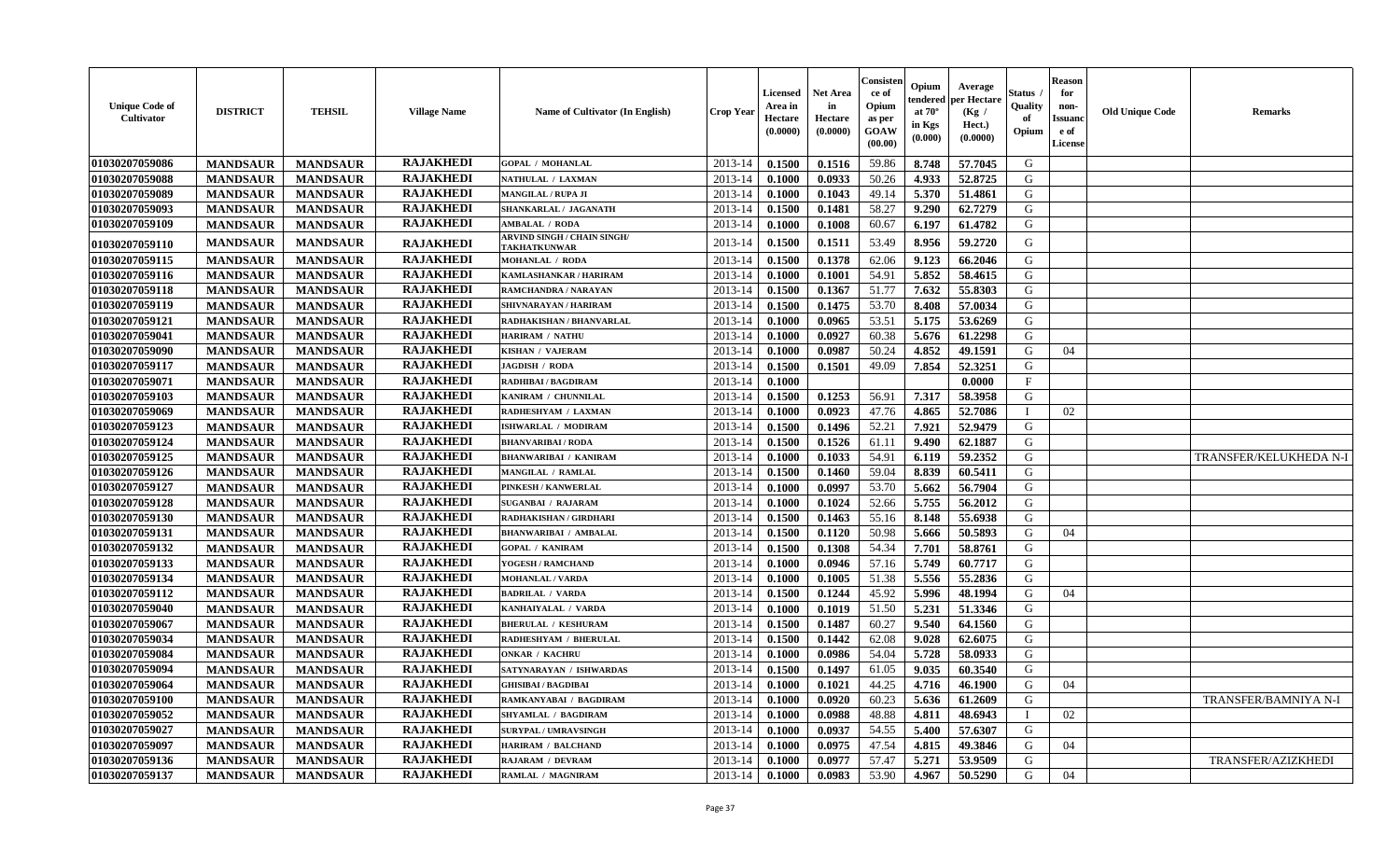| <b>Unique Code of</b><br>Cultivator | <b>DISTRICT</b> | <b>TEHSIL</b>   | <b>Village Name</b> | Name of Cultivator (In English)                    | Crop Yeaı   | Licensed<br>Area in<br>Hectare<br>(0.0000) | <b>Net Area</b><br>in<br>Hectare<br>(0.0000) | Consister<br>ce of<br>Opium<br>as per<br>GOAW<br>(00.00) | Opium<br>endered<br>at $70^\circ$<br>in Kgs<br>(0.000) | Average<br>per Hectare<br>(Kg /<br>Hect.)<br>(0.0000) | Status<br>Quality<br>of<br>Opium | <b>Reason</b><br>for<br>non-<br><b>Issuanc</b><br>e of<br><b>License</b> | <b>Old Unique Code</b> | Remarks                |
|-------------------------------------|-----------------|-----------------|---------------------|----------------------------------------------------|-------------|--------------------------------------------|----------------------------------------------|----------------------------------------------------------|--------------------------------------------------------|-------------------------------------------------------|----------------------------------|--------------------------------------------------------------------------|------------------------|------------------------|
| 01030207059086                      | <b>MANDSAUR</b> | <b>MANDSAUR</b> | <b>RAJAKHEDI</b>    | <b>GOPAL / MOHANLAL</b>                            | 2013-14     | 0.1500                                     | 0.1516                                       | 59.86                                                    | 8.748                                                  | 57.7045                                               | G                                |                                                                          |                        |                        |
| 01030207059088                      | <b>MANDSAUR</b> | <b>MANDSAUR</b> | <b>RAJAKHEDI</b>    | NATHULAL / LAXMAN                                  | 2013-14     | 0.1000                                     | 0.0933                                       | 50.26                                                    | 4.933                                                  | 52.8725                                               | G                                |                                                                          |                        |                        |
| 01030207059089                      | <b>MANDSAUR</b> | <b>MANDSAUR</b> | <b>RAJAKHEDI</b>    | <b>MANGILAL / RUPA JI</b>                          | $2013 - 14$ | 0.1000                                     | 0.1043                                       | 49.14                                                    | 5.370                                                  | 51.4861                                               | G                                |                                                                          |                        |                        |
| 01030207059093                      | <b>MANDSAUR</b> | <b>MANDSAUR</b> | <b>RAJAKHEDI</b>    | SHANKARLAL / JAGANATH                              | 2013-14     | 0.1500                                     | 0.1481                                       | 58.27                                                    | 9.290                                                  | 62.7279                                               | G                                |                                                                          |                        |                        |
| 01030207059109                      | <b>MANDSAUR</b> | <b>MANDSAUR</b> | <b>RAJAKHEDI</b>    | <b>AMBALAL / RODA</b>                              | 2013-14     | 0.1000                                     | 0.1008                                       | 60.67                                                    | 6.197                                                  | 61.4782                                               | G                                |                                                                          |                        |                        |
| 01030207059110                      | <b>MANDSAUR</b> | <b>MANDSAUR</b> | <b>RAJAKHEDI</b>    | ARVIND SINGH / CHAIN SINGH/<br><b>TAKHATKUNWAR</b> | 2013-14     | 0.1500                                     | 0.1511                                       | 53.49                                                    | 8.956                                                  | 59,2720                                               | G                                |                                                                          |                        |                        |
| 01030207059115                      | <b>MANDSAUR</b> | <b>MANDSAUR</b> | <b>RAJAKHEDI</b>    | <b>MOHANLAL / RODA</b>                             | 2013-14     | 0.1500                                     | 0.1378                                       | 62.06                                                    | 9.123                                                  | 66.2046                                               | G                                |                                                                          |                        |                        |
| 01030207059116                      | <b>MANDSAUR</b> | <b>MANDSAUR</b> | <b>RAJAKHEDI</b>    | KAMLASHANKAR / HARIRAM                             | 2013-14     | 0.1000                                     | 0.1001                                       | 54.91                                                    | 5.852                                                  | 58.4615                                               | G                                |                                                                          |                        |                        |
| 01030207059118                      | <b>MANDSAUR</b> | <b>MANDSAUR</b> | <b>RAJAKHEDI</b>    | RAMCHANDRA / NARAYAN                               | $2013 - 14$ | 0.1500                                     | 0.1367                                       | 51.77                                                    | 7.632                                                  | 55.8303                                               | G                                |                                                                          |                        |                        |
| 01030207059119                      | <b>MANDSAUR</b> | <b>MANDSAUR</b> | <b>RAJAKHEDI</b>    | <b>SHIVNARAYAN / HARIRAM</b>                       | 2013-14     | 0.1500                                     | 0.1475                                       | 53.70                                                    | 8.408                                                  | 57.0034                                               | G                                |                                                                          |                        |                        |
| 01030207059121                      | <b>MANDSAUR</b> | <b>MANDSAUR</b> | <b>RAJAKHEDI</b>    | RADHAKISHAN / BHANVARLAL                           | 2013-14     | 0.1000                                     | 0.0965                                       | 53.51                                                    | 5.175                                                  | 53.6269                                               | G                                |                                                                          |                        |                        |
| 01030207059041                      | <b>MANDSAUR</b> | <b>MANDSAUR</b> | <b>RAJAKHEDI</b>    | <b>HARIRAM / NATHU</b>                             | 2013-14     | 0.1000                                     | 0.0927                                       | 60.38                                                    | 5.676                                                  | 61.2298                                               | G                                |                                                                          |                        |                        |
| 01030207059090                      | <b>MANDSAUR</b> | <b>MANDSAUR</b> | <b>RAJAKHEDI</b>    | <b>KISHAN / VAJERAM</b>                            | 2013-14     | 0.1000                                     | 0.0987                                       | 50.24                                                    | 4.852                                                  | 49.1591                                               | G                                | 04                                                                       |                        |                        |
| 01030207059117                      | <b>MANDSAUR</b> | <b>MANDSAUR</b> | <b>RAJAKHEDI</b>    | JAGDISH / RODA                                     | 2013-14     | 0.1500                                     | 0.1501                                       | 49.09                                                    | 7.854                                                  | 52.3251                                               | G                                |                                                                          |                        |                        |
| 01030207059071                      | <b>MANDSAUR</b> | <b>MANDSAUR</b> | <b>RAJAKHEDI</b>    | <b>RADHIBAI / BAGDIRAM</b>                         | $2013 - 14$ | 0.1000                                     |                                              |                                                          |                                                        | 0.0000                                                | $\mathbf{F}$                     |                                                                          |                        |                        |
| 01030207059103                      | <b>MANDSAUR</b> | <b>MANDSAUR</b> | <b>RAJAKHEDI</b>    | KANIRAM / CHUNNILAL                                | 2013-14     | 0.1500                                     | 0.1253                                       | 56.91                                                    | 7.317                                                  | 58.3958                                               | ${\bf G}$                        |                                                                          |                        |                        |
| 01030207059069                      | <b>MANDSAUR</b> | <b>MANDSAUR</b> | <b>RAJAKHEDI</b>    | RADHESHYAM / LAXMAN                                | 2013-14     | 0.1000                                     | 0.0923                                       | 47.76                                                    | 4.865                                                  | 52.7086                                               |                                  | 02                                                                       |                        |                        |
| 01030207059123                      | <b>MANDSAUR</b> | <b>MANDSAUR</b> | <b>RAJAKHEDI</b>    | ISHWARLAL / MODIRAM                                | $2013 - 14$ | 0.1500                                     | 0.1496                                       | 52.21                                                    | 7.921                                                  | 52,9479                                               | G                                |                                                                          |                        |                        |
| 01030207059124                      | <b>MANDSAUR</b> | <b>MANDSAUR</b> | <b>RAJAKHEDI</b>    | <b>BHANVARIBAI/RODA</b>                            | 2013-14     | 0.1500                                     | 0.1526                                       | 61.11                                                    | 9.490                                                  | 62.1887                                               | G                                |                                                                          |                        |                        |
| 01030207059125                      | <b>MANDSAUR</b> | <b>MANDSAUR</b> | <b>RAJAKHEDI</b>    | <b>BHANWARIBAI / KANIRAM</b>                       | 2013-14     | 0.1000                                     | 0.1033                                       | 54.91                                                    | 6.119                                                  | 59.2352                                               | G                                |                                                                          |                        | TRANSFER/KELUKHEDA N-I |
| 01030207059126                      | <b>MANDSAUR</b> | <b>MANDSAUR</b> | <b>RAJAKHEDI</b>    | <b>MANGILAL / RAMLAL</b>                           | 2013-14     | 0.1500                                     | 0.1460                                       | 59.04                                                    | 8.839                                                  | 60.5411                                               | G                                |                                                                          |                        |                        |
| 01030207059127                      | <b>MANDSAUR</b> | <b>MANDSAUR</b> | <b>RAJAKHEDI</b>    | PINKESH / KANWERLAL                                | 2013-14     | 0.1000                                     | 0.0997                                       | 53.70                                                    | 5.662                                                  | 56.7904                                               | G                                |                                                                          |                        |                        |
| 01030207059128                      | <b>MANDSAUR</b> | <b>MANDSAUR</b> | <b>RAJAKHEDI</b>    | <b>SUGANBAI / RAJARAM</b>                          | 2013-14     | 0.1000                                     | 0.1024                                       | 52.66                                                    | 5.755                                                  | 56.2012                                               | G                                |                                                                          |                        |                        |
| 01030207059130                      | <b>MANDSAUR</b> | <b>MANDSAUR</b> | <b>RAJAKHEDI</b>    | RADHAKISHAN / GIRDHARI                             | $2013 - 14$ | 0.1500                                     | 0.1463                                       | 55.16                                                    | 8.148                                                  | 55.6938                                               | G                                |                                                                          |                        |                        |
| 01030207059131                      | <b>MANDSAUR</b> | <b>MANDSAUR</b> | <b>RAJAKHEDI</b>    | <b>BHANWARIBAI / AMBALAL</b>                       | 2013-14     | 0.1500                                     | 0.1120                                       | 50.98                                                    | 5.666                                                  | 50.5893                                               | G                                | 04                                                                       |                        |                        |
| 01030207059132                      | <b>MANDSAUR</b> | <b>MANDSAUR</b> | <b>RAJAKHEDI</b>    | <b>GOPAL / KANIRAM</b>                             | 2013-14     | 0.1500                                     | 0.1308                                       | 54.34                                                    | 7.701                                                  | 58.8761                                               | G                                |                                                                          |                        |                        |
| 01030207059133                      | <b>MANDSAUR</b> | <b>MANDSAUR</b> | <b>RAJAKHEDI</b>    | YOGESH / RAMCHAND                                  | $2013 - 14$ | 0.1000                                     | 0.0946                                       | 57.16                                                    | 5.749                                                  | 60.7717                                               | G                                |                                                                          |                        |                        |
| 01030207059134                      | <b>MANDSAUR</b> | <b>MANDSAUR</b> | <b>RAJAKHEDI</b>    | <b>MOHANLAL / VARDA</b>                            | $2013 - 14$ | 0.1000                                     | 0.1005                                       | 51.38                                                    | 5.556                                                  | 55.2836                                               | G                                |                                                                          |                        |                        |
| 01030207059112                      | <b>MANDSAUR</b> | <b>MANDSAUR</b> | <b>RAJAKHEDI</b>    | <b>BADRILAL / VARDA</b>                            | 2013-14     | 0.1500                                     | 0.1244                                       | 45.92                                                    | 5.996                                                  | 48.1994                                               | G                                | 04                                                                       |                        |                        |
| 01030207059040                      | <b>MANDSAUR</b> | <b>MANDSAUR</b> | <b>RAJAKHEDI</b>    | KANHAIYALAL / VARDA                                | 2013-14     | 0.1000                                     | 0.1019                                       | 51.50                                                    | 5.231                                                  | 51.3346                                               | G                                |                                                                          |                        |                        |
| 01030207059067                      | <b>MANDSAUR</b> | <b>MANDSAUR</b> | <b>RAJAKHEDI</b>    | <b>BHERULAL / KESHURAM</b>                         | 2013-14     | 0.1500                                     | 0.1487                                       | 60.27                                                    | 9.540                                                  | 64.1560                                               | G                                |                                                                          |                        |                        |
| 01030207059034                      | <b>MANDSAUR</b> | <b>MANDSAUR</b> | <b>RAJAKHEDI</b>    | RADHESHYAM / BHERULAL                              | 2013-14     | 0.1500                                     | 0.1442                                       | 62.08                                                    | 9.028                                                  | 62.6075                                               | G                                |                                                                          |                        |                        |
| 01030207059084                      | <b>MANDSAUR</b> | <b>MANDSAUR</b> | <b>RAJAKHEDI</b>    | <b>ONKAR / KACHRU</b>                              | 2013-14     | 0.1000                                     | 0.0986                                       | 54.04                                                    | 5.728                                                  | 58.0933                                               | G                                |                                                                          |                        |                        |
| 01030207059094                      | <b>MANDSAUR</b> | <b>MANDSAUR</b> | <b>RAJAKHEDI</b>    | SATYNARAYAN / ISHWARDAS                            | $2013 - 14$ | 0.1500                                     | 0.1497                                       | 61.05                                                    | 9.035                                                  | 60.3540                                               | G                                |                                                                          |                        |                        |
| 01030207059064                      | <b>MANDSAUR</b> | <b>MANDSAUR</b> | <b>RAJAKHEDI</b>    | <b>GHISIBAI/BAGDIBAI</b>                           | 2013-14     | 0.1000                                     | 0.1021                                       | 44.25                                                    | 4.716                                                  | 46.1900                                               | G                                | 04                                                                       |                        |                        |
| 01030207059100                      | <b>MANDSAUR</b> | <b>MANDSAUR</b> | <b>RAJAKHEDI</b>    | RAMKANYABAI / BAGDIRAM                             | 2013-14     | 0.1000                                     | 0.0920                                       | 60.23                                                    | 5.636                                                  | 61.2609                                               | G                                |                                                                          |                        | TRANSFER/BAMNIYA N-I   |
| 01030207059052                      | <b>MANDSAUR</b> | <b>MANDSAUR</b> | <b>RAJAKHEDI</b>    | SHYAMLAL / BAGDIRAM                                | 2013-14     | 0.1000                                     | 0.0988                                       | 48.88                                                    | 4.811                                                  | 48.6943                                               | $\mathbf I$                      | 02                                                                       |                        |                        |
| 01030207059027                      | <b>MANDSAUR</b> | <b>MANDSAUR</b> | <b>RAJAKHEDI</b>    | <b>SURYPAL / UMRAVSINGH</b>                        | 2013-14     | 0.1000                                     | 0.0937                                       | 54.55                                                    | 5.400                                                  | 57.6307                                               | G                                |                                                                          |                        |                        |
| 01030207059097                      | <b>MANDSAUR</b> | <b>MANDSAUR</b> | <b>RAJAKHEDI</b>    | HARIRAM / BALCHAND                                 | 2013-14     | 0.1000                                     | 0.0975                                       | 47.54                                                    | 4.815                                                  | 49.3846                                               | G                                | 04                                                                       |                        |                        |
| 01030207059136                      | <b>MANDSAUR</b> | <b>MANDSAUR</b> | <b>RAJAKHEDI</b>    | RAJARAM / DEVRAM                                   | $2013 - 14$ | 0.1000                                     | 0.0977                                       | 57.47                                                    | 5.271                                                  | 53.9509                                               | G                                |                                                                          |                        | TRANSFER/AZIZKHEDI     |
| 01030207059137                      | <b>MANDSAUR</b> | <b>MANDSAUR</b> | <b>RAJAKHEDI</b>    | RAMLAL / MAGNIRAM                                  | $2013 - 14$ | 0.1000                                     | 0.0983                                       | 53.90                                                    | 4.967                                                  | 50.5290                                               | G                                | 04                                                                       |                        |                        |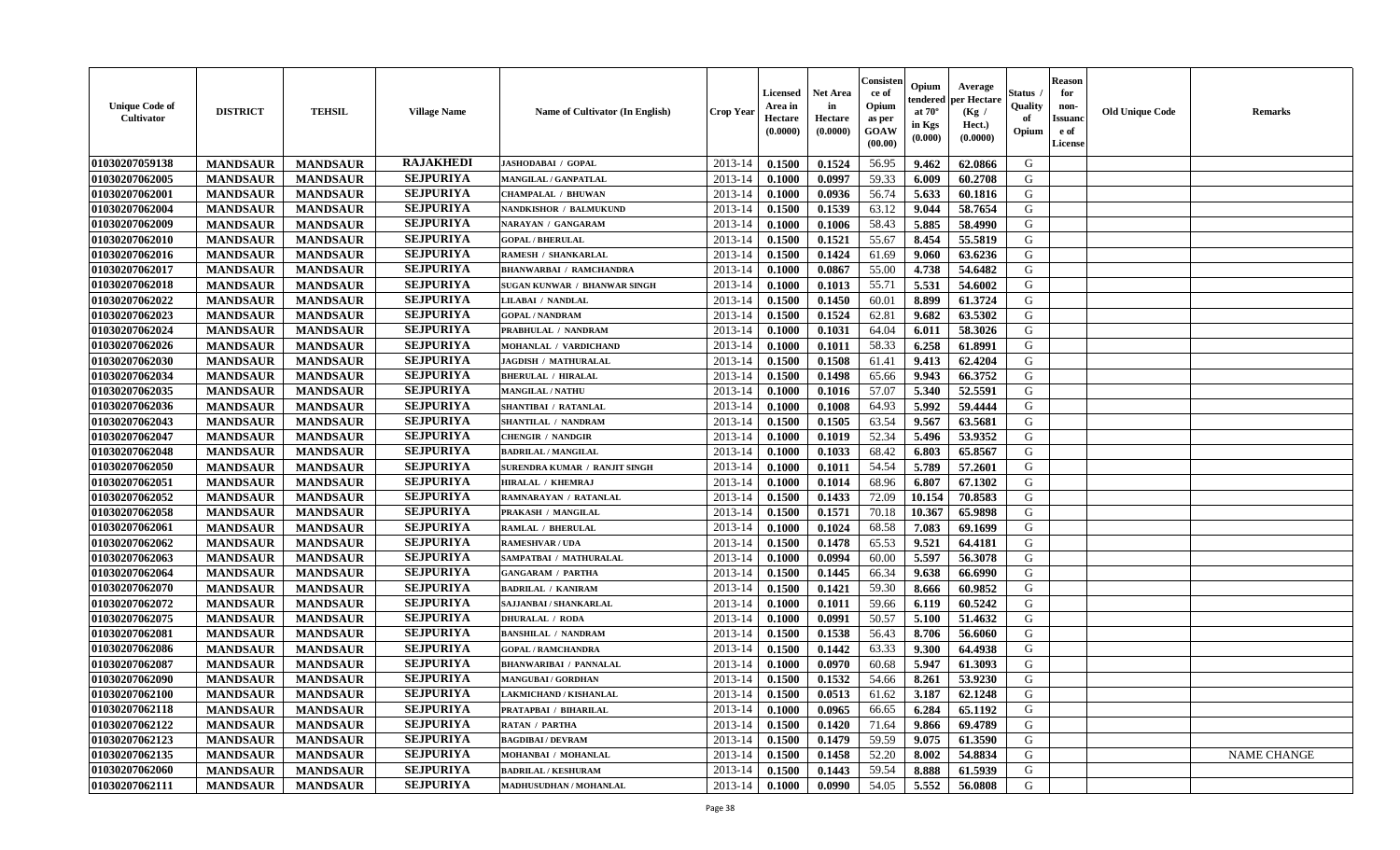| <b>Unique Code of</b><br>Cultivator | <b>DISTRICT</b> | <b>TEHSIL</b>   | <b>Village Name</b> | Name of Cultivator (In English)     | <b>Crop Year</b> | <b>Licensed</b><br>Area in<br>Hectare<br>(0.0000) | Net Area<br>in<br>Hectare<br>(0.0000) | Consister<br>ce of<br>Opium<br>as per<br>GOAW<br>(00.00) | Opium<br>endered<br>at $70^\circ$<br>in Kgs<br>(0.000) | Average<br>per Hectare<br>(Kg /<br>Hect.)<br>(0.0000) | Status<br>Quality<br>of<br>Opium | <b>Reason</b><br>for<br>non-<br><b>Issuand</b><br>e of<br>License | <b>Old Unique Code</b> | Remarks            |
|-------------------------------------|-----------------|-----------------|---------------------|-------------------------------------|------------------|---------------------------------------------------|---------------------------------------|----------------------------------------------------------|--------------------------------------------------------|-------------------------------------------------------|----------------------------------|-------------------------------------------------------------------|------------------------|--------------------|
| 01030207059138                      | <b>MANDSAUR</b> | <b>MANDSAUR</b> | <b>RAJAKHEDI</b>    | <b>JASHODABAI / GOPAL</b>           | 2013-14          | 0.1500                                            | 0.1524                                | 56.95                                                    | 9.462                                                  | 62.0866                                               | G                                |                                                                   |                        |                    |
| 01030207062005                      | <b>MANDSAUR</b> | <b>MANDSAUR</b> | <b>SEJPURIYA</b>    | <b>MANGILAL / GANPATLAL</b>         | 2013-14          | 0.1000                                            | 0.0997                                | 59.33                                                    | 6.009                                                  | 60.2708                                               | G                                |                                                                   |                        |                    |
| 01030207062001                      | <b>MANDSAUR</b> | <b>MANDSAUR</b> | <b>SEJPURIYA</b>    | <b>CHAMPALAL / BHUWAN</b>           | 2013-14          | 0.1000                                            | 0.0936                                | 56.74                                                    | 5.633                                                  | 60.1816                                               | G                                |                                                                   |                        |                    |
| 01030207062004                      | <b>MANDSAUR</b> | <b>MANDSAUR</b> | <b>SEJPURIYA</b>    | <b>NANDKISHOR / BALMUKUND</b>       | 2013-14          | 0.1500                                            | 0.1539                                | 63.12                                                    | 9.044                                                  | 58.7654                                               | G                                |                                                                   |                        |                    |
| 01030207062009                      | <b>MANDSAUR</b> | <b>MANDSAUR</b> | <b>SEJPURIYA</b>    | <b>NARAYAN / GANGARAM</b>           | 2013-14          | 0.1000                                            | 0.1006                                | 58.43                                                    | 5.885                                                  | 58.4990                                               | G                                |                                                                   |                        |                    |
| 01030207062010                      | <b>MANDSAUR</b> | <b>MANDSAUR</b> | <b>SEJPURIYA</b>    | <b>GOPAL / BHERULAL</b>             | 2013-14          | 0.1500                                            | 0.1521                                | 55.67                                                    | 8.454                                                  | 55.5819                                               | G                                |                                                                   |                        |                    |
| 01030207062016                      | <b>MANDSAUR</b> | <b>MANDSAUR</b> | <b>SEJPURIYA</b>    | RAMESH / SHANKARLAL                 | 2013-14          | 0.1500                                            | 0.1424                                | 61.69                                                    | 9.060                                                  | 63.6236                                               | G                                |                                                                   |                        |                    |
| 01030207062017                      | <b>MANDSAUR</b> | <b>MANDSAUR</b> | <b>SEJPURIYA</b>    | <b>BHANWARBAI / RAMCHANDRA</b>      | 2013-14          | 0.1000                                            | 0.0867                                | 55.00                                                    | 4.738                                                  | 54.6482                                               | G                                |                                                                   |                        |                    |
| 01030207062018                      | <b>MANDSAUR</b> | <b>MANDSAUR</b> | <b>SEJPURIYA</b>    | <b>SUGAN KUNWAR / BHANWAR SINGH</b> | 2013-14          | 0.1000                                            | 0.1013                                | 55.71                                                    | 5.531                                                  | 54.6002                                               | G                                |                                                                   |                        |                    |
| 01030207062022                      | <b>MANDSAUR</b> | <b>MANDSAUR</b> | <b>SEJPURIYA</b>    | LILABAI / NANDLAL                   | 2013-14          | 0.1500                                            | 0.1450                                | 60.01                                                    | 8.899                                                  | 61.3724                                               | G                                |                                                                   |                        |                    |
| 01030207062023                      | <b>MANDSAUR</b> | <b>MANDSAUR</b> | <b>SEJPURIYA</b>    | <b>GOPAL / NANDRAM</b>              | 2013-14          | 0.1500                                            | 0.1524                                | 62.81                                                    | 9.682                                                  | 63.5302                                               | G                                |                                                                   |                        |                    |
| 01030207062024                      | <b>MANDSAUR</b> | <b>MANDSAUR</b> | <b>SEJPURIYA</b>    | PRABHULAL / NANDRAM                 | 2013-14          | 0.1000                                            | 0.1031                                | 64.04                                                    | 6.011                                                  | 58.3026                                               | G                                |                                                                   |                        |                    |
| 01030207062026                      | <b>MANDSAUR</b> | <b>MANDSAUR</b> | <b>SEJPURIYA</b>    | MOHANLAL / VARDICHAND               | 2013-14          | 0.1000                                            | 0.1011                                | 58.33                                                    | 6.258                                                  | 61.8991                                               | G                                |                                                                   |                        |                    |
| 01030207062030                      | <b>MANDSAUR</b> | <b>MANDSAUR</b> | <b>SEJPURIYA</b>    | <b>JAGDISH / MATHURALAL</b>         | 2013-14          | 0.1500                                            | 0.1508                                | 61.41                                                    | 9.413                                                  | 62.4204                                               | G                                |                                                                   |                        |                    |
| 01030207062034                      | <b>MANDSAUR</b> | <b>MANDSAUR</b> | <b>SEJPURIYA</b>    | <b>BHERULAL / HIRALAL</b>           | 2013-14          | 0.1500                                            | 0.1498                                | 65.66                                                    | 9.943                                                  | 66.3752                                               | $\mathbf G$                      |                                                                   |                        |                    |
| 01030207062035                      | <b>MANDSAUR</b> | <b>MANDSAUR</b> | <b>SEJPURIYA</b>    | <b>MANGILAL / NATHU</b>             | 2013-14          | 0.1000                                            | 0.1016                                | 57.07                                                    | 5.340                                                  | 52.5591                                               | G                                |                                                                   |                        |                    |
| 01030207062036                      | <b>MANDSAUR</b> | <b>MANDSAUR</b> | <b>SEJPURIYA</b>    | SHANTIBAI / RATANLAL                | 2013-14          | 0.1000                                            | 0.1008                                | 64.93                                                    | 5.992                                                  | 59.4444                                               | G                                |                                                                   |                        |                    |
| 01030207062043                      | <b>MANDSAUR</b> | <b>MANDSAUR</b> | <b>SEJPURIYA</b>    | SHANTILAL / NANDRAM                 | 2013-14          | 0.1500                                            | 0.1505                                | 63.54                                                    | 9.567                                                  | 63.5681                                               | G                                |                                                                   |                        |                    |
| 01030207062047                      | <b>MANDSAUR</b> | <b>MANDSAUR</b> | <b>SEJPURIYA</b>    | <b>CHENGIR / NANDGIR</b>            | 2013-14          | 0.1000                                            | 0.1019                                | 52.34                                                    | 5.496                                                  | 53.9352                                               | G                                |                                                                   |                        |                    |
| 01030207062048                      | <b>MANDSAUR</b> | <b>MANDSAUR</b> | <b>SEJPURIYA</b>    | <b>BADRILAL / MANGILAL</b>          | 2013-14          | 0.1000                                            | 0.1033                                | 68.42                                                    | 6.803                                                  | 65.8567                                               | G                                |                                                                   |                        |                    |
| 01030207062050                      | <b>MANDSAUR</b> | <b>MANDSAUR</b> | <b>SEJPURIYA</b>    | SURENDRA KUMAR / RANJIT SINGH       | 2013-14          | 0.1000                                            | 0.1011                                | 54.54                                                    | 5.789                                                  | 57.2601                                               | G                                |                                                                   |                        |                    |
| 01030207062051                      | <b>MANDSAUR</b> | <b>MANDSAUR</b> | <b>SEJPURIYA</b>    | <b>HIRALAL / KHEMRAJ</b>            | 2013-14          | 0.1000                                            | 0.1014                                | 68.96                                                    | 6.807                                                  | 67.1302                                               | G                                |                                                                   |                        |                    |
| 01030207062052                      | <b>MANDSAUR</b> | <b>MANDSAUR</b> | <b>SEJPURIYA</b>    | RAMNARAYAN / RATANLAL               | 2013-14          | 0.1500                                            | 0.1433                                | 72.09                                                    | 10.154                                                 | 70.8583                                               | G                                |                                                                   |                        |                    |
| 01030207062058                      | <b>MANDSAUR</b> | <b>MANDSAUR</b> | <b>SEJPURIYA</b>    | PRAKASH / MANGILAL                  | 2013-14          | 0.1500                                            | 0.1571                                | 70.18                                                    | 10.367                                                 | 65.9898                                               | G                                |                                                                   |                        |                    |
| 01030207062061                      | <b>MANDSAUR</b> | <b>MANDSAUR</b> | <b>SEJPURIYA</b>    | <b>RAMLAL / BHERULAL</b>            | 2013-14          | 0.1000                                            | 0.1024                                | 68.58                                                    | 7.083                                                  | 69.1699                                               | G                                |                                                                   |                        |                    |
| 01030207062062                      | <b>MANDSAUR</b> | <b>MANDSAUR</b> | <b>SEJPURIYA</b>    | <b>RAMESHVAR / UDA</b>              | 2013-14          | 0.1500                                            | 0.1478                                | 65.53                                                    | 9.521                                                  | 64.4181                                               | G                                |                                                                   |                        |                    |
| 01030207062063                      | <b>MANDSAUR</b> | <b>MANDSAUR</b> | <b>SEJPURIYA</b>    | SAMPATBAI / MATHURALAL              | 2013-14          | 0.1000                                            | 0.0994                                | 60.00                                                    | 5.597                                                  | 56.3078                                               | G                                |                                                                   |                        |                    |
| 01030207062064                      | <b>MANDSAUR</b> | <b>MANDSAUR</b> | <b>SEJPURIYA</b>    | <b>GANGARAM / PARTHA</b>            | 2013-14          | 0.1500                                            | 0.1445                                | 66.34                                                    | 9.638                                                  | 66.6990                                               | G                                |                                                                   |                        |                    |
| 01030207062070                      | <b>MANDSAUR</b> | <b>MANDSAUR</b> | <b>SEJPURIYA</b>    | <b>BADRILAL / KANIRAM</b>           | 2013-14          | 0.1500                                            | 0.1421                                | 59.30                                                    | 8.666                                                  | 60.9852                                               | G                                |                                                                   |                        |                    |
| 01030207062072                      | <b>MANDSAUR</b> | <b>MANDSAUR</b> | <b>SEJPURIYA</b>    | SAJJANBAI / SHANKARLAL              | 2013-14          | 0.1000                                            | 0.1011                                | 59.66                                                    | 6.119                                                  | 60.5242                                               | G                                |                                                                   |                        |                    |
| 01030207062075                      | <b>MANDSAUR</b> | <b>MANDSAUR</b> | <b>SEJPURIYA</b>    | <b>DHURALAL / RODA</b>              | 2013-14          | 0.1000                                            | 0.0991                                | 50.57                                                    | 5.100                                                  | 51.4632                                               | G                                |                                                                   |                        |                    |
| 01030207062081                      | <b>MANDSAUR</b> | <b>MANDSAUR</b> | <b>SEJPURIYA</b>    | <b>BANSHILAL / NANDRAM</b>          | 2013-14          | 0.1500                                            | 0.1538                                | 56.43                                                    | 8.706                                                  | 56.6060                                               | G                                |                                                                   |                        |                    |
| 01030207062086                      | <b>MANDSAUR</b> | <b>MANDSAUR</b> | <b>SEJPURIYA</b>    | <b>GOPAL / RAMCHANDRA</b>           | 2013-14          | 0.1500                                            | 0.1442                                | 63.33                                                    | 9.300                                                  | 64.4938                                               | G                                |                                                                   |                        |                    |
| 01030207062087                      | <b>MANDSAUR</b> | <b>MANDSAUR</b> | <b>SEJPURIYA</b>    | <b>BHANWARIBAI / PANNALAL</b>       | 2013-14          | 0.1000                                            | 0.0970                                | 60.68                                                    | 5.947                                                  | 61.3093                                               | G                                |                                                                   |                        |                    |
| 01030207062090                      | <b>MANDSAUR</b> | <b>MANDSAUR</b> | <b>SEJPURIYA</b>    | <b>MANGUBAI/GORDHAN</b>             | 2013-14          | 0.1500                                            | 0.1532                                | 54.66                                                    | 8.261                                                  | 53.9230                                               | G                                |                                                                   |                        |                    |
| 01030207062100                      | <b>MANDSAUR</b> | <b>MANDSAUR</b> | <b>SEJPURIYA</b>    | <b>LAKMICHAND / KISHANLAL</b>       | 2013-14          | 0.1500                                            | 0.0513                                | 61.62                                                    | 3.187                                                  | 62.1248                                               | G                                |                                                                   |                        |                    |
| 01030207062118                      | <b>MANDSAUR</b> | <b>MANDSAUR</b> | <b>SEJPURIYA</b>    | PRATAPBAI / BIHARILAL               | 2013-14          | 0.1000                                            | 0.0965                                | 66.65                                                    | 6.284                                                  | 65.1192                                               | G                                |                                                                   |                        |                    |
| 01030207062122                      | <b>MANDSAUR</b> | <b>MANDSAUR</b> | <b>SEJPURIYA</b>    | <b>RATAN / PARTHA</b>               | 2013-14          | 0.1500                                            | 0.1420                                | 71.64                                                    | 9.866                                                  | 69.4789                                               | G                                |                                                                   |                        |                    |
| 01030207062123                      | <b>MANDSAUR</b> | <b>MANDSAUR</b> | <b>SEJPURIYA</b>    | <b>BAGDIBAI / DEVRAM</b>            | 2013-14          | 0.1500                                            | 0.1479                                | 59.59                                                    | 9.075                                                  | 61.3590                                               | G                                |                                                                   |                        |                    |
| 01030207062135                      | <b>MANDSAUR</b> | <b>MANDSAUR</b> | <b>SEJPURIYA</b>    | MOHANBAI / MOHANLAL                 | 2013-14          | 0.1500                                            | 0.1458                                | 52.20                                                    | 8.002                                                  | 54.8834                                               | G                                |                                                                   |                        | <b>NAME CHANGE</b> |
| 01030207062060                      | <b>MANDSAUR</b> | <b>MANDSAUR</b> | <b>SEJPURIYA</b>    | <b>BADRILAL / KESHURAM</b>          | 2013-14          | 0.1500                                            | 0.1443                                | 59.54                                                    | 8.888                                                  | 61.5939                                               | G                                |                                                                   |                        |                    |
| 01030207062111                      | <b>MANDSAUR</b> | <b>MANDSAUR</b> | <b>SEJPURIYA</b>    | <b>MADHUSUDHAN / MOHANLAL</b>       | 2013-14          | 0.1000                                            | 0.0990                                | 54.05                                                    | 5.552                                                  | 56.0808                                               | G                                |                                                                   |                        |                    |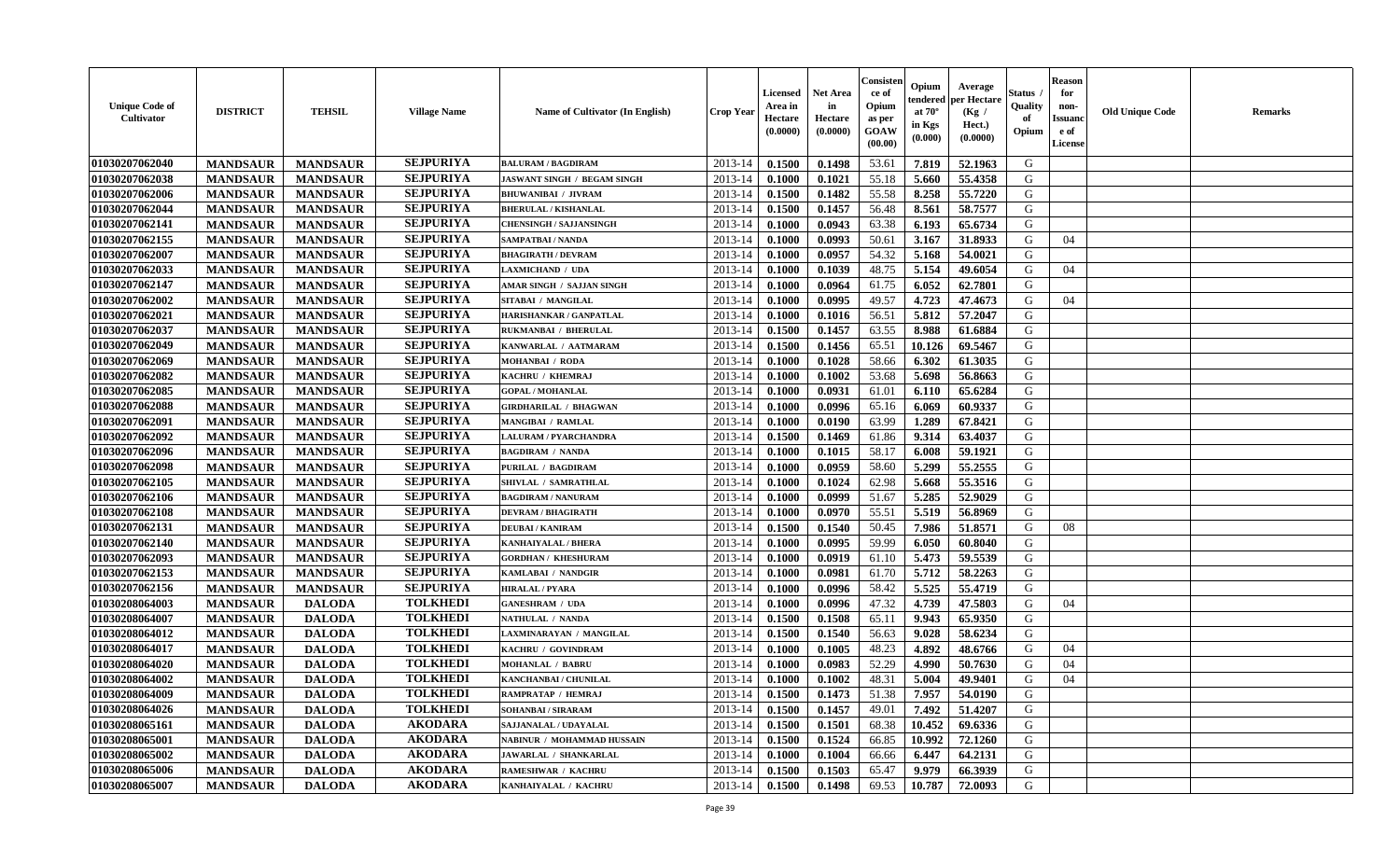| <b>Unique Code of</b><br><b>Cultivator</b> | <b>DISTRICT</b> | <b>TEHSIL</b>   | <b>Village Name</b> | <b>Name of Cultivator (In English)</b> | <b>Crop Year</b> | <b>Licensed</b><br>Area in<br>Hectare<br>(0.0000) | <b>Net Area</b><br>in<br>Hectare<br>(0.0000) | Consister<br>ce of<br>Opium<br>as per<br><b>GOAW</b><br>(00.00) | Opium<br>endered<br>at $70^\circ$<br>in Kgs<br>(0.000) | Average<br>per Hectare<br>(Kg)<br>Hect.)<br>(0.0000) | Status<br>Quality<br>of<br>Opium | <b>Reason</b><br>for<br>non-<br><b>Issuano</b><br>e of<br>License | <b>Old Unique Code</b> | <b>Remarks</b> |
|--------------------------------------------|-----------------|-----------------|---------------------|----------------------------------------|------------------|---------------------------------------------------|----------------------------------------------|-----------------------------------------------------------------|--------------------------------------------------------|------------------------------------------------------|----------------------------------|-------------------------------------------------------------------|------------------------|----------------|
| 01030207062040                             | <b>MANDSAUR</b> | <b>MANDSAUR</b> | <b>SEJPURIYA</b>    | <b>BALURAM / BAGDIRAM</b>              | 2013-14          | 0.1500                                            | 0.1498                                       | 53.61                                                           | 7.819                                                  | 52.1963                                              | G                                |                                                                   |                        |                |
| 01030207062038                             | <b>MANDSAUR</b> | <b>MANDSAUR</b> | <b>SEJPURIYA</b>    | <b>JASWANT SINGH / BEGAM SINGH</b>     | 2013-14          | 0.1000                                            | 0.1021                                       | 55.18                                                           | 5.660                                                  | 55.4358                                              | G                                |                                                                   |                        |                |
| 01030207062006                             | <b>MANDSAUR</b> | <b>MANDSAUR</b> | <b>SEJPURIYA</b>    | <b>BHUWANIBAI / JIVRAM</b>             | 2013-14          | 0.1500                                            | 0.1482                                       | 55.58                                                           | 8.258                                                  | 55.7220                                              | G                                |                                                                   |                        |                |
| 01030207062044                             | <b>MANDSAUR</b> | <b>MANDSAUR</b> | <b>SEJPURIYA</b>    | <b>BHERULAL / KISHANLAL</b>            | 2013-14          | 0.1500                                            | 0.1457                                       | 56.48                                                           | 8.561                                                  | 58.7577                                              | G                                |                                                                   |                        |                |
| 01030207062141                             | <b>MANDSAUR</b> | <b>MANDSAUR</b> | <b>SEJPURIYA</b>    | <b>CHENSINGH / SAJJANSINGH</b>         | 2013-14          | 0.1000                                            | 0.0943                                       | 63.38                                                           | 6.193                                                  | 65.6734                                              | G                                |                                                                   |                        |                |
| 01030207062155                             | <b>MANDSAUR</b> | <b>MANDSAUR</b> | <b>SEJPURIYA</b>    | <b>SAMPATBAI / NANDA</b>               | 2013-14          | 0.1000                                            | 0.0993                                       | 50.61                                                           | 3.167                                                  | 31.8933                                              | G                                | 04                                                                |                        |                |
| 01030207062007                             | <b>MANDSAUR</b> | <b>MANDSAUR</b> | <b>SEJPURIYA</b>    | <b>BHAGIRATH / DEVRAM</b>              | 2013-14          | 0.1000                                            | 0.0957                                       | 54.32                                                           | 5.168                                                  | 54.0021                                              | G                                |                                                                   |                        |                |
| 01030207062033                             | <b>MANDSAUR</b> | <b>MANDSAUR</b> | <b>SEJPURIYA</b>    | <b>LAXMICHAND / UDA</b>                | 2013-14          | 0.1000                                            | 0.1039                                       | 48.75                                                           | 5.154                                                  | 49.6054                                              | G                                | 04                                                                |                        |                |
| 01030207062147                             | <b>MANDSAUR</b> | <b>MANDSAUR</b> | <b>SEJPURIYA</b>    | <b>AMAR SINGH / SAJJAN SINGH</b>       | 2013-14          | 0.1000                                            | 0.0964                                       | 61.75                                                           | 6.052                                                  | 62.7801                                              | G                                |                                                                   |                        |                |
| 01030207062002                             | <b>MANDSAUR</b> | <b>MANDSAUR</b> | <b>SEJPURIYA</b>    | SITABAI / MANGILAL                     | 2013-14          | 0.1000                                            | 0.0995                                       | 49.57                                                           | 4.723                                                  | 47.4673                                              | G                                | 04                                                                |                        |                |
| 01030207062021                             | <b>MANDSAUR</b> | <b>MANDSAUR</b> | <b>SEJPURIYA</b>    | HARISHANKAR / GANPATLAL                | 2013-14          | 0.1000                                            | 0.1016                                       | 56.51                                                           | 5.812                                                  | 57.2047                                              | G                                |                                                                   |                        |                |
| 01030207062037                             | <b>MANDSAUR</b> | <b>MANDSAUR</b> | <b>SEJPURIYA</b>    | RUKMANBAI / BHERULAL                   | 2013-14          | 0.1500                                            | 0.1457                                       | 63.55                                                           | 8.988                                                  | 61.6884                                              | G                                |                                                                   |                        |                |
| 01030207062049                             | <b>MANDSAUR</b> | <b>MANDSAUR</b> | <b>SEJPURIYA</b>    | KANWARLAL / AATMARAM                   | 2013-14          | 0.1500                                            | 0.1456                                       | 65.51                                                           | 10.126                                                 | 69.5467                                              | G                                |                                                                   |                        |                |
| 01030207062069                             | <b>MANDSAUR</b> | <b>MANDSAUR</b> | <b>SEJPURIYA</b>    | <b>MOHANBAI / RODA</b>                 | 2013-14          | 0.1000                                            | 0.1028                                       | 58.66                                                           | 6.302                                                  | 61.3035                                              | G                                |                                                                   |                        |                |
| 01030207062082                             | <b>MANDSAUR</b> | <b>MANDSAUR</b> | <b>SEJPURIYA</b>    | KACHRU / KHEMRAJ                       | 2013-14          | 0.1000                                            | 0.1002                                       | 53.68                                                           | 5.698                                                  | 56.8663                                              | G                                |                                                                   |                        |                |
| 01030207062085                             | <b>MANDSAUR</b> | <b>MANDSAUR</b> | <b>SEJPURIYA</b>    | <b>GOPAL / MOHANLAL</b>                | 2013-14          | 0.1000                                            | 0.0931                                       | 61.01                                                           | 6.110                                                  | 65.6284                                              | G                                |                                                                   |                        |                |
| 01030207062088                             | <b>MANDSAUR</b> | <b>MANDSAUR</b> | <b>SEJPURIYA</b>    | <b>GIRDHARILAL / BHAGWAN</b>           | 2013-14          | 0.1000                                            | 0.0996                                       | 65.16                                                           | 6.069                                                  | 60.9337                                              | G                                |                                                                   |                        |                |
| 01030207062091                             | <b>MANDSAUR</b> | <b>MANDSAUR</b> | <b>SEJPURIYA</b>    | <b>MANGIBAI / RAMLAL</b>               | 2013-14          | 0.1000                                            | 0.0190                                       | 63.99                                                           | 1.289                                                  | 67.8421                                              | G                                |                                                                   |                        |                |
| 01030207062092                             | <b>MANDSAUR</b> | <b>MANDSAUR</b> | <b>SEJPURIYA</b>    | <b>LALURAM / PYARCHANDRA</b>           | 2013-14          | 0.1500                                            | 0.1469                                       | 61.86                                                           | 9.314                                                  | 63.4037                                              | G                                |                                                                   |                        |                |
| 01030207062096                             | <b>MANDSAUR</b> | <b>MANDSAUR</b> | <b>SEJPURIYA</b>    | <b>BAGDIRAM / NANDA</b>                | 2013-14          | 0.1000                                            | 0.1015                                       | 58.17                                                           | 6.008                                                  | 59.1921                                              | G                                |                                                                   |                        |                |
| 01030207062098                             | <b>MANDSAUR</b> | <b>MANDSAUR</b> | <b>SEJPURIYA</b>    | PURILAL / BAGDIRAM                     | 2013-14          | 0.1000                                            | 0.0959                                       | 58.60                                                           | 5.299                                                  | 55.2555                                              | G                                |                                                                   |                        |                |
| 01030207062105                             | <b>MANDSAUR</b> | <b>MANDSAUR</b> | <b>SEJPURIYA</b>    | SHIVLAL / SAMRATHLAL                   | 2013-14          | 0.1000                                            | 0.1024                                       | 62.98                                                           | 5.668                                                  | 55.3516                                              | G                                |                                                                   |                        |                |
| 01030207062106                             | <b>MANDSAUR</b> | <b>MANDSAUR</b> | <b>SEJPURIYA</b>    | <b>BAGDIRAM / NANURAM</b>              | 2013-14          | 0.1000                                            | 0.0999                                       | 51.67                                                           | 5.285                                                  | 52.9029                                              | G                                |                                                                   |                        |                |
| 01030207062108                             | <b>MANDSAUR</b> | <b>MANDSAUR</b> | <b>SEJPURIYA</b>    | <b>DEVRAM / BHAGIRATH</b>              | 2013-14          | 0.1000                                            | 0.0970                                       | 55.51                                                           | 5.519                                                  | 56.8969                                              | G                                |                                                                   |                        |                |
| 01030207062131                             | <b>MANDSAUR</b> | <b>MANDSAUR</b> | <b>SEJPURIYA</b>    | <b>DEUBAI/KANIRAM</b>                  | 2013-14          | 0.1500                                            | 0.1540                                       | 50.45                                                           | 7.986                                                  | 51.8571                                              | G                                | 08                                                                |                        |                |
| 01030207062140                             | <b>MANDSAUR</b> | <b>MANDSAUR</b> | <b>SEJPURIYA</b>    | KANHAIYALAL / BHERA                    | 2013-14          | 0.1000                                            | 0.0995                                       | 59.99                                                           | 6.050                                                  | 60.8040                                              | G                                |                                                                   |                        |                |
| 01030207062093                             | <b>MANDSAUR</b> | <b>MANDSAUR</b> | <b>SEJPURIYA</b>    | <b>GORDHAN / KHESHURAM</b>             | 2013-14          | 0.1000                                            | 0.0919                                       | 61.10                                                           | 5.473                                                  | 59.5539                                              | G                                |                                                                   |                        |                |
| 01030207062153                             | <b>MANDSAUR</b> | <b>MANDSAUR</b> | <b>SEJPURIYA</b>    | KAMLABAI / NANDGIR                     | 2013-14          | 0.1000                                            | 0.0981                                       | 61.70                                                           | 5.712                                                  | 58.2263                                              | G                                |                                                                   |                        |                |
| 01030207062156                             | <b>MANDSAUR</b> | <b>MANDSAUR</b> | <b>SEJPURIYA</b>    | <b>HIRALAL / PYARA</b>                 | 2013-14          | 0.1000                                            | 0.0996                                       | 58.42                                                           | 5.525                                                  | 55.4719                                              | G                                |                                                                   |                        |                |
| 01030208064003                             | <b>MANDSAUR</b> | <b>DALODA</b>   | <b>TOLKHEDI</b>     | <b>GANESHRAM / UDA</b>                 | 2013-14          | 0.1000                                            | 0.0996                                       | 47.32                                                           | 4.739                                                  | 47.5803                                              | G                                | 04                                                                |                        |                |
| 01030208064007                             | <b>MANDSAUR</b> | <b>DALODA</b>   | <b>TOLKHEDI</b>     | NATHULAL / NANDA                       | 2013-14          | 0.1500                                            | 0.1508                                       | 65.11                                                           | 9.943                                                  | 65.9350                                              | G                                |                                                                   |                        |                |
| 01030208064012                             | <b>MANDSAUR</b> | <b>DALODA</b>   | <b>TOLKHEDI</b>     | LAXMINARAYAN / MANGILAL                | 2013-14          | 0.1500                                            | 0.1540                                       | 56.63                                                           | 9.028                                                  | 58.6234                                              | G                                |                                                                   |                        |                |
| 01030208064017                             | <b>MANDSAUR</b> | <b>DALODA</b>   | <b>TOLKHEDI</b>     | KACHRU / GOVINDRAM                     | 2013-14          | 0.1000                                            | 0.1005                                       | 48.23                                                           | 4.892                                                  | 48.6766                                              | G                                | 04                                                                |                        |                |
| 01030208064020                             | <b>MANDSAUR</b> | <b>DALODA</b>   | <b>TOLKHEDI</b>     | <b>MOHANLAL / BABRU</b>                | 2013-14          | 0.1000                                            | 0.0983                                       | 52.29                                                           | 4.990                                                  | 50.7630                                              | G                                | 04                                                                |                        |                |
| 01030208064002                             | <b>MANDSAUR</b> | <b>DALODA</b>   | <b>TOLKHEDI</b>     | KANCHANBAI / CHUNILAL                  | 2013-14          | 0.1000                                            | 0.1002                                       | 48.31                                                           | 5.004                                                  | 49.9401                                              | G                                | 04                                                                |                        |                |
| 01030208064009                             | <b>MANDSAUR</b> | <b>DALODA</b>   | <b>TOLKHEDI</b>     | RAMPRATAP / HEMRAJ                     | $2013-14$ 0.1500 |                                                   | 0.1473                                       | 51.38                                                           | 7.957                                                  | 54.0190                                              | G                                |                                                                   |                        |                |
| 01030208064026                             | <b>MANDSAUR</b> | <b>DALODA</b>   | <b>TOLKHEDI</b>     | SOHANBAI / SIRARAM                     | 2013-14          | 0.1500                                            | 0.1457                                       | 49.01                                                           | 7.492                                                  | 51.4207                                              | G                                |                                                                   |                        |                |
| <b>01030208065161</b>                      | <b>MANDSAUR</b> | <b>DALODA</b>   | <b>AKODARA</b>      | SAJJANALAL / UDAYALAL                  | 2013-14          | 0.1500                                            | 0.1501                                       | 68.38                                                           | 10.452                                                 | 69.6336                                              | G                                |                                                                   |                        |                |
| 01030208065001                             | <b>MANDSAUR</b> | <b>DALODA</b>   | <b>AKODARA</b>      | NABINUR / MOHAMMAD HUSSAIN             | 2013-14          | 0.1500                                            | 0.1524                                       | 66.85                                                           | 10.992                                                 | 72.1260                                              | G                                |                                                                   |                        |                |
| 01030208065002                             | <b>MANDSAUR</b> | <b>DALODA</b>   | <b>AKODARA</b>      | JAWARLAL / SHANKARLAL                  | 2013-14          | 0.1000                                            | 0.1004                                       | 66.66                                                           | 6.447                                                  | 64.2131                                              | G                                |                                                                   |                        |                |
| 01030208065006                             | <b>MANDSAUR</b> | <b>DALODA</b>   | <b>AKODARA</b>      | RAMESHWAR / KACHRU                     | 2013-14          | 0.1500                                            | 0.1503                                       | 65.47                                                           | 9.979                                                  | 66.3939                                              | G                                |                                                                   |                        |                |
| 01030208065007                             | <b>MANDSAUR</b> | <b>DALODA</b>   | <b>AKODARA</b>      | KANHAIYALAL / KACHRU                   | $2013 - 14$      | 0.1500                                            | 0.1498                                       | 69.53                                                           | 10.787                                                 | 72.0093                                              | G                                |                                                                   |                        |                |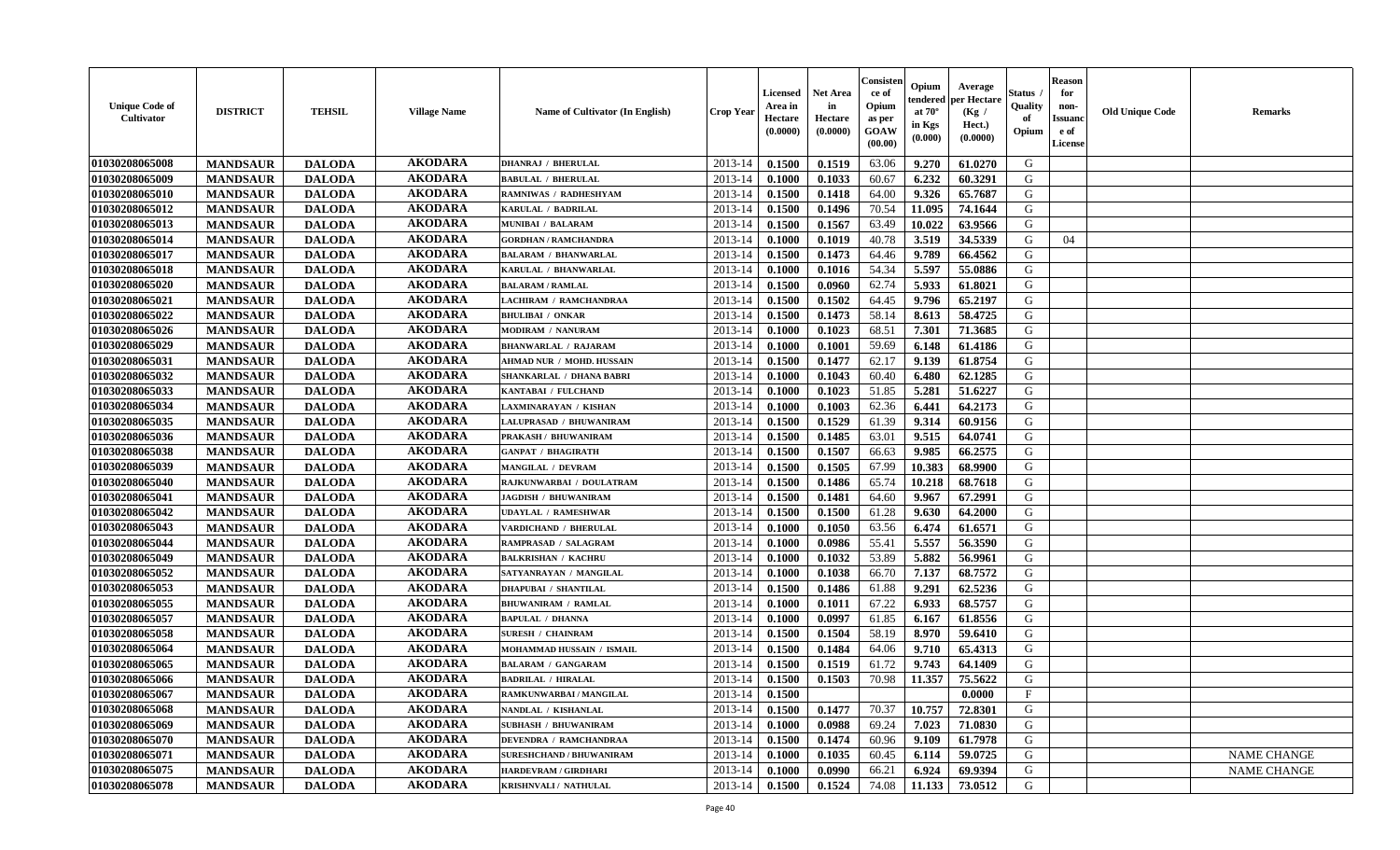| <b>Unique Code of</b><br><b>Cultivator</b> | <b>DISTRICT</b> | <b>TEHSIL</b> | <b>Village Name</b> | Name of Cultivator (In English)  | <b>Crop Year</b> | <b>Licensed</b><br>Area in<br>Hectare<br>(0.0000) | Net Area<br>in<br>Hectare<br>(0.0000) | Consister<br>ce of<br>Opium<br>as per<br>GOAW<br>(00.00) | Opium<br>endered<br>at $70^\circ$<br>in Kgs<br>(0.000) | Average<br>per Hectare<br>(Kg /<br>Hect.)<br>(0.0000) | Status<br>Quality<br>of<br>Opium | <b>Reason</b><br>for<br>non-<br><b>Issuand</b><br>e of<br>License | <b>Old Unique Code</b> | Remarks            |
|--------------------------------------------|-----------------|---------------|---------------------|----------------------------------|------------------|---------------------------------------------------|---------------------------------------|----------------------------------------------------------|--------------------------------------------------------|-------------------------------------------------------|----------------------------------|-------------------------------------------------------------------|------------------------|--------------------|
| 01030208065008                             | <b>MANDSAUR</b> | <b>DALODA</b> | <b>AKODARA</b>      | <b>DHANRAJ / BHERULAL</b>        | 2013-14          | 0.1500                                            | 0.1519                                | 63.06                                                    | 9.270                                                  | 61.0270                                               | G                                |                                                                   |                        |                    |
| 01030208065009                             | <b>MANDSAUR</b> | <b>DALODA</b> | <b>AKODARA</b>      | <b>BABULAL / BHERULAL</b>        | 2013-14          | 0.1000                                            | 0.1033                                | 60.67                                                    | 6.232                                                  | 60.3291                                               | G                                |                                                                   |                        |                    |
| 01030208065010                             | <b>MANDSAUR</b> | <b>DALODA</b> | <b>AKODARA</b>      | RAMNIWAS / RADHESHYAM            | 2013-14          | 0.1500                                            | 0.1418                                | 64.00                                                    | 9.326                                                  | 65.7687                                               | G                                |                                                                   |                        |                    |
| 01030208065012                             | <b>MANDSAUR</b> | <b>DALODA</b> | <b>AKODARA</b>      | KARULAL / BADRILAL               | 2013-14          | 0.1500                                            | 0.1496                                | 70.54                                                    | 11.095                                                 | 74.1644                                               | G                                |                                                                   |                        |                    |
| 01030208065013                             | <b>MANDSAUR</b> | <b>DALODA</b> | <b>AKODARA</b>      | <b>MUNIBAI / BALARAM</b>         | 2013-14          | 0.1500                                            | 0.1567                                | 63.49                                                    | 10.022                                                 | 63.9566                                               | G                                |                                                                   |                        |                    |
| 01030208065014                             | <b>MANDSAUR</b> | <b>DALODA</b> | <b>AKODARA</b>      | <b>GORDHAN / RAMCHANDRA</b>      | 2013-14          | 0.1000                                            | 0.1019                                | 40.78                                                    | 3.519                                                  | 34.5339                                               | G                                | 04                                                                |                        |                    |
| 01030208065017                             | <b>MANDSAUR</b> | <b>DALODA</b> | <b>AKODARA</b>      | <b>BALARAM / BHANWARLAL</b>      | 2013-14          | 0.1500                                            | 0.1473                                | 64.46                                                    | 9.789                                                  | 66.4562                                               | G                                |                                                                   |                        |                    |
| 01030208065018                             | <b>MANDSAUR</b> | <b>DALODA</b> | <b>AKODARA</b>      | KARULAL / BHANWARLAL             | 2013-14          | 0.1000                                            | 0.1016                                | 54.34                                                    | 5.597                                                  | 55.0886                                               | G                                |                                                                   |                        |                    |
| 01030208065020                             | <b>MANDSAUR</b> | <b>DALODA</b> | <b>AKODARA</b>      | <b>BALARAM / RAMLAL</b>          | 2013-14          | 0.1500                                            | 0.0960                                | 62.74                                                    | 5.933                                                  | 61.8021                                               | G                                |                                                                   |                        |                    |
| 01030208065021                             | <b>MANDSAUR</b> | <b>DALODA</b> | <b>AKODARA</b>      | LACHIRAM / RAMCHANDRAA           | 2013-14          | 0.1500                                            | 0.1502                                | 64.45                                                    | 9.796                                                  | 65.2197                                               | G                                |                                                                   |                        |                    |
| 01030208065022                             | <b>MANDSAUR</b> | <b>DALODA</b> | <b>AKODARA</b>      | <b>BHULIBAI / ONKAR</b>          | 2013-14          | 0.1500                                            | 0.1473                                | 58.14                                                    | 8.613                                                  | 58.4725                                               | G                                |                                                                   |                        |                    |
| 01030208065026                             | <b>MANDSAUR</b> | <b>DALODA</b> | <b>AKODARA</b>      | <b>MODIRAM / NANURAM</b>         | 2013-14          | 0.1000                                            | 0.1023                                | 68.51                                                    | 7.301                                                  | 71.3685                                               | G                                |                                                                   |                        |                    |
| 01030208065029                             | <b>MANDSAUR</b> | <b>DALODA</b> | <b>AKODARA</b>      | <b>BHANWARLAL / RAJARAM</b>      | 2013-14          | 0.1000                                            | 0.1001                                | 59.69                                                    | 6.148                                                  | 61.4186                                               | G                                |                                                                   |                        |                    |
| 01030208065031                             | <b>MANDSAUR</b> | <b>DALODA</b> | <b>AKODARA</b>      | <b>AHMAD NUR / MOHD. HUSSAIN</b> | 2013-14          | 0.1500                                            | 0.1477                                | 62.17                                                    | 9.139                                                  | 61.8754                                               | G                                |                                                                   |                        |                    |
| 01030208065032                             | <b>MANDSAUR</b> | <b>DALODA</b> | <b>AKODARA</b>      | SHANKARLAL / DHANA BABRI         | 2013-14          | 0.1000                                            | 0.1043                                | 60.40                                                    | 6.480                                                  | 62.1285                                               | $\mathbf G$                      |                                                                   |                        |                    |
| 01030208065033                             | <b>MANDSAUR</b> | <b>DALODA</b> | <b>AKODARA</b>      | KANTABAI / FULCHAND              | 2013-14          | 0.1000                                            | 0.1023                                | 51.85                                                    | 5.281                                                  | 51.6227                                               | G                                |                                                                   |                        |                    |
| 01030208065034                             | <b>MANDSAUR</b> | <b>DALODA</b> | <b>AKODARA</b>      | LAXMINARAYAN / KISHAN            | 2013-14          | 0.1000                                            | 0.1003                                | 62.36                                                    | 6.441                                                  | 64.2173                                               | G                                |                                                                   |                        |                    |
| 01030208065035                             | <b>MANDSAUR</b> | <b>DALODA</b> | <b>AKODARA</b>      | LALUPRASAD / BHUWANIRAM          | 2013-14          | 0.1500                                            | 0.1529                                | 61.39                                                    | 9.314                                                  | 60.9156                                               | G                                |                                                                   |                        |                    |
| 01030208065036                             | <b>MANDSAUR</b> | <b>DALODA</b> | <b>AKODARA</b>      | PRAKASH / BHUWANIRAM             | 2013-14          | 0.1500                                            | 0.1485                                | 63.01                                                    | 9.515                                                  | 64.0741                                               | G                                |                                                                   |                        |                    |
| 01030208065038                             | <b>MANDSAUR</b> | <b>DALODA</b> | <b>AKODARA</b>      | <b>GANPAT / BHAGIRATH</b>        | 2013-14          | 0.1500                                            | 0.1507                                | 66.63                                                    | 9.985                                                  | 66.2575                                               | G                                |                                                                   |                        |                    |
| 01030208065039                             | <b>MANDSAUR</b> | <b>DALODA</b> | <b>AKODARA</b>      | <b>MANGILAL / DEVRAM</b>         | 2013-14          | 0.1500                                            | 0.1505                                | 67.99                                                    | 10.383                                                 | 68.9900                                               | G                                |                                                                   |                        |                    |
| 01030208065040                             | <b>MANDSAUR</b> | <b>DALODA</b> | <b>AKODARA</b>      | RAJKUNWARBAI / DOULATRAM         | 2013-14          | 0.1500                                            | 0.1486                                | 65.74                                                    | 10.218                                                 | 68.7618                                               | G                                |                                                                   |                        |                    |
| 01030208065041                             | <b>MANDSAUR</b> | <b>DALODA</b> | <b>AKODARA</b>      | <b>JAGDISH / BHUWANIRAM</b>      | 2013-14          | 0.1500                                            | 0.1481                                | 64.60                                                    | 9.967                                                  | 67.2991                                               | G                                |                                                                   |                        |                    |
| 01030208065042                             | <b>MANDSAUR</b> | <b>DALODA</b> | <b>AKODARA</b>      | UDAYLAL / RAMESHWAR              | 2013-14          | 0.1500                                            | 0.1500                                | 61.28                                                    | 9.630                                                  | 64.2000                                               | G                                |                                                                   |                        |                    |
| 01030208065043                             | <b>MANDSAUR</b> | <b>DALODA</b> | <b>AKODARA</b>      | VARDICHAND / BHERULAL            | 2013-14          | 0.1000                                            | 0.1050                                | 63.56                                                    | 6.474                                                  | 61.6571                                               | G                                |                                                                   |                        |                    |
| 01030208065044                             | <b>MANDSAUR</b> | <b>DALODA</b> | <b>AKODARA</b>      | RAMPRASAD / SALAGRAM             | 2013-14          | 0.1000                                            | 0.0986                                | 55.41                                                    | 5.557                                                  | 56.3590                                               | G                                |                                                                   |                        |                    |
| 01030208065049                             | <b>MANDSAUR</b> | <b>DALODA</b> | <b>AKODARA</b>      | <b>BALKRISHAN / KACHRU</b>       | 2013-14          | 0.1000                                            | 0.1032                                | 53.89                                                    | 5.882                                                  | 56.9961                                               | G                                |                                                                   |                        |                    |
| 01030208065052                             | <b>MANDSAUR</b> | <b>DALODA</b> | <b>AKODARA</b>      | SATYANRAYAN / MANGILAL           | 2013-14          | 0.1000                                            | 0.1038                                | 66.70                                                    | 7.137                                                  | 68.7572                                               | G                                |                                                                   |                        |                    |
| 01030208065053                             | <b>MANDSAUR</b> | <b>DALODA</b> | <b>AKODARA</b>      | <b>DHAPUBAI / SHANTILAL</b>      | 2013-14          | 0.1500                                            | 0.1486                                | 61.88                                                    | 9.291                                                  | 62.5236                                               | G                                |                                                                   |                        |                    |
| 01030208065055                             | <b>MANDSAUR</b> | <b>DALODA</b> | <b>AKODARA</b>      | <b>BHUWANIRAM / RAMLAL</b>       | 2013-14          | 0.1000                                            | 0.1011                                | 67.22                                                    | 6.933                                                  | 68.5757                                               | G                                |                                                                   |                        |                    |
| 01030208065057                             | <b>MANDSAUR</b> | <b>DALODA</b> | <b>AKODARA</b>      | <b>BAPULAL / DHANNA</b>          | 2013-14          | 0.1000                                            | 0.0997                                | 61.85                                                    | 6.167                                                  | 61.8556                                               | G                                |                                                                   |                        |                    |
| 01030208065058                             | <b>MANDSAUR</b> | <b>DALODA</b> | <b>AKODARA</b>      | <b>SURESH / CHAINRAM</b>         | 2013-14          | 0.1500                                            | 0.1504                                | 58.19                                                    | 8.970                                                  | 59.6410                                               | G                                |                                                                   |                        |                    |
| 01030208065064                             | <b>MANDSAUR</b> | <b>DALODA</b> | <b>AKODARA</b>      | MOHAMMAD HUSSAIN / ISMAIL        | 2013-14          | 0.1500                                            | 0.1484                                | 64.06                                                    | 9.710                                                  | 65.4313                                               | G                                |                                                                   |                        |                    |
| 01030208065065                             | <b>MANDSAUR</b> | <b>DALODA</b> | <b>AKODARA</b>      | <b>BALARAM / GANGARAM</b>        | 2013-14          | 0.1500                                            | 0.1519                                | 61.72                                                    | 9.743                                                  | 64.1409                                               | G                                |                                                                   |                        |                    |
| 01030208065066                             | <b>MANDSAUR</b> | <b>DALODA</b> | <b>AKODARA</b>      | <b>BADRILAL / HIRALAL</b>        | 2013-14          | 0.1500                                            | 0.1503                                | 70.98                                                    | 11.357                                                 | 75.5622                                               | G                                |                                                                   |                        |                    |
| 01030208065067                             | <b>MANDSAUR</b> | <b>DALODA</b> | <b>AKODARA</b>      | RAMKUNWARBAI / MANGILAL          | 2013-14          | 0.1500                                            |                                       |                                                          |                                                        | 0.0000                                                | F                                |                                                                   |                        |                    |
| 01030208065068                             | <b>MANDSAUR</b> | <b>DALODA</b> | <b>AKODARA</b>      | NANDLAL / KISHANLAL              | 2013-14          | 0.1500                                            | 0.1477                                | 70.37                                                    | 10.757                                                 | 72.8301                                               | G                                |                                                                   |                        |                    |
| 01030208065069                             | <b>MANDSAUR</b> | <b>DALODA</b> | <b>AKODARA</b>      | <b>SUBHASH / BHUWANIRAM</b>      | 2013-14          | 0.1000                                            | 0.0988                                | 69.24                                                    | 7.023                                                  | 71.0830                                               | G                                |                                                                   |                        |                    |
| 01030208065070                             | <b>MANDSAUR</b> | <b>DALODA</b> | <b>AKODARA</b>      | <b>DEVENDRA / RAMCHANDRAA</b>    | 2013-14          | 0.1500                                            | 0.1474                                | 60.96                                                    | 9.109                                                  | 61.7978                                               | G                                |                                                                   |                        |                    |
| 01030208065071                             | <b>MANDSAUR</b> | <b>DALODA</b> | <b>AKODARA</b>      | <b>SURESHCHAND / BHUWANIRAM</b>  | 2013-14          | 0.1000                                            | 0.1035                                | 60.45                                                    | 6.114                                                  | 59.0725                                               | ${\bf G}$                        |                                                                   |                        | <b>NAME CHANGE</b> |
| 01030208065075                             | <b>MANDSAUR</b> | <b>DALODA</b> | <b>AKODARA</b>      | <b>HARDEVRAM / GIRDHARI</b>      | 2013-14          | 0.1000                                            | 0.0990                                | 66.21                                                    | 6.924                                                  | 69.9394                                               | G                                |                                                                   |                        | <b>NAME CHANGE</b> |
| 01030208065078                             | <b>MANDSAUR</b> | <b>DALODA</b> | <b>AKODARA</b>      | KRISHNVALI / NATHULAL            | 2013-14          | 0.1500                                            | 0.1524                                | 74.08                                                    | 11.133                                                 | 73.0512                                               | G                                |                                                                   |                        |                    |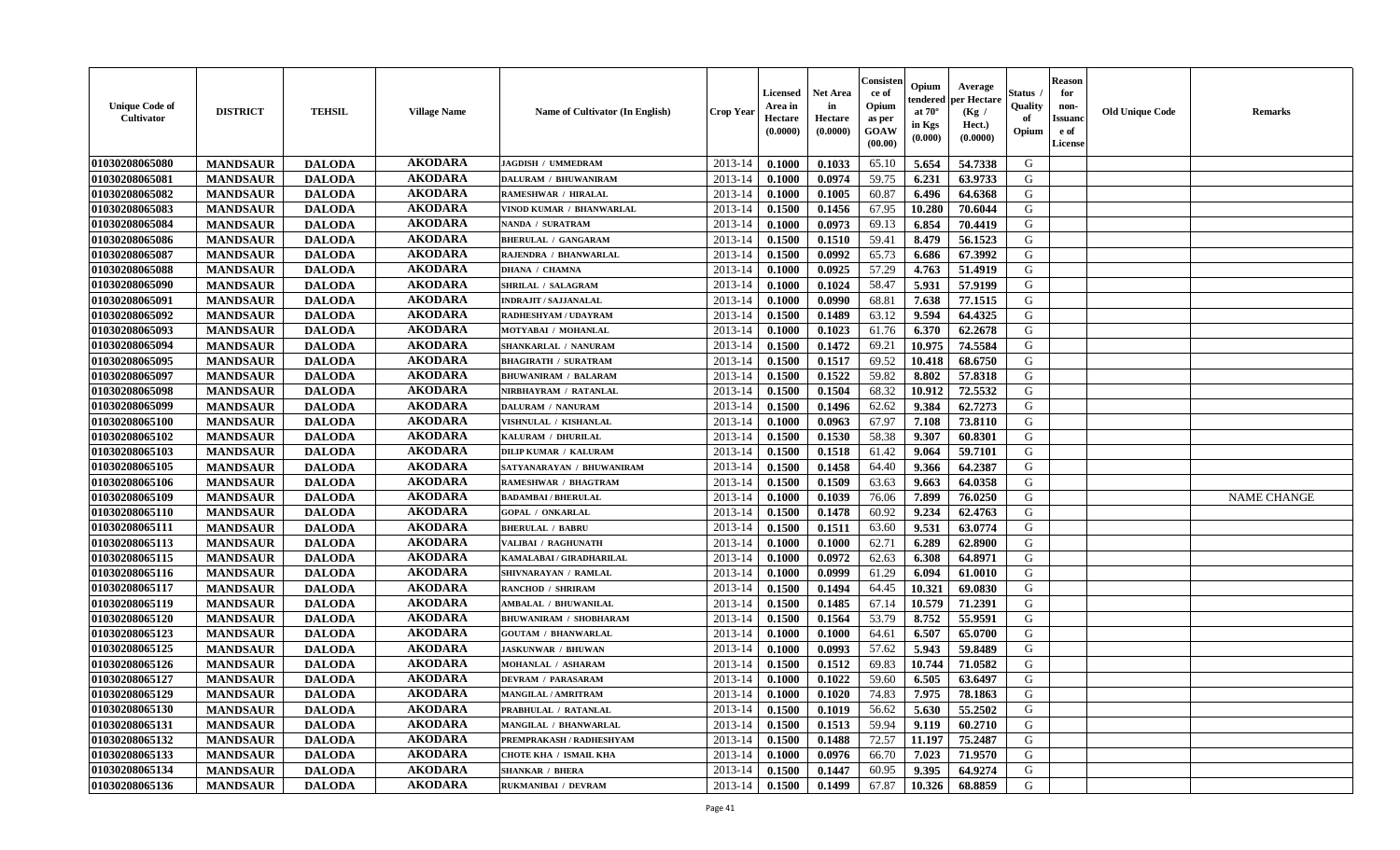| <b>Unique Code of</b><br><b>Cultivator</b> | <b>DISTRICT</b> | <b>TEHSIL</b> | <b>Village Name</b> | Name of Cultivator (In English) | <b>Crop Year</b> | <b>Licensed</b><br>Area in<br>Hectare<br>(0.0000) | Net Area<br>in<br>Hectare<br>(0.0000) | Consisteı<br>ce of<br>Opium<br>as per<br>GOAW<br>(00.00) | Opium<br>endered<br>at $70^\circ$<br>in Kgs<br>(0.000) | Average<br>per Hectare<br>(Kg /<br>Hect.)<br>(0.0000) | Status<br>Quality<br>of<br>Opium | <b>Reason</b><br>for<br>non-<br><b>Issuand</b><br>e of<br>License | <b>Old Unique Code</b> | Remarks            |
|--------------------------------------------|-----------------|---------------|---------------------|---------------------------------|------------------|---------------------------------------------------|---------------------------------------|----------------------------------------------------------|--------------------------------------------------------|-------------------------------------------------------|----------------------------------|-------------------------------------------------------------------|------------------------|--------------------|
| 01030208065080                             | <b>MANDSAUR</b> | <b>DALODA</b> | <b>AKODARA</b>      | JAGDISH / UMMEDRAM              | 2013-14          | 0.1000                                            | 0.1033                                | 65.10                                                    | 5.654                                                  | 54.7338                                               | G                                |                                                                   |                        |                    |
| 01030208065081                             | <b>MANDSAUR</b> | <b>DALODA</b> | <b>AKODARA</b>      | <b>DALURAM / BHUWANIRAM</b>     | 2013-14          | 0.1000                                            | 0.0974                                | 59.75                                                    | 6.231                                                  | 63.9733                                               | G                                |                                                                   |                        |                    |
| 01030208065082                             | <b>MANDSAUR</b> | <b>DALODA</b> | <b>AKODARA</b>      | <b>RAMESHWAR / HIRALAL</b>      | 2013-14          | 0.1000                                            | 0.1005                                | 60.87                                                    | 6.496                                                  | 64.6368                                               | G                                |                                                                   |                        |                    |
| 01030208065083                             | <b>MANDSAUR</b> | <b>DALODA</b> | <b>AKODARA</b>      | VINOD KUMAR / BHANWARLAL        | 2013-14          | 0.1500                                            | 0.1456                                | 67.95                                                    | 10.280                                                 | 70.6044                                               | G                                |                                                                   |                        |                    |
| 01030208065084                             | <b>MANDSAUR</b> | <b>DALODA</b> | <b>AKODARA</b>      | NANDA / SURATRAM                | 2013-14          | 0.1000                                            | 0.0973                                | 69.13                                                    | 6.854                                                  | 70.4419                                               | G                                |                                                                   |                        |                    |
| 01030208065086                             | <b>MANDSAUR</b> | <b>DALODA</b> | <b>AKODARA</b>      | <b>BHERULAL / GANGARAM</b>      | 2013-14          | 0.1500                                            | 0.1510                                | 59.41                                                    | 8.479                                                  | 56.1523                                               | G                                |                                                                   |                        |                    |
| 01030208065087                             | <b>MANDSAUR</b> | <b>DALODA</b> | <b>AKODARA</b>      | RAJENDRA / BHANWARLAL           | 2013-14          | 0.1500                                            | 0.0992                                | 65.73                                                    | 6.686                                                  | 67.3992                                               | G                                |                                                                   |                        |                    |
| 01030208065088                             | <b>MANDSAUR</b> | <b>DALODA</b> | <b>AKODARA</b>      | <b>DHANA / CHAMNA</b>           | 2013-14          | 0.1000                                            | 0.0925                                | 57.29                                                    | 4.763                                                  | 51.4919                                               | G                                |                                                                   |                        |                    |
| 01030208065090                             | <b>MANDSAUR</b> | <b>DALODA</b> | <b>AKODARA</b>      | SHRILAL / SALAGRAM              | 2013-14          | 0.1000                                            | 0.1024                                | 58.47                                                    | 5.931                                                  | 57.9199                                               | G                                |                                                                   |                        |                    |
| 01030208065091                             | <b>MANDSAUR</b> | <b>DALODA</b> | <b>AKODARA</b>      | <b>INDRAJIT / SAJJANALAL</b>    | 2013-14          | 0.1000                                            | 0.0990                                | 68.81                                                    | 7.638                                                  | 77.1515                                               | G                                |                                                                   |                        |                    |
| 01030208065092                             | <b>MANDSAUR</b> | <b>DALODA</b> | <b>AKODARA</b>      | RADHESHYAM / UDAYRAM            | 2013-14          | 0.1500                                            | 0.1489                                | 63.12                                                    | 9.594                                                  | 64.4325                                               | G                                |                                                                   |                        |                    |
| 01030208065093                             | <b>MANDSAUR</b> | <b>DALODA</b> | <b>AKODARA</b>      | MOTYABAI / MOHANLAL             | 2013-14          | 0.1000                                            | 0.1023                                | 61.76                                                    | 6.370                                                  | 62.2678                                               | G                                |                                                                   |                        |                    |
| 01030208065094                             | <b>MANDSAUR</b> | <b>DALODA</b> | <b>AKODARA</b>      | SHANKARLAL / NANURAM            | 2013-14          | 0.1500                                            | 0.1472                                | 69.21                                                    | 10.975                                                 | 74.5584                                               | G                                |                                                                   |                        |                    |
| 01030208065095                             | <b>MANDSAUR</b> | <b>DALODA</b> | <b>AKODARA</b>      | <b>BHAGIRATH / SURATRAM</b>     | 2013-14          | 0.1500                                            | 0.1517                                | 69.52                                                    | 10.418                                                 | 68.6750                                               | G                                |                                                                   |                        |                    |
| 01030208065097                             | <b>MANDSAUR</b> | <b>DALODA</b> | <b>AKODARA</b>      | <b>BHUWANIRAM / BALARAM</b>     | 2013-14          | 0.1500                                            | 0.1522                                | 59.82                                                    | 8.802                                                  | 57.8318                                               | $\mathbf G$                      |                                                                   |                        |                    |
| 01030208065098                             | <b>MANDSAUR</b> | <b>DALODA</b> | <b>AKODARA</b>      | NIRBHAYRAM / RATANLAL           | 2013-14          | 0.1500                                            | 0.1504                                | 68.32                                                    | 10.912                                                 | 72.5532                                               | G                                |                                                                   |                        |                    |
| 01030208065099                             | <b>MANDSAUR</b> | <b>DALODA</b> | <b>AKODARA</b>      | DALURAM / NANURAM               | 2013-14          | 0.1500                                            | 0.1496                                | 62.62                                                    | 9.384                                                  | 62.7273                                               | G                                |                                                                   |                        |                    |
| 01030208065100                             | <b>MANDSAUR</b> | <b>DALODA</b> | <b>AKODARA</b>      | VISHNULAL / KISHANLAL           | 2013-14          | 0.1000                                            | 0.0963                                | 67.97                                                    | 7.108                                                  | 73.8110                                               | G                                |                                                                   |                        |                    |
| 01030208065102                             | <b>MANDSAUR</b> | <b>DALODA</b> | <b>AKODARA</b>      | KALURAM / DHURILAL              | 2013-14          | 0.1500                                            | 0.1530                                | 58.38                                                    | 9.307                                                  | 60.8301                                               | G                                |                                                                   |                        |                    |
| 01030208065103                             | <b>MANDSAUR</b> | <b>DALODA</b> | <b>AKODARA</b>      | <b>DILIP KUMAR / KALURAM</b>    | 2013-14          | 0.1500                                            | 0.1518                                | 61.42                                                    | 9.064                                                  | 59.7101                                               | G                                |                                                                   |                        |                    |
| 01030208065105                             | <b>MANDSAUR</b> | <b>DALODA</b> | <b>AKODARA</b>      | SATYANARAYAN / BHUWANIRAM       | 2013-14          | 0.1500                                            | 0.1458                                | 64.40                                                    | 9.366                                                  | 64.2387                                               | G                                |                                                                   |                        |                    |
| 01030208065106                             | <b>MANDSAUR</b> | <b>DALODA</b> | <b>AKODARA</b>      | <b>RAMESHWAR / BHAGTRAM</b>     | 2013-14          | 0.1500                                            | 0.1509                                | 63.63                                                    | 9.663                                                  | 64.0358                                               | G                                |                                                                   |                        |                    |
| 01030208065109                             | <b>MANDSAUR</b> | <b>DALODA</b> | <b>AKODARA</b>      | <b>BADAMBAI / BHERULAL</b>      | 2013-14          | 0.1000                                            | 0.1039                                | 76.06                                                    | 7.899                                                  | 76.0250                                               | G                                |                                                                   |                        | <b>NAME CHANGE</b> |
| 01030208065110                             | <b>MANDSAUR</b> | <b>DALODA</b> | <b>AKODARA</b>      | <b>GOPAL / ONKARLAL</b>         | 2013-14          | 0.1500                                            | 0.1478                                | 60.92                                                    | 9.234                                                  | 62.4763                                               | G                                |                                                                   |                        |                    |
| 01030208065111                             | <b>MANDSAUR</b> | <b>DALODA</b> | <b>AKODARA</b>      | <b>BHERULAL / BABRU</b>         | 2013-14          | 0.1500                                            | 0.1511                                | 63.60                                                    | 9.531                                                  | 63.0774                                               | G                                |                                                                   |                        |                    |
| 01030208065113                             | <b>MANDSAUR</b> | <b>DALODA</b> | <b>AKODARA</b>      | VALIBAI / RAGHUNATH             | 2013-14          | 0.1000                                            | 0.1000                                | 62.71                                                    | 6.289                                                  | 62.8900                                               | G                                |                                                                   |                        |                    |
| 01030208065115                             | <b>MANDSAUR</b> | <b>DALODA</b> | <b>AKODARA</b>      | KAMALABAI / GIRADHARILAL        | 2013-14          | 0.1000                                            | 0.0972                                | 62.63                                                    | 6.308                                                  | 64.8971                                               | G                                |                                                                   |                        |                    |
| 01030208065116                             | <b>MANDSAUR</b> | <b>DALODA</b> | <b>AKODARA</b>      | SHIVNARAYAN / RAMLAL            | 2013-14          | 0.1000                                            | 0.0999                                | 61.29                                                    | 6.094                                                  | 61.0010                                               | G                                |                                                                   |                        |                    |
| 01030208065117                             | <b>MANDSAUR</b> | <b>DALODA</b> | <b>AKODARA</b>      | <b>RANCHOD / SHRIRAM</b>        | 2013-14          | 0.1500                                            | 0.1494                                | 64.45                                                    | 10.321                                                 | 69.0830                                               | G                                |                                                                   |                        |                    |
| 01030208065119                             | <b>MANDSAUR</b> | <b>DALODA</b> | <b>AKODARA</b>      | <b>AMBALAL / BHUWANILAL</b>     | 2013-14          | 0.1500                                            | 0.1485                                | 67.14                                                    | 10.579                                                 | 71.2391                                               | G                                |                                                                   |                        |                    |
| 01030208065120                             | <b>MANDSAUR</b> | <b>DALODA</b> | <b>AKODARA</b>      | <b>BHUWANIRAM / SHOBHARAM</b>   | 2013-14          | 0.1500                                            | 0.1564                                | 53.79                                                    | 8.752                                                  | 55.9591                                               | G                                |                                                                   |                        |                    |
| 01030208065123                             | <b>MANDSAUR</b> | <b>DALODA</b> | <b>AKODARA</b>      | <b>GOUTAM / BHANWARLAL</b>      | 2013-14          | 0.1000                                            | 0.1000                                | 64.61                                                    | 6.507                                                  | 65.0700                                               | G                                |                                                                   |                        |                    |
| 01030208065125                             | <b>MANDSAUR</b> | <b>DALODA</b> | <b>AKODARA</b>      | <b>JASKUNWAR / BHUWAN</b>       | 2013-14          | 0.1000                                            | 0.0993                                | 57.62                                                    | 5.943                                                  | 59.8489                                               | G                                |                                                                   |                        |                    |
| 01030208065126                             | <b>MANDSAUR</b> | <b>DALODA</b> | <b>AKODARA</b>      | MOHANLAL / ASHARAM              | 2013-14          | 0.1500                                            | 0.1512                                | 69.83                                                    | 10.744                                                 | 71.0582                                               | G                                |                                                                   |                        |                    |
| 01030208065127                             | <b>MANDSAUR</b> | <b>DALODA</b> | <b>AKODARA</b>      | <b>DEVRAM / PARASARAM</b>       | 2013-14          | 0.1000                                            | 0.1022                                | 59.60                                                    | 6.505                                                  | 63.6497                                               | G                                |                                                                   |                        |                    |
| 01030208065129                             | <b>MANDSAUR</b> | <b>DALODA</b> | <b>AKODARA</b>      | <b>MANGILAL / AMRITRAM</b>      | 2013-14          | 0.1000                                            | 0.1020                                | 74.83                                                    | 7.975                                                  | 78.1863                                               | G                                |                                                                   |                        |                    |
| 01030208065130                             | <b>MANDSAUR</b> | <b>DALODA</b> | <b>AKODARA</b>      | PRABHULAL / RATANLAL            | 2013-14          | 0.1500                                            | 0.1019                                | 56.62                                                    | 5.630                                                  | 55.2502                                               | G                                |                                                                   |                        |                    |
| 01030208065131                             | <b>MANDSAUR</b> | <b>DALODA</b> | <b>AKODARA</b>      | <b>MANGILAL / BHANWARLAL</b>    | 2013-14          | 0.1500                                            | 0.1513                                | 59.94                                                    | 9.119                                                  | 60.2710                                               | G                                |                                                                   |                        |                    |
| 01030208065132                             | <b>MANDSAUR</b> | <b>DALODA</b> | <b>AKODARA</b>      | PREMPRAKASH / RADHESHYAM        | 2013-14          | 0.1500                                            | 0.1488                                | 72.57                                                    | 11.197                                                 | 75.2487                                               | G                                |                                                                   |                        |                    |
| 01030208065133                             | <b>MANDSAUR</b> | <b>DALODA</b> | <b>AKODARA</b>      | CHOTE KHA / ISMAIL KHA          | 2013-14          | 0.1000                                            | 0.0976                                | 66.70                                                    | 7.023                                                  | 71.9570                                               | ${\bf G}$                        |                                                                   |                        |                    |
| 01030208065134                             | <b>MANDSAUR</b> | <b>DALODA</b> | <b>AKODARA</b>      | <b>SHANKAR / BHERA</b>          | 2013-14          | 0.1500                                            | 0.1447                                | 60.95                                                    | 9.395                                                  | 64.9274                                               | G                                |                                                                   |                        |                    |
| 01030208065136                             | <b>MANDSAUR</b> | <b>DALODA</b> | <b>AKODARA</b>      | RUKMANIBAI / DEVRAM             | 2013-14          | 0.1500                                            | 0.1499                                | 67.87                                                    | 10.326                                                 | 68.8859                                               | G                                |                                                                   |                        |                    |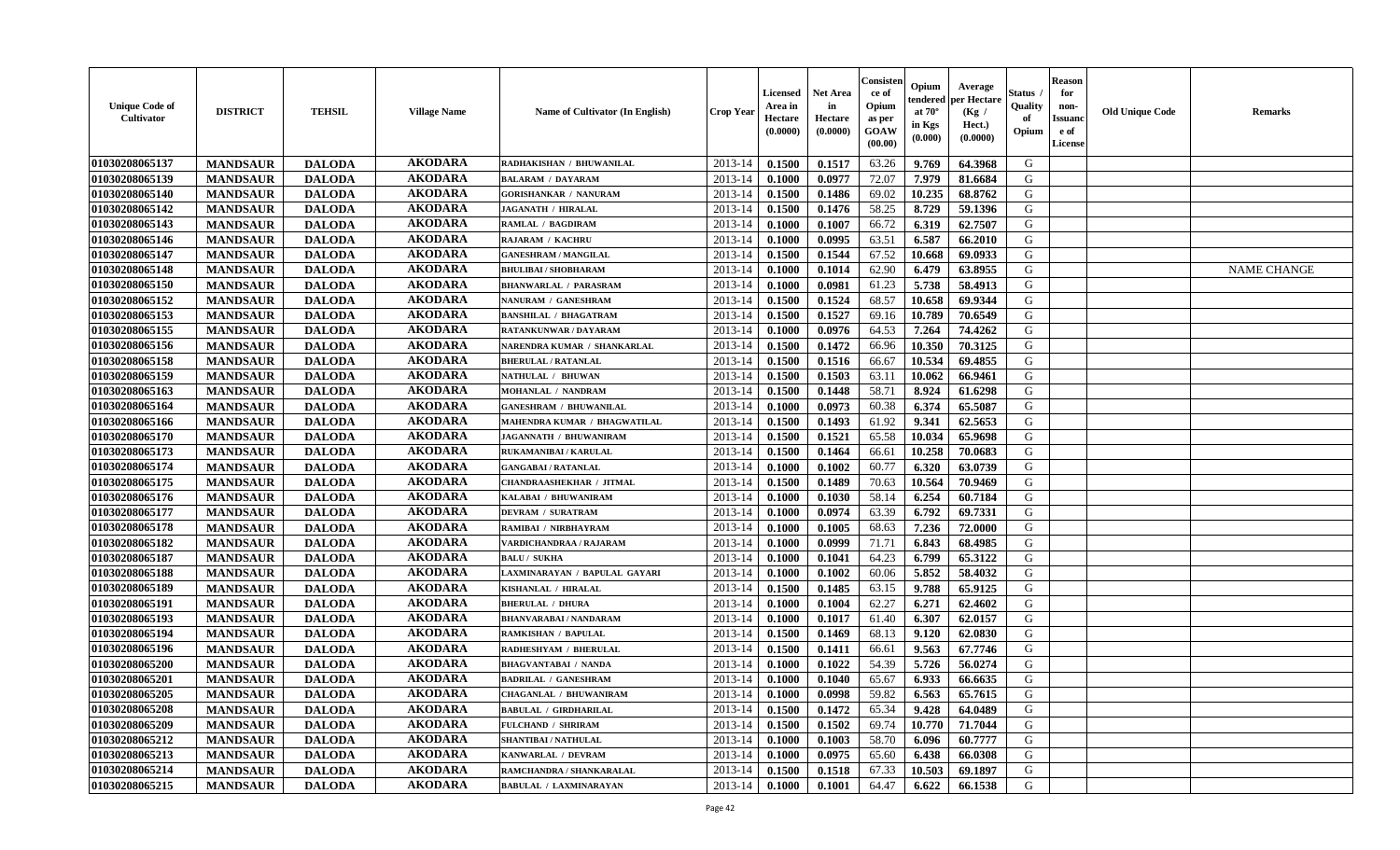| <b>Unique Code of</b><br>Cultivator | <b>DISTRICT</b> | <b>TEHSIL</b> | <b>Village Name</b> | Name of Cultivator (In English) | <b>Crop Year</b> | Licensed<br>Area in<br>Hectare<br>(0.0000) | Net Area<br>in<br>Hectare<br>(0.0000) | Consisten<br>ce of<br>Opium<br>as per<br>GOAW<br>(00.00) | Opium<br>tendered<br>at $70^\circ$<br>in Kgs<br>(0.000) | Average<br>per Hectare<br>(Kg /<br>Hect.)<br>(0.0000) | Status<br><b>Quality</b><br>of<br>Opium | <b>Reason</b><br>for<br>non-<br>Issuanc<br>e of<br>License | <b>Old Unique Code</b> | <b>Remarks</b>     |
|-------------------------------------|-----------------|---------------|---------------------|---------------------------------|------------------|--------------------------------------------|---------------------------------------|----------------------------------------------------------|---------------------------------------------------------|-------------------------------------------------------|-----------------------------------------|------------------------------------------------------------|------------------------|--------------------|
| 01030208065137                      | <b>MANDSAUR</b> | <b>DALODA</b> | <b>AKODARA</b>      | RADHAKISHAN / BHUWANILAL        | 2013-14          | 0.1500                                     | 0.1517                                | 63.26                                                    | 9.769                                                   | 64.3968                                               | G                                       |                                                            |                        |                    |
| 01030208065139                      | <b>MANDSAUR</b> | <b>DALODA</b> | <b>AKODARA</b>      | <b>BALARAM / DAYARAM</b>        | 2013-14          | 0.1000                                     | 0.0977                                | 72.07                                                    | 7.979                                                   | 81.6684                                               | G                                       |                                                            |                        |                    |
| 01030208065140                      | <b>MANDSAUR</b> | <b>DALODA</b> | <b>AKODARA</b>      | <b>GORISHANKAR / NANURAM</b>    | 2013-14          | 0.1500                                     | 0.1486                                | 69.02                                                    | 10.235                                                  | 68.8762                                               | G                                       |                                                            |                        |                    |
| 01030208065142                      | <b>MANDSAUR</b> | <b>DALODA</b> | <b>AKODARA</b>      | <b>JAGANATH / HIRALAL</b>       | 2013-14          | 0.1500                                     | 0.1476                                | 58.25                                                    | 8.729                                                   | 59.1396                                               | G                                       |                                                            |                        |                    |
| 01030208065143                      | <b>MANDSAUR</b> | <b>DALODA</b> | <b>AKODARA</b>      | <b>RAMLAL / BAGDIRAM</b>        | 2013-14          | 0.1000                                     | 0.1007                                | 66.72                                                    | 6.319                                                   | 62.7507                                               | G                                       |                                                            |                        |                    |
| 01030208065146                      | <b>MANDSAUR</b> | <b>DALODA</b> | <b>AKODARA</b>      | RAJARAM / KACHRU                | 2013-14          | 0.1000                                     | 0.0995                                | 63.51                                                    | 6.587                                                   | 66.2010                                               | G                                       |                                                            |                        |                    |
| 01030208065147                      | <b>MANDSAUR</b> | <b>DALODA</b> | <b>AKODARA</b>      | <b>GANESHRAM / MANGILAL</b>     | 2013-14          | 0.1500                                     | 0.1544                                | 67.52                                                    | 10.668                                                  | 69.0933                                               | G                                       |                                                            |                        |                    |
| 01030208065148                      | <b>MANDSAUR</b> | <b>DALODA</b> | <b>AKODARA</b>      | <b>BHULIBAI / SHOBHARAM</b>     | 2013-14          | 0.1000                                     | 0.1014                                | 62.90                                                    | 6.479                                                   | 63.8955                                               | G                                       |                                                            |                        | <b>NAME CHANGE</b> |
| 01030208065150                      | <b>MANDSAUR</b> | <b>DALODA</b> | <b>AKODARA</b>      | <b>BHANWARLAL / PARASRAM</b>    | 2013-14          | 0.1000                                     | 0.0981                                | 61.23                                                    | 5.738                                                   | 58.4913                                               | G                                       |                                                            |                        |                    |
| 01030208065152                      | <b>MANDSAUR</b> | <b>DALODA</b> | <b>AKODARA</b>      | NANURAM / GANESHRAM             | 2013-14          | 0.1500                                     | 0.1524                                | 68.57                                                    | 10.658                                                  | 69.9344                                               | G                                       |                                                            |                        |                    |
| 01030208065153                      | <b>MANDSAUR</b> | <b>DALODA</b> | <b>AKODARA</b>      | <b>BANSHILAL / BHAGATRAM</b>    | 2013-14          | 0.1500                                     | 0.1527                                | 69.16                                                    | 10.789                                                  | 70.6549                                               | G                                       |                                                            |                        |                    |
| 01030208065155                      | <b>MANDSAUR</b> | <b>DALODA</b> | <b>AKODARA</b>      | RATANKUNWAR / DAYARAM           | 2013-14          | 0.1000                                     | 0.0976                                | 64.53                                                    | 7.264                                                   | 74.4262                                               | G                                       |                                                            |                        |                    |
| 01030208065156                      | <b>MANDSAUR</b> | <b>DALODA</b> | <b>AKODARA</b>      | NARENDRA KUMAR / SHANKARLAL     | 2013-14          | 0.1500                                     | 0.1472                                | 66.96                                                    | 10.350                                                  | 70.3125                                               | G                                       |                                                            |                        |                    |
| 01030208065158                      | <b>MANDSAUR</b> | <b>DALODA</b> | <b>AKODARA</b>      | <b>BHERULAL / RATANLAL</b>      | 2013-14          | 0.1500                                     | 0.1516                                | 66.67                                                    | 10.534                                                  | 69.4855                                               | G                                       |                                                            |                        |                    |
| 01030208065159                      | <b>MANDSAUR</b> | <b>DALODA</b> | <b>AKODARA</b>      | NATHULAL / BHUWAN               | 2013-14          | 0.1500                                     | 0.1503                                | 63.11                                                    | 10.062                                                  | 66.9461                                               | G                                       |                                                            |                        |                    |
| 01030208065163                      | <b>MANDSAUR</b> | <b>DALODA</b> | <b>AKODARA</b>      | MOHANLAL / NANDRAM              | 2013-14          | 0.1500                                     | 0.1448                                | 58.71                                                    | 8.924                                                   | 61.6298                                               | G                                       |                                                            |                        |                    |
| 01030208065164                      | <b>MANDSAUR</b> | <b>DALODA</b> | <b>AKODARA</b>      | <b>GANESHRAM / BHUWANILAL</b>   | 2013-14          | 0.1000                                     | 0.0973                                | 60.38                                                    | 6.374                                                   | 65.5087                                               | G                                       |                                                            |                        |                    |
| 01030208065166                      | <b>MANDSAUR</b> | <b>DALODA</b> | <b>AKODARA</b>      | MAHENDRA KUMAR / BHAGWATILAL    | 2013-14          | 0.1500                                     | 0.1493                                | 61.92                                                    | 9.341                                                   | 62.5653                                               | G                                       |                                                            |                        |                    |
| 01030208065170                      | <b>MANDSAUR</b> | <b>DALODA</b> | <b>AKODARA</b>      | JAGANNATH / BHUWANIRAM          | 2013-14          | 0.1500                                     | 0.1521                                | 65.58                                                    | 10.034                                                  | 65.9698                                               | G                                       |                                                            |                        |                    |
| 01030208065173                      | <b>MANDSAUR</b> | <b>DALODA</b> | <b>AKODARA</b>      | RUKAMANIBAI / KARULAL           | 2013-14          | 0.1500                                     | 0.1464                                | 66.61                                                    | 10.258                                                  | 70.0683                                               | G                                       |                                                            |                        |                    |
| 01030208065174                      | <b>MANDSAUR</b> | <b>DALODA</b> | <b>AKODARA</b>      | <b>GANGABAI / RATANLAL</b>      | 2013-14          | 0.1000                                     | 0.1002                                | 60.77                                                    | 6.320                                                   | 63.0739                                               | G                                       |                                                            |                        |                    |
| 01030208065175                      | <b>MANDSAUR</b> | <b>DALODA</b> | <b>AKODARA</b>      | <b>CHANDRAASHEKHAR / JITMAL</b> | 2013-14          | 0.1500                                     | 0.1489                                | 70.63                                                    | 10.564                                                  | 70.9469                                               | G                                       |                                                            |                        |                    |
| 01030208065176                      | <b>MANDSAUR</b> | <b>DALODA</b> | <b>AKODARA</b>      | KALABAI / BHUWANIRAM            | 2013-14          | 0.1000                                     | 0.1030                                | 58.14                                                    | 6.254                                                   | 60.7184                                               | G                                       |                                                            |                        |                    |
| 01030208065177                      | <b>MANDSAUR</b> | <b>DALODA</b> | <b>AKODARA</b>      | DEVRAM / SURATRAM               | 2013-14          | 0.1000                                     | 0.0974                                | 63.39                                                    | 6.792                                                   | 69.7331                                               | G                                       |                                                            |                        |                    |
| 01030208065178                      | <b>MANDSAUR</b> | <b>DALODA</b> | <b>AKODARA</b>      | RAMIBAI / NIRBHAYRAM            | 2013-14          | 0.1000                                     | 0.1005                                | 68.63                                                    | 7.236                                                   | 72.0000                                               | G                                       |                                                            |                        |                    |
| 01030208065182                      | <b>MANDSAUR</b> | <b>DALODA</b> | <b>AKODARA</b>      | VARDICHANDRAA / RAJARAM         | 2013-14          | 0.1000                                     | 0.0999                                | 71.71                                                    | 6.843                                                   | 68.4985                                               | G                                       |                                                            |                        |                    |
| 01030208065187                      | <b>MANDSAUR</b> | <b>DALODA</b> | <b>AKODARA</b>      | <b>BALU / SUKHA</b>             | 2013-14          | 0.1000                                     | 0.1041                                | 64.23                                                    | 6.799                                                   | 65.3122                                               | G                                       |                                                            |                        |                    |
| 01030208065188                      | <b>MANDSAUR</b> | <b>DALODA</b> | <b>AKODARA</b>      | LAXMINARAYAN / BAPULAL GAYARI   | 2013-14          | 0.1000                                     | 0.1002                                | 60.06                                                    | 5.852                                                   | 58.4032                                               | G                                       |                                                            |                        |                    |
| 01030208065189                      | <b>MANDSAUR</b> | <b>DALODA</b> | <b>AKODARA</b>      | KISHANLAL / HIRALAL             | 2013-14          | 0.1500                                     | 0.1485                                | 63.15                                                    | 9.788                                                   | 65.9125                                               | G                                       |                                                            |                        |                    |
| 01030208065191                      | <b>MANDSAUR</b> | <b>DALODA</b> | <b>AKODARA</b>      | <b>BHERULAL / DHURA</b>         | 2013-14          | 0.1000                                     | 0.1004                                | 62.27                                                    | 6.271                                                   | 62.4602                                               | G                                       |                                                            |                        |                    |
| 01030208065193                      | <b>MANDSAUR</b> | <b>DALODA</b> | <b>AKODARA</b>      | <b>BHANVARABAI/NANDARAM</b>     | 2013-14          | 0.1000                                     | 0.1017                                | 61.40                                                    | 6.307                                                   | 62.0157                                               | G                                       |                                                            |                        |                    |
| 01030208065194                      | <b>MANDSAUR</b> | <b>DALODA</b> | <b>AKODARA</b>      | RAMKISHAN / BAPULAL             | 2013-14          | 0.1500                                     | 0.1469                                | 68.13                                                    | 9.120                                                   | 62.0830                                               | G                                       |                                                            |                        |                    |
| 01030208065196                      | <b>MANDSAUR</b> | <b>DALODA</b> | <b>AKODARA</b>      | RADHESHYAM / BHERULAL           | 2013-14          | 0.1500                                     | 0.1411                                | 66.61                                                    | 9.563                                                   | 67.7746                                               | G                                       |                                                            |                        |                    |
| 01030208065200                      | <b>MANDSAUR</b> | <b>DALODA</b> | <b>AKODARA</b>      | <b>BHAGVANTABAI / NANDA</b>     | 2013-14          | 0.1000                                     | 0.1022                                | 54.39                                                    | 5.726                                                   | 56.0274                                               | G                                       |                                                            |                        |                    |
| 01030208065201                      | <b>MANDSAUR</b> | <b>DALODA</b> | <b>AKODARA</b>      | <b>BADRILAL / GANESHRAM</b>     | 2013-14          | 0.1000                                     | 0.1040                                | 65.67                                                    | 6.933                                                   | 66.6635                                               | G                                       |                                                            |                        |                    |
| 01030208065205                      | <b>MANDSAUR</b> | <b>DALODA</b> | <b>AKODARA</b>      | <b>CHAGANLAL / BHUWANIRAM</b>   | 2013-14          | 0.1000                                     | 0.0998                                | 59.82                                                    | 6.563                                                   | 65.7615                                               | G                                       |                                                            |                        |                    |
| 01030208065208                      | <b>MANDSAUR</b> | <b>DALODA</b> | <b>AKODARA</b>      | <b>BABULAL / GIRDHARILAL</b>    | 2013-14          | 0.1500                                     | 0.1472                                | 65.34                                                    | 9.428                                                   | 64.0489                                               | G                                       |                                                            |                        |                    |
| 01030208065209                      | <b>MANDSAUR</b> | <b>DALODA</b> | <b>AKODARA</b>      | FULCHAND / SHRIRAM              | 2013-14          | 0.1500                                     | 0.1502                                | 69.74                                                    | 10.770                                                  | 71.7044                                               | G                                       |                                                            |                        |                    |
| 01030208065212                      | <b>MANDSAUR</b> | <b>DALODA</b> | <b>AKODARA</b>      | SHANTIBAI / NATHULAL            | 2013-14          | 0.1000                                     | 0.1003                                | 58.70                                                    | 6.096                                                   | 60.7777                                               | G                                       |                                                            |                        |                    |
| 01030208065213                      | <b>MANDSAUR</b> | <b>DALODA</b> | <b>AKODARA</b>      | KANWARLAL / DEVRAM              | 2013-14          | 0.1000                                     | 0.0975                                | 65.60                                                    | 6.438                                                   | 66.0308                                               | G                                       |                                                            |                        |                    |
| 01030208065214                      | <b>MANDSAUR</b> | <b>DALODA</b> | <b>AKODARA</b>      | RAMCHANDRA / SHANKARALAL        | 2013-14          | 0.1500                                     | 0.1518                                | 67.33                                                    | 10.503                                                  | 69.1897                                               | G                                       |                                                            |                        |                    |
| 01030208065215                      | <b>MANDSAUR</b> | <b>DALODA</b> | <b>AKODARA</b>      | <b>BABULAL / LAXMINARAYAN</b>   | 2013-14          | 0.1000                                     | 0.1001                                | 64.47                                                    | 6.622                                                   | 66.1538                                               | G                                       |                                                            |                        |                    |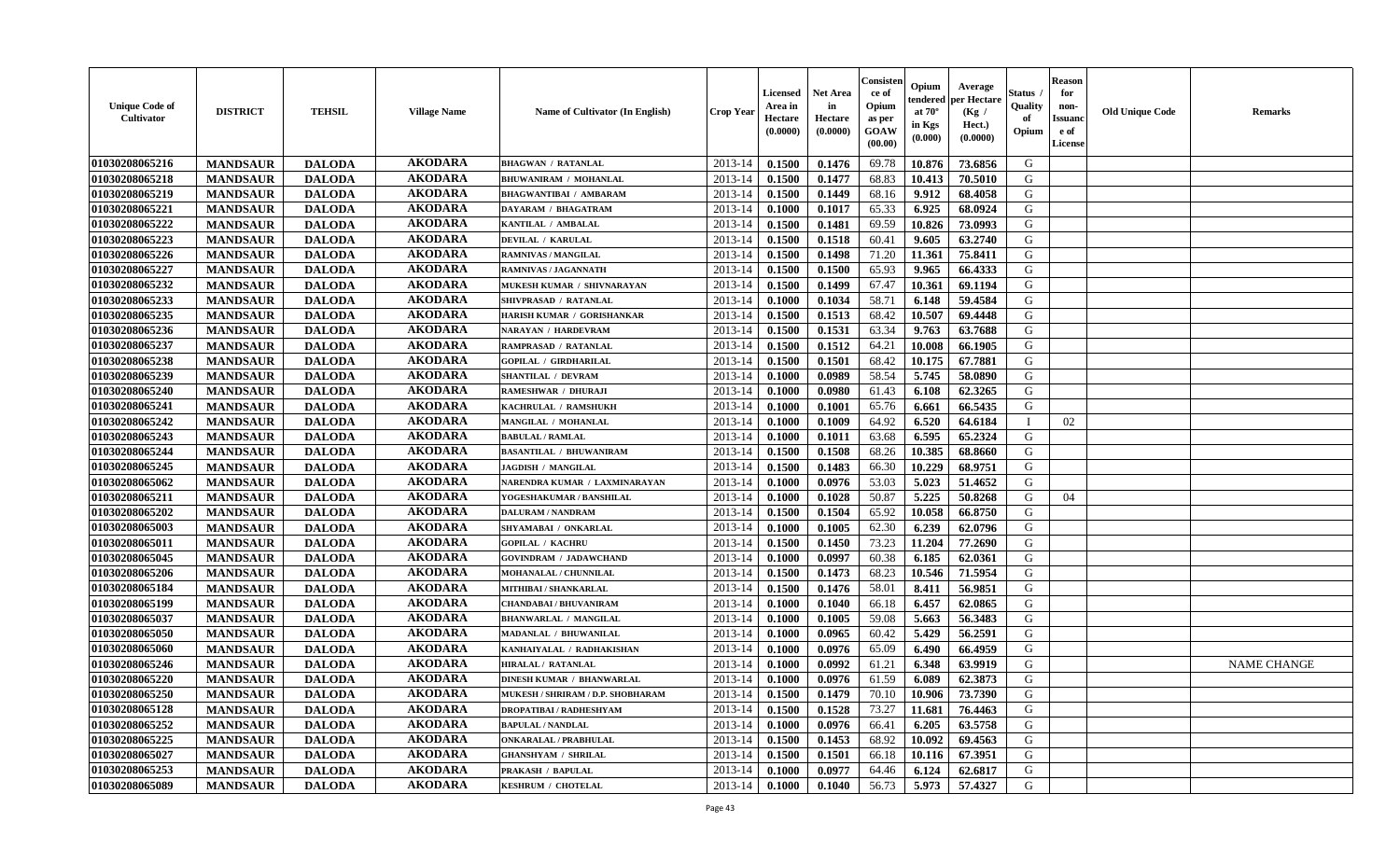| <b>Unique Code of</b><br><b>Cultivator</b> | <b>DISTRICT</b> | <b>TEHSIL</b> | <b>Village Name</b> | <b>Name of Cultivator (In English)</b> | <b>Crop Year</b> | <b>Licensed</b><br>Area in<br>Hectare<br>(0.0000) | Net Area<br>in<br>Hectare<br>(0.0000) | Consisteı<br>ce of<br>Opium<br>as per<br>GOAW<br>(00.00) | Opium<br>endered<br>at $70^\circ$<br>in Kgs<br>(0.000) | Average<br>per Hectare<br>(Kg /<br>Hect.)<br>(0.0000) | Status<br>Quality<br>of<br>Opium | <b>Reason</b><br>for<br>non-<br><b>Issuand</b><br>e of<br>License | <b>Old Unique Code</b> | Remarks            |
|--------------------------------------------|-----------------|---------------|---------------------|----------------------------------------|------------------|---------------------------------------------------|---------------------------------------|----------------------------------------------------------|--------------------------------------------------------|-------------------------------------------------------|----------------------------------|-------------------------------------------------------------------|------------------------|--------------------|
| 01030208065216                             | <b>MANDSAUR</b> | <b>DALODA</b> | <b>AKODARA</b>      | <b>BHAGWAN / RATANLAL</b>              | 2013-14          | 0.1500                                            | 0.1476                                | 69.78                                                    | 10.876                                                 | 73.6856                                               | G                                |                                                                   |                        |                    |
| 01030208065218                             | <b>MANDSAUR</b> | <b>DALODA</b> | <b>AKODARA</b>      | <b>BHUWANIRAM / MOHANLAL</b>           | 2013-14          | 0.1500                                            | 0.1477                                | 68.83                                                    | 10.413                                                 | 70.5010                                               | G                                |                                                                   |                        |                    |
| 01030208065219                             | <b>MANDSAUR</b> | <b>DALODA</b> | <b>AKODARA</b>      | <b>BHAGWANTIBAI / AMBARAM</b>          | 2013-14          | 0.1500                                            | 0.1449                                | 68.16                                                    | 9.912                                                  | 68.4058                                               | G                                |                                                                   |                        |                    |
| 01030208065221                             | <b>MANDSAUR</b> | <b>DALODA</b> | <b>AKODARA</b>      | <b>DAYARAM / BHAGATRAM</b>             | 2013-14          | 0.1000                                            | 0.1017                                | 65.33                                                    | 6.925                                                  | 68.0924                                               | G                                |                                                                   |                        |                    |
| 01030208065222                             | <b>MANDSAUR</b> | <b>DALODA</b> | <b>AKODARA</b>      | KANTILAL / AMBALAL                     | 2013-14          | 0.1500                                            | 0.1481                                | 69.59                                                    | 10.826                                                 | 73.0993                                               | G                                |                                                                   |                        |                    |
| 01030208065223                             | <b>MANDSAUR</b> | <b>DALODA</b> | <b>AKODARA</b>      | <b>DEVILAL / KARULAL</b>               | 2013-14          | 0.1500                                            | 0.1518                                | 60.41                                                    | 9.605                                                  | 63.2740                                               | G                                |                                                                   |                        |                    |
| 01030208065226                             | <b>MANDSAUR</b> | <b>DALODA</b> | <b>AKODARA</b>      | RAMNIVAS / MANGILAL                    | 2013-14          | 0.1500                                            | 0.1498                                | 71.20                                                    | 11.361                                                 | 75.8411                                               | G                                |                                                                   |                        |                    |
| 01030208065227                             | <b>MANDSAUR</b> | <b>DALODA</b> | <b>AKODARA</b>      | RAMNIVAS / JAGANNATH                   | 2013-14          | 0.1500                                            | 0.1500                                | 65.93                                                    | 9.965                                                  | 66.4333                                               | G                                |                                                                   |                        |                    |
| 01030208065232                             | <b>MANDSAUR</b> | <b>DALODA</b> | <b>AKODARA</b>      | MUKESH KUMAR / SHIVNARAYAN             | 2013-14          | 0.1500                                            | 0.1499                                | 67.47                                                    | 10.361                                                 | 69.1194                                               | G                                |                                                                   |                        |                    |
| 01030208065233                             | <b>MANDSAUR</b> | <b>DALODA</b> | <b>AKODARA</b>      | SHIVPRASAD / RATANLAL                  | 2013-14          | 0.1000                                            | 0.1034                                | 58.71                                                    | 6.148                                                  | 59.4584                                               | G                                |                                                                   |                        |                    |
| 01030208065235                             | <b>MANDSAUR</b> | <b>DALODA</b> | <b>AKODARA</b>      | HARISH KUMAR / GORISHANKAR             | 2013-14          | 0.1500                                            | 0.1513                                | 68.42                                                    | 10.507                                                 | 69.4448                                               | G                                |                                                                   |                        |                    |
| 01030208065236                             | <b>MANDSAUR</b> | <b>DALODA</b> | <b>AKODARA</b>      | <b>NARAYAN / HARDEVRAM</b>             | 2013-14          | 0.1500                                            | 0.1531                                | 63.34                                                    | 9.763                                                  | 63.7688                                               | G                                |                                                                   |                        |                    |
| 01030208065237                             | <b>MANDSAUR</b> | <b>DALODA</b> | <b>AKODARA</b>      | <b>RAMPRASAD / RATANLAL</b>            | 2013-14          | 0.1500                                            | 0.1512                                | 64.21                                                    | 10.008                                                 | 66.1905                                               | G                                |                                                                   |                        |                    |
| 01030208065238                             | <b>MANDSAUR</b> | <b>DALODA</b> | <b>AKODARA</b>      | <b>GOPILAL / GIRDHARILAL</b>           | 2013-14          | 0.1500                                            | 0.1501                                | 68.42                                                    | 10.175                                                 | 67.7881                                               | G                                |                                                                   |                        |                    |
| 01030208065239                             | <b>MANDSAUR</b> | <b>DALODA</b> | <b>AKODARA</b>      | SHANTILAL / DEVRAM                     | 2013-14          | 0.1000                                            | 0.0989                                | 58.54                                                    | 5.745                                                  | 58.0890                                               | $\mathbf G$                      |                                                                   |                        |                    |
| 01030208065240                             | <b>MANDSAUR</b> | <b>DALODA</b> | <b>AKODARA</b>      | RAMESHWAR / DHURAJI                    | 2013-14          | 0.1000                                            | 0.0980                                | 61.43                                                    | 6.108                                                  | 62.3265                                               | G                                |                                                                   |                        |                    |
| 01030208065241                             | <b>MANDSAUR</b> | <b>DALODA</b> | <b>AKODARA</b>      | KACHRULAL / RAMSHUKH                   | 2013-14          | 0.1000                                            | 0.1001                                | 65.76                                                    | 6.661                                                  | 66.5435                                               | G                                |                                                                   |                        |                    |
| 01030208065242                             | <b>MANDSAUR</b> | <b>DALODA</b> | <b>AKODARA</b>      | MANGILAL / MOHANLAL                    | 2013-14          | 0.1000                                            | 0.1009                                | 64.92                                                    | 6.520                                                  | 64.6184                                               | $\mathbf{I}$                     | 02                                                                |                        |                    |
| 01030208065243                             | <b>MANDSAUR</b> | <b>DALODA</b> | <b>AKODARA</b>      | <b>BABULAL / RAMLAL</b>                | 2013-14          | 0.1000                                            | 0.1011                                | 63.68                                                    | 6.595                                                  | 65.2324                                               | G                                |                                                                   |                        |                    |
| 01030208065244                             | <b>MANDSAUR</b> | <b>DALODA</b> | <b>AKODARA</b>      | <b>BASANTILAL / BHUWANIRAM</b>         | 2013-14          | 0.1500                                            | 0.1508                                | 68.26                                                    | 10.385                                                 | 68.8660                                               | G                                |                                                                   |                        |                    |
| 01030208065245                             | <b>MANDSAUR</b> | <b>DALODA</b> | <b>AKODARA</b>      | <b>JAGDISH / MANGILAL</b>              | 2013-14          | 0.1500                                            | 0.1483                                | 66.30                                                    | 10.229                                                 | 68.9751                                               | G                                |                                                                   |                        |                    |
| 01030208065062                             | <b>MANDSAUR</b> | <b>DALODA</b> | <b>AKODARA</b>      | NARENDRA KUMAR / LAXMINARAYAN          | 2013-14          | 0.1000                                            | 0.0976                                | 53.03                                                    | 5.023                                                  | 51.4652                                               | G                                |                                                                   |                        |                    |
| 01030208065211                             | <b>MANDSAUR</b> | <b>DALODA</b> | <b>AKODARA</b>      | YOGESHAKUMAR / BANSHILAL               | 2013-14          | 0.1000                                            | 0.1028                                | 50.87                                                    | 5.225                                                  | 50.8268                                               | G                                | 04                                                                |                        |                    |
| 01030208065202                             | <b>MANDSAUR</b> | <b>DALODA</b> | <b>AKODARA</b>      | <b>DALURAM / NANDRAM</b>               | 2013-14          | 0.1500                                            | 0.1504                                | 65.92                                                    | 10.058                                                 | 66.8750                                               | G                                |                                                                   |                        |                    |
| 01030208065003                             | <b>MANDSAUR</b> | <b>DALODA</b> | <b>AKODARA</b>      | SHYAMABAI / ONKARLAL                   | 2013-14          | 0.1000                                            | 0.1005                                | 62.30                                                    | 6.239                                                  | 62.0796                                               | G                                |                                                                   |                        |                    |
| 01030208065011                             | <b>MANDSAUR</b> | <b>DALODA</b> | <b>AKODARA</b>      | <b>GOPILAL / KACHRU</b>                | 2013-14          | 0.1500                                            | 0.1450                                | 73.23                                                    | 11.204                                                 | 77.2690                                               | G                                |                                                                   |                        |                    |
| 01030208065045                             | <b>MANDSAUR</b> | <b>DALODA</b> | <b>AKODARA</b>      | <b>GOVINDRAM / JADAWCHAND</b>          | 2013-14          | 0.1000                                            | 0.0997                                | 60.38                                                    | 6.185                                                  | 62.0361                                               | G                                |                                                                   |                        |                    |
| 01030208065206                             | <b>MANDSAUR</b> | <b>DALODA</b> | <b>AKODARA</b>      | MOHANALAL / CHUNNILAL                  | 2013-14          | 0.1500                                            | 0.1473                                | 68.23                                                    | 10.546                                                 | 71.5954                                               | G                                |                                                                   |                        |                    |
| 01030208065184                             | <b>MANDSAUR</b> | <b>DALODA</b> | <b>AKODARA</b>      | MITHIBAI / SHANKARLAL                  | 2013-14          | 0.1500                                            | 0.1476                                | 58.01                                                    | 8.411                                                  | 56.9851                                               | G                                |                                                                   |                        |                    |
| 01030208065199                             | <b>MANDSAUR</b> | <b>DALODA</b> | <b>AKODARA</b>      | <b>CHANDABAI / BHUVANIRAM</b>          | 2013-14          | 0.1000                                            | 0.1040                                | 66.18                                                    | 6.457                                                  | 62.0865                                               | G                                |                                                                   |                        |                    |
| 01030208065037                             | <b>MANDSAUR</b> | <b>DALODA</b> | <b>AKODARA</b>      | <b>BHANWARLAL / MANGILAL</b>           | 2013-14          | 0.1000                                            | 0.1005                                | 59.08                                                    | 5.663                                                  | 56.3483                                               | G                                |                                                                   |                        |                    |
| 01030208065050                             | <b>MANDSAUR</b> | <b>DALODA</b> | <b>AKODARA</b>      | MADANLAL / BHUWANILAL                  | 2013-14          | 0.1000                                            | 0.0965                                | 60.42                                                    | 5.429                                                  | 56.2591                                               | G                                |                                                                   |                        |                    |
| 01030208065060                             | <b>MANDSAUR</b> | <b>DALODA</b> | <b>AKODARA</b>      | KANHAIYALAL / RADHAKISHAN              | 2013-14          | 0.1000                                            | 0.0976                                | 65.09                                                    | 6.490                                                  | 66.4959                                               | G                                |                                                                   |                        |                    |
| 01030208065246                             | <b>MANDSAUR</b> | <b>DALODA</b> | <b>AKODARA</b>      | <b>HIRALAL / RATANLAL</b>              | 2013-14          | 0.1000                                            | 0.0992                                | 61.21                                                    | 6.348                                                  | 63.9919                                               | G                                |                                                                   |                        | <b>NAME CHANGE</b> |
| 01030208065220                             | <b>MANDSAUR</b> | <b>DALODA</b> | <b>AKODARA</b>      | <b>DINESH KUMAR / BHANWARLAL</b>       | 2013-14          | 0.1000                                            | 0.0976                                | 61.59                                                    | 6.089                                                  | 62.3873                                               | G                                |                                                                   |                        |                    |
| 01030208065250                             | <b>MANDSAUR</b> | <b>DALODA</b> | <b>AKODARA</b>      | MUKESH / SHRIRAM / D.P. SHOBHARAM      | 2013-14          | 0.1500                                            | 0.1479                                | 70.10                                                    | 10.906                                                 | 73.7390                                               | G                                |                                                                   |                        |                    |
| 01030208065128                             | <b>MANDSAUR</b> | <b>DALODA</b> | <b>AKODARA</b>      | <b>DROPATIBAI/RADHESHYAM</b>           | 2013-14          | 0.1500                                            | 0.1528                                | 73.27                                                    | 11.681                                                 | 76.4463                                               | G                                |                                                                   |                        |                    |
| 01030208065252                             | <b>MANDSAUR</b> | <b>DALODA</b> | <b>AKODARA</b>      | <b>BAPULAL / NANDLAL</b>               | 2013-14          | 0.1000                                            | 0.0976                                | 66.41                                                    | 6.205                                                  | 63.5758                                               | G                                |                                                                   |                        |                    |
| 01030208065225                             | <b>MANDSAUR</b> | <b>DALODA</b> | <b>AKODARA</b>      | <b>ONKARALAL / PRABHULAL</b>           | 2013-14          | 0.1500                                            | 0.1453                                | 68.92                                                    | 10.092                                                 | 69.4563                                               | G                                |                                                                   |                        |                    |
| 01030208065027                             | <b>MANDSAUR</b> | <b>DALODA</b> | <b>AKODARA</b>      | <b>GHANSHYAM / SHRILAL</b>             | 2013-14          | 0.1500                                            | 0.1501                                | 66.18                                                    | 10.116                                                 | 67.3951                                               | ${\bf G}$                        |                                                                   |                        |                    |
| 01030208065253                             | <b>MANDSAUR</b> | <b>DALODA</b> | <b>AKODARA</b>      | PRAKASH / BAPULAL                      | 2013-14          | 0.1000                                            | 0.0977                                | 64.46                                                    | 6.124                                                  | 62.6817                                               | G                                |                                                                   |                        |                    |
| 01030208065089                             | <b>MANDSAUR</b> | <b>DALODA</b> | <b>AKODARA</b>      | <b>KESHRUM / CHOTELAL</b>              | 2013-14          | 0.1000                                            | 0.1040                                | 56.73                                                    | 5.973                                                  | 57.4327                                               | G                                |                                                                   |                        |                    |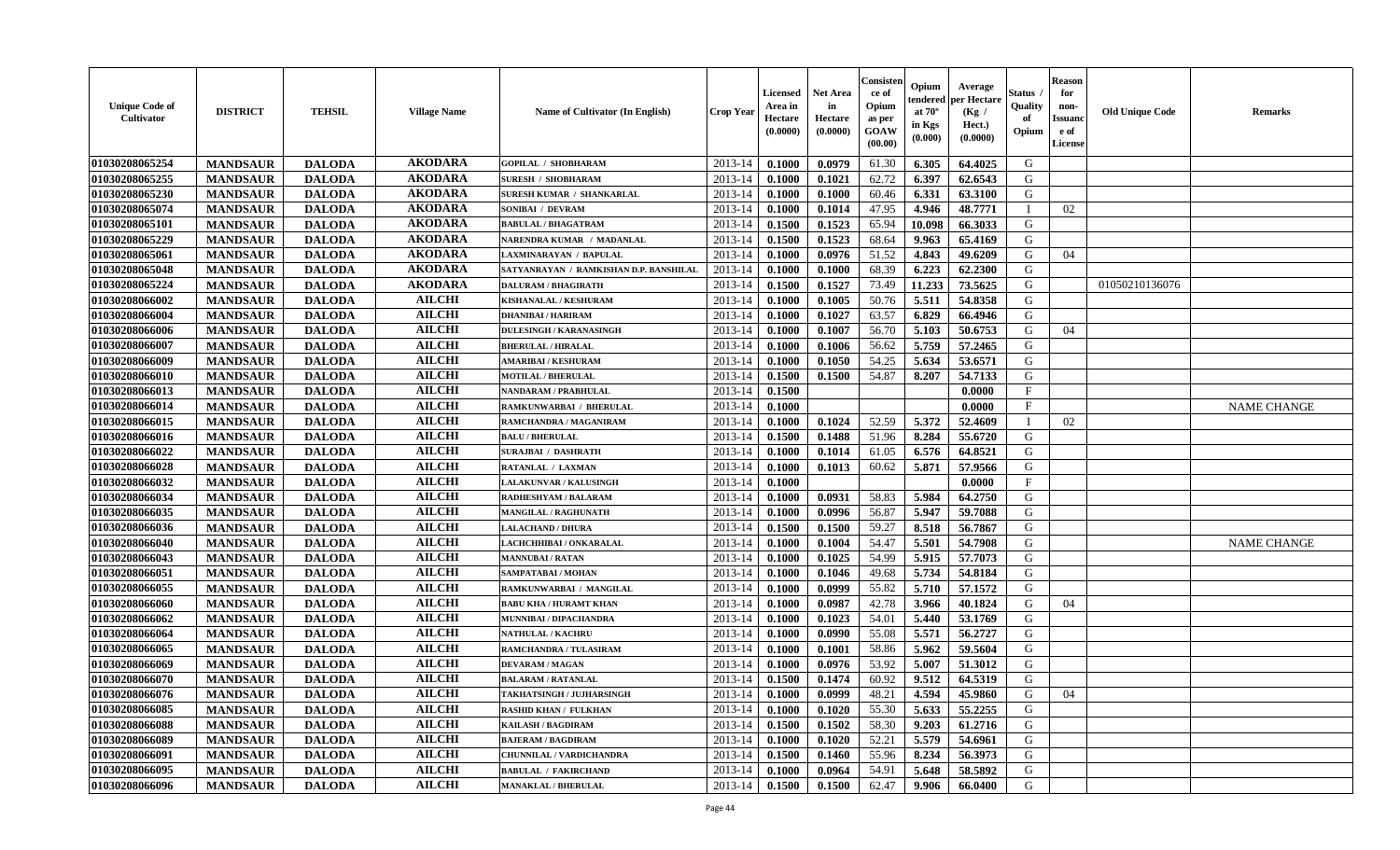| <b>Unique Code of</b><br><b>Cultivator</b> | <b>DISTRICT</b> | <b>TEHSIL</b> | <b>Village Name</b> | <b>Name of Cultivator (In English)</b> | <b>Crop Year</b> | <b>Licensed</b><br>Area in<br>Hectare<br>(0.0000) | Net Area<br>in<br>Hectare<br>(0.0000) | Consisteı<br>ce of<br>Opium<br>as per<br>GOAW<br>(00.00) | Opium<br>endered<br>at $70^\circ$<br>in Kgs<br>(0.000) | Average<br>per Hectare<br>(Kg /<br>Hect.)<br>(0.0000) | Status<br>Quality<br>of<br>Opium | <b>Reason</b><br>for<br>non-<br><b>Issuand</b><br>e of<br>License | <b>Old Unique Code</b> | Remarks            |
|--------------------------------------------|-----------------|---------------|---------------------|----------------------------------------|------------------|---------------------------------------------------|---------------------------------------|----------------------------------------------------------|--------------------------------------------------------|-------------------------------------------------------|----------------------------------|-------------------------------------------------------------------|------------------------|--------------------|
| 01030208065254                             | <b>MANDSAUR</b> | <b>DALODA</b> | <b>AKODARA</b>      | <b>GOPILAL / SHOBHARAM</b>             | 2013-14          | 0.1000                                            | 0.0979                                | 61.30                                                    | 6.305                                                  | 64.4025                                               | G                                |                                                                   |                        |                    |
| 01030208065255                             | <b>MANDSAUR</b> | <b>DALODA</b> | <b>AKODARA</b>      | <b>SURESH / SHOBHARAM</b>              | 2013-14          | 0.1000                                            | 0.1021                                | 62.72                                                    | 6.397                                                  | 62.6543                                               | G                                |                                                                   |                        |                    |
| 01030208065230                             | <b>MANDSAUR</b> | <b>DALODA</b> | <b>AKODARA</b>      | <b>SURESH KUMAR / SHANKARLAL</b>       | 2013-14          | 0.1000                                            | 0.1000                                | 60.46                                                    | 6.331                                                  | 63.3100                                               | G                                |                                                                   |                        |                    |
| 01030208065074                             | <b>MANDSAUR</b> | <b>DALODA</b> | <b>AKODARA</b>      | SONIBAI / DEVRAM                       | 2013-14          | 0.1000                                            | 0.1014                                | 47.95                                                    | 4.946                                                  | 48.7771                                               | $\mathbf{I}$                     | 02                                                                |                        |                    |
| 01030208065101                             | <b>MANDSAUR</b> | <b>DALODA</b> | <b>AKODARA</b>      | <b>BABULAL / BHAGATRAM</b>             | 2013-14          | 0.1500                                            | 0.1523                                | 65.94                                                    | 10.098                                                 | 66.3033                                               | G                                |                                                                   |                        |                    |
| 01030208065229                             | <b>MANDSAUR</b> | <b>DALODA</b> | <b>AKODARA</b>      | NARENDRA KUMAR / MADANLAL              | 2013-14          | 0.1500                                            | 0.1523                                | 68.64                                                    | 9.963                                                  | 65.4169                                               | G                                |                                                                   |                        |                    |
| 01030208065061                             | <b>MANDSAUR</b> | <b>DALODA</b> | <b>AKODARA</b>      | LAXMINARAYAN / BAPULAL                 | 2013-14          | 0.1000                                            | 0.0976                                | 51.52                                                    | 4.843                                                  | 49.6209                                               | G                                | 04                                                                |                        |                    |
| 01030208065048                             | <b>MANDSAUR</b> | <b>DALODA</b> | <b>AKODARA</b>      | SATYANRAYAN / RAMKISHAN D.P. BANSHILAL | 2013-14          | 0.1000                                            | 0.1000                                | 68.39                                                    | 6.223                                                  | 62.2300                                               | G                                |                                                                   |                        |                    |
| 01030208065224                             | <b>MANDSAUR</b> | <b>DALODA</b> | <b>AKODARA</b>      | <b>DALURAM / BHAGIRATH</b>             | 2013-14          | 0.1500                                            | 0.1527                                | 73.49                                                    | 11.233                                                 | 73.5625                                               | G                                |                                                                   | 01050210136076         |                    |
| 01030208066002                             | <b>MANDSAUR</b> | <b>DALODA</b> | <b>AILCHI</b>       | KISHANALAL / KESHURAM                  | 2013-14          | 0.1000                                            | 0.1005                                | 50.76                                                    | 5.511                                                  | 54.8358                                               | G                                |                                                                   |                        |                    |
| 01030208066004                             | <b>MANDSAUR</b> | <b>DALODA</b> | <b>AILCHI</b>       | <b>DHANIBAI / HARIRAM</b>              | 2013-14          | 0.1000                                            | 0.1027                                | 63.57                                                    | 6.829                                                  | 66.4946                                               | G                                |                                                                   |                        |                    |
| 01030208066006                             | <b>MANDSAUR</b> | <b>DALODA</b> | <b>AILCHI</b>       | <b>DULESINGH / KARANASINGH</b>         | 2013-14          | 0.1000                                            | 0.1007                                | 56.70                                                    | 5.103                                                  | 50.6753                                               | G                                | 04                                                                |                        |                    |
| 01030208066007                             | <b>MANDSAUR</b> | <b>DALODA</b> | <b>AILCHI</b>       | <b>BHERULAL / HIRALAL</b>              | 2013-14          | 0.1000                                            | 0.1006                                | 56.62                                                    | 5.759                                                  | 57.2465                                               | G                                |                                                                   |                        |                    |
| 01030208066009                             | <b>MANDSAUR</b> | <b>DALODA</b> | <b>AILCHI</b>       | <b>AMARIBAI/KESHURAM</b>               | 2013-14          | 0.1000                                            | 0.1050                                | 54.25                                                    | 5.634                                                  | 53.6571                                               | G                                |                                                                   |                        |                    |
| 01030208066010                             | <b>MANDSAUR</b> | <b>DALODA</b> | <b>AILCHI</b>       | <b>MOTILAL / BHERULAL</b>              | 2013-14          | 0.1500                                            | 0.1500                                | 54.87                                                    | 8.207                                                  | 54.7133                                               | $\mathbf G$                      |                                                                   |                        |                    |
| 01030208066013                             | <b>MANDSAUR</b> | <b>DALODA</b> | <b>AILCHI</b>       | <b>NANDARAM / PRABHULAL</b>            | 2013-14          | 0.1500                                            |                                       |                                                          |                                                        | 0.0000                                                | $_{\rm F}$                       |                                                                   |                        |                    |
| 01030208066014                             | <b>MANDSAUR</b> | <b>DALODA</b> | <b>AILCHI</b>       | RAMKUNWARBAI / BHERULAL                | 2013-14          | 0.1000                                            |                                       |                                                          |                                                        | 0.0000                                                | $\mathbf{F}$                     |                                                                   |                        | <b>NAME CHANGE</b> |
| 01030208066015                             | <b>MANDSAUR</b> | <b>DALODA</b> | <b>AILCHI</b>       | RAMCHANDRA / MAGANIRAM                 | 2013-14          | 0.1000                                            | 0.1024                                | 52.59                                                    | 5.372                                                  | 52.4609                                               | $\mathbf{I}$                     | 02                                                                |                        |                    |
| 01030208066016                             | <b>MANDSAUR</b> | <b>DALODA</b> | <b>AILCHI</b>       | <b>BALU / BHERULAL</b>                 | 2013-14          | 0.1500                                            | 0.1488                                | 51.96                                                    | 8.284                                                  | 55.6720                                               | G                                |                                                                   |                        |                    |
| 01030208066022                             | <b>MANDSAUR</b> | <b>DALODA</b> | <b>AILCHI</b>       | <b>SURAJBAI / DASHRATH</b>             | 2013-14          | 0.1000                                            | 0.1014                                | 61.05                                                    | 6.576                                                  | 64.8521                                               | G                                |                                                                   |                        |                    |
| 01030208066028                             | <b>MANDSAUR</b> | <b>DALODA</b> | <b>AILCHI</b>       | RATANLAL / LAXMAN                      | 2013-14          | 0.1000                                            | 0.1013                                | 60.62                                                    | 5.871                                                  | 57.9566                                               | G                                |                                                                   |                        |                    |
| 01030208066032                             | <b>MANDSAUR</b> | <b>DALODA</b> | <b>AILCHI</b>       | <b>LALAKUNVAR / KALUSINGH</b>          | 2013-14          | 0.1000                                            |                                       |                                                          |                                                        | 0.0000                                                | F                                |                                                                   |                        |                    |
| 01030208066034                             | <b>MANDSAUR</b> | <b>DALODA</b> | <b>AILCHI</b>       | RADHESHYAM / BALARAM                   | 2013-14          | 0.1000                                            | 0.0931                                | 58.83                                                    | 5.984                                                  | 64.2750                                               | G                                |                                                                   |                        |                    |
| 01030208066035                             | <b>MANDSAUR</b> | <b>DALODA</b> | <b>AILCHI</b>       | MANGILAL / RAGHUNATH                   | 2013-14          | 0.1000                                            | 0.0996                                | 56.87                                                    | 5.947                                                  | 59.7088                                               | G                                |                                                                   |                        |                    |
| 01030208066036                             | <b>MANDSAUR</b> | <b>DALODA</b> | <b>AILCHI</b>       | <b>LALACHAND / DHURA</b>               | 2013-14          | 0.1500                                            | 0.1500                                | 59.27                                                    | 8.518                                                  | 56.7867                                               | G                                |                                                                   |                        |                    |
| 01030208066040                             | <b>MANDSAUR</b> | <b>DALODA</b> | <b>AILCHI</b>       | LACHCHHIBAI / ONKARALAL                | 2013-14          | 0.1000                                            | 0.1004                                | 54.47                                                    | 5.501                                                  | 54.7908                                               | G                                |                                                                   |                        | <b>NAME CHANGE</b> |
| 01030208066043                             | <b>MANDSAUR</b> | <b>DALODA</b> | <b>AILCHI</b>       | <b>MANNUBAI/RATAN</b>                  | 2013-14          | 0.1000                                            | 0.1025                                | 54.99                                                    | 5.915                                                  | 57.7073                                               | G                                |                                                                   |                        |                    |
| 01030208066051                             | <b>MANDSAUR</b> | <b>DALODA</b> | <b>AILCHI</b>       | SAMPATABAI / MOHAN                     | 2013-14          | 0.1000                                            | 0.1046                                | 49.68                                                    | 5.734                                                  | 54.8184                                               | G                                |                                                                   |                        |                    |
| 01030208066055                             | <b>MANDSAUR</b> | <b>DALODA</b> | <b>AILCHI</b>       | RAMKUNWARBAI / MANGILAL                | 2013-14          | 0.1000                                            | 0.0999                                | 55.82                                                    | 5.710                                                  | 57.1572                                               | G                                |                                                                   |                        |                    |
| 01030208066060                             | <b>MANDSAUR</b> | <b>DALODA</b> | <b>AILCHI</b>       | <b>BABU KHA / HURAMT KHAN</b>          | 2013-14          | 0.1000                                            | 0.0987                                | 42.78                                                    | 3.966                                                  | 40.1824                                               | G                                | 04                                                                |                        |                    |
| 01030208066062                             | <b>MANDSAUR</b> | <b>DALODA</b> | <b>AILCHI</b>       | MUNNIBAI / DIPACHANDRA                 | 2013-14          | 0.1000                                            | 0.1023                                | 54.01                                                    | 5.440                                                  | 53.1769                                               | G                                |                                                                   |                        |                    |
| 01030208066064                             | <b>MANDSAUR</b> | <b>DALODA</b> | <b>AILCHI</b>       | <b>NATHULAL / KACHRU</b>               | 2013-14          | 0.1000                                            | 0.0990                                | 55.08                                                    | 5.571                                                  | 56.2727                                               | G                                |                                                                   |                        |                    |
| 01030208066065                             | <b>MANDSAUR</b> | <b>DALODA</b> | <b>AILCHI</b>       | RAMCHANDRA / TULASIRAM                 | 2013-14          | 0.1000                                            | 0.1001                                | 58.86                                                    | 5.962                                                  | 59.5604                                               | G                                |                                                                   |                        |                    |
| 01030208066069                             | <b>MANDSAUR</b> | <b>DALODA</b> | <b>AILCHI</b>       | <b>DEVARAM / MAGAN</b>                 | 2013-14          | 0.1000                                            | 0.0976                                | 53.92                                                    | 5.007                                                  | 51.3012                                               | G                                |                                                                   |                        |                    |
| 01030208066070                             | <b>MANDSAUR</b> | <b>DALODA</b> | <b>AILCHI</b>       | <b>BALARAM / RATANLAL</b>              | 2013-14          | 0.1500                                            | 0.1474                                | 60.92                                                    | 9.512                                                  | 64.5319                                               | G                                |                                                                   |                        |                    |
| 01030208066076                             | <b>MANDSAUR</b> | <b>DALODA</b> | <b>AILCHI</b>       | TAKHATSINGH / JUJHARSINGH              | 2013-14          | 0.1000                                            | 0.0999                                | 48.21                                                    | 4.594                                                  | 45.9860                                               | G                                | 04                                                                |                        |                    |
| 01030208066085                             | <b>MANDSAUR</b> | <b>DALODA</b> | <b>AILCHI</b>       | <b>RASHID KHAN / FULKHAN</b>           | 2013-14          | 0.1000                                            | 0.1020                                | 55.30                                                    | 5.633                                                  | 55.2255                                               | G                                |                                                                   |                        |                    |
| 01030208066088                             | <b>MANDSAUR</b> | <b>DALODA</b> | <b>AILCHI</b>       | <b>KAILASH / BAGDIRAM</b>              | 2013-14          | 0.1500                                            | 0.1502                                | 58.30                                                    | 9.203                                                  | 61.2716                                               | G                                |                                                                   |                        |                    |
| 01030208066089                             | <b>MANDSAUR</b> | <b>DALODA</b> | <b>AILCHI</b>       | <b>BAJERAM / BAGDIRAM</b>              | 2013-14          | 0.1000                                            | 0.1020                                | 52.21                                                    | 5.579                                                  | 54.6961                                               | G                                |                                                                   |                        |                    |
| 01030208066091                             | <b>MANDSAUR</b> | <b>DALODA</b> | <b>AILCHI</b>       | CHUNNILAL / VARDICHANDRA               | 2013-14          | 0.1500                                            | 0.1460                                | 55.96                                                    | 8.234                                                  | 56.3973                                               | ${\bf G}$                        |                                                                   |                        |                    |
| 01030208066095                             | <b>MANDSAUR</b> | <b>DALODA</b> | <b>AILCHI</b>       | <b>BABULAL / FAKIRCHAND</b>            | 2013-14          | 0.1000                                            | 0.0964                                | 54.91                                                    | 5.648                                                  | 58.5892                                               | G                                |                                                                   |                        |                    |
| 01030208066096                             | <b>MANDSAUR</b> | <b>DALODA</b> | <b>AILCHI</b>       | <b>MANAKLAL / BHERULAL</b>             | 2013-14          | 0.1500                                            | 0.1500                                | 62.47                                                    | 9.906                                                  | 66.0400                                               | G                                |                                                                   |                        |                    |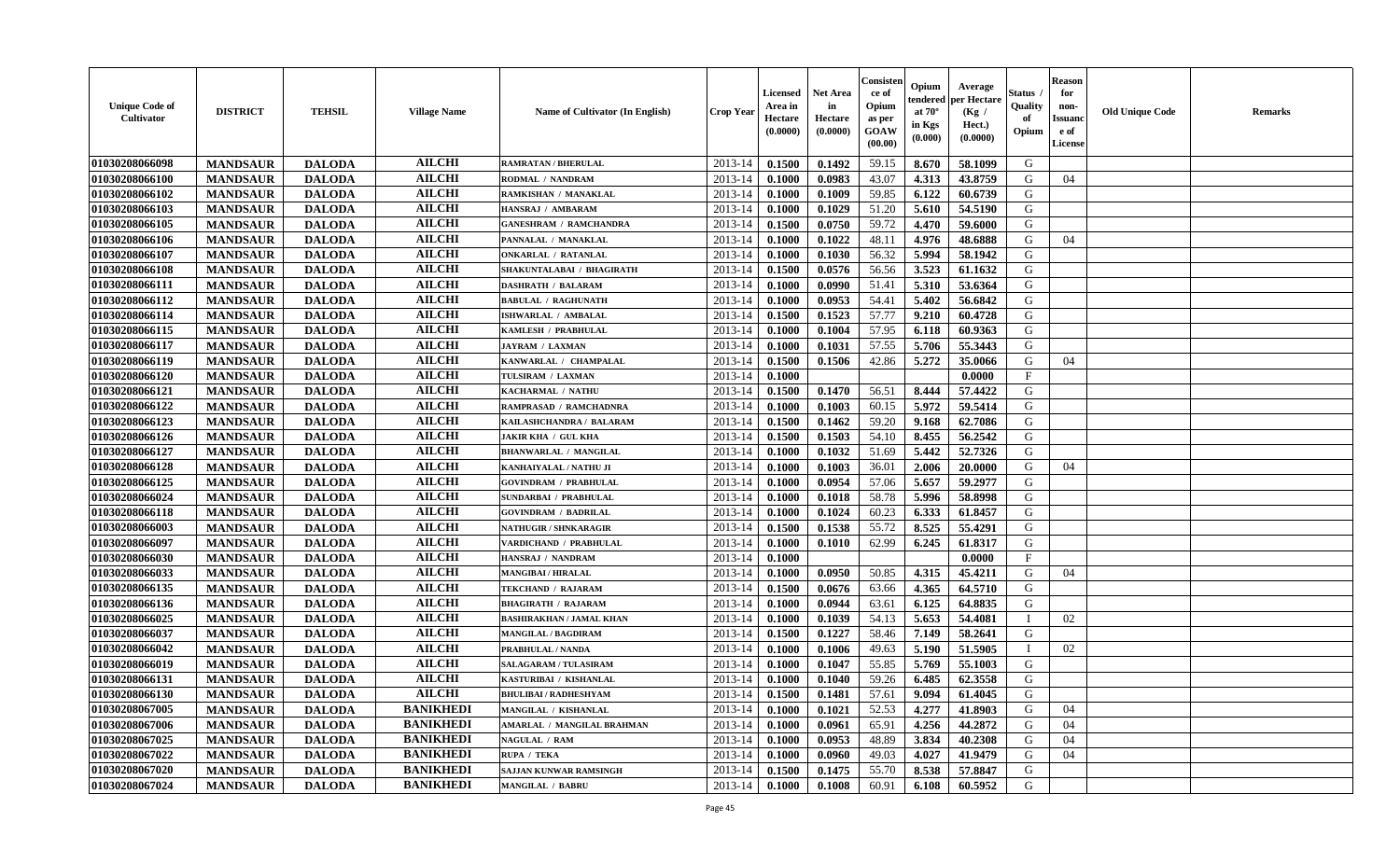| <b>Unique Code of</b><br>Cultivator | <b>DISTRICT</b> | <b>TEHSIL</b> | <b>Village Name</b> | Name of Cultivator (In English) | Crop Year   | Licensed<br>Area in<br>Hectare<br>(0.0000) | <b>Net Area</b><br>in<br>Hectare<br>(0.0000) | Consister<br>ce of<br>Opium<br>as per<br>GOAW<br>(00.00) | Opium<br>endered<br>at $70^\circ$<br>in Kgs<br>$(\mathbf{0.000})$ | Average<br>per Hectare<br>(Kg /<br>Hect.)<br>(0.0000) | Status<br>Quality<br>of<br>Opium | <b>Reason</b><br>for<br>non-<br><b>Issuanc</b><br>e of<br>License | <b>Old Unique Code</b> | Remarks |
|-------------------------------------|-----------------|---------------|---------------------|---------------------------------|-------------|--------------------------------------------|----------------------------------------------|----------------------------------------------------------|-------------------------------------------------------------------|-------------------------------------------------------|----------------------------------|-------------------------------------------------------------------|------------------------|---------|
| 01030208066098                      | <b>MANDSAUR</b> | <b>DALODA</b> | <b>AILCHI</b>       | <b>RAMRATAN / BHERULAL</b>      | $2013 - 14$ | 0.1500                                     | 0.1492                                       | 59.15                                                    | 8.670                                                             | 58.1099                                               | G                                |                                                                   |                        |         |
| 01030208066100                      | <b>MANDSAUR</b> | <b>DALODA</b> | <b>AILCHI</b>       | RODMAL / NANDRAM                | 2013-14     | 0.1000                                     | 0.0983                                       | 43.07                                                    | 4.313                                                             | 43.8759                                               | G                                | 04                                                                |                        |         |
| 01030208066102                      | <b>MANDSAUR</b> | <b>DALODA</b> | <b>AILCHI</b>       | RAMKISHAN / MANAKLAL            | 2013-14     | 0.1000                                     | 0.1009                                       | 59.85                                                    | 6.122                                                             | 60.6739                                               | G                                |                                                                   |                        |         |
| 01030208066103                      | <b>MANDSAUR</b> | <b>DALODA</b> | <b>AILCHI</b>       | HANSRAJ / AMBARAM               | 2013-14     | 0.1000                                     | 0.1029                                       | 51.20                                                    | 5.610                                                             | 54.5190                                               | G                                |                                                                   |                        |         |
| 01030208066105                      | <b>MANDSAUR</b> | <b>DALODA</b> | <b>AILCHI</b>       | <b>GANESHRAM / RAMCHANDRA</b>   | 2013-14     | 0.1500                                     | 0.0750                                       | 59.72                                                    | 4.470                                                             | 59.6000                                               | G                                |                                                                   |                        |         |
| 01030208066106                      | <b>MANDSAUR</b> | <b>DALODA</b> | <b>AILCHI</b>       | PANNALAL / MANAKLAL             | $2013 - 14$ | 0.1000                                     | 0.1022                                       | 48.11                                                    | 4.976                                                             | 48.6888                                               | G                                | 04                                                                |                        |         |
| 01030208066107                      | <b>MANDSAUR</b> | <b>DALODA</b> | <b>AILCHI</b>       | <b>ONKARLAL / RATANLAL</b>      | $2013 - 14$ | 0.1000                                     | 0.1030                                       | 56.32                                                    | 5.994                                                             | 58.1942                                               | G                                |                                                                   |                        |         |
| 01030208066108                      | <b>MANDSAUR</b> | <b>DALODA</b> | <b>AILCHI</b>       | SHAKUNTALABAI / BHAGIRATH       | 2013-14     | 0.1500                                     | 0.0576                                       | 56.56                                                    | 3.523                                                             | 61.1632                                               | G                                |                                                                   |                        |         |
| 01030208066111                      | <b>MANDSAUR</b> | <b>DALODA</b> | <b>AILCHI</b>       | <b>DASHRATH / BALARAM</b>       | 2013-14     | 0.1000                                     | 0.0990                                       | 51.41                                                    | 5.310                                                             | 53.6364                                               | G                                |                                                                   |                        |         |
| 01030208066112                      | <b>MANDSAUR</b> | <b>DALODA</b> | <b>AILCHI</b>       | <b>BABULAL / RAGHUNATH</b>      | 2013-14     | 0.1000                                     | 0.0953                                       | 54.41                                                    | 5.402                                                             | 56.6842                                               | G                                |                                                                   |                        |         |
| 01030208066114                      | <b>MANDSAUR</b> | <b>DALODA</b> | <b>AILCHI</b>       | ISHWARLAL / AMBALAL             | 2013-14     | 0.1500                                     | 0.1523                                       | 57.77                                                    | 9.210                                                             | 60.4728                                               | G                                |                                                                   |                        |         |
| 01030208066115                      | <b>MANDSAUR</b> | <b>DALODA</b> | <b>AILCHI</b>       | KAMLESH / PRABHULAL             | 2013-14     | 0.1000                                     | 0.1004                                       | 57.95                                                    | 6.118                                                             | 60.9363                                               | G                                |                                                                   |                        |         |
| 01030208066117                      | <b>MANDSAUR</b> | <b>DALODA</b> | <b>AILCHI</b>       | <b>JAYRAM / LAXMAN</b>          | 2013-14     | 0.1000                                     | 0.1031                                       | 57.55                                                    | 5.706                                                             | 55.3443                                               | G                                |                                                                   |                        |         |
| 01030208066119                      | <b>MANDSAUR</b> | <b>DALODA</b> | <b>AILCHI</b>       | KANWARLAL / CHAMPALAL           | 2013-14     | 0.1500                                     | 0.1506                                       | 42.86                                                    | 5.272                                                             | 35.0066                                               | G                                | 04                                                                |                        |         |
| <b>01030208066120</b>               | <b>MANDSAUR</b> | <b>DALODA</b> | <b>AILCHI</b>       | TULSIRAM / LAXMAN               | 2013-14     | 0.1000                                     |                                              |                                                          |                                                                   | 0.0000                                                | F                                |                                                                   |                        |         |
| 01030208066121                      | <b>MANDSAUR</b> | <b>DALODA</b> | <b>AILCHI</b>       | KACHARMAL / NATHU               | 2013-14     | 0.1500                                     | 0.1470                                       | 56.51                                                    | 8.444                                                             | 57.4422                                               | G                                |                                                                   |                        |         |
| 01030208066122                      | <b>MANDSAUR</b> | <b>DALODA</b> | <b>AILCHI</b>       | RAMPRASAD / RAMCHADNRA          | 2013-14     | 0.1000                                     | 0.1003                                       | 60.15                                                    | 5.972                                                             | 59.5414                                               | G                                |                                                                   |                        |         |
| 01030208066123                      | <b>MANDSAUR</b> | <b>DALODA</b> | <b>AILCHI</b>       | KAILASHCHANDRA / BALARAM        | 2013-14     | 0.1500                                     | 0.1462                                       | 59.20                                                    | 9.168                                                             | 62.7086                                               | G                                |                                                                   |                        |         |
| 01030208066126                      | <b>MANDSAUR</b> | <b>DALODA</b> | <b>AILCHI</b>       | <b>JAKIR KHA / GUL KHA</b>      | 2013-14     | 0.1500                                     | 0.1503                                       | 54.10                                                    | 8.455                                                             | 56.2542                                               | G                                |                                                                   |                        |         |
| 01030208066127                      | <b>MANDSAUR</b> | <b>DALODA</b> | <b>AILCHI</b>       | <b>BHANWARLAL / MANGILAL</b>    | 2013-14     | 0.1000                                     | 0.1032                                       | 51.69                                                    | 5.442                                                             | 52.7326                                               | G                                |                                                                   |                        |         |
| 01030208066128                      | <b>MANDSAUR</b> | <b>DALODA</b> | <b>AILCHI</b>       | KANHAIYALAL / NATHU JI          | 2013-14     | 0.1000                                     | 0.1003                                       | 36.01                                                    | 2.006                                                             | 20.0000                                               | G                                | 04                                                                |                        |         |
| 01030208066125                      | <b>MANDSAUR</b> | <b>DALODA</b> | <b>AILCHI</b>       | <b>GOVINDRAM / PRABHULAI</b>    | 2013-14     | 0.1000                                     | 0.0954                                       | 57.06                                                    | 5.657                                                             | 59,2977                                               | G                                |                                                                   |                        |         |
| 01030208066024                      | <b>MANDSAUR</b> | <b>DALODA</b> | <b>AILCHI</b>       | <b>SUNDARBAI / PRABHULAL</b>    | 2013-14     | 0.1000                                     | 0.1018                                       | 58.78                                                    | 5.996                                                             | 58.8998                                               | G                                |                                                                   |                        |         |
| 01030208066118                      | <b>MANDSAUR</b> | <b>DALODA</b> | <b>AILCHI</b>       | <b>GOVINDRAM / BADRILAL</b>     | 2013-14     | 0.1000                                     | 0.1024                                       | 60.23                                                    | 6.333                                                             | 61.8457                                               | G                                |                                                                   |                        |         |
| 01030208066003                      | <b>MANDSAUR</b> | <b>DALODA</b> | <b>AILCHI</b>       | <b>NATHUGIR / SHNKARAGIR</b>    | 2013-14     | 0.1500                                     | 0.1538                                       | 55.72                                                    | 8.525                                                             | 55,4291                                               | G                                |                                                                   |                        |         |
| 01030208066097                      | <b>MANDSAUR</b> | <b>DALODA</b> | <b>AILCHI</b>       | VARDICHAND / PRABHULAL          | 2013-14     | 0.1000                                     | 0.1010                                       | 62.99                                                    | 6.245                                                             | 61.8317                                               | G                                |                                                                   |                        |         |
| 01030208066030                      | <b>MANDSAUR</b> | <b>DALODA</b> | <b>AILCHI</b>       | HANSRAJ / NANDRAM               | 2013-14     | 0.1000                                     |                                              |                                                          |                                                                   | 0.0000                                                | $\mathbf{F}$                     |                                                                   |                        |         |
| 01030208066033                      | <b>MANDSAUR</b> | <b>DALODA</b> | <b>AILCHI</b>       | <b>MANGIBAI / HIRALAL</b>       | 2013-14     | 0.1000                                     | 0.0950                                       | 50.85                                                    | 4.315                                                             | 45.4211                                               | G                                | 04                                                                |                        |         |
| 01030208066135                      | <b>MANDSAUR</b> | <b>DALODA</b> | <b>AILCHI</b>       | TEKCHAND / RAJARAM              | 2013-14     | 0.1500                                     | 0.0676                                       | 63.66                                                    | 4.365                                                             | 64.5710                                               | G                                |                                                                   |                        |         |
| 01030208066136                      | <b>MANDSAUR</b> | <b>DALODA</b> | <b>AILCHI</b>       | <b>BHAGIRATH / RAJARAM</b>      | $2013 - 14$ | 0.1000                                     | 0.0944                                       | 63.61                                                    | 6.125                                                             | 64.8835                                               | G                                |                                                                   |                        |         |
| 01030208066025                      | <b>MANDSAUR</b> | <b>DALODA</b> | <b>AILCHI</b>       | <b>BASHIRAKHAN / JAMAL KHAN</b> | 2013-14     | 0.1000                                     | 0.1039                                       | 54.13                                                    | 5.653                                                             | 54.4081                                               | $\blacksquare$                   | 02                                                                |                        |         |
| 01030208066037                      | <b>MANDSAUR</b> | <b>DALODA</b> | <b>AILCHI</b>       | <b>MANGILAL / BAGDIRAM</b>      | 2013-14     | 0.1500                                     | 0.1227                                       | 58.46                                                    | 7.149                                                             | 58.2641                                               | G                                |                                                                   |                        |         |
| 01030208066042                      | <b>MANDSAUR</b> | <b>DALODA</b> | <b>AILCHI</b>       | PRABHULAL / NANDA               | 2013-14     | 0.1000                                     | 0.1006                                       | 49.63                                                    | 5.190                                                             | 51.5905                                               | П                                | 02                                                                |                        |         |
| 01030208066019                      | <b>MANDSAUR</b> | <b>DALODA</b> | <b>AILCHI</b>       | <b>SALAGARAM / TULASIRAM</b>    | 2013-14     | 0.1000                                     | 0.1047                                       | 55.85                                                    | 5.769                                                             | 55.1003                                               | G                                |                                                                   |                        |         |
| 01030208066131                      | <b>MANDSAUR</b> | <b>DALODA</b> | <b>AILCHI</b>       | KASTURIBAI / KISHANLAL          | 2013-14     | 0.1000                                     | 0.1040                                       | 59.26                                                    | 6.485                                                             | 62.3558                                               | G                                |                                                                   |                        |         |
| 01030208066130                      | <b>MANDSAUR</b> | <b>DALODA</b> | <b>AILCHI</b>       | <b>BHULIBAI / RADHESHYAM</b>    | 2013-14     | 0.1500                                     | 0.1481                                       | 57.61                                                    | 9.094                                                             | 61.4045                                               | G                                |                                                                   |                        |         |
| 01030208067005                      | <b>MANDSAUR</b> | <b>DALODA</b> | <b>BANIKHEDI</b>    | MANGILAL / KISHANLAL            | 2013-14     | 0.1000                                     | 0.1021                                       | 52.53                                                    | 4.277                                                             | 41.8903                                               | G                                | 04                                                                |                        |         |
| 01030208067006                      | <b>MANDSAUR</b> | <b>DALODA</b> | <b>BANIKHEDI</b>    | AMARLAL / MANGILAL BRAHMAN      | 2013-14     | 0.1000                                     | 0.0961                                       | 65.91                                                    | 4.256                                                             | 44.2872                                               | G                                | 04                                                                |                        |         |
| 01030208067025                      | <b>MANDSAUR</b> | <b>DALODA</b> | <b>BANIKHEDI</b>    | NAGULAL / RAM                   | $2013 - 14$ | 0.1000                                     | 0.0953                                       | 48.89                                                    | 3.834                                                             | 40.2308                                               | G                                | 04                                                                |                        |         |
| 01030208067022                      | <b>MANDSAUR</b> | <b>DALODA</b> | <b>BANIKHEDI</b>    | RUPA / TEKA                     | 2013-14     | 0.1000                                     | 0.0960                                       | 49.03                                                    | 4.027                                                             | 41.9479                                               | G                                | 04                                                                |                        |         |
| 01030208067020                      | <b>MANDSAUR</b> | <b>DALODA</b> | <b>BANIKHEDI</b>    | SAJJAN KUNWAR RAMSINGH          | 2013-14     | 0.1500                                     | 0.1475                                       | 55.70                                                    | 8.538                                                             | 57.8847                                               | G                                |                                                                   |                        |         |
| 01030208067024                      | <b>MANDSAUR</b> | <b>DALODA</b> | <b>BANIKHEDI</b>    | <b>MANGILAL / BABRU</b>         | 2013-14     | 0.1000                                     | 0.1008                                       | 60.91                                                    | 6.108                                                             | 60.5952                                               | G                                |                                                                   |                        |         |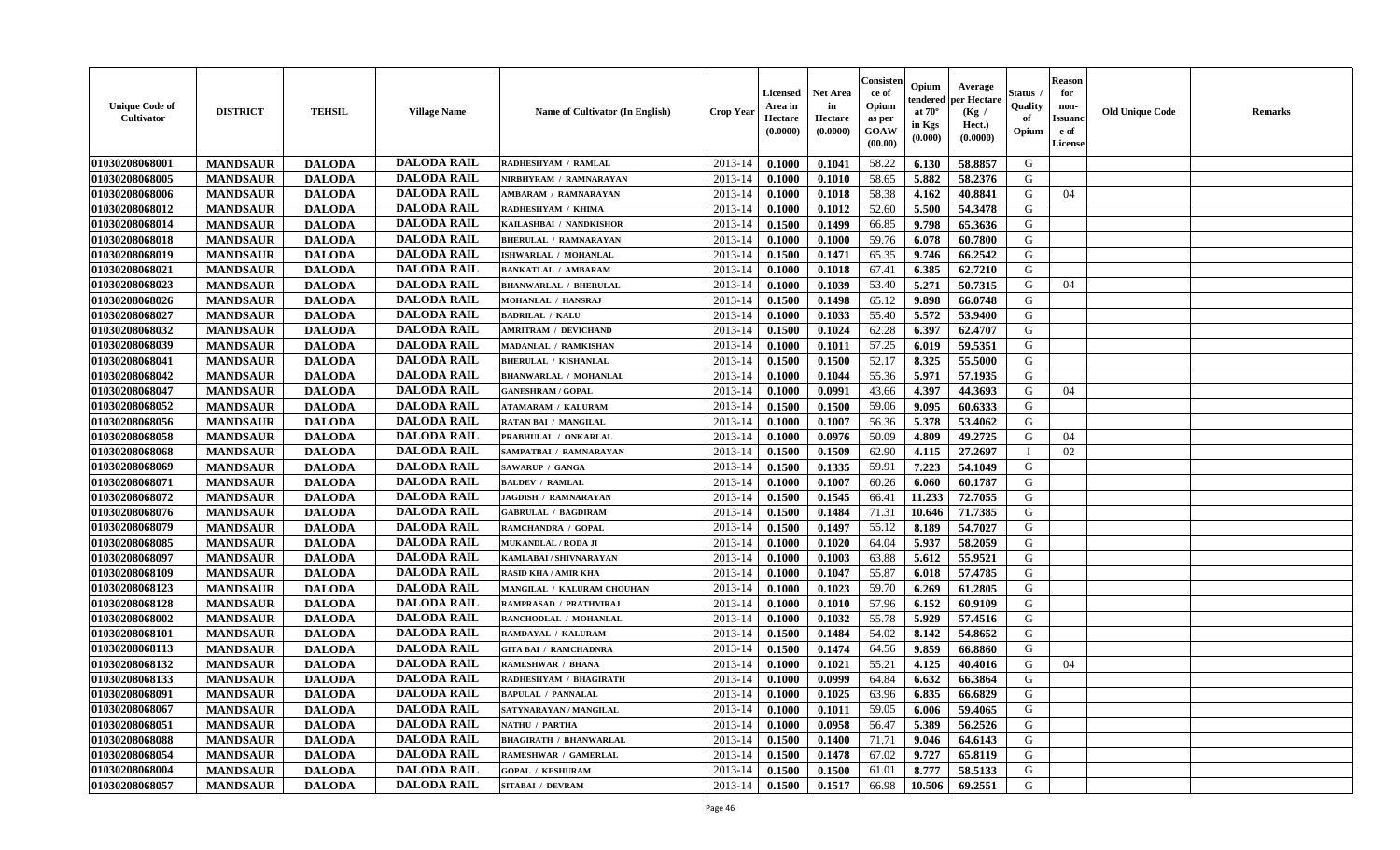| <b>Unique Code of</b><br>Cultivator | <b>DISTRICT</b> | <b>TEHSIL</b> | <b>Village Name</b> | <b>Name of Cultivator (In English)</b> | <b>Crop Year</b> | Licensed<br>Area in<br>Hectare<br>(0.0000) | <b>Net Area</b><br>in<br>Hectare<br>(0.0000) | Consister<br>ce of<br>Opium<br>as per<br>GOAW<br>(00.00) | Opium<br>endered<br>at $70^\circ$<br>in Kgs<br>$(\mathbf{0.000})$ | Average<br>per Hectare<br>(Kg /<br>Hect.)<br>(0.0000) | Status<br>Quality<br>of<br>Opium | <b>Reason</b><br>for<br>non-<br><b>Issuanc</b><br>e of<br>License | <b>Old Unique Code</b> | Remarks |
|-------------------------------------|-----------------|---------------|---------------------|----------------------------------------|------------------|--------------------------------------------|----------------------------------------------|----------------------------------------------------------|-------------------------------------------------------------------|-------------------------------------------------------|----------------------------------|-------------------------------------------------------------------|------------------------|---------|
| 01030208068001                      | <b>MANDSAUR</b> | <b>DALODA</b> | <b>DALODA RAIL</b>  | RADHESHYAM / RAMLAL                    | $2013 - 14$      | 0.1000                                     | 0.1041                                       | 58.22                                                    | 6.130                                                             | 58.8857                                               | G                                |                                                                   |                        |         |
| 01030208068005                      | <b>MANDSAUR</b> | <b>DALODA</b> | <b>DALODA RAIL</b>  | NIRBHYRAM / RAMNARAYAN                 | 2013-14          | 0.1000                                     | 0.1010                                       | 58.65                                                    | 5.882                                                             | 58.2376                                               | G                                |                                                                   |                        |         |
| 01030208068006                      | <b>MANDSAUR</b> | <b>DALODA</b> | <b>DALODA RAIL</b>  | <b>AMBARAM / RAMNARAYAN</b>            | 2013-14          | 0.1000                                     | 0.1018                                       | 58.38                                                    | 4.162                                                             | 40.8841                                               | G                                | 04                                                                |                        |         |
| 01030208068012                      | <b>MANDSAUR</b> | <b>DALODA</b> | <b>DALODA RAIL</b>  | RADHESHYAM / KHIMA                     | 2013-14          | 0.1000                                     | 0.1012                                       | 52.60                                                    | 5.500                                                             | 54.3478                                               | G                                |                                                                   |                        |         |
| 01030208068014                      | <b>MANDSAUR</b> | <b>DALODA</b> | <b>DALODA RAIL</b>  | KAILASHBAI / NANDKISHOR                | 2013-14          | 0.1500                                     | 0.1499                                       | 66.85                                                    | 9.798                                                             | 65.3636                                               | G                                |                                                                   |                        |         |
| 01030208068018                      | <b>MANDSAUR</b> | <b>DALODA</b> | <b>DALODA RAIL</b>  | <b>BHERULAL / RAMNARAYAN</b>           | $2013 - 14$      | 0.1000                                     | 0.1000                                       | 59.76                                                    | 6.078                                                             | 60.7800                                               | G                                |                                                                   |                        |         |
| 01030208068019                      | <b>MANDSAUR</b> | <b>DALODA</b> | <b>DALODA RAIL</b>  | ISHWARLAL / MOHANLAL                   | $2013 - 14$      | 0.1500                                     | 0.1471                                       | 65.35                                                    | 9.746                                                             | 66.2542                                               | G                                |                                                                   |                        |         |
| 01030208068021                      | <b>MANDSAUR</b> | <b>DALODA</b> | <b>DALODA RAIL</b>  | <b>BANKATLAL / AMBARAM</b>             | 2013-14          | 0.1000                                     | 0.1018                                       | 67.41                                                    | 6.385                                                             | 62.7210                                               | G                                |                                                                   |                        |         |
| 01030208068023                      | <b>MANDSAUR</b> | <b>DALODA</b> | <b>DALODA RAIL</b>  | <b>BHANWARLAL / BHERULAL</b>           | 2013-14          | 0.1000                                     | 0.1039                                       | 53.40                                                    | 5.271                                                             | 50.7315                                               | G                                | 04                                                                |                        |         |
| 01030208068026                      | <b>MANDSAUR</b> | <b>DALODA</b> | <b>DALODA RAIL</b>  | MOHANLAL / HANSRAJ                     | 2013-14          | 0.1500                                     | 0.1498                                       | 65.12                                                    | 9.898                                                             | 66.0748                                               | G                                |                                                                   |                        |         |
| 01030208068027                      | <b>MANDSAUR</b> | <b>DALODA</b> | <b>DALODA RAIL</b>  | <b>BADRILAL / KALU</b>                 | 2013-14          | 0.1000                                     | 0.1033                                       | 55.40                                                    | 5.572                                                             | 53.9400                                               | G                                |                                                                   |                        |         |
| 01030208068032                      | <b>MANDSAUR</b> | <b>DALODA</b> | <b>DALODA RAIL</b>  | <b>AMRITRAM / DEVICHAND</b>            | 2013-14          | 0.1500                                     | 0.1024                                       | 62.28                                                    | 6.397                                                             | 62.4707                                               | G                                |                                                                   |                        |         |
| 01030208068039                      | <b>MANDSAUR</b> | <b>DALODA</b> | <b>DALODA RAIL</b>  | <b>MADANLAL / RAMKISHAN</b>            | 2013-14          | 0.1000                                     | 0.1011                                       | 57.25                                                    | 6.019                                                             | 59.5351                                               | G                                |                                                                   |                        |         |
| 01030208068041                      | <b>MANDSAUR</b> | <b>DALODA</b> | <b>DALODA RAIL</b>  | <b>BHERULAL / KISHANLAL</b>            | 2013-14          | 0.1500                                     | 0.1500                                       | 52.17                                                    | 8.325                                                             | 55.5000                                               | G                                |                                                                   |                        |         |
| <b>01030208068042</b>               | <b>MANDSAUR</b> | <b>DALODA</b> | <b>DALODA RAIL</b>  | <b>BHANWARLAL / MOHANLAL</b>           | 2013-14          | 0.1000                                     | 0.1044                                       | 55.36                                                    | 5.971                                                             | 57.1935                                               | G                                |                                                                   |                        |         |
| 01030208068047                      | <b>MANDSAUR</b> | <b>DALODA</b> | <b>DALODA RAIL</b>  | <b>GANESHRAM / GOPAL</b>               | 2013-14          | 0.1000                                     | 0.0991                                       | 43.66                                                    | 4.397                                                             | 44.3693                                               | G                                | 04                                                                |                        |         |
| 01030208068052                      | <b>MANDSAUR</b> | <b>DALODA</b> | <b>DALODA RAIL</b>  | <b>ATAMARAM / KALURAM</b>              | 2013-14          | 0.1500                                     | 0.1500                                       | 59.06                                                    | 9.095                                                             | 60.6333                                               | G                                |                                                                   |                        |         |
| 01030208068056                      | <b>MANDSAUR</b> | <b>DALODA</b> | <b>DALODA RAIL</b>  | RATAN BAI / MANGILAL                   | 2013-14          | 0.1000                                     | 0.1007                                       | 56.36                                                    | 5.378                                                             | 53.4062                                               | G                                |                                                                   |                        |         |
| 01030208068058                      | <b>MANDSAUR</b> | <b>DALODA</b> | <b>DALODA RAIL</b>  | PRABHULAL / ONKARLAI                   | 2013-14          | 0.1000                                     | 0.0976                                       | 50.09                                                    | 4.809                                                             | 49.2725                                               | G                                | 04                                                                |                        |         |
| 01030208068068                      | <b>MANDSAUR</b> | <b>DALODA</b> | <b>DALODA RAIL</b>  | SAMPATBAI / RAMNARAYAN                 | 2013-14          | 0.1500                                     | 0.1509                                       | 62.90                                                    | 4.115                                                             | 27.2697                                               | $\mathbf I$                      | 02                                                                |                        |         |
| 01030208068069                      | <b>MANDSAUR</b> | <b>DALODA</b> | <b>DALODA RAIL</b>  | <b>SAWARUP / GANGA</b>                 | 2013-14          | 0.1500                                     | 0.1335                                       | 59.91                                                    | 7.223                                                             | 54.1049                                               | G                                |                                                                   |                        |         |
| 01030208068071                      | <b>MANDSAUR</b> | <b>DALODA</b> | <b>DALODA RAIL</b>  | <b>BALDEV / RAMLAL</b>                 | 2013-14          | 0.1000                                     | 0.1007                                       | 60.26                                                    | 6.060                                                             | 60.1787                                               | G                                |                                                                   |                        |         |
| 01030208068072                      | <b>MANDSAUR</b> | <b>DALODA</b> | <b>DALODA RAIL</b>  | <b>JAGDISH / RAMNARAYAN</b>            | 2013-14          | 0.1500                                     | 0.1545                                       | 66.41                                                    | 11.233                                                            | 72.7055                                               | G                                |                                                                   |                        |         |
| 01030208068076                      | <b>MANDSAUR</b> | <b>DALODA</b> | <b>DALODA RAIL</b>  | <b>GABRULAL / BAGDIRAM</b>             | 2013-14          | 0.1500                                     | 0.1484                                       | 71.31                                                    | 10.646                                                            | 71.7385                                               | G                                |                                                                   |                        |         |
| 01030208068079                      | <b>MANDSAUR</b> | <b>DALODA</b> | <b>DALODA RAIL</b>  | RAMCHANDRA / GOPAL                     | 2013-14          | 0.1500                                     | 0.1497                                       | 55.12                                                    | 8.189                                                             | 54.7027                                               | G                                |                                                                   |                        |         |
| 01030208068085                      | <b>MANDSAUR</b> | <b>DALODA</b> | <b>DALODA RAIL</b>  | MUKANDLAL / RODA JI                    | 2013-14          | 0.1000                                     | 0.1020                                       | 64.04                                                    | 5.937                                                             | 58.2059                                               | G                                |                                                                   |                        |         |
| 01030208068097                      | <b>MANDSAUR</b> | <b>DALODA</b> | <b>DALODA RAIL</b>  | KAMLABAI / SHIVNARAYAN                 | 2013-14          | 0.1000                                     | 0.1003                                       | 63.88                                                    | 5.612                                                             | 55.9521                                               | ${\bf G}$                        |                                                                   |                        |         |
| 01030208068109                      | <b>MANDSAUR</b> | <b>DALODA</b> | <b>DALODA RAIL</b>  | <b>RASID KHA / AMIR KHA</b>            | 2013-14          | 0.1000                                     | 0.1047                                       | 55.87                                                    | 6.018                                                             | 57.4785                                               | G                                |                                                                   |                        |         |
| 01030208068123                      | <b>MANDSAUR</b> | <b>DALODA</b> | <b>DALODA RAIL</b>  | MANGILAL / KALURAM CHOUHAN             | 2013-14          | 0.1000                                     | 0.1023                                       | 59.70                                                    | 6.269                                                             | 61.2805                                               | G                                |                                                                   |                        |         |
| 01030208068128                      | <b>MANDSAUR</b> | <b>DALODA</b> | <b>DALODA RAIL</b>  | RAMPRASAD / PRATHVIRAJ                 | 2013-14          | 0.1000                                     | 0.1010                                       | 57.96                                                    | 6.152                                                             | 60.9109                                               | G                                |                                                                   |                        |         |
| 01030208068002                      | <b>MANDSAUR</b> | <b>DALODA</b> | <b>DALODA RAIL</b>  | RANCHODLAL / MOHANLAL                  | 2013-14          | 0.1000                                     | 0.1032                                       | 55.78                                                    | 5.929                                                             | 57.4516                                               | G                                |                                                                   |                        |         |
| 01030208068101                      | <b>MANDSAUR</b> | <b>DALODA</b> | <b>DALODA RAIL</b>  | RAMDAYAL / KALURAM                     | 2013-14          | 0.1500                                     | 0.1484                                       | 54.02                                                    | 8.142                                                             | 54.8652                                               | G                                |                                                                   |                        |         |
| 01030208068113                      | <b>MANDSAUR</b> | <b>DALODA</b> | <b>DALODA RAIL</b>  | <b>GITA BAI / RAMCHADNRA</b>           | 2013-14          | 0.1500                                     | 0.1474                                       | 64.56                                                    | 9.859                                                             | 66.8860                                               | G                                |                                                                   |                        |         |
| 01030208068132                      | <b>MANDSAUR</b> | <b>DALODA</b> | <b>DALODA RAIL</b>  | <b>RAMESHWAR / BHANA</b>               | 2013-14          | 0.1000                                     | 0.1021                                       | 55.21                                                    | 4.125                                                             | 40.4016                                               | G                                | 04                                                                |                        |         |
| 01030208068133                      | <b>MANDSAUR</b> | <b>DALODA</b> | <b>DALODA RAIL</b>  | RADHESHYAM / BHAGIRATH                 | 2013-14          | 0.1000                                     | 0.0999                                       | 64.84                                                    | 6.632                                                             | 66.3864                                               | G                                |                                                                   |                        |         |
| 01030208068091                      | <b>MANDSAUR</b> | <b>DALODA</b> | <b>DALODA RAIL</b>  | <b>BAPULAL / PANNALAL</b>              | 2013-14          | 0.1000                                     | 0.1025                                       | 63.96                                                    | 6.835                                                             | 66.6829                                               | G                                |                                                                   |                        |         |
| 01030208068067                      | <b>MANDSAUR</b> | <b>DALODA</b> | <b>DALODA RAIL</b>  | SATYNARAYAN / MANGILAL                 | 2013-14          | 0.1000                                     | 0.1011                                       | 59.05                                                    | 6.006                                                             | 59.4065                                               | G                                |                                                                   |                        |         |
| 01030208068051                      | <b>MANDSAUR</b> | <b>DALODA</b> | <b>DALODA RAIL</b>  | NATHU / PARTHA                         | 2013-14          | 0.1000                                     | 0.0958                                       | 56.47                                                    | 5.389                                                             | 56.2526                                               | G                                |                                                                   |                        |         |
| 01030208068088                      | <b>MANDSAUR</b> | <b>DALODA</b> | <b>DALODA RAIL</b>  | <b>BHAGIRATH / BHANWARLAL</b>          | $2013 - 14$      | 0.1500                                     | 0.1400                                       | 71.71                                                    | 9.046                                                             | 64.6143                                               | G                                |                                                                   |                        |         |
| 01030208068054                      | <b>MANDSAUR</b> | <b>DALODA</b> | <b>DALODA RAIL</b>  | RAMESHWAR / GAMERLAL                   | 2013-14          | 0.1500                                     | 0.1478                                       | 67.02                                                    | 9.727                                                             | 65.8119                                               | ${\bf G}$                        |                                                                   |                        |         |
| 01030208068004                      | <b>MANDSAUR</b> | <b>DALODA</b> | <b>DALODA RAIL</b>  | <b>GOPAL / KESHURAM</b>                | 2013-14          | 0.1500                                     | 0.1500                                       | 61.01                                                    | 8.777                                                             | 58.5133                                               | G                                |                                                                   |                        |         |
| 01030208068057                      | <b>MANDSAUR</b> | <b>DALODA</b> | <b>DALODA RAIL</b>  | <b>SITABAI / DEVRAM</b>                | 2013-14          | 0.1500                                     | 0.1517                                       | 66.98                                                    | 10.506                                                            | 69.2551                                               | G                                |                                                                   |                        |         |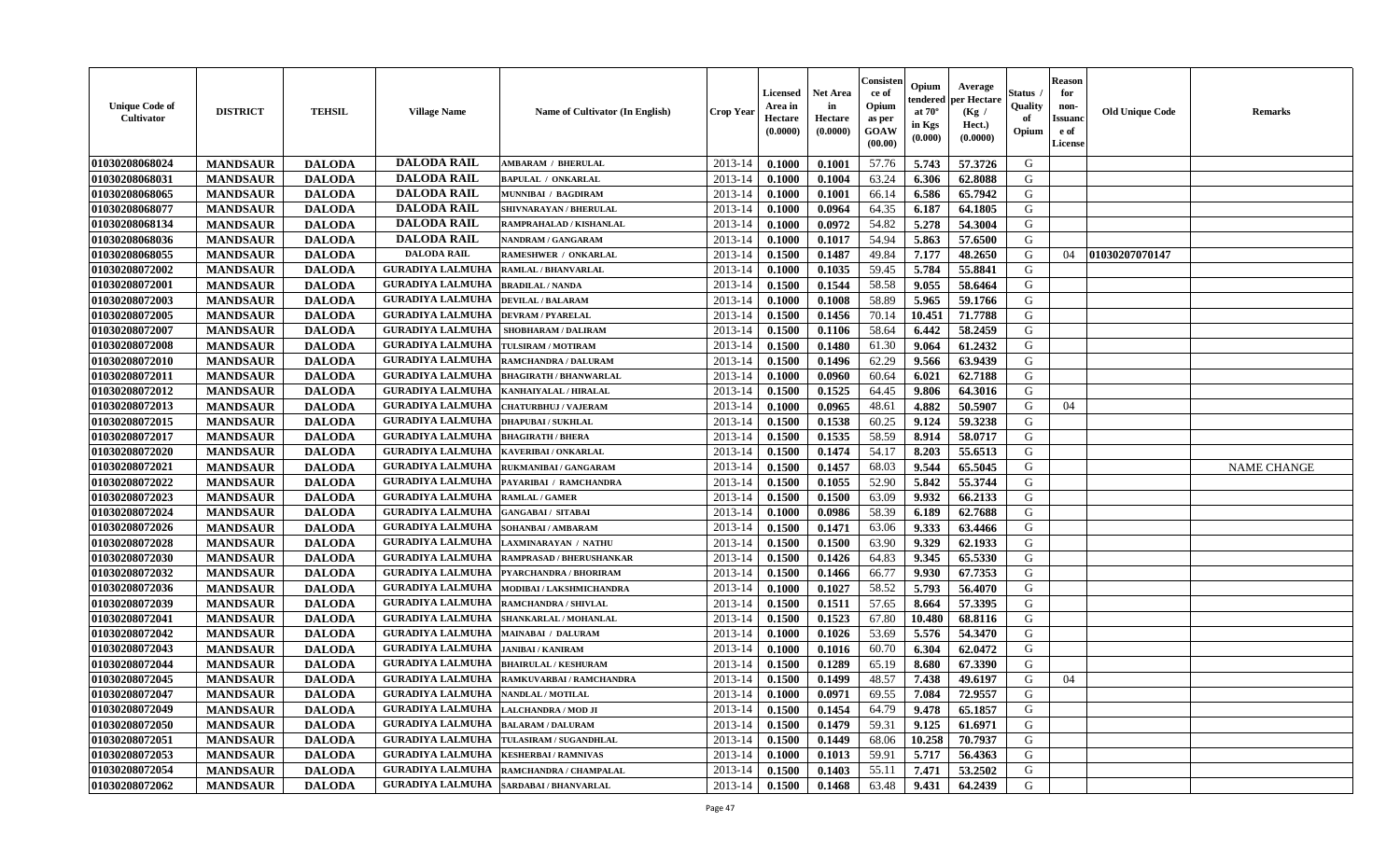| <b>Unique Code of</b><br>Cultivator | <b>DISTRICT</b> | <b>TEHSIL</b> | <b>Village Name</b>                         | <b>Name of Cultivator (In English)</b>           | <b>Crop Year</b> | Licensed<br>Area in<br>Hectare<br>(0.0000) | Net Area<br>in<br>Hectare<br>(0.0000) | Consister<br>ce of<br>Opium<br>as per<br>GOAW<br>(00.00) | Opium<br>endered<br>at $70^{\circ}$<br>in Kgs<br>$(\mathbf{0.000})$ | Average<br>per Hectare<br>(Kg /<br>Hect.)<br>(0.0000) | Status<br>Quality<br>of<br>Opium | <b>Reason</b><br>for<br>non-<br><b>Issuano</b><br>e of<br>License | <b>Old Unique Code</b> | <b>Remarks</b>     |
|-------------------------------------|-----------------|---------------|---------------------------------------------|--------------------------------------------------|------------------|--------------------------------------------|---------------------------------------|----------------------------------------------------------|---------------------------------------------------------------------|-------------------------------------------------------|----------------------------------|-------------------------------------------------------------------|------------------------|--------------------|
| 01030208068024                      | <b>MANDSAUR</b> | <b>DALODA</b> | <b>DALODA RAIL</b>                          | <b>AMBARAM / BHERULAL</b>                        | 2013-14          | 0.1000                                     | 0.1001                                | 57.76                                                    | 5.743                                                               | 57.3726                                               | G                                |                                                                   |                        |                    |
| 01030208068031                      | <b>MANDSAUR</b> | <b>DALODA</b> | <b>DALODA RAIL</b>                          | <b>BAPULAL / ONKARLAL</b>                        | $2013 - 14$      | 0.1000                                     | 0.1004                                | 63.24                                                    | 6.306                                                               | 62.8088                                               | G                                |                                                                   |                        |                    |
| 01030208068065                      | <b>MANDSAUR</b> | <b>DALODA</b> | <b>DALODA RAIL</b>                          | MUNNIBAI / BAGDIRAM                              | 2013-14          | 0.1000                                     | 0.1001                                | 66.14                                                    | 6.586                                                               | 65.7942                                               | G                                |                                                                   |                        |                    |
| 01030208068077                      | <b>MANDSAUR</b> | <b>DALODA</b> | <b>DALODA RAIL</b>                          | SHIVNARAYAN / BHERULAL                           | 2013-14          | 0.1000                                     | 0.0964                                | 64.35                                                    | 6.187                                                               | 64.1805                                               | G                                |                                                                   |                        |                    |
| 01030208068134                      | <b>MANDSAUR</b> | <b>DALODA</b> | <b>DALODA RAIL</b>                          | RAMPRAHALAD / KISHANLAL                          | 2013-14          | 0.1000                                     | 0.0972                                | 54.82                                                    | 5.278                                                               | 54.3004                                               | G                                |                                                                   |                        |                    |
| 01030208068036                      | <b>MANDSAUR</b> | <b>DALODA</b> | <b>DALODA RAIL</b>                          | <b>NANDRAM / GANGARAM</b>                        | 2013-14          | 0.1000                                     | 0.1017                                | 54.94                                                    | 5.863                                                               | 57.6500                                               | G                                |                                                                   |                        |                    |
| 01030208068055                      | <b>MANDSAUR</b> | <b>DALODA</b> | <b>DALODA RAIL</b>                          | <b>RAMESHWER / ONKARLAL</b>                      | 2013-14          | 0.1500                                     | 0.1487                                | 49.84                                                    | 7.177                                                               | 48.2650                                               | G                                | 04                                                                | 01030207070147         |                    |
| 01030208072002                      | <b>MANDSAUR</b> | <b>DALODA</b> | <b>GURADIYA LALMUHA</b>                     | <b>RAMLAL / BHANVARLAL</b>                       | $2013 - 14$      | 0.1000                                     | 0.1035                                | 59.45                                                    | 5.784                                                               | 55.8841                                               | G                                |                                                                   |                        |                    |
| 01030208072001                      | <b>MANDSAUR</b> | <b>DALODA</b> | <b>GURADIYA LALMUHA</b>                     | <b>BRADILAL / NANDA</b>                          | 2013-14          | 0.1500                                     | 0.1544                                | 58.58                                                    | 9.055                                                               | 58.6464                                               | G                                |                                                                   |                        |                    |
| 01030208072003                      | <b>MANDSAUR</b> | <b>DALODA</b> | <b>GURADIYA LALMUHA</b>                     | <b>DEVILAL / BALARAM</b>                         | 2013-14          | 0.1000                                     | 0.1008                                | 58.89                                                    | 5.965                                                               | 59.1766                                               | G                                |                                                                   |                        |                    |
| 01030208072005                      | <b>MANDSAUR</b> | <b>DALODA</b> | <b>GURADIYA LALMUHA</b>                     | <b>DEVRAM / PYARELAL</b>                         | 2013-14          | 0.1500                                     | 0.1456                                | 70.14                                                    | 10.451                                                              | 71.7788                                               | G                                |                                                                   |                        |                    |
| 01030208072007                      | <b>MANDSAUR</b> | <b>DALODA</b> | <b>GURADIYA LALMUHA</b>                     | <b>SHOBHARAM / DALIRAM</b>                       | 2013-14          | 0.1500                                     | 0.1106                                | 58.64                                                    | 6.442                                                               | 58.2459                                               | G                                |                                                                   |                        |                    |
| 01030208072008                      | <b>MANDSAUR</b> | <b>DALODA</b> | <b>GURADIYA LALMUHA</b>                     | TULSIRAM / MOTIRAM                               | $2013 - 14$      | 0.1500                                     | 0.1480                                | 61.30                                                    | 9.064                                                               | 61.2432                                               | G                                |                                                                   |                        |                    |
| 01030208072010                      | <b>MANDSAUR</b> | <b>DALODA</b> | <b>GURADIYA LALMUHA</b>                     | RAMCHANDRA / DALURAM                             | 2013-14          | 0.1500                                     | 0.1496                                | 62.29                                                    | 9.566                                                               | 63.9439                                               | G                                |                                                                   |                        |                    |
| 01030208072011                      | <b>MANDSAUR</b> | <b>DALODA</b> | <b>GURADIYA LALMUHA</b>                     | <b>BHAGIRATH / BHANWARLAL</b>                    | 2013-14          | 0.1000                                     | 0.0960                                | 60.64                                                    | 6.021                                                               | 62.7188                                               | G                                |                                                                   |                        |                    |
| 01030208072012                      | <b>MANDSAUR</b> | <b>DALODA</b> | <b>GURADIYA LALMUHA</b>                     | KANHAIYALAL / HIRALAL                            | 2013-14          | 0.1500                                     | 0.1525                                | 64.45                                                    | 9.806                                                               | 64.3016                                               | G                                |                                                                   |                        |                    |
| 01030208072013                      | <b>MANDSAUR</b> | <b>DALODA</b> | <b>GURADIYA LALMUHA</b>                     | <b>CHATURBHUJ / VAJERAM</b>                      | $2013 - 14$      | 0.1000                                     | 0.0965                                | 48.61                                                    | 4.882                                                               | 50.5907                                               | G                                | 04                                                                |                        |                    |
| 01030208072015                      | <b>MANDSAUR</b> | <b>DALODA</b> | <b>GURADIYA LALMUHA</b>                     | <b>DHAPUBAI/SUKHLAL</b>                          | 2013-14          | 0.1500                                     | 0.1538                                | 60.25                                                    | 9.124                                                               | 59.3238                                               | G                                |                                                                   |                        |                    |
| 01030208072017                      | <b>MANDSAUR</b> | <b>DALODA</b> | <b>GURADIYA LALMUHA</b>                     | <b>BHAGIRATH / BHERA</b>                         | $2013 - 14$      | 0.1500                                     | 0.1535                                | 58.59                                                    | 8.914                                                               | 58.0717                                               | G                                |                                                                   |                        |                    |
| 01030208072020                      | <b>MANDSAUR</b> | <b>DALODA</b> | <b>GURADIYA LALMUHA</b>                     | <b>KAVERIBAI/ONKARLAL</b>                        | 2013-14          | 0.1500                                     | 0.1474                                | 54.17                                                    | 8.203                                                               | 55.6513                                               | G                                |                                                                   |                        |                    |
| 01030208072021                      | <b>MANDSAUR</b> | <b>DALODA</b> | <b>GURADIYA LALMUHA</b>                     | RUKMANIBAI / GANGARAM                            | 2013-14          | 0.1500                                     | 0.1457                                | 68.03                                                    | 9.544                                                               | 65.5045                                               | G                                |                                                                   |                        | <b>NAME CHANGE</b> |
| 01030208072022                      | <b>MANDSAUR</b> | <b>DALODA</b> | <b>GURADIYA LALMUHA</b>                     | PAYARIBAI / RAMCHANDRA                           | 2013-14          | 0.1500                                     | 0.1055                                | 52.90                                                    | 5.842                                                               | 55.3744                                               | G                                |                                                                   |                        |                    |
| 01030208072023                      | <b>MANDSAUR</b> | <b>DALODA</b> | <b>GURADIYA LALMUHA</b>                     | <b>RAMLAL / GAMER</b>                            | 2013-14          | 0.1500                                     | 0.1500                                | 63.09                                                    | 9.932                                                               | 66.2133                                               | G                                |                                                                   |                        |                    |
| 01030208072024                      | <b>MANDSAUR</b> | <b>DALODA</b> | <b>GURADIYA LALMUHA</b>                     | <b>GANGABAI/ SITABAI</b>                         | 2013-14          | 0.1000                                     | 0.0986                                | 58.39                                                    | 6.189                                                               | 62.7688                                               | G                                |                                                                   |                        |                    |
| 01030208072026                      | <b>MANDSAUR</b> | <b>DALODA</b> | <b>GURADIYA LALMUHA</b>                     | SOHANBAI / AMBARAM                               | 2013-14          | 0.1500                                     | 0.1471                                | 63.06                                                    | 9.333                                                               | 63.4466                                               | G                                |                                                                   |                        |                    |
| 01030208072028                      | <b>MANDSAUR</b> | <b>DALODA</b> | <b>GURADIYA LALMUHA</b>                     | <b>LAXMINARAYAN / NATHU</b>                      | 2013-14          | 0.1500                                     | 0.1500                                | 63.90                                                    | 9.329                                                               | 62.1933                                               | G                                |                                                                   |                        |                    |
| 01030208072030                      | <b>MANDSAUR</b> | <b>DALODA</b> | <b>GURADIYA LALMUHA</b>                     | RAMPRASAD / BHERUSHANKAR                         | 2013-14          | 0.1500                                     | 0.1426                                | 64.83                                                    | 9.345                                                               | 65.5330                                               | G                                |                                                                   |                        |                    |
| 01030208072032                      | <b>MANDSAUR</b> | <b>DALODA</b> | <b>GURADIYA LALMUHA</b>                     | PYARCHANDRA / BHORIRAM                           | $2013 - 14$      | 0.1500                                     | 0.1466                                | 66.77                                                    | 9.930                                                               | 67.7353                                               | G                                |                                                                   |                        |                    |
| 01030208072036                      | <b>MANDSAUR</b> | <b>DALODA</b> | <b>GURADIYA LALMUHA</b>                     | MODIBAI / LAKSHMICHANDRA                         | 2013-14          | 0.1000                                     | 0.1027                                | 58.52                                                    | 5.793                                                               | 56.4070                                               | G                                |                                                                   |                        |                    |
| 01030208072039                      | <b>MANDSAUR</b> | <b>DALODA</b> | <b>GURADIYA LALMUHA</b>                     | RAMCHANDRA / SHIVLAL                             | 2013-14          | 0.1500                                     | 0.1511                                | 57.65                                                    | 8.664                                                               | 57.3395                                               | G                                |                                                                   |                        |                    |
| 01030208072041                      | <b>MANDSAUR</b> | <b>DALODA</b> | <b>GURADIYA LALMUHA</b>                     | SHANKARLAL / MOHANLAL                            | $2013 - 14$      | 0.1500                                     | 0.1523                                | 67.80                                                    | 10.480                                                              | 68.8116                                               | G                                |                                                                   |                        |                    |
| 01030208072042                      | <b>MANDSAUR</b> | <b>DALODA</b> | <b>GURADIYA LALMUHA</b>                     | <b>MAINABAI / DALURAM</b>                        | 2013-14          | 0.1000                                     | 0.1026                                | 53.69                                                    | 5.576                                                               | 54.3470                                               | G                                |                                                                   |                        |                    |
| 01030208072043                      | <b>MANDSAUR</b> | <b>DALODA</b> | <b>GURADIYA LALMUHA</b>                     | <b>JANIBAI / KANIRAM</b>                         | 2013-14          | 0.1000                                     | 0.1016                                | 60.70                                                    | 6.304                                                               | 62.0472                                               | G                                |                                                                   |                        |                    |
| 01030208072044                      | <b>MANDSAUR</b> | <b>DALODA</b> | <b>GURADIYA LALMUHA</b>                     | <b>BHAIRULAL / KESHURAM</b>                      | $2013 - 14$      | 0.1500                                     | 0.1289                                | 65.19                                                    | 8.680                                                               | 67.3390                                               | G                                |                                                                   |                        |                    |
| 01030208072045                      | <b>MANDSAUR</b> | <b>DALODA</b> | <b>GURADIYA LALMUHA</b>                     | RAMKUVARBAI / RAMCHANDRA                         | 2013-14          | 0.1500                                     | 0.1499                                | 48.57                                                    | 7.438                                                               | 49.6197                                               | G                                | 04                                                                |                        |                    |
| 01030208072047                      | <b>MANDSAUR</b> | <b>DALODA</b> | <b>GURADIYA LALMUHA   NANDLAL / MOTILAL</b> |                                                  | $2013-14$ 0.1000 |                                            | 0.0971                                | 69.55                                                    | 7.084                                                               | 72.9557                                               | G                                |                                                                   |                        |                    |
| 01030208072049                      | <b>MANDSAUR</b> | <b>DALODA</b> | <b>GURADIYA LALMUHA</b>                     | <b>LALCHANDRA / MOD JI</b>                       | 2013-14          | 0.1500                                     | 0.1454                                | 64.79                                                    | 9.478                                                               | 65.1857                                               | G                                |                                                                   |                        |                    |
| 01030208072050                      | <b>MANDSAUR</b> | <b>DALODA</b> | <b>GURADIYA LALMUHA BALARAM / DALURAM</b>   |                                                  | 2013-14          | 0.1500                                     | 0.1479                                | 59.31                                                    | 9.125                                                               | 61.6971                                               | G                                |                                                                   |                        |                    |
| 01030208072051                      | <b>MANDSAUR</b> | <b>DALODA</b> |                                             | <b>GURADIYA LALMUHA   TULASIRAM / SUGANDHLAL</b> | 2013-14          | 0.1500                                     | 0.1449                                | 68.06                                                    | 10.258                                                              | 70.7937                                               | G                                |                                                                   |                        |                    |
| 01030208072053                      | <b>MANDSAUR</b> | <b>DALODA</b> | <b>GURADIYA LALMUHA</b>                     | <b>KESHERBAI/RAMNIVAS</b>                        | 2013-14          | 0.1000                                     | 0.1013                                | 59.91                                                    | 5.717                                                               | 56.4363                                               | G                                |                                                                   |                        |                    |
| 01030208072054                      | <b>MANDSAUR</b> | <b>DALODA</b> | <b>GURADIYA LALMUHA</b>                     | RAMCHANDRA / CHAMPALAL                           | 2013-14          | 0.1500                                     | 0.1403                                | 55.11                                                    | 7.471                                                               | 53.2502                                               | G                                |                                                                   |                        |                    |
| 01030208072062                      | <b>MANDSAUR</b> | <b>DALODA</b> | <b>GURADIYA LALMUHA SARDABAI/BHANVARLAL</b> |                                                  | 2013-14          | 0.1500                                     | 0.1468                                | 63.48                                                    | 9.431                                                               | 64.2439                                               | G                                |                                                                   |                        |                    |
|                                     |                 |               |                                             |                                                  |                  |                                            |                                       |                                                          |                                                                     |                                                       |                                  |                                                                   |                        |                    |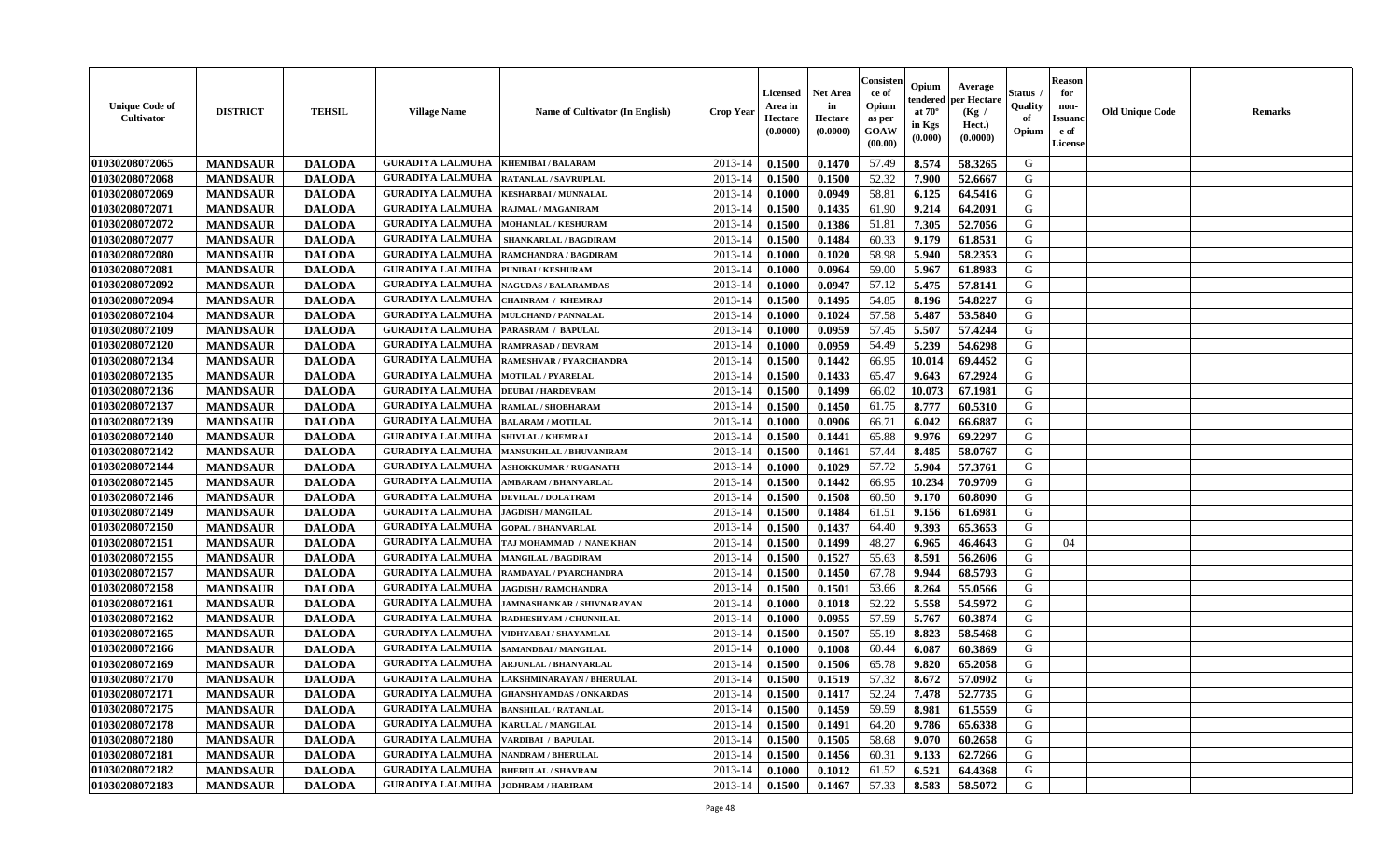| <b>Unique Code of</b><br>Cultivator | <b>DISTRICT</b> | <b>TEHSIL</b> | <b>Village Name</b>                          | <b>Name of Cultivator (In English)</b>          | Crop Year        | <b>Licensed</b><br>Area in<br>Hectare<br>(0.0000) | Net Area<br>in<br>Hectare<br>(0.0000) | Consister<br>ce of<br>Opium<br>as per<br>GOAW<br>(00.00) | Opium<br>endered<br>at $70^{\circ}$<br>in Kgs<br>$(\mathbf{0.000})$ | Average<br>per Hectare<br>(Kg /<br>Hect.)<br>(0.0000) | Status<br>Quality<br>of<br>Opium | <b>Reason</b><br>for<br>non-<br><b>Issuano</b><br>e of<br>License | <b>Old Unique Code</b> | <b>Remarks</b> |
|-------------------------------------|-----------------|---------------|----------------------------------------------|-------------------------------------------------|------------------|---------------------------------------------------|---------------------------------------|----------------------------------------------------------|---------------------------------------------------------------------|-------------------------------------------------------|----------------------------------|-------------------------------------------------------------------|------------------------|----------------|
| 01030208072065                      | <b>MANDSAUR</b> | <b>DALODA</b> | <b>GURADIYA LALMUHA</b>                      | <b>KHEMIBAI/BALARAM</b>                         | 2013-14          | 0.1500                                            | 0.1470                                | 57.49                                                    | 8.574                                                               | 58.3265                                               | G                                |                                                                   |                        |                |
| 01030208072068                      | <b>MANDSAUR</b> | <b>DALODA</b> | <b>GURADIYA LALMUHA</b>                      | RATANLAL / SAVRUPLAL                            | $2013 - 14$      | 0.1500                                            | 0.1500                                | 52.32                                                    | 7.900                                                               | 52.6667                                               | G                                |                                                                   |                        |                |
| 01030208072069                      | <b>MANDSAUR</b> | <b>DALODA</b> | <b>GURADIYA LALMUHA</b>                      | <b>KESHARBAI/MUNNALAL</b>                       | 2013-14          | 0.1000                                            | 0.0949                                | 58.81                                                    | 6.125                                                               | 64.5416                                               | G                                |                                                                   |                        |                |
| 01030208072071                      | <b>MANDSAUR</b> | <b>DALODA</b> | <b>GURADIYA LALMUHA</b>                      | RAJMAL / MAGANIRAM                              | 2013-14          | 0.1500                                            | 0.1435                                | 61.90                                                    | 9.214                                                               | 64.2091                                               | G                                |                                                                   |                        |                |
| 01030208072072                      | <b>MANDSAUR</b> | <b>DALODA</b> | <b>GURADIYA LALMUHA</b>                      | <b>MOHANLAL / KESHURAM</b>                      | 2013-14          | 0.1500                                            | 0.1386                                | 51.81                                                    | 7.305                                                               | 52.7056                                               | G                                |                                                                   |                        |                |
| 01030208072077                      | <b>MANDSAUR</b> | <b>DALODA</b> | <b>GURADIYA LALMUHA</b>                      | SHANKARLAL / BAGDIRAM                           | 2013-14          | 0.1500                                            | 0.1484                                | 60.33                                                    | 9.179                                                               | 61.8531                                               | G                                |                                                                   |                        |                |
| 01030208072080                      | <b>MANDSAUR</b> | <b>DALODA</b> | <b>GURADIYA LALMUHA</b>                      | RAMCHANDRA / BAGDIRAM                           | 2013-14          | 0.1000                                            | 0.1020                                | 58.98                                                    | 5.940                                                               | 58.2353                                               | G                                |                                                                   |                        |                |
| 01030208072081                      | <b>MANDSAUR</b> | <b>DALODA</b> | <b>GURADIYA LALMUHA</b>                      | PUNIBAI / KESHURAM                              | 2013-14          | 0.1000                                            | 0.0964                                | 59.00                                                    | 5.967                                                               | 61.8983                                               | G                                |                                                                   |                        |                |
| 01030208072092                      | <b>MANDSAUR</b> | <b>DALODA</b> | <b>GURADIYA LALMUHA</b>                      | <b>NAGUDAS / BALARAMDAS</b>                     | 2013-14          | 0.1000                                            | 0.0947                                | 57.12                                                    | 5.475                                                               | 57.8141                                               | G                                |                                                                   |                        |                |
| 01030208072094                      | <b>MANDSAUR</b> | <b>DALODA</b> | <b>GURADIYA LALMUHA</b>                      | CHAINRAM / KHEMRAJ                              | 2013-14          | 0.1500                                            | 0.1495                                | 54.85                                                    | 8.196                                                               | 54.8227                                               | G                                |                                                                   |                        |                |
| 01030208072104                      | <b>MANDSAUR</b> | <b>DALODA</b> | <b>GURADIYA LALMUHA</b>                      | <b>MULCHAND / PANNALAL</b>                      | 2013-14          | 0.1000                                            | 0.1024                                | 57.58                                                    | 5.487                                                               | 53.5840                                               | G                                |                                                                   |                        |                |
| 01030208072109                      | <b>MANDSAUR</b> | <b>DALODA</b> | <b>GURADIYA LALMUHA</b>                      | PARASRAM / BAPULAL                              | 2013-14          | 0.1000                                            | 0.0959                                | 57.45                                                    | 5.507                                                               | 57.4244                                               | G                                |                                                                   |                        |                |
| 01030208072120                      | <b>MANDSAUR</b> | <b>DALODA</b> | <b>GURADIYA LALMUHA</b>                      | <b>RAMPRASAD / DEVRAM</b>                       | 2013-14          | 0.1000                                            | 0.0959                                | 54.49                                                    | 5.239                                                               | 54.6298                                               | G                                |                                                                   |                        |                |
| 01030208072134                      | <b>MANDSAUR</b> | <b>DALODA</b> | <b>GURADIYA LALMUHA</b>                      | RAMESHVAR / PYARCHANDRA                         | 2013-14          | 0.1500                                            | 0.1442                                | 66.95                                                    | 10.014                                                              | 69.4452                                               | G                                |                                                                   |                        |                |
| 01030208072135                      | <b>MANDSAUR</b> | <b>DALODA</b> | <b>GURADIYA LALMUHA</b>                      | <b>MOTILAL / PYARELAL</b>                       | 2013-14          | 0.1500                                            | 0.1433                                | 65.47                                                    | 9.643                                                               | 67.2924                                               | G                                |                                                                   |                        |                |
| 01030208072136                      | <b>MANDSAUR</b> | <b>DALODA</b> | <b>GURADIYA LALMUHA</b>                      | <b>DEUBAI/HARDEVRAM</b>                         | 2013-14          | 0.1500                                            | 0.1499                                | 66.02                                                    | 10.073                                                              | 67.1981                                               | G                                |                                                                   |                        |                |
| 01030208072137                      | <b>MANDSAUR</b> | <b>DALODA</b> | <b>GURADIYA LALMUHA</b>                      | RAMLAL / SHOBHARAM                              | $2013 - 14$      | 0.1500                                            | 0.1450                                | 61.75                                                    | 8.777                                                               | 60.5310                                               | G                                |                                                                   |                        |                |
| 01030208072139                      | <b>MANDSAUR</b> | <b>DALODA</b> | <b>GURADIYA LALMUHA</b>                      | <b>BALARAM / MOTILAL</b>                        | 2013-14          | 0.1000                                            | 0.0906                                | 66.71                                                    | 6.042                                                               | 66.6887                                               | G                                |                                                                   |                        |                |
| 01030208072140                      | <b>MANDSAUR</b> | <b>DALODA</b> | <b>GURADIYA LALMUHA</b>                      | <b>SHIVLAL / KHEMRAJ</b>                        | 2013-14          | 0.1500                                            | 0.1441                                | 65.88                                                    | 9.976                                                               | 69,2297                                               | G                                |                                                                   |                        |                |
| 01030208072142                      | <b>MANDSAUR</b> | <b>DALODA</b> | <b>GURADIYA LALMUHA</b>                      | <b>MANSUKHLAL / BHUVANIRAM</b>                  | 2013-14          | 0.1500                                            | 0.1461                                | 57.44                                                    | 8.485                                                               | 58.0767                                               | G                                |                                                                   |                        |                |
| 01030208072144                      | <b>MANDSAUR</b> | <b>DALODA</b> | <b>GURADIYA LALMUHA</b>                      | <b>ASHOKKUMAR / RUGANATH</b>                    | 2013-14          | 0.1000                                            | 0.1029                                | 57.72                                                    | 5.904                                                               | 57.3761                                               | G                                |                                                                   |                        |                |
| 01030208072145                      | <b>MANDSAUR</b> | <b>DALODA</b> | <b>GURADIYA LALMUHA</b>                      | AMBARAM / BHANVARLAL                            | 2013-14          | 0.1500                                            | 0.1442                                | 66.95                                                    | 10.234                                                              | 70.9709                                               | G                                |                                                                   |                        |                |
| 01030208072146                      | <b>MANDSAUR</b> | <b>DALODA</b> | <b>GURADIYA LALMUHA</b>                      | <b>DEVILAL / DOLATRAM</b>                       | 2013-14          | 0.1500                                            | 0.1508                                | 60.50                                                    | 9.170                                                               | 60.8090                                               | G                                |                                                                   |                        |                |
| 01030208072149                      | <b>MANDSAUR</b> | <b>DALODA</b> | <b>GURADIYA LALMUHA</b>                      | <b>JAGDISH / MANGILAL</b>                       | 2013-14          | 0.1500                                            | 0.1484                                | 61.51                                                    | 9.156                                                               | 61.6981                                               | G                                |                                                                   |                        |                |
| 01030208072150                      | <b>MANDSAUR</b> | <b>DALODA</b> | <b>GURADIYA LALMUHA</b>                      | <b>GOPAL / BHANVARLAL</b>                       | 2013-14          | 0.1500                                            | 0.1437                                | 64.40                                                    | 9.393                                                               | 65.3653                                               | G                                |                                                                   |                        |                |
| 01030208072151                      | <b>MANDSAUR</b> | <b>DALODA</b> | <b>GURADIYA LALMUHA</b>                      | TAJ MOHAMMAD / NANE KHAN                        | 2013-14          | 0.1500                                            | 0.1499                                | 48.27                                                    | 6.965                                                               | 46.4643                                               | G                                | 04                                                                |                        |                |
| 01030208072155                      | <b>MANDSAUR</b> | <b>DALODA</b> | <b>GURADIYA LALMUHA</b>                      | <b>MANGILAL / BAGDIRAM</b>                      | 2013-14          | 0.1500                                            | 0.1527                                | 55.63                                                    | 8.591                                                               | 56.2606                                               | G                                |                                                                   |                        |                |
| 01030208072157                      | <b>MANDSAUR</b> | <b>DALODA</b> | <b>GURADIYA LALMUHA</b>                      | RAMDAYAL / PYARCHANDRA                          | $2013 - 14$      | 0.1500                                            | 0.1450                                | 67.78                                                    | 9.944                                                               | 68.5793                                               | G                                |                                                                   |                        |                |
| 01030208072158                      | <b>MANDSAUR</b> | <b>DALODA</b> | <b>GURADIYA LALMUHA</b>                      | <b>JAGDISH / RAMCHANDRA</b>                     | 2013-14          | 0.1500                                            | 0.1501                                | 53.66                                                    | 8.264                                                               | 55.0566                                               | G                                |                                                                   |                        |                |
| 01030208072161                      | <b>MANDSAUR</b> | <b>DALODA</b> | <b>GURADIYA LALMUHA</b>                      | <b>JAMNASHANKAR / SHIVNARAYAN</b>               | 2013-14          | 0.1000                                            | 0.1018                                | 52.22                                                    | 5.558                                                               | 54.5972                                               | G                                |                                                                   |                        |                |
| 01030208072162                      | <b>MANDSAUR</b> | <b>DALODA</b> | <b>GURADIYA LALMUHA</b>                      | RADHESHYAM / CHUNNILAL                          | 2013-14          | 0.1000                                            | 0.0955                                | 57.59                                                    | 5.767                                                               | 60.3874                                               | G                                |                                                                   |                        |                |
| 01030208072165                      | <b>MANDSAUR</b> | <b>DALODA</b> | <b>GURADIYA LALMUHA</b>                      | VIDHYABAI / SHAYAMLAL                           | 2013-14          | 0.1500                                            | 0.1507                                | 55.19                                                    | 8.823                                                               | 58.5468                                               | G                                |                                                                   |                        |                |
| 01030208072166                      | <b>MANDSAUR</b> | <b>DALODA</b> | <b>GURADIYA LALMUHA</b>                      | SAMANDBAI / MANGILAL                            | 2013-14          | 0.1000                                            | 0.1008                                | 60.44                                                    | 6.087                                                               | 60.3869                                               | G                                |                                                                   |                        |                |
| 01030208072169                      | <b>MANDSAUR</b> | <b>DALODA</b> | <b>GURADIYA LALMUHA</b>                      | <b>ARJUNLAL / BHANVARLAL</b>                    | $2013 - 14$      | 0.1500                                            | 0.1506                                | 65.78                                                    | 9.820                                                               | 65.2058                                               | G                                |                                                                   |                        |                |
| 01030208072170                      | <b>MANDSAUR</b> | <b>DALODA</b> | <b>GURADIYA LALMUHA</b>                      | LAKSHMINARAYAN / BHERULAL                       | 2013-14          | 0.1500                                            | 0.1519                                | 57.32                                                    | 8.672                                                               | 57.0902                                               | G                                |                                                                   |                        |                |
| 01030208072171                      | <b>MANDSAUR</b> | <b>DALODA</b> |                                              | <b>GURADIYA LALMUHA GHANSHYAMDAS / ONKARDAS</b> | $2013-14$ 0.1500 |                                                   | 0.1417                                | 52.24                                                    |                                                                     | 7.478   52.7735                                       | G                                |                                                                   |                        |                |
| 01030208072175                      | <b>MANDSAUR</b> | <b>DALODA</b> | <b>GURADIYA LALMUHA</b>                      | <b>BANSHILAL / RATANLAL</b>                     | 2013-14          | 0.1500                                            | 0.1459                                | 59.59                                                    | 8.981                                                               | 61.5559                                               | G                                |                                                                   |                        |                |
| 01030208072178                      | <b>MANDSAUR</b> | <b>DALODA</b> | <b>GURADIYA LALMUHA   KARULAL / MANGILAL</b> |                                                 | 2013-14          | 0.1500                                            | 0.1491                                | 64.20                                                    | 9.786                                                               | 65.6338                                               | G                                |                                                                   |                        |                |
| 01030208072180                      | <b>MANDSAUR</b> | <b>DALODA</b> | <b>GURADIYA LALMUHA</b>                      | VARDIBAI / BAPULAL                              | 2013-14          | 0.1500                                            | 0.1505                                | 58.68                                                    | 9.070                                                               | 60.2658                                               | G                                |                                                                   |                        |                |
| 01030208072181                      | <b>MANDSAUR</b> | <b>DALODA</b> | <b>GURADIYA LALMUHA   NANDRAM / BHERULAL</b> |                                                 | 2013-14          | 0.1500                                            | 0.1456                                | 60.31                                                    | 9.133                                                               | 62.7266                                               | G                                |                                                                   |                        |                |
| 01030208072182                      | <b>MANDSAUR</b> | <b>DALODA</b> | <b>GURADIYA LALMUHA</b>                      | <b>BHERULAL / SHAVRAM</b>                       | 2013-14          | 0.1000                                            | 0.1012                                | 61.52                                                    | 6.521                                                               | 64.4368                                               | G                                |                                                                   |                        |                |
| 01030208072183                      | <b>MANDSAUR</b> | <b>DALODA</b> | <b>GURADIYA LALMUHA JODHRAM / HARIRAM</b>    |                                                 | 2013-14          | 0.1500                                            | 0.1467                                | 57.33                                                    | 8.583                                                               | 58.5072                                               | G                                |                                                                   |                        |                |
|                                     |                 |               |                                              |                                                 |                  |                                                   |                                       |                                                          |                                                                     |                                                       |                                  |                                                                   |                        |                |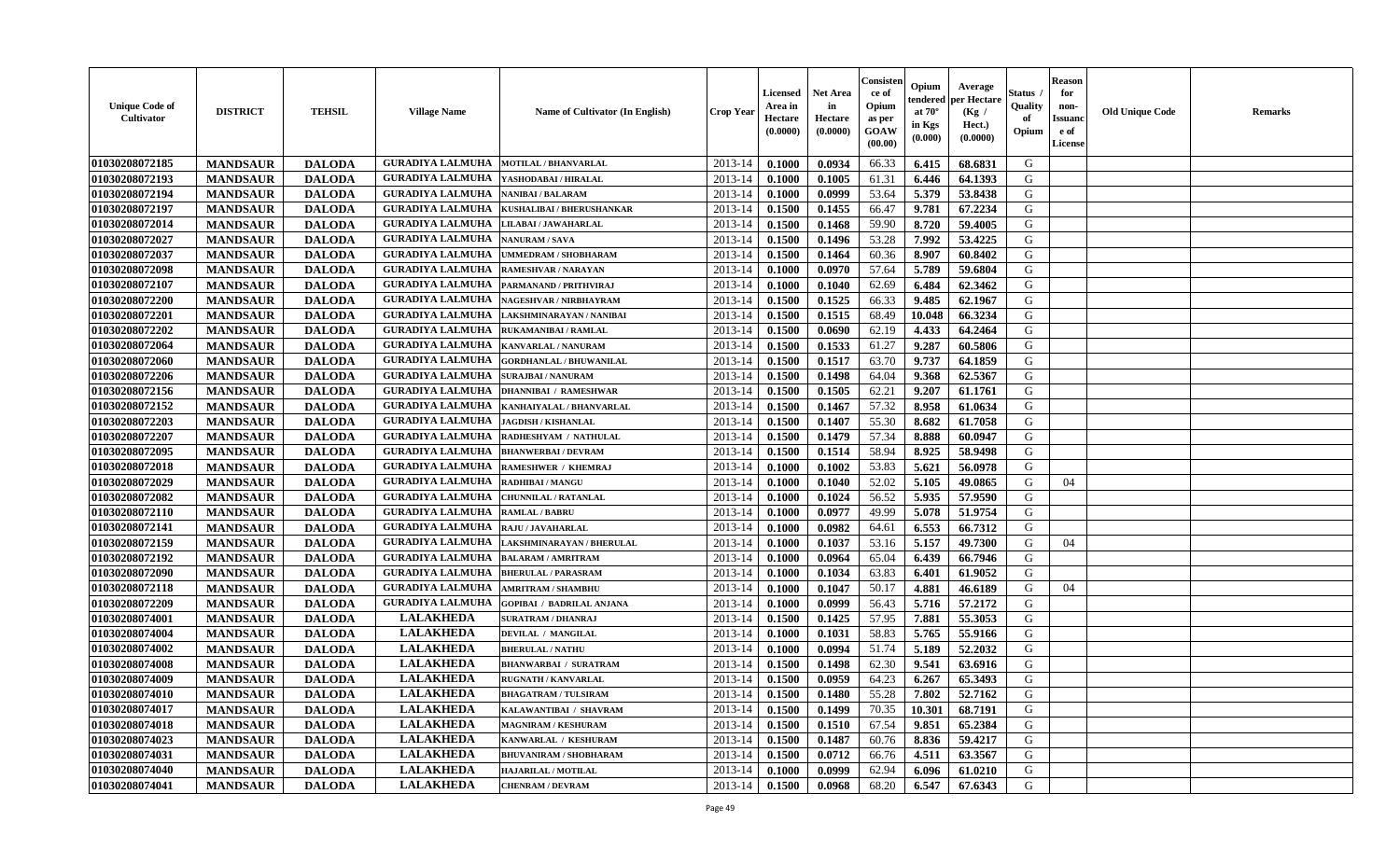| <b>Unique Code of</b><br><b>Cultivator</b> | <b>DISTRICT</b> | <b>TEHSIL</b> | <b>Village Name</b>     | <b>Name of Cultivator (In English)</b> | <b>Crop Year</b> | <b>Licensed</b><br>Area in<br>Hectare<br>(0.0000) | <b>Net Area</b><br>in<br>Hectare<br>(0.0000) | Consisteı<br>ce of<br>Opium<br>as per<br><b>GOAW</b><br>(00.00) | Opium<br>endered<br>at $70^\circ$<br>in Kgs<br>$(\mathbf{0.000})$ | Average<br>per Hectare<br>(Kg /<br>Hect.)<br>(0.0000) | Status<br>Quality<br>of<br>Opium | <b>Reason</b><br>for<br>non-<br>Issuan<br>e of<br><b>License</b> | <b>Old Unique Code</b> | <b>Remarks</b> |
|--------------------------------------------|-----------------|---------------|-------------------------|----------------------------------------|------------------|---------------------------------------------------|----------------------------------------------|-----------------------------------------------------------------|-------------------------------------------------------------------|-------------------------------------------------------|----------------------------------|------------------------------------------------------------------|------------------------|----------------|
| 01030208072185                             | <b>MANDSAUR</b> | <b>DALODA</b> | <b>GURADIYA LALMUHA</b> | <b>MOTILAL / BHANVARLAL</b>            | 2013-14          | 0.1000                                            | 0.0934                                       | 66.33                                                           | 6.415                                                             | 68.6831                                               | G                                |                                                                  |                        |                |
| 01030208072193                             | <b>MANDSAUR</b> | <b>DALODA</b> | <b>GURADIYA LALMUHA</b> | YASHODABAI / HIRALAL                   | 2013-14          | 0.1000                                            | 0.1005                                       | 61.31                                                           | 6.446                                                             | 64.1393                                               | G                                |                                                                  |                        |                |
| 01030208072194                             | <b>MANDSAUR</b> | <b>DALODA</b> | <b>GURADIYA LALMUHA</b> | <b>NANIBAI/BALARAM</b>                 | 2013-14          | 0.1000                                            | 0.0999                                       | 53.64                                                           | 5.379                                                             | 53.8438                                               | G                                |                                                                  |                        |                |
| 01030208072197                             | <b>MANDSAUR</b> | <b>DALODA</b> | <b>GURADIYA LALMUHA</b> | KUSHALIBAI / BHERUSHANKAR              | 2013-14          | 0.1500                                            | 0.1455                                       | 66.47                                                           | 9.781                                                             | 67.2234                                               | G                                |                                                                  |                        |                |
| 01030208072014                             | <b>MANDSAUR</b> | <b>DALODA</b> | <b>GURADIYA LALMUHA</b> | LILABAI / JAWAHARLAL                   | 2013-14          | 0.1500                                            | 0.1468                                       | 59.90                                                           | 8.720                                                             | 59.4005                                               | G                                |                                                                  |                        |                |
| 01030208072027                             | <b>MANDSAUR</b> | <b>DALODA</b> | <b>GURADIYA LALMUHA</b> | <b>NANURAM / SAVA</b>                  | 2013-14          | 0.1500                                            | 0.1496                                       | 53.28                                                           | 7.992                                                             | 53.4225                                               | G                                |                                                                  |                        |                |
| 01030208072037                             | <b>MANDSAUR</b> | <b>DALODA</b> | <b>GURADIYA LALMUHA</b> | <b>UMMEDRAM / SHOBHARAM</b>            | 2013-14          | 0.1500                                            | 0.1464                                       | 60.36                                                           | 8.907                                                             | 60.8402                                               | G                                |                                                                  |                        |                |
| 01030208072098                             | <b>MANDSAUR</b> | <b>DALODA</b> | <b>GURADIYA LALMUHA</b> | RAMESHVAR / NARAYAN                    | 2013-14          | 0.1000                                            | 0.0970                                       | 57.64                                                           | 5.789                                                             | 59.6804                                               | G                                |                                                                  |                        |                |
| 01030208072107                             | <b>MANDSAUR</b> | <b>DALODA</b> | <b>GURADIYA LALMUHA</b> | PARMANAND / PRITHVIRAJ                 | 2013-14          | 0.1000                                            | 0.1040                                       | 62.69                                                           | 6.484                                                             | 62.3462                                               | G                                |                                                                  |                        |                |
| 01030208072200                             | <b>MANDSAUR</b> | <b>DALODA</b> | <b>GURADIYA LALMUHA</b> | NAGESHVAR / NIRBHAYRAM                 | 2013-14          | 0.1500                                            | 0.1525                                       | 66.33                                                           | 9.485                                                             | 62.1967                                               | G                                |                                                                  |                        |                |
| 01030208072201                             | <b>MANDSAUR</b> | <b>DALODA</b> | <b>GURADIYA LALMUHA</b> | LAKSHMINARAYAN / NANIBAI               | 2013-14          | 0.1500                                            | 0.1515                                       | 68.49                                                           | 10.048                                                            | 66.3234                                               | G                                |                                                                  |                        |                |
| 01030208072202                             | <b>MANDSAUR</b> | <b>DALODA</b> | <b>GURADIYA LALMUHA</b> | RUKAMANIBAI / RAMLAL                   | 2013-14          | 0.1500                                            | 0.0690                                       | 62.19                                                           | 4.433                                                             | 64.2464                                               | G                                |                                                                  |                        |                |
| 01030208072064                             | <b>MANDSAUR</b> | <b>DALODA</b> | <b>GURADIYA LALMUHA</b> | KANVARLAL / NANURAM                    | 2013-14          | 0.1500                                            | 0.1533                                       | 61.27                                                           | 9.287                                                             | 60.5806                                               | G                                |                                                                  |                        |                |
| 01030208072060                             | <b>MANDSAUR</b> | <b>DALODA</b> | <b>GURADIYA LALMUHA</b> | <b>GORDHANLAL / BHUWANILAL</b>         | 2013-14          | 0.1500                                            | 0.1517                                       | 63.70                                                           | 9.737                                                             | 64.1859                                               | G                                |                                                                  |                        |                |
| 01030208072206                             | <b>MANDSAUR</b> | <b>DALODA</b> | <b>GURADIYA LALMUHA</b> | <b>SURAJBAI / NANURAM</b>              | 2013-14          | 0.1500                                            | 0.1498                                       | 64.04                                                           | 9.368                                                             | 62.5367                                               | G                                |                                                                  |                        |                |
| 01030208072156                             | <b>MANDSAUR</b> | <b>DALODA</b> | <b>GURADIYA LALMUHA</b> | <b>DHANNIBAI / RAMESHWAR</b>           | 2013-14          | 0.1500                                            | 0.1505                                       | 62.21                                                           | 9.207                                                             | 61.1761                                               | G                                |                                                                  |                        |                |
| 01030208072152                             | <b>MANDSAUR</b> | <b>DALODA</b> | <b>GURADIYA LALMUHA</b> | KANHAIYALAL / BHANVARLAL               | 2013-14          | 0.1500                                            | 0.1467                                       | 57.32                                                           | 8.958                                                             | 61.0634                                               | G                                |                                                                  |                        |                |
| 01030208072203                             | <b>MANDSAUR</b> | <b>DALODA</b> | <b>GURADIYA LALMUHA</b> | <b>JAGDISH / KISHANLAL</b>             | 2013-14          | 0.1500                                            | 0.1407                                       | 55.30                                                           | 8.682                                                             | 61.7058                                               | G                                |                                                                  |                        |                |
| 01030208072207                             | <b>MANDSAUR</b> | <b>DALODA</b> | <b>GURADIYA LALMUHA</b> | RADHESHYAM / NATHULAL                  | 2013-14          | 0.1500                                            | 0.1479                                       | 57.34                                                           | 8.888                                                             | 60.0947                                               | G                                |                                                                  |                        |                |
| 01030208072095                             | <b>MANDSAUR</b> | <b>DALODA</b> | <b>GURADIYA LALMUHA</b> | <b>BHANWERBAI/DEVRAM</b>               | 2013-14          | 0.1500                                            | 0.1514                                       | 58.94                                                           | 8.925                                                             | 58.9498                                               | G                                |                                                                  |                        |                |
| 01030208072018                             | <b>MANDSAUR</b> | <b>DALODA</b> | <b>GURADIYA LALMUHA</b> | <b>RAMESHWER / KHEMRAJ</b>             | 2013-14          | 0.1000                                            | 0.1002                                       | 53.83                                                           | 5.621                                                             | 56.0978                                               | G                                |                                                                  |                        |                |
| 01030208072029                             | <b>MANDSAUR</b> | <b>DALODA</b> | <b>GURADIYA LALMUHA</b> | <b>RADHIBAI / MANGU</b>                | 2013-14          | 0.1000                                            | 0.1040                                       | 52.02                                                           | 5.105                                                             | 49.0865                                               | G                                | 04                                                               |                        |                |
| 01030208072082                             | <b>MANDSAUR</b> | <b>DALODA</b> | <b>GURADIYA LALMUHA</b> | <b>CHUNNILAL / RATANLAL</b>            | 2013-14          | 0.1000                                            | 0.1024                                       | 56.52                                                           | 5.935                                                             | 57.9590                                               | G                                |                                                                  |                        |                |
| 01030208072110                             | <b>MANDSAUR</b> | <b>DALODA</b> | <b>GURADIYA LALMUHA</b> | <b>RAMLAL / BABRU</b>                  | 2013-14          | 0.1000                                            | 0.0977                                       | 49.99                                                           | 5.078                                                             | 51.9754                                               | G                                |                                                                  |                        |                |
| 01030208072141                             | <b>MANDSAUR</b> | <b>DALODA</b> | <b>GURADIYA LALMUHA</b> | RAJU / JAVAHARLAL                      | 2013-14          | 0.1000                                            | 0.0982                                       | 64.61                                                           | 6.553                                                             | 66.7312                                               | G                                |                                                                  |                        |                |
| 01030208072159                             | <b>MANDSAUR</b> | <b>DALODA</b> | <b>GURADIYA LALMUHA</b> | LAKSHMINARAYAN / BHERULAL              | 2013-14          | 0.1000                                            | 0.1037                                       | 53.16                                                           | 5.157                                                             | 49.7300                                               | G                                | 04                                                               |                        |                |
| 01030208072192                             | <b>MANDSAUR</b> | <b>DALODA</b> | <b>GURADIYA LALMUHA</b> | <b>BALARAM / AMRITRAM</b>              | 2013-14          | 0.1000                                            | 0.0964                                       | 65.04                                                           | 6.439                                                             | 66.7946                                               | G                                |                                                                  |                        |                |
| 01030208072090                             | <b>MANDSAUR</b> | <b>DALODA</b> | <b>GURADIYA LALMUHA</b> | <b>BHERULAL / PARASRAM</b>             | 2013-14          | 0.1000                                            | 0.1034                                       | 63.83                                                           | 6.401                                                             | 61.9052                                               | G                                |                                                                  |                        |                |
| 01030208072118                             | <b>MANDSAUR</b> | <b>DALODA</b> | <b>GURADIYA LALMUHA</b> | <b>AMRITRAM / SHAMBHU</b>              | 2013-14          | 0.1000                                            | 0.1047                                       | 50.17                                                           | 4.881                                                             | 46.6189                                               | G                                | 04                                                               |                        |                |
| 01030208072209                             | <b>MANDSAUR</b> | <b>DALODA</b> | <b>GURADIYA LALMUHA</b> | <b>GOPIBAI / BADRILAL ANJANA</b>       | 2013-14          | 0.1000                                            | 0.0999                                       | 56.43                                                           | 5.716                                                             | 57.2172                                               | G                                |                                                                  |                        |                |
| 01030208074001                             | <b>MANDSAUR</b> | <b>DALODA</b> | <b>LALAKHEDA</b>        | <b>SURATRAM / DHANRAJ</b>              | 2013-14          | 0.1500                                            | 0.1425                                       | 57.95                                                           | 7.881                                                             | 55.3053                                               | G                                |                                                                  |                        |                |
| 01030208074004                             | <b>MANDSAUR</b> | <b>DALODA</b> | <b>LALAKHEDA</b>        | DEVILAL / MANGILAL                     | 2013-14          | 0.1000                                            | 0.1031                                       | 58.83                                                           | 5.765                                                             | 55.9166                                               | G                                |                                                                  |                        |                |
| 01030208074002                             | <b>MANDSAUR</b> | <b>DALODA</b> | <b>LALAKHEDA</b>        | <b>BHERULAL / NATHU</b>                | 2013-14          | 0.1000                                            | 0.0994                                       | 51.74                                                           | 5.189                                                             | 52,2032                                               | G                                |                                                                  |                        |                |
| 01030208074008                             | <b>MANDSAUR</b> | <b>DALODA</b> | <b>LALAKHEDA</b>        | <b>BHANWARBAI / SURATRAM</b>           | 2013-14          | 0.1500                                            | 0.1498                                       | 62.30                                                           | 9.541                                                             | 63.6916                                               | G                                |                                                                  |                        |                |
| 01030208074009                             | <b>MANDSAUR</b> | <b>DALODA</b> | <b>LALAKHEDA</b>        | <b>RUGNATH / KANVARLAL</b>             | 2013-14          | 0.1500                                            | 0.0959                                       | 64.23                                                           | 6.267                                                             | 65.3493                                               | G                                |                                                                  |                        |                |
| 01030208074010                             | <b>MANDSAUR</b> | <b>DALODA</b> | <b>LALAKHEDA</b>        | <b>BHAGATRAM / TULSIRAM</b>            | $2013-14$ 0.1500 |                                                   | 0.1480                                       | 55.28                                                           | 7.802                                                             | 52.7162                                               | G                                |                                                                  |                        |                |
| 01030208074017                             | <b>MANDSAUR</b> | <b>DALODA</b> | <b>LALAKHEDA</b>        | KALAWANTIBAI / SHAVRAM                 | 2013-14          | 0.1500                                            | 0.1499                                       | 70.35                                                           | 10.301                                                            | 68.7191                                               | G                                |                                                                  |                        |                |
| 01030208074018                             | <b>MANDSAUR</b> | <b>DALODA</b> | <b>LALAKHEDA</b>        | <b>MAGNIRAM / KESHURAM</b>             | 2013-14          | 0.1500                                            | 0.1510                                       | 67.54                                                           | 9.851                                                             | 65.2384                                               | G                                |                                                                  |                        |                |
| 01030208074023                             | <b>MANDSAUR</b> | <b>DALODA</b> | <b>LALAKHEDA</b>        | KANWARLAL / KESHURAM                   | 2013-14          | 0.1500                                            | 0.1487                                       | 60.76                                                           | 8.836                                                             | 59.4217                                               | G                                |                                                                  |                        |                |
| 01030208074031                             | <b>MANDSAUR</b> | <b>DALODA</b> | <b>LALAKHEDA</b>        | <b>BHUVANIRAM / SHOBHARAM</b>          | 2013-14          | 0.1500                                            | 0.0712                                       | 66.76                                                           | 4.511                                                             | 63.3567                                               | G                                |                                                                  |                        |                |
| 01030208074040                             | <b>MANDSAUR</b> | <b>DALODA</b> | <b>LALAKHEDA</b>        | HAJARILAL / MOTILAL                    | 2013-14          | 0.1000                                            | 0.0999                                       | 62.94                                                           | 6.096                                                             | 61.0210                                               | G                                |                                                                  |                        |                |
| 01030208074041                             | <b>MANDSAUR</b> | <b>DALODA</b> | <b>LALAKHEDA</b>        | <b>CHENRAM / DEVRAM</b>                | 2013-14          | 0.1500                                            | 0.0968                                       | 68.20                                                           | 6.547                                                             | 67.6343                                               | G                                |                                                                  |                        |                |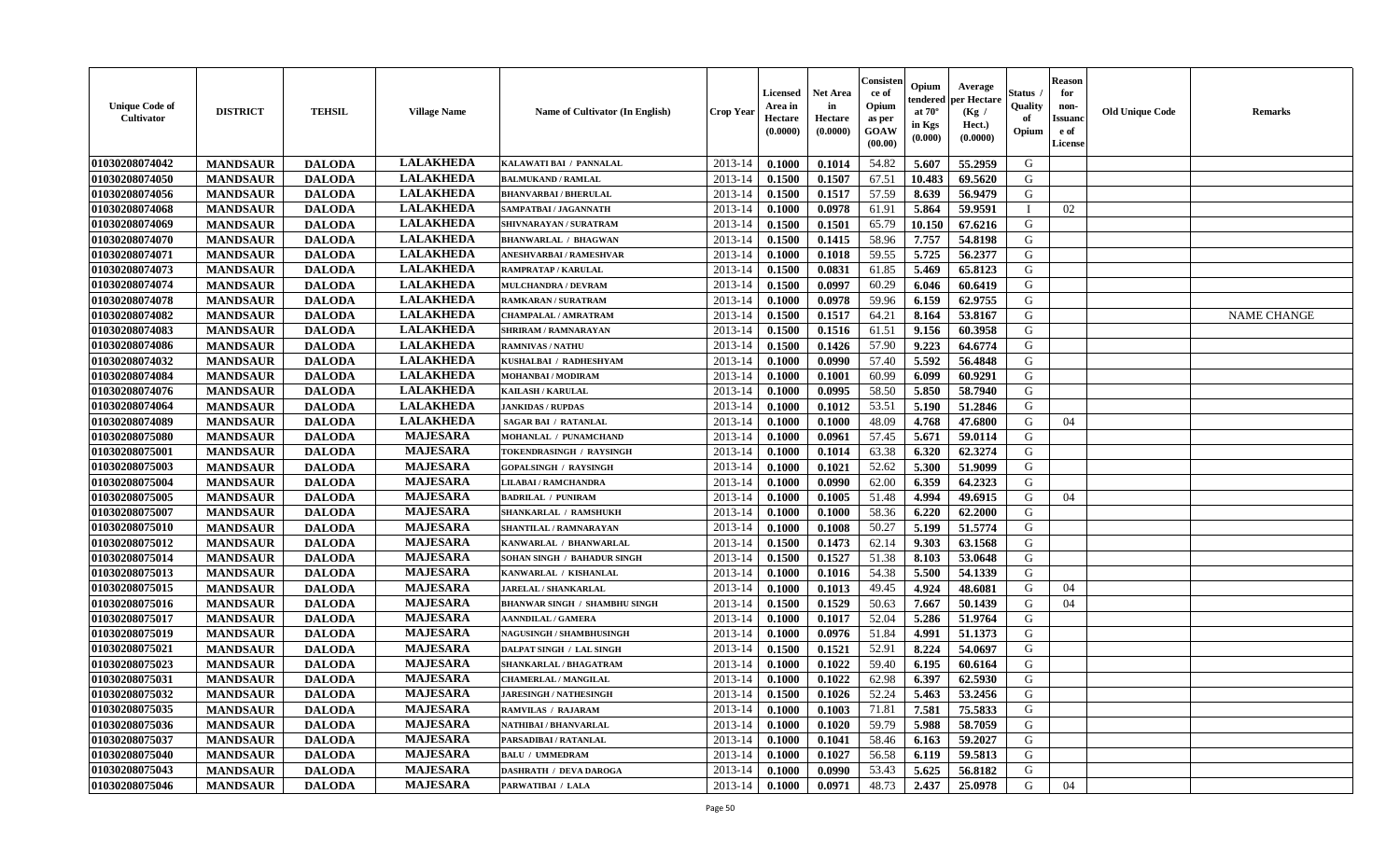| <b>Unique Code of</b><br><b>Cultivator</b> | <b>DISTRICT</b> | <b>TEHSIL</b> | <b>Village Name</b> | Name of Cultivator (In English)      | <b>Crop Year</b> | <b>Licensed</b><br>Area in<br>Hectare<br>(0.0000) | Net Area<br>in<br>Hectare<br>(0.0000) | Consisteı<br>ce of<br>Opium<br>as per<br>GOAW<br>(00.00) | Opium<br>endered<br>at $70^\circ$<br>in Kgs<br>(0.000) | Average<br>per Hectare<br>(Kg /<br>Hect.)<br>(0.0000) | Status<br>Quality<br>of<br>Opium | <b>Reason</b><br>for<br>non-<br><b>Issuand</b><br>e of<br>License | <b>Old Unique Code</b> | Remarks            |
|--------------------------------------------|-----------------|---------------|---------------------|--------------------------------------|------------------|---------------------------------------------------|---------------------------------------|----------------------------------------------------------|--------------------------------------------------------|-------------------------------------------------------|----------------------------------|-------------------------------------------------------------------|------------------------|--------------------|
| 01030208074042                             | <b>MANDSAUR</b> | <b>DALODA</b> | <b>LALAKHEDA</b>    | KALAWATI BAI / PANNALAL              | 2013-14          | 0.1000                                            | 0.1014                                | 54.82                                                    | 5.607                                                  | 55.2959                                               | G                                |                                                                   |                        |                    |
| 01030208074050                             | <b>MANDSAUR</b> | <b>DALODA</b> | <b>LALAKHEDA</b>    | <b>BALMUKAND / RAMLAL</b>            | 2013-14          | 0.1500                                            | 0.1507                                | 67.51                                                    | 10.483                                                 | 69.5620                                               | G                                |                                                                   |                        |                    |
| 01030208074056                             | <b>MANDSAUR</b> | <b>DALODA</b> | <b>LALAKHEDA</b>    | <b>BHANVARBAI/BHERULAL</b>           | 2013-14          | 0.1500                                            | 0.1517                                | 57.59                                                    | 8.639                                                  | 56.9479                                               | G                                |                                                                   |                        |                    |
| 01030208074068                             | <b>MANDSAUR</b> | <b>DALODA</b> | <b>LALAKHEDA</b>    | SAMPATBAI / JAGANNATH                | 2013-14          | 0.1000                                            | 0.0978                                | 61.91                                                    | 5.864                                                  | 59.9591                                               | $\mathbf{I}$                     | 02                                                                |                        |                    |
| 01030208074069                             | <b>MANDSAUR</b> | <b>DALODA</b> | <b>LALAKHEDA</b>    | SHIVNARAYAN / SURATRAM               | 2013-14          | 0.1500                                            | 0.1501                                | 65.79                                                    | 10.150                                                 | 67.6216                                               | G                                |                                                                   |                        |                    |
| 01030208074070                             | <b>MANDSAUR</b> | <b>DALODA</b> | <b>LALAKHEDA</b>    | <b>BHANWARLAL / BHAGWAN</b>          | 2013-14          | 0.1500                                            | 0.1415                                | 58.96                                                    | 7.757                                                  | 54.8198                                               | G                                |                                                                   |                        |                    |
| 01030208074071                             | <b>MANDSAUR</b> | <b>DALODA</b> | <b>LALAKHEDA</b>    | ANESHVARBAI / RAMESHVAR              | 2013-14          | 0.1000                                            | 0.1018                                | 59.55                                                    | 5.725                                                  | 56.2377                                               | G                                |                                                                   |                        |                    |
| 01030208074073                             | <b>MANDSAUR</b> | <b>DALODA</b> | <b>LALAKHEDA</b>    | <b>RAMPRATAP / KARULAL</b>           | 2013-14          | 0.1500                                            | 0.0831                                | 61.85                                                    | 5.469                                                  | 65.8123                                               | G                                |                                                                   |                        |                    |
| 01030208074074                             | <b>MANDSAUR</b> | <b>DALODA</b> | <b>LALAKHEDA</b>    | <b>MULCHANDRA / DEVRAM</b>           | 2013-14          | 0.1500                                            | 0.0997                                | 60.29                                                    | 6.046                                                  | 60.6419                                               | G                                |                                                                   |                        |                    |
| 01030208074078                             | <b>MANDSAUR</b> | <b>DALODA</b> | <b>LALAKHEDA</b>    | <b>RAMKARAN / SURATRAM</b>           | 2013-14          | 0.1000                                            | 0.0978                                | 59.96                                                    | 6.159                                                  | 62.9755                                               | G                                |                                                                   |                        |                    |
| 01030208074082                             | <b>MANDSAUR</b> | <b>DALODA</b> | <b>LALAKHEDA</b>    | <b>CHAMPALAL / AMRATRAM</b>          | 2013-14          | 0.1500                                            | 0.1517                                | 64.21                                                    | 8.164                                                  | 53.8167                                               | G                                |                                                                   |                        | <b>NAME CHANGE</b> |
| 01030208074083                             | <b>MANDSAUR</b> | <b>DALODA</b> | <b>LALAKHEDA</b>    | <b>SHRIRAM / RAMNARAYAN</b>          | 2013-14          | 0.1500                                            | 0.1516                                | 61.51                                                    | 9.156                                                  | 60.3958                                               | G                                |                                                                   |                        |                    |
| 01030208074086                             | <b>MANDSAUR</b> | <b>DALODA</b> | <b>LALAKHEDA</b>    | <b>RAMNIVAS / NATHU</b>              | 2013-14          | 0.1500                                            | 0.1426                                | 57.90                                                    | 9.223                                                  | 64.6774                                               | G                                |                                                                   |                        |                    |
| 01030208074032                             | <b>MANDSAUR</b> | <b>DALODA</b> | <b>LALAKHEDA</b>    | KUSHALBAI / RADHESHYAM               | 2013-14          | 0.1000                                            | 0.0990                                | 57.40                                                    | 5.592                                                  | 56.4848                                               | G                                |                                                                   |                        |                    |
| 01030208074084                             | <b>MANDSAUR</b> | <b>DALODA</b> | <b>LALAKHEDA</b>    | <b>MOHANBAI/MODIRAM</b>              | 2013-14          | 0.1000                                            | 0.1001                                | 60.99                                                    | 6.099                                                  | 60.9291                                               | $\mathbf G$                      |                                                                   |                        |                    |
| 01030208074076                             | <b>MANDSAUR</b> | <b>DALODA</b> | <b>LALAKHEDA</b>    | <b>KAILASH / KARULAL</b>             | 2013-14          | 0.1000                                            | 0.0995                                | 58.50                                                    | 5.850                                                  | 58.7940                                               | G                                |                                                                   |                        |                    |
| 01030208074064                             | <b>MANDSAUR</b> | <b>DALODA</b> | <b>LALAKHEDA</b>    | <b>JANKIDAS / RUPDAS</b>             | 2013-14          | 0.1000                                            | 0.1012                                | 53.51                                                    | 5.190                                                  | 51.2846                                               | G                                |                                                                   |                        |                    |
| 01030208074089                             | <b>MANDSAUR</b> | <b>DALODA</b> | <b>LALAKHEDA</b>    | <b>SAGAR BAI / RATANLAL</b>          | 2013-14          | 0.1000                                            | 0.1000                                | 48.09                                                    | 4.768                                                  | 47.6800                                               | G                                | 04                                                                |                        |                    |
| 01030208075080                             | <b>MANDSAUR</b> | <b>DALODA</b> | <b>MAJESARA</b>     | MOHANLAL / PUNAMCHAND                | 2013-14          | 0.1000                                            | 0.0961                                | 57.45                                                    | 5.671                                                  | 59.0114                                               | G                                |                                                                   |                        |                    |
| 01030208075001                             | <b>MANDSAUR</b> | <b>DALODA</b> | <b>MAJESARA</b>     | TOKENDRASINGH / RAYSINGH             | 2013-14          | 0.1000                                            | 0.1014                                | 63.38                                                    | 6.320                                                  | 62.3274                                               | G                                |                                                                   |                        |                    |
| 01030208075003                             | <b>MANDSAUR</b> | <b>DALODA</b> | <b>MAJESARA</b>     | <b>GOPALSINGH / RAYSINGH</b>         | 2013-14          | 0.1000                                            | 0.1021                                | 52.62                                                    | 5.300                                                  | 51.9099                                               | G                                |                                                                   |                        |                    |
| 01030208075004                             | <b>MANDSAUR</b> | <b>DALODA</b> | <b>MAJESARA</b>     | <b>LILABAI/RAMCHANDRA</b>            | 2013-14          | 0.1000                                            | 0.0990                                | 62.00                                                    | 6.359                                                  | 64.2323                                               | G                                |                                                                   |                        |                    |
| 01030208075005                             | <b>MANDSAUR</b> | <b>DALODA</b> | <b>MAJESARA</b>     | <b>BADRILAL / PUNIRAM</b>            | 2013-14          | 0.1000                                            | 0.1005                                | 51.48                                                    | 4.994                                                  | 49.6915                                               | G                                | 04                                                                |                        |                    |
| 01030208075007                             | <b>MANDSAUR</b> | <b>DALODA</b> | <b>MAJESARA</b>     | SHANKARLAL / RAMSHUKH                | 2013-14          | 0.1000                                            | 0.1000                                | 58.36                                                    | 6.220                                                  | 62.2000                                               | G                                |                                                                   |                        |                    |
| 01030208075010                             | <b>MANDSAUR</b> | <b>DALODA</b> | <b>MAJESARA</b>     | <b>SHANTILAL / RAMNARAYAN</b>        | 2013-14          | 0.1000                                            | 0.1008                                | 50.27                                                    | 5.199                                                  | 51.5774                                               | G                                |                                                                   |                        |                    |
| 01030208075012                             | <b>MANDSAUR</b> | <b>DALODA</b> | <b>MAJESARA</b>     | KANWARLAL / BHANWARLAL               | 2013-14          | 0.1500                                            | 0.1473                                | 62.14                                                    | 9.303                                                  | 63.1568                                               | G                                |                                                                   |                        |                    |
| 01030208075014                             | <b>MANDSAUR</b> | <b>DALODA</b> | <b>MAJESARA</b>     | SOHAN SINGH / BAHADUR SINGH          | 2013-14          | 0.1500                                            | 0.1527                                | 51.38                                                    | 8.103                                                  | 53.0648                                               | G                                |                                                                   |                        |                    |
| 01030208075013                             | <b>MANDSAUR</b> | <b>DALODA</b> | <b>MAJESARA</b>     | KANWARLAL / KISHANLAL                | 2013-14          | 0.1000                                            | 0.1016                                | 54.38                                                    | 5.500                                                  | 54.1339                                               | G                                |                                                                   |                        |                    |
| 01030208075015                             | <b>MANDSAUR</b> | <b>DALODA</b> | <b>MAJESARA</b>     | <b>JARELAL / SHANKARLAL</b>          | 2013-14          | 0.1000                                            | 0.1013                                | 49.45                                                    | 4.924                                                  | 48.6081                                               | G                                | 04                                                                |                        |                    |
| 01030208075016                             | <b>MANDSAUR</b> | <b>DALODA</b> | <b>MAJESARA</b>     | <b>BHANWAR SINGH / SHAMBHU SINGH</b> | 2013-14          | 0.1500                                            | 0.1529                                | 50.63                                                    | 7.667                                                  | 50.1439                                               | G                                | 04                                                                |                        |                    |
| 01030208075017                             | <b>MANDSAUR</b> | <b>DALODA</b> | <b>MAJESARA</b>     | <b>AANNDILAL / GAMERA</b>            | 2013-14          | 0.1000                                            | 0.1017                                | 52.04                                                    | 5.286                                                  | 51.9764                                               | G                                |                                                                   |                        |                    |
| 01030208075019                             | <b>MANDSAUR</b> | <b>DALODA</b> | <b>MAJESARA</b>     | <b>NAGUSINGH / SHAMBHUSINGH</b>      | 2013-14          | 0.1000                                            | 0.0976                                | 51.84                                                    | 4.991                                                  | 51.1373                                               | G                                |                                                                   |                        |                    |
| 01030208075021                             | <b>MANDSAUR</b> | <b>DALODA</b> | <b>MAJESARA</b>     | DALPAT SINGH / LAL SINGH             | 2013-14          | 0.1500                                            | 0.1521                                | 52.91                                                    | 8.224                                                  | 54.0697                                               | G                                |                                                                   |                        |                    |
| 01030208075023                             | <b>MANDSAUR</b> | <b>DALODA</b> | <b>MAJESARA</b>     | SHANKARLAL / BHAGATRAM               | 2013-14          | 0.1000                                            | 0.1022                                | 59.40                                                    | 6.195                                                  | 60.6164                                               | G                                |                                                                   |                        |                    |
| 01030208075031                             | <b>MANDSAUR</b> | <b>DALODA</b> | <b>MAJESARA</b>     | <b>CHAMERLAL / MANGILAL</b>          | 2013-14          | 0.1000                                            | 0.1022                                | 62.98                                                    | 6.397                                                  | 62.5930                                               | G                                |                                                                   |                        |                    |
| 01030208075032                             | <b>MANDSAUR</b> | <b>DALODA</b> | <b>MAJESARA</b>     | <b>JARESINGH / NATHESINGH</b>        | 2013-14          | 0.1500                                            | 0.1026                                | 52.24                                                    | 5.463                                                  | 53.2456                                               | G                                |                                                                   |                        |                    |
| 01030208075035                             | <b>MANDSAUR</b> | <b>DALODA</b> | <b>MAJESARA</b>     | <b>RAMVILAS / RAJARAM</b>            | 2013-14          | 0.1000                                            | 0.1003                                | 71.81                                                    | 7.581                                                  | 75.5833                                               | G                                |                                                                   |                        |                    |
| 01030208075036                             | <b>MANDSAUR</b> | <b>DALODA</b> | <b>MAJESARA</b>     | NATHIBAI / BHANVARLAL                | 2013-14          | 0.1000                                            | 0.1020                                | 59.79                                                    | 5.988                                                  | 58.7059                                               | G                                |                                                                   |                        |                    |
| 01030208075037                             | <b>MANDSAUR</b> | <b>DALODA</b> | <b>MAJESARA</b>     | PARSADIBAI / RATANLAL                | 2013-14          | 0.1000                                            | 0.1041                                | 58.46                                                    | 6.163                                                  | 59.2027                                               | G                                |                                                                   |                        |                    |
| 01030208075040                             | <b>MANDSAUR</b> | <b>DALODA</b> | <b>MAJESARA</b>     | <b>BALU / UMMEDRAM</b>               | 2013-14          | 0.1000                                            | 0.1027                                | 56.58                                                    | 6.119                                                  | 59.5813                                               | ${\bf G}$                        |                                                                   |                        |                    |
| 01030208075043                             | <b>MANDSAUR</b> | <b>DALODA</b> | <b>MAJESARA</b>     | <b>DASHRATH / DEVA DAROGA</b>        | 2013-14          | 0.1000                                            | 0.0990                                | 53.43                                                    | 5.625                                                  | 56.8182                                               | G                                |                                                                   |                        |                    |
| 01030208075046                             | <b>MANDSAUR</b> | <b>DALODA</b> | <b>MAJESARA</b>     | PARWATIBAI / LALA                    | 2013-14          | 0.1000                                            | 0.0971                                | 48.73                                                    | 2.437                                                  | 25.0978                                               | G                                | 04                                                                |                        |                    |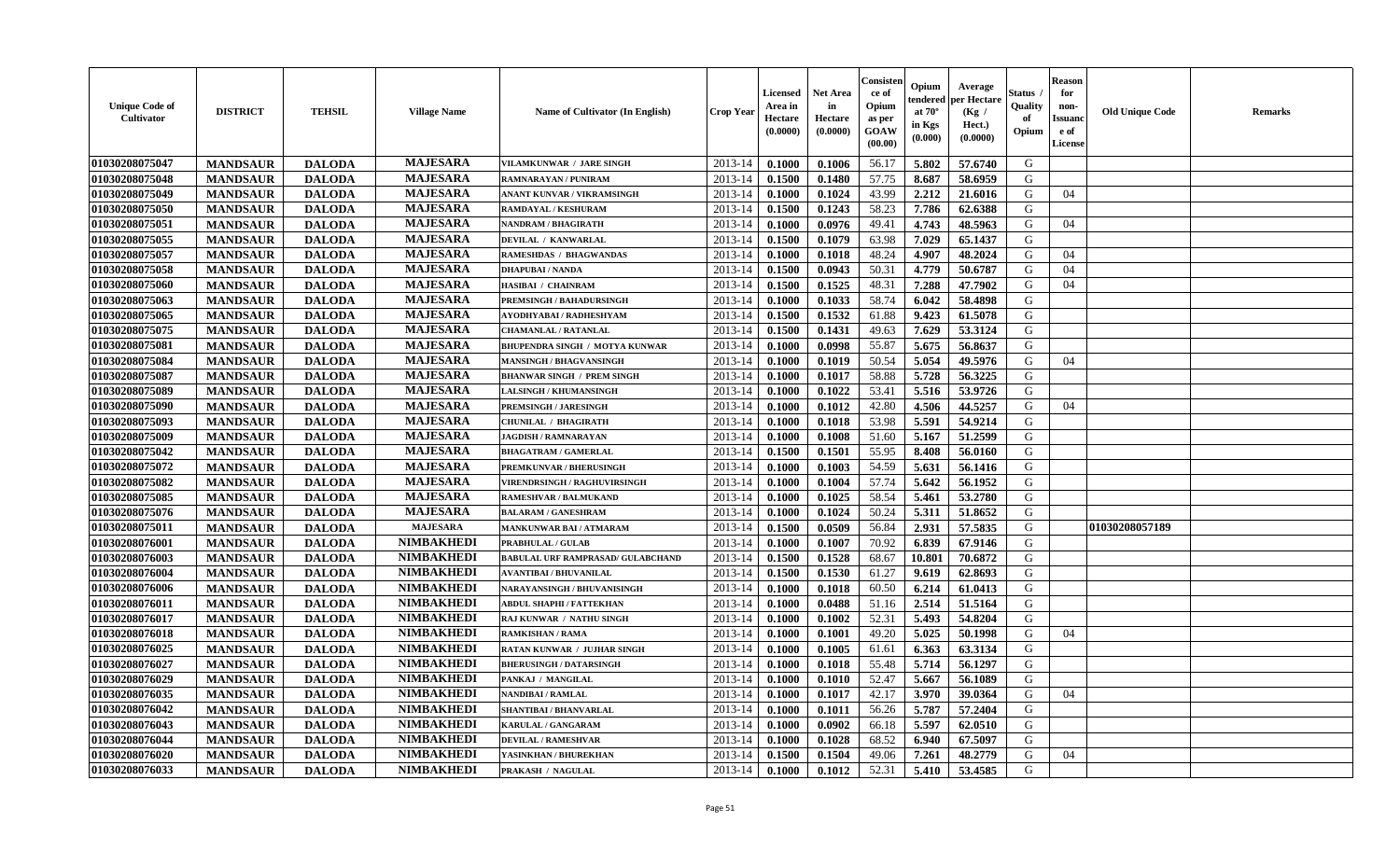| <b>Unique Code of</b><br>Cultivator | <b>DISTRICT</b> | <b>TEHSIL</b> | <b>Village Name</b> | Name of Cultivator (In English)          | <b>Crop Year</b> | Licensed<br>Area in<br>Hectare<br>(0.0000) | Net Area<br>in<br>Hectare<br>(0.0000) | Consisten<br>ce of<br>Opium<br>as per<br><b>GOAW</b><br>(00.00) | Opium<br>endered<br>at $70^\circ$<br>in Kgs<br>(0.000) | Average<br>per Hectare<br>(Kg /<br>Hect.)<br>(0.0000) | Status<br>Quality<br>of<br>Opium | <b>Reason</b><br>for<br>non-<br><b>Issuanc</b><br>e of<br>License | <b>Old Unique Code</b> | <b>Remarks</b> |
|-------------------------------------|-----------------|---------------|---------------------|------------------------------------------|------------------|--------------------------------------------|---------------------------------------|-----------------------------------------------------------------|--------------------------------------------------------|-------------------------------------------------------|----------------------------------|-------------------------------------------------------------------|------------------------|----------------|
| 01030208075047                      | <b>MANDSAUR</b> | <b>DALODA</b> | <b>MAJESARA</b>     | <b>VILAMKUNWAR / JARE SINGH</b>          | 2013-14          | 0.1000                                     | 0.1006                                | 56.17                                                           | 5.802                                                  | 57.6740                                               | G                                |                                                                   |                        |                |
| 01030208075048                      | <b>MANDSAUR</b> | <b>DALODA</b> | <b>MAJESARA</b>     | RAMNARAYAN / PUNIRAM                     | $2013 - 14$      | 0.1500                                     | 0.1480                                | 57.75                                                           | 8.687                                                  | 58.6959                                               | G                                |                                                                   |                        |                |
| 01030208075049                      | <b>MANDSAUR</b> | <b>DALODA</b> | <b>MAJESARA</b>     | ANANT KUNVAR / VIKRAMSINGH               | 2013-14          | 0.1000                                     | 0.1024                                | 43.99                                                           | 2.212                                                  | 21.6016                                               | G                                | 04                                                                |                        |                |
| 01030208075050                      | <b>MANDSAUR</b> | <b>DALODA</b> | <b>MAJESARA</b>     | RAMDAYAL / KESHURAM                      | 2013-14          | 0.1500                                     | 0.1243                                | 58.23                                                           | 7.786                                                  | 62.6388                                               | G                                |                                                                   |                        |                |
| 01030208075051                      | <b>MANDSAUR</b> | <b>DALODA</b> | <b>MAJESARA</b>     | NANDRAM / BHAGIRATH                      | 2013-14          | 0.1000                                     | 0.0976                                | 49.41                                                           | 4.743                                                  | 48.5963                                               | G                                | 04                                                                |                        |                |
| 01030208075055                      | <b>MANDSAUR</b> | <b>DALODA</b> | <b>MAJESARA</b>     | DEVILAL / KANWARLAL                      | 2013-14          | 0.1500                                     | 0.1079                                | 63.98                                                           | 7.029                                                  | 65.1437                                               | G                                |                                                                   |                        |                |
| 01030208075057                      | <b>MANDSAUR</b> | <b>DALODA</b> | <b>MAJESARA</b>     | RAMESHDAS / BHAGWANDAS                   | $2013 - 14$      | 0.1000                                     | 0.1018                                | 48.24                                                           | 4.907                                                  | 48.2024                                               | G                                | 04                                                                |                        |                |
| 01030208075058                      | <b>MANDSAUR</b> | <b>DALODA</b> | <b>MAJESARA</b>     | <b>DHAPUBAI/NANDA</b>                    | 2013-14          | 0.1500                                     | 0.0943                                | 50.31                                                           | 4.779                                                  | 50.6787                                               | G                                | 04                                                                |                        |                |
| 01030208075060                      | <b>MANDSAUR</b> | <b>DALODA</b> | <b>MAJESARA</b>     | HASIBAI / CHAINRAM                       | 2013-14          | 0.1500                                     | 0.1525                                | 48.31                                                           | 7.288                                                  | 47.7902                                               | G                                | 04                                                                |                        |                |
| 01030208075063                      | <b>MANDSAUR</b> | <b>DALODA</b> | <b>MAJESARA</b>     | PREMSINGH / BAHADURSINGH                 | 2013-14          | 0.1000                                     | 0.1033                                | 58.74                                                           | 6.042                                                  | 58.4898                                               | G                                |                                                                   |                        |                |
| 01030208075065                      | <b>MANDSAUR</b> | <b>DALODA</b> | <b>MAJESARA</b>     | AYODHYABAI / RADHESHYAM                  | 2013-14          | 0.1500                                     | 0.1532                                | 61.88                                                           | 9.423                                                  | 61.5078                                               | G                                |                                                                   |                        |                |
| 01030208075075                      | <b>MANDSAUR</b> | <b>DALODA</b> | <b>MAJESARA</b>     | <b>CHAMANLAL / RATANLAL</b>              | $2013 - 14$      | 0.1500                                     | 0.1431                                | 49.63                                                           | 7.629                                                  | 53.3124                                               | G                                |                                                                   |                        |                |
| 01030208075081                      | <b>MANDSAUR</b> | <b>DALODA</b> | <b>MAJESARA</b>     | BHUPENDRA SINGH / MOTYA KUNWAR           | $2013 - 14$      | 0.1000                                     | 0.0998                                | 55.87                                                           | 5.675                                                  | 56.8637                                               | G                                |                                                                   |                        |                |
| 01030208075084                      | <b>MANDSAUR</b> | <b>DALODA</b> | <b>MAJESARA</b>     | <b>MANSINGH / BHAGVANSINGH</b>           | 2013-14          | 0.1000                                     | 0.1019                                | 50.54                                                           | 5.054                                                  | 49.5976                                               | G                                | 04                                                                |                        |                |
| 01030208075087                      | <b>MANDSAUR</b> | <b>DALODA</b> | <b>MAJESARA</b>     | <b>BHANWAR SINGH / PREM SINGH</b>        | 2013-14          | 0.1000                                     | 0.1017                                | 58.88                                                           | 5.728                                                  | 56.3225                                               | G                                |                                                                   |                        |                |
| 01030208075089                      | <b>MANDSAUR</b> | <b>DALODA</b> | <b>MAJESARA</b>     | LALSINGH / KHUMANSINGH                   | 2013-14          | 0.1000                                     | 0.1022                                | 53.41                                                           | 5.516                                                  | 53.9726                                               | G                                |                                                                   |                        |                |
| 01030208075090                      | <b>MANDSAUR</b> | <b>DALODA</b> | <b>MAJESARA</b>     | <b>PREMSINGH / JARESINGH</b>             | 2013-14          | 0.1000                                     | 0.1012                                | 42.80                                                           | 4.506                                                  | 44,5257                                               | G                                | 04                                                                |                        |                |
| 01030208075093                      | <b>MANDSAUR</b> | <b>DALODA</b> | <b>MAJESARA</b>     | <b>CHUNILAL / BHAGIRATH</b>              | $2013 - 14$      | 0.1000                                     | 0.1018                                | 53.98                                                           | 5.591                                                  | 54.9214                                               | G                                |                                                                   |                        |                |
| 01030208075009                      | <b>MANDSAUR</b> | <b>DALODA</b> | <b>MAJESARA</b>     | JAGDISH / RAMNARAYAN                     | $2013 - 14$      | 0.1000                                     | 0.1008                                | 51.60                                                           | 5.167                                                  | 51.2599                                               | ${\bf G}$                        |                                                                   |                        |                |
| 01030208075042                      | <b>MANDSAUR</b> | <b>DALODA</b> | <b>MAJESARA</b>     | <b>BHAGATRAM / GAMERLAL</b>              | 2013-14          | 0.1500                                     | 0.1501                                | 55.95                                                           | 8.408                                                  | 56.0160                                               | G                                |                                                                   |                        |                |
| 01030208075072                      | <b>MANDSAUR</b> | <b>DALODA</b> | <b>MAJESARA</b>     | PREMKUNVAR / BHERUSINGH                  | 2013-14          | 0.1000                                     | 0.1003                                | 54.59                                                           | 5.631                                                  | 56.1416                                               | G                                |                                                                   |                        |                |
| 01030208075082                      | <b>MANDSAUR</b> | <b>DALODA</b> | <b>MAJESARA</b>     | <b>VIRENDRSINGH / RAGHUVIRSINGH</b>      | 2013-14          | 0.1000                                     | 0.1004                                | 57.74                                                           | 5.642                                                  | 56.1952                                               | G                                |                                                                   |                        |                |
| 01030208075085                      | <b>MANDSAUR</b> | <b>DALODA</b> | <b>MAJESARA</b>     | <b>RAMESHVAR / BALMUKAND</b>             | 2013-14          | 0.1000                                     | 0.1025                                | 58.54                                                           | 5.461                                                  | 53.2780                                               | G                                |                                                                   |                        |                |
| 01030208075076                      | <b>MANDSAUR</b> | <b>DALODA</b> | <b>MAJESARA</b>     | <b>BALARAM / GANESHRAM</b>               | $2013 - 14$      | 0.1000                                     | 0.1024                                | 50.24                                                           | 5.311                                                  | 51.8652                                               | G                                |                                                                   |                        |                |
| 01030208075011                      | <b>MANDSAUR</b> | <b>DALODA</b> | <b>MAJESARA</b>     | <b>MANKUNWAR BAI/ATMARAM</b>             | 2013-14          | 0.1500                                     | 0.0509                                | 56.84                                                           | 2.931                                                  | 57.5835                                               | G                                |                                                                   | 01030208057189         |                |
| 01030208076001                      | <b>MANDSAUR</b> | <b>DALODA</b> | <b>NIMBAKHEDI</b>   | <b>PRABHULAL / GULAB</b>                 | $2013 - 14$      | 0.1000                                     | 0.1007                                | 70.92                                                           | 6.839                                                  | 67.9146                                               | G                                |                                                                   |                        |                |
| 01030208076003                      | <b>MANDSAUR</b> | <b>DALODA</b> | <b>NIMBAKHEDI</b>   | <b>BABULAL URF RAMPRASAD/ GULABCHAND</b> | 2013-14          | 0.1500                                     | 0.1528                                | 68.67                                                           | 10.801                                                 | 70.6872                                               | G                                |                                                                   |                        |                |
| 01030208076004                      | <b>MANDSAUR</b> | <b>DALODA</b> | <b>NIMBAKHEDI</b>   | <b>AVANTIBAI / BHUVANILAL</b>            | 2013-14          | 0.1500                                     | 0.1530                                | 61.27                                                           | 9.619                                                  | 62.8693                                               | G                                |                                                                   |                        |                |
| 01030208076006                      | <b>MANDSAUR</b> | <b>DALODA</b> | <b>NIMBAKHEDI</b>   | NARAYANSINGH / BHUVANISINGH              | $2013 - 14$      | 0.1000                                     | 0.1018                                | 60.50                                                           | 6.214                                                  | 61.0413                                               | G                                |                                                                   |                        |                |
| 01030208076011                      | <b>MANDSAUR</b> | <b>DALODA</b> | <b>NIMBAKHEDI</b>   | <b>ABDUL SHAPHI / FATTEKHAN</b>          | $2013 - 14$      | 0.1000                                     | 0.0488                                | 51.16                                                           | 2.514                                                  | 51.5164                                               | G                                |                                                                   |                        |                |
| 01030208076017                      | <b>MANDSAUR</b> | <b>DALODA</b> | <b>NIMBAKHEDI</b>   | RAJ KUNWAR / NATHU SINGH                 | 2013-14          | 0.1000                                     | 0.1002                                | 52.31                                                           | 5.493                                                  | 54.8204                                               | G                                |                                                                   |                        |                |
| 01030208076018                      | <b>MANDSAUR</b> | <b>DALODA</b> | <b>NIMBAKHEDI</b>   | <b>RAMKISHAN / RAMA</b>                  | 2013-14          | 0.1000                                     | 0.1001                                | 49.20                                                           | 5.025                                                  | 50.1998                                               | G                                | 04                                                                |                        |                |
| 01030208076025                      | <b>MANDSAUR</b> | <b>DALODA</b> | <b>NIMBAKHEDI</b>   | <b>RATAN KUNWAR / JUJHAR SINGH</b>       | 2013-14          | 0.1000                                     | 0.1005                                | 61.61                                                           | 6.363                                                  | 63.3134                                               | G                                |                                                                   |                        |                |
| 01030208076027                      | <b>MANDSAUR</b> | <b>DALODA</b> | <b>NIMBAKHEDI</b>   | <b>BHERUSINGH / DATARSINGH</b>           | 2013-14          | 0.1000                                     | 0.1018                                | 55.48                                                           | 5.714                                                  | 56.1297                                               | G                                |                                                                   |                        |                |
| 01030208076029                      | <b>MANDSAUR</b> | <b>DALODA</b> | <b>NIMBAKHEDI</b>   | PANKAJ / MANGILAL                        | 2013-14          | 0.1000                                     | 0.1010                                | 52.47                                                           | 5.667                                                  | 56.1089                                               | G                                |                                                                   |                        |                |
| 01030208076035                      | <b>MANDSAUR</b> | <b>DALODA</b> | <b>NIMBAKHEDI</b>   | NANDIBAI / RAMLAL                        | 2013-14          | 0.1000                                     | 0.1017                                | 42.17                                                           | 3.970                                                  | 39.0364                                               | G                                | 04                                                                |                        |                |
| 01030208076042                      | <b>MANDSAUR</b> | <b>DALODA</b> | <b>NIMBAKHEDI</b>   | <b>SHANTIBAI / BHANVARLAL</b>            | 2013-14          | 0.1000                                     | 0.1011                                | 56.26                                                           | 5.787                                                  | 57.2404                                               | G                                |                                                                   |                        |                |
| 01030208076043                      | <b>MANDSAUR</b> | <b>DALODA</b> | <b>NIMBAKHEDI</b>   | KARULAL / GANGARAM                       | 2013-14          | 0.1000                                     | 0.0902                                | 66.18                                                           | 5.597                                                  | 62.0510                                               | G                                |                                                                   |                        |                |
| 01030208076044                      | <b>MANDSAUR</b> | <b>DALODA</b> | <b>NIMBAKHEDI</b>   | <b>DEVILAL / RAMESHVAR</b>               | $2013 - 14$      | 0.1000                                     | 0.1028                                | 68.52                                                           | 6.940                                                  | 67.5097                                               | G                                |                                                                   |                        |                |
| 01030208076020                      | <b>MANDSAUR</b> | <b>DALODA</b> | <b>NIMBAKHEDI</b>   | YASINKHAN / BHUREKHAN                    | $2013 - 14$      | 0.1500                                     | 0.1504                                | 49.06                                                           | 7.261                                                  | 48.2779                                               | G                                | 04                                                                |                        |                |
| 01030208076033                      | <b>MANDSAUR</b> | <b>DALODA</b> | <b>NIMBAKHEDI</b>   | PRAKASH / NAGULAL                        | $2013 - 14$      | 0.1000                                     | 0.1012                                | 52.31                                                           | 5.410                                                  | 53.4585                                               | G                                |                                                                   |                        |                |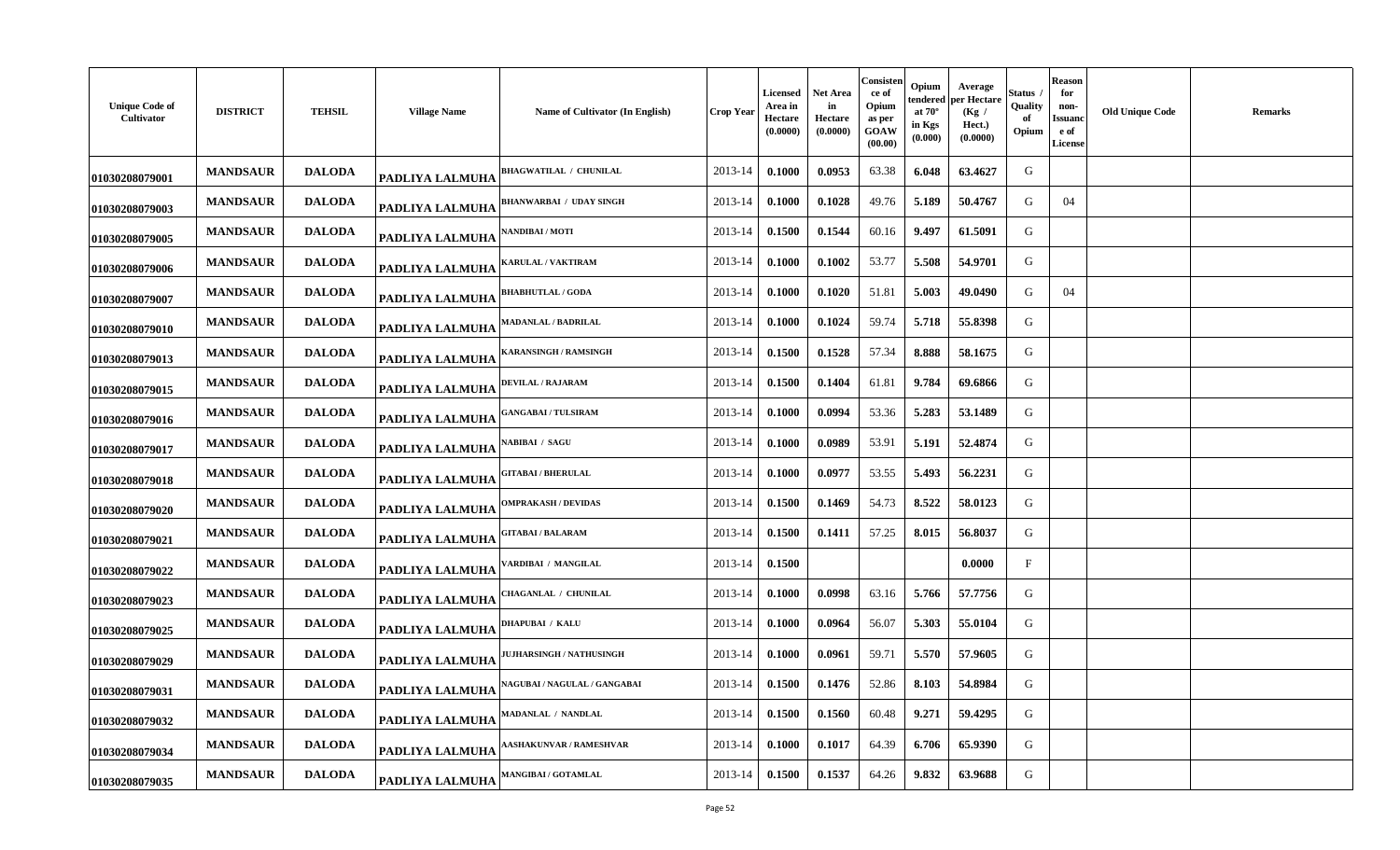| <b>Unique Code of</b><br>Cultivator | <b>DISTRICT</b> | <b>TEHSIL</b> | <b>Village Name</b>    | Name of Cultivator (In English)     | Crop Year | <b>Licensed</b><br>Area in<br>Hectare<br>(0.0000) | Net Area<br>in<br>Hectare<br>(0.0000) | Consisten<br>ce of<br>Opium<br>as per<br>GOAW<br>(00.00) | Opium<br>tendered<br>at $70^\circ$<br>in Kgs<br>(0.000) | Average<br>per Hectare<br>(Kg /<br>Hect.)<br>(0.0000) | Status<br>Quality<br>-of<br>Opium | <b>Reason</b><br>for<br>non-<br>Issuano<br>e of<br><b>License</b> | <b>Old Unique Code</b> | <b>Remarks</b> |
|-------------------------------------|-----------------|---------------|------------------------|-------------------------------------|-----------|---------------------------------------------------|---------------------------------------|----------------------------------------------------------|---------------------------------------------------------|-------------------------------------------------------|-----------------------------------|-------------------------------------------------------------------|------------------------|----------------|
| 01030208079001                      | <b>MANDSAUR</b> | <b>DALODA</b> | <b>PADLIYA LALMUHA</b> | <b>BHAGWATILAL / CHUNILAL</b>       | 2013-14   | 0.1000                                            | 0.0953                                | 63.38                                                    | 6.048                                                   | 63.4627                                               | G                                 |                                                                   |                        |                |
| 01030208079003                      | <b>MANDSAUR</b> | <b>DALODA</b> | <b>PADLIYA LALMUHA</b> | BHANWARBAI / UDAY SINGH             | 2013-14   | 0.1000                                            | 0.1028                                | 49.76                                                    | 5.189                                                   | 50.4767                                               | G                                 | 04                                                                |                        |                |
| 01030208079005                      | <b>MANDSAUR</b> | <b>DALODA</b> | <b>PADLIYA LALMUHA</b> | NANDIBAI / MOTI                     | 2013-14   | 0.1500                                            | 0.1544                                | 60.16                                                    | 9.497                                                   | 61.5091                                               | G                                 |                                                                   |                        |                |
| 01030208079006                      | <b>MANDSAUR</b> | <b>DALODA</b> | PADLIYA LALMUHA        | <b>KARULAL / VAKTIRAM</b>           | 2013-14   | 0.1000                                            | 0.1002                                | 53.77                                                    | 5.508                                                   | 54.9701                                               | G                                 |                                                                   |                        |                |
| 01030208079007                      | <b>MANDSAUR</b> | <b>DALODA</b> | PADLIYA LALMUHA        | <b>BHABHUTLAL / GODA</b>            | 2013-14   | 0.1000                                            | 0.1020                                | 51.81                                                    | 5.003                                                   | 49.0490                                               | G                                 | 04                                                                |                        |                |
| 01030208079010                      | <b>MANDSAUR</b> | <b>DALODA</b> | PADLIYA LALMUHA        | <b>MADANLAL / BADRILAL</b>          | 2013-14   | 0.1000                                            | 0.1024                                | 59.74                                                    | 5.718                                                   | 55.8398                                               | G                                 |                                                                   |                        |                |
| 01030208079013                      | <b>MANDSAUR</b> | <b>DALODA</b> | <b>PADLIYA LALMUHA</b> | <b>ARANSINGH / RAMSINGH</b>         | 2013-14   | 0.1500                                            | 0.1528                                | 57.34                                                    | 8.888                                                   | 58.1675                                               | G                                 |                                                                   |                        |                |
| 01030208079015                      | <b>MANDSAUR</b> | <b>DALODA</b> | PADLIYA LALMUHA        | DEVILAL / RAJARAM                   | 2013-14   | 0.1500                                            | 0.1404                                | 61.81                                                    | 9.784                                                   | 69.6866                                               | G                                 |                                                                   |                        |                |
| 01030208079016                      | <b>MANDSAUR</b> | <b>DALODA</b> | <b>PADLIYA LALMUHA</b> | <b>ANGABAI / TULSIRAM</b>           | 2013-14   | 0.1000                                            | 0.0994                                | 53.36                                                    | 5.283                                                   | 53.1489                                               | G                                 |                                                                   |                        |                |
| 01030208079017                      | <b>MANDSAUR</b> | <b>DALODA</b> | <b>PADLIYA LALMUHA</b> | <b>ABIBAI</b> / SAGU                | 2013-14   | 0.1000                                            | 0.0989                                | 53.91                                                    | 5.191                                                   | 52.4874                                               | G                                 |                                                                   |                        |                |
| 01030208079018                      | <b>MANDSAUR</b> | <b>DALODA</b> | <b>PADLIYA LALMUHA</b> | <b>GITABAI/BHERULAL</b>             | 2013-14   | 0.1000                                            | 0.0977                                | 53.55                                                    | 5.493                                                   | 56.2231                                               | G                                 |                                                                   |                        |                |
| 01030208079020                      | <b>MANDSAUR</b> | <b>DALODA</b> | PADLIYA LALMUHA        | <b>DMPRAKASH / DEVIDAS</b>          | 2013-14   | 0.1500                                            | 0.1469                                | 54.73                                                    | 8.522                                                   | 58.0123                                               | G                                 |                                                                   |                        |                |
| 01030208079021                      | <b>MANDSAUR</b> | <b>DALODA</b> | PADLIYA LALMUHA        | <b>GITABAI / BALARAM</b>            | 2013-14   | 0.1500                                            | 0.1411                                | 57.25                                                    | 8.015                                                   | 56.8037                                               | G                                 |                                                                   |                        |                |
| 01030208079022                      | <b>MANDSAUR</b> | <b>DALODA</b> | PADLIYA LALMUHA        | ARDIBAI / MANGILAL                  | 2013-14   | 0.1500                                            |                                       |                                                          |                                                         | 0.0000                                                | $\mathbf{F}$                      |                                                                   |                        |                |
| 01030208079023                      | <b>MANDSAUR</b> | <b>DALODA</b> | PADLIYA LALMUHA        | <b>HAGANLAL / CHUNILAL</b>          | 2013-14   | 0.1000                                            | 0.0998                                | 63.16                                                    | 5.766                                                   | 57.7756                                               | G                                 |                                                                   |                        |                |
| 01030208079025                      | <b>MANDSAUR</b> | <b>DALODA</b> | <b>PADLIYA LALMUHA</b> | <b>DHAPUBAI / KALU</b>              | 2013-14   | 0.1000                                            | 0.0964                                | 56.07                                                    | 5.303                                                   | 55.0104                                               | G                                 |                                                                   |                        |                |
| 01030208079029                      | <b>MANDSAUR</b> | <b>DALODA</b> | PADLIYA LALMUHA        | <b>JUHARSINGH / NATHUSINGH</b>      | 2013-14   | 0.1000                                            | 0.0961                                | 59.71                                                    | 5.570                                                   | 57.9605                                               | G                                 |                                                                   |                        |                |
| 01030208079031                      | <b>MANDSAUR</b> | <b>DALODA</b> | <b>PADLIYA LALMUHA</b> | <b>NAGUBAI / NAGULAL / GANGABAI</b> | 2013-14   | 0.1500                                            | 0.1476                                | 52.86                                                    | 8.103                                                   | 54.8984                                               | G                                 |                                                                   |                        |                |
| 01030208079032                      | <b>MANDSAUR</b> | <b>DALODA</b> | <b>PADLIYA LALMUHA</b> | <b>MADANLAL / NANDLAL</b>           | 2013-14   | 0.1500                                            | 0.1560                                | 60.48                                                    | 9.271                                                   | 59.4295                                               | G                                 |                                                                   |                        |                |
| 01030208079034                      | <b>MANDSAUR</b> | <b>DALODA</b> | <b>PADLIYA LALMUHA</b> | ASHAKUNVAR / RAMESHVAR              | 2013-14   | 0.1000                                            | 0.1017                                | 64.39                                                    | 6.706                                                   | 65.9390                                               | G                                 |                                                                   |                        |                |
| 01030208079035                      | <b>MANDSAUR</b> | <b>DALODA</b> | PADLIYA LALMUHA        | <b>MANGIBAI / GOTAMLAL</b>          | 2013-14   | 0.1500                                            | 0.1537                                | 64.26                                                    | 9.832                                                   | 63.9688                                               | G                                 |                                                                   |                        |                |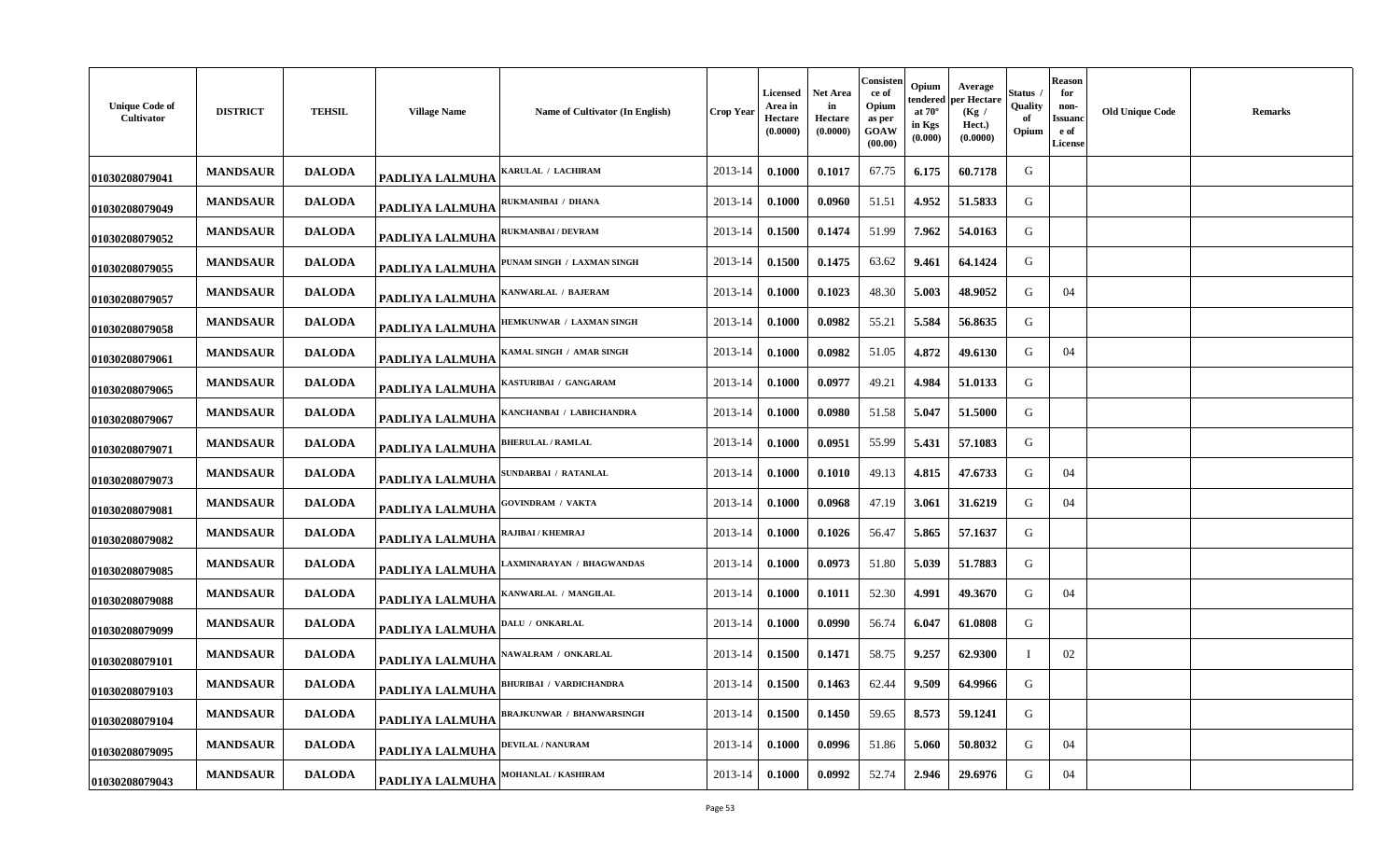| <b>Unique Code of</b><br>Cultivator | <b>DISTRICT</b> | <b>TEHSIL</b> | <b>Village Name</b>    | Name of Cultivator (In English) | <b>Crop Year</b> | Licensed<br>Area in<br>Hectare<br>(0.0000) | <b>Net Area</b><br>in<br>Hectare<br>(0.0000) | Consisten<br>ce of<br>Opium<br>as per<br>GOAW<br>(00.00) | Opium<br>tendered<br>at $70^\circ$<br>in Kgs<br>(0.000) | Average<br>per Hectare<br>(Kg /<br>Hect.)<br>(0.0000) | Status<br>Quality<br>of<br>Opium | <b>Reason</b><br>for<br>non-<br>Issuanc<br>e of<br><b>License</b> | <b>Old Unique Code</b> | <b>Remarks</b> |
|-------------------------------------|-----------------|---------------|------------------------|---------------------------------|------------------|--------------------------------------------|----------------------------------------------|----------------------------------------------------------|---------------------------------------------------------|-------------------------------------------------------|----------------------------------|-------------------------------------------------------------------|------------------------|----------------|
| 01030208079041                      | <b>MANDSAUR</b> | <b>DALODA</b> | <b>PADLIYA LALMUHA</b> | ARULAL / LACHIRAM               | 2013-14          | 0.1000                                     | 0.1017                                       | 67.75                                                    | 6.175                                                   | 60.7178                                               | G                                |                                                                   |                        |                |
| 01030208079049                      | <b>MANDSAUR</b> | <b>DALODA</b> | <b>PADLIYA LALMUHA</b> | RUKMANIBAI / DHANA              | 2013-14          | 0.1000                                     | 0.0960                                       | 51.51                                                    | 4.952                                                   | 51.5833                                               | G                                |                                                                   |                        |                |
| 01030208079052                      | <b>MANDSAUR</b> | <b>DALODA</b> | PADLIYA LALMUHA        | <b>RUKMANBAI / DEVRAM</b>       | 2013-14          | 0.1500                                     | 0.1474                                       | 51.99                                                    | 7.962                                                   | 54.0163                                               | G                                |                                                                   |                        |                |
| 01030208079055                      | <b>MANDSAUR</b> | <b>DALODA</b> | PADLIYA LALMUHA        | PUNAM SINGH / LAXMAN SINGH      | 2013-14          | 0.1500                                     | 0.1475                                       | 63.62                                                    | 9.461                                                   | 64.1424                                               | G                                |                                                                   |                        |                |
| 01030208079057                      | <b>MANDSAUR</b> | <b>DALODA</b> | PADLIYA LALMUHA        | <b>ANWARLAL / BAJERAM</b>       | 2013-14          | 0.1000                                     | 0.1023                                       | 48.30                                                    | 5.003                                                   | 48.9052                                               | G                                | 04                                                                |                        |                |
| 01030208079058                      | <b>MANDSAUR</b> | <b>DALODA</b> | <b>PADLIYA LALMUHA</b> | HEMKUNWAR / LAXMAN SINGH        | 2013-14          | 0.1000                                     | 0.0982                                       | 55.21                                                    | 5.584                                                   | 56.8635                                               | G                                |                                                                   |                        |                |
| 01030208079061                      | <b>MANDSAUR</b> | <b>DALODA</b> | PADLIYA LALMUHA        | <b>AMAL SINGH / AMAR SINGH</b>  | 2013-14          | 0.1000                                     | 0.0982                                       | 51.05                                                    | 4.872                                                   | 49.6130                                               | G                                | 04                                                                |                        |                |
| 01030208079065                      | <b>MANDSAUR</b> | <b>DALODA</b> | PADLIYA LALMUHA        | <b>KASTURIBAI / GANGARAM</b>    | 2013-14          | 0.1000                                     | 0.0977                                       | 49.21                                                    | 4.984                                                   | 51.0133                                               | G                                |                                                                   |                        |                |
| 01030208079067                      | <b>MANDSAUR</b> | <b>DALODA</b> | PADLIYA LALMUHA        | <b>(ANCHANBAI / LABHCHANDRA</b> | 2013-14          | 0.1000                                     | 0.0980                                       | 51.58                                                    | 5.047                                                   | 51.5000                                               | G                                |                                                                   |                        |                |
| 01030208079071                      | <b>MANDSAUR</b> | <b>DALODA</b> | <b>PADLIYA LALMUHA</b> | <b>BHERULAL / RAMLAL</b>        | 2013-14          | 0.1000                                     | 0.0951                                       | 55.99                                                    | 5.431                                                   | 57.1083                                               | G                                |                                                                   |                        |                |
| 01030208079073                      | <b>MANDSAUR</b> | <b>DALODA</b> | PADLIYA LALMUHA        | SUNDARBAI / RATANLAL            | 2013-14          | 0.1000                                     | 0.1010                                       | 49.13                                                    | 4.815                                                   | 47.6733                                               | G                                | 04                                                                |                        |                |
| 01030208079081                      | <b>MANDSAUR</b> | <b>DALODA</b> | PADLIYA LALMUHA        | <b>GOVINDRAM / VAKTA</b>        | 2013-14          | 0.1000                                     | 0.0968                                       | 47.19                                                    | 3.061                                                   | 31.6219                                               | G                                | 04                                                                |                        |                |
| 01030208079082                      | <b>MANDSAUR</b> | <b>DALODA</b> | PADLIYA LALMUHA        | RAJIBAI / KHEMRAJ               | 2013-14          | 0.1000                                     | 0.1026                                       | 56.47                                                    | 5.865                                                   | 57.1637                                               | G                                |                                                                   |                        |                |
| 01030208079085                      | <b>MANDSAUR</b> | <b>DALODA</b> | PADLIYA LALMUHA        | AXMINARAYAN / BHAGWANDAS        | 2013-14          | 0.1000                                     | 0.0973                                       | 51.80                                                    | 5.039                                                   | 51.7883                                               | G                                |                                                                   |                        |                |
| 01030208079088                      | <b>MANDSAUR</b> | <b>DALODA</b> | <b>PADLIYA LALMUHA</b> | KANWARLAL / MANGILAL            | 2013-14          | 0.1000                                     | 0.1011                                       | 52.30                                                    | 4.991                                                   | 49.3670                                               | G                                | 04                                                                |                        |                |
| 01030208079099                      | <b>MANDSAUR</b> | <b>DALODA</b> | PADLIYA LALMUHA        | DALU / ONKARLAL                 | 2013-14          | 0.1000                                     | 0.0990                                       | 56.74                                                    | 6.047                                                   | 61.0808                                               | G                                |                                                                   |                        |                |
| 01030208079101                      | <b>MANDSAUR</b> | <b>DALODA</b> | PADLIYA LALMUHA        | <b>NAWALRAM / ONKARLAL</b>      | 2013-14          | 0.1500                                     | 0.1471                                       | 58.75                                                    | 9.257                                                   | 62.9300                                               | Т                                | 02                                                                |                        |                |
| 01030208079103                      | <b>MANDSAUR</b> | <b>DALODA</b> | PADLIYA LALMUHA        | <b>BHURIBAI / VARDICHANDRA</b>  | 2013-14          | 0.1500                                     | 0.1463                                       | 62.44                                                    | 9.509                                                   | 64.9966                                               | G                                |                                                                   |                        |                |
| 01030208079104                      | <b>MANDSAUR</b> | <b>DALODA</b> | PADLIYA LALMUHA        | BRAJKUNWAR / BHANWARSINGH       | 2013-14          | 0.1500                                     | 0.1450                                       | 59.65                                                    | 8.573                                                   | 59.1241                                               | G                                |                                                                   |                        |                |
| 01030208079095                      | <b>MANDSAUR</b> | <b>DALODA</b> | <b>PADLIYA LALMUHA</b> | <b>DEVILAL / NANURAM</b>        | 2013-14          | 0.1000                                     | 0.0996                                       | 51.86                                                    | 5.060                                                   | 50.8032                                               | G                                | 04                                                                |                        |                |
| 01030208079043                      | <b>MANDSAUR</b> | <b>DALODA</b> | <b>PADLIYA LALMUHA</b> | MOHANLAL / KASHIRAM             | 2013-14          | 0.1000                                     | 0.0992                                       | 52.74                                                    | 2.946                                                   | 29.6976                                               | G                                | 04                                                                |                        |                |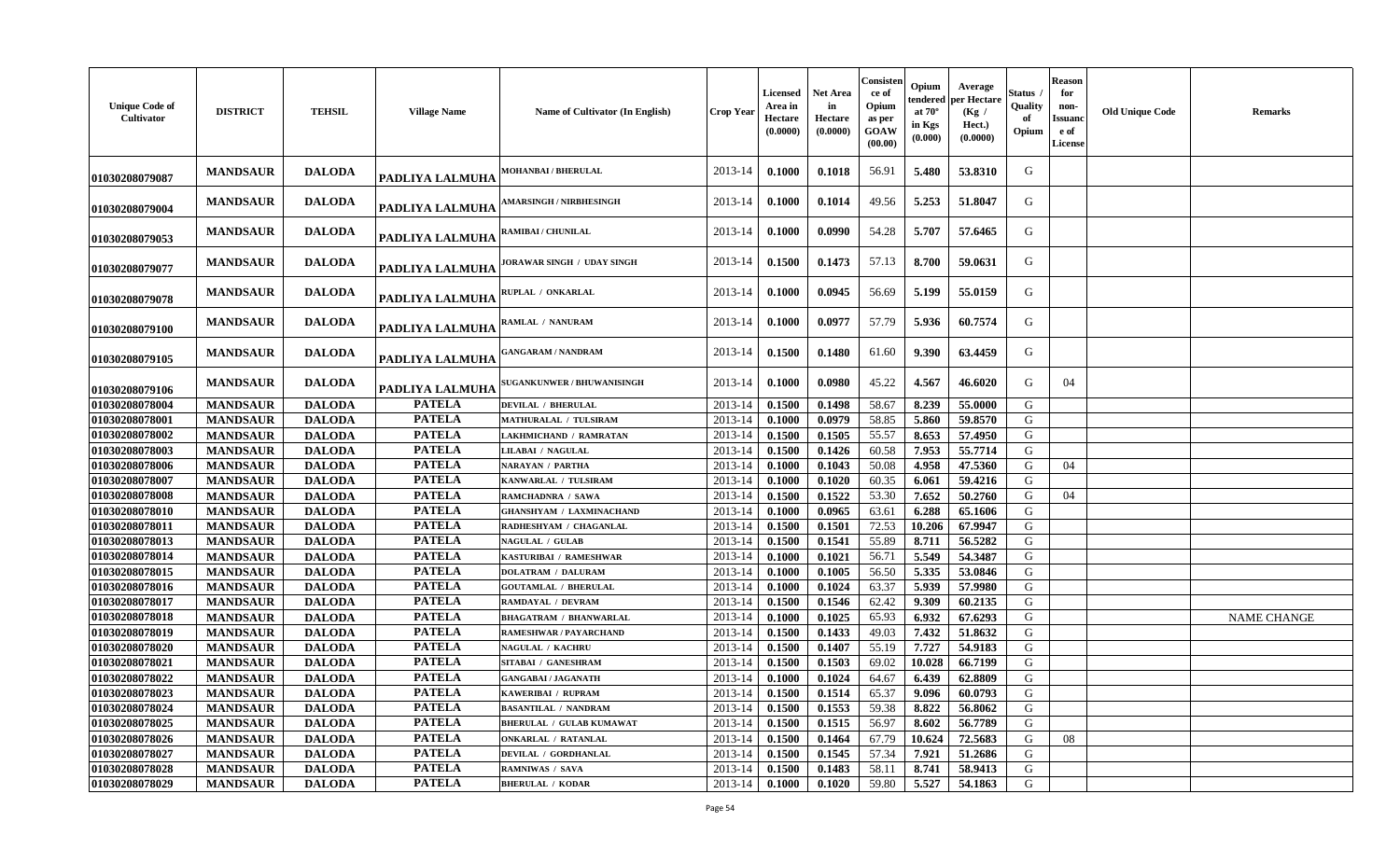| <b>Unique Code of</b><br>Cultivator | <b>DISTRICT</b> | <b>TEHSIL</b> | <b>Village Name</b>    | Name of Cultivator (In English)   | <b>Crop Year</b> | <b>Licensed</b><br>Area in<br>Hectare<br>(0.0000) | <b>Net Area</b><br>in<br>Hectare<br>(0.0000) | Consisten<br>ce of<br>Opium<br>as per<br>GOAW<br>(00.00) | Opium<br>tendered<br>at $70^\circ$<br>in Kgs<br>(0.000) | Average<br>per Hectare<br>(Kg)<br>Hect.)<br>(0.0000) | Status<br>Quality<br>of<br>Opium | <b>Reason</b><br>for<br>non-<br>Issuanc<br>e of<br><b>License</b> | <b>Old Unique Code</b> | <b>Remarks</b>     |
|-------------------------------------|-----------------|---------------|------------------------|-----------------------------------|------------------|---------------------------------------------------|----------------------------------------------|----------------------------------------------------------|---------------------------------------------------------|------------------------------------------------------|----------------------------------|-------------------------------------------------------------------|------------------------|--------------------|
| 01030208079087                      | <b>MANDSAUR</b> | <b>DALODA</b> | <b>PADLIYA LALMUHA</b> | <b>MOHANBAI/BHERULAL</b>          | 2013-14          | 0.1000                                            | 0.1018                                       | 56.91                                                    | 5.480                                                   | 53.8310                                              | G                                |                                                                   |                        |                    |
| 01030208079004                      | <b>MANDSAUR</b> | <b>DALODA</b> | PADLIYA LALMUHA        | <b>AMARSINGH / NIRBHESINGH</b>    | 2013-14          | 0.1000                                            | 0.1014                                       | 49.56                                                    | 5.253                                                   | 51.8047                                              | G                                |                                                                   |                        |                    |
| 01030208079053                      | <b>MANDSAUR</b> | <b>DALODA</b> | <b>PADLIYA LALMUHA</b> | RAMIBAI / CHUNILAL                | 2013-14          | 0.1000                                            | 0.0990                                       | 54.28                                                    | 5.707                                                   | 57.6465                                              | G                                |                                                                   |                        |                    |
| 01030208079077                      | <b>MANDSAUR</b> | <b>DALODA</b> | PADLIYA LALMUHA        | JORAWAR SINGH / UDAY SINGH        | 2013-14          | 0.1500                                            | 0.1473                                       | 57.13                                                    | 8.700                                                   | 59.0631                                              | G                                |                                                                   |                        |                    |
| 01030208079078                      | <b>MANDSAUR</b> | <b>DALODA</b> | <b>PADLIYA LALMUHA</b> | RUPLAL / ONKARLAL                 | 2013-14          | 0.1000                                            | 0.0945                                       | 56.69                                                    | 5.199                                                   | 55.0159                                              | G                                |                                                                   |                        |                    |
| 01030208079100                      | <b>MANDSAUR</b> | <b>DALODA</b> | PADLIYA LALMUHA        | RAMLAL / NANURAM                  | 2013-14          | 0.1000                                            | 0.0977                                       | 57.79                                                    | 5.936                                                   | 60.7574                                              | G                                |                                                                   |                        |                    |
| 01030208079105                      | <b>MANDSAUR</b> | <b>DALODA</b> | PADLIYA LALMUHA        | <b>GANGARAM / NANDRAM</b>         | 2013-14          | 0.1500                                            | 0.1480                                       | 61.60                                                    | 9.390                                                   | 63.4459                                              | G                                |                                                                   |                        |                    |
| 01030208079106                      | <b>MANDSAUR</b> | <b>DALODA</b> | PADLIYA LALMUHA        | <b>SUGANKUNWER / BHUWANISINGH</b> | 2013-14          | 0.1000                                            | 0.0980                                       | 45.22                                                    | 4.567                                                   | 46.6020                                              | G                                | 04                                                                |                        |                    |
| 01030208078004                      | <b>MANDSAUR</b> | <b>DALODA</b> | <b>PATELA</b>          | <b>DEVILAL / BHERULAL</b>         | 2013-14          | 0.1500                                            | 0.1498                                       | 58.67                                                    | 8.239                                                   | 55.0000                                              | G                                |                                                                   |                        |                    |
| 01030208078001                      | <b>MANDSAUR</b> | <b>DALODA</b> | <b>PATELA</b>          | MATHURALAL / TULSIRAM             | 2013-14          | 0.1000                                            | 0.0979                                       | 58.85                                                    | 5.860                                                   | 59.8570                                              | G                                |                                                                   |                        |                    |
| 01030208078002                      | <b>MANDSAUR</b> | <b>DALODA</b> | <b>PATELA</b>          | <b>LAKHMICHAND / RAMRATAN</b>     | 2013-14          | 0.1500                                            | 0.1505                                       | 55.57                                                    | 8.653                                                   | 57.4950                                              | G                                |                                                                   |                        |                    |
| 01030208078003                      | <b>MANDSAUR</b> | <b>DALODA</b> | <b>PATELA</b>          | LILABAI / NAGULAL                 | 2013-14          | 0.1500                                            | 0.1426                                       | 60.58                                                    | 7.953                                                   | 55.7714                                              | G                                |                                                                   |                        |                    |
| 01030208078006                      | <b>MANDSAUR</b> | <b>DALODA</b> | <b>PATELA</b>          | <b>NARAYAN / PARTHA</b>           | 2013-14          | 0.1000                                            | 0.1043                                       | 50.08                                                    | 4.958                                                   | 47.5360                                              | G                                | 04                                                                |                        |                    |
| 01030208078007                      | <b>MANDSAUR</b> | <b>DALODA</b> | <b>PATELA</b>          | KANWARLAL / TULSIRAM              | 2013-14          | 0.1000                                            | 0.1020                                       | 60.35                                                    | 6.061                                                   | 59.4216                                              | G                                |                                                                   |                        |                    |
| 01030208078008                      | <b>MANDSAUR</b> | <b>DALODA</b> | <b>PATELA</b>          | RAMCHADNRA / SAWA                 | 2013-14          | 0.1500                                            | 0.1522                                       | 53.30                                                    | 7.652                                                   | 50.2760                                              | G                                | 04                                                                |                        |                    |
| 01030208078010                      | <b>MANDSAUR</b> | <b>DALODA</b> | <b>PATELA</b>          | <b>GHANSHYAM / LAXMINACHAND</b>   | 2013-14          | 0.1000                                            | 0.0965                                       | 63.61                                                    | 6.288                                                   | 65.1606                                              | G                                |                                                                   |                        |                    |
| 01030208078011                      | <b>MANDSAUR</b> | <b>DALODA</b> | <b>PATELA</b>          | RADHESHYAM / CHAGANLAL            | 2013-14          | 0.1500                                            | 0.1501                                       | 72.53                                                    | 10.206                                                  | 67.9947                                              | G                                |                                                                   |                        |                    |
| 01030208078013                      | <b>MANDSAUR</b> | <b>DALODA</b> | <b>PATELA</b>          | <b>NAGULAL / GULAB</b>            | 2013-14          | 0.1500                                            | 0.1541                                       | 55.89                                                    | 8.711                                                   | 56.5282                                              | G                                |                                                                   |                        |                    |
| 01030208078014                      | <b>MANDSAUR</b> | <b>DALODA</b> | <b>PATELA</b>          | KASTURIBAI / RAMESHWAR            | 2013-14          | 0.1000                                            | 0.1021                                       | 56.71                                                    | 5.549                                                   | 54.3487                                              | G                                |                                                                   |                        |                    |
| 01030208078015                      | <b>MANDSAUR</b> | <b>DALODA</b> | <b>PATELA</b>          | <b>DOLATRAM / DALURAM</b>         | 2013-14          | 0.1000                                            | 0.1005                                       | 56.50                                                    | 5.335                                                   | 53.0846                                              | G                                |                                                                   |                        |                    |
| 01030208078016                      | <b>MANDSAUR</b> | <b>DALODA</b> | <b>PATELA</b>          | <b>GOUTAMLAL / BHERULAL</b>       | 2013-14          | 0.1000                                            | 0.1024                                       | 63.37                                                    | 5.939                                                   | 57.9980                                              | G                                |                                                                   |                        |                    |
| 01030208078017                      | <b>MANDSAUR</b> | <b>DALODA</b> | <b>PATELA</b>          | RAMDAYAL / DEVRAM                 | 2013-14          | 0.1500                                            | 0.1546                                       | 62.42                                                    | 9.309                                                   | 60.2135                                              | G                                |                                                                   |                        |                    |
| 01030208078018                      | <b>MANDSAUR</b> | <b>DALODA</b> | <b>PATELA</b>          | <b>BHAGATRAM / BHANWARLAL</b>     | 2013-14          | 0.1000                                            | 0.1025                                       | 65.93                                                    | 6.932                                                   | 67.6293                                              | G                                |                                                                   |                        | <b>NAME CHANGE</b> |
| 01030208078019                      | <b>MANDSAUR</b> | <b>DALODA</b> | <b>PATELA</b>          | RAMESHWAR / PAYARCHAND            | 2013-14          | 0.1500                                            | 0.1433                                       | 49.03                                                    | 7.432                                                   | 51.8632                                              | G                                |                                                                   |                        |                    |
| 01030208078020                      | <b>MANDSAUR</b> | <b>DALODA</b> | <b>PATELA</b>          | <b>NAGULAL / KACHRU</b>           | 2013-14          | 0.1500                                            | 0.1407                                       | 55.19                                                    | 7.727                                                   | 54.9183                                              | G                                |                                                                   |                        |                    |
| 01030208078021                      | <b>MANDSAUR</b> | <b>DALODA</b> | <b>PATELA</b>          | SITABAI / GANESHRAM               | 2013-14          | 0.1500                                            | 0.1503                                       | 69.02                                                    | 10.028                                                  | 66.7199                                              | G                                |                                                                   |                        |                    |
| 01030208078022                      | <b>MANDSAUR</b> | <b>DALODA</b> | <b>PATELA</b>          | <b>GANGABAI / JAGANATH</b>        | 2013-14          | 0.1000                                            | 0.1024                                       | 64.67                                                    | 6.439                                                   | 62.8809                                              | G                                |                                                                   |                        |                    |
| 01030208078023                      | <b>MANDSAUR</b> | <b>DALODA</b> | <b>PATELA</b>          | KAWERIBAI / RUPRAM                | 2013-14          | 0.1500                                            | 0.1514                                       | 65.37                                                    | 9.096                                                   | 60.0793                                              | G                                |                                                                   |                        |                    |
| 01030208078024                      | <b>MANDSAUR</b> | <b>DALODA</b> | <b>PATELA</b>          | <b>BASANTILAL / NANDRAM</b>       | 2013-14          | 0.1500                                            | 0.1553                                       | 59.38                                                    | 8.822                                                   | 56.8062                                              | G                                |                                                                   |                        |                    |
| 01030208078025                      | <b>MANDSAUR</b> | <b>DALODA</b> | <b>PATELA</b>          | <b>BHERULAL / GULAB KUMAWAT</b>   | 2013-14          | 0.1500                                            | 0.1515                                       | 56.97                                                    | 8.602                                                   | 56.7789                                              | G                                |                                                                   |                        |                    |
| 01030208078026                      | <b>MANDSAUR</b> | <b>DALODA</b> | <b>PATELA</b>          | <b>ONKARLAL / RATANLAL</b>        | 2013-14          | 0.1500                                            | 0.1464                                       | 67.79                                                    | 10.624                                                  | 72.5683                                              | G                                | 08                                                                |                        |                    |
| 01030208078027                      | <b>MANDSAUR</b> | <b>DALODA</b> | <b>PATELA</b>          | DEVILAL / GORDHANLAL              | 2013-14          | 0.1500                                            | 0.1545                                       | 57.34                                                    | 7.921                                                   | 51.2686                                              | G                                |                                                                   |                        |                    |
| 01030208078028                      | <b>MANDSAUR</b> | <b>DALODA</b> | <b>PATELA</b>          | <b>RAMNIWAS / SAVA</b>            | 2013-14          | 0.1500                                            | 0.1483                                       | 58.11                                                    | 8.741                                                   | 58.9413                                              | G                                |                                                                   |                        |                    |
| 01030208078029                      | <b>MANDSAUR</b> | <b>DALODA</b> | <b>PATELA</b>          | <b>BHERULAL / KODAR</b>           | 2013-14          | 0.1000                                            | 0.1020                                       | 59.80                                                    | 5.527                                                   | 54.1863                                              | G                                |                                                                   |                        |                    |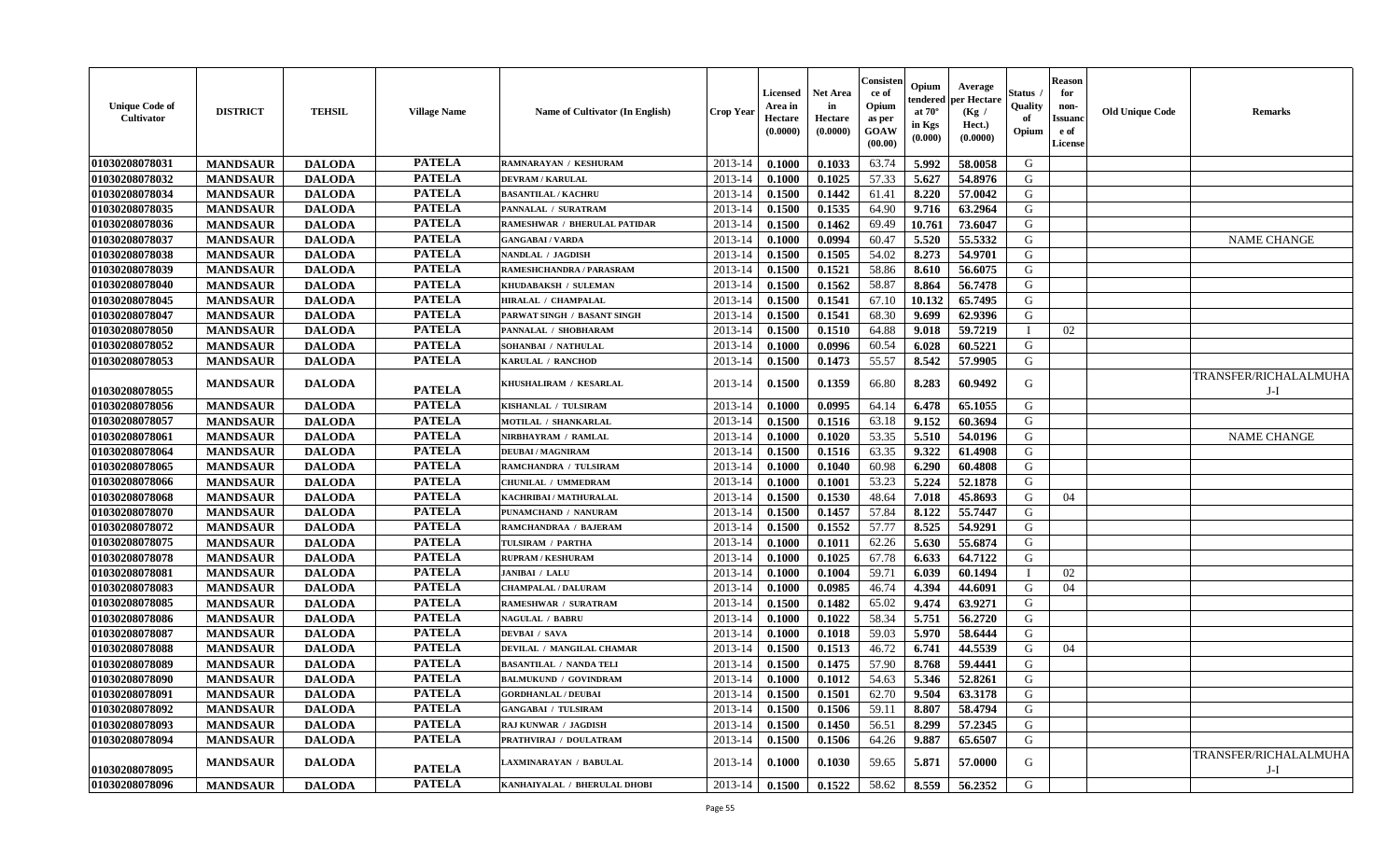| <b>Unique Code of</b><br>Cultivator | <b>DISTRICT</b> | <b>TEHSIL</b> | <b>Village Name</b> | Name of Cultivator (In English) | <b>Crop Year</b> | Licensed<br>Area in<br><b>Hectare</b><br>(0.0000) | <b>Net Area</b><br>in<br>Hectare<br>(0.0000) | Consisten<br>ce of<br>Opium<br>as per<br>GOAW<br>(00.00) | Opium<br>tendered<br>at $70^\circ$<br>in Kgs<br>(0.000) | Average<br>per Hectare<br>(Kg /<br>Hect.)<br>(0.0000) | Status<br>Quality<br>of<br>Opium | <b>Reason</b><br>for<br>non-<br><b>Issuand</b><br>e of<br>License | <b>Old Unique Code</b> | <b>Remarks</b>                 |
|-------------------------------------|-----------------|---------------|---------------------|---------------------------------|------------------|---------------------------------------------------|----------------------------------------------|----------------------------------------------------------|---------------------------------------------------------|-------------------------------------------------------|----------------------------------|-------------------------------------------------------------------|------------------------|--------------------------------|
| 01030208078031                      | <b>MANDSAUR</b> | <b>DALODA</b> | <b>PATELA</b>       | RAMNARAYAN / KESHURAM           | 2013-14          | 0.1000                                            | 0.1033                                       | 63.74                                                    | 5.992                                                   | 58.0058                                               | G                                |                                                                   |                        |                                |
| 01030208078032                      | <b>MANDSAUR</b> | <b>DALODA</b> | <b>PATELA</b>       | <b>DEVRAM / KARULAL</b>         | 2013-14          | 0.1000                                            | 0.1025                                       | 57.33                                                    | 5.627                                                   | 54.8976                                               | G                                |                                                                   |                        |                                |
| 01030208078034                      | <b>MANDSAUR</b> | <b>DALODA</b> | <b>PATELA</b>       | <b>BASANTILAL / KACHRU</b>      | 2013-14          | 0.1500                                            | 0.1442                                       | 61.41                                                    | 8.220                                                   | 57.0042                                               | G                                |                                                                   |                        |                                |
| 01030208078035                      | <b>MANDSAUR</b> | <b>DALODA</b> | <b>PATELA</b>       | PANNALAL / SURATRAM             | 2013-14          | 0.1500                                            | 0.1535                                       | 64.90                                                    | 9.716                                                   | 63.2964                                               | G                                |                                                                   |                        |                                |
| 01030208078036                      | <b>MANDSAUR</b> | <b>DALODA</b> | <b>PATELA</b>       | RAMESHWAR / BHERULAL PATIDAR    | 2013-14          | 0.1500                                            | 0.1462                                       | 69.49                                                    | 10.761                                                  | 73.6047                                               | G                                |                                                                   |                        |                                |
| 01030208078037                      | <b>MANDSAUR</b> | <b>DALODA</b> | <b>PATELA</b>       | <b>GANGABAI/VARDA</b>           | 2013-14          | 0.1000                                            | 0.0994                                       | 60.47                                                    | 5.520                                                   | 55.5332                                               | G                                |                                                                   |                        | <b>NAME CHANGE</b>             |
| 01030208078038                      | <b>MANDSAUR</b> | <b>DALODA</b> | <b>PATELA</b>       | NANDLAL / JAGDISH               | 2013-14          | 0.1500                                            | 0.1505                                       | 54.02                                                    | 8.273                                                   | 54.9701                                               | G                                |                                                                   |                        |                                |
| 01030208078039                      | <b>MANDSAUR</b> | <b>DALODA</b> | <b>PATELA</b>       | RAMESHCHANDRA / PARASRAM        | 2013-14          | 0.1500                                            | 0.1521                                       | 58.86                                                    | 8.610                                                   | 56.6075                                               | G                                |                                                                   |                        |                                |
| 01030208078040                      | <b>MANDSAUR</b> | <b>DALODA</b> | <b>PATELA</b>       | KHUDABAKSH / SULEMAN            | 2013-14          | 0.1500                                            | 0.1562                                       | 58.87                                                    | 8.864                                                   | 56.7478                                               | G                                |                                                                   |                        |                                |
| 01030208078045                      | <b>MANDSAUR</b> | <b>DALODA</b> | <b>PATELA</b>       | HIRALAL / CHAMPALAL             | 2013-14          | 0.1500                                            | 0.1541                                       | 67.10                                                    | 10.132                                                  | 65.7495                                               | G                                |                                                                   |                        |                                |
| 01030208078047                      | <b>MANDSAUR</b> | <b>DALODA</b> | <b>PATELA</b>       | PARWAT SINGH / BASANT SINGH     | 2013-14          | 0.1500                                            | 0.1541                                       | 68.30                                                    | 9.699                                                   | 62.9396                                               | G                                |                                                                   |                        |                                |
| 01030208078050                      | <b>MANDSAUR</b> | <b>DALODA</b> | <b>PATELA</b>       | PANNALAL / SHOBHARAM            | 2013-14          | 0.1500                                            | 0.1510                                       | 64.88                                                    | 9.018                                                   | 59.7219                                               | T                                | 02                                                                |                        |                                |
| 01030208078052                      | <b>MANDSAUR</b> | <b>DALODA</b> | <b>PATELA</b>       | SOHANBAI / NATHULAL             | 2013-14          | 0.1000                                            | 0.0996                                       | 60.54                                                    | 6.028                                                   | 60.5221                                               | G                                |                                                                   |                        |                                |
| 01030208078053                      | <b>MANDSAUR</b> | <b>DALODA</b> | <b>PATELA</b>       | <b>KARULAL / RANCHOD</b>        | 2013-14          | 0.1500                                            | 0.1473                                       | 55.57                                                    | 8.542                                                   | 57.9905                                               | G                                |                                                                   |                        |                                |
| 01030208078055                      | <b>MANDSAUR</b> | <b>DALODA</b> | <b>PATELA</b>       | KHUSHALIRAM / KESARLAL          | 2013-14          | 0.1500                                            | 0.1359                                       | 66.80                                                    | 8.283                                                   | 60.9492                                               | G                                |                                                                   |                        | TRANSFER/RICHALALMUHA<br>J-I   |
| 01030208078056                      | <b>MANDSAUR</b> | <b>DALODA</b> | <b>PATELA</b>       | KISHANLAL / TULSIRAM            | 2013-14          | 0.1000                                            | 0.0995                                       | 64.14                                                    | 6.478                                                   | 65.1055                                               | G                                |                                                                   |                        |                                |
| 01030208078057                      | <b>MANDSAUR</b> | <b>DALODA</b> | <b>PATELA</b>       | MOTILAL / SHANKARLAL            | 2013-14          | 0.1500                                            | 0.1516                                       | 63.18                                                    | 9.152                                                   | 60.3694                                               | G                                |                                                                   |                        |                                |
| 01030208078061                      | <b>MANDSAUR</b> | <b>DALODA</b> | <b>PATELA</b>       | NIRBHAYRAM / RAMLAL             | 2013-14          | 0.1000                                            | 0.1020                                       | 53.35                                                    | 5.510                                                   | 54.0196                                               | G                                |                                                                   |                        | <b>NAME CHANGE</b>             |
| 01030208078064                      | <b>MANDSAUR</b> | <b>DALODA</b> | <b>PATELA</b>       | <b>DEUBAI/MAGNIRAM</b>          | 2013-14          | 0.1500                                            | 0.1516                                       | 63.35                                                    | 9.322                                                   | 61.4908                                               | $\mathbf G$                      |                                                                   |                        |                                |
| 01030208078065                      | <b>MANDSAUR</b> | <b>DALODA</b> | <b>PATELA</b>       | RAMCHANDRA / TULSIRAM           | 2013-14          | 0.1000                                            | 0.1040                                       | 60.98                                                    | 6.290                                                   | 60.4808                                               | G                                |                                                                   |                        |                                |
| 01030208078066                      | <b>MANDSAUR</b> | <b>DALODA</b> | <b>PATELA</b>       | CHUNILAL / UMMEDRAM             | 2013-14          | 0.1000                                            | 0.1001                                       | 53.23                                                    | 5.224                                                   | 52.1878                                               | G                                |                                                                   |                        |                                |
| 01030208078068                      | <b>MANDSAUR</b> | <b>DALODA</b> | <b>PATELA</b>       | KACHRIBAI / MATHURALAL          | 2013-14          | 0.1500                                            | 0.1530                                       | 48.64                                                    | 7.018                                                   | 45.8693                                               | G                                | 04                                                                |                        |                                |
| 01030208078070                      | <b>MANDSAUR</b> | <b>DALODA</b> | <b>PATELA</b>       | PUNAMCHAND / NANURAM            | 2013-14          | 0.1500                                            | 0.1457                                       | 57.84                                                    | 8.122                                                   | 55.7447                                               | G                                |                                                                   |                        |                                |
| 01030208078072                      | <b>MANDSAUR</b> | <b>DALODA</b> | <b>PATELA</b>       | RAMCHANDRAA / BAJERAM           | 2013-14          | 0.1500                                            | 0.1552                                       | 57.77                                                    | 8.525                                                   | 54.9291                                               | G                                |                                                                   |                        |                                |
| 01030208078075                      | <b>MANDSAUR</b> | <b>DALODA</b> | <b>PATELA</b>       | TULSIRAM / PARTHA               | 2013-14          | 0.1000                                            | 0.1011                                       | 62.26                                                    | 5.630                                                   | 55.6874                                               | G                                |                                                                   |                        |                                |
| 01030208078078                      | <b>MANDSAUR</b> | <b>DALODA</b> | <b>PATELA</b>       | <b>RUPRAM / KESHURAM</b>        | 2013-14          | 0.1000                                            | 0.1025                                       | 67.78                                                    | 6.633                                                   | 64.7122                                               | G                                |                                                                   |                        |                                |
| 01030208078081                      | <b>MANDSAUR</b> | <b>DALODA</b> | <b>PATELA</b>       | <b>JANIBAI / LALU</b>           | 2013-14          | 0.1000                                            | 0.1004                                       | 59.71                                                    | 6.039                                                   | 60.1494                                               | $\mathbf I$                      | 02                                                                |                        |                                |
| 01030208078083                      | <b>MANDSAUR</b> | <b>DALODA</b> | <b>PATELA</b>       | <b>CHAMPALAL / DALURAM</b>      | 2013-14          | 0.1000                                            | 0.0985                                       | 46.74                                                    | 4.394                                                   | 44.6091                                               | G                                | 04                                                                |                        |                                |
| 01030208078085                      | <b>MANDSAUR</b> | <b>DALODA</b> | <b>PATELA</b>       | <b>RAMESHWAR / SURATRAM</b>     | 2013-14          | 0.1500                                            | 0.1482                                       | 65.02                                                    | 9.474                                                   | 63.9271                                               | G                                |                                                                   |                        |                                |
| 01030208078086                      | <b>MANDSAUR</b> | <b>DALODA</b> | <b>PATELA</b>       | <b>NAGULAL / BABRU</b>          | 2013-14          | 0.1000                                            | 0.1022                                       | 58.34                                                    | 5.751                                                   | 56.2720                                               | G                                |                                                                   |                        |                                |
| 01030208078087                      | <b>MANDSAUR</b> | <b>DALODA</b> | <b>PATELA</b>       | <b>DEVBAI / SAVA</b>            | 2013-14          | 0.1000                                            | 0.1018                                       | 59.03                                                    | 5.970                                                   | 58.6444                                               | $\mathbf G$                      |                                                                   |                        |                                |
| 01030208078088                      | <b>MANDSAUR</b> | <b>DALODA</b> | <b>PATELA</b>       | DEVILAL / MANGILAL CHAMAR       | 2013-14          | 0.1500                                            | 0.1513                                       | 46.72                                                    | 6.741                                                   | 44.5539                                               | G                                | 04                                                                |                        |                                |
| 01030208078089                      | <b>MANDSAUR</b> | <b>DALODA</b> | <b>PATELA</b>       | <b>BASANTILAL / NANDA TELI</b>  | 2013-14          | 0.1500                                            | 0.1475                                       | 57.90                                                    | 8.768                                                   | 59.4441                                               | G                                |                                                                   |                        |                                |
| 01030208078090                      | <b>MANDSAUR</b> | <b>DALODA</b> | <b>PATELA</b>       | <b>BALMUKUND / GOVINDRAM</b>    | 2013-14          | 0.1000                                            | 0.1012                                       | 54.63                                                    | 5.346                                                   | 52.8261                                               | G                                |                                                                   |                        |                                |
| 01030208078091                      | <b>MANDSAUR</b> | <b>DALODA</b> | <b>PATELA</b>       | <b>GORDHANLAL / DEUBAI</b>      | 2013-14          | 0.1500                                            | 0.1501                                       | 62.70                                                    | 9.504                                                   | 63.3178                                               | G                                |                                                                   |                        |                                |
| 01030208078092                      | <b>MANDSAUR</b> | <b>DALODA</b> | <b>PATELA</b>       | <b>GANGABAI / TULSIRAM</b>      | 2013-14          | 0.1500                                            | 0.1506                                       | 59.11                                                    | 8.807                                                   | 58.4794                                               | G                                |                                                                   |                        |                                |
| 01030208078093                      | <b>MANDSAUR</b> | <b>DALODA</b> | <b>PATELA</b>       | RAJ KUNWAR / JAGDISH            | 2013-14          | 0.1500                                            | 0.1450                                       | 56.51                                                    | 8.299                                                   | 57.2345                                               | G                                |                                                                   |                        |                                |
| 01030208078094                      | <b>MANDSAUR</b> | <b>DALODA</b> | <b>PATELA</b>       | PRATHVIRAJ / DOULATRAM          | 2013-14          | 0.1500                                            | 0.1506                                       | 64.26                                                    | 9.887                                                   | 65.6507                                               | G                                |                                                                   |                        |                                |
| 01030208078095                      | <b>MANDSAUR</b> | <b>DALODA</b> | <b>PATELA</b>       | LAXMINARAYAN / BABULAL          | 2013-14          | 0.1000                                            | 0.1030                                       | 59.65                                                    | 5.871                                                   | 57.0000                                               | G                                |                                                                   |                        | TRANSFER/RICHALALMUHA<br>$J-I$ |
| 01030208078096                      | <b>MANDSAUR</b> | <b>DALODA</b> | <b>PATELA</b>       | KANHAIYALAL / BHERULAL DHOBI    | 2013-14          | 0.1500                                            | 0.1522                                       | 58.62                                                    | 8.559                                                   | 56.2352                                               | G                                |                                                                   |                        |                                |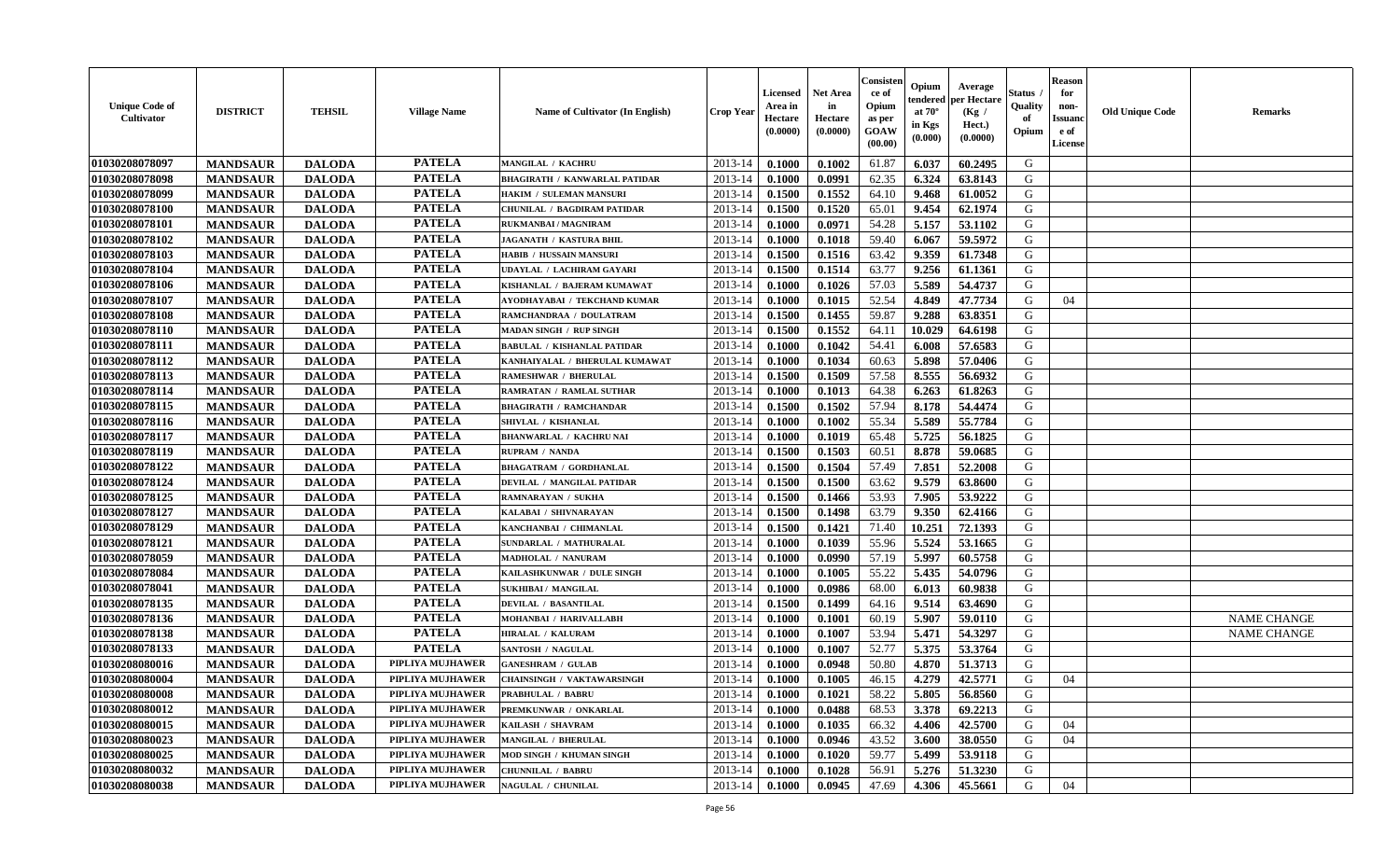| <b>Unique Code of</b><br><b>Cultivator</b> | <b>DISTRICT</b> | <b>TEHSIL</b> | <b>Village Name</b> | Name of Cultivator (In English)      | <b>Crop Year</b> | <b>Licensed</b><br>Area in<br>Hectare<br>(0.0000) | <b>Net Area</b><br>in<br>Hectare<br>(0.0000) | Consister<br>ce of<br>Opium<br>as per<br><b>GOAW</b><br>(00.00) | Opium<br>endered<br>at $70^\circ$<br>in Kgs<br>$(\mathbf{0.000})$ | Average<br>per Hectare<br>(Kg /<br>Hect.)<br>(0.0000) | Status<br>Quality<br>of<br>Opium | <b>Reason</b><br>for<br>non-<br>Issuan<br>e of<br><b>License</b> | <b>Old Unique Code</b> | <b>Remarks</b>     |
|--------------------------------------------|-----------------|---------------|---------------------|--------------------------------------|------------------|---------------------------------------------------|----------------------------------------------|-----------------------------------------------------------------|-------------------------------------------------------------------|-------------------------------------------------------|----------------------------------|------------------------------------------------------------------|------------------------|--------------------|
| 01030208078097                             | <b>MANDSAUR</b> | <b>DALODA</b> | <b>PATELA</b>       | <b>MANGILAL / KACHRU</b>             | 2013-14          | 0.1000                                            | 0.1002                                       | 61.87                                                           | 6.037                                                             | 60.2495                                               | G                                |                                                                  |                        |                    |
| 01030208078098                             | <b>MANDSAUR</b> | <b>DALODA</b> | <b>PATELA</b>       | <b>BHAGIRATH / KANWARLAL PATIDAR</b> | 2013-14          | 0.1000                                            | 0.0991                                       | 62.35                                                           | 6.324                                                             | 63.8143                                               | G                                |                                                                  |                        |                    |
| 01030208078099                             | <b>MANDSAUR</b> | <b>DALODA</b> | <b>PATELA</b>       | HAKIM / SULEMAN MANSURI              | 2013-14          | 0.1500                                            | 0.1552                                       | 64.10                                                           | 9.468                                                             | 61.0052                                               | G                                |                                                                  |                        |                    |
| 01030208078100                             | <b>MANDSAUR</b> | <b>DALODA</b> | <b>PATELA</b>       | CHUNILAL / BAGDIRAM PATIDAR          | 2013-14          | 0.1500                                            | 0.1520                                       | 65.01                                                           | 9.454                                                             | 62.1974                                               | G                                |                                                                  |                        |                    |
| 01030208078101                             | <b>MANDSAUR</b> | <b>DALODA</b> | <b>PATELA</b>       | RUKMANBAI / MAGNIRAM                 | 2013-14          | 0.1000                                            | 0.0971                                       | 54.28                                                           | 5.157                                                             | 53.1102                                               | G                                |                                                                  |                        |                    |
| 01030208078102                             | <b>MANDSAUR</b> | <b>DALODA</b> | <b>PATELA</b>       | <b>JAGANATH / KASTURA BHIL</b>       | 2013-14          | 0.1000                                            | 0.1018                                       | 59.40                                                           | 6.067                                                             | 59.5972                                               | G                                |                                                                  |                        |                    |
| 01030208078103                             | <b>MANDSAUR</b> | <b>DALODA</b> | <b>PATELA</b>       | <b>HABIB / HUSSAIN MANSURI</b>       | 2013-14          | 0.1500                                            | 0.1516                                       | 63.42                                                           | 9.359                                                             | 61.7348                                               | G                                |                                                                  |                        |                    |
| 01030208078104                             | <b>MANDSAUR</b> | <b>DALODA</b> | <b>PATELA</b>       | UDAYLAL / LACHIRAM GAYARI            | 2013-14          | 0.1500                                            | 0.1514                                       | 63.77                                                           | 9.256                                                             | 61.1361                                               | G                                |                                                                  |                        |                    |
| 01030208078106                             | <b>MANDSAUR</b> | <b>DALODA</b> | <b>PATELA</b>       | KISHANLAL / BAJERAM KUMAWAT          | 2013-14          | 0.1000                                            | 0.1026                                       | 57.03                                                           | 5.589                                                             | 54.4737                                               | G                                |                                                                  |                        |                    |
| 01030208078107                             | <b>MANDSAUR</b> | <b>DALODA</b> | <b>PATELA</b>       | AYODHAYABAI / TEKCHAND KUMAR         | 2013-14          | 0.1000                                            | 0.1015                                       | 52.54                                                           | 4.849                                                             | 47.7734                                               | G                                | 04                                                               |                        |                    |
| 01030208078108                             | <b>MANDSAUR</b> | <b>DALODA</b> | <b>PATELA</b>       | RAMCHANDRAA / DOULATRAM              | 2013-14          | 0.1500                                            | 0.1455                                       | 59.87                                                           | 9.288                                                             | 63.8351                                               | G                                |                                                                  |                        |                    |
| 01030208078110                             | <b>MANDSAUR</b> | <b>DALODA</b> | <b>PATELA</b>       | <b>MADAN SINGH / RUP SINGH</b>       | 2013-14          | 0.1500                                            | 0.1552                                       | 64.11                                                           | 10.029                                                            | 64.6198                                               | G                                |                                                                  |                        |                    |
| 01030208078111                             | <b>MANDSAUR</b> | <b>DALODA</b> | <b>PATELA</b>       | <b>BABULAL / KISHANLAL PATIDAR</b>   | 2013-14          | 0.1000                                            | 0.1042                                       | 54.41                                                           | 6.008                                                             | 57.6583                                               | G                                |                                                                  |                        |                    |
| 01030208078112                             | <b>MANDSAUR</b> | <b>DALODA</b> | <b>PATELA</b>       | KANHAIYALAL / BHERULAL KUMAWAT       | 2013-14          | 0.1000                                            | 0.1034                                       | 60.63                                                           | 5.898                                                             | 57.0406                                               | G                                |                                                                  |                        |                    |
| 01030208078113                             | <b>MANDSAUR</b> | <b>DALODA</b> | <b>PATELA</b>       | <b>RAMESHWAR / BHERULAL</b>          | 2013-14          | 0.1500                                            | 0.1509                                       | 57.58                                                           | 8.555                                                             | 56.6932                                               | G                                |                                                                  |                        |                    |
| 01030208078114                             | <b>MANDSAUR</b> | <b>DALODA</b> | <b>PATELA</b>       | <b>RAMRATAN / RAMLAL SUTHAR</b>      | 2013-14          | 0.1000                                            | 0.1013                                       | 64.38                                                           | 6.263                                                             | 61.8263                                               | G                                |                                                                  |                        |                    |
| 01030208078115                             | <b>MANDSAUR</b> | <b>DALODA</b> | <b>PATELA</b>       | <b>BHAGIRATH / RAMCHANDAR</b>        | 2013-14          | 0.1500                                            | 0.1502                                       | 57.94                                                           | 8.178                                                             | 54.4474                                               | G                                |                                                                  |                        |                    |
| 01030208078116                             | <b>MANDSAUR</b> | <b>DALODA</b> | <b>PATELA</b>       | SHIVLAL / KISHANLAL                  | 2013-14          | 0.1000                                            | 0.1002                                       | 55.34                                                           | 5.589                                                             | 55.7784                                               | G                                |                                                                  |                        |                    |
| 01030208078117                             | <b>MANDSAUR</b> | <b>DALODA</b> | <b>PATELA</b>       | <b>BHANWARLAL / KACHRU NAI</b>       | 2013-14          | 0.1000                                            | 0.1019                                       | 65.48                                                           | 5.725                                                             | 56.1825                                               | G                                |                                                                  |                        |                    |
| 01030208078119                             | <b>MANDSAUR</b> | <b>DALODA</b> | <b>PATELA</b>       | <b>RUPRAM / NANDA</b>                | 2013-14          | 0.1500                                            | 0.1503                                       | 60.51                                                           | 8.878                                                             | 59.0685                                               | G                                |                                                                  |                        |                    |
| 01030208078122                             | <b>MANDSAUR</b> | <b>DALODA</b> | <b>PATELA</b>       | <b>BHAGATRAM / GORDHANLAL</b>        | 2013-14          | 0.1500                                            | 0.1504                                       | 57.49                                                           | 7.851                                                             | 52,2008                                               | G                                |                                                                  |                        |                    |
| 01030208078124                             | <b>MANDSAUR</b> | <b>DALODA</b> | <b>PATELA</b>       | DEVILAL / MANGILAL PATIDAR           | 2013-14          | 0.1500                                            | 0.1500                                       | 63.62                                                           | 9.579                                                             | 63.8600                                               | G                                |                                                                  |                        |                    |
| 01030208078125                             | <b>MANDSAUR</b> | <b>DALODA</b> | <b>PATELA</b>       | RAMNARAYAN / SUKHA                   | 2013-14          | 0.1500                                            | 0.1466                                       | 53.93                                                           | 7.905                                                             | 53.9222                                               | G                                |                                                                  |                        |                    |
| 01030208078127                             | <b>MANDSAUR</b> | <b>DALODA</b> | <b>PATELA</b>       | KALABAI / SHIVNARAYAN                | 2013-14          | 0.1500                                            | 0.1498                                       | 63.79                                                           | 9.350                                                             | 62.4166                                               | G                                |                                                                  |                        |                    |
| 01030208078129                             | <b>MANDSAUR</b> | <b>DALODA</b> | <b>PATELA</b>       | KANCHANBAI / CHIMANLAL               | 2013-14          | 0.1500                                            | 0.1421                                       | 71.40                                                           | 10.251                                                            | 72.1393                                               | G                                |                                                                  |                        |                    |
| 01030208078121                             | <b>MANDSAUR</b> | <b>DALODA</b> | <b>PATELA</b>       | SUNDARLAL / MATHURALAL               | 2013-14          | 0.1000                                            | 0.1039                                       | 55.96                                                           | 5.524                                                             | 53.1665                                               | G                                |                                                                  |                        |                    |
| 01030208078059                             | <b>MANDSAUR</b> | <b>DALODA</b> | <b>PATELA</b>       | MADHOLAL / NANURAM                   | 2013-14          | 0.1000                                            | 0.0990                                       | 57.19                                                           | 5.997                                                             | 60.5758                                               | G                                |                                                                  |                        |                    |
| 01030208078084                             | <b>MANDSAUR</b> | <b>DALODA</b> | <b>PATELA</b>       | KAILASHKUNWAR / DULE SINGH           | 2013-14          | 0.1000                                            | 0.1005                                       | 55.22                                                           | 5.435                                                             | 54.0796                                               | G                                |                                                                  |                        |                    |
| 01030208078041                             | <b>MANDSAUR</b> | <b>DALODA</b> | <b>PATELA</b>       | <b>SUKHIBAI / MANGILAL</b>           | 2013-14          | 0.1000                                            | 0.0986                                       | 68.00                                                           | 6.013                                                             | 60.9838                                               | G                                |                                                                  |                        |                    |
| 01030208078135                             | <b>MANDSAUR</b> | <b>DALODA</b> | <b>PATELA</b>       | <b>DEVILAL / BASANTILAL</b>          | 2013-14          | 0.1500                                            | 0.1499                                       | 64.16                                                           | 9.514                                                             | 63.4690                                               | G                                |                                                                  |                        |                    |
| 01030208078136                             | <b>MANDSAUR</b> | <b>DALODA</b> | <b>PATELA</b>       | MOHANBAI / HARIVALLABH               | 2013-14          | 0.1000                                            | 0.1001                                       | 60.19                                                           | 5.907                                                             | 59.0110                                               | G                                |                                                                  |                        | <b>NAME CHANGE</b> |
| 01030208078138                             | <b>MANDSAUR</b> | <b>DALODA</b> | <b>PATELA</b>       | HIRALAL / KALURAM                    | 2013-14          | 0.1000                                            | 0.1007                                       | 53.94                                                           | 5.471                                                             | 54.3297                                               | G                                |                                                                  |                        | <b>NAME CHANGE</b> |
| 01030208078133                             | <b>MANDSAUR</b> | <b>DALODA</b> | <b>PATELA</b>       | <b>SANTOSH / NAGULAL</b>             | 2013-14          | 0.1000                                            | 0.1007                                       | 52.77                                                           | 5.375                                                             | 53.3764                                               | G                                |                                                                  |                        |                    |
| 01030208080016                             | <b>MANDSAUR</b> | <b>DALODA</b> | PIPLIYA MUJHAWER    | <b>GANESHRAM / GULAB</b>             | 2013-14          | 0.1000                                            | 0.0948                                       | 50.80                                                           | 4.870                                                             | 51.3713                                               | G                                |                                                                  |                        |                    |
| 01030208080004                             | <b>MANDSAUR</b> | <b>DALODA</b> | PIPLIYA MUJHAWER    | CHAINSINGH / VAKTAWARSINGH           | 2013-14          | 0.1000                                            | 0.1005                                       | 46.15                                                           | 4.279                                                             | 42.5771                                               | G                                | 04                                                               |                        |                    |
| 01030208080008                             | <b>MANDSAUR</b> | <b>DALODA</b> | PIPLIYA MUJHAWER    | <b>PRABHULAL / BABRU</b>             | $2013-14$ 0.1000 |                                                   | 0.1021                                       | 58.22                                                           | $5.805$                                                           | 56.8560                                               | G                                |                                                                  |                        |                    |
| 01030208080012                             | <b>MANDSAUR</b> | <b>DALODA</b> | PIPLIYA MUJHAWER    | PREMKUNWAR / ONKARLAL                | 2013-14          | 0.1000                                            | 0.0488                                       | 68.53                                                           | 3.378                                                             | 69.2213                                               | G                                |                                                                  |                        |                    |
| 01030208080015                             | <b>MANDSAUR</b> | <b>DALODA</b> | PIPLIYA MUJHAWER    | KAILASH / SHAVRAM                    | 2013-14          | 0.1000                                            | 0.1035                                       | 66.32                                                           | 4.406                                                             | 42.5700                                               | G                                | 04                                                               |                        |                    |
| 01030208080023                             | <b>MANDSAUR</b> | <b>DALODA</b> | PIPLIYA MUJHAWER    | MANGILAL / BHERULAL                  | 2013-14          | 0.1000                                            | 0.0946                                       | 43.52                                                           | 3.600                                                             | 38.0550                                               | G                                | 04                                                               |                        |                    |
| 01030208080025                             | <b>MANDSAUR</b> | <b>DALODA</b> | PIPLIYA MUJHAWER    | MOD SINGH / KHUMAN SINGH             | 2013-14          | 0.1000                                            | 0.1020                                       | 59.77                                                           | 5.499                                                             | 53.9118                                               | G                                |                                                                  |                        |                    |
| 01030208080032                             | <b>MANDSAUR</b> | <b>DALODA</b> | PIPLIYA MUJHAWER    | <b>CHUNNILAL / BABRU</b>             | 2013-14          | 0.1000                                            | 0.1028                                       | 56.91                                                           | 5.276                                                             | 51.3230                                               | G                                |                                                                  |                        |                    |
| 01030208080038                             | <b>MANDSAUR</b> | <b>DALODA</b> | PIPLIYA MUJHAWER    | <b>NAGULAL / CHUNILAL</b>            | 2013-14          | 0.1000                                            | 0.0945                                       | 47.69                                                           | 4.306                                                             | 45.5661                                               | G                                | 04                                                               |                        |                    |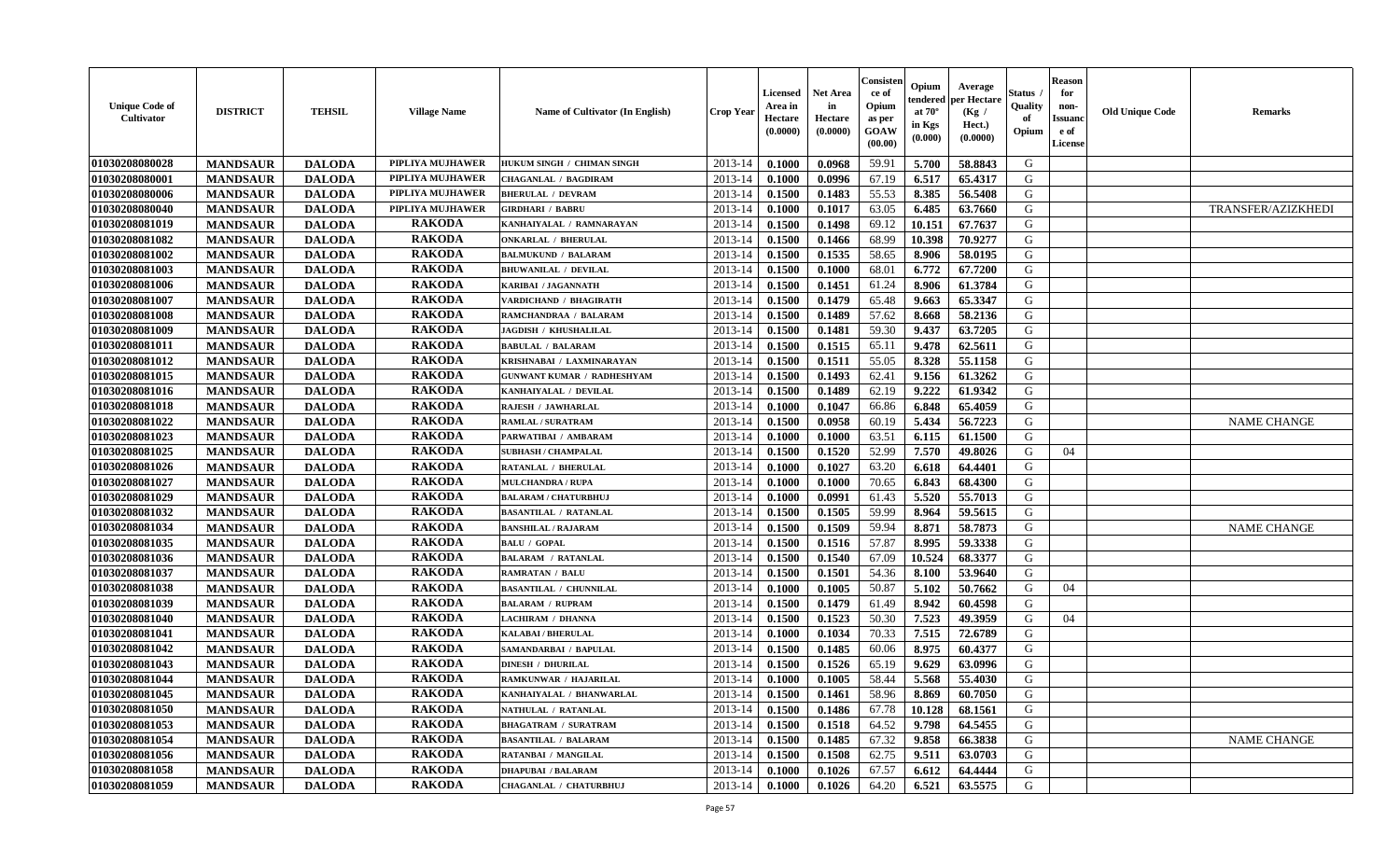| <b>Unique Code of</b><br>Cultivator | <b>DISTRICT</b> | <b>TEHSIL</b> | <b>Village Name</b>     | <b>Name of Cultivator (In English)</b> | <b>Crop Year</b> | Licensed<br>Area in<br>Hectare<br>(0.0000) | <b>Net Area</b><br>in<br>Hectare<br>(0.0000) | Consister<br>ce of<br>Opium<br>as per<br>GOAW<br>(00.00) | Opium<br>endered<br>at $70^\circ$<br>in Kgs<br>$(\mathbf{0.000})$ | Average<br>per Hectare<br>(Kg /<br>Hect.)<br>(0.0000) | Status<br>Quality<br>of<br>Opium | <b>Reason</b><br>for<br>non-<br><b>Issuanc</b><br>e of<br>License | <b>Old Unique Code</b> | <b>Remarks</b>     |
|-------------------------------------|-----------------|---------------|-------------------------|----------------------------------------|------------------|--------------------------------------------|----------------------------------------------|----------------------------------------------------------|-------------------------------------------------------------------|-------------------------------------------------------|----------------------------------|-------------------------------------------------------------------|------------------------|--------------------|
| 01030208080028                      | <b>MANDSAUR</b> | <b>DALODA</b> | PIPLIYA MUJHAWER        | HUKUM SINGH / CHIMAN SINGH             | $2013 - 14$      | 0.1000                                     | 0.0968                                       | 59.91                                                    | 5.700                                                             | 58.8843                                               | G                                |                                                                   |                        |                    |
| 01030208080001                      | <b>MANDSAUR</b> | <b>DALODA</b> | PIPLIYA MUJHAWER        | <b>CHAGANLAL / BAGDIRAM</b>            | 2013-14          | 0.1000                                     | 0.0996                                       | 67.19                                                    | 6.517                                                             | 65.4317                                               | G                                |                                                                   |                        |                    |
| 01030208080006                      | <b>MANDSAUR</b> | <b>DALODA</b> | PIPLIYA MUJHAWER        | <b>BHERULAL / DEVRAM</b>               | 2013-14          | 0.1500                                     | 0.1483                                       | 55.53                                                    | 8.385                                                             | 56.5408                                               | G                                |                                                                   |                        |                    |
| 01030208080040                      | <b>MANDSAUR</b> | <b>DALODA</b> | <b>PIPLIYA MUJHAWER</b> | <b>GIRDHARI / BABRU</b>                | 2013-14          | 0.1000                                     | 0.1017                                       | 63.05                                                    | 6.485                                                             | 63.7660                                               | G                                |                                                                   |                        | TRANSFER/AZIZKHEDI |
| 01030208081019                      | <b>MANDSAUR</b> | <b>DALODA</b> | <b>RAKODA</b>           | KANHAIYALAL / RAMNARAYAN               | 2013-14          | 0.1500                                     | 0.1498                                       | 69.12                                                    | 10.151                                                            | 67.7637                                               | G                                |                                                                   |                        |                    |
| 01030208081082                      | <b>MANDSAUR</b> | <b>DALODA</b> | <b>RAKODA</b>           | <b>ONKARLAL / BHERULAL</b>             | 2013-14          | 0.1500                                     | 0.1466                                       | 68.99                                                    | 10.398                                                            | 70.9277                                               | G                                |                                                                   |                        |                    |
| 01030208081002                      | <b>MANDSAUR</b> | <b>DALODA</b> | <b>RAKODA</b>           | <b>BALMUKUND / BALARAM</b>             | $2013 - 14$      | 0.1500                                     | 0.1535                                       | 58.65                                                    | 8.906                                                             | 58.0195                                               | G                                |                                                                   |                        |                    |
| 01030208081003                      | <b>MANDSAUR</b> | <b>DALODA</b> | <b>RAKODA</b>           | <b>BHUWANILAL / DEVILAL</b>            | 2013-14          | 0.1500                                     | 0.1000                                       | 68.01                                                    | 6.772                                                             | 67.7200                                               | G                                |                                                                   |                        |                    |
| 01030208081006                      | <b>MANDSAUR</b> | <b>DALODA</b> | <b>RAKODA</b>           | <b>KARIBAI / JAGANNATH</b>             | 2013-14          | 0.1500                                     | 0.1451                                       | 61.24                                                    | 8.906                                                             | 61.3784                                               | G                                |                                                                   |                        |                    |
| 01030208081007                      | <b>MANDSAUR</b> | <b>DALODA</b> | <b>RAKODA</b>           | VARDICHAND / BHAGIRATH                 | 2013-14          | 0.1500                                     | 0.1479                                       | 65.48                                                    | 9.663                                                             | 65.3347                                               | G                                |                                                                   |                        |                    |
| 01030208081008                      | <b>MANDSAUR</b> | <b>DALODA</b> | <b>RAKODA</b>           | RAMCHANDRAA / BALARAM                  | 2013-14          | 0.1500                                     | 0.1489                                       | 57.62                                                    | 8.668                                                             | 58.2136                                               | G                                |                                                                   |                        |                    |
| 01030208081009                      | <b>MANDSAUR</b> | <b>DALODA</b> | <b>RAKODA</b>           | <b>JAGDISH / KHUSHALILAL</b>           | 2013-14          | 0.1500                                     | 0.1481                                       | 59.30                                                    | 9.437                                                             | 63.7205                                               | G                                |                                                                   |                        |                    |
| 01030208081011                      | <b>MANDSAUR</b> | <b>DALODA</b> | <b>RAKODA</b>           | <b>BABULAL / BALARAM</b>               | $2013 - 14$      | 0.1500                                     | 0.1515                                       | 65.11                                                    | 9.478                                                             | 62.5611                                               | G                                |                                                                   |                        |                    |
| 01030208081012                      | <b>MANDSAUR</b> | <b>DALODA</b> | <b>RAKODA</b>           | KRISHNABAI / LAXMINARAYAN              | $2013 - 14$      | 0.1500                                     | 0.1511                                       | 55.05                                                    | 8.328                                                             | 55.1158                                               | G                                |                                                                   |                        |                    |
| 01030208081015                      | <b>MANDSAUR</b> | <b>DALODA</b> | <b>RAKODA</b>           | <b>GUNWANT KUMAR / RADHESHYAM</b>      | $2013 - 14$      | 0.1500                                     | 0.1493                                       | 62.41                                                    | 9.156                                                             | 61.3262                                               | G                                |                                                                   |                        |                    |
| 01030208081016                      | <b>MANDSAUR</b> | <b>DALODA</b> | <b>RAKODA</b>           | KANHAIYALAL / DEVILAL                  | $2013 - 14$      | 0.1500                                     | 0.1489                                       | 62.19                                                    | 9.222                                                             | 61.9342                                               | G                                |                                                                   |                        |                    |
| 01030208081018                      | <b>MANDSAUR</b> | <b>DALODA</b> | <b>RAKODA</b>           | <b>RAJESH / JAWHARLAL</b>              | 2013-14          | 0.1000                                     | 0.1047                                       | 66.86                                                    | 6.848                                                             | 65.4059                                               | G                                |                                                                   |                        |                    |
| 01030208081022                      | <b>MANDSAUR</b> | <b>DALODA</b> | <b>RAKODA</b>           | <b>RAMLAL / SURATRAM</b>               | $2013 - 14$      | 0.1500                                     | 0.0958                                       | 60.19                                                    | 5.434                                                             | 56.7223                                               | G                                |                                                                   |                        | <b>NAME CHANGE</b> |
| 01030208081023                      | <b>MANDSAUR</b> | <b>DALODA</b> | <b>RAKODA</b>           | PARWATIBAI / AMBARAM                   | 2013-14          | 0.1000                                     | 0.1000                                       | 63.51                                                    | 6.115                                                             | 61.1500                                               | G                                |                                                                   |                        |                    |
| 01030208081025                      | <b>MANDSAUR</b> | <b>DALODA</b> | <b>RAKODA</b>           | <b>SUBHASH / CHAMPALAL</b>             | 2013-14          | 0.1500                                     | 0.1520                                       | 52.99                                                    | 7.570                                                             | 49.8026                                               | G                                | 04                                                                |                        |                    |
| 01030208081026                      | <b>MANDSAUR</b> | <b>DALODA</b> | <b>RAKODA</b>           | <b>RATANLAL / BHERULAL</b>             | 2013-14          | 0.1000                                     | 0.1027                                       | 63.20                                                    | 6.618                                                             | 64.4401                                               | G                                |                                                                   |                        |                    |
| 01030208081027                      | <b>MANDSAUR</b> | <b>DALODA</b> | <b>RAKODA</b>           | <b>MULCHANDRA / RUPA</b>               | 2013-14          | 0.1000                                     | 0.1000                                       | 70.65                                                    | 6.843                                                             | 68.4300                                               | G                                |                                                                   |                        |                    |
| 01030208081029                      | <b>MANDSAUR</b> | <b>DALODA</b> | <b>RAKODA</b>           | <b>BALARAM / CHATURBHUJ</b>            | 2013-14          | 0.1000                                     | 0.0991                                       | 61.43                                                    | 5.520                                                             | 55.7013                                               | G                                |                                                                   |                        |                    |
| 01030208081032                      | <b>MANDSAUR</b> | <b>DALODA</b> | <b>RAKODA</b>           | <b>BASANTILAL / RATANLAL</b>           | 2013-14          | 0.1500                                     | 0.1505                                       | 59.99                                                    | 8.964                                                             | 59.5615                                               | G                                |                                                                   |                        |                    |
| 01030208081034                      | <b>MANDSAUR</b> | <b>DALODA</b> | <b>RAKODA</b>           | <b>BANSHILAL / RAJARAM</b>             | 2013-14          | 0.1500                                     | 0.1509                                       | 59.94                                                    | 8.871                                                             | 58.7873                                               | G                                |                                                                   |                        | <b>NAME CHANGE</b> |
| 01030208081035                      | <b>MANDSAUR</b> | <b>DALODA</b> | <b>RAKODA</b>           | <b>BALU / GOPAL</b>                    | 2013-14          | 0.1500                                     | 0.1516                                       | 57.87                                                    | 8.995                                                             | 59.3338                                               | G                                |                                                                   |                        |                    |
| 01030208081036                      | <b>MANDSAUR</b> | <b>DALODA</b> | <b>RAKODA</b>           | <b>BALARAM / RATANLAL</b>              | 2013-14          | 0.1500                                     | 0.1540                                       | 67.09                                                    | 10.524                                                            | 68.3377                                               | G                                |                                                                   |                        |                    |
| 01030208081037                      | <b>MANDSAUR</b> | <b>DALODA</b> | <b>RAKODA</b>           | <b>RAMRATAN / BALU</b>                 | 2013-14          | 0.1500                                     | 0.1501                                       | 54.36                                                    | 8.100                                                             | 53.9640                                               | G                                |                                                                   |                        |                    |
| 01030208081038                      | <b>MANDSAUR</b> | <b>DALODA</b> | <b>RAKODA</b>           | <b>BASANTILAL / CHUNNILAL</b>          | 2013-14          | 0.1000                                     | 0.1005                                       | 50.87                                                    | 5.102                                                             | 50.7662                                               | G                                | 04                                                                |                        |                    |
| 01030208081039                      | <b>MANDSAUR</b> | <b>DALODA</b> | <b>RAKODA</b>           | <b>BALARAM / RUPRAM</b>                | 2013-14          | 0.1500                                     | 0.1479                                       | 61.49                                                    | 8.942                                                             | 60.4598                                               | G                                |                                                                   |                        |                    |
| 01030208081040                      | <b>MANDSAUR</b> | <b>DALODA</b> | <b>RAKODA</b>           | <b>LACHIRAM / DHANNA</b>               | 2013-14          | 0.1500                                     | 0.1523                                       | 50.30                                                    | 7.523                                                             | 49.3959                                               | G                                | 04                                                                |                        |                    |
| 01030208081041                      | <b>MANDSAUR</b> | <b>DALODA</b> | <b>RAKODA</b>           | <b>KALABAI/BHERULAL</b>                | $2013 - 14$      | 0.1000                                     | 0.1034                                       | 70.33                                                    | 7.515                                                             | 72.6789                                               | G                                |                                                                   |                        |                    |
| 01030208081042                      | <b>MANDSAUR</b> | <b>DALODA</b> | <b>RAKODA</b>           | SAMANDARBAI / BAPULAL                  | 2013-14          | 0.1500                                     | 0.1485                                       | 60.06                                                    | 8.975                                                             | 60.4377                                               | G                                |                                                                   |                        |                    |
| 01030208081043                      | <b>MANDSAUR</b> | <b>DALODA</b> | <b>RAKODA</b>           | <b>DINESH / DHURILAL</b>               | 2013-14          | 0.1500                                     | 0.1526                                       | 65.19                                                    | 9.629                                                             | 63.0996                                               | G                                |                                                                   |                        |                    |
| 01030208081044                      | <b>MANDSAUR</b> | <b>DALODA</b> | <b>RAKODA</b>           | RAMKUNWAR / HAJARILAL                  | 2013-14          | 0.1000                                     | 0.1005                                       | 58.44                                                    | 5.568                                                             | 55.4030                                               | G                                |                                                                   |                        |                    |
| 01030208081045                      | <b>MANDSAUR</b> | <b>DALODA</b> | <b>RAKODA</b>           | KANHAIYALAL / BHANWARLAL               | 2013-14          | 0.1500                                     | 0.1461                                       | 58.96                                                    | 8.869                                                             | 60.7050                                               | G                                |                                                                   |                        |                    |
| 01030208081050                      | <b>MANDSAUR</b> | <b>DALODA</b> | <b>RAKODA</b>           | <b>NATHULAL / RATANLAL</b>             | 2013-14          | 0.1500                                     | 0.1486                                       | 67.78                                                    | 10.128                                                            | 68.1561                                               | G                                |                                                                   |                        |                    |
| 01030208081053                      | <b>MANDSAUR</b> | <b>DALODA</b> | <b>RAKODA</b>           | <b>BHAGATRAM / SURATRAM</b>            | 2013-14          | 0.1500                                     | 0.1518                                       | 64.52                                                    | 9.798                                                             | 64.5455                                               | G                                |                                                                   |                        |                    |
| 01030208081054                      | <b>MANDSAUR</b> | <b>DALODA</b> | <b>RAKODA</b>           | <b>BASANTILAL / BALARAM</b>            | $2013 - 14$      | 0.1500                                     | 0.1485                                       | 67.32                                                    | 9.858                                                             | 66.3838                                               | G                                |                                                                   |                        | <b>NAME CHANGE</b> |
| 01030208081056                      | <b>MANDSAUR</b> | <b>DALODA</b> | <b>RAKODA</b>           | RATANBAI / MANGILAL                    | $2013 - 14$      | 0.1500                                     | 0.1508                                       | 62.75                                                    | 9.511                                                             | 63.0703                                               | G                                |                                                                   |                        |                    |
| 01030208081058                      | <b>MANDSAUR</b> | <b>DALODA</b> | <b>RAKODA</b>           | <b>DHAPUBAI / BALARAM</b>              | 2013-14          | 0.1000                                     | 0.1026                                       | 67.57                                                    | 6.612                                                             | 64.4444                                               | G                                |                                                                   |                        |                    |
| 01030208081059                      | <b>MANDSAUR</b> | <b>DALODA</b> | <b>RAKODA</b>           | CHAGANLAL / CHATURBHUJ                 | 2013-14          | 0.1000                                     | 0.1026                                       | 64.20                                                    | 6.521                                                             | 63.5575                                               | G                                |                                                                   |                        |                    |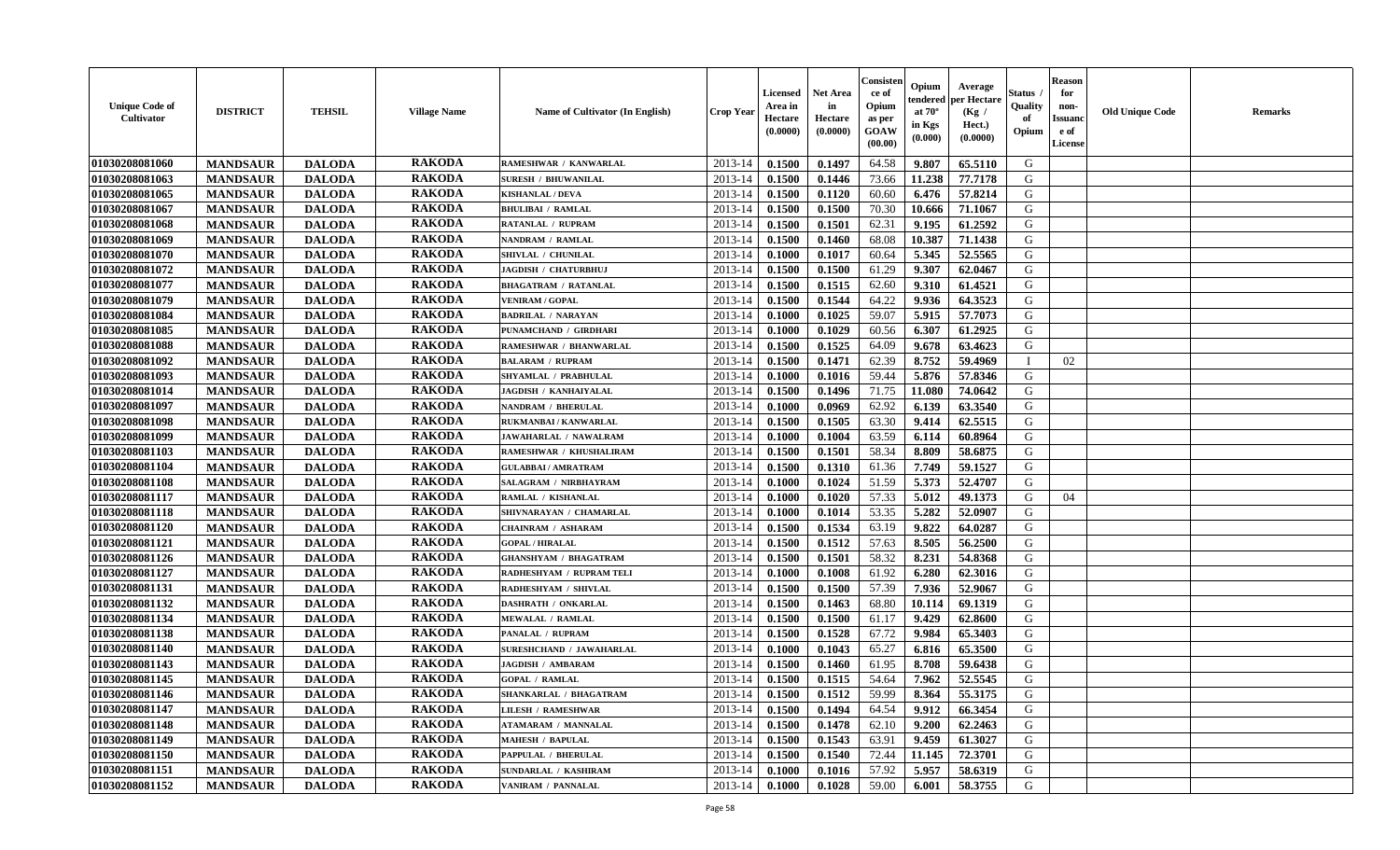| <b>Unique Code of</b><br>Cultivator | <b>DISTRICT</b> | <b>TEHSIL</b> | <b>Village Name</b> | <b>Name of Cultivator (In English)</b> | Crop Year   | Licensed<br>Area in<br>Hectare<br>(0.0000) | <b>Net Area</b><br>in<br>Hectare<br>(0.0000) | Consister<br>ce of<br>Opium<br>as per<br>GOAW<br>(00.00) | Opium<br>endered<br>at $70^\circ$<br>in Kgs<br>(0.000) | Average<br>per Hectare<br>(Kg /<br>Hect.)<br>(0.0000) | Status<br>Quality<br>of<br>Opium | <b>Reason</b><br>for<br>non-<br><b>Issuanc</b><br>e of<br><b>License</b> | <b>Old Unique Code</b> | <b>Remarks</b> |
|-------------------------------------|-----------------|---------------|---------------------|----------------------------------------|-------------|--------------------------------------------|----------------------------------------------|----------------------------------------------------------|--------------------------------------------------------|-------------------------------------------------------|----------------------------------|--------------------------------------------------------------------------|------------------------|----------------|
| 01030208081060                      | <b>MANDSAUR</b> | <b>DALODA</b> | <b>RAKODA</b>       | RAMESHWAR / KANWARLAL                  | 2013-14     | 0.1500                                     | 0.1497                                       | 64.58                                                    | 9.807                                                  | 65.5110                                               | G                                |                                                                          |                        |                |
| 01030208081063                      | <b>MANDSAUR</b> | <b>DALODA</b> | <b>RAKODA</b>       | <b>SURESH / BHUWANILAL</b>             | 2013-14     | 0.1500                                     | 0.1446                                       | 73.66                                                    | 11.238                                                 | 77.7178                                               | G                                |                                                                          |                        |                |
| 01030208081065                      | <b>MANDSAUR</b> | <b>DALODA</b> | <b>RAKODA</b>       | <b>KISHANLAL / DEVA</b>                | 2013-14     | 0.1500                                     | 0.1120                                       | 60.60                                                    | 6.476                                                  | 57.8214                                               | G                                |                                                                          |                        |                |
| 01030208081067                      | <b>MANDSAUR</b> | <b>DALODA</b> | <b>RAKODA</b>       | <b>BHULIBAI / RAMLAL</b>               | 2013-14     | 0.1500                                     | 0.1500                                       | 70.30                                                    | 10.666                                                 | 71.1067                                               | G                                |                                                                          |                        |                |
| 01030208081068                      | <b>MANDSAUR</b> | <b>DALODA</b> | <b>RAKODA</b>       | <b>RATANLAL / RUPRAM</b>               | $2013 - 14$ | 0.1500                                     | 0.1501                                       | 62.31                                                    | 9.195                                                  | 61.2592                                               | G                                |                                                                          |                        |                |
| 01030208081069                      | <b>MANDSAUR</b> | <b>DALODA</b> | <b>RAKODA</b>       | NANDRAM / RAMLAL                       | 2013-14     | 0.1500                                     | 0.1460                                       | 68.08                                                    | 10.387                                                 | 71.1438                                               | G                                |                                                                          |                        |                |
| 01030208081070                      | <b>MANDSAUR</b> | <b>DALODA</b> | <b>RAKODA</b>       | SHIVLAL / CHUNILAL                     | 2013-14     | 0.1000                                     | 0.1017                                       | 60.64                                                    | 5.345                                                  | 52.5565                                               | G                                |                                                                          |                        |                |
| 01030208081072                      | <b>MANDSAUR</b> | <b>DALODA</b> | <b>RAKODA</b>       | JAGDISH / CHATURBHUJ                   | 2013-14     | 0.1500                                     | 0.1500                                       | 61.29                                                    | 9.307                                                  | 62.0467                                               | G                                |                                                                          |                        |                |
| 01030208081077                      | <b>MANDSAUR</b> | <b>DALODA</b> | <b>RAKODA</b>       | <b>BHAGATRAM / RATANLAL</b>            | 2013-14     | 0.1500                                     | 0.1515                                       | 62.60                                                    | 9.310                                                  | 61.4521                                               | G                                |                                                                          |                        |                |
| 01030208081079                      | <b>MANDSAUR</b> | <b>DALODA</b> | <b>RAKODA</b>       | <b>VENIRAM / GOPAL</b>                 | 2013-14     | 0.1500                                     | 0.1544                                       | 64.22                                                    | 9.936                                                  | 64.3523                                               | G                                |                                                                          |                        |                |
| 01030208081084                      | <b>MANDSAUR</b> | <b>DALODA</b> | <b>RAKODA</b>       | <b>BADRILAL / NARAYAN</b>              | 2013-14     | 0.1000                                     | 0.1025                                       | 59.07                                                    | 5.915                                                  | 57.7073                                               | $\mathbf G$                      |                                                                          |                        |                |
| 01030208081085                      | <b>MANDSAUR</b> | <b>DALODA</b> | <b>RAKODA</b>       | PUNAMCHAND / GIRDHARI                  | $2013 - 14$ | 0.1000                                     | 0.1029                                       | 60.56                                                    | 6.307                                                  | 61.2925                                               | G                                |                                                                          |                        |                |
| 01030208081088                      | <b>MANDSAUR</b> | <b>DALODA</b> | <b>RAKODA</b>       | RAMESHWAR / BHANWARLAL                 | 2013-14     | 0.1500                                     | 0.1525                                       | 64.09                                                    | 9.678                                                  | 63.4623                                               | G                                |                                                                          |                        |                |
| 01030208081092                      | <b>MANDSAUR</b> | <b>DALODA</b> | <b>RAKODA</b>       | <b>BALARAM / RUPRAM</b>                | $2013 - 14$ | 0.1500                                     | 0.1471                                       | 62.39                                                    | 8.752                                                  | 59.4969                                               | $\blacksquare$                   | 02                                                                       |                        |                |
| 01030208081093                      | <b>MANDSAUR</b> | <b>DALODA</b> | <b>RAKODA</b>       | SHYAMLAL / PRABHULAL                   | 2013-14     | 0.1000                                     | 0.1016                                       | 59.44                                                    | 5.876                                                  | 57.8346                                               | G                                |                                                                          |                        |                |
| 01030208081014                      | <b>MANDSAUR</b> | <b>DALODA</b> | <b>RAKODA</b>       | <b>JAGDISH / KANHAIYALAL</b>           | 2013-14     | 0.1500                                     | 0.1496                                       | 71.75                                                    | 11.080                                                 | 74.0642                                               | G                                |                                                                          |                        |                |
| 01030208081097                      | <b>MANDSAUR</b> | <b>DALODA</b> | <b>RAKODA</b>       | <b>NANDRAM / BHERULAL</b>              | 2013-14     | 0.1000                                     | 0.0969                                       | 62.92                                                    | 6.139                                                  | 63.3540                                               | G                                |                                                                          |                        |                |
| 01030208081098                      | <b>MANDSAUR</b> | <b>DALODA</b> | <b>RAKODA</b>       | RUKMANBAI / KANWARLAL                  | 2013-14     | 0.1500                                     | 0.1505                                       | 63.30                                                    | 9.414                                                  | 62.5515                                               | G                                |                                                                          |                        |                |
| 01030208081099                      | <b>MANDSAUR</b> | <b>DALODA</b> | <b>RAKODA</b>       | JAWAHARLAL / NAWALRAM                  | 2013-14     | 0.1000                                     | 0.1004                                       | 63.59                                                    | 6.114                                                  | 60.8964                                               | G                                |                                                                          |                        |                |
| 01030208081103                      | <b>MANDSAUR</b> | <b>DALODA</b> | <b>RAKODA</b>       | RAMESHWAR / KHUSHALIRAM                | 2013-14     | 0.1500                                     | 0.1501                                       | 58.34                                                    | 8.809                                                  | 58.6875                                               | G                                |                                                                          |                        |                |
| 01030208081104                      | <b>MANDSAUR</b> | <b>DALODA</b> | <b>RAKODA</b>       | <b>GULABBAI/AMRATRAM</b>               | 2013-14     | 0.1500                                     | 0.1310                                       | 61.36                                                    | 7.749                                                  | 59.1527                                               | G                                |                                                                          |                        |                |
| 01030208081108                      | <b>MANDSAUR</b> | <b>DALODA</b> | <b>RAKODA</b>       | SALAGRAM / NIRBHAYRAM                  | $2013 - 14$ | 0.1000                                     | 0.1024                                       | 51.59                                                    | 5.373                                                  | 52.4707                                               | G                                |                                                                          |                        |                |
| 01030208081117                      | <b>MANDSAUR</b> | <b>DALODA</b> | <b>RAKODA</b>       | RAMLAL / KISHANLAL                     | 2013-14     | 0.1000                                     | 0.1020                                       | 57.33                                                    | 5.012                                                  | 49.1373                                               | G                                | 04                                                                       |                        |                |
| 01030208081118                      | <b>MANDSAUR</b> | <b>DALODA</b> | <b>RAKODA</b>       | SHIVNARAYAN / CHAMARLAL                | 2013-14     | 0.1000                                     | 0.1014                                       | 53.35                                                    | 5.282                                                  | 52.0907                                               | G                                |                                                                          |                        |                |
| 01030208081120                      | <b>MANDSAUR</b> | <b>DALODA</b> | <b>RAKODA</b>       | <b>CHAINRAM / ASHARAM</b>              | 2013-14     | 0.1500                                     | 0.1534                                       | 63.19                                                    | 9.822                                                  | 64.0287                                               | G                                |                                                                          |                        |                |
| 01030208081121                      | <b>MANDSAUR</b> | <b>DALODA</b> | <b>RAKODA</b>       | <b>GOPAL / HIRALAL</b>                 | 2013-14     | 0.1500                                     | 0.1512                                       | 57.63                                                    | 8.505                                                  | 56.2500                                               | G                                |                                                                          |                        |                |
| 01030208081126                      | <b>MANDSAUR</b> | <b>DALODA</b> | <b>RAKODA</b>       | <b>GHANSHYAM / BHAGATRAM</b>           | 2013-14     | 0.1500                                     | 0.1501                                       | 58.32                                                    | 8.231                                                  | 54.8368                                               | G                                |                                                                          |                        |                |
| 01030208081127                      | <b>MANDSAUR</b> | <b>DALODA</b> | <b>RAKODA</b>       | RADHESHYAM / RUPRAM TELI               | 2013-14     | 0.1000                                     | 0.1008                                       | 61.92                                                    | 6.280                                                  | 62.3016                                               | G                                |                                                                          |                        |                |
| 01030208081131                      | <b>MANDSAUR</b> | <b>DALODA</b> | <b>RAKODA</b>       | RADHESHYAM / SHIVLAL                   | 2013-14     | 0.1500                                     | 0.1500                                       | 57.39                                                    | 7.936                                                  | 52.9067                                               | G                                |                                                                          |                        |                |
| 01030208081132                      | <b>MANDSAUR</b> | <b>DALODA</b> | <b>RAKODA</b>       | <b>DASHRATH / ONKARLAL</b>             | $2013 - 14$ | 0.1500                                     | 0.1463                                       | 68.80                                                    | 10.114                                                 | 69.1319                                               | G                                |                                                                          |                        |                |
| 01030208081134                      | <b>MANDSAUR</b> | <b>DALODA</b> | <b>RAKODA</b>       | <b>MEWALAL / RAMLAL</b>                | $2013 - 14$ | 0.1500                                     | 0.1500                                       | 61.17                                                    | 9.429                                                  | 62.8600                                               | ${\bf G}$                        |                                                                          |                        |                |
| 01030208081138                      | <b>MANDSAUR</b> | <b>DALODA</b> | <b>RAKODA</b>       | <b>PANALAL / RUPRAM</b>                | 2013-14     | 0.1500                                     | 0.1528                                       | 67.72                                                    | 9.984                                                  | 65.3403                                               | G                                |                                                                          |                        |                |
| 01030208081140                      | <b>MANDSAUR</b> | <b>DALODA</b> | <b>RAKODA</b>       | <b>SURESHCHAND / JAWAHARLAL</b>        | 2013-14     | 0.1000                                     | 0.1043                                       | 65.27                                                    | 6.816                                                  | 65.3500                                               | G                                |                                                                          |                        |                |
| 01030208081143                      | <b>MANDSAUR</b> | <b>DALODA</b> | <b>RAKODA</b>       | <b>JAGDISH / AMBARAM</b>               | 2013-14     | 0.1500                                     | 0.1460                                       | 61.95                                                    | 8.708                                                  | 59.6438                                               | G                                |                                                                          |                        |                |
| 01030208081145                      | <b>MANDSAUR</b> | <b>DALODA</b> | <b>RAKODA</b>       | <b>GOPAL / RAMLAL</b>                  | 2013-14     | 0.1500                                     | 0.1515                                       | 54.64                                                    | 7.962                                                  | 52.5545                                               | G                                |                                                                          |                        |                |
| 01030208081146                      | <b>MANDSAUR</b> | <b>DALODA</b> | <b>RAKODA</b>       | SHANKARLAL / BHAGATRAM                 | 2013-14     | 0.1500                                     | 0.1512                                       | 59.99                                                    | 8.364                                                  | 55.3175                                               | G                                |                                                                          |                        |                |
| 01030208081147                      | <b>MANDSAUR</b> | <b>DALODA</b> | <b>RAKODA</b>       | <b>LILESH / RAMESHWAR</b>              | 2013-14     | 0.1500                                     | 0.1494                                       | 64.54                                                    | 9.912                                                  | 66.3454                                               | G                                |                                                                          |                        |                |
| 01030208081148                      | <b>MANDSAUR</b> | <b>DALODA</b> | <b>RAKODA</b>       | <b>ATAMARAM / MANNALAL</b>             | $2013 - 14$ | 0.1500                                     | 0.1478                                       | 62.10                                                    | 9.200                                                  | 62.2463                                               | G                                |                                                                          |                        |                |
| 01030208081149                      | <b>MANDSAUR</b> | <b>DALODA</b> | <b>RAKODA</b>       | <b>MAHESH / BAPULAL</b>                | $2013 - 14$ | 0.1500                                     | 0.1543                                       | 63.91                                                    | 9.459                                                  | 61.3027                                               | G                                |                                                                          |                        |                |
| 01030208081150                      | <b>MANDSAUR</b> | <b>DALODA</b> | <b>RAKODA</b>       | PAPPULAL / BHERULAL                    | $2013 - 14$ | 0.1500                                     | 0.1540                                       | 72.44                                                    | 11.145                                                 | 72.3701                                               | G                                |                                                                          |                        |                |
| 01030208081151                      | <b>MANDSAUR</b> | <b>DALODA</b> | <b>RAKODA</b>       | <b>SUNDARLAL / KASHIRAM</b>            | 2013-14     | 0.1000                                     | 0.1016                                       | 57.92                                                    | 5.957                                                  | 58.6319                                               | G                                |                                                                          |                        |                |
| 01030208081152                      | <b>MANDSAUR</b> | <b>DALODA</b> | <b>RAKODA</b>       | VANIRAM / PANNALAL                     | 2013-14     | 0.1000                                     | 0.1028                                       | 59.00                                                    | 6.001                                                  | 58.3755                                               | G                                |                                                                          |                        |                |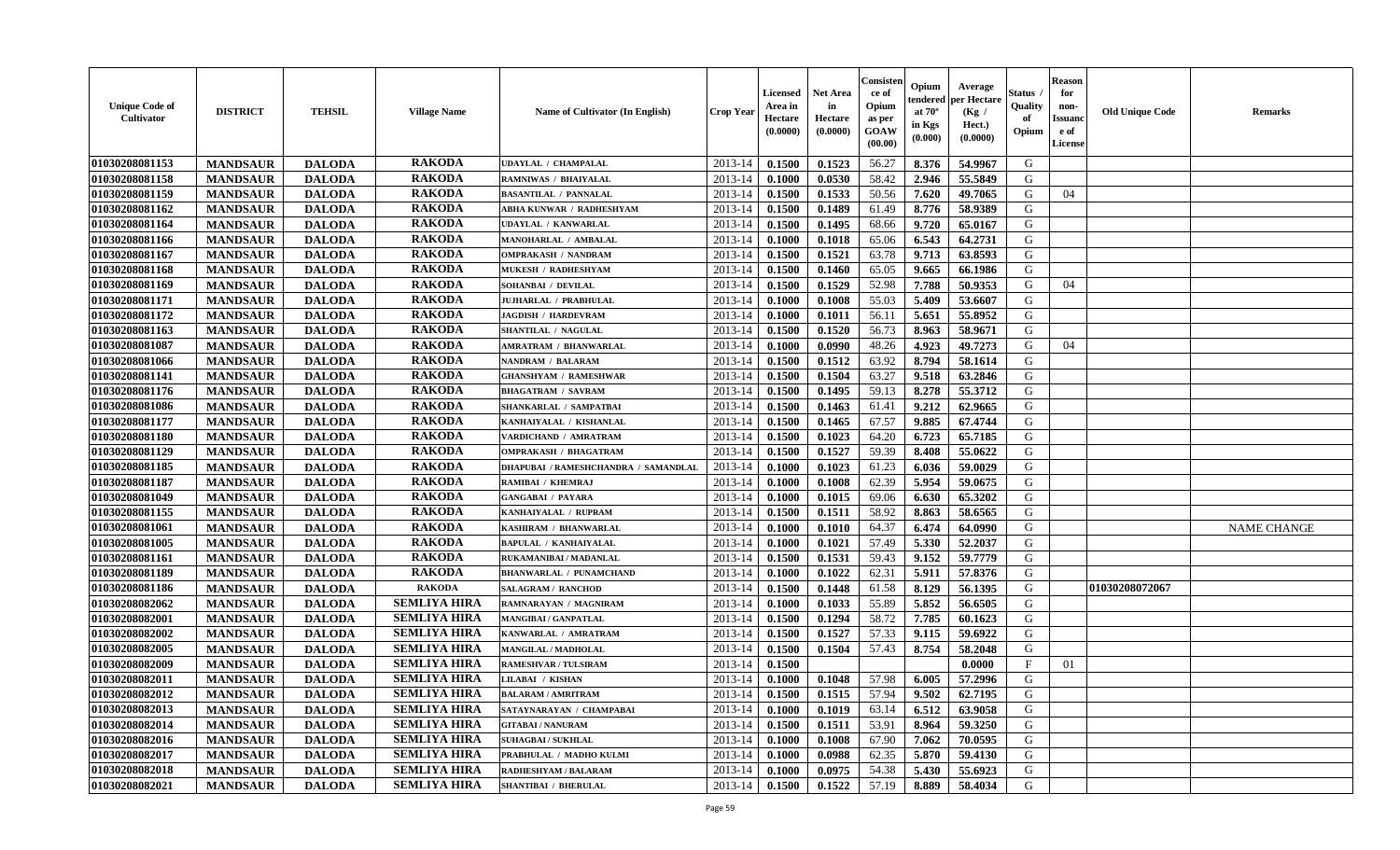| <b>Unique Code of</b><br><b>Cultivator</b> | <b>DISTRICT</b> | <b>TEHSIL</b> | <b>Village Name</b> | Name of Cultivator (In English)      | <b>Crop Year</b> | <b>Licensed</b><br>Area in<br>Hectare<br>(0.0000) | <b>Net Area</b><br>in<br>Hectare<br>(0.0000) | Consister<br>ce of<br>Opium<br>as per<br><b>GOAW</b><br>(00.00) | Opium<br>endered<br>at $70^\circ$<br>in Kgs<br>(0.000) | Average<br>per Hectare<br>(Kg /<br>Hect.)<br>(0.0000) | Status<br>Quality<br>of<br>Opium | <b>Reason</b><br>for<br>non-<br><b>Issuand</b><br>e of<br><b>License</b> | <b>Old Unique Code</b> | <b>Remarks</b>     |
|--------------------------------------------|-----------------|---------------|---------------------|--------------------------------------|------------------|---------------------------------------------------|----------------------------------------------|-----------------------------------------------------------------|--------------------------------------------------------|-------------------------------------------------------|----------------------------------|--------------------------------------------------------------------------|------------------------|--------------------|
| 01030208081153                             | <b>MANDSAUR</b> | <b>DALODA</b> | <b>RAKODA</b>       | <b>UDAYLAL / CHAMPALAL</b>           | 2013-14          | 0.1500                                            | 0.1523                                       | 56.27                                                           | 8.376                                                  | 54.9967                                               | G                                |                                                                          |                        |                    |
| 01030208081158                             | <b>MANDSAUR</b> | <b>DALODA</b> | <b>RAKODA</b>       | RAMNIWAS / BHAIYALAL                 | 2013-14          | 0.1000                                            | 0.0530                                       | 58.42                                                           | 2.946                                                  | 55.5849                                               | G                                |                                                                          |                        |                    |
| 01030208081159                             | <b>MANDSAUR</b> | <b>DALODA</b> | <b>RAKODA</b>       | <b>BASANTILAL / PANNALAL</b>         | 2013-14          | 0.1500                                            | 0.1533                                       | 50.56                                                           | 7.620                                                  | 49.7065                                               | G                                | 04                                                                       |                        |                    |
| 01030208081162                             | <b>MANDSAUR</b> | <b>DALODA</b> | <b>RAKODA</b>       | ABHA KUNWAR / RADHESHYAM             | 2013-14          | 0.1500                                            | 0.1489                                       | 61.49                                                           | 8.776                                                  | 58.9389                                               | G                                |                                                                          |                        |                    |
| 01030208081164                             | <b>MANDSAUR</b> | <b>DALODA</b> | <b>RAKODA</b>       | <b>UDAYLAL / KANWARLAL</b>           | 2013-14          | 0.1500                                            | 0.1495                                       | 68.66                                                           | 9.720                                                  | 65.0167                                               | G                                |                                                                          |                        |                    |
| 01030208081166                             | <b>MANDSAUR</b> | <b>DALODA</b> | <b>RAKODA</b>       | MANOHARLAL / AMBALAL                 | 2013-14          | 0.1000                                            | 0.1018                                       | 65.06                                                           | 6.543                                                  | 64.2731                                               | G                                |                                                                          |                        |                    |
| 01030208081167                             | <b>MANDSAUR</b> | <b>DALODA</b> | <b>RAKODA</b>       | <b>OMPRAKASH / NANDRAM</b>           | 2013-14          | 0.1500                                            | 0.1521                                       | 63.78                                                           | 9.713                                                  | 63.8593                                               | G                                |                                                                          |                        |                    |
| 01030208081168                             | <b>MANDSAUR</b> | <b>DALODA</b> | <b>RAKODA</b>       | MUKESH / RADHESHYAM                  | 2013-14          | 0.1500                                            | 0.1460                                       | 65.05                                                           | 9.665                                                  | 66.1986                                               | G                                |                                                                          |                        |                    |
| 01030208081169                             | <b>MANDSAUR</b> | <b>DALODA</b> | <b>RAKODA</b>       | SOHANBAI / DEVILAL                   | 2013-14          | 0.1500                                            | 0.1529                                       | 52.98                                                           | 7.788                                                  | 50.9353                                               | G                                | 04                                                                       |                        |                    |
| 01030208081171                             | <b>MANDSAUR</b> | <b>DALODA</b> | <b>RAKODA</b>       | JUJHARLAL / PRABHULAL                | 2013-14          | 0.1000                                            | 0.1008                                       | 55.03                                                           | 5.409                                                  | 53.6607                                               | G                                |                                                                          |                        |                    |
| 01030208081172                             | <b>MANDSAUR</b> | <b>DALODA</b> | <b>RAKODA</b>       | <b>JAGDISH / HARDEVRAM</b>           | 2013-14          | 0.1000                                            | 0.1011                                       | 56.11                                                           | 5.651                                                  | 55.8952                                               | G                                |                                                                          |                        |                    |
| 01030208081163                             | <b>MANDSAUR</b> | <b>DALODA</b> | <b>RAKODA</b>       | SHANTILAL / NAGULAL                  | 2013-14          | 0.1500                                            | 0.1520                                       | 56.73                                                           | 8.963                                                  | 58.9671                                               | G                                |                                                                          |                        |                    |
| 01030208081087                             | <b>MANDSAUR</b> | <b>DALODA</b> | <b>RAKODA</b>       | <b>AMRATRAM / BHANWARLAL</b>         | 2013-14          | 0.1000                                            | 0.0990                                       | 48.26                                                           | 4.923                                                  | 49.7273                                               | G                                | 04                                                                       |                        |                    |
| 01030208081066                             | <b>MANDSAUR</b> | <b>DALODA</b> | <b>RAKODA</b>       | <b>NANDRAM / BALARAM</b>             | 2013-14          | 0.1500                                            | 0.1512                                       | 63.92                                                           | 8.794                                                  | 58.1614                                               | G                                |                                                                          |                        |                    |
| 01030208081141                             | <b>MANDSAUR</b> | <b>DALODA</b> | <b>RAKODA</b>       | <b>GHANSHYAM / RAMESHWAR</b>         | 2013-14          | 0.1500                                            | 0.1504                                       | 63.27                                                           | 9.518                                                  | 63.2846                                               | G                                |                                                                          |                        |                    |
| 01030208081176                             | <b>MANDSAUR</b> | <b>DALODA</b> | <b>RAKODA</b>       | <b>BHAGATRAM / SAVRAM</b>            | 2013-14          | 0.1500                                            | 0.1495                                       | 59.13                                                           | 8.278                                                  | 55.3712                                               | G                                |                                                                          |                        |                    |
| 01030208081086                             | <b>MANDSAUR</b> | <b>DALODA</b> | <b>RAKODA</b>       | SHANKARLAL / SAMPATBAI               | 2013-14          | 0.1500                                            | 0.1463                                       | 61.41                                                           | 9.212                                                  | 62.9665                                               | G                                |                                                                          |                        |                    |
| 01030208081177                             | <b>MANDSAUR</b> | <b>DALODA</b> | <b>RAKODA</b>       | KANHAIYALAL / KISHANLAL              | 2013-14          | 0.1500                                            | 0.1465                                       | 67.57                                                           | 9.885                                                  | 67.4744                                               | G                                |                                                                          |                        |                    |
| 01030208081180                             | <b>MANDSAUR</b> | <b>DALODA</b> | <b>RAKODA</b>       | VARDICHAND / AMRATRAM                | 2013-14          | 0.1500                                            | 0.1023                                       | 64.20                                                           | 6.723                                                  | 65.7185                                               | G                                |                                                                          |                        |                    |
| 01030208081129                             | <b>MANDSAUR</b> | <b>DALODA</b> | <b>RAKODA</b>       | <b>OMPRAKASH / BHAGATRAM</b>         | 2013-14          | 0.1500                                            | 0.1527                                       | 59.39                                                           | 8.408                                                  | 55.0622                                               | G                                |                                                                          |                        |                    |
| 01030208081185                             | <b>MANDSAUR</b> | <b>DALODA</b> | <b>RAKODA</b>       | DHAPUBAI / RAMESHCHANDRA / SAMANDLAL | 2013-14          | 0.1000                                            | 0.1023                                       | 61.23                                                           | 6.036                                                  | 59.0029                                               | G                                |                                                                          |                        |                    |
| 01030208081187                             | <b>MANDSAUR</b> | <b>DALODA</b> | <b>RAKODA</b>       | RAMIBAI / KHEMRAJ                    | 2013-14          | 0.1000                                            | 0.1008                                       | 62.39                                                           | 5.954                                                  | 59.0675                                               | G                                |                                                                          |                        |                    |
| 01030208081049                             | <b>MANDSAUR</b> | <b>DALODA</b> | <b>RAKODA</b>       | <b>GANGABAI / PAYARA</b>             | 2013-14          | 0.1000                                            | 0.1015                                       | 69.06                                                           | 6.630                                                  | 65.3202                                               | G                                |                                                                          |                        |                    |
| 01030208081155                             | <b>MANDSAUR</b> | <b>DALODA</b> | <b>RAKODA</b>       | KANHAIYALAL / RUPRAM                 | 2013-14          | 0.1500                                            | 0.1511                                       | 58.92                                                           | 8.863                                                  | 58.6565                                               | G                                |                                                                          |                        |                    |
| 01030208081061                             | <b>MANDSAUR</b> | <b>DALODA</b> | <b>RAKODA</b>       | KASHIRAM / BHANWARLAL                | 2013-14          | 0.1000                                            | 0.1010                                       | 64.37                                                           | 6.474                                                  | 64.0990                                               | G                                |                                                                          |                        | <b>NAME CHANGE</b> |
| 01030208081005                             | <b>MANDSAUR</b> | <b>DALODA</b> | <b>RAKODA</b>       | <b>BAPULAL / KANHAIYALAL</b>         | 2013-14          | 0.1000                                            | 0.1021                                       | 57.49                                                           | 5.330                                                  | 52,2037                                               | G                                |                                                                          |                        |                    |
| 01030208081161                             | <b>MANDSAUR</b> | <b>DALODA</b> | <b>RAKODA</b>       | RUKAMANIBAI / MADANLAL               | 2013-14          | 0.1500                                            | 0.1531                                       | 59.43                                                           | 9.152                                                  | 59.7779                                               | G                                |                                                                          |                        |                    |
| 01030208081189                             | <b>MANDSAUR</b> | <b>DALODA</b> | <b>RAKODA</b>       | <b>BHANWARLAL / PUNAMCHAND</b>       | 2013-14          | 0.1000                                            | 0.1022                                       | 62.31                                                           | 5.911                                                  | 57.8376                                               | G                                |                                                                          |                        |                    |
| 01030208081186                             | <b>MANDSAUR</b> | <b>DALODA</b> | <b>RAKODA</b>       | <b>SALAGRAM / RANCHOD</b>            | 2013-14          | 0.1500                                            | 0.1448                                       | 61.58                                                           | 8.129                                                  | 56.1395                                               | G                                |                                                                          | 01030208072067         |                    |
| 01030208082062                             | <b>MANDSAUR</b> | <b>DALODA</b> | <b>SEMLIYA HIRA</b> | RAMNARAYAN / MAGNIRAM                | 2013-14          | 0.1000                                            | 0.1033                                       | 55.89                                                           | 5.852                                                  | 56.6505                                               | G                                |                                                                          |                        |                    |
| 01030208082001                             | <b>MANDSAUR</b> | <b>DALODA</b> | <b>SEMLIYA HIRA</b> | <b>MANGIBAI/GANPATLAL</b>            | 2013-14          | 0.1500                                            | 0.1294                                       | 58.72                                                           | 7.785                                                  | 60.1623                                               | G                                |                                                                          |                        |                    |
| 01030208082002                             | <b>MANDSAUR</b> | <b>DALODA</b> | <b>SEMLIYA HIRA</b> | KANWARLAL / AMRATRAM                 | 2013-14          | 0.1500                                            | 0.1527                                       | 57.33                                                           | 9.115                                                  | 59.6922                                               | G                                |                                                                          |                        |                    |
| 01030208082005                             | <b>MANDSAUR</b> | <b>DALODA</b> | <b>SEMLIYA HIRA</b> | MANGILAL / MADHOLAL                  | 2013-14          | 0.1500                                            | 0.1504                                       | 57.43                                                           | 8.754                                                  | 58.2048                                               | G                                |                                                                          |                        |                    |
| 01030208082009                             | <b>MANDSAUR</b> | <b>DALODA</b> | <b>SEMLIYA HIRA</b> | <b>RAMESHVAR / TULSIRAM</b>          | 2013-14          | 0.1500                                            |                                              |                                                                 |                                                        | 0.0000                                                | $\mathbf{F}$                     | 01                                                                       |                        |                    |
| 01030208082011                             | <b>MANDSAUR</b> | <b>DALODA</b> | <b>SEMLIYA HIRA</b> | <b>LILABAI / KISHAN</b>              | 2013-14          | 0.1000                                            | 0.1048                                       | 57.98                                                           | 6.005                                                  | 57.2996                                               | G                                |                                                                          |                        |                    |
| 01030208082012                             | <b>MANDSAUR</b> | <b>DALODA</b> | <b>SEMLIYA HIRA</b> | <b>BALARAM / AMRITRAM</b>            | 2013-14          | 0.1500                                            | 0.1515                                       | 57.94                                                           | 9.502                                                  | 62.7195                                               | G                                |                                                                          |                        |                    |
| 01030208082013                             | <b>MANDSAUR</b> | <b>DALODA</b> | <b>SEMLIYA HIRA</b> | SATAYNARAYAN / CHAMPABAI             | 2013-14          | 0.1000                                            | 0.1019                                       | 63.14                                                           | 6.512                                                  | 63.9058                                               | G                                |                                                                          |                        |                    |
| 01030208082014                             | <b>MANDSAUR</b> | <b>DALODA</b> | <b>SEMLIYA HIRA</b> | <b>GITABAI/NANURAM</b>               | 2013-14          | 0.1500                                            | 0.1511                                       | 53.91                                                           | 8.964                                                  | 59.3250                                               | G                                |                                                                          |                        |                    |
| 01030208082016                             | <b>MANDSAUR</b> | <b>DALODA</b> | <b>SEMLIYA HIRA</b> | <b>SUHAGBAI/SUKHLAL</b>              | 2013-14          | 0.1000                                            | 0.1008                                       | 67.90                                                           | 7.062                                                  | 70.0595                                               | G                                |                                                                          |                        |                    |
| 01030208082017                             | <b>MANDSAUR</b> | <b>DALODA</b> | <b>SEMLIYA HIRA</b> | PRABHULAL / MADHO KULMI              | 2013-14          | 0.1000                                            | 0.0988                                       | 62.35                                                           | 5.870                                                  | 59.4130                                               | ${\bf G}$                        |                                                                          |                        |                    |
| 01030208082018                             | <b>MANDSAUR</b> | <b>DALODA</b> | <b>SEMLIYA HIRA</b> | RADHESHYAM / BALARAM                 | 2013-14          | 0.1000                                            | 0.0975                                       | 54.38                                                           | 5.430                                                  | 55.6923                                               | G                                |                                                                          |                        |                    |
| 01030208082021                             | <b>MANDSAUR</b> | <b>DALODA</b> | <b>SEMLIYA HIRA</b> | <b>SHANTIBAI / BHERULAL</b>          | 2013-14          | 0.1500                                            | 0.1522                                       | 57.19                                                           | 8.889                                                  | 58.4034                                               | G                                |                                                                          |                        |                    |
|                                            |                 |               |                     |                                      |                  |                                                   |                                              |                                                                 |                                                        |                                                       |                                  |                                                                          |                        |                    |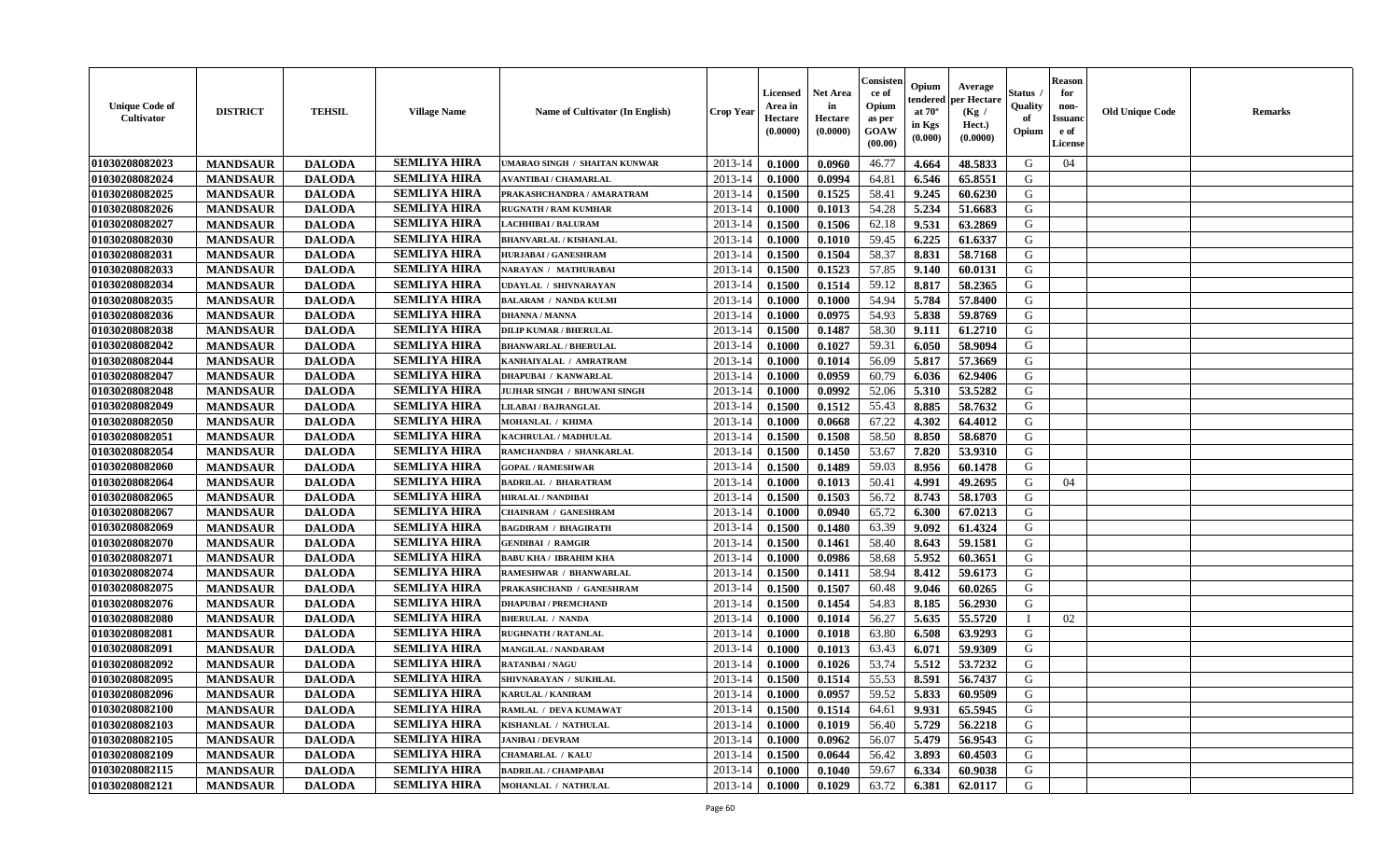| <b>Unique Code of</b><br><b>Cultivator</b> | <b>DISTRICT</b> | <b>TEHSIL</b> | <b>Village Name</b> | <b>Name of Cultivator (In English)</b> | <b>Crop Year</b> | <b>Licensed</b><br>Area in<br>Hectare<br>(0.0000) | Net Area<br>in<br>Hectare<br>(0.0000) | Consisteı<br>ce of<br>Opium<br>as per<br>GOAW<br>(00.00) | Opium<br>endered<br>at $70^\circ$<br>in Kgs<br>(0.000) | Average<br>per Hectare<br>(Kg /<br>Hect.)<br>(0.0000) | Status<br>Quality<br>of<br>Opium | <b>Reason</b><br>for<br>non-<br><b>Issuand</b><br>e of<br>License | <b>Old Unique Code</b> | Remarks |
|--------------------------------------------|-----------------|---------------|---------------------|----------------------------------------|------------------|---------------------------------------------------|---------------------------------------|----------------------------------------------------------|--------------------------------------------------------|-------------------------------------------------------|----------------------------------|-------------------------------------------------------------------|------------------------|---------|
| 01030208082023                             | <b>MANDSAUR</b> | <b>DALODA</b> | <b>SEMLIYA HIRA</b> | UMARAO SINGH / SHAITAN KUNWAR          | 2013-14          | 0.1000                                            | 0.0960                                | 46.77                                                    | 4.664                                                  | 48.5833                                               | G                                | 04                                                                |                        |         |
| 01030208082024                             | <b>MANDSAUR</b> | <b>DALODA</b> | <b>SEMLIYA HIRA</b> | <b>AVANTIBAI / CHAMARLAL</b>           | 2013-14          | 0.1000                                            | 0.0994                                | 64.81                                                    | 6.546                                                  | 65.8551                                               | G                                |                                                                   |                        |         |
| 01030208082025                             | <b>MANDSAUR</b> | <b>DALODA</b> | <b>SEMLIYA HIRA</b> | PRAKASHCHANDRA / AMARATRAM             | 2013-14          | 0.1500                                            | 0.1525                                | 58.41                                                    | 9.245                                                  | 60.6230                                               | G                                |                                                                   |                        |         |
| 01030208082026                             | <b>MANDSAUR</b> | <b>DALODA</b> | <b>SEMLIYA HIRA</b> | <b>RUGNATH / RAM KUMHAR</b>            | 2013-14          | 0.1000                                            | 0.1013                                | 54.28                                                    | 5.234                                                  | 51.6683                                               | G                                |                                                                   |                        |         |
| 01030208082027                             | <b>MANDSAUR</b> | <b>DALODA</b> | <b>SEMLIYA HIRA</b> | LACHHIBAI / BALURAM                    | 2013-14          | 0.1500                                            | 0.1506                                | 62.18                                                    | 9.531                                                  | 63.2869                                               | G                                |                                                                   |                        |         |
| 01030208082030                             | <b>MANDSAUR</b> | <b>DALODA</b> | <b>SEMLIYA HIRA</b> | <b>BHANVARLAL / KISHANLAL</b>          | 2013-14          | 0.1000                                            | 0.1010                                | 59.45                                                    | 6.225                                                  | 61.6337                                               | G                                |                                                                   |                        |         |
| 01030208082031                             | <b>MANDSAUR</b> | <b>DALODA</b> | <b>SEMLIYA HIRA</b> | <b>HURJABAI / GANESHRAM</b>            | 2013-14          | 0.1500                                            | 0.1504                                | 58.37                                                    | 8.831                                                  | 58.7168                                               | G                                |                                                                   |                        |         |
| 01030208082033                             | <b>MANDSAUR</b> | <b>DALODA</b> | <b>SEMLIYA HIRA</b> | NARAYAN / MATHURABAI                   | 2013-14          | 0.1500                                            | 0.1523                                | 57.85                                                    | 9.140                                                  | 60.0131                                               | G                                |                                                                   |                        |         |
| 01030208082034                             | <b>MANDSAUR</b> | <b>DALODA</b> | <b>SEMLIYA HIRA</b> | <b>UDAYLAL / SHIVNARAYAN</b>           | 2013-14          | 0.1500                                            | 0.1514                                | 59.12                                                    | 8.817                                                  | 58.2365                                               | G                                |                                                                   |                        |         |
| 01030208082035                             | <b>MANDSAUR</b> | <b>DALODA</b> | <b>SEMLIYA HIRA</b> | <b>BALARAM / NANDA KULMI</b>           | 2013-14          | 0.1000                                            | 0.1000                                | 54.94                                                    | 5.784                                                  | 57.8400                                               | G                                |                                                                   |                        |         |
| 01030208082036                             | <b>MANDSAUR</b> | <b>DALODA</b> | <b>SEMLIYA HIRA</b> | <b>DHANNA / MANNA</b>                  | 2013-14          | 0.1000                                            | 0.0975                                | 54.93                                                    | 5.838                                                  | 59.8769                                               | G                                |                                                                   |                        |         |
| 01030208082038                             | <b>MANDSAUR</b> | <b>DALODA</b> | <b>SEMLIYA HIRA</b> | <b>DILIP KUMAR / BHERULAL</b>          | 2013-14          | 0.1500                                            | 0.1487                                | 58.30                                                    | 9.111                                                  | 61.2710                                               | G                                |                                                                   |                        |         |
| 01030208082042                             | <b>MANDSAUR</b> | <b>DALODA</b> | <b>SEMLIYA HIRA</b> | <b>BHANWARLAL / BHERULAL</b>           | 2013-14          | 0.1000                                            | 0.1027                                | 59.31                                                    | 6.050                                                  | 58.9094                                               | G                                |                                                                   |                        |         |
| 01030208082044                             | <b>MANDSAUR</b> | <b>DALODA</b> | <b>SEMLIYA HIRA</b> | KANHAIYALAL / AMRATRAM                 | 2013-14          | 0.1000                                            | 0.1014                                | 56.09                                                    | 5.817                                                  | 57.3669                                               | G                                |                                                                   |                        |         |
| 01030208082047                             | <b>MANDSAUR</b> | <b>DALODA</b> | <b>SEMLIYA HIRA</b> | DHAPUBAI / KANWARLAL                   | 2013-14          | 0.1000                                            | 0.0959                                | 60.79                                                    | 6.036                                                  | 62.9406                                               | $\mathbf G$                      |                                                                   |                        |         |
| 01030208082048                             | <b>MANDSAUR</b> | <b>DALODA</b> | <b>SEMLIYA HIRA</b> | JUJHAR SINGH / BHUWANI SINGH           | 2013-14          | 0.1000                                            | 0.0992                                | 52.06                                                    | 5.310                                                  | 53.5282                                               | G                                |                                                                   |                        |         |
| 01030208082049                             | <b>MANDSAUR</b> | <b>DALODA</b> | <b>SEMLIYA HIRA</b> | LILABAI / BAJRANGLAL                   | 2013-14          | 0.1500                                            | 0.1512                                | 55.43                                                    | 8.885                                                  | 58.7632                                               | G                                |                                                                   |                        |         |
| 01030208082050                             | <b>MANDSAUR</b> | <b>DALODA</b> | <b>SEMLIYA HIRA</b> | MOHANLAL / KHIMA                       | 2013-14          | 0.1000                                            | 0.0668                                | 67.22                                                    | 4.302                                                  | 64.4012                                               | G                                |                                                                   |                        |         |
| 01030208082051                             | <b>MANDSAUR</b> | <b>DALODA</b> | <b>SEMLIYA HIRA</b> | KACHRULAL / MADHULAL                   | 2013-14          | 0.1500                                            | 0.1508                                | 58.50                                                    | 8.850                                                  | 58.6870                                               | G                                |                                                                   |                        |         |
| 01030208082054                             | <b>MANDSAUR</b> | <b>DALODA</b> | <b>SEMLIYA HIRA</b> | RAMCHANDRA / SHANKARLAL                | 2013-14          | 0.1500                                            | 0.1450                                | 53.67                                                    | 7.820                                                  | 53.9310                                               | G                                |                                                                   |                        |         |
| 01030208082060                             | <b>MANDSAUR</b> | <b>DALODA</b> | <b>SEMLIYA HIRA</b> | <b>GOPAL / RAMESHWAR</b>               | 2013-14          | 0.1500                                            | 0.1489                                | 59.03                                                    | 8.956                                                  | 60.1478                                               | G                                |                                                                   |                        |         |
| 01030208082064                             | <b>MANDSAUR</b> | <b>DALODA</b> | <b>SEMLIYA HIRA</b> | <b>BADRILAL / BHARATRAM</b>            | 2013-14          | 0.1000                                            | 0.1013                                | 50.41                                                    | 4.991                                                  | 49.2695                                               | G                                | 04                                                                |                        |         |
| 01030208082065                             | <b>MANDSAUR</b> | <b>DALODA</b> | <b>SEMLIYA HIRA</b> | <b>HIRALAL / NANDIBAI</b>              | 2013-14          | 0.1500                                            | 0.1503                                | 56.72                                                    | 8.743                                                  | 58.1703                                               | G                                |                                                                   |                        |         |
| 01030208082067                             | <b>MANDSAUR</b> | <b>DALODA</b> | <b>SEMLIYA HIRA</b> | CHAINRAM / GANESHRAM                   | 2013-14          | 0.1000                                            | 0.0940                                | 65.72                                                    | 6.300                                                  | 67.0213                                               | G                                |                                                                   |                        |         |
| 01030208082069                             | <b>MANDSAUR</b> | <b>DALODA</b> | <b>SEMLIYA HIRA</b> | <b>BAGDIRAM / BHAGIRATH</b>            | 2013-14          | 0.1500                                            | 0.1480                                | 63.39                                                    | 9.092                                                  | 61.4324                                               | G                                |                                                                   |                        |         |
| 01030208082070                             | <b>MANDSAUR</b> | <b>DALODA</b> | <b>SEMLIYA HIRA</b> | <b>GENDIBAI / RAMGIR</b>               | 2013-14          | 0.1500                                            | 0.1461                                | 58.40                                                    | 8.643                                                  | 59.1581                                               | G                                |                                                                   |                        |         |
| 01030208082071                             | <b>MANDSAUR</b> | <b>DALODA</b> | <b>SEMLIYA HIRA</b> | <b>BABU KHA / IBRAHIM KHA</b>          | 2013-14          | 0.1000                                            | 0.0986                                | 58.68                                                    | 5.952                                                  | 60.3651                                               | G                                |                                                                   |                        |         |
| 01030208082074                             | <b>MANDSAUR</b> | <b>DALODA</b> | <b>SEMLIYA HIRA</b> | RAMESHWAR / BHANWARLAL                 | 2013-14          | 0.1500                                            | 0.1411                                | 58.94                                                    | 8.412                                                  | 59.6173                                               | G                                |                                                                   |                        |         |
| 01030208082075                             | <b>MANDSAUR</b> | <b>DALODA</b> | <b>SEMLIYA HIRA</b> | PRAKASHCHAND / GANESHRAM               | 2013-14          | 0.1500                                            | 0.1507                                | 60.48                                                    | 9.046                                                  | 60.0265                                               | G                                |                                                                   |                        |         |
| 01030208082076                             | <b>MANDSAUR</b> | <b>DALODA</b> | <b>SEMLIYA HIRA</b> | <b>DHAPUBAI/PREMCHAND</b>              | 2013-14          | 0.1500                                            | 0.1454                                | 54.83                                                    | 8.185                                                  | 56.2930                                               | G                                |                                                                   |                        |         |
| 01030208082080                             | <b>MANDSAUR</b> | <b>DALODA</b> | <b>SEMLIYA HIRA</b> | <b>BHERULAL / NANDA</b>                | 2013-14          | 0.1000                                            | 0.1014                                | 56.27                                                    | 5.635                                                  | 55.5720                                               | $\mathbf{I}$                     | 02                                                                |                        |         |
| 01030208082081                             | <b>MANDSAUR</b> | <b>DALODA</b> | <b>SEMLIYA HIRA</b> | <b>RUGHNATH / RATANLAL</b>             | 2013-14          | 0.1000                                            | 0.1018                                | 63.80                                                    | 6.508                                                  | 63.9293                                               | G                                |                                                                   |                        |         |
| 01030208082091                             | <b>MANDSAUR</b> | <b>DALODA</b> | <b>SEMLIYA HIRA</b> | <b>MANGILAL / NANDARAM</b>             | 2013-14          | 0.1000                                            | 0.1013                                | 63.43                                                    | 6.071                                                  | 59.9309                                               | G                                |                                                                   |                        |         |
| 01030208082092                             | <b>MANDSAUR</b> | <b>DALODA</b> | <b>SEMLIYA HIRA</b> | <b>RATANBAI/NAGU</b>                   | 2013-14          | 0.1000                                            | 0.1026                                | 53.74                                                    | 5.512                                                  | 53.7232                                               | G                                |                                                                   |                        |         |
| 01030208082095                             | <b>MANDSAUR</b> | <b>DALODA</b> | <b>SEMLIYA HIRA</b> | SHIVNARAYAN / SUKHLAL                  | 2013-14          | 0.1500                                            | 0.1514                                | 55.53                                                    | 8.591                                                  | 56.7437                                               | G                                |                                                                   |                        |         |
| 01030208082096                             | <b>MANDSAUR</b> | <b>DALODA</b> | <b>SEMLIYA HIRA</b> | <b>KARULAL / KANIRAM</b>               | 2013-14          | 0.1000                                            | 0.0957                                | 59.52                                                    | 5.833                                                  | 60.9509                                               | G                                |                                                                   |                        |         |
| 01030208082100                             | <b>MANDSAUR</b> | <b>DALODA</b> | <b>SEMLIYA HIRA</b> | RAMLAL / DEVA KUMAWAT                  | 2013-14          | 0.1500                                            | 0.1514                                | 64.61                                                    | 9.931                                                  | 65.5945                                               | G                                |                                                                   |                        |         |
| 01030208082103                             | <b>MANDSAUR</b> | <b>DALODA</b> | <b>SEMLIYA HIRA</b> | KISHANLAL / NATHULAL                   | 2013-14          | 0.1000                                            | 0.1019                                | 56.40                                                    | 5.729                                                  | 56.2218                                               | G                                |                                                                   |                        |         |
| 01030208082105                             | <b>MANDSAUR</b> | <b>DALODA</b> | <b>SEMLIYA HIRA</b> | <b>JANIBAI / DEVRAM</b>                | 2013-14          | 0.1000                                            | 0.0962                                | 56.07                                                    | 5.479                                                  | 56.9543                                               | G                                |                                                                   |                        |         |
| 01030208082109                             | <b>MANDSAUR</b> | <b>DALODA</b> | <b>SEMLIYA HIRA</b> | CHAMARLAL / KALU                       | 2013-14          | 0.1500                                            | 0.0644                                | 56.42                                                    | 3.893                                                  | 60.4503                                               | ${\bf G}$                        |                                                                   |                        |         |
| 01030208082115                             | <b>MANDSAUR</b> | <b>DALODA</b> | <b>SEMLIYA HIRA</b> | <b>BADRILAL / CHAMPABAI</b>            | 2013-14          | 0.1000                                            | 0.1040                                | 59.67                                                    | 6.334                                                  | 60.9038                                               | G                                |                                                                   |                        |         |
| 01030208082121                             | <b>MANDSAUR</b> | <b>DALODA</b> | <b>SEMLIYA HIRA</b> | <b>MOHANLAL / NATHULAL</b>             | 2013-14          | 0.1000                                            | 0.1029                                | 63.72                                                    | 6.381                                                  | 62.0117                                               | G                                |                                                                   |                        |         |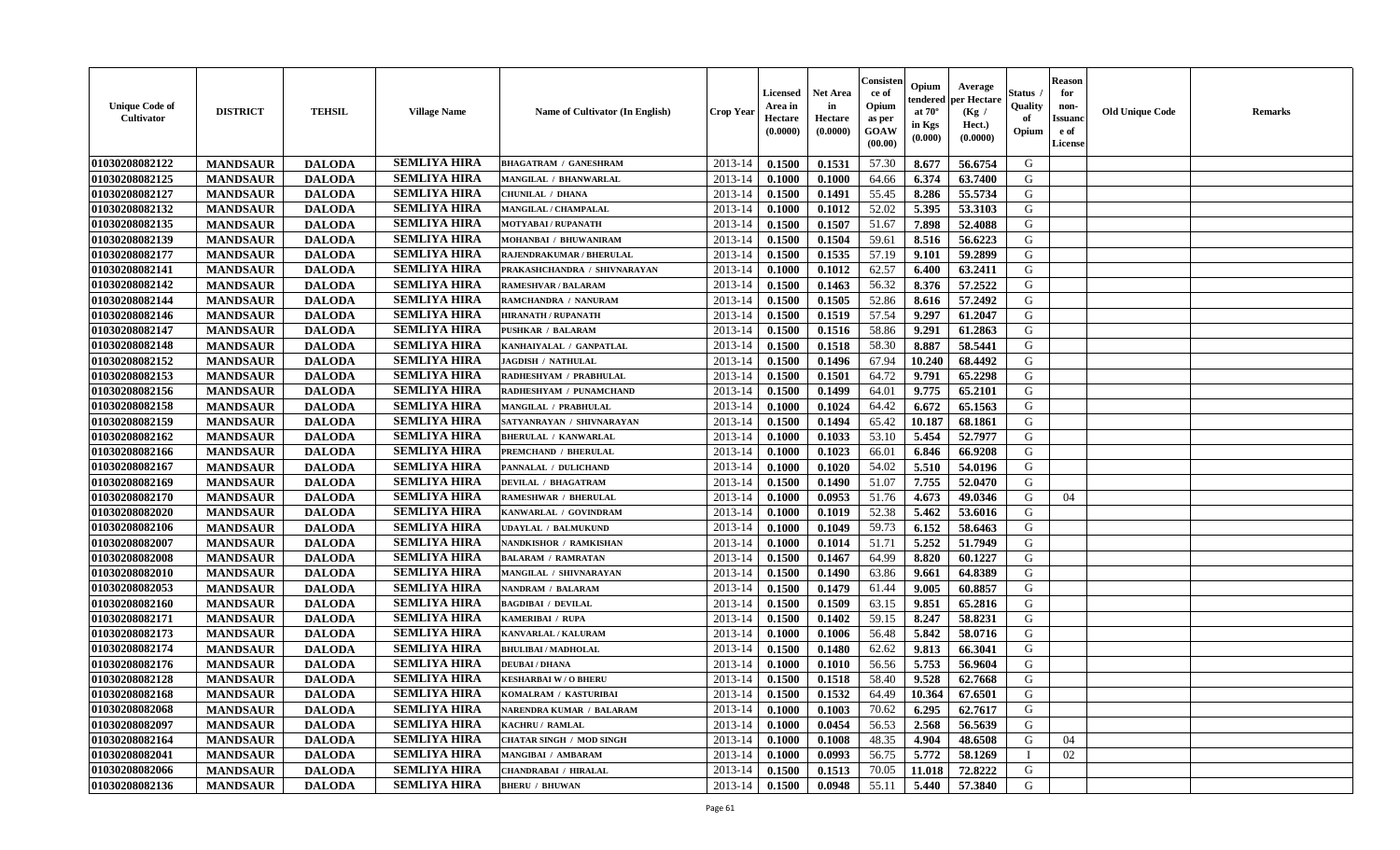| <b>Unique Code of</b><br><b>Cultivator</b> | <b>DISTRICT</b> | <b>TEHSIL</b> | <b>Village Name</b> | Name of Cultivator (In English) | <b>Crop Year</b> | <b>Licensed</b><br>Area in<br>Hectare<br>(0.0000) | Net Area<br>in<br>Hectare<br>(0.0000) | Consister<br>ce of<br>Opium<br>as per<br>GOAW<br>(00.00) | Opium<br>endered<br>at $70^\circ$<br>in Kgs<br>(0.000) | Average<br>per Hectare<br>(Kg /<br>Hect.)<br>(0.0000) | Status<br>Quality<br>of<br>Opium | <b>Reason</b><br>for<br>non-<br><b>Issuanc</b><br>e of<br>License | <b>Old Unique Code</b> | Remarks |
|--------------------------------------------|-----------------|---------------|---------------------|---------------------------------|------------------|---------------------------------------------------|---------------------------------------|----------------------------------------------------------|--------------------------------------------------------|-------------------------------------------------------|----------------------------------|-------------------------------------------------------------------|------------------------|---------|
| 01030208082122                             | <b>MANDSAUR</b> | <b>DALODA</b> | <b>SEMLIYA HIRA</b> | <b>BHAGATRAM / GANESHRAM</b>    | 2013-14          | 0.1500                                            | 0.1531                                | 57.30                                                    | 8.677                                                  | 56.6754                                               | G                                |                                                                   |                        |         |
| 01030208082125                             | <b>MANDSAUR</b> | <b>DALODA</b> | <b>SEMLIYA HIRA</b> | MANGILAL / BHANWARLAL           | 2013-14          | 0.1000                                            | 0.1000                                | 64.66                                                    | 6.374                                                  | 63.7400                                               | G                                |                                                                   |                        |         |
| 01030208082127                             | <b>MANDSAUR</b> | <b>DALODA</b> | <b>SEMLIYA HIRA</b> | CHUNILAL / DHANA                | 2013-14          | 0.1500                                            | 0.1491                                | 55.45                                                    | 8.286                                                  | 55.5734                                               | G                                |                                                                   |                        |         |
| 01030208082132                             | <b>MANDSAUR</b> | <b>DALODA</b> | <b>SEMLIYA HIRA</b> | MANGILAL / CHAMPALAL            | 2013-14          | 0.1000                                            | 0.1012                                | 52.02                                                    | 5.395                                                  | 53.3103                                               | G                                |                                                                   |                        |         |
| 01030208082135                             | <b>MANDSAUR</b> | <b>DALODA</b> | <b>SEMLIYA HIRA</b> | <b>MOTYABAI/RUPANATH</b>        | 2013-14          | 0.1500                                            | 0.1507                                | 51.67                                                    | 7.898                                                  | 52.4088                                               | G                                |                                                                   |                        |         |
| 01030208082139                             | <b>MANDSAUR</b> | <b>DALODA</b> | <b>SEMLIYA HIRA</b> | MOHANBAI / BHUWANIRAM           | 2013-14          | 0.1500                                            | 0.1504                                | 59.61                                                    | 8.516                                                  | 56.6223                                               | G                                |                                                                   |                        |         |
| 01030208082177                             | <b>MANDSAUR</b> | <b>DALODA</b> | <b>SEMLIYA HIRA</b> | RAJENDRAKUMAR / BHERULAL        | 2013-14          | 0.1500                                            | 0.1535                                | 57.19                                                    | 9.101                                                  | 59.2899                                               | G                                |                                                                   |                        |         |
| 01030208082141                             | <b>MANDSAUR</b> | <b>DALODA</b> | <b>SEMLIYA HIRA</b> | PRAKASHCHANDRA / SHIVNARAYAN    | 2013-14          | 0.1000                                            | 0.1012                                | 62.57                                                    | 6.400                                                  | 63.2411                                               | G                                |                                                                   |                        |         |
| 01030208082142                             | <b>MANDSAUR</b> | <b>DALODA</b> | <b>SEMLIYA HIRA</b> | <b>RAMESHVAR / BALARAM</b>      | 2013-14          | 0.1500                                            | 0.1463                                | 56.32                                                    | 8.376                                                  | 57.2522                                               | G                                |                                                                   |                        |         |
| 01030208082144                             | <b>MANDSAUR</b> | <b>DALODA</b> | <b>SEMLIYA HIRA</b> | RAMCHANDRA / NANURAM            | 2013-14          | 0.1500                                            | 0.1505                                | 52.86                                                    | 8.616                                                  | 57.2492                                               | G                                |                                                                   |                        |         |
| 01030208082146                             | <b>MANDSAUR</b> | <b>DALODA</b> | <b>SEMLIYA HIRA</b> | <b>HIRANATH / RUPANATH</b>      | 2013-14          | 0.1500                                            | 0.1519                                | 57.54                                                    | 9.297                                                  | 61.2047                                               | G                                |                                                                   |                        |         |
| 01030208082147                             | <b>MANDSAUR</b> | <b>DALODA</b> | <b>SEMLIYA HIRA</b> | <b>PUSHKAR / BALARAM</b>        | 2013-14          | 0.1500                                            | 0.1516                                | 58.86                                                    | 9.291                                                  | 61.2863                                               | G                                |                                                                   |                        |         |
| 01030208082148                             | <b>MANDSAUR</b> | <b>DALODA</b> | <b>SEMLIYA HIRA</b> | KANHAIYALAL / GANPATLAL         | 2013-14          | 0.1500                                            | 0.1518                                | 58.30                                                    | 8.887                                                  | 58.5441                                               | G                                |                                                                   |                        |         |
| 01030208082152                             | <b>MANDSAUR</b> | <b>DALODA</b> | <b>SEMLIYA HIRA</b> | <b>JAGDISH / NATHULAL</b>       | 2013-14          | 0.1500                                            | 0.1496                                | 67.94                                                    | 10.240                                                 | 68.4492                                               | G                                |                                                                   |                        |         |
| 01030208082153                             | <b>MANDSAUR</b> | <b>DALODA</b> | <b>SEMLIYA HIRA</b> | RADHESHYAM / PRABHULAL          | 2013-14          | 0.1500                                            | 0.1501                                | 64.72                                                    | 9.791                                                  | 65.2298                                               | $\mathbf G$                      |                                                                   |                        |         |
| 01030208082156                             | <b>MANDSAUR</b> | <b>DALODA</b> | <b>SEMLIYA HIRA</b> | RADHESHYAM / PUNAMCHAND         | 2013-14          | 0.1500                                            | 0.1499                                | 64.01                                                    | 9.775                                                  | 65.2101                                               | G                                |                                                                   |                        |         |
| 01030208082158                             | <b>MANDSAUR</b> | <b>DALODA</b> | <b>SEMLIYA HIRA</b> | MANGILAL / PRABHULAL            | 2013-14          | 0.1000                                            | 0.1024                                | 64.42                                                    | 6.672                                                  | 65.1563                                               | G                                |                                                                   |                        |         |
| 01030208082159                             | <b>MANDSAUR</b> | <b>DALODA</b> | <b>SEMLIYA HIRA</b> | SATYANRAYAN / SHIVNARAYAN       | 2013-14          | 0.1500                                            | 0.1494                                | 65.42                                                    | 10.187                                                 | 68.1861                                               | G                                |                                                                   |                        |         |
| 01030208082162                             | <b>MANDSAUR</b> | <b>DALODA</b> | <b>SEMLIYA HIRA</b> | <b>BHERULAL / KANWARLAL</b>     | 2013-14          | 0.1000                                            | 0.1033                                | 53.10                                                    | 5.454                                                  | 52.7977                                               | G                                |                                                                   |                        |         |
| 01030208082166                             | <b>MANDSAUR</b> | <b>DALODA</b> | <b>SEMLIYA HIRA</b> | PREMCHAND / BHERULAL            | 2013-14          | 0.1000                                            | 0.1023                                | 66.01                                                    | 6.846                                                  | 66.9208                                               | G                                |                                                                   |                        |         |
| 01030208082167                             | <b>MANDSAUR</b> | <b>DALODA</b> | <b>SEMLIYA HIRA</b> | PANNALAL / DULICHAND            | 2013-14          | 0.1000                                            | 0.1020                                | 54.02                                                    | 5.510                                                  | 54.0196                                               | G                                |                                                                   |                        |         |
| 01030208082169                             | <b>MANDSAUR</b> | <b>DALODA</b> | <b>SEMLIYA HIRA</b> | <b>DEVILAL / BHAGATRAM</b>      | 2013-14          | 0.1500                                            | 0.1490                                | 51.07                                                    | 7.755                                                  | 52.0470                                               | G                                |                                                                   |                        |         |
| 01030208082170                             | <b>MANDSAUR</b> | <b>DALODA</b> | <b>SEMLIYA HIRA</b> | RAMESHWAR / BHERULAL            | 2013-14          | 0.1000                                            | 0.0953                                | 51.76                                                    | 4.673                                                  | 49.0346                                               | G                                | 04                                                                |                        |         |
| 01030208082020                             | <b>MANDSAUR</b> | <b>DALODA</b> | <b>SEMLIYA HIRA</b> | KANWARLAL / GOVINDRAM           | 2013-14          | 0.1000                                            | 0.1019                                | 52.38                                                    | 5.462                                                  | 53.6016                                               | G                                |                                                                   |                        |         |
| 01030208082106                             | <b>MANDSAUR</b> | <b>DALODA</b> | <b>SEMLIYA HIRA</b> | <b>UDAYLAL / BALMUKUND</b>      | 2013-14          | 0.1000                                            | 0.1049                                | 59.73                                                    | 6.152                                                  | 58.6463                                               | G                                |                                                                   |                        |         |
| 01030208082007                             | <b>MANDSAUR</b> | <b>DALODA</b> | <b>SEMLIYA HIRA</b> | NANDKISHOR / RAMKISHAN          | 2013-14          | 0.1000                                            | 0.1014                                | 51.71                                                    | 5.252                                                  | 51.7949                                               | G                                |                                                                   |                        |         |
| 01030208082008                             | <b>MANDSAUR</b> | <b>DALODA</b> | <b>SEMLIYA HIRA</b> | <b>BALARAM / RAMRATAN</b>       | 2013-14          | 0.1500                                            | 0.1467                                | 64.99                                                    | 8.820                                                  | 60.1227                                               | G                                |                                                                   |                        |         |
| 01030208082010                             | <b>MANDSAUR</b> | <b>DALODA</b> | <b>SEMLIYA HIRA</b> | MANGILAL / SHIVNARAYAN          | 2013-14          | 0.1500                                            | 0.1490                                | 63.86                                                    | 9.661                                                  | 64.8389                                               | G                                |                                                                   |                        |         |
| 01030208082053                             | <b>MANDSAUR</b> | <b>DALODA</b> | <b>SEMLIYA HIRA</b> | NANDRAM / BALARAM               | 2013-14          | 0.1500                                            | 0.1479                                | 61.44                                                    | 9.005                                                  | 60.8857                                               | G                                |                                                                   |                        |         |
| 01030208082160                             | <b>MANDSAUR</b> | <b>DALODA</b> | <b>SEMLIYA HIRA</b> | <b>BAGDIBAI / DEVILAL</b>       | 2013-14          | 0.1500                                            | 0.1509                                | 63.15                                                    | 9.851                                                  | 65.2816                                               | G                                |                                                                   |                        |         |
| 01030208082171                             | <b>MANDSAUR</b> | <b>DALODA</b> | <b>SEMLIYA HIRA</b> | KAMERIBAI / RUPA                | 2013-14          | 0.1500                                            | 0.1402                                | 59.15                                                    | 8.247                                                  | 58.8231                                               | G                                |                                                                   |                        |         |
| 01030208082173                             | <b>MANDSAUR</b> | <b>DALODA</b> | <b>SEMLIYA HIRA</b> | KANVARLAL / KALURAM             | 2013-14          | 0.1000                                            | 0.1006                                | 56.48                                                    | 5.842                                                  | 58.0716                                               | G                                |                                                                   |                        |         |
| 01030208082174                             | <b>MANDSAUR</b> | <b>DALODA</b> | <b>SEMLIYA HIRA</b> | <b>BHULIBAI / MADHOLAL</b>      | 2013-14          | 0.1500                                            | 0.1480                                | 62.62                                                    | 9.813                                                  | 66.3041                                               | G                                |                                                                   |                        |         |
| 01030208082176                             | <b>MANDSAUR</b> | <b>DALODA</b> | <b>SEMLIYA HIRA</b> | <b>DEUBAI/DHANA</b>             | 2013-14          | 0.1000                                            | 0.1010                                | 56.56                                                    | 5.753                                                  | 56.9604                                               | G                                |                                                                   |                        |         |
| 01030208082128                             | <b>MANDSAUR</b> | <b>DALODA</b> | <b>SEMLIYA HIRA</b> | <b>KESHARBAI W/O BHERU</b>      | 2013-14          | 0.1500                                            | 0.1518                                | 58.40                                                    | 9.528                                                  | 62.7668                                               | G                                |                                                                   |                        |         |
| 01030208082168                             | <b>MANDSAUR</b> | <b>DALODA</b> | <b>SEMLIYA HIRA</b> | KOMALRAM / KASTURIBAI           | 2013-14          | 0.1500                                            | 0.1532                                | 64.49                                                    | 10.364                                                 | 67.6501                                               | G                                |                                                                   |                        |         |
| 01030208082068                             | <b>MANDSAUR</b> | <b>DALODA</b> | <b>SEMLIYA HIRA</b> | NARENDRA KUMAR / BALARAM        | 2013-14          | 0.1000                                            | 0.1003                                | 70.62                                                    | 6.295                                                  | 62.7617                                               | G                                |                                                                   |                        |         |
| 01030208082097                             | <b>MANDSAUR</b> | <b>DALODA</b> | <b>SEMLIYA HIRA</b> | KACHRU / RAMLAL                 | 2013-14          | 0.1000                                            | 0.0454                                | 56.53                                                    | 2.568                                                  | 56.5639                                               | G                                |                                                                   |                        |         |
| 01030208082164                             | <b>MANDSAUR</b> | <b>DALODA</b> | <b>SEMLIYA HIRA</b> | <b>CHATAR SINGH / MOD SINGH</b> | 2013-14          | 0.1000                                            | 0.1008                                | 48.35                                                    | 4.904                                                  | 48.6508                                               | G                                | 04                                                                |                        |         |
| 01030208082041                             | <b>MANDSAUR</b> | <b>DALODA</b> | <b>SEMLIYA HIRA</b> | MANGIBAI / AMBARAM              | 2013-14          | 0.1000                                            | 0.0993                                | 56.75                                                    | 5.772                                                  | 58.1269                                               |                                  | 02                                                                |                        |         |
| 01030208082066                             | <b>MANDSAUR</b> | <b>DALODA</b> | <b>SEMLIYA HIRA</b> | CHANDRABAI / HIRALAL            | 2013-14          | 0.1500                                            | 0.1513                                | 70.05                                                    | 11.018                                                 | 72.8222                                               | G                                |                                                                   |                        |         |
| 01030208082136                             | <b>MANDSAUR</b> | <b>DALODA</b> | <b>SEMLIYA HIRA</b> | <b>BHERU / BHUWAN</b>           | 2013-14          | 0.1500                                            | 0.0948                                | 55.11                                                    | 5.440                                                  | 57.3840                                               | G                                |                                                                   |                        |         |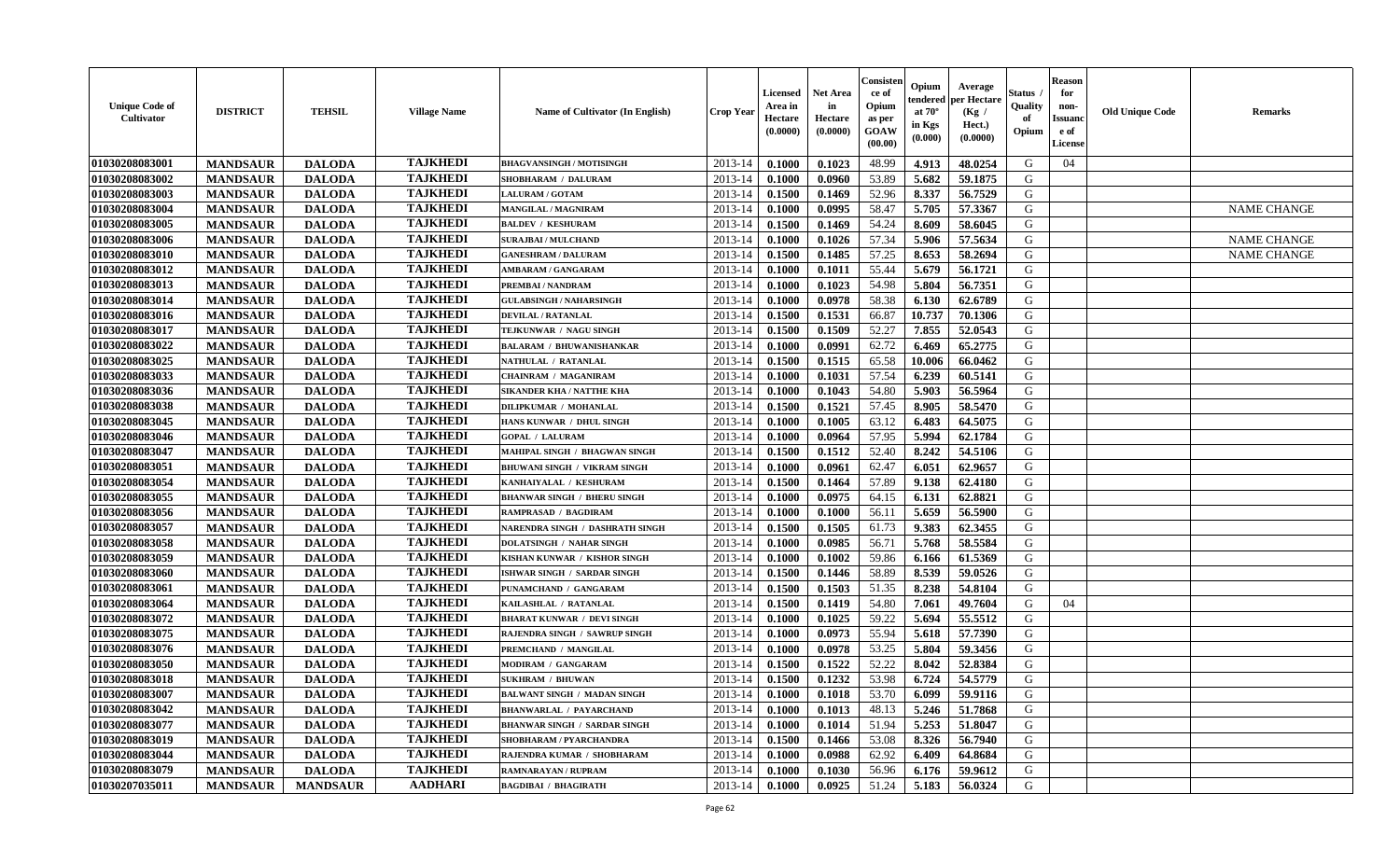| <b>Unique Code of</b><br>Cultivator | <b>DISTRICT</b> | <b>TEHSIL</b>   | <b>Village Name</b> | Name of Cultivator (In English)     | <b>Crop Year</b> | <b>Licensed</b><br>Area in<br>Hectare<br>(0.0000) | <b>Net Area</b><br>in<br>Hectare<br>(0.0000) | Consister<br>ce of<br>Opium<br>as per<br><b>GOAW</b><br>(00.00) | Opium<br>endered<br>at $70^\circ$<br>in Kgs<br>(0.000) | Average<br>per Hectare<br>(Kg /<br>Hect.)<br>(0.0000) | Status<br>Quality<br>of<br>Opium | <b>Reason</b><br>for<br>non-<br><b>Issuanc</b><br>e of<br><b>License</b> | <b>Old Unique Code</b> | <b>Remarks</b>     |
|-------------------------------------|-----------------|-----------------|---------------------|-------------------------------------|------------------|---------------------------------------------------|----------------------------------------------|-----------------------------------------------------------------|--------------------------------------------------------|-------------------------------------------------------|----------------------------------|--------------------------------------------------------------------------|------------------------|--------------------|
| 01030208083001                      | <b>MANDSAUR</b> | <b>DALODA</b>   | <b>TAJKHEDI</b>     | <b>BHAGVANSINGH / MOTISINGH</b>     | 2013-14          | 0.1000                                            | 0.1023                                       | 48.99                                                           | 4.913                                                  | 48.0254                                               | G                                | 04                                                                       |                        |                    |
| 01030208083002                      | <b>MANDSAUR</b> | <b>DALODA</b>   | <b>TAJKHEDI</b>     | SHOBHARAM / DALURAM                 | $2013 - 14$      | 0.1000                                            | 0.0960                                       | 53.89                                                           | 5.682                                                  | 59.1875                                               | G                                |                                                                          |                        |                    |
| 01030208083003                      | <b>MANDSAUR</b> | <b>DALODA</b>   | <b>TAJKHEDI</b>     | <b>LALURAM / GOTAM</b>              | 2013-14          | 0.1500                                            | 0.1469                                       | 52.96                                                           | 8.337                                                  | 56.7529                                               | G                                |                                                                          |                        |                    |
| 01030208083004                      | <b>MANDSAUR</b> | <b>DALODA</b>   | <b>TAJKHEDI</b>     | <b>MANGILAL / MAGNIRAM</b>          | 2013-14          | 0.1000                                            | 0.0995                                       | 58.47                                                           | 5.705                                                  | 57.3367                                               | G                                |                                                                          |                        | <b>NAME CHANGE</b> |
| 01030208083005                      | <b>MANDSAUR</b> | <b>DALODA</b>   | <b>TAJKHEDI</b>     | <b>BALDEV / KESHURAM</b>            | 2013-14          | 0.1500                                            | 0.1469                                       | 54.24                                                           | 8.609                                                  | 58.6045                                               | G                                |                                                                          |                        |                    |
| 01030208083006                      | <b>MANDSAUR</b> | <b>DALODA</b>   | <b>TAJKHEDI</b>     | <b>SURAJBAI / MULCHAND</b>          | $2013 - 14$      | 0.1000                                            | 0.1026                                       | 57.34                                                           | 5.906                                                  | 57.5634                                               | G                                |                                                                          |                        | <b>NAME CHANGE</b> |
| 01030208083010                      | <b>MANDSAUR</b> | <b>DALODA</b>   | <b>TAJKHEDI</b>     | <b>GANESHRAM / DALURAM</b>          | 2013-14          | 0.1500                                            | 0.1485                                       | 57.25                                                           | 8.653                                                  | 58.2694                                               | ${\bf G}$                        |                                                                          |                        | <b>NAME CHANGE</b> |
| 01030208083012                      | <b>MANDSAUR</b> | <b>DALODA</b>   | <b>TAJKHEDI</b>     | <b>AMBARAM / GANGARAM</b>           | 2013-14          | 0.1000                                            | 0.1011                                       | 55.44                                                           | 5.679                                                  | 56.1721                                               | G                                |                                                                          |                        |                    |
| 01030208083013                      | <b>MANDSAUR</b> | <b>DALODA</b>   | <b>TAJKHEDI</b>     | PREMBAI / NANDRAM                   | 2013-14          | 0.1000                                            | 0.1023                                       | 54.98                                                           | 5.804                                                  | 56.7351                                               | G                                |                                                                          |                        |                    |
| 01030208083014                      | <b>MANDSAUR</b> | <b>DALODA</b>   | <b>TAJKHEDI</b>     | <b>GULABSINGH / NAHARSINGH</b>      | 2013-14          | 0.1000                                            | 0.0978                                       | 58.38                                                           | 6.130                                                  | 62.6789                                               | G                                |                                                                          |                        |                    |
| 01030208083016                      | <b>MANDSAUR</b> | <b>DALODA</b>   | <b>TAJKHEDI</b>     | DEVILAL / RATANLAL                  | 2013-14          | 0.1500                                            | 0.1531                                       | 66.87                                                           | 10.737                                                 | 70.1306                                               | G                                |                                                                          |                        |                    |
| 01030208083017                      | <b>MANDSAUR</b> | <b>DALODA</b>   | <b>TAJKHEDI</b>     | TEJKUNWAR / NAGU SINGH              | 2013-14          | 0.1500                                            | 0.1509                                       | 52.27                                                           | 7.855                                                  | 52.0543                                               | G                                |                                                                          |                        |                    |
| 01030208083022                      | <b>MANDSAUR</b> | <b>DALODA</b>   | <b>TAJKHEDI</b>     | <b>BALARAM / BHUWANISHANKAR</b>     | 2013-14          | 0.1000                                            | 0.0991                                       | 62.72                                                           | 6.469                                                  | 65.2775                                               | G                                |                                                                          |                        |                    |
| 01030208083025                      | <b>MANDSAUR</b> | <b>DALODA</b>   | <b>TAJKHEDI</b>     | NATHULAL / RATANLAI                 | $2013 - 14$      | 0.1500                                            | 0.1515                                       | 65.58                                                           | 10.006                                                 | 66.0462                                               | G                                |                                                                          |                        |                    |
| 01030208083033                      | <b>MANDSAUR</b> | <b>DALODA</b>   | <b>TAJKHEDI</b>     | <b>CHAINRAM / MAGANIRAM</b>         | $2013 - 14$      | 0.1000                                            | 0.1031                                       | 57.54                                                           | 6.239                                                  | 60.5141                                               | ${\bf G}$                        |                                                                          |                        |                    |
| 01030208083036                      | <b>MANDSAUR</b> | <b>DALODA</b>   | <b>TAJKHEDI</b>     | <b>SIKANDER KHA / NATTHE KHA</b>    | 2013-14          | 0.1000                                            | 0.1043                                       | 54.80                                                           | 5.903                                                  | 56.5964                                               | G                                |                                                                          |                        |                    |
| 01030208083038                      | <b>MANDSAUR</b> | <b>DALODA</b>   | <b>TAJKHEDI</b>     | DILIPKUMAR / MOHANLAL               | 2013-14          | 0.1500                                            | 0.1521                                       | 57.45                                                           | 8.905                                                  | 58.5470                                               | G                                |                                                                          |                        |                    |
| 01030208083045                      | <b>MANDSAUR</b> | <b>DALODA</b>   | <b>TAJKHEDI</b>     | HANS KUNWAR / DHUL SINGH            | 2013-14          | 0.1000                                            | 0.1005                                       | 63.12                                                           | 6.483                                                  | 64.5075                                               | G                                |                                                                          |                        |                    |
| 01030208083046                      | <b>MANDSAUR</b> | <b>DALODA</b>   | <b>TAJKHEDI</b>     | <b>GOPAL / LALURAM</b>              | 2013-14          | 0.1000                                            | 0.0964                                       | 57.95                                                           | 5.994                                                  | 62.1784                                               | G                                |                                                                          |                        |                    |
| 01030208083047                      | <b>MANDSAUR</b> | <b>DALODA</b>   | <b>TAJKHEDI</b>     | MAHIPAL SINGH / BHAGWAN SINGH       | 2013-14          | 0.1500                                            | 0.1512                                       | 52.40                                                           | 8.242                                                  | 54.5106                                               | G                                |                                                                          |                        |                    |
| 01030208083051                      | <b>MANDSAUR</b> | <b>DALODA</b>   | <b>TAJKHEDI</b>     | <b>BHUWANI SINGH / VIKRAM SINGH</b> | 2013-14          | 0.1000                                            | 0.0961                                       | 62.47                                                           | 6.051                                                  | 62.9657                                               | G                                |                                                                          |                        |                    |
| 01030208083054                      | <b>MANDSAUR</b> | <b>DALODA</b>   | <b>TAJKHEDI</b>     | KANHAIYALAL / KESHURAM              | $2013 - 14$      | 0.1500                                            | 0.1464                                       | 57.89                                                           | 9.138                                                  | 62.4180                                               | G                                |                                                                          |                        |                    |
| 01030208083055                      | <b>MANDSAUR</b> | <b>DALODA</b>   | <b>TAJKHEDI</b>     | <b>BHANWAR SINGH / BHERU SINGH</b>  | $2013 - 14$      | 0.1000                                            | 0.0975                                       | 64.15                                                           | 6.131                                                  | 62.8821                                               | ${\bf G}$                        |                                                                          |                        |                    |
| 01030208083056                      | <b>MANDSAUR</b> | <b>DALODA</b>   | <b>TAJKHEDI</b>     | RAMPRASAD / BAGDIRAM                | 2013-14          | 0.1000                                            | 0.1000                                       | 56.11                                                           | 5.659                                                  | 56.5900                                               | G                                |                                                                          |                        |                    |
| 01030208083057                      | <b>MANDSAUR</b> | <b>DALODA</b>   | <b>TAJKHEDI</b>     | NARENDRA SINGH / DASHRATH SINGH     | 2013-14          | 0.1500                                            | 0.1505                                       | 61.73                                                           | 9.383                                                  | 62.3455                                               | G                                |                                                                          |                        |                    |
| 01030208083058                      | <b>MANDSAUR</b> | <b>DALODA</b>   | <b>TAJKHEDI</b>     | <b>DOLATSINGH / NAHAR SINGH</b>     | 2013-14          | 0.1000                                            | 0.0985                                       | 56.71                                                           | 5.768                                                  | 58.5584                                               | G                                |                                                                          |                        |                    |
| 01030208083059                      | <b>MANDSAUR</b> | <b>DALODA</b>   | <b>TAJKHEDI</b>     | KISHAN KUNWAR / KISHOR SINGH        | 2013-14          | 0.1000                                            | 0.1002                                       | 59.86                                                           | 6.166                                                  | 61.5369                                               | G                                |                                                                          |                        |                    |
| 01030208083060                      | <b>MANDSAUR</b> | <b>DALODA</b>   | <b>TAJKHEDI</b>     | ISHWAR SINGH / SARDAR SINGH         | 2013-14          | 0.1500                                            | 0.1446                                       | 58.89                                                           | 8.539                                                  | 59.0526                                               | G                                |                                                                          |                        |                    |
| 01030208083061                      | <b>MANDSAUR</b> | <b>DALODA</b>   | <b>TAJKHEDI</b>     | PUNAMCHAND / GANGARAM               | 2013-14          | 0.1500                                            | 0.1503                                       | 51.35                                                           | 8.238                                                  | 54.8104                                               | G                                |                                                                          |                        |                    |
| 01030208083064                      | <b>MANDSAUR</b> | <b>DALODA</b>   | <b>TAJKHEDI</b>     | KAILASHLAL / RATANLAL               | $2013 - 14$      | 0.1500                                            | 0.1419                                       | 54.80                                                           | 7.061                                                  | 49.7604                                               | G                                | 04                                                                       |                        |                    |
| 01030208083072                      | <b>MANDSAUR</b> | <b>DALODA</b>   | <b>TAJKHEDI</b>     | <b>BHARAT KUNWAR / DEVI SINGH</b>   | $2013 - 14$      | 0.1000                                            | 0.1025                                       | 59.22                                                           | 5.694                                                  | 55.5512                                               | G                                |                                                                          |                        |                    |
| 01030208083075                      | <b>MANDSAUR</b> | <b>DALODA</b>   | <b>TAJKHEDI</b>     | RAJENDRA SINGH / SAWRUP SINGH       | $2013 - 14$      | 0.1000                                            | 0.0973                                       | 55.94                                                           | 5.618                                                  | 57.7390                                               | G                                |                                                                          |                        |                    |
| 01030208083076                      | <b>MANDSAUR</b> | <b>DALODA</b>   | <b>TAJKHEDI</b>     | PREMCHAND / MANGILAL                | 2013-14          | 0.1000                                            | 0.0978                                       | 53.25                                                           | 5.804                                                  | 59.3456                                               | G                                |                                                                          |                        |                    |
| 01030208083050                      | <b>MANDSAUR</b> | <b>DALODA</b>   | <b>TAJKHEDI</b>     | MODIRAM / GANGARAM                  | 2013-14          | 0.1500                                            | 0.1522                                       | 52.22                                                           | 8.042                                                  | 52.8384                                               | G                                |                                                                          |                        |                    |
| 01030208083018                      | <b>MANDSAUR</b> | <b>DALODA</b>   | <b>TAJKHEDI</b>     | <b>SUKHRAM / BHUWAN</b>             | 2013-14          | 0.1500                                            | 0.1232                                       | 53.98                                                           | 6.724                                                  | 54.5779                                               | G                                |                                                                          |                        |                    |
| 01030208083007                      | <b>MANDSAUR</b> | <b>DALODA</b>   | <b>TAJKHEDI</b>     | <b>BALWANT SINGH / MADAN SINGH</b>  | 2013-14          | 0.1000                                            | 0.1018                                       | 53.70                                                           | 6.099                                                  | 59.9116                                               | G                                |                                                                          |                        |                    |
| 01030208083042                      | <b>MANDSAUR</b> | <b>DALODA</b>   | <b>TAJKHEDI</b>     | <b>BHANWARLAL / PAYARCHAND</b>      | 2013-14          | 0.1000                                            | 0.1013                                       | 48.13                                                           | 5.246                                                  | 51.7868                                               | G                                |                                                                          |                        |                    |
| 01030208083077                      | <b>MANDSAUR</b> | <b>DALODA</b>   | <b>TAJKHEDI</b>     | <b>BHANWAR SINGH / SARDAR SINGH</b> | $2013 - 14$      | 0.1000                                            | 0.1014                                       | 51.94                                                           | 5.253                                                  | 51.8047                                               | G                                |                                                                          |                        |                    |
| 01030208083019                      | <b>MANDSAUR</b> | <b>DALODA</b>   | <b>TAJKHEDI</b>     | <b>SHOBHARAM / PYARCHANDRA</b>      | $2013 - 14$      | 0.1500                                            | 0.1466                                       | 53.08                                                           | 8.326                                                  | 56.7940                                               | G                                |                                                                          |                        |                    |
| 01030208083044                      | <b>MANDSAUR</b> | <b>DALODA</b>   | <b>TAJKHEDI</b>     | RAJENDRA KUMAR / SHOBHARAM          | $2013 - 14$      | 0.1000                                            | 0.0988                                       | 62.92                                                           | 6.409                                                  | 64.8684                                               | G                                |                                                                          |                        |                    |
| 01030208083079                      | <b>MANDSAUR</b> | <b>DALODA</b>   | <b>TAJKHEDI</b>     | <b>RAMNARAYAN / RUPRAM</b>          | 2013-14          | 0.1000                                            | 0.1030                                       | 56.96                                                           | 6.176                                                  | 59.9612                                               | G                                |                                                                          |                        |                    |
| 01030207035011                      | <b>MANDSAUR</b> | <b>MANDSAUR</b> | <b>AADHARI</b>      | <b>BAGDIBAI / BHAGIRATH</b>         | 2013-14          | 0.1000                                            | 0.0925                                       | 51.24                                                           | 5.183                                                  | 56.0324                                               | G                                |                                                                          |                        |                    |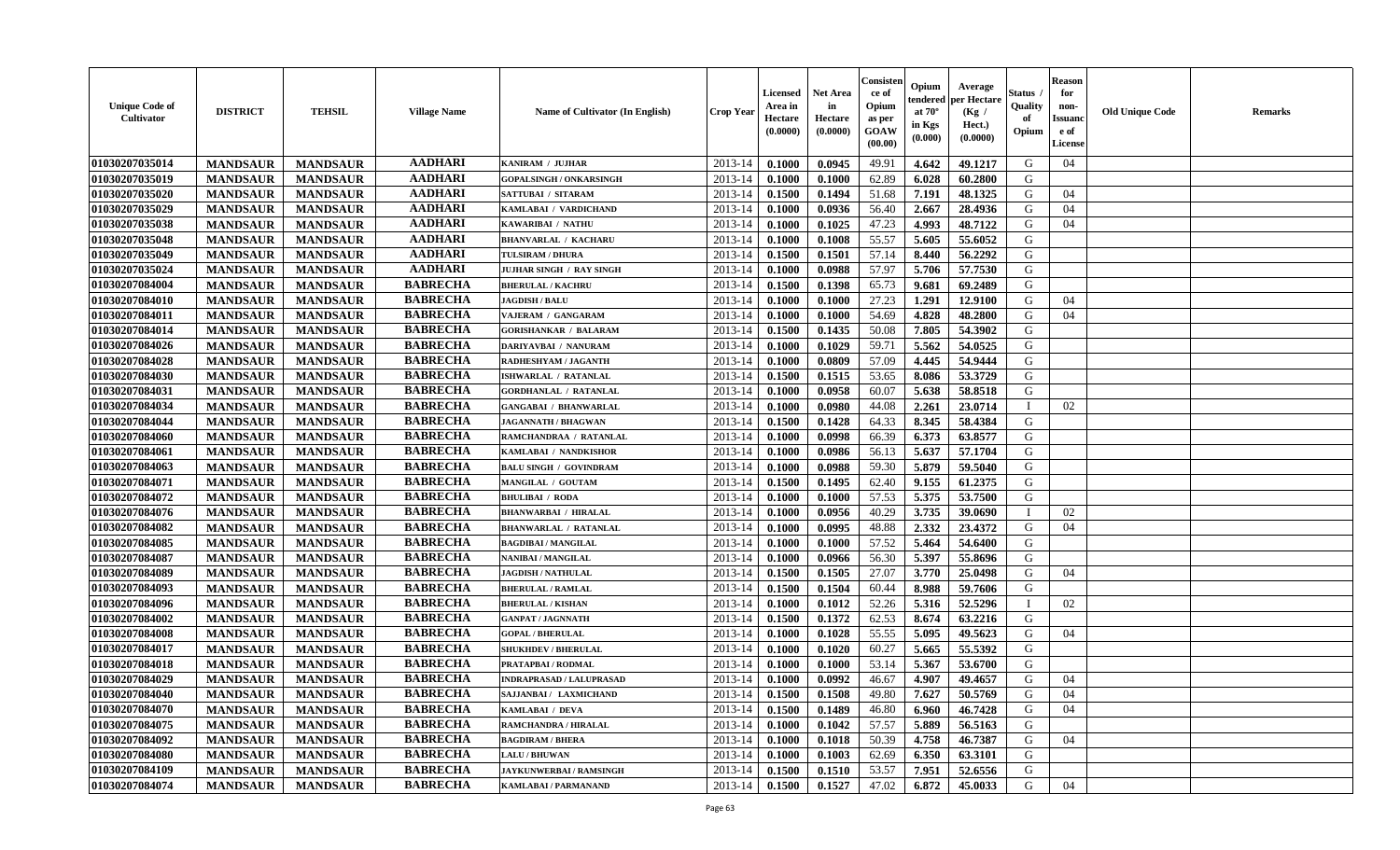| <b>Unique Code of</b><br><b>Cultivator</b> | <b>DISTRICT</b> | <b>TEHSIL</b>   | <b>Village Name</b> | <b>Name of Cultivator (In English)</b> | <b>Crop Year</b> | <b>Licensed</b><br>Area in<br>Hectare<br>(0.0000) | Net Area<br>in<br>Hectare<br>(0.0000) | Consisteı<br>ce of<br>Opium<br>as per<br>GOAW<br>(00.00) | Opium<br>endered<br>at $70^\circ$<br>in Kgs<br>(0.000) | Average<br>per Hectare<br>(Kg /<br>Hect.)<br>(0.0000) | Status<br>Quality<br>of<br>Opium | <b>Reason</b><br>for<br>non-<br><b>Issuand</b><br>e of<br>License | <b>Old Unique Code</b> | Remarks |
|--------------------------------------------|-----------------|-----------------|---------------------|----------------------------------------|------------------|---------------------------------------------------|---------------------------------------|----------------------------------------------------------|--------------------------------------------------------|-------------------------------------------------------|----------------------------------|-------------------------------------------------------------------|------------------------|---------|
| 01030207035014                             | <b>MANDSAUR</b> | <b>MANDSAUR</b> | <b>AADHARI</b>      | KANIRAM / JUJHAR                       | 2013-14          | 0.1000                                            | 0.0945                                | 49.91                                                    | 4.642                                                  | 49.1217                                               | G                                | 04                                                                |                        |         |
| 01030207035019                             | <b>MANDSAUR</b> | <b>MANDSAUR</b> | <b>AADHARI</b>      | <b>GOPALSINGH / ONKARSINGH</b>         | 2013-14          | 0.1000                                            | 0.1000                                | 62.89                                                    | 6.028                                                  | 60.2800                                               | G                                |                                                                   |                        |         |
| 01030207035020                             | <b>MANDSAUR</b> | <b>MANDSAUR</b> | <b>AADHARI</b>      | SATTUBAI / SITARAM                     | 2013-14          | 0.1500                                            | 0.1494                                | 51.68                                                    | 7.191                                                  | 48.1325                                               | G                                | 04                                                                |                        |         |
| 01030207035029                             | <b>MANDSAUR</b> | <b>MANDSAUR</b> | <b>AADHARI</b>      | KAMLABAI / VARDICHAND                  | 2013-14          | 0.1000                                            | 0.0936                                | 56.40                                                    | 2.667                                                  | 28.4936                                               | G                                | 04                                                                |                        |         |
| 01030207035038                             | <b>MANDSAUR</b> | <b>MANDSAUR</b> | <b>AADHARI</b>      | KAWARIBAI / NATHU                      | 2013-14          | 0.1000                                            | 0.1025                                | 47.23                                                    | 4.993                                                  | 48.7122                                               | G                                | 04                                                                |                        |         |
| 01030207035048                             | <b>MANDSAUR</b> | <b>MANDSAUR</b> | <b>AADHARI</b>      | <b>BHANVARLAL / KACHARU</b>            | 2013-14          | 0.1000                                            | 0.1008                                | 55.57                                                    | 5.605                                                  | 55.6052                                               | G                                |                                                                   |                        |         |
| 01030207035049                             | <b>MANDSAUR</b> | <b>MANDSAUR</b> | <b>AADHARI</b>      | TULSIRAM / DHURA                       | 2013-14          | 0.1500                                            | 0.1501                                | 57.14                                                    | 8.440                                                  | 56.2292                                               | G                                |                                                                   |                        |         |
| 01030207035024                             | <b>MANDSAUR</b> | <b>MANDSAUR</b> | <b>AADHARI</b>      | JUJHAR SINGH / RAY SINGH               | 2013-14          | 0.1000                                            | 0.0988                                | 57.97                                                    | 5.706                                                  | 57.7530                                               | G                                |                                                                   |                        |         |
| 01030207084004                             | <b>MANDSAUR</b> | <b>MANDSAUR</b> | <b>BABRECHA</b>     | <b>BHERULAL / KACHRU</b>               | 2013-14          | 0.1500                                            | 0.1398                                | 65.73                                                    | 9.681                                                  | 69.2489                                               | G                                |                                                                   |                        |         |
| 01030207084010                             | <b>MANDSAUR</b> | <b>MANDSAUR</b> | <b>BABRECHA</b>     | <b>JAGDISH / BALU</b>                  | 2013-14          | 0.1000                                            | 0.1000                                | 27.23                                                    | 1.291                                                  | 12.9100                                               | G                                | 04                                                                |                        |         |
| 01030207084011                             | <b>MANDSAUR</b> | <b>MANDSAUR</b> | <b>BABRECHA</b>     | VAJERAM / GANGARAM                     | 2013-14          | 0.1000                                            | 0.1000                                | 54.69                                                    | 4.828                                                  | 48.2800                                               | G                                | 04                                                                |                        |         |
| 01030207084014                             | <b>MANDSAUR</b> | <b>MANDSAUR</b> | <b>BABRECHA</b>     | <b>GORISHANKAR / BALARAM</b>           | 2013-14          | 0.1500                                            | 0.1435                                | 50.08                                                    | 7.805                                                  | 54.3902                                               | G                                |                                                                   |                        |         |
| 01030207084026                             | <b>MANDSAUR</b> | <b>MANDSAUR</b> | <b>BABRECHA</b>     | <b>DARIYAVBAI / NANURAM</b>            | 2013-14          | 0.1000                                            | 0.1029                                | 59.71                                                    | 5.562                                                  | 54.0525                                               | G                                |                                                                   |                        |         |
| 01030207084028                             | <b>MANDSAUR</b> | <b>MANDSAUR</b> | <b>BABRECHA</b>     | RADHESHYAM / JAGANTH                   | 2013-14          | 0.1000                                            | 0.0809                                | 57.09                                                    | 4.445                                                  | 54.9444                                               | G                                |                                                                   |                        |         |
| 01030207084030                             | <b>MANDSAUR</b> | <b>MANDSAUR</b> | <b>BABRECHA</b>     | <b>ISHWARLAL / RATANLAL</b>            | 2013-14          | 0.1500                                            | 0.1515                                | 53.65                                                    | 8.086                                                  | 53.3729                                               | $\mathbf G$                      |                                                                   |                        |         |
| 01030207084031                             | <b>MANDSAUR</b> | <b>MANDSAUR</b> | <b>BABRECHA</b>     | <b>GORDHANLAL / RATANLAL</b>           | 2013-14          | 0.1000                                            | 0.0958                                | 60.07                                                    | 5.638                                                  | 58.8518                                               | G                                |                                                                   |                        |         |
| 01030207084034                             | <b>MANDSAUR</b> | <b>MANDSAUR</b> | <b>BABRECHA</b>     | <b>GANGABAI / BHANWARLAL</b>           | 2013-14          | 0.1000                                            | 0.0980                                | 44.08                                                    | 2.261                                                  | 23.0714                                               | T                                | 02                                                                |                        |         |
| 01030207084044                             | <b>MANDSAUR</b> | <b>MANDSAUR</b> | <b>BABRECHA</b>     | <b>JAGANNATH / BHAGWAN</b>             | 2013-14          | 0.1500                                            | 0.1428                                | 64.33                                                    | 8.345                                                  | 58.4384                                               | G                                |                                                                   |                        |         |
| 01030207084060                             | <b>MANDSAUR</b> | <b>MANDSAUR</b> | <b>BABRECHA</b>     | RAMCHANDRAA / RATANLAL                 | 2013-14          | 0.1000                                            | 0.0998                                | 66.39                                                    | 6.373                                                  | 63.8577                                               | G                                |                                                                   |                        |         |
| 01030207084061                             | <b>MANDSAUR</b> | <b>MANDSAUR</b> | <b>BABRECHA</b>     | KAMLABAI / NANDKISHOR                  | 2013-14          | 0.1000                                            | 0.0986                                | 56.13                                                    | 5.637                                                  | 57.1704                                               | G                                |                                                                   |                        |         |
| 01030207084063                             | <b>MANDSAUR</b> | <b>MANDSAUR</b> | <b>BABRECHA</b>     | <b>BALU SINGH / GOVINDRAM</b>          | 2013-14          | 0.1000                                            | 0.0988                                | 59.30                                                    | 5.879                                                  | 59.5040                                               | G                                |                                                                   |                        |         |
| 01030207084071                             | <b>MANDSAUR</b> | <b>MANDSAUR</b> | <b>BABRECHA</b>     | MANGILAL / GOUTAM                      | 2013-14          | 0.1500                                            | 0.1495                                | 62.40                                                    | 9.155                                                  | 61.2375                                               | G                                |                                                                   |                        |         |
| 01030207084072                             | <b>MANDSAUR</b> | <b>MANDSAUR</b> | <b>BABRECHA</b>     | <b>BHULIBAI / RODA</b>                 | 2013-14          | 0.1000                                            | 0.1000                                | 57.53                                                    | 5.375                                                  | 53.7500                                               | G                                |                                                                   |                        |         |
| 01030207084076                             | <b>MANDSAUR</b> | <b>MANDSAUR</b> | <b>BABRECHA</b>     | <b>BHANWARBAI / HIRALAL</b>            | 2013-14          | 0.1000                                            | 0.0956                                | 40.29                                                    | 3.735                                                  | 39.0690                                               |                                  | 02                                                                |                        |         |
| 01030207084082                             | <b>MANDSAUR</b> | <b>MANDSAUR</b> | <b>BABRECHA</b>     | <b>BHANWARLAL / RATANLAL</b>           | 2013-14          | 0.1000                                            | 0.0995                                | 48.88                                                    | 2.332                                                  | 23.4372                                               | G                                | 04                                                                |                        |         |
| 01030207084085                             | <b>MANDSAUR</b> | <b>MANDSAUR</b> | <b>BABRECHA</b>     | <b>BAGDIBAI / MANGILAL</b>             | 2013-14          | 0.1000                                            | 0.1000                                | 57.52                                                    | 5.464                                                  | 54.6400                                               | G                                |                                                                   |                        |         |
| 01030207084087                             | <b>MANDSAUR</b> | <b>MANDSAUR</b> | <b>BABRECHA</b>     | <b>NANIBAI / MANGILAL</b>              | 2013-14          | 0.1000                                            | 0.0966                                | 56.30                                                    | 5.397                                                  | 55.8696                                               | G                                |                                                                   |                        |         |
| 01030207084089                             | <b>MANDSAUR</b> | <b>MANDSAUR</b> | <b>BABRECHA</b>     | <b>JAGDISH / NATHULAL</b>              | 2013-14          | 0.1500                                            | 0.1505                                | 27.07                                                    | 3.770                                                  | 25.0498                                               | G                                | 04                                                                |                        |         |
| 01030207084093                             | <b>MANDSAUR</b> | <b>MANDSAUR</b> | <b>BABRECHA</b>     | <b>BHERULAL / RAMLAL</b>               | 2013-14          | 0.1500                                            | 0.1504                                | 60.44                                                    | 8.988                                                  | 59.7606                                               | G                                |                                                                   |                        |         |
| 01030207084096                             | <b>MANDSAUR</b> | <b>MANDSAUR</b> | <b>BABRECHA</b>     | <b>BHERULAL / KISHAN</b>               | 2013-14          | 0.1000                                            | 0.1012                                | 52.26                                                    | 5.316                                                  | 52.5296                                               | T                                | 02                                                                |                        |         |
| 01030207084002                             | <b>MANDSAUR</b> | <b>MANDSAUR</b> | <b>BABRECHA</b>     | <b>GANPAT / JAGNNATH</b>               | 2013-14          | 0.1500                                            | 0.1372                                | 62.53                                                    | 8.674                                                  | 63.2216                                               | G                                |                                                                   |                        |         |
| 01030207084008                             | <b>MANDSAUR</b> | <b>MANDSAUR</b> | <b>BABRECHA</b>     | <b>GOPAL / BHERULAL</b>                | 2013-14          | 0.1000                                            | 0.1028                                | 55.55                                                    | 5.095                                                  | 49.5623                                               | G                                | 04                                                                |                        |         |
| 01030207084017                             | <b>MANDSAUR</b> | <b>MANDSAUR</b> | <b>BABRECHA</b>     | <b>SHUKHDEV / BHERULAL</b>             | 2013-14          | 0.1000                                            | 0.1020                                | 60.27                                                    | 5.665                                                  | 55.5392                                               | G                                |                                                                   |                        |         |
| 01030207084018                             | <b>MANDSAUR</b> | <b>MANDSAUR</b> | <b>BABRECHA</b>     | PRATAPBAI / RODMAL                     | 2013-14          | 0.1000                                            | 0.1000                                | 53.14                                                    | 5.367                                                  | 53.6700                                               | G                                |                                                                   |                        |         |
| 01030207084029                             | <b>MANDSAUR</b> | <b>MANDSAUR</b> | <b>BABRECHA</b>     | <b>INDRAPRASAD / LALUPRASAD</b>        | 2013-14          | 0.1000                                            | 0.0992                                | 46.67                                                    | 4.907                                                  | 49.4657                                               | G                                | 04                                                                |                        |         |
| 01030207084040                             | <b>MANDSAUR</b> | <b>MANDSAUR</b> | <b>BABRECHA</b>     | SAJJANBAI / LAXMICHAND                 | 2013-14          | 0.1500                                            | 0.1508                                | 49.80                                                    | 7.627                                                  | 50.5769                                               | G                                | 04                                                                |                        |         |
| 01030207084070                             | <b>MANDSAUR</b> | <b>MANDSAUR</b> | <b>BABRECHA</b>     | KAMLABAI / DEVA                        | 2013-14          | 0.1500                                            | 0.1489                                | 46.80                                                    | 6.960                                                  | 46.7428                                               | G                                | 04                                                                |                        |         |
| 01030207084075                             | <b>MANDSAUR</b> | <b>MANDSAUR</b> | <b>BABRECHA</b>     | RAMCHANDRA / HIRALAL                   | 2013-14          | 0.1000                                            | 0.1042                                | 57.57                                                    | 5.889                                                  | 56.5163                                               | G                                |                                                                   |                        |         |
| 01030207084092                             | <b>MANDSAUR</b> | <b>MANDSAUR</b> | <b>BABRECHA</b>     | <b>BAGDIRAM / BHERA</b>                | 2013-14          | 0.1000                                            | 0.1018                                | 50.39                                                    | 4.758                                                  | 46.7387                                               | G                                | 04                                                                |                        |         |
| 01030207084080                             | <b>MANDSAUR</b> | <b>MANDSAUR</b> | <b>BABRECHA</b>     | <b>LALU / BHUWAN</b>                   | 2013-14          | 0.1000                                            | 0.1003                                | 62.69                                                    | 6.350                                                  | 63.3101                                               | G                                |                                                                   |                        |         |
| 01030207084109                             | <b>MANDSAUR</b> | <b>MANDSAUR</b> | <b>BABRECHA</b>     | <b>JAYKUNWERBAI/RAMSINGH</b>           | 2013-14          | 0.1500                                            | 0.1510                                | 53.57                                                    | 7.951                                                  | 52.6556                                               | G                                |                                                                   |                        |         |
| 01030207084074                             | <b>MANDSAUR</b> | <b>MANDSAUR</b> | <b>BABRECHA</b>     | KAMLABAI / PARMANAND                   | 2013-14          | 0.1500                                            | 0.1527                                | 47.02                                                    | 6.872                                                  | 45.0033                                               | G                                | 04                                                                |                        |         |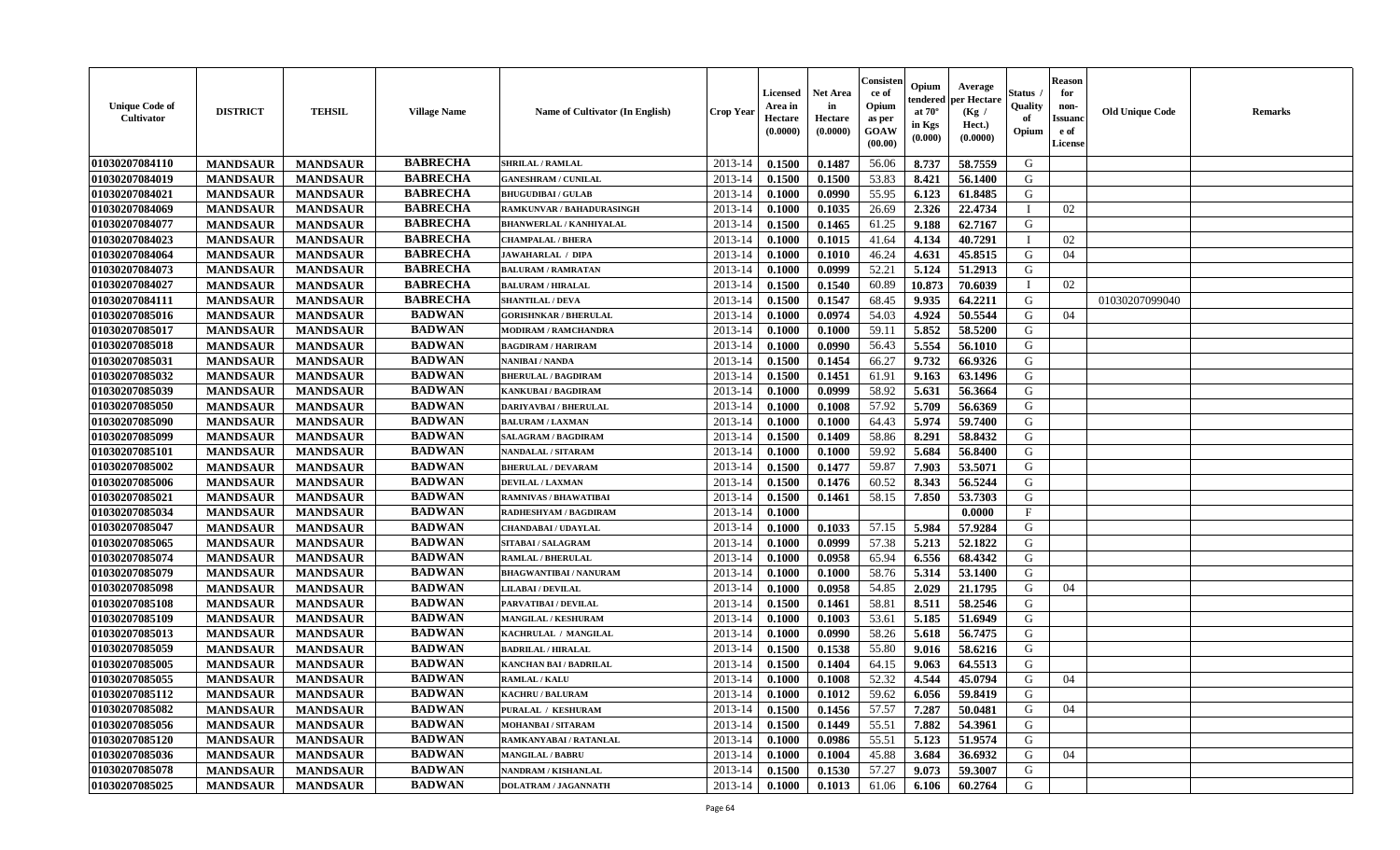| <b>Unique Code of</b><br><b>Cultivator</b> | <b>DISTRICT</b> | <b>TEHSIL</b>   | <b>Village Name</b> | <b>Name of Cultivator (In English)</b> | <b>Crop Year</b> | <b>Licensed</b><br>Area in<br>Hectare<br>(0.0000) | Net Area<br>in<br>Hectare<br>(0.0000) | Consisteı<br>ce of<br>Opium<br>as per<br>GOAW<br>(00.00) | Opium<br>endered<br>at $70^\circ$<br>in Kgs<br>(0.000) | Average<br>per Hectare<br>(Kg /<br>Hect.)<br>(0.0000) | Status<br>Quality<br>of<br>Opium | <b>Reason</b><br>for<br>non-<br><b>Issuand</b><br>e of<br>License | <b>Old Unique Code</b> | Remarks |
|--------------------------------------------|-----------------|-----------------|---------------------|----------------------------------------|------------------|---------------------------------------------------|---------------------------------------|----------------------------------------------------------|--------------------------------------------------------|-------------------------------------------------------|----------------------------------|-------------------------------------------------------------------|------------------------|---------|
| 01030207084110                             | <b>MANDSAUR</b> | <b>MANDSAUR</b> | <b>BABRECHA</b>     | <b>SHRILAL / RAMLAL</b>                | 2013-14          | 0.1500                                            | 0.1487                                | 56.06                                                    | 8.737                                                  | 58.7559                                               | G                                |                                                                   |                        |         |
| 01030207084019                             | <b>MANDSAUR</b> | <b>MANDSAUR</b> | <b>BABRECHA</b>     | <b>GANESHRAM / CUNILAL</b>             | 2013-14          | 0.1500                                            | 0.1500                                | 53.83                                                    | 8.421                                                  | 56.1400                                               | G                                |                                                                   |                        |         |
| 01030207084021                             | <b>MANDSAUR</b> | <b>MANDSAUR</b> | <b>BABRECHA</b>     | <b>BHUGUDIBAI / GULAB</b>              | 2013-14          | 0.1000                                            | 0.0990                                | 55.95                                                    | 6.123                                                  | 61.8485                                               | G                                |                                                                   |                        |         |
| 01030207084069                             | <b>MANDSAUR</b> | <b>MANDSAUR</b> | <b>BABRECHA</b>     | RAMKUNVAR / BAHADURASINGH              | 2013-14          | 0.1000                                            | 0.1035                                | 26.69                                                    | 2.326                                                  | 22.4734                                               | $\mathbf{I}$                     | 02                                                                |                        |         |
| 01030207084077                             | <b>MANDSAUR</b> | <b>MANDSAUR</b> | <b>BABRECHA</b>     | <b>BHANWERLAL / KANHIYALAL</b>         | 2013-14          | 0.1500                                            | 0.1465                                | 61.25                                                    | 9.188                                                  | 62.7167                                               | G                                |                                                                   |                        |         |
| 01030207084023                             | <b>MANDSAUR</b> | <b>MANDSAUR</b> | <b>BABRECHA</b>     | <b>CHAMPALAL / BHERA</b>               | 2013-14          | 0.1000                                            | 0.1015                                | 41.64                                                    | 4.134                                                  | 40.7291                                               | $\mathbf{I}$                     | 02                                                                |                        |         |
| 01030207084064                             | <b>MANDSAUR</b> | <b>MANDSAUR</b> | <b>BABRECHA</b>     | <b>JAWAHARLAL / DIPA</b>               | 2013-14          | 0.1000                                            | 0.1010                                | 46.24                                                    | 4.631                                                  | 45.8515                                               | G                                | 04                                                                |                        |         |
| 01030207084073                             | <b>MANDSAUR</b> | <b>MANDSAUR</b> | <b>BABRECHA</b>     | <b>BALURAM / RAMRATAN</b>              | 2013-14          | 0.1000                                            | 0.0999                                | 52.21                                                    | 5.124                                                  | 51.2913                                               | G                                |                                                                   |                        |         |
| 01030207084027                             | <b>MANDSAUR</b> | <b>MANDSAUR</b> | <b>BABRECHA</b>     | <b>BALURAM / HIRALAL</b>               | 2013-14          | 0.1500                                            | 0.1540                                | 60.89                                                    | 10.873                                                 | 70.6039                                               | T                                | 02                                                                |                        |         |
| 01030207084111                             | <b>MANDSAUR</b> | <b>MANDSAUR</b> | <b>BABRECHA</b>     | <b>SHANTILAL / DEVA</b>                | 2013-14          | 0.1500                                            | 0.1547                                | 68.45                                                    | 9.935                                                  | 64.2211                                               | G                                |                                                                   | 01030207099040         |         |
| 01030207085016                             | <b>MANDSAUR</b> | <b>MANDSAUR</b> | <b>BADWAN</b>       | <b>GORISHNKAR / BHERULAL</b>           | 2013-14          | 0.1000                                            | 0.0974                                | 54.03                                                    | 4.924                                                  | 50.5544                                               | G                                | 04                                                                |                        |         |
| 01030207085017                             | <b>MANDSAUR</b> | <b>MANDSAUR</b> | <b>BADWAN</b>       | <b>MODIRAM / RAMCHANDRA</b>            | 2013-14          | 0.1000                                            | 0.1000                                | 59.11                                                    | 5.852                                                  | 58.5200                                               | G                                |                                                                   |                        |         |
| 01030207085018                             | <b>MANDSAUR</b> | <b>MANDSAUR</b> | <b>BADWAN</b>       | <b>BAGDIRAM / HARIRAM</b>              | 2013-14          | 0.1000                                            | 0.0990                                | 56.43                                                    | 5.554                                                  | 56.1010                                               | G                                |                                                                   |                        |         |
| 01030207085031                             | <b>MANDSAUR</b> | <b>MANDSAUR</b> | <b>BADWAN</b>       | NANIBAI / NANDA                        | 2013-14          | 0.1500                                            | 0.1454                                | 66.27                                                    | 9.732                                                  | 66.9326                                               | G                                |                                                                   |                        |         |
| 01030207085032                             | <b>MANDSAUR</b> | <b>MANDSAUR</b> | <b>BADWAN</b>       | <b>BHERULAL / BAGDIRAM</b>             | 2013-14          | 0.1500                                            | 0.1451                                | 61.91                                                    | 9.163                                                  | 63.1496                                               | $\mathbf G$                      |                                                                   |                        |         |
| 01030207085039                             | <b>MANDSAUR</b> | <b>MANDSAUR</b> | <b>BADWAN</b>       | <b>KANKUBAI/BAGDIRAM</b>               | 2013-14          | 0.1000                                            | 0.0999                                | 58.92                                                    | 5.631                                                  | 56.3664                                               | G                                |                                                                   |                        |         |
| 01030207085050                             | <b>MANDSAUR</b> | <b>MANDSAUR</b> | <b>BADWAN</b>       | <b>DARIYAVBAI / BHERULAL</b>           | 2013-14          | 0.1000                                            | 0.1008                                | 57.92                                                    | 5.709                                                  | 56.6369                                               | G                                |                                                                   |                        |         |
| 01030207085090                             | <b>MANDSAUR</b> | <b>MANDSAUR</b> | <b>BADWAN</b>       | <b>BALURAM / LAXMAN</b>                | 2013-14          | 0.1000                                            | 0.1000                                | 64.43                                                    | 5.974                                                  | 59.7400                                               | G                                |                                                                   |                        |         |
| 01030207085099                             | <b>MANDSAUR</b> | <b>MANDSAUR</b> | <b>BADWAN</b>       | SALAGRAM / BAGDIRAM                    | 2013-14          | 0.1500                                            | 0.1409                                | 58.86                                                    | 8.291                                                  | 58.8432                                               | G                                |                                                                   |                        |         |
| 01030207085101                             | <b>MANDSAUR</b> | <b>MANDSAUR</b> | <b>BADWAN</b>       | <b>NANDALAL / SITARAM</b>              | 2013-14          | 0.1000                                            | 0.1000                                | 59.92                                                    | 5.684                                                  | 56.8400                                               | G                                |                                                                   |                        |         |
| 01030207085002                             | <b>MANDSAUR</b> | <b>MANDSAUR</b> | <b>BADWAN</b>       | <b>BHERULAL / DEVARAM</b>              | 2013-14          | 0.1500                                            | 0.1477                                | 59.87                                                    | 7.903                                                  | 53.5071                                               | G                                |                                                                   |                        |         |
| 01030207085006                             | <b>MANDSAUR</b> | <b>MANDSAUR</b> | <b>BADWAN</b>       | <b>DEVILAL / LAXMAN</b>                | 2013-14          | 0.1500                                            | 0.1476                                | 60.52                                                    | 8.343                                                  | 56.5244                                               | G                                |                                                                   |                        |         |
| 01030207085021                             | <b>MANDSAUR</b> | <b>MANDSAUR</b> | <b>BADWAN</b>       | <b>RAMNIVAS / BHAWATIBAI</b>           | 2013-14          | 0.1500                                            | 0.1461                                | 58.15                                                    | 7.850                                                  | 53.7303                                               | G                                |                                                                   |                        |         |
| 01030207085034                             | <b>MANDSAUR</b> | <b>MANDSAUR</b> | <b>BADWAN</b>       | RADHESHYAM / BAGDIRAM                  | 2013-14          | 0.1000                                            |                                       |                                                          |                                                        | 0.0000                                                | $\rm F$                          |                                                                   |                        |         |
| 01030207085047                             | <b>MANDSAUR</b> | <b>MANDSAUR</b> | <b>BADWAN</b>       | <b>CHANDABAI / UDAYLAL</b>             | 2013-14          | 0.1000                                            | 0.1033                                | 57.15                                                    | 5.984                                                  | 57.9284                                               | G                                |                                                                   |                        |         |
| 01030207085065                             | <b>MANDSAUR</b> | <b>MANDSAUR</b> | <b>BADWAN</b>       | SITABAI / SALAGRAM                     | 2013-14          | 0.1000                                            | 0.0999                                | 57.38                                                    | 5.213                                                  | 52.1822                                               | G                                |                                                                   |                        |         |
| 01030207085074                             | <b>MANDSAUR</b> | <b>MANDSAUR</b> | <b>BADWAN</b>       | <b>RAMLAL / BHERULAL</b>               | 2013-14          | 0.1000                                            | 0.0958                                | 65.94                                                    | 6.556                                                  | 68.4342                                               | G                                |                                                                   |                        |         |
| 01030207085079                             | <b>MANDSAUR</b> | <b>MANDSAUR</b> | <b>BADWAN</b>       | <b>BHAGWANTIBAI/NANURAM</b>            | 2013-14          | 0.1000                                            | 0.1000                                | 58.76                                                    | 5.314                                                  | 53.1400                                               | G                                |                                                                   |                        |         |
| 01030207085098                             | <b>MANDSAUR</b> | <b>MANDSAUR</b> | <b>BADWAN</b>       | LILABAI / DEVILAL                      | 2013-14          | 0.1000                                            | 0.0958                                | 54.85                                                    | 2.029                                                  | 21.1795                                               | G                                | 04                                                                |                        |         |
| 01030207085108                             | <b>MANDSAUR</b> | <b>MANDSAUR</b> | <b>BADWAN</b>       | PARVATIBAI / DEVILAL                   | 2013-14          | 0.1500                                            | 0.1461                                | 58.81                                                    | 8.511                                                  | 58.2546                                               | G                                |                                                                   |                        |         |
| 01030207085109                             | <b>MANDSAUR</b> | <b>MANDSAUR</b> | <b>BADWAN</b>       | <b>MANGILAL / KESHURAM</b>             | 2013-14          | 0.1000                                            | 0.1003                                | 53.61                                                    | 5.185                                                  | 51.6949                                               | G                                |                                                                   |                        |         |
| 01030207085013                             | <b>MANDSAUR</b> | <b>MANDSAUR</b> | <b>BADWAN</b>       | KACHRULAL / MANGILAL                   | 2013-14          | 0.1000                                            | 0.0990                                | 58.26                                                    | 5.618                                                  | 56.7475                                               | G                                |                                                                   |                        |         |
| 01030207085059                             | <b>MANDSAUR</b> | <b>MANDSAUR</b> | <b>BADWAN</b>       | <b>BADRILAL / HIRALAL</b>              | 2013-14          | 0.1500                                            | 0.1538                                | 55.80                                                    | 9.016                                                  | 58.6216                                               | G                                |                                                                   |                        |         |
| 01030207085005                             | <b>MANDSAUR</b> | <b>MANDSAUR</b> | <b>BADWAN</b>       | <b>KANCHAN BAI / BADRILAL</b>          | 2013-14          | 0.1500                                            | 0.1404                                | 64.15                                                    | 9.063                                                  | 64.5513                                               | G                                |                                                                   |                        |         |
| 01030207085055                             | <b>MANDSAUR</b> | <b>MANDSAUR</b> | <b>BADWAN</b>       | <b>RAMLAL / KALU</b>                   | 2013-14          | 0.1000                                            | 0.1008                                | 52.32                                                    | 4.544                                                  | 45.0794                                               | G                                | 04                                                                |                        |         |
| 01030207085112                             | <b>MANDSAUR</b> | <b>MANDSAUR</b> | <b>BADWAN</b>       | <b>KACHRU / BALURAM</b>                | 2013-14          | 0.1000                                            | 0.1012                                | 59.62                                                    | 6.056                                                  | 59.8419                                               | G                                |                                                                   |                        |         |
| 01030207085082                             | <b>MANDSAUR</b> | <b>MANDSAUR</b> | <b>BADWAN</b>       | PURALAL / KESHURAM                     | 2013-14          | 0.1500                                            | 0.1456                                | 57.57                                                    | 7.287                                                  | 50.0481                                               | G                                | 04                                                                |                        |         |
| 01030207085056                             | <b>MANDSAUR</b> | <b>MANDSAUR</b> | <b>BADWAN</b>       | <b>MOHANBAI/SITARAM</b>                | 2013-14          | 0.1500                                            | 0.1449                                | 55.51                                                    | 7.882                                                  | 54.3961                                               | G                                |                                                                   |                        |         |
| 01030207085120                             | <b>MANDSAUR</b> | <b>MANDSAUR</b> | <b>BADWAN</b>       | RAMKANYABAI / RATANLAL                 | 2013-14          | 0.1000                                            | 0.0986                                | 55.51                                                    | 5.123                                                  | 51.9574                                               | G                                |                                                                   |                        |         |
| 01030207085036                             | <b>MANDSAUR</b> | <b>MANDSAUR</b> | <b>BADWAN</b>       | <b>MANGILAL / BABRU</b>                | 2013-14          | 0.1000                                            | 0.1004                                | 45.88                                                    | 3.684                                                  | 36.6932                                               | G                                | 04                                                                |                        |         |
| 01030207085078                             | <b>MANDSAUR</b> | <b>MANDSAUR</b> | <b>BADWAN</b>       | <b>NANDRAM / KISHANLAL</b>             | 2013-14          | 0.1500                                            | 0.1530                                | 57.27                                                    | 9.073                                                  | 59.3007                                               | G                                |                                                                   |                        |         |
| 01030207085025                             | <b>MANDSAUR</b> | <b>MANDSAUR</b> | <b>BADWAN</b>       | <b>DOLATRAM / JAGANNATH</b>            | 2013-14          | 0.1000                                            | 0.1013                                | 61.06                                                    | 6.106                                                  | 60.2764                                               | G                                |                                                                   |                        |         |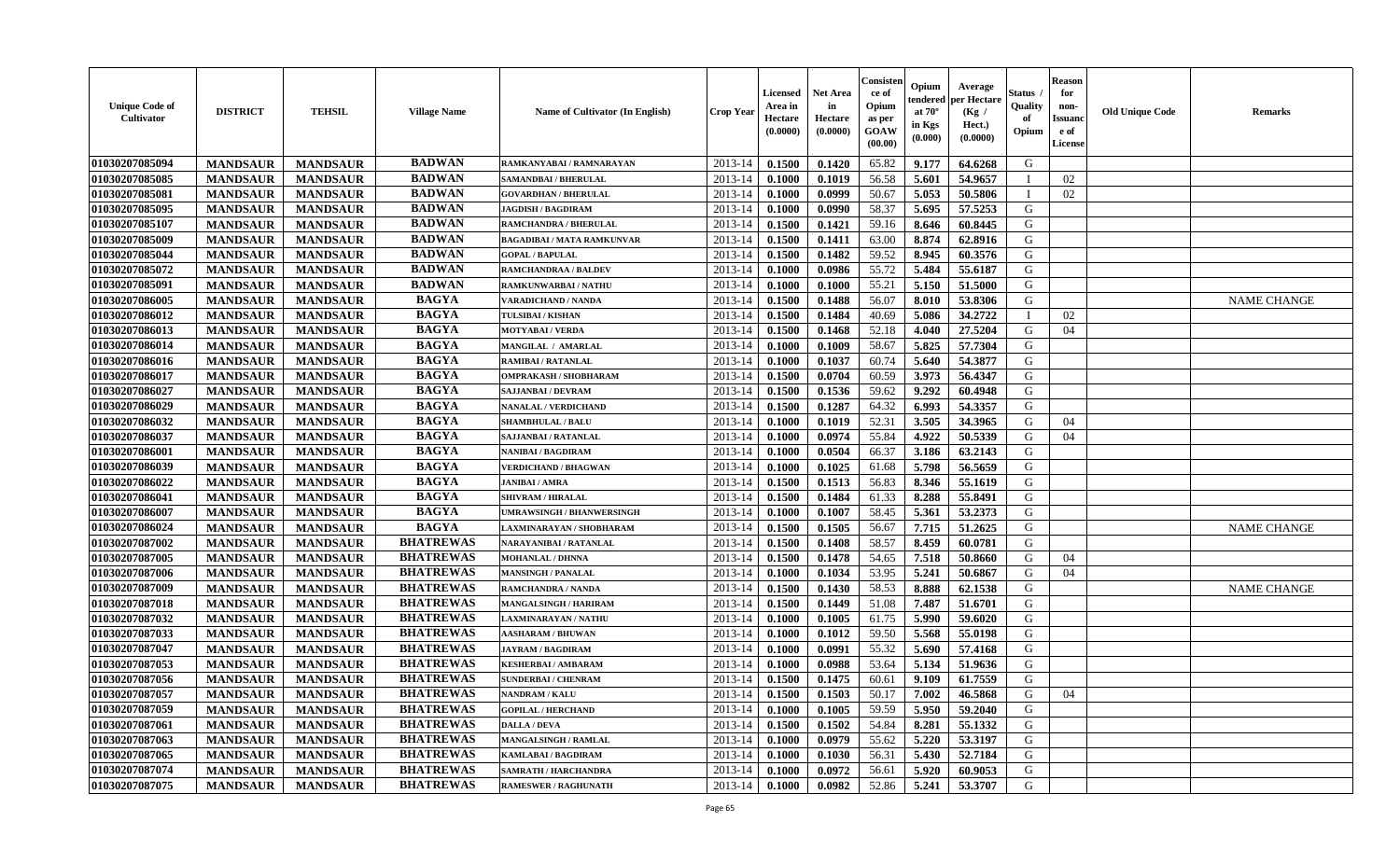| <b>Unique Code of</b><br><b>Cultivator</b> | <b>DISTRICT</b> | <b>TEHSIL</b>   | <b>Village Name</b> | Name of Cultivator (In English) | <b>Crop Year</b> | <b>Licensed</b><br>Area in<br>Hectare<br>(0.0000) | <b>Net Area</b><br>in<br>Hectare<br>(0.0000) | Consisteı<br>ce of<br>Opium<br>as per<br>GOAW<br>(00.00) | Opium<br>endered<br>at $70^\circ$<br>in Kgs<br>$(\mathbf{0.000})$ | Average<br><b>per Hectare</b><br>(Kg /<br>Hect.)<br>(0.0000) | Status<br>Quality<br>of<br>Opium | Reason<br>for<br>non-<br>Issuan<br>e of<br>License | <b>Old Unique Code</b> | <b>Remarks</b>     |
|--------------------------------------------|-----------------|-----------------|---------------------|---------------------------------|------------------|---------------------------------------------------|----------------------------------------------|----------------------------------------------------------|-------------------------------------------------------------------|--------------------------------------------------------------|----------------------------------|----------------------------------------------------|------------------------|--------------------|
| 01030207085094                             | <b>MANDSAUR</b> | <b>MANDSAUR</b> | <b>BADWAN</b>       | RAMKANYABAI / RAMNARAYAN        | 2013-14          | 0.1500                                            | 0.1420                                       | 65.82                                                    | 9.177                                                             | 64.6268                                                      | G                                |                                                    |                        |                    |
| 01030207085085                             | <b>MANDSAUR</b> | <b>MANDSAUR</b> | <b>BADWAN</b>       | SAMANDBAI / BHERULAL            | 2013-14          | 0.1000                                            | 0.1019                                       | 56.58                                                    | 5.601                                                             | 54.9657                                                      |                                  | 02                                                 |                        |                    |
| 01030207085081                             | <b>MANDSAUR</b> | <b>MANDSAUR</b> | <b>BADWAN</b>       | <b>GOVARDHAN / BHERULAL</b>     | 2013-14          | 0.1000                                            | 0.0999                                       | 50.67                                                    | 5.053                                                             | 50.5806                                                      |                                  | 02                                                 |                        |                    |
| 01030207085095                             | <b>MANDSAUR</b> | <b>MANDSAUR</b> | <b>BADWAN</b>       | <b>JAGDISH / BAGDIRAM</b>       | 2013-14          | 0.1000                                            | 0.0990                                       | 58.37                                                    | 5.695                                                             | 57.5253                                                      | G                                |                                                    |                        |                    |
| 01030207085107                             | <b>MANDSAUR</b> | <b>MANDSAUR</b> | <b>BADWAN</b>       | <b>RAMCHANDRA / BHERULAL</b>    | 2013-14          | 0.1500                                            | 0.1421                                       | 59.16                                                    | 8.646                                                             | 60.8445                                                      | G                                |                                                    |                        |                    |
| 01030207085009                             | <b>MANDSAUR</b> | <b>MANDSAUR</b> | <b>BADWAN</b>       | <b>BAGADIBAI/MATA RAMKUNVAR</b> | 2013-14          | 0.1500                                            | 0.1411                                       | 63.00                                                    | 8.874                                                             | 62.8916                                                      | G                                |                                                    |                        |                    |
| 01030207085044                             | <b>MANDSAUR</b> | <b>MANDSAUR</b> | <b>BADWAN</b>       | <b>GOPAL / BAPULAL</b>          | 2013-14          | 0.1500                                            | 0.1482                                       | 59.52                                                    | 8.945                                                             | 60.3576                                                      | G                                |                                                    |                        |                    |
| 01030207085072                             | <b>MANDSAUR</b> | <b>MANDSAUR</b> | <b>BADWAN</b>       | <b>RAMCHANDRAA / BALDEV</b>     | 2013-14          | 0.1000                                            | 0.0986                                       | 55.72                                                    | 5.484                                                             | 55.6187                                                      | G                                |                                                    |                        |                    |
| 01030207085091                             | <b>MANDSAUR</b> | <b>MANDSAUR</b> | <b>BADWAN</b>       | RAMKUNWARBAI / NATHU            | 2013-14          | 0.1000                                            | 0.1000                                       | 55.21                                                    | 5.150                                                             | 51.5000                                                      | G                                |                                                    |                        |                    |
| 01030207086005                             | <b>MANDSAUR</b> | <b>MANDSAUR</b> | <b>BAGYA</b>        | VARADICHAND / NANDA             | 2013-14          | 0.1500                                            | 0.1488                                       | 56.07                                                    | 8.010                                                             | 53.8306                                                      | G                                |                                                    |                        | <b>NAME CHANGE</b> |
| 01030207086012                             | <b>MANDSAUR</b> | <b>MANDSAUR</b> | <b>BAGYA</b>        | TULSIBAI / KISHAN               | 2013-14          | 0.1500                                            | 0.1484                                       | 40.69                                                    | 5.086                                                             | 34,2722                                                      | - 1                              | 02                                                 |                        |                    |
| 01030207086013                             | <b>MANDSAUR</b> | <b>MANDSAUR</b> | <b>BAGYA</b>        | <b>MOTYABAI/VERDA</b>           | 2013-14          | 0.1500                                            | 0.1468                                       | 52.18                                                    | 4.040                                                             | 27.5204                                                      | G                                | 04                                                 |                        |                    |
| 01030207086014                             | <b>MANDSAUR</b> | <b>MANDSAUR</b> | <b>BAGYA</b>        | MANGILAL / AMARLAL              | 2013-14          | 0.1000                                            | 0.1009                                       | 58.67                                                    | 5.825                                                             | 57.7304                                                      | G                                |                                                    |                        |                    |
| 01030207086016                             | <b>MANDSAUR</b> | <b>MANDSAUR</b> | <b>BAGYA</b>        | RAMIBAI / RATANLAL              | 2013-14          | 0.1000                                            | 0.1037                                       | 60.74                                                    | 5.640                                                             | 54.3877                                                      | G                                |                                                    |                        |                    |
| 01030207086017                             | <b>MANDSAUR</b> | <b>MANDSAUR</b> | <b>BAGYA</b>        | OMPRAKASH / SHOBHARAM           | 2013-14          | 0.1500                                            | 0.0704                                       | 60.59                                                    | 3.973                                                             | 56.4347                                                      | G                                |                                                    |                        |                    |
| 01030207086027                             | <b>MANDSAUR</b> | <b>MANDSAUR</b> | <b>BAGYA</b>        | <b>SAJJANBAI / DEVRAM</b>       | 2013-14          | 0.1500                                            | 0.1536                                       | 59.62                                                    | 9.292                                                             | 60.4948                                                      | G                                |                                                    |                        |                    |
| 01030207086029                             | <b>MANDSAUR</b> | <b>MANDSAUR</b> | <b>BAGYA</b>        | NANALAL / VERDICHAND            | 2013-14          | 0.1500                                            | 0.1287                                       | 64.32                                                    | 6.993                                                             | 54.3357                                                      | G                                |                                                    |                        |                    |
| 01030207086032                             | <b>MANDSAUR</b> | <b>MANDSAUR</b> | <b>BAGYA</b>        | <b>SHAMBHULAL / BALU</b>        | 2013-14          | 0.1000                                            | 0.1019                                       | 52.31                                                    | 3.505                                                             | 34.3965                                                      | G                                | 04                                                 |                        |                    |
| 01030207086037                             | <b>MANDSAUR</b> | <b>MANDSAUR</b> | <b>BAGYA</b>        | SAJJANBAI / RATANLAL            | 2013-14          | 0.1000                                            | 0.0974                                       | 55.84                                                    | 4.922                                                             | 50.5339                                                      | G                                | 04                                                 |                        |                    |
| 01030207086001                             | <b>MANDSAUR</b> | <b>MANDSAUR</b> | <b>BAGYA</b>        | NANIBAI / BAGDIRAM              | 2013-14          | 0.1000                                            | 0.0504                                       | 66.37                                                    | 3.186                                                             | 63.2143                                                      | G                                |                                                    |                        |                    |
| 01030207086039                             | <b>MANDSAUR</b> | <b>MANDSAUR</b> | <b>BAGYA</b>        | <b>VERDICHAND / BHAGWAN</b>     | 2013-14          | 0.1000                                            | 0.1025                                       | 61.68                                                    | 5.798                                                             | 56.5659                                                      | G                                |                                                    |                        |                    |
| 01030207086022                             | <b>MANDSAUR</b> | <b>MANDSAUR</b> | <b>BAGYA</b>        | <b>JANIBAI / AMRA</b>           | 2013-14          | 0.1500                                            | 0.1513                                       | 56.83                                                    | 8.346                                                             | 55.1619                                                      | G                                |                                                    |                        |                    |
| 01030207086041                             | <b>MANDSAUR</b> | <b>MANDSAUR</b> | <b>BAGYA</b>        | <b>SHIVRAM / HIRALAL</b>        | 2013-14          | 0.1500                                            | 0.1484                                       | 61.33                                                    | 8.288                                                             | 55.8491                                                      | G                                |                                                    |                        |                    |
| 01030207086007                             | <b>MANDSAUR</b> | <b>MANDSAUR</b> | <b>BAGYA</b>        | UMRAWSINGH / BHANWERSINGH       | 2013-14          | 0.1000                                            | 0.1007                                       | 58.45                                                    | 5.361                                                             | 53.2373                                                      | G                                |                                                    |                        |                    |
| 01030207086024                             | <b>MANDSAUR</b> | <b>MANDSAUR</b> | <b>BAGYA</b>        | LAXMINARAYAN / SHOBHARAM        | 2013-14          | 0.1500                                            | 0.1505                                       | 56.67                                                    | 7.715                                                             | 51.2625                                                      | G                                |                                                    |                        | <b>NAME CHANGE</b> |
| 01030207087002                             | <b>MANDSAUR</b> | <b>MANDSAUR</b> | <b>BHATREWAS</b>    | NARAYANIBAI / RATANLAL          | 2013-14          | 0.1500                                            | 0.1408                                       | 58.57                                                    | 8.459                                                             | 60.0781                                                      | G                                |                                                    |                        |                    |
| 01030207087005                             | <b>MANDSAUR</b> | <b>MANDSAUR</b> | <b>BHATREWAS</b>    | <b>MOHANLAL / DHNNA</b>         | 2013-14          | 0.1500                                            | 0.1478                                       | 54.65                                                    | 7.518                                                             | 50.8660                                                      | G                                | 04                                                 |                        |                    |
| 01030207087006                             | <b>MANDSAUR</b> | <b>MANDSAUR</b> | <b>BHATREWAS</b>    | <b>MANSINGH / PANALAL</b>       | 2013-14          | 0.1000                                            | 0.1034                                       | 53.95                                                    | 5.241                                                             | 50.6867                                                      | G                                | 04                                                 |                        |                    |
| 01030207087009                             | <b>MANDSAUR</b> | <b>MANDSAUR</b> | <b>BHATREWAS</b>    | RAMCHANDRA / NANDA              | 2013-14          | 0.1500                                            | 0.1430                                       | 58.53                                                    | 8.888                                                             | 62.1538                                                      | G                                |                                                    |                        | <b>NAME CHANGE</b> |
| 01030207087018                             | <b>MANDSAUR</b> | <b>MANDSAUR</b> | <b>BHATREWAS</b>    | <b>MANGALSINGH / HARIRAM</b>    | 2013-14          | 0.1500                                            | 0.1449                                       | 51.08                                                    | 7.487                                                             | 51.6701                                                      | G                                |                                                    |                        |                    |
| 01030207087032                             | <b>MANDSAUR</b> | <b>MANDSAUR</b> | <b>BHATREWAS</b>    | AXMINARAYAN / NATHU             | 2013-14          | 0.1000                                            | 0.1005                                       | 61.75                                                    | 5.990                                                             | 59.6020                                                      | G                                |                                                    |                        |                    |
| 01030207087033                             | <b>MANDSAUR</b> | <b>MANDSAUR</b> | <b>BHATREWAS</b>    | <b>AASHARAM / BHUWAN</b>        | 2013-14          | 0.1000                                            | 0.1012                                       | 59.50                                                    | 5.568                                                             | 55.0198                                                      | G                                |                                                    |                        |                    |
| 01030207087047                             | <b>MANDSAUR</b> | <b>MANDSAUR</b> | <b>BHATREWAS</b>    | <b>JAYRAM / BAGDIRAM</b>        | 2013-14          | 0.1000                                            | 0.0991                                       | 55.32                                                    | 5.690                                                             | 57.4168                                                      | G                                |                                                    |                        |                    |
| 01030207087053                             | <b>MANDSAUR</b> | <b>MANDSAUR</b> | <b>BHATREWAS</b>    | KESHERBAI / AMBARAM             | 2013-14          | 0.1000                                            | 0.0988                                       | 53.64                                                    | 5.134                                                             | 51.9636                                                      | G                                |                                                    |                        |                    |
| 01030207087056                             | <b>MANDSAUR</b> | <b>MANDSAUR</b> | <b>BHATREWAS</b>    | <b>SUNDERBAI/ CHENRAM</b>       | 2013-14          | 0.1500                                            | 0.1475                                       | 60.61                                                    | 9.109                                                             | 61.7559                                                      | G                                |                                                    |                        |                    |
| 01030207087057                             | <b>MANDSAUR</b> | MANDSAUR        | <b>BHATREWAS</b>    | <b>NANDRAM / KALU</b>           | $2013-14$ 0.1500 |                                                   | 0.1503                                       | 50.17                                                    | $7.002$                                                           | 46.5868                                                      | G                                | 04                                                 |                        |                    |
| 01030207087059                             | <b>MANDSAUR</b> | <b>MANDSAUR</b> | <b>BHATREWAS</b>    | <b>GOPILAL / HERCHAND</b>       | 2013-14          | 0.1000                                            | 0.1005                                       | 59.59                                                    | 5.950                                                             | 59.2040                                                      | G                                |                                                    |                        |                    |
| 01030207087061                             | <b>MANDSAUR</b> | <b>MANDSAUR</b> | <b>BHATREWAS</b>    | <b>DALLA / DEVA</b>             | 2013-14          | 0.1500                                            | 0.1502                                       | 54.84                                                    | 8.281                                                             | 55.1332                                                      | G                                |                                                    |                        |                    |
| 01030207087063                             | <b>MANDSAUR</b> | <b>MANDSAUR</b> | <b>BHATREWAS</b>    | MANGALSINGH / RAMLAL            | 2013-14          | 0.1000                                            | 0.0979                                       | 55.62                                                    | 5.220                                                             | 53.3197                                                      | G                                |                                                    |                        |                    |
| 01030207087065                             | <b>MANDSAUR</b> | <b>MANDSAUR</b> | <b>BHATREWAS</b>    | <b>KAMLABAI/BAGDIRAM</b>        | 2013-14          | 0.1000                                            | 0.1030                                       | 56.31                                                    | 5.430                                                             | 52.7184                                                      | G                                |                                                    |                        |                    |
| 01030207087074                             | <b>MANDSAUR</b> | <b>MANDSAUR</b> | <b>BHATREWAS</b>    | <b>SAMRATH / HARCHANDRA</b>     | 2013-14          | 0.1000                                            | 0.0972                                       | 56.61                                                    | 5.920                                                             | 60.9053                                                      | G                                |                                                    |                        |                    |
| 01030207087075                             | <b>MANDSAUR</b> | <b>MANDSAUR</b> | <b>BHATREWAS</b>    | <b>RAMESWER / RAGHUNATH</b>     | 2013-14          | $\boldsymbol{0.1000}$                             | 0.0982                                       | 52.86                                                    | 5.241                                                             | 53.3707                                                      | G                                |                                                    |                        |                    |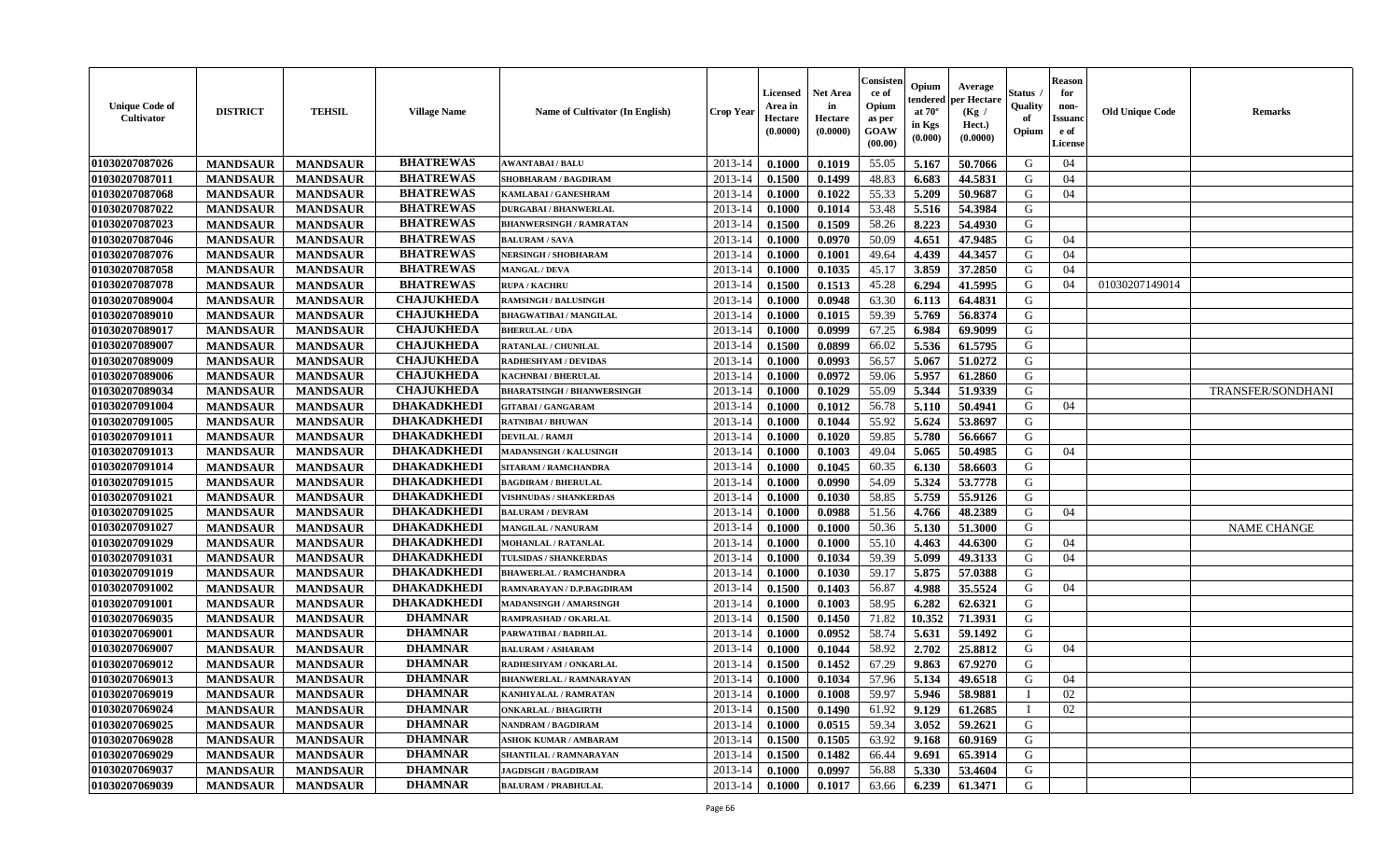| <b>Unique Code of</b><br><b>Cultivator</b> | <b>DISTRICT</b> | <b>TEHSIL</b>   | <b>Village Name</b> | Name of Cultivator (In English)   | <b>Crop Year</b> | <b>Licensed</b><br>Area in<br>Hectare<br>(0.0000) | <b>Net Area</b><br>in<br>Hectare<br>(0.0000) | Consisteı<br>ce of<br>Opium<br>as per<br>GOAW<br>(00.00) | Opium<br>endered<br>at $70^{\circ}$<br>in Kgs<br>(0.000) | Average<br>er Hectare<br>(Kg /<br>Hect.)<br>(0.0000) | Status<br>Quality<br>of<br>Opium | <b>Reason</b><br>for<br>non-<br><b>Issuand</b><br>e of<br>License | <b>Old Unique Code</b> | <b>Remarks</b>     |
|--------------------------------------------|-----------------|-----------------|---------------------|-----------------------------------|------------------|---------------------------------------------------|----------------------------------------------|----------------------------------------------------------|----------------------------------------------------------|------------------------------------------------------|----------------------------------|-------------------------------------------------------------------|------------------------|--------------------|
| 01030207087026                             | <b>MANDSAUR</b> | <b>MANDSAUR</b> | <b>BHATREWAS</b>    | <b>AWANTABAI/BALU</b>             | 2013-14          | 0.1000                                            | 0.1019                                       | 55.05                                                    | 5.167                                                    | 50.7066                                              | G                                | 04                                                                |                        |                    |
| 01030207087011                             | <b>MANDSAUR</b> | <b>MANDSAUR</b> | <b>BHATREWAS</b>    | SHOBHARAM / BAGDIRAM              | 2013-14          | 0.1500                                            | 0.1499                                       | 48.83                                                    | 6.683                                                    | 44.5831                                              | G                                | 04                                                                |                        |                    |
| 01030207087068                             | <b>MANDSAUR</b> | <b>MANDSAUR</b> | <b>BHATREWAS</b>    | KAMLABAI / GANESHRAM              | 2013-14          | 0.1000                                            | 0.1022                                       | 55.33                                                    | 5.209                                                    | 50.9687                                              | G                                | 04                                                                |                        |                    |
| 01030207087022                             | <b>MANDSAUR</b> | <b>MANDSAUR</b> | <b>BHATREWAS</b>    | <b>DURGABAI/BHANWERLAL</b>        | 2013-14          | 0.1000                                            | 0.1014                                       | 53.48                                                    | 5.516                                                    | 54.3984                                              | G                                |                                                                   |                        |                    |
| 01030207087023                             | <b>MANDSAUR</b> | <b>MANDSAUR</b> | <b>BHATREWAS</b>    | <b>BHANWERSINGH / RAMRATAN</b>    | 2013-14          | 0.1500                                            | 0.1509                                       | 58.26                                                    | 8.223                                                    | 54.4930                                              | G                                |                                                                   |                        |                    |
| 01030207087046                             | <b>MANDSAUR</b> | <b>MANDSAUR</b> | <b>BHATREWAS</b>    | <b>BALURAM / SAVA</b>             | 2013-14          | 0.1000                                            | 0.0970                                       | 50.09                                                    | 4.651                                                    | 47.9485                                              | G                                | 04                                                                |                        |                    |
| 01030207087076                             | <b>MANDSAUR</b> | <b>MANDSAUR</b> | <b>BHATREWAS</b>    | NERSINGH / SHOBHARAM              | 2013-14          | 0.1000                                            | 0.1001                                       | 49.64                                                    | 4.439                                                    | 44.3457                                              | G                                | 04                                                                |                        |                    |
| 01030207087058                             | <b>MANDSAUR</b> | <b>MANDSAUR</b> | <b>BHATREWAS</b>    | <b>MANGAL / DEVA</b>              | 2013-14          | 0.1000                                            | 0.1035                                       | 45.17                                                    | 3.859                                                    | 37.2850                                              | G                                | 04                                                                |                        |                    |
| 01030207087078                             | <b>MANDSAUR</b> | <b>MANDSAUR</b> | <b>BHATREWAS</b>    | <b>RUPA / KACHRU</b>              | 2013-14          | 0.1500                                            | 0.1513                                       | 45.28                                                    | 6.294                                                    | 41.5995                                              | G                                | 04                                                                | 01030207149014         |                    |
| 01030207089004                             | <b>MANDSAUR</b> | <b>MANDSAUR</b> | <b>CHAJUKHEDA</b>   | <b>RAMSINGH / BALUSINGH</b>       | 2013-14          | 0.1000                                            | 0.0948                                       | 63.30                                                    | 6.113                                                    | 64.4831                                              | G                                |                                                                   |                        |                    |
| 01030207089010                             | <b>MANDSAUR</b> | <b>MANDSAUR</b> | <b>CHAJUKHEDA</b>   | <b>BHAGWATIBAI / MANGILAL</b>     | 2013-14          | 0.1000                                            | 0.1015                                       | 59.39                                                    | 5.769                                                    | 56.8374                                              | G                                |                                                                   |                        |                    |
| 01030207089017                             | <b>MANDSAUR</b> | <b>MANDSAUR</b> | <b>CHAJUKHEDA</b>   | <b>BHERULAL / UDA</b>             | 2013-14          | 0.1000                                            | 0.0999                                       | 67.25                                                    | 6.984                                                    | 69.9099                                              | G                                |                                                                   |                        |                    |
| 01030207089007                             | <b>MANDSAUR</b> | <b>MANDSAUR</b> | <b>CHAJUKHEDA</b>   | RATANLAL / CHUNILAL               | 2013-14          | 0.1500                                            | 0.0899                                       | 66.02                                                    | 5.536                                                    | 61.5795                                              | G                                |                                                                   |                        |                    |
| 01030207089009                             | <b>MANDSAUR</b> | <b>MANDSAUR</b> | <b>CHAJUKHEDA</b>   | <b>RADHESHYAM / DEVIDAS</b>       | 2013-14          | 0.1000                                            | 0.0993                                       | 56.57                                                    | 5.067                                                    | 51.0272                                              | G                                |                                                                   |                        |                    |
| 01030207089006                             | <b>MANDSAUR</b> | <b>MANDSAUR</b> | <b>CHAJUKHEDA</b>   | KACHNBAI / BHERULAL               | 2013-14          | 0.1000                                            | 0.0972                                       | 59.06                                                    | 5.957                                                    | 61.2860                                              | G                                |                                                                   |                        |                    |
| 01030207089034                             | <b>MANDSAUR</b> | <b>MANDSAUR</b> | <b>CHAJUKHEDA</b>   | <b>BHARATSINGH / BHANWERSINGH</b> | 2013-14          | 0.1000                                            | 0.1029                                       | 55.09                                                    | 5.344                                                    | 51.9339                                              | G                                |                                                                   |                        | TRANSFER/SONDHANI  |
| 01030207091004                             | <b>MANDSAUR</b> | <b>MANDSAUR</b> | <b>DHAKADKHEDI</b>  | <b>GITABAI/GANGARAM</b>           | 2013-14          | 0.1000                                            | 0.1012                                       | 56.78                                                    | 5.110                                                    | 50.4941                                              | G                                | 04                                                                |                        |                    |
| 01030207091005                             | <b>MANDSAUR</b> | <b>MANDSAUR</b> | <b>DHAKADKHEDI</b>  | <b>RATNIBAI / BHUWAN</b>          | 2013-14          | 0.1000                                            | 0.1044                                       | 55.92                                                    | 5.624                                                    | 53.8697                                              | G                                |                                                                   |                        |                    |
| 01030207091011                             | <b>MANDSAUR</b> | <b>MANDSAUR</b> | <b>DHAKADKHEDI</b>  | <b>DEVILAL / RAMJI</b>            | 2013-14          | 0.1000                                            | 0.1020                                       | 59.85                                                    | 5.780                                                    | 56.6667                                              | G                                |                                                                   |                        |                    |
| 01030207091013                             | <b>MANDSAUR</b> | <b>MANDSAUR</b> | <b>DHAKADKHEDI</b>  | <b>MADANSINGH / KALUSINGH</b>     | 2013-14          | 0.1000                                            | 0.1003                                       | 49.04                                                    | 5.065                                                    | 50.4985                                              | G                                | 04                                                                |                        |                    |
| 01030207091014                             | <b>MANDSAUR</b> | <b>MANDSAUR</b> | <b>DHAKADKHEDI</b>  | <b>SITARAM / RAMCHANDRA</b>       | 2013-14          | 0.1000                                            | 0.1045                                       | 60.35                                                    | 6.130                                                    | 58.6603                                              | G                                |                                                                   |                        |                    |
| 01030207091015                             | <b>MANDSAUR</b> | <b>MANDSAUR</b> | <b>DHAKADKHEDI</b>  | <b>BAGDIRAM / BHERULAL</b>        | 2013-14          | 0.1000                                            | 0.0990                                       | 54.09                                                    | 5.324                                                    | 53.7778                                              | G                                |                                                                   |                        |                    |
| 01030207091021                             | <b>MANDSAUR</b> | <b>MANDSAUR</b> | <b>DHAKADKHEDI</b>  | <b>VISHNUDAS / SHANKERDAS</b>     | 2013-14          | 0.1000                                            | 0.1030                                       | 58.85                                                    | 5.759                                                    | 55.9126                                              | G                                |                                                                   |                        |                    |
| 01030207091025                             | <b>MANDSAUR</b> | <b>MANDSAUR</b> | <b>DHAKADKHEDI</b>  | <b>BALURAM / DEVRAM</b>           | 2013-14          | 0.1000                                            | 0.0988                                       | 51.56                                                    | 4.766                                                    | 48.2389                                              | G                                | 04                                                                |                        |                    |
| 01030207091027                             | <b>MANDSAUR</b> | <b>MANDSAUR</b> | <b>DHAKADKHEDI</b>  | <b>MANGILAL / NANURAM</b>         | 2013-14          | 0.1000                                            | 0.1000                                       | 50.36                                                    | 5.130                                                    | 51.3000                                              | G                                |                                                                   |                        | <b>NAME CHANGE</b> |
| 01030207091029                             | <b>MANDSAUR</b> | <b>MANDSAUR</b> | <b>DHAKADKHEDI</b>  | <b>MOHANLAL / RATANLAL</b>        | 2013-14          | 0.1000                                            | 0.1000                                       | 55.10                                                    | 4.463                                                    | 44.6300                                              | G                                | 04                                                                |                        |                    |
| 01030207091031                             | <b>MANDSAUR</b> | <b>MANDSAUR</b> | <b>DHAKADKHEDI</b>  | TULSIDAS / SHANKERDAS             | 2013-14          | 0.1000                                            | 0.1034                                       | 59.39                                                    | 5.099                                                    | 49.3133                                              | G                                | 04                                                                |                        |                    |
| 01030207091019                             | <b>MANDSAUR</b> | <b>MANDSAUR</b> | <b>DHAKADKHEDI</b>  | <b>BHAWERLAL / RAMCHANDRA</b>     | 2013-14          | 0.1000                                            | 0.1030                                       | 59.17                                                    | 5.875                                                    | 57.0388                                              | G                                |                                                                   |                        |                    |
| 01030207091002                             | <b>MANDSAUR</b> | <b>MANDSAUR</b> | <b>DHAKADKHEDI</b>  | RAMNARAYAN / D.P.BAGDIRAM         | 2013-14          | 0.1500                                            | 0.1403                                       | 56.87                                                    | 4.988                                                    | 35.5524                                              | G                                | 04                                                                |                        |                    |
| 01030207091001                             | <b>MANDSAUR</b> | <b>MANDSAUR</b> | <b>DHAKADKHEDI</b>  | <b>MADANSINGH / AMARSINGH</b>     | 2013-14          | 0.1000                                            | 0.1003                                       | 58.95                                                    | 6.282                                                    | 62.6321                                              | G                                |                                                                   |                        |                    |
| 01030207069035                             | <b>MANDSAUR</b> | <b>MANDSAUR</b> | <b>DHAMNAR</b>      | RAMPRASHAD / OKARLAL              | 2013-14          | 0.1500                                            | 0.1450                                       | 71.82                                                    | 10.352                                                   | 71.3931                                              | G                                |                                                                   |                        |                    |
| 01030207069001                             | <b>MANDSAUR</b> | <b>MANDSAUR</b> | <b>DHAMNAR</b>      | PARWATIBAI / BADRILAL             | 2013-14          | 0.1000                                            | 0.0952                                       | 58.74                                                    | 5.631                                                    | 59.1492                                              | G                                |                                                                   |                        |                    |
| 01030207069007                             | <b>MANDSAUR</b> | <b>MANDSAUR</b> | <b>DHAMNAR</b>      | <b>BALURAM / ASHARAM</b>          | 2013-14          | 0.1000                                            | 0.1044                                       | 58.92                                                    | 2.702                                                    | 25.8812                                              | G                                | 04                                                                |                        |                    |
| 01030207069012                             | <b>MANDSAUR</b> | <b>MANDSAUR</b> | <b>DHAMNAR</b>      | RADHESHYAM / ONKARLAL             | 2013-14          | 0.1500                                            | 0.1452                                       | 67.29                                                    | 9.863                                                    | 67.9270                                              | G                                |                                                                   |                        |                    |
| 01030207069013                             | <b>MANDSAUR</b> | <b>MANDSAUR</b> | <b>DHAMNAR</b>      | <b>BHANWERLAL / RAMNARAYAN</b>    | 2013-14          | 0.1000                                            | 0.1034                                       | 57.96                                                    | 5.134                                                    | 49.6518                                              | G                                | 04                                                                |                        |                    |
| 01030207069019                             | <b>MANDSAUR</b> | <b>MANDSAUR</b> | <b>DHAMNAR</b>      | <b>KANHIYALAL / RAMRATAN</b>      | 2013-14          | 0.1000                                            | 0.1008                                       | 59.97                                                    | 5.946                                                    | 58.9881                                              | $\mathbf I$                      | 02                                                                |                        |                    |
| 01030207069024                             | <b>MANDSAUR</b> | <b>MANDSAUR</b> | <b>DHAMNAR</b>      | <b>ONKARLAL / BHAGIRTH</b>        | 2013-14          | 0.1500                                            | 0.1490                                       | 61.92                                                    | 9.129                                                    | 61.2685                                              | $\mathbf{I}$                     | 02                                                                |                        |                    |
| 01030207069025                             | <b>MANDSAUR</b> | <b>MANDSAUR</b> | <b>DHAMNAR</b>      | NANDRAM / BAGDIRAM                | 2013-14          | 0.1000                                            | 0.0515                                       | 59.34                                                    | 3.052                                                    | 59.2621                                              | G                                |                                                                   |                        |                    |
| 01030207069028                             | <b>MANDSAUR</b> | <b>MANDSAUR</b> | <b>DHAMNAR</b>      | <b>ASHOK KUMAR / AMBARAM</b>      | 2013-14          | 0.1500                                            | 0.1505                                       | 63.92                                                    | 9.168                                                    | 60.9169                                              | $\mathbf G$                      |                                                                   |                        |                    |
| 01030207069029                             |                 |                 | <b>DHAMNAR</b>      | SHANTILAL / RAMNARAYAN            | 2013-14          | 0.1500                                            | 0.1482                                       | 66.44                                                    | 9.691                                                    | 65.3914                                              | G                                |                                                                   |                        |                    |
| 01030207069037                             | <b>MANDSAUR</b> | <b>MANDSAUR</b> | <b>DHAMNAR</b>      | <b>JAGDISGH / BAGDIRAM</b>        | 2013-14          | 0.1000                                            | 0.0997                                       | 56.88                                                    | 5.330                                                    | 53.4604                                              | G                                |                                                                   |                        |                    |
| 01030207069039                             | <b>MANDSAUR</b> | <b>MANDSAUR</b> | <b>DHAMNAR</b>      | <b>BALURAM / PRABHULAL</b>        | 2013-14          | 0.1000                                            | 0.1017                                       | 63.66                                                    | 6.239                                                    | 61.3471                                              | G                                |                                                                   |                        |                    |
|                                            | <b>MANDSAUR</b> | <b>MANDSAUR</b> |                     |                                   |                  |                                                   |                                              |                                                          |                                                          |                                                      |                                  |                                                                   |                        |                    |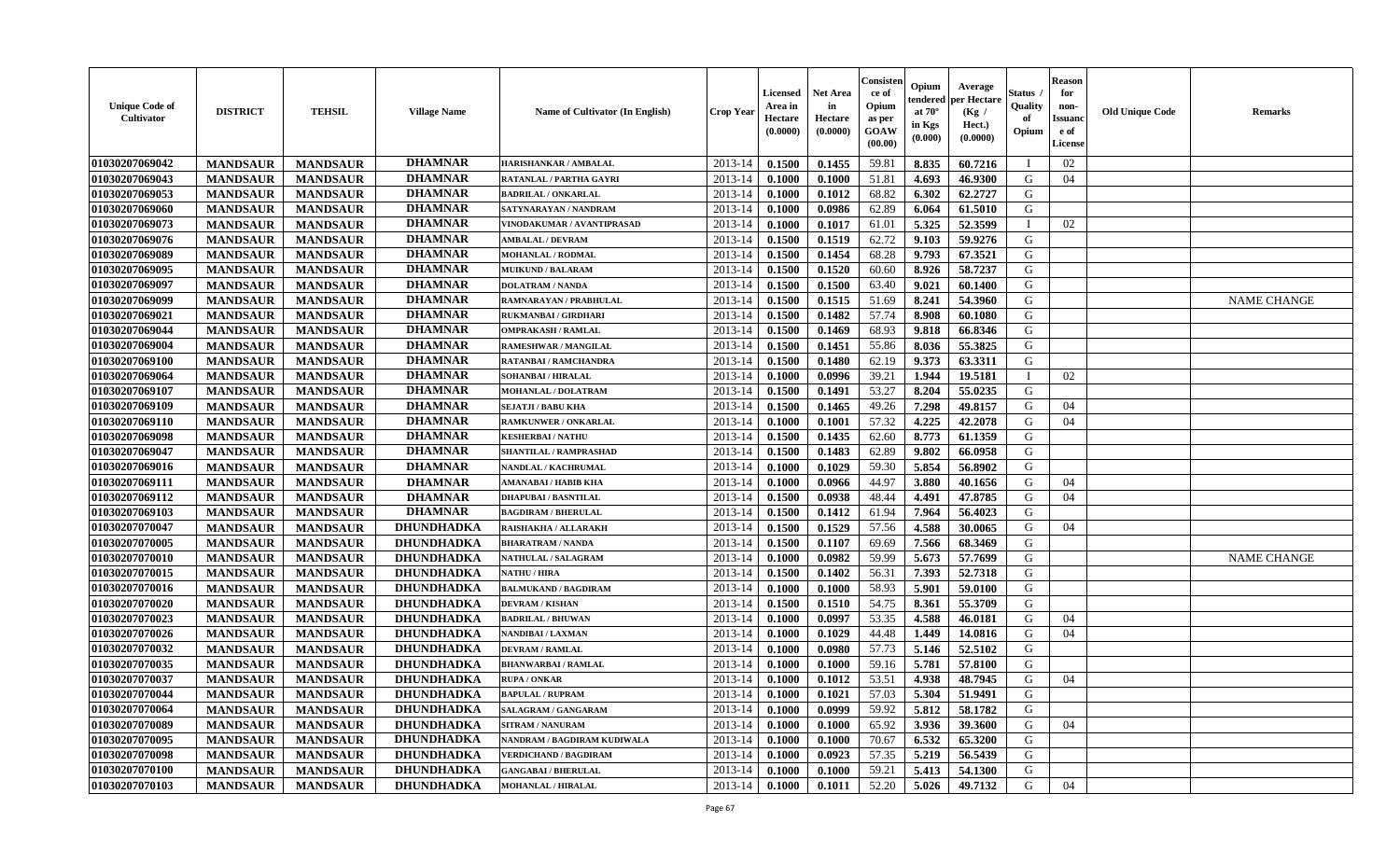| <b>Unique Code of</b><br><b>Cultivator</b> | <b>DISTRICT</b> | <b>TEHSIL</b>   | <b>Village Name</b> | <b>Name of Cultivator (In English)</b> | <b>Crop Year</b> | <b>Licensed</b><br>Area in<br>Hectare<br>(0.0000) | <b>Net Area</b><br>in<br>Hectare<br>(0.0000) | Consister<br>ce of<br>Opium<br>as per<br><b>GOAW</b><br>(00.00) | Opium<br>endered<br>at $70^\circ$<br>in Kgs<br>$(\mathbf{0.000})$ | Average<br>per Hectare<br>(Kg)<br>Hect.)<br>(0.0000) | Status<br>Quality<br>of<br>Opium | <b>Reason</b><br>for<br>non-<br><b>Issuano</b><br>e of<br>License | <b>Old Unique Code</b> | <b>Remarks</b>     |
|--------------------------------------------|-----------------|-----------------|---------------------|----------------------------------------|------------------|---------------------------------------------------|----------------------------------------------|-----------------------------------------------------------------|-------------------------------------------------------------------|------------------------------------------------------|----------------------------------|-------------------------------------------------------------------|------------------------|--------------------|
| 01030207069042                             | <b>MANDSAUR</b> | <b>MANDSAUR</b> | <b>DHAMNAR</b>      | HARISHANKAR / AMBALAL                  | 2013-14          | 0.1500                                            | 0.1455                                       | 59.81                                                           | 8.835                                                             | 60.7216                                              |                                  | 02                                                                |                        |                    |
| 01030207069043                             | <b>MANDSAUR</b> | <b>MANDSAUR</b> | <b>DHAMNAR</b>      | RATANLAL / PARTHA GAYRI                | 2013-14          | 0.1000                                            | 0.1000                                       | 51.81                                                           | 4.693                                                             | 46.9300                                              | G                                | 04                                                                |                        |                    |
| 01030207069053                             | <b>MANDSAUR</b> | <b>MANDSAUR</b> | <b>DHAMNAR</b>      | <b>BADRILAL / ONKARLAL</b>             | 2013-14          | 0.1000                                            | 0.1012                                       | 68.82                                                           | 6.302                                                             | 62,2727                                              | G                                |                                                                   |                        |                    |
| 01030207069060                             | <b>MANDSAUR</b> | <b>MANDSAUR</b> | <b>DHAMNAR</b>      | SATYNARAYAN / NANDRAM                  | 2013-14          | 0.1000                                            | 0.0986                                       | 62.89                                                           | 6.064                                                             | 61.5010                                              | G                                |                                                                   |                        |                    |
| 01030207069073                             | <b>MANDSAUR</b> | <b>MANDSAUR</b> | <b>DHAMNAR</b>      | VINODAKUMAR / AVANTIPRASAD             | 2013-14          | 0.1000                                            | 0.1017                                       | 61.01                                                           | 5.325                                                             | 52.3599                                              | - 1                              | 02                                                                |                        |                    |
| 01030207069076                             | <b>MANDSAUR</b> | <b>MANDSAUR</b> | <b>DHAMNAR</b>      | <b>AMBALAL / DEVRAM</b>                | 2013-14          | 0.1500                                            | 0.1519                                       | 62.72                                                           | 9.103                                                             | 59.9276                                              | G                                |                                                                   |                        |                    |
| 01030207069089                             | <b>MANDSAUR</b> | <b>MANDSAUR</b> | <b>DHAMNAR</b>      | <b>MOHANLAL / RODMAL</b>               | 2013-14          | 0.1500                                            | 0.1454                                       | 68.28                                                           | 9.793                                                             | 67.3521                                              | G                                |                                                                   |                        |                    |
| 01030207069095                             | <b>MANDSAUR</b> | <b>MANDSAUR</b> | <b>DHAMNAR</b>      | <b>MUIKUND / BALARAM</b>               | 2013-14          | 0.1500                                            | 0.1520                                       | 60.60                                                           | 8.926                                                             | 58.7237                                              | G                                |                                                                   |                        |                    |
| 01030207069097                             | <b>MANDSAUR</b> | <b>MANDSAUR</b> | <b>DHAMNAR</b>      | <b>DOLATRAM / NANDA</b>                | 2013-14          | 0.1500                                            | 0.1500                                       | 63.40                                                           | 9.021                                                             | 60.1400                                              | G                                |                                                                   |                        |                    |
| 01030207069099                             | <b>MANDSAUR</b> | <b>MANDSAUR</b> | <b>DHAMNAR</b>      | RAMNARAYAN / PRABHULAL                 | 2013-14          | 0.1500                                            | 0.1515                                       | 51.69                                                           | 8.241                                                             | 54.3960                                              | G                                |                                                                   |                        | <b>NAME CHANGE</b> |
| 01030207069021                             | <b>MANDSAUR</b> | <b>MANDSAUR</b> | <b>DHAMNAR</b>      | RUKMANBAI / GIRDHARI                   | 2013-14          | 0.1500                                            | 0.1482                                       | 57.74                                                           | 8.908                                                             | 60.1080                                              | G                                |                                                                   |                        |                    |
| 01030207069044                             | <b>MANDSAUR</b> | <b>MANDSAUR</b> | <b>DHAMNAR</b>      | <b>OMPRAKASH / RAMLAL</b>              | 2013-14          | 0.1500                                            | 0.1469                                       | 68.93                                                           | 9.818                                                             | 66.8346                                              | G                                |                                                                   |                        |                    |
| 01030207069004                             | <b>MANDSAUR</b> | <b>MANDSAUR</b> | <b>DHAMNAR</b>      | <b>RAMESHWAR / MANGILAL</b>            | 2013-14          | 0.1500                                            | 0.1451                                       | 55.86                                                           | 8.036                                                             | 55.3825                                              | G                                |                                                                   |                        |                    |
| 01030207069100                             | <b>MANDSAUR</b> | <b>MANDSAUR</b> | <b>DHAMNAR</b>      | RATANBAI / RAMCHANDRA                  | 2013-14          | 0.1500                                            | 0.1480                                       | 62.19                                                           | 9.373                                                             | 63.3311                                              | G                                |                                                                   |                        |                    |
| 01030207069064                             | <b>MANDSAUR</b> | <b>MANDSAUR</b> | <b>DHAMNAR</b>      | SOHANBAI / HIRALAL                     | 2013-14          | 0.1000                                            | 0.0996                                       | 39.21                                                           | 1.944                                                             | 19.5181                                              |                                  | 02                                                                |                        |                    |
| 01030207069107                             | <b>MANDSAUR</b> | <b>MANDSAUR</b> | <b>DHAMNAR</b>      | MOHANLAL / DOLATRAM                    | 2013-14          | 0.1500                                            | 0.1491                                       | 53.27                                                           | 8.204                                                             | 55.0235                                              | G                                |                                                                   |                        |                    |
| 01030207069109                             | <b>MANDSAUR</b> | <b>MANDSAUR</b> | <b>DHAMNAR</b>      | <b>SEJATJI / BABU KHA</b>              | 2013-14          | 0.1500                                            | 0.1465                                       | 49.26                                                           | 7.298                                                             | 49.8157                                              | G                                | 04                                                                |                        |                    |
| 01030207069110                             | <b>MANDSAUR</b> | <b>MANDSAUR</b> | <b>DHAMNAR</b>      | <b>RAMKUNWER / ONKARLAL</b>            | 2013-14          | 0.1000                                            | 0.1001                                       | 57.32                                                           | 4.225                                                             | 42.2078                                              | G                                | 04                                                                |                        |                    |
| 01030207069098                             | <b>MANDSAUR</b> | <b>MANDSAUR</b> | <b>DHAMNAR</b>      | <b>KESHERBAI/NATHU</b>                 | 2013-14          | 0.1500                                            | 0.1435                                       | 62.60                                                           | 8.773                                                             | 61.1359                                              | G                                |                                                                   |                        |                    |
| 01030207069047                             | <b>MANDSAUR</b> | <b>MANDSAUR</b> | <b>DHAMNAR</b>      | SHANTILAL / RAMPRASHAD                 | 2013-14          | 0.1500                                            | 0.1483                                       | 62.89                                                           | 9.802                                                             | 66.0958                                              | G                                |                                                                   |                        |                    |
| 01030207069016                             | <b>MANDSAUR</b> | <b>MANDSAUR</b> | <b>DHAMNAR</b>      | NANDLAL / KACHRUMAL                    | 2013-14          | 0.1000                                            | 0.1029                                       | 59.30                                                           | 5.854                                                             | 56.8902                                              | G                                |                                                                   |                        |                    |
| 01030207069111                             | <b>MANDSAUR</b> | <b>MANDSAUR</b> | <b>DHAMNAR</b>      | AMANABAI / HABIB KHA                   | 2013-14          | 0.1000                                            | 0.0966                                       | 44.97                                                           | 3.880                                                             | 40.1656                                              | G                                | 04                                                                |                        |                    |
| 01030207069112                             | <b>MANDSAUR</b> | <b>MANDSAUR</b> | <b>DHAMNAR</b>      | <b>DHAPUBAI/BASNTILAL</b>              | 2013-14          | 0.1500                                            | 0.0938                                       | 48.44                                                           | 4.491                                                             | 47.8785                                              | G                                | 04                                                                |                        |                    |
| 01030207069103                             | <b>MANDSAUR</b> | <b>MANDSAUR</b> | <b>DHAMNAR</b>      | <b>BAGDIRAM / BHERULAL</b>             | 2013-14          | 0.1500                                            | 0.1412                                       | 61.94                                                           | 7.964                                                             | 56.4023                                              | G                                |                                                                   |                        |                    |
| 01030207070047                             | <b>MANDSAUR</b> | <b>MANDSAUR</b> | <b>DHUNDHADKA</b>   | RAISHAKHA / ALLARAKH                   | 2013-14          | 0.1500                                            | 0.1529                                       | 57.56                                                           | 4.588                                                             | 30.0065                                              | G                                | 04                                                                |                        |                    |
| 01030207070005                             | <b>MANDSAUR</b> | <b>MANDSAUR</b> | <b>DHUNDHADKA</b>   | <b>BHARATRAM / NANDA</b>               | 2013-14          | 0.1500                                            | 0.1107                                       | 69.69                                                           | 7.566                                                             | 68.3469                                              | G                                |                                                                   |                        |                    |
| 01030207070010                             | <b>MANDSAUR</b> | <b>MANDSAUR</b> | <b>DHUNDHADKA</b>   | <b>NATHULAL / SALAGRAM</b>             | 2013-14          | 0.1000                                            | 0.0982                                       | 59.99                                                           | 5.673                                                             | 57.7699                                              | G                                |                                                                   |                        | <b>NAME CHANGE</b> |
| 01030207070015                             | <b>MANDSAUR</b> | <b>MANDSAUR</b> | <b>DHUNDHADKA</b>   | <b>NATHU / HIRA</b>                    | 2013-14          | 0.1500                                            | 0.1402                                       | 56.31                                                           | 7.393                                                             | 52.7318                                              | G                                |                                                                   |                        |                    |
| 01030207070016                             | <b>MANDSAUR</b> | <b>MANDSAUR</b> | DHUNDHADKA          | <b>BALMUKAND / BAGDIRAM</b>            | 2013-14          | 0.1000                                            | 0.1000                                       | 58.93                                                           | 5.901                                                             | 59.0100                                              | G                                |                                                                   |                        |                    |
| 01030207070020                             | <b>MANDSAUR</b> | <b>MANDSAUR</b> | <b>DHUNDHADKA</b>   | <b>DEVRAM / KISHAN</b>                 | 2013-14          | 0.1500                                            | 0.1510                                       | 54.75                                                           | 8.361                                                             | 55.3709                                              | G                                |                                                                   |                        |                    |
| 01030207070023                             | <b>MANDSAUR</b> | <b>MANDSAUR</b> | <b>DHUNDHADKA</b>   | <b>BADRILAL / BHUWAN</b>               | 2013-14          | 0.1000                                            | 0.0997                                       | 53.35                                                           | 4.588                                                             | 46.0181                                              | G                                | 04                                                                |                        |                    |
| 01030207070026                             | <b>MANDSAUR</b> | <b>MANDSAUR</b> | <b>DHUNDHADKA</b>   | NANDIBAI / LAXMAN                      | 2013-14          | 0.1000                                            | 0.1029                                       | 44.48                                                           | 1.449                                                             | 14.0816                                              | G                                | 04                                                                |                        |                    |
| 01030207070032                             | <b>MANDSAUR</b> | <b>MANDSAUR</b> | <b>DHUNDHADKA</b>   | <b>DEVRAM / RAMLAL</b>                 | 2013-14          | 0.1000                                            | 0.0980                                       | 57.73                                                           | 5.146                                                             | 52.5102                                              | G                                |                                                                   |                        |                    |
| 01030207070035                             | <b>MANDSAUR</b> | <b>MANDSAUR</b> | DHUNDHADKA          | <b>BHANWARBAI/RAMLAL</b>               | 2013-14          | 0.1000                                            | 0.1000                                       | 59.16                                                           | 5.781                                                             | 57.8100                                              | G                                |                                                                   |                        |                    |
| 01030207070037                             | <b>MANDSAUR</b> | <b>MANDSAUR</b> | <b>DHUNDHADKA</b>   | <b>RUPA / ONKAR</b>                    | 2013-14          | 0.1000                                            | 0.1012                                       | 53.51                                                           | 4.938                                                             | 48.7945                                              | G                                | 04                                                                |                        |                    |
| 01030207070044                             | <b>MANDSAUR</b> | <b>MANDSAUR</b> | <b>DHUNDHADKA</b>   | <b>BAPULAL / RUPRAM</b>                | $2013-14$ 0.1000 |                                                   | 0.1021                                       | 57.03                                                           |                                                                   | 5.304 51.9491                                        | G                                |                                                                   |                        |                    |
| 01030207070064                             | <b>MANDSAUR</b> | <b>MANDSAUR</b> | <b>DHUNDHADKA</b>   | SALAGRAM / GANGARAM                    | 2013-14          | 0.1000                                            | 0.0999                                       | 59.92                                                           | 5.812                                                             | 58.1782                                              | G                                |                                                                   |                        |                    |
| 01030207070089                             | <b>MANDSAUR</b> | <b>MANDSAUR</b> | <b>DHUNDHADKA</b>   | <b>SITRAM / NANURAM</b>                | 2013-14          | 0.1000                                            | 0.1000                                       | 65.92                                                           | 3.936                                                             | 39.3600                                              | G                                | 04                                                                |                        |                    |
| 01030207070095                             | <b>MANDSAUR</b> | <b>MANDSAUR</b> | <b>DHUNDHADKA</b>   | NANDRAM / BAGDIRAM KUDIWALA            | 2013-14          | 0.1000                                            | 0.1000                                       | 70.67                                                           | 6.532                                                             | 65.3200                                              | G                                |                                                                   |                        |                    |
| 01030207070098                             | <b>MANDSAUR</b> | <b>MANDSAUR</b> | <b>DHUNDHADKA</b>   | <b>VERDICHAND / BAGDIRAM</b>           | 2013-14          | 0.1000                                            | 0.0923                                       | 57.35                                                           | 5.219                                                             | 56.5439                                              | G                                |                                                                   |                        |                    |
| 01030207070100                             | <b>MANDSAUR</b> | <b>MANDSAUR</b> | <b>DHUNDHADKA</b>   | <b>GANGABAI / BHERULAL</b>             | 2013-14          | 0.1000                                            | 0.1000                                       | 59.21                                                           | 5.413                                                             | 54.1300                                              | G                                |                                                                   |                        |                    |
| 01030207070103                             | <b>MANDSAUR</b> | <b>MANDSAUR</b> | <b>DHUNDHADKA</b>   | <b>MOHANLAL / HIRALAL</b>              | $2013 - 14$      | $\boldsymbol{0.1000}$                             | 0.1011                                       | 52.20                                                           | 5.026                                                             | 49.7132                                              | G                                | 04                                                                |                        |                    |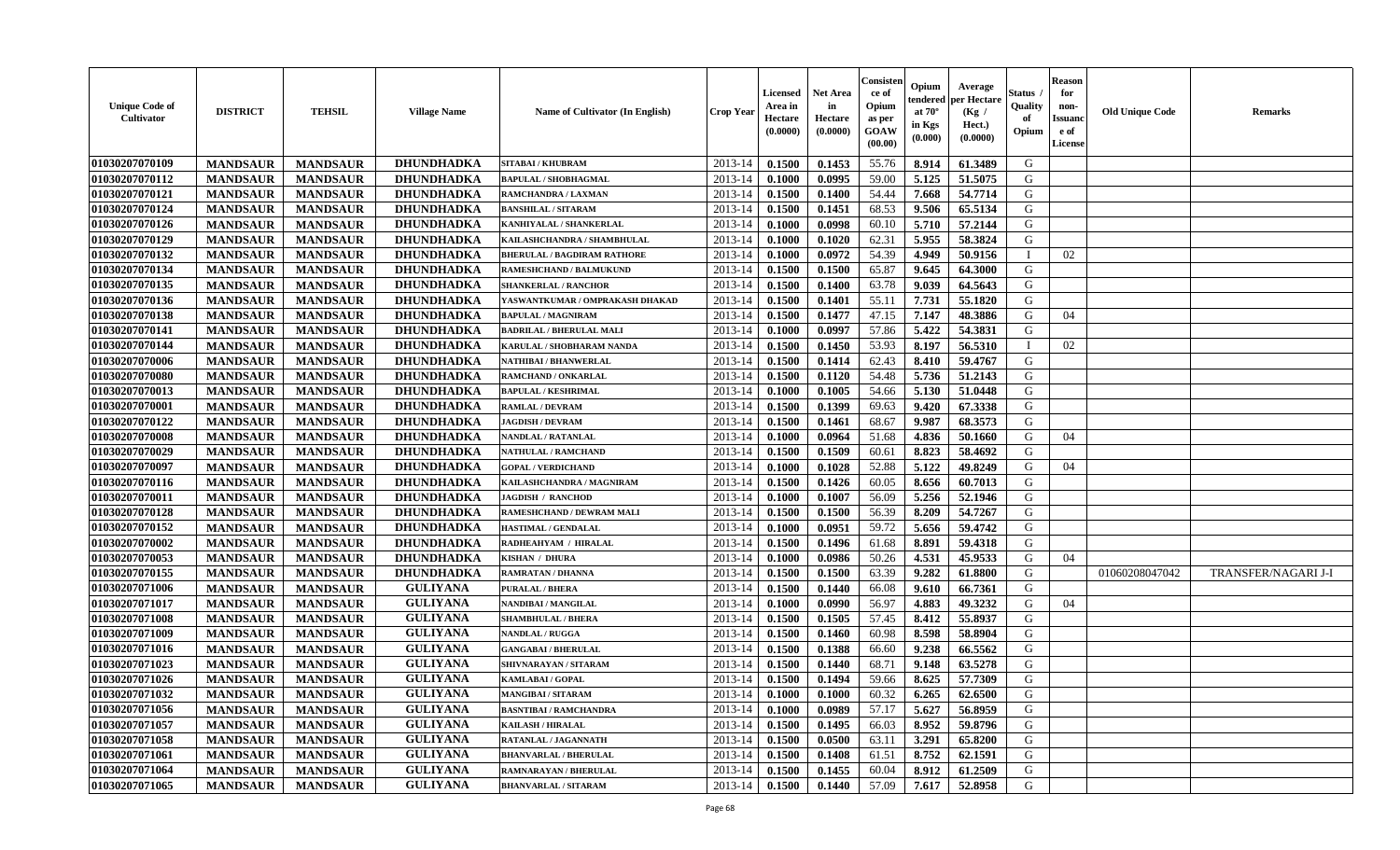| <b>Unique Code of</b><br><b>Cultivator</b> | <b>DISTRICT</b> | <b>TEHSIL</b>   | <b>Village Name</b> | Name of Cultivator (In English)    | <b>Crop Year</b> | <b>Licensed</b><br>Area in<br>Hectare<br>(0.0000) | <b>Net Area</b><br>in<br>Hectare<br>(0.0000) | Consister<br>ce of<br>Opium<br>as per<br>GOAW<br>(00.00) | Opium<br>endered<br>at $70^{\circ}$<br>in Kgs<br>(0.000) | Average<br>per Hectare<br>(Kg /<br>Hect.)<br>(0.0000) | <b>Status</b><br>Quality<br>of<br>Opium | <b>Reason</b><br>for<br>non-<br><b>Issuand</b><br>e of<br>License | <b>Old Unique Code</b> | <b>Remarks</b>      |
|--------------------------------------------|-----------------|-----------------|---------------------|------------------------------------|------------------|---------------------------------------------------|----------------------------------------------|----------------------------------------------------------|----------------------------------------------------------|-------------------------------------------------------|-----------------------------------------|-------------------------------------------------------------------|------------------------|---------------------|
| 01030207070109                             | <b>MANDSAUR</b> | <b>MANDSAUR</b> | <b>DHUNDHADKA</b>   | SITABAI / KHUBRAM                  | 2013-14          | 0.1500                                            | 0.1453                                       | 55.76                                                    | 8.914                                                    | 61.3489                                               | G                                       |                                                                   |                        |                     |
| 01030207070112                             | <b>MANDSAUR</b> | <b>MANDSAUR</b> | <b>DHUNDHADKA</b>   | <b>BAPULAL / SHOBHAGMAL</b>        | 2013-14          | 0.1000                                            | 0.0995                                       | 59.00                                                    | 5.125                                                    | 51.5075                                               | G                                       |                                                                   |                        |                     |
| 01030207070121                             | <b>MANDSAUR</b> | <b>MANDSAUR</b> | DHUNDHADKA          | RAMCHANDRA / LAXMAN                | 2013-14          | 0.1500                                            | 0.1400                                       | 54.44                                                    | 7.668                                                    | 54.7714                                               | G                                       |                                                                   |                        |                     |
| 01030207070124                             | <b>MANDSAUR</b> | <b>MANDSAUR</b> | <b>DHUNDHADKA</b>   | <b>BANSHILAL / SITARAM</b>         | 2013-14          | 0.1500                                            | 0.1451                                       | 68.53                                                    | 9.506                                                    | 65.5134                                               | G                                       |                                                                   |                        |                     |
| 01030207070126                             | <b>MANDSAUR</b> | <b>MANDSAUR</b> | DHUNDHADKA          | KANHIYALAL / SHANKERLAL            | 2013-14          | 0.1000                                            | 0.0998                                       | 60.10                                                    | 5.710                                                    | 57.2144                                               | G                                       |                                                                   |                        |                     |
| 01030207070129                             | <b>MANDSAUR</b> | <b>MANDSAUR</b> | <b>DHUNDHADKA</b>   | KAILASHCHANDRA / SHAMBHULAL        | 2013-14          | 0.1000                                            | 0.1020                                       | 62.31                                                    | 5.955                                                    | 58.3824                                               | G                                       |                                                                   |                        |                     |
| 01030207070132                             | <b>MANDSAUR</b> | <b>MANDSAUR</b> | <b>DHUNDHADKA</b>   | <b>BHERULAL / BAGDIRAM RATHORE</b> | 2013-14          | 0.1000                                            | 0.0972                                       | 54.39                                                    | 4.949                                                    | 50.9156                                               |                                         | 02                                                                |                        |                     |
| 01030207070134                             | <b>MANDSAUR</b> | <b>MANDSAUR</b> | <b>DHUNDHADKA</b>   | RAMESHCHAND / BALMUKUND            | 2013-14          | 0.1500                                            | 0.1500                                       | 65.87                                                    | 9.645                                                    | 64.3000                                               | G                                       |                                                                   |                        |                     |
| 01030207070135                             | <b>MANDSAUR</b> | <b>MANDSAUR</b> | <b>DHUNDHADKA</b>   | <b>SHANKERLAL / RANCHOR</b>        | 2013-14          | 0.1500                                            | 0.1400                                       | 63.78                                                    | 9.039                                                    | 64.5643                                               | G                                       |                                                                   |                        |                     |
| 01030207070136                             | <b>MANDSAUR</b> | <b>MANDSAUR</b> | <b>DHUNDHADKA</b>   | YASWANTKUMAR / OMPRAKASH DHAKAD    | 2013-14          | 0.1500                                            | 0.1401                                       | 55.11                                                    | 7.731                                                    | 55.1820                                               | G                                       |                                                                   |                        |                     |
| 01030207070138                             | <b>MANDSAUR</b> | <b>MANDSAUR</b> | <b>DHUNDHADKA</b>   | <b>BAPULAL / MAGNIRAM</b>          | 2013-14          | 0.1500                                            | 0.1477                                       | 47.15                                                    | 7.147                                                    | 48.3886                                               | G                                       | 04                                                                |                        |                     |
| 01030207070141                             | <b>MANDSAUR</b> | <b>MANDSAUR</b> | DHUNDHADKA          | <b>BADRILAL / BHERULAL MALI</b>    | 2013-14          | 0.1000                                            | 0.0997                                       | 57.86                                                    | 5.422                                                    | 54.3831                                               | G                                       |                                                                   |                        |                     |
| 01030207070144                             | <b>MANDSAUR</b> | <b>MANDSAUR</b> | <b>DHUNDHADKA</b>   | KARULAL / SHOBHARAM NANDA          | 2013-14          | 0.1500                                            | 0.1450                                       | 53.93                                                    | 8.197                                                    | 56.5310                                               | $\mathbf{I}$                            | 02                                                                |                        |                     |
| 01030207070006                             | <b>MANDSAUR</b> | <b>MANDSAUR</b> | <b>DHUNDHADKA</b>   | <b>NATHIBAI/BHANWERLAL</b>         | 2013-14          | 0.1500                                            | 0.1414                                       | 62.43                                                    | 8.410                                                    | 59.4767                                               | G                                       |                                                                   |                        |                     |
| 01030207070080                             | <b>MANDSAUR</b> | <b>MANDSAUR</b> | DHUNDHADKA          | RAMCHAND / ONKARLAL                | 2013-14          | 0.1500                                            | 0.1120                                       | 54.48                                                    | 5.736                                                    | 51.2143                                               | G                                       |                                                                   |                        |                     |
| 01030207070013                             | <b>MANDSAUR</b> | <b>MANDSAUR</b> | <b>DHUNDHADKA</b>   | <b>BAPULAL / KESHRIMAL</b>         | 2013-14          | 0.1000                                            | 0.1005                                       | 54.66                                                    | 5.130                                                    | 51.0448                                               | G                                       |                                                                   |                        |                     |
| 01030207070001                             | <b>MANDSAUR</b> | <b>MANDSAUR</b> | <b>DHUNDHADKA</b>   | RAMLAL / DEVRAM                    | 2013-14          | 0.1500                                            | 0.1399                                       | 69.63                                                    | 9.420                                                    | 67.3338                                               | G                                       |                                                                   |                        |                     |
| 01030207070122                             | <b>MANDSAUR</b> | <b>MANDSAUR</b> | <b>DHUNDHADKA</b>   | <b>JAGDISH / DEVRAM</b>            | 2013-14          | 0.1500                                            | 0.1461                                       | 68.67                                                    | 9.987                                                    | 68.3573                                               | G                                       |                                                                   |                        |                     |
| 01030207070008                             | <b>MANDSAUR</b> | <b>MANDSAUR</b> | DHUNDHADKA          | NANDLAL / RATANLAL                 | 2013-14          | 0.1000                                            | 0.0964                                       | 51.68                                                    | 4.836                                                    | 50.1660                                               | G                                       | 04                                                                |                        |                     |
| 01030207070029                             | <b>MANDSAUR</b> | <b>MANDSAUR</b> | <b>DHUNDHADKA</b>   | <b>NATHULAL / RAMCHAND</b>         | 2013-14          | 0.1500                                            | 0.1509                                       | 60.61                                                    | 8.823                                                    | 58.4692                                               | G                                       |                                                                   |                        |                     |
| 01030207070097                             | <b>MANDSAUR</b> | <b>MANDSAUR</b> | <b>DHUNDHADKA</b>   | <b>GOPAL / VERDICHAND</b>          | 2013-14          | 0.1000                                            | 0.1028                                       | 52.88                                                    | 5.122                                                    | 49.8249                                               | G                                       | 04                                                                |                        |                     |
| 01030207070116                             | <b>MANDSAUR</b> | <b>MANDSAUR</b> | <b>DHUNDHADKA</b>   | KAILASHCHANDRA / MAGNIRAM          | 2013-14          | 0.1500                                            | 0.1426                                       | 60.05                                                    | 8.656                                                    | 60.7013                                               | G                                       |                                                                   |                        |                     |
| 01030207070011                             | <b>MANDSAUR</b> | <b>MANDSAUR</b> | <b>DHUNDHADKA</b>   | <b>JAGDISH / RANCHOD</b>           | 2013-14          | 0.1000                                            | 0.1007                                       | 56.09                                                    | 5.256                                                    | 52.1946                                               | G                                       |                                                                   |                        |                     |
| 01030207070128                             | <b>MANDSAUR</b> | <b>MANDSAUR</b> | <b>DHUNDHADKA</b>   | RAMESHCHAND / DEWRAM MALI          | 2013-14          | 0.1500                                            | 0.1500                                       | 56.39                                                    | 8.209                                                    | 54.7267                                               | G                                       |                                                                   |                        |                     |
| 01030207070152                             | <b>MANDSAUR</b> | <b>MANDSAUR</b> | <b>DHUNDHADKA</b>   | <b>HASTIMAL / GENDALAL</b>         | 2013-14          | 0.1000                                            | 0.0951                                       | 59.72                                                    | 5.656                                                    | 59.4742                                               | G                                       |                                                                   |                        |                     |
| 01030207070002                             | <b>MANDSAUR</b> | <b>MANDSAUR</b> | <b>DHUNDHADKA</b>   | RADHEAHYAM / HIRALAL               | 2013-14          | 0.1500                                            | 0.1496                                       | 61.68                                                    | 8.891                                                    | 59.4318                                               | G                                       |                                                                   |                        |                     |
| 01030207070053                             | <b>MANDSAUR</b> | <b>MANDSAUR</b> | <b>DHUNDHADKA</b>   | <b>KISHAN / DHURA</b>              | 2013-14          | 0.1000                                            | 0.0986                                       | 50.26                                                    | 4.531                                                    | 45.9533                                               | G                                       | 04                                                                |                        |                     |
| 01030207070155                             | <b>MANDSAUR</b> | <b>MANDSAUR</b> | <b>DHUNDHADKA</b>   | RAMRATAN / DHANNA                  | 2013-14          | 0.1500                                            | 0.1500                                       | 63.39                                                    | 9.282                                                    | 61.8800                                               | G                                       |                                                                   | 01060208047042         | TRANSFER/NAGARI J-I |
| 01030207071006                             | <b>MANDSAUR</b> | <b>MANDSAUR</b> | <b>GULIYANA</b>     | <b>PURALAL / BHERA</b>             | 2013-14          | 0.1500                                            | 0.1440                                       | 66.08                                                    | 9.610                                                    | 66.7361                                               | G                                       |                                                                   |                        |                     |
| 01030207071017                             | <b>MANDSAUR</b> | <b>MANDSAUR</b> | <b>GULIYANA</b>     | NANDIBAI / MANGILAL                | 2013-14          | 0.1000                                            | 0.0990                                       | 56.97                                                    | 4.883                                                    | 49.3232                                               | G                                       | 04                                                                |                        |                     |
| 01030207071008                             | <b>MANDSAUR</b> | <b>MANDSAUR</b> | <b>GULIYANA</b>     | <b>SHAMBHULAL / BHERA</b>          | 2013-14          | 0.1500                                            | 0.1505                                       | 57.45                                                    | 8.412                                                    | 55.8937                                               | ${\bf G}$                               |                                                                   |                        |                     |
| 01030207071009                             | <b>MANDSAUR</b> | <b>MANDSAUR</b> | <b>GULIYANA</b>     | <b>NANDLAL / RUGGA</b>             | 2013-14          | 0.1500                                            | 0.1460                                       | 60.98                                                    | 8.598                                                    | 58.8904                                               | G                                       |                                                                   |                        |                     |
| 01030207071016                             | <b>MANDSAUR</b> | <b>MANDSAUR</b> | <b>GULIYANA</b>     | <b>GANGABAI / BHERULAL</b>         | 2013-14          | 0.1500                                            | 0.1388                                       | 66.60                                                    | 9.238                                                    | 66.5562                                               | G                                       |                                                                   |                        |                     |
| 01030207071023                             | <b>MANDSAUR</b> | <b>MANDSAUR</b> | <b>GULIYANA</b>     | SHIVNARAYAN / SITARAM              | 2013-14          | 0.1500                                            | 0.1440                                       | 68.71                                                    | 9.148                                                    | 63.5278                                               | G                                       |                                                                   |                        |                     |
| 01030207071026                             | <b>MANDSAUR</b> | <b>MANDSAUR</b> | <b>GULIYANA</b>     | <b>KAMLABAI/GOPAL</b>              | 2013-14          | 0.1500                                            | 0.1494                                       | 59.66                                                    | 8.625                                                    | 57.7309                                               | G                                       |                                                                   |                        |                     |
| 01030207071032                             | <b>MANDSAUR</b> | <b>MANDSAUR</b> | <b>GULIYANA</b>     | MANGIBAI / SITARAM                 | 2013-14          | 0.1000                                            | 0.1000                                       | 60.32                                                    | 6.265                                                    | 62.6500                                               | G                                       |                                                                   |                        |                     |
| 01030207071056                             | <b>MANDSAUR</b> | <b>MANDSAUR</b> | <b>GULIYANA</b>     | <b>BASNTIBAI / RAMCHANDRA</b>      | 2013-14          | 0.1000                                            | 0.0989                                       | 57.17                                                    | 5.627                                                    | 56.8959                                               | G                                       |                                                                   |                        |                     |
| 01030207071057                             | <b>MANDSAUR</b> | <b>MANDSAUR</b> | <b>GULIYANA</b>     | KAILASH / HIRALAL                  | 2013-14          | 0.1500                                            | 0.1495                                       | 66.03                                                    | 8.952                                                    | 59.8796                                               | G                                       |                                                                   |                        |                     |
| 01030207071058                             | <b>MANDSAUR</b> | <b>MANDSAUR</b> | <b>GULIYANA</b>     | RATANLAL / JAGANNATH               | 2013-14          | 0.1500                                            | 0.0500                                       | 63.11                                                    | 3.291                                                    | 65.8200                                               | ${\bf G}$                               |                                                                   |                        |                     |
| 01030207071061                             | <b>MANDSAUR</b> | <b>MANDSAUR</b> | <b>GULIYANA</b>     | <b>BHANVARLAL / BHERULAL</b>       | 2013-14          | 0.1500                                            | 0.1408                                       | 61.51                                                    | 8.752                                                    | 62.1591                                               | G                                       |                                                                   |                        |                     |
| 01030207071064                             | <b>MANDSAUR</b> | <b>MANDSAUR</b> | <b>GULIYANA</b>     | RAMNARAYAN / BHERULAL              | 2013-14          | 0.1500                                            | 0.1455                                       | 60.04                                                    | 8.912                                                    | 61.2509                                               | G                                       |                                                                   |                        |                     |
| 01030207071065                             | <b>MANDSAUR</b> | <b>MANDSAUR</b> | <b>GULIYANA</b>     | <b>BHANVARLAL / SITARAM</b>        | 2013-14          | 0.1500                                            | 0.1440                                       | 57.09                                                    | 7.617                                                    | 52.8958                                               | G                                       |                                                                   |                        |                     |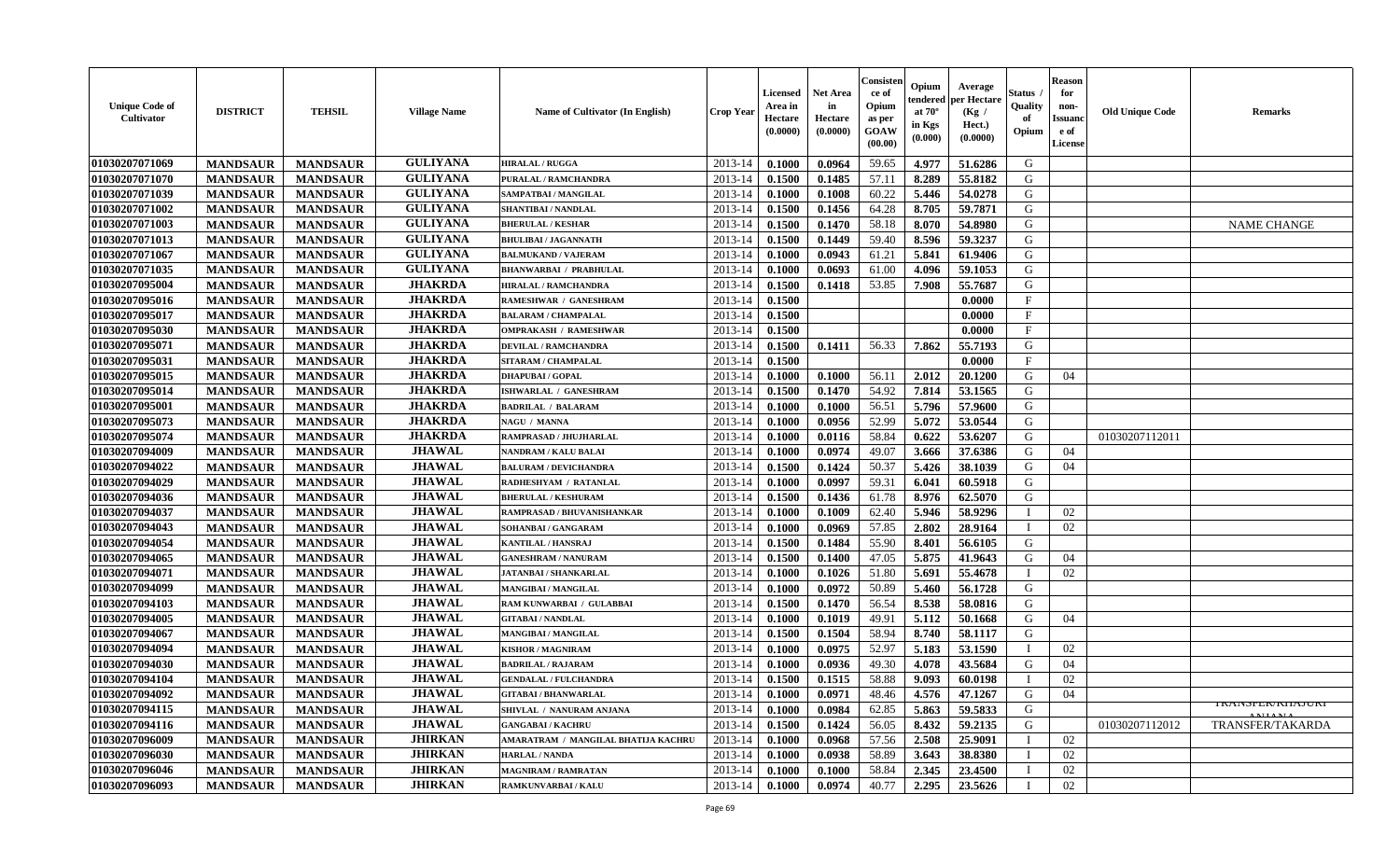| <b>Unique Code of</b><br>Cultivator | <b>DISTRICT</b> | <b>TEHSIL</b>   | <b>Village Name</b> | <b>Name of Cultivator (In English)</b> | <b>Crop Year</b> | <b>Licensed</b><br>Area in<br>Hectare<br>(0.0000) | <b>Net Area</b><br>in<br>Hectare<br>(0.0000) | Consisteı<br>ce of<br>Opium<br>as per<br>GOAW<br>(00.00) | Opium<br>endered<br>at $70^{\circ}$<br>in Kgs<br>(0.000) | Average<br>er Hectare<br>(Kg /<br>Hect.)<br>(0.0000) | Status<br>Quality<br>of<br>Opium | <b>Reason</b><br>for<br>non-<br><b>Issuand</b><br>e of<br>License | <b>Old Unique Code</b> | Remarks                                |
|-------------------------------------|-----------------|-----------------|---------------------|----------------------------------------|------------------|---------------------------------------------------|----------------------------------------------|----------------------------------------------------------|----------------------------------------------------------|------------------------------------------------------|----------------------------------|-------------------------------------------------------------------|------------------------|----------------------------------------|
| 01030207071069                      | <b>MANDSAUR</b> | <b>MANDSAUR</b> | <b>GULIYANA</b>     | <b>HIRALAL / RUGGA</b>                 | 2013-14          | 0.1000                                            | 0.0964                                       | 59.65                                                    | 4.977                                                    | 51.6286                                              | G                                |                                                                   |                        |                                        |
| 01030207071070                      | <b>MANDSAUR</b> | <b>MANDSAUR</b> | <b>GULIYANA</b>     | PURALAL / RAMCHANDRA                   | 2013-14          | 0.1500                                            | 0.1485                                       | 57.11                                                    | 8.289                                                    | 55.8182                                              | G                                |                                                                   |                        |                                        |
| 01030207071039                      | <b>MANDSAUR</b> | <b>MANDSAUR</b> | <b>GULIYANA</b>     | SAMPATBAI / MANGILAL                   | 2013-14          | 0.1000                                            | 0.1008                                       | 60.22                                                    | 5.446                                                    | 54.0278                                              | G                                |                                                                   |                        |                                        |
| 01030207071002                      | <b>MANDSAUR</b> | <b>MANDSAUR</b> | <b>GULIYANA</b>     | <b>SHANTIBAI / NANDLAL</b>             | 2013-14          | 0.1500                                            | 0.1456                                       | 64.28                                                    | 8.705                                                    | 59.7871                                              | G                                |                                                                   |                        |                                        |
| 01030207071003                      | <b>MANDSAUR</b> | <b>MANDSAUR</b> | <b>GULIYANA</b>     | <b>BHERULAL / KESHAR</b>               | 2013-14          | 0.1500                                            | 0.1470                                       | 58.18                                                    | 8.070                                                    | 54.8980                                              | G                                |                                                                   |                        | <b>NAME CHANGE</b>                     |
| 01030207071013                      | <b>MANDSAUR</b> | <b>MANDSAUR</b> | <b>GULIYANA</b>     | <b>BHULIBAI / JAGANNATH</b>            | 2013-14          | 0.1500                                            | 0.1449                                       | 59.40                                                    | 8.596                                                    | 59.3237                                              | G                                |                                                                   |                        |                                        |
| 01030207071067                      | <b>MANDSAUR</b> | <b>MANDSAUR</b> | <b>GULIYANA</b>     | <b>BALMUKAND / VAJERAM</b>             | 2013-14          | 0.1000                                            | 0.0943                                       | 61.21                                                    | 5.841                                                    | 61.9406                                              | G                                |                                                                   |                        |                                        |
| 01030207071035                      | <b>MANDSAUR</b> | <b>MANDSAUR</b> | <b>GULIYANA</b>     | <b>BHANWARBAI / PRABHULAL</b>          | 2013-14          | 0.1000                                            | 0.0693                                       | 61.00                                                    | 4.096                                                    | 59.1053                                              | G                                |                                                                   |                        |                                        |
| 01030207095004                      | <b>MANDSAUR</b> | <b>MANDSAUR</b> | <b>JHAKRDA</b>      | <b>HIRALAL / RAMCHANDRA</b>            | 2013-14          | 0.1500                                            | 0.1418                                       | 53.85                                                    | 7.908                                                    | 55.7687                                              | G                                |                                                                   |                        |                                        |
| 01030207095016                      | <b>MANDSAUR</b> | <b>MANDSAUR</b> | <b>JHAKRDA</b>      | RAMESHWAR / GANESHRAM                  | 2013-14          | 0.1500                                            |                                              |                                                          |                                                          | 0.0000                                               | F                                |                                                                   |                        |                                        |
| 01030207095017                      | <b>MANDSAUR</b> | <b>MANDSAUR</b> | <b>JHAKRDA</b>      | <b>BALARAM / CHAMPALAL</b>             | 2013-14          | 0.1500                                            |                                              |                                                          |                                                          | 0.0000                                               | F                                |                                                                   |                        |                                        |
| 01030207095030                      | <b>MANDSAUR</b> | <b>MANDSAUR</b> | <b>JHAKRDA</b>      | <b>OMPRAKASH / RAMESHWAR</b>           | 2013-14          | 0.1500                                            |                                              |                                                          |                                                          | 0.0000                                               | $\mathbf F$                      |                                                                   |                        |                                        |
| 01030207095071                      | <b>MANDSAUR</b> | <b>MANDSAUR</b> | <b>JHAKRDA</b>      | <b>DEVILAL / RAMCHANDRA</b>            | 2013-14          | 0.1500                                            | 0.1411                                       | 56.33                                                    | 7.862                                                    | 55.7193                                              | G                                |                                                                   |                        |                                        |
| 01030207095031                      | <b>MANDSAUR</b> | <b>MANDSAUR</b> | <b>JHAKRDA</b>      | SITARAM / CHAMPALAL                    | 2013-14          | 0.1500                                            |                                              |                                                          |                                                          | 0.0000                                               | $\mathbf{F}$                     |                                                                   |                        |                                        |
| 01030207095015                      | <b>MANDSAUR</b> | <b>MANDSAUR</b> | <b>JHAKRDA</b>      | <b>DHAPUBAI/GOPAL</b>                  | 2013-14          | 0.1000                                            | 0.1000                                       | 56.11                                                    | 2.012                                                    | 20.1200                                              | G                                | 04                                                                |                        |                                        |
| 01030207095014                      | <b>MANDSAUR</b> | <b>MANDSAUR</b> | <b>JHAKRDA</b>      | ISHWARLAL / GANESHRAM                  | 2013-14          | 0.1500                                            | 0.1470                                       | 54.92                                                    | 7.814                                                    | 53.1565                                              | G                                |                                                                   |                        |                                        |
| 01030207095001                      | <b>MANDSAUR</b> | <b>MANDSAUR</b> | <b>JHAKRDA</b>      | <b>BADRILAL / BALARAM</b>              | 2013-14          | 0.1000                                            | 0.1000                                       | 56.51                                                    | 5.796                                                    | 57.9600                                              | G                                |                                                                   |                        |                                        |
| 01030207095073                      | <b>MANDSAUR</b> | <b>MANDSAUR</b> | <b>JHAKRDA</b>      | NAGU / MANNA                           | 2013-14          | 0.1000                                            | 0.0956                                       | 52.99                                                    | 5.072                                                    | 53.0544                                              | G                                |                                                                   |                        |                                        |
| 01030207095074                      | <b>MANDSAUR</b> | <b>MANDSAUR</b> | <b>JHAKRDA</b>      | RAMPRASAD / JHUJHARLAL                 | 2013-14          | 0.1000                                            | 0.0116                                       | 58.84                                                    | 0.622                                                    | 53.6207                                              | G                                |                                                                   | 01030207112011         |                                        |
| 01030207094009                      | <b>MANDSAUR</b> | <b>MANDSAUR</b> | <b>JHAWAL</b>       | <b>NANDRAM / KALU BALAI</b>            | 2013-14          | 0.1000                                            | 0.0974                                       | 49.07                                                    | 3.666                                                    | 37.6386                                              | G                                | 04                                                                |                        |                                        |
| 01030207094022                      | <b>MANDSAUR</b> | <b>MANDSAUR</b> | <b>JHAWAL</b>       | <b>BALURAM / DEVICHANDRA</b>           | 2013-14          | 0.1500                                            | 0.1424                                       | 50.37                                                    | 5.426                                                    | 38.1039                                              | G                                | 04                                                                |                        |                                        |
| 01030207094029                      | <b>MANDSAUR</b> | <b>MANDSAUR</b> | <b>JHAWAL</b>       | RADHESHYAM / RATANLAL                  | 2013-14          | 0.1000                                            | 0.0997                                       | 59.31                                                    | 6.041                                                    | 60.5918                                              | G                                |                                                                   |                        |                                        |
| 01030207094036                      | <b>MANDSAUR</b> | <b>MANDSAUR</b> | <b>JHAWAL</b>       | <b>BHERULAL / KESHURAM</b>             | 2013-14          | 0.1500                                            | 0.1436                                       | 61.78                                                    | 8.976                                                    | 62.5070                                              | G                                |                                                                   |                        |                                        |
| 01030207094037                      | <b>MANDSAUR</b> | <b>MANDSAUR</b> | <b>JHAWAL</b>       | RAMPRASAD / BHUVANISHANKAR             | 2013-14          | 0.1000                                            | 0.1009                                       | 62.40                                                    | 5.946                                                    | 58.9296                                              |                                  | 02                                                                |                        |                                        |
| 01030207094043                      | <b>MANDSAUR</b> | <b>MANDSAUR</b> | <b>JHAWAL</b>       | SOHANBAI / GANGARAM                    | 2013-14          | 0.1000                                            | 0.0969                                       | 57.85                                                    | 2.802                                                    | 28.9164                                              | I                                | 02                                                                |                        |                                        |
| 01030207094054                      | <b>MANDSAUR</b> | <b>MANDSAUR</b> | <b>JHAWAL</b>       | <b>KANTILAL / HANSRAJ</b>              | 2013-14          | 0.1500                                            | 0.1484                                       | 55.90                                                    | 8.401                                                    | 56.6105                                              | G                                |                                                                   |                        |                                        |
| 01030207094065                      | <b>MANDSAUR</b> | <b>MANDSAUR</b> | <b>JHAWAL</b>       | <b>GANESHRAM / NANURAM</b>             | 2013-14          | 0.1500                                            | 0.1400                                       | 47.05                                                    | 5.875                                                    | 41.9643                                              | G                                | 04                                                                |                        |                                        |
| 01030207094071                      | <b>MANDSAUR</b> | <b>MANDSAUR</b> | <b>JHAWAL</b>       | <b>JATANBAI/SHANKARLAL</b>             | 2013-14          | 0.1000                                            | 0.1026                                       | 51.80                                                    | 5.691                                                    | 55.4678                                              | T                                | 02                                                                |                        |                                        |
| 01030207094099                      | <b>MANDSAUR</b> | <b>MANDSAUR</b> | <b>JHAWAL</b>       | MANGIBAI / MANGILAL                    | 2013-14          | 0.1000                                            | 0.0972                                       | 50.89                                                    | 5.460                                                    | 56.1728                                              | G                                |                                                                   |                        |                                        |
| 01030207094103                      | <b>MANDSAUR</b> | <b>MANDSAUR</b> | <b>JHAWAL</b>       | RAM KUNWARBAI / GULABBAI               | 2013-14          | 0.1500                                            | 0.1470                                       | 56.54                                                    | 8.538                                                    | 58.0816                                              | G                                |                                                                   |                        |                                        |
| 01030207094005                      | <b>MANDSAUR</b> | <b>MANDSAUR</b> | <b>JHAWAL</b>       | <b>GITABAI/NANDLAL</b>                 | 2013-14          | 0.1000                                            | 0.1019                                       | 49.91                                                    | 5.112                                                    | 50.1668                                              | G                                | 04                                                                |                        |                                        |
| 01030207094067                      | <b>MANDSAUR</b> | <b>MANDSAUR</b> | <b>JHAWAL</b>       | <b>MANGIBAI/MANGILAL</b>               | 2013-14          | 0.1500                                            | 0.1504                                       | 58.94                                                    | 8.740                                                    | 58.1117                                              | G                                |                                                                   |                        |                                        |
| 01030207094094                      | <b>MANDSAUR</b> | <b>MANDSAUR</b> | <b>JHAWAL</b>       | <b>KISHOR / MAGNIRAM</b>               | 2013-14          | 0.1000                                            | 0.0975                                       | 52.97                                                    | 5.183                                                    | 53.1590                                              | $\blacksquare$                   | 02                                                                |                        |                                        |
| 01030207094030                      | <b>MANDSAUR</b> | <b>MANDSAUR</b> | <b>JHAWAL</b>       | <b>BADRILAL / RAJARAM</b>              | 2013-14          | 0.1000                                            | 0.0936                                       | 49.30                                                    | 4.078                                                    | 43.5684                                              | G                                | 04                                                                |                        |                                        |
| 01030207094104                      | <b>MANDSAUR</b> | <b>MANDSAUR</b> | <b>JHAWAL</b>       | <b>GENDALAL / FULCHANDRA</b>           | 2013-14          | 0.1500                                            | 0.1515                                       | 58.88                                                    | 9.093                                                    | 60.0198                                              | $\mathbf{I}$                     | 02                                                                |                        |                                        |
| 01030207094092                      | <b>MANDSAUR</b> | <b>MANDSAUR</b> | <b>JHAWAL</b>       | <b>GITABAI/BHANWARLAL</b>              | 2013-14          | 0.1000                                            | 0.0971                                       | 48.46                                                    | 4.576                                                    | 47.1267                                              | G                                | 04                                                                |                        |                                        |
| 01030207094115                      | <b>MANDSAUR</b> | <b>MANDSAUR</b> | <b>JHAWAL</b>       | SHIVLAL / NANURAM ANJANA               | 2013-14          | 0.1000                                            | 0.0984                                       | 62.85                                                    | 5.863                                                    | 59.5833                                              | G                                |                                                                   |                        | I NAINJI 'EIV NHAJUNI<br><b>ATTANT</b> |
| 01030207094116                      | <b>MANDSAUR</b> | <b>MANDSAUR</b> | <b>JHAWAL</b>       | <b>GANGABAI/KACHRU</b>                 | 2013-14          | 0.1500                                            | 0.1424                                       | 56.05                                                    | 8.432                                                    | 59.2135                                              | G                                |                                                                   | 01030207112012         | <b>TRANSFER/TAKARDA</b>                |
| 01030207096009                      | <b>MANDSAUR</b> | <b>MANDSAUR</b> | <b>JHIRKAN</b>      | AMARATRAM / MANGILAL BHATIJA KACHRU    | 2013-14          | 0.1000                                            | 0.0968                                       | 57.56                                                    | 2.508                                                    | 25.9091                                              | T                                | 02                                                                |                        |                                        |
| 01030207096030                      | <b>MANDSAUR</b> | <b>MANDSAUR</b> | <b>JHIRKAN</b>      | HARLAL / NANDA                         | 2013-14          | 0.1000                                            | 0.0938                                       | 58.89                                                    | 3.643                                                    | 38.8380                                              |                                  | 02                                                                |                        |                                        |
| 01030207096046                      | <b>MANDSAUR</b> | <b>MANDSAUR</b> | <b>JHIRKAN</b>      | <b>MAGNIRAM / RAMRATAN</b>             | 2013-14          | 0.1000                                            | 0.1000                                       | 58.84                                                    | 2.345                                                    | 23.4500                                              |                                  | 02                                                                |                        |                                        |
| 01030207096093                      | <b>MANDSAUR</b> | <b>MANDSAUR</b> | <b>JHIRKAN</b>      | <b>RAMKUNVARBAI/KALU</b>               | 2013-14          | 0.1000                                            | 0.0974                                       | 40.77                                                    | 2.295                                                    | 23.5626                                              |                                  | 02                                                                |                        |                                        |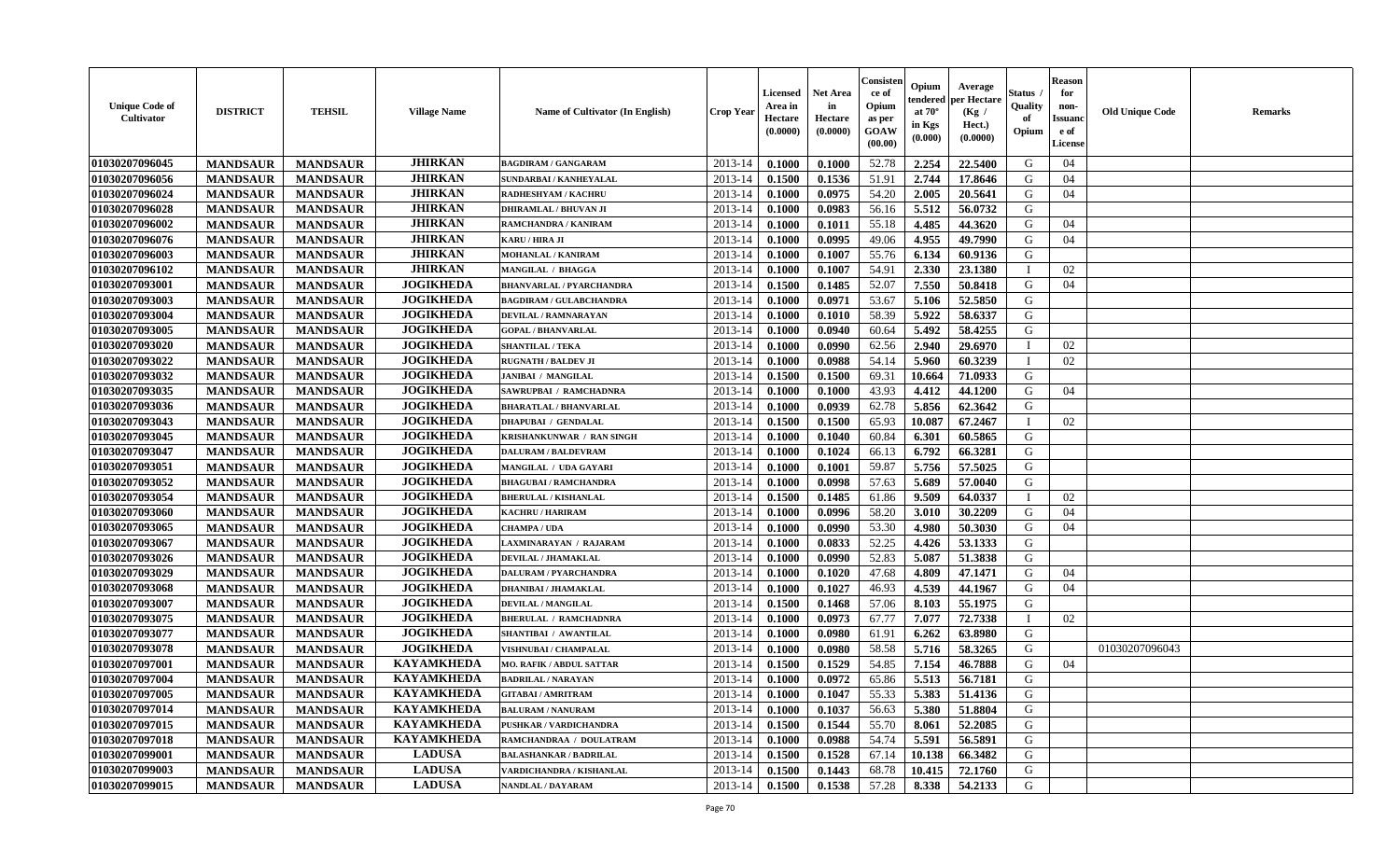| <b>Unique Code of</b><br><b>Cultivator</b> | <b>DISTRICT</b> | <b>TEHSIL</b>   | <b>Village Name</b> | <b>Name of Cultivator (In English)</b> | <b>Crop Year</b> | <b>Licensed</b><br>Area in<br>Hectare<br>(0.0000) | Net Area<br>in<br>Hectare<br>(0.0000) | Consisteı<br>ce of<br>Opium<br>as per<br>GOAW<br>(00.00) | Opium<br>endered<br>at $70^\circ$<br>in Kgs<br>(0.000) | Average<br>oer Hectare<br>(Kg /<br>Hect.)<br>(0.0000) | Status<br>Quality<br>of<br>Opium | <b>Reason</b><br>for<br>non-<br><b>Issuand</b><br>e of<br>License | <b>Old Unique Code</b> | Remarks |
|--------------------------------------------|-----------------|-----------------|---------------------|----------------------------------------|------------------|---------------------------------------------------|---------------------------------------|----------------------------------------------------------|--------------------------------------------------------|-------------------------------------------------------|----------------------------------|-------------------------------------------------------------------|------------------------|---------|
| 01030207096045                             | <b>MANDSAUR</b> | <b>MANDSAUR</b> | <b>JHIRKAN</b>      | <b>BAGDIRAM / GANGARAM</b>             | 2013-14          | 0.1000                                            | 0.1000                                | 52.78                                                    | 2.254                                                  | 22.5400                                               | G                                | 04                                                                |                        |         |
| 01030207096056                             | <b>MANDSAUR</b> | <b>MANDSAUR</b> | <b>JHIRKAN</b>      | <b>SUNDARBAI / KANHEYALAL</b>          | 2013-14          | 0.1500                                            | 0.1536                                | 51.91                                                    | 2.744                                                  | 17.8646                                               | G                                | 04                                                                |                        |         |
| 01030207096024                             | <b>MANDSAUR</b> | <b>MANDSAUR</b> | <b>JHIRKAN</b>      | RADHESHYAM / KACHRU                    | 2013-14          | 0.1000                                            | 0.0975                                | 54.20                                                    | 2.005                                                  | 20.5641                                               | G                                | 04                                                                |                        |         |
| 01030207096028                             | <b>MANDSAUR</b> | <b>MANDSAUR</b> | <b>JHIRKAN</b>      | <b>DHIRAMLAL / BHUVAN JI</b>           | 2013-14          | 0.1000                                            | 0.0983                                | 56.16                                                    | 5.512                                                  | 56.0732                                               | G                                |                                                                   |                        |         |
| 01030207096002                             | <b>MANDSAUR</b> | <b>MANDSAUR</b> | <b>JHIRKAN</b>      | RAMCHANDRA / KANIRAM                   | 2013-14          | 0.1000                                            | 0.1011                                | 55.18                                                    | 4.485                                                  | 44.3620                                               | G                                | 04                                                                |                        |         |
| 01030207096076                             | <b>MANDSAUR</b> | <b>MANDSAUR</b> | <b>JHIRKAN</b>      | KARU / HIRA JI                         | 2013-14          | 0.1000                                            | 0.0995                                | 49.06                                                    | 4.955                                                  | 49.7990                                               | G                                | 04                                                                |                        |         |
| 01030207096003                             | <b>MANDSAUR</b> | <b>MANDSAUR</b> | <b>JHIRKAN</b>      | <b>MOHANLAL / KANIRAM</b>              | 2013-14          | 0.1000                                            | 0.1007                                | 55.76                                                    | 6.134                                                  | 60.9136                                               | G                                |                                                                   |                        |         |
| 01030207096102                             | <b>MANDSAUR</b> | <b>MANDSAUR</b> | <b>JHIRKAN</b>      | MANGILAL / BHAGGA                      | 2013-14          | 0.1000                                            | 0.1007                                | 54.91                                                    | 2.330                                                  | 23.1380                                               | П                                | 02                                                                |                        |         |
| 01030207093001                             | <b>MANDSAUR</b> | <b>MANDSAUR</b> | <b>JOGIKHEDA</b>    | <b>BHANVARLAL / PYARCHANDRA</b>        | 2013-14          | 0.1500                                            | 0.1485                                | 52.07                                                    | 7.550                                                  | 50.8418                                               | G                                | 04                                                                |                        |         |
| 01030207093003                             | <b>MANDSAUR</b> | <b>MANDSAUR</b> | <b>JOGIKHEDA</b>    | <b>BAGDIRAM / GULABCHANDRA</b>         | 2013-14          | 0.1000                                            | 0.0971                                | 53.67                                                    | 5.106                                                  | 52.5850                                               | G                                |                                                                   |                        |         |
| 01030207093004                             | <b>MANDSAUR</b> | <b>MANDSAUR</b> | <b>JOGIKHEDA</b>    | <b>DEVILAL / RAMNARAYAN</b>            | 2013-14          | 0.1000                                            | 0.1010                                | 58.39                                                    | 5.922                                                  | 58.6337                                               | G                                |                                                                   |                        |         |
| 01030207093005                             | <b>MANDSAUR</b> | <b>MANDSAUR</b> | <b>JOGIKHEDA</b>    | <b>GOPAL / BHANVARLAL</b>              | 2013-14          | 0.1000                                            | 0.0940                                | 60.64                                                    | 5.492                                                  | 58.4255                                               | G                                |                                                                   |                        |         |
| 01030207093020                             | <b>MANDSAUR</b> | <b>MANDSAUR</b> | <b>JOGIKHEDA</b>    | <b>SHANTILAL / TEKA</b>                | 2013-14          | 0.1000                                            | 0.0990                                | 62.56                                                    | 2.940                                                  | 29.6970                                               | $\mathbf{I}$                     | 02                                                                |                        |         |
| 01030207093022                             | <b>MANDSAUR</b> | <b>MANDSAUR</b> | <b>JOGIKHEDA</b>    | <b>RUGNATH / BALDEV JI</b>             | 2013-14          | 0.1000                                            | 0.0988                                | 54.14                                                    | 5.960                                                  | 60.3239                                               | T                                | 02                                                                |                        |         |
| 01030207093032                             | <b>MANDSAUR</b> | <b>MANDSAUR</b> | <b>JOGIKHEDA</b>    | <b>JANIBAI / MANGILAL</b>              | 2013-14          | 0.1500                                            | 0.1500                                | 69.31                                                    | 10.664                                                 | 71.0933                                               | G                                |                                                                   |                        |         |
| 01030207093035                             | <b>MANDSAUR</b> | <b>MANDSAUR</b> | <b>JOGIKHEDA</b>    | SAWRUPBAI / RAMCHADNRA                 | 2013-14          | 0.1000                                            | 0.1000                                | 43.93                                                    | 4.412                                                  | 44.1200                                               | G                                | 04                                                                |                        |         |
| 01030207093036                             | <b>MANDSAUR</b> | <b>MANDSAUR</b> | <b>JOGIKHEDA</b>    | <b>BHARATLAL / BHANVARLAL</b>          | 2013-14          | 0.1000                                            | 0.0939                                | 62.78                                                    | 5.856                                                  | 62.3642                                               | G                                |                                                                   |                        |         |
| 01030207093043                             | <b>MANDSAUR</b> | <b>MANDSAUR</b> | <b>JOGIKHEDA</b>    | <b>DHAPUBAI / GENDALAL</b>             | 2013-14          | 0.1500                                            | 0.1500                                | 65.93                                                    | 10.087                                                 | 67.2467                                               | $\mathbf{I}$                     | 02                                                                |                        |         |
| 01030207093045                             | <b>MANDSAUR</b> | <b>MANDSAUR</b> | <b>JOGIKHEDA</b>    | KRISHANKUNWAR / RAN SINGH              | 2013-14          | 0.1000                                            | 0.1040                                | 60.84                                                    | 6.301                                                  | 60.5865                                               | G                                |                                                                   |                        |         |
| 01030207093047                             | <b>MANDSAUR</b> | <b>MANDSAUR</b> | <b>JOGIKHEDA</b>    | <b>DALURAM / BALDEVRAM</b>             | 2013-14          | 0.1000                                            | 0.1024                                | 66.13                                                    | 6.792                                                  | 66.3281                                               | G                                |                                                                   |                        |         |
| 01030207093051                             | <b>MANDSAUR</b> | <b>MANDSAUR</b> | <b>JOGIKHEDA</b>    | MANGILAL / UDA GAYARI                  | 2013-14          | 0.1000                                            | 0.1001                                | 59.87                                                    | 5.756                                                  | 57.5025                                               | G                                |                                                                   |                        |         |
| 01030207093052                             | <b>MANDSAUR</b> | <b>MANDSAUR</b> | <b>JOGIKHEDA</b>    | <b>BHAGUBAI / RAMCHANDRA</b>           | 2013-14          | 0.1000                                            | 0.0998                                | 57.63                                                    | 5.689                                                  | 57.0040                                               | G                                |                                                                   |                        |         |
| 01030207093054                             | <b>MANDSAUR</b> | <b>MANDSAUR</b> | <b>JOGIKHEDA</b>    | <b>BHERULAL / KISHANLAL</b>            | 2013-14          | 0.1500                                            | 0.1485                                | 61.86                                                    | 9.509                                                  | 64.0337                                               |                                  | 02                                                                |                        |         |
| 01030207093060                             | <b>MANDSAUR</b> | <b>MANDSAUR</b> | <b>JOGIKHEDA</b>    | <b>KACHRU / HARIRAM</b>                | 2013-14          | 0.1000                                            | 0.0996                                | 58.20                                                    | 3.010                                                  | 30.2209                                               | G                                | 04                                                                |                        |         |
| 01030207093065                             | <b>MANDSAUR</b> | <b>MANDSAUR</b> | <b>JOGIKHEDA</b>    | <b>CHAMPA / UDA</b>                    | 2013-14          | 0.1000                                            | 0.0990                                | 53.30                                                    | 4.980                                                  | 50.3030                                               | G                                | 04                                                                |                        |         |
| 01030207093067                             | <b>MANDSAUR</b> | <b>MANDSAUR</b> | <b>JOGIKHEDA</b>    | LAXMINARAYAN / RAJARAM                 | 2013-14          | 0.1000                                            | 0.0833                                | 52.25                                                    | 4.426                                                  | 53.1333                                               | G                                |                                                                   |                        |         |
| 01030207093026                             | <b>MANDSAUR</b> | <b>MANDSAUR</b> | <b>JOGIKHEDA</b>    | DEVILAL / JHAMAKLAL                    | 2013-14          | 0.1000                                            | 0.0990                                | 52.83                                                    | 5.087                                                  | 51.3838                                               | G                                |                                                                   |                        |         |
| 01030207093029                             | <b>MANDSAUR</b> | <b>MANDSAUR</b> | <b>JOGIKHEDA</b>    | <b>DALURAM / PYARCHANDRA</b>           | 2013-14          | 0.1000                                            | 0.1020                                | 47.68                                                    | 4.809                                                  | 47.1471                                               | G                                | 04                                                                |                        |         |
| 01030207093068                             | <b>MANDSAUR</b> | <b>MANDSAUR</b> | <b>JOGIKHEDA</b>    | <b>DHANIBAI / JHAMAKLAI</b>            | 2013-14          | 0.1000                                            | 0.1027                                | 46.93                                                    | 4.539                                                  | 44.1967                                               | G                                | 04                                                                |                        |         |
| 01030207093007                             | <b>MANDSAUR</b> | <b>MANDSAUR</b> | <b>JOGIKHEDA</b>    | <b>DEVILAL / MANGILAL</b>              | 2013-14          | 0.1500                                            | 0.1468                                | 57.06                                                    | 8.103                                                  | 55.1975                                               | G                                |                                                                   |                        |         |
| 01030207093075                             | <b>MANDSAUR</b> | <b>MANDSAUR</b> | <b>JOGIKHEDA</b>    | <b>BHERULAL / RAMCHADNRA</b>           | 2013-14          | 0.1000                                            | 0.0973                                | 67.77                                                    | 7.077                                                  | 72.7338                                               | $\mathbf{I}$                     | 02                                                                |                        |         |
| 01030207093077                             | <b>MANDSAUR</b> | <b>MANDSAUR</b> | <b>JOGIKHEDA</b>    | SHANTIBAI / AWANTILAL                  | 2013-14          | 0.1000                                            | 0.0980                                | 61.91                                                    | 6.262                                                  | 63.8980                                               | G                                |                                                                   |                        |         |
| 01030207093078                             | <b>MANDSAUR</b> | <b>MANDSAUR</b> | <b>JOGIKHEDA</b>    | <b>VISHNUBAI / CHAMPALAL</b>           | 2013-14          | 0.1000                                            | 0.0980                                | 58.58                                                    | 5.716                                                  | 58.3265                                               | G                                |                                                                   | 01030207096043         |         |
| 01030207097001                             | <b>MANDSAUR</b> | <b>MANDSAUR</b> | <b>KAYAMKHEDA</b>   | <b>MO. RAFIK / ABDUL SATTAR</b>        | 2013-14          | 0.1500                                            | 0.1529                                | 54.85                                                    | 7.154                                                  | 46.7888                                               | G                                | 04                                                                |                        |         |
| 01030207097004                             | <b>MANDSAUR</b> | <b>MANDSAUR</b> | <b>KAYAMKHEDA</b>   | <b>BADRILAL / NARAYAN</b>              | 2013-14          | 0.1000                                            | 0.0972                                | 65.86                                                    | 5.513                                                  | 56.7181                                               | G                                |                                                                   |                        |         |
| 01030207097005                             | <b>MANDSAUR</b> | <b>MANDSAUR</b> | <b>KAYAMKHEDA</b>   | <b>GITABAI/AMRITRAM</b>                | 2013-14          | 0.1000                                            | 0.1047                                | 55.33                                                    | 5.383                                                  | 51.4136                                               | G                                |                                                                   |                        |         |
| 01030207097014                             | <b>MANDSAUR</b> | <b>MANDSAUR</b> | <b>KAYAMKHEDA</b>   | <b>BALURAM / NANURAM</b>               | 2013-14          | 0.1000                                            | 0.1037                                | 56.63                                                    | 5.380                                                  | 51.8804                                               | G                                |                                                                   |                        |         |
| 01030207097015                             | <b>MANDSAUR</b> | <b>MANDSAUR</b> | <b>KAYAMKHEDA</b>   | PUSHKAR / VARDICHANDRA                 | 2013-14          | 0.1500                                            | 0.1544                                | 55.70                                                    | 8.061                                                  | 52.2085                                               | G                                |                                                                   |                        |         |
| 01030207097018                             | <b>MANDSAUR</b> | <b>MANDSAUR</b> | <b>KAYAMKHEDA</b>   | RAMCHANDRAA / DOULATRAM                | 2013-14          | 0.1000                                            | 0.0988                                | 54.74                                                    | 5.591                                                  | 56.5891                                               | G                                |                                                                   |                        |         |
| 01030207099001                             | <b>MANDSAUR</b> | <b>MANDSAUR</b> | <b>LADUSA</b>       | <b>BALASHANKAR / BADRILAL</b>          | 2013-14          | 0.1500                                            | 0.1528                                | 67.14                                                    | 10.138                                                 | 66.3482                                               | ${\bf G}$                        |                                                                   |                        |         |
| 01030207099003                             | <b>MANDSAUR</b> | <b>MANDSAUR</b> | <b>LADUSA</b>       | VARDICHANDRA / KISHANLAL               | 2013-14          | 0.1500                                            | 0.1443                                | 68.78                                                    | 10.415                                                 | 72.1760                                               | G                                |                                                                   |                        |         |
| 01030207099015                             | <b>MANDSAUR</b> | <b>MANDSAUR</b> | <b>LADUSA</b>       | NANDLAL / DAYARAM                      | 2013-14          | 0.1500                                            | 0.1538                                | 57.28                                                    | 8.338                                                  | 54.2133                                               | G                                |                                                                   |                        |         |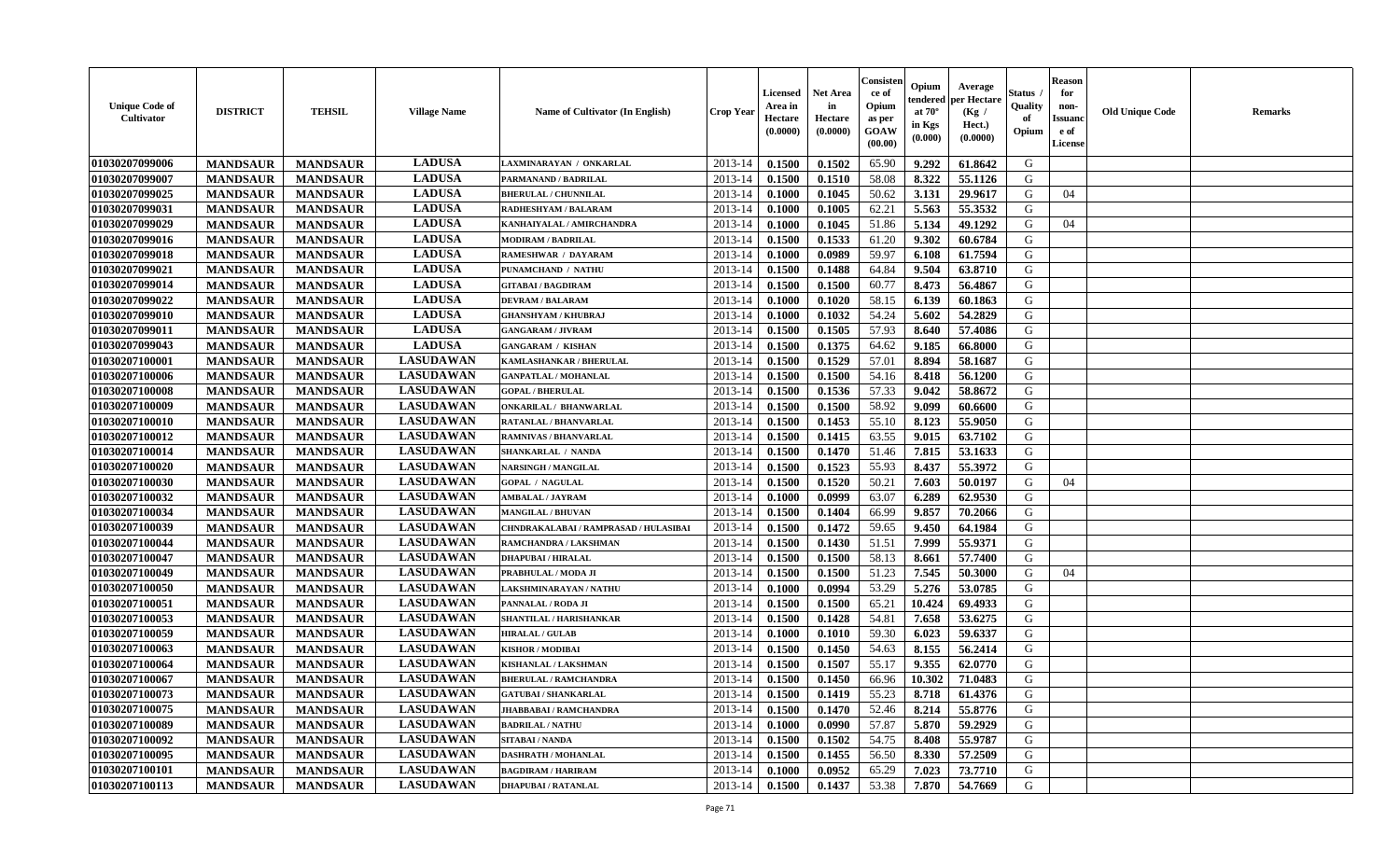| <b>Unique Code of</b><br><b>Cultivator</b> | <b>DISTRICT</b> | <b>TEHSIL</b>   | <b>Village Name</b> | Name of Cultivator (In English)       | <b>Crop Year</b> | <b>Licensed</b><br>Area in<br>Hectare<br>(0.0000) | <b>Net Area</b><br>in<br>Hectare<br>(0.0000) | Consisteı<br>ce of<br>Opium<br>as per<br><b>GOAW</b><br>(00.00) | Opium<br>endered<br>at $70^\circ$<br>in Kgs<br>$(\mathbf{0.000})$ | Average<br>per Hectare<br>(Kg /<br>Hect.)<br>(0.0000) | Status<br>Quality<br>of<br>Opium | Reason<br>for<br>non-<br>Issuan<br>e of<br><b>License</b> | <b>Old Unique Code</b> | <b>Remarks</b> |
|--------------------------------------------|-----------------|-----------------|---------------------|---------------------------------------|------------------|---------------------------------------------------|----------------------------------------------|-----------------------------------------------------------------|-------------------------------------------------------------------|-------------------------------------------------------|----------------------------------|-----------------------------------------------------------|------------------------|----------------|
| 01030207099006                             | <b>MANDSAUR</b> | <b>MANDSAUR</b> | <b>LADUSA</b>       | LAXMINARAYAN / ONKARLAL               | 2013-14          | 0.1500                                            | 0.1502                                       | 65.90                                                           | 9.292                                                             | 61.8642                                               | G                                |                                                           |                        |                |
| 01030207099007                             | <b>MANDSAUR</b> | <b>MANDSAUR</b> | <b>LADUSA</b>       | PARMANAND / BADRILAL                  | 2013-14          | 0.1500                                            | 0.1510                                       | 58.08                                                           | 8.322                                                             | 55.1126                                               | G                                |                                                           |                        |                |
| 01030207099025                             | <b>MANDSAUR</b> | <b>MANDSAUR</b> | <b>LADUSA</b>       | <b>BHERULAL / CHUNNILAL</b>           | 2013-14          | 0.1000                                            | 0.1045                                       | 50.62                                                           | 3.131                                                             | 29.9617                                               | G                                | 04                                                        |                        |                |
| 01030207099031                             | <b>MANDSAUR</b> | <b>MANDSAUR</b> | <b>LADUSA</b>       | RADHESHYAM / BALARAM                  | 2013-14          | 0.1000                                            | 0.1005                                       | 62.21                                                           | 5.563                                                             | 55.3532                                               | G                                |                                                           |                        |                |
| 01030207099029                             | <b>MANDSAUR</b> | <b>MANDSAUR</b> | <b>LADUSA</b>       | KANHAIYALAL / AMIRCHANDRA             | 2013-14          | 0.1000                                            | 0.1045                                       | 51.86                                                           | 5.134                                                             | 49.1292                                               | G                                | 04                                                        |                        |                |
| 01030207099016                             | <b>MANDSAUR</b> | <b>MANDSAUR</b> | <b>LADUSA</b>       | <b>MODIRAM / BADRILAL</b>             | 2013-14          | 0.1500                                            | 0.1533                                       | 61.20                                                           | 9.302                                                             | 60.6784                                               | G                                |                                                           |                        |                |
| 01030207099018                             | <b>MANDSAUR</b> | <b>MANDSAUR</b> | <b>LADUSA</b>       | RAMESHWAR / DAYARAM                   | 2013-14          | 0.1000                                            | 0.0989                                       | 59.97                                                           | 6.108                                                             | 61.7594                                               | G                                |                                                           |                        |                |
| 01030207099021                             | <b>MANDSAUR</b> | <b>MANDSAUR</b> | <b>LADUSA</b>       | PUNAMCHAND / NATHU                    | 2013-14          | 0.1500                                            | 0.1488                                       | 64.84                                                           | 9.504                                                             | 63.8710                                               | G                                |                                                           |                        |                |
| 01030207099014                             | <b>MANDSAUR</b> | <b>MANDSAUR</b> | <b>LADUSA</b>       | <b>GITABAI/BAGDIRAM</b>               | 2013-14          | 0.1500                                            | 0.1500                                       | 60.77                                                           | 8.473                                                             | 56.4867                                               | G                                |                                                           |                        |                |
| 01030207099022                             | <b>MANDSAUR</b> | <b>MANDSAUR</b> | <b>LADUSA</b>       | <b>DEVRAM / BALARAM</b>               | 2013-14          | 0.1000                                            | 0.1020                                       | 58.15                                                           | 6.139                                                             | 60.1863                                               | G                                |                                                           |                        |                |
| 01030207099010                             | <b>MANDSAUR</b> | <b>MANDSAUR</b> | <b>LADUSA</b>       | <b>GHANSHYAM / KHUBRAJ</b>            | 2013-14          | 0.1000                                            | 0.1032                                       | 54.24                                                           | 5.602                                                             | 54.2829                                               | G                                |                                                           |                        |                |
| 01030207099011                             | <b>MANDSAUR</b> | <b>MANDSAUR</b> | <b>LADUSA</b>       | <b>GANGARAM / JIVRAM</b>              | 2013-14          | 0.1500                                            | 0.1505                                       | 57.93                                                           | 8.640                                                             | 57.4086                                               | G                                |                                                           |                        |                |
| 01030207099043                             | <b>MANDSAUR</b> | <b>MANDSAUR</b> | <b>LADUSA</b>       | <b>GANGARAM / KISHAN</b>              | 2013-14          | 0.1500                                            | 0.1375                                       | 64.62                                                           | 9.185                                                             | 66.8000                                               | G                                |                                                           |                        |                |
| 01030207100001                             | <b>MANDSAUR</b> | <b>MANDSAUR</b> | <b>LASUDAWAN</b>    | KAMLASHANKAR / BHERULAL               | 2013-14          | 0.1500                                            | 0.1529                                       | 57.01                                                           | 8.894                                                             | 58.1687                                               | G                                |                                                           |                        |                |
| 01030207100006                             | <b>MANDSAUR</b> | <b>MANDSAUR</b> | <b>LASUDAWAN</b>    | <b>GANPATLAL / MOHANLAL</b>           | 2013-14          | 0.1500                                            | 0.1500                                       | 54.16                                                           | 8.418                                                             | 56.1200                                               | G                                |                                                           |                        |                |
| 01030207100008                             | <b>MANDSAUR</b> | <b>MANDSAUR</b> | <b>LASUDAWAN</b>    | <b>GOPAL / BHERULAL</b>               | 2013-14          | 0.1500                                            | 0.1536                                       | 57.33                                                           | 9.042                                                             | 58.8672                                               | G                                |                                                           |                        |                |
| 01030207100009                             | <b>MANDSAUR</b> | <b>MANDSAUR</b> | <b>LASUDAWAN</b>    | <b>ONKARILAL / BHANWARLAL</b>         | 2013-14          | 0.1500                                            | 0.1500                                       | 58.92                                                           | 9.099                                                             | 60.6600                                               | G                                |                                                           |                        |                |
| 01030207100010                             | <b>MANDSAUR</b> | <b>MANDSAUR</b> | <b>LASUDAWAN</b>    | <b>RATANLAL / BHANVARLAL</b>          | 2013-14          | 0.1500                                            | 0.1453                                       | 55.10                                                           | 8.123                                                             | 55.9050                                               | G                                |                                                           |                        |                |
| 01030207100012                             | <b>MANDSAUR</b> | <b>MANDSAUR</b> | <b>LASUDAWAN</b>    | RAMNIVAS / BHANVARLAL                 | 2013-14          | 0.1500                                            | 0.1415                                       | 63.55                                                           | 9.015                                                             | 63.7102                                               | G                                |                                                           |                        |                |
| 01030207100014                             | <b>MANDSAUR</b> | <b>MANDSAUR</b> | <b>LASUDAWAN</b>    | <b>SHANKARLAL / NANDA</b>             | 2013-14          | 0.1500                                            | 0.1470                                       | 51.46                                                           | 7.815                                                             | 53.1633                                               | G                                |                                                           |                        |                |
| 01030207100020                             | <b>MANDSAUR</b> | <b>MANDSAUR</b> | <b>LASUDAWAN</b>    | <b>NARSINGH / MANGILAL</b>            | 2013-14          | 0.1500                                            | 0.1523                                       | 55.93                                                           | 8.437                                                             | 55.3972                                               | G                                |                                                           |                        |                |
| 01030207100030                             | <b>MANDSAUR</b> | <b>MANDSAUR</b> | <b>LASUDAWAN</b>    | <b>GOPAL / NAGULAL</b>                | 2013-14          | 0.1500                                            | 0.1520                                       | 50.21                                                           | 7.603                                                             | 50.0197                                               | G                                | 04                                                        |                        |                |
| 01030207100032                             | <b>MANDSAUR</b> | <b>MANDSAUR</b> | <b>LASUDAWAN</b>    | AMBALAL / JAYRAM                      | 2013-14          | 0.1000                                            | 0.0999                                       | 63.07                                                           | 6.289                                                             | 62.9530                                               | G                                |                                                           |                        |                |
| 01030207100034                             | <b>MANDSAUR</b> | <b>MANDSAUR</b> | <b>LASUDAWAN</b>    | <b>MANGILAL / BHUVAN</b>              | 2013-14          | 0.1500                                            | 0.1404                                       | 66.99                                                           | 9.857                                                             | 70.2066                                               | G                                |                                                           |                        |                |
| 01030207100039                             | <b>MANDSAUR</b> | <b>MANDSAUR</b> | <b>LASUDAWAN</b>    | CHNDRAKALABAI / RAMPRASAD / HULASIBAI | 2013-14          | 0.1500                                            | 0.1472                                       | 59.65                                                           | 9.450                                                             | 64.1984                                               | G                                |                                                           |                        |                |
| 01030207100044                             | <b>MANDSAUR</b> | <b>MANDSAUR</b> | <b>LASUDAWAN</b>    | RAMCHANDRA / LAKSHMAN                 | 2013-14          | 0.1500                                            | 0.1430                                       | 51.51                                                           | 7.999                                                             | 55.9371                                               | G                                |                                                           |                        |                |
| 01030207100047                             | <b>MANDSAUR</b> | <b>MANDSAUR</b> | <b>LASUDAWAN</b>    | <b>DHAPUBAI/HIRALAL</b>               | 2013-14          | 0.1500                                            | 0.1500                                       | 58.13                                                           | 8.661                                                             | 57.7400                                               | G                                |                                                           |                        |                |
| 01030207100049                             | <b>MANDSAUR</b> | <b>MANDSAUR</b> | <b>LASUDAWAN</b>    | PRABHULAL / MODA JI                   | 2013-14          | 0.1500                                            | 0.1500                                       | 51.23                                                           | 7.545                                                             | 50.3000                                               | G                                | 04                                                        |                        |                |
| 01030207100050                             | <b>MANDSAUR</b> | <b>MANDSAUR</b> | <b>LASUDAWAN</b>    | LAKSHMINARAYAN / NATHU                | 2013-14          | 0.1000                                            | 0.0994                                       | 53.29                                                           | 5.276                                                             | 53.0785                                               | G                                |                                                           |                        |                |
| 01030207100051                             | <b>MANDSAUR</b> | <b>MANDSAUR</b> | <b>LASUDAWAN</b>    | PANNALAL / RODA JI                    | 2013-14          | 0.1500                                            | 0.1500                                       | 65.21                                                           | 10.424                                                            | 69.4933                                               | G                                |                                                           |                        |                |
| 01030207100053                             | <b>MANDSAUR</b> | <b>MANDSAUR</b> | <b>LASUDAWAN</b>    | SHANTILAL / HARISHANKAR               | 2013-14          | 0.1500                                            | 0.1428                                       | 54.81                                                           | 7.658                                                             | 53.6275                                               | G                                |                                                           |                        |                |
| 01030207100059                             | <b>MANDSAUR</b> | <b>MANDSAUR</b> | <b>LASUDAWAN</b>    | <b>HIRALAL / GULAB</b>                | 2013-14          | 0.1000                                            | 0.1010                                       | 59.30                                                           | 6.023                                                             | 59.6337                                               | G                                |                                                           |                        |                |
| 01030207100063                             | <b>MANDSAUR</b> | <b>MANDSAUR</b> | <b>LASUDAWAN</b>    | <b>KISHOR / MODIBAI</b>               | 2013-14          | 0.1500                                            | 0.1450                                       | 54.63                                                           | 8.155                                                             | 56.2414                                               | G                                |                                                           |                        |                |
| 01030207100064                             | <b>MANDSAUR</b> | <b>MANDSAUR</b> | <b>LASUDAWAN</b>    | KISHANLAL / LAKSHMAN                  | 2013-14          | 0.1500                                            | 0.1507                                       | 55.17                                                           | 9.355                                                             | 62.0770                                               | G                                |                                                           |                        |                |
| 01030207100067                             | <b>MANDSAUR</b> | <b>MANDSAUR</b> | <b>LASUDAWAN</b>    | <b>BHERULAL / RAMCHANDRA</b>          | 2013-14          | 0.1500                                            | 0.1450                                       | 66.96                                                           | 10.302                                                            | 71.0483                                               | G                                |                                                           |                        |                |
| 01030207100073                             | <b>MANDSAUR</b> | <b>MANDSAUR</b> | <b>LASUDAWAN</b>    | <b>GATUBAI / SHANKARLAL</b>           | $2013-14$ 0.1500 |                                                   | 0.1419                                       | 55.23                                                           |                                                                   | 8.718   61.4376                                       | G                                |                                                           |                        |                |
| 01030207100075                             | <b>MANDSAUR</b> | <b>MANDSAUR</b> | <b>LASUDAWAN</b>    | <b>JHABBABAI/RAMCHANDRA</b>           | 2013-14          | 0.1500                                            | 0.1470                                       | 52.46                                                           | 8.214                                                             | 55.8776                                               | G                                |                                                           |                        |                |
| <b>01030207100089</b>                      | <b>MANDSAUR</b> | <b>MANDSAUR</b> | <b>LASUDAWAN</b>    | <b>BADRILAL / NATHU</b>               | 2013-14          | 0.1000                                            | 0.0990                                       | 57.87                                                           | 5.870                                                             | 59.2929                                               | G                                |                                                           |                        |                |
| 01030207100092                             | <b>MANDSAUR</b> | <b>MANDSAUR</b> | <b>LASUDAWAN</b>    | SITABAI / NANDA                       | 2013-14          | 0.1500                                            | 0.1502                                       | 54.75                                                           | 8.408                                                             | 55.9787                                               | G                                |                                                           |                        |                |
| 01030207100095                             | <b>MANDSAUR</b> | <b>MANDSAUR</b> | <b>LASUDAWAN</b>    | <b>DASHRATH / MOHANLAL</b>            | 2013-14          | 0.1500                                            | 0.1455                                       | 56.50                                                           | 8.330                                                             | 57.2509                                               | G                                |                                                           |                        |                |
| 01030207100101                             | <b>MANDSAUR</b> | <b>MANDSAUR</b> | <b>LASUDAWAN</b>    | <b>BAGDIRAM / HARIRAM</b>             | 2013-14          | 0.1000                                            | 0.0952                                       | 65.29                                                           | 7.023                                                             | 73.7710                                               | G                                |                                                           |                        |                |
| 01030207100113                             | <b>MANDSAUR</b> | <b>MANDSAUR</b> | <b>LASUDAWAN</b>    | <b>DHAPUBAI/RATANLAL</b>              | 2013-14          | 0.1500                                            | 0.1437                                       | 53.38                                                           | 7.870                                                             | 54.7669                                               | G                                |                                                           |                        |                |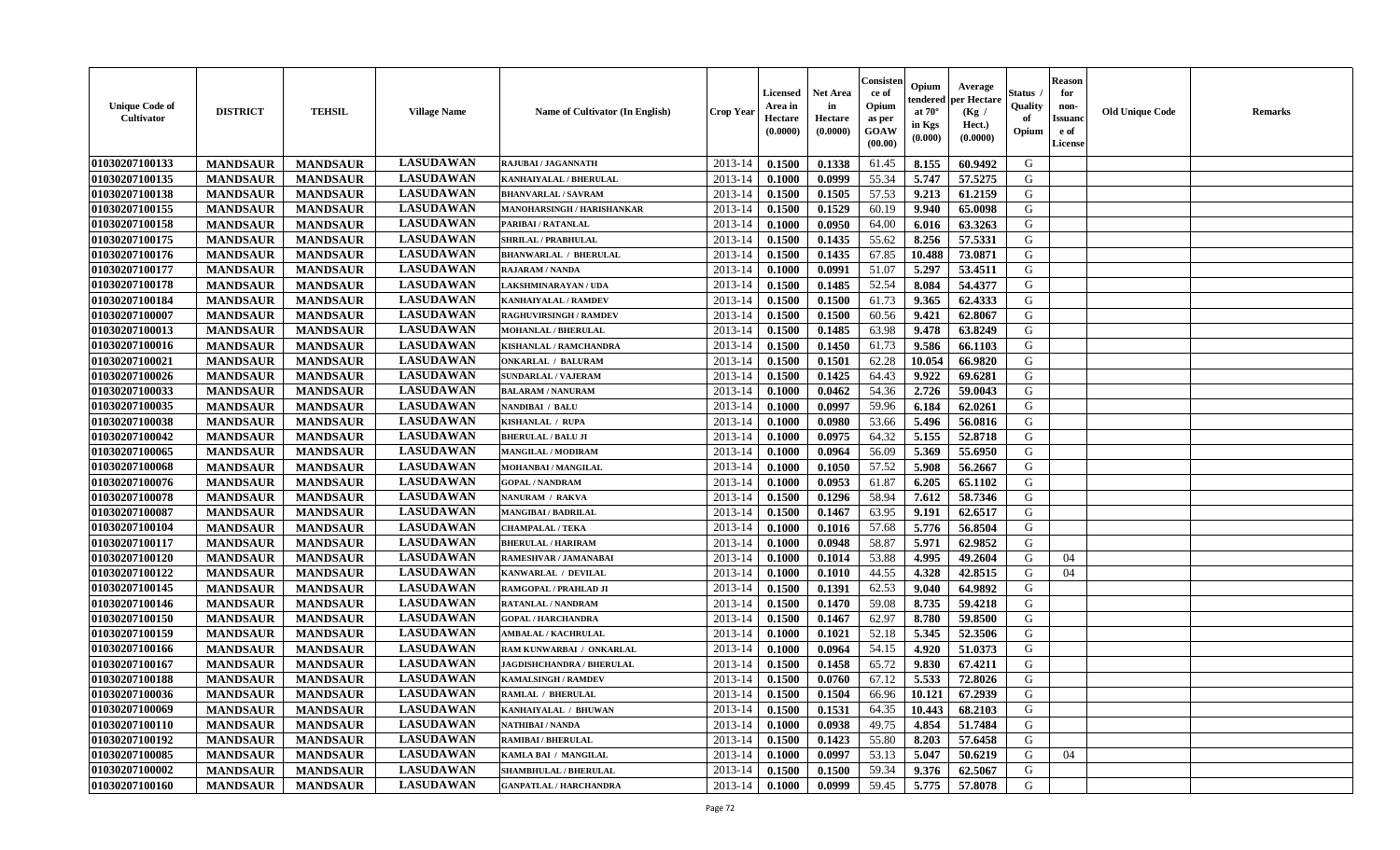| <b>Unique Code of</b><br><b>Cultivator</b> | <b>DISTRICT</b> | <b>TEHSIL</b>   | <b>Village Name</b> | Name of Cultivator (In English)  | <b>Crop Year</b> | <b>Licensed</b><br>Area in<br>Hectare<br>(0.0000) | Net Area<br>in<br>Hectare<br>(0.0000) | Consisteı<br>ce of<br>Opium<br>as per<br>GOAW<br>(00.00) | Opium<br>endered<br>at $70^\circ$<br>in Kgs<br>(0.000) | Average<br>per Hectare<br>(Kg /<br>Hect.)<br>(0.0000) | Status<br>Quality<br>of<br>Opium | <b>Reason</b><br>for<br>non-<br><b>Issuand</b><br>e of<br>License | <b>Old Unique Code</b> | Remarks |
|--------------------------------------------|-----------------|-----------------|---------------------|----------------------------------|------------------|---------------------------------------------------|---------------------------------------|----------------------------------------------------------|--------------------------------------------------------|-------------------------------------------------------|----------------------------------|-------------------------------------------------------------------|------------------------|---------|
| 01030207100133                             | <b>MANDSAUR</b> | <b>MANDSAUR</b> | <b>LASUDAWAN</b>    | RAJUBAI / JAGANNATH              | 2013-14          | 0.1500                                            | 0.1338                                | 61.45                                                    | 8.155                                                  | 60.9492                                               | G                                |                                                                   |                        |         |
| 01030207100135                             | <b>MANDSAUR</b> | <b>MANDSAUR</b> | <b>LASUDAWAN</b>    | KANHAIYALAL / BHERULAL           | 2013-14          | 0.1000                                            | 0.0999                                | 55.34                                                    | 5.747                                                  | 57.5275                                               | G                                |                                                                   |                        |         |
| 01030207100138                             | <b>MANDSAUR</b> | <b>MANDSAUR</b> | <b>LASUDAWAN</b>    | <b>BHANVARLAL / SAVRAM</b>       | 2013-14          | 0.1500                                            | 0.1505                                | 57.53                                                    | 9.213                                                  | 61.2159                                               | G                                |                                                                   |                        |         |
| 01030207100155                             | <b>MANDSAUR</b> | <b>MANDSAUR</b> | <b>LASUDAWAN</b>    | MANOHARSINGH / HARISHANKAR       | 2013-14          | 0.1500                                            | 0.1529                                | 60.19                                                    | 9.940                                                  | 65.0098                                               | G                                |                                                                   |                        |         |
| 01030207100158                             | <b>MANDSAUR</b> | <b>MANDSAUR</b> | <b>LASUDAWAN</b>    | PARIBAI / RATANLAL               | 2013-14          | 0.1000                                            | 0.0950                                | 64.00                                                    | 6.016                                                  | 63.3263                                               | G                                |                                                                   |                        |         |
| 01030207100175                             | <b>MANDSAUR</b> | <b>MANDSAUR</b> | <b>LASUDAWAN</b>    | <b>SHRILAL / PRABHULAL</b>       | 2013-14          | 0.1500                                            | 0.1435                                | 55.62                                                    | 8.256                                                  | 57.5331                                               | G                                |                                                                   |                        |         |
| 01030207100176                             | <b>MANDSAUR</b> | <b>MANDSAUR</b> | <b>LASUDAWAN</b>    | <b>BHANWARLAL / BHERULAL</b>     | 2013-14          | 0.1500                                            | 0.1435                                | 67.85                                                    | 10.488                                                 | 73.0871                                               | G                                |                                                                   |                        |         |
| 01030207100177                             | <b>MANDSAUR</b> | <b>MANDSAUR</b> | <b>LASUDAWAN</b>    | <b>RAJARAM / NANDA</b>           | 2013-14          | 0.1000                                            | 0.0991                                | 51.07                                                    | 5.297                                                  | 53.4511                                               | G                                |                                                                   |                        |         |
| 01030207100178                             | <b>MANDSAUR</b> | <b>MANDSAUR</b> | <b>LASUDAWAN</b>    | <b>LAKSHMINARAYAN / UDA</b>      | 2013-14          | 0.1500                                            | 0.1485                                | 52.54                                                    | 8.084                                                  | 54.4377                                               | G                                |                                                                   |                        |         |
| 01030207100184                             | <b>MANDSAUR</b> | <b>MANDSAUR</b> | <b>LASUDAWAN</b>    | KANHAIYALAL / RAMDEV             | 2013-14          | 0.1500                                            | 0.1500                                | 61.73                                                    | 9.365                                                  | 62.4333                                               | G                                |                                                                   |                        |         |
| 01030207100007                             | <b>MANDSAUR</b> | <b>MANDSAUR</b> | <b>LASUDAWAN</b>    | <b>RAGHUVIRSINGH / RAMDEV</b>    | 2013-14          | 0.1500                                            | 0.1500                                | 60.56                                                    | 9.421                                                  | 62.8067                                               | G                                |                                                                   |                        |         |
| 01030207100013                             | <b>MANDSAUR</b> | <b>MANDSAUR</b> | <b>LASUDAWAN</b>    | <b>MOHANLAL / BHERULAL</b>       | 2013-14          | 0.1500                                            | 0.1485                                | 63.98                                                    | 9.478                                                  | 63.8249                                               | G                                |                                                                   |                        |         |
| 01030207100016                             | <b>MANDSAUR</b> | <b>MANDSAUR</b> | <b>LASUDAWAN</b>    | KISHANLAL / RAMCHANDRA           | 2013-14          | 0.1500                                            | 0.1450                                | 61.73                                                    | 9.586                                                  | 66.1103                                               | G                                |                                                                   |                        |         |
| 01030207100021                             | <b>MANDSAUR</b> | <b>MANDSAUR</b> | <b>LASUDAWAN</b>    | <b>ONKARLAL / BALURAM</b>        | 2013-14          | 0.1500                                            | 0.1501                                | 62.28                                                    | 10.054                                                 | 66.9820                                               | G                                |                                                                   |                        |         |
| 01030207100026                             | <b>MANDSAUR</b> | <b>MANDSAUR</b> | <b>LASUDAWAN</b>    | <b>SUNDARLAL / VAJERAM</b>       | 2013-14          | 0.1500                                            | 0.1425                                | 64.43                                                    | 9.922                                                  | 69.6281                                               | $\mathbf G$                      |                                                                   |                        |         |
| 01030207100033                             | <b>MANDSAUR</b> | <b>MANDSAUR</b> | <b>LASUDAWAN</b>    | <b>BALARAM / NANURAM</b>         | 2013-14          | 0.1000                                            | 0.0462                                | 54.36                                                    | 2.726                                                  | 59.0043                                               | G                                |                                                                   |                        |         |
| 01030207100035                             | <b>MANDSAUR</b> | <b>MANDSAUR</b> | <b>LASUDAWAN</b>    | NANDIBAI / BALU                  | 2013-14          | 0.1000                                            | 0.0997                                | 59.96                                                    | 6.184                                                  | 62.0261                                               | G                                |                                                                   |                        |         |
| 01030207100038                             | <b>MANDSAUR</b> | <b>MANDSAUR</b> | <b>LASUDAWAN</b>    | KISHANLAL / RUPA                 | 2013-14          | 0.1000                                            | 0.0980                                | 53.66                                                    | 5.496                                                  | 56.0816                                               | G                                |                                                                   |                        |         |
| 01030207100042                             | <b>MANDSAUR</b> | <b>MANDSAUR</b> | <b>LASUDAWAN</b>    | <b>BHERULAL / BALU JI</b>        | 2013-14          | 0.1000                                            | 0.0975                                | 64.32                                                    | 5.155                                                  | 52.8718                                               | G                                |                                                                   |                        |         |
| 01030207100065                             | <b>MANDSAUR</b> | <b>MANDSAUR</b> | <b>LASUDAWAN</b>    | <b>MANGILAL / MODIRAM</b>        | 2013-14          | 0.1000                                            | 0.0964                                | 56.09                                                    | 5.369                                                  | 55.6950                                               | G                                |                                                                   |                        |         |
| 01030207100068                             | <b>MANDSAUR</b> | <b>MANDSAUR</b> | <b>LASUDAWAN</b>    | <b>MOHANBAI/MANGILAL</b>         | 2013-14          | 0.1000                                            | 0.1050                                | 57.52                                                    | 5.908                                                  | 56.2667                                               | G                                |                                                                   |                        |         |
| 01030207100076                             | <b>MANDSAUR</b> | <b>MANDSAUR</b> | <b>LASUDAWAN</b>    | <b>GOPAL / NANDRAM</b>           | 2013-14          | 0.1000                                            | 0.0953                                | 61.87                                                    | 6.205                                                  | 65.1102                                               | G                                |                                                                   |                        |         |
| 01030207100078                             | <b>MANDSAUR</b> | <b>MANDSAUR</b> | <b>LASUDAWAN</b>    | <b>NANURAM / RAKVA</b>           | 2013-14          | 0.1500                                            | 0.1296                                | 58.94                                                    | 7.612                                                  | 58.7346                                               | G                                |                                                                   |                        |         |
| 01030207100087                             | <b>MANDSAUR</b> | <b>MANDSAUR</b> | <b>LASUDAWAN</b>    | <b>MANGIBAI/BADRILAL</b>         | 2013-14          | 0.1500                                            | 0.1467                                | 63.95                                                    | 9.191                                                  | 62.6517                                               | G                                |                                                                   |                        |         |
| 01030207100104                             | <b>MANDSAUR</b> | <b>MANDSAUR</b> | <b>LASUDAWAN</b>    | <b>CHAMPALAL / TEKA</b>          | 2013-14          | 0.1000                                            | 0.1016                                | 57.68                                                    | 5.776                                                  | 56.8504                                               | G                                |                                                                   |                        |         |
| 01030207100117                             | <b>MANDSAUR</b> | <b>MANDSAUR</b> | <b>LASUDAWAN</b>    | <b>BHERULAL / HARIRAM</b>        | 2013-14          | 0.1000                                            | 0.0948                                | 58.87                                                    | 5.971                                                  | 62.9852                                               | G                                |                                                                   |                        |         |
| 01030207100120                             | <b>MANDSAUR</b> | <b>MANDSAUR</b> | <b>LASUDAWAN</b>    | RAMESHVAR / JAMANABAI            | 2013-14          | 0.1000                                            | 0.1014                                | 53.88                                                    | 4.995                                                  | 49.2604                                               | G                                | 04                                                                |                        |         |
| 01030207100122                             | <b>MANDSAUR</b> | <b>MANDSAUR</b> | <b>LASUDAWAN</b>    | KANWARLAL / DEVILAL              | 2013-14          | 0.1000                                            | 0.1010                                | 44.55                                                    | 4.328                                                  | 42.8515                                               | G                                | 04                                                                |                        |         |
| 01030207100145                             | <b>MANDSAUR</b> | <b>MANDSAUR</b> | <b>LASUDAWAN</b>    | RAMGOPAL / PRAHLAD JI            | 2013-14          | 0.1500                                            | 0.1391                                | 62.53                                                    | 9.040                                                  | 64.9892                                               | G                                |                                                                   |                        |         |
| 01030207100146                             | <b>MANDSAUR</b> | <b>MANDSAUR</b> | <b>LASUDAWAN</b>    | RATANLAL / NANDRAM               | 2013-14          | 0.1500                                            | 0.1470                                | 59.08                                                    | 8.735                                                  | 59.4218                                               | G                                |                                                                   |                        |         |
| 01030207100150                             | <b>MANDSAUR</b> | <b>MANDSAUR</b> | <b>LASUDAWAN</b>    | <b>GOPAL / HARCHANDRA</b>        | 2013-14          | 0.1500                                            | 0.1467                                | 62.97                                                    | 8.780                                                  | 59.8500                                               | G                                |                                                                   |                        |         |
| 01030207100159                             | <b>MANDSAUR</b> | <b>MANDSAUR</b> | <b>LASUDAWAN</b>    | <b>AMBALAL / KACHRULAL</b>       | 2013-14          | 0.1000                                            | 0.1021                                | 52.18                                                    | 5.345                                                  | 52.3506                                               | G                                |                                                                   |                        |         |
| 01030207100166                             | <b>MANDSAUR</b> | <b>MANDSAUR</b> | <b>LASUDAWAN</b>    | RAM KUNWARBAI / ONKARLAL         | 2013-14          | 0.1000                                            | 0.0964                                | 54.15                                                    | 4.920                                                  | 51.0373                                               | G                                |                                                                   |                        |         |
| 01030207100167                             | <b>MANDSAUR</b> | <b>MANDSAUR</b> | <b>LASUDAWAN</b>    | <b>JAGDISHCHANDRA / BHERULAL</b> | 2013-14          | 0.1500                                            | 0.1458                                | 65.72                                                    | 9.830                                                  | 67.4211                                               | G                                |                                                                   |                        |         |
| 01030207100188                             | <b>MANDSAUR</b> | <b>MANDSAUR</b> | <b>LASUDAWAN</b>    | <b>KAMALSINGH / RAMDEV</b>       | 2013-14          | 0.1500                                            | 0.0760                                | 67.12                                                    | 5.533                                                  | 72.8026                                               | G                                |                                                                   |                        |         |
| 01030207100036                             | <b>MANDSAUR</b> | <b>MANDSAUR</b> | <b>LASUDAWAN</b>    | <b>RAMLAL / BHERULAL</b>         | 2013-14          | 0.1500                                            | 0.1504                                | 66.96                                                    | 10.121                                                 | 67.2939                                               | G                                |                                                                   |                        |         |
| 01030207100069                             | <b>MANDSAUR</b> | <b>MANDSAUR</b> | <b>LASUDAWAN</b>    | KANHAIYALAL / BHUWAN             | 2013-14          | 0.1500                                            | 0.1531                                | 64.35                                                    | 10.443                                                 | 68.2103                                               | G                                |                                                                   |                        |         |
| 01030207100110                             | <b>MANDSAUR</b> | <b>MANDSAUR</b> | <b>LASUDAWAN</b>    | <b>NATHIBAI/NANDA</b>            | 2013-14          | 0.1000                                            | 0.0938                                | 49.75                                                    | 4.854                                                  | 51.7484                                               | G                                |                                                                   |                        |         |
| 01030207100192                             | <b>MANDSAUR</b> | <b>MANDSAUR</b> | <b>LASUDAWAN</b>    | <b>RAMIBAI / BHERULAL</b>        | 2013-14          | 0.1500                                            | 0.1423                                | 55.80                                                    | 8.203                                                  | 57.6458                                               | G                                |                                                                   |                        |         |
| 01030207100085                             | <b>MANDSAUR</b> | <b>MANDSAUR</b> | <b>LASUDAWAN</b>    | KAMLA BAI / MANGILAL             | 2013-14          | 0.1000                                            | 0.0997                                | 53.13                                                    | 5.047                                                  | 50.6219                                               | G                                | 04                                                                |                        |         |
| 01030207100002                             | <b>MANDSAUR</b> | <b>MANDSAUR</b> | <b>LASUDAWAN</b>    | <b>SHAMBHULAL / BHERULAL</b>     | 2013-14          | 0.1500                                            | 0.1500                                | 59.34                                                    | 9.376                                                  | 62.5067                                               | G                                |                                                                   |                        |         |
| 01030207100160                             | <b>MANDSAUR</b> | <b>MANDSAUR</b> | <b>LASUDAWAN</b>    | <b>GANPATLAL / HARCHANDRA</b>    | 2013-14          | 0.1000                                            | 0.0999                                | 59.45                                                    | 5.775                                                  | 57.8078                                               | G                                |                                                                   |                        |         |
|                                            |                 |                 |                     |                                  |                  |                                                   |                                       |                                                          |                                                        |                                                       |                                  |                                                                   |                        |         |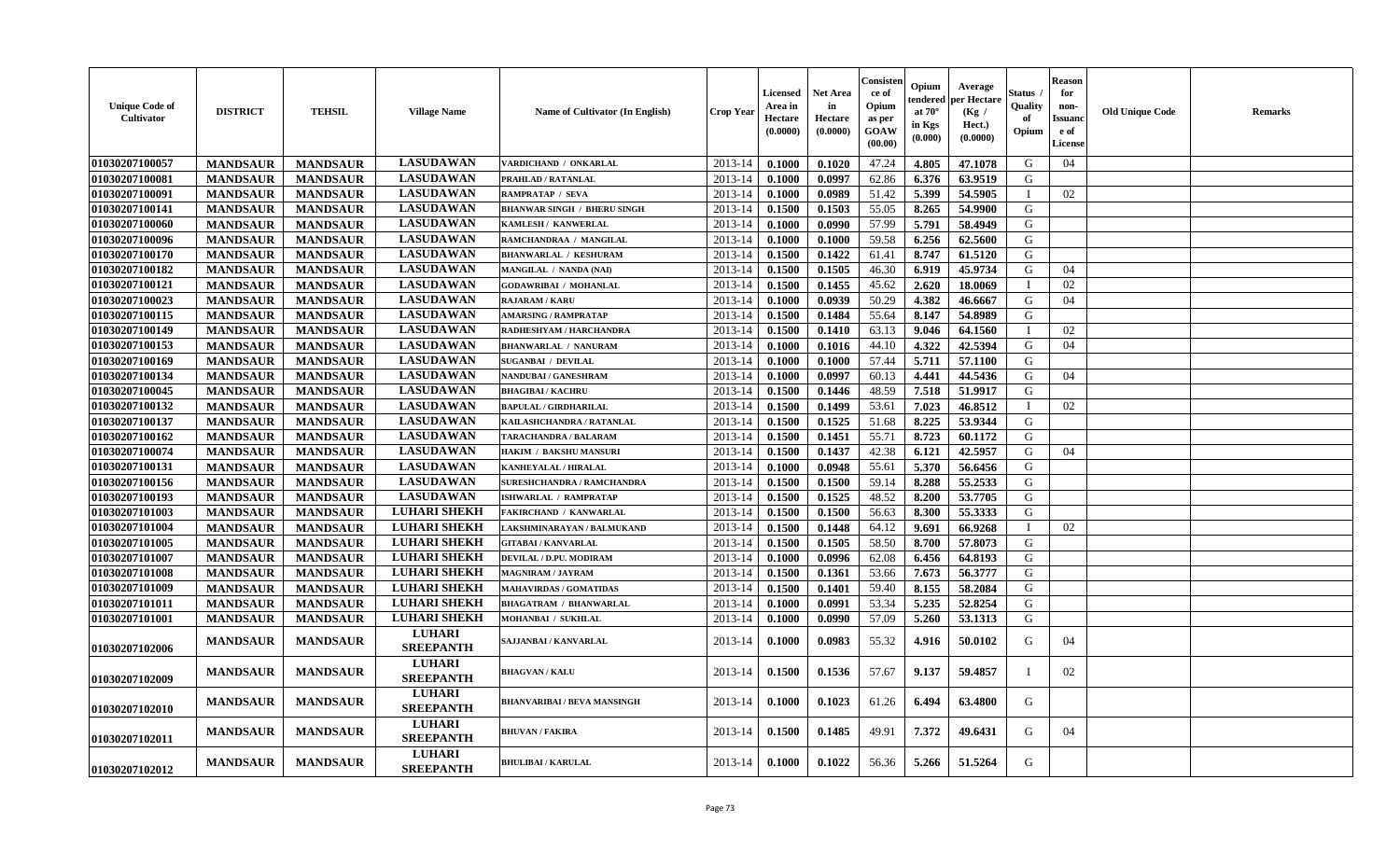| <b>Unique Code of</b><br>Cultivator | <b>DISTRICT</b> | <b>TEHSIL</b>   | <b>Village Name</b>               | Name of Cultivator (In English)    | <b>Crop Year</b> | Licensed<br>Area in<br>Hectare<br>(0.0000) | <b>Net Area</b><br>in<br>Hectare<br>(0.0000) | Consister<br>ce of<br>Opium<br>as per<br>GOAW<br>(00.00) | Opium<br>endered<br>at $70^\circ$<br>in Kgs<br>(0.000) | Average<br>oer Hectare<br>(Kg /<br>Hect.)<br>(0.0000) | Status<br>Quality<br>of<br>Opium | <b>Reason</b><br>for<br>non-<br>Issuanc<br>e of<br>License | <b>Old Unique Code</b> | Remarks |
|-------------------------------------|-----------------|-----------------|-----------------------------------|------------------------------------|------------------|--------------------------------------------|----------------------------------------------|----------------------------------------------------------|--------------------------------------------------------|-------------------------------------------------------|----------------------------------|------------------------------------------------------------|------------------------|---------|
| 01030207100057                      | <b>MANDSAUR</b> | <b>MANDSAUR</b> | <b>LASUDAWAN</b>                  | VARDICHAND / ONKARLAL              | 2013-14          | 0.1000                                     | 0.1020                                       | 47.24                                                    | 4.805                                                  | 47.1078                                               | G                                | 04                                                         |                        |         |
| 01030207100081                      | <b>MANDSAUR</b> | <b>MANDSAUR</b> | <b>LASUDAWAN</b>                  | PRAHLAD / RATANLAL                 | 2013-14          | 0.1000                                     | 0.0997                                       | 62.86                                                    | 6.376                                                  | 63.9519                                               | G                                |                                                            |                        |         |
| 01030207100091                      | <b>MANDSAUR</b> | <b>MANDSAUR</b> | <b>LASUDAWAN</b>                  | RAMPRATAP / SEVA                   | 2013-14          | 0.1000                                     | 0.0989                                       | 51.42                                                    | 5.399                                                  | 54.5905                                               |                                  | 02                                                         |                        |         |
| 01030207100141                      | <b>MANDSAUR</b> | <b>MANDSAUR</b> | <b>LASUDAWAN</b>                  | <b>BHANWAR SINGH / BHERU SINGH</b> | 2013-14          | 0.1500                                     | 0.1503                                       | 55.05                                                    | 8.265                                                  | 54.9900                                               | G                                |                                                            |                        |         |
| 01030207100060                      | <b>MANDSAUR</b> | <b>MANDSAUR</b> | <b>LASUDAWAN</b>                  | <b>KAMLESH / KANWERLAL</b>         | 2013-14          | 0.1000                                     | 0.0990                                       | 57.99                                                    | 5.791                                                  | 58.4949                                               | G                                |                                                            |                        |         |
| 01030207100096                      | <b>MANDSAUR</b> | <b>MANDSAUR</b> | <b>LASUDAWAN</b>                  | RAMCHANDRAA / MANGILAL             | 2013-14          | 0.1000                                     | 0.1000                                       | 59.58                                                    | 6.256                                                  | 62.5600                                               | G                                |                                                            |                        |         |
| 01030207100170                      | <b>MANDSAUR</b> | <b>MANDSAUR</b> | <b>LASUDAWAN</b>                  | <b>BHANWARLAL / KESHURAM</b>       | 2013-14          | 0.1500                                     | 0.1422                                       | 61.41                                                    | 8.747                                                  | 61.5120                                               | G                                |                                                            |                        |         |
| 01030207100182                      | <b>MANDSAUR</b> | <b>MANDSAUR</b> | <b>LASUDAWAN</b>                  | MANGILAL / NANDA (NAI)             | 2013-14          | 0.1500                                     | 0.1505                                       | 46.30                                                    | 6.919                                                  | 45.9734                                               | ${\bf G}$                        | 04                                                         |                        |         |
| 01030207100121                      | <b>MANDSAUR</b> | <b>MANDSAUR</b> | <b>LASUDAWAN</b>                  | <b>GODAWRIBAI / MOHANLAL</b>       | 2013-14          | 0.1500                                     | 0.1455                                       | 45.62                                                    | 2.620                                                  | 18.0069                                               | T                                | 02                                                         |                        |         |
| 01030207100023                      | <b>MANDSAUR</b> | <b>MANDSAUR</b> | <b>LASUDAWAN</b>                  | <b>RAJARAM / KARU</b>              | 2013-14          | 0.1000                                     | 0.0939                                       | 50.29                                                    | 4.382                                                  | 46.6667                                               | G                                | 04                                                         |                        |         |
| 01030207100115                      | <b>MANDSAUR</b> | <b>MANDSAUR</b> | <b>LASUDAWAN</b>                  | <b>AMARSING / RAMPRATAP</b>        | 2013-14          | 0.1500                                     | 0.1484                                       | 55.64                                                    | 8.147                                                  | 54.8989                                               | G                                |                                                            |                        |         |
| 01030207100149                      | <b>MANDSAUR</b> | <b>MANDSAUR</b> | <b>LASUDAWAN</b>                  | RADHESHYAM / HARCHANDRA            | 2013-14          | 0.1500                                     | 0.1410                                       | 63.13                                                    | 9.046                                                  | 64.1560                                               | $\mathbf{I}$                     | 02                                                         |                        |         |
| 01030207100153                      | <b>MANDSAUR</b> | <b>MANDSAUR</b> | <b>LASUDAWAN</b>                  | <b>BHANWARLAL / NANURAM</b>        | 2013-14          | 0.1000                                     | 0.1016                                       | 44.10                                                    | 4.322                                                  | 42.5394                                               | G                                | 04                                                         |                        |         |
| 01030207100169                      | <b>MANDSAUR</b> | <b>MANDSAUR</b> | <b>LASUDAWAN</b>                  | <b>SUGANBAI / DEVILAL</b>          | 2013-14          | 0.1000                                     | 0.1000                                       | 57.44                                                    | 5.711                                                  | 57.1100                                               | G                                |                                                            |                        |         |
| 01030207100134                      | <b>MANDSAUR</b> | <b>MANDSAUR</b> | <b>LASUDAWAN</b>                  | <b>NANDUBAI/GANESHRAM</b>          | 2013-14          | 0.1000                                     | 0.0997                                       | 60.13                                                    | 4.441                                                  | 44.5436                                               | G                                | 04                                                         |                        |         |
| 01030207100045                      | <b>MANDSAUR</b> | <b>MANDSAUR</b> | <b>LASUDAWAN</b>                  | <b>BHAGIBAI / KACHRU</b>           | 2013-14          | 0.1500                                     | 0.1446                                       | 48.59                                                    | 7.518                                                  | 51.9917                                               | G                                |                                                            |                        |         |
| 01030207100132                      | <b>MANDSAUR</b> | <b>MANDSAUR</b> | <b>LASUDAWAN</b>                  | <b>BAPULAL / GIRDHARILAL</b>       | 2013-14          | 0.1500                                     | 0.1499                                       | 53.61                                                    | 7.023                                                  | 46.8512                                               | $\mathbf I$                      | 02                                                         |                        |         |
| 01030207100137                      | <b>MANDSAUR</b> | <b>MANDSAUR</b> | <b>LASUDAWAN</b>                  | KAILASHCHANDRA / RATANLAL          | 2013-14          | 0.1500                                     | 0.1525                                       | 51.68                                                    | 8.225                                                  | 53.9344                                               | G                                |                                                            |                        |         |
| 01030207100162                      | <b>MANDSAUR</b> | <b>MANDSAUR</b> | <b>LASUDAWAN</b>                  | TARACHANDRA / BALARAM              | 2013-14          | 0.1500                                     | 0.1451                                       | 55.71                                                    | 8.723                                                  | 60.1172                                               | G                                |                                                            |                        |         |
| 01030207100074                      | <b>MANDSAUR</b> | <b>MANDSAUR</b> | <b>LASUDAWAN</b>                  | <b>HAKIM / BAKSHU MANSURI</b>      | 2013-14          | 0.1500                                     | 0.1437                                       | 42.38                                                    | 6.121                                                  | 42.5957                                               | G                                | 04                                                         |                        |         |
| 01030207100131                      | <b>MANDSAUR</b> | <b>MANDSAUR</b> | <b>LASUDAWAN</b>                  | <b>KANHEYALAL / HIRALAL</b>        | 2013-14          | 0.1000                                     | 0.0948                                       | 55.61                                                    | 5.370                                                  | 56.6456                                               | G                                |                                                            |                        |         |
| 01030207100156                      | <b>MANDSAUR</b> | <b>MANDSAUR</b> | <b>LASUDAWAN</b>                  | SURESHCHANDRA / RAMCHANDRA         | 2013-14          | 0.1500                                     | 0.1500                                       | 59.14                                                    | 8.288                                                  | 55.2533                                               | G                                |                                                            |                        |         |
| 01030207100193                      | <b>MANDSAUR</b> | <b>MANDSAUR</b> | <b>LASUDAWAN</b>                  | <b>ISHWARLAL / RAMPRATAP</b>       | 2013-14          | 0.1500                                     | 0.1525                                       | 48.52                                                    | 8.200                                                  | 53.7705                                               | G                                |                                                            |                        |         |
| 01030207101003                      | <b>MANDSAUR</b> | <b>MANDSAUR</b> | <b>LUHARI SHEKH</b>               | <b>FAKIRCHAND / KANWARLAL</b>      | 2013-14          | 0.1500                                     | 0.1500                                       | 56.63                                                    | 8.300                                                  | 55.3333                                               | G                                |                                                            |                        |         |
| 01030207101004                      | <b>MANDSAUR</b> | <b>MANDSAUR</b> | <b>LUHARI SHEKH</b>               | LAKSHMINARAYAN / BALMUKAND         | 2013-14          | 0.1500                                     | 0.1448                                       | 64.12                                                    | 9.691                                                  | 66.9268                                               | T                                | 02                                                         |                        |         |
| 01030207101005                      | <b>MANDSAUR</b> | <b>MANDSAUR</b> | <b>LUHARI SHEKH</b>               | <b>GITABAI/KANVARLAL</b>           | 2013-14          | 0.1500                                     | 0.1505                                       | 58.50                                                    | 8.700                                                  | 57.8073                                               | G                                |                                                            |                        |         |
| 01030207101007                      | <b>MANDSAUR</b> | <b>MANDSAUR</b> | <b>LUHARI SHEKH</b>               | DEVILAL / D.PU. MODIRAM            | 2013-14          | 0.1000                                     | 0.0996                                       | 62.08                                                    | 6.456                                                  | 64.8193                                               | G                                |                                                            |                        |         |
| 01030207101008                      | <b>MANDSAUR</b> | <b>MANDSAUR</b> | <b>LUHARI SHEKH</b>               | <b>MAGNIRAM / JAYRAM</b>           | 2013-14          | 0.1500                                     | 0.1361                                       | 53.66                                                    | 7.673                                                  | 56.3777                                               | G                                |                                                            |                        |         |
| 01030207101009                      | <b>MANDSAUR</b> | <b>MANDSAUR</b> | <b>LUHARI SHEKH</b>               | <b>MAHAVIRDAS / GOMATIDAS</b>      | 2013-14          | 0.1500                                     | 0.1401                                       | 59.40                                                    | 8.155                                                  | 58.2084                                               | G                                |                                                            |                        |         |
| 01030207101011                      | <b>MANDSAUR</b> | <b>MANDSAUR</b> | <b>LUHARI SHEKH</b>               | <b>BHAGATRAM / BHANWARLAL</b>      | 2013-14          | 0.1000                                     | 0.0991                                       | 53.34                                                    | 5.235                                                  | 52.8254                                               | G                                |                                                            |                        |         |
| 01030207101001                      | <b>MANDSAUR</b> | <b>MANDSAUR</b> | <b>LUHARI SHEKH</b>               | MOHANBAI / SUKHLAL                 | 2013-14          | 0.1000                                     | 0.0990                                       | 57.09                                                    | 5.260                                                  | 53.1313                                               | G                                |                                                            |                        |         |
| 01030207102006                      | <b>MANDSAUR</b> | <b>MANDSAUR</b> | <b>LUHARI</b><br><b>SREEPANTH</b> | SAJJANBAI / KANVARLAL              | 2013-14          | 0.1000                                     | 0.0983                                       | 55.32                                                    | 4.916                                                  | 50.0102                                               | G                                | 04                                                         |                        |         |
| 01030207102009                      | <b>MANDSAUR</b> | <b>MANDSAUR</b> | <b>LUHARI</b><br><b>SREEPANTH</b> | <b>BHAGVAN / KALU</b>              | 2013-14          | 0.1500                                     | 0.1536                                       | 57.67                                                    | 9.137                                                  | 59.4857                                               |                                  | 02                                                         |                        |         |
| 01030207102010                      | <b>MANDSAUR</b> | <b>MANDSAUR</b> | <b>LUHARI</b><br><b>SREEPANTH</b> | <b>BHANVARIBAI / BEVA MANSINGH</b> | 2013-14          | 0.1000                                     | 0.1023                                       | 61.26                                                    | 6.494                                                  | 63.4800                                               | G                                |                                                            |                        |         |
| 01030207102011                      | <b>MANDSAUR</b> | <b>MANDSAUR</b> | <b>LUHARI</b><br><b>SREEPANTH</b> | BHUVAN / FAKIRA                    | 2013-14          | 0.1500                                     | 0.1485                                       | 49.91                                                    | 7.372                                                  | 49.6431                                               | G                                | 04                                                         |                        |         |
| 01030207102012                      | <b>MANDSAUR</b> | <b>MANDSAUR</b> | <b>LUHARI</b><br><b>SREEPANTH</b> | <b>BHULIBAI / KARULAL</b>          | 2013-14          | 0.1000                                     | 0.1022                                       | 56.36                                                    | 5.266                                                  | 51.5264                                               | G                                |                                                            |                        |         |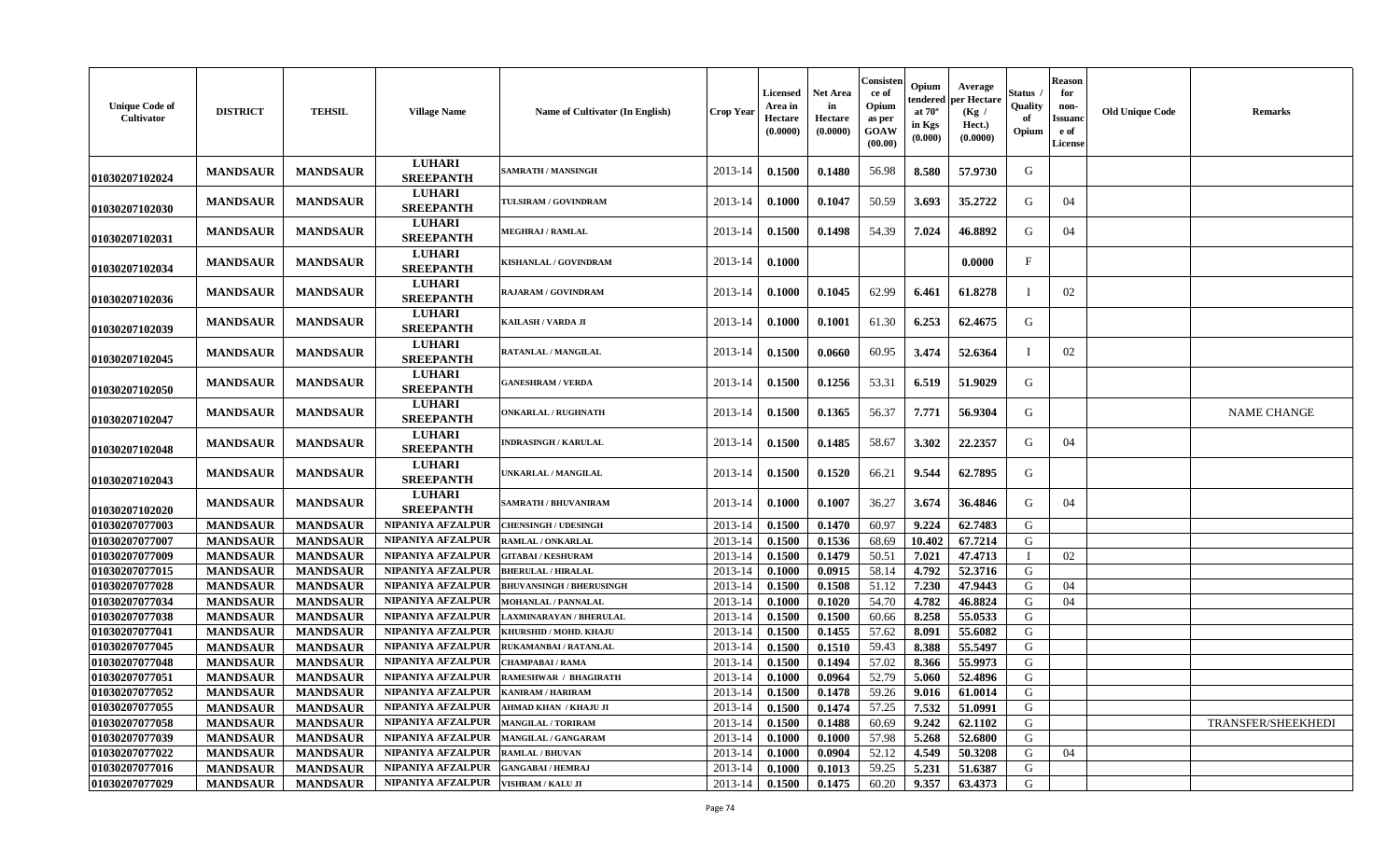| <b>Unique Code of</b><br>Cultivator | <b>DISTRICT</b> | <b>TEHSIL</b>   | <b>Village Name</b>               | Name of Cultivator (In English) | <b>Crop Year</b> | <b>Licensed</b><br>Area in<br>Hectare<br>(0.0000) | <b>Net Area</b><br>in<br>Hectare<br>(0.0000) | Consisten<br>ce of<br>Opium<br>as per<br>GOAW<br>(00.00) | Opium<br>tendered<br>at $70^{\circ}$<br>in Kgs<br>(0.000) | Average<br>per Hectare<br>(Kg /<br>Hect.)<br>(0.0000) | Status<br>Quality<br>of<br>Opium | <b>Reason</b><br>for<br>non-<br>Issuanc<br>e of<br>License | <b>Old Unique Code</b> | <b>Remarks</b>     |
|-------------------------------------|-----------------|-----------------|-----------------------------------|---------------------------------|------------------|---------------------------------------------------|----------------------------------------------|----------------------------------------------------------|-----------------------------------------------------------|-------------------------------------------------------|----------------------------------|------------------------------------------------------------|------------------------|--------------------|
| 01030207102024                      | <b>MANDSAUR</b> | <b>MANDSAUR</b> | <b>LUHARI</b><br><b>SREEPANTH</b> | SAMRATH / MANSINGH              | 2013-14          | 0.1500                                            | 0.1480                                       | 56.98                                                    | 8.580                                                     | 57.9730                                               | G                                |                                                            |                        |                    |
| 01030207102030                      | <b>MANDSAUR</b> | <b>MANDSAUR</b> | <b>LUHARI</b><br><b>SREEPANTH</b> | TULSIRAM / GOVINDRAM            | 2013-14          | 0.1000                                            | 0.1047                                       | 50.59                                                    | 3.693                                                     | 35,2722                                               | G                                | 04                                                         |                        |                    |
| 01030207102031                      | <b>MANDSAUR</b> | <b>MANDSAUR</b> | <b>LUHARI</b><br><b>SREEPANTH</b> | <b>MEGHRAJ / RAMLAL</b>         | 2013-14          | 0.1500                                            | 0.1498                                       | 54.39                                                    | 7.024                                                     | 46.8892                                               | G                                | 04                                                         |                        |                    |
| 01030207102034                      | <b>MANDSAUR</b> | <b>MANDSAUR</b> | <b>LUHARI</b><br><b>SREEPANTH</b> | KISHANLAL / GOVINDRAM           | 2013-14          | 0.1000                                            |                                              |                                                          |                                                           | 0.0000                                                | $_{\rm F}$                       |                                                            |                        |                    |
| 01030207102036                      | <b>MANDSAUR</b> | <b>MANDSAUR</b> | <b>LUHARI</b><br><b>SREEPANTH</b> | <b>RAJARAM / GOVINDRAM</b>      | 2013-14          | 0.1000                                            | 0.1045                                       | 62.99                                                    | 6.461                                                     | 61.8278                                               |                                  | 02                                                         |                        |                    |
| 01030207102039                      | <b>MANDSAUR</b> | <b>MANDSAUR</b> | <b>LUHARI</b><br><b>SREEPANTH</b> | <b>KAILASH / VARDA JI</b>       | 2013-14          | 0.1000                                            | 0.1001                                       | 61.30                                                    | 6.253                                                     | 62.4675                                               | G                                |                                                            |                        |                    |
| <b>01030207102045</b>               | <b>MANDSAUR</b> | <b>MANDSAUR</b> | <b>LUHARI</b><br><b>SREEPANTH</b> | RATANLAL / MANGILAL             | 2013-14          | 0.1500                                            | 0.0660                                       | 60.95                                                    | 3.474                                                     | 52.6364                                               |                                  | 02                                                         |                        |                    |
| <b>01030207102050</b>               | <b>MANDSAUR</b> | <b>MANDSAUR</b> | <b>LUHARI</b><br><b>SREEPANTH</b> | <b>GANESHRAM / VERDA</b>        | 2013-14          | 0.1500                                            | 0.1256                                       | 53.31                                                    | 6.519                                                     | 51.9029                                               | G                                |                                                            |                        |                    |
| 01030207102047                      | <b>MANDSAUR</b> | <b>MANDSAUR</b> | <b>LUHARI</b><br><b>SREEPANTH</b> | <b>ONKARLAL / RUGHNATH</b>      | 2013-14          | 0.1500                                            | 0.1365                                       | 56.37                                                    | 7.771                                                     | 56.9304                                               | G                                |                                                            |                        | <b>NAME CHANGE</b> |
| 01030207102048                      | <b>MANDSAUR</b> | <b>MANDSAUR</b> | <b>LUHARI</b><br><b>SREEPANTH</b> | <b>INDRASINGH / KARULAL</b>     | 2013-14          | 0.1500                                            | 0.1485                                       | 58.67                                                    | 3.302                                                     | 22.2357                                               | G                                | 04                                                         |                        |                    |
| 01030207102043                      | <b>MANDSAUR</b> | <b>MANDSAUR</b> | <b>LUHARI</b><br><b>SREEPANTH</b> | <b>JNKARLAL / MANGILAL</b>      | 2013-14          | 0.1500                                            | 0.1520                                       | 66.21                                                    | 9.544                                                     | 62.7895                                               | G                                |                                                            |                        |                    |
| 01030207102020                      | <b>MANDSAUR</b> | <b>MANDSAUR</b> | <b>LUHARI</b><br><b>SREEPANTH</b> | SAMRATH / BHUVANIRAM            | 2013-14          | 0.1000                                            | 0.1007                                       | 36.27                                                    | 3.674                                                     | 36.4846                                               | G                                | 04                                                         |                        |                    |
| 01030207077003                      | <b>MANDSAUR</b> | <b>MANDSAUR</b> | NIPANIYA AFZALPUR                 | <b>CHENSINGH / UDESINGH</b>     | 2013-14          | 0.1500                                            | 0.1470                                       | 60.97                                                    | 9.224                                                     | 62.7483                                               | G                                |                                                            |                        |                    |
| 01030207077007                      | <b>MANDSAUR</b> | <b>MANDSAUR</b> | NIPANIYA AFZALPUR                 | RAMLAL / ONKARLAL               | 2013-14          | 0.1500                                            | 0.1536                                       | 68.69                                                    | 10.402                                                    | 67.7214                                               | G                                |                                                            |                        |                    |
| 01030207077009                      | <b>MANDSAUR</b> | <b>MANDSAUR</b> | NIPANIYA AFZALPUR                 | <b>GITABAI/KESHURAM</b>         | 2013-14          | 0.1500                                            | 0.1479                                       | 50.51                                                    | 7.021                                                     | 47.4713                                               |                                  | 02                                                         |                        |                    |
| 01030207077015                      | <b>MANDSAUR</b> | <b>MANDSAUR</b> | NIPANIYA AFZALPUR                 | <b>BHERULAL / HIRALAL</b>       | 2013-14          | 0.1000                                            | 0.0915                                       | 58.14                                                    | 4.792                                                     | 52.3716                                               | G                                |                                                            |                        |                    |
| 01030207077028                      | <b>MANDSAUR</b> | <b>MANDSAUR</b> | <b>NIPANIYA AFZALPUR</b>          | <b>BHUVANSINGH / BHERUSINGH</b> | 2013-14          | 0.1500                                            | 0.1508                                       | 51.12                                                    | 7.230                                                     | 47.9443                                               | G                                | 04                                                         |                        |                    |
| 01030207077034                      | <b>MANDSAUR</b> | <b>MANDSAUR</b> | NIPANIYA AFZALPUR                 | <b>MOHANLAL / PANNALAL</b>      | 2013-14          | 0.1000                                            | 0.1020                                       | 54.70                                                    | 4.782                                                     | 46.8824                                               | G                                | 04                                                         |                        |                    |
| 01030207077038                      | <b>MANDSAUR</b> | <b>MANDSAUR</b> | NIPANIYA AFZALPUR                 | AXMINARAYAN / BHERULAL          | 2013-14          | 0.1500                                            | 0.1500                                       | 60.66                                                    | 8.258                                                     | 55.0533                                               | G                                |                                                            |                        |                    |
| 01030207077041                      | <b>MANDSAUR</b> | <b>MANDSAUR</b> | NIPANIYA AFZALPUR                 | KHURSHID / MOHD. KHAJU          | 2013-14          | 0.1500                                            | 0.1455                                       | 57.62                                                    | 8.091                                                     | 55.6082                                               | G                                |                                                            |                        |                    |
| 01030207077045                      | <b>MANDSAUR</b> | <b>MANDSAUR</b> | <b>NIPANIYA AFZALPUR</b>          | <b>RUKAMANBAI / RATANLAL</b>    | 2013-14          | 0.1500                                            | 0.1510                                       | 59.43                                                    | 8.388                                                     | 55.5497                                               | G                                |                                                            |                        |                    |
| 01030207077048                      | <b>MANDSAUR</b> | <b>MANDSAUR</b> | NIPANIYA AFZALPUR                 | CHAMPABAI / RAMA                | 2013-14          | 0.1500                                            | 0.1494                                       | 57.02                                                    | 8.366                                                     | 55.9973                                               | G                                |                                                            |                        |                    |
| 01030207077051                      | <b>MANDSAUR</b> | <b>MANDSAUR</b> | NIPANIYA AFZALPUR                 | RAMESHWAR / BHAGIRATH           | 2013-14          | 0.1000                                            | 0.0964                                       | 52.79                                                    | 5.060                                                     | 52.4896                                               | G                                |                                                            |                        |                    |
| 01030207077052                      | <b>MANDSAUR</b> | <b>MANDSAUR</b> | NIPANIYA AFZALPUR                 | KANIRAM / HARIRAM               | 2013-14          | 0.1500                                            | 0.1478                                       | 59.26                                                    | 9.016                                                     | 61.0014                                               | G                                |                                                            |                        |                    |
| 01030207077055                      | <b>MANDSAUR</b> | <b>MANDSAUR</b> | <b>NIPANIYA AFZALPUR</b>          | AHMAD KHAN / KHAJU JI           | 2013-14          | 0.1500                                            | 0.1474                                       | 57.25                                                    | 7.532                                                     | 51.0991                                               | G                                |                                                            |                        |                    |
| 01030207077058                      | <b>MANDSAUR</b> | <b>MANDSAUR</b> | NIPANIYA AFZALPUR                 | <b>MANGILAL / TORIRAM</b>       | 2013-14          | 0.1500                                            | 0.1488                                       | 60.69                                                    | 9.242                                                     | 62.1102                                               | G                                |                                                            |                        | TRANSFER/SHEEKHEDI |
| 01030207077039                      | <b>MANDSAUR</b> | <b>MANDSAUR</b> | NIPANIYA AFZALPUR                 | MANGILAL / GANGARAM             | 2013-14          | 0.1000                                            | 0.1000                                       | 57.98                                                    | 5.268                                                     | 52.6800                                               | G                                |                                                            |                        |                    |
| 01030207077022                      | <b>MANDSAUR</b> | <b>MANDSAUR</b> | <b>NIPANIYA AFZALPUR</b>          | RAMLAL / BHUVAN                 | 2013-14          | 0.1000                                            | 0.0904                                       | 52.12                                                    | 4.549                                                     | 50.3208                                               | G                                | 04                                                         |                        |                    |
| 01030207077016                      | <b>MANDSAUR</b> | <b>MANDSAUR</b> | NIPANIYA AFZALPUR                 | <b>GANGABAI / HEMRAJ</b>        | 2013-14          | 0.1000                                            | 0.1013                                       | 59.25                                                    | 5.231                                                     | 51.6387                                               | G                                |                                                            |                        |                    |
| 01030207077029                      | <b>MANDSAUR</b> | <b>MANDSAUR</b> | NIPANIYA AFZALPUR                 | <b>VISHRAM / KALU JI</b>        | 2013-14          | 0.1500                                            | 0.1475                                       | 60.20                                                    | 9.357                                                     | 63.4373                                               | G                                |                                                            |                        |                    |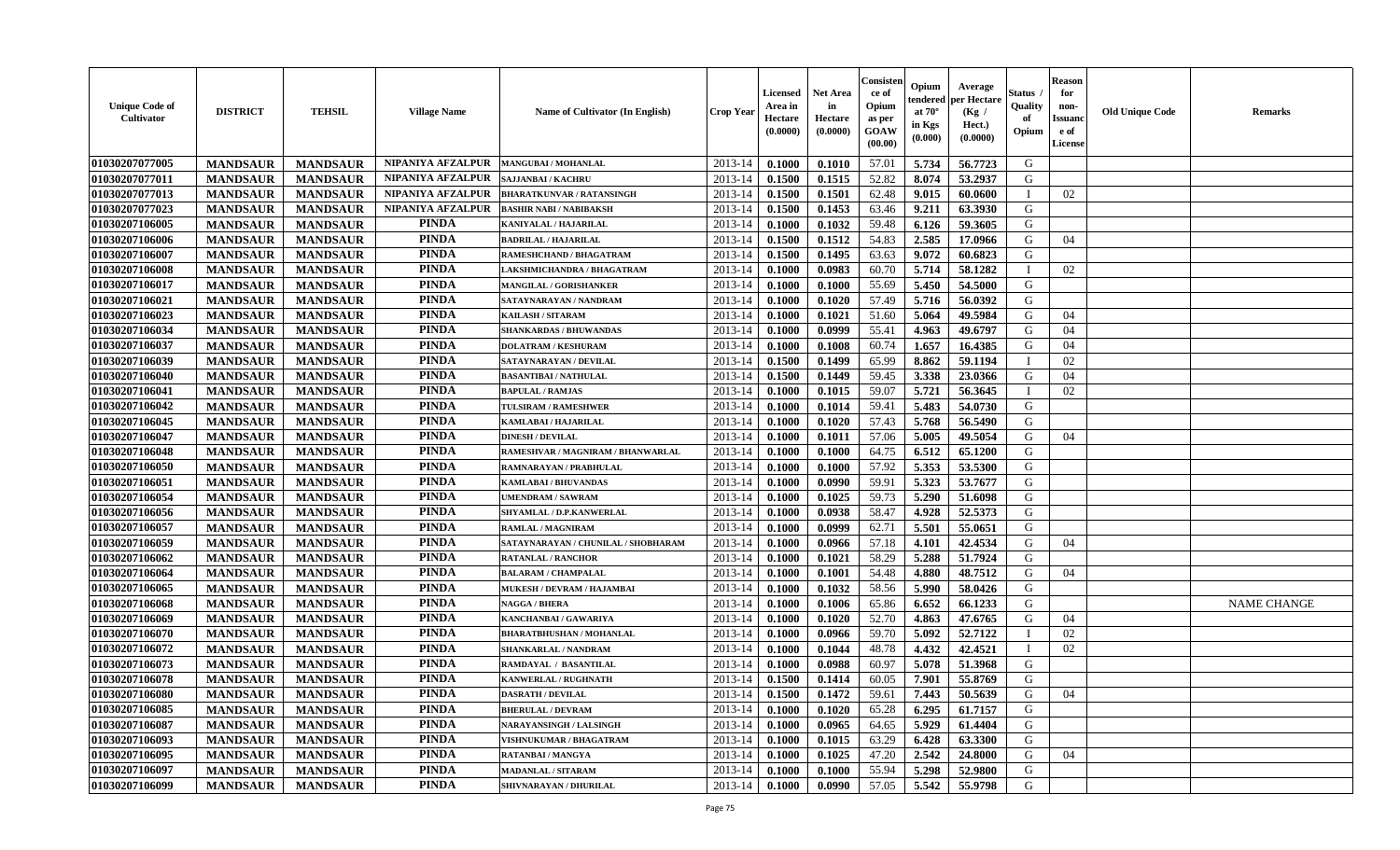| <b>Unique Code of</b><br><b>Cultivator</b> | <b>DISTRICT</b> | <b>TEHSIL</b>   | <b>Village Name</b> | <b>Name of Cultivator (In English)</b> | <b>Crop Year</b> | Licensed<br>Area in<br>Hectare<br>(0.0000) | Net Area<br>in<br>Hectare<br>(0.0000) | Consisteı<br>ce of<br>Opium<br>as per<br>GOAW<br>(00.00) | Opium<br>endered<br>at $70^\circ$<br>in Kgs<br>(0.000) | Average<br>per Hectare<br>(Kg /<br>Hect.)<br>(0.0000) | Status<br>Quality<br>of<br>Opium | <b>Reason</b><br>for<br>non-<br><b>Issuand</b><br>e of<br>License | <b>Old Unique Code</b> | Remarks            |
|--------------------------------------------|-----------------|-----------------|---------------------|----------------------------------------|------------------|--------------------------------------------|---------------------------------------|----------------------------------------------------------|--------------------------------------------------------|-------------------------------------------------------|----------------------------------|-------------------------------------------------------------------|------------------------|--------------------|
| 01030207077005                             | <b>MANDSAUR</b> | <b>MANDSAUR</b> | NIPANIYA AFZALPUR   | MANGUBAI / MOHANLAL                    | 2013-14          | 0.1000                                     | 0.1010                                | 57.01                                                    | 5.734                                                  | 56.7723                                               | G                                |                                                                   |                        |                    |
| 01030207077011                             | <b>MANDSAUR</b> | <b>MANDSAUR</b> | NIPANIYA AFZALPUR   | <b>SAJJANBAI / KACHRU</b>              | 2013-14          | 0.1500                                     | 0.1515                                | 52.82                                                    | 8.074                                                  | 53.2937                                               | G                                |                                                                   |                        |                    |
| 01030207077013                             | <b>MANDSAUR</b> | <b>MANDSAUR</b> | NIPANIYA AFZALPUR   | <b>BHARATKUNVAR / RATANSINGH</b>       | 2013-14          | 0.1500                                     | 0.1501                                | 62.48                                                    | 9.015                                                  | 60.0600                                               | $\mathbf I$                      | 02                                                                |                        |                    |
| 01030207077023                             | <b>MANDSAUR</b> | <b>MANDSAUR</b> | NIPANIYA AFZALPUR   | <b>BASHIR NABI / NABIBAKSH</b>         | 2013-14          | 0.1500                                     | 0.1453                                | 63.46                                                    | 9.211                                                  | 63.3930                                               | G                                |                                                                   |                        |                    |
| 01030207106005                             | <b>MANDSAUR</b> | <b>MANDSAUR</b> | <b>PINDA</b>        | KANIYALAL / HAJARILAL                  | 2013-14          | 0.1000                                     | 0.1032                                | 59.48                                                    | 6.126                                                  | 59.3605                                               | G                                |                                                                   |                        |                    |
| 01030207106006                             | <b>MANDSAUR</b> | <b>MANDSAUR</b> | <b>PINDA</b>        | <b>BADRILAL / HAJARILAL</b>            | 2013-14          | 0.1500                                     | 0.1512                                | 54.83                                                    | 2.585                                                  | 17.0966                                               | G                                | 04                                                                |                        |                    |
| 01030207106007                             | <b>MANDSAUR</b> | <b>MANDSAUR</b> | <b>PINDA</b>        | RAMESHCHAND / BHAGATRAM                | 2013-14          | 0.1500                                     | 0.1495                                | 63.63                                                    | 9.072                                                  | 60.6823                                               | G                                |                                                                   |                        |                    |
| 01030207106008                             | <b>MANDSAUR</b> | <b>MANDSAUR</b> | <b>PINDA</b>        | LAKSHMICHANDRA / BHAGATRAM             | 2013-14          | 0.1000                                     | 0.0983                                | 60.70                                                    | 5.714                                                  | 58.1282                                               | П                                | 02                                                                |                        |                    |
| 01030207106017                             | <b>MANDSAUR</b> | <b>MANDSAUR</b> | <b>PINDA</b>        | <b>MANGILAL / GORISHANKER</b>          | 2013-14          | 0.1000                                     | 0.1000                                | 55.69                                                    | 5.450                                                  | 54.5000                                               | G                                |                                                                   |                        |                    |
| 01030207106021                             | <b>MANDSAUR</b> | <b>MANDSAUR</b> | <b>PINDA</b>        | SATAYNARAYAN / NANDRAM                 | 2013-14          | 0.1000                                     | 0.1020                                | 57.49                                                    | 5.716                                                  | 56.0392                                               | G                                |                                                                   |                        |                    |
| 01030207106023                             | <b>MANDSAUR</b> | <b>MANDSAUR</b> | <b>PINDA</b>        | <b>KAILASH / SITARAM</b>               | 2013-14          | 0.1000                                     | 0.1021                                | 51.60                                                    | 5.064                                                  | 49.5984                                               | G                                | 04                                                                |                        |                    |
| 01030207106034                             | <b>MANDSAUR</b> | <b>MANDSAUR</b> | <b>PINDA</b>        | <b>SHANKARDAS / BHUWANDAS</b>          | 2013-14          | 0.1000                                     | 0.0999                                | 55.41                                                    | 4.963                                                  | 49.6797                                               | G                                | 04                                                                |                        |                    |
| 01030207106037                             | <b>MANDSAUR</b> | <b>MANDSAUR</b> | <b>PINDA</b>        | <b>DOLATRAM / KESHURAM</b>             | 2013-14          | 0.1000                                     | 0.1008                                | 60.74                                                    | 1.657                                                  | 16.4385                                               | G                                | 04                                                                |                        |                    |
| 01030207106039                             | <b>MANDSAUR</b> | <b>MANDSAUR</b> | <b>PINDA</b>        | SATAYNARAYAN / DEVILAL                 | 2013-14          | 0.1500                                     | 0.1499                                | 65.99                                                    | 8.862                                                  | 59.1194                                               | $\mathbf I$                      | 02                                                                |                        |                    |
| 01030207106040                             | <b>MANDSAUR</b> | <b>MANDSAUR</b> | <b>PINDA</b>        | <b>BASANTIBAI / NATHULAL</b>           | 2013-14          | 0.1500                                     | 0.1449                                | 59.45                                                    | 3.338                                                  | 23.0366                                               | G                                | 04                                                                |                        |                    |
| 01030207106041                             | <b>MANDSAUR</b> | <b>MANDSAUR</b> | <b>PINDA</b>        | <b>BAPULAL / RAMJAS</b>                | 2013-14          | 0.1000                                     | 0.1015                                | 59.07                                                    | 5.721                                                  | 56.3645                                               |                                  | 02                                                                |                        |                    |
| 01030207106042                             | <b>MANDSAUR</b> | <b>MANDSAUR</b> | <b>PINDA</b>        | <b>TULSIRAM / RAMESHWER</b>            | 2013-14          | 0.1000                                     | 0.1014                                | 59.41                                                    | 5.483                                                  | 54.0730                                               | G                                |                                                                   |                        |                    |
| 01030207106045                             | <b>MANDSAUR</b> | <b>MANDSAUR</b> | <b>PINDA</b>        | KAMLABAI / HAJARILAL                   | 2013-14          | 0.1000                                     | 0.1020                                | 57.43                                                    | 5.768                                                  | 56.5490                                               | G                                |                                                                   |                        |                    |
| 01030207106047                             | <b>MANDSAUR</b> | <b>MANDSAUR</b> | <b>PINDA</b>        | <b>DINESH / DEVILAL</b>                | 2013-14          | 0.1000                                     | 0.1011                                | 57.06                                                    | 5.005                                                  | 49.5054                                               | G                                | 04                                                                |                        |                    |
| 01030207106048                             |                 |                 | <b>PINDA</b>        | RAMESHVAR / MAGNIRAM / BHANWARLAL      |                  |                                            |                                       |                                                          |                                                        | 65.1200                                               |                                  |                                                                   |                        |                    |
|                                            | <b>MANDSAUR</b> | <b>MANDSAUR</b> | <b>PINDA</b>        |                                        | 2013-14          | 0.1000                                     | 0.1000                                | 64.75                                                    | 6.512                                                  |                                                       | G                                |                                                                   |                        |                    |
| 01030207106050                             | <b>MANDSAUR</b> | <b>MANDSAUR</b> | <b>PINDA</b>        | RAMNARAYAN / PRABHULAL                 | 2013-14          | 0.1000                                     | 0.1000                                | 57.92                                                    | 5.353                                                  | 53.5300                                               | G                                |                                                                   |                        |                    |
| 01030207106051                             | <b>MANDSAUR</b> | <b>MANDSAUR</b> |                     | <b>KAMLABAI/BHUVANDAS</b>              | 2013-14          | 0.1000                                     | 0.0990                                | 59.91                                                    | 5.323                                                  | 53.7677                                               | G                                |                                                                   |                        |                    |
| 01030207106054                             | <b>MANDSAUR</b> | <b>MANDSAUR</b> | <b>PINDA</b>        | <b>JMENDRAM / SAWRAM</b>               | 2013-14          | 0.1000                                     | 0.1025                                | 59.73                                                    | 5.290                                                  | 51.6098                                               | G                                |                                                                   |                        |                    |
| 01030207106056                             | <b>MANDSAUR</b> | <b>MANDSAUR</b> | <b>PINDA</b>        | SHYAMLAL / D.P.KANWERLAL               | 2013-14          | 0.1000                                     | 0.0938                                | 58.47                                                    | 4.928                                                  | 52.5373                                               | G                                |                                                                   |                        |                    |
| 01030207106057                             | <b>MANDSAUR</b> | <b>MANDSAUR</b> | <b>PINDA</b>        | <b>RAMLAL / MAGNIRAM</b>               | 2013-14          | 0.1000                                     | 0.0999                                | 62.71                                                    | 5.501                                                  | 55.0651                                               | G                                |                                                                   |                        |                    |
| 01030207106059                             | <b>MANDSAUR</b> | <b>MANDSAUR</b> | <b>PINDA</b>        | SATAYNARAYAN / CHUNILAL / SHOBHARAM    | 2013-14          | 0.1000                                     | 0.0966                                | 57.18                                                    | 4.101                                                  | 42.4534                                               | G                                | 04                                                                |                        |                    |
| 01030207106062                             | <b>MANDSAUR</b> | <b>MANDSAUR</b> | <b>PINDA</b>        | <b>RATANLAL / RANCHOR</b>              | 2013-14          | 0.1000                                     | 0.1021                                | 58.29                                                    | 5.288                                                  | 51.7924                                               | G                                |                                                                   |                        |                    |
| 01030207106064                             | <b>MANDSAUR</b> | <b>MANDSAUR</b> | <b>PINDA</b>        | <b>BALARAM / CHAMPALAL</b>             | 2013-14          | 0.1000                                     | 0.1001                                | 54.48                                                    | 4.880                                                  | 48.7512                                               | G                                | 04                                                                |                        |                    |
| 01030207106065                             | <b>MANDSAUR</b> | <b>MANDSAUR</b> | <b>PINDA</b>        | MUKESH / DEVRAM / HAJAMBAI             | 2013-14          | 0.1000                                     | 0.1032                                | 58.56                                                    | 5.990                                                  | 58.0426                                               | G                                |                                                                   |                        |                    |
| 01030207106068                             | <b>MANDSAUR</b> | <b>MANDSAUR</b> | <b>PINDA</b>        | <b>NAGGA / BHERA</b>                   | 2013-14          | 0.1000                                     | 0.1006                                | 65.86                                                    | 6.652                                                  | 66.1233                                               | G                                |                                                                   |                        | <b>NAME CHANGE</b> |
| 01030207106069                             | <b>MANDSAUR</b> | <b>MANDSAUR</b> | <b>PINDA</b>        | KANCHANBAI / GAWARIYA                  | 2013-14          | 0.1000                                     | 0.1020                                | 52.70                                                    | 4.863                                                  | 47.6765                                               | G                                | 04                                                                |                        |                    |
| 01030207106070                             | <b>MANDSAUR</b> | <b>MANDSAUR</b> | <b>PINDA</b>        | <b>BHARATBHUSHAN / MOHANLAL</b>        | 2013-14          | 0.1000                                     | 0.0966                                | 59.70                                                    | 5.092                                                  | 52.7122                                               |                                  | 02                                                                |                        |                    |
| 01030207106072                             | <b>MANDSAUR</b> | <b>MANDSAUR</b> | <b>PINDA</b>        | SHANKARLAL / NANDRAM                   | 2013-14          | 0.1000                                     | 0.1044                                | 48.78                                                    | 4.432                                                  | 42.4521                                               | T                                | 02                                                                |                        |                    |
| 01030207106073                             | <b>MANDSAUR</b> | <b>MANDSAUR</b> | <b>PINDA</b>        | RAMDAYAL / BASANTILAL                  | 2013-14          | 0.1000                                     | 0.0988                                | 60.97                                                    | 5.078                                                  | 51.3968                                               | G                                |                                                                   |                        |                    |
| 01030207106078                             | <b>MANDSAUR</b> | <b>MANDSAUR</b> | <b>PINDA</b>        | <b>KANWERLAL / RUGHNATH</b>            | 2013-14          | 0.1500                                     | 0.1414                                | 60.05                                                    | 7.901                                                  | 55.8769                                               | G                                |                                                                   |                        |                    |
| 01030207106080                             | <b>MANDSAUR</b> | <b>MANDSAUR</b> | <b>PINDA</b>        | <b>DASRATH / DEVILAL</b>               | 2013-14          | 0.1500                                     | 0.1472                                | 59.61                                                    | 7.443                                                  | 50.5639                                               | G                                | 04                                                                |                        |                    |
| 01030207106085                             | <b>MANDSAUR</b> | <b>MANDSAUR</b> | <b>PINDA</b>        | <b>BHERULAL / DEVRAM</b>               | 2013-14          | 0.1000                                     | 0.1020                                | 65.28                                                    | 6.295                                                  | 61.7157                                               | G                                |                                                                   |                        |                    |
| 01030207106087                             | <b>MANDSAUR</b> | <b>MANDSAUR</b> | <b>PINDA</b>        | NARAYANSINGH / LALSINGH                | 2013-14          | 0.1000                                     | 0.0965                                | 64.65                                                    | 5.929                                                  | 61.4404                                               | G                                |                                                                   |                        |                    |
| 01030207106093                             | <b>MANDSAUR</b> | <b>MANDSAUR</b> | <b>PINDA</b>        | VISHNUKUMAR / BHAGATRAM                | 2013-14          | 0.1000                                     | 0.1015                                | 63.29                                                    | 6.428                                                  | 63.3300                                               | G                                |                                                                   |                        |                    |
| 01030207106095                             | <b>MANDSAUR</b> | <b>MANDSAUR</b> | <b>PINDA</b>        | <b>RATANBAI/MANGYA</b>                 | 2013-14          | 0.1000                                     | 0.1025                                | 47.20                                                    | 2.542                                                  | 24.8000                                               | G                                | 04                                                                |                        |                    |
| 01030207106097                             | <b>MANDSAUR</b> | <b>MANDSAUR</b> | <b>PINDA</b>        | <b>MADANLAL / SITARAM</b>              | 2013-14          | 0.1000                                     | 0.1000                                | 55.94                                                    | 5.298                                                  | 52.9800                                               | G                                |                                                                   |                        |                    |
| 01030207106099                             | <b>MANDSAUR</b> | <b>MANDSAUR</b> | <b>PINDA</b>        | SHIVNARAYAN / DHURILAL                 | 2013-14          | 0.1000                                     | 0.0990                                | 57.05                                                    | 5.542                                                  | 55.9798                                               | G                                |                                                                   |                        |                    |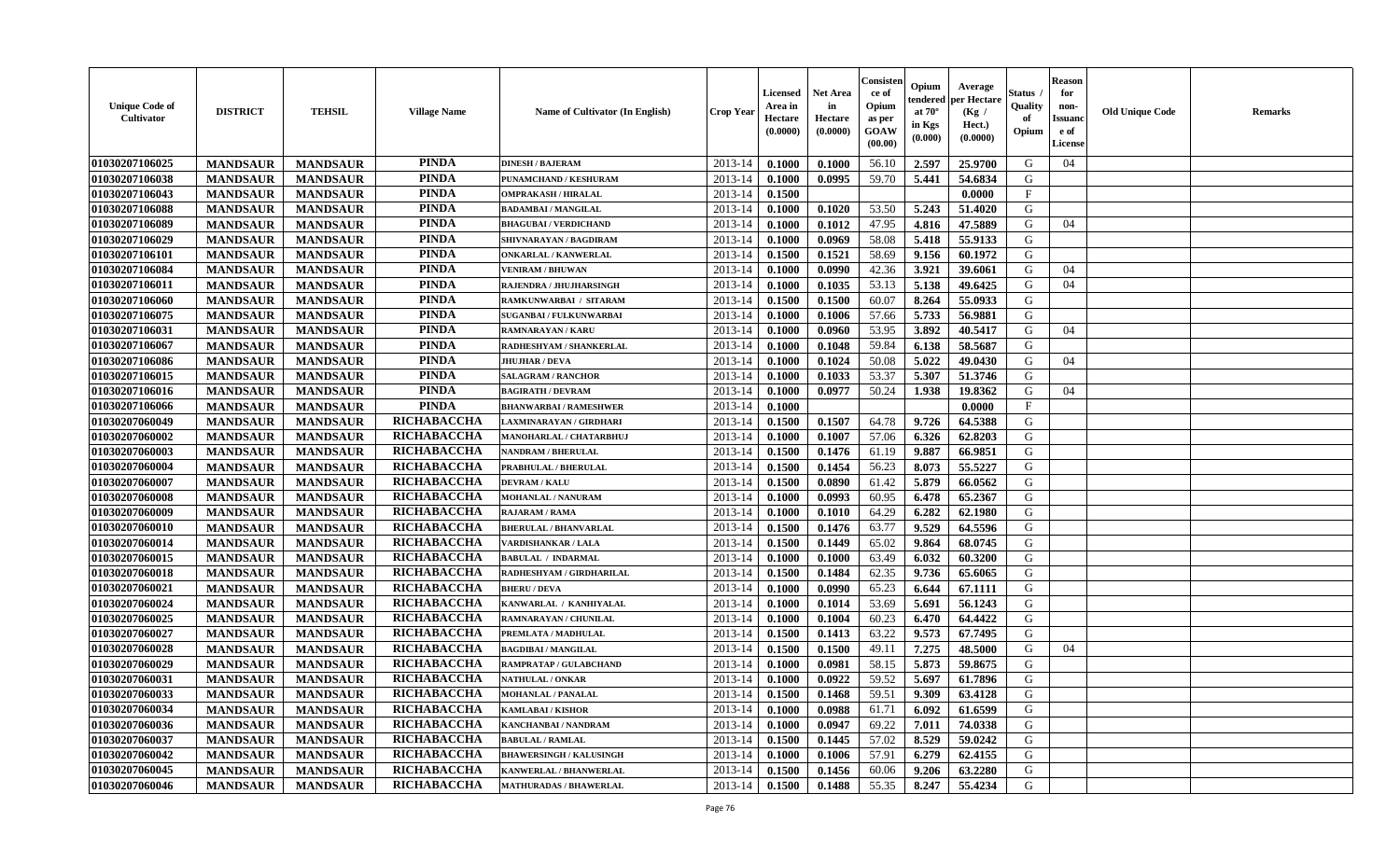| <b>Unique Code of</b><br><b>Cultivator</b> | <b>DISTRICT</b> | <b>TEHSIL</b>   | <b>Village Name</b> | Name of Cultivator (In English) | <b>Crop Year</b> | <b>Licensed</b><br>Area in<br>Hectare<br>(0.0000) | <b>Net Area</b><br>in<br>Hectare<br>(0.0000) | Consisteı<br>ce of<br>Opium<br>as per<br>GOAW<br>(00.00) | Opium<br>endered<br>at $70^\circ$<br>in Kgs<br>(0.000) | Average<br>per Hectare<br>(Kg /<br>Hect.)<br>(0.0000) | Status<br>Quality<br>of<br>Opium | <b>Reason</b><br>for<br>non-<br><b>Issuand</b><br>e of<br><b>License</b> | <b>Old Unique Code</b> | <b>Remarks</b> |
|--------------------------------------------|-----------------|-----------------|---------------------|---------------------------------|------------------|---------------------------------------------------|----------------------------------------------|----------------------------------------------------------|--------------------------------------------------------|-------------------------------------------------------|----------------------------------|--------------------------------------------------------------------------|------------------------|----------------|
| 01030207106025                             | <b>MANDSAUR</b> | <b>MANDSAUR</b> | <b>PINDA</b>        | <b>DINESH / BAJERAM</b>         | 2013-14          | 0.1000                                            | 0.1000                                       | 56.10                                                    | 2.597                                                  | 25.9700                                               | G                                | 04                                                                       |                        |                |
| 01030207106038                             | <b>MANDSAUR</b> | <b>MANDSAUR</b> | <b>PINDA</b>        | PUNAMCHAND / KESHURAM           | 2013-14          | 0.1000                                            | 0.0995                                       | 59.70                                                    | 5.441                                                  | 54.6834                                               | G                                |                                                                          |                        |                |
| 01030207106043                             | <b>MANDSAUR</b> | <b>MANDSAUR</b> | <b>PINDA</b>        | <b>OMPRAKASH / HIRALAL</b>      | 2013-14          | 0.1500                                            |                                              |                                                          |                                                        | 0.0000                                                | $\mathbf{F}$                     |                                                                          |                        |                |
| 01030207106088                             | <b>MANDSAUR</b> | <b>MANDSAUR</b> | <b>PINDA</b>        | <b>BADAMBAI/MANGILAL</b>        | 2013-14          | 0.1000                                            | 0.1020                                       | 53.50                                                    | 5.243                                                  | 51.4020                                               | G                                |                                                                          |                        |                |
| 01030207106089                             | <b>MANDSAUR</b> | <b>MANDSAUR</b> | <b>PINDA</b>        | <b>BHAGUBAI / VERDICHAND</b>    | 2013-14          | 0.1000                                            | 0.1012                                       | 47.95                                                    | 4.816                                                  | 47.5889                                               | G                                | 04                                                                       |                        |                |
| 01030207106029                             | <b>MANDSAUR</b> | <b>MANDSAUR</b> | <b>PINDA</b>        | SHIVNARAYAN / BAGDIRAM          | 2013-14          | 0.1000                                            | 0.0969                                       | 58.08                                                    | 5.418                                                  | 55.9133                                               | G                                |                                                                          |                        |                |
| 01030207106101                             | <b>MANDSAUR</b> | <b>MANDSAUR</b> | <b>PINDA</b>        | <b>ONKARLAL / KANWERLAL</b>     | 2013-14          | 0.1500                                            | 0.1521                                       | 58.69                                                    | 9.156                                                  | 60.1972                                               | G                                |                                                                          |                        |                |
| 01030207106084                             | <b>MANDSAUR</b> | <b>MANDSAUR</b> | <b>PINDA</b>        | <b>VENIRAM / BHUWAN</b>         | 2013-14          | 0.1000                                            | 0.0990                                       | 42.36                                                    | 3.921                                                  | 39.6061                                               | G                                | 04                                                                       |                        |                |
| 01030207106011                             | <b>MANDSAUR</b> | <b>MANDSAUR</b> | <b>PINDA</b>        | RAJENDRA / JHUJHARSINGH         | 2013-14          | 0.1000                                            | 0.1035                                       | 53.13                                                    | 5.138                                                  | 49.6425                                               | G                                | 04                                                                       |                        |                |
| 01030207106060                             | <b>MANDSAUR</b> | <b>MANDSAUR</b> | <b>PINDA</b>        | RAMKUNWARBAI / SITARAM          | 2013-14          | 0.1500                                            | 0.1500                                       | 60.07                                                    | 8.264                                                  | 55.0933                                               | G                                |                                                                          |                        |                |
| 01030207106075                             | <b>MANDSAUR</b> | <b>MANDSAUR</b> | <b>PINDA</b>        | <b>SUGANBAI/FULKUNWARBAI</b>    | 2013-14          | 0.1000                                            | 0.1006                                       | 57.66                                                    | 5.733                                                  | 56.9881                                               | G                                |                                                                          |                        |                |
| 01030207106031                             | <b>MANDSAUR</b> | <b>MANDSAUR</b> | <b>PINDA</b>        | <b>RAMNARAYAN / KARU</b>        | 2013-14          | 0.1000                                            | 0.0960                                       | 53.95                                                    | 3.892                                                  | 40.5417                                               | G                                | 04                                                                       |                        |                |
| 01030207106067                             | <b>MANDSAUR</b> | <b>MANDSAUR</b> | <b>PINDA</b>        | RADHESHYAM / SHANKERLAL         | 2013-14          | 0.1000                                            | 0.1048                                       | 59.84                                                    | 6.138                                                  | 58.5687                                               | G                                |                                                                          |                        |                |
| 01030207106086                             | <b>MANDSAUR</b> | <b>MANDSAUR</b> | <b>PINDA</b>        | <b>JHUJHAR / DEVA</b>           | 2013-14          | 0.1000                                            | 0.1024                                       | 50.08                                                    | 5.022                                                  | 49.0430                                               | G                                | 04                                                                       |                        |                |
| 01030207106015                             | <b>MANDSAUR</b> | <b>MANDSAUR</b> | <b>PINDA</b>        | <b>SALAGRAM / RANCHOR</b>       | 2013-14          | 0.1000                                            | 0.1033                                       | 53.37                                                    | 5.307                                                  | 51.3746                                               | G                                |                                                                          |                        |                |
| 01030207106016                             | <b>MANDSAUR</b> | <b>MANDSAUR</b> | <b>PINDA</b>        | <b>BAGIRATH / DEVRAM</b>        | 2013-14          | 0.1000                                            | 0.0977                                       | 50.24                                                    | 1.938                                                  | 19.8362                                               | G                                | 04                                                                       |                        |                |
| 01030207106066                             | <b>MANDSAUR</b> | <b>MANDSAUR</b> | <b>PINDA</b>        | <b>BHANWARBAI / RAMESHWER</b>   | 2013-14          | 0.1000                                            |                                              |                                                          |                                                        | 0.0000                                                | $\mathbf{F}$                     |                                                                          |                        |                |
| 01030207060049                             | <b>MANDSAUR</b> | <b>MANDSAUR</b> | RICHABACCHA         | LAXMINARAYAN / GIRDHARI         | 2013-14          | 0.1500                                            | 0.1507                                       | 64.78                                                    | 9.726                                                  | 64.5388                                               | G                                |                                                                          |                        |                |
| 01030207060002                             | <b>MANDSAUR</b> | <b>MANDSAUR</b> | RICHABACCHA         | MANOHARLAL / CHATARBHUJ         | 2013-14          | 0.1000                                            | 0.1007                                       | 57.06                                                    | 6.326                                                  | 62.8203                                               | G                                |                                                                          |                        |                |
| 01030207060003                             | <b>MANDSAUR</b> | <b>MANDSAUR</b> | RICHABACCHA         | <b>NANDRAM / BHERULAL</b>       | 2013-14          | 0.1500                                            | 0.1476                                       | 61.19                                                    | 9.887                                                  | 66.9851                                               | G                                |                                                                          |                        |                |
| 01030207060004                             | <b>MANDSAUR</b> | <b>MANDSAUR</b> | RICHABACCHA         | PRABHULAL / BHERULAL            | 2013-14          | 0.1500                                            | 0.1454                                       | 56.23                                                    | 8.073                                                  | 55.5227                                               | G                                |                                                                          |                        |                |
| 01030207060007                             | <b>MANDSAUR</b> | <b>MANDSAUR</b> | RICHABACCHA         | <b>DEVRAM / KALU</b>            | 2013-14          | 0.1500                                            | 0.0890                                       | 61.42                                                    | 5.879                                                  | 66.0562                                               | G                                |                                                                          |                        |                |
| 01030207060008                             | <b>MANDSAUR</b> | <b>MANDSAUR</b> | RICHABACCHA         | <b>MOHANLAL / NANURAM</b>       | 2013-14          | 0.1000                                            | 0.0993                                       | 60.95                                                    | 6.478                                                  | 65.2367                                               | G                                |                                                                          |                        |                |
| 01030207060009                             | <b>MANDSAUR</b> | <b>MANDSAUR</b> | RICHABACCHA         | RAJARAM / RAMA                  | 2013-14          | 0.1000                                            | 0.1010                                       | 64.29                                                    | 6.282                                                  | 62.1980                                               | G                                |                                                                          |                        |                |
| 01030207060010                             | <b>MANDSAUR</b> | <b>MANDSAUR</b> | RICHABACCHA         | <b>BHERULAL / BHANVARLAL</b>    | 2013-14          | 0.1500                                            | 0.1476                                       | 63.77                                                    | 9.529                                                  | 64.5596                                               | G                                |                                                                          |                        |                |
| 01030207060014                             | <b>MANDSAUR</b> | <b>MANDSAUR</b> | RICHABACCHA         | <b>VARDISHANKAR / LALA</b>      | 2013-14          | 0.1500                                            | 0.1449                                       | 65.02                                                    | 9.864                                                  | 68.0745                                               | G                                |                                                                          |                        |                |
| 01030207060015                             | <b>MANDSAUR</b> | <b>MANDSAUR</b> | RICHABACCHA         | <b>BABULAL / INDARMAL</b>       | 2013-14          | 0.1000                                            | 0.1000                                       | 63.49                                                    | 6.032                                                  | 60.3200                                               | G                                |                                                                          |                        |                |
| 01030207060018                             | <b>MANDSAUR</b> | <b>MANDSAUR</b> | RICHABACCHA         | RADHESHYAM / GIRDHARILAL        | 2013-14          | 0.1500                                            | 0.1484                                       | 62.35                                                    | 9.736                                                  | 65.6065                                               | G                                |                                                                          |                        |                |
| 01030207060021                             | <b>MANDSAUR</b> | <b>MANDSAUR</b> | RICHABACCHA         | <b>BHERU / DEVA</b>             | 2013-14          | 0.1000                                            | 0.0990                                       | 65.23                                                    | 6.644                                                  | 67.1111                                               | G                                |                                                                          |                        |                |
| 01030207060024                             | <b>MANDSAUR</b> | <b>MANDSAUR</b> | RICHABACCHA         | KANWARLAL / KANHIYALAL          | 2013-14          | 0.1000                                            | 0.1014                                       | 53.69                                                    | 5.691                                                  | 56.1243                                               | G                                |                                                                          |                        |                |
| 01030207060025                             | <b>MANDSAUR</b> | <b>MANDSAUR</b> | RICHABACCHA         | RAMNARAYAN / CHUNILAL           | 2013-14          | 0.1000                                            | 0.1004                                       | 60.23                                                    | 6.470                                                  | 64.4422                                               | ${\bf G}$                        |                                                                          |                        |                |
| 01030207060027                             | <b>MANDSAUR</b> | <b>MANDSAUR</b> | RICHABACCHA         | PREMLATA / MADHULAL             | 2013-14          | 0.1500                                            | 0.1413                                       | 63.22                                                    | 9.573                                                  | 67.7495                                               | G                                |                                                                          |                        |                |
| 01030207060028                             | <b>MANDSAUR</b> | <b>MANDSAUR</b> | RICHABACCHA         | <b>BAGDIBAI / MANGILAL</b>      | 2013-14          | 0.1500                                            | 0.1500                                       | 49.11                                                    | 7.275                                                  | 48.5000                                               | G                                | 04                                                                       |                        |                |
| 01030207060029                             | <b>MANDSAUR</b> | <b>MANDSAUR</b> | RICHABACCHA         | RAMPRATAP / GULABCHAND          | 2013-14          | 0.1000                                            | 0.0981                                       | 58.15                                                    | 5.873                                                  | 59.8675                                               | G                                |                                                                          |                        |                |
| 01030207060031                             | <b>MANDSAUR</b> | <b>MANDSAUR</b> | <b>RICHABACCHA</b>  | <b>NATHULAL / ONKAR</b>         | 2013-14          | 0.1000                                            | 0.0922                                       | 59.52                                                    | 5.697                                                  | 61.7896                                               | G                                |                                                                          |                        |                |
| 01030207060033                             | <b>MANDSAUR</b> | <b>MANDSAUR</b> | RICHABACCHA         | <b>MOHANLAL / PANALAL</b>       | 2013-14          | 0.1500                                            | 0.1468                                       | 59.51                                                    | 9.309                                                  | 63.4128                                               | G                                |                                                                          |                        |                |
| 01030207060034                             | <b>MANDSAUR</b> | <b>MANDSAUR</b> | RICHABACCHA         | KAMLABAI / KISHOR               | 2013-14          | 0.1000                                            | 0.0988                                       | 61.71                                                    | 6.092                                                  | 61.6599                                               | G                                |                                                                          |                        |                |
| 01030207060036                             | <b>MANDSAUR</b> | <b>MANDSAUR</b> | RICHABACCHA         | KANCHANBAI / NANDRAM            | 2013-14          | 0.1000                                            | 0.0947                                       | 69.22                                                    | 7.011                                                  | 74.0338                                               | G                                |                                                                          |                        |                |
| 01030207060037                             | <b>MANDSAUR</b> | <b>MANDSAUR</b> | RICHABACCHA         | <b>BABULAL / RAMLAL</b>         | 2013-14          | 0.1500                                            | 0.1445                                       | 57.02                                                    | 8.529                                                  | 59.0242                                               | G                                |                                                                          |                        |                |
| 01030207060042                             | <b>MANDSAUR</b> | <b>MANDSAUR</b> | RICHABACCHA         | <b>BHAWERSINGH / KALUSINGH</b>  | 2013-14          | 0.1000                                            | 0.1006                                       | 57.91                                                    | 6.279                                                  | 62.4155                                               | G                                |                                                                          |                        |                |
| 01030207060045                             | <b>MANDSAUR</b> | <b>MANDSAUR</b> | RICHABACCHA         | <b>KANWERLAL / BHANWERLAL</b>   | 2013-14          | 0.1500                                            | 0.1456                                       | 60.06                                                    | 9.206                                                  | 63.2280                                               | G                                |                                                                          |                        |                |
| 01030207060046                             | <b>MANDSAUR</b> | <b>MANDSAUR</b> | RICHABACCHA         | <b>MATHURADAS / BHAWERLAL</b>   | 2013-14          | 0.1500                                            | 0.1488                                       | 55.35                                                    | 8.247                                                  | 55.4234                                               | G                                |                                                                          |                        |                |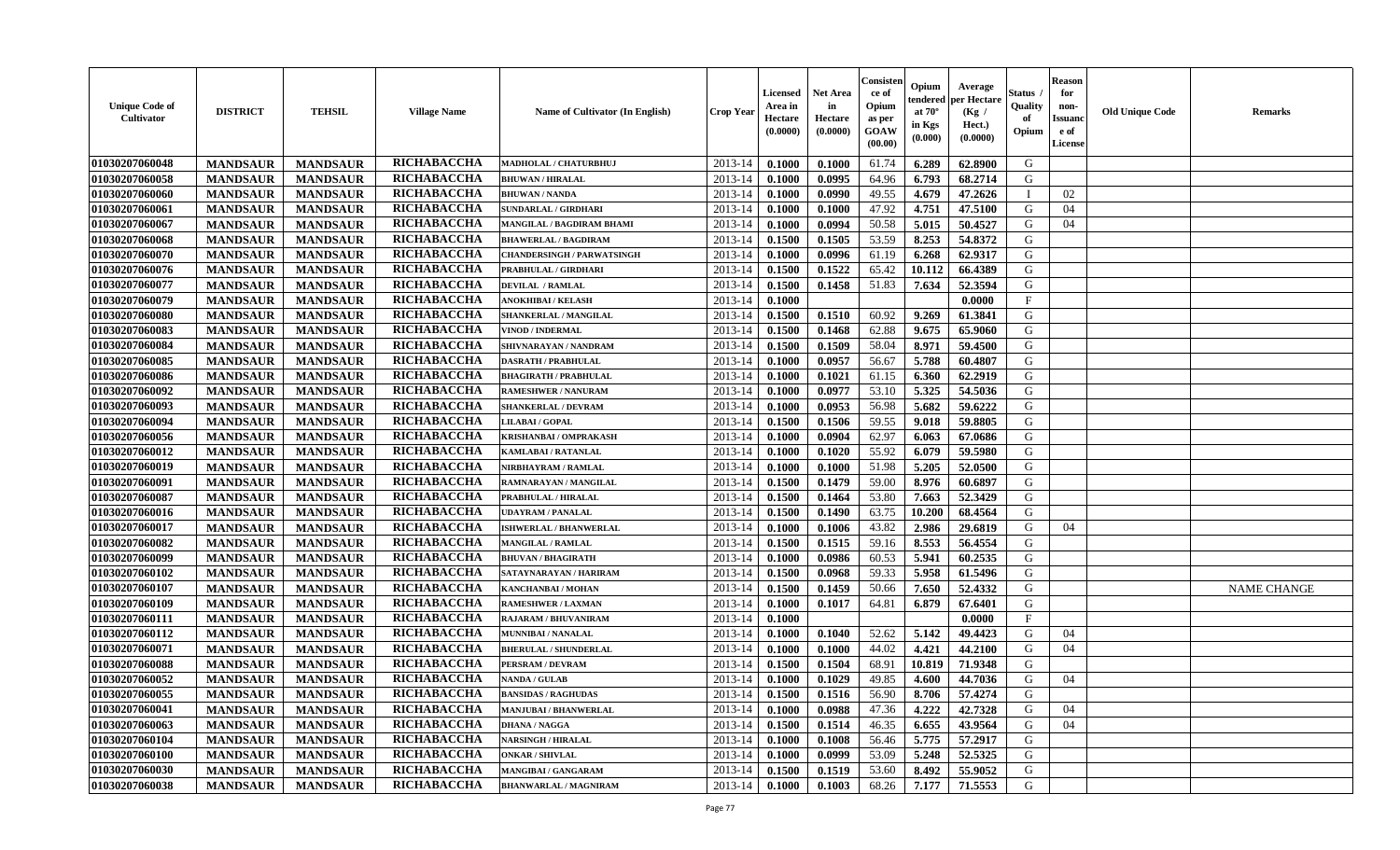| <b>Unique Code of</b><br><b>Cultivator</b> | <b>DISTRICT</b> | <b>TEHSIL</b>   | <b>Village Name</b> | Name of Cultivator (In English)   | <b>Crop Year</b> | <b>Licensed</b><br>Area in<br>Hectare<br>(0.0000) | <b>Net Area</b><br>in<br>Hectare<br>(0.0000) | Consisteı<br>ce of<br>Opium<br>as per<br><b>GOAW</b><br>(00.00) | Opium<br>endered<br>at $70^\circ$<br>in Kgs<br>$(\mathbf{0.000})$ | Average<br>per Hectare<br>(Kg /<br>Hect.)<br>(0.0000) | Status<br>Quality<br>of<br>Opium | Reason<br>for<br>non-<br>Issuan<br>e of<br><b>License</b> | <b>Old Unique Code</b> | <b>Remarks</b>     |
|--------------------------------------------|-----------------|-----------------|---------------------|-----------------------------------|------------------|---------------------------------------------------|----------------------------------------------|-----------------------------------------------------------------|-------------------------------------------------------------------|-------------------------------------------------------|----------------------------------|-----------------------------------------------------------|------------------------|--------------------|
| 01030207060048                             | <b>MANDSAUR</b> | <b>MANDSAUR</b> | RICHABACCHA         | MADHOLAL / CHATURBHUJ             | 2013-14          | 0.1000                                            | 0.1000                                       | 61.74                                                           | 6.289                                                             | 62.8900                                               | G                                |                                                           |                        |                    |
| 01030207060058                             | <b>MANDSAUR</b> | <b>MANDSAUR</b> | RICHABACCHA         | <b>BHUWAN / HIRALAL</b>           | 2013-14          | 0.1000                                            | 0.0995                                       | 64.96                                                           | 6.793                                                             | 68.2714                                               | G                                |                                                           |                        |                    |
| 01030207060060                             | <b>MANDSAUR</b> | <b>MANDSAUR</b> | RICHABACCHA         | <b>BHUWAN / NANDA</b>             | 2013-14          | 0.1000                                            | 0.0990                                       | 49.55                                                           | 4.679                                                             | 47.2626                                               | $\blacksquare$                   | 02                                                        |                        |                    |
| 01030207060061                             | <b>MANDSAUR</b> | <b>MANDSAUR</b> | RICHABACCHA         | <b>SUNDARLAL / GIRDHARI</b>       | 2013-14          | 0.1000                                            | 0.1000                                       | 47.92                                                           | 4.751                                                             | 47.5100                                               | G                                | 04                                                        |                        |                    |
| 01030207060067                             | <b>MANDSAUR</b> | <b>MANDSAUR</b> | RICHABACCHA         | MANGILAL / BAGDIRAM BHAMI         | 2013-14          | 0.1000                                            | 0.0994                                       | 50.58                                                           | 5.015                                                             | 50.4527                                               | G                                | 04                                                        |                        |                    |
| 01030207060068                             | <b>MANDSAUR</b> | <b>MANDSAUR</b> | RICHABACCHA         | <b>BHAWERLAL / BAGDIRAM</b>       | 2013-14          | 0.1500                                            | 0.1505                                       | 53.59                                                           | 8.253                                                             | 54.8372                                               | G                                |                                                           |                        |                    |
| 01030207060070                             | <b>MANDSAUR</b> | <b>MANDSAUR</b> | RICHABACCHA         | <b>CHANDERSINGH / PARWATSINGH</b> | 2013-14          | 0.1000                                            | 0.0996                                       | 61.19                                                           | 6.268                                                             | 62.9317                                               | G                                |                                                           |                        |                    |
| 01030207060076                             | <b>MANDSAUR</b> | <b>MANDSAUR</b> | RICHABACCHA         | PRABHULAL / GIRDHARI              | 2013-14          | 0.1500                                            | 0.1522                                       | 65.42                                                           | 10.112                                                            | 66.4389                                               | G                                |                                                           |                        |                    |
| 01030207060077                             | <b>MANDSAUR</b> | <b>MANDSAUR</b> | RICHABACCHA         | <b>DEVILAL / RAMLAL</b>           | 2013-14          | 0.1500                                            | 0.1458                                       | 51.83                                                           | 7.634                                                             | 52.3594                                               | G                                |                                                           |                        |                    |
| 01030207060079                             | <b>MANDSAUR</b> | <b>MANDSAUR</b> | RICHABACCHA         | <b>ANOKHIBAI / KELASH</b>         | 2013-14          | 0.1000                                            |                                              |                                                                 |                                                                   | 0.0000                                                | $\mathbf{F}$                     |                                                           |                        |                    |
| 01030207060080                             | <b>MANDSAUR</b> | <b>MANDSAUR</b> | RICHABACCHA         | SHANKERLAL / MANGILAL             | 2013-14          | 0.1500                                            | 0.1510                                       | 60.92                                                           | 9.269                                                             | 61.3841                                               | G                                |                                                           |                        |                    |
| 01030207060083                             | <b>MANDSAUR</b> | <b>MANDSAUR</b> | RICHABACCHA         | <b>VINOD / INDERMAL</b>           | 2013-14          | 0.1500                                            | 0.1468                                       | 62.88                                                           | 9.675                                                             | 65.9060                                               | G                                |                                                           |                        |                    |
| 01030207060084                             | <b>MANDSAUR</b> | <b>MANDSAUR</b> | RICHABACCHA         | SHIVNARAYAN / NANDRAM             | 2013-14          | 0.1500                                            | 0.1509                                       | 58.04                                                           | 8.971                                                             | 59.4500                                               | G                                |                                                           |                        |                    |
| 01030207060085                             | <b>MANDSAUR</b> | <b>MANDSAUR</b> | RICHABACCHA         | <b>DASRATH / PRABHULAL</b>        | 2013-14          | 0.1000                                            | 0.0957                                       | 56.67                                                           | 5.788                                                             | 60.4807                                               | G                                |                                                           |                        |                    |
| 01030207060086                             | <b>MANDSAUR</b> | <b>MANDSAUR</b> | RICHABACCHA         | <b>BHAGIRATH / PRABHULAL</b>      | 2013-14          | 0.1000                                            | 0.1021                                       | 61.15                                                           | 6.360                                                             | 62.2919                                               | G                                |                                                           |                        |                    |
| 01030207060092                             | <b>MANDSAUR</b> | <b>MANDSAUR</b> | RICHABACCHA         | <b>RAMESHWER / NANURAM</b>        | 2013-14          | 0.1000                                            | 0.0977                                       | 53.10                                                           | 5.325                                                             | 54.5036                                               | G                                |                                                           |                        |                    |
| 01030207060093                             | <b>MANDSAUR</b> | <b>MANDSAUR</b> | RICHABACCHA         | <b>SHANKERLAL / DEVRAM</b>        | 2013-14          | 0.1000                                            | 0.0953                                       | 56.98                                                           | 5.682                                                             | 59.6222                                               | G                                |                                                           |                        |                    |
| 01030207060094                             | <b>MANDSAUR</b> | <b>MANDSAUR</b> | RICHABACCHA         | LILABAI / GOPAL                   | 2013-14          | 0.1500                                            | 0.1506                                       | 59.55                                                           | 9.018                                                             | 59.8805                                               | G                                |                                                           |                        |                    |
| 01030207060056                             | <b>MANDSAUR</b> | <b>MANDSAUR</b> | RICHABACCHA         | <b>KRISHANBAI / OMPRAKASH</b>     | 2013-14          | 0.1000                                            | 0.0904                                       | 62.97                                                           | 6.063                                                             | 67.0686                                               | G                                |                                                           |                        |                    |
| 01030207060012                             | <b>MANDSAUR</b> | <b>MANDSAUR</b> | RICHABACCHA         | KAMLABAI / RATANLAL               | 2013-14          | 0.1000                                            | 0.1020                                       | 55.92                                                           | 6.079                                                             | 59.5980                                               | G                                |                                                           |                        |                    |
| 01030207060019                             | <b>MANDSAUR</b> | <b>MANDSAUR</b> | RICHABACCHA         | NIRBHAYRAM / RAMLAL               | 2013-14          | 0.1000                                            | 0.1000                                       | 51.98                                                           | 5.205                                                             | 52.0500                                               | G                                |                                                           |                        |                    |
| 01030207060091                             | <b>MANDSAUR</b> | <b>MANDSAUR</b> | RICHABACCHA         | RAMNARAYAN / MANGILAL             | 2013-14          | 0.1500                                            | 0.1479                                       | 59.00                                                           | 8.976                                                             | 60.6897                                               | G                                |                                                           |                        |                    |
| 01030207060087                             | <b>MANDSAUR</b> | <b>MANDSAUR</b> | RICHABACCHA         | PRABHULAL / HIRALAL               | 2013-14          | 0.1500                                            | 0.1464                                       | 53.80                                                           | 7.663                                                             | 52.3429                                               | G                                |                                                           |                        |                    |
| 01030207060016                             | <b>MANDSAUR</b> | <b>MANDSAUR</b> | RICHABACCHA         | UDAYRAM / PANALAL                 | 2013-14          | 0.1500                                            | 0.1490                                       | 63.75                                                           | 10.200                                                            | 68.4564                                               | G                                |                                                           |                        |                    |
| 01030207060017                             | <b>MANDSAUR</b> | <b>MANDSAUR</b> | RICHABACCHA         | <b>ISHWERLAL / BHANWERLAL</b>     | 2013-14          | 0.1000                                            | 0.1006                                       | 43.82                                                           | 2.986                                                             | 29.6819                                               | G                                | 04                                                        |                        |                    |
| 01030207060082                             | <b>MANDSAUR</b> | <b>MANDSAUR</b> | RICHABACCHA         | <b>MANGILAL / RAMLAL</b>          | 2013-14          | 0.1500                                            | 0.1515                                       | 59.16                                                           | 8.553                                                             | 56.4554                                               | G                                |                                                           |                        |                    |
| 01030207060099                             | <b>MANDSAUR</b> | <b>MANDSAUR</b> | RICHABACCHA         | <b>BHUVAN / BHAGIRATH</b>         | 2013-14          | 0.1000                                            | 0.0986                                       | 60.53                                                           | 5.941                                                             | 60.2535                                               | G                                |                                                           |                        |                    |
| 01030207060102                             | <b>MANDSAUR</b> | <b>MANDSAUR</b> | RICHABACCHA         | SATAYNARAYAN / HARIRAM            | 2013-14          | 0.1500                                            | 0.0968                                       | 59.33                                                           | 5.958                                                             | 61.5496                                               | G                                |                                                           |                        |                    |
| 01030207060107                             | <b>MANDSAUR</b> | <b>MANDSAUR</b> | RICHABACCHA         | <b>KANCHANBAI / MOHAN</b>         | 2013-14          | 0.1500                                            | 0.1459                                       | 50.66                                                           | 7.650                                                             | 52.4332                                               | G                                |                                                           |                        | <b>NAME CHANGE</b> |
| 01030207060109                             | <b>MANDSAUR</b> | <b>MANDSAUR</b> | RICHABACCHA         | <b>RAMESHWER / LAXMAN</b>         | 2013-14          | 0.1000                                            | 0.1017                                       | 64.81                                                           | 6.879                                                             | 67.6401                                               | G                                |                                                           |                        |                    |
| 01030207060111                             | <b>MANDSAUR</b> | <b>MANDSAUR</b> | RICHABACCHA         | RAJARAM / BHUVANIRAM              | 2013-14          | 0.1000                                            |                                              |                                                                 |                                                                   | 0.0000                                                | $_{\rm F}$                       |                                                           |                        |                    |
| 01030207060112                             | <b>MANDSAUR</b> | <b>MANDSAUR</b> | RICHABACCHA         | MUNNIBAI / NANALAL                | 2013-14          | 0.1000                                            | 0.1040                                       | 52.62                                                           | 5.142                                                             | 49.4423                                               | G                                | 04                                                        |                        |                    |
| 01030207060071                             | <b>MANDSAUR</b> | <b>MANDSAUR</b> | RICHABACCHA         | <b>BHERULAL / SHUNDERLAL</b>      | 2013-14          | 0.1000                                            | 0.1000                                       | 44.02                                                           | 4.421                                                             | 44.2100                                               | G                                | 04                                                        |                        |                    |
| 01030207060088                             | <b>MANDSAUR</b> | <b>MANDSAUR</b> | RICHABACCHA         | PERSRAM / DEVRAM                  | 2013-14          | 0.1500                                            | 0.1504                                       | 68.91                                                           | 10.819                                                            | 71.9348                                               | G                                |                                                           |                        |                    |
| 01030207060052                             | <b>MANDSAUR</b> | <b>MANDSAUR</b> | <b>RICHABACCHA</b>  | <b>NANDA / GULAB</b>              | 2013-14          | 0.1000                                            | 0.1029                                       | 49.85                                                           | 4.600                                                             | 44.7036                                               | G                                | 04                                                        |                        |                    |
| 01030207060055                             | <b>MANDSAUR</b> | <b>MANDSAUR</b> | RICHABACCHA         | <b>BANSIDAS / RAGHUDAS</b>        | $2013-14$ 0.1500 |                                                   | 0.1516                                       | 56.90                                                           |                                                                   | 8.706 57.4274                                         | G                                |                                                           |                        |                    |
| 01030207060041                             | <b>MANDSAUR</b> | <b>MANDSAUR</b> | RICHABACCHA         | <b>MANJUBAI / BHANWERLAL</b>      | 2013-14          | 0.1000                                            | 0.0988                                       | 47.36                                                           | 4.222                                                             | 42.7328                                               | G                                | 04                                                        |                        |                    |
| 01030207060063                             | <b>MANDSAUR</b> | <b>MANDSAUR</b> | <b>RICHABACCHA</b>  | <b>DHANA / NAGGA</b>              | 2013-14          | 0.1500                                            | 0.1514                                       | 46.35                                                           | 6.655                                                             | 43.9564                                               | G                                | 04                                                        |                        |                    |
| 01030207060104                             | <b>MANDSAUR</b> | <b>MANDSAUR</b> | <b>RICHABACCHA</b>  | <b>NARSINGH / HIRALAL</b>         | 2013-14          | 0.1000                                            | 0.1008                                       | 56.46                                                           | 5.775                                                             | 57.2917                                               | G                                |                                                           |                        |                    |
| 01030207060100                             | <b>MANDSAUR</b> | <b>MANDSAUR</b> | <b>RICHABACCHA</b>  | <b>ONKAR / SHIVLAL</b>            | 2013-14          | 0.1000                                            | 0.0999                                       | 53.09                                                           | 5.248                                                             | 52.5325                                               | G                                |                                                           |                        |                    |
| 01030207060030                             | <b>MANDSAUR</b> | <b>MANDSAUR</b> | <b>RICHABACCHA</b>  | MANGIBAI / GANGARAM               | 2013-14          | 0.1500                                            | 0.1519                                       | 53.60                                                           | 8.492                                                             | 55.9052                                               | G                                |                                                           |                        |                    |
| 01030207060038                             | <b>MANDSAUR</b> | <b>MANDSAUR</b> | <b>RICHABACCHA</b>  | <b>BHANWARLAL / MAGNIRAM</b>      | 2013-14          | 0.1000                                            | 0.1003                                       | 68.26                                                           | 7.177                                                             | 71.5553                                               | G                                |                                                           |                        |                    |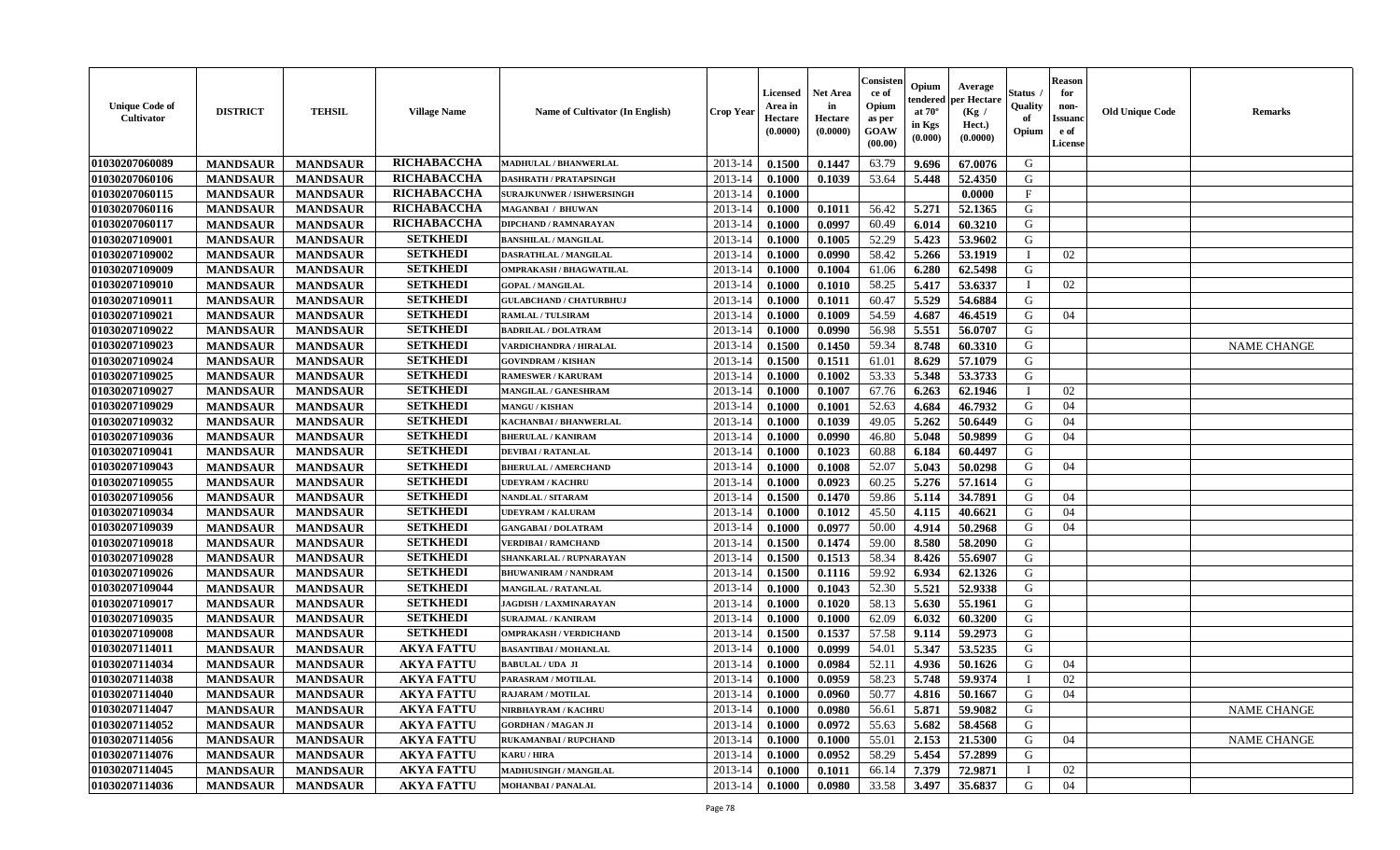| <b>Unique Code of</b><br>Cultivator | <b>DISTRICT</b> | <b>TEHSIL</b>   | <b>Village Name</b> | Name of Cultivator (In English)  | <b>Crop Year</b> | <b>Licensed</b><br>Area in<br>Hectare<br>(0.0000) | <b>Net Area</b><br>in<br>Hectare<br>(0.0000) | Consisteı<br>ce of<br>Opium<br>as per<br>GOAW<br>(00.00) | Opium<br>endered<br>at 70°<br>in Kgs<br>(0.000) | Average<br>er Hectare<br>(Kg /<br>Hect.)<br>(0.0000) | Status<br>Quality<br>of<br>Opium | <b>Reason</b><br>for<br>non-<br><b>Issuand</b><br>e of<br>License | <b>Old Unique Code</b> | Remarks            |
|-------------------------------------|-----------------|-----------------|---------------------|----------------------------------|------------------|---------------------------------------------------|----------------------------------------------|----------------------------------------------------------|-------------------------------------------------|------------------------------------------------------|----------------------------------|-------------------------------------------------------------------|------------------------|--------------------|
| 01030207060089                      | <b>MANDSAUR</b> | <b>MANDSAUR</b> | RICHABACCHA         | MADHULAL / BHANWERLAL            | 2013-14          | 0.1500                                            | 0.1447                                       | 63.79                                                    | 9.696                                           | 67.0076                                              | G                                |                                                                   |                        |                    |
| 01030207060106                      | <b>MANDSAUR</b> | <b>MANDSAUR</b> | RICHABACCHA         | <b>DASHRATH / PRATAPSINGH</b>    | 2013-14          | 0.1000                                            | 0.1039                                       | 53.64                                                    | 5.448                                           | 52.4350                                              | G                                |                                                                   |                        |                    |
| 01030207060115                      | <b>MANDSAUR</b> | <b>MANDSAUR</b> | RICHABACCHA         | <b>SURAJKUNWER / ISHWERSINGH</b> | 2013-14          | 0.1000                                            |                                              |                                                          |                                                 | 0.0000                                               | $_{\rm F}$                       |                                                                   |                        |                    |
| 01030207060116                      | <b>MANDSAUR</b> | <b>MANDSAUR</b> | RICHABACCHA         | MAGANBAI / BHUWAN                | 2013-14          | 0.1000                                            | 0.1011                                       | 56.42                                                    | 5.271                                           | 52.1365                                              | G                                |                                                                   |                        |                    |
| 01030207060117                      | <b>MANDSAUR</b> | <b>MANDSAUR</b> | RICHABACCHA         | <b>DIPCHAND / RAMNARAYAN</b>     | 2013-14          | 0.1000                                            | 0.0997                                       | 60.49                                                    | 6.014                                           | 60.3210                                              | G                                |                                                                   |                        |                    |
| 01030207109001                      | <b>MANDSAUR</b> | <b>MANDSAUR</b> | <b>SETKHEDI</b>     | <b>BANSHILAL / MANGILAL</b>      | 2013-14          | 0.1000                                            | 0.1005                                       | 52.29                                                    | 5.423                                           | 53.9602                                              | G                                |                                                                   |                        |                    |
| 01030207109002                      | <b>MANDSAUR</b> | <b>MANDSAUR</b> | <b>SETKHEDI</b>     | DASRATHLAL / MANGILAL            | 2013-14          | 0.1000                                            | 0.0990                                       | 58.42                                                    | 5.266                                           | 53.1919                                              |                                  | 02                                                                |                        |                    |
| 01030207109009                      | <b>MANDSAUR</b> | <b>MANDSAUR</b> | <b>SETKHEDI</b>     | OMPRAKASH / BHAGWATILAL          | 2013-14          | 0.1000                                            | 0.1004                                       | 61.06                                                    | 6.280                                           | 62.5498                                              | G                                |                                                                   |                        |                    |
| 01030207109010                      | <b>MANDSAUR</b> | <b>MANDSAUR</b> | <b>SETKHEDI</b>     | <b>GOPAL / MANGILAL</b>          | 2013-14          | 0.1000                                            | 0.1010                                       | 58.25                                                    | 5.417                                           | 53.6337                                              | I                                | 02                                                                |                        |                    |
| 01030207109011                      | <b>MANDSAUR</b> | <b>MANDSAUR</b> | <b>SETKHEDI</b>     | <b>GULABCHAND / CHATURBHUJ</b>   | 2013-14          | 0.1000                                            | 0.1011                                       | 60.47                                                    | 5.529                                           | 54.6884                                              | G                                |                                                                   |                        |                    |
| 01030207109021                      | <b>MANDSAUR</b> | <b>MANDSAUR</b> | <b>SETKHEDI</b>     | RAMLAL / TULSIRAM                | 2013-14          | 0.1000                                            | 0.1009                                       | 54.59                                                    | 4.687                                           | 46.4519                                              | G                                | 04                                                                |                        |                    |
| 01030207109022                      | <b>MANDSAUR</b> | <b>MANDSAUR</b> | <b>SETKHEDI</b>     | <b>BADRILAL / DOLATRAM</b>       | 2013-14          | 0.1000                                            | 0.0990                                       | 56.98                                                    | 5.551                                           | 56.0707                                              | G                                |                                                                   |                        |                    |
| 01030207109023                      | <b>MANDSAUR</b> | <b>MANDSAUR</b> | <b>SETKHEDI</b>     | VARDICHANDRA / HIRALAL           | 2013-14          | 0.1500                                            | 0.1450                                       | 59.34                                                    | 8.748                                           | 60.3310                                              | G                                |                                                                   |                        | <b>NAME CHANGE</b> |
| 01030207109024                      | <b>MANDSAUR</b> | <b>MANDSAUR</b> | <b>SETKHEDI</b>     | <b>GOVINDRAM / KISHAN</b>        | 2013-14          | 0.1500                                            | 0.1511                                       | 61.01                                                    | 8.629                                           | 57.1079                                              | G                                |                                                                   |                        |                    |
| 01030207109025                      | <b>MANDSAUR</b> | <b>MANDSAUR</b> | <b>SETKHEDI</b>     | <b>RAMESWER / KARURAM</b>        | 2013-14          | 0.1000                                            | 0.1002                                       | 53.33                                                    | 5.348                                           | 53.3733                                              | $\mathbf G$                      |                                                                   |                        |                    |
| 01030207109027                      | <b>MANDSAUR</b> | <b>MANDSAUR</b> | <b>SETKHEDI</b>     | MANGILAL / GANESHRAM             | 2013-14          | 0.1000                                            | 0.1007                                       | 67.76                                                    | 6.263                                           | 62.1946                                              | - 1                              | 02                                                                |                        |                    |
| 01030207109029                      | <b>MANDSAUR</b> | <b>MANDSAUR</b> | <b>SETKHEDI</b>     | <b>MANGU / KISHAN</b>            | 2013-14          | 0.1000                                            | 0.1001                                       | 52.63                                                    | 4.684                                           | 46.7932                                              | G                                | 04                                                                |                        |                    |
| 01030207109032                      | <b>MANDSAUR</b> | <b>MANDSAUR</b> | <b>SETKHEDI</b>     | KACHANBAI / BHANWERLAL           | 2013-14          | 0.1000                                            | 0.1039                                       | 49.05                                                    | 5.262                                           | 50.6449                                              | G                                | 04                                                                |                        |                    |
| 01030207109036                      | <b>MANDSAUR</b> | <b>MANDSAUR</b> | <b>SETKHEDI</b>     | <b>BHERULAL / KANIRAM</b>        | 2013-14          | 0.1000                                            | 0.0990                                       | 46.80                                                    | 5.048                                           | 50.9899                                              | G                                | 04                                                                |                        |                    |
| 01030207109041                      | <b>MANDSAUR</b> | <b>MANDSAUR</b> | <b>SETKHEDI</b>     | <b>DEVIBAI/RATANLAL</b>          | 2013-14          | 0.1000                                            | 0.1023                                       | 60.88                                                    | 6.184                                           | 60.4497                                              | G                                |                                                                   |                        |                    |
| 01030207109043                      | <b>MANDSAUR</b> | <b>MANDSAUR</b> | <b>SETKHEDI</b>     | <b>BHERULAL / AMERCHAND</b>      | 2013-14          | 0.1000                                            | 0.1008                                       | 52.07                                                    | 5.043                                           | 50.0298                                              | G                                | 04                                                                |                        |                    |
| 01030207109055                      | <b>MANDSAUR</b> | <b>MANDSAUR</b> | <b>SETKHEDI</b>     | <b>UDEYRAM / KACHRU</b>          | 2013-14          | 0.1000                                            | 0.0923                                       | 60.25                                                    | 5.276                                           | 57.1614                                              | G                                |                                                                   |                        |                    |
| 01030207109056                      | <b>MANDSAUR</b> | <b>MANDSAUR</b> | <b>SETKHEDI</b>     | <b>NANDLAL / SITARAM</b>         | 2013-14          | 0.1500                                            | 0.1470                                       | 59.86                                                    | 5.114                                           | 34.7891                                              | G                                | 04                                                                |                        |                    |
| 01030207109034                      | <b>MANDSAUR</b> | <b>MANDSAUR</b> | <b>SETKHEDI</b>     | UDEYRAM / KALURAM                | 2013-14          | 0.1000                                            | 0.1012                                       | 45.50                                                    | 4.115                                           | 40.6621                                              | G                                | 04                                                                |                        |                    |
| 01030207109039                      | <b>MANDSAUR</b> | <b>MANDSAUR</b> | <b>SETKHEDI</b>     | <b>GANGABAI/DOLATRAM</b>         | 2013-14          | 0.1000                                            | 0.0977                                       | 50.00                                                    | 4.914                                           | 50.2968                                              | G                                | 04                                                                |                        |                    |
| 01030207109018                      | <b>MANDSAUR</b> | <b>MANDSAUR</b> | <b>SETKHEDI</b>     | <b>VERDIBAI / RAMCHAND</b>       | 2013-14          | 0.1500                                            | 0.1474                                       | 59.00                                                    | 8.580                                           | 58.2090                                              | G                                |                                                                   |                        |                    |
| 01030207109028                      | <b>MANDSAUR</b> | <b>MANDSAUR</b> | <b>SETKHEDI</b>     | SHANKARLAL / RUPNARAYAN          | 2013-14          | 0.1500                                            | 0.1513                                       | 58.34                                                    | 8.426                                           | 55.6907                                              | G                                |                                                                   |                        |                    |
| 01030207109026                      | <b>MANDSAUR</b> | <b>MANDSAUR</b> | <b>SETKHEDI</b>     | <b>BHUWANIRAM / NANDRAM</b>      | 2013-14          | 0.1500                                            | 0.1116                                       | 59.92                                                    | 6.934                                           | 62.1326                                              | G                                |                                                                   |                        |                    |
| 01030207109044                      | <b>MANDSAUR</b> | <b>MANDSAUR</b> | <b>SETKHEDI</b>     | <b>MANGILAL / RATANLAL</b>       | 2013-14          | 0.1000                                            | 0.1043                                       | 52.30                                                    | 5.521                                           | 52.9338                                              | G                                |                                                                   |                        |                    |
| 01030207109017                      | <b>MANDSAUR</b> | <b>MANDSAUR</b> | <b>SETKHEDI</b>     | <b>JAGDISH / LAXMINARAYAN</b>    | 2013-14          | 0.1000                                            | 0.1020                                       | 58.13                                                    | 5.630                                           | 55.1961                                              | G                                |                                                                   |                        |                    |
| 01030207109035                      | <b>MANDSAUR</b> | <b>MANDSAUR</b> | <b>SETKHEDI</b>     | <b>SURAJMAL / KANIRAM</b>        | 2013-14          | 0.1000                                            | 0.1000                                       | 62.09                                                    | 6.032                                           | 60.3200                                              | G                                |                                                                   |                        |                    |
| 01030207109008                      | <b>MANDSAUR</b> | <b>MANDSAUR</b> | <b>SETKHEDI</b>     | <b>OMPRAKASH / VERDICHAND</b>    | 2013-14          | 0.1500                                            | 0.1537                                       | 57.58                                                    | 9.114                                           | 59.2973                                              | G                                |                                                                   |                        |                    |
| 01030207114011                      | <b>MANDSAUR</b> | <b>MANDSAUR</b> | <b>AKYA FATTU</b>   | <b>BASANTIBAI / MOHANLAL</b>     | 2013-14          | 0.1000                                            | 0.0999                                       | 54.01                                                    | 5.347                                           | 53.5235                                              | G                                |                                                                   |                        |                    |
| 01030207114034                      | <b>MANDSAUR</b> | <b>MANDSAUR</b> | <b>AKYA FATTU</b>   | <b>BABULAL / UDA JI</b>          | 2013-14          | 0.1000                                            | 0.0984                                       | 52.11                                                    | 4.936                                           | 50.1626                                              | G                                | 04                                                                |                        |                    |
| 01030207114038                      | <b>MANDSAUR</b> | <b>MANDSAUR</b> | <b>AKYA FATTU</b>   | PARASRAM / MOTILAL               | 2013-14          | 0.1000                                            | 0.0959                                       | 58.23                                                    | 5.748                                           | 59.9374                                              | $\mathbf{I}$                     | 02                                                                |                        |                    |
| 01030207114040                      | <b>MANDSAUR</b> | <b>MANDSAUR</b> | <b>AKYA FATTU</b>   | RAJARAM / MOTILAL                | 2013-14          | 0.1000                                            | 0.0960                                       | 50.77                                                    | 4.816                                           | 50.1667                                              | G                                | 04                                                                |                        |                    |
| 01030207114047                      | <b>MANDSAUR</b> | <b>MANDSAUR</b> | <b>AKYA FATTU</b>   | NIRBHAYRAM / KACHRU              | 2013-14          | 0.1000                                            | 0.0980                                       | 56.61                                                    | 5.871                                           | 59.9082                                              | G                                |                                                                   |                        | <b>NAME CHANGE</b> |
| 01030207114052                      | <b>MANDSAUR</b> | <b>MANDSAUR</b> | <b>AKYA FATTU</b>   | <b>GORDHAN / MAGAN JI</b>        | 2013-14          | 0.1000                                            | 0.0972                                       | 55.63                                                    | 5.682                                           | 58.4568                                              | G                                |                                                                   |                        |                    |
| 01030207114056                      | <b>MANDSAUR</b> | <b>MANDSAUR</b> | <b>AKYA FATTU</b>   | RUKAMANBAI / RUPCHAND            | 2013-14          | 0.1000                                            | 0.1000                                       | 55.01                                                    | 2.153                                           | 21.5300                                              | G                                | 04                                                                |                        | <b>NAME CHANGE</b> |
| 01030207114076                      | <b>MANDSAUR</b> | <b>MANDSAUR</b> | <b>AKYA FATTU</b>   | KARU / HIRA                      | 2013-14          | 0.1000                                            | 0.0952                                       | 58.29                                                    | 5.454                                           | 57.2899                                              | $\mathbf G$                      |                                                                   |                        |                    |
| 01030207114045                      | <b>MANDSAUR</b> | <b>MANDSAUR</b> | <b>AKYA FATTU</b>   | <b>MADHUSINGH / MANGILAL</b>     | 2013-14          | 0.1000                                            | 0.1011                                       | 66.14                                                    | 7.379                                           | 72.9871                                              |                                  | 02                                                                |                        |                    |
| 01030207114036                      | <b>MANDSAUR</b> | <b>MANDSAUR</b> | <b>AKYA FATTU</b>   | <b>MOHANBAI/PANALAL</b>          | 2013-14          | 0.1000                                            | 0.0980                                       | 33.58                                                    | 3.497                                           | 35.6837                                              | G                                | 04                                                                |                        |                    |
|                                     |                 |                 |                     |                                  |                  |                                                   |                                              |                                                          |                                                 |                                                      |                                  |                                                                   |                        |                    |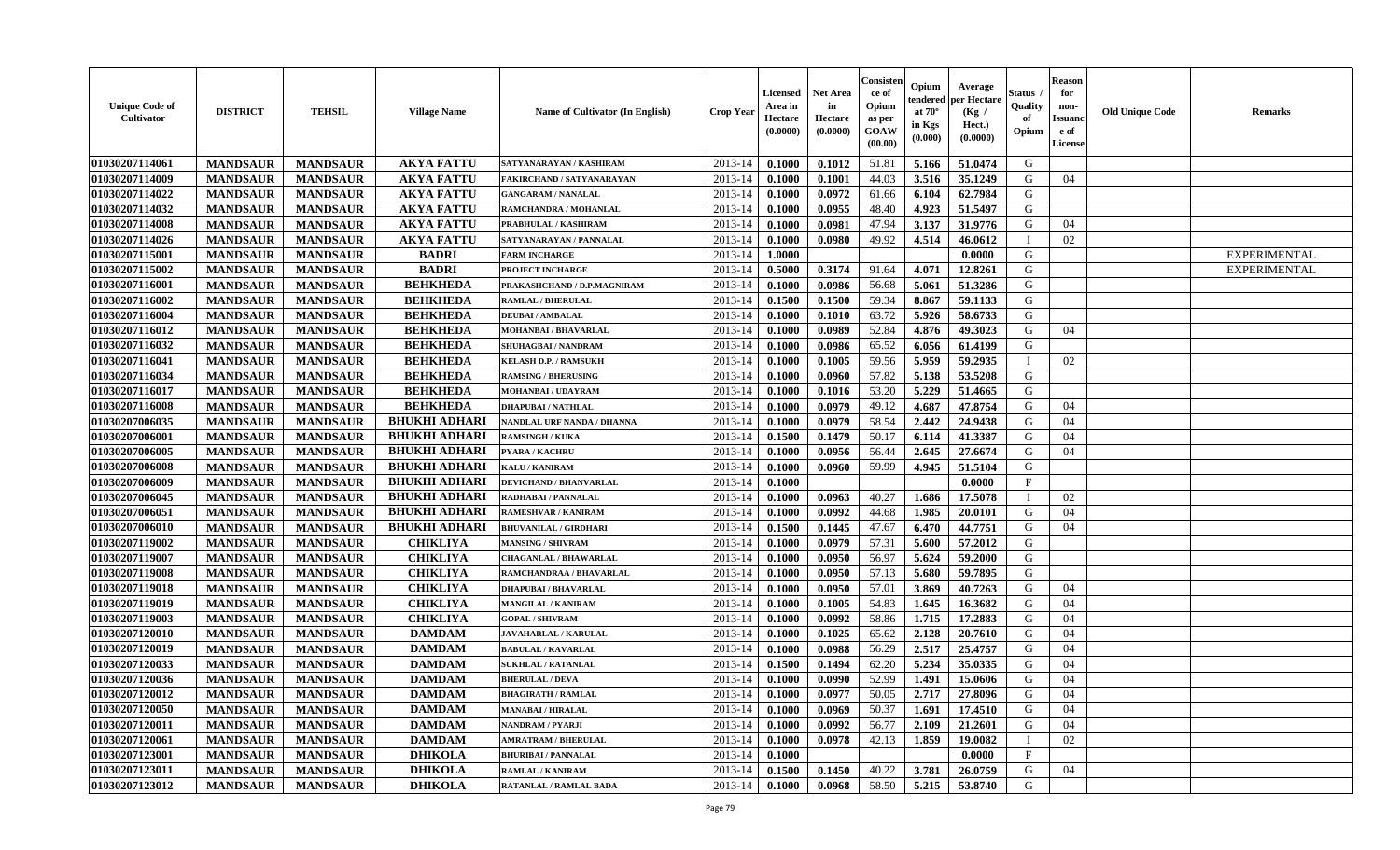| <b>Unique Code of</b><br>Cultivator | <b>DISTRICT</b> | <b>TEHSIL</b>   | <b>Village Name</b>  | <b>Name of Cultivator (In English)</b> | <b>Crop Year</b> | Licensed<br>Area in<br>Hectare<br>(0.0000) | <b>Net Area</b><br>in<br>Hectare<br>(0.0000) | Consisten<br>ce of<br>Opium<br>as per<br>GOAW<br>(00.00) | Opium<br>tendered<br>at $70^\circ$<br>in Kgs<br>(0.000) | Average<br>per Hectare<br>(Kg)<br>Hect.)<br>(0.0000) | Status<br>Quality<br>of<br>Opium | Reason<br>for<br>non-<br>Issuanc<br>e of<br>License | <b>Old Unique Code</b> | <b>Remarks</b>      |
|-------------------------------------|-----------------|-----------------|----------------------|----------------------------------------|------------------|--------------------------------------------|----------------------------------------------|----------------------------------------------------------|---------------------------------------------------------|------------------------------------------------------|----------------------------------|-----------------------------------------------------|------------------------|---------------------|
| 01030207114061                      | <b>MANDSAUR</b> | <b>MANDSAUR</b> | <b>AKYA FATTU</b>    | SATYANARAYAN / KASHIRAM                | 2013-14          | 0.1000                                     | 0.1012                                       | 51.81                                                    | 5.166                                                   | 51.0474                                              | G                                |                                                     |                        |                     |
| 01030207114009                      | <b>MANDSAUR</b> | <b>MANDSAUR</b> | <b>AKYA FATTU</b>    | FAKIRCHAND / SATYANARAYAN              | 2013-14          | 0.1000                                     | 0.1001                                       | 44.03                                                    | 3.516                                                   | 35.1249                                              | G                                | 04                                                  |                        |                     |
| 01030207114022                      | <b>MANDSAUR</b> | <b>MANDSAUR</b> | <b>AKYA FATTU</b>    | <b>GANGARAM / NANALAL</b>              | 2013-14          | 0.1000                                     | 0.0972                                       | 61.66                                                    | 6.104                                                   | 62.7984                                              | G                                |                                                     |                        |                     |
| 01030207114032                      | <b>MANDSAUR</b> | <b>MANDSAUR</b> | <b>AKYA FATTU</b>    | RAMCHANDRA / MOHANLAL                  | 2013-14          | 0.1000                                     | 0.0955                                       | 48.40                                                    | 4.923                                                   | 51.5497                                              | G                                |                                                     |                        |                     |
| 01030207114008                      | <b>MANDSAUR</b> | <b>MANDSAUR</b> | <b>AKYA FATTU</b>    | PRABHULAL / KASHIRAM                   | 2013-14          | 0.1000                                     | 0.0981                                       | 47.94                                                    | 3.137                                                   | 31.9776                                              | G                                | 04                                                  |                        |                     |
| 01030207114026                      | <b>MANDSAUR</b> | <b>MANDSAUR</b> | <b>AKYA FATTU</b>    | SATYANARAYAN / PANNALAL                | 2013-14          | 0.1000                                     | 0.0980                                       | 49.92                                                    | 4.514                                                   | 46.0612                                              |                                  | 02                                                  |                        |                     |
| 01030207115001                      | <b>MANDSAUR</b> | <b>MANDSAUR</b> | <b>BADRI</b>         | <b>FARM INCHARGE</b>                   | 2013-14          | 1.0000                                     |                                              |                                                          |                                                         | 0.0000                                               | G                                |                                                     |                        | <b>EXPERIMENTAL</b> |
| 01030207115002                      | <b>MANDSAUR</b> | <b>MANDSAUR</b> | <b>BADRI</b>         | PROJECT INCHARGE                       | 2013-14          | 0.5000                                     | 0.3174                                       | 91.64                                                    | 4.071                                                   | 12.8261                                              | G                                |                                                     |                        | <b>EXPERIMENTAL</b> |
| 01030207116001                      | <b>MANDSAUR</b> | <b>MANDSAUR</b> | <b>BEHKHEDA</b>      | PRAKASHCHAND / D.P.MAGNIRAM            | 2013-14          | 0.1000                                     | 0.0986                                       | 56.68                                                    | 5.061                                                   | 51.3286                                              | G                                |                                                     |                        |                     |
| 01030207116002                      | <b>MANDSAUR</b> | <b>MANDSAUR</b> | <b>BEHKHEDA</b>      | <b>RAMLAL / BHERULAL</b>               | 2013-14          | 0.1500                                     | 0.1500                                       | 59.34                                                    | 8.867                                                   | 59.1133                                              | G                                |                                                     |                        |                     |
| 01030207116004                      | <b>MANDSAUR</b> | <b>MANDSAUR</b> | <b>BEHKHEDA</b>      | <b>DEUBAI/AMBALAL</b>                  | 2013-14          | 0.1000                                     | 0.1010                                       | 63.72                                                    | 5.926                                                   | 58.6733                                              | G                                |                                                     |                        |                     |
| 01030207116012                      | <b>MANDSAUR</b> | <b>MANDSAUR</b> | <b>BEHKHEDA</b>      | MOHANBAI / BHAVARLAL                   | 2013-14          | 0.1000                                     | 0.0989                                       | 52.84                                                    | 4.876                                                   | 49.3023                                              | G                                | 04                                                  |                        |                     |
| 01030207116032                      | <b>MANDSAUR</b> | <b>MANDSAUR</b> | <b>BEHKHEDA</b>      | SHUHAGBAI / NANDRAM                    | 2013-14          | 0.1000                                     | 0.0986                                       | 65.52                                                    | 6.056                                                   | 61.4199                                              | G                                |                                                     |                        |                     |
| 01030207116041                      | <b>MANDSAUR</b> | <b>MANDSAUR</b> | <b>BEHKHEDA</b>      | <b>KELASH D.P. / RAMSUKH</b>           | 2013-14          | 0.1000                                     | 0.1005                                       | 59.56                                                    | 5.959                                                   | 59.2935                                              |                                  | 02                                                  |                        |                     |
| 01030207116034                      | <b>MANDSAUR</b> | <b>MANDSAUR</b> | <b>BEHKHEDA</b>      | <b>RAMSING / BHERUSING</b>             | 2013-14          | 0.1000                                     | 0.0960                                       | 57.82                                                    | 5.138                                                   | 53.5208                                              | G                                |                                                     |                        |                     |
| 01030207116017                      | <b>MANDSAUR</b> | <b>MANDSAUR</b> | <b>BEHKHEDA</b>      | <b>MOHANBAI/UDAYRAM</b>                | 2013-14          | 0.1000                                     | 0.1016                                       | 53.20                                                    | 5.229                                                   | 51.4665                                              | G                                |                                                     |                        |                     |
| 01030207116008                      | <b>MANDSAUR</b> | <b>MANDSAUR</b> | <b>BEHKHEDA</b>      | <b>DHAPUBAI/NATHLAL</b>                | 2013-14          | 0.1000                                     | 0.0979                                       | 49.12                                                    | 4.687                                                   | 47.8754                                              | G                                | 04                                                  |                        |                     |
| 01030207006035                      | <b>MANDSAUR</b> | <b>MANDSAUR</b> | <b>BHUKHI ADHARI</b> | NANDLAL URF NANDA / DHANNA             | 2013-14          | 0.1000                                     | 0.0979                                       | 58.54                                                    | 2.442                                                   | 24.9438                                              | G                                | 04                                                  |                        |                     |
| 01030207006001                      | <b>MANDSAUR</b> | <b>MANDSAUR</b> | <b>BHUKHI ADHARI</b> | <b>RAMSINGH / KUKA</b>                 | 2013-14          | 0.1500                                     | 0.1479                                       | 50.17                                                    | 6.114                                                   | 41.3387                                              | G                                | 04                                                  |                        |                     |
| 01030207006005                      | <b>MANDSAUR</b> | <b>MANDSAUR</b> | <b>BHUKHI ADHARI</b> | <b>PYARA / KACHRU</b>                  | 2013-14          | 0.1000                                     | 0.0956                                       | 56.44                                                    | 2.645                                                   | 27.6674                                              | G                                | 04                                                  |                        |                     |
| 01030207006008                      | <b>MANDSAUR</b> | <b>MANDSAUR</b> | <b>BHUKHI ADHARI</b> | <b>KALU / KANIRAM</b>                  | 2013-14          | 0.1000                                     | 0.0960                                       | 59.99                                                    | 4.945                                                   | 51.5104                                              | G                                |                                                     |                        |                     |
| 01030207006009                      | <b>MANDSAUR</b> | <b>MANDSAUR</b> | <b>BHUKHI ADHARI</b> | <b>DEVICHAND / BHANVARLAL</b>          | 2013-14          | 0.1000                                     |                                              |                                                          |                                                         | 0.0000                                               | $\mathbf F$                      |                                                     |                        |                     |
| 01030207006045                      | <b>MANDSAUR</b> | <b>MANDSAUR</b> | <b>BHUKHI ADHARI</b> | RADHABAI / PANNALAL                    | 2013-14          | 0.1000                                     | 0.0963                                       | 40.27                                                    | 1.686                                                   | 17.5078                                              |                                  | 02                                                  |                        |                     |
| 01030207006051                      | <b>MANDSAUR</b> | <b>MANDSAUR</b> | <b>BHUKHI ADHARI</b> | <b>RAMESHVAR / KANIRAM</b>             | 2013-14          | 0.1000                                     | 0.0992                                       | 44.68                                                    | 1.985                                                   | 20.0101                                              | G                                | 04                                                  |                        |                     |
| 01030207006010                      | <b>MANDSAUR</b> | <b>MANDSAUR</b> | <b>BHUKHI ADHARI</b> | <b>BHUVANILAL / GIRDHARI</b>           | 2013-14          | 0.1500                                     | 0.1445                                       | 47.67                                                    | 6.470                                                   | 44.7751                                              | G                                | 04                                                  |                        |                     |
| 01030207119002                      | <b>MANDSAUR</b> | <b>MANDSAUR</b> | <b>CHIKLIYA</b>      | <b>MANSING / SHIVRAM</b>               | 2013-14          | 0.1000                                     | 0.0979                                       | 57.31                                                    | 5.600                                                   | 57.2012                                              | G                                |                                                     |                        |                     |
| 01030207119007                      | <b>MANDSAUR</b> | <b>MANDSAUR</b> | <b>CHIKLIYA</b>      | <b>CHAGANLAL / BHAWARLAL</b>           | 2013-14          | 0.1000                                     | 0.0950                                       | 56.97                                                    | 5.624                                                   | 59.2000                                              | G                                |                                                     |                        |                     |
| 01030207119008                      | <b>MANDSAUR</b> | <b>MANDSAUR</b> | <b>CHIKLIYA</b>      | RAMCHANDRAA / BHAVARLAL                | 2013-14          | 0.1000                                     | 0.0950                                       | 57.13                                                    | 5.680                                                   | 59.7895                                              | G                                |                                                     |                        |                     |
| 01030207119018                      | <b>MANDSAUR</b> | <b>MANDSAUR</b> | <b>CHIKLIYA</b>      | <b>DHAPUBAI/BHAVARLAL</b>              | 2013-14          | 0.1000                                     | 0.0950                                       | 57.01                                                    | 3.869                                                   | 40.7263                                              | G                                | 04                                                  |                        |                     |
| 01030207119019                      | <b>MANDSAUR</b> | <b>MANDSAUR</b> | <b>CHIKLIYA</b>      | <b>MANGILAL / KANIRAM</b>              | 2013-14          | 0.1000                                     | 0.1005                                       | 54.83                                                    | 1.645                                                   | 16.3682                                              | G                                | 04                                                  |                        |                     |
| 01030207119003                      | <b>MANDSAUR</b> | <b>MANDSAUR</b> | <b>CHIKLIYA</b>      | <b>GOPAL / SHIVRAM</b>                 | 2013-14          | 0.1000                                     | 0.0992                                       | 58.86                                                    | 1.715                                                   | 17.2883                                              | G                                | 04                                                  |                        |                     |
| 01030207120010                      | <b>MANDSAUR</b> | <b>MANDSAUR</b> | <b>DAMDAM</b>        | <b>JAVAHARLAL / KARULAL</b>            | 2013-14          | 0.1000                                     | 0.1025                                       | 65.62                                                    | 2.128                                                   | 20.7610                                              | G                                | 04                                                  |                        |                     |
| 01030207120019                      | <b>MANDSAUR</b> | <b>MANDSAUR</b> | <b>DAMDAM</b>        | <b>BABULAL / KAVARLAL</b>              | 2013-14          | 0.1000                                     | 0.0988                                       | 56.29                                                    | 2.517                                                   | 25,4757                                              | G                                | 04                                                  |                        |                     |
| 01030207120033                      | <b>MANDSAUR</b> | <b>MANDSAUR</b> | <b>DAMDAM</b>        | <b>SUKHLAL / RATANLAL</b>              | 2013-14          | 0.1500                                     | 0.1494                                       | 62.20                                                    | 5.234                                                   | 35.0335                                              | G                                | 04                                                  |                        |                     |
| 01030207120036                      | <b>MANDSAUR</b> | <b>MANDSAUR</b> | <b>DAMDAM</b>        | <b>BHERULAL / DEVA</b>                 | 2013-14          | 0.1000                                     | 0.0990                                       | 52.99                                                    | 1.491                                                   | 15.0606                                              | G                                | 04                                                  |                        |                     |
| 01030207120012                      | <b>MANDSAUR</b> | MANDSAUR        | <b>DAMDAM</b>        | <b>BHAGIRATH / RAMLAL</b>              | 2013-14 0.1000   |                                            | 0.0977                                       | 50.05                                                    | 2.717                                                   | 27.8096                                              | G                                | 04                                                  |                        |                     |
| 01030207120050                      | <b>MANDSAUR</b> | <b>MANDSAUR</b> | <b>DAMDAM</b>        | <b>MANABAI/HIRALAL</b>                 | 2013-14          | 0.1000                                     | 0.0969                                       | 50.37                                                    | 1.691                                                   | 17.4510                                              | G                                | 04                                                  |                        |                     |
| 01030207120011                      | <b>MANDSAUR</b> | <b>MANDSAUR</b> | <b>DAMDAM</b>        | NANDRAM / PYARJI                       | 2013-14          | 0.1000                                     | 0.0992                                       | 56.77                                                    | 2.109                                                   | 21.2601                                              | G                                | 04                                                  |                        |                     |
| 01030207120061                      | <b>MANDSAUR</b> | <b>MANDSAUR</b> | <b>DAMDAM</b>        | <b>AMRATRAM / BHERULAL</b>             | 2013-14          | 0.1000                                     | 0.0978                                       | 42.13                                                    | 1.859                                                   | 19.0082                                              |                                  | 02                                                  |                        |                     |
| 01030207123001                      | <b>MANDSAUR</b> | <b>MANDSAUR</b> | <b>DHIKOLA</b>       | <b>BHURIBAI / PANNALAL</b>             | 2013-14          | 0.1000                                     |                                              |                                                          |                                                         | 0.0000                                               | $\mathbf{F}$                     |                                                     |                        |                     |
| 01030207123011                      | <b>MANDSAUR</b> | <b>MANDSAUR</b> | <b>DHIKOLA</b>       | <b>RAMLAL / KANIRAM</b>                | 2013-14          | 0.1500                                     | 0.1450                                       | 40.22                                                    | 3.781                                                   | 26.0759                                              | G                                | 04                                                  |                        |                     |
| 01030207123012                      | <b>MANDSAUR</b> | <b>MANDSAUR</b> | <b>DHIKOLA</b>       | <b>RATANLAL / RAMLAL BADA</b>          | $2013 - 14$      | $\bf{0.1000}$                              | 0.0968                                       | 58.50                                                    | 5.215                                                   | 53.8740                                              | G                                |                                                     |                        |                     |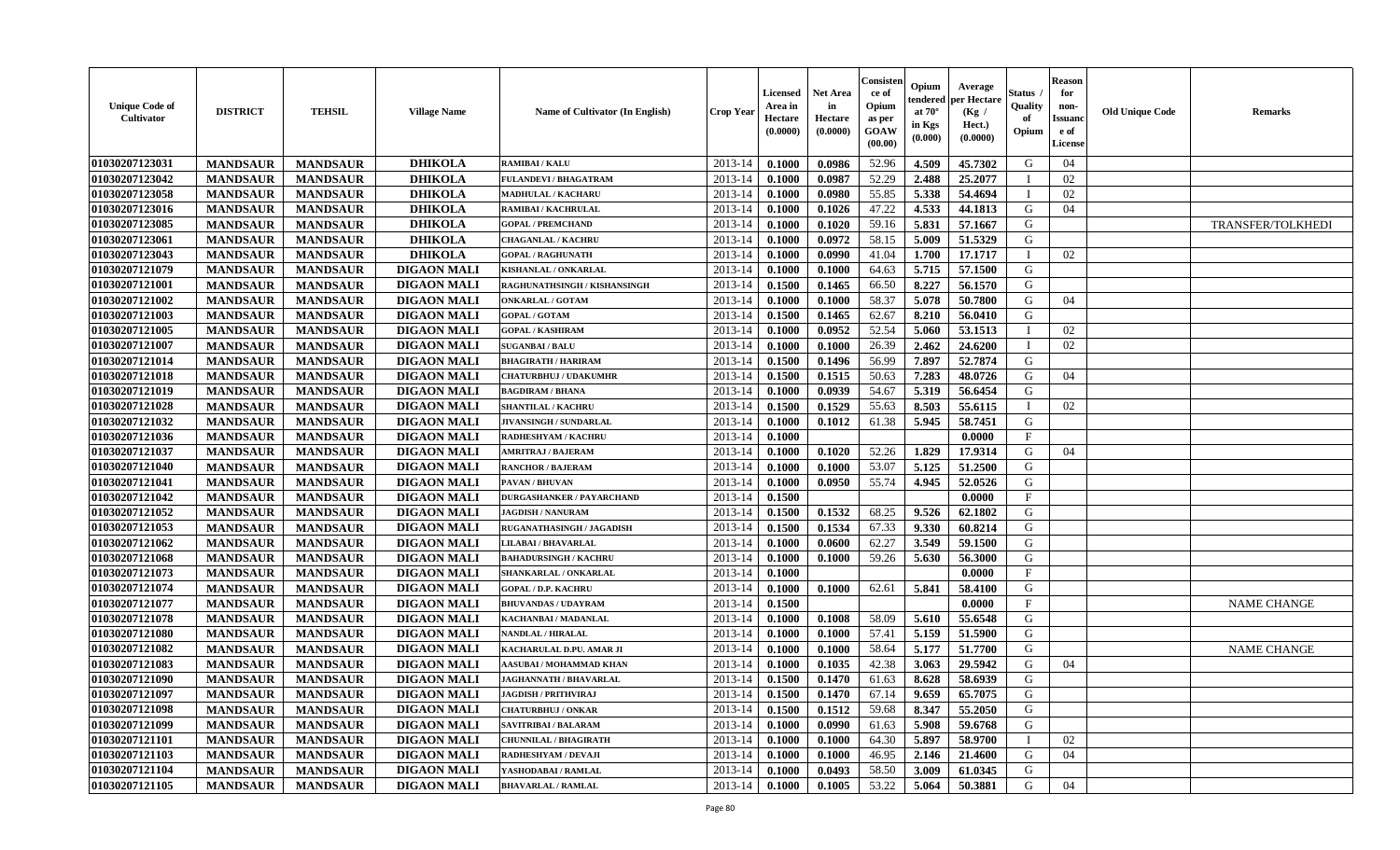| <b>Unique Code of</b><br><b>Cultivator</b> | <b>DISTRICT</b> | <b>TEHSIL</b>   | <b>Village Name</b> | <b>Name of Cultivator (In English)</b> | <b>Crop Year</b> | Licensed<br>Area in<br>Hectare<br>(0.0000) | Net Area<br>in<br>Hectare<br>(0.0000) | Consisteı<br>ce of<br>Opium<br>as per<br>GOAW<br>(00.00) | Opium<br>endered<br>at $70^\circ$<br>in Kgs<br>(0.000) | Average<br>per Hectare<br>(Kg /<br>Hect.)<br>(0.0000) | Status<br>Quality<br>of<br>Opium | <b>Reason</b><br>for<br>non-<br>Issuano<br>e of<br>License | <b>Old Unique Code</b> | Remarks                  |
|--------------------------------------------|-----------------|-----------------|---------------------|----------------------------------------|------------------|--------------------------------------------|---------------------------------------|----------------------------------------------------------|--------------------------------------------------------|-------------------------------------------------------|----------------------------------|------------------------------------------------------------|------------------------|--------------------------|
| 01030207123031                             | <b>MANDSAUR</b> | <b>MANDSAUR</b> | <b>DHIKOLA</b>      | <b>RAMIBAI/KALU</b>                    | 2013-14          | 0.1000                                     | 0.0986                                | 52.96                                                    | 4.509                                                  | 45.7302                                               | G                                | 04                                                         |                        |                          |
| 01030207123042                             | <b>MANDSAUR</b> | <b>MANDSAUR</b> | <b>DHIKOLA</b>      | <b>FULANDEVI / BHAGATRAM</b>           | 2013-14          | 0.1000                                     | 0.0987                                | 52.29                                                    | 2.488                                                  | 25.2077                                               | T                                | 02                                                         |                        |                          |
| 01030207123058                             | <b>MANDSAUR</b> | <b>MANDSAUR</b> | <b>DHIKOLA</b>      | <b>MADHULAL / KACHARU</b>              | 2013-14          | 0.1000                                     | 0.0980                                | 55.85                                                    | 5.338                                                  | 54.4694                                               | $\mathbf I$                      | 02                                                         |                        |                          |
| 01030207123016                             | <b>MANDSAUR</b> | <b>MANDSAUR</b> | <b>DHIKOLA</b>      | <b>RAMIBAI / KACHRULAL</b>             | 2013-14          | 0.1000                                     | 0.1026                                | 47.22                                                    | 4.533                                                  | 44.1813                                               | G                                | 04                                                         |                        |                          |
| 01030207123085                             | <b>MANDSAUR</b> | <b>MANDSAUR</b> | <b>DHIKOLA</b>      | <b>GOPAL / PREMCHAND</b>               | 2013-14          | 0.1000                                     | 0.1020                                | 59.16                                                    | 5.831                                                  | 57.1667                                               | G                                |                                                            |                        | <b>TRANSFER/TOLKHEDI</b> |
| 01030207123061                             | <b>MANDSAUR</b> | <b>MANDSAUR</b> | <b>DHIKOLA</b>      | <b>CHAGANLAL / KACHRU</b>              | 2013-14          | 0.1000                                     | 0.0972                                | 58.15                                                    | 5.009                                                  | 51.5329                                               | G                                |                                                            |                        |                          |
| 01030207123043                             | <b>MANDSAUR</b> | <b>MANDSAUR</b> | <b>DHIKOLA</b>      | <b>GOPAL / RAGHUNATH</b>               | 2013-14          | 0.1000                                     | 0.0990                                | 41.04                                                    | 1.700                                                  | 17.1717                                               |                                  | 02                                                         |                        |                          |
| 01030207121079                             | <b>MANDSAUR</b> | <b>MANDSAUR</b> | <b>DIGAON MALI</b>  | KISHANLAL / ONKARLAL                   | 2013-14          | 0.1000                                     | 0.1000                                | 64.63                                                    | 5.715                                                  | 57.1500                                               | G                                |                                                            |                        |                          |
| 01030207121001                             | <b>MANDSAUR</b> | <b>MANDSAUR</b> | <b>DIGAON MALI</b>  | RAGHUNATHSINGH / KISHANSINGH           | 2013-14          | 0.1500                                     | 0.1465                                | 66.50                                                    | 8.227                                                  | 56.1570                                               | G                                |                                                            |                        |                          |
| 01030207121002                             | <b>MANDSAUR</b> | <b>MANDSAUR</b> | <b>DIGAON MALI</b>  | <b>ONKARLAL / GOTAM</b>                | 2013-14          | 0.1000                                     | 0.1000                                | 58.37                                                    | 5.078                                                  | 50.7800                                               | G                                | 04                                                         |                        |                          |
| 01030207121003                             | <b>MANDSAUR</b> | <b>MANDSAUR</b> | <b>DIGAON MALI</b>  | <b>GOPAL / GOTAM</b>                   | 2013-14          | 0.1500                                     | 0.1465                                | 62.67                                                    | 8.210                                                  | 56.0410                                               | G                                |                                                            |                        |                          |
| 01030207121005                             | <b>MANDSAUR</b> | <b>MANDSAUR</b> | <b>DIGAON MALI</b>  | <b>GOPAL / KASHIRAM</b>                | 2013-14          | 0.1000                                     | 0.0952                                | 52.54                                                    | 5.060                                                  | 53.1513                                               | $\mathbf I$                      | 02                                                         |                        |                          |
| 01030207121007                             | <b>MANDSAUR</b> | <b>MANDSAUR</b> | <b>DIGAON MALI</b>  | <b>SUGANBAI/BALU</b>                   | 2013-14          | 0.1000                                     | 0.1000                                | 26.39                                                    | 2.462                                                  | 24.6200                                               | $\mathbf{I}$                     | 02                                                         |                        |                          |
| 01030207121014                             | <b>MANDSAUR</b> | <b>MANDSAUR</b> | <b>DIGAON MALI</b>  | <b>BHAGIRATH / HARIRAM</b>             | 2013-14          | 0.1500                                     | 0.1496                                | 56.99                                                    | 7.897                                                  | 52.7874                                               | G                                |                                                            |                        |                          |
| 01030207121018                             | <b>MANDSAUR</b> | <b>MANDSAUR</b> | <b>DIGAON MALI</b>  | <b>CHATURBHUJ / UDAKUMHR</b>           | 2013-14          | 0.1500                                     | 0.1515                                | 50.63                                                    | 7.283                                                  | 48.0726                                               | G                                | 04                                                         |                        |                          |
| 01030207121019                             | <b>MANDSAUR</b> | <b>MANDSAUR</b> | <b>DIGAON MALI</b>  | <b>BAGDIRAM / BHANA</b>                | 2013-14          | 0.1000                                     | 0.0939                                | 54.67                                                    | 5.319                                                  | 56.6454                                               | G                                |                                                            |                        |                          |
| 01030207121028                             | <b>MANDSAUR</b> | <b>MANDSAUR</b> | <b>DIGAON MALI</b>  | <b>SHANTILAL / KACHRU</b>              | 2013-14          | 0.1500                                     | 0.1529                                | 55.63                                                    | 8.503                                                  | 55.6115                                               | $\mathbf{I}$                     | 02                                                         |                        |                          |
| 01030207121032                             | <b>MANDSAUR</b> | <b>MANDSAUR</b> | <b>DIGAON MALI</b>  | JIVANSINGH / SUNDARLAL                 | 2013-14          | 0.1000                                     | 0.1012                                | 61.38                                                    | 5.945                                                  | 58.7451                                               | G                                |                                                            |                        |                          |
| 01030207121036                             | <b>MANDSAUR</b> | <b>MANDSAUR</b> | <b>DIGAON MALI</b>  | RADHESHYAM / KACHRU                    | 2013-14          | 0.1000                                     |                                       |                                                          |                                                        | 0.0000                                                | F                                |                                                            |                        |                          |
| 01030207121037                             | <b>MANDSAUR</b> | <b>MANDSAUR</b> | <b>DIGAON MALI</b>  | <b>AMRITRAJ / BAJERAM</b>              | 2013-14          | 0.1000                                     | 0.1020                                | 52.26                                                    | 1.829                                                  | 17.9314                                               | G                                | 04                                                         |                        |                          |
| 01030207121040                             | <b>MANDSAUR</b> | <b>MANDSAUR</b> | <b>DIGAON MALI</b>  | <b>RANCHOR / BAJERAM</b>               | 2013-14          | 0.1000                                     | 0.1000                                | 53.07                                                    | 5.125                                                  | 51.2500                                               | G                                |                                                            |                        |                          |
| 01030207121041                             | <b>MANDSAUR</b> | <b>MANDSAUR</b> | <b>DIGAON MALI</b>  | PAVAN / BHUVAN                         | 2013-14          | 0.1000                                     | 0.0950                                | 55.74                                                    | 4.945                                                  | 52.0526                                               | G                                |                                                            |                        |                          |
| 01030207121042                             | <b>MANDSAUR</b> | <b>MANDSAUR</b> | <b>DIGAON MALI</b>  | <b>DURGASHANKER / PAYARCHAND</b>       | 2013-14          | 0.1500                                     |                                       |                                                          |                                                        | 0.0000                                                | F                                |                                                            |                        |                          |
| 01030207121052                             | <b>MANDSAUR</b> | <b>MANDSAUR</b> | <b>DIGAON MALI</b>  | <b>JAGDISH / NANURAM</b>               | 2013-14          | 0.1500                                     | 0.1532                                | 68.25                                                    | 9.526                                                  | 62.1802                                               | G                                |                                                            |                        |                          |
| 01030207121053                             | <b>MANDSAUR</b> | <b>MANDSAUR</b> | <b>DIGAON MALI</b>  | RUGANATHASINGH / JAGADISH              | 2013-14          | 0.1500                                     | 0.1534                                | 67.33                                                    | 9.330                                                  | 60.8214                                               | G                                |                                                            |                        |                          |
| 01030207121062                             | <b>MANDSAUR</b> | <b>MANDSAUR</b> | <b>DIGAON MALI</b>  | <b>LILABAI / BHAVARLAL</b>             | 2013-14          | 0.1000                                     | 0.0600                                | 62.27                                                    | 3.549                                                  | 59.1500                                               | G                                |                                                            |                        |                          |
| 01030207121068                             | <b>MANDSAUR</b> | <b>MANDSAUR</b> | <b>DIGAON MALI</b>  | <b>BAHADURSINGH / KACHRU</b>           | 2013-14          | 0.1000                                     | 0.1000                                | 59.26                                                    | 5.630                                                  | 56.3000                                               | G                                |                                                            |                        |                          |
| 01030207121073                             | <b>MANDSAUR</b> | <b>MANDSAUR</b> | <b>DIGAON MALI</b>  | SHANKARLAL / ONKARLAL                  | 2013-14          | 0.1000                                     |                                       |                                                          |                                                        | 0.0000                                                | $\mathbf{F}$                     |                                                            |                        |                          |
| 01030207121074                             | <b>MANDSAUR</b> | <b>MANDSAUR</b> | <b>DIGAON MALI</b>  | <b>GOPAL / D.P. KACHRU</b>             | 2013-14          | 0.1000                                     | 0.1000                                | 62.61                                                    | 5.841                                                  | 58.4100                                               | G                                |                                                            |                        |                          |
| 01030207121077                             | <b>MANDSAUR</b> | <b>MANDSAUR</b> | <b>DIGAON MALI</b>  | <b>BHUVANDAS / UDAYRAM</b>             | 2013-14          | 0.1500                                     |                                       |                                                          |                                                        | 0.0000                                                | $_{\rm F}$                       |                                                            |                        | <b>NAME CHANGE</b>       |
| 01030207121078                             | <b>MANDSAUR</b> | <b>MANDSAUR</b> | <b>DIGAON MALI</b>  | KACHANBAI / MADANLAL                   | 2013-14          | 0.1000                                     | 0.1008                                | 58.09                                                    | 5.610                                                  | 55.6548                                               | G                                |                                                            |                        |                          |
| 01030207121080                             | <b>MANDSAUR</b> | <b>MANDSAUR</b> | <b>DIGAON MALI</b>  | NANDLAL / HIRALAL                      | 2013-14          | 0.1000                                     | 0.1000                                | 57.41                                                    | 5.159                                                  | 51.5900                                               | G                                |                                                            |                        |                          |
| 01030207121082                             | <b>MANDSAUR</b> | <b>MANDSAUR</b> | <b>DIGAON MALI</b>  | KACHARULAL D.PU. AMAR JI               | 2013-14          | 0.1000                                     | 0.1000                                | 58.64                                                    | 5.177                                                  | 51.7700                                               | G                                |                                                            |                        | <b>NAME CHANGE</b>       |
| 01030207121083                             | <b>MANDSAUR</b> | <b>MANDSAUR</b> | <b>DIGAON MALI</b>  | AASUBAI / MOHAMMAD KHAN                | 2013-14          | 0.1000                                     | 0.1035                                | 42.38                                                    | 3.063                                                  | 29.5942                                               | G                                | 04                                                         |                        |                          |
| 01030207121090                             | <b>MANDSAUR</b> | <b>MANDSAUR</b> | <b>DIGAON MALI</b>  | <b>JAGHANNATH / BHAVARLAL</b>          | 2013-14          | 0.1500                                     | 0.1470                                | 61.63                                                    | 8.628                                                  | 58.6939                                               | G                                |                                                            |                        |                          |
| 01030207121097                             | <b>MANDSAUR</b> | <b>MANDSAUR</b> | <b>DIGAON MALI</b>  | <b>JAGDISH / PRITHVIRAJ</b>            | 2013-14          | 0.1500                                     | 0.1470                                | 67.14                                                    | 9.659                                                  | 65.7075                                               | G                                |                                                            |                        |                          |
| 01030207121098                             | <b>MANDSAUR</b> | <b>MANDSAUR</b> | <b>DIGAON MALI</b>  | <b>CHATURBHUJ / ONKAR</b>              | 2013-14          | 0.1500                                     | 0.1512                                | 59.68                                                    | 8.347                                                  | 55,2050                                               | G                                |                                                            |                        |                          |
| 01030207121099                             | <b>MANDSAUR</b> | <b>MANDSAUR</b> | <b>DIGAON MALI</b>  | SAVITRIBAI / BALARAM                   | 2013-14          | 0.1000                                     | 0.0990                                | 61.63                                                    | 5.908                                                  | 59.6768                                               | G                                |                                                            |                        |                          |
| 01030207121101                             | <b>MANDSAUR</b> | <b>MANDSAUR</b> | <b>DIGAON MALI</b>  | <b>CHUNNILAL / BHAGIRATH</b>           | 2013-14          | 0.1000                                     | 0.1000                                | 64.30                                                    | 5.897                                                  | 58.9700                                               | $\mathbf I$                      | 02                                                         |                        |                          |
| 01030207121103                             | <b>MANDSAUR</b> | <b>MANDSAUR</b> | <b>DIGAON MALI</b>  | RADHESHYAM / DEVAJI                    | 2013-14          | 0.1000                                     | 0.1000                                | 46.95                                                    | 2.146                                                  | 21.4600                                               | G                                | 04                                                         |                        |                          |
| 01030207121104                             | <b>MANDSAUR</b> | <b>MANDSAUR</b> | <b>DIGAON MALI</b>  | YASHODABAI/RAMLAL                      | 2013-14          | 0.1000                                     | 0.0493                                | 58.50                                                    | 3.009                                                  | 61.0345                                               | G                                |                                                            |                        |                          |
| 01030207121105                             | <b>MANDSAUR</b> | <b>MANDSAUR</b> | <b>DIGAON MALI</b>  | <b>BHAVARLAL / RAMLAL</b>              | 2013-14          | 0.1000                                     | 0.1005                                | 53.22                                                    | 5.064                                                  | 50.3881                                               | G                                | 04                                                         |                        |                          |
|                                            |                 |                 |                     |                                        |                  |                                            |                                       |                                                          |                                                        |                                                       |                                  |                                                            |                        |                          |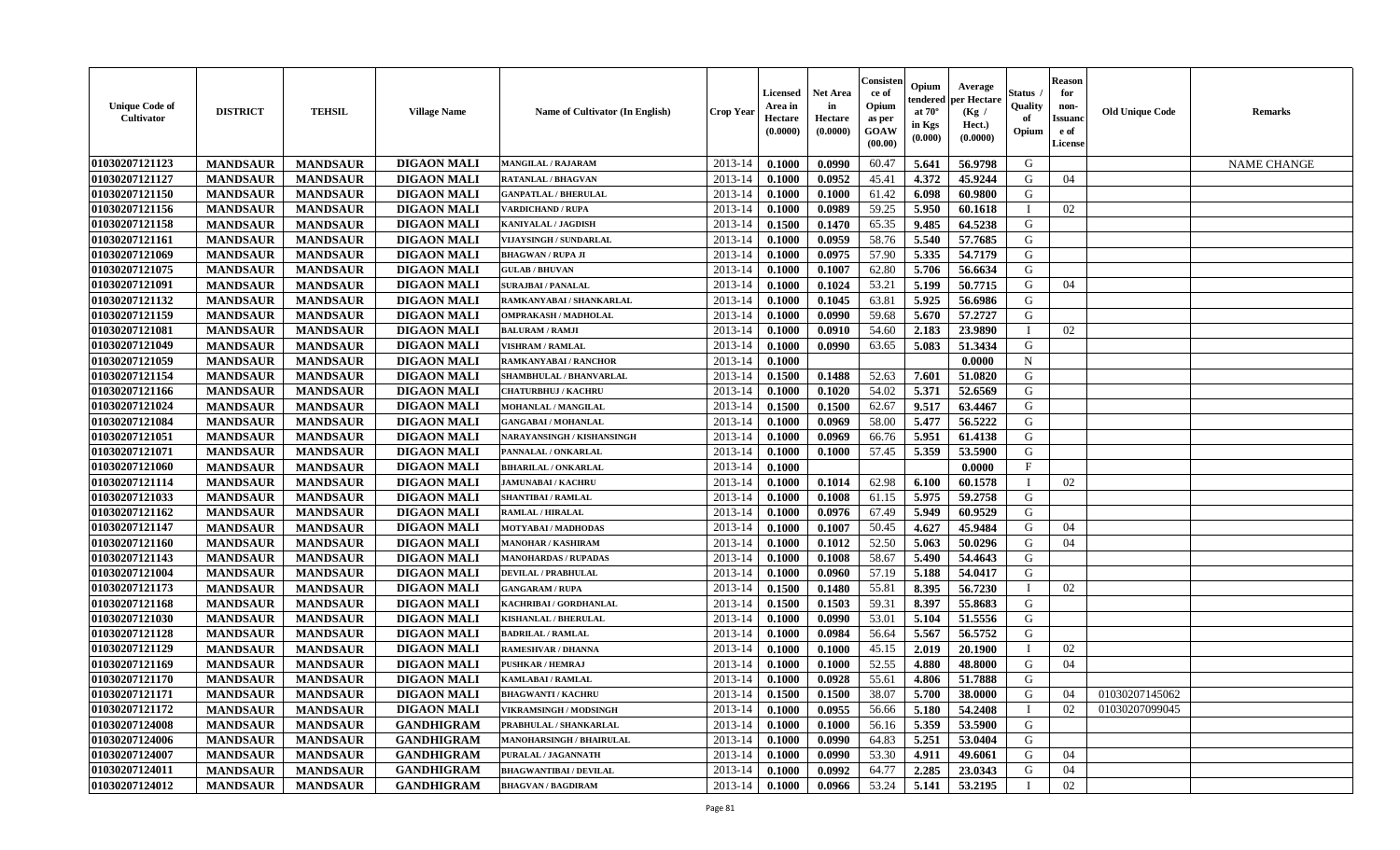| <b>Unique Code of</b><br><b>Cultivator</b> | <b>DISTRICT</b> | <b>TEHSIL</b>   | <b>Village Name</b> | Name of Cultivator (In English) | <b>Crop Year</b> | <b>Licensed</b><br>Area in<br>Hectare<br>(0.0000) | <b>Net Area</b><br>in<br>Hectare<br>(0.0000) | Consisten<br>ce of<br>Opium<br>as per<br>GOAW<br>(00.00) | Opium<br>tendered<br>at $70^\circ$<br>in Kgs<br>(0.000) | Average<br>per Hectare<br>(Kg)<br>Hect.)<br>(0.0000) | Status<br>Quality<br>of<br>Opium | <b>Reason</b><br>for<br>non-<br><b>Issuand</b><br>e of<br>License | <b>Old Unique Code</b> | Remarks            |
|--------------------------------------------|-----------------|-----------------|---------------------|---------------------------------|------------------|---------------------------------------------------|----------------------------------------------|----------------------------------------------------------|---------------------------------------------------------|------------------------------------------------------|----------------------------------|-------------------------------------------------------------------|------------------------|--------------------|
| 01030207121123                             | <b>MANDSAUR</b> | <b>MANDSAUR</b> | <b>DIGAON MALI</b>  | <b>MANGILAL / RAJARAM</b>       | 2013-14          | 0.1000                                            | 0.0990                                       | 60.47                                                    | 5.641                                                   | 56.9798                                              | G                                |                                                                   |                        | <b>NAME CHANGE</b> |
| 01030207121127                             | <b>MANDSAUR</b> | <b>MANDSAUR</b> | <b>DIGAON MALI</b>  | <b>RATANLAL / BHAGVAN</b>       | 2013-14          | 0.1000                                            | 0.0952                                       | 45.41                                                    | 4.372                                                   | 45.9244                                              | G                                | 04                                                                |                        |                    |
| 01030207121150                             | <b>MANDSAUR</b> | <b>MANDSAUR</b> | <b>DIGAON MALI</b>  | <b>GANPATLAL / BHERULAL</b>     | 2013-14          | 0.1000                                            | 0.1000                                       | 61.42                                                    | 6.098                                                   | 60.9800                                              | G                                |                                                                   |                        |                    |
| 01030207121156                             | <b>MANDSAUR</b> | <b>MANDSAUR</b> | <b>DIGAON MALI</b>  | <b>VARDICHAND / RUPA</b>        | 2013-14          | 0.1000                                            | 0.0989                                       | 59.25                                                    | 5.950                                                   | 60.1618                                              |                                  | 02                                                                |                        |                    |
| 01030207121158                             | <b>MANDSAUR</b> | <b>MANDSAUR</b> | <b>DIGAON MALI</b>  | <b>KANIYALAL / JAGDISH</b>      | 2013-14          | 0.1500                                            | 0.1470                                       | 65.35                                                    | 9.485                                                   | 64.5238                                              | G                                |                                                                   |                        |                    |
| 01030207121161                             | <b>MANDSAUR</b> | <b>MANDSAUR</b> | <b>DIGAON MALI</b>  | VIJAYSINGH / SUNDARLAL          | 2013-14          | 0.1000                                            | 0.0959                                       | 58.76                                                    | 5.540                                                   | 57.7685                                              | G                                |                                                                   |                        |                    |
| 01030207121069                             | <b>MANDSAUR</b> | <b>MANDSAUR</b> | <b>DIGAON MALI</b>  | <b>BHAGWAN / RUPA JI</b>        | 2013-14          | 0.1000                                            | 0.0975                                       | 57.90                                                    | 5.335                                                   | 54.7179                                              | G                                |                                                                   |                        |                    |
| 01030207121075                             | <b>MANDSAUR</b> | <b>MANDSAUR</b> | <b>DIGAON MALI</b>  | <b>GULAB / BHUVAN</b>           | 2013-14          | 0.1000                                            | 0.1007                                       | 62.80                                                    | 5.706                                                   | 56.6634                                              | G                                |                                                                   |                        |                    |
| 01030207121091                             | <b>MANDSAUR</b> | <b>MANDSAUR</b> | <b>DIGAON MALI</b>  | <b>SURAJBAI / PANALAL</b>       | 2013-14          | 0.1000                                            | 0.1024                                       | 53.21                                                    | 5.199                                                   | 50.7715                                              | G                                | 04                                                                |                        |                    |
| 01030207121132                             | <b>MANDSAUR</b> | <b>MANDSAUR</b> | <b>DIGAON MALI</b>  | RAMKANYABAI / SHANKARLAL        | 2013-14          | 0.1000                                            | 0.1045                                       | 63.81                                                    | 5.925                                                   | 56.6986                                              | G                                |                                                                   |                        |                    |
| 01030207121159                             | <b>MANDSAUR</b> | <b>MANDSAUR</b> | <b>DIGAON MALI</b>  | <b>OMPRAKASH / MADHOLAL</b>     | 2013-14          | 0.1000                                            | 0.0990                                       | 59.68                                                    | 5.670                                                   | 57,2727                                              | G                                |                                                                   |                        |                    |
| 01030207121081                             | <b>MANDSAUR</b> | <b>MANDSAUR</b> | <b>DIGAON MALI</b>  | <b>BALURAM / RAMJI</b>          | 2013-14          | 0.1000                                            | 0.0910                                       | 54.60                                                    | 2.183                                                   | 23.9890                                              |                                  | 02                                                                |                        |                    |
| 01030207121049                             | <b>MANDSAUR</b> | <b>MANDSAUR</b> | <b>DIGAON MALI</b>  | <b>VISHRAM / RAMLAL</b>         | 2013-14          | 0.1000                                            | 0.0990                                       | 63.65                                                    | 5.083                                                   | 51.3434                                              | G                                |                                                                   |                        |                    |
| 01030207121059                             | <b>MANDSAUR</b> | <b>MANDSAUR</b> | <b>DIGAON MALI</b>  | RAMKANYABAI / RANCHOR           | 2013-14          | 0.1000                                            |                                              |                                                          |                                                         | 0.0000                                               | $\mathbf N$                      |                                                                   |                        |                    |
| 01030207121154                             | <b>MANDSAUR</b> | <b>MANDSAUR</b> | <b>DIGAON MALI</b>  | SHAMBHULAL / BHANVARLAL         | 2013-14          | 0.1500                                            | 0.1488                                       | 52.63                                                    | 7.601                                                   | 51.0820                                              | G                                |                                                                   |                        |                    |
| 01030207121166                             | <b>MANDSAUR</b> | <b>MANDSAUR</b> | <b>DIGAON MALI</b>  | <b>CHATURBHUJ / KACHRU</b>      | 2013-14          | 0.1000                                            | 0.1020                                       | 54.02                                                    | 5.371                                                   | 52.6569                                              | G                                |                                                                   |                        |                    |
| 01030207121024                             | <b>MANDSAUR</b> | <b>MANDSAUR</b> | <b>DIGAON MALI</b>  | <b>MOHANLAL / MANGILAL</b>      | 2013-14          | 0.1500                                            | 0.1500                                       | 62.67                                                    | 9.517                                                   | 63.4467                                              | G                                |                                                                   |                        |                    |
| 01030207121084                             | <b>MANDSAUR</b> | <b>MANDSAUR</b> | <b>DIGAON MALI</b>  | <b>GANGABAI / MOHANLAL</b>      | 2013-14          | 0.1000                                            | 0.0969                                       | 58.00                                                    | 5.477                                                   | 56.5222                                              | G                                |                                                                   |                        |                    |
| 01030207121051                             | <b>MANDSAUR</b> | <b>MANDSAUR</b> | <b>DIGAON MALI</b>  | NARAYANSINGH / KISHANSINGH      | 2013-14          | 0.1000                                            | 0.0969                                       | 66.76                                                    | 5.951                                                   | 61.4138                                              | G                                |                                                                   |                        |                    |
| 01030207121071                             | <b>MANDSAUR</b> | <b>MANDSAUR</b> | <b>DIGAON MALI</b>  | PANNALAL / ONKARLAL             | 2013-14          | 0.1000                                            | 0.1000                                       | 57.45                                                    | 5.359                                                   | 53.5900                                              | G                                |                                                                   |                        |                    |
| 01030207121060                             | <b>MANDSAUR</b> | <b>MANDSAUR</b> | <b>DIGAON MALI</b>  | <b>BIHARILAL / ONKARLAL</b>     | 2013-14          | 0.1000                                            |                                              |                                                          |                                                         | 0.0000                                               | $\mathbf{F}$                     |                                                                   |                        |                    |
| 01030207121114                             | <b>MANDSAUR</b> | <b>MANDSAUR</b> | <b>DIGAON MALI</b>  | <b>JAMUNABAI / KACHRU</b>       | 2013-14          | 0.1000                                            | 0.1014                                       | 62.98                                                    | 6.100                                                   | 60.1578                                              |                                  | 02                                                                |                        |                    |
| 01030207121033                             | <b>MANDSAUR</b> | <b>MANDSAUR</b> | <b>DIGAON MALI</b>  | <b>SHANTIBAI / RAMLAL</b>       | 2013-14          | 0.1000                                            | 0.1008                                       | 61.15                                                    | 5.975                                                   | 59.2758                                              | G                                |                                                                   |                        |                    |
| 01030207121162                             | <b>MANDSAUR</b> | <b>MANDSAUR</b> | <b>DIGAON MALI</b>  | RAMLAL / HIRALAL                | 2013-14          | 0.1000                                            | 0.0976                                       | 67.49                                                    | 5.949                                                   | 60.9529                                              | G                                |                                                                   |                        |                    |
| 01030207121147                             | <b>MANDSAUR</b> | <b>MANDSAUR</b> | <b>DIGAON MALI</b>  | MOTYABAI / MADHODAS             | 2013-14          | 0.1000                                            | 0.1007                                       | 50.45                                                    | 4.627                                                   | 45.9484                                              | G                                | 04                                                                |                        |                    |
| 01030207121160                             | <b>MANDSAUR</b> | <b>MANDSAUR</b> | <b>DIGAON MALI</b>  | <b>MANOHAR / KASHIRAM</b>       | 2013-14          | 0.1000                                            | 0.1012                                       | 52.50                                                    | 5.063                                                   | 50.0296                                              | G                                | 04                                                                |                        |                    |
| 01030207121143                             | <b>MANDSAUR</b> | <b>MANDSAUR</b> | <b>DIGAON MALI</b>  | <b>MANOHARDAS / RUPADAS</b>     | 2013-14          | 0.1000                                            | 0.1008                                       | 58.67                                                    | 5.490                                                   | 54.4643                                              | G                                |                                                                   |                        |                    |
| 01030207121004                             | <b>MANDSAUR</b> | <b>MANDSAUR</b> | <b>DIGAON MALI</b>  | DEVILAL / PRABHULAL             | 2013-14          | $\, 0.1000 \,$                                    | 0.0960                                       | 57.19                                                    | 5.188                                                   | 54.0417                                              | G                                |                                                                   |                        |                    |
| 01030207121173                             | <b>MANDSAUR</b> | <b>MANDSAUR</b> | <b>DIGAON MALI</b>  | <b>GANGARAM / RUPA</b>          | 2013-14          | 0.1500                                            | 0.1480                                       | 55.81                                                    | 8.395                                                   | 56.7230                                              |                                  | 02                                                                |                        |                    |
| 01030207121168                             | <b>MANDSAUR</b> | <b>MANDSAUR</b> | <b>DIGAON MALI</b>  | KACHRIBAI / GORDHANLAL          | 2013-14          | 0.1500                                            | 0.1503                                       | 59.31                                                    | 8.397                                                   | 55.8683                                              | G                                |                                                                   |                        |                    |
| 01030207121030                             | <b>MANDSAUR</b> | <b>MANDSAUR</b> | <b>DIGAON MALI</b>  | <b>KISHANLAL / BHERULAL</b>     | 2013-14          | 0.1000                                            | 0.0990                                       | 53.01                                                    | 5.104                                                   | 51.5556                                              | G                                |                                                                   |                        |                    |
| 01030207121128                             | <b>MANDSAUR</b> | <b>MANDSAUR</b> | <b>DIGAON MALI</b>  | <b>BADRILAL / RAMLAL</b>        | 2013-14          | 0.1000                                            | 0.0984                                       | 56.64                                                    | 5.567                                                   | 56.5752                                              | G                                |                                                                   |                        |                    |
| 01030207121129                             | <b>MANDSAUR</b> | <b>MANDSAUR</b> | <b>DIGAON MALI</b>  | <b>RAMESHVAR / DHANNA</b>       | 2013-14          | 0.1000                                            | 0.1000                                       | 45.15                                                    | 2.019                                                   | 20.1900                                              |                                  | 02                                                                |                        |                    |
| 01030207121169                             | <b>MANDSAUR</b> | <b>MANDSAUR</b> | <b>DIGAON MALI</b>  | PUSHKAR / HEMRAJ                | 2013-14          | 0.1000                                            | 0.1000                                       | 52.55                                                    | 4.880                                                   | 48.8000                                              | G                                | 04                                                                |                        |                    |
| 01030207121170                             | <b>MANDSAUR</b> | <b>MANDSAUR</b> | <b>DIGAON MALI</b>  | <b>KAMLABAI/RAMLAL</b>          | 2013-14          | 0.1000                                            | 0.0928                                       | 55.61                                                    | 4.806                                                   | 51.7888                                              | G                                |                                                                   |                        |                    |
| 01030207121171                             | <b>MANDSAUR</b> | <b>MANDSAUR</b> | <b>DIGAON MALI</b>  | <b>BHAGWANTI / KACHRU</b>       | $2013-14$ 0.1500 |                                                   | 0.1500                                       | 38.07                                                    | 5.700                                                   | 38.0000                                              | G                                | 04                                                                | 01030207145062         |                    |
| 01030207121172                             | <b>MANDSAUR</b> | <b>MANDSAUR</b> | <b>DIGAON MALI</b>  | <b>VIKRAMSINGH / MODSINGH</b>   | 2013-14          | 0.1000                                            | 0.0955                                       | 56.66                                                    | 5.180                                                   | 54.2408                                              |                                  | 02                                                                | 01030207099045         |                    |
| 01030207124008                             | <b>MANDSAUR</b> | <b>MANDSAUR</b> | <b>GANDHIGRAM</b>   | PRABHULAL / SHANKARLAL          | 2013-14          | 0.1000                                            | 0.1000                                       | 56.16                                                    | 5.359                                                   | 53.5900                                              | G                                |                                                                   |                        |                    |
| 01030207124006                             | <b>MANDSAUR</b> | <b>MANDSAUR</b> | <b>GANDHIGRAM</b>   | MANOHARSINGH / BHAIRULAL        | 2013-14          | 0.1000                                            | 0.0990                                       | 64.83                                                    | 5.251                                                   | 53.0404                                              | G                                |                                                                   |                        |                    |
| 01030207124007                             | <b>MANDSAUR</b> | <b>MANDSAUR</b> | <b>GANDHIGRAM</b>   | PURALAL / JAGANNATH             | 2013-14          | 0.1000                                            | 0.0990                                       | 53.30                                                    | 4.911                                                   | 49.6061                                              | G                                | 04                                                                |                        |                    |
| 01030207124011                             | <b>MANDSAUR</b> | <b>MANDSAUR</b> | <b>GANDHIGRAM</b>   | <b>BHAGWANTIBAI/DEVILAL</b>     | 2013-14          | 0.1000                                            | 0.0992                                       | 64.77                                                    | 2.285                                                   | 23.0343                                              | G                                | 04                                                                |                        |                    |
| 01030207124012                             | <b>MANDSAUR</b> | <b>MANDSAUR</b> | <b>GANDHIGRAM</b>   | <b>BHAGVAN / BAGDIRAM</b>       | 2013-14 0.1000   |                                                   | 0.0966                                       | 53.24                                                    | 5.141                                                   | 53.2195                                              |                                  | 02                                                                |                        |                    |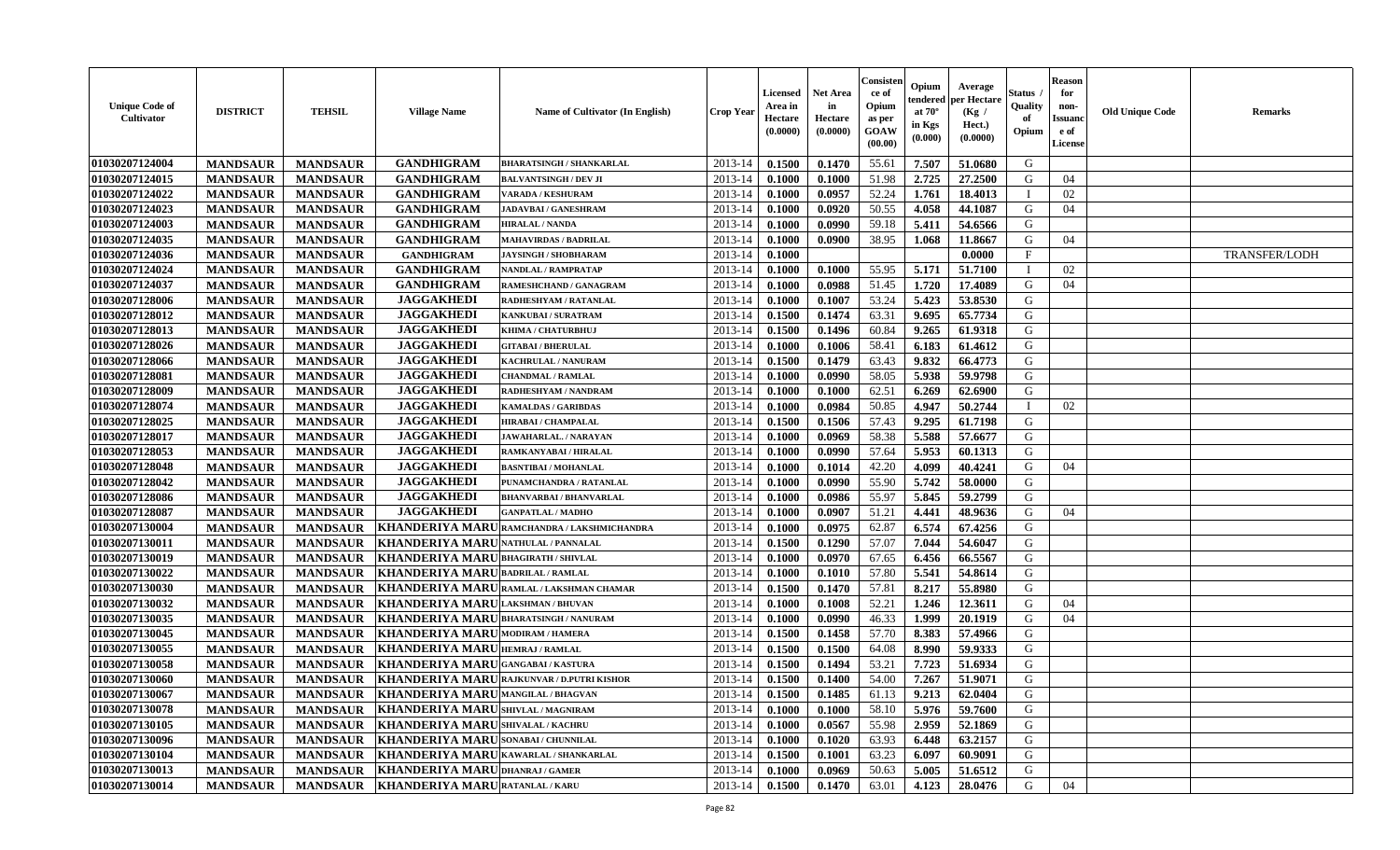| <b>Unique Code of</b><br>Cultivator | <b>DISTRICT</b> | <b>TEHSIL</b>   | <b>Village Name</b>                           | Name of Cultivator (In English)                   | <b>Crop Year</b> | <b>Licensed</b><br>Area in<br>Hectare<br>(0.0000) | Net Area<br>in<br>Hectare<br>(0.0000) | Consister<br>ce of<br>Opium<br>as per<br>GOAW<br>(00.00) | Opium<br>endereo<br>at $70^\circ$<br>in Kgs<br>(0.000) | Average<br>per Hectare<br>(Kg)<br>Hect.)<br>(0.0000) | Status .<br>Quality<br>of<br>Opium | <b>Reason</b><br>for<br>non-<br><b>Issuanc</b><br>e of<br>License | <b>Old Unique Code</b> | <b>Remarks</b>       |
|-------------------------------------|-----------------|-----------------|-----------------------------------------------|---------------------------------------------------|------------------|---------------------------------------------------|---------------------------------------|----------------------------------------------------------|--------------------------------------------------------|------------------------------------------------------|------------------------------------|-------------------------------------------------------------------|------------------------|----------------------|
| 01030207124004                      | <b>MANDSAUR</b> | <b>MANDSAUR</b> | <b>GANDHIGRAM</b>                             | <b>BHARATSINGH / SHANKARLAL</b>                   | 2013-14          | 0.1500                                            | 0.1470                                | 55.61                                                    | 7.507                                                  | 51.0680                                              | G                                  |                                                                   |                        |                      |
| 01030207124015                      | <b>MANDSAUR</b> | <b>MANDSAUR</b> | <b>GANDHIGRAM</b>                             | <b>BALVANTSINGH / DEV JI</b>                      | 2013-14          | 0.1000                                            | 0.1000                                | 51.98                                                    | 2.725                                                  | 27.2500                                              | G                                  | 04                                                                |                        |                      |
| 01030207124022                      | <b>MANDSAUR</b> | <b>MANDSAUR</b> | <b>GANDHIGRAM</b>                             | VARADA / KESHURAM                                 | 2013-14          | 0.1000                                            | 0.0957                                | 52.24                                                    | 1.761                                                  | 18.4013                                              | - T                                | 02                                                                |                        |                      |
| 01030207124023                      | <b>MANDSAUR</b> | <b>MANDSAUR</b> | <b>GANDHIGRAM</b>                             | JADAVBAI / GANESHRAM                              | 2013-14          | 0.1000                                            | 0.0920                                | 50.55                                                    | 4.058                                                  | 44.1087                                              | G                                  | 04                                                                |                        |                      |
| 01030207124003                      | <b>MANDSAUR</b> | <b>MANDSAUR</b> | <b>GANDHIGRAM</b>                             | <b>HIRALAL / NANDA</b>                            | 2013-14          | 0.1000                                            | 0.0990                                | 59.18                                                    | 5.411                                                  | 54.6566                                              | G                                  |                                                                   |                        |                      |
| 01030207124035                      | <b>MANDSAUR</b> | <b>MANDSAUR</b> | <b>GANDHIGRAM</b>                             | <b>MAHAVIRDAS / BADRILAL</b>                      | 2013-14          | 0.1000                                            | 0.0900                                | 38.95                                                    | 1.068                                                  | 11.8667                                              | G                                  | 04                                                                |                        |                      |
| 01030207124036                      | <b>MANDSAUR</b> | <b>MANDSAUR</b> | <b>GANDHIGRAM</b>                             | <b>JAYSINGH / SHOBHARAM</b>                       | 2013-14          | 0.1000                                            |                                       |                                                          |                                                        | 0.0000                                               | $\mathbf F$                        |                                                                   |                        | <b>TRANSFER/LODH</b> |
| 01030207124024                      | <b>MANDSAUR</b> | <b>MANDSAUR</b> | <b>GANDHIGRAM</b>                             | NANDLAL / RAMPRATAP                               | 2013-14          | 0.1000                                            | 0.1000                                | 55.95                                                    | 5.171                                                  | 51.7100                                              |                                    | 02                                                                |                        |                      |
| 01030207124037                      | <b>MANDSAUR</b> | <b>MANDSAUR</b> | <b>GANDHIGRAM</b>                             | RAMESHCHAND / GANAGRAM                            | 2013-14          | 0.1000                                            | 0.0988                                | 51.45                                                    | 1.720                                                  | 17.4089                                              | G                                  | 04                                                                |                        |                      |
| 01030207128006                      | <b>MANDSAUR</b> | <b>MANDSAUR</b> | <b>JAGGAKHEDI</b>                             | RADHESHYAM / RATANLAL                             | 2013-14          | 0.1000                                            | 0.1007                                | 53.24                                                    | 5.423                                                  | 53.8530                                              | G                                  |                                                                   |                        |                      |
| 01030207128012                      | <b>MANDSAUR</b> | <b>MANDSAUR</b> | <b>JAGGAKHEDI</b>                             | KANKUBAI / SURATRAM                               | 2013-14          | 0.1500                                            | 0.1474                                | 63.31                                                    | 9.695                                                  | 65,7734                                              | G                                  |                                                                   |                        |                      |
| 01030207128013                      | <b>MANDSAUR</b> | <b>MANDSAUR</b> | <b>JAGGAKHEDI</b>                             | KHIMA / CHATURBHUJ                                | 2013-14          | 0.1500                                            | 0.1496                                | 60.84                                                    | 9.265                                                  | 61.9318                                              | G                                  |                                                                   |                        |                      |
| 01030207128026                      | <b>MANDSAUR</b> | <b>MANDSAUR</b> | <b>JAGGAKHEDI</b>                             | <b>GITABAI/BHERULAL</b>                           | 2013-14          | 0.1000                                            | 0.1006                                | 58.41                                                    | 6.183                                                  | 61.4612                                              | G                                  |                                                                   |                        |                      |
| 01030207128066                      | <b>MANDSAUR</b> | <b>MANDSAUR</b> | <b>JAGGAKHEDI</b>                             | KACHRULAL / NANURAM                               | 2013-14          | 0.1500                                            | 0.1479                                | 63.43                                                    | 9.832                                                  | 66.4773                                              | G                                  |                                                                   |                        |                      |
| 01030207128081                      | <b>MANDSAUR</b> | <b>MANDSAUR</b> | <b>JAGGAKHEDI</b>                             | <b>CHANDMAL / RAMLAL</b>                          | 2013-14          | 0.1000                                            | 0.0990                                | 58.05                                                    | 5.938                                                  | 59.9798                                              | G                                  |                                                                   |                        |                      |
| 01030207128009                      | <b>MANDSAUR</b> | <b>MANDSAUR</b> | <b>JAGGAKHEDI</b>                             | RADHESHYAM / NANDRAM                              | 2013-14          | 0.1000                                            | 0.1000                                | 62.51                                                    | 6.269                                                  | 62.6900                                              | G                                  |                                                                   |                        |                      |
| 01030207128074                      | <b>MANDSAUR</b> | <b>MANDSAUR</b> | <b>JAGGAKHEDI</b>                             | <b>KAMALDAS / GARIBDAS</b>                        | 2013-14          | 0.1000                                            | 0.0984                                | 50.85                                                    | 4.947                                                  | 50.2744                                              |                                    | 02                                                                |                        |                      |
| 01030207128025                      | <b>MANDSAUR</b> | <b>MANDSAUR</b> | <b>JAGGAKHEDI</b>                             | <b>HIRABAI/ CHAMPALAL</b>                         | 2013-14          | 0.1500                                            | 0.1506                                | 57.43                                                    | 9.295                                                  | 61.7198                                              | G                                  |                                                                   |                        |                      |
| 01030207128017                      | <b>MANDSAUR</b> | <b>MANDSAUR</b> | <b>JAGGAKHEDI</b>                             | JAWAHARLAL. / NARAYAN                             | 2013-14          | 0.1000                                            | 0.0969                                | 58.38                                                    | 5.588                                                  | 57.6677                                              | G                                  |                                                                   |                        |                      |
| 01030207128053                      | <b>MANDSAUR</b> | <b>MANDSAUR</b> | <b>JAGGAKHEDI</b>                             | RAMKANYABAI / HIRALAL                             | 2013-14          | 0.1000                                            | 0.0990                                | 57.64                                                    | 5.953                                                  | 60.1313                                              | G                                  |                                                                   |                        |                      |
| 01030207128048                      | <b>MANDSAUR</b> | <b>MANDSAUR</b> | <b>JAGGAKHEDI</b>                             | <b>BASNTIBAI / MOHANLAL</b>                       | 2013-14          | 0.1000                                            | 0.1014                                | 42.20                                                    | 4.099                                                  | 40.4241                                              | G                                  | 04                                                                |                        |                      |
| 01030207128042                      | <b>MANDSAUR</b> | <b>MANDSAUR</b> | <b>JAGGAKHEDI</b>                             | PUNAMCHANDRA / RATANLAL                           | 2013-14          | 0.1000                                            | 0.0990                                | 55.90                                                    | 5.742                                                  | 58.0000                                              | G                                  |                                                                   |                        |                      |
| 01030207128086                      | <b>MANDSAUR</b> | <b>MANDSAUR</b> | <b>JAGGAKHEDI</b>                             | <b>BHANVARBAI/BHANVARLAL</b>                      | 2013-14          | 0.1000                                            | 0.0986                                | 55.97                                                    | 5.845                                                  | 59.2799                                              | G                                  |                                                                   |                        |                      |
| 01030207128087                      | <b>MANDSAUR</b> | <b>MANDSAUR</b> | <b>JAGGAKHEDI</b>                             | <b>GANPATLAL / MADHO</b>                          | 2013-14          | 0.1000                                            | 0.0907                                | 51.21                                                    | 4.441                                                  | 48.9636                                              | G                                  | 04                                                                |                        |                      |
| 01030207130004                      | <b>MANDSAUR</b> | <b>MANDSAUR</b> | KHANDERIYA MARU                               | RAMCHANDRA / LAKSHMICHANDRA                       | 2013-14          | 0.1000                                            | 0.0975                                | 62.87                                                    | 6.574                                                  | 67.4256                                              | G                                  |                                                                   |                        |                      |
| 01030207130011                      | <b>MANDSAUR</b> | <b>MANDSAUR</b> | <b>KHANDERIYA MARU</b>                        | <b>NATHULAL / PANNALAL</b>                        | 2013-14          | 0.1500                                            | 0.1290                                | 57.07                                                    | 7.044                                                  | 54.6047                                              | G                                  |                                                                   |                        |                      |
| 01030207130019                      | <b>MANDSAUR</b> | <b>MANDSAUR</b> | <b>KHANDERIYA MARU</b>                        | <b>BHAGIRATH / SHIVLAL</b>                        | 2013-14          | 0.1000                                            | 0.0970                                | 67.65                                                    | 6.456                                                  | 66.5567                                              | G                                  |                                                                   |                        |                      |
| 01030207130022                      | <b>MANDSAUR</b> | <b>MANDSAUR</b> | KHANDERIYA MARU BADRILAL / RAMLAL             |                                                   | 2013-14          | 0.1000                                            | 0.1010                                | 57.80                                                    | 5.541                                                  | 54.8614                                              | G                                  |                                                                   |                        |                      |
| 01030207130030                      | <b>MANDSAUR</b> | <b>MANDSAUR</b> |                                               | KHANDERIYA MARU RAMLAL / LAKSHMAN CHAMAR          | 2013-14          | 0.1500                                            | 0.1470                                | 57.81                                                    | 8.217                                                  | 55.8980                                              | G                                  |                                                                   |                        |                      |
| 01030207130032                      | <b>MANDSAUR</b> | <b>MANDSAUR</b> | <b>KHANDERIYA MARU</b>                        | <b>LAKSHMAN / BHUVAN</b>                          | 2013-14          | 0.1000                                            | 0.1008                                | 52.21                                                    | 1.246                                                  | 12.3611                                              | G                                  | 04                                                                |                        |                      |
| 01030207130035                      | <b>MANDSAUR</b> | <b>MANDSAUR</b> | <b>KHANDERIYA MARU</b>                        | <b>BHARATSINGH / NANURAM</b>                      | 2013-14          | 0.1000                                            | 0.0990                                | 46.33                                                    | 1.999                                                  | 20.1919                                              | G                                  | 04                                                                |                        |                      |
| 01030207130045                      | <b>MANDSAUR</b> | <b>MANDSAUR</b> | <b>KHANDERIYA MARU</b>                        | <b>MODIRAM / HAMERA</b>                           | 2013-14          | 0.1500                                            | 0.1458                                | 57.70                                                    | 8.383                                                  | 57.4966                                              | G                                  |                                                                   |                        |                      |
| 01030207130055                      | <b>MANDSAUR</b> | <b>MANDSAUR</b> | KHANDERIYA MARU HEMRAJ / RAMLAL               |                                                   | 2013-14          | 0.1500                                            | 0.1500                                | 64.08                                                    | 8.990                                                  | 59.9333                                              | G                                  |                                                                   |                        |                      |
| 01030207130058                      | <b>MANDSAUR</b> | <b>MANDSAUR</b> | KHANDERIYA MARUGANGABAI/KASTURA               |                                                   | 2013-14          | 0.1500                                            | 0.1494                                | 53.21                                                    | 7.723                                                  | 51.6934                                              | G                                  |                                                                   |                        |                      |
| 01030207130060                      | <b>MANDSAUR</b> | <b>MANDSAUR</b> |                                               | <b>KHANDERIYA MARU RAJKUNVAR / D.PUTRI KISHOR</b> | 2013-14          | 0.1500                                            | 0.1400                                | 54.00                                                    | 7.267                                                  | 51.9071                                              | G                                  |                                                                   |                        |                      |
| 01030207130067                      | <b>MANDSAUR</b> |                 | MANDSAUR   KHANDERIYA MARU MANGILAL / BHAGVAN |                                                   |                  | $2013-14$ 0.1500                                  | 0.1485                                | 61.13                                                    | 9.213                                                  | 62.0404                                              | G                                  |                                                                   |                        |                      |
| 01030207130078                      | <b>MANDSAUR</b> | <b>MANDSAUR</b> | KHANDERIYA MARUSHIVLAL / MAGNIRAM             |                                                   | 2013-14          | 0.1000                                            | 0.1000                                | 58.10                                                    | 5.976                                                  | 59.7600                                              | G                                  |                                                                   |                        |                      |
| 01030207130105                      | <b>MANDSAUR</b> | <b>MANDSAUR</b> | KHANDERIYA MARUSHIVALAL / KACHRU              |                                                   | 2013-14          | 0.1000                                            | 0.0567                                | 55.98                                                    | 2.959                                                  | 52.1869                                              | G                                  |                                                                   |                        |                      |
| 01030207130096                      | <b>MANDSAUR</b> | <b>MANDSAUR</b> | <b>KHANDERIYA MARU SONABAI / CHUNNILAL</b>    |                                                   | 2013-14          | 0.1000                                            | 0.1020                                | 63.93                                                    | 6.448                                                  | 63.2157                                              | G                                  |                                                                   |                        |                      |
| 01030207130104                      | <b>MANDSAUR</b> | <b>MANDSAUR</b> | KHANDERIYA MARU KAWARLAL / SHANKARLAL         |                                                   | 2013-14          | 0.1500                                            | 0.1001                                | 63.23                                                    | 6.097                                                  | 60.9091                                              | G                                  |                                                                   |                        |                      |
| 01030207130013                      | <b>MANDSAUR</b> | <b>MANDSAUR</b> | KHANDERIYA MARUDHANRAJ/GAMER                  |                                                   | 2013-14          | 0.1000                                            | 0.0969                                | 50.63                                                    | 5.005                                                  | 51.6512                                              | G                                  |                                                                   |                        |                      |
| 01030207130014                      | <b>MANDSAUR</b> |                 | MANDSAUR   KHANDERIYA MARU RATANLAL / KARU    |                                                   | $2013 - 14$      | 0.1500                                            | 0.1470                                | 63.01                                                    | 4.123                                                  | 28.0476                                              | G                                  | 04                                                                |                        |                      |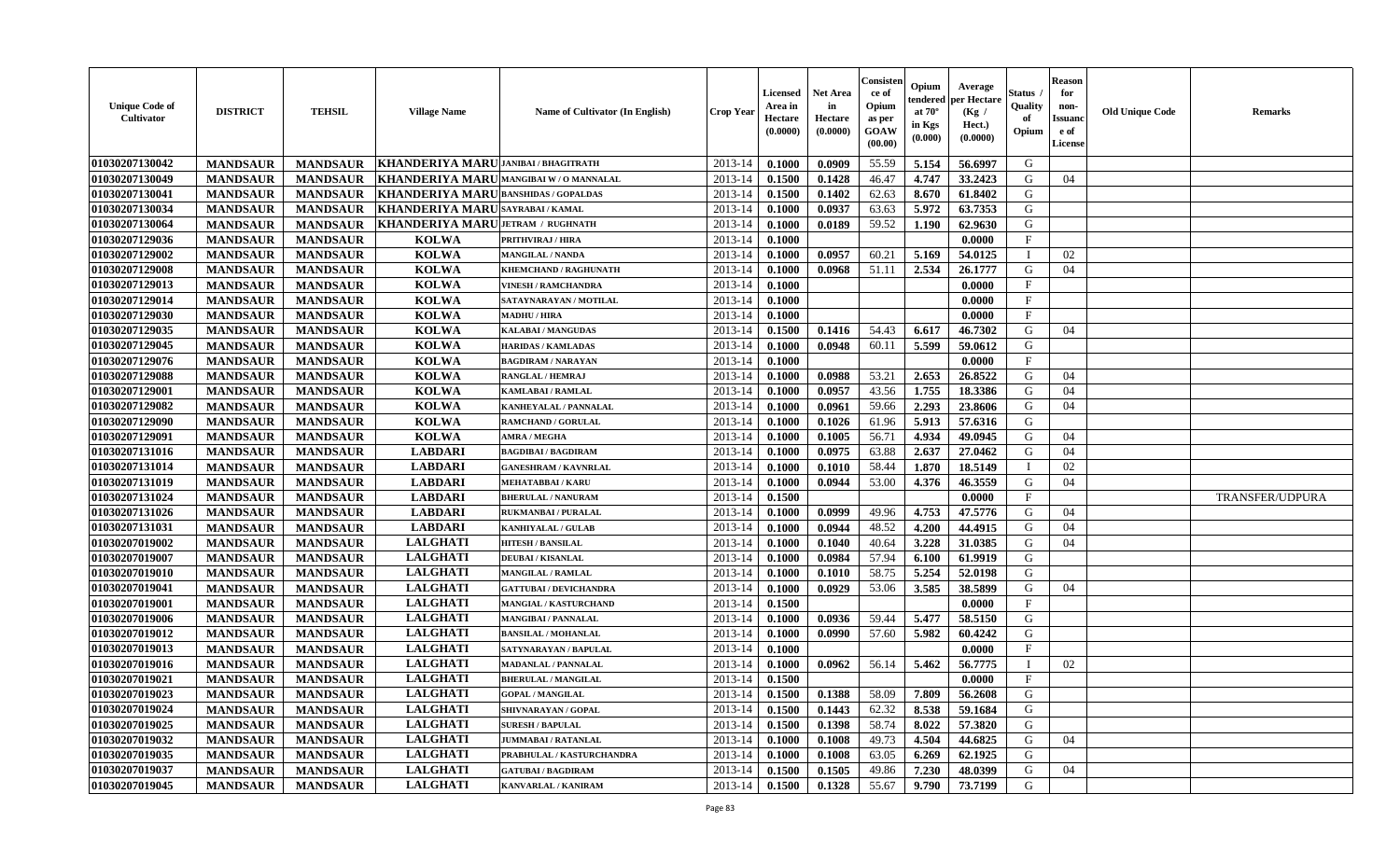| <b>Unique Code of</b><br><b>Cultivator</b> | <b>DISTRICT</b> | <b>TEHSIL</b>   | <b>Village Name</b>                         | Name of Cultivator (In English) | <b>Crop Year</b> | <b>Licensed</b><br>Area in<br>Hectare<br>(0.0000) | <b>Net Area</b><br>in<br>Hectare<br>(0.0000) | Consisteı<br>ce of<br>Opium<br>as per<br><b>GOAW</b><br>(00.00) | Opium<br>endered<br>at $70^\circ$<br>in Kgs<br>$(\mathbf{0.000})$ | Average<br>per Hectare<br>(Kg /<br>Hect.)<br>(0.0000) | Status<br>Quality<br>of<br>Opium | Reason<br>for<br>non-<br>Issuan<br>e of<br>License | <b>Old Unique Code</b> | <b>Remarks</b>         |
|--------------------------------------------|-----------------|-----------------|---------------------------------------------|---------------------------------|------------------|---------------------------------------------------|----------------------------------------------|-----------------------------------------------------------------|-------------------------------------------------------------------|-------------------------------------------------------|----------------------------------|----------------------------------------------------|------------------------|------------------------|
| 01030207130042                             | <b>MANDSAUR</b> | <b>MANDSAUR</b> | KHANDERIYA MARU JANIBAI / BHAGITRATH        |                                 | 2013-14          | 0.1000                                            | 0.0909                                       | 55.59                                                           | 5.154                                                             | 56.6997                                               | G                                |                                                    |                        |                        |
| 01030207130049                             | <b>MANDSAUR</b> | <b>MANDSAUR</b> | KHANDERIYA MARU MANGIBAI W/O MANNALAL       |                                 | 2013-14          | 0.1500                                            | 0.1428                                       | 46.47                                                           | 4.747                                                             | 33.2423                                               | G                                | 04                                                 |                        |                        |
| 01030207130041                             | <b>MANDSAUR</b> | <b>MANDSAUR</b> | <b>KHANDERIYA MARU BANSHIDAS / GOPALDAS</b> |                                 | 2013-14          | 0.1500                                            | 0.1402                                       | 62.63                                                           | 8.670                                                             | 61.8402                                               | G                                |                                                    |                        |                        |
| 01030207130034                             | <b>MANDSAUR</b> | <b>MANDSAUR</b> | KHANDERIYA MARUSAYRABAI/KAMAL               |                                 | 2013-14          | 0.1000                                            | 0.0937                                       | 63.63                                                           | 5.972                                                             | 63.7353                                               | G                                |                                                    |                        |                        |
| 01030207130064                             | <b>MANDSAUR</b> | <b>MANDSAUR</b> | KHANDERIYA MARU JETRAM / RUGHNATH           |                                 | 2013-14          | 0.1000                                            | 0.0189                                       | 59.52                                                           | 1.190                                                             | 62.9630                                               | G                                |                                                    |                        |                        |
| 01030207129036                             | <b>MANDSAUR</b> | <b>MANDSAUR</b> | <b>KOLWA</b>                                | <b>PRITHVIRAJ / HIRA</b>        | 2013-14          | 0.1000                                            |                                              |                                                                 |                                                                   | 0.0000                                                | $\mathbf{F}$                     |                                                    |                        |                        |
| 01030207129002                             | <b>MANDSAUR</b> | <b>MANDSAUR</b> | <b>KOLWA</b>                                | <b>MANGILAL / NANDA</b>         | 2013-14          | 0.1000                                            | 0.0957                                       | 60.21                                                           | 5.169                                                             | 54.0125                                               | $\blacksquare$                   | 02                                                 |                        |                        |
| 01030207129008                             | <b>MANDSAUR</b> | <b>MANDSAUR</b> | <b>KOLWA</b>                                | <b>KHEMCHAND / RAGHUNATH</b>    | 2013-14          | 0.1000                                            | 0.0968                                       | 51.11                                                           | 2.534                                                             | 26.1777                                               | G                                | 04                                                 |                        |                        |
| 01030207129013                             | <b>MANDSAUR</b> | <b>MANDSAUR</b> | <b>KOLWA</b>                                | <b>VINESH / RAMCHANDRA</b>      | 2013-14          | 0.1000                                            |                                              |                                                                 |                                                                   | 0.0000                                                | $_{\rm F}$                       |                                                    |                        |                        |
| 01030207129014                             | <b>MANDSAUR</b> | <b>MANDSAUR</b> | <b>KOLWA</b>                                | SATAYNARAYAN / MOTILAL          | 2013-14          | 0.1000                                            |                                              |                                                                 |                                                                   | 0.0000                                                | $_{\rm F}$                       |                                                    |                        |                        |
| 01030207129030                             | <b>MANDSAUR</b> | <b>MANDSAUR</b> | <b>KOLWA</b>                                | <b>MADHU / HIRA</b>             | 2013-14          | 0.1000                                            |                                              |                                                                 |                                                                   | 0.0000                                                | $\mathbf{F}$                     |                                                    |                        |                        |
| 01030207129035                             | <b>MANDSAUR</b> | <b>MANDSAUR</b> | <b>KOLWA</b>                                | <b>KALABAI/MANGUDAS</b>         | 2013-14          | 0.1500                                            | 0.1416                                       | 54.43                                                           | 6.617                                                             | 46.7302                                               | G                                | 04                                                 |                        |                        |
| 01030207129045                             | <b>MANDSAUR</b> | <b>MANDSAUR</b> | <b>KOLWA</b>                                | <b>HARIDAS / KAMLADAS</b>       | 2013-14          | 0.1000                                            | 0.0948                                       | 60.11                                                           | 5.599                                                             | 59.0612                                               | G                                |                                                    |                        |                        |
| 01030207129076                             | <b>MANDSAUR</b> | <b>MANDSAUR</b> | <b>KOLWA</b>                                | <b>BAGDIRAM / NARAYAN</b>       | 2013-14          | 0.1000                                            |                                              |                                                                 |                                                                   | 0.0000                                                | $_{\rm F}$                       |                                                    |                        |                        |
| 01030207129088                             | <b>MANDSAUR</b> | <b>MANDSAUR</b> | <b>KOLWA</b>                                | <b>RANGLAL / HEMRAJ</b>         | 2013-14          | 0.1000                                            | 0.0988                                       | 53.21                                                           | 2.653                                                             | 26.8522                                               | G                                | 04                                                 |                        |                        |
| 01030207129001                             | <b>MANDSAUR</b> | <b>MANDSAUR</b> | <b>KOLWA</b>                                | KAMLABAI / RAMLAL               | 2013-14          | 0.1000                                            | 0.0957                                       | 43.56                                                           | 1.755                                                             | 18.3386                                               | G                                | 04                                                 |                        |                        |
| 01030207129082                             | <b>MANDSAUR</b> | <b>MANDSAUR</b> | <b>KOLWA</b>                                | <b>KANHEYALAL / PANNALAL</b>    | 2013-14          | 0.1000                                            | 0.0961                                       | 59.66                                                           | 2.293                                                             | 23.8606                                               | G                                | 04                                                 |                        |                        |
| 01030207129090                             | <b>MANDSAUR</b> | <b>MANDSAUR</b> | <b>KOLWA</b>                                | <b>RAMCHAND / GORULAL</b>       | 2013-14          | 0.1000                                            | 0.1026                                       | 61.96                                                           | 5.913                                                             | 57.6316                                               | G                                |                                                    |                        |                        |
| 01030207129091                             | <b>MANDSAUR</b> | <b>MANDSAUR</b> | <b>KOLWA</b>                                | <b>AMRA / MEGHA</b>             | 2013-14          | 0.1000                                            | 0.1005                                       | 56.71                                                           | 4.934                                                             | 49.0945                                               | G                                | 04                                                 |                        |                        |
| 01030207131016                             | <b>MANDSAUR</b> | <b>MANDSAUR</b> | <b>LABDARI</b>                              | <b>BAGDIBAI / BAGDIRAM</b>      | 2013-14          | 0.1000                                            | 0.0975                                       | 63.88                                                           | 2.637                                                             | 27.0462                                               | G                                | 04                                                 |                        |                        |
| 01030207131014                             | <b>MANDSAUR</b> | <b>MANDSAUR</b> | <b>LABDARI</b>                              | <b>GANESHRAM / KAVNRLAL</b>     | 2013-14          | 0.1000                                            | 0.1010                                       | 58.44                                                           | 1.870                                                             | 18.5149                                               |                                  | 02                                                 |                        |                        |
| 01030207131019                             | <b>MANDSAUR</b> | <b>MANDSAUR</b> | <b>LABDARI</b>                              | <b>MEHATABBAI / KARU</b>        | 2013-14          | 0.1000                                            | 0.0944                                       | 53.00                                                           | 4.376                                                             | 46.3559                                               | G                                | 04                                                 |                        |                        |
| 01030207131024                             | <b>MANDSAUR</b> | <b>MANDSAUR</b> | <b>LABDARI</b>                              | <b>BHERULAL / NANURAM</b>       | 2013-14          | 0.1500                                            |                                              |                                                                 |                                                                   | 0.0000                                                | $\mathbf{F}$                     |                                                    |                        | <b>TRANSFER/UDPURA</b> |
| 01030207131026                             | <b>MANDSAUR</b> | <b>MANDSAUR</b> | <b>LABDARI</b>                              | RUKMANBAI / PURALAL             | 2013-14          | 0.1000                                            | 0.0999                                       | 49.96                                                           | 4.753                                                             | 47.5776                                               | G                                | 04                                                 |                        |                        |
| 01030207131031                             | <b>MANDSAUR</b> | <b>MANDSAUR</b> | <b>LABDARI</b>                              | <b>KANHIYALAL / GULAB</b>       | 2013-14          | 0.1000                                            | 0.0944                                       | 48.52                                                           | 4.200                                                             | 44.4915                                               | G                                | 04                                                 |                        |                        |
| 01030207019002                             | <b>MANDSAUR</b> | <b>MANDSAUR</b> | <b>LALGHATI</b>                             | <b>HITESH / BANSILAL</b>        | 2013-14          | 0.1000                                            | 0.1040                                       | 40.64                                                           | 3.228                                                             | 31.0385                                               | G                                | 04                                                 |                        |                        |
| 01030207019007                             | <b>MANDSAUR</b> | <b>MANDSAUR</b> | <b>LALGHATI</b>                             | <b>DEUBAI/KISANLAL</b>          | 2013-14          | 0.1000                                            | 0.0984                                       | 57.94                                                           | 6.100                                                             | 61.9919                                               | G                                |                                                    |                        |                        |
| 01030207019010                             | <b>MANDSAUR</b> | <b>MANDSAUR</b> | <b>LALGHATI</b>                             | <b>MANGILAL / RAMLAL</b>        | 2013-14          | 0.1000                                            | 0.1010                                       | 58.75                                                           | 5.254                                                             | 52.0198                                               | G                                |                                                    |                        |                        |
| 01030207019041                             | <b>MANDSAUR</b> | <b>MANDSAUR</b> | <b>LALGHATI</b>                             | <b>GATTUBAI/DEVICHANDRA</b>     | 2013-14          | 0.1000                                            | 0.0929                                       | 53.06                                                           | 3.585                                                             | 38.5899                                               | G                                | 04                                                 |                        |                        |
| 01030207019001                             | <b>MANDSAUR</b> | <b>MANDSAUR</b> | <b>LALGHATI</b>                             | <b>MANGIAL / KASTURCHAND</b>    | 2013-14          | 0.1500                                            |                                              |                                                                 |                                                                   | 0.0000                                                | $\mathbf{F}$                     |                                                    |                        |                        |
| 01030207019006                             | <b>MANDSAUR</b> | <b>MANDSAUR</b> | <b>LALGHATI</b>                             | <b>MANGIBAI / PANNALAL</b>      | 2013-14          | 0.1000                                            | 0.0936                                       | 59.44                                                           | 5.477                                                             | 58.5150                                               | G                                |                                                    |                        |                        |
| 01030207019012                             | <b>MANDSAUR</b> | <b>MANDSAUR</b> | <b>LALGHATI</b>                             | <b>BANSILAL / MOHANLAL</b>      | 2013-14          | 0.1000                                            | 0.0990                                       | 57.60                                                           | 5.982                                                             | 60.4242                                               | G                                |                                                    |                        |                        |
| 01030207019013                             | <b>MANDSAUR</b> | <b>MANDSAUR</b> | <b>LALGHATI</b>                             | SATYNARAYAN / BAPULAL           | 2013-14          | 0.1000                                            |                                              |                                                                 |                                                                   | 0.0000                                                | $\mathbf{F}$                     |                                                    |                        |                        |
| 01030207019016                             | <b>MANDSAUR</b> | <b>MANDSAUR</b> | <b>LALGHATI</b>                             | <b>MADANLAL / PANNALAL</b>      | 2013-14          | 0.1000                                            | 0.0962                                       | 56.14                                                           | 5.462                                                             | 56.7775                                               |                                  | 02                                                 |                        |                        |
| 01030207019021                             | <b>MANDSAUR</b> | <b>MANDSAUR</b> | <b>LALGHATI</b>                             | <b>BHERULAL / MANGILAL</b>      | 2013-14          | 0.1500                                            |                                              |                                                                 |                                                                   | 0.0000                                                | $\mathbf{F}$                     |                                                    |                        |                        |
| <b>01030207019023</b>                      | <b>MANDSAUR</b> | <b>MANDSAUR</b> | <b>LALGHATI</b>                             | <b>GOPAL / MANGILAL</b>         | $2013-14$ 0.1500 |                                                   | 0.1388                                       | 58.09                                                           | 7.809                                                             | 56.2608                                               | G                                |                                                    |                        |                        |
| 01030207019024                             | <b>MANDSAUR</b> | <b>MANDSAUR</b> | <b>LALGHATI</b>                             | SHIVNARAYAN / GOPAL             | 2013-14          | 0.1500                                            | 0.1443                                       | 62.32                                                           | 8.538                                                             | 59.1684                                               | G                                |                                                    |                        |                        |
| 01030207019025                             | <b>MANDSAUR</b> | <b>MANDSAUR</b> | <b>LALGHATI</b>                             | <b>SURESH / BAPULAL</b>         | 2013-14          | 0.1500                                            | 0.1398                                       | 58.74                                                           | 8.022                                                             | 57.3820                                               | G                                |                                                    |                        |                        |
| 01030207019032                             | <b>MANDSAUR</b> | <b>MANDSAUR</b> | <b>LALGHATI</b>                             | <b>JUMMABAI/RATANLAL</b>        | 2013-14          | 0.1000                                            | 0.1008                                       | 49.73                                                           | 4.504                                                             | 44.6825                                               | G                                | 04                                                 |                        |                        |
| 01030207019035                             | <b>MANDSAUR</b> | <b>MANDSAUR</b> | <b>LALGHATI</b>                             | PRABHULAL / KASTURCHANDRA       | 2013-14          | 0.1000                                            | 0.1008                                       | 63.05                                                           | 6.269                                                             | 62.1925                                               | G                                |                                                    |                        |                        |
| 01030207019037                             | <b>MANDSAUR</b> | <b>MANDSAUR</b> | <b>LALGHATI</b>                             | <b>GATUBAI/BAGDIRAM</b>         | 2013-14          | 0.1500                                            | 0.1505                                       | 49.86                                                           | 7.230                                                             | 48.0399                                               | G                                | 04                                                 |                        |                        |
| 01030207019045                             | <b>MANDSAUR</b> | <b>MANDSAUR</b> | <b>LALGHATI</b>                             | <b>KANVARLAL / KANIRAM</b>      | 2013-14          | 0.1500                                            | 0.1328                                       | 55.67                                                           | 9.790                                                             | 73.7199                                               | G                                |                                                    |                        |                        |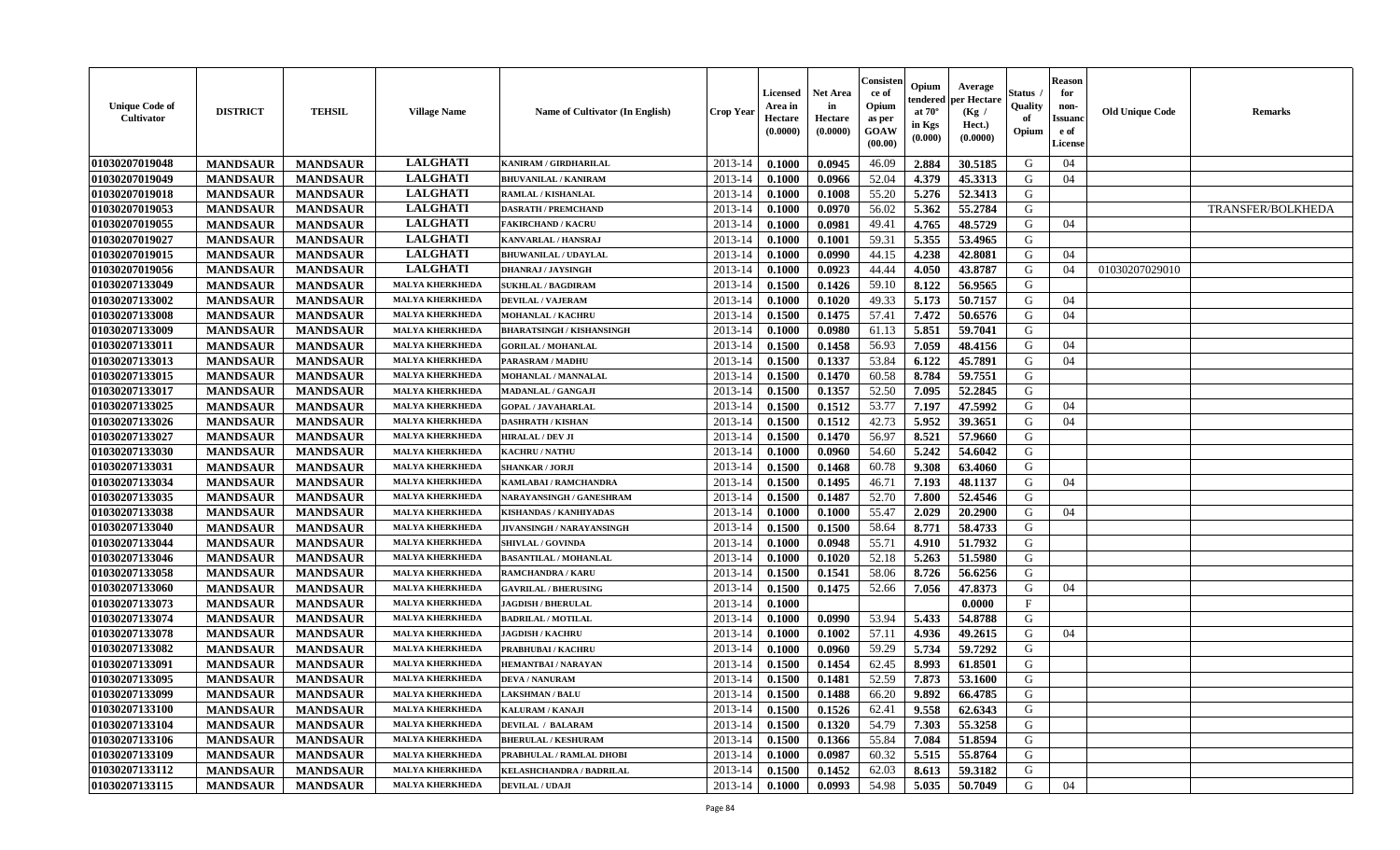| <b>Unique Code of</b><br>Cultivator | <b>DISTRICT</b> | <b>TEHSIL</b>   | <b>Village Name</b>    | <b>Name of Cultivator (In English)</b> | <b>Crop Year</b>   | <b>Licensed</b><br>Area in<br>Hectare<br>(0.0000) | Net Area<br>in<br>Hectare<br>(0.0000) | Consisten<br>ce of<br>Opium<br>as per<br>GOAW<br>(00.00) | Opium<br>tendered<br>at $70^\circ$<br>in Kgs<br>(0.000) | Average<br>per Hectare<br>(Kg)<br>Hect.)<br>(0.0000) | Status<br>Quality<br>of<br>Opium | Reason<br>for<br>non-<br>Issuanc<br>e of<br>License | <b>Old Unique Code</b> | <b>Remarks</b>           |
|-------------------------------------|-----------------|-----------------|------------------------|----------------------------------------|--------------------|---------------------------------------------------|---------------------------------------|----------------------------------------------------------|---------------------------------------------------------|------------------------------------------------------|----------------------------------|-----------------------------------------------------|------------------------|--------------------------|
| 01030207019048                      | <b>MANDSAUR</b> | <b>MANDSAUR</b> | <b>LALGHATI</b>        | <b>KANIRAM / GIRDHARILAL</b>           | 2013-14            | 0.1000                                            | 0.0945                                | 46.09                                                    | 2.884                                                   | 30.5185                                              | G                                | 04                                                  |                        |                          |
| 01030207019049                      | <b>MANDSAUR</b> | <b>MANDSAUR</b> | <b>LALGHATI</b>        | <b>BHUVANILAL / KANIRAM</b>            | 2013-14            | 0.1000                                            | 0.0966                                | 52.04                                                    | 4.379                                                   | 45.3313                                              | G                                | 04                                                  |                        |                          |
| 01030207019018                      | <b>MANDSAUR</b> | <b>MANDSAUR</b> | <b>LALGHATI</b>        | RAMLAL / KISHANLAL                     | 2013-14            | 0.1000                                            | 0.1008                                | 55.20                                                    | 5.276                                                   | 52.3413                                              | G                                |                                                     |                        |                          |
| 01030207019053                      | <b>MANDSAUR</b> | <b>MANDSAUR</b> | <b>LALGHATI</b>        | <b>DASRATH / PREMCHAND</b>             | 2013-14            | 0.1000                                            | 0.0970                                | 56.02                                                    | 5.362                                                   | 55.2784                                              | G                                |                                                     |                        | <b>TRANSFER/BOLKHEDA</b> |
| 01030207019055                      | <b>MANDSAUR</b> | <b>MANDSAUR</b> | <b>LALGHATI</b>        | <b>FAKIRCHAND / KACRU</b>              | 2013-14            | 0.1000                                            | 0.0981                                | 49.41                                                    | 4.765                                                   | 48.5729                                              | G                                | 04                                                  |                        |                          |
| 01030207019027                      | <b>MANDSAUR</b> | <b>MANDSAUR</b> | <b>LALGHATI</b>        | KANVARLAL / HANSRAJ                    | 2013-14            | 0.1000                                            | 0.1001                                | 59.31                                                    | 5.355                                                   | 53.4965                                              | G                                |                                                     |                        |                          |
| 01030207019015                      | <b>MANDSAUR</b> | <b>MANDSAUR</b> | <b>LALGHATI</b>        | <b>BHUWANILAL / UDAYLAL</b>            | 2013-14            | 0.1000                                            | 0.0990                                | 44.15                                                    | 4.238                                                   | 42.8081                                              | G                                | 04                                                  |                        |                          |
| 01030207019056                      | <b>MANDSAUR</b> | <b>MANDSAUR</b> | <b>LALGHATI</b>        | <b>DHANRAJ / JAYSINGH</b>              | 2013-14            | 0.1000                                            | 0.0923                                | 44.44                                                    | 4.050                                                   | 43.8787                                              | G                                | 04                                                  | 01030207029010         |                          |
| 01030207133049                      | <b>MANDSAUR</b> | <b>MANDSAUR</b> | <b>MALYA KHERKHEDA</b> | <b>SUKHLAL / BAGDIRAM</b>              | 2013-14            | 0.1500                                            | 0.1426                                | 59.10                                                    | 8.122                                                   | 56.9565                                              | G                                |                                                     |                        |                          |
| 01030207133002                      | <b>MANDSAUR</b> | <b>MANDSAUR</b> | <b>MALYA KHERKHEDA</b> | <b>DEVILAL / VAJERAM</b>               | 2013-14            | 0.1000                                            | 0.1020                                | 49.33                                                    | 5.173                                                   | 50.7157                                              | G                                | 04                                                  |                        |                          |
| 01030207133008                      | <b>MANDSAUR</b> | <b>MANDSAUR</b> | <b>MALYA KHERKHEDA</b> | MOHANLAL / KACHRU                      | 2013-14            | 0.1500                                            | 0.1475                                | 57.41                                                    | 7.472                                                   | 50.6576                                              | G                                | 04                                                  |                        |                          |
| 01030207133009                      | <b>MANDSAUR</b> | <b>MANDSAUR</b> | <b>MALYA KHERKHEDA</b> | <b>BHARATSINGH / KISHANSINGH</b>       | 2013-14            | 0.1000                                            | 0.0980                                | 61.13                                                    | 5.851                                                   | 59.7041                                              | G                                |                                                     |                        |                          |
| 01030207133011                      | <b>MANDSAUR</b> | <b>MANDSAUR</b> | <b>MALYA KHERKHEDA</b> | <b>GORILAL / MOHANLAL</b>              | 2013-14            | 0.1500                                            | 0.1458                                | 56.93                                                    | 7.059                                                   | 48.4156                                              | G                                | 04                                                  |                        |                          |
| 01030207133013                      | <b>MANDSAUR</b> | <b>MANDSAUR</b> | <b>MALYA KHERKHEDA</b> | PARASRAM / MADHU                       | 2013-14            | 0.1500                                            | 0.1337                                | 53.84                                                    | 6.122                                                   | 45.7891                                              | G                                | 04                                                  |                        |                          |
| 01030207133015                      | <b>MANDSAUR</b> | <b>MANDSAUR</b> | <b>MALYA KHERKHEDA</b> | MOHANLAL / MANNALAL                    | 2013-14            | 0.1500                                            | 0.1470                                | 60.58                                                    | 8.784                                                   | 59.7551                                              | G                                |                                                     |                        |                          |
| 01030207133017                      | <b>MANDSAUR</b> | <b>MANDSAUR</b> | <b>MALYA KHERKHEDA</b> | MADANLAL / GANGAJI                     | 2013-14            | 0.1500                                            | 0.1357                                | 52.50                                                    | 7.095                                                   | 52.2845                                              | G                                |                                                     |                        |                          |
| 01030207133025                      | <b>MANDSAUR</b> | <b>MANDSAUR</b> | <b>MALYA KHERKHEDA</b> | <b>GOPAL / JAVAHARLAL</b>              | 2013-14            | 0.1500                                            | 0.1512                                | 53.77                                                    | 7.197                                                   | 47.5992                                              | G                                | 04                                                  |                        |                          |
| 01030207133026                      | <b>MANDSAUR</b> | <b>MANDSAUR</b> | <b>MALYA KHERKHEDA</b> | <b>DASHRATH / KISHAN</b>               | 2013-14            | 0.1500                                            | 0.1512                                | 42.73                                                    | 5.952                                                   | 39.3651                                              | G                                | 04                                                  |                        |                          |
| 01030207133027                      | <b>MANDSAUR</b> | <b>MANDSAUR</b> | <b>MALYA KHERKHEDA</b> | <b>HIRALAL / DEV JI</b>                | 2013-14            | 0.1500                                            | 0.1470                                | 56.97                                                    | 8.521                                                   | 57.9660                                              | G                                |                                                     |                        |                          |
| 01030207133030                      | <b>MANDSAUR</b> | <b>MANDSAUR</b> | <b>MALYA KHERKHED</b>  | <b>KACHRU / NATHU</b>                  | 2013-14            | 0.1000                                            | 0.0960                                | 54.60                                                    | 5.242                                                   | 54.6042                                              | G                                |                                                     |                        |                          |
| 01030207133031                      | <b>MANDSAUR</b> | <b>MANDSAUR</b> | <b>MALYA KHERKHEDA</b> | <b>SHANKAR / JORJI</b>                 | 2013-14            | 0.1500                                            | 0.1468                                | 60.78                                                    | 9.308                                                   | 63.4060                                              | G                                |                                                     |                        |                          |
| 01030207133034                      | <b>MANDSAUR</b> | <b>MANDSAUR</b> | <b>MALYA KHERKHEDA</b> | KAMLABAI / RAMCHANDRA                  | 2013-14            | 0.1500                                            | 0.1495                                | 46.71                                                    | 7.193                                                   | 48.1137                                              | G                                | 04                                                  |                        |                          |
| 01030207133035                      | <b>MANDSAUR</b> | <b>MANDSAUR</b> | <b>MALYA KHERKHEDA</b> | NARAYANSINGH / GANESHRAM               | 2013-14            | 0.1500                                            | 0.1487                                | 52.70                                                    | 7.800                                                   | 52.4546                                              | G                                |                                                     |                        |                          |
| 01030207133038                      | <b>MANDSAUR</b> | <b>MANDSAUR</b> | <b>MALYA KHERKHEDA</b> | KISHANDAS / KANHIYADAS                 | 2013-14            | 0.1000                                            | 0.1000                                | 55.47                                                    | 2.029                                                   | 20.2900                                              | G                                | 04                                                  |                        |                          |
| 01030207133040                      | <b>MANDSAUR</b> | <b>MANDSAUR</b> | <b>MALYA KHERKHEDA</b> | JIVANSINGH / NARAYANSINGH              | 2013-14            | 0.1500                                            | 0.1500                                | 58.64                                                    | 8.771                                                   | 58.4733                                              | G                                |                                                     |                        |                          |
| 01030207133044                      | <b>MANDSAUR</b> | <b>MANDSAUR</b> | <b>MALYA KHERKHEDA</b> | SHIVLAL / GOVINDA                      | 2013-14            | 0.1000                                            | 0.0948                                | 55.71                                                    | 4.910                                                   | 51.7932                                              | G                                |                                                     |                        |                          |
| 01030207133046                      | <b>MANDSAUR</b> | <b>MANDSAUR</b> | <b>MALYA KHERKHEDA</b> | <b>BASANTILAL / MOHANLAL</b>           | 2013-14            | 0.1000                                            | 0.1020                                | 52.18                                                    | 5.263                                                   | 51.5980                                              | G                                |                                                     |                        |                          |
| 01030207133058                      | <b>MANDSAUR</b> | <b>MANDSAUR</b> | <b>MALYA KHERKHEDA</b> | RAMCHANDRA / KARU                      | 2013-14            | 0.1500                                            | 0.1541                                | 58.06                                                    | 8.726                                                   | 56.6256                                              | G                                |                                                     |                        |                          |
| 01030207133060                      | <b>MANDSAUR</b> | <b>MANDSAUR</b> | <b>MALYA KHERKHEDA</b> | <b>GAVRILAL / BHERUSING</b>            | 2013-14            | 0.1500                                            | 0.1475                                | 52.66                                                    | 7.056                                                   | 47.8373                                              | G                                | 04                                                  |                        |                          |
| 01030207133073                      | <b>MANDSAUR</b> | <b>MANDSAUR</b> | <b>MALYA KHERKHEDA</b> | <b>JAGDISH / BHERULAL</b>              | 2013-14            | 0.1000                                            |                                       |                                                          |                                                         | 0.0000                                               | F                                |                                                     |                        |                          |
| 01030207133074                      | <b>MANDSAUR</b> | <b>MANDSAUR</b> | <b>MALYA KHERKHEDA</b> | <b>BADRILAL / MOTILAL</b>              | 2013-14            | 0.1000                                            | 0.0990                                | 53.94                                                    | 5.433                                                   | 54.8788                                              | G                                |                                                     |                        |                          |
| 01030207133078                      | <b>MANDSAUR</b> | <b>MANDSAUR</b> | <b>MALYA KHERKHEDA</b> | <b>JAGDISH / KACHRU</b>                | 2013-14            | 0.1000                                            | 0.1002                                | 57.11                                                    | 4.936                                                   | 49.2615                                              | G                                | 04                                                  |                        |                          |
| 01030207133082                      | <b>MANDSAUR</b> | <b>MANDSAUR</b> | <b>MALYA KHERKHEDA</b> | <b>PRABHUBAI / KACHRU</b>              | 2013-14            | 0.1000                                            | 0.0960                                | 59.29                                                    | 5.734                                                   | 59,7292                                              | G                                |                                                     |                        |                          |
| 01030207133091                      | <b>MANDSAUR</b> | <b>MANDSAUR</b> | <b>MALYA KHERKHED</b>  | <b>HEMANTBAI/NARAYAN</b>               | 2013-14            | 0.1500                                            | 0.1454                                | 62.45                                                    | 8.993                                                   | 61.8501                                              | G                                |                                                     |                        |                          |
| 01030207133095                      | <b>MANDSAUR</b> | <b>MANDSAUR</b> | <b>MALYA KHERKHEDA</b> | <b>DEVA / NANURAM</b>                  | 2013-14            | 0.1500                                            | 0.1481                                | 52.59                                                    | 7.873                                                   | 53.1600                                              | G                                |                                                     |                        |                          |
| 01030207133099                      | <b>MANDSAUR</b> | <b>MANDSAUR</b> | <b>MALYA KHERKHEDA</b> | <b>LAKSHMAN / BALU</b>                 | $2013-14$   0.1500 |                                                   | 0.1488                                | 66.20                                                    | 9.892                                                   | 66.4785                                              | G                                |                                                     |                        |                          |
| 01030207133100                      | <b>MANDSAUR</b> | <b>MANDSAUR</b> | <b>MALYA KHERKHEDA</b> | <b>KALURAM / KANAJI</b>                | 2013-14            | 0.1500                                            | 0.1526                                | 62.41                                                    | 9.558                                                   | 62.6343                                              | G                                |                                                     |                        |                          |
| 01030207133104                      | <b>MANDSAUR</b> | <b>MANDSAUR</b> | <b>MALYA KHERKHEDA</b> | <b>DEVILAL / BALARAM</b>               | 2013-14            | 0.1500                                            | 0.1320                                | 54.79                                                    | 7.303                                                   | 55.3258                                              | G                                |                                                     |                        |                          |
| 01030207133106                      | <b>MANDSAUR</b> | <b>MANDSAUR</b> | <b>MALYA KHERKHEDA</b> | <b>BHERULAL / KESHURAM</b>             | 2013-14            | 0.1500                                            | 0.1366                                | 55.84                                                    | 7.084                                                   | 51.8594                                              | G                                |                                                     |                        |                          |
| 01030207133109                      | <b>MANDSAUR</b> | <b>MANDSAUR</b> | <b>MALYA KHERKHEDA</b> | PRABHULAL / RAMLAL DHOBI               | 2013-14            | 0.1000                                            | 0.0987                                | 60.32                                                    | 5.515                                                   | 55.8764                                              | G                                |                                                     |                        |                          |
| 01030207133112                      | <b>MANDSAUR</b> | <b>MANDSAUR</b> | <b>MALYA KHERKHEDA</b> | <b>KELASHCHANDRA / BADRILAL</b>        | 2013-14            | 0.1500                                            | 0.1452                                | 62.03                                                    | 8.613                                                   | 59.3182                                              | G                                |                                                     |                        |                          |
| 01030207133115                      | <b>MANDSAUR</b> | <b>MANDSAUR</b> | <b>MALYA KHERKHEDA</b> | <b>DEVILAL / UDAJI</b>                 | $2013 - 14$        | 0.1000                                            | 0.0993                                | 54.98                                                    | 5.035                                                   | 50.7049                                              | G                                | 04                                                  |                        |                          |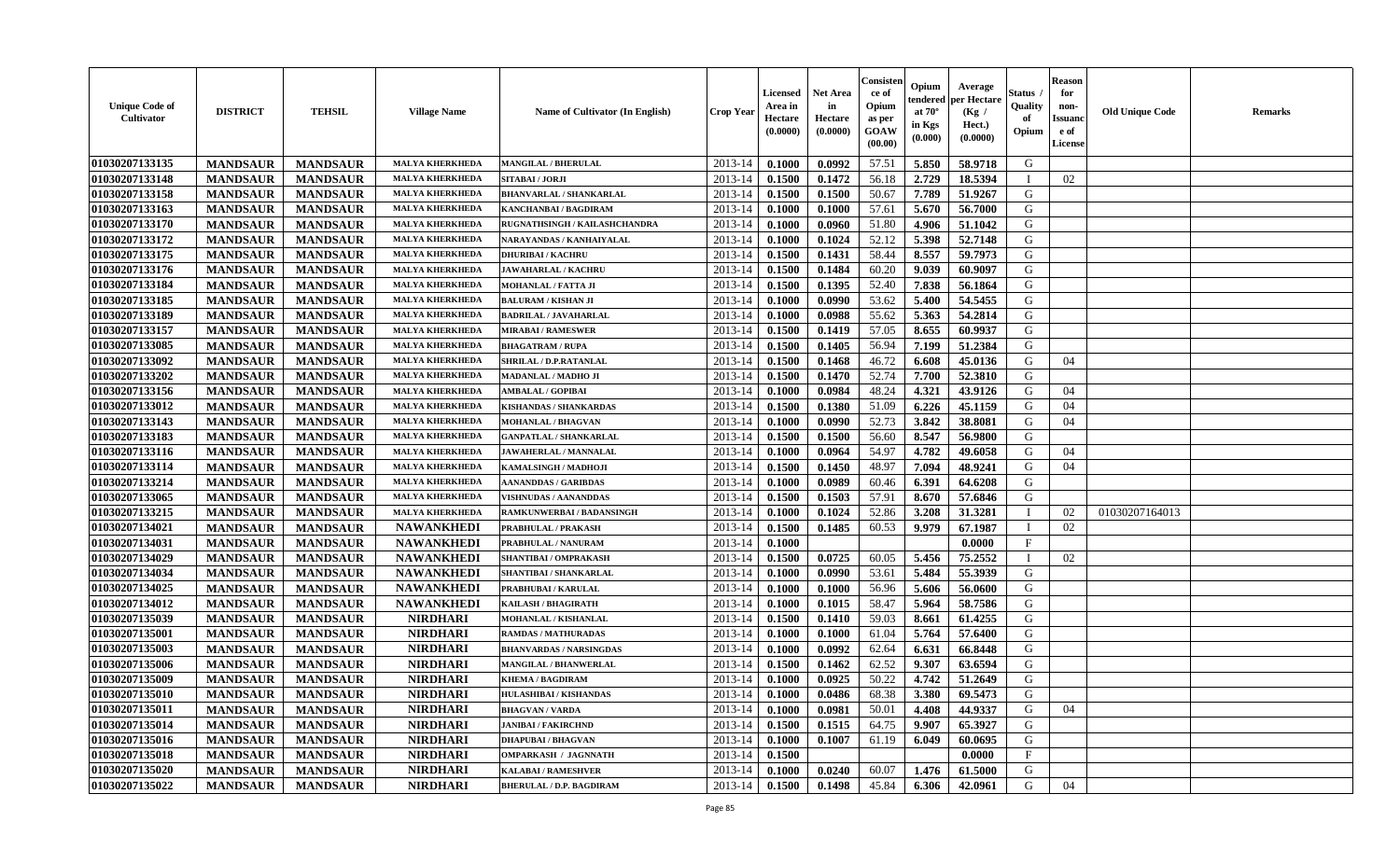| <b>Unique Code of</b><br><b>Cultivator</b> | <b>DISTRICT</b> | <b>TEHSIL</b>   | <b>Village Name</b>    | <b>Name of Cultivator (In English)</b>               | <b>Crop Year</b> | <b>Licensed</b><br>Area in<br>Hectare<br>(0.0000) | <b>Net Area</b><br>in<br>Hectare<br>(0.0000) | Consister<br>ce of<br>Opium<br>as per<br>GOAW<br>(00.00) | Opium<br>endered<br>at $70^{\circ}$<br>in Kgs<br>$(\mathbf{0.000})$ | Average<br>per Hectare<br>(Kg)<br>Hect.)<br>(0.0000) | Status<br>Quality<br>of<br>Opium | <b>Reason</b><br>for<br>non-<br><b>Issuano</b><br>e of<br>License | <b>Old Unique Code</b> | <b>Remarks</b> |
|--------------------------------------------|-----------------|-----------------|------------------------|------------------------------------------------------|------------------|---------------------------------------------------|----------------------------------------------|----------------------------------------------------------|---------------------------------------------------------------------|------------------------------------------------------|----------------------------------|-------------------------------------------------------------------|------------------------|----------------|
| 01030207133135                             | <b>MANDSAUR</b> | <b>MANDSAUR</b> | <b>MALYA KHERKHEDA</b> | <b>MANGILAL / BHERULAL</b>                           | 2013-14          | 0.1000                                            | 0.0992                                       | 57.51                                                    | 5.850                                                               | 58.9718                                              | G                                |                                                                   |                        |                |
| 01030207133148                             | <b>MANDSAUR</b> | <b>MANDSAUR</b> | <b>MALYA KHERKHEDA</b> | SITABAI / JORJI                                      | 2013-14          | 0.1500                                            | 0.1472                                       | 56.18                                                    | 2.729                                                               | 18.5394                                              | - 1                              | 02                                                                |                        |                |
| 01030207133158                             | <b>MANDSAUR</b> | <b>MANDSAUR</b> | <b>MALYA KHERKHEDA</b> | <b>BHANVARLAL / SHANKARLAL</b>                       | 2013-14          | 0.1500                                            | 0.1500                                       | 50.67                                                    | 7.789                                                               | 51.9267                                              | G                                |                                                                   |                        |                |
| 01030207133163                             | <b>MANDSAUR</b> | <b>MANDSAUR</b> | <b>MALYA KHERKHEDA</b> | KANCHANBAI / BAGDIRAM                                | 2013-14          | 0.1000                                            | 0.1000                                       | 57.61                                                    | 5.670                                                               | 56.7000                                              | G                                |                                                                   |                        |                |
| 01030207133170                             | <b>MANDSAUR</b> | <b>MANDSAUR</b> | <b>MALYA KHERKHEDA</b> | RUGNATHSINGH / KAILASHCHANDRA                        | 2013-14          | 0.1000                                            | 0.0960                                       | 51.80                                                    | 4.906                                                               | 51.1042                                              | G                                |                                                                   |                        |                |
| 01030207133172                             | <b>MANDSAUR</b> | <b>MANDSAUR</b> | <b>MALYA KHERKHEDA</b> | NARAYANDAS / KANHAIYALAL                             | 2013-14          | 0.1000                                            | 0.1024                                       | 52.12                                                    | 5.398                                                               | 52.7148                                              | G                                |                                                                   |                        |                |
| 01030207133175                             | <b>MANDSAUR</b> | <b>MANDSAUR</b> | <b>MALYA KHERKHEDA</b> | <b>DHURIBAI / KACHRU</b>                             | 2013-14          | 0.1500                                            | 0.1431                                       | 58.44                                                    | 8.557                                                               | 59.7973                                              | G                                |                                                                   |                        |                |
| 01030207133176                             | <b>MANDSAUR</b> | <b>MANDSAUR</b> | <b>MALYA KHERKHEDA</b> | <b>JAWAHARLAL / KACHRU</b>                           | 2013-14          | 0.1500                                            | 0.1484                                       | 60.20                                                    | 9.039                                                               | 60.9097                                              | G                                |                                                                   |                        |                |
| 01030207133184                             | <b>MANDSAUR</b> | <b>MANDSAUR</b> | <b>MALYA KHERKHED</b>  | MOHANLAL / FATTA JI                                  | 2013-14          | 0.1500                                            | 0.1395                                       | 52.40                                                    | 7.838                                                               | 56.1864                                              | G                                |                                                                   |                        |                |
| 01030207133185                             | <b>MANDSAUR</b> | <b>MANDSAUR</b> | <b>MALYA KHERKHEDA</b> | <b>BALURAM / KISHAN JI</b>                           | 2013-14          | 0.1000                                            | 0.0990                                       | 53.62                                                    | 5.400                                                               | 54.5455                                              | G                                |                                                                   |                        |                |
| 01030207133189                             | <b>MANDSAUR</b> | <b>MANDSAUR</b> | <b>MALYA KHERKHEDA</b> | <b>BADRILAL / JAVAHARLAL</b>                         | 2013-14          | 0.1000                                            | 0.0988                                       | 55.62                                                    | 5.363                                                               | 54.2814                                              | G                                |                                                                   |                        |                |
| 01030207133157                             | <b>MANDSAUR</b> | <b>MANDSAUR</b> | <b>MALYA KHERKHEDA</b> | <b>MIRABAI/RAMESWER</b>                              | 2013-14          | 0.1500                                            | 0.1419                                       | 57.05                                                    | 8.655                                                               | 60.9937                                              | G                                |                                                                   |                        |                |
| 01030207133085                             | <b>MANDSAUR</b> | <b>MANDSAUR</b> | <b>MALYA KHERKHEDA</b> | <b>BHAGATRAM / RUPA</b>                              | 2013-14          | 0.1500                                            | 0.1405                                       | 56.94                                                    | 7.199                                                               | 51.2384                                              | G                                |                                                                   |                        |                |
| 01030207133092                             | <b>MANDSAUR</b> | <b>MANDSAUR</b> | <b>MALYA KHERKHEDA</b> | SHRILAL / D.P.RATANLAL                               | 2013-14          | 0.1500                                            | 0.1468                                       | 46.72                                                    | 6.608                                                               | 45.0136                                              | G                                | 04                                                                |                        |                |
| 01030207133202                             | <b>MANDSAUR</b> | <b>MANDSAUR</b> | <b>MALYA KHERKHEDA</b> | <b>MADANLAL / MADHO JI</b>                           | 2013-14          | 0.1500                                            | 0.1470                                       | 52.74                                                    | 7.700                                                               | 52.3810                                              | G                                |                                                                   |                        |                |
| 01030207133156                             | <b>MANDSAUR</b> | <b>MANDSAUR</b> | <b>MALYA KHERKHEDA</b> | <b>AMBALAL / GOPIBAI</b>                             | 2013-14          | 0.1000                                            | 0.0984                                       | 48.24                                                    | 4.321                                                               | 43.9126                                              | G                                | 04                                                                |                        |                |
| 01030207133012                             | <b>MANDSAUR</b> | <b>MANDSAUR</b> | <b>MALYA KHERKHEDA</b> | <b>KISHANDAS / SHANKARDAS</b>                        | 2013-14          | 0.1500                                            | 0.1380                                       | 51.09                                                    | 6.226                                                               | 45.1159                                              | G                                | 04                                                                |                        |                |
| 01030207133143                             | <b>MANDSAUR</b> | <b>MANDSAUR</b> | <b>MALYA KHERKHEDA</b> | MOHANLAL / BHAGVAN                                   | 2013-14          | 0.1000                                            | 0.0990                                       | 52.73                                                    | 3.842                                                               | 38.8081                                              | G                                | 04                                                                |                        |                |
| 01030207133183                             | <b>MANDSAUR</b> | <b>MANDSAUR</b> | <b>MALYA KHERKHEDA</b> | <b>GANPATLAL / SHANKARLAL</b>                        | 2013-14          | 0.1500                                            | 0.1500                                       | 56.60                                                    | 8.547                                                               | 56.9800                                              | G                                |                                                                   |                        |                |
| 01030207133116                             | <b>MANDSAUR</b> | <b>MANDSAUR</b> | <b>MALYA KHERKHEDA</b> | JAWAHERLAL / MANNALAL                                | 2013-14          | 0.1000                                            | 0.0964                                       | 54.97                                                    | 4.782                                                               | 49.6058                                              | G                                | 04                                                                |                        |                |
| 01030207133114                             | <b>MANDSAUR</b> | <b>MANDSAUR</b> | <b>MALYA KHERKHEDA</b> | KAMALSINGH / MADHOJI                                 | 2013-14          | 0.1500                                            | 0.1450                                       | 48.97                                                    | 7.094                                                               | 48.9241                                              | G                                | 04                                                                |                        |                |
| 01030207133214                             | <b>MANDSAUR</b> | <b>MANDSAUR</b> | <b>MALYA KHERKHEDA</b> |                                                      | 2013-14          | 0.1000                                            | 0.0989                                       |                                                          | 6.391                                                               | 64.6208                                              | G                                |                                                                   |                        |                |
| 01030207133065                             | <b>MANDSAUR</b> | <b>MANDSAUR</b> | <b>MALYA KHERKHEDA</b> | AANANDDAS / GARIBDAS<br><b>VISHNUDAS / AANANDDAS</b> | 2013-14          | 0.1500                                            | 0.1503                                       | 60.46<br>57.91                                           | 8.670                                                               | 57.6846                                              | G                                |                                                                   |                        |                |
|                                            |                 |                 | <b>MALYA KHERKHEDA</b> |                                                      |                  |                                                   |                                              |                                                          |                                                                     |                                                      | - 1                              |                                                                   |                        |                |
| 01030207133215<br>01030207134021           | <b>MANDSAUR</b> | <b>MANDSAUR</b> |                        | <b>RAMKUNWERBAI/BADANSINGH</b>                       | 2013-14          | 0.1000                                            | 0.1024                                       | 52.86                                                    | 3.208                                                               | 31.3281                                              | - 1                              | 02                                                                | 01030207164013         |                |
|                                            | <b>MANDSAUR</b> | <b>MANDSAUR</b> | <b>NAWANKHEDI</b>      | PRABHULAL / PRAKASH                                  | 2013-14          | 0.1500                                            | 0.1485                                       | 60.53                                                    | 9.979                                                               | 67.1987                                              |                                  | 02                                                                |                        |                |
| 01030207134031                             | <b>MANDSAUR</b> | <b>MANDSAUR</b> | <b>NAWANKHEDI</b>      | PRABHULAL / NANURAM                                  | 2013-14          | 0.1000                                            |                                              |                                                          |                                                                     | 0.0000                                               | $_{\rm F}$                       |                                                                   |                        |                |
| 01030207134029                             | <b>MANDSAUR</b> | <b>MANDSAUR</b> | <b>NAWANKHEDI</b>      | SHANTIBAI / OMPRAKASH                                | 2013-14          | 0.1500                                            | 0.0725                                       | 60.05                                                    | 5.456                                                               | 75.2552                                              |                                  | 02                                                                |                        |                |
| 01030207134034                             | <b>MANDSAUR</b> | <b>MANDSAUR</b> | <b>NAWANKHEDI</b>      | SHANTIBAI / SHANKARLAL                               | 2013-14          | 0.1000                                            | 0.0990                                       | 53.61                                                    | 5.484                                                               | 55.3939                                              | G                                |                                                                   |                        |                |
| 01030207134025                             | <b>MANDSAUR</b> | <b>MANDSAUR</b> | <b>NAWANKHEDI</b>      | PRABHUBAI / KARULAL                                  | 2013-14          | 0.1000                                            | 0.1000                                       | 56.96                                                    | 5.606                                                               | 56.0600                                              | G                                |                                                                   |                        |                |
| 01030207134012                             | <b>MANDSAUR</b> | <b>MANDSAUR</b> | <b>NAWANKHEDI</b>      | KAILASH / BHAGIRATH                                  | 2013-14          | 0.1000                                            | 0.1015                                       | 58.47                                                    | 5.964                                                               | 58.7586                                              | G                                |                                                                   |                        |                |
| 01030207135039                             | <b>MANDSAUR</b> | <b>MANDSAUR</b> | <b>NIRDHARI</b>        | MOHANLAL / KISHANLAL                                 | 2013-14          | 0.1500                                            | 0.1410                                       | 59.03                                                    | 8.661                                                               | 61.4255                                              | G                                |                                                                   |                        |                |
| 01030207135001                             | <b>MANDSAUR</b> | <b>MANDSAUR</b> | <b>NIRDHARI</b>        | <b>RAMDAS / MATHURADAS</b>                           | 2013-14          | 0.1000                                            | 0.1000                                       | 61.04                                                    | 5.764                                                               | 57.6400                                              | G                                |                                                                   |                        |                |
| 01030207135003                             | <b>MANDSAUR</b> | <b>MANDSAUR</b> | <b>NIRDHARI</b>        | <b>BHANVARDAS / NARSINGDAS</b>                       | 2013-14          | 0.1000                                            | 0.0992                                       | 62.64                                                    | 6.631                                                               | 66.8448                                              | G                                |                                                                   |                        |                |
| 01030207135006                             | <b>MANDSAUR</b> | <b>MANDSAUR</b> | <b>NIRDHARI</b>        | <b>MANGILAL / BHANWERLAL</b>                         | 2013-14          | 0.1500                                            | 0.1462                                       | 62.52                                                    | 9.307                                                               | 63.6594                                              | G                                |                                                                   |                        |                |
| 01030207135009                             | <b>MANDSAUR</b> | <b>MANDSAUR</b> | <b>NIRDHARI</b>        | <b>KHEMA / BAGDIRAM</b>                              | 2013-14          | 0.1000                                            | 0.0925                                       | 50.22                                                    | 4.742                                                               | 51.2649                                              | G                                |                                                                   |                        |                |
| 01030207135010                             | <b>MANDSAUR</b> | <b>MANDSAUR</b> | <b>NIRDHARI</b>        | HULASHIBAI / KISHANDAS                               | $2013-14$ 0.1000 |                                                   | 0.0486                                       | 68.38                                                    | 3.380                                                               | 69.5473                                              | G                                |                                                                   |                        |                |
| 01030207135011                             | <b>MANDSAUR</b> | <b>MANDSAUR</b> | <b>NIRDHARI</b>        | <b>BHAGVAN / VARDA</b>                               | 2013-14          | 0.1000                                            | 0.0981                                       | 50.01                                                    | 4.408                                                               | 44.9337                                              | G                                | 04                                                                |                        |                |
| 01030207135014                             | <b>MANDSAUR</b> | <b>MANDSAUR</b> | <b>NIRDHARI</b>        | <b>JANIBAI / FAKIRCHND</b>                           | 2013-14          | 0.1500                                            | 0.1515                                       | 64.75                                                    | 9.907                                                               | 65.3927                                              | G                                |                                                                   |                        |                |
| 01030207135016                             | <b>MANDSAUR</b> | <b>MANDSAUR</b> | <b>NIRDHARI</b>        | <b>DHAPUBAI/BHAGVAN</b>                              | 2013-14          | 0.1000                                            | 0.1007                                       | 61.19                                                    | 6.049                                                               | 60.0695                                              | G                                |                                                                   |                        |                |
| 01030207135018                             | <b>MANDSAUR</b> | <b>MANDSAUR</b> | <b>NIRDHARI</b>        | <b>OMPARKASH / JAGNNATH</b>                          | 2013-14          | 0.1500                                            |                                              |                                                          |                                                                     | 0.0000                                               | $\mathbf{F}$                     |                                                                   |                        |                |
| 01030207135020                             | <b>MANDSAUR</b> | <b>MANDSAUR</b> | <b>NIRDHARI</b>        | <b>KALABAI/RAMESHVER</b>                             | 2013-14          | 0.1000                                            | 0.0240                                       | 60.07                                                    | 1.476                                                               | 61.5000                                              | G                                |                                                                   |                        |                |
| 01030207135022                             | <b>MANDSAUR</b> | <b>MANDSAUR</b> | <b>NIRDHARI</b>        | <b>BHERULAL / D.P. BAGDIRAM</b>                      | $2013 - 14$      | 0.1500                                            | 0.1498                                       | 45.84                                                    | 6.306                                                               | 42.0961                                              | G                                | 04                                                                |                        |                |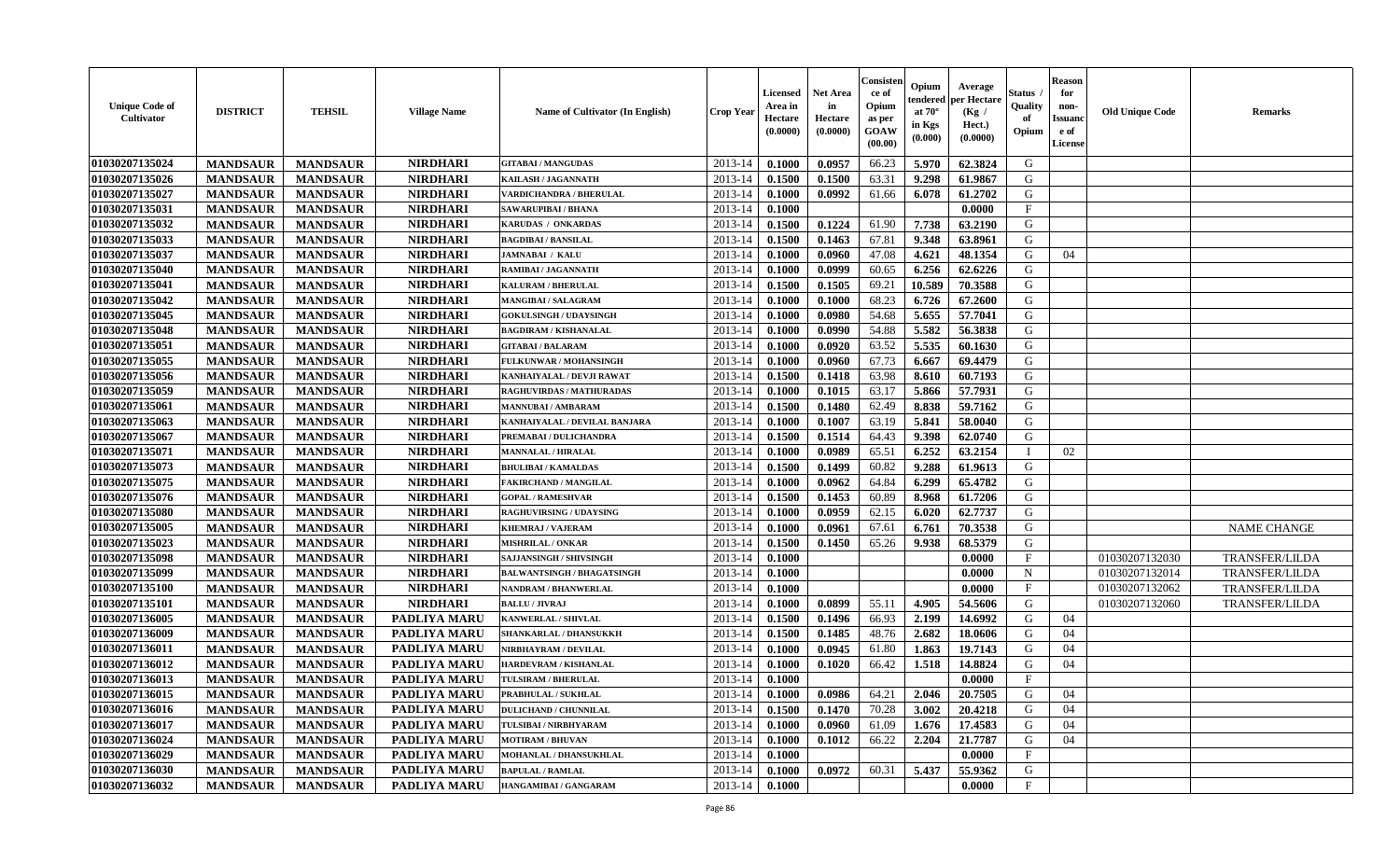| <b>Unique Code of</b><br><b>Cultivator</b> | <b>DISTRICT</b> | <b>TEHSIL</b>   | <b>Village Name</b> | <b>Name of Cultivator (In English)</b> | <b>Crop Year</b> | <b>Licensed</b><br>Area in<br>Hectare<br>(0.0000) | <b>Net Area</b><br>in<br>Hectare<br>(0.0000) | Consister<br>ce of<br>Opium<br>as per<br><b>GOAW</b><br>(00.00) | Opium<br>endered<br>at $70^\circ$<br>in Kgs<br>$(\mathbf{0.000})$ | Average<br>per Hectare<br>(Kg)<br>Hect.)<br>(0.0000) | Status<br>Quality<br>of<br>Opium | <b>Reason</b><br>for<br>non-<br><b>Issuano</b><br>e of<br>License | <b>Old Unique Code</b> | <b>Remarks</b>        |
|--------------------------------------------|-----------------|-----------------|---------------------|----------------------------------------|------------------|---------------------------------------------------|----------------------------------------------|-----------------------------------------------------------------|-------------------------------------------------------------------|------------------------------------------------------|----------------------------------|-------------------------------------------------------------------|------------------------|-----------------------|
| 01030207135024                             | <b>MANDSAUR</b> | <b>MANDSAUR</b> | <b>NIRDHARI</b>     | <b>GITABAI/MANGUDAS</b>                | 2013-14          | 0.1000                                            | 0.0957                                       | 66.23                                                           | 5.970                                                             | 62.3824                                              | G                                |                                                                   |                        |                       |
| 01030207135026                             | <b>MANDSAUR</b> | <b>MANDSAUR</b> | <b>NIRDHARI</b>     | KAILASH / JAGANNATH                    | 2013-14          | 0.1500                                            | 0.1500                                       | 63.31                                                           | 9.298                                                             | 61.9867                                              | G                                |                                                                   |                        |                       |
| 01030207135027                             | <b>MANDSAUR</b> | <b>MANDSAUR</b> | <b>NIRDHARI</b>     | VARDICHANDRA / BHERULAL                | 2013-14          | 0.1000                                            | 0.0992                                       | 61.66                                                           | 6.078                                                             | 61.2702                                              | G                                |                                                                   |                        |                       |
| 01030207135031                             | <b>MANDSAUR</b> | <b>MANDSAUR</b> | <b>NIRDHARI</b>     | SAWARUPIBAI / BHANA                    | 2013-14          | 0.1000                                            |                                              |                                                                 |                                                                   | 0.0000                                               | F                                |                                                                   |                        |                       |
| 01030207135032                             | <b>MANDSAUR</b> | <b>MANDSAUR</b> | <b>NIRDHARI</b>     | KARUDAS / ONKARDAS                     | 2013-14          | 0.1500                                            | 0.1224                                       | 61.90                                                           | 7.738                                                             | 63.2190                                              | G                                |                                                                   |                        |                       |
| 01030207135033                             | <b>MANDSAUR</b> | <b>MANDSAUR</b> | <b>NIRDHARI</b>     | <b>BAGDIBAI / BANSILAL</b>             | 2013-14          | 0.1500                                            | 0.1463                                       | 67.81                                                           | 9.348                                                             | 63.8961                                              | G                                |                                                                   |                        |                       |
| 01030207135037                             | <b>MANDSAUR</b> | <b>MANDSAUR</b> | <b>NIRDHARI</b>     | <b>JAMNABAI / KALU</b>                 | 2013-14          | 0.1000                                            | 0.0960                                       | 47.08                                                           | 4.621                                                             | 48.1354                                              | G                                | 04                                                                |                        |                       |
| 01030207135040                             | <b>MANDSAUR</b> | <b>MANDSAUR</b> | <b>NIRDHARI</b>     | RAMIBAI / JAGANNATH                    | 2013-14          | 0.1000                                            | 0.0999                                       | 60.65                                                           | 6.256                                                             | 62.6226                                              | G                                |                                                                   |                        |                       |
| 01030207135041                             | <b>MANDSAUR</b> | <b>MANDSAUR</b> | <b>NIRDHARI</b>     | <b>KALURAM / BHERULAL</b>              | 2013-14          | 0.1500                                            | 0.1505                                       | 69.21                                                           | 10.589                                                            | 70.3588                                              | G                                |                                                                   |                        |                       |
| 01030207135042                             | <b>MANDSAUR</b> | <b>MANDSAUR</b> | <b>NIRDHARI</b>     | MANGIBAI / SALAGRAM                    | 2013-14          | 0.1000                                            | 0.1000                                       | 68.23                                                           | 6.726                                                             | 67.2600                                              | G                                |                                                                   |                        |                       |
| 01030207135045                             | <b>MANDSAUR</b> | <b>MANDSAUR</b> | <b>NIRDHARI</b>     | <b>GOKULSINGH / UDAYSINGH</b>          | 2013-14          | 0.1000                                            | 0.0980                                       | 54.68                                                           | 5.655                                                             | 57.7041                                              | G                                |                                                                   |                        |                       |
| 01030207135048                             | <b>MANDSAUR</b> | <b>MANDSAUR</b> | <b>NIRDHARI</b>     | <b>BAGDIRAM / KISHANALAL</b>           | 2013-14          | 0.1000                                            | 0.0990                                       | 54.88                                                           | 5.582                                                             | 56.3838                                              | G                                |                                                                   |                        |                       |
| 01030207135051                             | <b>MANDSAUR</b> | <b>MANDSAUR</b> | <b>NIRDHARI</b>     | <b>GITABAI/BALARAM</b>                 | 2013-14          | 0.1000                                            | 0.0920                                       | 63.52                                                           | 5.535                                                             | 60.1630                                              | G                                |                                                                   |                        |                       |
| 01030207135055                             | <b>MANDSAUR</b> | <b>MANDSAUR</b> | <b>NIRDHARI</b>     | FULKUNWAR / MOHANSINGH                 | 2013-14          | 0.1000                                            | 0.0960                                       | 67.73                                                           | 6.667                                                             | 69.4479                                              | G                                |                                                                   |                        |                       |
| 01030207135056                             | <b>MANDSAUR</b> | <b>MANDSAUR</b> | <b>NIRDHARI</b>     | KANHAIYALAL / DEVJI RAWAT              | 2013-14          | 0.1500                                            | 0.1418                                       | 63.98                                                           | 8.610                                                             | 60.7193                                              | G                                |                                                                   |                        |                       |
| 01030207135059                             | <b>MANDSAUR</b> | <b>MANDSAUR</b> | <b>NIRDHARI</b>     | RAGHUVIRDAS / MATHURADAS               | 2013-14          | 0.1000                                            | 0.1015                                       | 63.17                                                           | 5.866                                                             | 57.7931                                              | G                                |                                                                   |                        |                       |
| 01030207135061                             | <b>MANDSAUR</b> | <b>MANDSAUR</b> | <b>NIRDHARI</b>     | <b>MANNUBAI / AMBARAM</b>              | 2013-14          | 0.1500                                            | 0.1480                                       | 62.49                                                           | 8.838                                                             | 59.7162                                              | G                                |                                                                   |                        |                       |
| 01030207135063                             | <b>MANDSAUR</b> | <b>MANDSAUR</b> | <b>NIRDHARI</b>     | KANHAIYALAL / DEVILAL BANJARA          | 2013-14          | 0.1000                                            | 0.1007                                       | 63.19                                                           | 5.841                                                             | 58.0040                                              | G                                |                                                                   |                        |                       |
| 01030207135067                             | <b>MANDSAUR</b> | <b>MANDSAUR</b> | <b>NIRDHARI</b>     | PREMABAI / DULICHANDRA                 | 2013-14          | 0.1500                                            | 0.1514                                       | 64.43                                                           | 9.398                                                             | 62.0740                                              | G                                |                                                                   |                        |                       |
| 01030207135071                             | <b>MANDSAUR</b> | <b>MANDSAUR</b> | <b>NIRDHARI</b>     | <b>MANNALAL / HIRALAL</b>              | 2013-14          | 0.1000                                            | 0.0989                                       | 65.51                                                           | 6.252                                                             | 63.2154                                              | - 1                              | 02                                                                |                        |                       |
| 01030207135073                             | <b>MANDSAUR</b> | <b>MANDSAUR</b> | <b>NIRDHARI</b>     | <b>BHULIBAI / KAMALDAS</b>             | 2013-14          | 0.1500                                            | 0.1499                                       | 60.82                                                           | 9.288                                                             | 61.9613                                              | G                                |                                                                   |                        |                       |
| 01030207135075                             | <b>MANDSAUR</b> | <b>MANDSAUR</b> | <b>NIRDHARI</b>     | <b>FAKIRCHAND / MANGILAL</b>           | 2013-14          | 0.1000                                            | 0.0962                                       | 64.84                                                           | 6.299                                                             | 65,4782                                              | G                                |                                                                   |                        |                       |
| 01030207135076                             | <b>MANDSAUR</b> | <b>MANDSAUR</b> | <b>NIRDHARI</b>     | <b>GOPAL / RAMESHVAR</b>               | 2013-14          | 0.1500                                            | 0.1453                                       | 60.89                                                           | 8.968                                                             | 61.7206                                              | G                                |                                                                   |                        |                       |
| 01030207135080                             | <b>MANDSAUR</b> | <b>MANDSAUR</b> | <b>NIRDHARI</b>     | <b>RAGHUVIRSING / UDAYSING</b>         | 2013-14          | 0.1000                                            | 0.0959                                       | 62.15                                                           | 6.020                                                             | 62,7737                                              | G                                |                                                                   |                        |                       |
| 01030207135005                             | <b>MANDSAUR</b> | <b>MANDSAUR</b> | <b>NIRDHARI</b>     | <b>KHEMRAJ / VAJERAM</b>               | 2013-14          | 0.1000                                            | 0.0961                                       | 67.61                                                           | 6.761                                                             | 70.3538                                              | G                                |                                                                   |                        | <b>NAME CHANGE</b>    |
| 01030207135023                             | <b>MANDSAUR</b> | <b>MANDSAUR</b> | <b>NIRDHARI</b>     | <b>MISHRILAL / ONKAR</b>               | 2013-14          | 0.1500                                            | 0.1450                                       | 65.26                                                           | 9.938                                                             | 68.5379                                              | G                                |                                                                   |                        |                       |
| 01030207135098                             | <b>MANDSAUR</b> | <b>MANDSAUR</b> | <b>NIRDHARI</b>     | SAJJANSINGH / SHIVSINGH                | 2013-14          | 0.1000                                            |                                              |                                                                 |                                                                   | 0.0000                                               | $\mathbf{F}$                     |                                                                   | 01030207132030         | <b>TRANSFER/LILDA</b> |
| 01030207135099                             | <b>MANDSAUR</b> | <b>MANDSAUR</b> | <b>NIRDHARI</b>     | <b>BALWANTSINGH / BHAGATSINGH</b>      | 2013-14          | 0.1000                                            |                                              |                                                                 |                                                                   | 0.0000                                               | $\mathbf N$                      |                                                                   | 01030207132014         | <b>TRANSFER/LILDA</b> |
| 01030207135100                             | <b>MANDSAUR</b> | <b>MANDSAUR</b> | <b>NIRDHARI</b>     | <b>NANDRAM / BHANWERLAL</b>            | 2013-14          | 0.1000                                            |                                              |                                                                 |                                                                   | 0.0000                                               | $_{\rm F}$                       |                                                                   | 01030207132062         | <b>TRANSFER/LILDA</b> |
| 01030207135101                             | <b>MANDSAUR</b> | <b>MANDSAUR</b> | <b>NIRDHARI</b>     | <b>BALLU / JIVRAJ</b>                  | 2013-14          | 0.1000                                            | 0.0899                                       | 55.11                                                           | 4.905                                                             | 54.5606                                              | G                                |                                                                   | 01030207132060         | <b>TRANSFER/LILDA</b> |
| 01030207136005                             | <b>MANDSAUR</b> | <b>MANDSAUR</b> | <b>PADLIYA MARU</b> | KANWERLAL / SHIVLAL                    | 2013-14          | 0.1500                                            | 0.1496                                       | 66.93                                                           | 2.199                                                             | 14.6992                                              | G                                | 04                                                                |                        |                       |
| 01030207136009                             | <b>MANDSAUR</b> | <b>MANDSAUR</b> | PADLIYA MARU        | SHANKARLAL / DHANSUKKH                 | 2013-14          | 0.1500                                            | 0.1485                                       | 48.76                                                           | 2.682                                                             | 18.0606                                              | G                                | 04                                                                |                        |                       |
| 01030207136011                             | <b>MANDSAUR</b> | <b>MANDSAUR</b> | <b>PADLIYA MARU</b> | NIRBHAYRAM / DEVILAL                   | 2013-14          | 0.1000                                            | 0.0945                                       | 61.80                                                           | 1.863                                                             | 19.7143                                              | G                                | 04                                                                |                        |                       |
| 01030207136012                             | <b>MANDSAUR</b> | <b>MANDSAUR</b> | <b>PADLIYA MARU</b> | HARDEVRAM / KISHANLAL                  | 2013-14          | 0.1000                                            | 0.1020                                       | 66.42                                                           | 1.518                                                             | 14.8824                                              | G                                | 04                                                                |                        |                       |
| 01030207136013                             | <b>MANDSAUR</b> | <b>MANDSAUR</b> | PADLIYA MARU        | TULSIRAM / BHERULAL                    | 2013-14          | 0.1000                                            |                                              |                                                                 |                                                                   | 0.0000                                               | $\mathbf{F}$                     |                                                                   |                        |                       |
| 01030207136015                             | <b>MANDSAUR</b> | <b>MANDSAUR</b> | <b>PADLIYA MARU</b> | PRABHULAL / SUKHLAL                    | $2013-14$ 0.1000 |                                                   | 0.0986                                       | 64.21                                                           | 2.046                                                             | 20.7505                                              | G                                | 04                                                                |                        |                       |
| 01030207136016                             | <b>MANDSAUR</b> | <b>MANDSAUR</b> | <b>PADLIYA MARU</b> | <b>DULICHAND / CHUNNILAL</b>           | 2013-14          | 0.1500                                            | 0.1470                                       | 70.28                                                           | 3.002                                                             | 20.4218                                              | G                                | 04                                                                |                        |                       |
| 01030207136017                             | <b>MANDSAUR</b> | <b>MANDSAUR</b> | <b>PADLIYA MARU</b> | TULSIBAI / NIRBHYARAM                  | 2013-14          | 0.1000                                            | 0.0960                                       | 61.09                                                           | 1.676                                                             | 17.4583                                              | G                                | 04                                                                |                        |                       |
| 01030207136024                             | <b>MANDSAUR</b> | <b>MANDSAUR</b> | PADLIYA MARU        | <b>MOTIRAM / BHUVAN</b>                | 2013-14          | 0.1000                                            | 0.1012                                       | 66.22                                                           | 2.204                                                             | 21.7787                                              | G                                | 04                                                                |                        |                       |
| 01030207136029                             | <b>MANDSAUR</b> | <b>MANDSAUR</b> | <b>PADLIYA MARU</b> | MOHANLAL / DHANSUKHLAL                 | 2013-14          | 0.1000                                            |                                              |                                                                 |                                                                   | 0.0000                                               | $\mathbf{F}$                     |                                                                   |                        |                       |
| 01030207136030                             | <b>MANDSAUR</b> | <b>MANDSAUR</b> | PADLIYA MARU        | <b>BAPULAL / RAMLAL</b>                | 2013-14          | 0.1000                                            | 0.0972                                       | 60.31                                                           | 5.437                                                             | 55.9362                                              | G                                |                                                                   |                        |                       |
| 01030207136032                             | <b>MANDSAUR</b> | <b>MANDSAUR</b> | PADLIYA MARU        | <b>HANGAMIBAI/GANGARAM</b>             | 2013-14          | 0.1000                                            |                                              |                                                                 |                                                                   | 0.0000                                               | $\mathbf{F}$                     |                                                                   |                        |                       |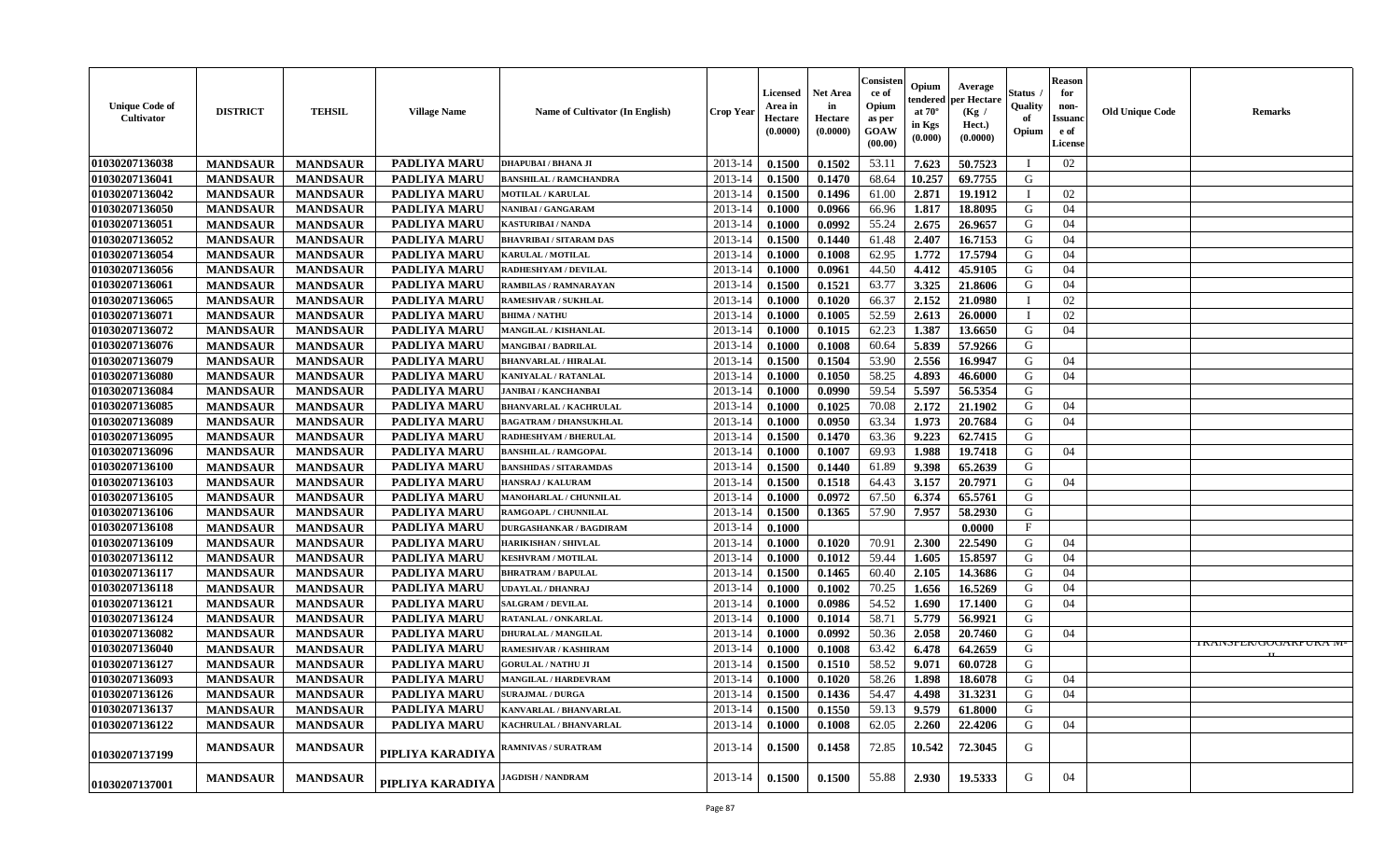| <b>Unique Code of</b><br><b>Cultivator</b> | <b>DISTRICT</b> | <b>TEHSIL</b>   | <b>Village Name</b> | Name of Cultivator (In English) | <b>Crop Year</b> | <b>Licensed</b><br>Area in<br>Hectare<br>(0.0000) | <b>Net Area</b><br>in<br>Hectare<br>(0.0000) | Consister<br>ce of<br>Opium<br>as per<br><b>GOAW</b><br>(00.00) | Opium<br>endered<br>at $70^\circ$<br>in Kgs<br>$(\mathbf{0.000})$ | Average<br>per Hectare<br>(Kg /<br>Hect.)<br>(0.0000) | Status<br>Quality<br>of<br>Opium | <b>Reason</b><br>for<br>non-<br><b>Issuano</b><br>e of<br>License | <b>Old Unique Code</b> | <b>Remarks</b>                    |
|--------------------------------------------|-----------------|-----------------|---------------------|---------------------------------|------------------|---------------------------------------------------|----------------------------------------------|-----------------------------------------------------------------|-------------------------------------------------------------------|-------------------------------------------------------|----------------------------------|-------------------------------------------------------------------|------------------------|-----------------------------------|
| 01030207136038                             | <b>MANDSAUR</b> | <b>MANDSAUR</b> | <b>PADLIYA MARU</b> | DHAPUBAI / BHANA JI             | 2013-14          | 0.1500                                            | 0.1502                                       | 53.11                                                           | 7.623                                                             | 50.7523                                               |                                  | 02                                                                |                        |                                   |
| 01030207136041                             | <b>MANDSAUR</b> | <b>MANDSAUR</b> | PADLIYA MARU        | <b>BANSHILAL / RAMCHANDRA</b>   | 2013-14          | 0.1500                                            | 0.1470                                       | 68.64                                                           | 10.257                                                            | 69.7755                                               | G                                |                                                                   |                        |                                   |
| 01030207136042                             | <b>MANDSAUR</b> | <b>MANDSAUR</b> | <b>PADLIYA MARU</b> | MOTILAL / KARULAL               | 2013-14          | 0.1500                                            | 0.1496                                       | 61.00                                                           | 2.871                                                             | 19.1912                                               |                                  | 02                                                                |                        |                                   |
| 01030207136050                             | <b>MANDSAUR</b> | <b>MANDSAUR</b> | <b>PADLIYA MARU</b> | NANIBAI / GANGARAM              | 2013-14          | 0.1000                                            | 0.0966                                       | 66.96                                                           | 1.817                                                             | 18.8095                                               | G                                | 04                                                                |                        |                                   |
| 01030207136051                             | <b>MANDSAUR</b> | <b>MANDSAUR</b> | <b>PADLIYA MARU</b> | KASTURIBAI / NANDA              | 2013-14          | 0.1000                                            | 0.0992                                       | 55.24                                                           | 2.675                                                             | 26.9657                                               | G                                | 04                                                                |                        |                                   |
| 01030207136052                             | <b>MANDSAUR</b> | <b>MANDSAUR</b> | <b>PADLIYA MARU</b> | <b>BHAVRIBAI / SITARAM DAS</b>  | 2013-14          | 0.1500                                            | 0.1440                                       | 61.48                                                           | 2.407                                                             | 16.7153                                               | G                                | 04                                                                |                        |                                   |
| 01030207136054                             | <b>MANDSAUR</b> | <b>MANDSAUR</b> | <b>PADLIYA MARU</b> | <b>KARULAL / MOTILAL</b>        | 2013-14          | 0.1000                                            | 0.1008                                       | 62.95                                                           | 1.772                                                             | 17.5794                                               | G                                | 04                                                                |                        |                                   |
| 01030207136056                             | <b>MANDSAUR</b> | <b>MANDSAUR</b> | <b>PADLIYA MARU</b> | RADHESHYAM / DEVILAL            | 2013-14          | 0.1000                                            | 0.0961                                       | 44.50                                                           | 4.412                                                             | 45.9105                                               | G                                | 04                                                                |                        |                                   |
| 01030207136061                             | <b>MANDSAUR</b> | <b>MANDSAUR</b> | PADLIYA MARU        | RAMBILAS / RAMNARAYAN           | 2013-14          | 0.1500                                            | 0.1521                                       | 63.77                                                           | 3.325                                                             | 21.8606                                               | G                                | 04                                                                |                        |                                   |
| 01030207136065                             | <b>MANDSAUR</b> | <b>MANDSAUR</b> | <b>PADLIYA MARU</b> | <b>RAMESHVAR / SUKHLAL</b>      | 2013-14          | 0.1000                                            | 0.1020                                       | 66.37                                                           | 2.152                                                             | 21.0980                                               |                                  | 02                                                                |                        |                                   |
| 01030207136071                             | <b>MANDSAUR</b> | <b>MANDSAUR</b> | PADLIYA MARU        | <b>BHIMA / NATHU</b>            | 2013-14          | 0.1000                                            | 0.1005                                       | 52.59                                                           | 2.613                                                             | 26.0000                                               | $\blacksquare$                   | 02                                                                |                        |                                   |
| 01030207136072                             | <b>MANDSAUR</b> | <b>MANDSAUR</b> | <b>PADLIYA MARU</b> | MANGILAL / KISHANLAL            | 2013-14          | 0.1000                                            | 0.1015                                       | 62.23                                                           | 1.387                                                             | 13.6650                                               | G                                | 04                                                                |                        |                                   |
| 01030207136076                             | <b>MANDSAUR</b> | <b>MANDSAUR</b> | PADLIYA MARU        | <b>MANGIBAI/BADRILAL</b>        | 2013-14          | 0.1000                                            | 0.1008                                       | 60.64                                                           | 5.839                                                             | 57.9266                                               | G                                |                                                                   |                        |                                   |
| 01030207136079                             | <b>MANDSAUR</b> | <b>MANDSAUR</b> | <b>PADLIYA MARU</b> | <b>BHANVARLAL / HIRALAL</b>     | 2013-14          | 0.1500                                            | 0.1504                                       | 53.90                                                           | 2.556                                                             | 16.9947                                               | G                                | 04                                                                |                        |                                   |
| 01030207136080                             | <b>MANDSAUR</b> | <b>MANDSAUR</b> | <b>PADLIYA MARU</b> | KANIYALAL / RATANLAL            | 2013-14          | 0.1000                                            | 0.1050                                       | 58.25                                                           | 4.893                                                             | 46.6000                                               | G                                | 04                                                                |                        |                                   |
| 01030207136084                             | <b>MANDSAUR</b> | <b>MANDSAUR</b> | <b>PADLIYA MARU</b> | <b>JANIBAI / KANCHANBAI</b>     | 2013-14          | 0.1000                                            | 0.0990                                       | 59.54                                                           | 5.597                                                             | 56.5354                                               | G                                |                                                                   |                        |                                   |
| 01030207136085                             | <b>MANDSAUR</b> | <b>MANDSAUR</b> | PADLIYA MARU        | <b>BHANVARLAL / KACHRULAL</b>   | 2013-14          | 0.1000                                            | 0.1025                                       | 70.08                                                           | 2.172                                                             | 21.1902                                               | G                                | 04                                                                |                        |                                   |
| 01030207136089                             | <b>MANDSAUR</b> | <b>MANDSAUR</b> | PADLIYA MARU        | <b>BAGATRAM / DHANSUKHLAL</b>   | 2013-14          | 0.1000                                            | 0.0950                                       | 63.34                                                           | 1.973                                                             | 20.7684                                               | G                                | 04                                                                |                        |                                   |
| 01030207136095                             | <b>MANDSAUR</b> | <b>MANDSAUR</b> | PADLIYA MARU        | RADHESHYAM / BHERULAL           | 2013-14          | 0.1500                                            | 0.1470                                       | 63.36                                                           | 9.223                                                             | 62.7415                                               | G                                |                                                                   |                        |                                   |
| 01030207136096                             | <b>MANDSAUR</b> | <b>MANDSAUR</b> | PADLIYA MARU        | <b>BANSHILAL / RAMGOPAL</b>     | 2013-14          | 0.1000                                            | 0.1007                                       | 69.93                                                           | 1.988                                                             | 19.7418                                               | G                                | 04                                                                |                        |                                   |
| 01030207136100                             | <b>MANDSAUR</b> | <b>MANDSAUR</b> | <b>PADLIYA MARU</b> | <b>BANSHIDAS / SITARAMDAS</b>   | 2013-14          | 0.1500                                            | 0.1440                                       | 61.89                                                           | 9.398                                                             | 65.2639                                               | G                                |                                                                   |                        |                                   |
| 01030207136103                             | <b>MANDSAUR</b> | <b>MANDSAUR</b> | <b>PADLIYA MARU</b> | HANSRAJ / KALURAM               | 2013-14          | 0.1500                                            | 0.1518                                       | 64.43                                                           | 3.157                                                             | 20.7971                                               | G                                | 04                                                                |                        |                                   |
| 01030207136105                             | <b>MANDSAUR</b> | <b>MANDSAUR</b> | <b>PADLIYA MARU</b> | <b>MANOHARLAL / CHUNNILAL</b>   | 2013-14          | 0.1000                                            | 0.0972                                       | 67.50                                                           | 6.374                                                             | 65.5761                                               | G                                |                                                                   |                        |                                   |
| 01030207136106                             | <b>MANDSAUR</b> | <b>MANDSAUR</b> | PADLIYA MARU        | RAMGOAPL / CHUNNILAL            | 2013-14          | 0.1500                                            | 0.1365                                       | 57.90                                                           | 7.957                                                             | 58.2930                                               | G                                |                                                                   |                        |                                   |
| 01030207136108                             | <b>MANDSAUR</b> | <b>MANDSAUR</b> | PADLIYA MARU        | <b>DURGASHANKAR / BAGDIRAM</b>  | 2013-14          | 0.1000                                            |                                              |                                                                 |                                                                   | 0.0000                                                | $\mathbf{F}$                     |                                                                   |                        |                                   |
| 01030207136109                             | <b>MANDSAUR</b> | <b>MANDSAUR</b> | <b>PADLIYA MARU</b> | HARIKISHAN / SHIVLAL            | 2013-14          | 0.1000                                            | 0.1020                                       | 70.91                                                           | 2.300                                                             | 22.5490                                               | G                                | 04                                                                |                        |                                   |
| 01030207136112                             | <b>MANDSAUR</b> | <b>MANDSAUR</b> | <b>PADLIYA MARU</b> | <b>KESHVRAM / MOTILAL</b>       | 2013-14          | 0.1000                                            | 0.1012                                       | 59.44                                                           | 1.605                                                             | 15.8597                                               | G                                | 04                                                                |                        |                                   |
| 01030207136117                             | <b>MANDSAUR</b> | <b>MANDSAUR</b> | <b>PADLIYA MARU</b> | <b>BHRATRAM / BAPULAL</b>       | 2013-14          | 0.1500                                            | 0.1465                                       | 60.40                                                           | 2.105                                                             | 14.3686                                               | G                                | 04                                                                |                        |                                   |
| 01030207136118                             | <b>MANDSAUR</b> | <b>MANDSAUR</b> | <b>PADLIYA MARU</b> | <b>UDAYLAL / DHANRAJ</b>        | 2013-14          | 0.1000                                            | 0.1002                                       | 70.25                                                           | 1.656                                                             | 16.5269                                               | G                                | 04                                                                |                        |                                   |
| 01030207136121                             | <b>MANDSAUR</b> | <b>MANDSAUR</b> | PADLIYA MARU        | <b>SALGRAM / DEVILAL</b>        | 2013-14          | 0.1000                                            | 0.0986                                       | 54.52                                                           | 1.690                                                             | 17.1400                                               | G                                | 04                                                                |                        |                                   |
| 01030207136124                             | <b>MANDSAUR</b> | <b>MANDSAUR</b> | PADLIYA MARU        | RATANLAL / ONKARLAL             | 2013-14          | 0.1000                                            | 0.1014                                       | 58.71                                                           | 5.779                                                             | 56.9921                                               | G                                |                                                                   |                        |                                   |
| 01030207136082                             | <b>MANDSAUR</b> | <b>MANDSAUR</b> | PADLIYA MARU        | <b>DHURALAL / MANGILAL</b>      | 2013-14          | 0.1000                                            | 0.0992                                       | 50.36                                                           | 2.058                                                             | 20.7460                                               | G                                | 04                                                                |                        |                                   |
| 01030207136040                             | <b>MANDSAUR</b> | <b>MANDSAUR</b> | <b>PADLIYA MARU</b> | RAMESHVAR / KASHIRAM            | 2013-14          | 0.1000                                            | 0.1008                                       | 63.42                                                           | 6.478                                                             | 64.2659                                               | G                                |                                                                   |                        | <b>I KAINSFEK/UUUAKI UKA IVI-</b> |
| 01030207136127                             | <b>MANDSAUR</b> | <b>MANDSAUR</b> | <b>PADLIYA MARU</b> | <b>GORULAL / NATHU JI</b>       | 2013-14          | 0.1500                                            | 0.1510                                       | 58.52                                                           | 9.071                                                             | 60.0728                                               | G                                |                                                                   |                        |                                   |
| 01030207136093                             | <b>MANDSAUR</b> | <b>MANDSAUR</b> | PADLIYA MARU        | MANGILAL / HARDEVRAM            | 2013-14          | 0.1000                                            | 0.1020                                       | 58.26                                                           | 1.898                                                             | 18.6078                                               | G                                | 04                                                                |                        |                                   |
| 01030207136126                             | <b>MANDSAUR</b> | <b>MANDSAUR</b> | <b>PADLIYA MARU</b> | <b>SURAJMAL / DURGA</b>         | $2013-14$ 0.1500 |                                                   | 0.1436                                       | 54.47                                                           | 4.498                                                             | 31.3231                                               | G                                | 04                                                                |                        |                                   |
| 01030207136137                             | <b>MANDSAUR</b> | <b>MANDSAUR</b> | <b>PADLIYA MARU</b> | KANVARLAL / BHANVARLAL          | 2013-14          | 0.1500                                            | 0.1550                                       | 59.13                                                           | 9.579                                                             | 61.8000                                               | G                                |                                                                   |                        |                                   |
| 01030207136122                             | <b>MANDSAUR</b> | <b>MANDSAUR</b> | <b>PADLIYA MARU</b> | KACHRULAL / BHANVARLAL          | 2013-14          | 0.1000                                            | 0.1008                                       | 62.05                                                           | 2.260                                                             | 22.4206                                               | G                                | 04                                                                |                        |                                   |
| 01030207137199                             | <b>MANDSAUR</b> | <b>MANDSAUR</b> | PIPLIYA KARADIYA    | <b>RAMNIVAS / SURATRAM</b>      | 2013-14          | 0.1500                                            | 0.1458                                       | 72.85                                                           | 10.542                                                            | 72.3045                                               | G                                |                                                                   |                        |                                   |
| 01030207137001                             | <b>MANDSAUR</b> | <b>MANDSAUR</b> | PIPLIYA KARADIYA    | <b>JAGDISH / NANDRAM</b>        | 2013-14          | 0.1500                                            | 0.1500                                       | 55.88                                                           | 2.930                                                             | 19.5333                                               | G                                | 04                                                                |                        |                                   |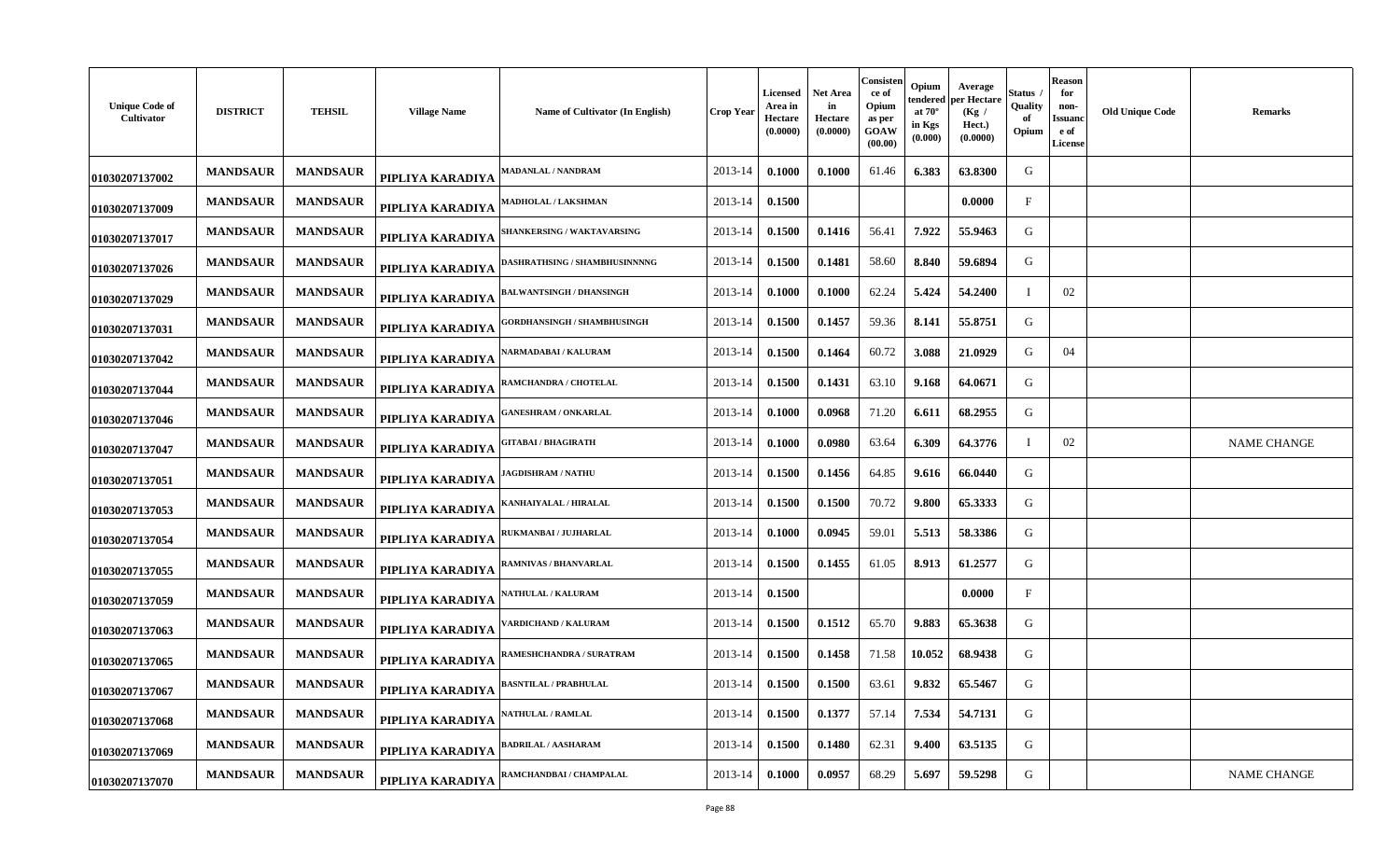| <b>Unique Code of</b><br>Cultivator | <b>DISTRICT</b> | <b>TEHSIL</b>   | <b>Village Name</b> | Name of Cultivator (In English)    | <b>Crop Year</b> | <b>Licensed</b><br>Area in<br>Hectare<br>(0.0000) | <b>Net Area</b><br>in<br>Hectare<br>(0.0000) | Consister<br>ce of<br>Opium<br>as per<br>GOAW<br>(00.00) | Opium<br>endered per Hectare<br>at $70^\circ$<br>in Kgs<br>(0.000) | Average<br>(Kg /<br>Hect.)<br>(0.0000) | <b>Status</b><br>Quality<br>of<br>Opium | Reason<br>for<br>non-<br><b>Issuand</b><br>e of<br>License | <b>Old Unique Code</b> | <b>Remarks</b>     |
|-------------------------------------|-----------------|-----------------|---------------------|------------------------------------|------------------|---------------------------------------------------|----------------------------------------------|----------------------------------------------------------|--------------------------------------------------------------------|----------------------------------------|-----------------------------------------|------------------------------------------------------------|------------------------|--------------------|
| 01030207137002                      | <b>MANDSAUR</b> | <b>MANDSAUR</b> | PIPLIYA KARADIYA    | <b>MADANLAL / NANDRAM</b>          | 2013-14          | 0.1000                                            | 0.1000                                       | 61.46                                                    | 6.383                                                              | 63.8300                                | G                                       |                                                            |                        |                    |
| 01030207137009                      | <b>MANDSAUR</b> | <b>MANDSAUR</b> | PIPLIYA KARADIYA    | MADHOLAL / LAKSHMAN                | 2013-14          | 0.1500                                            |                                              |                                                          |                                                                    | 0.0000                                 | $\mathbf F$                             |                                                            |                        |                    |
| 01030207137017                      | <b>MANDSAUR</b> | <b>MANDSAUR</b> | PIPLIYA KARADIYA    | SHANKERSING / WAKTAVARSING         | 2013-14          | 0.1500                                            | 0.1416                                       | 56.41                                                    | 7.922                                                              | 55.9463                                | G                                       |                                                            |                        |                    |
| 01030207137026                      | <b>MANDSAUR</b> | <b>MANDSAUR</b> | PIPLIYA KARADIYA    | DASHRATHSING / SHAMBHUSINNNNG      | 2013-14          | 0.1500                                            | 0.1481                                       | 58.60                                                    | 8.840                                                              | 59.6894                                | G                                       |                                                            |                        |                    |
| 01030207137029                      | <b>MANDSAUR</b> | <b>MANDSAUR</b> | PIPLIYA KARADIYA    | <b>BALWANTSINGH / DHANSINGH</b>    | 2013-14          | 0.1000                                            | 0.1000                                       | 62.24                                                    | 5.424                                                              | 54.2400                                | $\mathbf{I}$                            | 02                                                         |                        |                    |
| 01030207137031                      | <b>MANDSAUR</b> | <b>MANDSAUR</b> | PIPLIYA KARADIYA    | <b>GORDHANSINGH / SHAMBHUSINGH</b> | 2013-14          | 0.1500                                            | 0.1457                                       | 59.36                                                    | 8.141                                                              | 55.8751                                | G                                       |                                                            |                        |                    |
| 01030207137042                      | <b>MANDSAUR</b> | <b>MANDSAUR</b> | PIPLIYA KARADIYA    | <b>NARMADABAI / KALURAM</b>        | 2013-14          | 0.1500                                            | 0.1464                                       | 60.72                                                    | 3.088                                                              | 21.0929                                | G                                       | 04                                                         |                        |                    |
| 01030207137044                      | <b>MANDSAUR</b> | <b>MANDSAUR</b> | PIPLIYA KARADIYA    | RAMCHANDRA / CHOTELAL              | 2013-14          | 0.1500                                            | 0.1431                                       | 63.10                                                    | 9.168                                                              | 64.0671                                | G                                       |                                                            |                        |                    |
| 01030207137046                      | <b>MANDSAUR</b> | <b>MANDSAUR</b> | PIPLIYA KARADIYA    | <b>GANESHRAM / ONKARLAL</b>        | 2013-14          | 0.1000                                            | 0.0968                                       | 71.20                                                    | 6.611                                                              | 68.2955                                | G                                       |                                                            |                        |                    |
| 01030207137047                      | <b>MANDSAUR</b> | <b>MANDSAUR</b> | PIPLIYA KARADIYA    | GITABAI / BHAGIRATH                | 2013-14          | 0.1000                                            | 0.0980                                       | 63.64                                                    | 6.309                                                              | 64.3776                                | $\mathbf I$                             | 02                                                         |                        | <b>NAME CHANGE</b> |
| 01030207137051                      | <b>MANDSAUR</b> | <b>MANDSAUR</b> | PIPLIYA KARADIYA    | <b>IAGDISHRAM / NATHU</b>          | 2013-14          | 0.1500                                            | 0.1456                                       | 64.85                                                    | 9.616                                                              | 66.0440                                | G                                       |                                                            |                        |                    |
| 01030207137053                      | <b>MANDSAUR</b> | <b>MANDSAUR</b> | PIPLIYA KARADIYA    | KANHAIYALAL / HIRALAL              | 2013-14          | 0.1500                                            | 0.1500                                       | 70.72                                                    | 9.800                                                              | 65.3333                                | G                                       |                                                            |                        |                    |
| 01030207137054                      | <b>MANDSAUR</b> | <b>MANDSAUR</b> | PIPLIYA KARADIYA    | RUKMANBAI / JUJHARLAL              | 2013-14          | 0.1000                                            | 0.0945                                       | 59.01                                                    | 5.513                                                              | 58.3386                                | G                                       |                                                            |                        |                    |
| 01030207137055                      | <b>MANDSAUR</b> | <b>MANDSAUR</b> | PIPLIYA KARADIYA    | RAMNIVAS / BHANVARLAL              | 2013-14          | 0.1500                                            | 0.1455                                       | 61.05                                                    | 8.913                                                              | 61.2577                                | G                                       |                                                            |                        |                    |
| 01030207137059                      | <b>MANDSAUR</b> | <b>MANDSAUR</b> | PIPLIYA KARADIYA    | <b>NATHULAL / KALURAM</b>          | 2013-14          | 0.1500                                            |                                              |                                                          |                                                                    | 0.0000                                 | $\mathbf{F}$                            |                                                            |                        |                    |
| 01030207137063                      | <b>MANDSAUR</b> | <b>MANDSAUR</b> | PIPLIYA KARADIYA    | 'ARDICHAND / KALURAM               | 2013-14          | 0.1500                                            | 0.1512                                       | 65.70                                                    | 9.883                                                              | 65.3638                                | G                                       |                                                            |                        |                    |
| 01030207137065                      | <b>MANDSAUR</b> | <b>MANDSAUR</b> | PIPLIYA KARADIYA    | RAMESHCHANDRA / SURATRAM           | 2013-14          | 0.1500                                            | 0.1458                                       | 71.58                                                    | 10.052                                                             | 68.9438                                | G                                       |                                                            |                        |                    |
| 01030207137067                      | <b>MANDSAUR</b> | <b>MANDSAUR</b> | PIPLIYA KARADIYA    | <b>BASNTILAL / PRABHULAL</b>       | 2013-14          | 0.1500                                            | 0.1500                                       | 63.61                                                    | 9.832                                                              | 65.5467                                | G                                       |                                                            |                        |                    |
| 01030207137068                      | <b>MANDSAUR</b> | <b>MANDSAUR</b> | PIPLIYA KARADIYA    | <b>NATHULAL / RAMLAL</b>           | 2013-14          | 0.1500                                            | 0.1377                                       | 57.14                                                    | 7.534                                                              | 54.7131                                | G                                       |                                                            |                        |                    |
| 01030207137069                      | <b>MANDSAUR</b> | <b>MANDSAUR</b> | PIPLIYA KARADIYA    | <b>BADRILAL / AASHARAM</b>         | 2013-14          | 0.1500                                            | 0.1480                                       | 62.31                                                    | 9.400                                                              | 63.5135                                | G                                       |                                                            |                        |                    |
| 01030207137070                      | <b>MANDSAUR</b> | <b>MANDSAUR</b> | PIPLIYA KARADIYA    | RAMCHANDBAI / CHAMPALAL            | 2013-14          | 0.1000                                            | 0.0957                                       | 68.29                                                    | 5.697                                                              | 59.5298                                | G                                       |                                                            |                        | <b>NAME CHANGE</b> |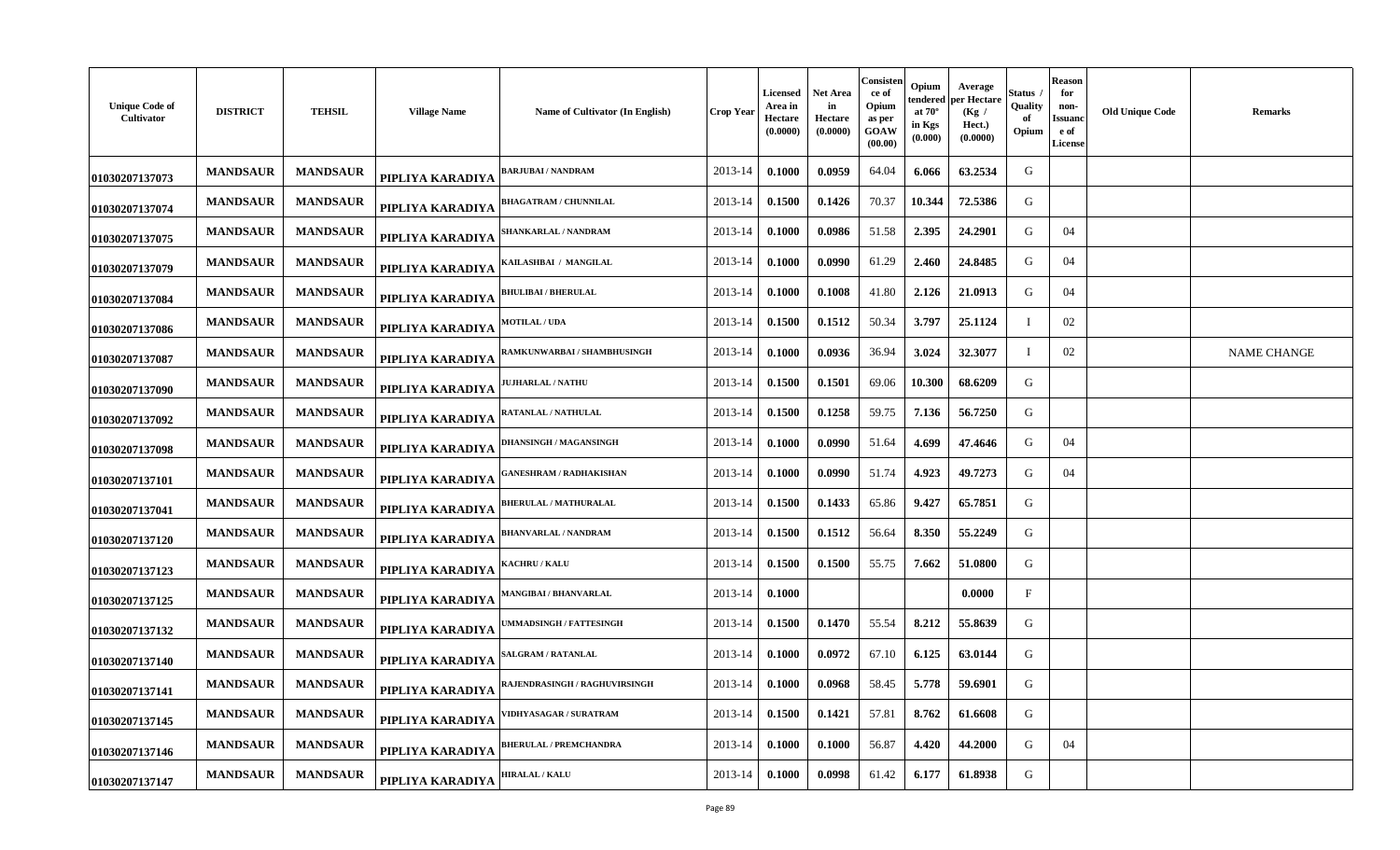| <b>Unique Code of</b><br>Cultivator | <b>DISTRICT</b> | <b>TEHSIL</b>   | <b>Village Name</b> | Name of Cultivator (In English) | <b>Crop Year</b> | <b>Licensed</b><br>Area in<br>Hectare<br>(0.0000) | <b>Net Area</b><br>in<br>Hectare<br>(0.0000) | Consisten<br>ce of<br>Opium<br>as per<br>GOAW<br>(00.00) | Opium<br>endered<br>at $70^\circ$<br>in Kgs<br>(0.000) | Average<br>per Hectare<br>(Kg /<br>Hect.)<br>(0.0000) | Status<br>Quality<br>of<br>Opium | Reason<br>for<br>non-<br><b>Issuanc</b><br>e of<br>License | <b>Old Unique Code</b> | <b>Remarks</b>     |
|-------------------------------------|-----------------|-----------------|---------------------|---------------------------------|------------------|---------------------------------------------------|----------------------------------------------|----------------------------------------------------------|--------------------------------------------------------|-------------------------------------------------------|----------------------------------|------------------------------------------------------------|------------------------|--------------------|
| 01030207137073                      | <b>MANDSAUR</b> | <b>MANDSAUR</b> | PIPLIYA KARADIYA    | <b>BARJUBAI / NANDRAM</b>       | 2013-14          | 0.1000                                            | 0.0959                                       | 64.04                                                    | 6.066                                                  | 63.2534                                               | G                                |                                                            |                        |                    |
| 01030207137074                      | <b>MANDSAUR</b> | <b>MANDSAUR</b> | PIPLIYA KARADIYA    | BHAGATRAM / CHUNNILAL           | 2013-14          | 0.1500                                            | 0.1426                                       | 70.37                                                    | 10.344                                                 | 72.5386                                               | G                                |                                                            |                        |                    |
| 01030207137075                      | <b>MANDSAUR</b> | <b>MANDSAUR</b> | PIPLIYA KARADIYA    | <b>SHANKARLAL / NANDRAM</b>     | 2013-14          | 0.1000                                            | 0.0986                                       | 51.58                                                    | 2.395                                                  | 24.2901                                               | G                                | 04                                                         |                        |                    |
| 01030207137079                      | <b>MANDSAUR</b> | <b>MANDSAUR</b> | PIPLIYA KARADIYA    | KAILASHBAI / MANGILAL           | 2013-14          | 0.1000                                            | 0.0990                                       | 61.29                                                    | 2.460                                                  | 24.8485                                               | G                                | 04                                                         |                        |                    |
| 01030207137084                      | <b>MANDSAUR</b> | <b>MANDSAUR</b> | PIPLIYA KARADIYA    | <b>BHULIBAI / BHERULAL</b>      | 2013-14          | 0.1000                                            | 0.1008                                       | 41.80                                                    | 2.126                                                  | 21.0913                                               | G                                | 04                                                         |                        |                    |
| 01030207137086                      | <b>MANDSAUR</b> | <b>MANDSAUR</b> | PIPLIYA KARADIYA    | <b>MOTILAL / UDA</b>            | 2013-14          | 0.1500                                            | 0.1512                                       | 50.34                                                    | 3.797                                                  | 25.1124                                               | T                                | 02                                                         |                        |                    |
| 01030207137087                      | <b>MANDSAUR</b> | <b>MANDSAUR</b> | PIPLIYA KARADIYA    | RAMKUNWARBAI / SHAMBHUSINGH     | 2013-14          | 0.1000                                            | 0.0936                                       | 36.94                                                    | 3.024                                                  | 32.3077                                               | T                                | 02                                                         |                        | <b>NAME CHANGE</b> |
| 01030207137090                      | <b>MANDSAUR</b> | <b>MANDSAUR</b> | PIPLIYA KARADIYA    | <b>JUJHARLAL / NATHU</b>        | 2013-14          | 0.1500                                            | 0.1501                                       | 69.06                                                    | 10.300                                                 | 68.6209                                               | G                                |                                                            |                        |                    |
| 01030207137092                      | <b>MANDSAUR</b> | <b>MANDSAUR</b> | PIPLIYA KARADIYA    | RATANLAL / NATHULAL             | 2013-14          | 0.1500                                            | 0.1258                                       | 59.75                                                    | 7.136                                                  | 56.7250                                               | G                                |                                                            |                        |                    |
| 01030207137098                      | <b>MANDSAUR</b> | <b>MANDSAUR</b> | PIPLIYA KARADIYA    | DHANSINGH / MAGANSINGH          | 2013-14          | 0.1000                                            | 0.0990                                       | 51.64                                                    | 4.699                                                  | 47.4646                                               | G                                | 04                                                         |                        |                    |
| 01030207137101                      | <b>MANDSAUR</b> | <b>MANDSAUR</b> | PIPLIYA KARADIYA    | <b>GANESHRAM / RADHAKISHAN</b>  | 2013-14          | 0.1000                                            | 0.0990                                       | 51.74                                                    | 4.923                                                  | 49.7273                                               | G                                | 04                                                         |                        |                    |
| 01030207137041                      | <b>MANDSAUR</b> | <b>MANDSAUR</b> | PIPLIYA KARADIYA    | <b>BHERULAL / MATHURALAL</b>    | 2013-14          | 0.1500                                            | 0.1433                                       | 65.86                                                    | 9.427                                                  | 65.7851                                               | G                                |                                                            |                        |                    |
| 01030207137120                      | <b>MANDSAUR</b> | <b>MANDSAUR</b> | PIPLIYA KARADIYA    | <b>BHANVARLAL / NANDRAM</b>     | 2013-14          | 0.1500                                            | 0.1512                                       | 56.64                                                    | 8.350                                                  | 55.2249                                               | G                                |                                                            |                        |                    |
| 01030207137123                      | <b>MANDSAUR</b> | <b>MANDSAUR</b> | PIPLIYA KARADIYA    | <b>(ACHRU / KALU</b>            | 2013-14          | 0.1500                                            | 0.1500                                       | 55.75                                                    | 7.662                                                  | 51.0800                                               | G                                |                                                            |                        |                    |
| 01030207137125                      | <b>MANDSAUR</b> | <b>MANDSAUR</b> | PIPLIYA KARADIYA    | <b>MANGIBAI / BHANVARLAL</b>    | 2013-14          | 0.1000                                            |                                              |                                                          |                                                        | 0.0000                                                | $\mathbf{F}$                     |                                                            |                        |                    |
| 01030207137132                      | <b>MANDSAUR</b> | <b>MANDSAUR</b> | PIPLIYA KARADIYA    | <b>JMMADSINGH / FATTESINGH</b>  | 2013-14          | 0.1500                                            | 0.1470                                       | 55.54                                                    | 8.212                                                  | 55.8639                                               | G                                |                                                            |                        |                    |
| 01030207137140                      | <b>MANDSAUR</b> | <b>MANDSAUR</b> | PIPLIYA KARADIYA    | <b>SALGRAM / RATANLAL</b>       | 2013-14          | 0.1000                                            | 0.0972                                       | 67.10                                                    | 6.125                                                  | 63.0144                                               | G                                |                                                            |                        |                    |
| 01030207137141                      | <b>MANDSAUR</b> | <b>MANDSAUR</b> | PIPLIYA KARADIYA    | RAJENDRASINGH / RAGHUVIRSINGH   | 2013-14          | 0.1000                                            | 0.0968                                       | 58.45                                                    | 5.778                                                  | 59.6901                                               | G                                |                                                            |                        |                    |
| 01030207137145                      | <b>MANDSAUR</b> | <b>MANDSAUR</b> | PIPLIYA KARADIYA    | <b>VIDHYASAGAR / SURATRAM</b>   | 2013-14          | 0.1500                                            | 0.1421                                       | 57.81                                                    | 8.762                                                  | 61.6608                                               | G                                |                                                            |                        |                    |
| 01030207137146                      | <b>MANDSAUR</b> | <b>MANDSAUR</b> | PIPLIYA KARADIYA    | <b>BHERULAL / PREMCHANDRA</b>   | 2013-14          | 0.1000                                            | 0.1000                                       | 56.87                                                    | 4.420                                                  | 44.2000                                               | G                                | 04                                                         |                        |                    |
| 01030207137147                      | <b>MANDSAUR</b> | <b>MANDSAUR</b> | PIPLIYA KARADIYA    | <b>HIRALAL / KALU</b>           | 2013-14          | 0.1000                                            | 0.0998                                       | 61.42                                                    | 6.177                                                  | 61.8938                                               | G                                |                                                            |                        |                    |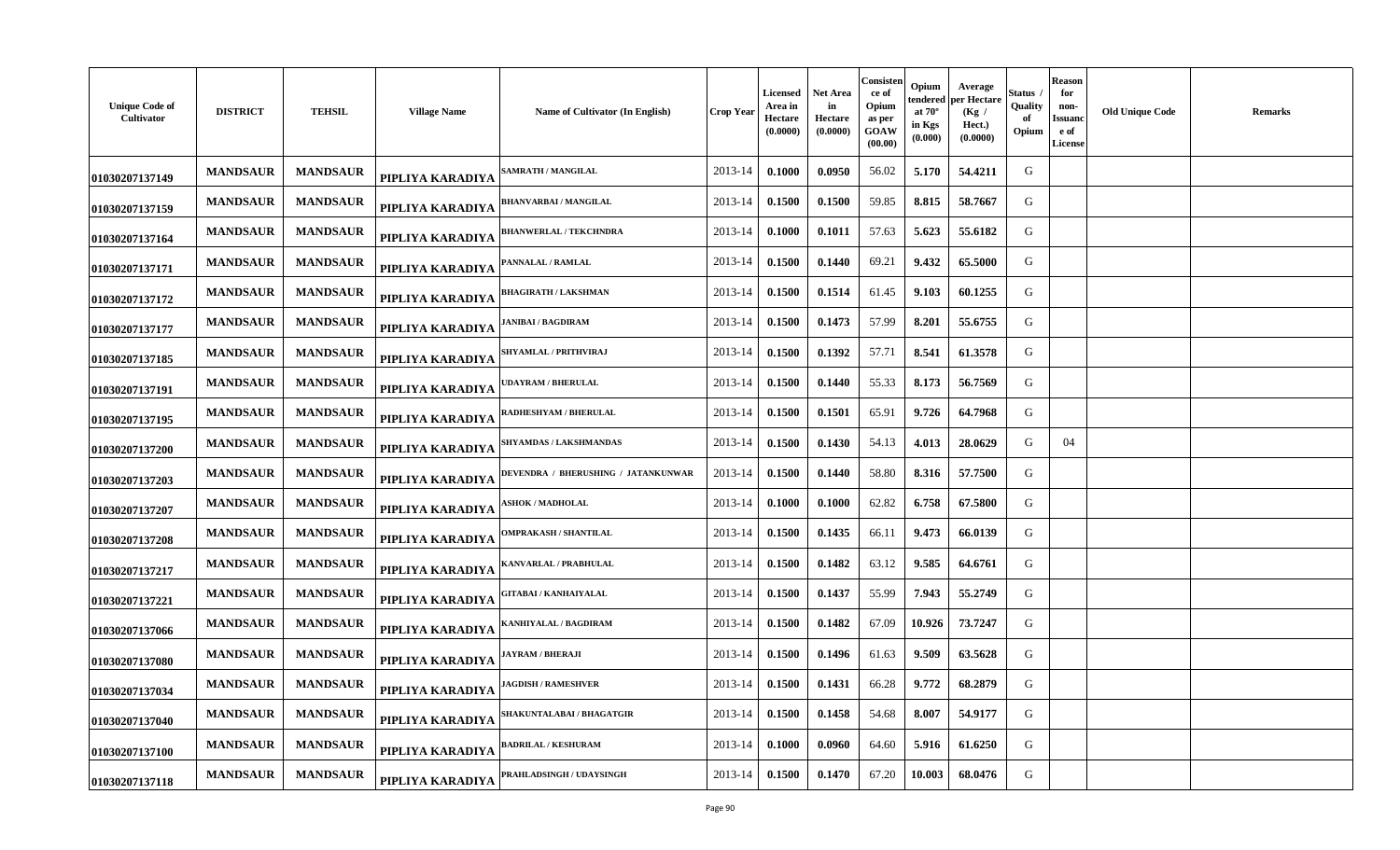| <b>Unique Code of</b><br>Cultivator | <b>DISTRICT</b> | <b>TEHSIL</b>   | <b>Village Name</b><br>Name of Cultivator (In English)  | <b>Crop Year</b> | Licensed<br>Area in<br>Hectare<br>(0.0000) | <b>Net Area</b><br>in<br>Hectare<br>(0.0000) | Consisten<br>ce of<br>Opium<br>as per<br>GOAW<br>(00.00) | Opium<br>tendered<br>at $70^\circ$<br>in Kgs<br>(0.000) | Average<br>per Hectare<br>(Kg)<br>Hect.)<br>(0.0000) | Status<br>Quality<br>of<br>Opium | <b>Reason</b><br>for<br>non-<br>Issuanc<br>e of<br><b>License</b> | <b>Old Unique Code</b> | <b>Remarks</b> |
|-------------------------------------|-----------------|-----------------|---------------------------------------------------------|------------------|--------------------------------------------|----------------------------------------------|----------------------------------------------------------|---------------------------------------------------------|------------------------------------------------------|----------------------------------|-------------------------------------------------------------------|------------------------|----------------|
| 01030207137149                      | <b>MANDSAUR</b> | <b>MANDSAUR</b> | <b>AMRATH / MANGILAL</b><br>PIPLIYA KARADIYA            | 2013-14          | 0.1000                                     | 0.0950                                       | 56.02                                                    | 5.170                                                   | 54.4211                                              | G                                |                                                                   |                        |                |
| 01030207137159                      | <b>MANDSAUR</b> | <b>MANDSAUR</b> | <b>BHANVARBAI / MANGILAL</b><br>PIPLIYA KARADIYA        | 2013-14          | 0.1500                                     | 0.1500                                       | 59.85                                                    | 8.815                                                   | 58.7667                                              | G                                |                                                                   |                        |                |
| 01030207137164                      | <b>MANDSAUR</b> | <b>MANDSAUR</b> | <b>BHANWERLAL / TEKCHNDRA</b><br>PIPLIYA KARADIYA       | 2013-14          | 0.1000                                     | 0.1011                                       | 57.63                                                    | 5.623                                                   | 55.6182                                              | G                                |                                                                   |                        |                |
| 01030207137171                      | <b>MANDSAUR</b> | <b>MANDSAUR</b> | <b>PANNALAL / RAMLAL</b><br>PIPLIYA KARADIYA            | 2013-14          | 0.1500                                     | 0.1440                                       | 69.21                                                    | 9.432                                                   | 65.5000                                              | G                                |                                                                   |                        |                |
| 01030207137172                      | <b>MANDSAUR</b> | <b>MANDSAUR</b> | HAGIRATH / LAKSHMAN<br>PIPLIYA KARADIYA                 | 2013-14          | 0.1500                                     | 0.1514                                       | 61.45                                                    | 9.103                                                   | 60.1255                                              | G                                |                                                                   |                        |                |
| 01030207137177                      | <b>MANDSAUR</b> | <b>MANDSAUR</b> | ANIBAI / BAGDIRAM<br>PIPLIYA KARADIYA                   | 2013-14          | 0.1500                                     | 0.1473                                       | 57.99                                                    | 8.201                                                   | 55.6755                                              | G                                |                                                                   |                        |                |
| 01030207137185                      | <b>MANDSAUR</b> | <b>MANDSAUR</b> | SHYAMLAL / PRITHVIRAJ<br>PIPLIYA KARADIYA               | 2013-14          | 0.1500                                     | 0.1392                                       | 57.71                                                    | 8.541                                                   | 61.3578                                              | G                                |                                                                   |                        |                |
| 01030207137191                      | <b>MANDSAUR</b> | <b>MANDSAUR</b> | <b>DAYRAM / BHERULAL</b><br>PIPLIYA KARADIYA            | 2013-14          | 0.1500                                     | 0.1440                                       | 55.33                                                    | 8.173                                                   | 56.7569                                              | G                                |                                                                   |                        |                |
| 01030207137195                      | <b>MANDSAUR</b> | <b>MANDSAUR</b> | ADHESHYAM / BHERULAL<br>PIPLIYA KARADIYA                | 2013-14          | 0.1500                                     | 0.1501                                       | 65.91                                                    | 9.726                                                   | 64.7968                                              | G                                |                                                                   |                        |                |
| 01030207137200                      | <b>MANDSAUR</b> | <b>MANDSAUR</b> | <b>SHYAMDAS / LAKSHMANDAS</b><br>PIPLIYA KARADIYA       | 2013-14          | 0.1500                                     | 0.1430                                       | 54.13                                                    | 4.013                                                   | 28.0629                                              | G                                | 04                                                                |                        |                |
| 01030207137203                      | <b>MANDSAUR</b> | <b>MANDSAUR</b> | DEVENDRA / BHERUSHING / JATANKUNWAR<br>PIPLIYA KARADIYA | 2013-14          | 0.1500                                     | 0.1440                                       | 58.80                                                    | 8.316                                                   | 57.7500                                              | G                                |                                                                   |                        |                |
| 01030207137207                      | <b>MANDSAUR</b> | <b>MANDSAUR</b> | <b>SHOK / MADHOLAL</b><br>PIPLIYA KARADIYA              | 2013-14          | 0.1000                                     | 0.1000                                       | 62.82                                                    | 6.758                                                   | 67.5800                                              | G                                |                                                                   |                        |                |
| 01030207137208                      | <b>MANDSAUR</b> | <b>MANDSAUR</b> | <b>OMPRAKASH / SHANTILAL</b><br>PIPLIYA KARADIYA        | 2013-14          | 0.1500                                     | 0.1435                                       | 66.11                                                    | 9.473                                                   | 66.0139                                              | G                                |                                                                   |                        |                |
| 01030207137217                      | <b>MANDSAUR</b> | <b>MANDSAUR</b> | ANVARLAL / PRABHULAL<br>PIPLIYA KARADIYA                | 2013-14          | 0.1500                                     | 0.1482                                       | 63.12                                                    | 9.585                                                   | 64.6761                                              | G                                |                                                                   |                        |                |
| 01030207137221                      | <b>MANDSAUR</b> | <b>MANDSAUR</b> | <b>GITABAI / KANHAIYALAL</b><br>PIPLIYA KARADIYA        | 2013-14          | 0.1500                                     | 0.1437                                       | 55.99                                                    | 7.943                                                   | 55.2749                                              | G                                |                                                                   |                        |                |
| 01030207137066                      | <b>MANDSAUR</b> | <b>MANDSAUR</b> | ANHIYALAL / BAGDIRAM<br>PIPLIYA KARADIYA                | 2013-14          | 0.1500                                     | 0.1482                                       | 67.09                                                    | 10.926                                                  | 73.7247                                              | G                                |                                                                   |                        |                |
| 01030207137080                      | <b>MANDSAUR</b> | <b>MANDSAUR</b> | <b>AYRAM / BHERAJI</b><br>PIPLIYA KARADIYA              | 2013-14          | 0.1500                                     | 0.1496                                       | 61.63                                                    | 9.509                                                   | 63.5628                                              | G                                |                                                                   |                        |                |
| 01030207137034                      | <b>MANDSAUR</b> | <b>MANDSAUR</b> | <b>AGDISH / RAMESHVER</b><br>PIPLIYA KARADIYA           | 2013-14          | 0.1500                                     | 0.1431                                       | 66.28                                                    | 9.772                                                   | 68.2879                                              | G                                |                                                                   |                        |                |
| 01030207137040                      | <b>MANDSAUR</b> | <b>MANDSAUR</b> | SHAKUNTALABAI / BHAGATGIR<br>PIPLIYA KARADIYA           | 2013-14          | 0.1500                                     | 0.1458                                       | 54.68                                                    | 8.007                                                   | 54.9177                                              | G                                |                                                                   |                        |                |
| 01030207137100                      | <b>MANDSAUR</b> | <b>MANDSAUR</b> | <b>ADRILAL / KESHURAM</b><br>PIPLIYA KARADIYA           | 2013-14          | 0.1000                                     | 0.0960                                       | 64.60                                                    | 5.916                                                   | 61.6250                                              | G                                |                                                                   |                        |                |
| 01030207137118                      | <b>MANDSAUR</b> | <b>MANDSAUR</b> | PRAHLADSINGH / UDAYSINGH<br>PIPLIYA KARADIYA            | 2013-14          | 0.1500                                     | 0.1470                                       | 67.20                                                    | 10.003                                                  | 68.0476                                              | G                                |                                                                   |                        |                |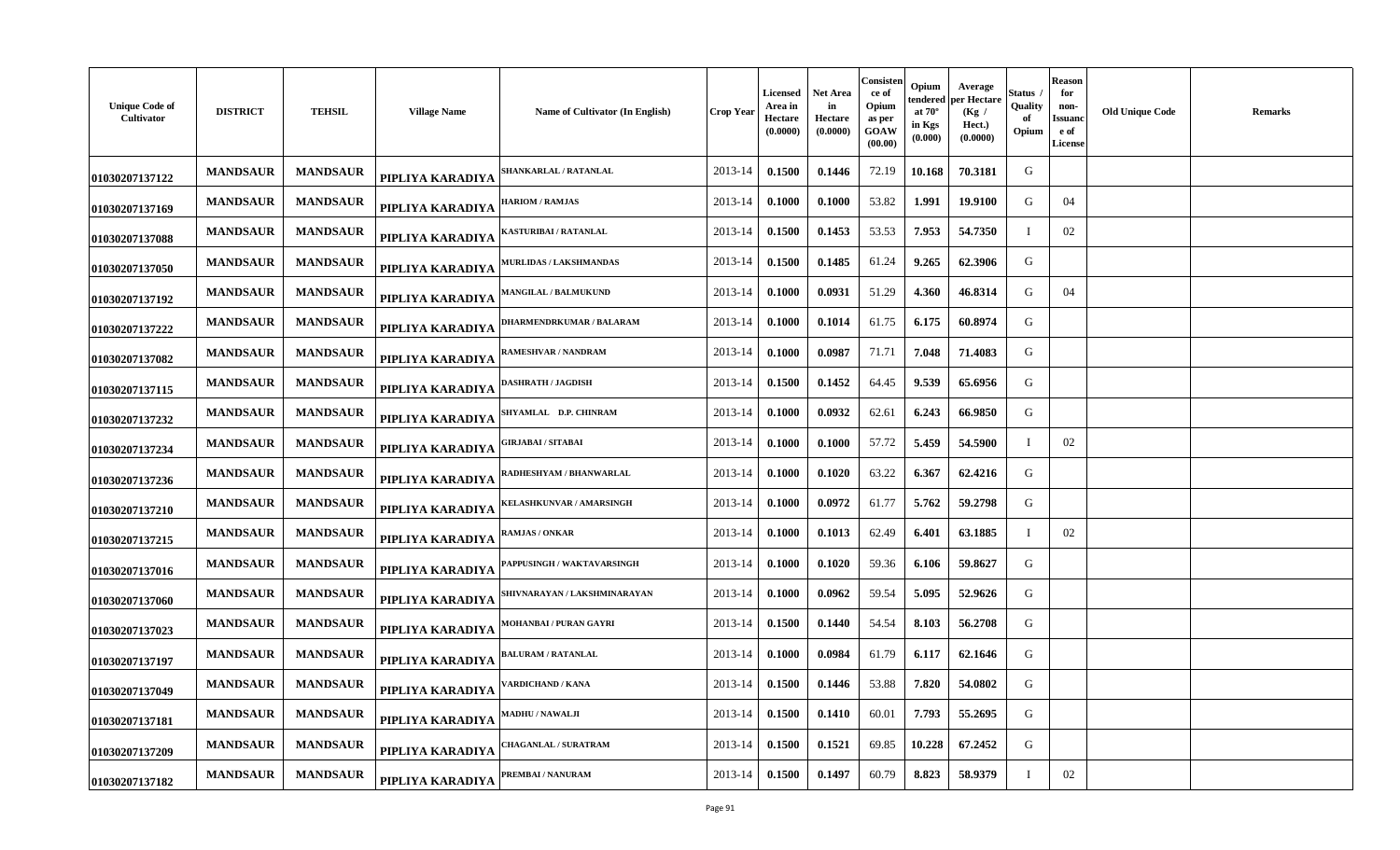| <b>Unique Code of</b><br>Cultivator | <b>DISTRICT</b> | <b>TEHSIL</b>   | <b>Village Name</b> | Name of Cultivator (In English) | <b>Crop Year</b> | Licensed<br>Area in<br>Hectare<br>(0.0000) | <b>Net Area</b><br>in<br>Hectare<br>(0.0000) | Consisten<br>ce of<br>Opium<br>as per<br>GOAW<br>(00.00) | Opium<br>tendered<br>at $70^\circ$<br>in Kgs<br>(0.000) | Average<br>per Hectare<br>(Kg /<br>Hect.)<br>(0.0000) | Status<br>Quality<br>of<br>Opium | <b>Reason</b><br>for<br>non-<br>Issuanc<br>e of<br><b>License</b> | <b>Old Unique Code</b> | <b>Remarks</b> |
|-------------------------------------|-----------------|-----------------|---------------------|---------------------------------|------------------|--------------------------------------------|----------------------------------------------|----------------------------------------------------------|---------------------------------------------------------|-------------------------------------------------------|----------------------------------|-------------------------------------------------------------------|------------------------|----------------|
| 01030207137122                      | <b>MANDSAUR</b> | <b>MANDSAUR</b> | PIPLIYA KARADIYA    | <b>SHANKARLAL / RATANLAL</b>    | 2013-14          | 0.1500                                     | 0.1446                                       | 72.19                                                    | 10.168                                                  | 70.3181                                               | G                                |                                                                   |                        |                |
| 01030207137169                      | <b>MANDSAUR</b> | <b>MANDSAUR</b> | PIPLIYA KARADIYA    | <b>HARIOM / RAMJAS</b>          | 2013-14          | 0.1000                                     | 0.1000                                       | 53.82                                                    | 1.991                                                   | 19.9100                                               | G                                | 04                                                                |                        |                |
| 01030207137088                      | <b>MANDSAUR</b> | <b>MANDSAUR</b> | PIPLIYA KARADIYA    | KASTURIBAI / RATANLAL           | 2013-14          | 0.1500                                     | 0.1453                                       | 53.53                                                    | 7.953                                                   | 54.7350                                               |                                  | 02                                                                |                        |                |
| 01030207137050                      | <b>MANDSAUR</b> | <b>MANDSAUR</b> | PIPLIYA KARADIYA    | <b>MURLIDAS / LAKSHMANDAS</b>   | 2013-14          | 0.1500                                     | 0.1485                                       | 61.24                                                    | 9.265                                                   | 62.3906                                               | G                                |                                                                   |                        |                |
| 01030207137192                      | <b>MANDSAUR</b> | <b>MANDSAUR</b> | PIPLIYA KARADIYA    | <b>AANGILAL / BALMUKUND</b>     | 2013-14          | 0.1000                                     | 0.0931                                       | 51.29                                                    | 4.360                                                   | 46.8314                                               | G                                | 04                                                                |                        |                |
| 01030207137222                      | <b>MANDSAUR</b> | <b>MANDSAUR</b> | PIPLIYA KARADIYA    | <b>DHARMENDRKUMAR / BALARAM</b> | 2013-14          | 0.1000                                     | 0.1014                                       | 61.75                                                    | 6.175                                                   | 60.8974                                               | G                                |                                                                   |                        |                |
| 01030207137082                      | <b>MANDSAUR</b> | <b>MANDSAUR</b> | PIPLIYA KARADIYA    | RAMESHVAR / NANDRAM             | 2013-14          | 0.1000                                     | 0.0987                                       | 71.71                                                    | 7.048                                                   | 71.4083                                               | G                                |                                                                   |                        |                |
| 01030207137115                      | <b>MANDSAUR</b> | <b>MANDSAUR</b> | PIPLIYA KARADIYA    | DASHRATH / JAGDISH              | 2013-14          | 0.1500                                     | 0.1452                                       | 64.45                                                    | 9.539                                                   | 65.6956                                               | G                                |                                                                   |                        |                |
| 01030207137232                      | <b>MANDSAUR</b> | <b>MANDSAUR</b> | PIPLIYA KARADIYA    | SHYAMLAL D.P. CHINRAM           | 2013-14          | 0.1000                                     | 0.0932                                       | 62.61                                                    | 6.243                                                   | 66.9850                                               | G                                |                                                                   |                        |                |
| 01030207137234                      | <b>MANDSAUR</b> | <b>MANDSAUR</b> | PIPLIYA KARADIYA    | HRJABAI / SITABAI               | 2013-14          | 0.1000                                     | 0.1000                                       | 57.72                                                    | 5.459                                                   | 54.5900                                               |                                  | 02                                                                |                        |                |
| 01030207137236                      | <b>MANDSAUR</b> | <b>MANDSAUR</b> | PIPLIYA KARADIYA    | RADHESHYAM / BHANWARLAL         | 2013-14          | 0.1000                                     | 0.1020                                       | 63.22                                                    | 6.367                                                   | 62.4216                                               | G                                |                                                                   |                        |                |
| 01030207137210                      | <b>MANDSAUR</b> | <b>MANDSAUR</b> | PIPLIYA KARADIYA    | <b>KELASHKUNVAR / AMARSINGH</b> | 2013-14          | 0.1000                                     | 0.0972                                       | 61.77                                                    | 5.762                                                   | 59.2798                                               | G                                |                                                                   |                        |                |
| 01030207137215                      | <b>MANDSAUR</b> | <b>MANDSAUR</b> | PIPLIYA KARADIYA    | RAMJAS / ONKAR                  | 2013-14          | 0.1000                                     | 0.1013                                       | 62.49                                                    | 6.401                                                   | 63.1885                                               | - I                              | 02                                                                |                        |                |
| 01030207137016                      | <b>MANDSAUR</b> | <b>MANDSAUR</b> | PIPLIYA KARADIYA    | APPUSINGH / WAKTAVARSINGH       | 2013-14          | 0.1000                                     | 0.1020                                       | 59.36                                                    | 6.106                                                   | 59.8627                                               | G                                |                                                                   |                        |                |
| 01030207137060                      | <b>MANDSAUR</b> | <b>MANDSAUR</b> | PIPLIYA KARADIYA    | SHIVNARAYAN / LAKSHMINARAYAN    | 2013-14          | 0.1000                                     | 0.0962                                       | 59.54                                                    | 5.095                                                   | 52.9626                                               | G                                |                                                                   |                        |                |
| 01030207137023                      | <b>MANDSAUR</b> | <b>MANDSAUR</b> | PIPLIYA KARADIYA    | <b>MOHANBAI / PURAN GAYRI</b>   | 2013-14          | 0.1500                                     | 0.1440                                       | 54.54                                                    | 8.103                                                   | 56.2708                                               | G                                |                                                                   |                        |                |
| 01030207137197                      | <b>MANDSAUR</b> | <b>MANDSAUR</b> | PIPLIYA KARADIYA    | <b>BALURAM / RATANLAL</b>       | 2013-14          | 0.1000                                     | 0.0984                                       | 61.79                                                    | 6.117                                                   | 62.1646                                               | G                                |                                                                   |                        |                |
| 01030207137049                      | <b>MANDSAUR</b> | <b>MANDSAUR</b> | PIPLIYA KARADIYA    | <b>ARDICHAND / KANA</b>         | 2013-14          | 0.1500                                     | 0.1446                                       | 53.88                                                    | 7.820                                                   | 54.0802                                               | G                                |                                                                   |                        |                |
| 01030207137181                      | <b>MANDSAUR</b> | <b>MANDSAUR</b> | PIPLIYA KARADIYA    | MADHU / NAWALJI                 | 2013-14          | 0.1500                                     | 0.1410                                       | 60.01                                                    | 7.793                                                   | 55.2695                                               | G                                |                                                                   |                        |                |
| 01030207137209                      | <b>MANDSAUR</b> | <b>MANDSAUR</b> | PIPLIYA KARADIYA    | <b>'HAGANLAL / SURATRAM</b>     | 2013-14          | 0.1500                                     | 0.1521                                       | 69.85                                                    | 10.228                                                  | 67.2452                                               | G                                |                                                                   |                        |                |
| 01030207137182                      | <b>MANDSAUR</b> | <b>MANDSAUR</b> | PIPLIYA KARADIYA    | PREMBAI / NANURAM               | 2013-14          | 0.1500                                     | 0.1497                                       | 60.79                                                    | 8.823                                                   | 58.9379                                               |                                  | 02                                                                |                        |                |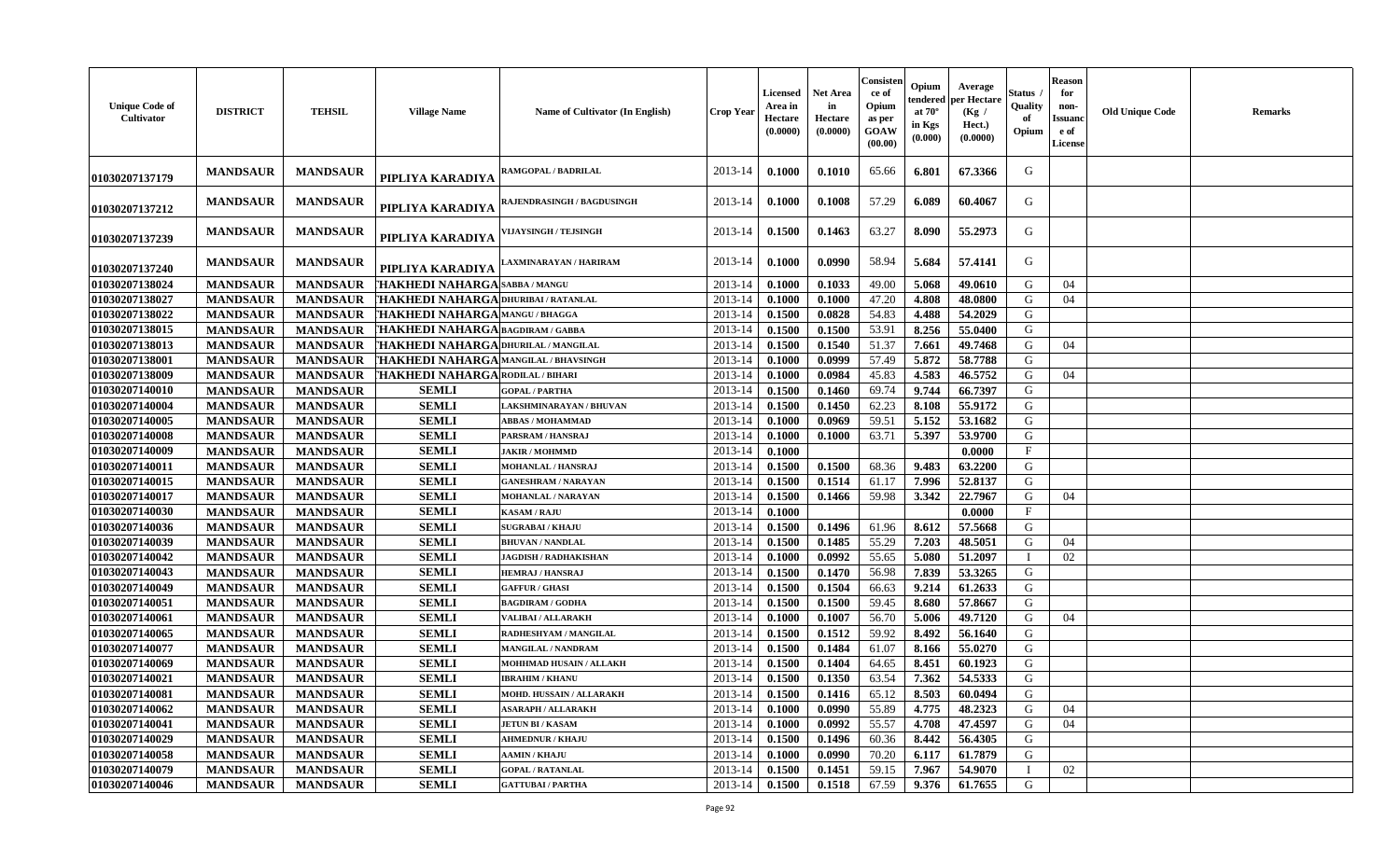| <b>Unique Code of</b><br>Cultivator | <b>DISTRICT</b> | <b>TEHSIL</b>   | <b>Village Name</b>                     | Name of Cultivator (In English)   | <b>Crop Year</b> | Licensed<br>Area in<br>Hectare<br>(0.0000) | <b>Net Area</b><br>in<br>Hectare<br>(0.0000) | Consisten<br>ce of<br>Opium<br>as per<br><b>GOAW</b><br>(00.00) | Opium<br>endered<br>at $70^\circ$<br>in Kgs<br>$(\mathbf{0.000})$ | Average<br>per Hectare<br>(Kg /<br>Hect.)<br>(0.0000) | Status<br>Quality<br>of<br>Opium | <b>Reason</b><br>for<br>non-<br>Issuan<br>e of<br><b>License</b> | <b>Old Unique Code</b> | Remarks |
|-------------------------------------|-----------------|-----------------|-----------------------------------------|-----------------------------------|------------------|--------------------------------------------|----------------------------------------------|-----------------------------------------------------------------|-------------------------------------------------------------------|-------------------------------------------------------|----------------------------------|------------------------------------------------------------------|------------------------|---------|
| 01030207137179                      | <b>MANDSAUR</b> | <b>MANDSAUR</b> | PIPLIYA KARADIYA                        | RAMGOPAL / BADRILAL               | 2013-14          | 0.1000                                     | 0.1010                                       | 65.66                                                           | 6.801                                                             | 67.3366                                               | G                                |                                                                  |                        |         |
| 01030207137212                      | <b>MANDSAUR</b> | <b>MANDSAUR</b> | PIPLIYA KARADIYA                        | <b>RAJENDRASINGH / BAGDUSINGH</b> | 2013-14          | 0.1000                                     | 0.1008                                       | 57.29                                                           | 6.089                                                             | 60.4067                                               | G                                |                                                                  |                        |         |
| 01030207137239                      | <b>MANDSAUR</b> | <b>MANDSAUR</b> | PIPLIYA KARADIYA                        | <b>VIJAYSINGH / TEJSINGH</b>      | 2013-14          | 0.1500                                     | 0.1463                                       | 63.27                                                           | 8.090                                                             | 55,2973                                               | G                                |                                                                  |                        |         |
| 01030207137240                      | <b>MANDSAUR</b> | <b>MANDSAUR</b> | PIPLIYA KARADIYA                        | AXMINARAYAN / HARIRAM             | 2013-14          | 0.1000                                     | 0.0990                                       | 58.94                                                           | 5.684                                                             | 57.4141                                               | G                                |                                                                  |                        |         |
| 01030207138024                      | <b>MANDSAUR</b> | <b>MANDSAUR</b> | [ <b>HAKHEDI NAHARGA</b>  SABBA / MANGU |                                   | 2013-14          | 0.1000                                     | 0.1033                                       | 49.00                                                           | 5.068                                                             | 49.0610                                               | G                                | 04                                                               |                        |         |
| 01030207138027                      | <b>MANDSAUR</b> | <b>MANDSAUR</b> | 'HAKHEDI NAHARGA DHURIBAI / RATANLAL    |                                   | 2013-14          | 0.1000                                     | 0.1000                                       | 47.20                                                           | 4.808                                                             | 48.0800                                               | G                                | 04                                                               |                        |         |
| 01030207138022                      | <b>MANDSAUR</b> | <b>MANDSAUR</b> | <b>THAKHEDI NAHARGA MANGU/BHAGGA</b>    |                                   | $2013 - 14$      | 0.1500                                     | 0.0828                                       | 54.83                                                           | 4.488                                                             | 54.2029                                               | G                                |                                                                  |                        |         |
| 01030207138015                      | <b>MANDSAUR</b> | <b>MANDSAUR</b> | THAKHEDI NAHARGA BAGDIRAM / GABBA       |                                   | 2013-14          | 0.1500                                     | 0.1500                                       | 53.91                                                           | 8.256                                                             | 55.0400                                               | G                                |                                                                  |                        |         |
| 01030207138013                      | <b>MANDSAUR</b> | <b>MANDSAUR</b> | 'HAKHEDI NAHARGA DHURILAL / MANGILAL    |                                   | 2013-14          | 0.1500                                     | 0.1540                                       | 51.37                                                           | 7.661                                                             | 49.7468                                               | G                                | 04                                                               |                        |         |
| 01030207138001                      | <b>MANDSAUR</b> | <b>MANDSAUR</b> | THAKHEDI NAHARGA MANGILAL / BHAVSINGH   |                                   | 2013-14          | 0.1000                                     | 0.0999                                       | 57.49                                                           | 5.872                                                             | 58.7788                                               | G                                |                                                                  |                        |         |
| 01030207138009                      | <b>MANDSAUR</b> | <b>MANDSAUR</b> | 'HAKHEDI NAHARGA RODILAL / BIHARI       |                                   | 2013-14          | 0.1000                                     | 0.0984                                       | 45.83                                                           | 4.583                                                             | 46.5752                                               | G                                | 04                                                               |                        |         |
| 01030207140010                      | <b>MANDSAUR</b> | <b>MANDSAUR</b> | <b>SEMLI</b>                            | <b>GOPAL / PARTHA</b>             | 2013-14          | 0.1500                                     | 0.1460                                       | 69.74                                                           | 9.744                                                             | 66.7397                                               | G                                |                                                                  |                        |         |
| 01030207140004                      | <b>MANDSAUR</b> | <b>MANDSAUR</b> | <b>SEMLI</b>                            | LAKSHMINARAYAN / BHUVAN           | 2013-14          | 0.1500                                     | 0.1450                                       | 62.23                                                           | 8.108                                                             | 55.9172                                               | G                                |                                                                  |                        |         |
| 01030207140005                      | <b>MANDSAUR</b> | <b>MANDSAUR</b> | <b>SEMLI</b>                            | <b>ABBAS / MOHAMMAD</b>           | 2013-14          | 0.1000                                     | 0.0969                                       | 59.51                                                           | 5.152                                                             | 53.1682                                               | G                                |                                                                  |                        |         |
| 01030207140008                      | <b>MANDSAUR</b> | <b>MANDSAUR</b> | <b>SEMLI</b>                            | PARSRAM / HANSRAJ                 | 2013-14          | 0.1000                                     | 0.1000                                       | 63.71                                                           | 5.397                                                             | 53.9700                                               | G                                |                                                                  |                        |         |
| 01030207140009                      | <b>MANDSAUR</b> | <b>MANDSAUR</b> | <b>SEMLI</b>                            | <b>JAKIR / MOHMMD</b>             | 2013-14          | 0.1000                                     |                                              |                                                                 |                                                                   | 0.0000                                                | $\mathbf{F}$                     |                                                                  |                        |         |
| 01030207140011                      | <b>MANDSAUR</b> | <b>MANDSAUR</b> | <b>SEMLI</b>                            | MOHANLAL / HANSRAJ                | 2013-14          | 0.1500                                     | 0.1500                                       | 68.36                                                           | 9.483                                                             | 63.2200                                               | G                                |                                                                  |                        |         |
| 01030207140015                      | <b>MANDSAUR</b> | <b>MANDSAUR</b> | <b>SEMLI</b>                            | <b>GANESHRAM / NARAYAN</b>        | 2013-14          | 0.1500                                     | 0.1514                                       | 61.17                                                           | 7.996                                                             | 52.8137                                               | G                                |                                                                  |                        |         |
| 01030207140017                      | <b>MANDSAUR</b> | <b>MANDSAUR</b> | <b>SEMLI</b>                            | MOHANLAL / NARAYAN                | 2013-14          | 0.1500                                     | 0.1466                                       | 59.98                                                           | 3.342                                                             | 22.7967                                               | G                                | 04                                                               |                        |         |
| 01030207140030                      |                 |                 | <b>SEMLI</b>                            |                                   |                  |                                            |                                              |                                                                 |                                                                   |                                                       | $\mathbf{F}$                     |                                                                  |                        |         |
|                                     | <b>MANDSAUR</b> | <b>MANDSAUR</b> |                                         | <b>KASAM / RAJU</b>               | 2013-14          | 0.1000                                     |                                              |                                                                 |                                                                   | 0.0000                                                |                                  |                                                                  |                        |         |
| 01030207140036                      | <b>MANDSAUR</b> | <b>MANDSAUR</b> | <b>SEMLI</b>                            | <b>SUGRABAI/KHAJU</b>             | 2013-14          | 0.1500                                     | 0.1496                                       | 61.96                                                           | 8.612                                                             | 57.5668                                               | G                                |                                                                  |                        |         |
| 01030207140039                      | <b>MANDSAUR</b> | <b>MANDSAUR</b> | <b>SEMLI</b>                            | <b>BHUVAN / NANDLAL</b>           | 2013-14          | 0.1500                                     | 0.1485                                       | 55.29                                                           | 7.203                                                             | 48.5051                                               | G                                | 04                                                               |                        |         |
| 01030207140042                      | <b>MANDSAUR</b> | <b>MANDSAUR</b> | <b>SEMLI</b>                            | <b>JAGDISH / RADHAKISHAN</b>      | 2013-14          | 0.1000                                     | 0.0992                                       | 55.65                                                           | 5.080                                                             | 51.2097                                               |                                  | 02                                                               |                        |         |
| 01030207140043                      | <b>MANDSAUR</b> | <b>MANDSAUR</b> | <b>SEMLI</b>                            | <b>HEMRAJ / HANSRAJ</b>           | 2013-14          | 0.1500                                     | 0.1470                                       | 56.98                                                           | 7.839                                                             | 53.3265                                               | G                                |                                                                  |                        |         |
| 01030207140049                      | <b>MANDSAUR</b> | <b>MANDSAUR</b> | <b>SEMLI</b>                            | <b>GAFFUR / GHASI</b>             | 2013-14          | 0.1500                                     | 0.1504                                       | 66.63                                                           | 9.214                                                             | 61.2633                                               | G                                |                                                                  |                        |         |
| 01030207140051                      | <b>MANDSAUR</b> | <b>MANDSAUR</b> | <b>SEMLI</b>                            | <b>BAGDIRAM / GODHA</b>           | 2013-14          | 0.1500                                     | 0.1500                                       | 59.45                                                           | 8.680                                                             | 57.8667                                               | G                                |                                                                  |                        |         |
| 01030207140061                      | <b>MANDSAUR</b> | <b>MANDSAUR</b> | <b>SEMLI</b>                            | VALIBAI / ALLARAKH                | 2013-14          | 0.1000                                     | 0.1007                                       | 56.70                                                           | 5.006                                                             | 49.7120                                               | G                                | 04                                                               |                        |         |
| 01030207140065                      | <b>MANDSAUR</b> | <b>MANDSAUR</b> | <b>SEMLI</b>                            | RADHESHYAM / MANGILAL             | 2013-14          | 0.1500                                     | 0.1512                                       | 59.92                                                           | 8.492                                                             | 56.1640                                               | G                                |                                                                  |                        |         |
| 01030207140077                      | <b>MANDSAUR</b> | <b>MANDSAUR</b> | <b>SEMLI</b>                            | <b>MANGILAL / NANDRAM</b>         | 2013-14          | 0.1500                                     | 0.1484                                       | 61.07                                                           | 8.166                                                             | 55.0270                                               | G                                |                                                                  |                        |         |
| 01030207140069                      | <b>MANDSAUR</b> | <b>MANDSAUR</b> | <b>SEMLI</b>                            | <b>MOHHMAD HUSAIN / ALLAKH</b>    | $2013 - 14$      | 0.1500                                     | 0.1404                                       | 64.65                                                           | 8.451                                                             | 60.1923                                               | G                                |                                                                  |                        |         |
| 01030207140021                      | <b>MANDSAUR</b> | <b>MANDSAUR</b> | <b>SEMLI</b>                            | <b>IBRAHIM / KHANU</b>            | 2013-14          | 0.1500                                     | 0.1350                                       | 63.54                                                           | 7.362                                                             | 54.5333                                               | G                                |                                                                  |                        |         |
| 01030207140081                      | MANDSAUR        | MANDSAUR        | <b>SEMLI</b>                            | MOHD. HUSSAIN / ALLARAKH          | $2013 - 14$      | 0.1500                                     | 0.1416                                       | 65.12                                                           | 8.503                                                             | 60.0494                                               | G                                |                                                                  |                        |         |
| 01030207140062                      | <b>MANDSAUR</b> | <b>MANDSAUR</b> | <b>SEMLI</b>                            | <b>ASARAPH / ALLARAKH</b>         | 2013-14          | 0.1000                                     | 0.0990                                       | 55.89                                                           | 4.775                                                             | 48.2323                                               | G                                | 04                                                               |                        |         |
| 01030207140041                      | <b>MANDSAUR</b> | <b>MANDSAUR</b> | <b>SEMLI</b>                            | <b>JETUN BI / KASAM</b>           | 2013-14          | 0.1000                                     | 0.0992                                       | 55.57                                                           | 4.708                                                             | 47.4597                                               | G                                | 04                                                               |                        |         |
| 01030207140029                      | <b>MANDSAUR</b> | <b>MANDSAUR</b> | <b>SEMLI</b>                            | <b>AHMEDNUR / KHAJU</b>           | 2013-14          | 0.1500                                     | 0.1496                                       | 60.36                                                           | 8.442                                                             | 56.4305                                               | G                                |                                                                  |                        |         |
| 01030207140058                      | <b>MANDSAUR</b> | <b>MANDSAUR</b> | <b>SEMLI</b>                            | <b>AAMIN / KHAJU</b>              | 2013-14          | 0.1000                                     | 0.0990                                       | 70.20                                                           | 6.117                                                             | 61.7879                                               | G                                |                                                                  |                        |         |
| 01030207140079                      | <b>MANDSAUR</b> | <b>MANDSAUR</b> | <b>SEMLI</b>                            | <b>GOPAL / RATANLAL</b>           | 2013-14          | 0.1500                                     | 0.1451                                       | 59.15                                                           | 7.967                                                             | 54.9070                                               | - I                              | 02                                                               |                        |         |
| 01030207140046                      | <b>MANDSAUR</b> | <b>MANDSAUR</b> | <b>SEMLI</b>                            | <b>GATTUBAI/PARTHA</b>            | 2013-14          | 0.1500                                     | 0.1518                                       | 67.59                                                           | 9.376                                                             | 61.7655                                               | G                                |                                                                  |                        |         |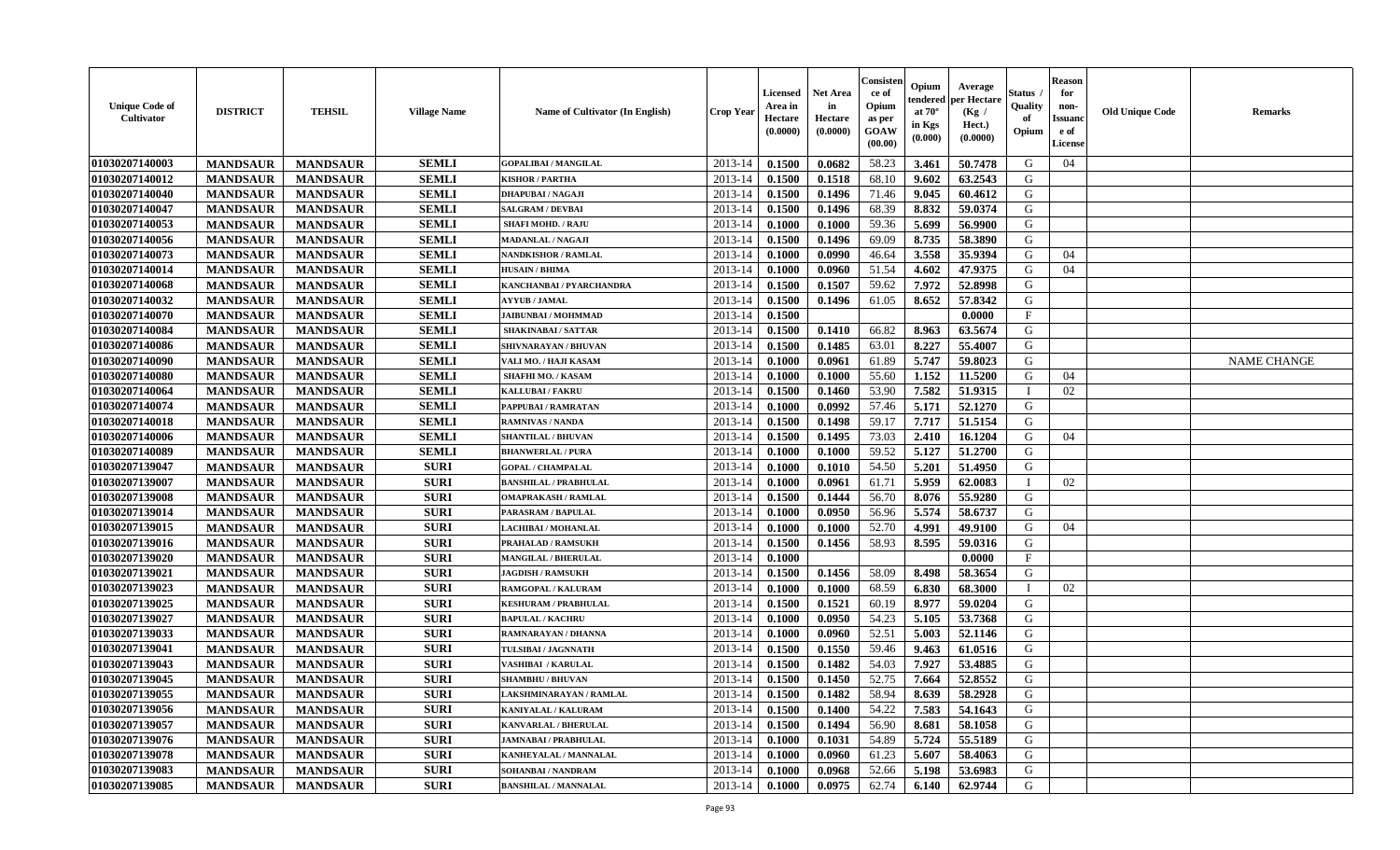| <b>Unique Code of</b><br><b>Cultivator</b> | <b>DISTRICT</b> | <b>TEHSIL</b>   | <b>Village Name</b> | <b>Name of Cultivator (In English)</b> | <b>Crop Year</b> | Licensed<br>Area in<br>Hectare<br>(0.0000) | Net Area<br>in<br>Hectare<br>(0.0000) | Consisteı<br>ce of<br>Opium<br>as per<br>GOAW<br>(00.00) | Opium<br>endered<br>at $70^\circ$<br>in Kgs<br>(0.000) | Average<br>per Hectare<br>(Kg /<br>Hect.)<br>(0.0000) | Status<br>Quality<br>of<br>Opium | <b>Reason</b><br>for<br>non-<br><b>Issuand</b><br>e of<br>License | <b>Old Unique Code</b> | Remarks            |
|--------------------------------------------|-----------------|-----------------|---------------------|----------------------------------------|------------------|--------------------------------------------|---------------------------------------|----------------------------------------------------------|--------------------------------------------------------|-------------------------------------------------------|----------------------------------|-------------------------------------------------------------------|------------------------|--------------------|
| 01030207140003                             | <b>MANDSAUR</b> | <b>MANDSAUR</b> | <b>SEMLI</b>        | <b>GOPALIBAI/MANGILAL</b>              | 2013-14          | 0.1500                                     | 0.0682                                | 58.23                                                    | 3.461                                                  | 50.7478                                               | G                                | 04                                                                |                        |                    |
| 01030207140012                             | <b>MANDSAUR</b> | <b>MANDSAUR</b> | <b>SEMLI</b>        | <b>KISHOR / PARTHA</b>                 | 2013-14          | 0.1500                                     | 0.1518                                | 68.10                                                    | 9.602                                                  | 63.2543                                               | G                                |                                                                   |                        |                    |
| 01030207140040                             | <b>MANDSAUR</b> | <b>MANDSAUR</b> | <b>SEMLI</b>        | <b>DHAPUBAI/NAGAJI</b>                 | 2013-14          | 0.1500                                     | 0.1496                                | 71.46                                                    | 9.045                                                  | 60.4612                                               | G                                |                                                                   |                        |                    |
| 01030207140047                             | <b>MANDSAUR</b> | <b>MANDSAUR</b> | <b>SEMLI</b>        | <b>SALGRAM / DEVBAI</b>                | 2013-14          | 0.1500                                     | 0.1496                                | 68.39                                                    | 8.832                                                  | 59.0374                                               | G                                |                                                                   |                        |                    |
| 01030207140053                             | <b>MANDSAUR</b> | <b>MANDSAUR</b> | <b>SEMLI</b>        | <b>SHAFI MOHD. / RAJU</b>              | 2013-14          | 0.1000                                     | 0.1000                                | 59.36                                                    | 5.699                                                  | 56.9900                                               | G                                |                                                                   |                        |                    |
| 01030207140056                             | <b>MANDSAUR</b> | <b>MANDSAUR</b> | <b>SEMLI</b>        | <b>MADANLAL / NAGAJI</b>               | 2013-14          | 0.1500                                     | 0.1496                                | 69.09                                                    | 8.735                                                  | 58.3890                                               | G                                |                                                                   |                        |                    |
| 01030207140073                             | <b>MANDSAUR</b> | <b>MANDSAUR</b> | <b>SEMLI</b>        | <b>NANDKISHOR / RAMLAL</b>             | 2013-14          | 0.1000                                     | 0.0990                                | 46.64                                                    | 3.558                                                  | 35.9394                                               | G                                | 04                                                                |                        |                    |
| 01030207140014                             | <b>MANDSAUR</b> | <b>MANDSAUR</b> | <b>SEMLI</b>        | <b>HUSAIN / BHIMA</b>                  | 2013-14          | 0.1000                                     | 0.0960                                | 51.54                                                    | 4.602                                                  | 47.9375                                               | G                                | 04                                                                |                        |                    |
| 01030207140068                             | <b>MANDSAUR</b> | <b>MANDSAUR</b> | <b>SEMLI</b>        | KANCHANBAI / PYARCHANDRA               | 2013-14          | 0.1500                                     | 0.1507                                | 59.62                                                    | 7.972                                                  | 52.8998                                               | G                                |                                                                   |                        |                    |
| 01030207140032                             | <b>MANDSAUR</b> | <b>MANDSAUR</b> | <b>SEMLI</b>        | <b>AYYUB / JAMAL</b>                   | 2013-14          | 0.1500                                     | 0.1496                                | 61.05                                                    | 8.652                                                  | 57.8342                                               | G                                |                                                                   |                        |                    |
| 01030207140070                             | <b>MANDSAUR</b> | <b>MANDSAUR</b> | <b>SEMLI</b>        | JAIBUNBAI / MOHMMAD                    | 2013-14          | 0.1500                                     |                                       |                                                          |                                                        | 0.0000                                                | F                                |                                                                   |                        |                    |
| 01030207140084                             | <b>MANDSAUR</b> | <b>MANDSAUR</b> | <b>SEMLI</b>        | <b>SHAKINABAI/SATTAR</b>               | 2013-14          | 0.1500                                     | 0.1410                                | 66.82                                                    | 8.963                                                  | 63.5674                                               | G                                |                                                                   |                        |                    |
| 01030207140086                             | <b>MANDSAUR</b> | <b>MANDSAUR</b> | <b>SEMLI</b>        | SHIVNARAYAN / BHUVAN                   | 2013-14          | 0.1500                                     | 0.1485                                | 63.01                                                    | 8.227                                                  | 55.4007                                               | G                                |                                                                   |                        |                    |
| 01030207140090                             | <b>MANDSAUR</b> | <b>MANDSAUR</b> | <b>SEMLI</b>        | VALI MO. / HAJI KASAM                  | 2013-14          | 0.1000                                     | 0.0961                                | 61.89                                                    | 5.747                                                  | 59.8023                                               | G                                |                                                                   |                        | <b>NAME CHANGE</b> |
| 01030207140080                             | <b>MANDSAUR</b> | <b>MANDSAUR</b> | <b>SEMLI</b>        | SHAFHI MO. / KASAM                     | 2013-14          | 0.1000                                     | 0.1000                                | 55.60                                                    | 1.152                                                  | 11.5200                                               | G                                | 04                                                                |                        |                    |
| 01030207140064                             | <b>MANDSAUR</b> | <b>MANDSAUR</b> | <b>SEMLI</b>        | <b>KALLUBAI/FAKRU</b>                  | 2013-14          | 0.1500                                     | 0.1460                                | 53.90                                                    | 7.582                                                  | 51.9315                                               |                                  | 02                                                                |                        |                    |
| 01030207140074                             | <b>MANDSAUR</b> | <b>MANDSAUR</b> | <b>SEMLI</b>        | PAPPUBAI / RAMRATAN                    | 2013-14          | 0.1000                                     | 0.0992                                | 57.46                                                    | 5.171                                                  | 52.1270                                               | G                                |                                                                   |                        |                    |
| 01030207140018                             | <b>MANDSAUR</b> | <b>MANDSAUR</b> | <b>SEMLI</b>        | <b>RAMNIVAS / NANDA</b>                | 2013-14          | 0.1500                                     | 0.1498                                | 59.17                                                    | 7.717                                                  | 51.5154                                               | G                                |                                                                   |                        |                    |
| 01030207140006                             | <b>MANDSAUR</b> | <b>MANDSAUR</b> | <b>SEMLI</b>        | <b>SHANTILAL / BHUVAN</b>              | 2013-14          | 0.1500                                     | 0.1495                                | 73.03                                                    | 2.410                                                  | 16.1204                                               | G                                | 04                                                                |                        |                    |
| 01030207140089                             | <b>MANDSAUR</b> | <b>MANDSAUR</b> | <b>SEMLI</b>        | <b>BHANWERLAL / PURA</b>               | 2013-14          | 0.1000                                     | 0.1000                                | 59.52                                                    | 5.127                                                  | 51.2700                                               | G                                |                                                                   |                        |                    |
| 01030207139047                             | <b>MANDSAUR</b> | <b>MANDSAUR</b> | <b>SURI</b>         | <b>GOPAL / CHAMPALAL</b>               | 2013-14          | 0.1000                                     | 0.1010                                | 54.50                                                    | 5.201                                                  | 51.4950                                               | G                                |                                                                   |                        |                    |
| 01030207139007                             | <b>MANDSAUR</b> | <b>MANDSAUR</b> | <b>SURI</b>         | <b>BANSHILAL / PRABHULAL</b>           | 2013-14          | 0.1000                                     | 0.0961                                | 61.71                                                    | 5.959                                                  | 62.0083                                               | $\mathbf{I}$                     | 02                                                                |                        |                    |
| 01030207139008                             | <b>MANDSAUR</b> | <b>MANDSAUR</b> | <b>SURI</b>         | <b>OMAPRAKASH / RAMLAL</b>             | 2013-14          | 0.1500                                     | 0.1444                                | 56.70                                                    | 8.076                                                  | 55.9280                                               | G                                |                                                                   |                        |                    |
| 01030207139014                             | <b>MANDSAUR</b> | <b>MANDSAUR</b> | <b>SURI</b>         | PARASRAM / BAPULAL                     | 2013-14          | 0.1000                                     | 0.0950                                | 56.96                                                    | 5.574                                                  | 58.6737                                               | G                                |                                                                   |                        |                    |
| 01030207139015                             | <b>MANDSAUR</b> | <b>MANDSAUR</b> | <b>SURI</b>         | <b>LACHIBAI / MOHANLAL</b>             | 2013-14          | 0.1000                                     | 0.1000                                | 52.70                                                    | 4.991                                                  | 49.9100                                               | G                                | 04                                                                |                        |                    |
| 01030207139016                             | <b>MANDSAUR</b> | <b>MANDSAUR</b> | <b>SURI</b>         | PRAHALAD / RAMSUKH                     | 2013-14          | 0.1500                                     | 0.1456                                | 58.93                                                    | 8.595                                                  | 59.0316                                               | G                                |                                                                   |                        |                    |
| 01030207139020                             | <b>MANDSAUR</b> | <b>MANDSAUR</b> | <b>SURI</b>         | <b>MANGILAL / BHERULAL</b>             | 2013-14          | 0.1000                                     |                                       |                                                          |                                                        | 0.0000                                                | F                                |                                                                   |                        |                    |
| 01030207139021                             | <b>MANDSAUR</b> | <b>MANDSAUR</b> | <b>SURI</b>         | <b>JAGDISH / RAMSUKH</b>               | 2013-14          | 0.1500                                     | 0.1456                                | 58.09                                                    | 8.498                                                  | 58.3654                                               | G                                |                                                                   |                        |                    |
| 01030207139023                             | <b>MANDSAUR</b> | <b>MANDSAUR</b> | <b>SURI</b>         | RAMGOPAL / KALURAM                     | 2013-14          | 0.1000                                     | 0.1000                                | 68.59                                                    | 6.830                                                  | 68.3000                                               | $\mathbf{I}$                     | 02                                                                |                        |                    |
| 01030207139025                             | <b>MANDSAUR</b> | <b>MANDSAUR</b> | <b>SURI</b>         | <b>KESHURAM / PRABHULAL</b>            | 2013-14          | 0.1500                                     | 0.1521                                | 60.19                                                    | 8.977                                                  | 59.0204                                               | G                                |                                                                   |                        |                    |
| 01030207139027                             | <b>MANDSAUR</b> | <b>MANDSAUR</b> | <b>SURI</b>         | <b>BAPULAL / KACHRU</b>                | 2013-14          | 0.1000                                     | 0.0950                                | 54.23                                                    | 5.105                                                  | 53.7368                                               | G                                |                                                                   |                        |                    |
| 01030207139033                             | <b>MANDSAUR</b> | <b>MANDSAUR</b> | <b>SURI</b>         | RAMNARAYAN / DHANNA                    | 2013-14          | 0.1000                                     | 0.0960                                | 52.51                                                    | 5.003                                                  | 52.1146                                               | G                                |                                                                   |                        |                    |
| 01030207139041                             | <b>MANDSAUR</b> | <b>MANDSAUR</b> | <b>SURI</b>         | TULSIBAI / JAGNNATH                    | 2013-14          | 0.1500                                     | 0.1550                                | 59.46                                                    | 9.463                                                  | 61.0516                                               | G                                |                                                                   |                        |                    |
| 01030207139043                             | <b>MANDSAUR</b> | <b>MANDSAUR</b> | <b>SURI</b>         | <b>VASHIBAI / KARULAL</b>              | 2013-14          | 0.1500                                     | 0.1482                                | 54.03                                                    | 7.927                                                  | 53.4885                                               | G                                |                                                                   |                        |                    |
| 01030207139045                             | <b>MANDSAUR</b> | <b>MANDSAUR</b> | <b>SURI</b>         | <b>SHAMBHU / BHUVAN</b>                | 2013-14          | 0.1500                                     | 0.1450                                | 52.75                                                    | 7.664                                                  | 52.8552                                               | G                                |                                                                   |                        |                    |
| 01030207139055                             | <b>MANDSAUR</b> | <b>MANDSAUR</b> | <b>SURI</b>         | LAKSHMINARAYAN / RAMLAL                | 2013-14          | 0.1500                                     | 0.1482                                | 58.94                                                    | 8.639                                                  | 58.2928                                               | G                                |                                                                   |                        |                    |
| 01030207139056                             | <b>MANDSAUR</b> | <b>MANDSAUR</b> | <b>SURI</b>         | KANIYALAL / KALURAM                    | 2013-14          | 0.1500                                     | 0.1400                                | 54.22                                                    | 7.583                                                  | 54.1643                                               | G                                |                                                                   |                        |                    |
| 01030207139057                             | <b>MANDSAUR</b> | <b>MANDSAUR</b> | <b>SURI</b>         | <b>KANVARLAL / BHERULAL</b>            | 2013-14          | 0.1500                                     | 0.1494                                | 56.90                                                    | 8.681                                                  | 58.1058                                               | G                                |                                                                   |                        |                    |
| 01030207139076                             | <b>MANDSAUR</b> | <b>MANDSAUR</b> | <b>SURI</b>         | <b>JAMNABAI/PRABHULAL</b>              | 2013-14          | 0.1000                                     | 0.1031                                | 54.89                                                    | 5.724                                                  | 55.5189                                               | G                                |                                                                   |                        |                    |
| 01030207139078                             | <b>MANDSAUR</b> | <b>MANDSAUR</b> | <b>SURI</b>         | KANHEYALAL / MANNALAL                  | 2013-14          | 0.1000                                     | 0.0960                                | 61.23                                                    | 5.607                                                  | 58.4063                                               | ${\bf G}$                        |                                                                   |                        |                    |
| 01030207139083                             | <b>MANDSAUR</b> | <b>MANDSAUR</b> | <b>SURI</b>         | SOHANBAI / NANDRAM                     | 2013-14          | 0.1000                                     | 0.0968                                | 52.66                                                    | 5.198                                                  | 53.6983                                               | G                                |                                                                   |                        |                    |
| 01030207139085                             | <b>MANDSAUR</b> | <b>MANDSAUR</b> | <b>SURI</b>         | <b>BANSHILAL / MANNALAL</b>            | 2013-14          | 0.1000                                     | 0.0975                                | 62.74                                                    | 6.140                                                  | 62.9744                                               | G                                |                                                                   |                        |                    |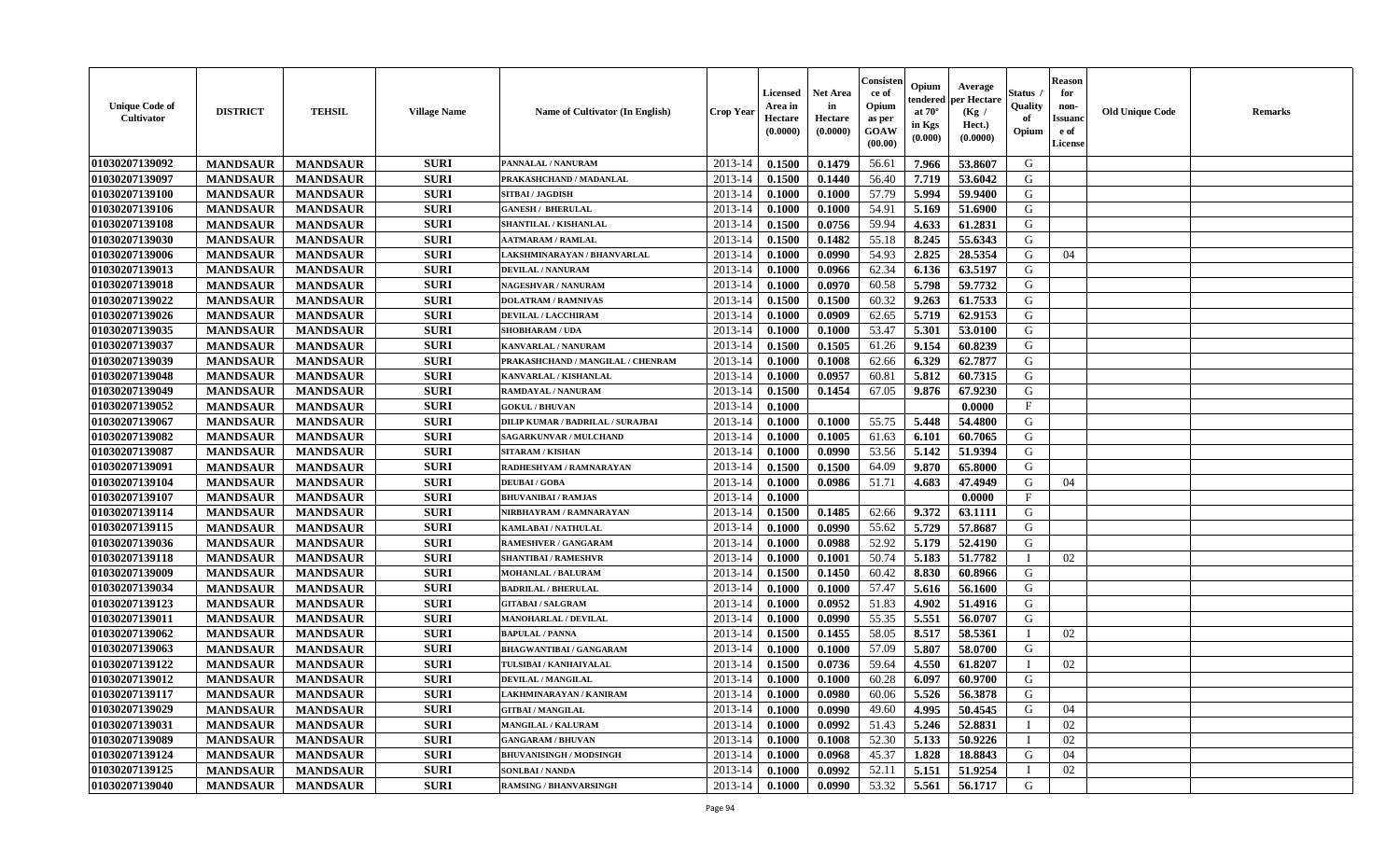| <b>Unique Code of</b><br>Cultivator | <b>DISTRICT</b> | <b>TEHSIL</b>   | <b>Village Name</b> | Name of Cultivator (In English)   | <b>Crop Year</b> | <b>Licensed</b><br>Area in<br>Hectare<br>(0.0000) | <b>Net Area</b><br>in<br>Hectare<br>(0.0000) | Consisten<br>ce of<br>Opium<br>as per<br><b>GOAW</b><br>(00.00) | Opium<br>endered<br>at $70^\circ$<br>in Kgs<br>(0.000) | Average<br>per Hectare<br>(Kg /<br>Hect.)<br>(0.0000) | Status<br>Quality<br>of<br>Opium | <b>Reason</b><br>for<br>non-<br><b>Issuanc</b><br>e of<br><b>License</b> | <b>Old Unique Code</b> | <b>Remarks</b> |
|-------------------------------------|-----------------|-----------------|---------------------|-----------------------------------|------------------|---------------------------------------------------|----------------------------------------------|-----------------------------------------------------------------|--------------------------------------------------------|-------------------------------------------------------|----------------------------------|--------------------------------------------------------------------------|------------------------|----------------|
| 01030207139092                      | <b>MANDSAUR</b> | <b>MANDSAUR</b> | <b>SURI</b>         | PANNALAL / NANURAM                | 2013-14          | 0.1500                                            | 0.1479                                       | 56.61                                                           | 7.966                                                  | 53.8607                                               | G                                |                                                                          |                        |                |
| 01030207139097                      | <b>MANDSAUR</b> | <b>MANDSAUR</b> | <b>SURI</b>         | PRAKASHCHAND / MADANLAL           | 2013-14          | 0.1500                                            | 0.1440                                       | 56.40                                                           | 7.719                                                  | 53.6042                                               | G                                |                                                                          |                        |                |
| 01030207139100                      | <b>MANDSAUR</b> | <b>MANDSAUR</b> | <b>SURI</b>         | SITBAI / JAGDISH                  | 2013-14          | 0.1000                                            | 0.1000                                       | 57.79                                                           | 5.994                                                  | 59.9400                                               | G                                |                                                                          |                        |                |
| 01030207139106                      | <b>MANDSAUR</b> | <b>MANDSAUR</b> | <b>SURI</b>         | <b>GANESH / BHERULAL</b>          | 2013-14          | 0.1000                                            | 0.1000                                       | 54.91                                                           | 5.169                                                  | 51.6900                                               | G                                |                                                                          |                        |                |
| 01030207139108                      | <b>MANDSAUR</b> | <b>MANDSAUR</b> | <b>SURI</b>         | SHANTILAL / KISHANLAL             | 2013-14          | 0.1500                                            | 0.0756                                       | 59.94                                                           | 4.633                                                  | 61.2831                                               | G                                |                                                                          |                        |                |
| 01030207139030                      | <b>MANDSAUR</b> | <b>MANDSAUR</b> | <b>SURI</b>         | <b>AATMARAM / RAMLAL</b>          | $2013 - 14$      | 0.1500                                            | 0.1482                                       | 55.18                                                           | 8.245                                                  | 55.6343                                               | G                                |                                                                          |                        |                |
| 01030207139006                      | <b>MANDSAUR</b> | <b>MANDSAUR</b> | <b>SURI</b>         | LAKSHMINARAYAN / BHANVARLAL       | $2013 - 14$      | 0.1000                                            | 0.0990                                       | 54.93                                                           | 2.825                                                  | 28.5354                                               | G                                | 04                                                                       |                        |                |
| 01030207139013                      | <b>MANDSAUR</b> | <b>MANDSAUR</b> | <b>SURI</b>         | DEVILAL / NANURAM                 | 2013-14          | 0.1000                                            | 0.0966                                       | 62.34                                                           | 6.136                                                  | 63.5197                                               | $\mathsf G$                      |                                                                          |                        |                |
| 01030207139018                      | <b>MANDSAUR</b> | <b>MANDSAUR</b> | <b>SURI</b>         | <b>NAGESHVAR / NANURAM</b>        | 2013-14          | 0.1000                                            | 0.0970                                       | 60.58                                                           | 5.798                                                  | 59.7732                                               | G                                |                                                                          |                        |                |
| 01030207139022                      | <b>MANDSAUR</b> | <b>MANDSAUR</b> | <b>SURI</b>         | <b>DOLATRAM / RAMNIVAS</b>        | 2013-14          | 0.1500                                            | 0.1500                                       | 60.32                                                           | 9.263                                                  | 61.7533                                               | G                                |                                                                          |                        |                |
| 01030207139026                      | <b>MANDSAUR</b> | <b>MANDSAUR</b> | <b>SURI</b>         | <b>DEVILAL / LACCHIRAM</b>        | 2013-14          | 0.1000                                            | 0.0909                                       | 62.65                                                           | 5.719                                                  | 62.9153                                               | G                                |                                                                          |                        |                |
| 01030207139035                      | <b>MANDSAUR</b> | <b>MANDSAUR</b> | <b>SURI</b>         | <b>SHOBHARAM / UDA</b>            | 2013-14          | 0.1000                                            | 0.1000                                       | 53.47                                                           | 5.301                                                  | 53.0100                                               | G                                |                                                                          |                        |                |
| 01030207139037                      | <b>MANDSAUR</b> | <b>MANDSAUR</b> | <b>SURI</b>         | <b>KANVARLAL / NANURAM</b>        | 2013-14          | 0.1500                                            | 0.1505                                       | 61.26                                                           | 9.154                                                  | 60.8239                                               | G                                |                                                                          |                        |                |
| 01030207139039                      | <b>MANDSAUR</b> | <b>MANDSAUR</b> | <b>SURI</b>         | PRAKASHCHAND / MANGILAL / CHENRAM | $2013 - 14$      | 0.1000                                            | 0.1008                                       | 62.66                                                           | 6.329                                                  | 62.7877                                               | G                                |                                                                          |                        |                |
| 01030207139048                      | <b>MANDSAUR</b> | <b>MANDSAUR</b> | <b>SURI</b>         | KANVARLAL / KISHANLAL             | $2013 - 14$      | 0.1000                                            | 0.0957                                       | 60.81                                                           | 5.812                                                  | 60.7315                                               | G                                |                                                                          |                        |                |
| 01030207139049                      | <b>MANDSAUR</b> | <b>MANDSAUR</b> | <b>SURI</b>         | RAMDAYAL / NANURAM                | 2013-14          | 0.1500                                            | 0.1454                                       | 67.05                                                           | 9.876                                                  | 67.9230                                               | G                                |                                                                          |                        |                |
| 01030207139052                      | <b>MANDSAUR</b> | <b>MANDSAUR</b> | <b>SURI</b>         | <b>GOKUL / BHUVAN</b>             | 2013-14          | 0.1000                                            |                                              |                                                                 |                                                        | 0.0000                                                | $\mathbf F$                      |                                                                          |                        |                |
| 01030207139067                      | <b>MANDSAUR</b> | <b>MANDSAUR</b> | <b>SURI</b>         | DILIP KUMAR / BADRILAL / SURAJBAI | 2013-14          | 0.1000                                            | 0.1000                                       | 55.75                                                           | 5.448                                                  | 54.4800                                               | G                                |                                                                          |                        |                |
| 01030207139082                      | <b>MANDSAUR</b> | <b>MANDSAUR</b> | <b>SURI</b>         | <b>SAGARKUNVAR / MULCHAND</b>     | 2013-14          | 0.1000                                            | 0.1005                                       | 61.63                                                           | 6.101                                                  | 60.7065                                               | G                                |                                                                          |                        |                |
| 01030207139087                      | <b>MANDSAUR</b> | <b>MANDSAUR</b> | <b>SURI</b>         | <b>SITARAM / KISHAN</b>           | 2013-14          | 0.1000                                            | 0.0990                                       | 53.56                                                           | 5.142                                                  | 51.9394                                               | G                                |                                                                          |                        |                |
| 01030207139091                      | <b>MANDSAUR</b> | <b>MANDSAUR</b> | <b>SURI</b>         | RADHESHYAM / RAMNARAYAN           | 2013-14          | 0.1500                                            | 0.1500                                       | 64.09                                                           | 9.870                                                  | 65.8000                                               | G                                |                                                                          |                        |                |
| 01030207139104                      | <b>MANDSAUR</b> | <b>MANDSAUR</b> | <b>SURI</b>         | <b>DEUBAI/GOBA</b>                | 2013-14          | 0.1000                                            | 0.0986                                       | 51.71                                                           | 4.683                                                  | 47.4949                                               | G                                | 04                                                                       |                        |                |
| 01030207139107                      | <b>MANDSAUR</b> | <b>MANDSAUR</b> | <b>SURI</b>         | <b>BHUVANIBAI / RAMJAS</b>        | $2013 - 14$      | 0.1000                                            |                                              |                                                                 |                                                        | 0.0000                                                | $\mathbf F$                      |                                                                          |                        |                |
| 01030207139114                      | <b>MANDSAUR</b> | <b>MANDSAUR</b> | <b>SURI</b>         | NIRBHAYRAM / RAMNARAYAN           | 2013-14          | 0.1500                                            | 0.1485                                       | 62.66                                                           | 9.372                                                  | 63.1111                                               | G                                |                                                                          |                        |                |
| 01030207139115                      | <b>MANDSAUR</b> | <b>MANDSAUR</b> | <b>SURI</b>         | <b>KAMLABAI/NATHULAL</b>          | 2013-14          | 0.1000                                            | 0.0990                                       | 55.62                                                           | 5.729                                                  | 57.8687                                               | G                                |                                                                          |                        |                |
| 01030207139036                      | <b>MANDSAUR</b> | <b>MANDSAUR</b> | <b>SURI</b>         | <b>RAMESHVER / GANGARAM</b>       | 2013-14          | 0.1000                                            | 0.0988                                       | 52.92                                                           | 5.179                                                  | 52.4190                                               | G                                |                                                                          |                        |                |
| 01030207139118                      | <b>MANDSAUR</b> | <b>MANDSAUR</b> | <b>SURI</b>         | <b>SHANTIBAI / RAMESHVR</b>       | 2013-14          | 0.1000                                            | 0.1001                                       | 50.74                                                           | 5.183                                                  | 51.7782                                               | $\mathbf I$                      | 02                                                                       |                        |                |
| 01030207139009                      | <b>MANDSAUR</b> | <b>MANDSAUR</b> | <b>SURI</b>         | <b>MOHANLAL / BALURAM</b>         | 2013-14          | 0.1500                                            | 0.1450                                       | 60.42                                                           | 8.830                                                  | 60.8966                                               | G                                |                                                                          |                        |                |
| 01030207139034                      | <b>MANDSAUR</b> | <b>MANDSAUR</b> | <b>SURI</b>         | <b>BADRILAL / BHERULAL</b>        | 2013-14          | 0.1000                                            | 0.1000                                       | 57.47                                                           | 5.616                                                  | 56.1600                                               | G                                |                                                                          |                        |                |
| 01030207139123                      | <b>MANDSAUR</b> | <b>MANDSAUR</b> | <b>SURI</b>         | <b>GITABAI/SALGRAM</b>            | 2013-14          | 0.1000                                            | 0.0952                                       | 51.83                                                           | 4.902                                                  | 51.4916                                               | G                                |                                                                          |                        |                |
| 01030207139011                      | <b>MANDSAUR</b> | <b>MANDSAUR</b> | <b>SURI</b>         | <b>MANOHARLAL / DEVILAL</b>       | $2013 - 14$      | 0.1000                                            | 0.0990                                       | 55.35                                                           | 5.551                                                  | 56.0707                                               | G                                |                                                                          |                        |                |
| 01030207139062                      | <b>MANDSAUR</b> | <b>MANDSAUR</b> | <b>SURI</b>         | <b>BAPULAL / PANNA</b>            | $2013 - 14$      | 0.1500                                            | 0.1455                                       | 58.05                                                           | 8.517                                                  | 58.5361                                               |                                  | 02                                                                       |                        |                |
| 01030207139063                      | <b>MANDSAUR</b> | <b>MANDSAUR</b> | <b>SURI</b>         | <b>BHAGWANTIBAI / GANGARAM</b>    | 2013-14          | 0.1000                                            | 0.1000                                       | 57.09                                                           | 5.807                                                  | 58.0700                                               | G                                |                                                                          |                        |                |
| 01030207139122                      | <b>MANDSAUR</b> | <b>MANDSAUR</b> | <b>SURI</b>         | TULSIBAI / KANHAIYALAL            | 2013-14          | 0.1500                                            | 0.0736                                       | 59.64                                                           | 4.550                                                  | 61.8207                                               | T                                | 02                                                                       |                        |                |
| 01030207139012                      | <b>MANDSAUR</b> | <b>MANDSAUR</b> | <b>SURI</b>         | DEVILAL / MANGILAL                | 2013-14          | 0.1000                                            | 0.1000                                       | 60.28                                                           | 6.097                                                  | 60.9700                                               | G                                |                                                                          |                        |                |
| 01030207139117                      | <b>MANDSAUR</b> | <b>MANDSAUR</b> | <b>SURI</b>         | LAKHMINARAYAN / KANIRAM           | 2013-14          | 0.1000                                            | 0.0980                                       | 60.06                                                           | 5.526                                                  | 56.3878                                               | G                                |                                                                          |                        |                |
| 01030207139029                      | <b>MANDSAUR</b> | <b>MANDSAUR</b> | <b>SURI</b>         | <b>GITBAI/MANGILAL</b>            | 2013-14          | 0.1000                                            | 0.0990                                       | 49.60                                                           | 4.995                                                  | 50.4545                                               | G                                | 04                                                                       |                        |                |
| 01030207139031                      | <b>MANDSAUR</b> | <b>MANDSAUR</b> | <b>SURI</b>         | <b>MANGILAL / KALURAM</b>         | 2013-14          | 0.1000                                            | 0.0992                                       | 51.43                                                           | 5.246                                                  | 52.8831                                               | $\mathbf{I}$                     | 02                                                                       |                        |                |
| 01030207139089                      | <b>MANDSAUR</b> | <b>MANDSAUR</b> | <b>SURI</b>         | <b>GANGARAM / BHUVAN</b>          | $2013 - 14$      | 0.1000                                            | 0.1008                                       | 52.30                                                           | 5.133                                                  | 50.9226                                               |                                  | 02                                                                       |                        |                |
| 01030207139124                      | <b>MANDSAUR</b> | <b>MANDSAUR</b> | <b>SURI</b>         | <b>BHUVANISINGH / MODSINGH</b>    | $2013 - 14$      | 0.1000                                            | 0.0968                                       | 45.37                                                           | 1.828                                                  | 18.8843                                               | G                                | 04                                                                       |                        |                |
| 01030207139125                      | <b>MANDSAUR</b> | <b>MANDSAUR</b> | <b>SURI</b>         | <b>SONLBAI/NANDA</b>              | 2013-14          | 0.1000                                            | 0.0992                                       | 52.11                                                           | 5.151                                                  | 51.9254                                               |                                  | 02                                                                       |                        |                |
| 01030207139040                      | <b>MANDSAUR</b> | <b>MANDSAUR</b> | <b>SURI</b>         | <b>RAMSING / BHANVARSINGH</b>     | 2013-14          | 0.1000                                            | 0.0990                                       | 53.32                                                           | 5.561                                                  | 56.1717                                               | G                                |                                                                          |                        |                |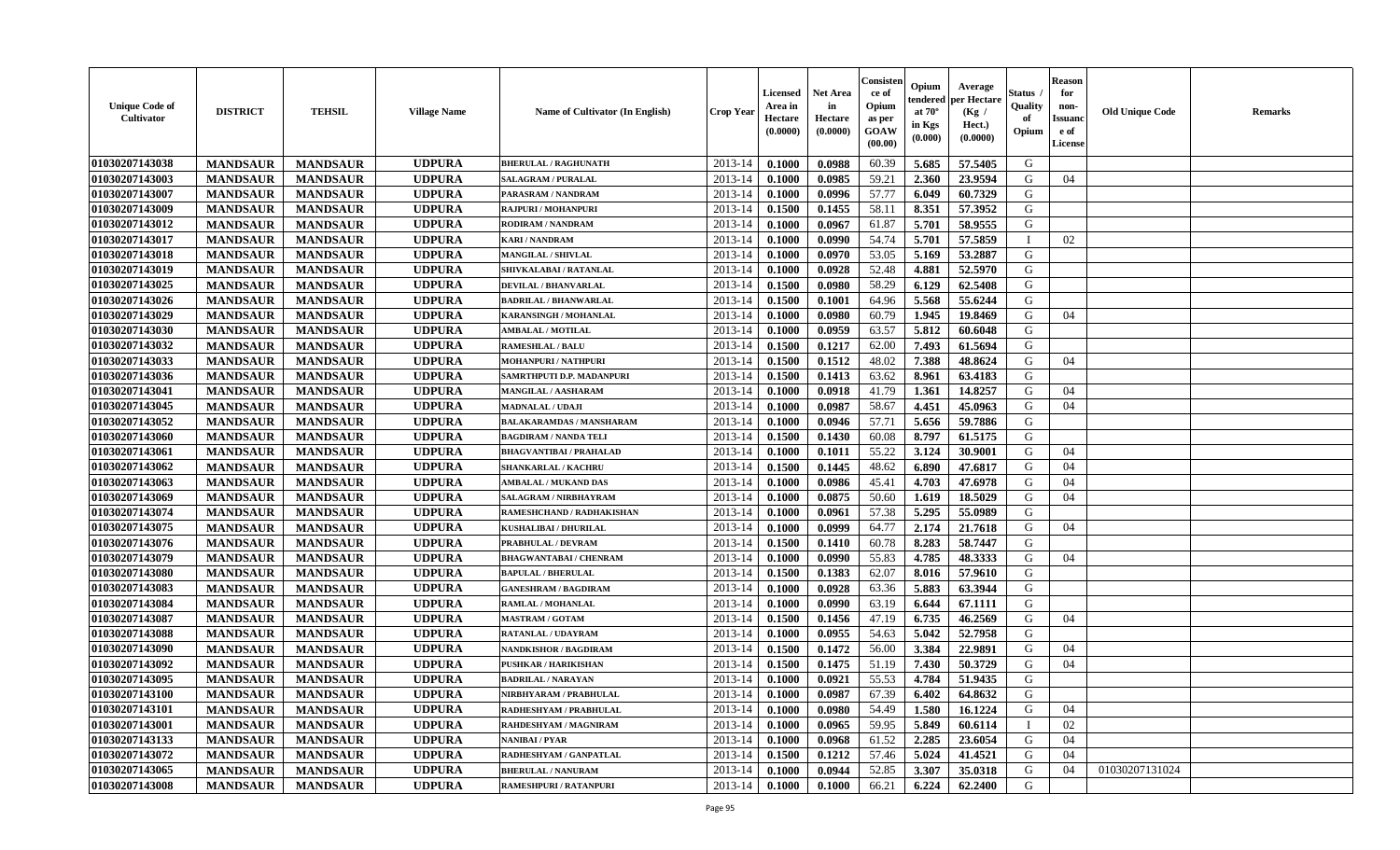| <b>Unique Code of</b><br>Cultivator | <b>DISTRICT</b> | <b>TEHSIL</b>   | <b>Village Name</b> | Name of Cultivator (In English) | Crop Yeaı   | Licensed<br>Area in<br>Hectare<br>(0.0000) | <b>Net Area</b><br>in<br>Hectare<br>(0.0000) | Consister<br>ce of<br>Opium<br>as per<br>GOAW<br>(00.00) | Opium<br>endered<br>at $70^{\circ}$<br>in Kgs<br>$(\mathbf{0.000})$ | Average<br>per Hectare<br>(Kg /<br>Hect.)<br>(0.0000) | Status<br>Quality<br>of<br>Opium | <b>Reason</b><br>for<br>non-<br><b>Issuanc</b><br>e of<br>License | <b>Old Unique Code</b> | Remarks |
|-------------------------------------|-----------------|-----------------|---------------------|---------------------------------|-------------|--------------------------------------------|----------------------------------------------|----------------------------------------------------------|---------------------------------------------------------------------|-------------------------------------------------------|----------------------------------|-------------------------------------------------------------------|------------------------|---------|
| 01030207143038                      | <b>MANDSAUR</b> | <b>MANDSAUR</b> | <b>UDPURA</b>       | <b>BHERULAL / RAGHUNATH</b>     | $2013 - 14$ | 0.1000                                     | 0.0988                                       | 60.39                                                    | 5.685                                                               | 57.5405                                               | G                                |                                                                   |                        |         |
| 01030207143003                      | <b>MANDSAUR</b> | <b>MANDSAUR</b> | <b>UDPURA</b>       | <b>SALAGRAM / PURALAL</b>       | 2013-14     | 0.1000                                     | 0.0985                                       | 59.21                                                    | 2.360                                                               | 23.9594                                               | G                                | 04                                                                |                        |         |
| 01030207143007                      | <b>MANDSAUR</b> | <b>MANDSAUR</b> | <b>UDPURA</b>       | PARASRAM / NANDRAM              | 2013-14     | 0.1000                                     | 0.0996                                       | 57.77                                                    | 6.049                                                               | 60.7329                                               | G                                |                                                                   |                        |         |
| 01030207143009                      | <b>MANDSAUR</b> | <b>MANDSAUR</b> | <b>UDPURA</b>       | <b>RAJPURI / MOHANPURI</b>      | 2013-14     | 0.1500                                     | 0.1455                                       | 58.11                                                    | 8.351                                                               | 57.3952                                               | G                                |                                                                   |                        |         |
| 01030207143012                      | <b>MANDSAUR</b> | <b>MANDSAUR</b> | <b>UDPURA</b>       | <b>RODIRAM / NANDRAM</b>        | 2013-14     | 0.1000                                     | 0.0967                                       | 61.87                                                    | 5.701                                                               | 58.9555                                               | G                                |                                                                   |                        |         |
| 01030207143017                      | <b>MANDSAUR</b> | <b>MANDSAUR</b> | <b>UDPURA</b>       | <b>KARI/NANDRAM</b>             | $2013 - 14$ | 0.1000                                     | 0.0990                                       | 54.74                                                    | 5.701                                                               | 57.5859                                               | $\blacksquare$                   | 02                                                                |                        |         |
| 01030207143018                      | <b>MANDSAUR</b> | <b>MANDSAUR</b> | <b>UDPURA</b>       | <b>MANGILAL / SHIVLAL</b>       | $2013 - 14$ | 0.1000                                     | 0.0970                                       | 53.05                                                    | 5.169                                                               | 53.2887                                               | G                                |                                                                   |                        |         |
| 01030207143019                      | <b>MANDSAUR</b> | <b>MANDSAUR</b> | <b>UDPURA</b>       | SHIVKALABAI / RATANLAL          | 2013-14     | 0.1000                                     | 0.0928                                       | 52.48                                                    | 4.881                                                               | 52.5970                                               | G                                |                                                                   |                        |         |
| 01030207143025                      | <b>MANDSAUR</b> | <b>MANDSAUR</b> | <b>UDPURA</b>       | <b>DEVILAL / BHANVARLAL</b>     | 2013-14     | 0.1500                                     | 0.0980                                       | 58.29                                                    | 6.129                                                               | 62.5408                                               | G                                |                                                                   |                        |         |
| 01030207143026                      | <b>MANDSAUR</b> | <b>MANDSAUR</b> | <b>UDPURA</b>       | <b>BADRILAL / BHANWARLAL</b>    | 2013-14     | 0.1500                                     | 0.1001                                       | 64.96                                                    | 5.568                                                               | 55.6244                                               | G                                |                                                                   |                        |         |
| 01030207143029                      | <b>MANDSAUR</b> | <b>MANDSAUR</b> | <b>UDPURA</b>       | <b>KARANSINGH / MOHANLAL</b>    | 2013-14     | 0.1000                                     | 0.0980                                       | 60.79                                                    | 1.945                                                               | 19.8469                                               | G                                | 04                                                                |                        |         |
| 01030207143030                      | <b>MANDSAUR</b> | <b>MANDSAUR</b> | <b>UDPURA</b>       | <b>AMBALAL / MOTILAL</b>        | 2013-14     | 0.1000                                     | 0.0959                                       | 63.57                                                    | 5.812                                                               | 60.6048                                               | G                                |                                                                   |                        |         |
| 01030207143032                      | <b>MANDSAUR</b> | <b>MANDSAUR</b> | <b>UDPURA</b>       | <b>RAMESHLAL / BALU</b>         | 2013-14     | 0.1500                                     | 0.1217                                       | 62.00                                                    | 7.493                                                               | 61.5694                                               | G                                |                                                                   |                        |         |
| 01030207143033                      | <b>MANDSAUR</b> | <b>MANDSAUR</b> | <b>UDPURA</b>       | <b>MOHANPURI / NATHPURI</b>     | 2013-14     | 0.1500                                     | 0.1512                                       | 48.02                                                    | 7.388                                                               | 48.8624                                               | G                                | 04                                                                |                        |         |
| 01030207143036                      | <b>MANDSAUR</b> | <b>MANDSAUR</b> | <b>UDPURA</b>       | SAMRTHPUTI D.P. MADANPURI       | $2013 - 14$ | 0.1500                                     | 0.1413                                       | 63.62                                                    | 8.961                                                               | 63.4183                                               | G                                |                                                                   |                        |         |
| 01030207143041                      | <b>MANDSAUR</b> | <b>MANDSAUR</b> | <b>UDPURA</b>       | <b>MANGILAL / AASHARAM</b>      | $2013 - 14$ | 0.1000                                     | 0.0918                                       | 41.79                                                    | 1.361                                                               | 14.8257                                               | G                                | 04                                                                |                        |         |
| 01030207143045                      | <b>MANDSAUR</b> | <b>MANDSAUR</b> | <b>UDPURA</b>       | <b>MADNALAL / UDAJI</b>         | 2013-14     | 0.1000                                     | 0.0987                                       | 58.67                                                    | 4.451                                                               | 45.0963                                               | G                                | 04                                                                |                        |         |
| 01030207143052                      | <b>MANDSAUR</b> | <b>MANDSAUR</b> | <b>UDPURA</b>       | <b>BALAKARAMDAS / MANSHARAM</b> | 2013-14     | 0.1000                                     | 0.0946                                       | 57.71                                                    | 5.656                                                               | 59.7886                                               | G                                |                                                                   |                        |         |
| 01030207143060                      | <b>MANDSAUR</b> | <b>MANDSAUR</b> | <b>UDPURA</b>       | <b>BAGDIRAM / NANDA TELI</b>    | 2013-14     | 0.1500                                     | 0.1430                                       | 60.08                                                    | 8.797                                                               | 61.5175                                               | G                                |                                                                   |                        |         |
| 01030207143061                      | <b>MANDSAUR</b> | <b>MANDSAUR</b> | <b>UDPURA</b>       | <b>BHAGVANTIBAI / PRAHALAD</b>  | 2013-14     | 0.1000                                     | 0.1011                                       | 55.22                                                    | 3.124                                                               | 30.9001                                               | G                                | 04                                                                |                        |         |
| 01030207143062                      | <b>MANDSAUR</b> | <b>MANDSAUR</b> | <b>UDPURA</b>       | <b>SHANKARLAL / KACHRU</b>      | 2013-14     | 0.1500                                     | 0.1445                                       | 48.62                                                    | 6.890                                                               | 47.6817                                               | G                                | 04                                                                |                        |         |
| 01030207143063                      | <b>MANDSAUR</b> | <b>MANDSAUR</b> | <b>UDPURA</b>       | <b>AMBALAL / MUKAND DAS</b>     | 2013-14     | 0.1000                                     | 0.0986                                       | 45.41                                                    | 4.703                                                               | 47.6978                                               | G                                | 04                                                                |                        |         |
| 01030207143069                      | <b>MANDSAUR</b> | <b>MANDSAUR</b> | <b>UDPURA</b>       | SALAGRAM / NIRBHAYRAM           | 2013-14     | 0.1000                                     | 0.0875                                       | 50.60                                                    | 1.619                                                               | 18.5029                                               | G                                | 04                                                                |                        |         |
| 01030207143074                      | <b>MANDSAUR</b> | <b>MANDSAUR</b> | <b>UDPURA</b>       | RAMESHCHAND / RADHAKISHAN       | 2013-14     | 0.1000                                     | 0.0961                                       | 57.38                                                    | 5.295                                                               | 55.0989                                               | G                                |                                                                   |                        |         |
| 01030207143075                      | <b>MANDSAUR</b> | <b>MANDSAUR</b> | <b>UDPURA</b>       | <b>KUSHALIBAI / DHURILAL</b>    | 2013-14     | 0.1000                                     | 0.0999                                       | 64.77                                                    | 2.174                                                               | 21.7618                                               | G                                | 04                                                                |                        |         |
| 01030207143076                      | <b>MANDSAUR</b> | <b>MANDSAUR</b> | <b>UDPURA</b>       | PRABHULAL / DEVRAM              | 2013-14     | 0.1500                                     | 0.1410                                       | 60.78                                                    | 8.283                                                               | 58.7447                                               | G                                |                                                                   |                        |         |
| 01030207143079                      | <b>MANDSAUR</b> | <b>MANDSAUR</b> | <b>UDPURA</b>       | <b>BHAGWANTABAI / CHENRAM</b>   | 2013-14     | 0.1000                                     | 0.0990                                       | 55.83                                                    | 4.785                                                               | 48.3333                                               | G                                | 04                                                                |                        |         |
| 01030207143080                      | <b>MANDSAUR</b> | <b>MANDSAUR</b> | <b>UDPURA</b>       | <b>BAPULAL / BHERULAL</b>       | 2013-14     | 0.1500                                     | 0.1383                                       | 62.07                                                    | 8.016                                                               | 57.9610                                               | G                                |                                                                   |                        |         |
| 01030207143083                      | <b>MANDSAUR</b> | <b>MANDSAUR</b> | <b>UDPURA</b>       | <b>GANESHRAM / BAGDIRAM</b>     | 2013-14     | 0.1000                                     | 0.0928                                       | 63.36                                                    | 5.883                                                               | 63.3944                                               | G                                |                                                                   |                        |         |
| 01030207143084                      | <b>MANDSAUR</b> | <b>MANDSAUR</b> | <b>UDPURA</b>       | RAMLAL / MOHANLAL               | 2013-14     | 0.1000                                     | 0.0990                                       | 63.19                                                    | 6.644                                                               | 67.1111                                               | G                                |                                                                   |                        |         |
| 01030207143087                      | <b>MANDSAUR</b> | <b>MANDSAUR</b> | <b>UDPURA</b>       | <b>MASTRAM / GOTAM</b>          | 2013-14     | 0.1500                                     | 0.1456                                       | 47.19                                                    | 6.735                                                               | 46.2569                                               | G                                | 04                                                                |                        |         |
| 01030207143088                      | <b>MANDSAUR</b> | <b>MANDSAUR</b> | <b>UDPURA</b>       | RATANLAL / UDAYRAM              | 2013-14     | 0.1000                                     | 0.0955                                       | 54.63                                                    | 5.042                                                               | 52.7958                                               | G                                |                                                                   |                        |         |
| 01030207143090                      | <b>MANDSAUR</b> | <b>MANDSAUR</b> | <b>UDPURA</b>       | <b>NANDKISHOR / BAGDIRAM</b>    | 2013-14     | 0.1500                                     | 0.1472                                       | 56.00                                                    | 3.384                                                               | 22.9891                                               | G                                | 04                                                                |                        |         |
| 01030207143092                      | <b>MANDSAUR</b> | <b>MANDSAUR</b> | <b>UDPURA</b>       | <b>PUSHKAR / HARIKISHAN</b>     | 2013-14     | 0.1500                                     | 0.1475                                       | 51.19                                                    | 7.430                                                               | 50.3729                                               | G                                | 04                                                                |                        |         |
| 01030207143095                      | <b>MANDSAUR</b> | <b>MANDSAUR</b> | <b>UDPURA</b>       | <b>BADRILAL / NARAYAN</b>       | 2013-14     | 0.1000                                     | 0.0921                                       | 55.53                                                    | 4.784                                                               | 51.9435                                               | G                                |                                                                   |                        |         |
| 01030207143100                      | <b>MANDSAUR</b> | <b>MANDSAUR</b> | <b>UDPURA</b>       | NIRBHYARAM / PRABHULAL          | 2013-14     | 0.1000                                     | 0.0987                                       | 67.39                                                    | 6.402                                                               | 64.8632                                               | G                                |                                                                   |                        |         |
| 01030207143101                      | <b>MANDSAUR</b> | <b>MANDSAUR</b> | <b>UDPURA</b>       | RADHESHYAM / PRABHULAL          | 2013-14     | 0.1000                                     | 0.0980                                       | 54.49                                                    | 1.580                                                               | 16.1224                                               | G                                | 04                                                                |                        |         |
| 01030207143001                      | <b>MANDSAUR</b> | <b>MANDSAUR</b> | <b>UDPURA</b>       | RAHDESHYAM / MAGNIRAM           | 2013-14     | 0.1000                                     | 0.0965                                       | 59.95                                                    | 5.849                                                               | 60.6114                                               | $\mathbf{I}$                     | 02                                                                |                        |         |
| 01030207143133                      | <b>MANDSAUR</b> | <b>MANDSAUR</b> | <b>UDPURA</b>       | <b>NANIBAI/PYAR</b>             | $2013 - 14$ | 0.1000                                     | 0.0968                                       | 61.52                                                    | 2.285                                                               | 23.6054                                               | G                                | 04                                                                |                        |         |
| 01030207143072                      | <b>MANDSAUR</b> | <b>MANDSAUR</b> | <b>UDPURA</b>       | RADHESHYAM / GANPATLAL          | $2013 - 14$ | 0.1500                                     | 0.1212                                       | 57.46                                                    | 5.024                                                               | 41.4521                                               | G                                | 04                                                                |                        |         |
| 01030207143065                      | <b>MANDSAUR</b> | <b>MANDSAUR</b> | <b>UDPURA</b>       | <b>BHERULAL / NANURAM</b>       | 2013-14     | 0.1000                                     | 0.0944                                       | 52.85                                                    | 3.307                                                               | 35.0318                                               | G                                | 04                                                                | 01030207131024         |         |
| 01030207143008                      | <b>MANDSAUR</b> | <b>MANDSAUR</b> | <b>UDPURA</b>       | RAMESHPURI / RATANPURI          | 2013-14     | 0.1000                                     | 0.1000                                       | 66.21                                                    | 6.224                                                               | 62.2400                                               | G                                |                                                                   |                        |         |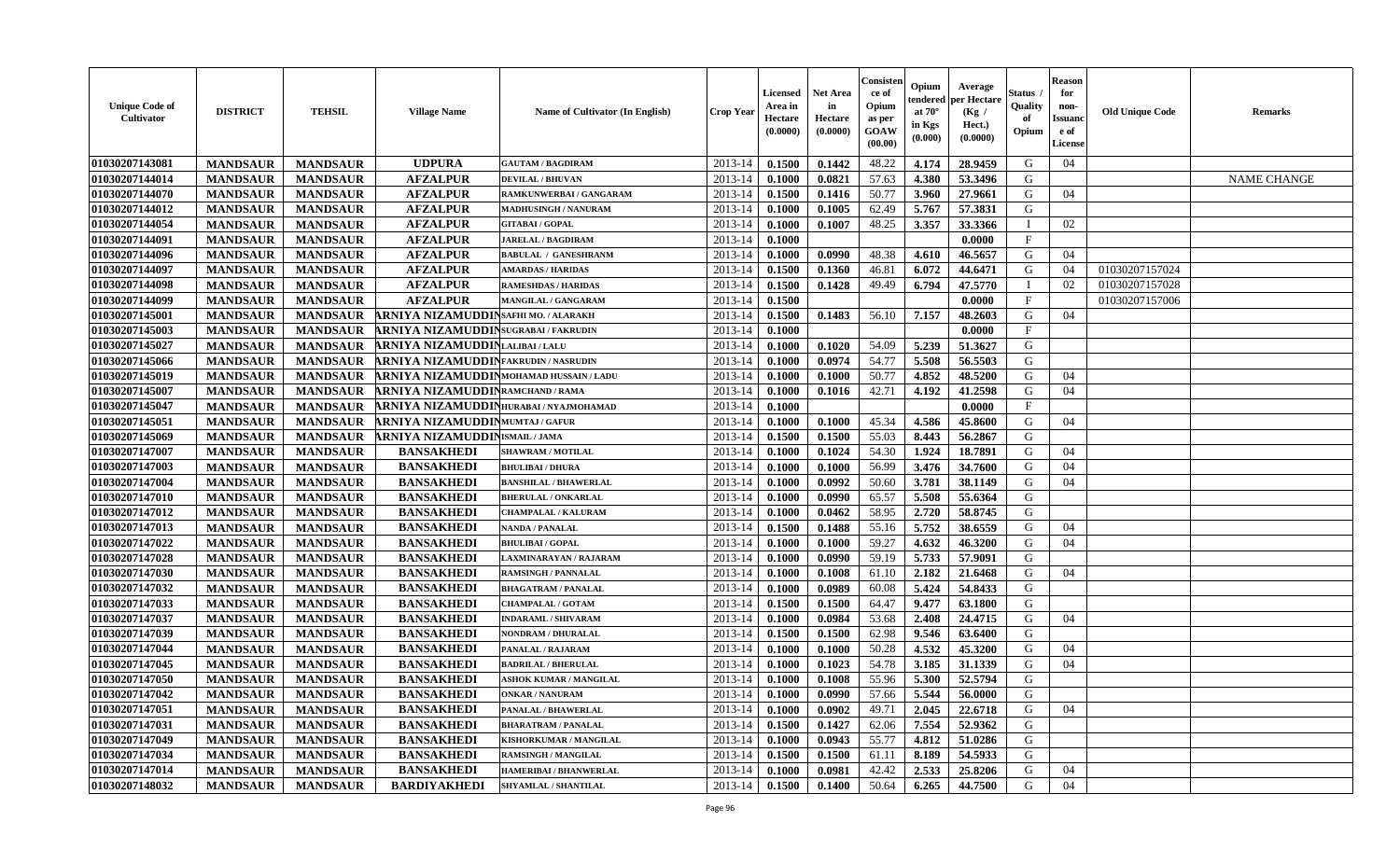| <b>Unique Code of</b><br>Cultivator | <b>DISTRICT</b>                    | <b>TEHSIL</b>   | <b>Village Name</b>                          | Name of Cultivator (In English)                 | <b>Crop Year</b>   | <b>Licensed</b><br>Area in<br>Hectare<br>(0.0000) | <b>Net Area</b><br>in<br>Hectare<br>(0.0000) | Consisten<br>ce of<br>Opium<br>as per<br><b>GOAW</b><br>(00.00) | Opium<br>endered<br>at $70^\circ$<br>in Kgs<br>(0.000) | Average<br>per Hectare<br>(Kg /<br>Hect.)<br>(0.0000) | Status<br>Quality<br>of<br>Opium | <b>Reason</b><br>for<br>non-<br><b>Issuanc</b><br>e of<br><b>License</b> | <b>Old Unique Code</b> | <b>Remarks</b>     |
|-------------------------------------|------------------------------------|-----------------|----------------------------------------------|-------------------------------------------------|--------------------|---------------------------------------------------|----------------------------------------------|-----------------------------------------------------------------|--------------------------------------------------------|-------------------------------------------------------|----------------------------------|--------------------------------------------------------------------------|------------------------|--------------------|
| 01030207143081                      | <b>MANDSAUR</b>                    | <b>MANDSAUR</b> | <b>UDPURA</b>                                | <b>GAUTAM / BAGDIRAM</b>                        | 2013-14            | 0.1500                                            | 0.1442                                       | 48.22                                                           | 4.174                                                  | 28.9459                                               | G                                | 04                                                                       |                        |                    |
| 01030207144014                      | <b>MANDSAUR</b>                    | <b>MANDSAUR</b> | <b>AFZALPUR</b>                              | <b>DEVILAL / BHUVAN</b>                         | $2013 - 14$        | 0.1000                                            | 0.0821                                       | 57.63                                                           | 4.380                                                  | 53.3496                                               | G                                |                                                                          |                        | <b>NAME CHANGE</b> |
| 01030207144070                      | <b>MANDSAUR</b>                    | <b>MANDSAUR</b> | <b>AFZALPUR</b>                              | RAMKUNWERBAI / GANGARAM                         | 2013-14            | 0.1500                                            | 0.1416                                       | 50.77                                                           | 3.960                                                  | 27.9661                                               | G                                | 04                                                                       |                        |                    |
| 01030207144012                      | <b>MANDSAUR</b>                    | <b>MANDSAUR</b> | <b>AFZALPUR</b>                              | <b>MADHUSINGH / NANURAM</b>                     | 2013-14            | 0.1000                                            | 0.1005                                       | 62.49                                                           | 5.767                                                  | 57.3831                                               | G                                |                                                                          |                        |                    |
| 01030207144054                      | <b>MANDSAUR</b>                    | <b>MANDSAUR</b> | <b>AFZALPUR</b>                              | <b>GITABAI/GOPAL</b>                            | 2013-14            | 0.1000                                            | 0.1007                                       | 48.25                                                           | 3.357                                                  | 33.3366                                               | $\mathbf I$                      | 02                                                                       |                        |                    |
| 01030207144091                      | <b>MANDSAUR</b>                    | <b>MANDSAUR</b> | <b>AFZALPUR</b>                              | <b>JARELAL / BAGDIRAM</b>                       | 2013-14            | 0.1000                                            |                                              |                                                                 |                                                        | 0.0000                                                | F                                |                                                                          |                        |                    |
| 01030207144096                      | <b>MANDSAUR</b>                    | <b>MANDSAUR</b> | <b>AFZALPUR</b>                              | <b>BABULAL / GANESHRANM</b>                     | 2013-14            | 0.1000                                            | 0.0990                                       | 48.38                                                           | 4.610                                                  | 46.5657                                               | G                                | 04                                                                       |                        |                    |
| 01030207144097                      | <b>MANDSAUR</b>                    | <b>MANDSAUR</b> | <b>AFZALPUR</b>                              | <b>AMARDAS / HARIDAS</b>                        | 2013-14            | 0.1500                                            | 0.1360                                       | 46.81                                                           | 6.072                                                  | 44.6471                                               | G                                | 04                                                                       | 01030207157024         |                    |
| 01030207144098                      | <b>MANDSAUR</b>                    | <b>MANDSAUR</b> | <b>AFZALPUR</b>                              | <b>RAMESHDAS / HARIDAS</b>                      | 2013-14            | 0.1500                                            | 0.1428                                       | 49.49                                                           | 6.794                                                  | 47.5770                                               | T                                | 02                                                                       | 01030207157028         |                    |
| 01030207144099                      | <b>MANDSAUR</b>                    | <b>MANDSAUR</b> | <b>AFZALPUR</b>                              | MANGILAL / GANGARAM                             | 2013-14            | 0.1500                                            |                                              |                                                                 |                                                        | 0.0000                                                | $\mathbf{F}$                     |                                                                          | 01030207157006         |                    |
| 01030207145001                      | <b>MANDSAUR</b>                    | <b>MANDSAUR</b> | <b>ARNIYA NIZAMUDDIN</b> SAFHI MO. / ALARAKH |                                                 | 2013-14            | 0.1500                                            | 0.1483                                       | 56.10                                                           | 7.157                                                  | 48.2603                                               | G                                | 04                                                                       |                        |                    |
| 01030207145003                      | <b>MANDSAUR</b>                    | <b>MANDSAUR</b> | ARNIYA NIZAMUDDIN SUGRABAI/FAKRUDIN          |                                                 | 2013-14            | 0.1000                                            |                                              |                                                                 |                                                        | 0.0000                                                | $\mathbf{F}$                     |                                                                          |                        |                    |
| 01030207145027                      | <b>MANDSAUR</b>                    | <b>MANDSAUR</b> | ARNIYA NIZAMUDDINLALIBAI/LALU                |                                                 | 2013-14            | 0.1000                                            | 0.1020                                       | 54.09                                                           | 5.239                                                  | 51.3627                                               | G                                |                                                                          |                        |                    |
| 01030207145066                      | <b>MANDSAUR</b>                    | <b>MANDSAUR</b> | ARNIYA NIZAMUDDINFAKRUDIN/NASRUDIN           |                                                 | 2013-14            | 0.1000                                            | 0.0974                                       | 54.77                                                           | 5.508                                                  | 56.5503                                               | G                                |                                                                          |                        |                    |
| 01030207145019                      | <b>MANDSAUR</b>                    | <b>MANDSAUR</b> | ARNIYA NIZAMUDDINMOHAMAD HUSSAIN / LADU      |                                                 | $2013 - 14$        | 0.1000                                            | 0.1000                                       | 50.77                                                           | 4.852                                                  | 48.5200                                               | G                                | 04                                                                       |                        |                    |
| 01030207145007                      | <b>MANDSAUR</b>                    | <b>MANDSAUR</b> | ARNIYA NIZAMUDDIN RAMCHAND / RAMA            |                                                 | 2013-14            | 0.1000                                            | 0.1016                                       | 42.71                                                           | 4.192                                                  | 41.2598                                               | G                                | 04                                                                       |                        |                    |
| 01030207145047                      | <b>MANDSAUR</b>                    | <b>MANDSAUR</b> | ARNIYA NIZAMUDDIN HURABAI/NYAJMOHAMAD        |                                                 | 2013-14            | 0.1000                                            |                                              |                                                                 |                                                        | 0.0000                                                | $\mathbf{F}$                     |                                                                          |                        |                    |
| 01030207145051                      | <b>MANDSAUR</b>                    | <b>MANDSAUR</b> | <b>ARNIYA NIZAMUDDINMUMTAJ/GAFUR</b>         |                                                 | 2013-14            | 0.1000                                            | 0.1000                                       | 45.34                                                           | 4.586                                                  | 45.8600                                               | G                                | 04                                                                       |                        |                    |
| 01030207145069                      | <b>MANDSAUR</b>                    | <b>MANDSAUR</b> | ARNIYA NIZAMUDDINISMAIL/JAMA                 |                                                 | 2013-14            | 0.1500                                            | 0.1500                                       | 55.03                                                           | 8.443                                                  | 56.2867                                               | G                                |                                                                          |                        |                    |
| 01030207147007                      | <b>MANDSAUR</b>                    | <b>MANDSAUR</b> | <b>BANSAKHEDI</b>                            | <b>SHAWRAM / MOTILAL</b>                        | 2013-14            | 0.1000                                            | 0.1024                                       | 54.30                                                           | 1.924                                                  | 18.7891                                               | G                                | 04                                                                       |                        |                    |
| 01030207147003                      | <b>MANDSAUR</b>                    | <b>MANDSAUR</b> | <b>BANSAKHEDI</b>                            | <b>BHULIBAI / DHURA</b>                         | 2013-14            | 0.1000                                            | 0.1000                                       | 56.99                                                           | 3.476                                                  | 34.7600                                               | G                                | 04                                                                       |                        |                    |
| 01030207147004                      | <b>MANDSAUR</b>                    | <b>MANDSAUR</b> | <b>BANSAKHEDI</b>                            | <b>BANSHILAL / BHAWERLAL</b>                    | 2013-14            | 0.1000                                            | 0.0992                                       | 50.60                                                           | 3.781                                                  | 38.1149                                               | G                                | 04                                                                       |                        |                    |
| 01030207147010                      | <b>MANDSAUR</b>                    | <b>MANDSAUR</b> | <b>BANSAKHEDI</b>                            | <b>BHERULAL / ONKARLAL</b>                      | $2013 - 14$        | 0.1000                                            | 0.0990                                       | 65.57                                                           | 5.508                                                  | 55.6364                                               | G                                |                                                                          |                        |                    |
| 01030207147012                      | <b>MANDSAUR</b>                    | <b>MANDSAUR</b> | <b>BANSAKHEDI</b>                            | <b>CHAMPALAL / KALURAM</b>                      | 2013-14            | 0.1000                                            | 0.0462                                       | 58.95                                                           | 2.720                                                  | 58.8745                                               | G                                |                                                                          |                        |                    |
| 01030207147013                      | <b>MANDSAUR</b>                    | <b>MANDSAUR</b> | <b>BANSAKHEDI</b>                            | <b>NANDA / PANALAL</b>                          | 2013-14            | 0.1500                                            | 0.1488                                       | 55.16                                                           | 5.752                                                  | 38.6559                                               | G                                | 04                                                                       |                        |                    |
| 01030207147022                      | <b>MANDSAUR</b>                    | <b>MANDSAUR</b> | <b>BANSAKHEDI</b>                            | <b>BHULIBAI/GOPAL</b>                           | 2013-14            | 0.1000                                            | 0.1000                                       | 59.27                                                           | 4.632                                                  | 46.3200                                               | G                                | 04                                                                       |                        |                    |
| 01030207147028                      |                                    | <b>MANDSAUR</b> | <b>BANSAKHEDI</b>                            | LAXMINARAYAN / RAJARAM                          | 2013-14            | 0.1000                                            | 0.0990                                       | 59.19                                                           | 5.733                                                  | 57.9091                                               | G                                |                                                                          |                        |                    |
| 01030207147030                      | <b>MANDSAUR</b>                    | <b>MANDSAUR</b> | <b>BANSAKHEDI</b>                            | <b>RAMSINGH / PANNALAL</b>                      | 2013-14            | 0.1000                                            | 0.1008                                       | 61.10                                                           |                                                        | 21.6468                                               | G                                | 04                                                                       |                        |                    |
| 01030207147032                      | <b>MANDSAUR</b><br><b>MANDSAUR</b> | <b>MANDSAUR</b> | <b>BANSAKHEDI</b>                            | <b>BHAGATRAM / PANALAL</b>                      | 2013-14            | 0.1000                                            | 0.0989                                       | 60.08                                                           | 2.182<br>5.424                                         | 54.8433                                               | G                                |                                                                          |                        |                    |
| 01030207147033                      | <b>MANDSAUR</b>                    | <b>MANDSAUR</b> | <b>BANSAKHEDI</b>                            | <b>CHAMPALAL / GOTAM</b>                        | 2013-14            | 0.1500                                            | 0.1500                                       | 64.47                                                           | 9.477                                                  | 63.1800                                               | G                                |                                                                          |                        |                    |
| 01030207147037                      | <b>MANDSAUR</b>                    | <b>MANDSAUR</b> | <b>BANSAKHEDI</b>                            | <b>INDARAML / SHIVARAM</b>                      | 2013-14            | 0.1000                                            | 0.0984                                       | 53.68                                                           | 2.408                                                  | 24.4715                                               | G                                | 04                                                                       |                        |                    |
| 01030207147039                      |                                    | <b>MANDSAUR</b> | <b>BANSAKHEDI</b>                            | <b>NONDRAM / DHURALAL</b>                       | $2013 - 14$        | 0.1500                                            | 0.1500                                       | 62.98                                                           | 9.546                                                  | 63.6400                                               | ${\bf G}$                        |                                                                          |                        |                    |
|                                     | <b>MANDSAUR</b>                    |                 |                                              |                                                 |                    |                                                   |                                              | 50.28                                                           |                                                        |                                                       | G                                |                                                                          |                        |                    |
| 01030207147044<br>01030207147045    | <b>MANDSAUR</b>                    | <b>MANDSAUR</b> | <b>BANSAKHEDI</b><br><b>BANSAKHEDI</b>       | PANALAL / RAJARAM<br><b>BADRILAL / BHERULAL</b> | 2013-14<br>2013-14 | 0.1000                                            | 0.1000                                       | 54.78                                                           | 4.532                                                  | 45.3200                                               | G                                | 04<br>04                                                                 |                        |                    |
|                                     | <b>MANDSAUR</b>                    | <b>MANDSAUR</b> |                                              |                                                 |                    | 0.1000                                            | 0.1023                                       |                                                                 | 3.185                                                  | 31.1339                                               | G                                |                                                                          |                        |                    |
| 01030207147050                      | <b>MANDSAUR</b>                    | <b>MANDSAUR</b> | <b>BANSAKHEDI</b>                            | <b>ASHOK KUMAR / MANGILAL</b>                   | 2013-14            | 0.1000                                            | 0.1008                                       | 55.96                                                           | 5.300                                                  | 52.5794                                               | G                                |                                                                          |                        |                    |
| 01030207147042                      | <b>MANDSAUR</b>                    | <b>MANDSAUR</b> | <b>BANSAKHEDI</b>                            | <b>ONKAR / NANURAM</b>                          | 2013-14            | 0.1000                                            | 0.0990                                       | 57.66                                                           | 5.544                                                  | 56.0000                                               |                                  |                                                                          |                        |                    |
| 01030207147051                      | <b>MANDSAUR</b>                    | <b>MANDSAUR</b> | <b>BANSAKHEDI</b>                            | PANALAL / BHAWERLAL                             | 2013-14            | 0.1000                                            | 0.0902                                       | 49.71                                                           | 2.045                                                  | 22.6718                                               | G                                | 04                                                                       |                        |                    |
| 01030207147031                      | <b>MANDSAUR</b>                    | <b>MANDSAUR</b> | <b>BANSAKHEDI</b>                            | <b>BHARATRAM / PANALAL</b>                      | 2013-14            | 0.1500                                            | 0.1427                                       | 62.06                                                           | 7.554                                                  | 52.9362                                               | G                                |                                                                          |                        |                    |
| 01030207147049                      | <b>MANDSAUR</b>                    | <b>MANDSAUR</b> | <b>BANSAKHEDI</b>                            | KISHORKUMAR / MANGILAL                          | $2013 - 14$        | 0.1000                                            | 0.0943                                       | 55.77                                                           | 4.812                                                  | 51.0286                                               | G                                |                                                                          |                        |                    |
| 01030207147034                      | <b>MANDSAUR</b>                    | <b>MANDSAUR</b> | <b>BANSAKHEDI</b>                            | <b>RAMSINGH / MANGILAL</b>                      | $2013 - 14$        | 0.1500                                            | 0.1500                                       | 61.11                                                           | 8.189                                                  | 54.5933                                               | G                                |                                                                          |                        |                    |
| 01030207147014                      | <b>MANDSAUR</b>                    | <b>MANDSAUR</b> | <b>BANSAKHEDI</b>                            | <b>HAMERIBAI / BHANWERLAL</b>                   | 2013-14            | 0.1000                                            | 0.0981                                       | 42.42                                                           | 2.533                                                  | 25.8206                                               | G                                | 04                                                                       |                        |                    |
| 01030207148032                      | <b>MANDSAUR</b>                    | <b>MANDSAUR</b> | <b>BARDIYAKHEDI</b>                          | <b>SHYAMLAL / SHANTILAL</b>                     | 2013-14            | 0.1500                                            | 0.1400                                       | 50.64                                                           | 6.265                                                  | 44.7500                                               | G                                | 04                                                                       |                        |                    |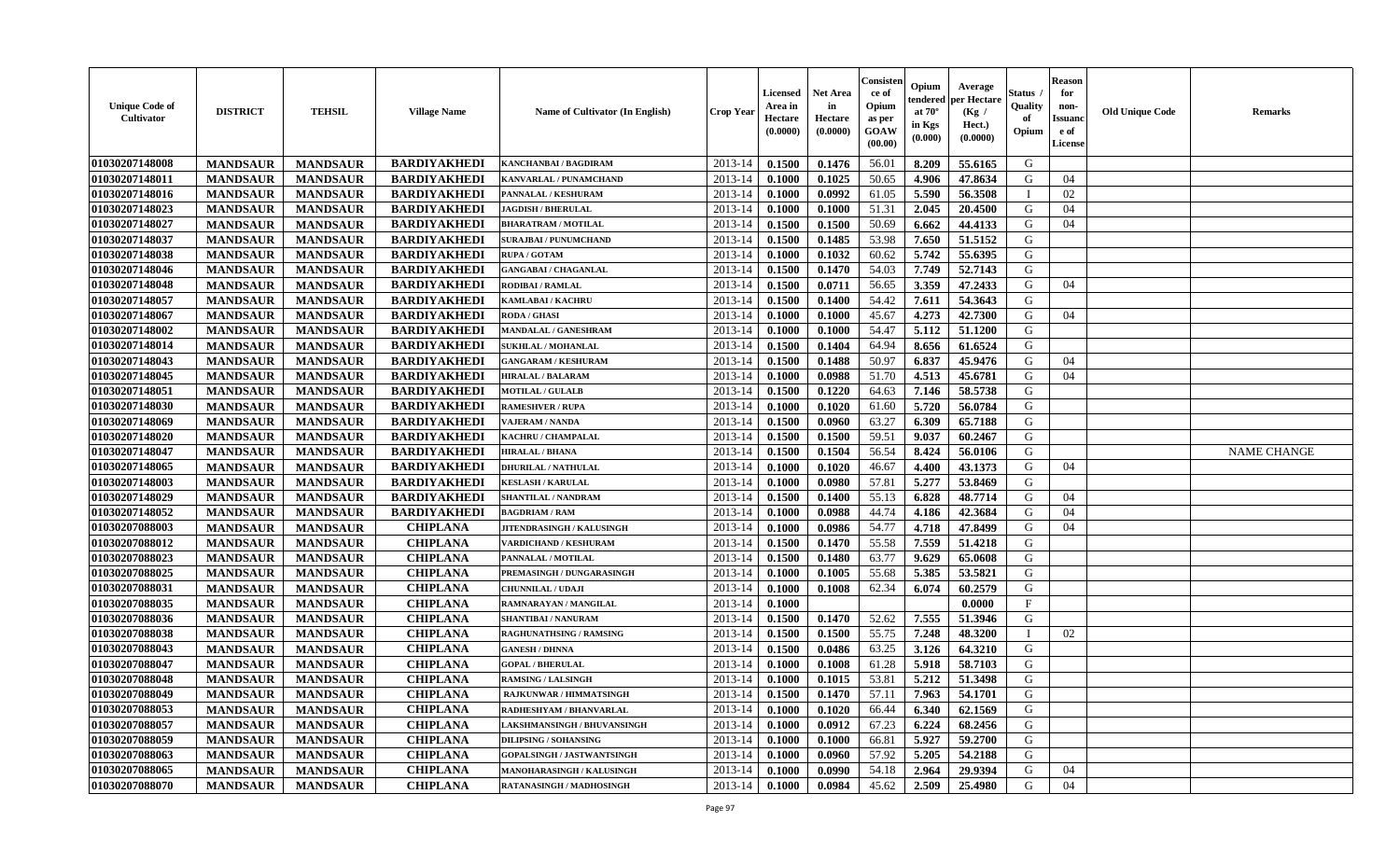| <b>Unique Code of</b><br><b>Cultivator</b> | <b>DISTRICT</b> | <b>TEHSIL</b>   | <b>Village Name</b> | Name of Cultivator (In English)   | <b>Crop Year</b> | <b>Licensed</b><br>Area in<br>Hectare<br>(0.0000) | <b>Net Area</b><br>in<br>Hectare<br>(0.0000) | Consister<br>ce of<br>Opium<br>as per<br><b>GOAW</b><br>(00.00) | Opium<br>endered<br>at $70^\circ$<br>in Kgs<br>$(\mathbf{0.000})$ | Average<br>per Hectare<br>(Kg)<br>Hect.)<br>(0.0000) | Status<br>Quality<br>of<br>Opium | <b>Reason</b><br>for<br>non-<br><b>Issuano</b><br>e of<br>License | <b>Old Unique Code</b> | <b>Remarks</b>     |
|--------------------------------------------|-----------------|-----------------|---------------------|-----------------------------------|------------------|---------------------------------------------------|----------------------------------------------|-----------------------------------------------------------------|-------------------------------------------------------------------|------------------------------------------------------|----------------------------------|-------------------------------------------------------------------|------------------------|--------------------|
| 01030207148008                             | <b>MANDSAUR</b> | <b>MANDSAUR</b> | <b>BARDIYAKHEDI</b> | <b>KANCHANBAI / BAGDIRAM</b>      | 2013-14          | 0.1500                                            | 0.1476                                       | 56.01                                                           | 8.209                                                             | 55.6165                                              | G                                |                                                                   |                        |                    |
| 01030207148011                             | <b>MANDSAUR</b> | <b>MANDSAUR</b> | <b>BARDIYAKHEDI</b> | KANVARLAL / PUNAMCHAND            | 2013-14          | 0.1000                                            | 0.1025                                       | 50.65                                                           | 4.906                                                             | 47.8634                                              | G                                | 04                                                                |                        |                    |
| 01030207148016                             | <b>MANDSAUR</b> | <b>MANDSAUR</b> | <b>BARDIYAKHEDI</b> | PANNALAL / KESHURAM               | 2013-14          | 0.1000                                            | 0.0992                                       | 61.05                                                           | 5.590                                                             | 56.3508                                              |                                  | 02                                                                |                        |                    |
| 01030207148023                             | <b>MANDSAUR</b> | <b>MANDSAUR</b> | <b>BARDIYAKHEDI</b> | <b>JAGDISH / BHERULAL</b>         | 2013-14          | 0.1000                                            | 0.1000                                       | 51.31                                                           | 2.045                                                             | 20.4500                                              | G                                | 04                                                                |                        |                    |
| 01030207148027                             | <b>MANDSAUR</b> | <b>MANDSAUR</b> | <b>BARDIYAKHEDI</b> | <b>BHARATRAM / MOTILAL</b>        | 2013-14          | 0.1500                                            | 0.1500                                       | 50.69                                                           | 6.662                                                             | 44.4133                                              | G                                | 04                                                                |                        |                    |
| 01030207148037                             | <b>MANDSAUR</b> | <b>MANDSAUR</b> | <b>BARDIYAKHEDI</b> | <b>SURAJBAI / PUNUMCHAND</b>      | 2013-14          | 0.1500                                            | 0.1485                                       | 53.98                                                           | 7.650                                                             | 51.5152                                              | G                                |                                                                   |                        |                    |
| 01030207148038                             | <b>MANDSAUR</b> | <b>MANDSAUR</b> | <b>BARDIYAKHEDI</b> | <b>RUPA / GOTAM</b>               | 2013-14          | 0.1000                                            | 0.1032                                       | 60.62                                                           | 5.742                                                             | 55.6395                                              | G                                |                                                                   |                        |                    |
| 01030207148046                             | <b>MANDSAUR</b> | <b>MANDSAUR</b> | <b>BARDIYAKHEDI</b> | <b>GANGABAI / CHAGANLAL</b>       | 2013-14          | 0.1500                                            | 0.1470                                       | 54.03                                                           | 7.749                                                             | 52.7143                                              | G                                |                                                                   |                        |                    |
| 01030207148048                             | <b>MANDSAUR</b> | <b>MANDSAUR</b> | <b>BARDIYAKHEDI</b> | <b>RODIBAI/RAMLAL</b>             | 2013-14          | 0.1500                                            | 0.0711                                       | 56.65                                                           | 3.359                                                             | 47.2433                                              | G                                | 04                                                                |                        |                    |
| 01030207148057                             | <b>MANDSAUR</b> | <b>MANDSAUR</b> | <b>BARDIYAKHEDI</b> | <b>KAMLABAI/KACHRU</b>            | 2013-14          | 0.1500                                            | 0.1400                                       | 54.42                                                           | 7.611                                                             | 54.3643                                              | G                                |                                                                   |                        |                    |
| 01030207148067                             | <b>MANDSAUR</b> | <b>MANDSAUR</b> | <b>BARDIYAKHEDI</b> | RODA / GHASI                      | 2013-14          | 0.1000                                            | 0.1000                                       | 45.67                                                           | 4.273                                                             | 42.7300                                              | G                                | 04                                                                |                        |                    |
| 01030207148002                             | <b>MANDSAUR</b> | <b>MANDSAUR</b> | <b>BARDIYAKHEDI</b> | <b>MANDALAL / GANESHRAM</b>       | 2013-14          | 0.1000                                            | 0.1000                                       | 54.47                                                           | 5.112                                                             | 51.1200                                              | G                                |                                                                   |                        |                    |
| 01030207148014                             | <b>MANDSAUR</b> | <b>MANDSAUR</b> | <b>BARDIYAKHEDI</b> | <b>SUKHLAL / MOHANLAL</b>         | 2013-14          | 0.1500                                            | 0.1404                                       | 64.94                                                           | 8.656                                                             | 61.6524                                              | G                                |                                                                   |                        |                    |
| 01030207148043                             | <b>MANDSAUR</b> | <b>MANDSAUR</b> | <b>BARDIYAKHEDI</b> | <b>GANGARAM / KESHURAM</b>        | 2013-14          | 0.1500                                            | 0.1488                                       | 50.97                                                           | 6.837                                                             | 45.9476                                              | G                                | 04                                                                |                        |                    |
| 01030207148045                             | <b>MANDSAUR</b> | <b>MANDSAUR</b> | <b>BARDIYAKHEDI</b> | <b>HIRALAL / BALARAM</b>          | 2013-14          | 0.1000                                            | 0.0988                                       | 51.70                                                           | 4.513                                                             | 45.6781                                              | G                                | 04                                                                |                        |                    |
| 01030207148051                             | <b>MANDSAUR</b> | <b>MANDSAUR</b> | <b>BARDIYAKHEDI</b> | <b>MOTILAL / GULALB</b>           | 2013-14          | 0.1500                                            | 0.1220                                       | 64.63                                                           | 7.146                                                             | 58.5738                                              | G                                |                                                                   |                        |                    |
| 01030207148030                             | <b>MANDSAUR</b> | <b>MANDSAUR</b> | <b>BARDIYAKHEDI</b> | <b>RAMESHVER / RUPA</b>           | 2013-14          | 0.1000                                            | 0.1020                                       | 61.60                                                           | 5.720                                                             | 56.0784                                              | G                                |                                                                   |                        |                    |
| 01030207148069                             | <b>MANDSAUR</b> | <b>MANDSAUR</b> | <b>BARDIYAKHEDI</b> | <b>VAJERAM / NANDA</b>            | 2013-14          | 0.1500                                            | 0.0960                                       | 63.27                                                           | 6.309                                                             | 65.7188                                              | G                                |                                                                   |                        |                    |
| 01030207148020                             | <b>MANDSAUR</b> | <b>MANDSAUR</b> | <b>BARDIYAKHEDI</b> | KACHRU / CHAMPALAL                | 2013-14          | 0.1500                                            | 0.1500                                       | 59.51                                                           | 9.037                                                             | 60.2467                                              | G                                |                                                                   |                        |                    |
| 01030207148047                             | <b>MANDSAUR</b> | <b>MANDSAUR</b> | <b>BARDIYAKHEDI</b> | <b>HIRALAL / BHANA</b>            | 2013-14          | 0.1500                                            | 0.1504                                       | 56.54                                                           | 8.424                                                             | 56.0106                                              | G                                |                                                                   |                        | <b>NAME CHANGE</b> |
| 01030207148065                             | <b>MANDSAUR</b> | <b>MANDSAUR</b> | <b>BARDIYAKHEDI</b> | <b>DHURILAL / NATHULAL</b>        | 2013-14          | 0.1000                                            | 0.1020                                       | 46.67                                                           | 4.400                                                             | 43.1373                                              | G                                | 04                                                                |                        |                    |
| 01030207148003                             | <b>MANDSAUR</b> | <b>MANDSAUR</b> | <b>BARDIYAKHEDI</b> | <b>KESLASH / KARULAL</b>          | 2013-14          | 0.1000                                            | 0.0980                                       | 57.81                                                           | 5.277                                                             | 53.8469                                              | G                                |                                                                   |                        |                    |
| 01030207148029                             | <b>MANDSAUR</b> | <b>MANDSAUR</b> | <b>BARDIYAKHEDI</b> | <b>SHANTILAL / NANDRAM</b>        | 2013-14          | 0.1500                                            | 0.1400                                       | 55.13                                                           | 6.828                                                             | 48.7714                                              | G                                | 04                                                                |                        |                    |
| 01030207148052                             | <b>MANDSAUR</b> | <b>MANDSAUR</b> | <b>BARDIYAKHEDI</b> | <b>BAGDRIAM / RAM</b>             | 2013-14          | 0.1000                                            | 0.0988                                       | 44.74                                                           | 4.186                                                             | 42.3684                                              | G                                | 04                                                                |                        |                    |
| 01030207088003                             | <b>MANDSAUR</b> | <b>MANDSAUR</b> | <b>CHIPLANA</b>     | JITENDRASINGH / KALUSINGH         | 2013-14          | 0.1000                                            | 0.0986                                       | 54.77                                                           | 4.718                                                             | 47.8499                                              | G                                | 04                                                                |                        |                    |
| 01030207088012                             | <b>MANDSAUR</b> | <b>MANDSAUR</b> | <b>CHIPLANA</b>     | <b>VARDICHAND / KESHURAM</b>      | 2013-14          | 0.1500                                            | 0.1470                                       | 55.58                                                           | 7.559                                                             | 51.4218                                              | G                                |                                                                   |                        |                    |
| 01030207088023                             | <b>MANDSAUR</b> | <b>MANDSAUR</b> | <b>CHIPLANA</b>     | PANNALAL / MOTILAL                | 2013-14          | 0.1500                                            | 0.1480                                       | 63.77                                                           | 9.629                                                             | 65.0608                                              | G                                |                                                                   |                        |                    |
| 01030207088025                             | <b>MANDSAUR</b> | <b>MANDSAUR</b> | <b>CHIPLANA</b>     | PREMASINGH / DUNGARASINGH         | 2013-14          | 0.1000                                            | 0.1005                                       | 55.68                                                           | 5.385                                                             | 53.5821                                              | G                                |                                                                   |                        |                    |
| 01030207088031                             | <b>MANDSAUR</b> | <b>MANDSAUR</b> | <b>CHIPLANA</b>     | <b>CHUNNILAL / UDAJI</b>          | 2013-14          | 0.1000                                            | 0.1008                                       | 62.34                                                           | 6.074                                                             | 60.2579                                              | G                                |                                                                   |                        |                    |
| 01030207088035                             | <b>MANDSAUR</b> | <b>MANDSAUR</b> | <b>CHIPLANA</b>     | RAMNARAYAN / MANGILAL             | 2013-14          | 0.1000                                            |                                              |                                                                 |                                                                   | 0.0000                                               | $\mathbf{F}$                     |                                                                   |                        |                    |
| 01030207088036                             | <b>MANDSAUR</b> | <b>MANDSAUR</b> | <b>CHIPLANA</b>     | <b>SHANTIBAI / NANURAM</b>        | 2013-14          | 0.1500                                            | 0.1470                                       | 52.62                                                           | 7.555                                                             | 51.3946                                              | G                                |                                                                   |                        |                    |
| 01030207088038                             | <b>MANDSAUR</b> | <b>MANDSAUR</b> | <b>CHIPLANA</b>     | <b>RAGHUNATHSING / RAMSING</b>    | 2013-14          | 0.1500                                            | 0.1500                                       | 55.75                                                           | 7.248                                                             | 48.3200                                              |                                  | 02                                                                |                        |                    |
| 01030207088043                             | <b>MANDSAUR</b> | <b>MANDSAUR</b> | <b>CHIPLANA</b>     | <b>GANESH / DHNNA</b>             | 2013-14          | 0.1500                                            | 0.0486                                       | 63.25                                                           | 3.126                                                             | 64.3210                                              | G                                |                                                                   |                        |                    |
| 01030207088047                             | <b>MANDSAUR</b> | <b>MANDSAUR</b> | <b>CHIPLANA</b>     | <b>GOPAL / BHERULAL</b>           | 2013-14          | 0.1000                                            | 0.1008                                       | 61.28                                                           | 5.918                                                             | 58.7103                                              | G                                |                                                                   |                        |                    |
| 01030207088048                             | <b>MANDSAUR</b> | <b>MANDSAUR</b> | <b>CHIPLANA</b>     | <b>RAMSING / LALSINGH</b>         | 2013-14          | 0.1000                                            | 0.1015                                       | 53.81                                                           | 5.212                                                             | 51.3498                                              | G                                |                                                                   |                        |                    |
| 01030207088049                             | <b>MANDSAUR</b> | <b>MANDSAUR</b> | <b>CHIPLANA</b>     | <b>RAJKUNWAR / HIMMATSINGH</b>    | $2013-14$ 0.1500 |                                                   | 0.1470                                       | 57.11                                                           | 7.963                                                             | 54.1701                                              | G                                |                                                                   |                        |                    |
| 01030207088053                             | <b>MANDSAUR</b> | <b>MANDSAUR</b> | <b>CHIPLANA</b>     | RADHESHYAM / BHANVARLAL           | 2013-14          | 0.1000                                            | 0.1020                                       | 66.44                                                           | 6.340                                                             | 62.1569                                              | G                                |                                                                   |                        |                    |
| 01030207088057                             | <b>MANDSAUR</b> | <b>MANDSAUR</b> | <b>CHIPLANA</b>     | LAKSHMANSINGH / BHUVANSINGH       | 2013-14          | 0.1000                                            | 0.0912                                       | 67.23                                                           | 6.224                                                             | 68.2456                                              | G                                |                                                                   |                        |                    |
| 01030207088059                             | <b>MANDSAUR</b> | <b>MANDSAUR</b> | <b>CHIPLANA</b>     | <b>DILIPSING / SOHANSING</b>      | 2013-14          | 0.1000                                            | 0.1000                                       | 66.81                                                           | 5.927                                                             | 59.2700                                              | G                                |                                                                   |                        |                    |
| 01030207088063                             | <b>MANDSAUR</b> | <b>MANDSAUR</b> | <b>CHIPLANA</b>     | <b>GOPALSINGH / JASTWANTSINGH</b> | 2013-14          | 0.1000                                            | 0.0960                                       | 57.92                                                           | 5.205                                                             | 54.2188                                              | G                                |                                                                   |                        |                    |
| 01030207088065                             | <b>MANDSAUR</b> | <b>MANDSAUR</b> | <b>CHIPLANA</b>     | MANOHARASINGH / KALUSINGH         | 2013-14          | 0.1000                                            | 0.0990                                       | 54.18                                                           | 2.964                                                             | 29.9394                                              | G                                | 04                                                                |                        |                    |
| 01030207088070                             | <b>MANDSAUR</b> | <b>MANDSAUR</b> | <b>CHIPLANA</b>     | RATANASINGH / MADHOSINGH          | $2013 - 14$      | $\boldsymbol{0.1000}$                             | 0.0984                                       | 45.62                                                           | 2.509                                                             | 25.4980                                              | G                                | 04                                                                |                        |                    |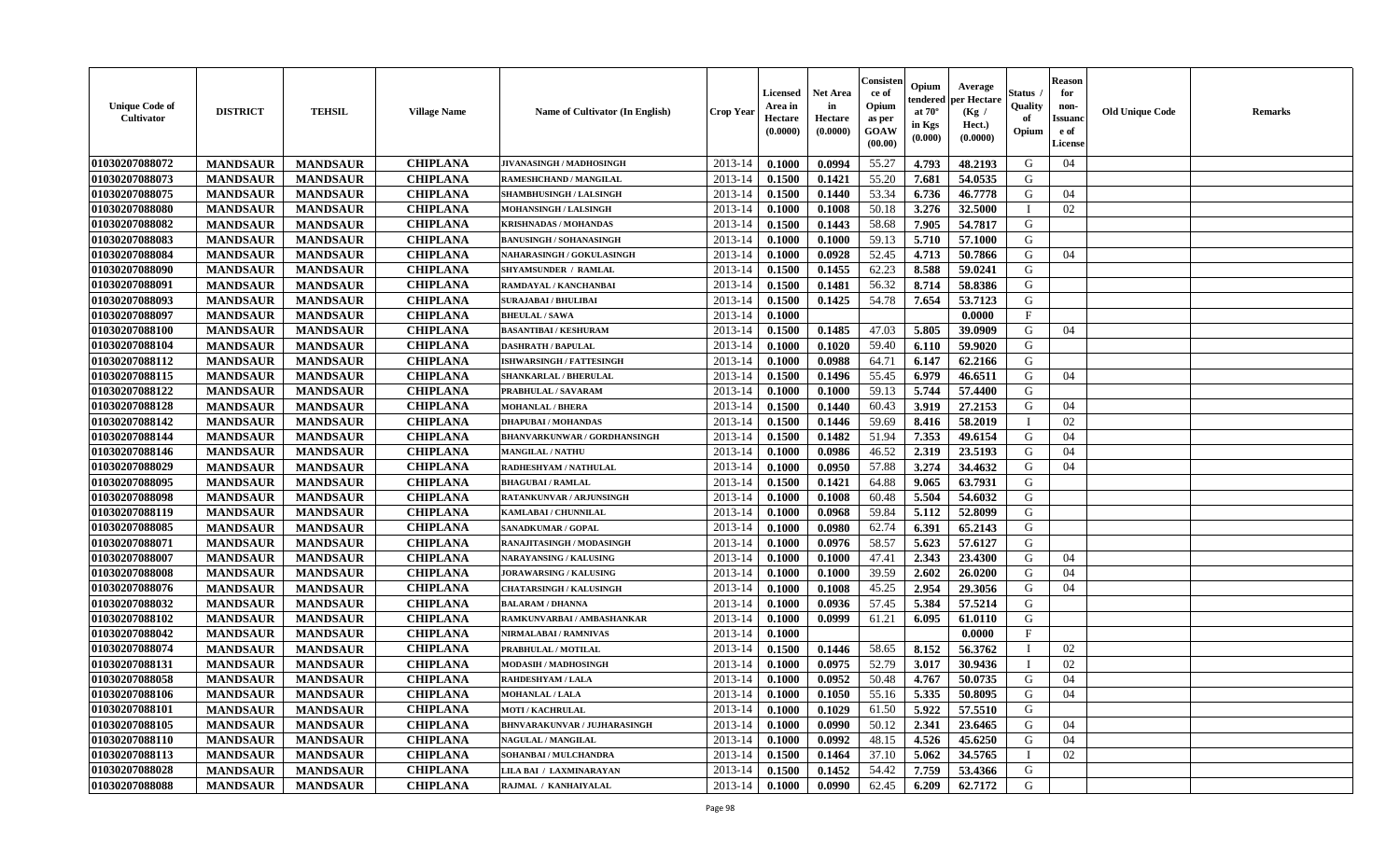| <b>Unique Code of</b><br>Cultivator | <b>DISTRICT</b> | <b>TEHSIL</b>   | <b>Village Name</b> | Name of Cultivator (In English)     | <b>Crop Year</b> | <b>Licensed</b><br>Area in<br>Hectare<br>(0.0000) | <b>Net Area</b><br>in<br>Hectare<br>(0.0000) | Consisten<br>ce of<br>Opium<br>as per<br><b>GOAW</b><br>(00.00) | Opium<br>at $70^\circ$<br>in Kgs<br>$(\mathbf{0.000})$ | Average<br>tendered   per Hectare<br>(Kg /<br>Hect.)<br>(0.0000) | Status .<br>Quality<br>of<br>Opium | <b>Reason</b><br>for<br>non-<br><b>Issuand</b><br>e of<br>License | <b>Old Unique Code</b> | <b>Remarks</b> |
|-------------------------------------|-----------------|-----------------|---------------------|-------------------------------------|------------------|---------------------------------------------------|----------------------------------------------|-----------------------------------------------------------------|--------------------------------------------------------|------------------------------------------------------------------|------------------------------------|-------------------------------------------------------------------|------------------------|----------------|
| 01030207088072                      | <b>MANDSAUR</b> | <b>MANDSAUR</b> | <b>CHIPLANA</b>     | JIVANASINGH / MADHOSINGH            | 2013-14          | 0.1000                                            | 0.0994                                       | 55.27                                                           | 4.793                                                  | 48.2193                                                          | G                                  | 04                                                                |                        |                |
| 01030207088073                      | <b>MANDSAUR</b> | <b>MANDSAUR</b> | <b>CHIPLANA</b>     | RAMESHCHAND / MANGILAL              | 2013-14          | 0.1500                                            | 0.1421                                       | 55.20                                                           | 7.681                                                  | 54.0535                                                          | G                                  |                                                                   |                        |                |
| 01030207088075                      | <b>MANDSAUR</b> | <b>MANDSAUR</b> | <b>CHIPLANA</b>     | SHAMBHUSINGH / LALSINGH             | 2013-14          | 0.1500                                            | 0.1440                                       | 53.34                                                           | 6.736                                                  | 46.7778                                                          | G                                  | 04                                                                |                        |                |
| 01030207088080                      | <b>MANDSAUR</b> | <b>MANDSAUR</b> | <b>CHIPLANA</b>     | MOHANSINGH / LALSINGH               | 2013-14          | 0.1000                                            | 0.1008                                       | 50.18                                                           | 3.276                                                  | 32.5000                                                          |                                    | 02                                                                |                        |                |
| 01030207088082                      | <b>MANDSAUR</b> | <b>MANDSAUR</b> | <b>CHIPLANA</b>     | KRISHNADAS / MOHANDAS               | 2013-14          | 0.1500                                            | 0.1443                                       | 58.68                                                           | 7.905                                                  | 54.7817                                                          | G                                  |                                                                   |                        |                |
| 01030207088083                      | <b>MANDSAUR</b> | <b>MANDSAUR</b> | <b>CHIPLANA</b>     | <b>BANUSINGH / SOHANASINGH</b>      | 2013-14          | 0.1000                                            | 0.1000                                       | 59.13                                                           | 5.710                                                  | 57.1000                                                          | G                                  |                                                                   |                        |                |
| 01030207088084                      | <b>MANDSAUR</b> | <b>MANDSAUR</b> | <b>CHIPLANA</b>     | NAHARASINGH / GOKULASINGH           | 2013-14          | 0.1000                                            | 0.0928                                       | 52.45                                                           | 4.713                                                  | 50.7866                                                          | G                                  | 04                                                                |                        |                |
| 01030207088090                      | <b>MANDSAUR</b> | <b>MANDSAUR</b> | <b>CHIPLANA</b>     | SHYAMSUNDER / RAMLAL                | 2013-14          | 0.1500                                            | 0.1455                                       | 62.23                                                           | 8.588                                                  | 59.0241                                                          | G                                  |                                                                   |                        |                |
| 01030207088091                      | <b>MANDSAUR</b> | <b>MANDSAUR</b> | <b>CHIPLANA</b>     | RAMDAYAL / KANCHANBAI               | 2013-14          | 0.1500                                            | 0.1481                                       | 56.32                                                           | 8.714                                                  | 58.8386                                                          | G                                  |                                                                   |                        |                |
| 01030207088093                      | <b>MANDSAUR</b> | <b>MANDSAUR</b> | <b>CHIPLANA</b>     | <b>SURAJABAI / BHULIBAI</b>         | 2013-14          | 0.1500                                            | 0.1425                                       | 54.78                                                           | 7.654                                                  | 53.7123                                                          | G                                  |                                                                   |                        |                |
| 01030207088097                      | <b>MANDSAUR</b> | <b>MANDSAUR</b> | <b>CHIPLANA</b>     | <b>BHEULAL / SAWA</b>               | 2013-14          | 0.1000                                            |                                              |                                                                 |                                                        | 0.0000                                                           | F                                  |                                                                   |                        |                |
| 01030207088100                      | <b>MANDSAUR</b> | <b>MANDSAUR</b> | <b>CHIPLANA</b>     | <b>BASANTIBAI / KESHURAM</b>        | 2013-14          | 0.1500                                            | 0.1485                                       | 47.03                                                           | 5.805                                                  | 39.0909                                                          | G                                  | 04                                                                |                        |                |
| 01030207088104                      | <b>MANDSAUR</b> | <b>MANDSAUR</b> | <b>CHIPLANA</b>     | <b>DASHRATH / BAPULAL</b>           | 2013-14          | 0.1000                                            | 0.1020                                       | 59.40                                                           | 6.110                                                  | 59.9020                                                          | G                                  |                                                                   |                        |                |
| 01030207088112                      | <b>MANDSAUR</b> | <b>MANDSAUR</b> | <b>CHIPLANA</b>     | <b>ISHWARSINGH / FATTESINGH</b>     | 2013-14          | 0.1000                                            | 0.0988                                       | 64.71                                                           | 6.147                                                  | 62.2166                                                          | G                                  |                                                                   |                        |                |
| 01030207088115                      | <b>MANDSAUR</b> | <b>MANDSAUR</b> | <b>CHIPLANA</b>     | <b>SHANKARLAL / BHERULAL</b>        | 2013-14          | 0.1500                                            | 0.1496                                       | 55.45                                                           | 6.979                                                  | 46.6511                                                          | G                                  | 04                                                                |                        |                |
| 01030207088122                      | <b>MANDSAUR</b> | <b>MANDSAUR</b> | <b>CHIPLANA</b>     | PRABHULAL / SAVARAM                 | 2013-14          | 0.1000                                            | 0.1000                                       | 59.13                                                           | 5.744                                                  | 57.4400                                                          | G                                  |                                                                   |                        |                |
| 01030207088128                      | <b>MANDSAUR</b> | <b>MANDSAUR</b> | <b>CHIPLANA</b>     | <b>MOHANLAL / BHERA</b>             | 2013-14          | 0.1500                                            | 0.1440                                       | 60.43                                                           | 3.919                                                  | 27.2153                                                          | G                                  | 04                                                                |                        |                |
| 01030207088142                      | <b>MANDSAUR</b> | <b>MANDSAUR</b> | <b>CHIPLANA</b>     | <b>DHAPUBAI/MOHANDAS</b>            | 2013-14          | 0.1500                                            | 0.1446                                       | 59.69                                                           | 8.416                                                  | 58.2019                                                          |                                    | 02                                                                |                        |                |
| 01030207088144                      | <b>MANDSAUR</b> | <b>MANDSAUR</b> | <b>CHIPLANA</b>     | <b>BHANVARKUNWAR / GORDHANSINGH</b> | 2013-14          | 0.1500                                            | 0.1482                                       | 51.94                                                           | 7.353                                                  | 49.6154                                                          | G                                  | 04                                                                |                        |                |
| 01030207088146                      | <b>MANDSAUR</b> | <b>MANDSAUR</b> | <b>CHIPLANA</b>     | <b>MANGILAL / NATHU</b>             | 2013-14          | 0.1000                                            | 0.0986                                       | 46.52                                                           | 2.319                                                  | 23.5193                                                          | G                                  | 04                                                                |                        |                |
| 01030207088029                      | <b>MANDSAUR</b> | <b>MANDSAUR</b> | <b>CHIPLANA</b>     | RADHESHYAM / NATHULAL               | 2013-14          | 0.1000                                            | 0.0950                                       | 57.88                                                           | 3.274                                                  | 34.4632                                                          | G                                  | 04                                                                |                        |                |
| 01030207088095                      | <b>MANDSAUR</b> | <b>MANDSAUR</b> | <b>CHIPLANA</b>     | <b>BHAGUBAI / RAMLAL</b>            | 2013-14          | 0.1500                                            | 0.1421                                       | 64.88                                                           | 9.065                                                  | 63.7931                                                          | G                                  |                                                                   |                        |                |
| 01030207088098                      | <b>MANDSAUR</b> | <b>MANDSAUR</b> | <b>CHIPLANA</b>     | <b>RATANKUNVAR / ARJUNSINGH</b>     | 2013-14          | 0.1000                                            | 0.1008                                       | 60.48                                                           | 5.504                                                  | 54.6032                                                          | G                                  |                                                                   |                        |                |
| 01030207088119                      | <b>MANDSAUR</b> | <b>MANDSAUR</b> | <b>CHIPLANA</b>     | KAMLABAI / CHUNNILAL                | 2013-14          | 0.1000                                            | 0.0968                                       | 59.84                                                           | 5.112                                                  | 52.8099                                                          | G                                  |                                                                   |                        |                |
| 01030207088085                      | <b>MANDSAUR</b> | <b>MANDSAUR</b> | <b>CHIPLANA</b>     | SANADKUMAR / GOPAL                  | 2013-14          | 0.1000                                            | 0.0980                                       | 62.74                                                           | 6.391                                                  | 65.2143                                                          | G                                  |                                                                   |                        |                |
| 01030207088071                      | <b>MANDSAUR</b> | <b>MANDSAUR</b> | <b>CHIPLANA</b>     | RANAJITASINGH / MODASINGH           | 2013-14          | 0.1000                                            | 0.0976                                       | 58.57                                                           | 5.623                                                  | 57.6127                                                          | G                                  |                                                                   |                        |                |
| 01030207088007                      | <b>MANDSAUR</b> | <b>MANDSAUR</b> | <b>CHIPLANA</b>     | <b>NARAYANSING / KALUSING</b>       | 2013-14          | 0.1000                                            | 0.1000                                       | 47.41                                                           | 2.343                                                  | 23.4300                                                          | G                                  | 04                                                                |                        |                |
| 01030207088008                      | <b>MANDSAUR</b> | <b>MANDSAUR</b> | <b>CHIPLANA</b>     | <b>JORAWARSING / KALUSING</b>       | 2013-14          | 0.1000                                            | 0.1000                                       | 39.59                                                           | 2.602                                                  | 26.0200                                                          | G                                  | 04                                                                |                        |                |
| 01030207088076                      | <b>MANDSAUR</b> | <b>MANDSAUR</b> | <b>CHIPLANA</b>     | <b>CHATARSINGH / KALUSINGH</b>      | 2013-14          | 0.1000                                            | 0.1008                                       | 45.25                                                           | 2.954                                                  | 29.3056                                                          | G                                  | 04                                                                |                        |                |
| 01030207088032                      | <b>MANDSAUR</b> | <b>MANDSAUR</b> | <b>CHIPLANA</b>     | <b>BALARAM / DHANNA</b>             | 2013-14          | 0.1000                                            | 0.0936                                       | 57.45                                                           | 5.384                                                  | 57.5214                                                          | G                                  |                                                                   |                        |                |
| 01030207088102                      | <b>MANDSAUR</b> | <b>MANDSAUR</b> | <b>CHIPLANA</b>     | RAMKUNVARBAI / AMBASHANKAR          | 2013-14          | 0.1000                                            | 0.0999                                       | 61.21                                                           | 6.095                                                  | 61.0110                                                          | G                                  |                                                                   |                        |                |
| 01030207088042                      | <b>MANDSAUR</b> | <b>MANDSAUR</b> | <b>CHIPLANA</b>     | NIRMALABAI / RAMNIVAS               | 2013-14          | 0.1000                                            |                                              |                                                                 |                                                        | 0.0000                                                           | $\mathbf{F}$                       |                                                                   |                        |                |
| 01030207088074                      | <b>MANDSAUR</b> | <b>MANDSAUR</b> | <b>CHIPLANA</b>     | PRABHULAL / MOTILAL                 | 2013-14          | 0.1500                                            | 0.1446                                       | 58.65                                                           | 8.152                                                  | 56.3762                                                          |                                    | 02                                                                |                        |                |
| 01030207088131                      | <b>MANDSAUR</b> | <b>MANDSAUR</b> | <b>CHIPLANA</b>     | MODASIH / MADHOSINGH                | 2013-14          | 0.1000                                            | 0.0975                                       | 52.79                                                           | 3.017                                                  | 30.9436                                                          |                                    | 02                                                                |                        |                |
| 01030207088058                      | <b>MANDSAUR</b> | <b>MANDSAUR</b> | <b>CHIPLANA</b>     | RAHDESHYAM / LALA                   | 2013-14          | 0.1000                                            | 0.0952                                       | 50.48                                                           | 4.767                                                  | 50.0735                                                          | G                                  | 04                                                                |                        |                |
| 01030207088106                      | <b>MANDSAUR</b> | <b>MANDSAUR</b> | <b>CHIPLANA</b>     | <b>MOHANLAL / LALA</b>              |                  | $2013-14$ 0.1000                                  | 0.1050                                       | 55.16                                                           | 5.335                                                  | 50.8095                                                          | G                                  | 04                                                                |                        |                |
| 01030207088101                      | <b>MANDSAUR</b> | <b>MANDSAUR</b> | <b>CHIPLANA</b>     | <b>MOTI / KACHRULAL</b>             | 2013-14          | 0.1000                                            | 0.1029                                       | 61.50                                                           | 5.922                                                  | 57.5510                                                          | G                                  |                                                                   |                        |                |
| 01030207088105                      | <b>MANDSAUR</b> | <b>MANDSAUR</b> | <b>CHIPLANA</b>     | <b>BHNVARAKUNVAR / JUJHARASINGH</b> | 2013-14          | 0.1000                                            | 0.0990                                       | 50.12                                                           | 2.341                                                  | 23.6465                                                          | G                                  | 04                                                                |                        |                |
| 01030207088110                      | <b>MANDSAUR</b> | <b>MANDSAUR</b> | <b>CHIPLANA</b>     | NAGULAL / MANGILAL                  | 2013-14          | 0.1000                                            | 0.0992                                       | 48.15                                                           | 4.526                                                  | 45.6250                                                          | G                                  | 04                                                                |                        |                |
| 01030207088113                      | <b>MANDSAUR</b> | <b>MANDSAUR</b> | <b>CHIPLANA</b>     | SOHANBAI / MULCHANDRA               | 2013-14          | 0.1500                                            | 0.1464                                       | 37.10                                                           | 5.062                                                  | 34.5765                                                          |                                    | 02                                                                |                        |                |
| 01030207088028                      | <b>MANDSAUR</b> | <b>MANDSAUR</b> | <b>CHIPLANA</b>     | LILA BAI / LAXMINARAYAN             | 2013-14          | 0.1500                                            | 0.1452                                       | 54.42                                                           | 7.759                                                  | 53.4366                                                          | G                                  |                                                                   |                        |                |
| 01030207088088                      | <b>MANDSAUR</b> | <b>MANDSAUR</b> | <b>CHIPLANA</b>     | RAJMAL / KANHAIYALAL                | $2013 - 14$      | $\boldsymbol{0.1000}$                             | 0.0990                                       | 62.45                                                           | 6.209                                                  | 62.7172                                                          | G                                  |                                                                   |                        |                |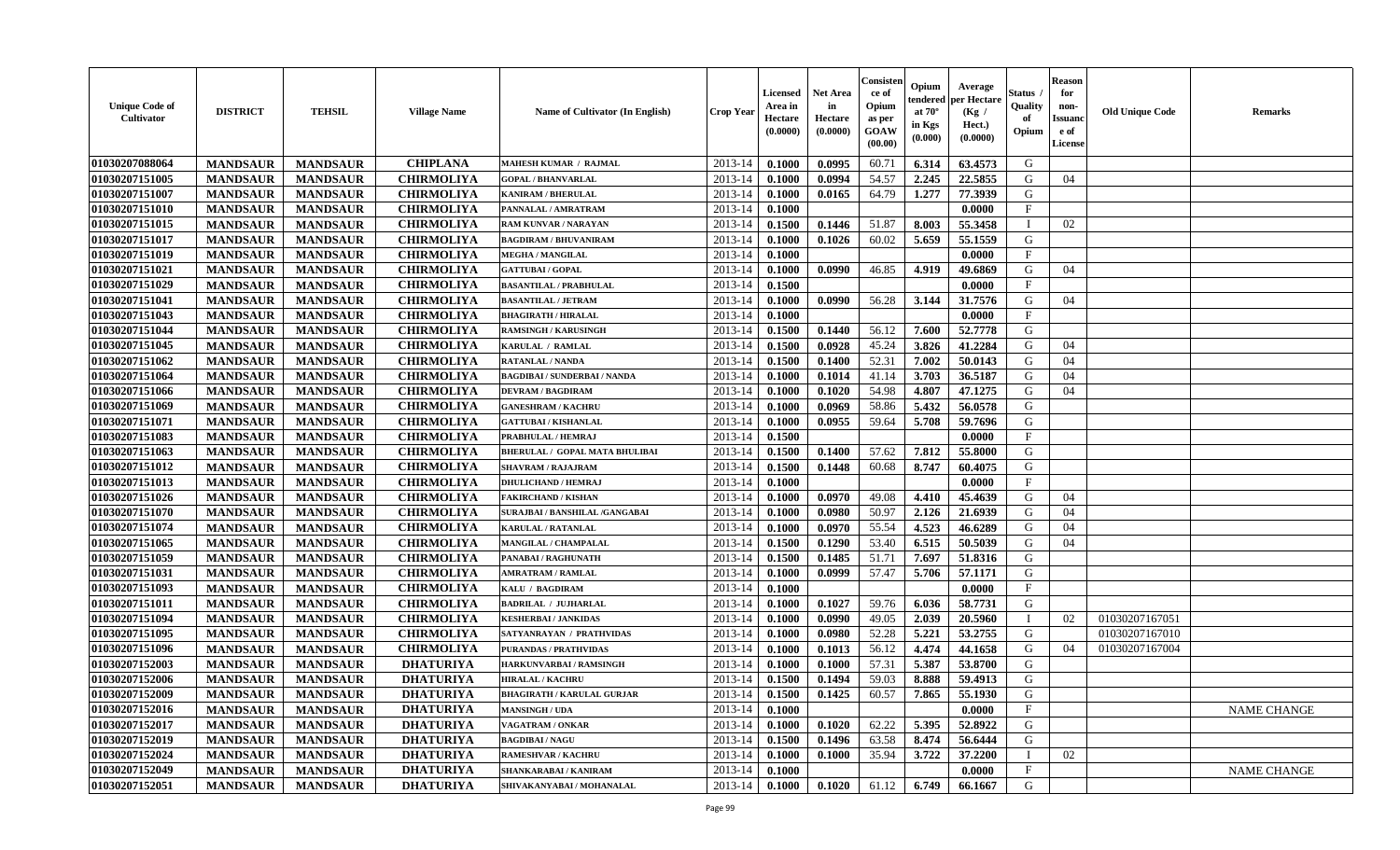| <b>Unique Code of</b><br><b>Cultivator</b> | <b>DISTRICT</b> | <b>TEHSIL</b>   | <b>Village Name</b> | Name of Cultivator (In English)       | <b>Crop Year</b> | <b>Licensed</b><br>Area in<br>Hectare<br>(0.0000) | Net Area<br>in<br>Hectare<br>(0.0000) | Consister<br>ce of<br>Opium<br>as per<br>GOAW<br>(00.00) | Opium<br>endered<br>at $70^\circ$<br>in Kgs<br>(0.000) | Average<br>per Hectare<br>(Kg /<br>Hect.)<br>(0.0000) | Status<br>Quality<br>of<br>Opium | <b>Reason</b><br>for<br>non-<br>Issuano<br>e of<br>License | <b>Old Unique Code</b> | Remarks            |
|--------------------------------------------|-----------------|-----------------|---------------------|---------------------------------------|------------------|---------------------------------------------------|---------------------------------------|----------------------------------------------------------|--------------------------------------------------------|-------------------------------------------------------|----------------------------------|------------------------------------------------------------|------------------------|--------------------|
| 01030207088064                             | <b>MANDSAUR</b> | <b>MANDSAUR</b> | <b>CHIPLANA</b>     | MAHESH KUMAR / RAJMAL                 | 2013-14          | 0.1000                                            | 0.0995                                | 60.71                                                    | 6.314                                                  | 63.4573                                               | G                                |                                                            |                        |                    |
| 01030207151005                             | <b>MANDSAUR</b> | <b>MANDSAUR</b> | <b>CHIRMOLIYA</b>   | <b>GOPAL / BHANVARLAL</b>             | 2013-14          | 0.1000                                            | 0.0994                                | 54.57                                                    | 2.245                                                  | 22.5855                                               | G                                | 04                                                         |                        |                    |
| 01030207151007                             | <b>MANDSAUR</b> | <b>MANDSAUR</b> | <b>CHIRMOLIYA</b>   | <b>KANIRAM / BHERULAL</b>             | 2013-14          | 0.1000                                            | 0.0165                                | 64.79                                                    | 1.277                                                  | 77.3939                                               | G                                |                                                            |                        |                    |
| 01030207151010                             | <b>MANDSAUR</b> | <b>MANDSAUR</b> | <b>CHIRMOLIYA</b>   | PANNALAL / AMRATRAM                   | 2013-14          | 0.1000                                            |                                       |                                                          |                                                        | 0.0000                                                | $\mathbf{F}$                     |                                                            |                        |                    |
| 01030207151015                             | <b>MANDSAUR</b> | <b>MANDSAUR</b> | <b>CHIRMOLIYA</b>   | <b>RAM KUNVAR / NARAYAN</b>           | 2013-14          | 0.1500                                            | 0.1446                                | 51.87                                                    | 8.003                                                  | 55.3458                                               | $\mathbf{I}$                     | 02                                                         |                        |                    |
| 01030207151017                             | <b>MANDSAUR</b> | <b>MANDSAUR</b> | <b>CHIRMOLIYA</b>   | <b>BAGDIRAM / BHUVANIRAM</b>          | 2013-14          | 0.1000                                            | 0.1026                                | 60.02                                                    | 5.659                                                  | 55.1559                                               | G                                |                                                            |                        |                    |
| 01030207151019                             | <b>MANDSAUR</b> | <b>MANDSAUR</b> | <b>CHIRMOLIYA</b>   | <b>MEGHA / MANGILAL</b>               | 2013-14          | 0.1000                                            |                                       |                                                          |                                                        | 0.0000                                                | $\mathbf{F}$                     |                                                            |                        |                    |
| 01030207151021                             | <b>MANDSAUR</b> | <b>MANDSAUR</b> | <b>CHIRMOLIYA</b>   | <b>GATTUBAI/GOPAL</b>                 | 2013-14          | 0.1000                                            | 0.0990                                | 46.85                                                    | 4.919                                                  | 49.6869                                               | G                                | 04                                                         |                        |                    |
| 01030207151029                             | <b>MANDSAUR</b> | <b>MANDSAUR</b> | <b>CHIRMOLIYA</b>   | <b>BASANTILAL / PRABHULAL</b>         | 2013-14          | 0.1500                                            |                                       |                                                          |                                                        | 0.0000                                                | $\mathbf{F}$                     |                                                            |                        |                    |
| 01030207151041                             | <b>MANDSAUR</b> | <b>MANDSAUR</b> | <b>CHIRMOLIYA</b>   | <b>BASANTILAL / JETRAM</b>            | 2013-14          | 0.1000                                            | 0.0990                                | 56.28                                                    | 3.144                                                  | 31.7576                                               | G                                | 04                                                         |                        |                    |
| 01030207151043                             | <b>MANDSAUR</b> | <b>MANDSAUR</b> | <b>CHIRMOLIYA</b>   | <b>BHAGIRATH / HIRALAL</b>            | 2013-14          | 0.1000                                            |                                       |                                                          |                                                        | 0.0000                                                | $\mathbf{F}$                     |                                                            |                        |                    |
| 01030207151044                             | <b>MANDSAUR</b> | <b>MANDSAUR</b> | <b>CHIRMOLIYA</b>   | <b>RAMSINGH / KARUSINGH</b>           | 2013-14          | 0.1500                                            | 0.1440                                | 56.12                                                    | 7.600                                                  | 52.7778                                               | G                                |                                                            |                        |                    |
| 01030207151045                             | <b>MANDSAUR</b> | <b>MANDSAUR</b> | <b>CHIRMOLIYA</b>   | KARULAL / RAMLAL                      | 2013-14          | 0.1500                                            | 0.0928                                | 45.24                                                    | 3.826                                                  | 41.2284                                               | G                                | 04                                                         |                        |                    |
| 01030207151062                             | <b>MANDSAUR</b> | <b>MANDSAUR</b> | <b>CHIRMOLIYA</b>   | <b>RATANLAL / NANDA</b>               | 2013-14          | 0.1500                                            | 0.1400                                | 52.31                                                    | 7.002                                                  | 50.0143                                               | G                                | 04                                                         |                        |                    |
| 01030207151064                             | <b>MANDSAUR</b> | <b>MANDSAUR</b> | <b>CHIRMOLIYA</b>   | <b>BAGDIBAI / SUNDERBAI / NANDA</b>   | 2013-14          | 0.1000                                            | 0.1014                                | 41.14                                                    | 3.703                                                  | 36.5187                                               | G                                | 04                                                         |                        |                    |
| 01030207151066                             | <b>MANDSAUR</b> | <b>MANDSAUR</b> | <b>CHIRMOLIYA</b>   | <b>DEVRAM / BAGDIRAM</b>              | 2013-14          | 0.1000                                            | 0.1020                                | 54.98                                                    | 4.807                                                  | 47.1275                                               | G                                | 04                                                         |                        |                    |
| 01030207151069                             | <b>MANDSAUR</b> | <b>MANDSAUR</b> | <b>CHIRMOLIYA</b>   | <b>GANESHRAM / KACHRU</b>             | 2013-14          | 0.1000                                            | 0.0969                                | 58.86                                                    | 5.432                                                  | 56.0578                                               | G                                |                                                            |                        |                    |
| 01030207151071                             | <b>MANDSAUR</b> | <b>MANDSAUR</b> | <b>CHIRMOLIYA</b>   | <b>GATTUBAI/KISHANLAL</b>             | 2013-14          | 0.1000                                            | 0.0955                                | 59.64                                                    | 5.708                                                  | 59.7696                                               | G                                |                                                            |                        |                    |
| 01030207151083                             | <b>MANDSAUR</b> | <b>MANDSAUR</b> | <b>CHIRMOLIYA</b>   | PRABHULAL / HEMRAJ                    | 2013-14          | 0.1500                                            |                                       |                                                          |                                                        | 0.0000                                                | F                                |                                                            |                        |                    |
| 01030207151063                             | <b>MANDSAUR</b> | <b>MANDSAUR</b> | <b>CHIRMOLIYA</b>   | <b>BHERULAL / GOPAL MATA BHULIBAI</b> | 2013-14          | 0.1500                                            | 0.1400                                | 57.62                                                    | 7.812                                                  | 55.8000                                               | G                                |                                                            |                        |                    |
| 01030207151012                             | <b>MANDSAUR</b> | <b>MANDSAUR</b> | <b>CHIRMOLIYA</b>   | <b>SHAVRAM / RAJAJRAM</b>             | 2013-14          | 0.1500                                            | 0.1448                                | 60.68                                                    | 8.747                                                  | 60.4075                                               | G                                |                                                            |                        |                    |
| 01030207151013                             | <b>MANDSAUR</b> | <b>MANDSAUR</b> | <b>CHIRMOLIYA</b>   | <b>DHULICHAND / HEMRAJ</b>            | 2013-14          | 0.1000                                            |                                       |                                                          |                                                        | 0.0000                                                | $_{\rm F}$                       |                                                            |                        |                    |
| 01030207151026                             | <b>MANDSAUR</b> | <b>MANDSAUR</b> | <b>CHIRMOLIYA</b>   | <b>FAKIRCHAND / KISHAN</b>            | 2013-14          | 0.1000                                            | 0.0970                                | 49.08                                                    | 4.410                                                  | 45.4639                                               | G                                | 04                                                         |                        |                    |
| 01030207151070                             | <b>MANDSAUR</b> | <b>MANDSAUR</b> | <b>CHIRMOLIYA</b>   | SURAJBAI / BANSHILAL /GANGABAI        | 2013-14          | 0.1000                                            | 0.0980                                | 50.97                                                    | 2.126                                                  | 21.6939                                               | G                                | 04                                                         |                        |                    |
| 01030207151074                             | <b>MANDSAUR</b> | <b>MANDSAUR</b> | <b>CHIRMOLIYA</b>   | <b>KARULAL / RATANLAL</b>             | 2013-14          | 0.1000                                            | 0.0970                                | 55.54                                                    | 4.523                                                  | 46.6289                                               | G                                | 04                                                         |                        |                    |
| 01030207151065                             | <b>MANDSAUR</b> | <b>MANDSAUR</b> | <b>CHIRMOLIYA</b>   | <b>MANGILAL / CHAMPALAL</b>           | 2013-14          | 0.1500                                            | 0.1290                                | 53.40                                                    | 6.515                                                  | 50.5039                                               | G                                | 04                                                         |                        |                    |
| 01030207151059                             | <b>MANDSAUR</b> | <b>MANDSAUR</b> | <b>CHIRMOLIYA</b>   | PANABAI / RAGHUNATH                   | 2013-14          | 0.1500                                            | 0.1485                                | 51.71                                                    | 7.697                                                  | 51.8316                                               | G                                |                                                            |                        |                    |
| 01030207151031                             | <b>MANDSAUR</b> | <b>MANDSAUR</b> | <b>CHIRMOLIYA</b>   | <b>AMRATRAM / RAMLAL</b>              | 2013-14          | 0.1000                                            | 0.0999                                | 57.47                                                    | 5.706                                                  | 57.1171                                               | G                                |                                                            |                        |                    |
| 01030207151093                             | <b>MANDSAUR</b> | <b>MANDSAUR</b> | <b>CHIRMOLIYA</b>   | KALU / BAGDIRAM                       | 2013-14          | 0.1000                                            |                                       |                                                          |                                                        | 0.0000                                                | $\mathbf{F}$                     |                                                            |                        |                    |
| 01030207151011                             | <b>MANDSAUR</b> | <b>MANDSAUR</b> | <b>CHIRMOLIYA</b>   | <b>BADRILAL / JUJHARLAL</b>           | 2013-14          | 0.1000                                            | 0.1027                                | 59.76                                                    | 6.036                                                  | 58.7731                                               | G                                |                                                            |                        |                    |
| 01030207151094                             | <b>MANDSAUR</b> | <b>MANDSAUR</b> | <b>CHIRMOLIYA</b>   | <b>KESHERBAI / JANKIDAS</b>           | 2013-14          | 0.1000                                            | 0.0990                                | 49.05                                                    | 2.039                                                  | 20.5960                                               | $\mathbf{I}$                     | 02                                                         | 01030207167051         |                    |
| 01030207151095                             | <b>MANDSAUR</b> | <b>MANDSAUR</b> | <b>CHIRMOLIYA</b>   | SATYANRAYAN / PRATHVIDAS              | 2013-14          | 0.1000                                            | 0.0980                                | 52.28                                                    | 5.221                                                  | 53.2755                                               | G                                |                                                            | 01030207167010         |                    |
| 01030207151096                             | <b>MANDSAUR</b> | <b>MANDSAUR</b> | <b>CHIRMOLIYA</b>   | <b>PURANDAS / PRATHVIDAS</b>          | 2013-14          | 0.1000                                            | 0.1013                                | 56.12                                                    | 4.474                                                  | 44.1658                                               | G                                | 04                                                         | 01030207167004         |                    |
| 01030207152003                             | <b>MANDSAUR</b> | <b>MANDSAUR</b> | <b>DHATURIYA</b>    | HARKUNVARBAI / RAMSINGH               | 2013-14          | 0.1000                                            | 0.1000                                | 57.31                                                    | 5.387                                                  | 53.8700                                               | G                                |                                                            |                        |                    |
| 01030207152006                             | <b>MANDSAUR</b> | <b>MANDSAUR</b> | <b>DHATURIYA</b>    | <b>HIRALAL / KACHRU</b>               | 2013-14          | 0.1500                                            | 0.1494                                | 59.03                                                    | 8.888                                                  | 59.4913                                               | G                                |                                                            |                        |                    |
| 01030207152009                             | <b>MANDSAUR</b> | <b>MANDSAUR</b> | <b>DHATURIYA</b>    | <b>BHAGIRATH / KARULAL GURJAR</b>     | 2013-14          | 0.1500                                            | 0.1425                                | 60.57                                                    | 7.865                                                  | 55.1930                                               | G                                |                                                            |                        |                    |
| 01030207152016                             | <b>MANDSAUR</b> | <b>MANDSAUR</b> | <b>DHATURIYA</b>    | <b>MANSINGH / UDA</b>                 | 2013-14          | 0.1000                                            |                                       |                                                          |                                                        | 0.0000                                                | $\rm F$                          |                                                            |                        | <b>NAME CHANGE</b> |
| 01030207152017                             | <b>MANDSAUR</b> | <b>MANDSAUR</b> | <b>DHATURIYA</b>    | VAGATRAM / ONKAR                      | 2013-14          | 0.1000                                            | 0.1020                                | 62.22                                                    | 5.395                                                  | 52.8922                                               | G                                |                                                            |                        |                    |
| 01030207152019                             | <b>MANDSAUR</b> | <b>MANDSAUR</b> | <b>DHATURIYA</b>    | <b>BAGDIBAI/NAGU</b>                  | 2013-14          | 0.1500                                            | 0.1496                                | 63.58                                                    | 8.474                                                  | 56.6444                                               | G                                |                                                            |                        |                    |
| 01030207152024                             | <b>MANDSAUR</b> | <b>MANDSAUR</b> | <b>DHATURIYA</b>    | <b>RAMESHVAR / KACHRU</b>             | 2013-14          | 0.1000                                            | 0.1000                                | 35.94                                                    | 3.722                                                  | 37.2200                                               |                                  | 02                                                         |                        |                    |
| 01030207152049                             | <b>MANDSAUR</b> | <b>MANDSAUR</b> | <b>DHATURIYA</b>    | SHANKARABAI / KANIRAM                 | 2013-14          | 0.1000                                            |                                       |                                                          |                                                        | 0.0000                                                | $\mathbf{F}$                     |                                                            |                        | <b>NAME CHANGE</b> |
| 01030207152051                             | <b>MANDSAUR</b> | <b>MANDSAUR</b> | <b>DHATURIYA</b>    | SHIVAKANYABAI / MOHANALAL             | 2013-14          | 0.1000                                            | 0.1020                                | 61.12                                                    | 6.749                                                  | 66.1667                                               | G                                |                                                            |                        |                    |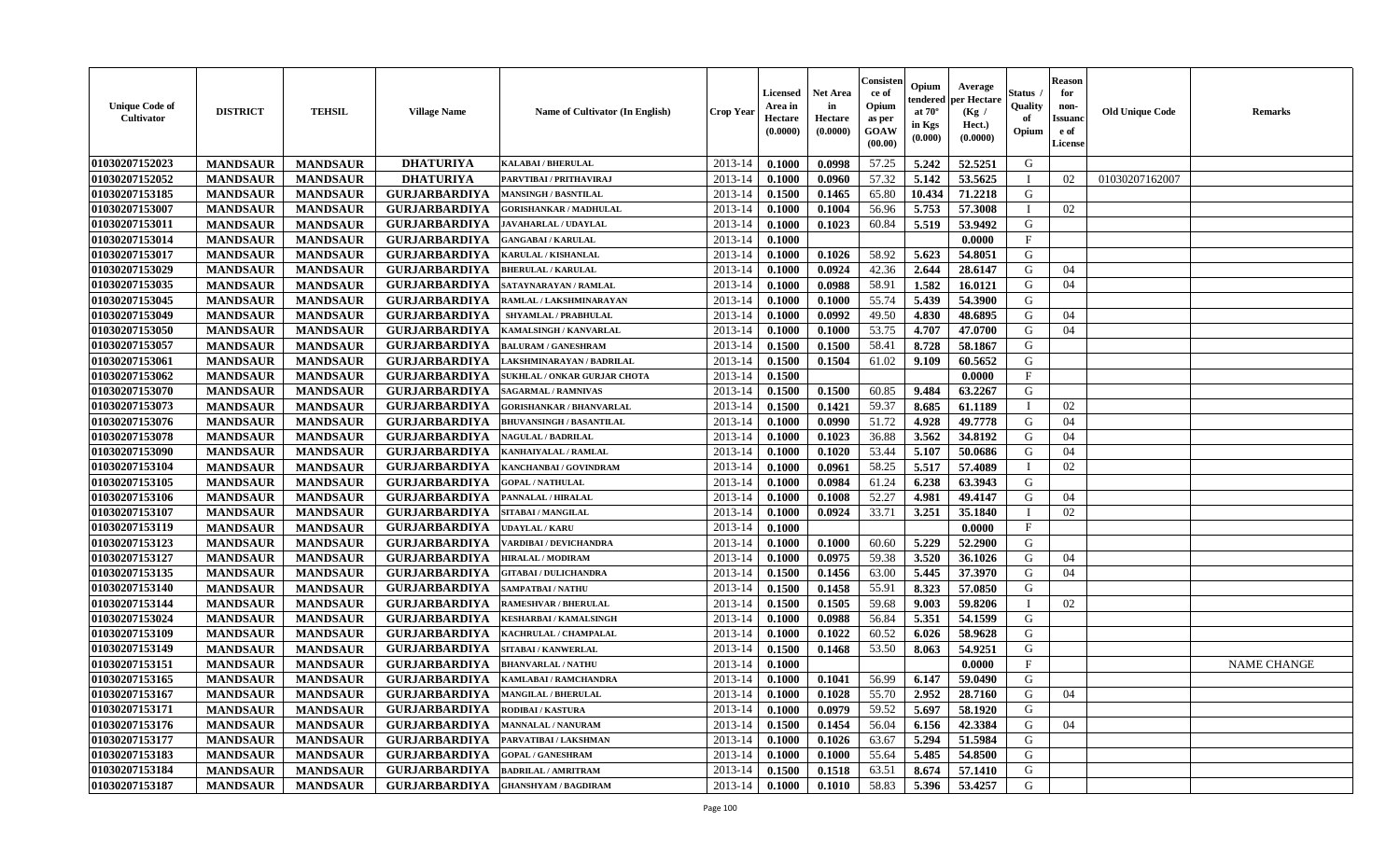| <b>Unique Code of</b><br><b>Cultivator</b> | <b>DISTRICT</b> | <b>TEHSIL</b>   | <b>Village Name</b>  | Name of Cultivator (In English)     | <b>Crop Year</b> | <b>Licensed</b><br>Area in<br>Hectare<br>(0.0000) | <b>Net Area</b><br>in<br>Hectare<br>(0.0000) | Consisteı<br>ce of<br>Opium<br>as per<br><b>GOAW</b><br>(00.00) | Opium<br>endered<br>at $70^\circ$<br>in Kgs<br>(0.000) | Average<br>per Hectare<br>(Kg /<br>Hect.)<br>(0.0000) | Status<br>Quality<br>of<br>Opium | <b>Reason</b><br>for<br>non-<br>Issuan<br>e of<br>License | <b>Old Unique Code</b> | <b>Remarks</b>     |
|--------------------------------------------|-----------------|-----------------|----------------------|-------------------------------------|------------------|---------------------------------------------------|----------------------------------------------|-----------------------------------------------------------------|--------------------------------------------------------|-------------------------------------------------------|----------------------------------|-----------------------------------------------------------|------------------------|--------------------|
| 01030207152023                             | <b>MANDSAUR</b> | <b>MANDSAUR</b> | <b>DHATURIYA</b>     | <b>KALABAI/BHERULAL</b>             | 2013-14          | 0.1000                                            | 0.0998                                       | 57.25                                                           | 5.242                                                  | 52.5251                                               | G                                |                                                           |                        |                    |
| 01030207152052                             | <b>MANDSAUR</b> | <b>MANDSAUR</b> | <b>DHATURIYA</b>     | PARVTIBAI / PRITHAVIRAJ             | 2013-14          | 0.1000                                            | 0.0960                                       | 57.32                                                           | 5.142                                                  | 53.5625                                               |                                  | 02                                                        | 01030207162007         |                    |
| 01030207153185                             | <b>MANDSAUR</b> | <b>MANDSAUR</b> | <b>GURJARBARDIYA</b> | <b>MANSINGH / BASNTILAL</b>         | 2013-14          | 0.1500                                            | 0.1465                                       | 65.80                                                           | 10.434                                                 | 71,2218                                               | G                                |                                                           |                        |                    |
| 01030207153007                             | <b>MANDSAUR</b> | <b>MANDSAUR</b> | <b>GURJARBARDIYA</b> | <b>GORISHANKAR / MADHULAL</b>       | 2013-14          | 0.1000                                            | 0.1004                                       | 56.96                                                           | 5.753                                                  | 57.3008                                               | $\blacksquare$                   | 02                                                        |                        |                    |
| 01030207153011                             | <b>MANDSAUR</b> | <b>MANDSAUR</b> | <b>GURJARBARDIYA</b> | <b>JAVAHARLAL / UDAYLAL</b>         | 2013-14          | 0.1000                                            | 0.1023                                       | 60.84                                                           | 5.519                                                  | 53.9492                                               | G                                |                                                           |                        |                    |
| 01030207153014                             | <b>MANDSAUR</b> | <b>MANDSAUR</b> | <b>GURJARBARDIYA</b> | <b>GANGABAI/KARULAL</b>             | 2013-14          | 0.1000                                            |                                              |                                                                 |                                                        | 0.0000                                                | $\mathbf{F}$                     |                                                           |                        |                    |
| 01030207153017                             | <b>MANDSAUR</b> | <b>MANDSAUR</b> | <b>GURJARBARDIYA</b> | KARULAL / KISHANLAL                 | 2013-14          | 0.1000                                            | 0.1026                                       | 58.92                                                           | 5.623                                                  | 54.8051                                               | G                                |                                                           |                        |                    |
| 01030207153029                             | <b>MANDSAUR</b> | <b>MANDSAUR</b> | <b>GURJARBARDIYA</b> | <b>BHERULAL / KARULAL</b>           | 2013-14          | 0.1000                                            | 0.0924                                       | 42.36                                                           | 2.644                                                  | 28.6147                                               | G                                | 04                                                        |                        |                    |
| 01030207153035                             | <b>MANDSAUR</b> | <b>MANDSAUR</b> | <b>GURJARBARDIYA</b> | SATAYNARAYAN / RAMLAL               | 2013-14          | 0.1000                                            | 0.0988                                       | 58.91                                                           | 1.582                                                  | 16.0121                                               | G                                | 04                                                        |                        |                    |
| 01030207153045                             | <b>MANDSAUR</b> | <b>MANDSAUR</b> | <b>GURJARBARDIYA</b> | RAMLAL / LAKSHMINARAYAN             | 2013-14          | 0.1000                                            | 0.1000                                       | 55.74                                                           | 5.439                                                  | 54.3900                                               | G                                |                                                           |                        |                    |
| 01030207153049                             | <b>MANDSAUR</b> | <b>MANDSAUR</b> | <b>GURJARBARDIYA</b> | <b>SHYAMLAL / PRABHULAL</b>         | 2013-14          | 0.1000                                            | 0.0992                                       | 49.50                                                           | 4.830                                                  | 48.6895                                               | G                                | 04                                                        |                        |                    |
| 01030207153050                             | <b>MANDSAUR</b> | <b>MANDSAUR</b> | <b>GURJARBARDIYA</b> | <b>KAMALSINGH / KANVARLAL</b>       | 2013-14          | 0.1000                                            | 0.1000                                       | 53.75                                                           | 4.707                                                  | 47.0700                                               | G                                | 04                                                        |                        |                    |
| 01030207153057                             | <b>MANDSAUR</b> | <b>MANDSAUR</b> | <b>GURJARBARDIYA</b> | <b>BALURAM / GANESHRAM</b>          | 2013-14          | 0.1500                                            | 0.1500                                       | 58.41                                                           | 8.728                                                  | 58.1867                                               | G                                |                                                           |                        |                    |
| 01030207153061                             | <b>MANDSAUR</b> | <b>MANDSAUR</b> | <b>GURJARBARDIYA</b> | LAKSHMINARAYAN / BADRILAL           | 2013-14          | 0.1500                                            | 0.1504                                       | 61.02                                                           | 9.109                                                  | 60.5652                                               | G                                |                                                           |                        |                    |
| 01030207153062                             | <b>MANDSAUR</b> | <b>MANDSAUR</b> | <b>GURJARBARDIYA</b> | <b>SUKHLAL / ONKAR GURJAR CHOTA</b> | 2013-14          | 0.1500                                            |                                              |                                                                 |                                                        | 0.0000                                                | $\mathbf{F}$                     |                                                           |                        |                    |
| 01030207153070                             | <b>MANDSAUR</b> | <b>MANDSAUR</b> | <b>GURJARBARDIYA</b> | <b>SAGARMAL / RAMNIVAS</b>          | 2013-14          | 0.1500                                            | 0.1500                                       | 60.85                                                           | 9.484                                                  | 63.2267                                               | G                                |                                                           |                        |                    |
| 01030207153073                             | <b>MANDSAUR</b> | <b>MANDSAUR</b> | <b>GURJARBARDIYA</b> | <b>GORISHANKAR / BHANVARLAL</b>     | 2013-14          | 0.1500                                            | 0.1421                                       | 59.37                                                           | 8.685                                                  | 61.1189                                               | $\mathbf I$                      | 02                                                        |                        |                    |
| 01030207153076                             | <b>MANDSAUR</b> | <b>MANDSAUR</b> | <b>GURJARBARDIYA</b> | <b>BHUVANSINGH / BASANTILAL</b>     | 2013-14          | 0.1000                                            | 0.0990                                       | 51.72                                                           | 4.928                                                  | 49.7778                                               | G                                | 04                                                        |                        |                    |
| 01030207153078                             | <b>MANDSAUR</b> | <b>MANDSAUR</b> | <b>GURJARBARDIYA</b> | <b>NAGULAL / BADRILAL</b>           | 2013-14          | 0.1000                                            | 0.1023                                       | 36.88                                                           | 3.562                                                  | 34.8192                                               | G                                | 04                                                        |                        |                    |
| 01030207153090                             | <b>MANDSAUR</b> | <b>MANDSAUR</b> | <b>GURJARBARDIYA</b> | KANHAIYALAL / RAMLAL                | 2013-14          | 0.1000                                            | 0.1020                                       | 53.44                                                           | 5.107                                                  | 50.0686                                               | G                                | 04                                                        |                        |                    |
| 01030207153104                             | <b>MANDSAUR</b> | <b>MANDSAUR</b> | <b>GURJARBARDIYA</b> | KANCHANBAI / GOVINDRAM              | 2013-14          | 0.1000                                            | 0.0961                                       | 58.25                                                           | 5.517                                                  | 57.4089                                               |                                  | 02                                                        |                        |                    |
| 01030207153105                             | <b>MANDSAUR</b> | <b>MANDSAUR</b> | <b>GURJARBARDIYA</b> | <b>GOPAL / NATHULAL</b>             | 2013-14          | 0.1000                                            | 0.0984                                       | 61.24                                                           | 6.238                                                  | 63.3943                                               | G                                |                                                           |                        |                    |
| 01030207153106                             | <b>MANDSAUR</b> | <b>MANDSAUR</b> | <b>GURJARBARDIYA</b> | PANNALAL / HIRALAL                  | 2013-14          | 0.1000                                            | 0.1008                                       | 52.27                                                           | 4.981                                                  | 49.4147                                               | G                                | 04                                                        |                        |                    |
| 01030207153107                             | <b>MANDSAUR</b> | <b>MANDSAUR</b> | <b>GURJARBARDIYA</b> | SITABAI / MANGILAL                  | 2013-14          | 0.1000                                            | 0.0924                                       | 33.71                                                           | 3.251                                                  | 35.1840                                               | $\blacksquare$                   | 02                                                        |                        |                    |
| 01030207153119                             | <b>MANDSAUR</b> | <b>MANDSAUR</b> | <b>GURJARBARDIYA</b> | UDAYLAL / KARU                      | 2013-14          | 0.1000                                            |                                              |                                                                 |                                                        | 0.0000                                                | $\mathbf{F}$                     |                                                           |                        |                    |
| 01030207153123                             | <b>MANDSAUR</b> | <b>MANDSAUR</b> | <b>GURJARBARDIYA</b> | VARDIBAI / DEVICHANDRA              | 2013-14          | 0.1000                                            | 0.1000                                       | 60.60                                                           | 5.229                                                  | 52,2900                                               | G                                |                                                           |                        |                    |
| 01030207153127                             | <b>MANDSAUR</b> | <b>MANDSAUR</b> | <b>GURJARBARDIYA</b> | <b>HIRALAL / MODIRAM</b>            | 2013-14          | 0.1000                                            | 0.0975                                       | 59.38                                                           | 3.520                                                  | 36.1026                                               | G                                | 04                                                        |                        |                    |
| 01030207153135                             | <b>MANDSAUR</b> | <b>MANDSAUR</b> | <b>GURJARBARDIYA</b> | <b>GITABAI/DULICHANDRA</b>          | 2013-14          | 0.1500                                            | 0.1456                                       | 63.00                                                           | 5.445                                                  | 37.3970                                               | G                                | 04                                                        |                        |                    |
| 01030207153140                             | <b>MANDSAUR</b> | <b>MANDSAUR</b> | <b>GURJARBARDIYA</b> | <b>SAMPATBAI / NATHU</b>            | 2013-14          | 0.1500                                            | 0.1458                                       | 55.91                                                           | 8.323                                                  | 57.0850                                               | G                                |                                                           |                        |                    |
| 01030207153144                             | <b>MANDSAUR</b> | <b>MANDSAUR</b> | <b>GURJARBARDIYA</b> | <b>RAMESHVAR / BHERULAL</b>         | 2013-14          | 0.1500                                            | 0.1505                                       | 59.68                                                           | 9.003                                                  | 59.8206                                               |                                  | 02                                                        |                        |                    |
| 01030207153024                             | <b>MANDSAUR</b> | <b>MANDSAUR</b> | <b>GURJARBARDIYA</b> | KESHARBAI / KAMALSINGH              | 2013-14          | 0.1000                                            | 0.0988                                       | 56.84                                                           | 5.351                                                  | 54.1599                                               | G                                |                                                           |                        |                    |
| 01030207153109                             | <b>MANDSAUR</b> | <b>MANDSAUR</b> | <b>GURJARBARDIYA</b> | KACHRULAL / CHAMPALAL               | 2013-14          | 0.1000                                            | 0.1022                                       | 60.52                                                           | 6.026                                                  | 58.9628                                               | G                                |                                                           |                        |                    |
| 01030207153149                             | <b>MANDSAUR</b> | <b>MANDSAUR</b> | <b>GURJARBARDIYA</b> | <b>SITABAI/KANWERLAL</b>            | 2013-14          | 0.1500                                            | 0.1468                                       | 53.50                                                           | 8.063                                                  | 54.9251                                               | G                                |                                                           |                        |                    |
| 01030207153151                             | <b>MANDSAUR</b> | <b>MANDSAUR</b> | <b>GURJARBARDIYA</b> | <b>BHANVARLAL / NATHU</b>           | 2013-14          | 0.1000                                            |                                              |                                                                 |                                                        | 0.0000                                                | $\mathbf{F}$                     |                                                           |                        | <b>NAME CHANGE</b> |
| 01030207153165                             | <b>MANDSAUR</b> | <b>MANDSAUR</b> | <b>GURJARBARDIYA</b> | KAMLABAI / RAMCHANDRA               | 2013-14          | 0.1000                                            | 0.1041                                       | 56.99                                                           | 6.147                                                  | 59.0490                                               | G                                |                                                           |                        |                    |
| 01030207153167                             | <b>MANDSAUR</b> | <b>MANDSAUR</b> | <b>GURJARBARDIYA</b> | <b>MANGILAL / BHERULAL</b>          | $2013-14$ 0.1000 |                                                   | 0.1028                                       | 55.70                                                           | 2.952                                                  | 28.7160                                               | G                                | 04                                                        |                        |                    |
| 01030207153171                             | <b>MANDSAUR</b> | <b>MANDSAUR</b> | <b>GURJARBARDIYA</b> | <b>RODIBAI/KASTURA</b>              | 2013-14          | 0.1000                                            | 0.0979                                       | 59.52                                                           | 5.697                                                  | 58.1920                                               | G                                |                                                           |                        |                    |
| 01030207153176                             | <b>MANDSAUR</b> | <b>MANDSAUR</b> | <b>GURJARBARDIYA</b> | <b>MANNALAL / NANURAM</b>           | 2013-14          | 0.1500                                            | 0.1454                                       | 56.04                                                           | 6.156                                                  | 42.3384                                               | G                                | 04                                                        |                        |                    |
| 01030207153177                             | <b>MANDSAUR</b> | <b>MANDSAUR</b> | <b>GURJARBARDIYA</b> | PARVATIBAI / LAKSHMAN               | 2013-14          | 0.1000                                            | 0.1026                                       | 63.67                                                           | 5.294                                                  | 51.5984                                               | G                                |                                                           |                        |                    |
| 01030207153183                             | <b>MANDSAUR</b> | <b>MANDSAUR</b> | <b>GURJARBARDIYA</b> | <b>GOPAL / GANESHRAM</b>            | 2013-14          | 0.1000                                            | 0.1000                                       | 55.64                                                           | 5.485                                                  | 54.8500                                               | G                                |                                                           |                        |                    |
| 01030207153184                             | <b>MANDSAUR</b> | <b>MANDSAUR</b> | <b>GURJARBARDIYA</b> | <b>BADRILAL / AMRITRAM</b>          | 2013-14          | 0.1500                                            | 0.1518                                       | 63.51                                                           | 8.674                                                  | 57.1410                                               | G                                |                                                           |                        |                    |
| 01030207153187                             | <b>MANDSAUR</b> | <b>MANDSAUR</b> | <b>GURJARBARDIYA</b> | <b>GHANSHYAM / BAGDIRAM</b>         | 2013-14          | 0.1000                                            | 0.1010                                       | 58.83                                                           | 5.396                                                  | 53.4257                                               | G                                |                                                           |                        |                    |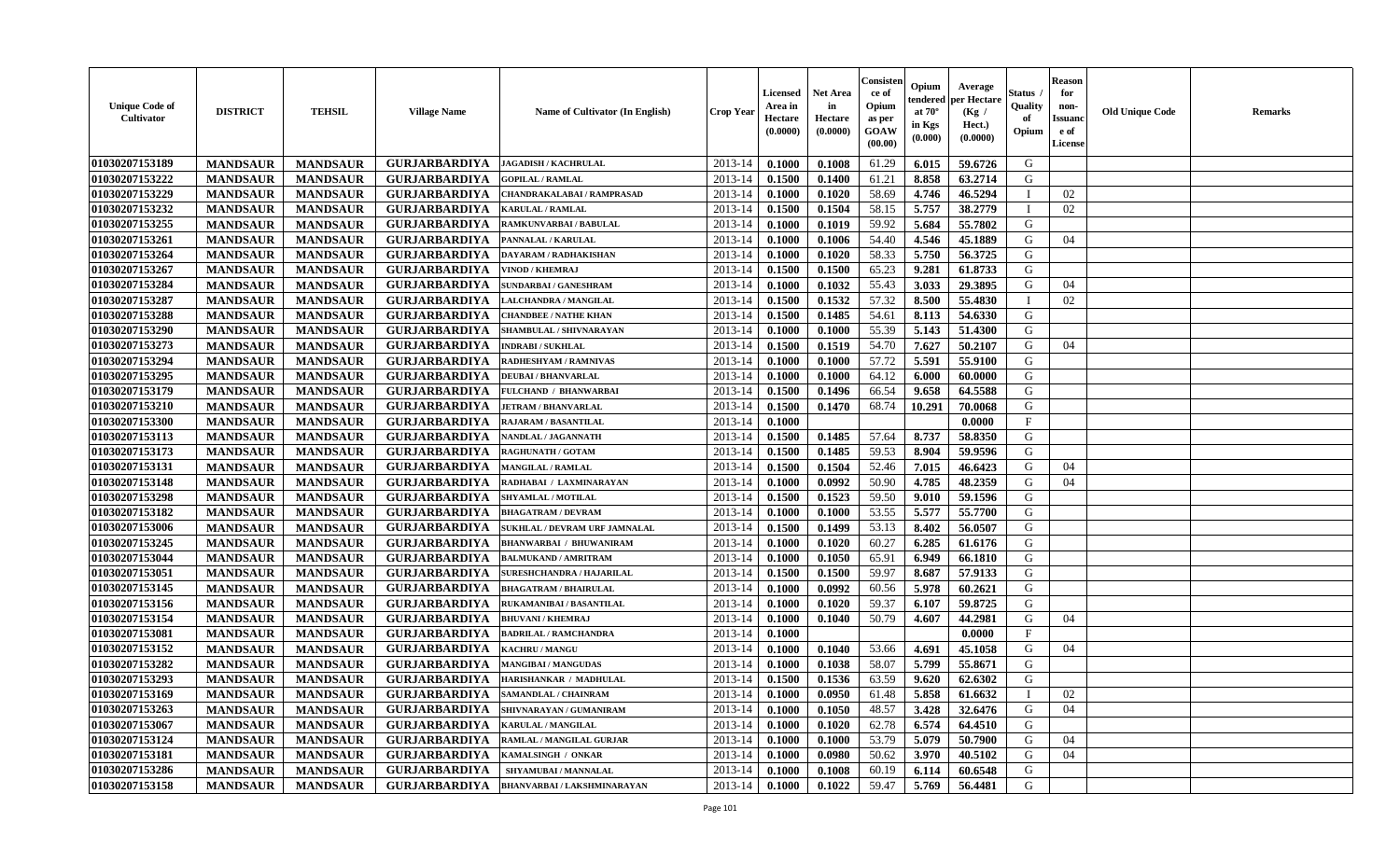| <b>Unique Code of</b><br><b>Cultivator</b> | <b>DISTRICT</b> | <b>TEHSIL</b>   | <b>Village Name</b>  | Name of Cultivator (In English)  | <b>Crop Year</b> | Licensed<br>Area in<br>Hectare<br>(0.0000) | <b>Net Area</b><br>in<br>Hectare<br>(0.0000) | Consister<br>ce of<br>Opium<br>as per<br><b>GOAW</b><br>(00.00) | Opium<br>tendered<br>at $70^\circ$<br>in Kgs<br>(0.000) | Average<br>per Hectare<br>(Kg)<br>Hect.)<br>(0.0000) | Status /<br>Quality<br>of<br>Opium | <b>Reason</b><br>for<br>non-<br><b>Issuand</b><br>e of<br>License | <b>Old Unique Code</b> | <b>Remarks</b> |
|--------------------------------------------|-----------------|-----------------|----------------------|----------------------------------|------------------|--------------------------------------------|----------------------------------------------|-----------------------------------------------------------------|---------------------------------------------------------|------------------------------------------------------|------------------------------------|-------------------------------------------------------------------|------------------------|----------------|
| 01030207153189                             | <b>MANDSAUR</b> | <b>MANDSAUR</b> | <b>GURJARBARDIYA</b> | <b>JAGADISH / KACHRULAL</b>      | 2013-14          | 0.1000                                     | 0.1008                                       | 61.29                                                           | 6.015                                                   | 59.6726                                              | G                                  |                                                                   |                        |                |
| 01030207153222                             | <b>MANDSAUR</b> | <b>MANDSAUR</b> | <b>GURJARBARDIYA</b> | <b>GOPILAL / RAMLAL</b>          | 2013-14          | 0.1500                                     | 0.1400                                       | 61.21                                                           | 8.858                                                   | 63.2714                                              | G                                  |                                                                   |                        |                |
| 01030207153229                             | <b>MANDSAUR</b> | <b>MANDSAUR</b> | <b>GURJARBARDIYA</b> | CHANDRAKALABAI / RAMPRASAD       | 2013-14          | 0.1000                                     | 0.1020                                       | 58.69                                                           | 4.746                                                   | 46.5294                                              |                                    | 02                                                                |                        |                |
| 01030207153232                             | <b>MANDSAUR</b> | <b>MANDSAUR</b> | <b>GURJARBARDIYA</b> | <b>KARULAL / RAMLAL</b>          | 2013-14          | 0.1500                                     | 0.1504                                       | 58.15                                                           | 5.757                                                   | 38.2779                                              |                                    | 02                                                                |                        |                |
| 01030207153255                             | <b>MANDSAUR</b> | <b>MANDSAUR</b> | <b>GURJARBARDIYA</b> | RAMKUNVARBAI / BABULAL           | 2013-14          | 0.1000                                     | 0.1019                                       | 59.92                                                           | 5.684                                                   | 55.7802                                              | G                                  |                                                                   |                        |                |
| 01030207153261                             | <b>MANDSAUR</b> | <b>MANDSAUR</b> | <b>GURJARBARDIYA</b> | PANNALAL / KARULAL               | 2013-14          | 0.1000                                     | 0.1006                                       | 54.40                                                           | 4.546                                                   | 45.1889                                              | G                                  | 04                                                                |                        |                |
| 01030207153264                             | <b>MANDSAUR</b> | <b>MANDSAUR</b> | <b>GURJARBARDIYA</b> | <b>DAYARAM / RADHAKISHAN</b>     | 2013-14          | 0.1000                                     | 0.1020                                       | 58.33                                                           | 5.750                                                   | 56.3725                                              | G                                  |                                                                   |                        |                |
| 01030207153267                             | <b>MANDSAUR</b> | <b>MANDSAUR</b> | <b>GURJARBARDIYA</b> | VINOD / KHEMRAJ                  | 2013-14          | 0.1500                                     | 0.1500                                       | 65.23                                                           | 9.281                                                   | 61.8733                                              | G                                  |                                                                   |                        |                |
| 01030207153284                             | <b>MANDSAUR</b> | <b>MANDSAUR</b> | <b>GURJARBARDIYA</b> | <b>SUNDARBAI / GANESHRAM</b>     | 2013-14          | 0.1000                                     | 0.1032                                       | 55.43                                                           | 3.033                                                   | 29.3895                                              | G                                  | 04                                                                |                        |                |
| 01030207153287                             | <b>MANDSAUR</b> | <b>MANDSAUR</b> | <b>GURJARBARDIYA</b> | LALCHANDRA / MANGILAL            | 2013-14          | 0.1500                                     | 0.1532                                       | 57.32                                                           | 8.500                                                   | 55.4830                                              |                                    | 02                                                                |                        |                |
| 01030207153288                             | <b>MANDSAUR</b> | <b>MANDSAUR</b> | <b>GURJARBARDIYA</b> | <b>CHANDBEE / NATHE KHAN</b>     | 2013-14          | 0.1500                                     | 0.1485                                       | 54.61                                                           | 8.113                                                   | 54.6330                                              | G                                  |                                                                   |                        |                |
| 01030207153290                             | <b>MANDSAUR</b> | <b>MANDSAUR</b> | <b>GURJARBARDIYA</b> | SHAMBULAL / SHIVNARAYAN          | 2013-14          | 0.1000                                     | 0.1000                                       | 55.39                                                           | 5.143                                                   | 51.4300                                              | G                                  |                                                                   |                        |                |
| 01030207153273                             | <b>MANDSAUR</b> | <b>MANDSAUR</b> | <b>GURJARBARDIYA</b> | <b>INDRABI / SUKHLAL</b>         | 2013-14          | 0.1500                                     | 0.1519                                       | 54.70                                                           | 7.627                                                   | 50.2107                                              | G                                  | 04                                                                |                        |                |
| 01030207153294                             | <b>MANDSAUR</b> | <b>MANDSAUR</b> | <b>GURJARBARDIYA</b> | <b>RADHESHYAM / RAMNIVAS</b>     | 2013-14          | 0.1000                                     | 0.1000                                       | 57.72                                                           | 5.591                                                   | 55.9100                                              | G                                  |                                                                   |                        |                |
| 01030207153295                             | <b>MANDSAUR</b> | <b>MANDSAUR</b> | <b>GURJARBARDIYA</b> | <b>DEUBAI/BHANVARLAL</b>         | 2013-14          | 0.1000                                     | 0.1000                                       | 64.12                                                           | 6.000                                                   | 60.0000                                              | G                                  |                                                                   |                        |                |
| 01030207153179                             | <b>MANDSAUR</b> | <b>MANDSAUR</b> | <b>GURJARBARDIYA</b> | <b>FULCHAND / BHANWARBAI</b>     | 2013-14          | 0.1500                                     | 0.1496                                       | 66.54                                                           | 9.658                                                   | 64.5588                                              | G                                  |                                                                   |                        |                |
| 01030207153210                             | <b>MANDSAUR</b> | <b>MANDSAUR</b> | <b>GURJARBARDIYA</b> | <b>JETRAM / BHANVARLAL</b>       | 2013-14          | 0.1500                                     | 0.1470                                       | 68.74                                                           | 10.291                                                  | 70.0068                                              | G                                  |                                                                   |                        |                |
| 01030207153300                             | <b>MANDSAUR</b> | <b>MANDSAUR</b> | <b>GURJARBARDIYA</b> | <b>RAJARAM / BASANTILAL</b>      | 2013-14          | 0.1000                                     |                                              |                                                                 |                                                         | 0.0000                                               | F                                  |                                                                   |                        |                |
| 01030207153113                             | <b>MANDSAUR</b> | <b>MANDSAUR</b> | <b>GURJARBARDIYA</b> | NANDLAL / JAGANNATH              | 2013-14          | 0.1500                                     | 0.1485                                       | 57.64                                                           | 8.737                                                   | 58.8350                                              | G                                  |                                                                   |                        |                |
| 01030207153173                             | <b>MANDSAUR</b> | <b>MANDSAUR</b> | <b>GURJARBARDIYA</b> | <b>RAGHUNATH / GOTAM</b>         | 2013-14          | 0.1500                                     | 0.1485                                       | 59.53                                                           | 8.904                                                   | 59.9596                                              | G                                  |                                                                   |                        |                |
| 01030207153131                             | <b>MANDSAUR</b> | <b>MANDSAUR</b> | <b>GURJARBARDIYA</b> | <b>MANGILAL / RAMLAL</b>         | 2013-14          | 0.1500                                     | 0.1504                                       | 52.46                                                           | 7.015                                                   | 46.6423                                              | G                                  | 04                                                                |                        |                |
| 01030207153148                             | <b>MANDSAUR</b> | <b>MANDSAUR</b> | <b>GURJARBARDIYA</b> | RADHABAI / LAXMINARAYAN          | 2013-14          | 0.1000                                     | 0.0992                                       | 50.90                                                           | 4.785                                                   | 48.2359                                              | G                                  | 04                                                                |                        |                |
| 01030207153298                             | <b>MANDSAUR</b> | <b>MANDSAUR</b> | <b>GURJARBARDIYA</b> | <b>SHYAMLAL / MOTILAL</b>        | 2013-14          | 0.1500                                     | 0.1523                                       | 59.50                                                           | 9.010                                                   | 59.1596                                              | G                                  |                                                                   |                        |                |
| 01030207153182                             | <b>MANDSAUR</b> | <b>MANDSAUR</b> | <b>GURJARBARDIYA</b> | <b>BHAGATRAM / DEVRAM</b>        | 2013-14          | 0.1000                                     | 0.1000                                       | 53.55                                                           | 5.577                                                   | 55.7700                                              | G                                  |                                                                   |                        |                |
| 01030207153006                             | <b>MANDSAUR</b> | <b>MANDSAUR</b> | <b>GURJARBARDIYA</b> | SUKHLAL / DEVRAM URF JAMNALAL    | 2013-14          | 0.1500                                     | 0.1499                                       | 53.13                                                           | 8.402                                                   | 56.0507                                              | G                                  |                                                                   |                        |                |
| 01030207153245                             | <b>MANDSAUR</b> | <b>MANDSAUR</b> | <b>GURJARBARDIYA</b> | <b>BHANWARBAI / BHUWANIRAM</b>   | 2013-14          | 0.1000                                     | 0.1020                                       | 60.27                                                           | 6.285                                                   | 61.6176                                              | G                                  |                                                                   |                        |                |
| 01030207153044                             | <b>MANDSAUR</b> | <b>MANDSAUR</b> | <b>GURJARBARDIYA</b> | <b>BALMUKAND / AMRITRAM</b>      | 2013-14          | 0.1000                                     | 0.1050                                       | 65.91                                                           | 6.949                                                   | 66.1810                                              | G                                  |                                                                   |                        |                |
| 01030207153051                             | <b>MANDSAUR</b> | <b>MANDSAUR</b> | <b>GURJARBARDIYA</b> | <b>SURESHCHANDRA / HAJARILAL</b> | 2013-14          | 0.1500                                     | 0.1500                                       | 59.97                                                           | 8.687                                                   | 57.9133                                              | G                                  |                                                                   |                        |                |
| 01030207153145                             | <b>MANDSAUR</b> | <b>MANDSAUR</b> | <b>GURJARBARDIYA</b> | <b>BHAGATRAM / BHAIRULAL</b>     | 2013-14          | 0.1000                                     | 0.0992                                       | 60.56                                                           | 5.978                                                   | 60.2621                                              | G                                  |                                                                   |                        |                |
| 01030207153156                             | <b>MANDSAUR</b> | <b>MANDSAUR</b> | <b>GURJARBARDIYA</b> | RUKAMANIBAI / BASANTILAL         | 2013-14          | 0.1000                                     | 0.1020                                       | 59.37                                                           | 6.107                                                   | 59.8725                                              | G                                  |                                                                   |                        |                |
| 01030207153154                             | <b>MANDSAUR</b> | <b>MANDSAUR</b> | <b>GURJARBARDIYA</b> | <b>BHUVANI / KHEMRAJ</b>         | 2013-14          | 0.1000                                     | 0.1040                                       | 50.79                                                           | 4.607                                                   | 44.2981                                              | G                                  | 04                                                                |                        |                |
| 01030207153081                             | <b>MANDSAUR</b> | <b>MANDSAUR</b> | <b>GURJARBARDIYA</b> | <b>BADRILAL / RAMCHANDRA</b>     | 2013-14          | 0.1000                                     |                                              |                                                                 |                                                         | 0.0000                                               | F                                  |                                                                   |                        |                |
| 01030207153152                             | <b>MANDSAUR</b> | <b>MANDSAUR</b> | <b>GURJARBARDIYA</b> | <b>KACHRU / MANGU</b>            | 2013-14          | 0.1000                                     | 0.1040                                       | 53.66                                                           | 4.691                                                   | 45.1058                                              | G                                  | 04                                                                |                        |                |
| 01030207153282                             | <b>MANDSAUR</b> | <b>MANDSAUR</b> | <b>GURJARBARDIYA</b> | <b>MANGIBAI/MANGUDAS</b>         | 2013-14          | 0.1000                                     | 0.1038                                       | 58.07                                                           | 5.799                                                   | 55.8671                                              | G                                  |                                                                   |                        |                |
| 01030207153293                             | <b>MANDSAUR</b> | <b>MANDSAUR</b> | <b>GURJARBARDIYA</b> | HARISHANKAR / MADHULAL           | 2013-14          | 0.1500                                     | 0.1536                                       | 63.59                                                           | 9.620                                                   | 62.6302                                              | G                                  |                                                                   |                        |                |
| 01030207153169                             | <b>MANDSAUR</b> | <b>MANDSAUR</b> | <b>GURJARBARDIYA</b> | <b>SAMANDLAL / CHAINRAM</b>      | $2013 - 14$      | 0.1000                                     | 0.0950                                       | 61.48                                                           | 5.858                                                   | 61.6632                                              | - 1                                | 02                                                                |                        |                |
| 01030207153263                             | <b>MANDSAUR</b> | <b>MANDSAUR</b> | <b>GURJARBARDIYA</b> | SHIVNARAYAN / GUMANIRAM          | 2013-14          | 0.1000                                     | 0.1050                                       | 48.57                                                           | 3.428                                                   | 32.6476                                              | G                                  | 04                                                                |                        |                |
| 01030207153067                             | <b>MANDSAUR</b> | <b>MANDSAUR</b> | <b>GURJARBARDIYA</b> | <b>KARULAL / MANGILAL</b>        | 2013-14          | 0.1000                                     | 0.1020                                       | 62.78                                                           | 6.574                                                   | 64.4510                                              | G                                  |                                                                   |                        |                |
| 01030207153124                             | <b>MANDSAUR</b> | <b>MANDSAUR</b> | <b>GURJARBARDIYA</b> | RAMLAL / MANGILAL GURJAR         | 2013-14          | 0.1000                                     | 0.1000                                       | 53.79                                                           | 5.079                                                   | 50.7900                                              | G                                  | 04                                                                |                        |                |
| 01030207153181                             | <b>MANDSAUR</b> | <b>MANDSAUR</b> | <b>GURJARBARDIYA</b> | KAMALSINGH / ONKAR               | 2013-14          | 0.1000                                     | 0.0980                                       | 50.62                                                           | 3.970                                                   | 40.5102                                              | G                                  | 04                                                                |                        |                |
| 01030207153286                             | <b>MANDSAUR</b> | <b>MANDSAUR</b> | <b>GURJARBARDIYA</b> | SHYAMUBAI / MANNALAL             | 2013-14          | 0.1000                                     | 0.1008                                       | 60.19                                                           | 6.114                                                   | 60.6548                                              | G                                  |                                                                   |                        |                |
| 01030207153158                             | <b>MANDSAUR</b> | <b>MANDSAUR</b> | <b>GURJARBARDIYA</b> | <b>BHANVARBAI/LAKSHMINARAYAN</b> | 2013-14          | 0.1000                                     | 0.1022                                       | 59.47                                                           | 5.769                                                   | 56.4481                                              | G                                  |                                                                   |                        |                |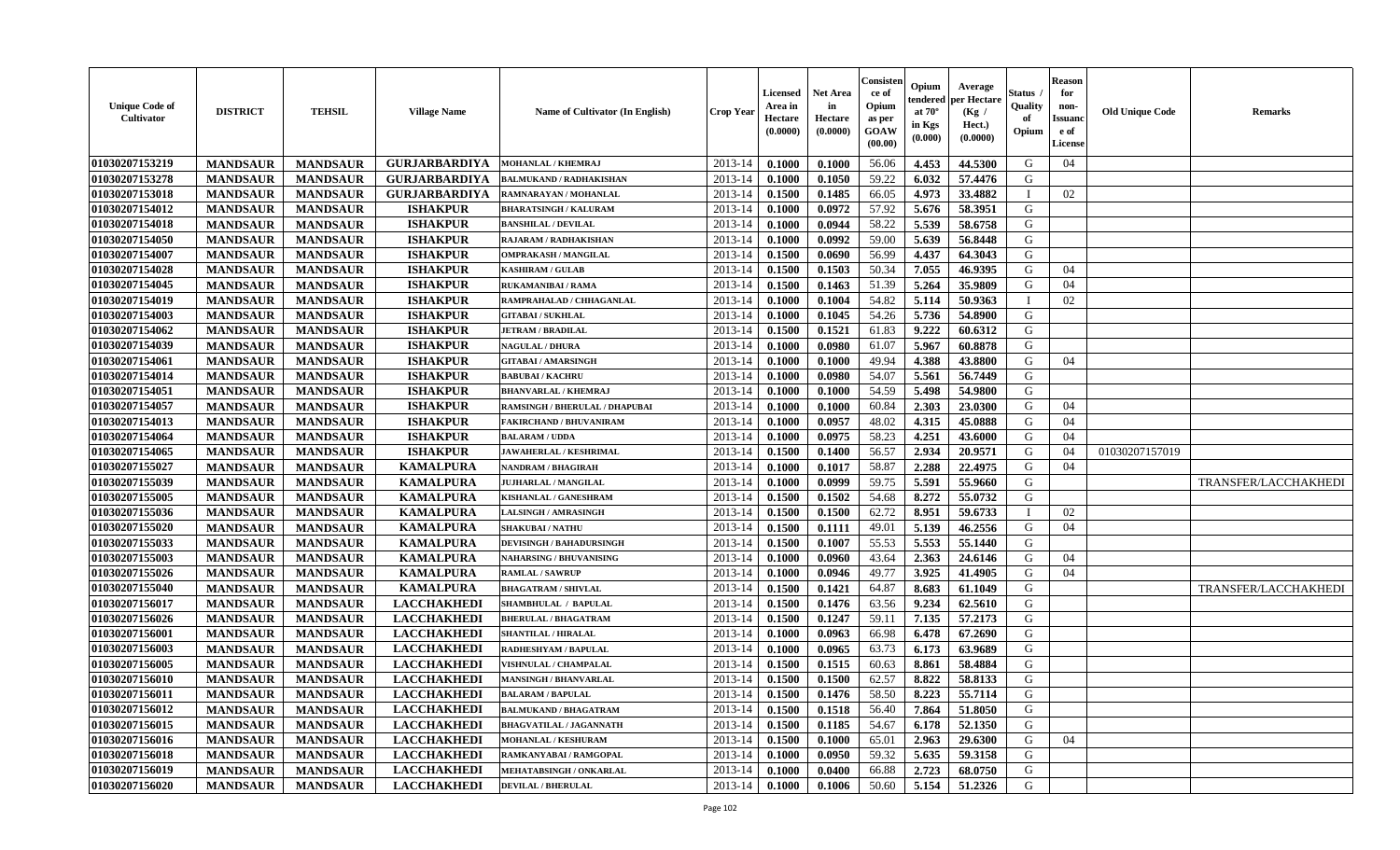| <b>Unique Code of</b><br><b>Cultivator</b> | <b>DISTRICT</b> | <b>TEHSIL</b>   | <b>Village Name</b>  | Name of Cultivator (In English) | <b>Crop Year</b> | <b>Licensed</b><br>Area in<br>Hectare<br>(0.0000) | <b>Net Area</b><br>in<br>Hectare<br>(0.0000) | Consisteı<br>ce of<br>Opium<br>as per<br>GOAW<br>(00.00) | Opium<br>endered<br>at $70^\circ$<br>in Kgs<br>(0.000) | Average<br>per Hectare<br>(Kg /<br>Hect.)<br>(0.0000) | Status<br>Quality<br>of<br>Opium | <b>Reason</b><br>for<br>non-<br>Issuano<br>e of<br>License | <b>Old Unique Code</b> | Remarks              |
|--------------------------------------------|-----------------|-----------------|----------------------|---------------------------------|------------------|---------------------------------------------------|----------------------------------------------|----------------------------------------------------------|--------------------------------------------------------|-------------------------------------------------------|----------------------------------|------------------------------------------------------------|------------------------|----------------------|
| 01030207153219                             | <b>MANDSAUR</b> | <b>MANDSAUR</b> | <b>GURJARBARDIYA</b> | <b>MOHANLAL / KHEMRAJ</b>       | 2013-14          | 0.1000                                            | 0.1000                                       | 56.06                                                    | 4.453                                                  | 44.5300                                               | G                                | 04                                                         |                        |                      |
| 01030207153278                             | <b>MANDSAUR</b> | <b>MANDSAUR</b> | <b>GURJARBARDIYA</b> | <b>BALMUKAND / RADHAKISHAN</b>  | 2013-14          | 0.1000                                            | 0.1050                                       | 59.22                                                    | 6.032                                                  | 57.4476                                               | G                                |                                                            |                        |                      |
| 01030207153018                             | <b>MANDSAUR</b> | <b>MANDSAUR</b> | <b>GURJARBARDIYA</b> | RAMNARAYAN / MOHANLAL           | 2013-14          | 0.1500                                            | 0.1485                                       | 66.05                                                    | 4.973                                                  | 33.4882                                               | $\mathbf{I}$                     | 02                                                         |                        |                      |
| 01030207154012                             | <b>MANDSAUR</b> | <b>MANDSAUR</b> | <b>ISHAKPUR</b>      | <b>BHARATSINGH / KALURAM</b>    | 2013-14          | 0.1000                                            | 0.0972                                       | 57.92                                                    | 5.676                                                  | 58.3951                                               | G                                |                                                            |                        |                      |
| 01030207154018                             | <b>MANDSAUR</b> | <b>MANDSAUR</b> | <b>ISHAKPUR</b>      | <b>BANSHILAL / DEVILAL</b>      | 2013-14          | 0.1000                                            | 0.0944                                       | 58.22                                                    | 5.539                                                  | 58.6758                                               | G                                |                                                            |                        |                      |
| 01030207154050                             | <b>MANDSAUR</b> | <b>MANDSAUR</b> | <b>ISHAKPUR</b>      | RAJARAM / RADHAKISHAN           | 2013-14          | 0.1000                                            | 0.0992                                       | 59.00                                                    | 5.639                                                  | 56.8448                                               | G                                |                                                            |                        |                      |
| 01030207154007                             | <b>MANDSAUR</b> | <b>MANDSAUR</b> | <b>ISHAKPUR</b>      | <b>OMPRAKASH / MANGILAL</b>     | 2013-14          | 0.1500                                            | 0.0690                                       | 56.99                                                    | 4.437                                                  | 64.3043                                               | G                                |                                                            |                        |                      |
| 01030207154028                             | <b>MANDSAUR</b> | <b>MANDSAUR</b> | <b>ISHAKPUR</b>      | <b>KASHIRAM / GULAB</b>         | 2013-14          | 0.1500                                            | 0.1503                                       | 50.34                                                    | 7.055                                                  | 46.9395                                               | G                                | 04                                                         |                        |                      |
| 01030207154045                             | <b>MANDSAUR</b> | <b>MANDSAUR</b> | <b>ISHAKPUR</b>      | <b>RUKAMANIBAI / RAMA</b>       | 2013-14          | 0.1500                                            | 0.1463                                       | 51.39                                                    | 5.264                                                  | 35.9809                                               | G                                | 04                                                         |                        |                      |
| 01030207154019                             | <b>MANDSAUR</b> | <b>MANDSAUR</b> | <b>ISHAKPUR</b>      | RAMPRAHALAD / CHHAGANLAL        | 2013-14          | 0.1000                                            | 0.1004                                       | 54.82                                                    | 5.114                                                  | 50.9363                                               | $\mathbf{I}$                     | 02                                                         |                        |                      |
| 01030207154003                             | <b>MANDSAUR</b> | <b>MANDSAUR</b> | <b>ISHAKPUR</b>      | <b>GITABAI/SUKHLAL</b>          | 2013-14          | 0.1000                                            | 0.1045                                       | 54.26                                                    | 5.736                                                  | 54.8900                                               | G                                |                                                            |                        |                      |
| 01030207154062                             | <b>MANDSAUR</b> | <b>MANDSAUR</b> | <b>ISHAKPUR</b>      | <b>JETRAM / BRADILAL</b>        | 2013-14          | 0.1500                                            | 0.1521                                       | 61.83                                                    | 9.222                                                  | 60.6312                                               | G                                |                                                            |                        |                      |
| 01030207154039                             | <b>MANDSAUR</b> | <b>MANDSAUR</b> | <b>ISHAKPUR</b>      | <b>NAGULAL / DHURA</b>          | 2013-14          | 0.1000                                            | 0.0980                                       | 61.07                                                    | 5.967                                                  | 60.8878                                               | G                                |                                                            |                        |                      |
| 01030207154061                             | <b>MANDSAUR</b> | <b>MANDSAUR</b> | <b>ISHAKPUR</b>      | <b>GITABAI/AMARSINGH</b>        | 2013-14          | 0.1000                                            | 0.1000                                       | 49.94                                                    | 4.388                                                  | 43.8800                                               | G                                | 04                                                         |                        |                      |
| 01030207154014                             | <b>MANDSAUR</b> | <b>MANDSAUR</b> | <b>ISHAKPUR</b>      | <b>BABUBAI/KACHRU</b>           | 2013-14          | 0.1000                                            | 0.0980                                       | 54.07                                                    | 5.561                                                  | 56.7449                                               | $\mathbf G$                      |                                                            |                        |                      |
| 01030207154051                             | <b>MANDSAUR</b> | <b>MANDSAUR</b> | <b>ISHAKPUR</b>      | <b>BHANVARLAL / KHEMRAJ</b>     | 2013-14          | 0.1000                                            | 0.1000                                       | 54.59                                                    | 5.498                                                  | 54.9800                                               | G                                |                                                            |                        |                      |
| 01030207154057                             | <b>MANDSAUR</b> | <b>MANDSAUR</b> | <b>ISHAKPUR</b>      | RAMSINGH / BHERULAL / DHAPUBAI  | 2013-14          | 0.1000                                            | 0.1000                                       | 60.84                                                    | 2.303                                                  | 23.0300                                               | G                                | 04                                                         |                        |                      |
| 01030207154013                             | <b>MANDSAUR</b> | <b>MANDSAUR</b> | <b>ISHAKPUR</b>      | <b>FAKIRCHAND / BHUVANIRAM</b>  | 2013-14          | 0.1000                                            | 0.0957                                       | 48.02                                                    | 4.315                                                  | 45.0888                                               | G                                | 04                                                         |                        |                      |
| 01030207154064                             | <b>MANDSAUR</b> | <b>MANDSAUR</b> | <b>ISHAKPUR</b>      | <b>BALARAM / UDDA</b>           | 2013-14          | 0.1000                                            | 0.0975                                       | 58.23                                                    | 4.251                                                  | 43.6000                                               | G                                | 04                                                         |                        |                      |
| 01030207154065                             | <b>MANDSAUR</b> | <b>MANDSAUR</b> | <b>ISHAKPUR</b>      | <b>JAWAHERLAL / KESHRIMAL</b>   | 2013-14          | 0.1500                                            | 0.1400                                       | 56.57                                                    | 2.934                                                  | 20.9571                                               | G                                | 04                                                         | 01030207157019         |                      |
| 01030207155027                             | <b>MANDSAUR</b> | <b>MANDSAUR</b> | <b>KAMALPURA</b>     | NANDRAM / BHAGIRAH              | 2013-14          | 0.1000                                            | 0.1017                                       | 58.87                                                    | 2.288                                                  | 22.4975                                               | G                                | 04                                                         |                        |                      |
| 01030207155039                             | <b>MANDSAUR</b> | <b>MANDSAUR</b> | <b>KAMALPURA</b>     | <b>JUJHARLAL / MANGILAL</b>     | 2013-14          | 0.1000                                            | 0.0999                                       | 59.75                                                    | 5.591                                                  | 55.9660                                               | G                                |                                                            |                        | TRANSFER/LACCHAKHEDI |
| 01030207155005                             | <b>MANDSAUR</b> | <b>MANDSAUR</b> | <b>KAMALPURA</b>     | KISHANLAL / GANESHRAM           | 2013-14          | 0.1500                                            | 0.1502                                       | 54.68                                                    | 8.272                                                  | 55.0732                                               | G                                |                                                            |                        |                      |
| 01030207155036                             | <b>MANDSAUR</b> | <b>MANDSAUR</b> | <b>KAMALPURA</b>     | <b>LALSINGH / AMRASINGH</b>     | 2013-14          | 0.1500                                            | 0.1500                                       | 62.72                                                    | 8.951                                                  | 59.6733                                               |                                  | 02                                                         |                        |                      |
| 01030207155020                             | <b>MANDSAUR</b> | <b>MANDSAUR</b> | <b>KAMALPURA</b>     | <b>SHAKUBAI/NATHU</b>           | 2013-14          | 0.1500                                            | 0.1111                                       | 49.01                                                    | 5.139                                                  | 46.2556                                               | G                                | 04                                                         |                        |                      |
| 01030207155033                             | <b>MANDSAUR</b> | <b>MANDSAUR</b> | <b>KAMALPURA</b>     | <b>DEVISINGH / BAHADURSINGH</b> | 2013-14          | 0.1500                                            | 0.1007                                       | 55.53                                                    | 5.553                                                  | 55.1440                                               | G                                |                                                            |                        |                      |
| 01030207155003                             | <b>MANDSAUR</b> | <b>MANDSAUR</b> | <b>KAMALPURA</b>     | <b>NAHARSING / BHUVANISING</b>  | 2013-14          | 0.1000                                            | 0.0960                                       | 43.64                                                    | 2.363                                                  | 24.6146                                               | G                                | 04                                                         |                        |                      |
| 01030207155026                             | <b>MANDSAUR</b> | <b>MANDSAUR</b> | <b>KAMALPURA</b>     | <b>RAMLAL / SAWRUP</b>          | 2013-14          | 0.1000                                            | 0.0946                                       | 49.77                                                    | 3.925                                                  | 41.4905                                               | G                                | 04                                                         |                        |                      |
| 01030207155040                             | <b>MANDSAUR</b> | <b>MANDSAUR</b> | <b>KAMALPURA</b>     | <b>BHAGATRAM / SHIVLAL</b>      | 2013-14          | 0.1500                                            | 0.1421                                       | 64.87                                                    | 8.683                                                  | 61.1049                                               | G                                |                                                            |                        | TRANSFER/LACCHAKHEDI |
| 01030207156017                             | <b>MANDSAUR</b> | <b>MANDSAUR</b> | <b>LACCHAKHEDI</b>   | SHAMBHULAL / BAPULAL            | 2013-14          | 0.1500                                            | 0.1476                                       | 63.56                                                    | 9.234                                                  | 62.5610                                               | G                                |                                                            |                        |                      |
| 01030207156026                             | <b>MANDSAUR</b> | <b>MANDSAUR</b> | <b>LACCHAKHEDI</b>   | <b>BHERULAL / BHAGATRAM</b>     | 2013-14          | 0.1500                                            | 0.1247                                       | 59.11                                                    | 7.135                                                  | 57.2173                                               | G                                |                                                            |                        |                      |
| 01030207156001                             | <b>MANDSAUR</b> | <b>MANDSAUR</b> | <b>LACCHAKHEDI</b>   | <b>SHANTILAL / HIRALAL</b>      | 2013-14          | 0.1000                                            | 0.0963                                       | 66.98                                                    | 6.478                                                  | 67.2690                                               | G                                |                                                            |                        |                      |
| 01030207156003                             | <b>MANDSAUR</b> | <b>MANDSAUR</b> | <b>LACCHAKHEDI</b>   | RADHESHYAM / BAPULAL            | 2013-14          | 0.1000                                            | 0.0965                                       | 63.73                                                    | 6.173                                                  | 63.9689                                               | G                                |                                                            |                        |                      |
| 01030207156005                             | <b>MANDSAUR</b> | <b>MANDSAUR</b> | <b>LACCHAKHEDI</b>   | <b>VISHNULAL / CHAMPALAL</b>    | 2013-14          | 0.1500                                            | 0.1515                                       | 60.63                                                    | 8.861                                                  | 58.4884                                               | G                                |                                                            |                        |                      |
| 01030207156010                             | <b>MANDSAUR</b> | <b>MANDSAUR</b> | <b>LACCHAKHEDI</b>   | <b>MANSINGH / BHANVARLAL</b>    | 2013-14          | 0.1500                                            | 0.1500                                       | 62.57                                                    | 8.822                                                  | 58.8133                                               | G                                |                                                            |                        |                      |
| 01030207156011                             | <b>MANDSAUR</b> | <b>MANDSAUR</b> | <b>LACCHAKHEDI</b>   | <b>BALARAM / BAPULAL</b>        | 2013-14          | 0.1500                                            | 0.1476                                       | 58.50                                                    | 8.223                                                  | 55.7114                                               | G                                |                                                            |                        |                      |
| 01030207156012                             | <b>MANDSAUR</b> | <b>MANDSAUR</b> | <b>LACCHAKHEDI</b>   | <b>BALMUKAND / BHAGATRAM</b>    | 2013-14          | 0.1500                                            | 0.1518                                       | 56.40                                                    | 7.864                                                  | 51.8050                                               | G                                |                                                            |                        |                      |
| 01030207156015                             | <b>MANDSAUR</b> | <b>MANDSAUR</b> | <b>LACCHAKHEDI</b>   | <b>BHAGVATILAL / JAGANNATH</b>  | 2013-14          | 0.1500                                            | 0.1185                                       | 54.67                                                    | 6.178                                                  | 52.1350                                               | G                                |                                                            |                        |                      |
| 01030207156016                             | <b>MANDSAUR</b> | <b>MANDSAUR</b> | <b>LACCHAKHEDI</b>   | <b>MOHANLAL / KESHURAM</b>      | 2013-14          | 0.1500                                            | 0.1000                                       | 65.01                                                    | 2.963                                                  | 29.6300                                               | G                                | 04                                                         |                        |                      |
| 01030207156018                             | <b>MANDSAUR</b> | <b>MANDSAUR</b> | <b>LACCHAKHEDI</b>   | RAMKANYABAI / RAMGOPAL          | 2013-14          | 0.1000                                            | 0.0950                                       | 59.32                                                    | 5.635                                                  | 59.3158                                               | ${\bf G}$                        |                                                            |                        |                      |
| 01030207156019                             | <b>MANDSAUR</b> | <b>MANDSAUR</b> | <b>LACCHAKHEDI</b>   | MEHATABSINGH / ONKARLAL         | 2013-14          | 0.1000                                            | 0.0400                                       | 66.88                                                    | 2.723                                                  | 68.0750                                               | G                                |                                                            |                        |                      |
| 01030207156020                             | <b>MANDSAUR</b> | <b>MANDSAUR</b> | <b>LACCHAKHEDI</b>   | <b>DEVILAL / BHERULAL</b>       | 2013-14          | 0.1000                                            | 0.1006                                       | 50.60                                                    | 5.154                                                  | 51.2326                                               | G                                |                                                            |                        |                      |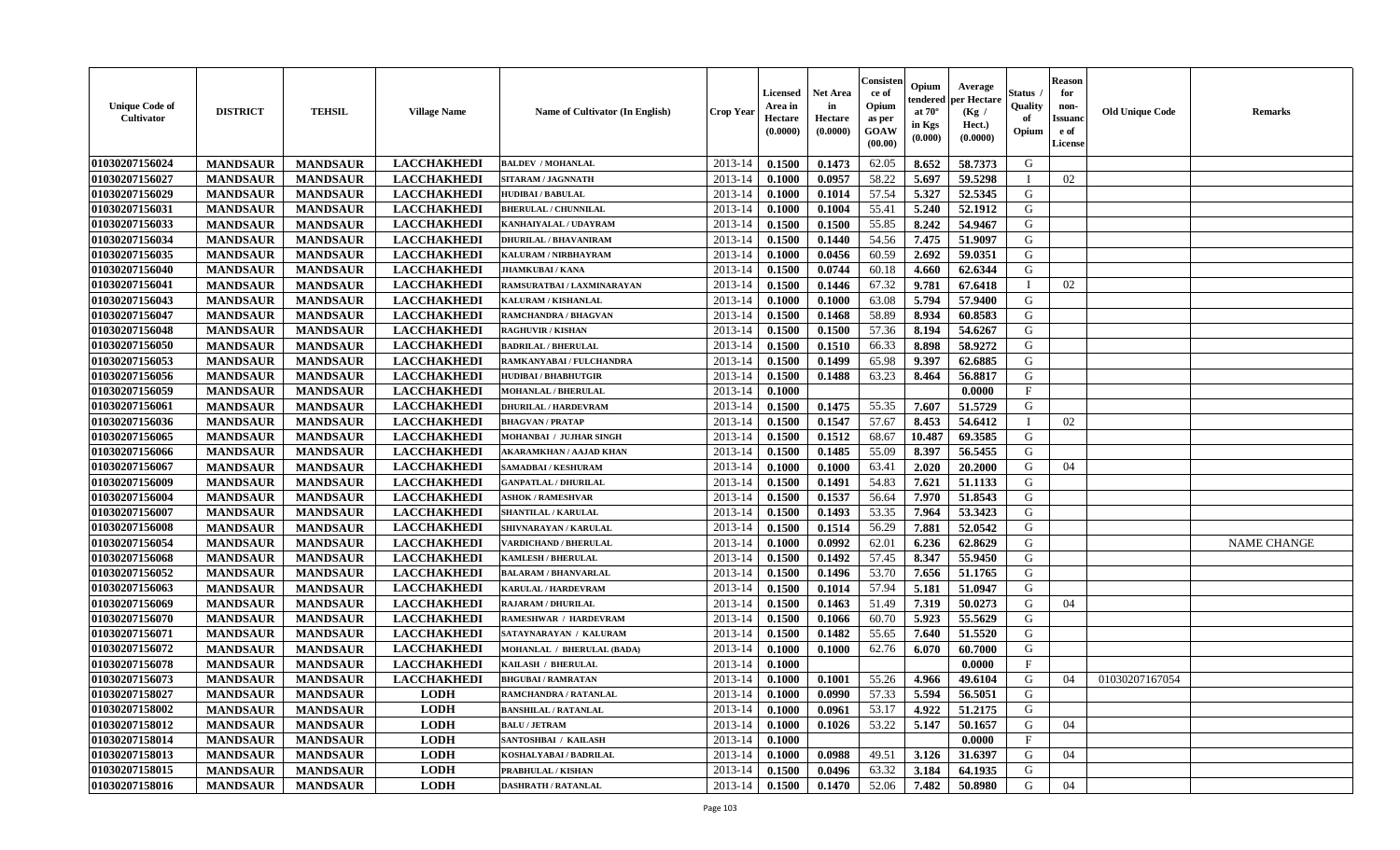| <b>Unique Code of</b><br>Cultivator | <b>DISTRICT</b> | <b>TEHSIL</b>   | <b>Village Name</b> | Name of Cultivator (In English) | <b>Crop Year</b> | <b>Licensed</b><br>Area in<br>Hectare<br>(0.0000) | <b>Net Area</b><br>in<br>Hectare<br>(0.0000) | Consister<br>ce of<br>Opium<br>as per<br>GOAW<br>(00.00) | Opium<br>endered<br>at $70^\circ$<br>in Kgs<br>(0.000) | Average<br>per Hectare<br>(Kg /<br>Hect.)<br>(0.0000) | <b>Status</b><br>Quality<br>of<br>Opium | <b>Reason</b><br>for<br>non-<br><b>Issuand</b><br>e of<br>License | <b>Old Unique Code</b> | <b>Remarks</b>     |
|-------------------------------------|-----------------|-----------------|---------------------|---------------------------------|------------------|---------------------------------------------------|----------------------------------------------|----------------------------------------------------------|--------------------------------------------------------|-------------------------------------------------------|-----------------------------------------|-------------------------------------------------------------------|------------------------|--------------------|
| 01030207156024                      | <b>MANDSAUR</b> | <b>MANDSAUR</b> | <b>LACCHAKHEDI</b>  | <b>BALDEV / MOHANLAL</b>        | 2013-14          | 0.1500                                            | 0.1473                                       | 62.05                                                    | 8.652                                                  | 58.7373                                               | G                                       |                                                                   |                        |                    |
| 01030207156027                      | <b>MANDSAUR</b> | <b>MANDSAUR</b> | <b>LACCHAKHEDI</b>  | SITARAM / JAGNNATH              | 2013-14          | 0.1000                                            | 0.0957                                       | 58.22                                                    | 5.697                                                  | 59.5298                                               | T                                       | 02                                                                |                        |                    |
| 01030207156029                      | <b>MANDSAUR</b> | <b>MANDSAUR</b> | <b>LACCHAKHEDI</b>  | <b>HUDIBAI/BABULAL</b>          | 2013-14          | 0.1000                                            | 0.1014                                       | 57.54                                                    | 5.327                                                  | 52.5345                                               | G                                       |                                                                   |                        |                    |
| 01030207156031                      | <b>MANDSAUR</b> | <b>MANDSAUR</b> | <b>LACCHAKHEDI</b>  | <b>BHERULAL / CHUNNILAL</b>     | 2013-14          | 0.1000                                            | 0.1004                                       | 55.41                                                    | 5.240                                                  | 52.1912                                               | G                                       |                                                                   |                        |                    |
| 01030207156033                      | <b>MANDSAUR</b> | <b>MANDSAUR</b> | <b>LACCHAKHEDI</b>  | KANHAIYALAL / UDAYRAM           | 2013-14          | 0.1500                                            | 0.1500                                       | 55.85                                                    | 8.242                                                  | 54.9467                                               | G                                       |                                                                   |                        |                    |
| 01030207156034                      | <b>MANDSAUR</b> | <b>MANDSAUR</b> | <b>LACCHAKHEDI</b>  | <b>DHURILAL / BHAVANIRAM</b>    | 2013-14          | 0.1500                                            | 0.1440                                       | 54.56                                                    | 7.475                                                  | 51.9097                                               | G                                       |                                                                   |                        |                    |
| 01030207156035                      | <b>MANDSAUR</b> | <b>MANDSAUR</b> | <b>LACCHAKHEDI</b>  | KALURAM / NIRBHAYRAM            | 2013-14          | 0.1000                                            | 0.0456                                       | 60.59                                                    | 2.692                                                  | 59.0351                                               | ${\bf G}$                               |                                                                   |                        |                    |
| 01030207156040                      | <b>MANDSAUR</b> | <b>MANDSAUR</b> | <b>LACCHAKHEDI</b>  | <b>JHAMKUBAI / KANA</b>         | 2013-14          | 0.1500                                            | 0.0744                                       | 60.18                                                    | 4.660                                                  | 62.6344                                               | G                                       |                                                                   |                        |                    |
| 01030207156041                      | <b>MANDSAUR</b> | <b>MANDSAUR</b> | <b>LACCHAKHEDI</b>  | RAMSURATBAI / LAXMINARAYAN      | 2013-14          | 0.1500                                            | 0.1446                                       | 67.32                                                    | 9.781                                                  | 67.6418                                               | $\mathbf I$                             | 02                                                                |                        |                    |
| 01030207156043                      | <b>MANDSAUR</b> | <b>MANDSAUR</b> | <b>LACCHAKHEDI</b>  | KALURAM / KISHANLAL             | 2013-14          | 0.1000                                            | 0.1000                                       | 63.08                                                    | 5.794                                                  | 57.9400                                               | G                                       |                                                                   |                        |                    |
| 01030207156047                      | <b>MANDSAUR</b> | <b>MANDSAUR</b> | <b>LACCHAKHEDI</b>  | <b>RAMCHANDRA / BHAGVAN</b>     | 2013-14          | 0.1500                                            | 0.1468                                       | 58.89                                                    | 8.934                                                  | 60.8583                                               | $\mathbf G$                             |                                                                   |                        |                    |
| 01030207156048                      | <b>MANDSAUR</b> | <b>MANDSAUR</b> | <b>LACCHAKHEDI</b>  | <b>RAGHUVIR / KISHAN</b>        | 2013-14          | 0.1500                                            | 0.1500                                       | 57.36                                                    | 8.194                                                  | 54.6267                                               | G                                       |                                                                   |                        |                    |
| 01030207156050                      | <b>MANDSAUR</b> | <b>MANDSAUR</b> | <b>LACCHAKHEDI</b>  | <b>BADRILAL / BHERULAL</b>      | 2013-14          | 0.1500                                            | 0.1510                                       | 66.33                                                    | 8.898                                                  | 58.9272                                               | G                                       |                                                                   |                        |                    |
| 01030207156053                      | <b>MANDSAUR</b> | <b>MANDSAUR</b> | <b>LACCHAKHEDI</b>  | RAMKANYABAI / FULCHANDRA        | 2013-14          | 0.1500                                            | 0.1499                                       | 65.98                                                    | 9.397                                                  | 62.6885                                               | G                                       |                                                                   |                        |                    |
| 01030207156056                      | <b>MANDSAUR</b> | <b>MANDSAUR</b> | <b>LACCHAKHEDI</b>  | <b>HUDIBAI/BHABHUTGIR</b>       | 2013-14          | 0.1500                                            | 0.1488                                       | 63.23                                                    | 8.464                                                  | 56.8817                                               | G                                       |                                                                   |                        |                    |
| 01030207156059                      | <b>MANDSAUR</b> | <b>MANDSAUR</b> | <b>LACCHAKHEDI</b>  | <b>MOHANLAL / BHERULAL</b>      | 2013-14          | 0.1000                                            |                                              |                                                          |                                                        | 0.0000                                                | $\mathbf F$                             |                                                                   |                        |                    |
| 01030207156061                      | <b>MANDSAUR</b> | <b>MANDSAUR</b> | <b>LACCHAKHEDI</b>  | <b>DHURILAL / HARDEVRAM</b>     | 2013-14          | 0.1500                                            | 0.1475                                       | 55.35                                                    | 7.607                                                  | 51.5729                                               | G                                       |                                                                   |                        |                    |
| 01030207156036                      | <b>MANDSAUR</b> | <b>MANDSAUR</b> | <b>LACCHAKHEDI</b>  | <b>BHAGVAN / PRATAP</b>         | 2013-14          | 0.1500                                            | 0.1547                                       | 57.67                                                    | 8.453                                                  | 54.6412                                               | $\mathbf I$                             | 02                                                                |                        |                    |
| 01030207156065                      | <b>MANDSAUR</b> | <b>MANDSAUR</b> | <b>LACCHAKHEDI</b>  | MOHANBAI / JUJHAR SINGH         | 2013-14          | 0.1500                                            | 0.1512                                       | 68.67                                                    | 10.487                                                 | 69.3585                                               | G                                       |                                                                   |                        |                    |
| 01030207156066                      | <b>MANDSAUR</b> | <b>MANDSAUR</b> | <b>LACCHAKHEDI</b>  | <b>AKARAMKHAN / AAJAD KHAN</b>  | 2013-14          | 0.1500                                            | 0.1485                                       | 55.09                                                    | 8.397                                                  | 56.5455                                               | G                                       |                                                                   |                        |                    |
| 01030207156067                      | <b>MANDSAUR</b> | <b>MANDSAUR</b> | <b>LACCHAKHEDI</b>  | SAMADBAI / KESHURAM             | 2013-14          | 0.1000                                            | 0.1000                                       | 63.41                                                    | 2.020                                                  | 20.2000                                               | G                                       | 04                                                                |                        |                    |
| 01030207156009                      | <b>MANDSAUR</b> | <b>MANDSAUR</b> | <b>LACCHAKHEDI</b>  | <b>GANPATLAL / DHURILAL</b>     | 2013-14          | 0.1500                                            | 0.1491                                       | 54.83                                                    | 7.621                                                  | 51.1133                                               | G                                       |                                                                   |                        |                    |
| 01030207156004                      | <b>MANDSAUR</b> | <b>MANDSAUR</b> | <b>LACCHAKHEDI</b>  | <b>SHOK / RAMESHVAR</b>         | 2013-14          | 0.1500                                            | 0.1537                                       | 56.64                                                    | 7.970                                                  | 51.8543                                               | ${\bf G}$                               |                                                                   |                        |                    |
| 01030207156007                      | <b>MANDSAUR</b> | <b>MANDSAUR</b> | <b>LACCHAKHEDI</b>  | <b>SHANTILAL / KARULAL</b>      | 2013-14          | 0.1500                                            | 0.1493                                       | 53.35                                                    | 7.964                                                  | 53.3423                                               | G                                       |                                                                   |                        |                    |
| 01030207156008                      | <b>MANDSAUR</b> | <b>MANDSAUR</b> | <b>LACCHAKHEDI</b>  | SHIVNARAYAN / KARULAL           | 2013-14          | 0.1500                                            | 0.1514                                       | 56.29                                                    | 7.881                                                  | 52.0542                                               | G                                       |                                                                   |                        |                    |
| 01030207156054                      | <b>MANDSAUR</b> | <b>MANDSAUR</b> | <b>LACCHAKHEDI</b>  | VARDICHAND / BHERULAL           | 2013-14          | 0.1000                                            | 0.0992                                       | 62.01                                                    | 6.236                                                  | 62.8629                                               | G                                       |                                                                   |                        | <b>NAME CHANGE</b> |
| 01030207156068                      | <b>MANDSAUR</b> | <b>MANDSAUR</b> | <b>LACCHAKHEDI</b>  | <b>KAMLESH / BHERULAL</b>       | 2013-14          | 0.1500                                            | 0.1492                                       | 57.45                                                    | 8.347                                                  | 55.9450                                               | G                                       |                                                                   |                        |                    |
| 01030207156052                      | <b>MANDSAUR</b> | <b>MANDSAUR</b> | <b>LACCHAKHEDI</b>  | <b>BALARAM / BHANVARLAL</b>     | 2013-14          | 0.1500                                            | 0.1496                                       | 53.70                                                    | 7.656                                                  | 51.1765                                               | G                                       |                                                                   |                        |                    |
| 01030207156063                      | <b>MANDSAUR</b> | <b>MANDSAUR</b> | <b>LACCHAKHEDI</b>  | KARULAL / HARDEVRAM             | 2013-14          | 0.1500                                            | 0.1014                                       | 57.94                                                    | 5.181                                                  | 51.0947                                               | G                                       |                                                                   |                        |                    |
| 01030207156069                      | <b>MANDSAUR</b> | <b>MANDSAUR</b> | <b>LACCHAKHEDI</b>  | RAJARAM / DHURILAL              | 2013-14          | 0.1500                                            | 0.1463                                       | 51.49                                                    | 7.319                                                  | 50.0273                                               | G                                       | 04                                                                |                        |                    |
| 01030207156070                      | <b>MANDSAUR</b> | <b>MANDSAUR</b> | <b>LACCHAKHEDI</b>  | RAMESHWAR / HARDEVRAM           | 2013-14          | 0.1500                                            | 0.1066                                       | 60.70                                                    | 5.923                                                  | 55.5629                                               | ${\bf G}$                               |                                                                   |                        |                    |
| 01030207156071                      | <b>MANDSAUR</b> | <b>MANDSAUR</b> | <b>LACCHAKHEDI</b>  | SATAYNARAYAN / KALURAM          | 2013-14          | 0.1500                                            | 0.1482                                       | 55.65                                                    | 7.640                                                  | 51.5520                                               | G                                       |                                                                   |                        |                    |
| 01030207156072                      | <b>MANDSAUR</b> | <b>MANDSAUR</b> | <b>LACCHAKHEDI</b>  | MOHANLAL / BHERULAL (BADA)      | 2013-14          | 0.1000                                            | 0.1000                                       | 62.76                                                    | 6.070                                                  | 60.7000                                               | G                                       |                                                                   |                        |                    |
| 01030207156078                      | <b>MANDSAUR</b> | <b>MANDSAUR</b> | <b>LACCHAKHEDI</b>  | KAILASH / BHERULAL              | 2013-14          | 0.1000                                            |                                              |                                                          |                                                        | 0.0000                                                | $\mathbf{F}$                            |                                                                   |                        |                    |
| 01030207156073                      | <b>MANDSAUR</b> | <b>MANDSAUR</b> | <b>LACCHAKHEDI</b>  | <b>BHGUBAI/RAMRATAN</b>         | 2013-14          | 0.1000                                            | 0.1001                                       | 55.26                                                    | 4.966                                                  | 49.6104                                               | G                                       | 04                                                                | 01030207167054         |                    |
| 01030207158027                      | <b>MANDSAUR</b> | <b>MANDSAUR</b> | <b>LODH</b>         | RAMCHANDRA / RATANLAL           | 2013-14          | 0.1000                                            | 0.0990                                       | 57.33                                                    | 5.594                                                  | 56.5051                                               | G                                       |                                                                   |                        |                    |
| 01030207158002                      | <b>MANDSAUR</b> | <b>MANDSAUR</b> | <b>LODH</b>         | <b>BANSHILAL / RATANLAL</b>     | 2013-14          | 0.1000                                            | 0.0961                                       | 53.17                                                    | 4.922                                                  | 51.2175                                               | G                                       |                                                                   |                        |                    |
| 01030207158012                      | <b>MANDSAUR</b> | <b>MANDSAUR</b> | <b>LODH</b>         | <b>BALU / JETRAM</b>            | 2013-14          | 0.1000                                            | 0.1026                                       | 53.22                                                    | 5.147                                                  | 50.1657                                               | G                                       | 04                                                                |                        |                    |
| 01030207158014                      | <b>MANDSAUR</b> | <b>MANDSAUR</b> | <b>LODH</b>         | SANTOSHBAI / KAILASH            | 2013-14          | 0.1000                                            |                                              |                                                          |                                                        | 0.0000                                                | $\mathbf{F}$                            |                                                                   |                        |                    |
| 01030207158013                      | <b>MANDSAUR</b> | <b>MANDSAUR</b> | <b>LODH</b>         | KOSHALYABAI / BADRILAL          | 2013-14          | 0.1000                                            | 0.0988                                       | 49.51                                                    | 3.126                                                  | 31.6397                                               | G                                       | 04                                                                |                        |                    |
| 01030207158015                      | <b>MANDSAUR</b> | <b>MANDSAUR</b> | <b>LODH</b>         | PRABHULAL / KISHAN              | 2013-14          | 0.1500                                            | 0.0496                                       | 63.32                                                    | 3.184                                                  | 64.1935                                               | G                                       |                                                                   |                        |                    |
| 01030207158016                      | <b>MANDSAUR</b> | <b>MANDSAUR</b> | <b>LODH</b>         | <b>DASHRATH / RATANLAL</b>      | 2013-14          | 0.1500                                            | 0.1470                                       | 52.06                                                    | 7.482                                                  | 50.8980                                               | G                                       | 04                                                                |                        |                    |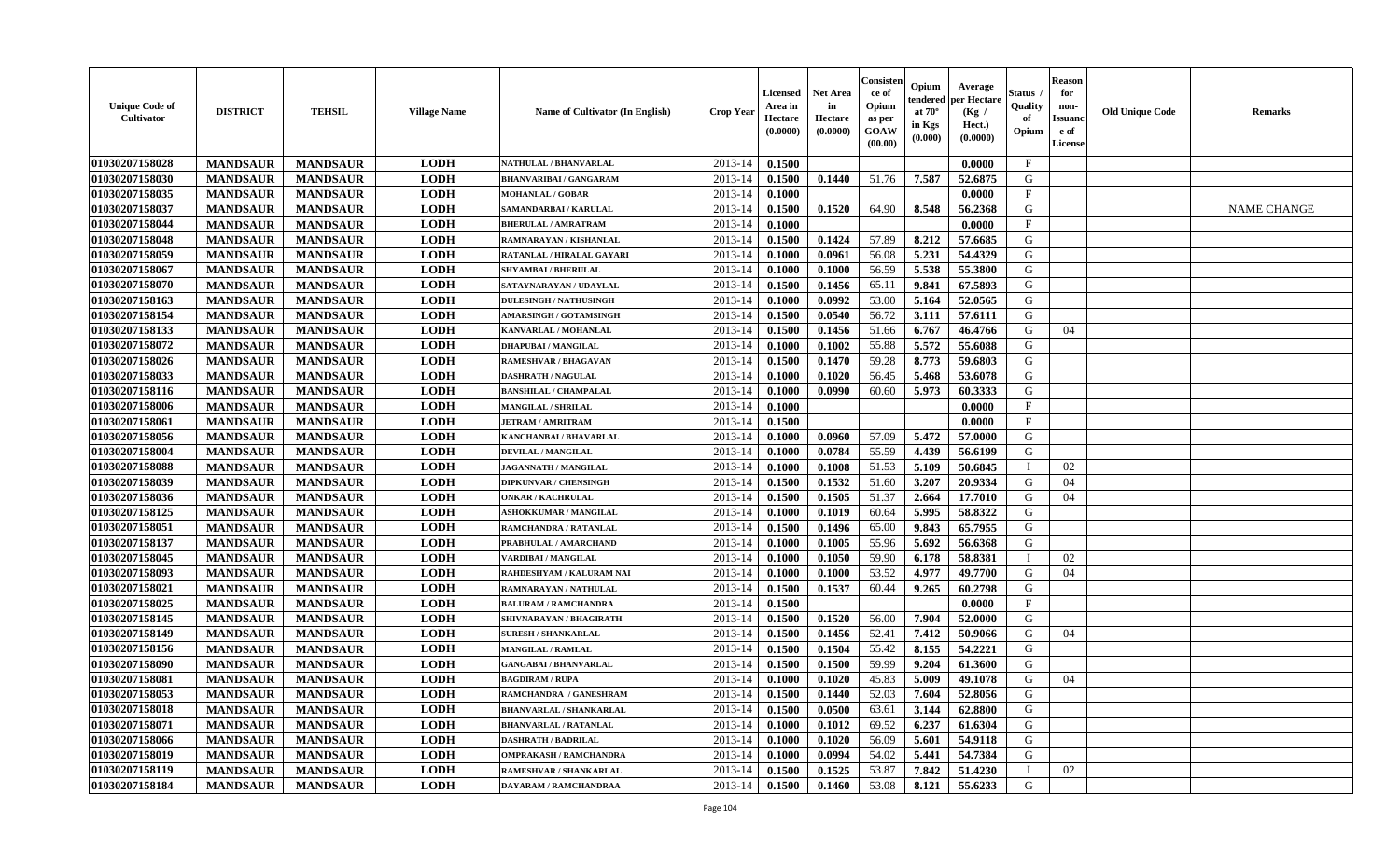| <b>Unique Code of</b><br>Cultivator | <b>DISTRICT</b> | <b>TEHSIL</b>   | <b>Village Name</b> | <b>Name of Cultivator (In English)</b> | Crop Year   | Licensed<br>Area in<br>Hectare<br>(0.0000) | <b>Net Area</b><br>in<br>Hectare<br>(0.0000) | Consister<br>ce of<br>Opium<br>as per<br>GOAW<br>(00.00) | Opium<br>endered<br>at $70^\circ$<br>in Kgs<br>(0.000) | Average<br>per Hectare<br>(Kg /<br>Hect.)<br>(0.0000) | Status<br>Quality<br>of<br>Opium | <b>Reason</b><br>for<br>non-<br><b>Issuanc</b><br>e of<br><b>License</b> | <b>Old Unique Code</b> | <b>Remarks</b>     |
|-------------------------------------|-----------------|-----------------|---------------------|----------------------------------------|-------------|--------------------------------------------|----------------------------------------------|----------------------------------------------------------|--------------------------------------------------------|-------------------------------------------------------|----------------------------------|--------------------------------------------------------------------------|------------------------|--------------------|
| 01030207158028                      | <b>MANDSAUR</b> | <b>MANDSAUR</b> | <b>LODH</b>         | NATHULAL / BHANVARLAL                  | $2013 - 14$ | 0.1500                                     |                                              |                                                          |                                                        | 0.0000                                                | $\mathbf{F}$                     |                                                                          |                        |                    |
| 01030207158030                      | <b>MANDSAUR</b> | <b>MANDSAUR</b> | <b>LODH</b>         | <b>BHANVARIBAI / GANGARAM</b>          | 2013-14     | 0.1500                                     | 0.1440                                       | 51.76                                                    | 7.587                                                  | 52.6875                                               | G                                |                                                                          |                        |                    |
| 01030207158035                      | <b>MANDSAUR</b> | <b>MANDSAUR</b> | <b>LODH</b>         | <b>MOHANLAL / GOBAR</b>                | 2013-14     | 0.1000                                     |                                              |                                                          |                                                        | 0.0000                                                | $\mathbf{F}$                     |                                                                          |                        |                    |
| 01030207158037                      | <b>MANDSAUR</b> | <b>MANDSAUR</b> | <b>LODH</b>         | <b>SAMANDARBAI/KARULAL</b>             | 2013-14     | 0.1500                                     | 0.1520                                       | 64.90                                                    | 8.548                                                  | 56.2368                                               | G                                |                                                                          |                        | <b>NAME CHANGE</b> |
| 01030207158044                      | <b>MANDSAUR</b> | <b>MANDSAUR</b> | <b>LODH</b>         | <b>BHERULAL / AMRATRAM</b>             | $2013 - 14$ | 0.1000                                     |                                              |                                                          |                                                        | 0.0000                                                | $\mathbf{F}$                     |                                                                          |                        |                    |
| 01030207158048                      | <b>MANDSAUR</b> | <b>MANDSAUR</b> | <b>LODH</b>         | RAMNARAYAN / KISHANLAL                 | 2013-14     | 0.1500                                     | 0.1424                                       | 57.89                                                    | 8.212                                                  | 57.6685                                               | G                                |                                                                          |                        |                    |
| 01030207158059                      | <b>MANDSAUR</b> | <b>MANDSAUR</b> | <b>LODH</b>         | RATANLAL / HIRALAL GAYARI              | 2013-14     | 0.1000                                     | 0.0961                                       | 56.08                                                    | 5.231                                                  | 54.4329                                               | G                                |                                                                          |                        |                    |
| 01030207158067                      | <b>MANDSAUR</b> | <b>MANDSAUR</b> | <b>LODH</b>         | <b>SHYAMBAI / BHERULAL</b>             | 2013-14     | 0.1000                                     | 0.1000                                       | 56.59                                                    | 5.538                                                  | 55.3800                                               | G                                |                                                                          |                        |                    |
| 01030207158070                      | <b>MANDSAUR</b> | <b>MANDSAUR</b> | <b>LODH</b>         | SATAYNARAYAN / UDAYLAL                 | 2013-14     | 0.1500                                     | 0.1456                                       | 65.11                                                    | 9.841                                                  | 67.5893                                               | G                                |                                                                          |                        |                    |
| 01030207158163                      | <b>MANDSAUR</b> | <b>MANDSAUR</b> | <b>LODH</b>         | <b>DULESINGH / NATHUSINGH</b>          | 2013-14     | 0.1000                                     | 0.0992                                       | 53.00                                                    | 5.164                                                  | 52.0565                                               | G                                |                                                                          |                        |                    |
| 01030207158154                      | <b>MANDSAUR</b> | <b>MANDSAUR</b> | <b>LODH</b>         | <b>AMARSINGH / GOTAMSINGH</b>          | 2013-14     | 0.1500                                     | 0.0540                                       | 56.72                                                    | 3.111                                                  | 57.6111                                               | $\mathbf G$                      |                                                                          |                        |                    |
| 01030207158133                      | <b>MANDSAUR</b> | <b>MANDSAUR</b> | <b>LODH</b>         | KANVARLAL / MOHANLAL                   | $2013 - 14$ | 0.1500                                     | 0.1456                                       | 51.66                                                    | 6.767                                                  | 46.4766                                               | G                                | 04                                                                       |                        |                    |
| 01030207158072                      | <b>MANDSAUR</b> | <b>MANDSAUR</b> | <b>LODH</b>         | <b>DHAPUBAI/MANGILAL</b>               | 2013-14     | 0.1000                                     | 0.1002                                       | 55.88                                                    | 5.572                                                  | 55.6088                                               | G                                |                                                                          |                        |                    |
| 01030207158026                      | <b>MANDSAUR</b> | <b>MANDSAUR</b> | <b>LODH</b>         | <b>RAMESHVAR / BHAGAVAN</b>            | $2013 - 14$ | 0.1500                                     | 0.1470                                       | 59.28                                                    | 8.773                                                  | 59.6803                                               | G                                |                                                                          |                        |                    |
| 01030207158033                      | <b>MANDSAUR</b> | <b>MANDSAUR</b> | <b>LODH</b>         | <b>DASHRATH / NAGULAL</b>              | 2013-14     | 0.1000                                     | 0.1020                                       | 56.45                                                    | 5.468                                                  | 53.6078                                               | G                                |                                                                          |                        |                    |
| 01030207158116                      | <b>MANDSAUR</b> | <b>MANDSAUR</b> | <b>LODH</b>         | <b>BANSHILAL / CHAMPALAL</b>           | 2013-14     | 0.1000                                     | 0.0990                                       | 60.60                                                    | 5.973                                                  | 60.3333                                               | G                                |                                                                          |                        |                    |
| 01030207158006                      | <b>MANDSAUR</b> | <b>MANDSAUR</b> | <b>LODH</b>         | <b>MANGILAL / SHRILAL</b>              | 2013-14     | 0.1000                                     |                                              |                                                          |                                                        | 0.0000                                                | $\mathbf{F}$                     |                                                                          |                        |                    |
| 01030207158061                      | <b>MANDSAUR</b> | <b>MANDSAUR</b> | <b>LODH</b>         | <b>JETRAM / AMRITRAM</b>               | 2013-14     | 0.1500                                     |                                              |                                                          |                                                        | 0.0000                                                | $\mathbf{F}$                     |                                                                          |                        |                    |
| 01030207158056                      | <b>MANDSAUR</b> | <b>MANDSAUR</b> | <b>LODH</b>         | KANCHANBAI / BHAVARLAL                 | 2013-14     | 0.1000                                     | 0.0960                                       | 57.09                                                    | 5.472                                                  | 57.0000                                               | G                                |                                                                          |                        |                    |
| 01030207158004                      | <b>MANDSAUR</b> | <b>MANDSAUR</b> | <b>LODH</b>         | <b>DEVILAL / MANGILAL</b>              | 2013-14     | 0.1000                                     | 0.0784                                       | 55.59                                                    | 4.439                                                  | 56.6199                                               | G                                |                                                                          |                        |                    |
| 01030207158088                      | <b>MANDSAUR</b> | <b>MANDSAUR</b> | <b>LODH</b>         | <b>JAGANNATH / MANGILAL</b>            | 2013-14     | 0.1000                                     | 0.1008                                       | 51.53                                                    | 5.109                                                  | 50.6845                                               | $\mathbf I$                      | 02                                                                       |                        |                    |
| 01030207158039                      | <b>MANDSAUR</b> | <b>MANDSAUR</b> | <b>LODH</b>         | <b>DIPKUNVAR / CHENSINGH</b>           | $2013 - 14$ | 0.1500                                     | 0.1532                                       | 51.60                                                    | 3.207                                                  | 20.9334                                               | G                                | 04                                                                       |                        |                    |
| 01030207158036                      | <b>MANDSAUR</b> | <b>MANDSAUR</b> | <b>LODH</b>         | <b>ONKAR / KACHRULAL</b>               | $2013 - 14$ | 0.1500                                     | 0.1505                                       | 51.37                                                    | 2.664                                                  | 17.7010                                               | G                                | 04                                                                       |                        |                    |
| 01030207158125                      | <b>MANDSAUR</b> | <b>MANDSAUR</b> | <b>LODH</b>         | ASHOKKUMAR / MANGILAL                  | 2013-14     | 0.1000                                     | 0.1019                                       | 60.64                                                    | 5.995                                                  | 58.8322                                               | G                                |                                                                          |                        |                    |
| 01030207158051                      | <b>MANDSAUR</b> | <b>MANDSAUR</b> | <b>LODH</b>         | RAMCHANDRA / RATANLAL                  | $2013 - 14$ | 0.1500                                     | 0.1496                                       | 65.00                                                    | 9.843                                                  | 65.7955                                               | G                                |                                                                          |                        |                    |
| 01030207158137                      | <b>MANDSAUR</b> | <b>MANDSAUR</b> | <b>LODH</b>         | PRABHULAL / AMARCHAND                  | 2013-14     | 0.1000                                     | 0.1005                                       | 55.96                                                    | 5.692                                                  | 56.6368                                               | G                                |                                                                          |                        |                    |
| 01030207158045                      | <b>MANDSAUR</b> | <b>MANDSAUR</b> | <b>LODH</b>         | <b>VARDIBAI / MANGILAL</b>             | 2013-14     | 0.1000                                     | 0.1050                                       | 59.90                                                    | 6.178                                                  | 58.8381                                               | $\mathbf I$                      | 02                                                                       |                        |                    |
| 01030207158093                      | <b>MANDSAUR</b> | <b>MANDSAUR</b> | <b>LODH</b>         | RAHDESHYAM / KALURAM NAI               | 2013-14     | 0.1000                                     | 0.1000                                       | 53.52                                                    | 4.977                                                  | 49.7700                                               | G                                | 04                                                                       |                        |                    |
| 01030207158021                      | <b>MANDSAUR</b> | <b>MANDSAUR</b> | <b>LODH</b>         | RAMNARAYAN / NATHULAL                  | 2013-14     | 0.1500                                     | 0.1537                                       | 60.44                                                    | 9.265                                                  | 60.2798                                               | G                                |                                                                          |                        |                    |
| 01030207158025                      | <b>MANDSAUR</b> | <b>MANDSAUR</b> | <b>LODH</b>         | <b>BALURAM / RAMCHANDRA</b>            | $2013 - 14$ | 0.1500                                     |                                              |                                                          |                                                        | 0.0000                                                | $\mathbf F$                      |                                                                          |                        |                    |
| 01030207158145                      | <b>MANDSAUR</b> | <b>MANDSAUR</b> | <b>LODH</b>         | SHIVNARAYAN / BHAGIRATH                | $2013 - 14$ | 0.1500                                     | 0.1520                                       | 56.00                                                    | 7.904                                                  | 52.0000                                               | G                                |                                                                          |                        |                    |
| 01030207158149                      | <b>MANDSAUR</b> | <b>MANDSAUR</b> | <b>LODH</b>         | <b>SURESH / SHANKARLAL</b>             | 2013-14     | 0.1500                                     | 0.1456                                       | 52.41                                                    | 7.412                                                  | 50.9066                                               | G                                | 04                                                                       |                        |                    |
| 01030207158156                      | <b>MANDSAUR</b> | <b>MANDSAUR</b> | <b>LODH</b>         | <b>MANGILAL / RAMLAL</b>               | 2013-14     | 0.1500                                     | 0.1504                                       | 55.42                                                    | 8.155                                                  | 54.2221                                               | G                                |                                                                          |                        |                    |
| 01030207158090                      | <b>MANDSAUR</b> | <b>MANDSAUR</b> | <b>LODH</b>         | <b>GANGABAI/BHANVARLAL</b>             | 2013-14     | 0.1500                                     | 0.1500                                       | 59.99                                                    | 9.204                                                  | 61.3600                                               | G                                |                                                                          |                        |                    |
| 01030207158081                      | <b>MANDSAUR</b> | <b>MANDSAUR</b> | <b>LODH</b>         | <b>BAGDIRAM / RUPA</b>                 | 2013-14     | 0.1000                                     | 0.1020                                       | 45.83                                                    | 5.009                                                  | 49.1078                                               | G                                | 04                                                                       |                        |                    |
| 01030207158053                      | <b>MANDSAUR</b> | <b>MANDSAUR</b> | <b>LODH</b>         | RAMCHANDRA / GANESHRAM                 | 2013-14     | 0.1500                                     | 0.1440                                       | 52.03                                                    | 7.604                                                  | 52.8056                                               | G                                |                                                                          |                        |                    |
| 01030207158018                      | <b>MANDSAUR</b> | <b>MANDSAUR</b> | <b>LODH</b>         | <b>BHANVARLAL / SHANKARLAL</b>         | 2013-14     | 0.1500                                     | 0.0500                                       | 63.61                                                    | 3.144                                                  | 62.8800                                               | G                                |                                                                          |                        |                    |
| 01030207158071                      | <b>MANDSAUR</b> | <b>MANDSAUR</b> | <b>LODH</b>         | <b>BHANVARLAL / RATANLAL</b>           | $2013 - 14$ | 0.1000                                     | 0.1012                                       | 69.52                                                    | 6.237                                                  | 61.6304                                               | G                                |                                                                          |                        |                    |
| 01030207158066                      | <b>MANDSAUR</b> | <b>MANDSAUR</b> | <b>LODH</b>         | <b>DASHRATH / BADRILAL</b>             | $2013 - 14$ | 0.1000                                     | 0.1020                                       | 56.09                                                    | 5.601                                                  | 54.9118                                               | G                                |                                                                          |                        |                    |
| 01030207158019                      | <b>MANDSAUR</b> | <b>MANDSAUR</b> | <b>LODH</b>         | <b>OMPRAKASH / RAMCHANDRA</b>          | $2013 - 14$ | 0.1000                                     | 0.0994                                       | 54.02                                                    | 5.441                                                  | 54.7384                                               | G                                |                                                                          |                        |                    |
| 01030207158119                      | <b>MANDSAUR</b> | <b>MANDSAUR</b> | <b>LODH</b>         | RAMESHVAR / SHANKARLAL                 | 2013-14     | 0.1500                                     | 0.1525                                       | 53.87                                                    | 7.842                                                  | 51.4230                                               |                                  | 02                                                                       |                        |                    |
| 01030207158184                      | <b>MANDSAUR</b> | <b>MANDSAUR</b> | <b>LODH</b>         | DAYARAM / RAMCHANDRAA                  | 2013-14     | 0.1500                                     | 0.1460                                       | 53.08                                                    | 8.121                                                  | 55.6233                                               | G                                |                                                                          |                        |                    |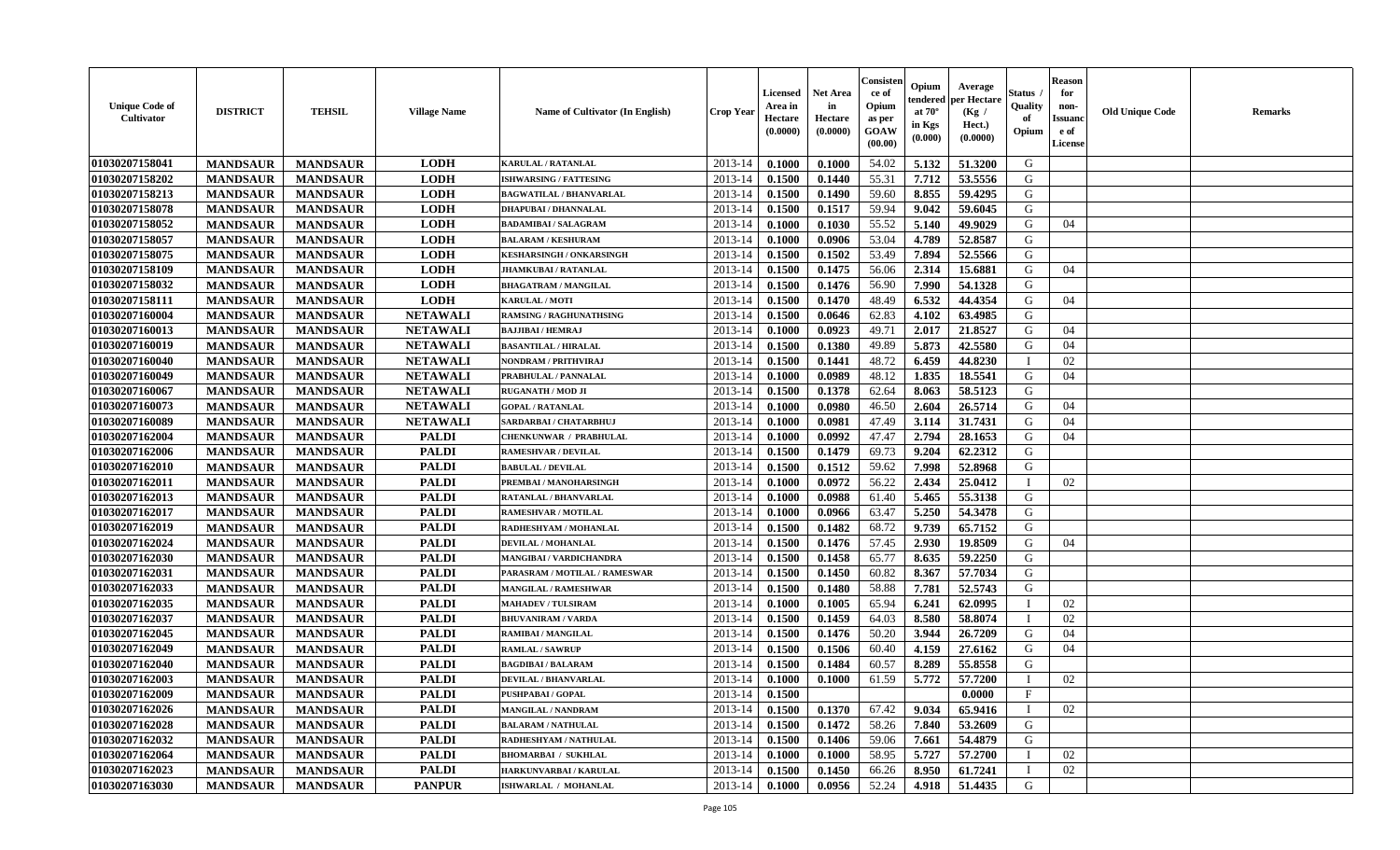| <b>Unique Code of</b><br><b>Cultivator</b> | <b>DISTRICT</b> | <b>TEHSIL</b>   | <b>Village Name</b> | Name of Cultivator (In English) | <b>Crop Year</b> | <b>Licensed</b><br>Area in<br>Hectare<br>(0.0000) | <b>Net Area</b><br>in<br>Hectare<br>(0.0000) | Consister<br>ce of<br>Opium<br>as per<br><b>GOAW</b><br>(00.00) | Opium<br>endered<br>at $70^{\circ}$<br>in Kgs<br>$(\mathbf{0.000})$ | Average<br>per Hectare<br>(Kg)<br>Hect.)<br>(0.0000) | Status<br>Quality<br>of<br>Opium | <b>Reason</b><br>for<br>non-<br><b>Issuano</b><br>e of<br>License | <b>Old Unique Code</b> | <b>Remarks</b> |
|--------------------------------------------|-----------------|-----------------|---------------------|---------------------------------|------------------|---------------------------------------------------|----------------------------------------------|-----------------------------------------------------------------|---------------------------------------------------------------------|------------------------------------------------------|----------------------------------|-------------------------------------------------------------------|------------------------|----------------|
| 01030207158041                             | <b>MANDSAUR</b> | <b>MANDSAUR</b> | <b>LODH</b>         | <b>KARULAL / RATANLAL</b>       | 2013-14          | 0.1000                                            | 0.1000                                       | 54.02                                                           | 5.132                                                               | 51.3200                                              | G                                |                                                                   |                        |                |
| 01030207158202                             | <b>MANDSAUR</b> | <b>MANDSAUR</b> | <b>LODH</b>         | <b>ISHWARSING / FATTESING</b>   | 2013-14          | 0.1500                                            | 0.1440                                       | 55.31                                                           | 7.712                                                               | 53.5556                                              | G                                |                                                                   |                        |                |
| 01030207158213                             | <b>MANDSAUR</b> | <b>MANDSAUR</b> | <b>LODH</b>         | <b>BAGWATILAL / BHANVARLAL</b>  | 2013-14          | 0.1500                                            | 0.1490                                       | 59.60                                                           | 8.855                                                               | 59.4295                                              | G                                |                                                                   |                        |                |
| 01030207158078                             | <b>MANDSAUR</b> | <b>MANDSAUR</b> | <b>LODH</b>         | <b>DHAPUBAI / DHANNALAL</b>     | 2013-14          | 0.1500                                            | 0.1517                                       | 59.94                                                           | 9.042                                                               | 59.6045                                              | G                                |                                                                   |                        |                |
| 01030207158052                             | <b>MANDSAUR</b> | <b>MANDSAUR</b> | <b>LODH</b>         | <b>BADAMIBAI / SALAGRAM</b>     | 2013-14          | 0.1000                                            | 0.1030                                       | 55.52                                                           | 5.140                                                               | 49.9029                                              | G                                | 04                                                                |                        |                |
| 01030207158057                             | <b>MANDSAUR</b> | <b>MANDSAUR</b> | <b>LODH</b>         | <b>BALARAM / KESHURAM</b>       | 2013-14          | 0.1000                                            | 0.0906                                       | 53.04                                                           | 4.789                                                               | 52.8587                                              | G                                |                                                                   |                        |                |
| 01030207158075                             | <b>MANDSAUR</b> | <b>MANDSAUR</b> | <b>LODH</b>         | <b>KESHARSINGH / ONKARSINGH</b> | 2013-14          | 0.1500                                            | 0.1502                                       | 53.49                                                           | 7.894                                                               | 52.5566                                              | G                                |                                                                   |                        |                |
| 01030207158109                             | <b>MANDSAUR</b> | <b>MANDSAUR</b> | <b>LODH</b>         | <b>JHAMKUBAI / RATANLAL</b>     | 2013-14          | 0.1500                                            | 0.1475                                       | 56.06                                                           | 2.314                                                               | 15.6881                                              | G                                | 04                                                                |                        |                |
| 01030207158032                             | <b>MANDSAUR</b> | <b>MANDSAUR</b> | <b>LODH</b>         | <b>BHAGATRAM / MANGILAL</b>     | 2013-14          | 0.1500                                            | 0.1476                                       | 56.90                                                           | 7.990                                                               | 54.1328                                              | G                                |                                                                   |                        |                |
| 01030207158111                             | <b>MANDSAUR</b> | <b>MANDSAUR</b> | <b>LODH</b>         | <b>KARULAL / MOTI</b>           | 2013-14          | 0.1500                                            | 0.1470                                       | 48.49                                                           | 6.532                                                               | 44.4354                                              | G                                | 04                                                                |                        |                |
| 01030207160004                             | <b>MANDSAUR</b> | <b>MANDSAUR</b> | <b>NETAWALI</b>     | <b>RAMSING / RAGHUNATHSING</b>  | 2013-14          | 0.1500                                            | 0.0646                                       | 62.83                                                           | 4.102                                                               | 63.4985                                              | G                                |                                                                   |                        |                |
| 01030207160013                             | <b>MANDSAUR</b> | <b>MANDSAUR</b> | <b>NETAWALI</b>     | <b>BAJJIBAI / HEMRAJ</b>        | 2013-14          | 0.1000                                            | 0.0923                                       | 49.71                                                           | 2.017                                                               | 21.8527                                              | G                                | 04                                                                |                        |                |
| 01030207160019                             | <b>MANDSAUR</b> | <b>MANDSAUR</b> | <b>NETAWALI</b>     | <b>BASANTILAL / HIRALAL</b>     | 2013-14          | 0.1500                                            | 0.1380                                       | 49.89                                                           | 5.873                                                               | 42.5580                                              | G                                | 04                                                                |                        |                |
| 01030207160040                             | <b>MANDSAUR</b> | <b>MANDSAUR</b> | <b>NETAWALI</b>     | <b>NONDRAM / PRITHVIRAJ</b>     | 2013-14          | 0.1500                                            | 0.1441                                       | 48.72                                                           | 6.459                                                               | 44.8230                                              | - 1                              | 02                                                                |                        |                |
| 01030207160049                             | <b>MANDSAUR</b> | <b>MANDSAUR</b> | <b>NETAWALI</b>     | PRABHULAL / PANNALAL            | 2013-14          | 0.1000                                            | 0.0989                                       | 48.12                                                           | 1.835                                                               | 18.5541                                              | G                                | 04                                                                |                        |                |
| 01030207160067                             | <b>MANDSAUR</b> | <b>MANDSAUR</b> | <b>NETAWALI</b>     | <b>RUGANATH / MOD JI</b>        | 2013-14          | 0.1500                                            | 0.1378                                       | 62.64                                                           | 8.063                                                               | 58.5123                                              | G                                |                                                                   |                        |                |
| 01030207160073                             | <b>MANDSAUR</b> | <b>MANDSAUR</b> | <b>NETAWALI</b>     | <b>GOPAL / RATANLAL</b>         | 2013-14          | 0.1000                                            | 0.0980                                       | 46.50                                                           | 2.604                                                               | 26.5714                                              | G                                | 04                                                                |                        |                |
| 01030207160089                             | <b>MANDSAUR</b> | <b>MANDSAUR</b> | <b>NETAWALI</b>     | SARDARBAI / CHATARBHUJ          | 2013-14          | 0.1000                                            | 0.0981                                       | 47.49                                                           | 3.114                                                               | 31.7431                                              | G                                | 04                                                                |                        |                |
| 01030207162004                             | <b>MANDSAUR</b> | <b>MANDSAUR</b> | <b>PALDI</b>        | <b>CHENKUNWAR / PRABHULAL</b>   | 2013-14          | 0.1000                                            | 0.0992                                       | 47.47                                                           | 2.794                                                               | 28.1653                                              | G                                | 04                                                                |                        |                |
| 01030207162006                             | <b>MANDSAUR</b> | <b>MANDSAUR</b> | <b>PALDI</b>        | <b>RAMESHVAR / DEVILAL</b>      | 2013-14          | 0.1500                                            | 0.1479                                       | 69.73                                                           | 9.204                                                               | 62.2312                                              | G                                |                                                                   |                        |                |
| 01030207162010                             | <b>MANDSAUR</b> | <b>MANDSAUR</b> | <b>PALDI</b>        | <b>BABULAL / DEVILAL</b>        | 2013-14          | 0.1500                                            | 0.1512                                       | 59.62                                                           | 7.998                                                               | 52.8968                                              | G                                |                                                                   |                        |                |
| 01030207162011                             | <b>MANDSAUR</b> | <b>MANDSAUR</b> | <b>PALDI</b>        | PREMBAI / MANOHARSINGH          | 2013-14          | 0.1000                                            | 0.0972                                       | 56.22                                                           | 2.434                                                               | 25.0412                                              | $\blacksquare$                   | 02                                                                |                        |                |
| 01030207162013                             | <b>MANDSAUR</b> | <b>MANDSAUR</b> | <b>PALDI</b>        | <b>RATANLAL / BHANVARLAL</b>    | 2013-14          | 0.1000                                            | 0.0988                                       | 61.40                                                           | 5.465                                                               | 55.3138                                              | G                                |                                                                   |                        |                |
| 01030207162017                             | <b>MANDSAUR</b> | <b>MANDSAUR</b> | <b>PALDI</b>        | <b>RAMESHVAR / MOTILAL</b>      | 2013-14          | 0.1000                                            | 0.0966                                       | 63.47                                                           | 5.250                                                               | 54.3478                                              | G                                |                                                                   |                        |                |
| 01030207162019                             | <b>MANDSAUR</b> | <b>MANDSAUR</b> | <b>PALDI</b>        | RADHESHYAM / MOHANLAL           | 2013-14          | 0.1500                                            | 0.1482                                       | 68.72                                                           | 9.739                                                               | 65.7152                                              | G                                |                                                                   |                        |                |
| 01030207162024                             | <b>MANDSAUR</b> | <b>MANDSAUR</b> | <b>PALDI</b>        | <b>DEVILAL / MOHANLAL</b>       | 2013-14          | 0.1500                                            | 0.1476                                       | 57.45                                                           | 2.930                                                               | 19.8509                                              | G                                | 04                                                                |                        |                |
| 01030207162030                             | <b>MANDSAUR</b> | <b>MANDSAUR</b> | <b>PALDI</b>        | MANGIBAI / VARDICHANDRA         | 2013-14          | 0.1500                                            | 0.1458                                       | 65.77                                                           | 8.635                                                               | 59.2250                                              | G                                |                                                                   |                        |                |
| 01030207162031                             | <b>MANDSAUR</b> | <b>MANDSAUR</b> | <b>PALDI</b>        | PARASRAM / MOTILAL / RAMESWAR   | 2013-14          | 0.1500                                            | 0.1450                                       | 60.82                                                           | 8.367                                                               | 57.7034                                              | G                                |                                                                   |                        |                |
| 01030207162033                             | <b>MANDSAUR</b> | <b>MANDSAUR</b> | <b>PALDI</b>        | <b>MANGILAL / RAMESHWAR</b>     | 2013-14          | 0.1500                                            | 0.1480                                       | 58.88                                                           | 7.781                                                               | 52.5743                                              | G                                |                                                                   |                        |                |
| 01030207162035                             | <b>MANDSAUR</b> | <b>MANDSAUR</b> | <b>PALDI</b>        | <b>MAHADEV / TULSIRAM</b>       | 2013-14          | 0.1000                                            | 0.1005                                       | 65.94                                                           | 6.241                                                               | 62.0995                                              | П                                | 02                                                                |                        |                |
| 01030207162037                             | <b>MANDSAUR</b> | <b>MANDSAUR</b> | <b>PALDI</b>        | <b>BHUVANIRAM / VARDA</b>       | 2013-14          | 0.1500                                            | 0.1459                                       | 64.03                                                           | 8.580                                                               | 58.8074                                              |                                  | 02                                                                |                        |                |
| 01030207162045                             | <b>MANDSAUR</b> | <b>MANDSAUR</b> | <b>PALDI</b>        | RAMIBAI / MANGILAL              | 2013-14          | 0.1500                                            | 0.1476                                       | 50.20                                                           | 3.944                                                               | 26.7209                                              | G                                | 04                                                                |                        |                |
| 01030207162049                             | <b>MANDSAUR</b> | <b>MANDSAUR</b> | <b>PALDI</b>        | <b>RAMLAL / SAWRUP</b>          | 2013-14          | 0.1500                                            | 0.1506                                       | 60.40                                                           | 4.159                                                               | 27.6162                                              | G                                | 04                                                                |                        |                |
| 01030207162040                             | <b>MANDSAUR</b> | <b>MANDSAUR</b> | <b>PALDI</b>        | <b>BAGDIBAI / BALARAM</b>       | 2013-14          | 0.1500                                            | 0.1484                                       | 60.57                                                           | 8.289                                                               | 55.8558                                              | G                                |                                                                   |                        |                |
| 01030207162003                             | <b>MANDSAUR</b> | <b>MANDSAUR</b> | <b>PALDI</b>        | <b>DEVILAL / BHANVARLAL</b>     | 2013-14          | 0.1000                                            | 0.1000                                       | 61.59                                                           | 5.772                                                               | 57.7200                                              |                                  | 02                                                                |                        |                |
| 01030207162009                             | <b>MANDSAUR</b> | <b>MANDSAUR</b> | <b>PALDI</b>        | PUSHPABAI / GOPAL               | $2013-14$ 0.1500 |                                                   |                                              |                                                                 |                                                                     | 0.0000                                               | $\mathbf{F}$                     |                                                                   |                        |                |
| 01030207162026                             | <b>MANDSAUR</b> | <b>MANDSAUR</b> | <b>PALDI</b>        | <b>MANGILAL / NANDRAM</b>       | 2013-14          | 0.1500                                            | 0.1370                                       | 67.42                                                           | 9.034                                                               | 65.9416                                              | $\mathbf I$                      | 02                                                                |                        |                |
| 01030207162028                             | <b>MANDSAUR</b> | <b>MANDSAUR</b> | <b>PALDI</b>        | <b>BALARAM / NATHULAL</b>       | 2013-14          | 0.1500                                            | 0.1472                                       | 58.26                                                           | 7.840                                                               | 53.2609                                              | G                                |                                                                   |                        |                |
| 01030207162032                             | <b>MANDSAUR</b> | <b>MANDSAUR</b> | <b>PALDI</b>        | RADHESHYAM / NATHULAL           | 2013-14          | 0.1500                                            | 0.1406                                       | 59.06                                                           | 7.661                                                               | 54.4879                                              | G                                |                                                                   |                        |                |
| 01030207162064                             | <b>MANDSAUR</b> | <b>MANDSAUR</b> | <b>PALDI</b>        | <b>BHOMARBAI / SUKHLAL</b>      | 2013-14          | 0.1000                                            | 0.1000                                       | 58.95                                                           | 5.727                                                               | 57.2700                                              |                                  | 02                                                                |                        |                |
| 01030207162023                             | <b>MANDSAUR</b> | <b>MANDSAUR</b> | <b>PALDI</b>        | HARKUNVARBAI / KARULAL          | 2013-14          | 0.1500                                            | 0.1450                                       | 66.26                                                           | 8.950                                                               | 61.7241                                              | T                                | 02                                                                |                        |                |
| 01030207163030                             | <b>MANDSAUR</b> | <b>MANDSAUR</b> | <b>PANPUR</b>       | ISHWARLAL / MOHANLAL            | 2013-14          | $\boldsymbol{0.1000}$                             | 0.0956                                       | 52.24                                                           | 4.918                                                               | 51.4435                                              | G                                |                                                                   |                        |                |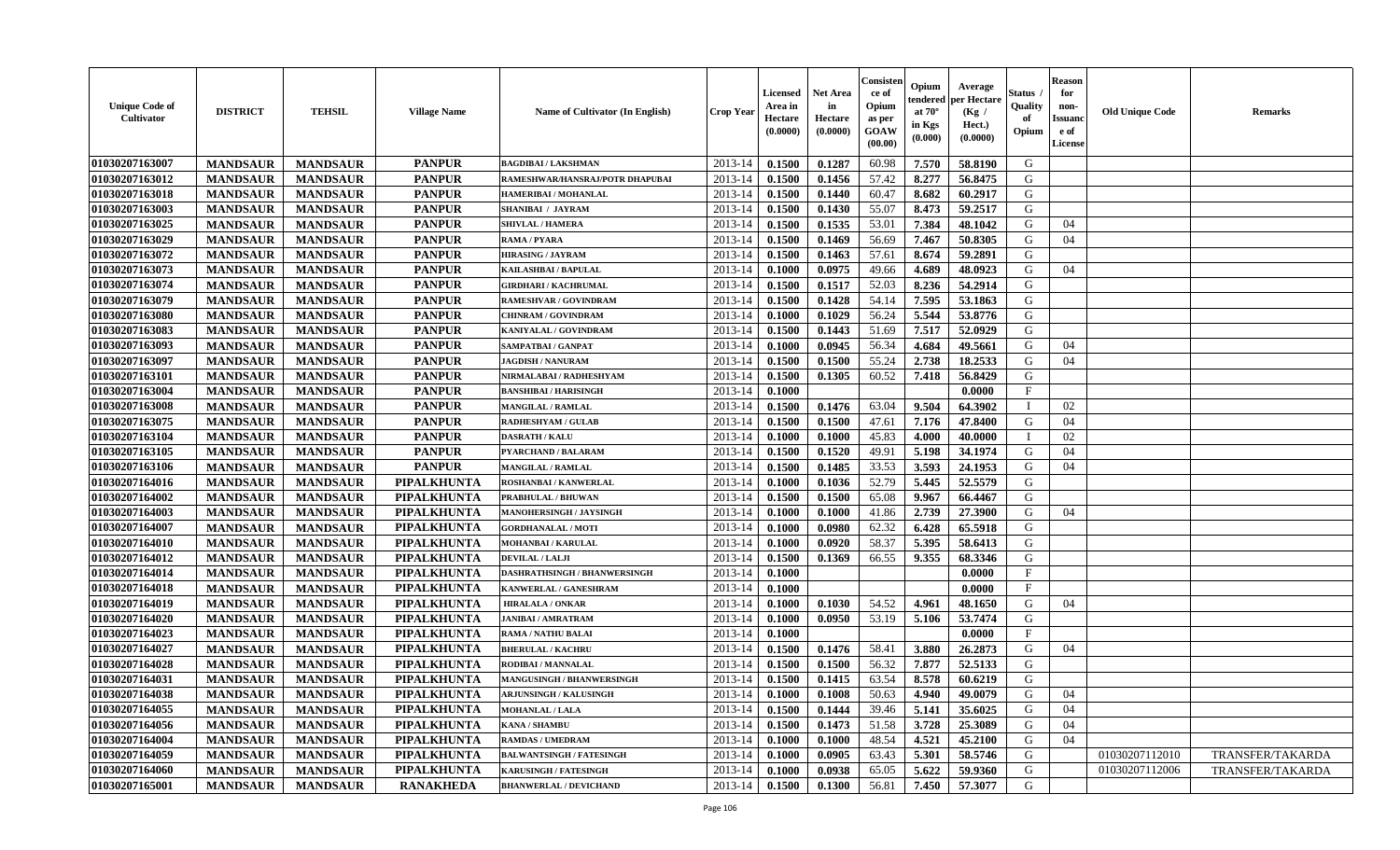| <b>Unique Code of</b><br>Cultivator | <b>DISTRICT</b> | <b>TEHSIL</b>   | <b>Village Name</b> | <b>Name of Cultivator (In English)</b> | <b>Crop Year</b> | Licensed<br>Area in<br>Hectare<br>(0.0000) | Net Area<br>in<br>Hectare<br>(0.0000) | Consister<br>ce of<br>Opium<br>as per<br><b>GOAW</b><br>(00.00) | Opium<br>endered<br>at $70^\circ$<br>in Kgs<br>$(\mathbf{0.000})$ | Average<br>per Hectare<br>(Kg /<br>Hect.)<br>(0.0000) | Status<br>Quality<br>of<br>Opium | <b>Reason</b><br>for<br>non-<br><b>Issuano</b><br>e of<br>License | <b>Old Unique Code</b> | <b>Remarks</b>   |
|-------------------------------------|-----------------|-----------------|---------------------|----------------------------------------|------------------|--------------------------------------------|---------------------------------------|-----------------------------------------------------------------|-------------------------------------------------------------------|-------------------------------------------------------|----------------------------------|-------------------------------------------------------------------|------------------------|------------------|
| 01030207163007                      | <b>MANDSAUR</b> | <b>MANDSAUR</b> | <b>PANPUR</b>       | <b>BAGDIBAI/LAKSHMAN</b>               | 2013-14          | 0.1500                                     | 0.1287                                | 60.98                                                           | 7.570                                                             | 58.8190                                               | G                                |                                                                   |                        |                  |
| 01030207163012                      | <b>MANDSAUR</b> | <b>MANDSAUR</b> | <b>PANPUR</b>       | RAMESHWAR/HANSRAJ/POTR DHAPUBAI        | $2013 - 14$      | 0.1500                                     | 0.1456                                | 57.42                                                           | 8.277                                                             | 56.8475                                               | G                                |                                                                   |                        |                  |
| 01030207163018                      | <b>MANDSAUR</b> | <b>MANDSAUR</b> | <b>PANPUR</b>       | HAMERIBAI / MOHANLAL                   | $2013 - 14$      | 0.1500                                     | 0.1440                                | 60.47                                                           | 8.682                                                             | 60.2917                                               | G                                |                                                                   |                        |                  |
| 01030207163003                      | <b>MANDSAUR</b> | <b>MANDSAUR</b> | <b>PANPUR</b>       | <b>SHANIBAI / JAYRAM</b>               | 2013-14          | 0.1500                                     | 0.1430                                | 55.07                                                           | 8.473                                                             | 59.2517                                               | G                                |                                                                   |                        |                  |
| 01030207163025                      | <b>MANDSAUR</b> | <b>MANDSAUR</b> | <b>PANPUR</b>       | <b>SHIVLAL / HAMERA</b>                | 2013-14          | 0.1500                                     | 0.1535                                | 53.01                                                           | 7.384                                                             | 48.1042                                               | G                                | 04                                                                |                        |                  |
| 01030207163029                      | <b>MANDSAUR</b> | <b>MANDSAUR</b> | <b>PANPUR</b>       | <b>RAMA / PYARA</b>                    | 2013-14          | 0.1500                                     | 0.1469                                | 56.69                                                           | 7.467                                                             | 50.8305                                               | G                                | 04                                                                |                        |                  |
| 01030207163072                      | <b>MANDSAUR</b> | <b>MANDSAUR</b> | <b>PANPUR</b>       | <b>HIRASING / JAYRAM</b>               | 2013-14          | 0.1500                                     | 0.1463                                | 57.61                                                           | 8.674                                                             | 59.2891                                               | G                                |                                                                   |                        |                  |
| 01030207163073                      | <b>MANDSAUR</b> | <b>MANDSAUR</b> | <b>PANPUR</b>       | <b>KAILASHBAI/BAPULAL</b>              | $2013 - 14$      | 0.1000                                     | 0.0975                                | 49.66                                                           | 4.689                                                             | 48.0923                                               | G                                | 04                                                                |                        |                  |
| 01030207163074                      | <b>MANDSAUR</b> | <b>MANDSAUR</b> | <b>PANPUR</b>       | <b>GIRDHARI / KACHRUMAL</b>            | 2013-14          | 0.1500                                     | 0.1517                                | 52.03                                                           | 8.236                                                             | 54.2914                                               | G                                |                                                                   |                        |                  |
| 01030207163079                      | <b>MANDSAUR</b> | <b>MANDSAUR</b> | <b>PANPUR</b>       | RAMESHVAR / GOVINDRAM                  | 2013-14          | 0.1500                                     | 0.1428                                | 54.14                                                           | 7.595                                                             | 53.1863                                               | G                                |                                                                   |                        |                  |
| 01030207163080                      | <b>MANDSAUR</b> | <b>MANDSAUR</b> | <b>PANPUR</b>       | <b>CHINRAM / GOVINDRAM</b>             | 2013-14          | 0.1000                                     | 0.1029                                | 56.24                                                           | 5.544                                                             | 53.8776                                               | G                                |                                                                   |                        |                  |
| 01030207163083                      | <b>MANDSAUR</b> | <b>MANDSAUR</b> | <b>PANPUR</b>       | KANIYALAL / GOVINDRAM                  | 2013-14          | 0.1500                                     | 0.1443                                | 51.69                                                           | 7.517                                                             | 52.0929                                               | G                                |                                                                   |                        |                  |
| 01030207163093                      | <b>MANDSAUR</b> | <b>MANDSAUR</b> | <b>PANPUR</b>       | <b>SAMPATBAI / GANPAT</b>              | 2013-14          | 0.1000                                     | 0.0945                                | 56.34                                                           | 4.684                                                             | 49.5661                                               | G                                | 04                                                                |                        |                  |
| 01030207163097                      | <b>MANDSAUR</b> | <b>MANDSAUR</b> | <b>PANPUR</b>       | <b>JAGDISH / NANURAM</b>               | 2013-14          | 0.1500                                     | 0.1500                                | 55.24                                                           | 2.738                                                             | 18.2533                                               | G                                | 04                                                                |                        |                  |
| 01030207163101                      | <b>MANDSAUR</b> | <b>MANDSAUR</b> | <b>PANPUR</b>       | NIRMALABAI / RADHESHYAM                | 2013-14          | 0.1500                                     | 0.1305                                | 60.52                                                           | 7.418                                                             | 56.8429                                               | G                                |                                                                   |                        |                  |
| 01030207163004                      | <b>MANDSAUR</b> | <b>MANDSAUR</b> | <b>PANPUR</b>       | <b>BANSHIBAI / HARISINGH</b>           | 2013-14          | 0.1000                                     |                                       |                                                                 |                                                                   | 0.0000                                                | F                                |                                                                   |                        |                  |
| 01030207163008                      | <b>MANDSAUR</b> | <b>MANDSAUR</b> | <b>PANPUR</b>       | <b>MANGILAL / RAMLAL</b>               | 2013-14          | 0.1500                                     | 0.1476                                | 63.04                                                           | 9.504                                                             | 64.3902                                               | $\blacksquare$                   | 02                                                                |                        |                  |
| 01030207163075                      | <b>MANDSAUR</b> | <b>MANDSAUR</b> | <b>PANPUR</b>       | <b>RADHESHYAM / GULAB</b>              | 2013-14          | 0.1500                                     | 0.1500                                | 47.61                                                           | 7.176                                                             | 47.8400                                               | G                                | 04                                                                |                        |                  |
| 01030207163104                      | <b>MANDSAUR</b> | <b>MANDSAUR</b> | <b>PANPUR</b>       | <b>DASRATH / KALU</b>                  | $2013 - 14$      | 0.1000                                     | 0.1000                                | 45.83                                                           | 4.000                                                             | 40.0000                                               |                                  | 02                                                                |                        |                  |
| 01030207163105                      | <b>MANDSAUR</b> | <b>MANDSAUR</b> | <b>PANPUR</b>       | PYARCHAND / BALARAM                    | 2013-14          | 0.1500                                     | 0.1520                                | 49.91                                                           | 5.198                                                             | 34.1974                                               | G                                | 04                                                                |                        |                  |
| 01030207163106                      | <b>MANDSAUR</b> | <b>MANDSAUR</b> | <b>PANPUR</b>       | <b>MANGILAL / RAMLAL</b>               | 2013-14          | 0.1500                                     | 0.1485                                | 33.53                                                           | 3.593                                                             | 24.1953                                               | G                                | 04                                                                |                        |                  |
| 01030207164016                      | <b>MANDSAUR</b> | <b>MANDSAUR</b> | PIPALKHUNTA         | <b>ROSHANBAI / KANWERLAL</b>           | 2013-14          | 0.1000                                     | 0.1036                                | 52.79                                                           | 5.445                                                             | 52.5579                                               | G                                |                                                                   |                        |                  |
| 01030207164002                      | <b>MANDSAUR</b> | <b>MANDSAUR</b> | PIPALKHUNTA         | PRABHULAL / BHUWAN                     | 2013-14          | 0.1500                                     | 0.1500                                | 65.08                                                           | 9.967                                                             | 66.4467                                               | G                                |                                                                   |                        |                  |
| 01030207164003                      | <b>MANDSAUR</b> | <b>MANDSAUR</b> | PIPALKHUNTA         | <b>MANOHERSINGH / JAYSINGH</b>         | 2013-14          | 0.1000                                     | 0.1000                                | 41.86                                                           | 2.739                                                             | 27.3900                                               | G                                | 04                                                                |                        |                  |
| 01030207164007                      | <b>MANDSAUR</b> | <b>MANDSAUR</b> | <b>PIPALKHUNTA</b>  | <b>GORDHANALAL / MOTI</b>              | 2013-14          | 0.1000                                     | 0.0980                                | 62.32                                                           | 6.428                                                             | 65.5918                                               | G                                |                                                                   |                        |                  |
| 01030207164010                      | <b>MANDSAUR</b> | <b>MANDSAUR</b> | <b>PIPALKHUNTA</b>  | <b>MOHANBAI/KARULAL</b>                | 2013-14          | 0.1000                                     | 0.0920                                | 58.37                                                           | 5.395                                                             | 58.6413                                               | G                                |                                                                   |                        |                  |
| 01030207164012                      | <b>MANDSAUR</b> | <b>MANDSAUR</b> | PIPALKHUNTA         | DEVILAL / LALJI                        | 2013-14          | 0.1500                                     | 0.1369                                | 66.55                                                           | 9.355                                                             | 68.3346                                               | G                                |                                                                   |                        |                  |
| 01030207164014                      | <b>MANDSAUR</b> | <b>MANDSAUR</b> | PIPALKHUNTA         | DASHRATHSINGH / BHANWERSINGH           | $2013 - 14$      | 0.1000                                     |                                       |                                                                 |                                                                   | 0.0000                                                | $\mathbf{F}$                     |                                                                   |                        |                  |
| 01030207164018                      | <b>MANDSAUR</b> | <b>MANDSAUR</b> | PIPALKHUNTA         | KANWERLAL / GANESHRAM                  | 2013-14          | 0.1000                                     |                                       |                                                                 |                                                                   | 0.0000                                                | $\mathbf{F}$                     |                                                                   |                        |                  |
| 01030207164019                      | <b>MANDSAUR</b> | <b>MANDSAUR</b> | PIPALKHUNTA         | <b>HIRALALA / ONKAR</b>                | 2013-14          | 0.1000                                     | 0.1030                                | 54.52                                                           | 4.961                                                             | 48.1650                                               | G                                | 04                                                                |                        |                  |
| 01030207164020                      | <b>MANDSAUR</b> | <b>MANDSAUR</b> | <b>PIPALKHUNTA</b>  | <b>JANIBAI / AMRATRAM</b>              | 2013-14          | 0.1000                                     | 0.0950                                | 53.19                                                           | 5.106                                                             | 53.7474                                               | G                                |                                                                   |                        |                  |
| 01030207164023                      | <b>MANDSAUR</b> | <b>MANDSAUR</b> | <b>PIPALKHUNTA</b>  | RAMA / NATHU BALAI                     | 2013-14          | 0.1000                                     |                                       |                                                                 |                                                                   | 0.0000                                                | $\mathbf{F}$                     |                                                                   |                        |                  |
| 01030207164027                      | <b>MANDSAUR</b> | <b>MANDSAUR</b> | PIPALKHUNTA         | <b>BHERULAL / KACHRU</b>               | 2013-14          | 0.1500                                     | 0.1476                                | 58.41                                                           | 3.880                                                             | 26.2873                                               | G                                | 04                                                                |                        |                  |
| 01030207164028                      | <b>MANDSAUR</b> | <b>MANDSAUR</b> | PIPALKHUNTA         | RODIBAI / MANNALAL                     | $2013 - 14$      | 0.1500                                     | 0.1500                                | 56.32                                                           | 7.877                                                             | 52.5133                                               | G                                |                                                                   |                        |                  |
| 01030207164031                      | <b>MANDSAUR</b> | <b>MANDSAUR</b> | PIPALKHUNTA         | <b>MANGUSINGH / BHANWERSINGH</b>       | 2013-14          | 0.1500                                     | 0.1415                                | 63.54                                                           | 8.578                                                             | 60.6219                                               | G                                |                                                                   |                        |                  |
| 01030207164038                      | <b>MANDSAUR</b> | <b>MANDSAUR</b> | PIPALKHUNTA         | <b>ARJUNSINGH / KALUSINGH</b>          | $2013-14$ 0.1000 |                                            | 0.1008                                | 50.63                                                           | 4.940                                                             | 49.0079                                               | G                                | 04                                                                |                        |                  |
| 01030207164055                      | <b>MANDSAUR</b> | <b>MANDSAUR</b> | PIPALKHUNTA         | <b>MOHANLAL / LALA</b>                 | 2013-14          | 0.1500                                     | 0.1444                                | 39.46                                                           | 5.141                                                             | 35.6025                                               | G                                | 04                                                                |                        |                  |
| 01030207164056                      | <b>MANDSAUR</b> | <b>MANDSAUR</b> | <b>PIPALKHUNTA</b>  | <b>KANA / SHAMBU</b>                   | 2013-14          | 0.1500                                     | 0.1473                                | 51.58                                                           | 3.728                                                             | 25.3089                                               | G                                | 04                                                                |                        |                  |
| 01030207164004                      | <b>MANDSAUR</b> | <b>MANDSAUR</b> | <b>PIPALKHUNTA</b>  | <b>RAMDAS / UMEDRAM</b>                | 2013-14          | 0.1000                                     | 0.1000                                | 48.54                                                           | 4.521                                                             | 45.2100                                               | G                                | 04                                                                |                        |                  |
| 01030207164059                      | <b>MANDSAUR</b> | <b>MANDSAUR</b> | <b>PIPALKHUNTA</b>  | <b>BALWANTSINGH / FATESINGH</b>        | 2013-14          | 0.1000                                     | 0.0905                                | 63.43                                                           | 5.301                                                             | 58.5746                                               | G                                |                                                                   | 01030207112010         | TRANSFER/TAKARDA |
| 01030207164060                      | <b>MANDSAUR</b> | <b>MANDSAUR</b> | <b>PIPALKHUNTA</b>  | <b>KARUSINGH / FATESINGH</b>           | 2013-14          | 0.1000                                     | 0.0938                                | 65.05                                                           | 5.622                                                             | 59.9360                                               | G                                |                                                                   | 01030207112006         | TRANSFER/TAKARDA |
| 01030207165001                      | <b>MANDSAUR</b> | <b>MANDSAUR</b> | <b>RANAKHEDA</b>    | <b>BHANWERLAL / DEVICHAND</b>          | 2013-14          | 0.1500                                     | 0.1300                                | 56.81                                                           | 7.450                                                             | 57.3077                                               | G                                |                                                                   |                        |                  |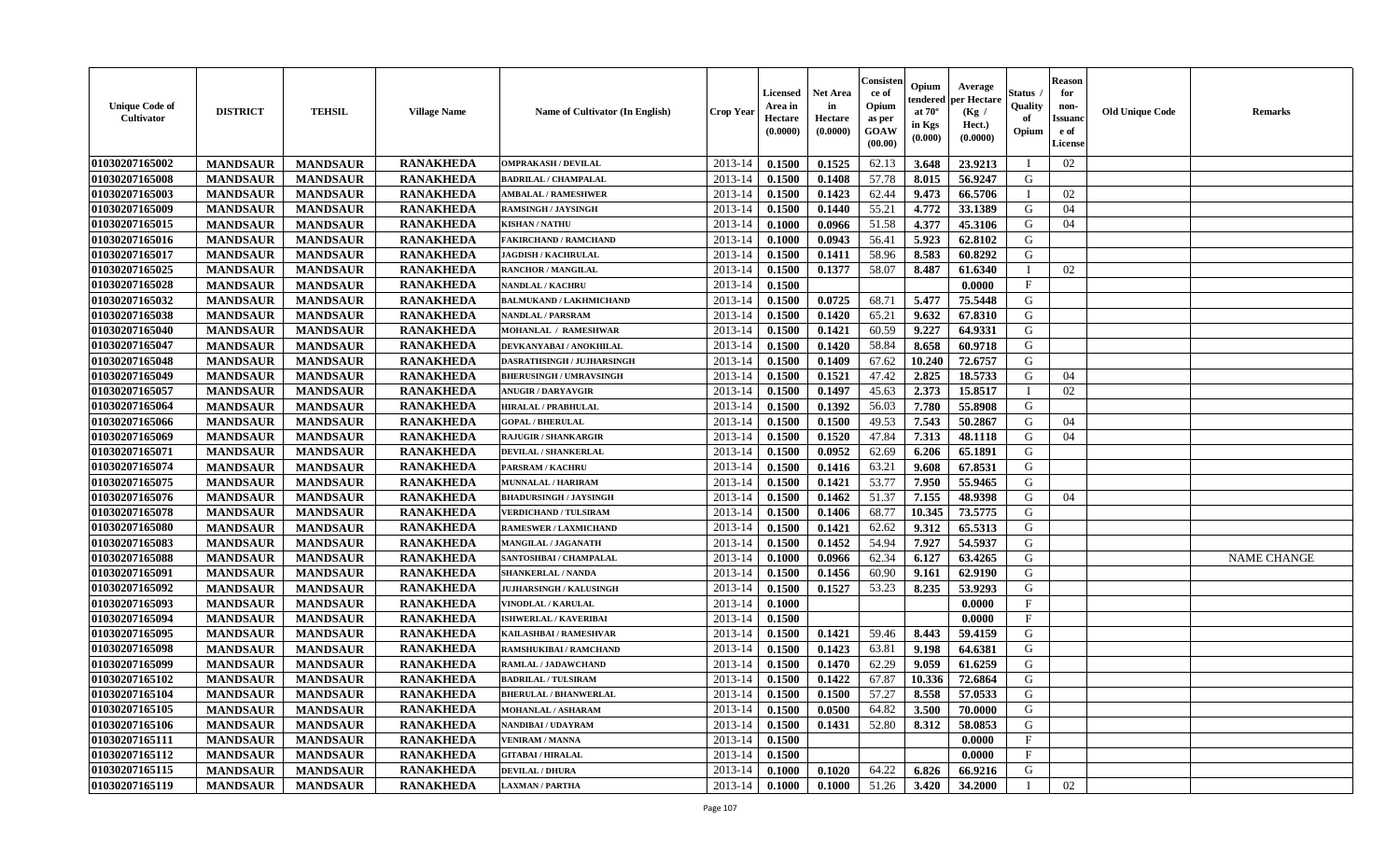| <b>Unique Code of</b><br>Cultivator | <b>DISTRICT</b> | <b>TEHSIL</b>   | <b>Village Name</b> | Name of Cultivator (In English) | <b>Crop Year</b> | Licensed<br>Area in<br>Hectare<br>(0.0000) | <b>Net Area</b><br>in<br>Hectare<br>(0.0000) | Consister<br>ce of<br>Opium<br>as per<br>GOAW<br>(00.00) | Opium<br>endered<br>at $70^\circ$<br>in Kgs<br>$(\mathbf{0.000})$ | Average<br>per Hectare<br>(Kg /<br>Hect.)<br>(0.0000) | <b>Status</b> .<br>Quality<br>of<br>Opium | <b>Reason</b><br>for<br>non-<br><b>Issuand</b><br>e of<br>License | <b>Old Unique Code</b> | <b>Remarks</b>     |
|-------------------------------------|-----------------|-----------------|---------------------|---------------------------------|------------------|--------------------------------------------|----------------------------------------------|----------------------------------------------------------|-------------------------------------------------------------------|-------------------------------------------------------|-------------------------------------------|-------------------------------------------------------------------|------------------------|--------------------|
| 01030207165002                      | <b>MANDSAUR</b> | <b>MANDSAUR</b> | <b>RANAKHEDA</b>    | <b>OMPRAKASH / DEVILAL</b>      | 2013-14          | 0.1500                                     | 0.1525                                       | 62.13                                                    | 3.648                                                             | 23.9213                                               | T                                         | 02                                                                |                        |                    |
| 01030207165008                      | <b>MANDSAUR</b> | <b>MANDSAUR</b> | <b>RANAKHEDA</b>    | <b>BADRILAL / CHAMPALAL</b>     | 2013-14          | 0.1500                                     | 0.1408                                       | 57.78                                                    | 8.015                                                             | 56.9247                                               | G                                         |                                                                   |                        |                    |
| 01030207165003                      | <b>MANDSAUR</b> | <b>MANDSAUR</b> | <b>RANAKHEDA</b>    | <b>AMBALAL / RAMESHWER</b>      | 2013-14          | 0.1500                                     | 0.1423                                       | 62.44                                                    | 9.473                                                             | 66.5706                                               | $\mathbf{I}$                              | 02                                                                |                        |                    |
| 01030207165009                      | <b>MANDSAUR</b> | <b>MANDSAUR</b> | <b>RANAKHEDA</b>    | <b>RAMSINGH / JAYSINGH</b>      | 2013-14          | 0.1500                                     | 0.1440                                       | 55.21                                                    | 4.772                                                             | 33.1389                                               | G                                         | 04                                                                |                        |                    |
| 01030207165015                      | <b>MANDSAUR</b> | <b>MANDSAUR</b> | <b>RANAKHEDA</b>    | <b>KISHAN / NATHU</b>           | 2013-14          | 0.1000                                     | 0.0966                                       | 51.58                                                    | 4.377                                                             | 45.3106                                               | G                                         | 04                                                                |                        |                    |
| 01030207165016                      | <b>MANDSAUR</b> | <b>MANDSAUR</b> | <b>RANAKHEDA</b>    | <b>FAKIRCHAND / RAMCHAND</b>    | 2013-14          | 0.1000                                     | 0.0943                                       | 56.41                                                    | 5.923                                                             | 62.8102                                               | G                                         |                                                                   |                        |                    |
| 01030207165017                      | <b>MANDSAUR</b> | <b>MANDSAUR</b> | <b>RANAKHEDA</b>    | <b>JAGDISH / KACHRULAL</b>      | 2013-14          | 0.1500                                     | 0.1411                                       | 58.96                                                    | 8.583                                                             | 60.8292                                               | G                                         |                                                                   |                        |                    |
| 01030207165025                      | <b>MANDSAUR</b> | <b>MANDSAUR</b> | <b>RANAKHEDA</b>    | <b>RANCHOR / MANGILAL</b>       | 2013-14          | 0.1500                                     | 0.1377                                       | 58.07                                                    | 8.487                                                             | 61.6340                                               | T                                         | 02                                                                |                        |                    |
| 01030207165028                      | <b>MANDSAUR</b> | <b>MANDSAUR</b> | <b>RANAKHEDA</b>    | <b>NANDLAL / KACHRU</b>         | 2013-14          | 0.1500                                     |                                              |                                                          |                                                                   | 0.0000                                                | $\mathbf{F}$                              |                                                                   |                        |                    |
| 01030207165032                      | <b>MANDSAUR</b> | <b>MANDSAUR</b> | <b>RANAKHEDA</b>    | <b>BALMUKAND / LAKHMICHAND</b>  | 2013-14          | 0.1500                                     | 0.0725                                       | 68.71                                                    | 5.477                                                             | 75.5448                                               | G                                         |                                                                   |                        |                    |
| 01030207165038                      | <b>MANDSAUR</b> | <b>MANDSAUR</b> | <b>RANAKHEDA</b>    | <b>NANDLAL / PARSRAM</b>        | 2013-14          | 0.1500                                     | 0.1420                                       | 65.21                                                    | 9.632                                                             | 67.8310                                               | G                                         |                                                                   |                        |                    |
| 01030207165040                      | <b>MANDSAUR</b> | <b>MANDSAUR</b> | <b>RANAKHEDA</b>    | MOHANLAL / RAMESHWAR            | 2013-14          | 0.1500                                     | 0.1421                                       | 60.59                                                    | 9.227                                                             | 64.9331                                               | G                                         |                                                                   |                        |                    |
| 01030207165047                      | <b>MANDSAUR</b> | <b>MANDSAUR</b> | <b>RANAKHEDA</b>    | DEVKANYABAI / ANOKHILAL         | 2013-14          | 0.1500                                     | 0.1420                                       | 58.84                                                    | 8.658                                                             | 60.9718                                               | G                                         |                                                                   |                        |                    |
| 01030207165048                      | <b>MANDSAUR</b> | <b>MANDSAUR</b> | <b>RANAKHEDA</b>    | DASRATHSINGH / JUJHARSINGH      | 2013-14          | 0.1500                                     | 0.1409                                       | 67.62                                                    | 10.240                                                            | 72.6757                                               | G                                         |                                                                   |                        |                    |
| 01030207165049                      | <b>MANDSAUR</b> | <b>MANDSAUR</b> | <b>RANAKHEDA</b>    | <b>BHERUSINGH / UMRAVSINGH</b>  | 2013-14          | 0.1500                                     | 0.1521                                       | 47.42                                                    | 2.825                                                             | 18.5733                                               | G                                         | 04                                                                |                        |                    |
| 01030207165057                      | <b>MANDSAUR</b> | <b>MANDSAUR</b> | <b>RANAKHEDA</b>    | <b>ANUGIR / DARYAVGIR</b>       | 2013-14          | 0.1500                                     | 0.1497                                       | 45.63                                                    | 2.373                                                             | 15.8517                                               | $\mathbf I$                               | 02                                                                |                        |                    |
| 01030207165064                      | <b>MANDSAUR</b> | <b>MANDSAUR</b> | <b>RANAKHEDA</b>    | HIRALAL / PRABHULAL             | 2013-14          | 0.1500                                     | 0.1392                                       | 56.03                                                    | 7.780                                                             | 55.8908                                               | G                                         |                                                                   |                        |                    |
| 01030207165066                      | <b>MANDSAUR</b> | <b>MANDSAUR</b> | <b>RANAKHEDA</b>    | <b>GOPAL / BHERULAL</b>         | 2013-14          | 0.1500                                     | 0.1500                                       | 49.53                                                    | 7.543                                                             | 50.2867                                               | G                                         | 04                                                                |                        |                    |
| 01030207165069                      | <b>MANDSAUR</b> | <b>MANDSAUR</b> | <b>RANAKHEDA</b>    | <b>RAJUGIR / SHANKARGIR</b>     | 2013-14          | 0.1500                                     | 0.1520                                       | 47.84                                                    | 7.313                                                             | 48.1118                                               | G                                         | 04                                                                |                        |                    |
| 01030207165071                      | <b>MANDSAUR</b> | <b>MANDSAUR</b> | <b>RANAKHEDA</b>    | <b>DEVILAL / SHANKERLAL</b>     | 2013-14          | 0.1500                                     | 0.0952                                       | 62.69                                                    | 6.206                                                             | 65.1891                                               | G                                         |                                                                   |                        |                    |
| 01030207165074                      | <b>MANDSAUR</b> | <b>MANDSAUR</b> | <b>RANAKHEDA</b>    | PARSRAM / KACHRU                | 2013-14          | 0.1500                                     | 0.1416                                       | 63.21                                                    | 9.608                                                             | 67.8531                                               | G                                         |                                                                   |                        |                    |
| 01030207165075                      | <b>MANDSAUR</b> | <b>MANDSAUR</b> | <b>RANAKHEDA</b>    | <b>MUNNALAL / HARIRAM</b>       | 2013-14          | 0.1500                                     | 0.1421                                       | 53.77                                                    | 7.950                                                             | 55.9465                                               | G                                         |                                                                   |                        |                    |
| 01030207165076                      | <b>MANDSAUR</b> | <b>MANDSAUR</b> | <b>RANAKHEDA</b>    | <b>BHADURSINGH / JAYSINGH</b>   | 2013-14          | 0.1500                                     | 0.1462                                       | 51.37                                                    | 7.155                                                             | 48.9398                                               | G                                         | 04                                                                |                        |                    |
| 01030207165078                      | <b>MANDSAUR</b> | <b>MANDSAUR</b> | <b>RANAKHEDA</b>    | <b>VERDICHAND / TULSIRAM</b>    | 2013-14          | 0.1500                                     | 0.1406                                       | 68.77                                                    | 10.345                                                            | 73.5775                                               | $\mathsf G$                               |                                                                   |                        |                    |
| 01030207165080                      | <b>MANDSAUR</b> | <b>MANDSAUR</b> | <b>RANAKHEDA</b>    | <b>RAMESWER / LAXMICHAND</b>    | 2013-14          | 0.1500                                     | 0.1421                                       | 62.62                                                    | 9.312                                                             | 65.5313                                               | G                                         |                                                                   |                        |                    |
| 01030207165083                      | <b>MANDSAUR</b> | <b>MANDSAUR</b> | <b>RANAKHEDA</b>    | MANGILAL / JAGANATH             | 2013-14          | 0.1500                                     | 0.1452                                       | 54.94                                                    | 7.927                                                             | 54.5937                                               | G                                         |                                                                   |                        |                    |
| 01030207165088                      | <b>MANDSAUR</b> | <b>MANDSAUR</b> | <b>RANAKHEDA</b>    | SANTOSHBAI / CHAMPALAL          | 2013-14          | 0.1000                                     | 0.0966                                       | 62.34                                                    | 6.127                                                             | 63.4265                                               | G                                         |                                                                   |                        | <b>NAME CHANGE</b> |
| 01030207165091                      | <b>MANDSAUR</b> | <b>MANDSAUR</b> | <b>RANAKHEDA</b>    | <b>SHANKERLAL / NANDA</b>       | 2013-14          | 0.1500                                     | 0.1456                                       | 60.90                                                    | 9.161                                                             | 62.9190                                               | G                                         |                                                                   |                        |                    |
| 01030207165092                      | <b>MANDSAUR</b> | <b>MANDSAUR</b> | <b>RANAKHEDA</b>    | <b>JUJHARSINGH / KALUSINGH</b>  | 2013-14          | 0.1500                                     | 0.1527                                       | 53.23                                                    | 8.235                                                             | 53.9293                                               | G                                         |                                                                   |                        |                    |
| 01030207165093                      | <b>MANDSAUR</b> | <b>MANDSAUR</b> | <b>RANAKHEDA</b>    | VINODLAL / KARULAL              | 2013-14          | 0.1000                                     |                                              |                                                          |                                                                   | 0.0000                                                | $_{\rm F}$                                |                                                                   |                        |                    |
| 01030207165094                      | <b>MANDSAUR</b> | <b>MANDSAUR</b> | <b>RANAKHEDA</b>    | <b>ISHWERLAL / KAVERIBAI</b>    | 2013-14          | 0.1500                                     |                                              |                                                          |                                                                   | 0.0000                                                | $\mathbf{F}$                              |                                                                   |                        |                    |
| 01030207165095                      | <b>MANDSAUR</b> | <b>MANDSAUR</b> | <b>RANAKHEDA</b>    | KAILASHBAI / RAMESHVAR          | 2013-14          | 0.1500                                     | 0.1421                                       | 59.46                                                    | 8.443                                                             | 59.4159                                               | G                                         |                                                                   |                        |                    |
| 01030207165098                      | <b>MANDSAUR</b> | <b>MANDSAUR</b> | <b>RANAKHEDA</b>    | <b>RAMSHUKIBAI / RAMCHAND</b>   | 2013-14          | 0.1500                                     | 0.1423                                       | 63.81                                                    | 9.198                                                             | 64.6381                                               | G                                         |                                                                   |                        |                    |
| 01030207165099                      | <b>MANDSAUR</b> | <b>MANDSAUR</b> | <b>RANAKHEDA</b>    | RAMLAL / JADAWCHAND             | 2013-14          | 0.1500                                     | 0.1470                                       | 62.29                                                    | 9.059                                                             | 61.6259                                               | G                                         |                                                                   |                        |                    |
| 01030207165102                      | <b>MANDSAUR</b> | <b>MANDSAUR</b> | <b>RANAKHEDA</b>    | <b>BADRILAL / TULSIRAM</b>      | 2013-14          | 0.1500                                     | 0.1422                                       | 67.87                                                    | 10.336                                                            | 72.6864                                               | ${\bf G}$                                 |                                                                   |                        |                    |
| 01030207165104                      | <b>MANDSAUR</b> | <b>MANDSAUR</b> | <b>RANAKHEDA</b>    | <b>BHERULAL / BHANWERLAL</b>    | 2013-14          | 0.1500                                     | 0.1500                                       | 57.27                                                    | 8.558                                                             | 57.0533                                               | G                                         |                                                                   |                        |                    |
| 01030207165105                      | <b>MANDSAUR</b> | <b>MANDSAUR</b> | <b>RANAKHEDA</b>    | <b>MOHANLAL / ASHARAM</b>       | 2013-14          | 0.1500                                     | 0.0500                                       | 64.82                                                    | 3.500                                                             | 70.0000                                               | G                                         |                                                                   |                        |                    |
| 01030207165106                      | <b>MANDSAUR</b> | <b>MANDSAUR</b> | <b>RANAKHEDA</b>    | NANDIBAI / UDAYRAM              | 2013-14          | 0.1500                                     | 0.1431                                       | 52.80                                                    | 8.312                                                             | 58.0853                                               | G                                         |                                                                   |                        |                    |
| 01030207165111                      | <b>MANDSAUR</b> | <b>MANDSAUR</b> | <b>RANAKHEDA</b>    | <b>VENIRAM / MANNA</b>          | 2013-14          | 0.1500                                     |                                              |                                                          |                                                                   | 0.0000                                                | $\mathbf{F}$                              |                                                                   |                        |                    |
| 01030207165112                      | <b>MANDSAUR</b> | <b>MANDSAUR</b> | <b>RANAKHEDA</b>    | <b>GITABAI/HIRALAL</b>          | 2013-14          | 0.1500                                     |                                              |                                                          |                                                                   | 0.0000                                                | F                                         |                                                                   |                        |                    |
| 01030207165115                      | <b>MANDSAUR</b> | <b>MANDSAUR</b> | <b>RANAKHEDA</b>    | <b>DEVILAL / DHURA</b>          | 2013-14          | 0.1000                                     | 0.1020                                       | 64.22                                                    | 6.826                                                             | 66.9216                                               | G                                         |                                                                   |                        |                    |
| 01030207165119                      | <b>MANDSAUR</b> | <b>MANDSAUR</b> | <b>RANAKHEDA</b>    | <b>LAXMAN / PARTHA</b>          | 2013-14          | 0.1000                                     | 0.1000                                       | 51.26                                                    | 3.420                                                             | 34.2000                                               |                                           | 02                                                                |                        |                    |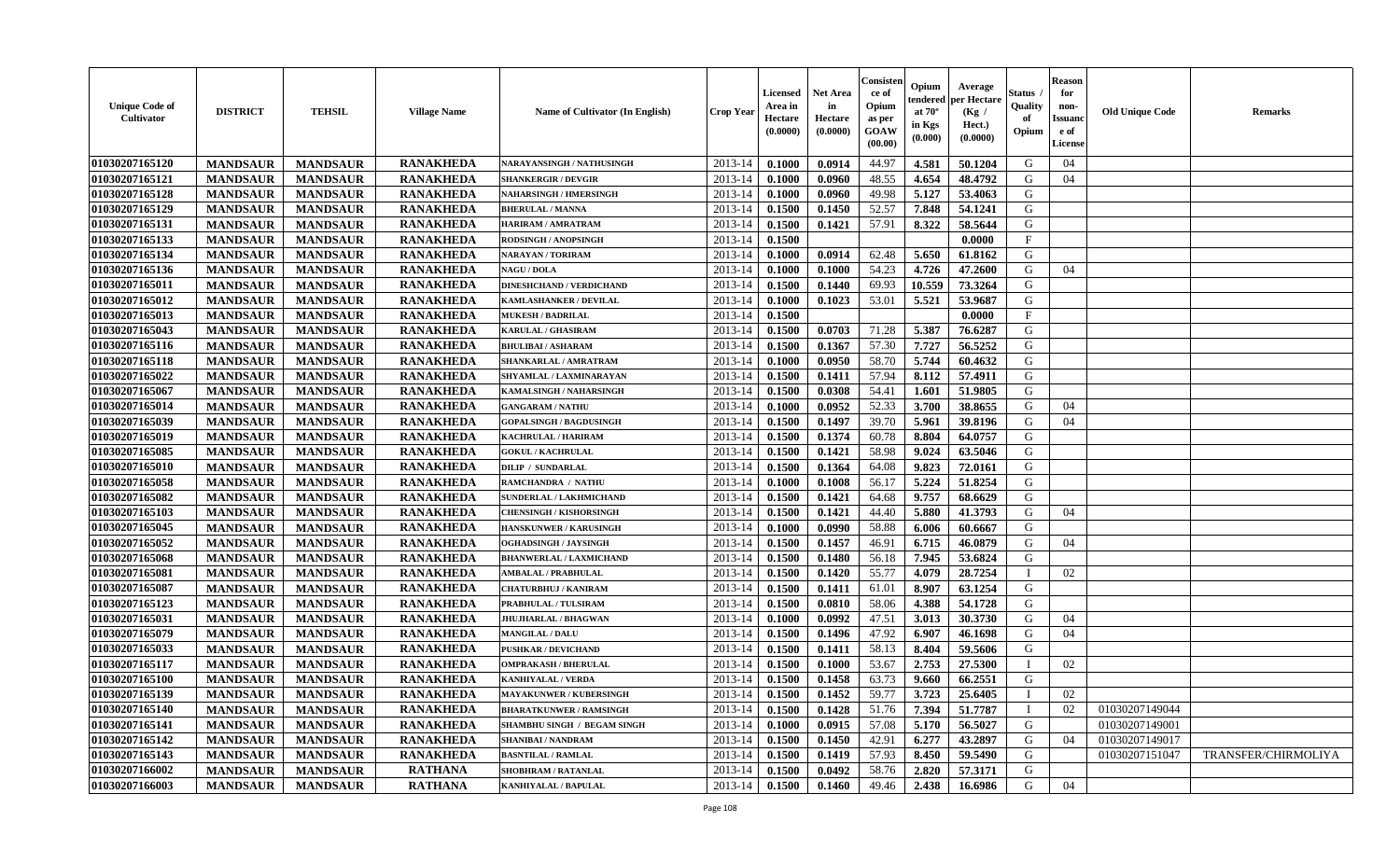| <b>Unique Code of</b><br><b>Cultivator</b> | <b>DISTRICT</b> | <b>TEHSIL</b>   | <b>Village Name</b> | Name of Cultivator (In English)    | <b>Crop Year</b> | Licensed<br>Area in<br>Hectare<br>(0.0000) | <b>Net Area</b><br>in<br>Hectare<br>(0.0000) | Consisteı<br>ce of<br>Opium<br>as per<br>GOAW<br>(00.00) | Opium<br>endered<br>at $70^\circ$<br>in Kgs<br>(0.000) | Average<br>per Hectare<br>(Kg /<br>Hect.)<br>(0.0000) | Status<br>Quality<br>of<br>Opium | <b>Reason</b><br>for<br>non-<br>Issuano<br>e of<br>License | <b>Old Unique Code</b> | Remarks                    |
|--------------------------------------------|-----------------|-----------------|---------------------|------------------------------------|------------------|--------------------------------------------|----------------------------------------------|----------------------------------------------------------|--------------------------------------------------------|-------------------------------------------------------|----------------------------------|------------------------------------------------------------|------------------------|----------------------------|
| 01030207165120                             | <b>MANDSAUR</b> | <b>MANDSAUR</b> | <b>RANAKHEDA</b>    | NARAYANSINGH / NATHUSINGH          | 2013-14          | 0.1000                                     | 0.0914                                       | 44.97                                                    | 4.581                                                  | 50.1204                                               | G                                | 04                                                         |                        |                            |
| 01030207165121                             | <b>MANDSAUR</b> | <b>MANDSAUR</b> | <b>RANAKHEDA</b>    | <b>SHANKERGIR / DEVGIR</b>         | 2013-14          | 0.1000                                     | 0.0960                                       | 48.55                                                    | 4.654                                                  | 48.4792                                               | G                                | 04                                                         |                        |                            |
| 01030207165128                             | <b>MANDSAUR</b> | <b>MANDSAUR</b> | <b>RANAKHEDA</b>    | <b>NAHARSINGH / HMERSINGH</b>      | 2013-14          | 0.1000                                     | 0.0960                                       | 49.98                                                    | 5.127                                                  | 53.4063                                               | G                                |                                                            |                        |                            |
| 01030207165129                             | <b>MANDSAUR</b> | <b>MANDSAUR</b> | <b>RANAKHEDA</b>    | <b>BHERULAL / MANNA</b>            | 2013-14          | 0.1500                                     | 0.1450                                       | 52.57                                                    | 7.848                                                  | 54.1241                                               | G                                |                                                            |                        |                            |
| 01030207165131                             | <b>MANDSAUR</b> | <b>MANDSAUR</b> | <b>RANAKHEDA</b>    | HARIRAM / AMRATRAM                 | 2013-14          | 0.1500                                     | 0.1421                                       | 57.91                                                    | 8.322                                                  | 58.5644                                               | G                                |                                                            |                        |                            |
| 01030207165133                             | <b>MANDSAUR</b> | <b>MANDSAUR</b> | <b>RANAKHEDA</b>    | RODSINGH / ANOPSINGH               | 2013-14          | 0.1500                                     |                                              |                                                          |                                                        | 0.0000                                                | $\mathbf{F}$                     |                                                            |                        |                            |
| 01030207165134                             | <b>MANDSAUR</b> | <b>MANDSAUR</b> | <b>RANAKHEDA</b>    | NARAYAN / TORIRAM                  | 2013-14          | 0.1000                                     | 0.0914                                       | 62.48                                                    | 5.650                                                  | 61.8162                                               | G                                |                                                            |                        |                            |
| 01030207165136                             | <b>MANDSAUR</b> | <b>MANDSAUR</b> | <b>RANAKHEDA</b>    | <b>NAGU / DOLA</b>                 | 2013-14          | 0.1000                                     | 0.1000                                       | 54.23                                                    | 4.726                                                  | 47.2600                                               | G                                | 04                                                         |                        |                            |
| 01030207165011                             | <b>MANDSAUR</b> | <b>MANDSAUR</b> | <b>RANAKHEDA</b>    | <b>DINESHCHAND / VERDICHAND</b>    | 2013-14          | 0.1500                                     | 0.1440                                       | 69.93                                                    | 10.559                                                 | 73.3264                                               | G                                |                                                            |                        |                            |
| 01030207165012                             | <b>MANDSAUR</b> | <b>MANDSAUR</b> | <b>RANAKHEDA</b>    | <b>KAMLASHANKER / DEVILAL</b>      | 2013-14          | 0.1000                                     | 0.1023                                       | 53.01                                                    | 5.521                                                  | 53.9687                                               | G                                |                                                            |                        |                            |
| 01030207165013                             | <b>MANDSAUR</b> | <b>MANDSAUR</b> | <b>RANAKHEDA</b>    | <b>MUKESH / BADRILAL</b>           | 2013-14          | 0.1500                                     |                                              |                                                          |                                                        | 0.0000                                                | F                                |                                                            |                        |                            |
| 01030207165043                             | <b>MANDSAUR</b> | <b>MANDSAUR</b> | <b>RANAKHEDA</b>    | <b>KARULAL / GHASIRAM</b>          | 2013-14          | 0.1500                                     | 0.0703                                       | 71.28                                                    | 5.387                                                  | 76.6287                                               | G                                |                                                            |                        |                            |
| 01030207165116                             | <b>MANDSAUR</b> | <b>MANDSAUR</b> | <b>RANAKHEDA</b>    | <b>BHULIBAI / ASHARAM</b>          | 2013-14          | 0.1500                                     | 0.1367                                       | 57.30                                                    | 7.727                                                  | 56.5252                                               | G                                |                                                            |                        |                            |
| 01030207165118                             | <b>MANDSAUR</b> | <b>MANDSAUR</b> | <b>RANAKHEDA</b>    | SHANKARLAL / AMRATRAM              | 2013-14          | 0.1000                                     | 0.0950                                       | 58.70                                                    | 5.744                                                  | 60.4632                                               | G                                |                                                            |                        |                            |
| 01030207165022                             | <b>MANDSAUR</b> | <b>MANDSAUR</b> | <b>RANAKHEDA</b>    | SHYAMLAL / LAXMINARAYAN            | 2013-14          | 0.1500                                     | 0.1411                                       | 57.94                                                    | 8.112                                                  | 57.4911                                               | ${\bf G}$                        |                                                            |                        |                            |
| 01030207165067                             | <b>MANDSAUR</b> | <b>MANDSAUR</b> | <b>RANAKHEDA</b>    | KAMALSINGH / NAHARSINGH            | 2013-14          | 0.1500                                     | 0.0308                                       | 54.41                                                    | 1.601                                                  | 51.9805                                               | G                                |                                                            |                        |                            |
| 01030207165014                             | <b>MANDSAUR</b> | <b>MANDSAUR</b> | <b>RANAKHEDA</b>    | <b>GANGARAM / NATHU</b>            | 2013-14          | 0.1000                                     | 0.0952                                       | 52.33                                                    | 3.700                                                  | 38.8655                                               | G                                | 04                                                         |                        |                            |
| 01030207165039                             | <b>MANDSAUR</b> | <b>MANDSAUR</b> | <b>RANAKHEDA</b>    | <b>GOPALSINGH / BAGDUSINGH</b>     | 2013-14          | 0.1500                                     | 0.1497                                       | 39.70                                                    | 5.961                                                  | 39.8196                                               | G                                | 04                                                         |                        |                            |
| 01030207165019                             | <b>MANDSAUR</b> | <b>MANDSAUR</b> | <b>RANAKHEDA</b>    | KACHRULAL / HARIRAM                | 2013-14          | 0.1500                                     | 0.1374                                       | 60.78                                                    | 8.804                                                  | 64.0757                                               | G                                |                                                            |                        |                            |
| 01030207165085                             | <b>MANDSAUR</b> | <b>MANDSAUR</b> | <b>RANAKHEDA</b>    | <b>GOKUL / KACHRULAL</b>           | 2013-14          | 0.1500                                     | 0.1421                                       | 58.98                                                    | 9.024                                                  | 63.5046                                               | G                                |                                                            |                        |                            |
| 01030207165010                             | <b>MANDSAUR</b> | <b>MANDSAUR</b> | <b>RANAKHEDA</b>    | <b>DILIP / SUNDARLAL</b>           | 2013-14          | 0.1500                                     | 0.1364                                       | 64.08                                                    | 9.823                                                  | 72.0161                                               | G                                |                                                            |                        |                            |
| 01030207165058                             | <b>MANDSAUR</b> | <b>MANDSAUR</b> | <b>RANAKHEDA</b>    | RAMCHANDRA / NATHU                 | 2013-14          | 0.1000                                     | 0.1008                                       | 56.17                                                    | 5.224                                                  | 51.8254                                               | G                                |                                                            |                        |                            |
| 01030207165082                             | <b>MANDSAUR</b> | <b>MANDSAUR</b> | <b>RANAKHEDA</b>    | SUNDERLAL / LAKHMICHAND            | 2013-14          | 0.1500                                     | 0.1421                                       | 64.68                                                    | 9.757                                                  | 68.6629                                               | G                                |                                                            |                        |                            |
| 01030207165103                             | <b>MANDSAUR</b> | <b>MANDSAUR</b> | <b>RANAKHEDA</b>    | <b>CHENSINGH / KISHORSINGH</b>     | 2013-14          | 0.1500                                     | 0.1421                                       | 44.40                                                    | 5.880                                                  | 41.3793                                               | G                                | 04                                                         |                        |                            |
| 01030207165045                             | <b>MANDSAUR</b> | <b>MANDSAUR</b> | <b>RANAKHEDA</b>    | <b>HANSKUNWER / KARUSINGH</b>      | 2013-14          | 0.1000                                     | 0.0990                                       | 58.88                                                    | 6.006                                                  | 60.6667                                               | G                                |                                                            |                        |                            |
| 01030207165052                             | <b>MANDSAUR</b> | <b>MANDSAUR</b> | <b>RANAKHEDA</b>    | OGHADSINGH / JAYSINGH              | 2013-14          | 0.1500                                     | 0.1457                                       | 46.91                                                    | 6.715                                                  | 46.0879                                               | G                                | 04                                                         |                        |                            |
| 01030207165068                             | <b>MANDSAUR</b> | <b>MANDSAUR</b> | <b>RANAKHEDA</b>    | <b>BHANWERLAL / LAXMICHAND</b>     | 2013-14          | 0.1500                                     | 0.1480                                       | 56.18                                                    | 7.945                                                  | 53.6824                                               | G                                |                                                            |                        |                            |
| 01030207165081                             | <b>MANDSAUR</b> | <b>MANDSAUR</b> | <b>RANAKHEDA</b>    | <b>AMBALAL / PRABHULAL</b>         | 2013-14          | 0.1500                                     | 0.1420                                       | 55.77                                                    | 4.079                                                  | 28.7254                                               | $\mathbf{I}$                     | 02                                                         |                        |                            |
| 01030207165087                             | <b>MANDSAUR</b> | <b>MANDSAUR</b> | <b>RANAKHEDA</b>    | <b>CHATURBHUJ / KANIRAM</b>        | 2013-14          | 0.1500                                     | 0.1411                                       | 61.01                                                    | 8.907                                                  | 63.1254                                               | G                                |                                                            |                        |                            |
| 01030207165123                             | <b>MANDSAUR</b> | <b>MANDSAUR</b> | <b>RANAKHEDA</b>    | PRABHULAL / TULSIRAM               | 2013-14          | 0.1500                                     | 0.0810                                       | 58.06                                                    | 4.388                                                  | 54.1728                                               | G                                |                                                            |                        |                            |
| 01030207165031                             | <b>MANDSAUR</b> | <b>MANDSAUR</b> | <b>RANAKHEDA</b>    | <b>JHUJHARLAL / BHAGWAN</b>        | 2013-14          | 0.1000                                     | 0.0992                                       | 47.51                                                    | 3.013                                                  | 30.3730                                               | G                                | 04                                                         |                        |                            |
| 01030207165079                             | <b>MANDSAUR</b> | <b>MANDSAUR</b> | <b>RANAKHEDA</b>    | <b>MANGILAL / DALU</b>             | 2013-14          | 0.1500                                     | 0.1496                                       | 47.92                                                    | 6.907                                                  | 46.1698                                               | G                                | 04                                                         |                        |                            |
| 01030207165033                             | <b>MANDSAUR</b> | <b>MANDSAUR</b> | <b>RANAKHEDA</b>    | <b>PUSHKAR / DEVICHAND</b>         | 2013-14          | 0.1500                                     | 0.1411                                       | 58.13                                                    | 8.404                                                  | 59.5606                                               | G                                |                                                            |                        |                            |
| 01030207165117                             | <b>MANDSAUR</b> | <b>MANDSAUR</b> | <b>RANAKHEDA</b>    | <b>OMPRAKASH / BHERULAL</b>        | 2013-14          | 0.1500                                     | 0.1000                                       | 53.67                                                    | 2.753                                                  | 27.5300                                               | T                                | 02                                                         |                        |                            |
| 01030207165100                             | <b>MANDSAUR</b> | <b>MANDSAUR</b> | <b>RANAKHEDA</b>    | <b>KANHIYALAL / VERDA</b>          | 2013-14          | 0.1500                                     | 0.1458                                       | 63.73                                                    | 9.660                                                  | 66.2551                                               | G                                |                                                            |                        |                            |
| 01030207165139                             | <b>MANDSAUR</b> | <b>MANDSAUR</b> | <b>RANAKHEDA</b>    | <b>MAYAKUNWER / KUBERSINGH</b>     | 2013-14          | 0.1500                                     | 0.1452                                       | 59.77                                                    | 3.723                                                  | 25.6405                                               | $\mathbf{I}$                     | 02                                                         |                        |                            |
| 01030207165140                             | <b>MANDSAUR</b> | <b>MANDSAUR</b> | <b>RANAKHEDA</b>    | <b>BHARATKUNWER / RAMSINGH</b>     | 2013-14          | 0.1500                                     | 0.1428                                       | 51.76                                                    | 7.394                                                  | 51.7787                                               | $\mathbf I$                      | 02                                                         | 01030207149044         |                            |
| 01030207165141                             | <b>MANDSAUR</b> | <b>MANDSAUR</b> | <b>RANAKHEDA</b>    | <b>SHAMBHU SINGH / BEGAM SINGH</b> | 2013-14          | 0.1000                                     | 0.0915                                       | 57.08                                                    | 5.170                                                  | 56.5027                                               | G                                |                                                            | 01030207149001         |                            |
| 01030207165142                             | <b>MANDSAUR</b> | <b>MANDSAUR</b> | <b>RANAKHEDA</b>    | <b>SHANIBAI / NANDRAM</b>          | 2013-14          | 0.1500                                     | 0.1450                                       | 42.91                                                    | 6.277                                                  | 43.2897                                               | G                                | 04                                                         | 01030207149017         |                            |
| 01030207165143                             | <b>MANDSAUR</b> | <b>MANDSAUR</b> | <b>RANAKHEDA</b>    | <b>BASNTILAL / RAMLAL</b>          | 2013-14          | 0.1500                                     | 0.1419                                       | 57.93                                                    | 8.450                                                  | 59.5490                                               | ${\bf G}$                        |                                                            | 01030207151047         | <b>TRANSFER/CHIRMOLIYA</b> |
| 01030207166002                             | <b>MANDSAUR</b> | <b>MANDSAUR</b> | <b>RATHANA</b>      | SHOBHRAM / RATANLAL                | 2013-14          | 0.1500                                     | 0.0492                                       | 58.76                                                    | 2.820                                                  | 57.3171                                               | G                                |                                                            |                        |                            |
| 01030207166003                             | <b>MANDSAUR</b> | <b>MANDSAUR</b> | <b>RATHANA</b>      | <b>KANHIYALAL / BAPULAL</b>        | 2013-14          | 0.1500                                     | 0.1460                                       | 49.46                                                    | 2.438                                                  | 16.6986                                               | G                                | 04                                                         |                        |                            |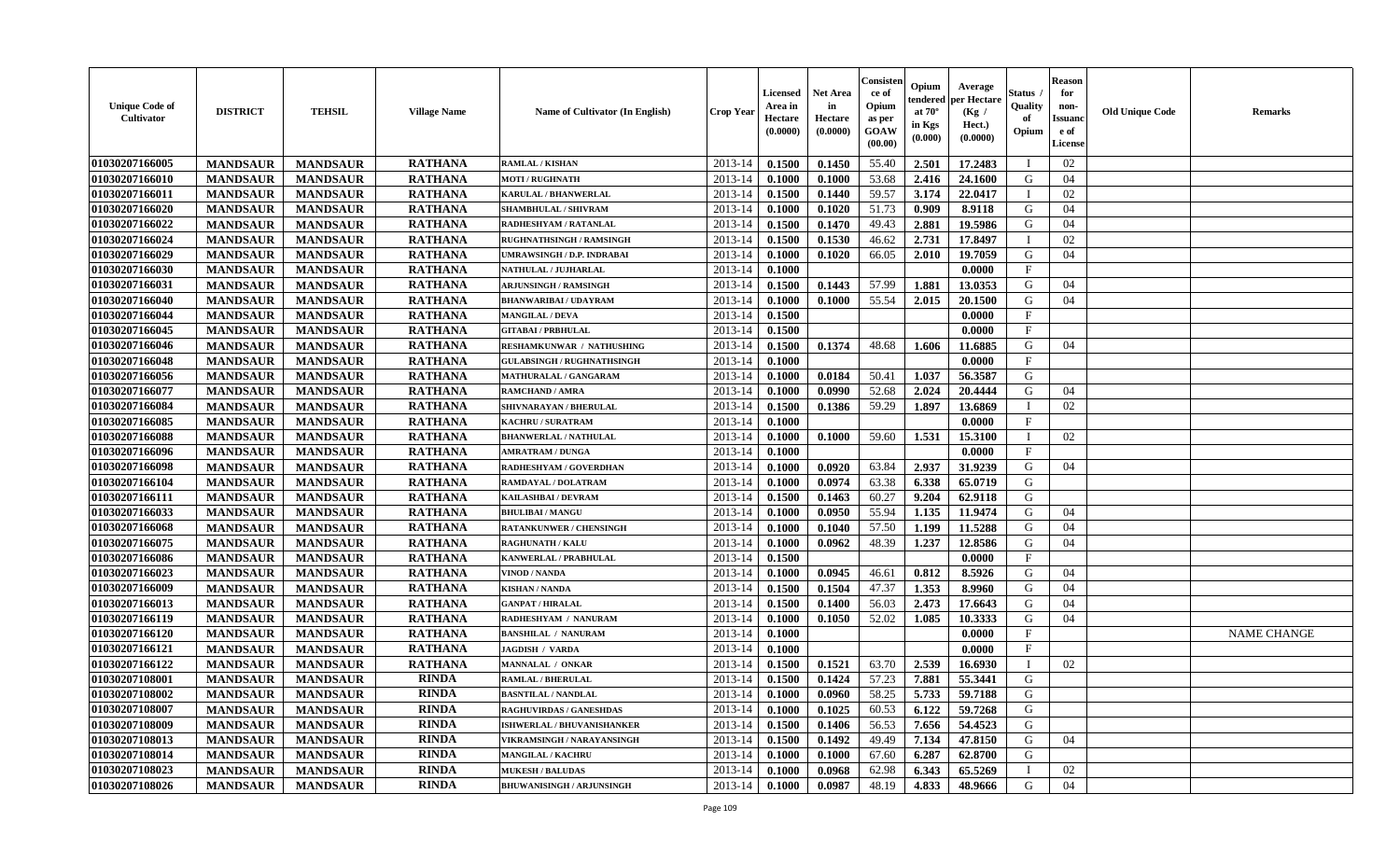| <b>Unique Code of</b><br>Cultivator | <b>DISTRICT</b> | <b>TEHSIL</b>   | <b>Village Name</b> | <b>Name of Cultivator (In English)</b> | <b>Crop Year</b> | <b>Licensed</b><br>Area in<br>Hectare<br>(0.0000) | <b>Net Area</b><br>in<br>Hectare<br>(0.0000) | Consister<br>ce of<br>Opium<br>as per<br>GOAW<br>(00.00) | Opium<br>endered<br>at $70^\circ$<br>in Kgs<br>$(\mathbf{0.000})$ | Average<br>per Hectare<br>(Kg /<br>Hect.)<br>(0.0000) | <b>Status</b> .<br>Quality<br>of<br>Opium | <b>Reason</b><br>for<br>non-<br><b>Issuand</b><br>e of<br>License | <b>Old Unique Code</b> | <b>Remarks</b>     |
|-------------------------------------|-----------------|-----------------|---------------------|----------------------------------------|------------------|---------------------------------------------------|----------------------------------------------|----------------------------------------------------------|-------------------------------------------------------------------|-------------------------------------------------------|-------------------------------------------|-------------------------------------------------------------------|------------------------|--------------------|
| 01030207166005                      | <b>MANDSAUR</b> | <b>MANDSAUR</b> | <b>RATHANA</b>      | <b>RAMLAL / KISHAN</b>                 | 2013-14          | 0.1500                                            | 0.1450                                       | 55.40                                                    | 2.501                                                             | 17.2483                                               | T                                         | 02                                                                |                        |                    |
| 01030207166010                      | <b>MANDSAUR</b> | <b>MANDSAUR</b> | <b>RATHANA</b>      | <b>MOTI / RUGHNATH</b>                 | 2013-14          | 0.1000                                            | 0.1000                                       | 53.68                                                    | 2.416                                                             | 24.1600                                               | G                                         | 04                                                                |                        |                    |
| 01030207166011                      | <b>MANDSAUR</b> | <b>MANDSAUR</b> | <b>RATHANA</b>      | <b>KARULAL / BHANWERLAL</b>            | 2013-14          | 0.1500                                            | 0.1440                                       | 59.57                                                    | 3.174                                                             | 22.0417                                               | $\mathbf{I}$                              | 02                                                                |                        |                    |
| 01030207166020                      | <b>MANDSAUR</b> | <b>MANDSAUR</b> | <b>RATHANA</b>      | SHAMBHULAL / SHIVRAM                   | 2013-14          | 0.1000                                            | 0.1020                                       | 51.73                                                    | 0.909                                                             | 8.9118                                                | G                                         | 04                                                                |                        |                    |
| 01030207166022                      | <b>MANDSAUR</b> | <b>MANDSAUR</b> | <b>RATHANA</b>      | RADHESHYAM / RATANLAL                  | 2013-14          | 0.1500                                            | 0.1470                                       | 49.43                                                    | 2.881                                                             | 19.5986                                               | G                                         | 04                                                                |                        |                    |
| 01030207166024                      | <b>MANDSAUR</b> | <b>MANDSAUR</b> | <b>RATHANA</b>      | <b>RUGHNATHSINGH / RAMSINGH</b>        | 2013-14          | 0.1500                                            | 0.1530                                       | 46.62                                                    | 2.731                                                             | 17.8497                                               |                                           | 02                                                                |                        |                    |
| 01030207166029                      | <b>MANDSAUR</b> | <b>MANDSAUR</b> | <b>RATHANA</b>      | <b>JMRAWSINGH / D.P. INDRABAI</b>      | 2013-14          | 0.1000                                            | 0.1020                                       | 66.05                                                    | 2.010                                                             | 19.7059                                               | G                                         | 04                                                                |                        |                    |
| 01030207166030                      | <b>MANDSAUR</b> | <b>MANDSAUR</b> | <b>RATHANA</b>      | NATHULAL / JUJHARLAL                   | 2013-14          | 0.1000                                            |                                              |                                                          |                                                                   | 0.0000                                                | $\mathbf{F}$                              |                                                                   |                        |                    |
| 01030207166031                      | <b>MANDSAUR</b> | <b>MANDSAUR</b> | <b>RATHANA</b>      | <b>ARJUNSINGH / RAMSINGH</b>           | 2013-14          | 0.1500                                            | 0.1443                                       | 57.99                                                    | 1.881                                                             | 13.0353                                               | G                                         | 04                                                                |                        |                    |
| 01030207166040                      | <b>MANDSAUR</b> | <b>MANDSAUR</b> | <b>RATHANA</b>      | <b>BHANWARIBAI / UDAYRAM</b>           | 2013-14          | 0.1000                                            | 0.1000                                       | 55.54                                                    | 2.015                                                             | 20.1500                                               | G                                         | 04                                                                |                        |                    |
| 01030207166044                      | <b>MANDSAUR</b> | <b>MANDSAUR</b> | <b>RATHANA</b>      | <b>MANGILAL / DEVA</b>                 | 2013-14          | 0.1500                                            |                                              |                                                          |                                                                   | 0.0000                                                | $\rm F$                                   |                                                                   |                        |                    |
| 01030207166045                      | <b>MANDSAUR</b> | <b>MANDSAUR</b> | <b>RATHANA</b>      | <b>GITABAI/PRBHULAL</b>                | 2013-14          | 0.1500                                            |                                              |                                                          |                                                                   | 0.0000                                                | $\mathbf F$                               |                                                                   |                        |                    |
| 01030207166046                      | <b>MANDSAUR</b> | <b>MANDSAUR</b> | <b>RATHANA</b>      | RESHAMKUNWAR / NATHUSHING              | 2013-14          | 0.1500                                            | 0.1374                                       | 48.68                                                    | 1.606                                                             | 11.6885                                               | G                                         | 04                                                                |                        |                    |
| 01030207166048                      | <b>MANDSAUR</b> | <b>MANDSAUR</b> | <b>RATHANA</b>      | <b>GULABSINGH / RUGHNATHSINGH</b>      | 2013-14          | 0.1000                                            |                                              |                                                          |                                                                   | 0.0000                                                | $\mathbf F$                               |                                                                   |                        |                    |
| 01030207166056                      | <b>MANDSAUR</b> | <b>MANDSAUR</b> | <b>RATHANA</b>      | MATHURALAL / GANGARAM                  | 2013-14          | 0.1000                                            | 0.0184                                       | 50.41                                                    | 1.037                                                             | 56.3587                                               | ${\bf G}$                                 |                                                                   |                        |                    |
| 01030207166077                      | <b>MANDSAUR</b> | <b>MANDSAUR</b> | <b>RATHANA</b>      | <b>RAMCHAND / AMRA</b>                 | 2013-14          | 0.1000                                            | 0.0990                                       | 52.68                                                    | 2.024                                                             | 20.4444                                               | G                                         | 04                                                                |                        |                    |
| 01030207166084                      | <b>MANDSAUR</b> | <b>MANDSAUR</b> | <b>RATHANA</b>      | SHIVNARAYAN / BHERULAL                 | 2013-14          | 0.1500                                            | 0.1386                                       | 59.29                                                    | 1.897                                                             | 13.6869                                               | $\mathbf{I}$                              | 02                                                                |                        |                    |
| 01030207166085                      | <b>MANDSAUR</b> | <b>MANDSAUR</b> | <b>RATHANA</b>      | <b>KACHRU / SURATRAM</b>               | 2013-14          | 0.1000                                            |                                              |                                                          |                                                                   | 0.0000                                                | $\mathbf{F}$                              |                                                                   |                        |                    |
| 01030207166088                      | <b>MANDSAUR</b> | <b>MANDSAUR</b> | <b>RATHANA</b>      | <b>BHANWERLAL / NATHULAL</b>           | 2013-14          | 0.1000                                            | 0.1000                                       | 59.60                                                    | 1.531                                                             | 15.3100                                               | $\mathbf I$                               | 02                                                                |                        |                    |
| 01030207166096                      | <b>MANDSAUR</b> | <b>MANDSAUR</b> | <b>RATHANA</b>      | <b>AMRATRAM / DUNGA</b>                | 2013-14          | 0.1000                                            |                                              |                                                          |                                                                   | 0.0000                                                | $\mathbf F$                               |                                                                   |                        |                    |
| 01030207166098                      | <b>MANDSAUR</b> | <b>MANDSAUR</b> | <b>RATHANA</b>      | RADHESHYAM / GOVERDHAN                 | 2013-14          | 0.1000                                            | 0.0920                                       | 63.84                                                    | 2.937                                                             | 31.9239                                               | G                                         | 04                                                                |                        |                    |
| 01030207166104                      | <b>MANDSAUR</b> | <b>MANDSAUR</b> | <b>RATHANA</b>      | RAMDAYAL / DOLATRAM                    | 2013-14          | 0.1000                                            | 0.0974                                       | 63.38                                                    | 6.338                                                             | 65.0719                                               | G                                         |                                                                   |                        |                    |
| 01030207166111                      | <b>MANDSAUR</b> | <b>MANDSAUR</b> | <b>RATHANA</b>      | KAILASHBAI / DEVRAM                    | 2013-14          | 0.1500                                            | 0.1463                                       | 60.27                                                    | 9.204                                                             | 62.9118                                               | ${\bf G}$                                 |                                                                   |                        |                    |
| 01030207166033                      | <b>MANDSAUR</b> | <b>MANDSAUR</b> | <b>RATHANA</b>      | <b>BHULIBAI/MANGU</b>                  | 2013-14          | 0.1000                                            | 0.0950                                       | 55.94                                                    | 1.135                                                             | 11.9474                                               | G                                         | 04                                                                |                        |                    |
| 01030207166068                      | <b>MANDSAUR</b> | <b>MANDSAUR</b> | <b>RATHANA</b>      | <b>RATANKUNWER / CHENSINGH</b>         | 2013-14          | 0.1000                                            | 0.1040                                       | 57.50                                                    | 1.199                                                             | 11.5288                                               | G                                         | 04                                                                |                        |                    |
| 01030207166075                      | <b>MANDSAUR</b> | <b>MANDSAUR</b> | <b>RATHANA</b>      | <b>RAGHUNATH / KALU</b>                | 2013-14          | 0.1000                                            | 0.0962                                       | 48.39                                                    | 1.237                                                             | 12.8586                                               | G                                         | 04                                                                |                        |                    |
| 01030207166086                      | <b>MANDSAUR</b> | <b>MANDSAUR</b> | <b>RATHANA</b>      | KANWERLAL / PRABHULAL                  | 2013-14          | 0.1500                                            |                                              |                                                          |                                                                   | 0.0000                                                | $\mathbf F$                               |                                                                   |                        |                    |
| 01030207166023                      | <b>MANDSAUR</b> | <b>MANDSAUR</b> | <b>RATHANA</b>      | VINOD / NANDA                          | 2013-14          | 0.1000                                            | 0.0945                                       | 46.61                                                    | 0.812                                                             | 8.5926                                                | G                                         | 04                                                                |                        |                    |
| 01030207166009                      | <b>MANDSAUR</b> | <b>MANDSAUR</b> | <b>RATHANA</b>      | <b>KISHAN / NANDA</b>                  | 2013-14          | 0.1500                                            | 0.1504                                       | 47.37                                                    | 1.353                                                             | 8.9960                                                | G                                         | 04                                                                |                        |                    |
| 01030207166013                      | <b>MANDSAUR</b> | <b>MANDSAUR</b> | <b>RATHANA</b>      | <b>GANPAT / HIRALAL</b>                | 2013-14          | 0.1500                                            | 0.1400                                       | 56.03                                                    | 2.473                                                             | 17.6643                                               | G                                         | 04                                                                |                        |                    |
| 01030207166119                      | <b>MANDSAUR</b> | <b>MANDSAUR</b> | <b>RATHANA</b>      | RADHESHYAM / NANURAM                   | 2013-14          | 0.1000                                            | 0.1050                                       | 52.02                                                    | 1.085                                                             | 10.3333                                               | G                                         | 04                                                                |                        |                    |
| 01030207166120                      | <b>MANDSAUR</b> | <b>MANDSAUR</b> | <b>RATHANA</b>      | <b>BANSHILAL / NANURAM</b>             | 2013-14          | 0.1000                                            |                                              |                                                          |                                                                   | 0.0000                                                | $_{\rm F}$                                |                                                                   |                        | <b>NAME CHANGE</b> |
| 01030207166121                      | <b>MANDSAUR</b> | <b>MANDSAUR</b> | <b>RATHANA</b>      | JAGDISH / VARDA                        | 2013-14          | 0.1000                                            |                                              |                                                          |                                                                   | 0.0000                                                | $\mathbf{F}$                              |                                                                   |                        |                    |
| 01030207166122                      | <b>MANDSAUR</b> | <b>MANDSAUR</b> | <b>RATHANA</b>      | MANNALAL / ONKAR                       | 2013-14          | 0.1500                                            | 0.1521                                       | 63.70                                                    | 2.539                                                             | 16.6930                                               | $\mathbf I$                               | 02                                                                |                        |                    |
| 01030207108001                      | <b>MANDSAUR</b> | <b>MANDSAUR</b> | <b>RINDA</b>        | <b>RAMLAL / BHERULAL</b>               | 2013-14          | 0.1500                                            | 0.1424                                       | 57.23                                                    | 7.881                                                             | 55.3441                                               | G                                         |                                                                   |                        |                    |
| 01030207108002                      | <b>MANDSAUR</b> | <b>MANDSAUR</b> | <b>RINDA</b>        | <b>BASNTILAL / NANDLAL</b>             | 2013-14          | 0.1000                                            | 0.0960                                       | 58.25                                                    | 5.733                                                             | 59.7188                                               | G                                         |                                                                   |                        |                    |
| 01030207108007                      | <b>MANDSAUR</b> | <b>MANDSAUR</b> | <b>RINDA</b>        | <b>RAGHUVIRDAS / GANESHDAS</b>         | 2013-14          | 0.1000                                            | 0.1025                                       | 60.53                                                    | 6.122                                                             | 59.7268                                               | G                                         |                                                                   |                        |                    |
| 01030207108009                      | <b>MANDSAUR</b> | <b>MANDSAUR</b> | <b>RINDA</b>        | ISHWERLAL / BHUVANISHANKER             | 2013-14          | 0.1500                                            | 0.1406                                       | 56.53                                                    | 7.656                                                             | 54.4523                                               | G                                         |                                                                   |                        |                    |
| 01030207108013                      | <b>MANDSAUR</b> | <b>MANDSAUR</b> | <b>RINDA</b>        | VIKRAMSINGH / NARAYANSINGH             | 2013-14          | 0.1500                                            | 0.1492                                       | 49.49                                                    | 7.134                                                             | 47.8150                                               | G                                         | 04                                                                |                        |                    |
| 01030207108014                      | <b>MANDSAUR</b> | <b>MANDSAUR</b> | <b>RINDA</b>        | <b>MANGILAL / KACHRU</b>               | 2013-14          | 0.1000                                            | 0.1000                                       | 67.60                                                    | 6.287                                                             | 62.8700                                               | G                                         |                                                                   |                        |                    |
| 01030207108023                      | <b>MANDSAUR</b> | <b>MANDSAUR</b> | <b>RINDA</b>        | <b>MUKESH / BALUDAS</b>                | 2013-14          | 0.1000                                            | 0.0968                                       | 62.98                                                    | 6.343                                                             | 65.5269                                               |                                           | 02                                                                |                        |                    |
| 01030207108026                      | <b>MANDSAUR</b> | <b>MANDSAUR</b> | <b>RINDA</b>        | <b>BHUWANISINGH / ARJUNSINGH</b>       | 2013-14          | 0.1000                                            | 0.0987                                       | 48.19                                                    | 4.833                                                             | 48.9666                                               | G                                         | 04                                                                |                        |                    |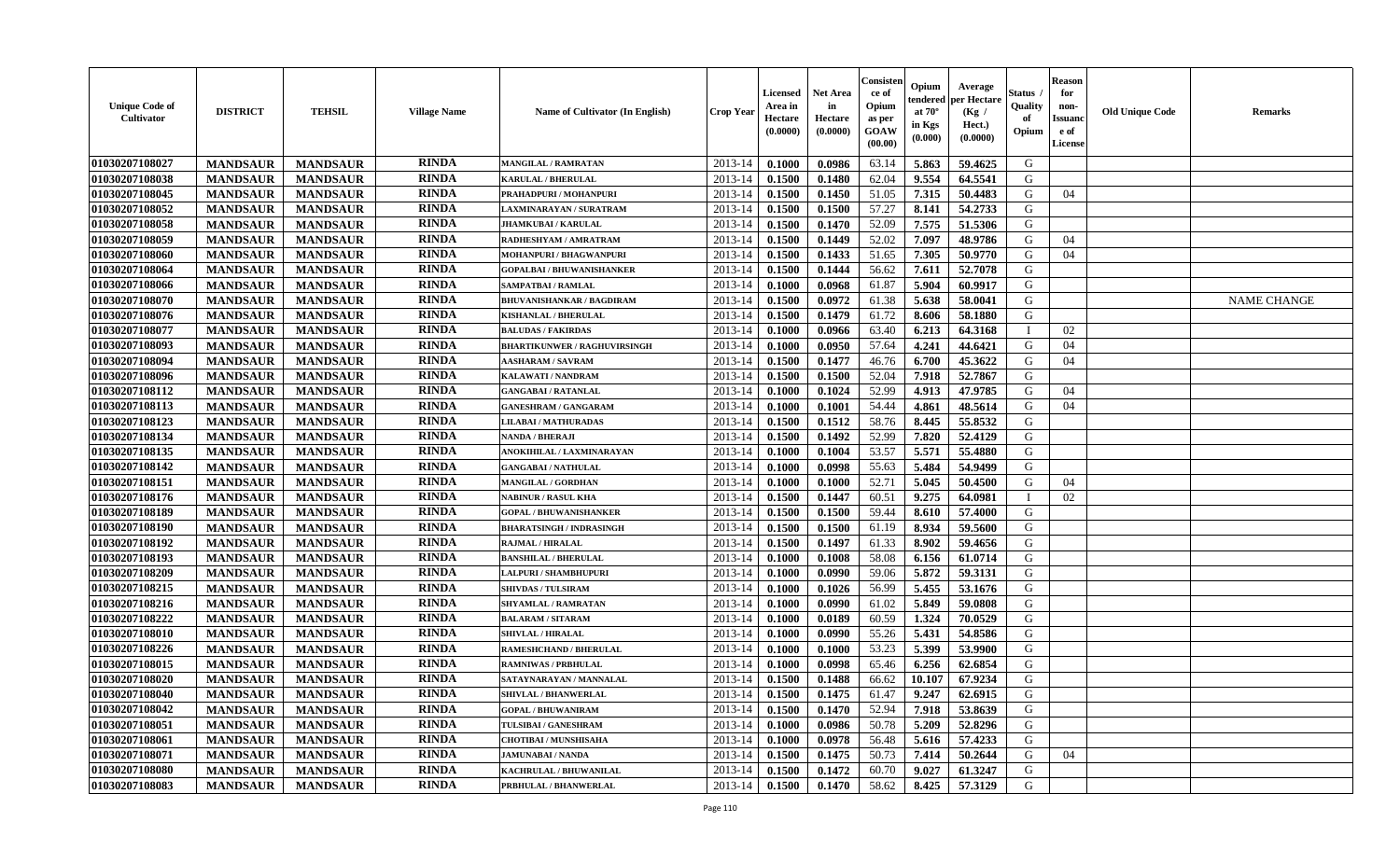| <b>Unique Code of</b><br>Cultivator | <b>DISTRICT</b> | <b>TEHSIL</b>   | <b>Village Name</b> | <b>Name of Cultivator (In English)</b> | <b>Crop Year</b> | Licensed<br>Area in<br>Hectare<br>(0.0000) | <b>Net Area</b><br>in<br>Hectare<br>(0.0000) | Consister<br>ce of<br>Opium<br>as per<br>GOAW<br>(00.00) | Opium<br>endered<br>at $70^\circ$<br>in Kgs<br>(0.000) | Average<br>per Hectare<br>(Kg /<br>Hect.)<br>(0.0000) | Status<br>Quality<br>of<br>Opium | <b>Reason</b><br>for<br>non-<br><b>Issuanc</b><br>e of<br><b>License</b> | <b>Old Unique Code</b> | <b>Remarks</b>     |
|-------------------------------------|-----------------|-----------------|---------------------|----------------------------------------|------------------|--------------------------------------------|----------------------------------------------|----------------------------------------------------------|--------------------------------------------------------|-------------------------------------------------------|----------------------------------|--------------------------------------------------------------------------|------------------------|--------------------|
| 01030207108027                      | <b>MANDSAUR</b> | <b>MANDSAUR</b> | <b>RINDA</b>        | MANGILAL / RAMRATAN                    | 2013-14          | 0.1000                                     | 0.0986                                       | 63.14                                                    | 5.863                                                  | 59.4625                                               | G                                |                                                                          |                        |                    |
| 01030207108038                      | <b>MANDSAUR</b> | <b>MANDSAUR</b> | <b>RINDA</b>        | <b>KARULAL / BHERULAL</b>              | 2013-14          | 0.1500                                     | 0.1480                                       | 62.04                                                    | 9.554                                                  | 64.5541                                               | G                                |                                                                          |                        |                    |
| 01030207108045                      | <b>MANDSAUR</b> | <b>MANDSAUR</b> | <b>RINDA</b>        | PRAHADPURI / MOHANPURI                 | 2013-14          | 0.1500                                     | 0.1450                                       | 51.05                                                    | 7.315                                                  | 50.4483                                               | G                                | 04                                                                       |                        |                    |
| 01030207108052                      | <b>MANDSAUR</b> | <b>MANDSAUR</b> | <b>RINDA</b>        | LAXMINARAYAN / SURATRAM                | 2013-14          | 0.1500                                     | 0.1500                                       | 57.27                                                    | 8.141                                                  | 54.2733                                               | G                                |                                                                          |                        |                    |
| 01030207108058                      | <b>MANDSAUR</b> | <b>MANDSAUR</b> | <b>RINDA</b>        | <b>JHAMKUBAI/KARULAI</b>               | $2013 - 14$      | 0.1500                                     | 0.1470                                       | 52.09                                                    | 7.575                                                  | 51.5306                                               | G                                |                                                                          |                        |                    |
| 01030207108059                      | <b>MANDSAUR</b> | <b>MANDSAUR</b> | <b>RINDA</b>        | RADHESHYAM / AMRATRAM                  | 2013-14          | 0.1500                                     | 0.1449                                       | 52.02                                                    | 7.097                                                  | 48.9786                                               | G                                | 04                                                                       |                        |                    |
| 01030207108060                      | <b>MANDSAUR</b> | <b>MANDSAUR</b> | <b>RINDA</b>        | MOHANPURI / BHAGWANPURI                | $2013 - 14$      | 0.1500                                     | 0.1433                                       | 51.65                                                    | 7.305                                                  | 50.9770                                               | G                                | 04                                                                       |                        |                    |
| 01030207108064                      | <b>MANDSAUR</b> | <b>MANDSAUR</b> | <b>RINDA</b>        | <b>GOPALBAI/BHUWANISHANKER</b>         | 2013-14          | 0.1500                                     | 0.1444                                       | 56.62                                                    | 7.611                                                  | 52.7078                                               | G                                |                                                                          |                        |                    |
| 01030207108066                      | <b>MANDSAUR</b> | <b>MANDSAUR</b> | <b>RINDA</b>        | <b>SAMPATBAI/RAMLAL</b>                | 2013-14          | 0.1000                                     | 0.0968                                       | 61.87                                                    | 5.904                                                  | 60.9917                                               | G                                |                                                                          |                        |                    |
| <b>01030207108070</b>               | <b>MANDSAUR</b> | <b>MANDSAUR</b> | <b>RINDA</b>        | <b>BHUVANISHANKAR / BAGDIRAM</b>       | 2013-14          | 0.1500                                     | 0.0972                                       | 61.38                                                    | 5.638                                                  | 58.0041                                               | G                                |                                                                          |                        | <b>NAME CHANGE</b> |
| 01030207108076                      | <b>MANDSAUR</b> | <b>MANDSAUR</b> | <b>RINDA</b>        | KISHANLAL / BHERULAL                   | 2013-14          | 0.1500                                     | 0.1479                                       | 61.72                                                    | 8.606                                                  | 58.1880                                               | $\mathbf G$                      |                                                                          |                        |                    |
| 01030207108077                      | <b>MANDSAUR</b> | <b>MANDSAUR</b> | <b>RINDA</b>        | <b>BALUDAS / FAKIRDAS</b>              | $2013 - 14$      | 0.1000                                     | 0.0966                                       | 63.40                                                    | 6.213                                                  | 64.3168                                               | $\mathbf{I}$                     | 02                                                                       |                        |                    |
| 01030207108093                      | <b>MANDSAUR</b> | <b>MANDSAUR</b> | <b>RINDA</b>        | <b>BHARTIKUNWER / RAGHUVIRSINGH</b>    | $2013 - 14$      | 0.1000                                     | 0.0950                                       | 57.64                                                    | 4.241                                                  | 44.6421                                               | G                                | 04                                                                       |                        |                    |
| 01030207108094                      | <b>MANDSAUR</b> | <b>MANDSAUR</b> | <b>RINDA</b>        | <b>AASHARAM / SAVRAM</b>               | $2013 - 14$      | 0.1500                                     | 0.1477                                       | 46.76                                                    | 6.700                                                  | 45.3622                                               | G                                | 04                                                                       |                        |                    |
| 01030207108096                      | <b>MANDSAUR</b> | <b>MANDSAUR</b> | <b>RINDA</b>        | <b>KALAWATI / NANDRAM</b>              | 2013-14          | 0.1500                                     | 0.1500                                       | 52.04                                                    | 7.918                                                  | 52.7867                                               | G                                |                                                                          |                        |                    |
| 01030207108112                      | <b>MANDSAUR</b> | <b>MANDSAUR</b> | <b>RINDA</b>        | <b>GANGABAI / RATANLAL</b>             | 2013-14          | 0.1000                                     | 0.1024                                       | 52.99                                                    | 4.913                                                  | 47.9785                                               | G                                | 04                                                                       |                        |                    |
| 01030207108113                      | <b>MANDSAUR</b> | <b>MANDSAUR</b> | <b>RINDA</b>        | <b>GANESHRAM / GANGARAM</b>            | 2013-14          | 0.1000                                     | 0.1001                                       | 54.44                                                    | 4.861                                                  | 48.5614                                               | G                                | 04                                                                       |                        |                    |
| 01030207108123                      | <b>MANDSAUR</b> | <b>MANDSAUR</b> | <b>RINDA</b>        | LILABAI / MATHURADAS                   | 2013-14          | 0.1500                                     | 0.1512                                       | 58.76                                                    | 8.445                                                  | 55.8532                                               | G                                |                                                                          |                        |                    |
| 01030207108134                      | <b>MANDSAUR</b> | <b>MANDSAUR</b> | <b>RINDA</b>        | NANDA / BHERAJI                        | 2013-14          | 0.1500                                     | 0.1492                                       | 52.99                                                    | 7.820                                                  | 52.4129                                               | G                                |                                                                          |                        |                    |
| 01030207108135                      | <b>MANDSAUR</b> | <b>MANDSAUR</b> | <b>RINDA</b>        | ANOKIHILAL / LAXMINARAYAN              | 2013-14          | 0.1000                                     | 0.1004                                       | 53.57                                                    | 5.571                                                  | 55.4880                                               | G                                |                                                                          |                        |                    |
| 01030207108142                      | <b>MANDSAUR</b> | <b>MANDSAUR</b> | <b>RINDA</b>        | <b>GANGABAI / NATHULAL</b>             | 2013-14          | 0.1000                                     | 0.0998                                       | 55.63                                                    | 5.484                                                  | 54.9499                                               | G                                |                                                                          |                        |                    |
| 01030207108151                      | <b>MANDSAUR</b> | <b>MANDSAUR</b> | <b>RINDA</b>        | <b>MANGILAL / GORDHAN</b>              | $2013 - 14$      | 0.1000                                     | 0.1000                                       | 52.71                                                    | 5.045                                                  | 50.4500                                               | G                                | 04                                                                       |                        |                    |
| 01030207108176                      | <b>MANDSAUR</b> | <b>MANDSAUR</b> | <b>RINDA</b>        | <b>NABINUR / RASUL KHA</b>             | $2013 - 14$      | 0.1500                                     | 0.1447                                       | 60.51                                                    | 9.275                                                  | 64.0981                                               |                                  | 02                                                                       |                        |                    |
| 01030207108189                      | <b>MANDSAUR</b> | <b>MANDSAUR</b> | <b>RINDA</b>        | <b>GOPAL / BHUWANISHANKER</b>          | 2013-14          | 0.1500                                     | 0.1500                                       | 59.44                                                    | 8.610                                                  | 57.4000                                               | G                                |                                                                          |                        |                    |
| 01030207108190                      | <b>MANDSAUR</b> | <b>MANDSAUR</b> | <b>RINDA</b>        | <b>BHARATSINGH / INDRASINGH</b>        | $2013 - 14$      | 0.1500                                     | 0.1500                                       | 61.19                                                    | 8.934                                                  | 59.5600                                               | G                                |                                                                          |                        |                    |
| 01030207108192                      | <b>MANDSAUR</b> | <b>MANDSAUR</b> | <b>RINDA</b>        | <b>RAJMAL / HIRALAL</b>                | 2013-14          | 0.1500                                     | 0.1497                                       | 61.33                                                    | 8.902                                                  | 59.4656                                               | G                                |                                                                          |                        |                    |
| 01030207108193                      | <b>MANDSAUR</b> | <b>MANDSAUR</b> | <b>RINDA</b>        | <b>BANSHILAL / BHERULAL</b>            | 2013-14          | 0.1000                                     | 0.1008                                       | 58.08                                                    | 6.156                                                  | 61.0714                                               | G                                |                                                                          |                        |                    |
| 01030207108209                      | <b>MANDSAUR</b> | <b>MANDSAUR</b> | <b>RINDA</b>        | LALPURI / SHAMBHUPURI                  | 2013-14          | 0.1000                                     | 0.0990                                       | 59.06                                                    | 5.872                                                  | 59.3131                                               | G                                |                                                                          |                        |                    |
| 01030207108215                      | <b>MANDSAUR</b> | <b>MANDSAUR</b> | <b>RINDA</b>        | <b>SHIVDAS / TULSIRAM</b>              | 2013-14          | 0.1000                                     | 0.1026                                       | 56.99                                                    | 5.455                                                  | 53.1676                                               | G                                |                                                                          |                        |                    |
| 01030207108216                      | <b>MANDSAUR</b> | <b>MANDSAUR</b> | <b>RINDA</b>        | <b>SHYAMLAL / RAMRATAN</b>             | $2013 - 14$      | 0.1000                                     | 0.0990                                       | 61.02                                                    | 5.849                                                  | 59.0808                                               | G                                |                                                                          |                        |                    |
| 01030207108222                      | <b>MANDSAUR</b> | <b>MANDSAUR</b> | <b>RINDA</b>        | <b>BALARAM / SITARAM</b>               | $2013 - 14$      | 0.1000                                     | 0.0189                                       | 60.59                                                    | 1.324                                                  | 70.0529                                               | ${\bf G}$                        |                                                                          |                        |                    |
| 01030207108010                      | <b>MANDSAUR</b> | <b>MANDSAUR</b> | <b>RINDA</b>        | <b>SHIVLAL / HIRALAL</b>               | 2013-14          | 0.1000                                     | 0.0990                                       | 55.26                                                    | 5.431                                                  | 54.8586                                               | G                                |                                                                          |                        |                    |
| 01030207108226                      | <b>MANDSAUR</b> | <b>MANDSAUR</b> | <b>RINDA</b>        | RAMESHCHAND / BHERULAL                 | 2013-14          | 0.1000                                     | 0.1000                                       | 53.23                                                    | 5.399                                                  | 53.9900                                               | G                                |                                                                          |                        |                    |
| 01030207108015                      | <b>MANDSAUR</b> | <b>MANDSAUR</b> | <b>RINDA</b>        | <b>RAMNIWAS / PRBHULAL</b>             | 2013-14          | 0.1000                                     | 0.0998                                       | 65.46                                                    | 6.256                                                  | 62.6854                                               | G                                |                                                                          |                        |                    |
| 01030207108020                      | <b>MANDSAUR</b> | <b>MANDSAUR</b> | <b>RINDA</b>        | SATAYNARAYAN / MANNALAL                | 2013-14          | 0.1500                                     | 0.1488                                       | 66.62                                                    | 10.107                                                 | 67.9234                                               | G                                |                                                                          |                        |                    |
| 01030207108040                      | <b>MANDSAUR</b> | <b>MANDSAUR</b> | <b>RINDA</b>        | <b>SHIVLAL / BHANWERLAL</b>            | 2013-14          | 0.1500                                     | 0.1475                                       | 61.47                                                    | 9.247                                                  | 62.6915                                               | G                                |                                                                          |                        |                    |
| 01030207108042                      | <b>MANDSAUR</b> | <b>MANDSAUR</b> | <b>RINDA</b>        | <b>GOPAL / BHUWANIRAM</b>              | 2013-14          | 0.1500                                     | 0.1470                                       | 52.94                                                    | 7.918                                                  | 53.8639                                               | G                                |                                                                          |                        |                    |
| 01030207108051                      | <b>MANDSAUR</b> | <b>MANDSAUR</b> | <b>RINDA</b>        | TULSIBAI / GANESHRAM                   | $2013 - 14$      | 0.1000                                     | 0.0986                                       | 50.78                                                    | 5.209                                                  | 52.8296                                               | G                                |                                                                          |                        |                    |
| 01030207108061                      | <b>MANDSAUR</b> | <b>MANDSAUR</b> | <b>RINDA</b>        | <b>CHOTIBAI / MUNSHISAHA</b>           | $2013 - 14$      | 0.1000                                     | 0.0978                                       | 56.48                                                    | 5.616                                                  | 57.4233                                               | G                                |                                                                          |                        |                    |
| 01030207108071                      | <b>MANDSAUR</b> | <b>MANDSAUR</b> | <b>RINDA</b>        | <b>JAMUNABAI / NANDA</b>               | $2013 - 14$      | 0.1500                                     | 0.1475                                       | 50.73                                                    | 7.414                                                  | 50.2644                                               | G                                | 04                                                                       |                        |                    |
| 01030207108080                      | <b>MANDSAUR</b> | <b>MANDSAUR</b> | <b>RINDA</b>        | KACHRULAL / BHUWANILAL                 | 2013-14          | 0.1500                                     | 0.1472                                       | 60.70                                                    | 9.027                                                  | 61.3247                                               | G                                |                                                                          |                        |                    |
| 01030207108083                      | <b>MANDSAUR</b> | <b>MANDSAUR</b> | <b>RINDA</b>        | PRBHULAL / BHANWERLAL                  | 2013-14          | 0.1500                                     | 0.1470                                       | 58.62                                                    | 8.425                                                  | 57.3129                                               | G                                |                                                                          |                        |                    |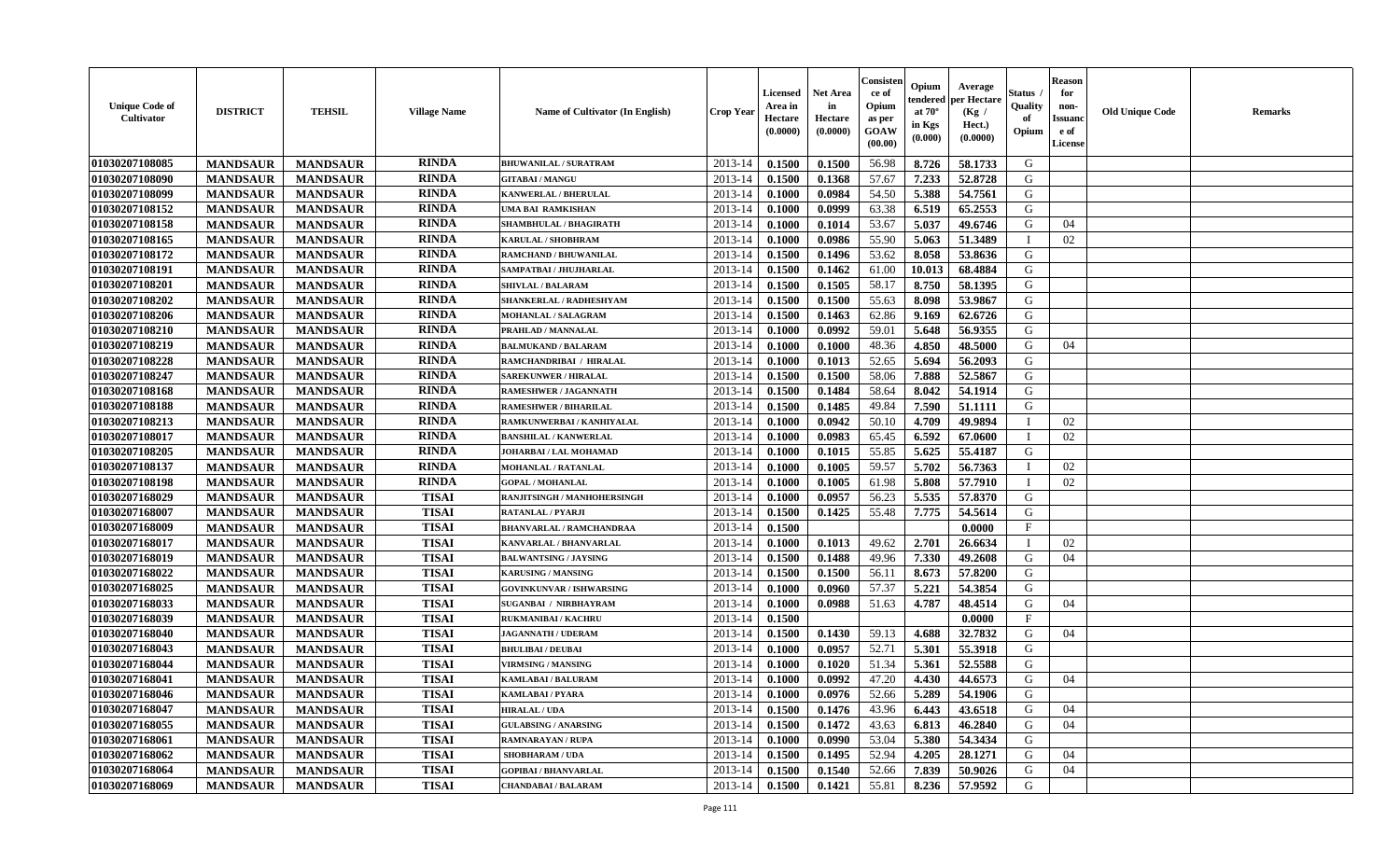| <b>Unique Code of</b><br><b>Cultivator</b> | <b>DISTRICT</b> | <b>TEHSIL</b>   | <b>Village Name</b> | Name of Cultivator (In English) | <b>Crop Year</b> | <b>Licensed</b><br>Area in<br>Hectare<br>(0.0000) | <b>Net Area</b><br>in<br>Hectare<br>(0.0000) | Consister<br>ce of<br>Opium<br>as per<br><b>GOAW</b><br>(00.00) | Opium<br>endered<br>at $70^\circ$<br>in Kgs<br>(0.000) | Average<br>per Hectare<br>(Kg /<br>Hect.)<br>(0.0000) | Status<br>Quality<br>of<br>Opium | <b>Reason</b><br>for<br>non-<br><b>Issuand</b><br>e of<br><b>License</b> | <b>Old Unique Code</b> | <b>Remarks</b> |
|--------------------------------------------|-----------------|-----------------|---------------------|---------------------------------|------------------|---------------------------------------------------|----------------------------------------------|-----------------------------------------------------------------|--------------------------------------------------------|-------------------------------------------------------|----------------------------------|--------------------------------------------------------------------------|------------------------|----------------|
| 01030207108085                             | <b>MANDSAUR</b> | <b>MANDSAUR</b> | <b>RINDA</b>        | <b>BHUWANILAL / SURATRAM</b>    | 2013-14          | 0.1500                                            | 0.1500                                       | 56.98                                                           | 8.726                                                  | 58.1733                                               | G                                |                                                                          |                        |                |
| 01030207108090                             | <b>MANDSAUR</b> | <b>MANDSAUR</b> | <b>RINDA</b>        | <b>GITABAI/MANGU</b>            | 2013-14          | 0.1500                                            | 0.1368                                       | 57.67                                                           | 7.233                                                  | 52.8728                                               | G                                |                                                                          |                        |                |
| 01030207108099                             | <b>MANDSAUR</b> | <b>MANDSAUR</b> | <b>RINDA</b>        | KANWERLAL / BHERULAL            | 2013-14          | 0.1000                                            | 0.0984                                       | 54.50                                                           | 5.388                                                  | 54.7561                                               | G                                |                                                                          |                        |                |
| 01030207108152                             | <b>MANDSAUR</b> | <b>MANDSAUR</b> | <b>RINDA</b>        | <b>UMA BAI RAMKISHAN</b>        | 2013-14          | 0.1000                                            | 0.0999                                       | 63.38                                                           | 6.519                                                  | 65.2553                                               | G                                |                                                                          |                        |                |
| 01030207108158                             | <b>MANDSAUR</b> | <b>MANDSAUR</b> | <b>RINDA</b>        | <b>SHAMBHULAL / BHAGIRATH</b>   | 2013-14          | 0.1000                                            | 0.1014                                       | 53.67                                                           | 5.037                                                  | 49.6746                                               | G                                | 04                                                                       |                        |                |
| 01030207108165                             | <b>MANDSAUR</b> | <b>MANDSAUR</b> | <b>RINDA</b>        | <b>KARULAL / SHOBHRAM</b>       | 2013-14          | 0.1000                                            | 0.0986                                       | 55.90                                                           | 5.063                                                  | 51.3489                                               | $\mathbf I$                      | 02                                                                       |                        |                |
| 01030207108172                             | <b>MANDSAUR</b> | <b>MANDSAUR</b> | <b>RINDA</b>        | RAMCHAND / BHUWANILAL           | 2013-14          | 0.1500                                            | 0.1496                                       | 53.62                                                           | 8.058                                                  | 53.8636                                               | G                                |                                                                          |                        |                |
| 01030207108191                             | <b>MANDSAUR</b> | <b>MANDSAUR</b> | <b>RINDA</b>        | SAMPATBAI / JHUJHARLAL          | 2013-14          | 0.1500                                            | 0.1462                                       | 61.00                                                           | 10.013                                                 | 68.4884                                               | G                                |                                                                          |                        |                |
| 01030207108201                             | <b>MANDSAUR</b> | <b>MANDSAUR</b> | <b>RINDA</b>        | <b>SHIVLAL / BALARAM</b>        | 2013-14          | 0.1500                                            | 0.1505                                       | 58.17                                                           | 8.750                                                  | 58.1395                                               | G                                |                                                                          |                        |                |
| 01030207108202                             | <b>MANDSAUR</b> | <b>MANDSAUR</b> | <b>RINDA</b>        | SHANKERLAL / RADHESHYAM         | 2013-14          | 0.1500                                            | 0.1500                                       | 55.63                                                           | 8.098                                                  | 53.9867                                               | G                                |                                                                          |                        |                |
| 01030207108206                             | <b>MANDSAUR</b> | <b>MANDSAUR</b> | <b>RINDA</b>        | <b>MOHANLAL / SALAGRAM</b>      | 2013-14          | 0.1500                                            | 0.1463                                       | 62.86                                                           | 9.169                                                  | 62.6726                                               | G                                |                                                                          |                        |                |
| 01030207108210                             | <b>MANDSAUR</b> | <b>MANDSAUR</b> | <b>RINDA</b>        | PRAHLAD / MANNALAL              | 2013-14          | 0.1000                                            | 0.0992                                       | 59.01                                                           | 5.648                                                  | 56.9355                                               | G                                |                                                                          |                        |                |
| 01030207108219                             | <b>MANDSAUR</b> | <b>MANDSAUR</b> | <b>RINDA</b>        | <b>BALMUKAND / BALARAM</b>      | 2013-14          | 0.1000                                            | 0.1000                                       | 48.36                                                           | 4.850                                                  | 48.5000                                               | G                                | 04                                                                       |                        |                |
| 01030207108228                             | <b>MANDSAUR</b> | <b>MANDSAUR</b> | <b>RINDA</b>        | RAMCHANDRIBAI / HIRALAL         | 2013-14          | 0.1000                                            | 0.1013                                       | 52.65                                                           | 5.694                                                  | 56.2093                                               | G                                |                                                                          |                        |                |
| 01030207108247                             | <b>MANDSAUR</b> | <b>MANDSAUR</b> | <b>RINDA</b>        | <b>SAREKUNWER / HIRALAL</b>     | 2013-14          | 0.1500                                            | 0.1500                                       | 58.06                                                           | 7.888                                                  | 52.5867                                               | G                                |                                                                          |                        |                |
| 01030207108168                             | <b>MANDSAUR</b> | <b>MANDSAUR</b> | <b>RINDA</b>        | RAMESHWER / JAGANNATH           | 2013-14          | 0.1500                                            | 0.1484                                       | 58.64                                                           | 8.042                                                  | 54.1914                                               | G                                |                                                                          |                        |                |
| 01030207108188                             | <b>MANDSAUR</b> | <b>MANDSAUR</b> | <b>RINDA</b>        | <b>RAMESHWER / BIHARILAL</b>    | 2013-14          | 0.1500                                            | 0.1485                                       | 49.84                                                           | 7.590                                                  | 51.1111                                               | G                                |                                                                          |                        |                |
| 01030207108213                             | <b>MANDSAUR</b> | <b>MANDSAUR</b> | <b>RINDA</b>        | RAMKUNWERBAI / KANHIYALAL       | 2013-14          | 0.1000                                            | 0.0942                                       | 50.10                                                           | 4.709                                                  | 49.9894                                               | T                                | 02                                                                       |                        |                |
| 01030207108017                             | <b>MANDSAUR</b> | <b>MANDSAUR</b> | <b>RINDA</b>        | <b>BANSHILAL / KANWERLAL</b>    | 2013-14          | 0.1000                                            | 0.0983                                       | 65.45                                                           | 6.592                                                  | 67.0600                                               | $\mathbf{I}$                     | 02                                                                       |                        |                |
| 01030207108205                             | <b>MANDSAUR</b> | <b>MANDSAUR</b> | <b>RINDA</b>        | JOHARBAI / LAL MOHAMAD          | 2013-14          | 0.1000                                            | 0.1015                                       | 55.85                                                           | 5.625                                                  | 55.4187                                               | G                                |                                                                          |                        |                |
| 01030207108137                             | <b>MANDSAUR</b> | <b>MANDSAUR</b> | <b>RINDA</b>        | <b>MOHANLAL / RATANLAL</b>      | 2013-14          | 0.1000                                            | 0.1005                                       | 59.57                                                           | 5.702                                                  | 56.7363                                               | $\mathbf{I}$                     | 02                                                                       |                        |                |
| 01030207108198                             | <b>MANDSAUR</b> | <b>MANDSAUR</b> | <b>RINDA</b>        | <b>GOPAL / MOHANLAL</b>         | 2013-14          | 0.1000                                            | 0.1005                                       | 61.98                                                           | 5.808                                                  | 57.7910                                               | $\mathbf{I}$                     | 02                                                                       |                        |                |
| 01030207168029                             | <b>MANDSAUR</b> | <b>MANDSAUR</b> | <b>TISAI</b>        | RANJITSINGH / MANHOHERSINGH     | 2013-14          | 0.1000                                            | 0.0957                                       | 56.23                                                           | 5.535                                                  | 57.8370                                               | G                                |                                                                          |                        |                |
| 01030207168007                             | <b>MANDSAUR</b> | <b>MANDSAUR</b> | <b>TISAI</b>        | RATANLAL / PYARJI               | 2013-14          | 0.1500                                            | 0.1425                                       | 55.48                                                           | 7.775                                                  | 54.5614                                               | G                                |                                                                          |                        |                |
| 01030207168009                             | <b>MANDSAUR</b> | <b>MANDSAUR</b> | <b>TISAI</b>        | <b>BHANVARLAL / RAMCHANDRAA</b> | 2013-14          | 0.1500                                            |                                              |                                                                 |                                                        | 0.0000                                                | $_{\rm F}$                       |                                                                          |                        |                |
| 01030207168017                             | <b>MANDSAUR</b> | <b>MANDSAUR</b> | <b>TISAI</b>        | KANVARLAL / BHANVARLAL          | 2013-14          | 0.1000                                            | 0.1013                                       | 49.62                                                           | 2.701                                                  | 26.6634                                               | I                                | 02                                                                       |                        |                |
| 01030207168019                             | <b>MANDSAUR</b> | <b>MANDSAUR</b> | <b>TISAI</b>        | <b>BALWANTSING / JAYSING</b>    | 2013-14          | 0.1500                                            | 0.1488                                       | 49.96                                                           | 7.330                                                  | 49.2608                                               | G                                | 04                                                                       |                        |                |
| 01030207168022                             | <b>MANDSAUR</b> | <b>MANDSAUR</b> | <b>TISAI</b>        | <b>KARUSING / MANSING</b>       | 2013-14          | 0.1500                                            | 0.1500                                       | 56.11                                                           | 8.673                                                  | 57.8200                                               | G                                |                                                                          |                        |                |
| 01030207168025                             | <b>MANDSAUR</b> | <b>MANDSAUR</b> | <b>TISAI</b>        | <b>GOVINKUNVAR / ISHWARSING</b> | 2013-14          | 0.1000                                            | 0.0960                                       | 57.37                                                           | 5.221                                                  | 54.3854                                               | G                                |                                                                          |                        |                |
| 01030207168033                             | <b>MANDSAUR</b> | <b>MANDSAUR</b> | <b>TISAI</b>        | <b>SUGANBAI / NIRBHAYRAM</b>    | 2013-14          | 0.1000                                            | 0.0988                                       | 51.63                                                           | 4.787                                                  | 48.4514                                               | G                                | 04                                                                       |                        |                |
| 01030207168039                             | <b>MANDSAUR</b> | <b>MANDSAUR</b> | <b>TISAI</b>        | <b>RUKMANIBAI/KACHRU</b>        | 2013-14          | 0.1500                                            |                                              |                                                                 |                                                        | 0.0000                                                | F                                |                                                                          |                        |                |
| 01030207168040                             | <b>MANDSAUR</b> | <b>MANDSAUR</b> | <b>TISAI</b>        | <b>JAGANNATH / UDERAM</b>       | 2013-14          | 0.1500                                            | 0.1430                                       | 59.13                                                           | 4.688                                                  | 32.7832                                               | G                                | 04                                                                       |                        |                |
| 01030207168043                             | <b>MANDSAUR</b> | <b>MANDSAUR</b> | <b>TISAI</b>        | <b>BHULIBAI / DEUBAI</b>        | 2013-14          | 0.1000                                            | 0.0957                                       | 52.71                                                           | 5.301                                                  | 55.3918                                               | G                                |                                                                          |                        |                |
| 01030207168044                             | <b>MANDSAUR</b> | <b>MANDSAUR</b> | <b>TISAI</b>        | <b>VIRMSING / MANSING</b>       | 2013-14          | 0.1000                                            | 0.1020                                       | 51.34                                                           | 5.361                                                  | 52.5588                                               | G                                |                                                                          |                        |                |
| 01030207168041                             | <b>MANDSAUR</b> | <b>MANDSAUR</b> | <b>TISAI</b>        | KAMLABAI / BALURAM              | 2013-14          | 0.1000                                            | 0.0992                                       | 47.20                                                           | 4.430                                                  | 44.6573                                               | G                                | 04                                                                       |                        |                |
| 01030207168046                             | <b>MANDSAUR</b> | <b>MANDSAUR</b> | <b>TISAI</b>        | <b>KAMLABAI/PYARA</b>           | 2013-14          | 0.1000                                            | 0.0976                                       | 52.66                                                           | 5.289                                                  | 54.1906                                               | G                                |                                                                          |                        |                |
| 01030207168047                             | <b>MANDSAUR</b> | <b>MANDSAUR</b> | <b>TISAI</b>        | <b>HIRALAL / UDA</b>            | 2013-14          | 0.1500                                            | 0.1476                                       | 43.96                                                           | 6.443                                                  | 43.6518                                               | G                                | 04                                                                       |                        |                |
| 01030207168055                             | <b>MANDSAUR</b> | <b>MANDSAUR</b> | <b>TISAI</b>        | <b>GULABSING / ANARSING</b>     | 2013-14          | 0.1500                                            | 0.1472                                       | 43.63                                                           | 6.813                                                  | 46.2840                                               | G                                | 04                                                                       |                        |                |
| 01030207168061                             | <b>MANDSAUR</b> | <b>MANDSAUR</b> | <b>TISAI</b>        | <b>RAMNARAYAN / RUPA</b>        | 2013-14          | 0.1000                                            | 0.0990                                       | 53.04                                                           | 5.380                                                  | 54.3434                                               | G                                |                                                                          |                        |                |
| 01030207168062                             | <b>MANDSAUR</b> | <b>MANDSAUR</b> | <b>TISAI</b>        | <b>SHOBHARAM / UDA</b>          | 2013-14          | 0.1500                                            | 0.1495                                       | 52.94                                                           | 4.205                                                  | 28.1271                                               | G                                | 04                                                                       |                        |                |
| 01030207168064                             | <b>MANDSAUR</b> | <b>MANDSAUR</b> | <b>TISAI</b>        | <b>GOPIBAI/BHANVARLAL</b>       | 2013-14          | 0.1500                                            | 0.1540                                       | 52.66                                                           | 7.839                                                  | 50.9026                                               | G                                | 04                                                                       |                        |                |
| 01030207168069                             | <b>MANDSAUR</b> | <b>MANDSAUR</b> | <b>TISAI</b>        | <b>CHANDABAI / BALARAM</b>      | 2013-14          | 0.1500                                            | 0.1421                                       | 55.81                                                           | 8.236                                                  | 57.9592                                               | G                                |                                                                          |                        |                |